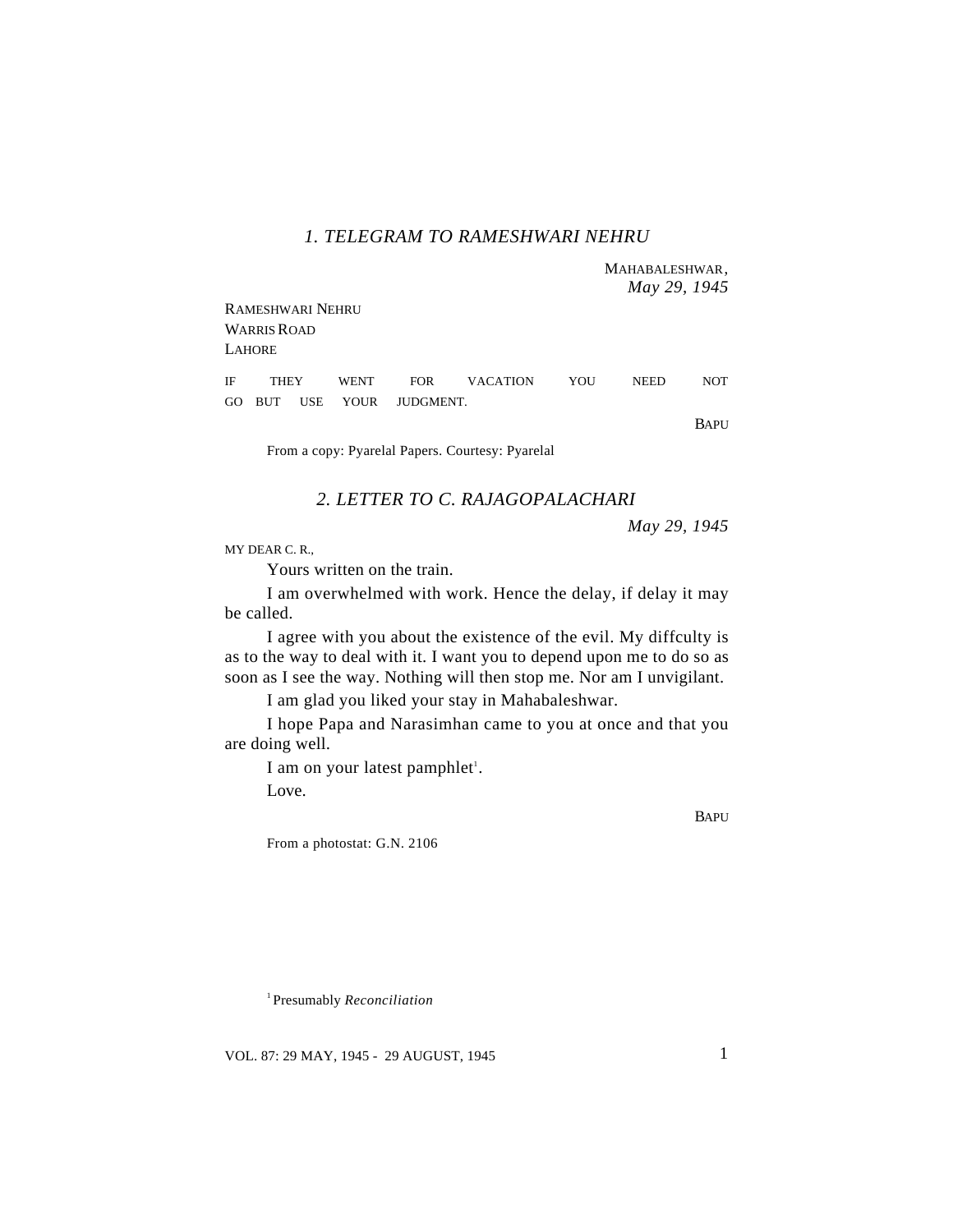#### *1. TELEGRAM TO RAMESHWARI NEHRU*

MAHABALESHWAR, *May 29, 1945*

RAMESHWARI NEHRU WARRIS ROAD LAHORE

IF THEY WENT FOR VACATION YOU NEED NOT GO BUT USE YOUR JUDGMENT.

**BAPU** 

From a copy: Pyarelal Papers. Courtesy: Pyarelal

# *2. LETTER TO C. RAJAGOPALACHARI*

*May 29, 1945*

MY DEAR C. R.,

Yours written on the train.

I am overwhelmed with work. Hence the delay, if delay it may be called.

I agree with you about the existence of the evil. My diffculty is as to the way to deal with it. I want you to depend upon me to do so as soon as I see the way. Nothing will then stop me. Nor am I unvigilant.

I am glad you liked your stay in Mahabaleshwar.

I hope Papa and Narasimhan came to you at once and that you are doing well.

I am on your latest pamphlet<sup>1</sup>.

Love.

**BAPU** 

From a photostat: G.N. 2106

<sup>1</sup>Presumably *Reconciliation*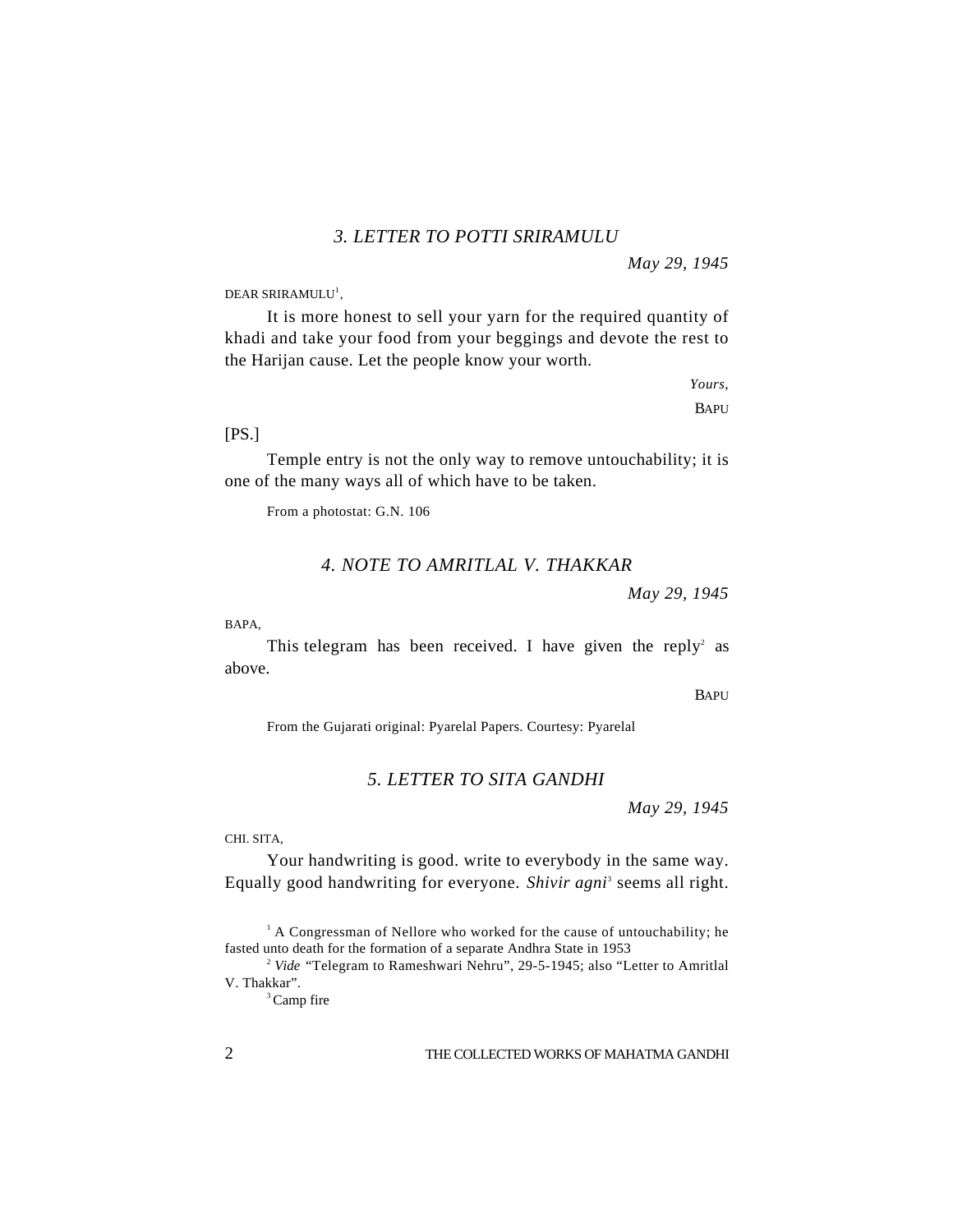*May 29, 1945*

DEAR SRIRAMULU $^{\rm l}$ ,

It is more honest to sell your yarn for the required quantity of khadi and take your food from your beggings and devote the rest to the Harijan cause. Let the people know your worth.

*Yours,*

**BAPU** 

[PS.]

Temple entry is not the only way to remove untouchability; it is one of the many ways all of which have to be taken.

From a photostat: G.N. 106

#### *4. NOTE TO AMRITLAL V. THAKKAR*

*May 29, 1945*

BAPA,

This telegram has been received. I have given the reply<sup>2</sup> as above.

**BAPU** 

From the Gujarati original: Pyarelal Papers. Courtesy: Pyarelal

#### *5. LETTER TO SITA GANDHI*

*May 29, 1945*

CHI. SITA,

Your handwriting is good. write to everybody in the same way. Equally good handwriting for everyone. Shivir agni<sup>3</sup> seems all right.

 $<sup>1</sup>$  A Congressman of Nellore who worked for the cause of untouchability; he</sup> fasted unto death for the formation of a separate Andhra State in 1953

<sup>&</sup>lt;sup>2</sup> Vide "Telegram to Rameshwari Nehru", 29-5-1945; also "Letter to Amritlal V. Thakkar".

<sup>&</sup>lt;sup>3</sup> Camp fire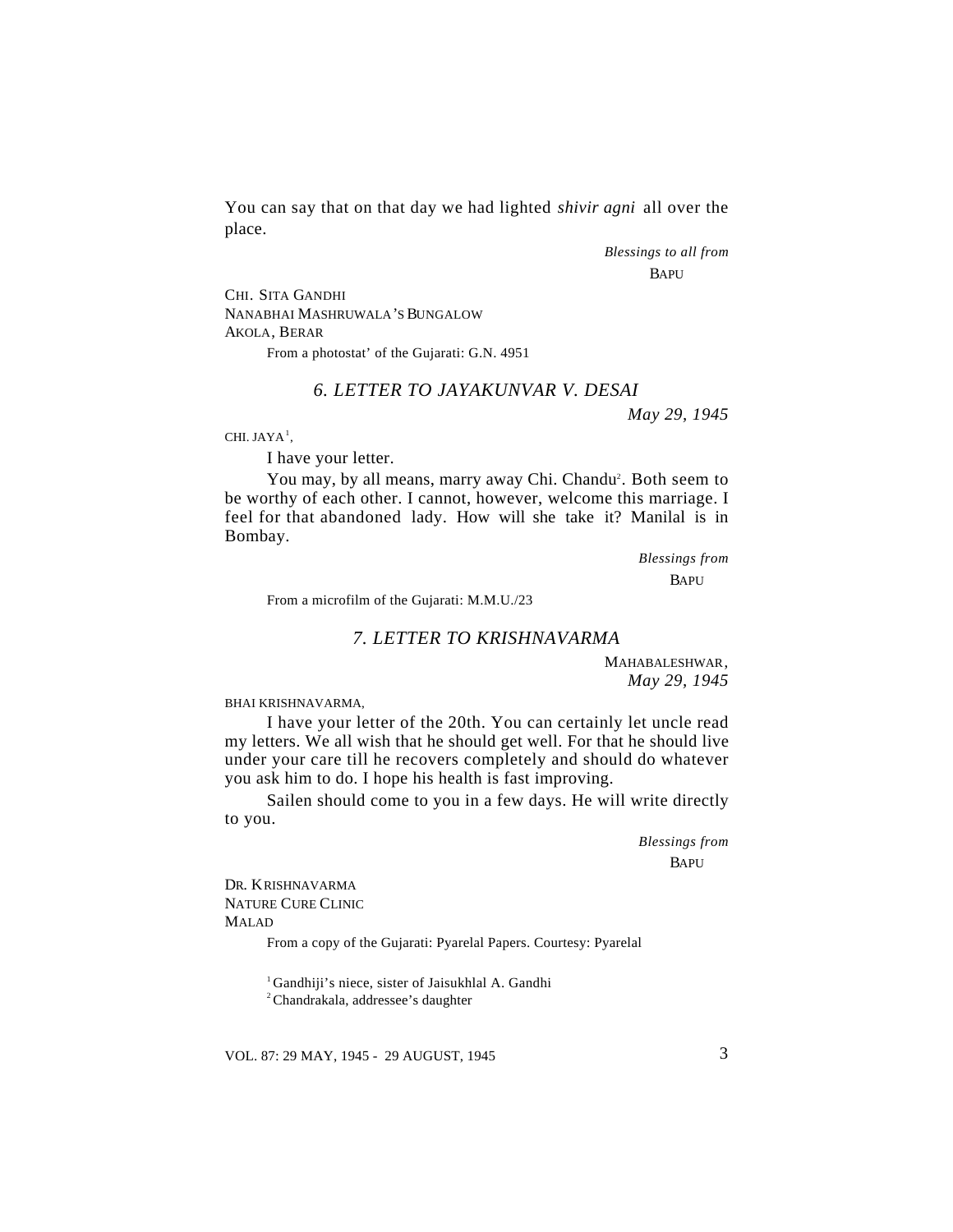You can say that on that day we had lighted *shivir agni* all over the place.

> *Blessings to all from* **BAPU**

CHI. SITA GANDHI NANABHAI MASHRUWALA'S BUNGALOW AKOLA, BERAR

From a photostat' of the Gujarati: G.N. 4951

#### *6. LETTER TO JAYAKUNVAR V. DESAI*

*May 29, 1945*

CHI. JAYA $^1$ ,

I have your letter.

You may, by all means, marry away Chi. Chandu<sup>2</sup>. Both seem to be worthy of each other. I cannot, however, welcome this marriage. I feel for that abandoned lady. How will she take it? Manilal is in Bombay.

> *Blessings from* **BAPU**

From a microfilm of the Gujarati: M.M.U./23

#### *7. LETTER TO KRISHNAVARMA*

MAHABALESHWAR, *May 29, 1945*

BHAI KRISHNAVARMA,

I have your letter of the 20th. You can certainly let uncle read my letters. We all wish that he should get well. For that he should live under your care till he recovers completely and should do whatever you ask him to do. I hope his health is fast improving.

Sailen should come to you in a few days. He will write directly to you.

> *Blessings from* **BAPU**

DR. KRISHNAVARMA NATURE CURE CLINIC MALAD

From a copy of the Gujarati: Pyarelal Papers. Courtesy: Pyarelal

<sup>1</sup>Gandhiji's niece, sister of Jaisukhlal A. Gandhi 2 Chandrakala, addressee's daughter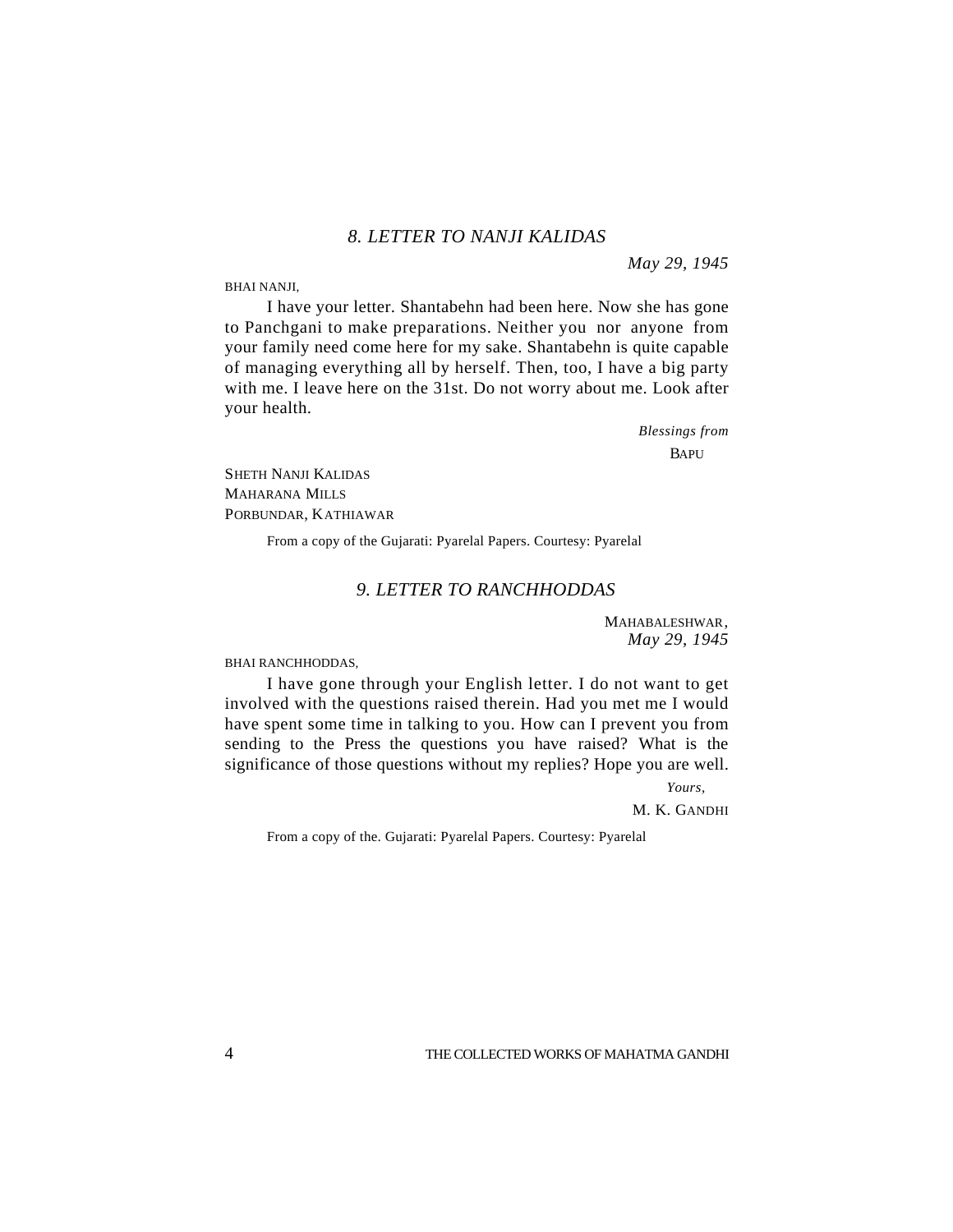#### 4 THE COLLECTED WORKS OF MAHATMA GANDHI

#### *8. LETTER TO NANJI KALIDAS*

*May 29, 1945*

BHAI NANJI,

I have your letter. Shantabehn had been here. Now she has gone to Panchgani to make preparations. Neither you nor anyone from your family need come here for my sake. Shantabehn is quite capable of managing everything all by herself. Then, too, I have a big party with me. I leave here on the 31st. Do not worry about me. Look after your health.

> *Blessings from* **BAPU**

SHETH NANJI KALIDAS MAHARANA MILLS PORBUNDAR, KATHIAWAR

From a copy of the Gujarati: Pyarelal Papers. Courtesy: Pyarelal

#### *9. LETTER TO RANCHHODDAS*

MAHABALESHWAR, *May 29, 1945*

BHAI RANCHHODDAS,

I have gone through your English letter. I do not want to get involved with the questions raised therein. Had you met me I would have spent some time in talking to you. How can I prevent you from sending to the Press the questions you have raised? What is the significance of those questions without my replies? Hope you are well.

*Yours,*

M. K. GANDHI

From a copy of the. Gujarati: Pyarelal Papers. Courtesy: Pyarelal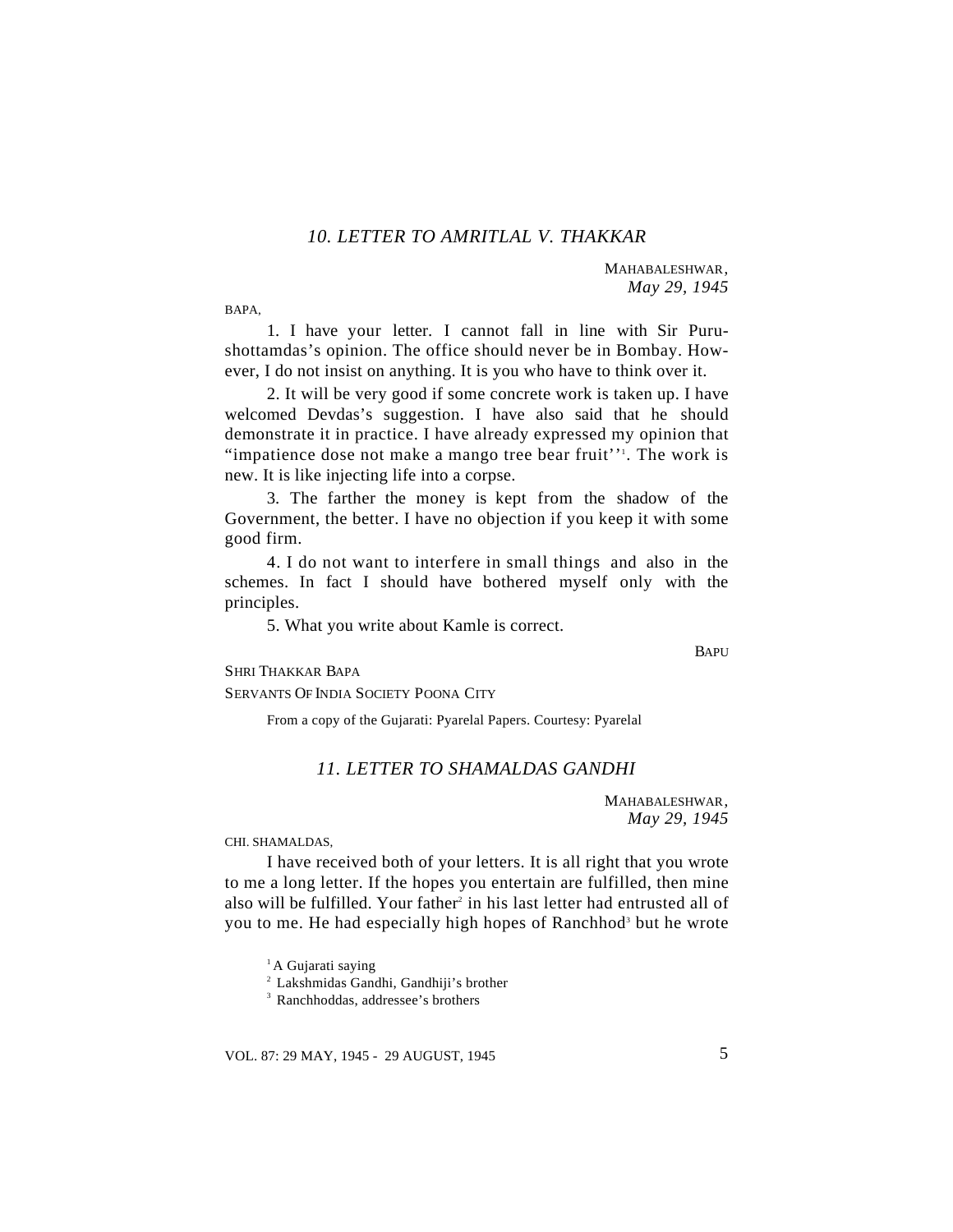#### *10. LETTER TO AMRITLAL V. THAKKAR*

MAHABALESHWAR, *May 29, 1945*

BAPA,

1. I have your letter. I cannot fall in line with Sir Purushottamdas's opinion. The office should never be in Bombay. However, I do not insist on anything. It is you who have to think over it.

2. It will be very good if some concrete work is taken up. I have welcomed Devdas's suggestion. I have also said that he should demonstrate it in practice. I have already expressed my opinion that "impatience dose not make a mango tree bear fruit''. The work is new. It is like injecting life into a corpse.

3. The farther the money is kept from the shadow of the Government, the better. I have no objection if you keep it with some good firm.

4. I do not want to interfere in small things and also in the schemes. In fact I should have bothered myself only with the principles.

5. What you write about Kamle is correct.

**BAPU** 

SHRI THAKKAR BAPA

SERVANTS OF INDIA SOCIETY POONA CITY

From a copy of the Gujarati: Pyarelal Papers. Courtesy: Pyarelal

#### *11. LETTER TO SHAMALDAS GANDHI*

MAHABALESHWAR, *May 29, 1945*

CHI. SHAMALDAS,

I have received both of your letters. It is all right that you wrote to me a long letter. If the hopes you entertain are fulfilled, then mine also will be fulfilled. Your father<sup>2</sup> in his last letter had entrusted all of you to me. He had especially high hopes of Ranchhod<sup>3</sup> but he wrote

<sup>1</sup> A Gujarati saying

<sup>2</sup> Lakshmidas Gandhi, Gandhiji's brother

3 Ranchhoddas, addressee's brothers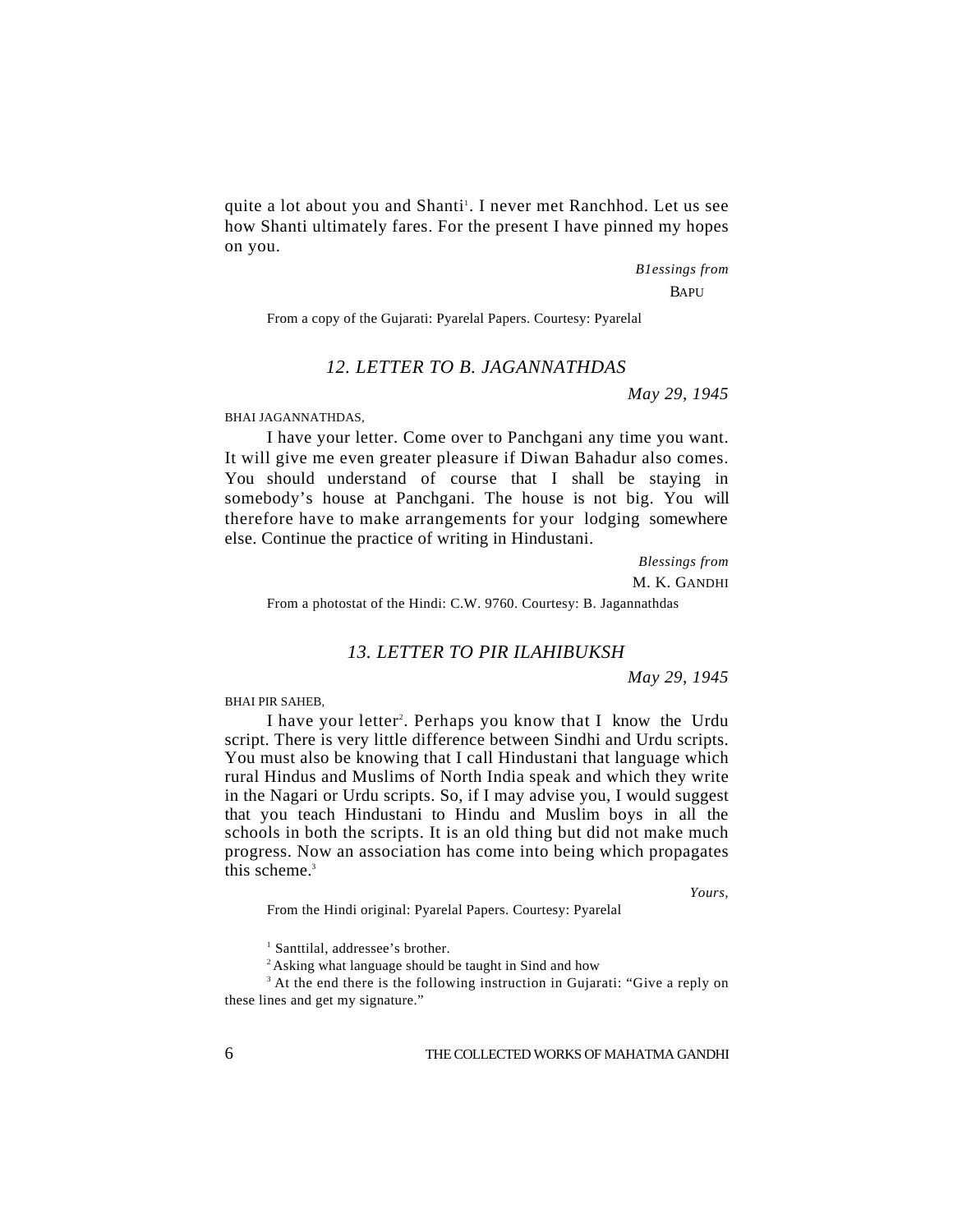quite a lot about you and Shanti<sup>1</sup>. I never met Ranchhod. Let us see how Shanti ultimately fares. For the present I have pinned my hopes on you.

> *B1essings from* BAPU

From a copy of the Gujarati: Pyarelal Papers. Courtesy: Pyarelal

#### *12. LETTER TO B. JAGANNATHDAS*

*May 29, 1945*

BHAI JAGANNATHDAS,

I have your letter. Come over to Panchgani any time you want. It will give me even greater pleasure if Diwan Bahadur also comes. You should understand of course that I shall be staying in somebody's house at Panchgani. The house is not big. You will therefore have to make arrangements for your lodging somewhere else. Continue the practice of writing in Hindustani.

> *Blessings from* M. K. GANDHI

From a photostat of the Hindi: C.W. 9760. Courtesy: B. Jagannathdas

#### *13. LETTER TO PIR ILAHIBUKSH*

*May 29, 1945*

BHAI PIR SAHEB,

I have your letter<sup>2</sup>. Perhaps you know that I know the Urdu script. There is very little difference between Sindhi and Urdu scripts. You must also be knowing that I call Hindustani that language which rural Hindus and Muslims of North India speak and which they write in the Nagari or Urdu scripts. So, if I may advise you, I would suggest that you teach Hindustani to Hindu and Muslim boys in all the schools in both the scripts. It is an old thing but did not make much progress. Now an association has come into being which propagates this scheme.<sup>3</sup>

*Yours,*

From the Hindi original: Pyarelal Papers. Courtesy: Pyarelal

<sup>1</sup> Santtilal, addressee's brother.

<sup>2</sup> Asking what language should be taught in Sind and how

<sup>3</sup> At the end there is the following instruction in Gujarati: "Give a reply on these lines and get my signature."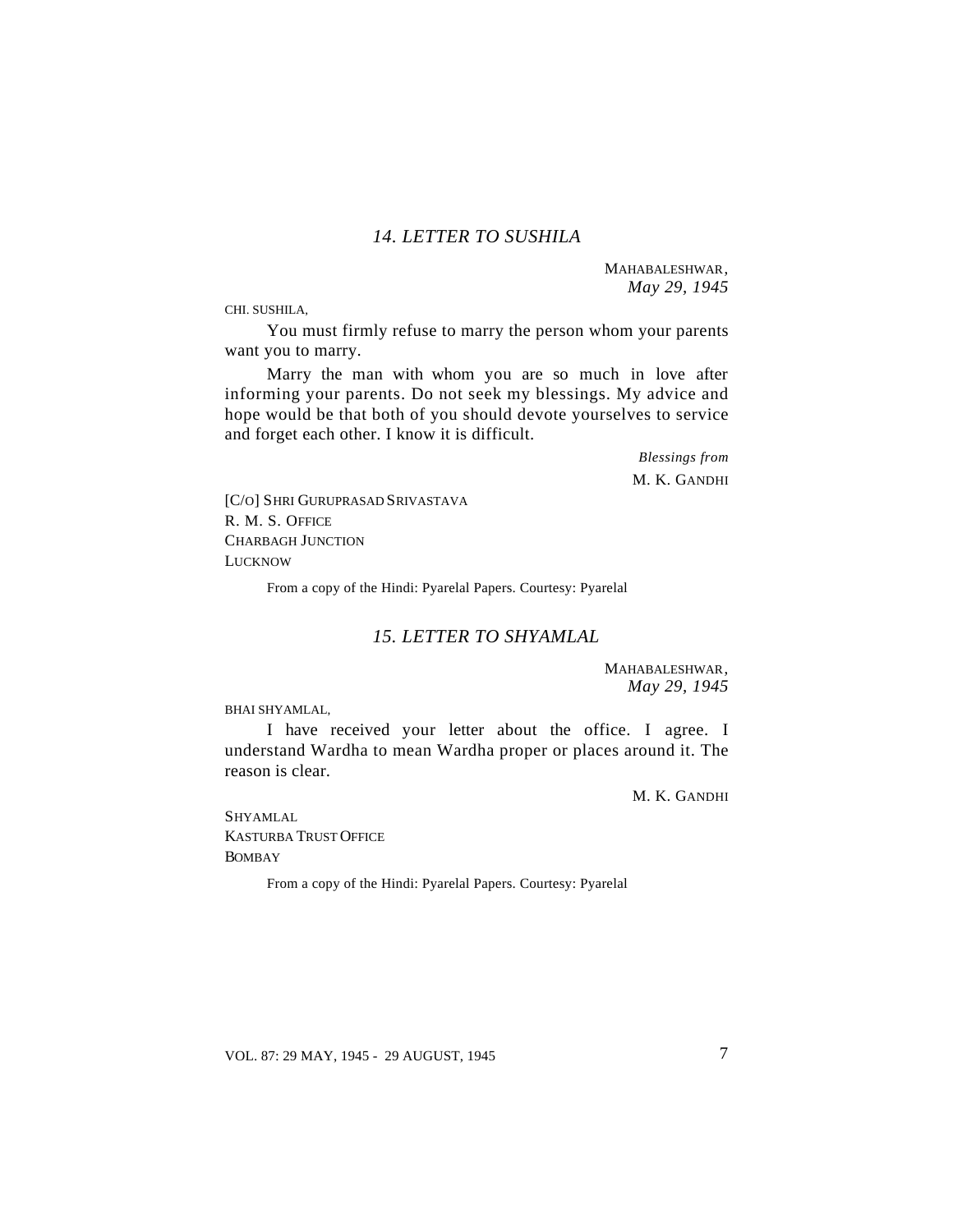MAHABALESHWAR, *May 29, 1945*

CHI. SUSHILA,

You must firmly refuse to marry the person whom your parents want you to marry.

Marry the man with whom you are so much in love after informing your parents. Do not seek my blessings. My advice and hope would be that both of you should devote yourselves to service and forget each other. I know it is difficult.

> *Blessings from* M. K. GANDHI

[C/O] SHRI GURUPRASAD SRIVASTAVA R. M. S. OFFICE CHARBAGH JUNCTION **LUCKNOW** 

From a copy of the Hindi: Pyarelal Papers. Courtesy: Pyarelal

### *15. LETTER TO SHYAMLAL*

MAHABALESHWAR, *May 29, 1945*

BHAI SHYAMLAL,

I have received your letter about the office. I agree. I understand Wardha to mean Wardha proper or places around it. The reason is clear.

M. K. GANDHI

SHYAMLAL KASTURBA TRUST OFFICE BOMBAY

From a copy of the Hindi: Pyarelal Papers. Courtesy: Pyarelal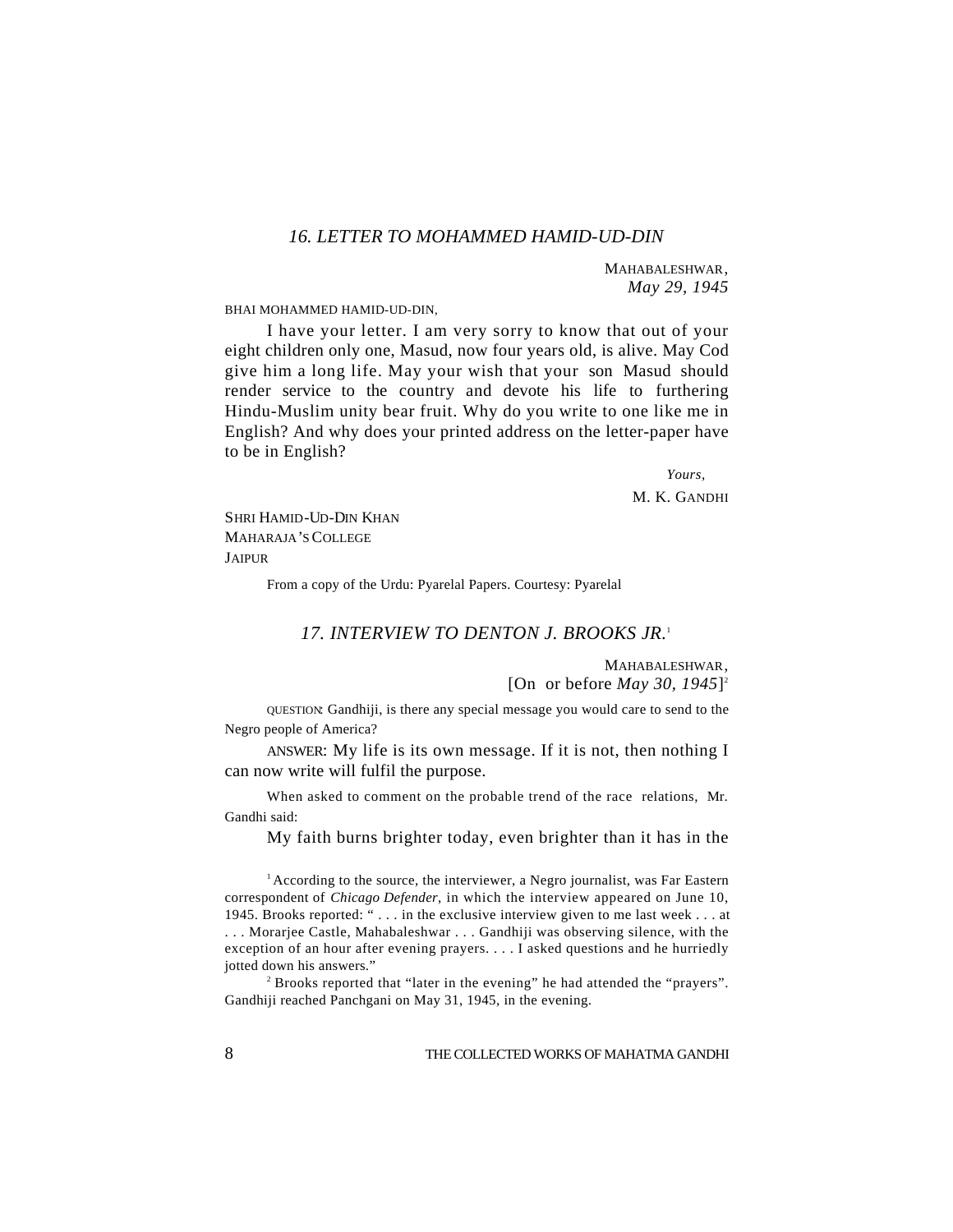MAHABALESHWAR, *May 29, 1945*

#### BHAI MOHAMMED HAMID-UD-DIN,

I have your letter. I am very sorry to know that out of your eight children only one, Masud, now four years old, is alive. May Cod give him a long life. May your wish that your son Masud should render service to the country and devote his life to furthering Hindu-Muslim unity bear fruit. Why do you write to one like me in English? And why does your printed address on the letter-paper have to be in English?

> *Yours,* M. K. GANDHI

SHRI HAMID-UD-DIN KHAN MAHARAJA'S COLLEGE JAIPUR

From a copy of the Urdu: Pyarelal Papers. Courtesy: Pyarelal

#### *17. INTERVIEW TO DENTON J. BROOKS JR.*<sup>1</sup>

MAHABALESHWAR, [On or before *May 30, 1945*] 2

QUESTION: Gandhiji, is there any special message you would care to send to the Negro people of America?

ANSWER: My life is its own message. If it is not, then nothing I can now write will fulfil the purpose.

When asked to comment on the probable trend of the race relations, Mr. Gandhi said:

My faith burns brighter today, even brighter than it has in the

 $<sup>1</sup>$  According to the source, the interviewer, a Negro journalist, was Far Eastern</sup> correspondent of *Chicago Defender*, in which the interview appeared on June 10, 1945. Brooks reported: " . . . in the exclusive interview given to me last week . . . at . . . Morarjee Castle, Mahabaleshwar . . . Gandhiji was observing silence, with the exception of an hour after evening prayers. . . . I asked questions and he hurriedly jotted down his answers."

<sup>2</sup> Brooks reported that "later in the evening" he had attended the "prayers". Gandhiji reached Panchgani on May 31, 1945, in the evening.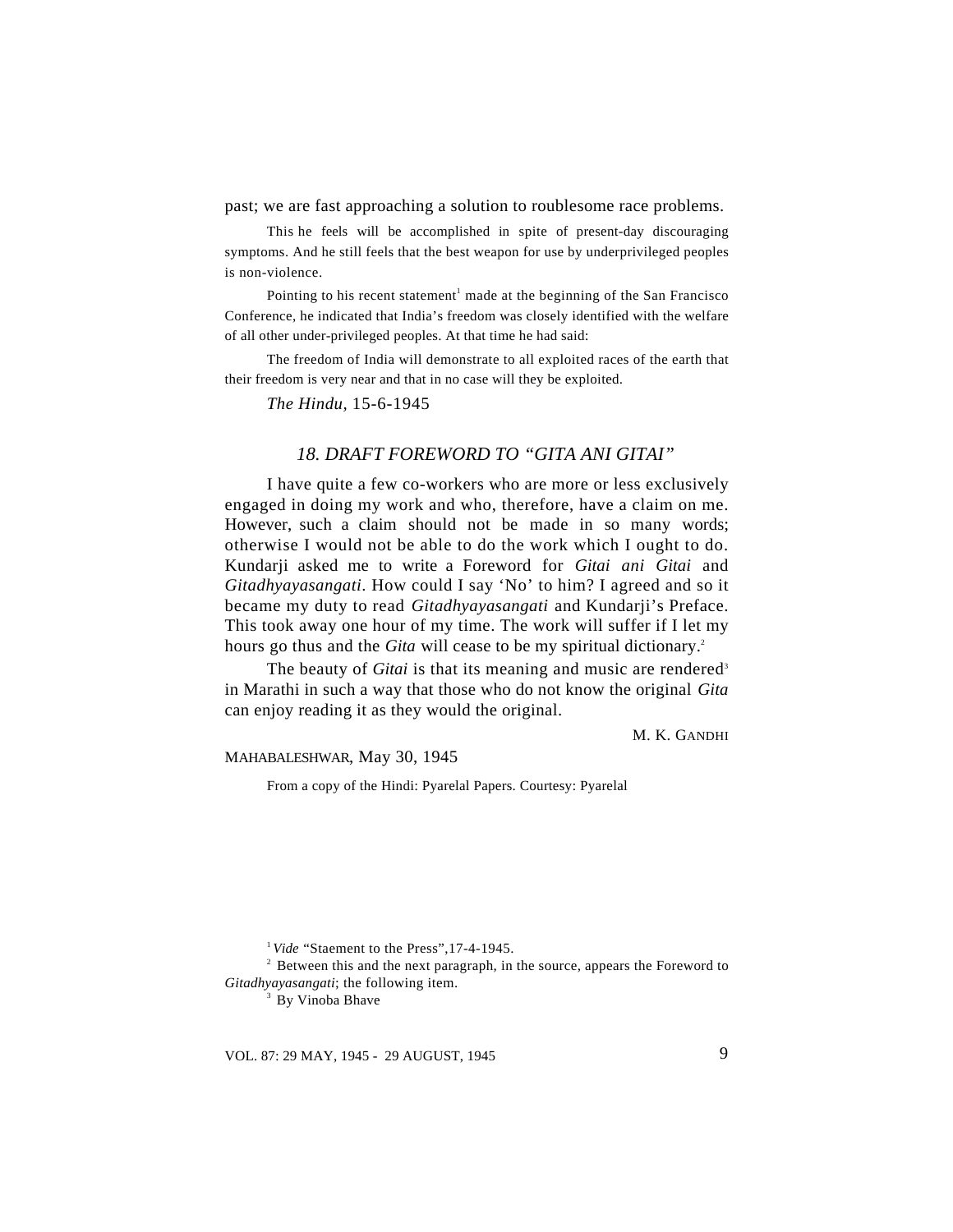past; we are fast approaching a solution to roublesome race problems.

This he feels will be accomplished in spite of present-day discouraging symptoms. And he still feels that the best weapon for use by underprivileged peoples is non-violence.

Pointing to his recent statement<sup>1</sup> made at the beginning of the San Francisco Conference, he indicated that India's freedom was closely identified with the welfare of all other under-privileged peoples. At that time he had said:

The freedom of India will demonstrate to all exploited races of the earth that their freedom is very near and that in no case will they be exploited.

*The Hindu,* 15-6-1945

#### *18. DRAFT FOREWORD TO "GITA ANI GITAI"*

I have quite a few co-workers who are more or less exclusively engaged in doing my work and who, therefore, have a claim on me. However, such a claim should not be made in so many words; otherwise I would not be able to do the work which I ought to do. Kundarji asked me to write a Foreword for *Gitai ani Gitai* and *Gitadhyayasangati*. How could I say 'No' to him? I agreed and so it became my duty to read *Gitadhyayasangati* and Kundarji's Preface. This took away one hour of my time. The work will suffer if I let my hours go thus and the *Gita* will cease to be my spiritual dictionary.<sup>2</sup>

The beauty of *Gitai* is that its meaning and music are rendered<sup>3</sup> in Marathi in such a way that those who do not know the original *Gita* can enjoy reading it as they would the original.

M. K. GANDHI

MAHABALESHWAR, May 30, 1945

From a copy of the Hindi: Pyarelal Papers. Courtesy: Pyarelal

<sup>&</sup>lt;sup>1</sup> Vide "Staement to the Press", 17-4-1945.

 $2$  Between this and the next paragraph, in the source, appears the Foreword to *Gitadhyayasangati*; the following item.

<sup>&</sup>lt;sup>3</sup> By Vinoba Bhave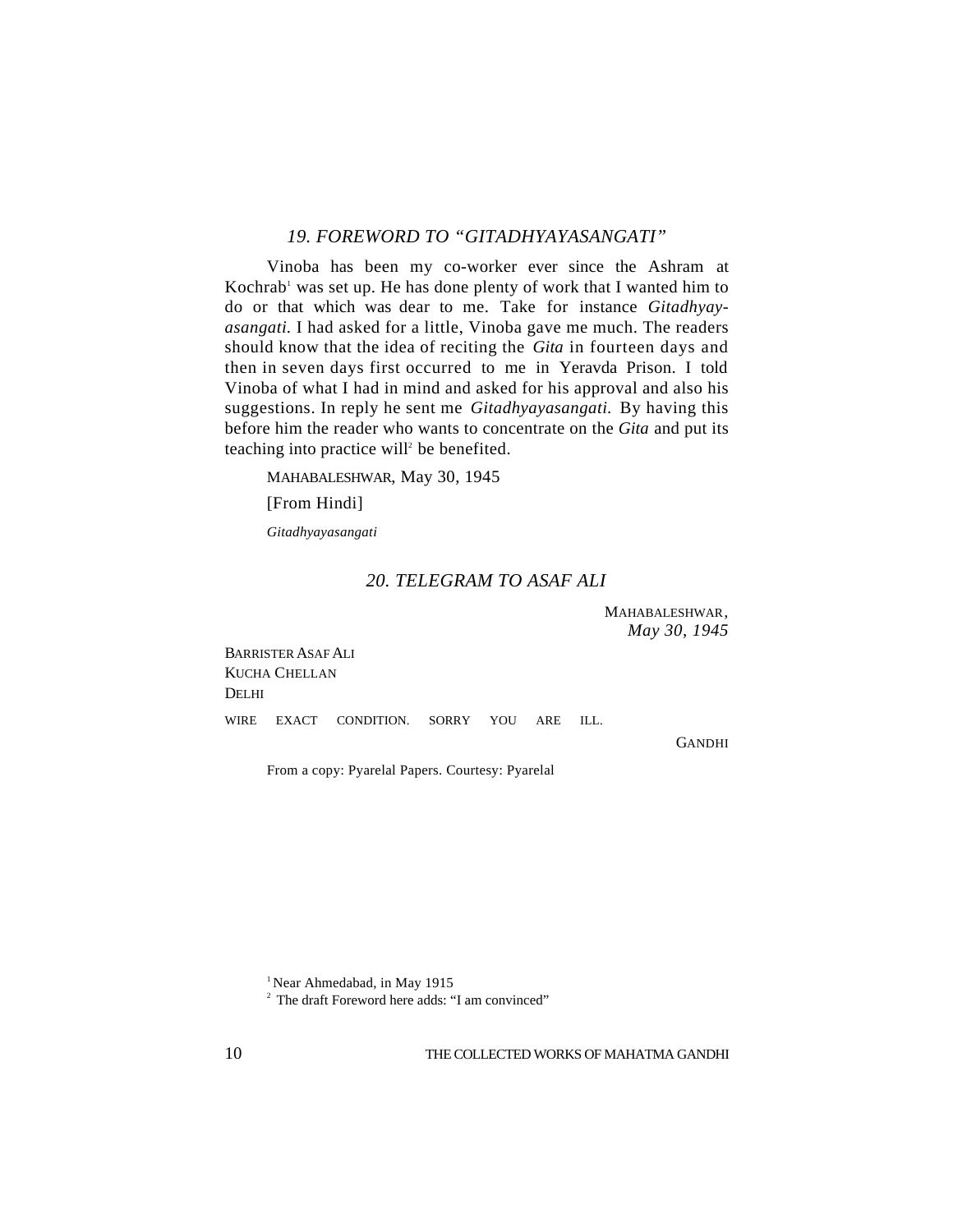#### *19. FOREWORD TO "GITADHYAYASANGATI"*

Vinoba has been my co-worker ever since the Ashram at Kochrab<sup>1</sup> was set up. He has done plenty of work that I wanted him to do or that which was dear to me. Take for instance *Gitadhyayasangati.* I had asked for a little, Vinoba gave me much. The readers should know that the idea of reciting the *Gita* in fourteen days and then in seven days first occurred to me in Yeravda Prison. I told Vinoba of what I had in mind and asked for his approval and also his suggestions. In reply he sent me *Gitadhyayasangati.* By having this before him the reader who wants to concentrate on the *Gita* and put its teaching into practice will<sup>2</sup> be benefited.

MAHABALESHWAR, May 30, 1945

[From Hindi]

*Gitadhyayasangati*

#### *20. TELEGRAM TO ASAF ALI*

MAHABALESHWAR, *May 30, 1945*

BARRISTER ASAF ALI KUCHA CHELLAN DELHI WIRE EXACT CONDITION. SORRY YOU ARE ILL.

GANDHI

From a copy: Pyarelal Papers. Courtesy: Pyarelal

<sup>1</sup> Near Ahmedabad, in May 1915

<sup>2</sup> The draft Foreword here adds: "I am convinced"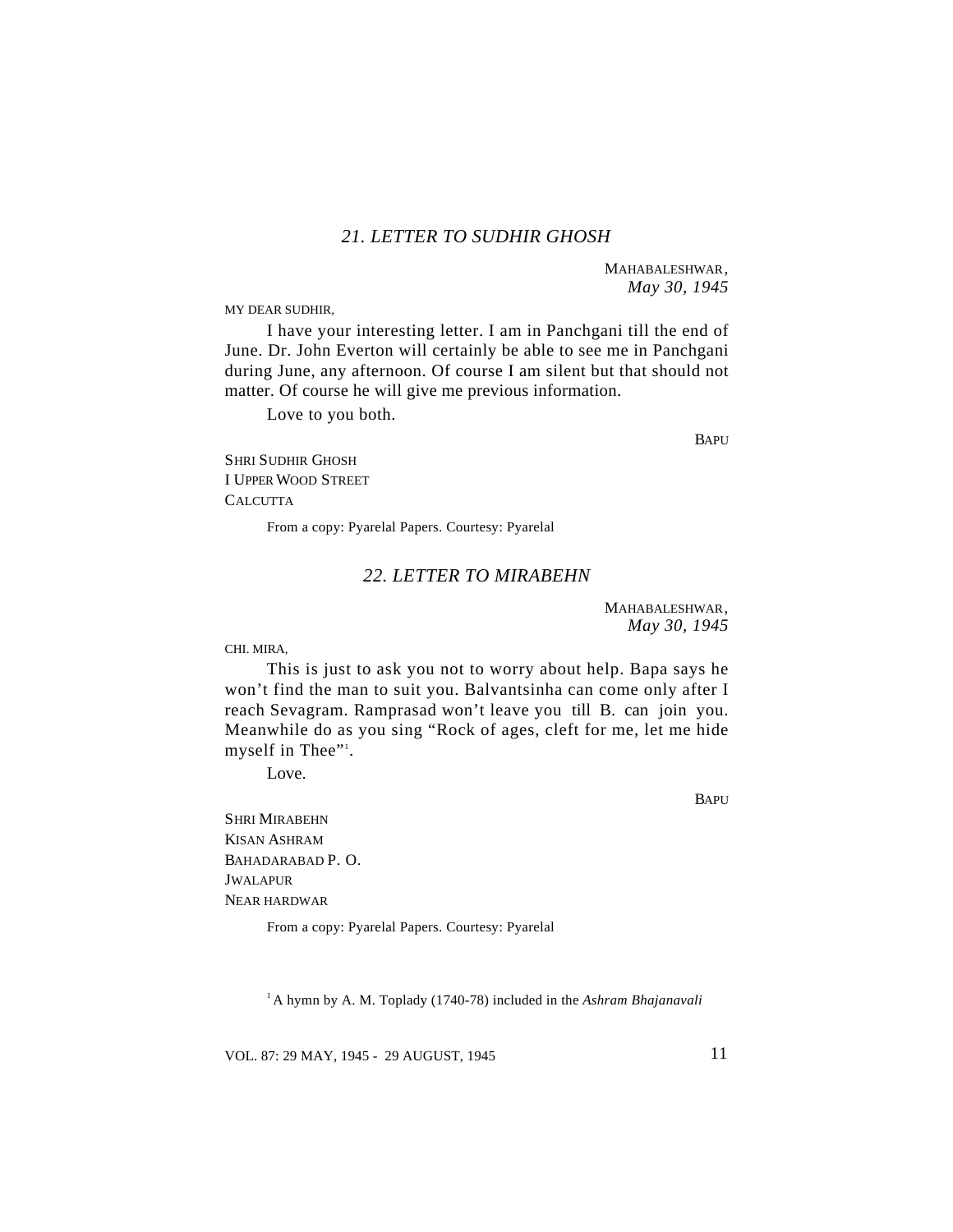# VOL. 87: 29 MAY, 1945 - 29 AUGUST, 1945 11

#### *21. LETTER TO SUDHIR GHOSH*

MAHABALESHWAR, *May 30, 1945*

MY DEAR SUDHIR,

I have your interesting letter. I am in Panchgani till the end of June. Dr. John Everton will certainly be able to see me in Panchgani during June, any afternoon. Of course I am silent but that should not matter. Of course he will give me previous information.

Love to you both.

**BAPU** 

SHRI SUDHIR GHOSH I UPPER WOOD STREET CALCUTTA

From a copy: Pyarelal Papers. Courtesy: Pyarelal

# *22. LETTER TO MIRABEHN*

MAHABALESHWAR, *May 30, 1945*

CHI. MIRA,

This is just to ask you not to worry about help. Bapa says he won't find the man to suit you. Balvantsinha can come only after I reach Sevagram. Ramprasad won't leave you till B. can join you. Meanwhile do as you sing "Rock of ages, cleft for me, let me hide myself in Thee"<sup>1</sup>.

Love.

SHRI MIRABEHN KISAN ASHRAM BAHADARABAD P. O. JWALAPUR NEAR HARDWAR

From a copy: Pyarelal Papers. Courtesy: Pyarelal

<sup>1</sup>A hymn by A. M. Toplady (1740-78) included in the *Ashram Bhajanavali* 

**BAPU**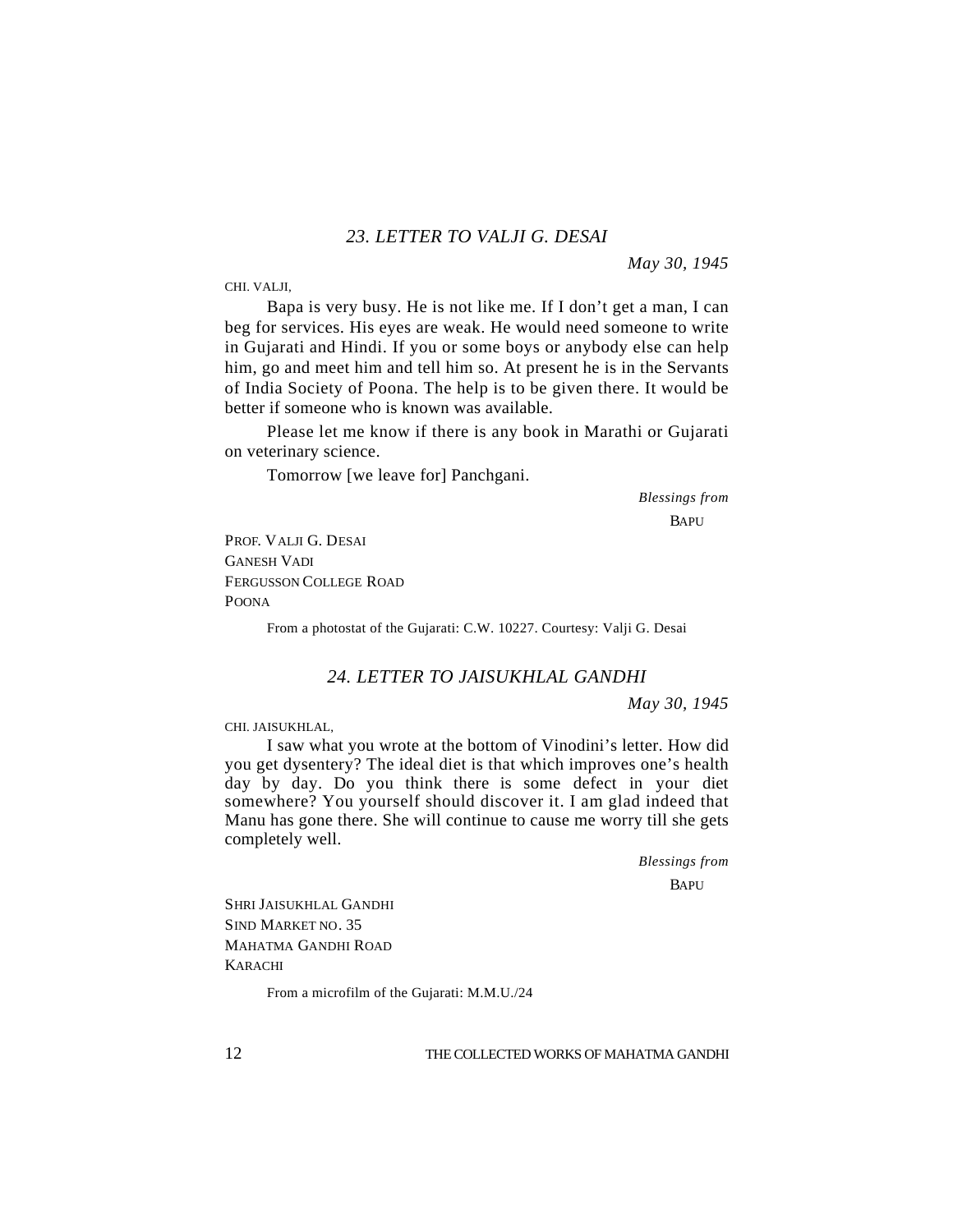#### *23. LETTER TO VALJI G. DESAI*

*May 30, 1945*

CHI. VALJI,

Bapa is very busy. He is not like me. If I don't get a man, I can beg for services. His eyes are weak. He would need someone to write in Gujarati and Hindi. If you or some boys or anybody else can help him, go and meet him and tell him so. At present he is in the Servants of India Society of Poona. The help is to be given there. It would be better if someone who is known was available.

Please let me know if there is any book in Marathi or Gujarati on veterinary science.

Tomorrow [we leave for] Panchgani.

*Blessings from* **BAPU** 

PROF. VALJI G. DESAI GANESH VADI FERGUSSON COLLEGE ROAD **POONA** 

From a photostat of the Gujarati: C.W. 10227. Courtesy: Valji G. Desai

#### *24. LETTER TO JAISUKHLAL GANDHI*

*May 30, 1945*

CHI. JAISUKHLAL,

I saw what you wrote at the bottom of Vinodini's letter. How did you get dysentery? The ideal diet is that which improves one's health day by day. Do you think there is some defect in your diet somewhere? You yourself should discover it. I am glad indeed that Manu has gone there. She will continue to cause me worry till she gets completely well.

*Blessings from*

**BAPU** 

SHRI JAISUKHLAL GANDHI SIND MARKET NO. 35 MAHATMA GANDHI ROAD KARACHI

From a microfilm of the Gujarati: M.M.U./24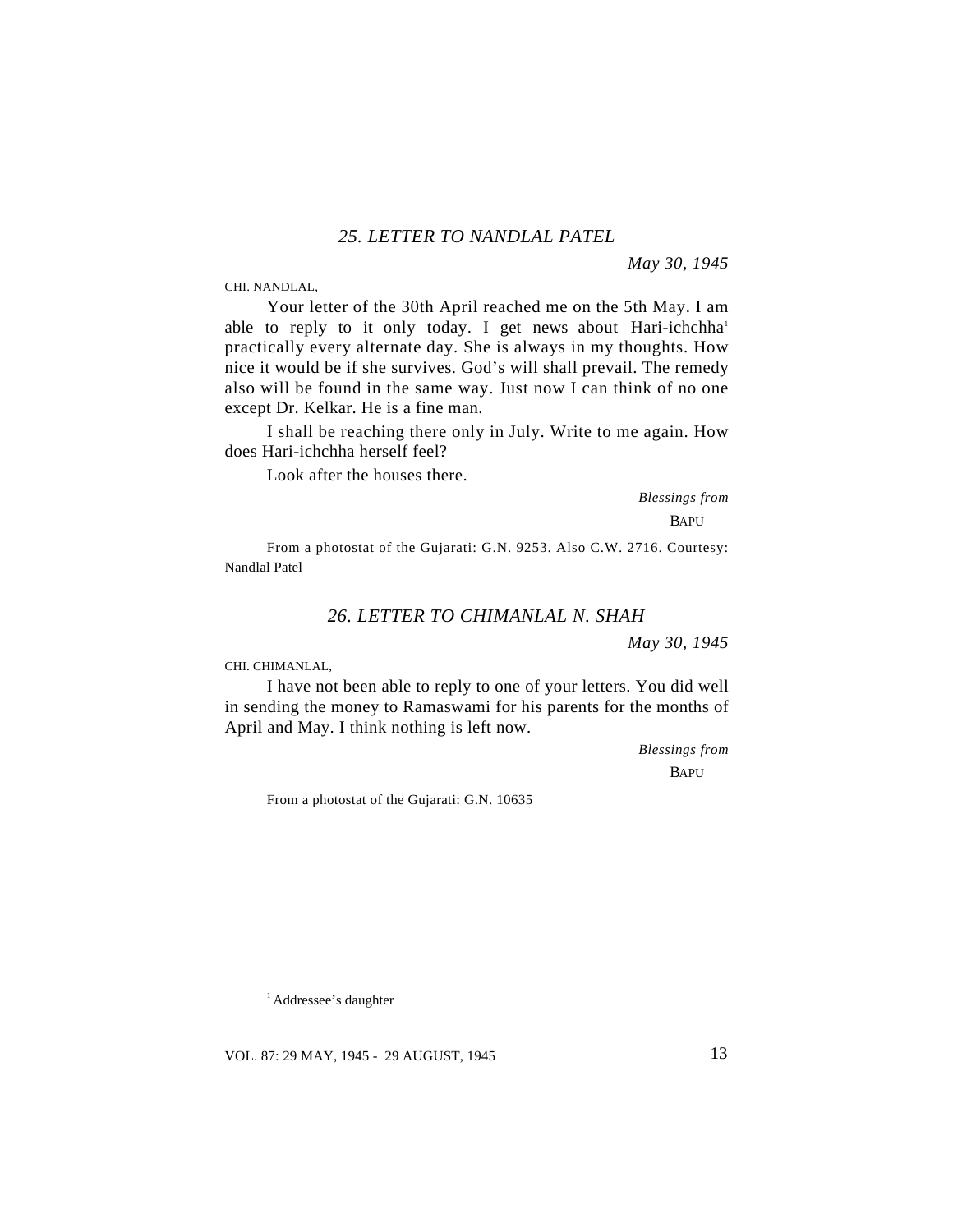*May 30, 1945*

CHI. NANDLAL,

Your letter of the 30th April reached me on the 5th May. I am able to reply to it only today. I get news about Hari-ichchha<sup>1</sup> practically every alternate day. She is always in my thoughts. How nice it would be if she survives. God's will shall prevail. The remedy also will be found in the same way. Just now I can think of no one except Dr. Kelkar. He is a fine man.

I shall be reaching there only in July. Write to me again. How does Hari-ichchha herself feel?

Look after the houses there.

*Blessings from*

**BAPU** 

From a photostat of the Gujarati: G.N. 9253. Also C.W. 2716. Courtesy: Nandlal Patel

#### *26. LETTER TO CHIMANLAL N. SHAH*

*May 30, 1945*

CHI. CHIMANLAL,

I have not been able to reply to one of your letters. You did well in sending the money to Ramaswami for his parents for the months of April and May. I think nothing is left now.

> *Blessings from* **BAPU**

From a photostat of the Gujarati: G.N. 10635

<sup>1</sup> Addressee's daughter

VOL. 87: 29 MAY, 1945 - 29 AUGUST, 1945 13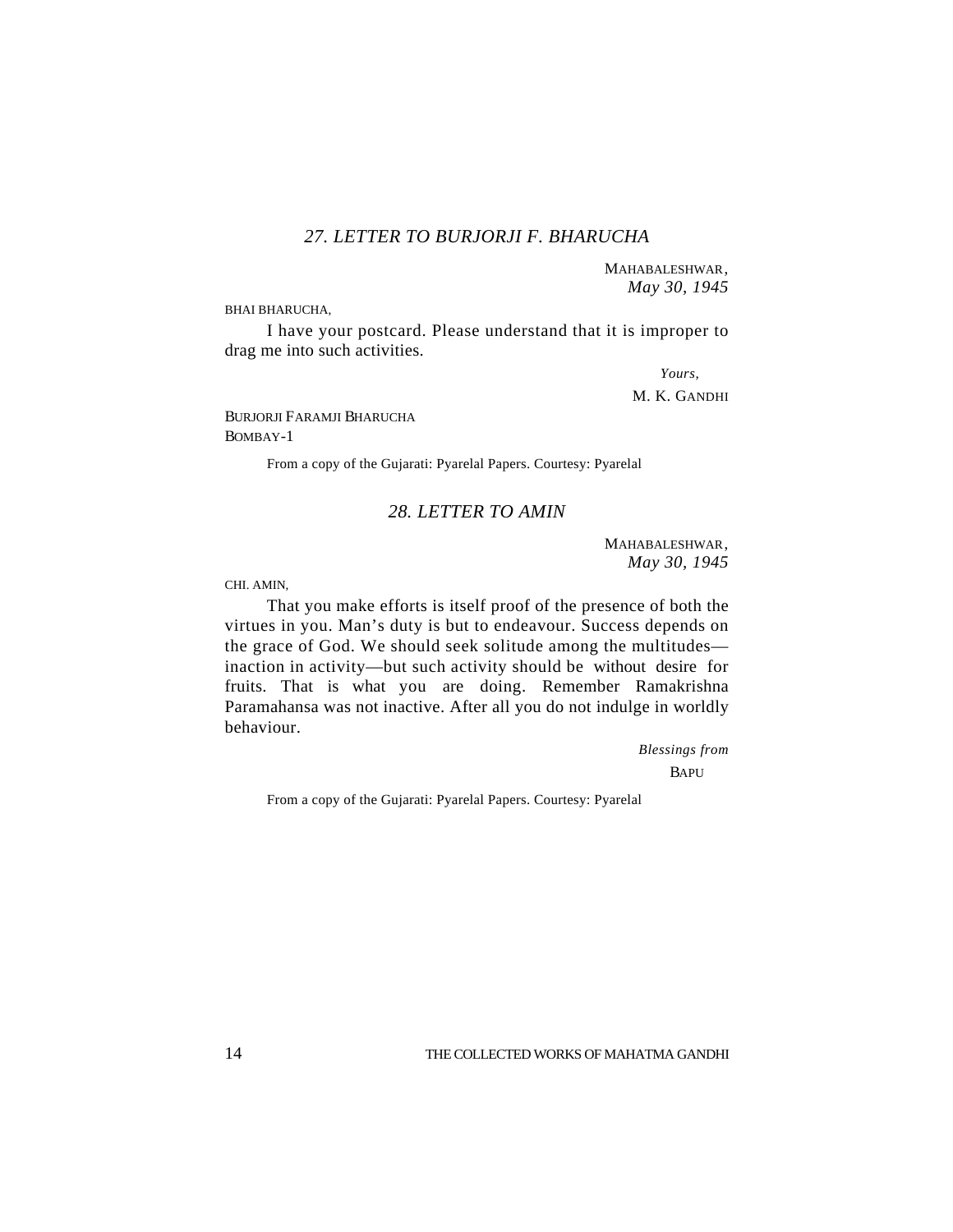#### *27. LETTER TO BURJORJI F. BHARUCHA*

MAHABALESHWAR, *May 30, 1945*

BHAI BHARUCHA,

I have your postcard. Please understand that it is improper to drag me into such activities.

> *Yours,* M. K. GANDHI

#### BURJORJI FARAMJI BHARUCHA BOMBAY-1

From a copy of the Gujarati: Pyarelal Papers. Courtesy: Pyarelal

#### *28. LETTER TO AMIN*

MAHABALESHWAR, *May 30, 1945*

CHI. AMIN,

That you make efforts is itself proof of the presence of both the virtues in you. Man's duty is but to endeavour. Success depends on the grace of God. We should seek solitude among the multitudes inaction in activity—but such activity should be without desire for fruits. That is what you are doing. Remember Ramakrishna Paramahansa was not inactive. After all you do not indulge in worldly behaviour.

> *Blessings from* **BAPU**

From a copy of the Gujarati: Pyarelal Papers. Courtesy: Pyarelal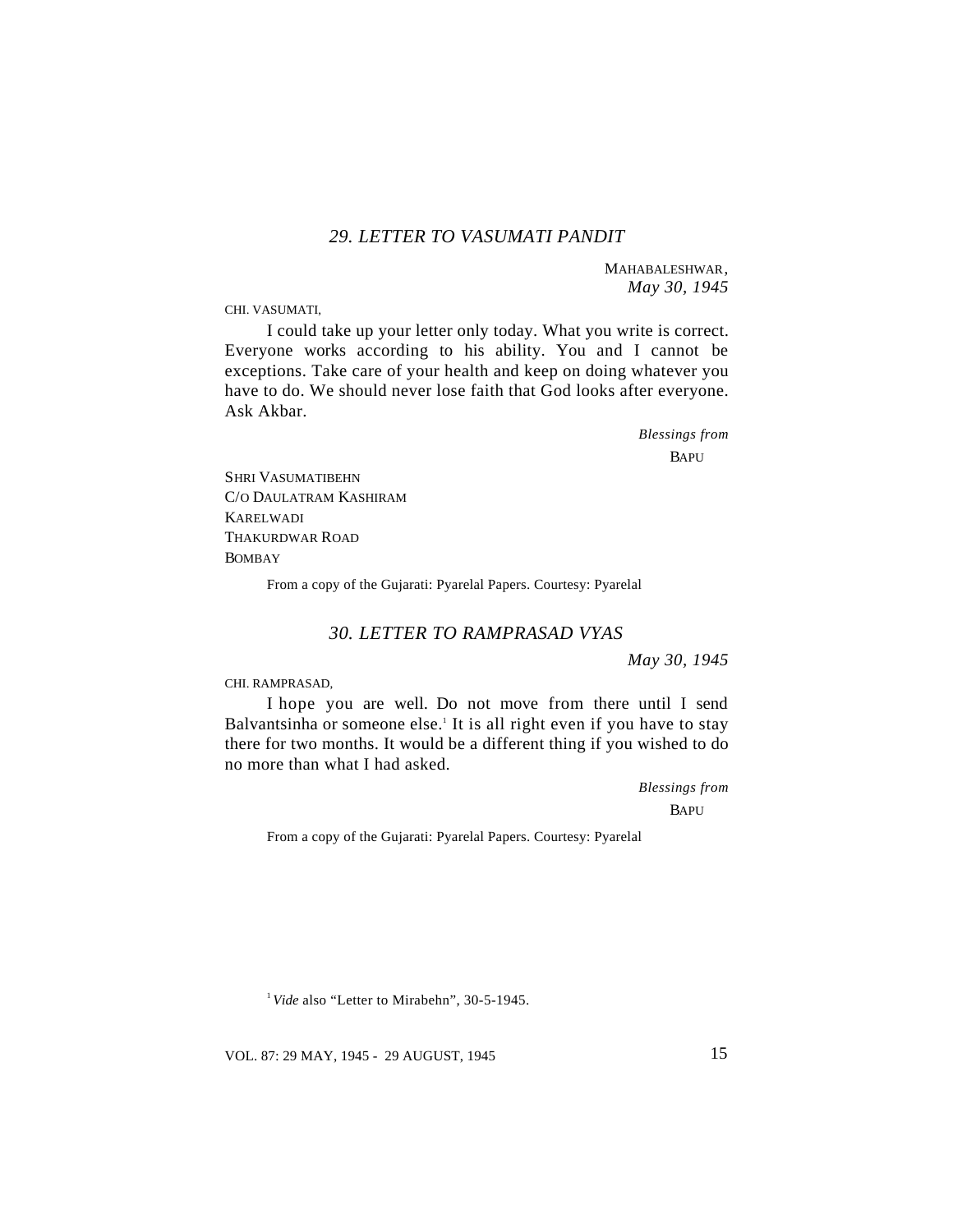#### *29. LETTER TO VASUMATI PANDIT*

MAHABALESHWAR, *May 30, 1945*

CHI. VASUMATI,

I could take up your letter only today. What you write is correct. Everyone works according to his ability. You and I cannot be exceptions. Take care of your health and keep on doing whatever you have to do. We should never lose faith that God looks after everyone. Ask Akbar.

> *Blessings from* **BAPU**

SHRI VASUMATIBEHN C/O DAULATRAM KASHIRAM **KARELWADI** THAKURDWAR ROAD BOMBAY

From a copy of the Gujarati: Pyarelal Papers. Courtesy: Pyarelal

### *30. LETTER TO RAMPRASAD VYAS*

*May 30, 1945*

CHI. RAMPRASAD,

I hope you are well. Do not move from there until I send Balvantsinha or someone else.<sup>1</sup> It is all right even if you have to stay there for two months. It would be a different thing if you wished to do no more than what I had asked.

> *Blessings from* **BAPU**

From a copy of the Gujarati: Pyarelal Papers. Courtesy: Pyarelal

<sup>1</sup> Vide also "Letter to Mirabehn", 30-5-1945.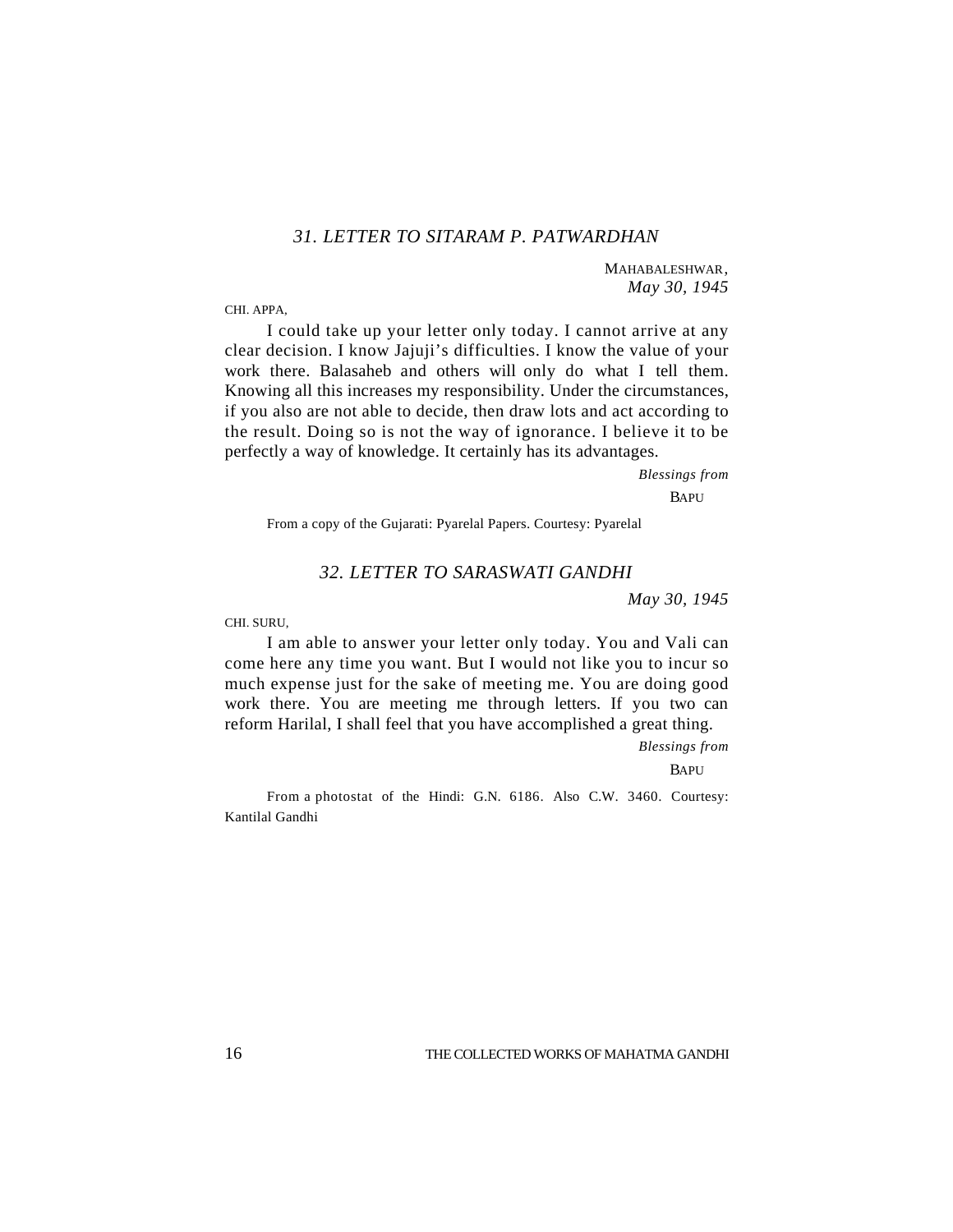# *31. LETTER TO SITARAM P. PATWARDHAN*

MAHABALESHWAR, *May 30, 1945*

CHI. APPA,

I could take up your letter only today. I cannot arrive at any clear decision. I know Jajuji's difficulties. I know the value of your work there. Balasaheb and others will only do what I tell them. Knowing all this increases my responsibility. Under the circumstances, if you also are not able to decide, then draw lots and act according to the result. Doing so is not the way of ignorance. I believe it to be perfectly a way of knowledge. It certainly has its advantages.

*Blessings from*

**BAPU** 

From a copy of the Gujarati: Pyarelal Papers. Courtesy: Pyarelal

#### *32. LETTER TO SARASWATI GANDHI*

*May 30, 1945*

CHI. SURU,

I am able to answer your letter only today. You and Vali can come here any time you want. But I would not like you to incur so much expense just for the sake of meeting me. You are doing good work there. You are meeting me through letters. If you two can reform Harilal, I shall feel that you have accomplished a great thing.

*Blessings from*

BAPU

From a photostat of the Hindi: G.N. 6186. Also C.W. 3460. Courtesy: Kantilal Gandhi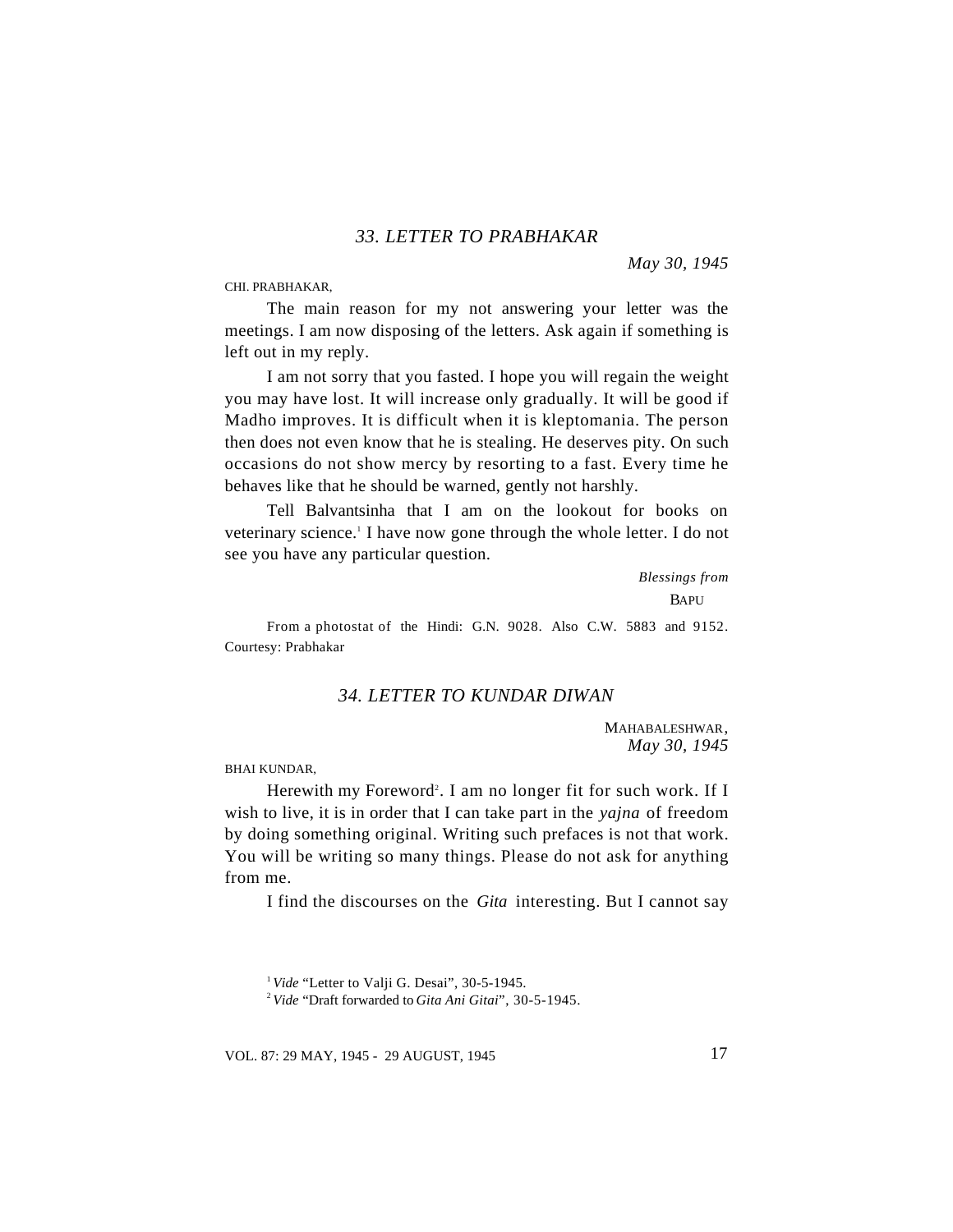CHI. PRABHAKAR,

The main reason for my not answering your letter was the meetings. I am now disposing of the letters. Ask again if something is left out in my reply.

I am not sorry that you fasted. I hope you will regain the weight you may have lost. It will increase only gradually. It will be good if Madho improves. It is difficult when it is kleptomania. The person then does not even know that he is stealing. He deserves pity. On such occasions do not show mercy by resorting to a fast. Every time he behaves like that he should be warned, gently not harshly.

Tell Balvantsinha that I am on the lookout for books on veterinary science.<sup>1</sup> I have now gone through the whole letter. I do not see you have any particular question.

*Blessings from* **BAPU** From a photostat of the Hindi: G.N. 9028. Also C.W. 5883 and 9152.

#### *34. LETTER TO KUNDAR DIWAN*

MAHABALESHWAR, *May 30, 1945*

BHAI KUNDAR,

Courtesy: Prabhakar

Herewith my Foreword<sup>2</sup>. I am no longer fit for such work. If I wish to live, it is in order that I can take part in the *yajna* of freedom by doing something original. Writing such prefaces is not that work. You will be writing so many things. Please do not ask for anything from me.

I find the discourses on the *Gita* interesting. But I cannot say

<sup>&</sup>lt;sup>1</sup> Vide "Letter to Valji G. Desai", 30-5-1945.

<sup>2</sup>*Vide* "Draft forwarded to *Gita Ani Gitai*", 30-5-1945.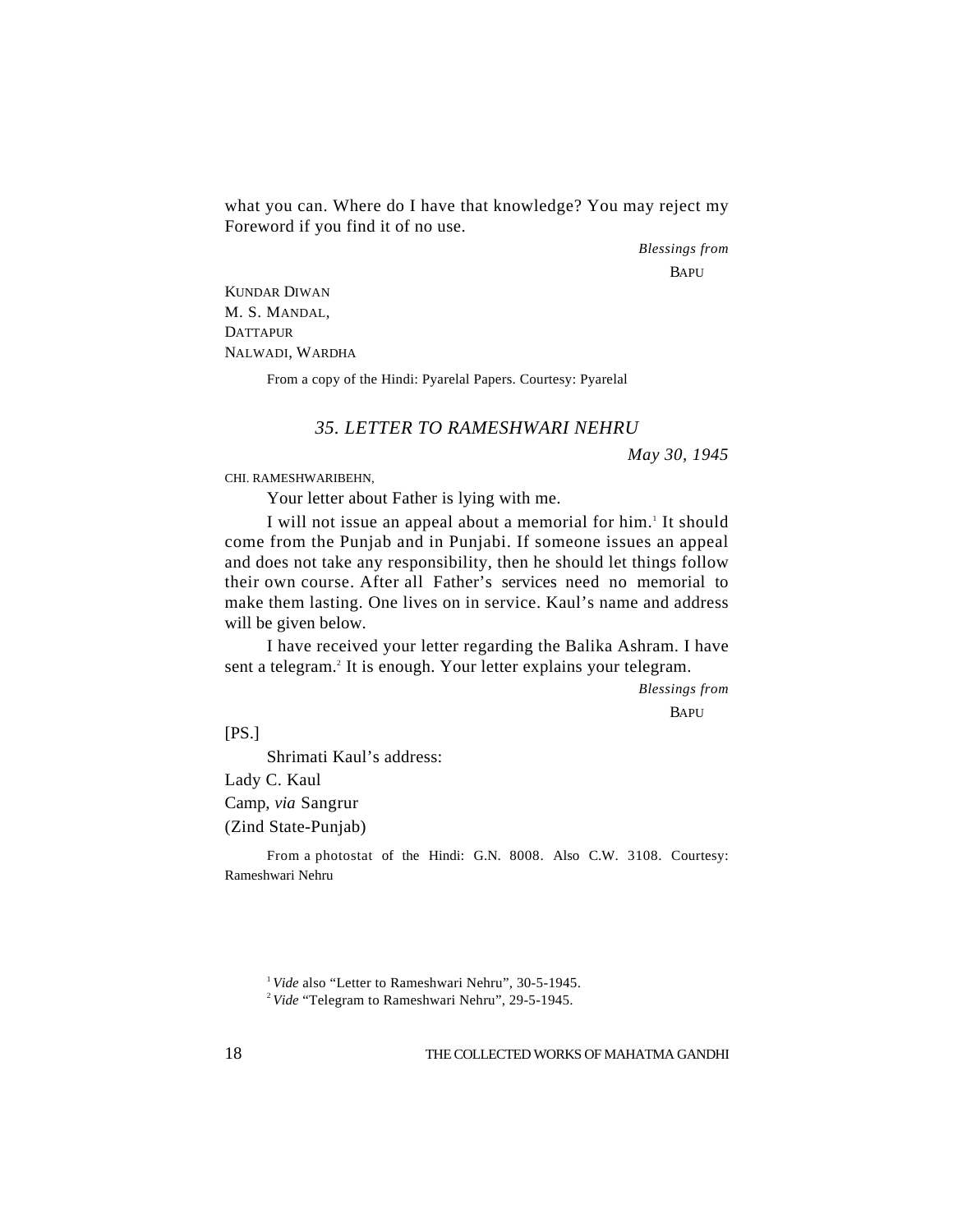what you can. Where do I have that knowledge? You may reject my Foreword if you find it of no use.

> *Blessings from* **BAPU**

KUNDAR DIWAN M. S. MANDAL, **DATTAPUR** NALWADI, WARDHA

From a copy of the Hindi: Pyarelal Papers. Courtesy: Pyarelal

#### *35. LETTER TO RAMESHWARI NEHRU*

*May 30, 1945*

CHI. RAMESHWARIBEHN,

Your letter about Father is lying with me.

I will not issue an appeal about a memorial for him.<sup>1</sup> It should come from the Punjab and in Punjabi. If someone issues an appeal and does not take any responsibility, then he should let things follow their own course. After all Father's services need no memorial to make them lasting. One lives on in service. Kaul's name and address will be given below.

I have received your letter regarding the Balika Ashram. I have sent a telegram.<sup>2</sup> It is enough. Your letter explains your telegram.

*Blessings from*

BAPU

[PS.]

Shrimati Kaul's address:

Lady C. Kaul

Camp, *via* Sangrur

(Zind State-Punjab)

From a photostat of the Hindi: G.N. 8008. Also C.W. 3108. Courtesy: Rameshwari Nehru

<sup>&</sup>lt;sup>1</sup> Vide also "Letter to Rameshwari Nehru", 30-5-1945.

<sup>2</sup>*Vide* "Telegram to Rameshwari Nehru", 29-5-1945.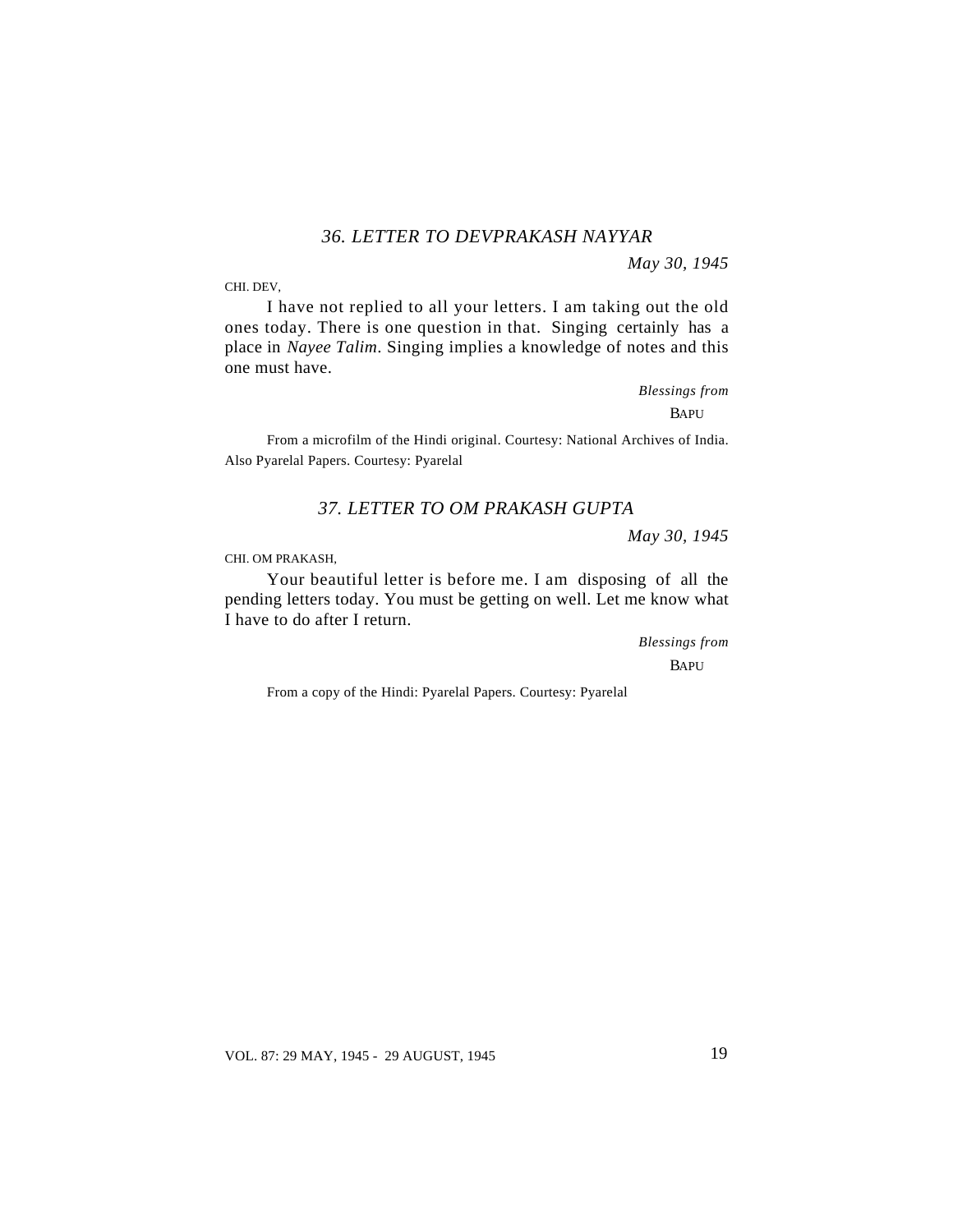#### *36. LETTER TO DEVPRAKASH NAYYAR*

*May 30, 1945*

CHI. DEV,

I have not replied to all your letters. I am taking out the old ones today. There is one question in that. Singing certainly has a place in *Nayee Talim*. Singing implies a knowledge of notes and this one must have.

> *Blessings from* **BAPU**

From a microfilm of the Hindi original. Courtesy: National Archives of India. Also Pyarelal Papers. Courtesy: Pyarelal

#### *37. LETTER TO OM PRAKASH GUPTA*

*May 30, 1945*

CHI. OM PRAKASH,

Your beautiful letter is before me. I am disposing of all the pending letters today. You must be getting on well. Let me know what I have to do after I return.

> *Blessings from* **BAPU**

From a copy of the Hindi: Pyarelal Papers. Courtesy: Pyarelal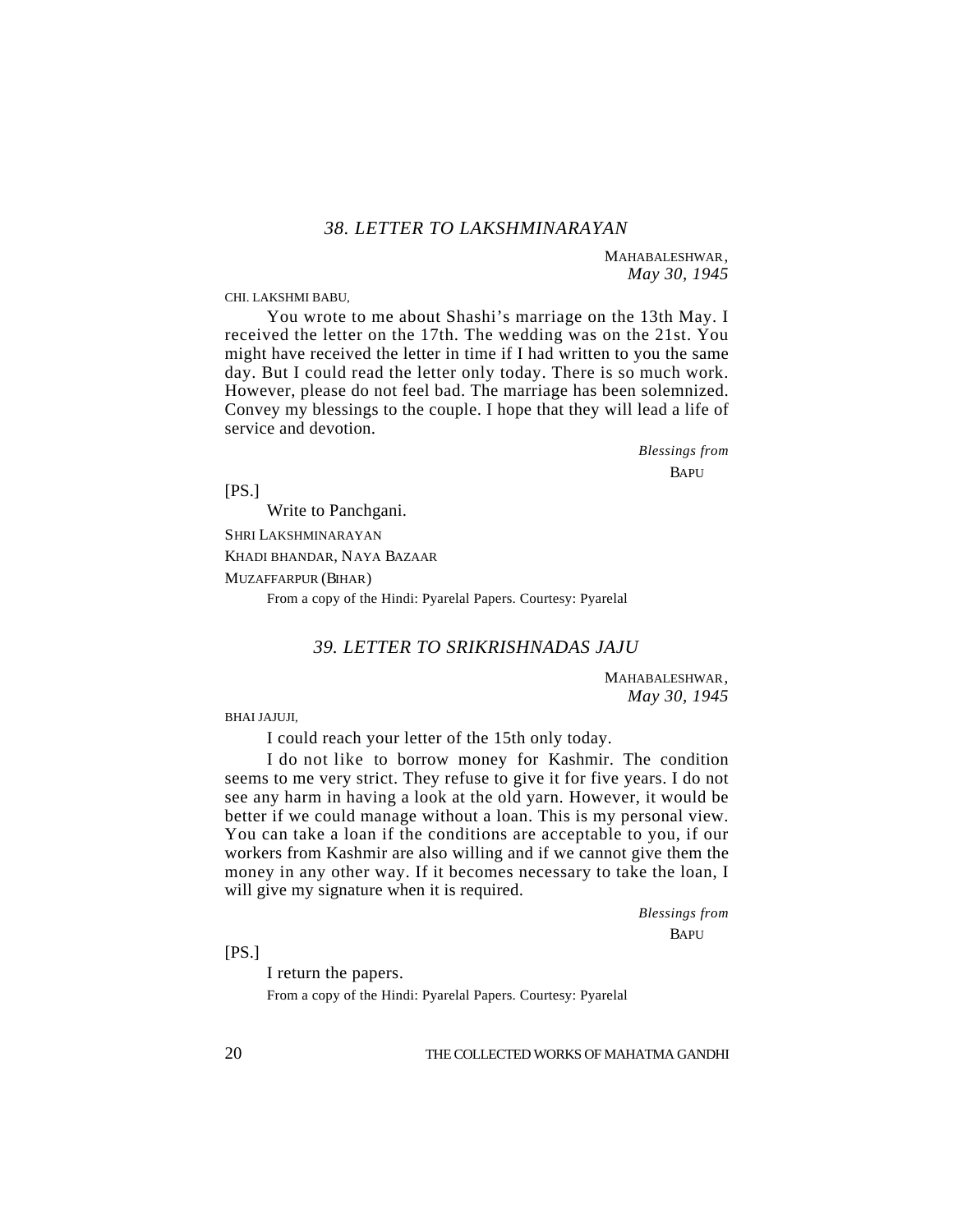#### *38. LETTER TO LAKSHMINARAYAN*

MAHABALESHWAR, *May 30, 1945*

CHI. LAKSHMI BABU,

You wrote to me about Shashi's marriage on the 13th May. I received the letter on the 17th. The wedding was on the 21st. You might have received the letter in time if I had written to you the same day. But I could read the letter only today. There is so much work. However, please do not feel bad. The marriage has been solemnized. Convey my blessings to the couple. I hope that they will lead a life of service and devotion.

> *Blessings from* **BAPU**

[PS.]

Write to Panchgani.

SHRI LAKSHMINARAYAN

KHADI BHANDAR, NAYA BAZAAR

MUZAFFARPUR (BIHAR)

From a copy of the Hindi: Pyarelal Papers. Courtesy: Pyarelal

#### *39. LETTER TO SRIKRISHNADAS JAJU*

MAHABALESHWAR, *May 30, 1945*

BHAI JAJUJI,

I could reach your letter of the 15th only today.

I do not like to borrow money for Kashmir. The condition seems to me very strict. They refuse to give it for five years. I do not see any harm in having a look at the old yarn. However, it would be better if we could manage without a loan. This is my personal view. You can take a loan if the conditions are acceptable to you, if our workers from Kashmir are also willing and if we cannot give them the money in any other way. If it becomes necessary to take the loan, I will give my signature when it is required.

> *Blessings from* **BAPU**

[PS.]

I return the papers. From a copy of the Hindi: Pyarelal Papers. Courtesy: Pyarelal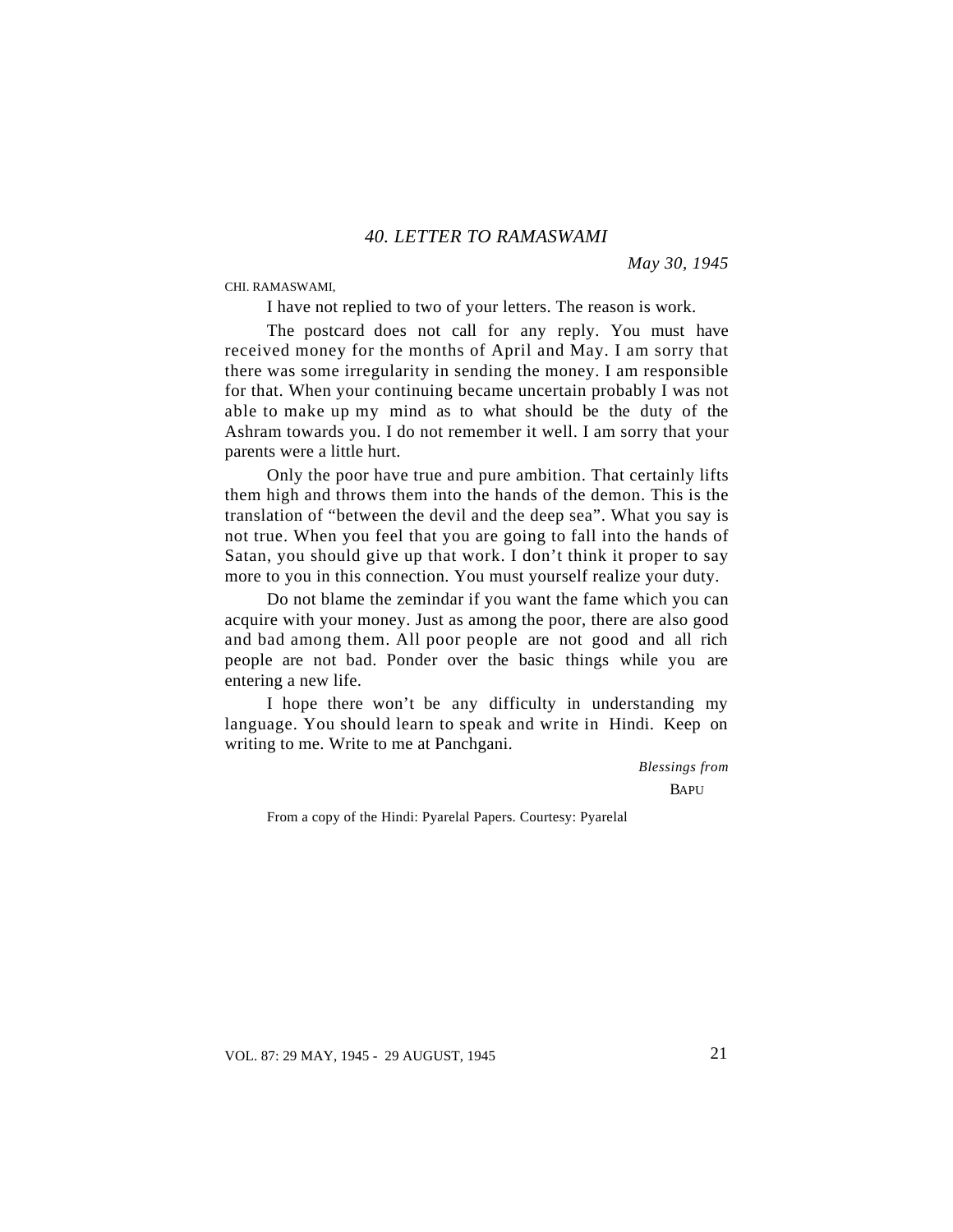CHI. RAMASWAMI,

I have not replied to two of your letters. The reason is work.

The postcard does not call for any reply. You must have received money for the months of April and May. I am sorry that there was some irregularity in sending the money. I am responsible for that. When your continuing became uncertain probably I was not able to make up my mind as to what should be the duty of the Ashram towards you. I do not remember it well. I am sorry that your parents were a little hurt.

Only the poor have true and pure ambition. That certainly lifts them high and throws them into the hands of the demon. This is the translation of "between the devil and the deep sea". What you say is not true. When you feel that you are going to fall into the hands of Satan, you should give up that work. I don't think it proper to say more to you in this connection. You must yourself realize your duty.

Do not blame the zemindar if you want the fame which you can acquire with your money. Just as among the poor, there are also good and bad among them. All poor people are not good and all rich people are not bad. Ponder over the basic things while you are entering a new life.

I hope there won't be any difficulty in understanding my language. You should learn to speak and write in Hindi. Keep on writing to me. Write to me at Panchgani.

*Blessings from*

**BAPU** 

From a copy of the Hindi: Pyarelal Papers. Courtesy: Pyarelal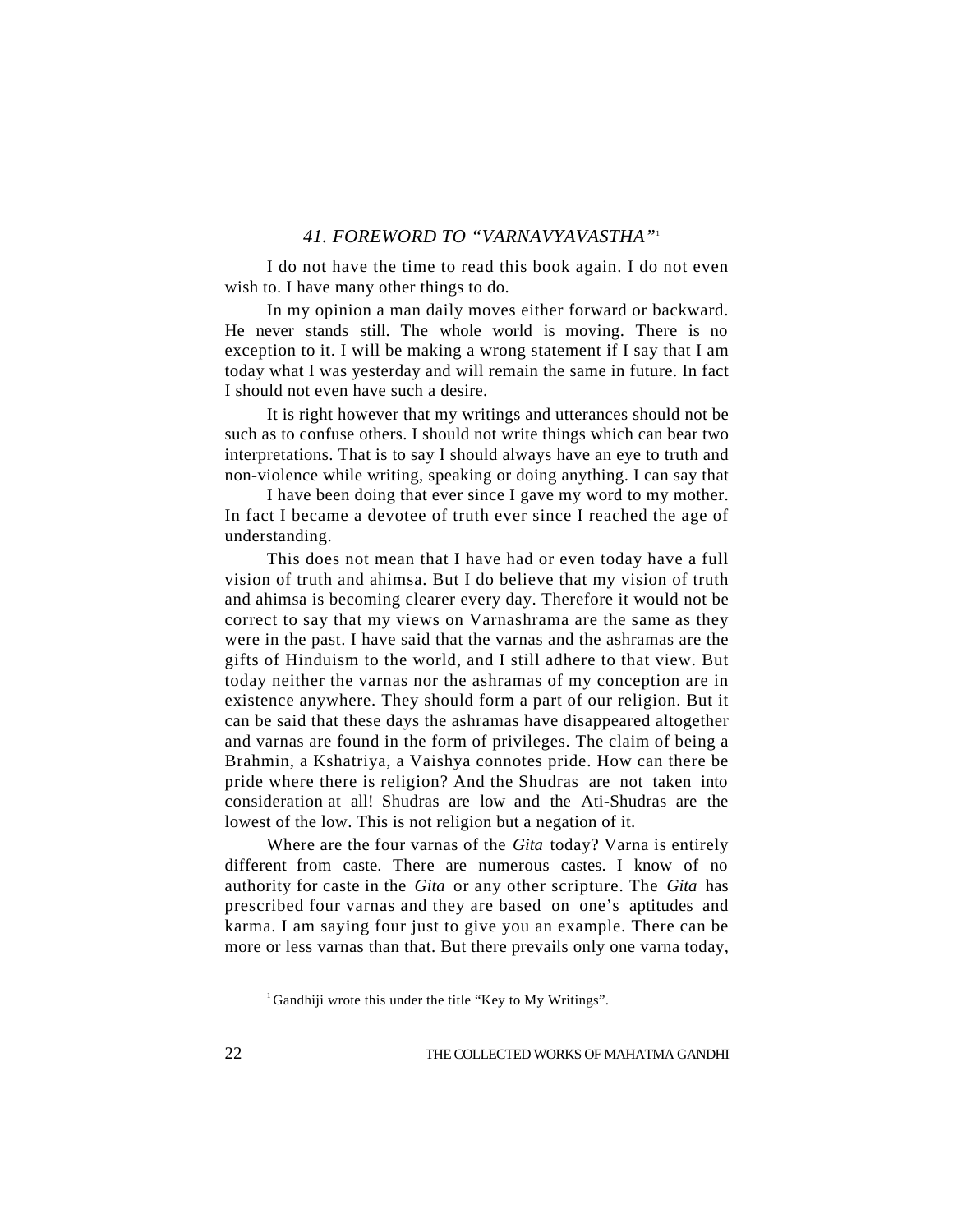#### *41. FOREWORD TO "VARNAVYAVASTHA"*<sup>1</sup>

I do not have the time to read this book again. I do not even wish to. I have many other things to do.

In my opinion a man daily moves either forward or backward. He never stands still. The whole world is moving. There is no exception to it. I will be making a wrong statement if I say that I am today what I was yesterday and will remain the same in future. In fact I should not even have such a desire.

It is right however that my writings and utterances should not be such as to confuse others. I should not write things which can bear two interpretations. That is to say I should always have an eye to truth and non-violence while writing, speaking or doing anything. I can say that

I have been doing that ever since I gave my word to my mother. In fact I became a devotee of truth ever since I reached the age of understanding.

This does not mean that I have had or even today have a full vision of truth and ahimsa. But I do believe that my vision of truth and ahimsa is becoming clearer every day. Therefore it would not be correct to say that my views on Varnashrama are the same as they were in the past. I have said that the varnas and the ashramas are the gifts of Hinduism to the world, and I still adhere to that view. But today neither the varnas nor the ashramas of my conception are in existence anywhere. They should form a part of our religion. But it can be said that these days the ashramas have disappeared altogether and varnas are found in the form of privileges. The claim of being a Brahmin, a Kshatriya, a Vaishya connotes pride. How can there be pride where there is religion? And the Shudras are not taken into consideration at all! Shudras are low and the Ati-Shudras are the lowest of the low. This is not religion but a negation of it.

Where are the four varnas of the *Gita* today? Varna is entirely different from caste. There are numerous castes. I know of no authority for caste in the *Gita* or any other scripture. The *Gita* has prescribed four varnas and they are based on one's aptitudes and karma. I am saying four just to give you an example. There can be more or less varnas than that. But there prevails only one varna today,

 $1$ Gandhiji wrote this under the title "Key to My Writings".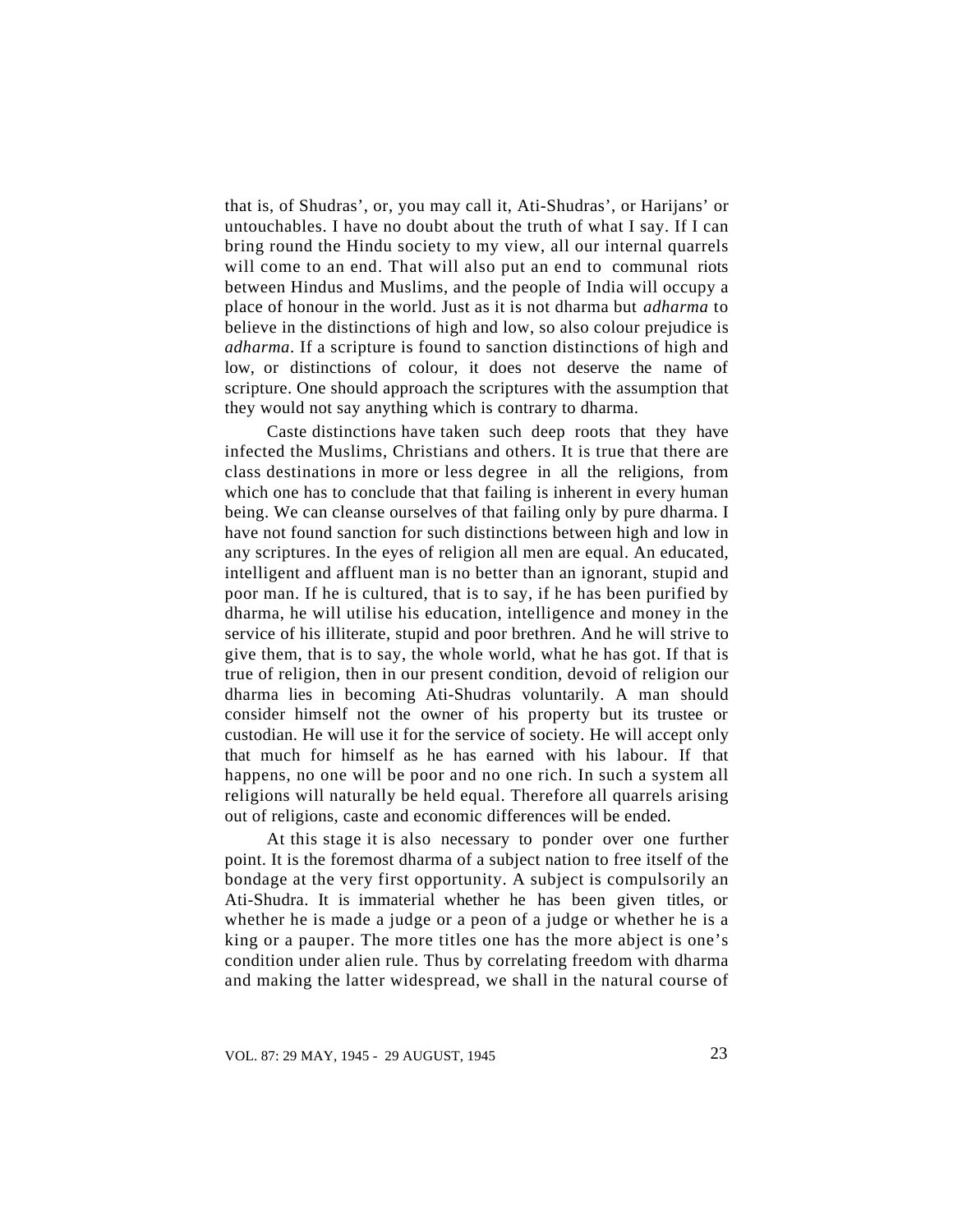that is, of Shudras', or, you may call it, Ati-Shudras', or Harijans' or untouchables. I have no doubt about the truth of what I say. If I can bring round the Hindu society to my view, all our internal quarrels will come to an end. That will also put an end to communal riots between Hindus and Muslims, and the people of India will occupy a place of honour in the world. Just as it is not dharma but *adharma* to believe in the distinctions of high and low, so also colour prejudice is *adharma*. If a scripture is found to sanction distinctions of high and low, or distinctions of colour, it does not deserve the name of scripture. One should approach the scriptures with the assumption that they would not say anything which is contrary to dharma.

Caste distinctions have taken such deep roots that they have infected the Muslims, Christians and others. It is true that there are class destinations in more or less degree in all the religions, from which one has to conclude that that failing is inherent in every human being. We can cleanse ourselves of that failing only by pure dharma. I have not found sanction for such distinctions between high and low in any scriptures. In the eyes of religion all men are equal. An educated, intelligent and affluent man is no better than an ignorant, stupid and poor man. If he is cultured, that is to say, if he has been purified by dharma, he will utilise his education, intelligence and money in the service of his illiterate, stupid and poor brethren. And he will strive to give them, that is to say, the whole world, what he has got. If that is true of religion, then in our present condition, devoid of religion our dharma lies in becoming Ati-Shudras voluntarily. A man should consider himself not the owner of his property but its trustee or custodian. He will use it for the service of society. He will accept only that much for himself as he has earned with his labour. If that happens, no one will be poor and no one rich. In such a system all religions will naturally be held equal. Therefore all quarrels arising out of religions, caste and economic differences will be ended.

At this stage it is also necessary to ponder over one further point. It is the foremost dharma of a subject nation to free itself of the bondage at the very first opportunity. A subject is compulsorily an Ati-Shudra. It is immaterial whether he has been given titles, or whether he is made a judge or a peon of a judge or whether he is a king or a pauper. The more titles one has the more abject is one's condition under alien rule. Thus by correlating freedom with dharma and making the latter widespread, we shall in the natural course of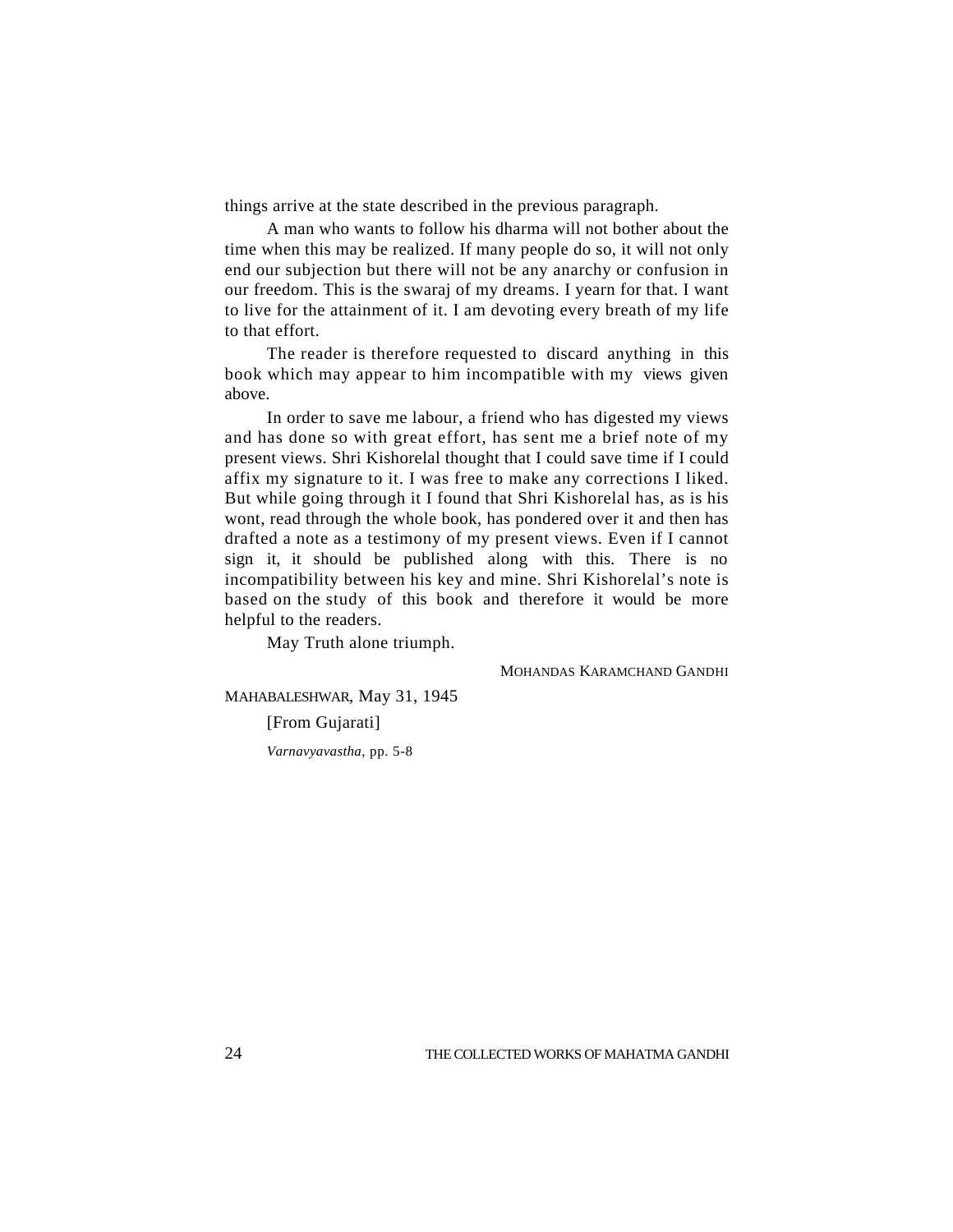things arrive at the state described in the previous paragraph.

A man who wants to follow his dharma will not bother about the time when this may be realized. If many people do so, it will not only end our subjection but there will not be any anarchy or confusion in our freedom. This is the swaraj of my dreams. I yearn for that. I want to live for the attainment of it. I am devoting every breath of my life to that effort.

The reader is therefore requested to discard anything in this book which may appear to him incompatible with my views given above.

In order to save me labour, a friend who has digested my views and has done so with great effort, has sent me a brief note of my present views. Shri Kishorelal thought that I could save time if I could affix my signature to it. I was free to make any corrections I liked. But while going through it I found that Shri Kishorelal has, as is his wont, read through the whole book, has pondered over it and then has drafted a note as a testimony of my present views. Even if I cannot sign it, it should be published along with this. There is no incompatibility between his key and mine. Shri Kishorelal's note is based on the study of this book and therefore it would be more helpful to the readers.

May Truth alone triumph.

MOHANDAS KARAMCHAND GANDHI

MAHABALESHWAR, May 31, 1945

[From Gujarati]

*Varnavyavastha*, pp. 5-8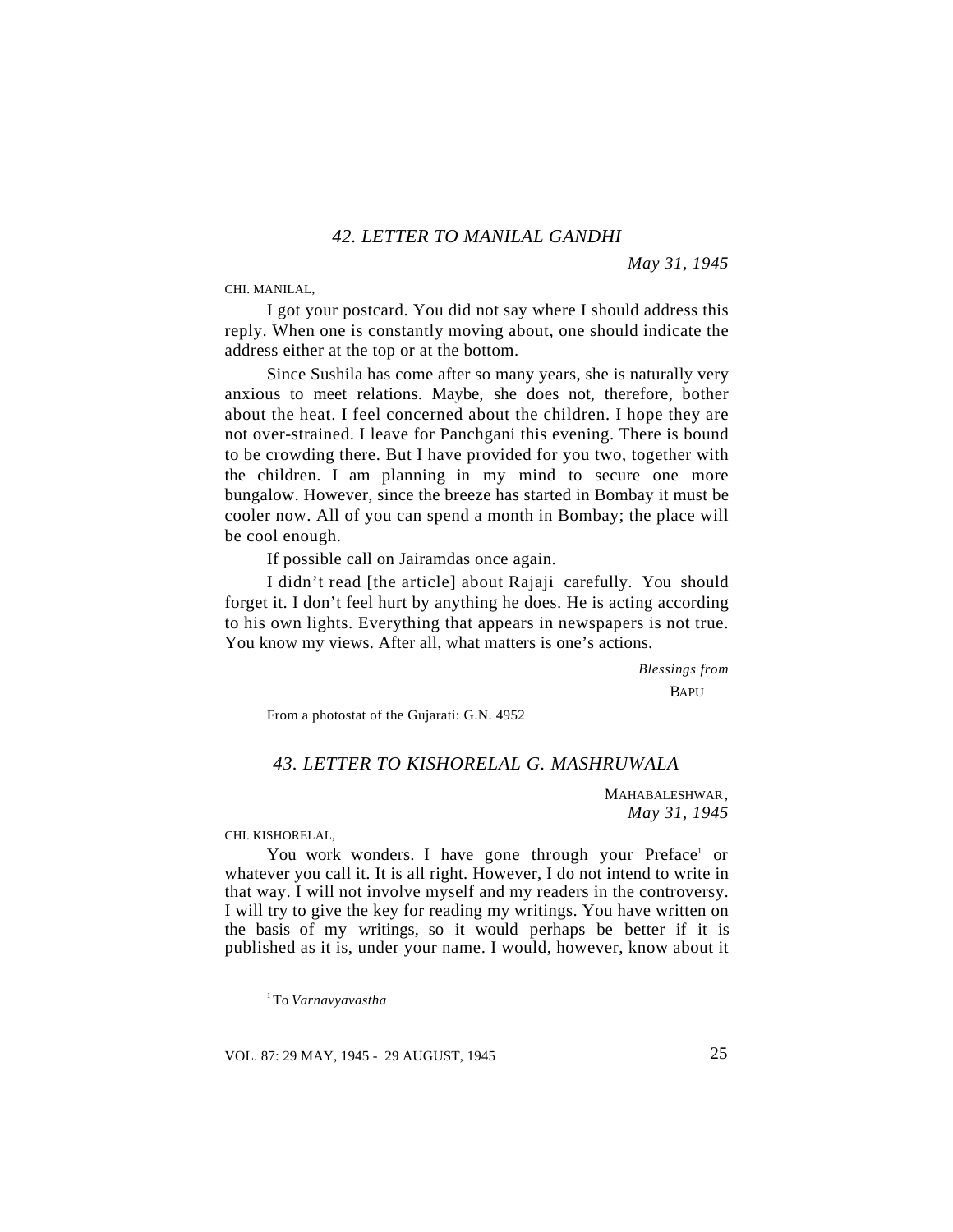*May 31, 1945*

CHI. MANILAL,

I got your postcard. You did not say where I should address this reply. When one is constantly moving about, one should indicate the address either at the top or at the bottom.

Since Sushila has come after so many years, she is naturally very anxious to meet relations. Maybe, she does not, therefore, bother about the heat. I feel concerned about the children. I hope they are not over-strained. I leave for Panchgani this evening. There is bound to be crowding there. But I have provided for you two, together with the children. I am planning in my mind to secure one more bungalow. However, since the breeze has started in Bombay it must be cooler now. All of you can spend a month in Bombay; the place will be cool enough.

If possible call on Jairamdas once again.

I didn't read [the article] about Rajaji carefully. You should forget it. I don't feel hurt by anything he does. He is acting according to his own lights. Everything that appears in newspapers is not true. You know my views. After all, what matters is one's actions.

> *Blessings from* **BAPU**

From a photostat of the Gujarati: G.N. 4952

#### *43. LETTER TO KISHORELAL G. MASHRUWALA*

MAHABALESHWAR, *May 31, 1945*

CHI. KISHORELAL,

You work wonders. I have gone through your Preface or whatever you call it. It is all right. However, I do not intend to write in that way. I will not involve myself and my readers in the controversy. I will try to give the key for reading my writings. You have written on the basis of my writings, so it would perhaps be better if it is published as it is, under your name. I would, however, know about it

<sup>1</sup>To *Varnavyavastha*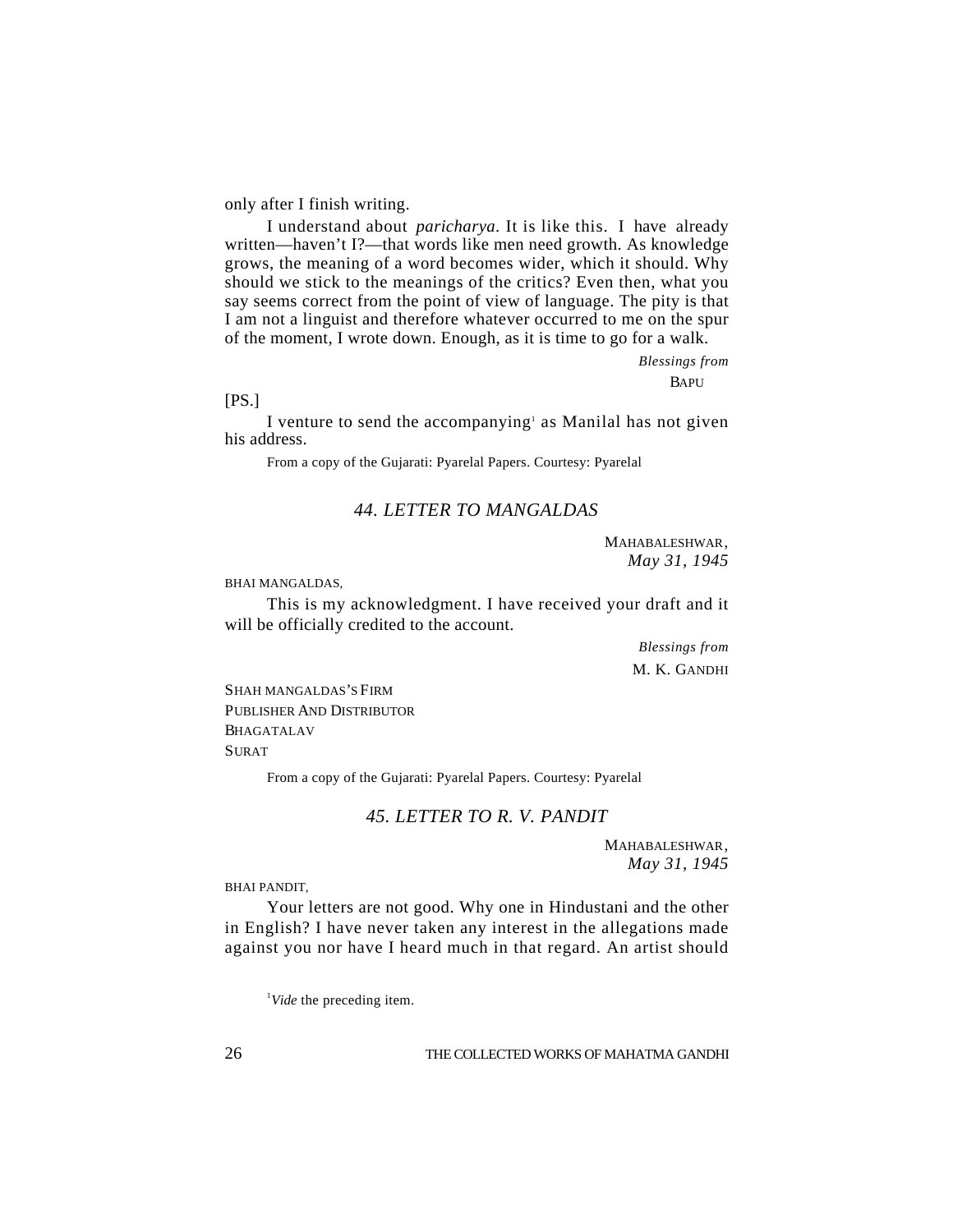only after I finish writing.

I understand about *paricharya*. It is like this. I have already written—haven't I?—that words like men need growth. As knowledge grows, the meaning of a word becomes wider, which it should. Why should we stick to the meanings of the critics? Even then, what you say seems correct from the point of view of language. The pity is that I am not a linguist and therefore whatever occurred to me on the spur of the moment, I wrote down. Enough, as it is time to go for a walk.

> *Blessings from* **BAPU**

#### $[PS.]$

I venture to send the accompanying<sup>1</sup> as Manilal has not given his address.

From a copy of the Gujarati: Pyarelal Papers. Courtesy: Pyarelal

#### *44. LETTER TO MANGALDAS*

MAHABALESHWAR, *May 31, 1945*

BHAI MANGALDAS,

This is my acknowledgment. I have received your draft and it will be officially credited to the account.

> *Blessings from* M. K. GANDHI

SHAH MANGALDAS'S FIRM PUBLISHER AND DISTRIBUTOR **BHAGATALAV SURAT** 

From a copy of the Gujarati: Pyarelal Papers. Courtesy: Pyarelal

#### *45. LETTER TO R. V. PANDIT*

MAHABALESHWAR, *May 31, 1945*

BHAI PANDIT,

Your letters are not good. Why one in Hindustani and the other in English? I have never taken any interest in the allegations made against you nor have I heard much in that regard. An artist should

<sup>1</sup>*Vide* the preceding item.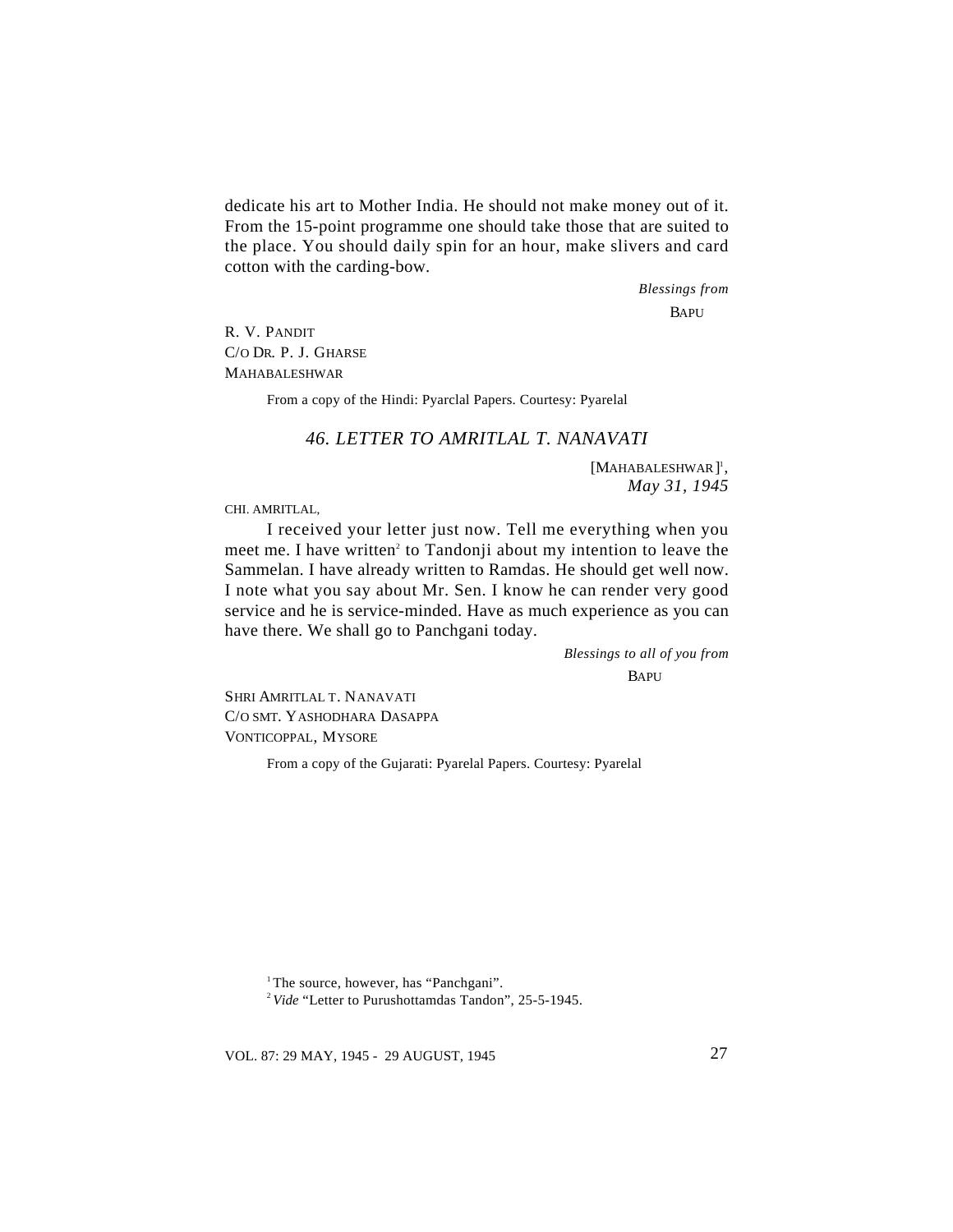dedicate his art to Mother India. He should not make money out of it. From the 15-point programme one should take those that are suited to the place. You should daily spin for an hour, make slivers and card cotton with the carding-bow.

> *Blessings from* **BAPU**

R. V. PANDIT C/O DR. P. J. GHARSE MAHABALESHWAR

From a copy of the Hindi: Pyarclal Papers. Courtesy: Pyarelal

#### *46. LETTER TO AMRITLAL T. NANAVATI*

[MAHABALESHWAR]<sup>1</sup>, *May 31, 1945*

CHI. AMRITLAL,

I received your letter just now. Tell me everything when you meet me. I have written<sup>2</sup> to Tandonji about my intention to leave the Sammelan. I have already written to Ramdas. He should get well now. I note what you say about Mr. Sen. I know he can render very good service and he is service-minded. Have as much experience as you can have there. We shall go to Panchgani today.

*Blessings to all of you from*

**BAPU** 

SHRI AMRITLAL T. NANAVATI C/O SMT. YASHODHARA DASAPPA VONTICOPPAL, MYSORE

From a copy of the Gujarati: Pyarelal Papers. Courtesy: Pyarelal

<sup>&</sup>lt;sup>1</sup>The source, however, has "Panchgani".

<sup>2</sup>*Vide* "Letter to Purushottamdas Tandon", 25-5-1945.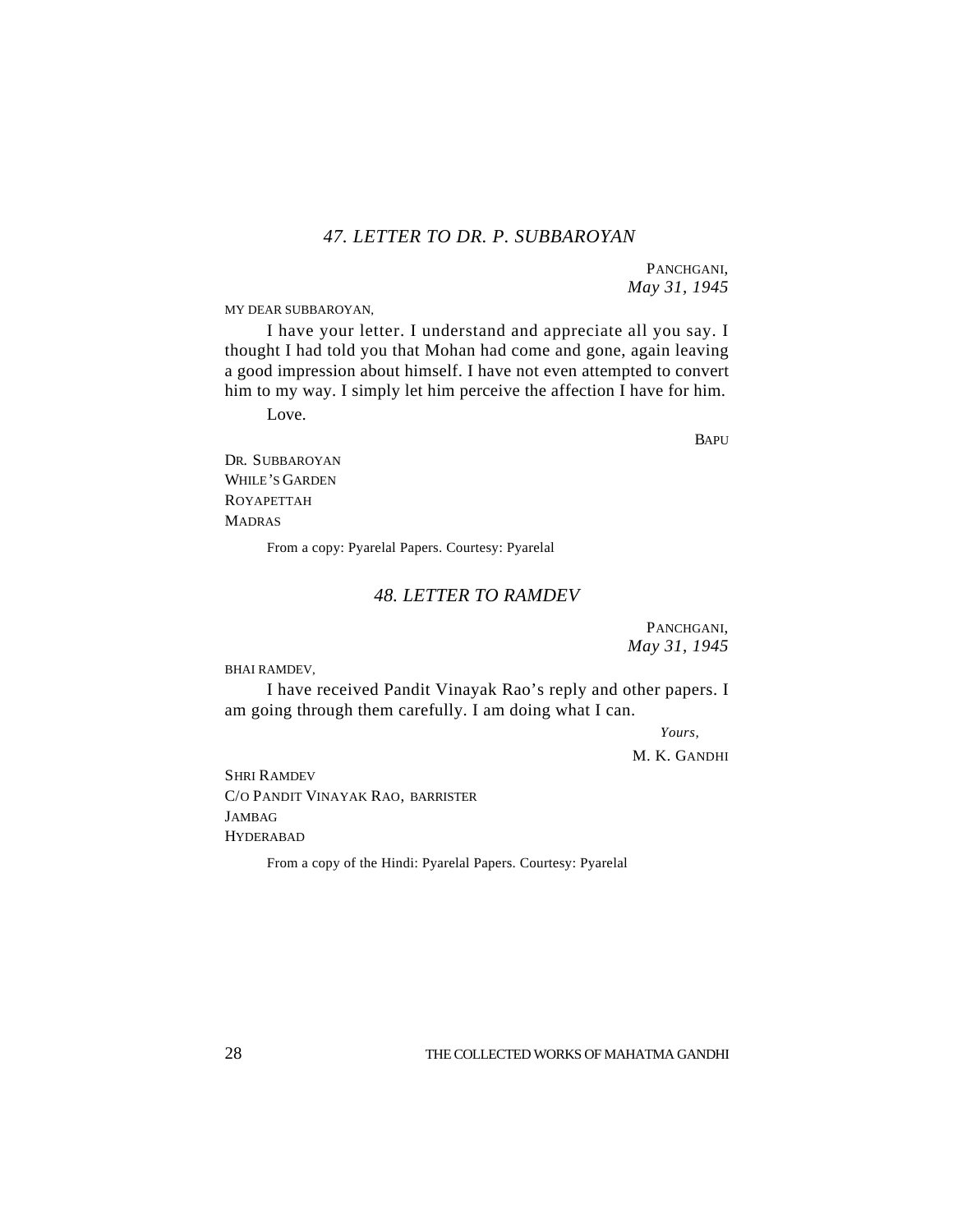# *47. LETTER TO DR. P. SUBBAROYAN*

PANCHGANI, *May 31, 1945*

MY DEAR SUBBAROYAN,

I have your letter. I understand and appreciate all you say. I thought I had told you that Mohan had come and gone, again leaving a good impression about himself. I have not even attempted to convert him to my way. I simply let him perceive the affection I have for him.

Love.

DR. SUBBAROYAN WHILE'S GARDEN ROYAPETTAH MADRAS

From a copy: Pyarelal Papers. Courtesy: Pyarelal

# *48. LETTER TO RAMDEV*

PANCHGANI, *May 31, 1945*

BHAI RAMDEV,

I have received Pandit Vinayak Rao's reply and other papers. I am going through them carefully. I am doing what I can.

> *Yours,* M. K. GANDHI

SHRI RAMDEV C/O PANDIT VINAYAK RAO, BARRISTER JAMBAG HYDERABAD

From a copy of the Hindi: Pyarelal Papers. Courtesy: Pyarelal

**BAPU**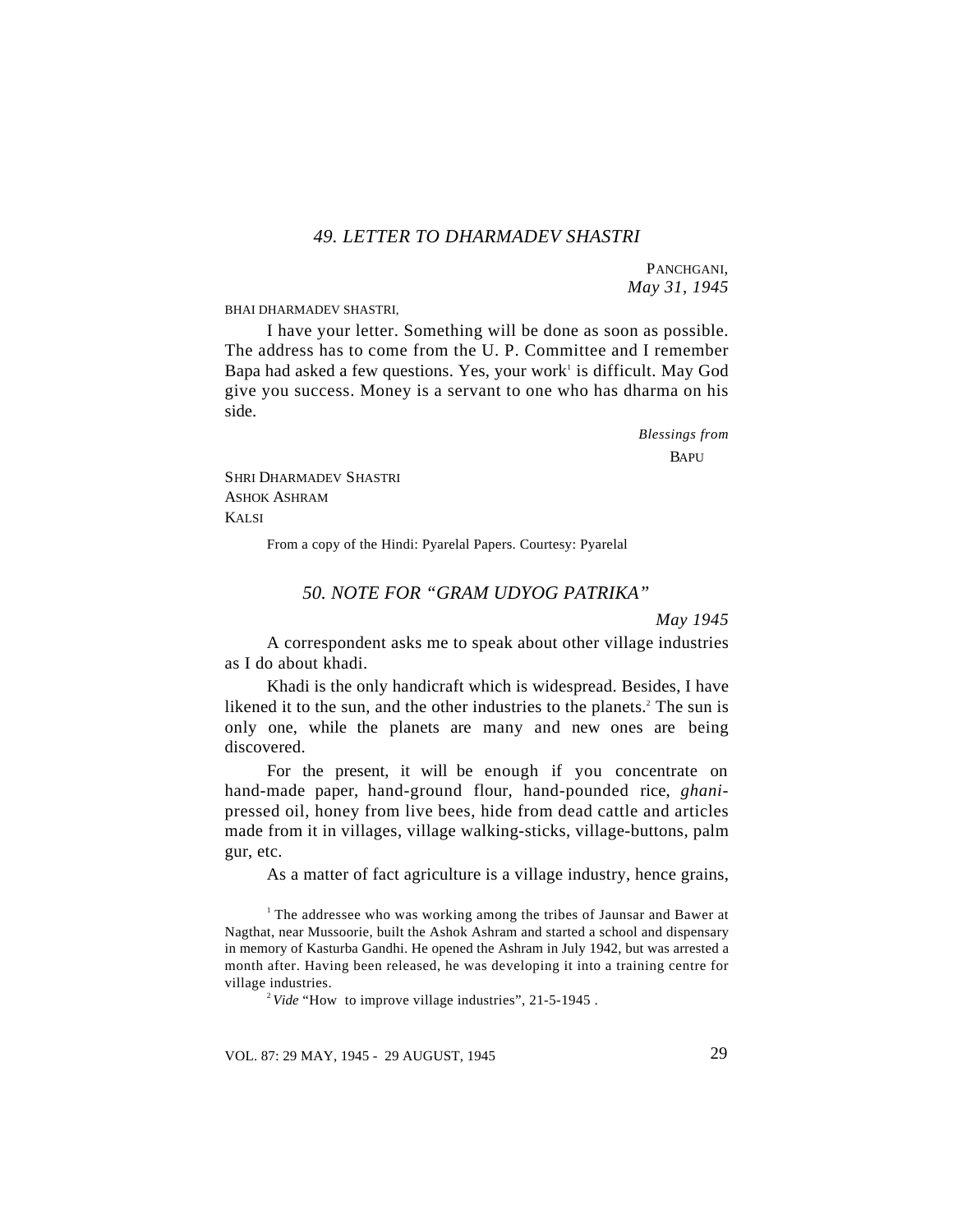#### *49. LETTER TO DHARMADEV SHASTRI*

PANCHGANI, *May 31, 1945*

#### BHAI DHARMADEV SHASTRI,

I have your letter. Something will be done as soon as possible. The address has to come from the U. P. Committee and I remember Bapa had asked a few questions. Yes, your work<sup>1</sup> is difficult. May God give you success. Money is a servant to one who has dharma on his side.

> *Blessings from* **BAPU**

SHRI DHARMADEV SHASTRI ASHOK ASHRAM KALSI

From a copy of the Hindi: Pyarelal Papers. Courtesy: Pyarelal

#### *50. NOTE FOR "GRAM UDYOG PATRIKA"*

*May 1945*

A correspondent asks me to speak about other village industries as I do about khadi.

Khadi is the only handicraft which is widespread. Besides, I have likened it to the sun, and the other industries to the planets.<sup>2</sup> The sun is only one, while the planets are many and new ones are being discovered.

For the present, it will be enough if you concentrate on hand-made paper, hand-ground flour, hand-pounded rice, *ghani*pressed oil, honey from live bees, hide from dead cattle and articles made from it in villages, village walking-sticks, village-buttons, palm gur, etc.

As a matter of fact agriculture is a village industry, hence grains,

<sup>1</sup> The addressee who was working among the tribes of Jaunsar and Bawer at Nagthat, near Mussoorie, built the Ashok Ashram and started a school and dispensary in memory of Kasturba Gandhi. He opened the Ashram in July 1942, but was arrested a month after. Having been released, he was developing it into a training centre for village industries.

<sup>2</sup>*Vide* "How to improve village industries", 21-5-1945 .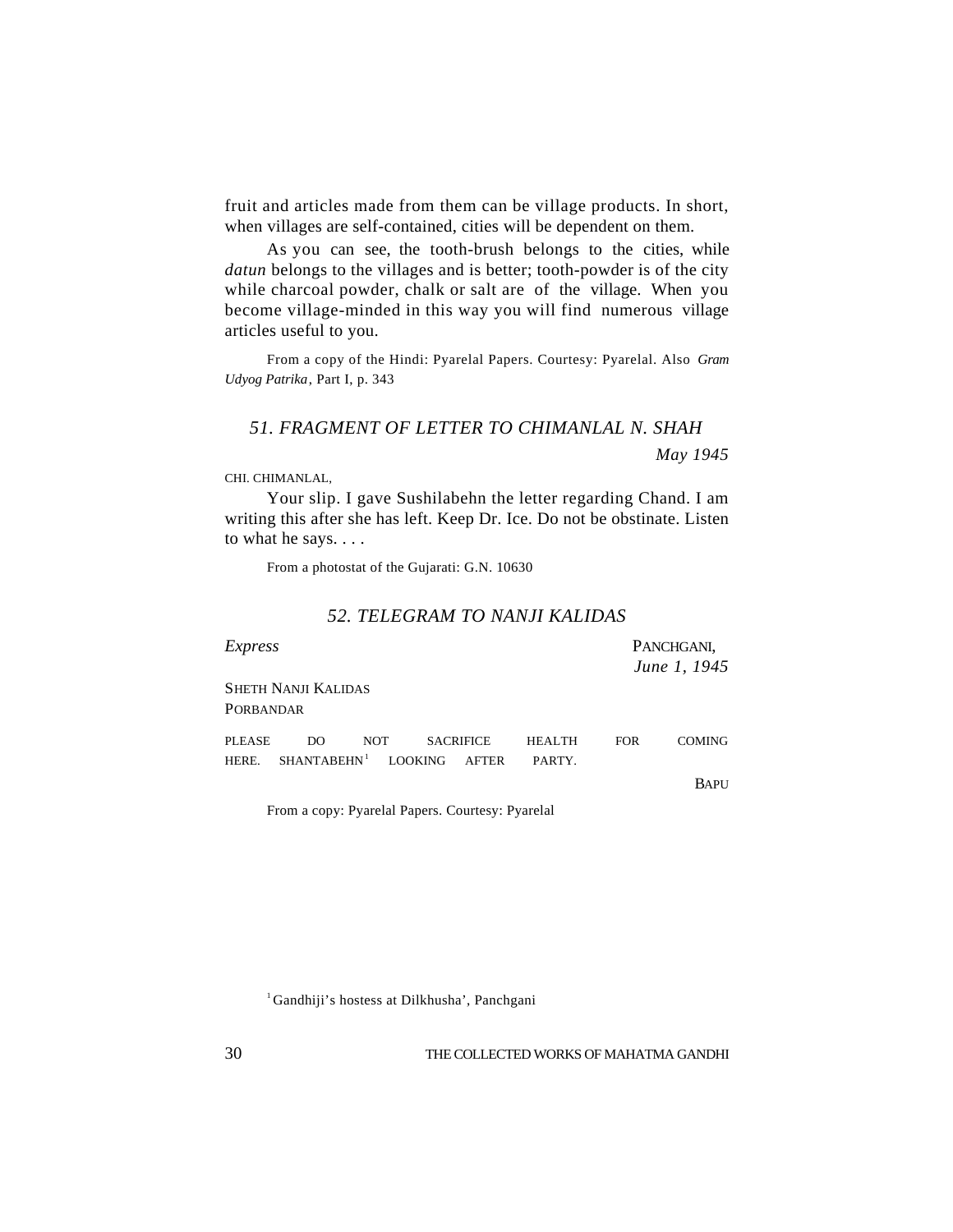fruit and articles made from them can be village products. In short, when villages are self-contained, cities will be dependent on them.

As you can see, the tooth-brush belongs to the cities, while *datun* belongs to the villages and is better; tooth-powder is of the city while charcoal powder, chalk or salt are of the village. When you become village-minded in this way you will find numerous village articles useful to you.

From a copy of the Hindi: Pyarelal Papers. Courtesy: Pyarelal. Also *Gram Udyog Patrika*, Part I, p. 343

#### *51. FRAGMENT OF LETTER TO CHIMANLAL N. SHAH*

*May 1945*

CHI. CHIMANLAL,

Your slip. I gave Sushilabehn the letter regarding Chand. I am writing this after she has left. Keep Dr. Ice. Do not be obstinate. Listen to what he says. . . .

From a photostat of the Gujarati: G.N. 10630

#### *52. TELEGRAM TO NANJI KALIDAS*

| <i>Express</i>                                                                                |                                  | PANCHGANI,<br>June 1, 1945 |               |
|-----------------------------------------------------------------------------------------------|----------------------------------|----------------------------|---------------|
| SHETH NANJI KALIDAS<br>PORBANDAR                                                              |                                  |                            |               |
| PLEASE<br><b>NOT</b><br><b>SACRIFICE</b><br>DO.<br>$SHANTABEHN$ <sup>1</sup> LOOKING<br>HERE. | <b>HEALTH</b><br>AFTER<br>PARTY. | <b>FOR</b>                 | <b>COMING</b> |
|                                                                                               |                                  |                            | <b>BAPU</b>   |

From a copy: Pyarelal Papers. Courtesy: Pyarelal

1 Gandhiji's hostess at Dilkhusha', Panchgani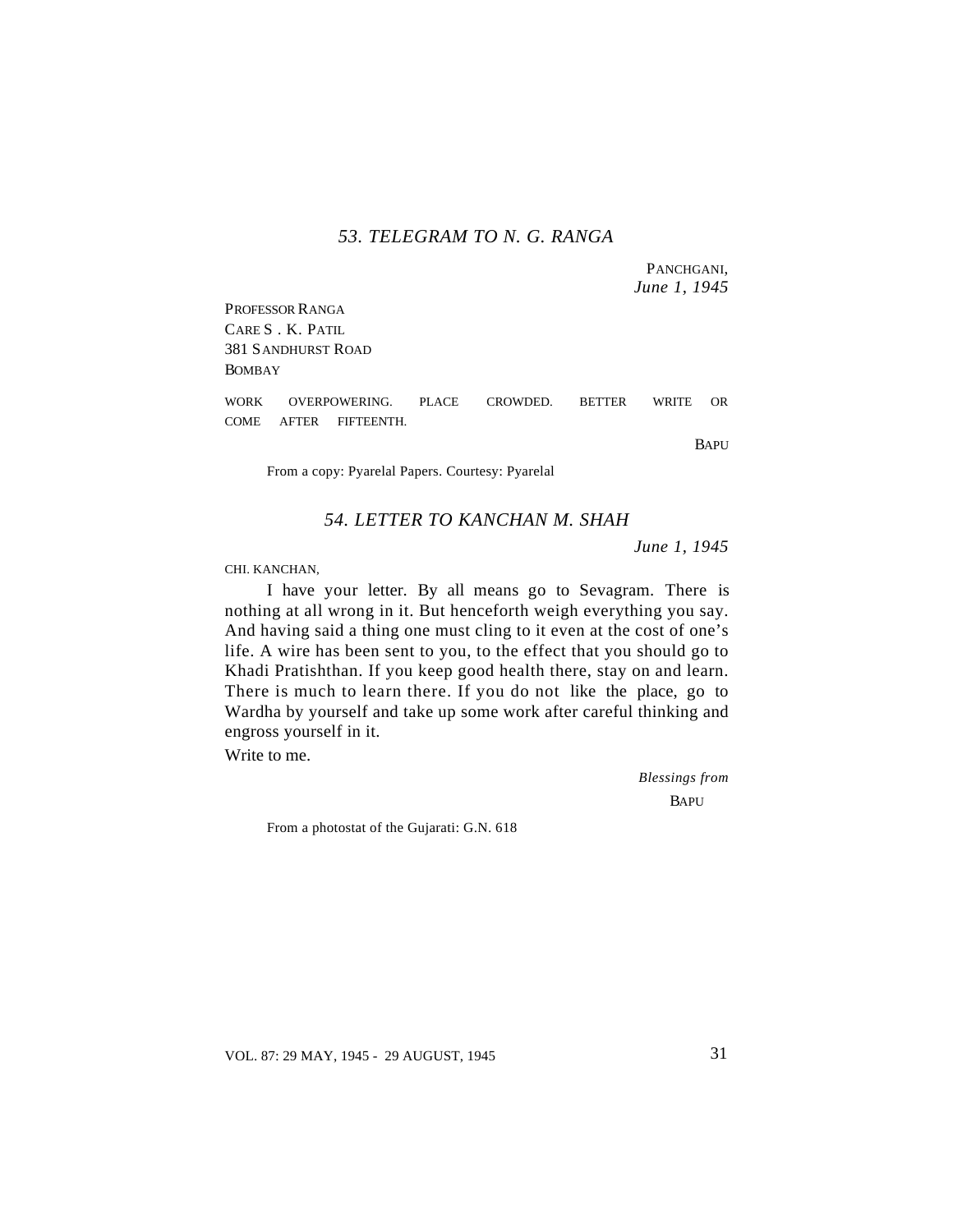#### *53. TELEGRAM TO N. G. RANGA*

PANCHGANI, *June 1, 1945*

PROFESSOR RANGA CARE S . K. PATIL 381 SANDHURST ROAD **BOMBAY** 

WORK OVERPOWERING. PLACE CROWDED. BETTER WRITE OR COME AFTER FIFTEENTH.

**BAPU** 

From a copy: Pyarelal Papers. Courtesy: Pyarelal

#### *54. LETTER TO KANCHAN M. SHAH*

*June 1, 1945*

CHI. KANCHAN,

I have your letter. By all means go to Sevagram. There is nothing at all wrong in it. But henceforth weigh everything you say. And having said a thing one must cling to it even at the cost of one's life. A wire has been sent to you, to the effect that you should go to Khadi Pratishthan. If you keep good health there, stay on and learn. There is much to learn there. If you do not like the place, go to Wardha by yourself and take up some work after careful thinking and engross yourself in it.

Write to me.

*Blessings from* **BAPU** 

From a photostat of the Gujarati: G.N. 618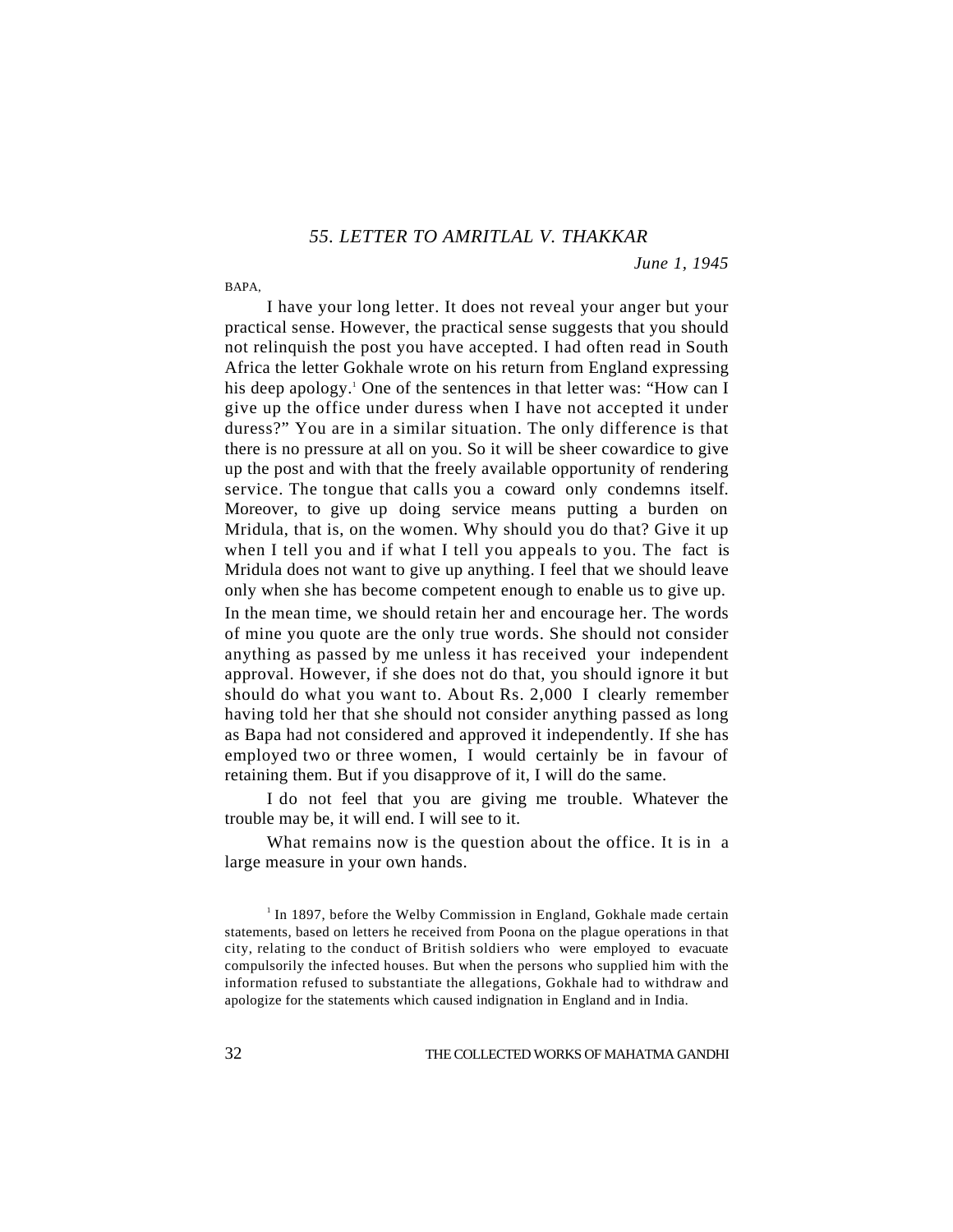*June 1, 1945*

BAPA,

I have your long letter. It does not reveal your anger but your practical sense. However, the practical sense suggests that you should not relinquish the post you have accepted. I had often read in South Africa the letter Gokhale wrote on his return from England expressing his deep apology.<sup>1</sup> One of the sentences in that letter was: "How can I give up the office under duress when I have not accepted it under duress?" You are in a similar situation. The only difference is that there is no pressure at all on you. So it will be sheer cowardice to give up the post and with that the freely available opportunity of rendering service. The tongue that calls you a coward only condemns itself. Moreover, to give up doing service means putting a burden on Mridula, that is, on the women. Why should you do that? Give it up when I tell you and if what I tell you appeals to you. The fact is Mridula does not want to give up anything. I feel that we should leave only when she has become competent enough to enable us to give up. In the mean time, we should retain her and encourage her. The words of mine you quote are the only true words. She should not consider anything as passed by me unless it has received your independent approval. However, if she does not do that, you should ignore it but should do what you want to. About Rs. 2,000 I clearly remember having told her that she should not consider anything passed as long as Bapa had not considered and approved it independently. If she has employed two or three women, I would certainly be in favour of retaining them. But if you disapprove of it, I will do the same.

 I do not feel that you are giving me trouble. Whatever the trouble may be, it will end. I will see to it.

What remains now is the question about the office. It is in a large measure in your own hands.

 $1$  In 1897, before the Welby Commission in England, Gokhale made certain statements, based on letters he received from Poona on the plague operations in that city, relating to the conduct of British soldiers who were employed to evacuate compulsorily the infected houses. But when the persons who supplied him with the information refused to substantiate the allegations, Gokhale had to withdraw and apologize for the statements which caused indignation in England and in India.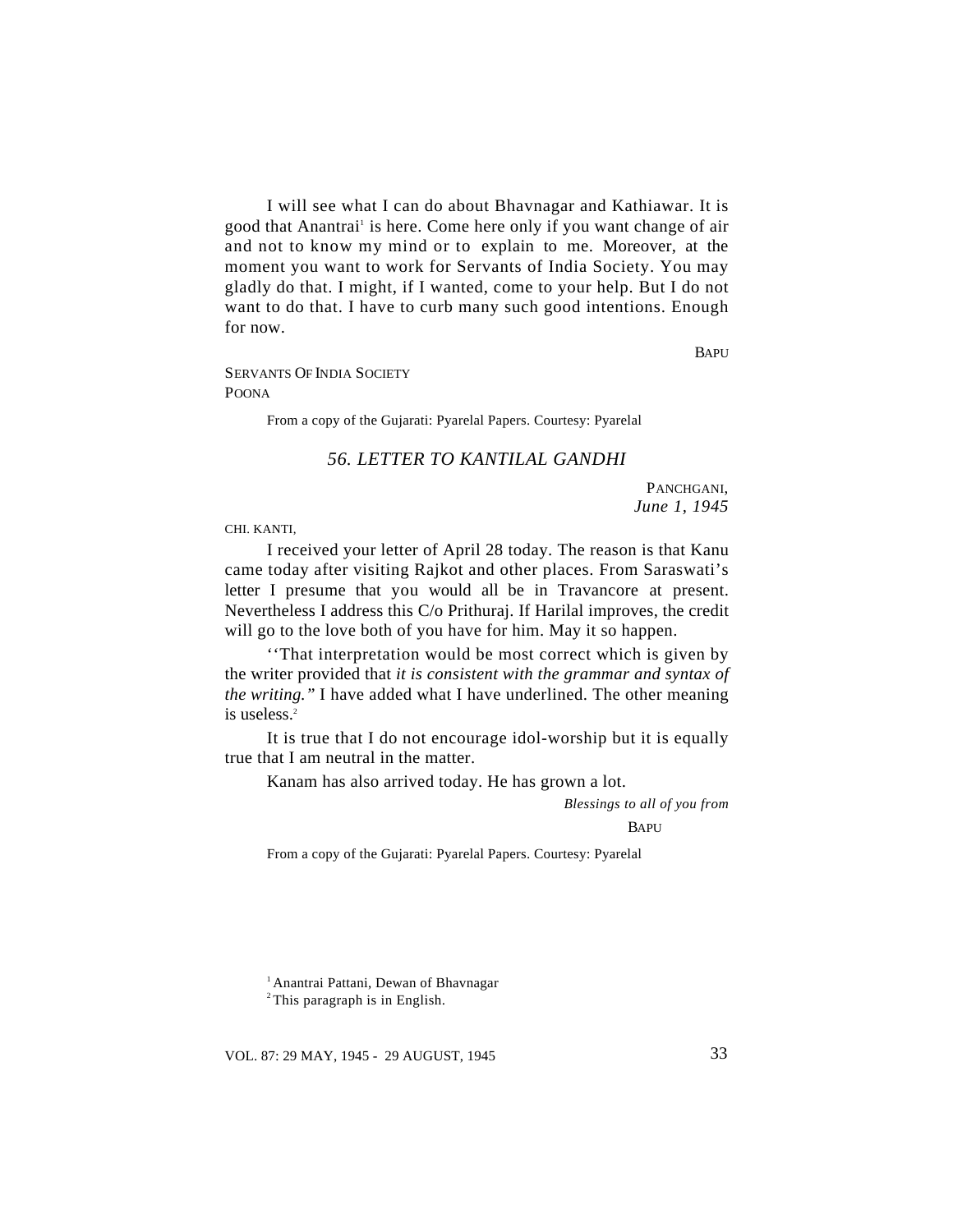I will see what I can do about Bhavnagar and Kathiawar. It is good that Anantrai<sup>1</sup> is here. Come here only if you want change of air and not to know my mind or to explain to me. Moreover, at the moment you want to work for Servants of India Society. You may gladly do that. I might, if I wanted, come to your help. But I do not want to do that. I have to curb many such good intentions. Enough for now.

**BAPU** 

SERVANTS OF INDIA SOCIETY **POONA** 

From a copy of the Gujarati: Pyarelal Papers. Courtesy: Pyarelal

#### *56. LETTER TO KANTILAL GANDHI*

PANCHGANI, *June 1, 1945*

CHI. KANTI,

I received your letter of April 28 today. The reason is that Kanu came today after visiting Rajkot and other places. From Saraswati's letter I presume that you would all be in Travancore at present. Nevertheless I address this C/o Prithuraj. If Harilal improves, the credit will go to the love both of you have for him. May it so happen.

''That interpretation would be most correct which is given by the writer provided that *it is consistent with the grammar and syntax of the writing."* I have added what I have underlined. The other meaning is useless<sup>2</sup>

It is true that I do not encourage idol-worship but it is equally true that I am neutral in the matter.

Kanam has also arrived today. He has grown a lot.

*Blessings to all of you from*

**BAPU** 

From a copy of the Gujarati: Pyarelal Papers. Courtesy: Pyarelal

<sup>1</sup> Anantrai Pattani, Dewan of Bhavnagar

 $2$ <sup>2</sup>This paragraph is in English.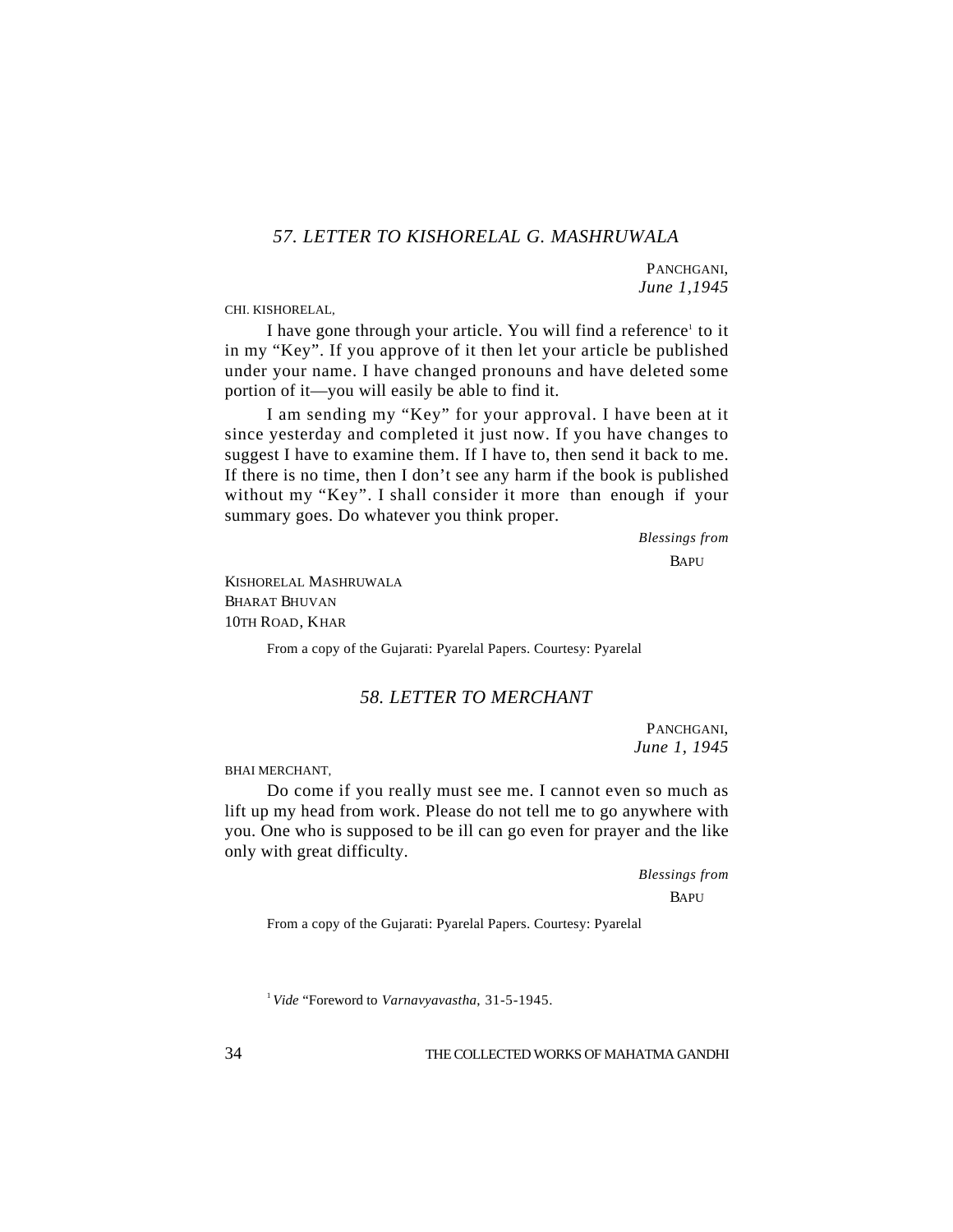PANCHGANI, *June 1,1945*

CHI. KISHORELAL,

I have gone through your article. You will find a reference<sup>1</sup> to it in my "Key". If you approve of it then let your article be published under your name. I have changed pronouns and have deleted some portion of it—you will easily be able to find it.

I am sending my "Key" for your approval. I have been at it since yesterday and completed it just now. If you have changes to suggest I have to examine them. If I have to, then send it back to me. If there is no time, then I don't see any harm if the book is published without my "Key". I shall consider it more than enough if your summary goes. Do whatever you think proper.

> *Blessings from* **BAPU**

KISHORELAL MASHRUWALA BHARAT BHUVAN 10TH ROAD, KHAR

From a copy of the Gujarati: Pyarelal Papers. Courtesy: Pyarelal

#### *58. LETTER TO MERCHANT*

PANCHGANI, *June 1, 1945*

BHAI MERCHANT,

Do come if you really must see me. I cannot even so much as lift up my head from work. Please do not tell me to go anywhere with you. One who is supposed to be ill can go even for prayer and the like only with great difficulty.

> *Blessings from* **BAPU**

From a copy of the Gujarati: Pyarelal Papers. Courtesy: Pyarelal

<sup>1</sup>*Vide* "Foreword to *Varnavyavastha*, 31-5-1945.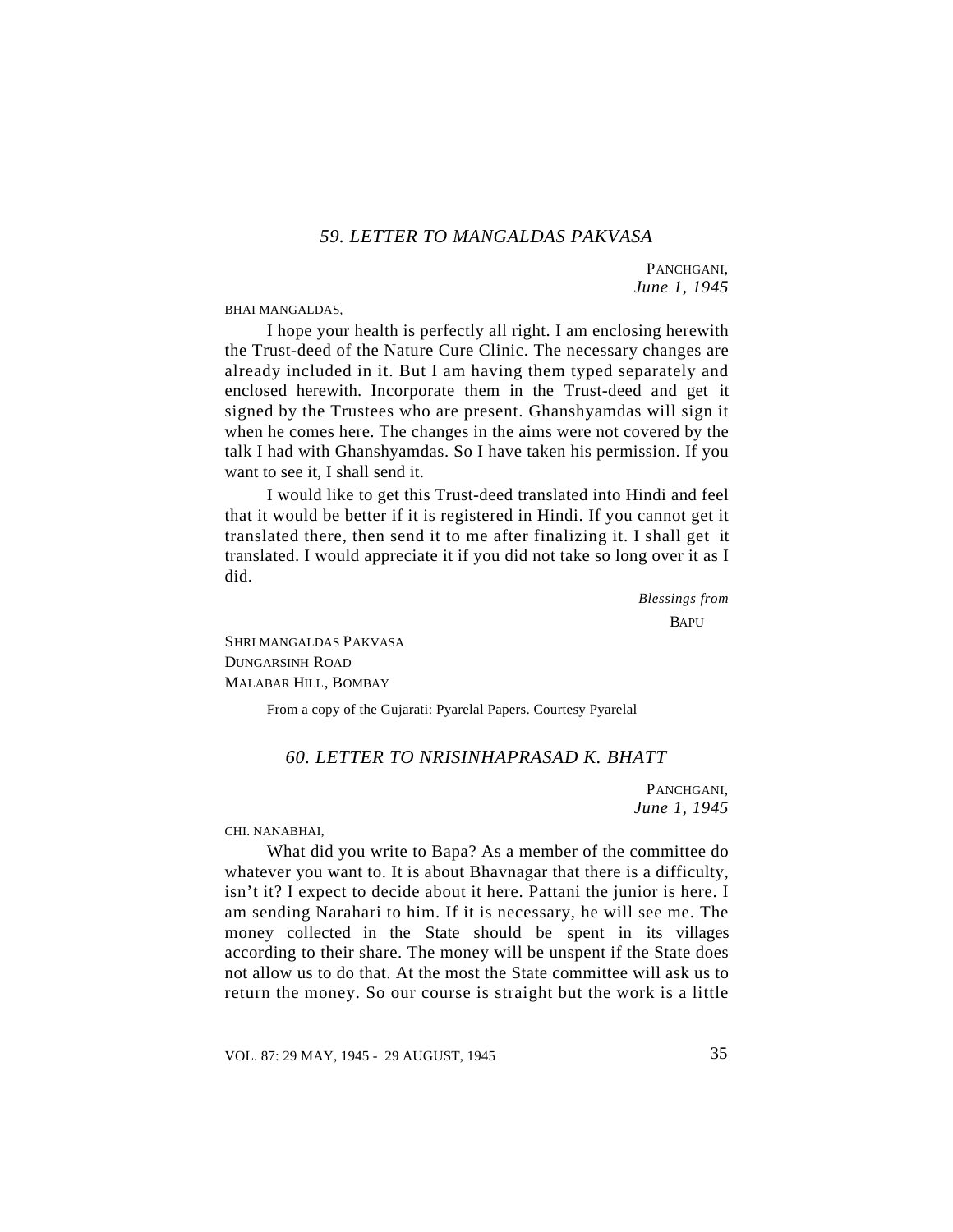#### *59. LETTER TO MANGALDAS PAKVASA*

PANCHGANI, *June 1, 1945*

#### BHAI MANGALDAS,

I hope your health is perfectly all right. I am enclosing herewith the Trust-deed of the Nature Cure Clinic. The necessary changes are already included in it. But I am having them typed separately and enclosed herewith. Incorporate them in the Trust-deed and get it signed by the Trustees who are present. Ghanshyamdas will sign it when he comes here. The changes in the aims were not covered by the talk I had with Ghanshyamdas. So I have taken his permission. If you want to see it, I shall send it.

I would like to get this Trust-deed translated into Hindi and feel that it would be better if it is registered in Hindi. If you cannot get it translated there, then send it to me after finalizing it. I shall get it translated. I would appreciate it if you did not take so long over it as I did.

> *Blessings from* **BAPU**

SHRI MANGALDAS PAKVASA DUNGARSINH ROAD MALABAR HILL, BOMBAY

From a copy of the Gujarati: Pyarelal Papers. Courtesy Pyarelal

#### *60. LETTER TO NRISINHAPRASAD K. BHATT*

PANCHGANI, *June 1, 1945*

CHI. NANABHAI,

What did you write to Bapa? As a member of the committee do whatever you want to. It is about Bhavnagar that there is a difficulty, isn't it? I expect to decide about it here. Pattani the junior is here. I am sending Narahari to him. If it is necessary, he will see me. The money collected in the State should be spent in its villages according to their share. The money will be unspent if the State does not allow us to do that. At the most the State committee will ask us to return the money. So our course is straight but the work is a little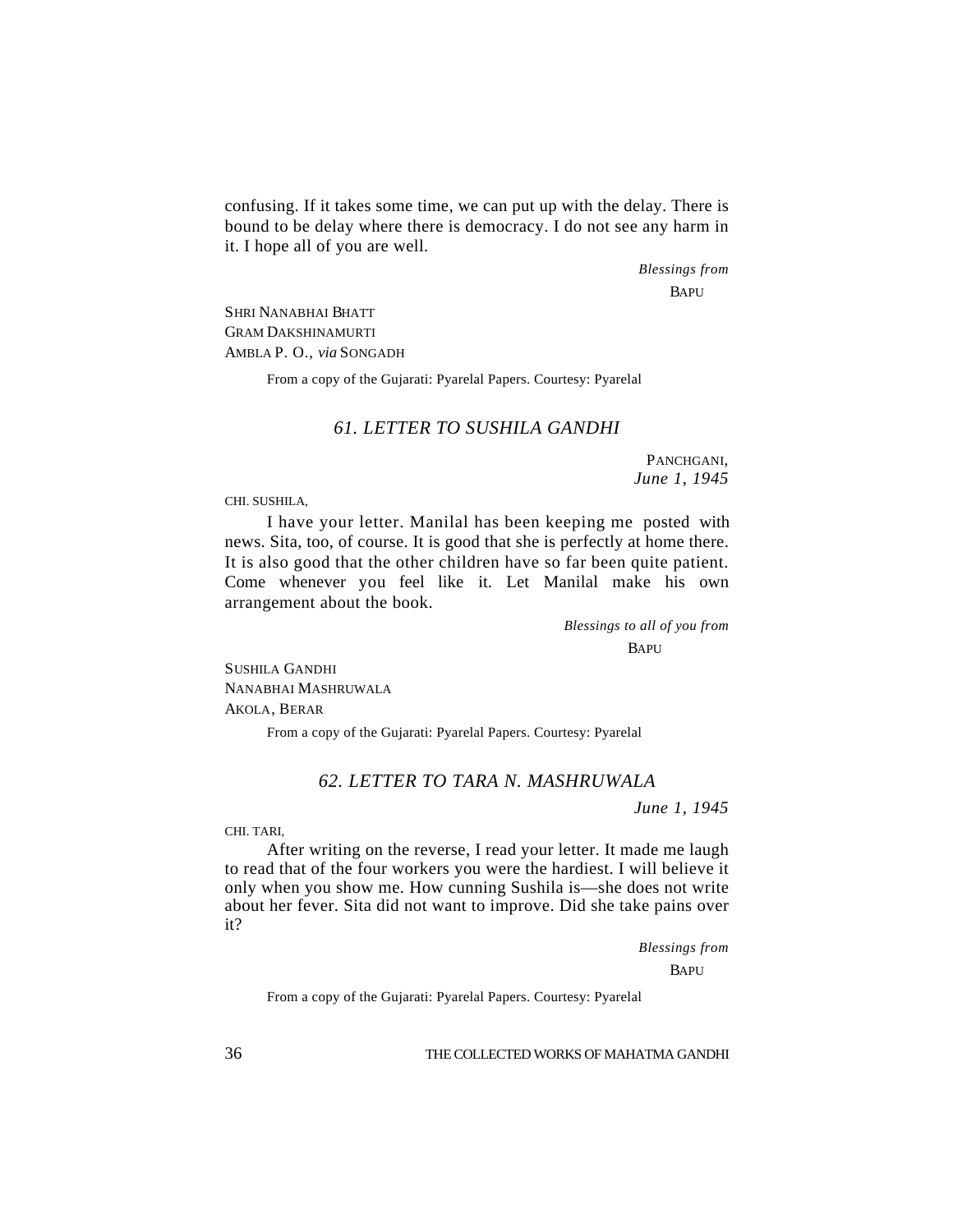confusing. If it takes some time, we can put up with the delay. There is bound to be delay where there is democracy. I do not see any harm in it. I hope all of you are well.

> *Blessings from* BAPU

SHRI NANABHAI BHATT GRAM DAKSHINAMURTI AMBLA P. O., *via*SONGADH

From a copy of the Gujarati: Pyarelal Papers. Courtesy: Pyarelal

### *61. LETTER TO SUSHILA GANDHI*

PANCHGANI, *June 1, 1945*

CHI. SUSHILA,

I have your letter. Manilal has been keeping me posted with news. Sita, too, of course. It is good that she is perfectly at home there. It is also good that the other children have so far been quite patient. Come whenever you feel like it. Let Manilal make his own arrangement about the book.

> *Blessings to all of you from* **BAPU**

SUSHILA GANDHI NANABHAI MASHRUWALA AKOLA, BERAR

From a copy of the Gujarati: Pyarelal Papers. Courtesy: Pyarelal

#### *62. LETTER TO TARA N. MASHRUWALA*

*June 1, 1945*

CHI. TARI,

After writing on the reverse, I read your letter. It made me laugh to read that of the four workers you were the hardiest. I will believe it only when you show me. How cunning Sushila is—she does not write about her fever. Sita did not want to improve. Did she take pains over it?

*Blessings from*

**BAPU** 

From a copy of the Gujarati: Pyarelal Papers. Courtesy: Pyarelal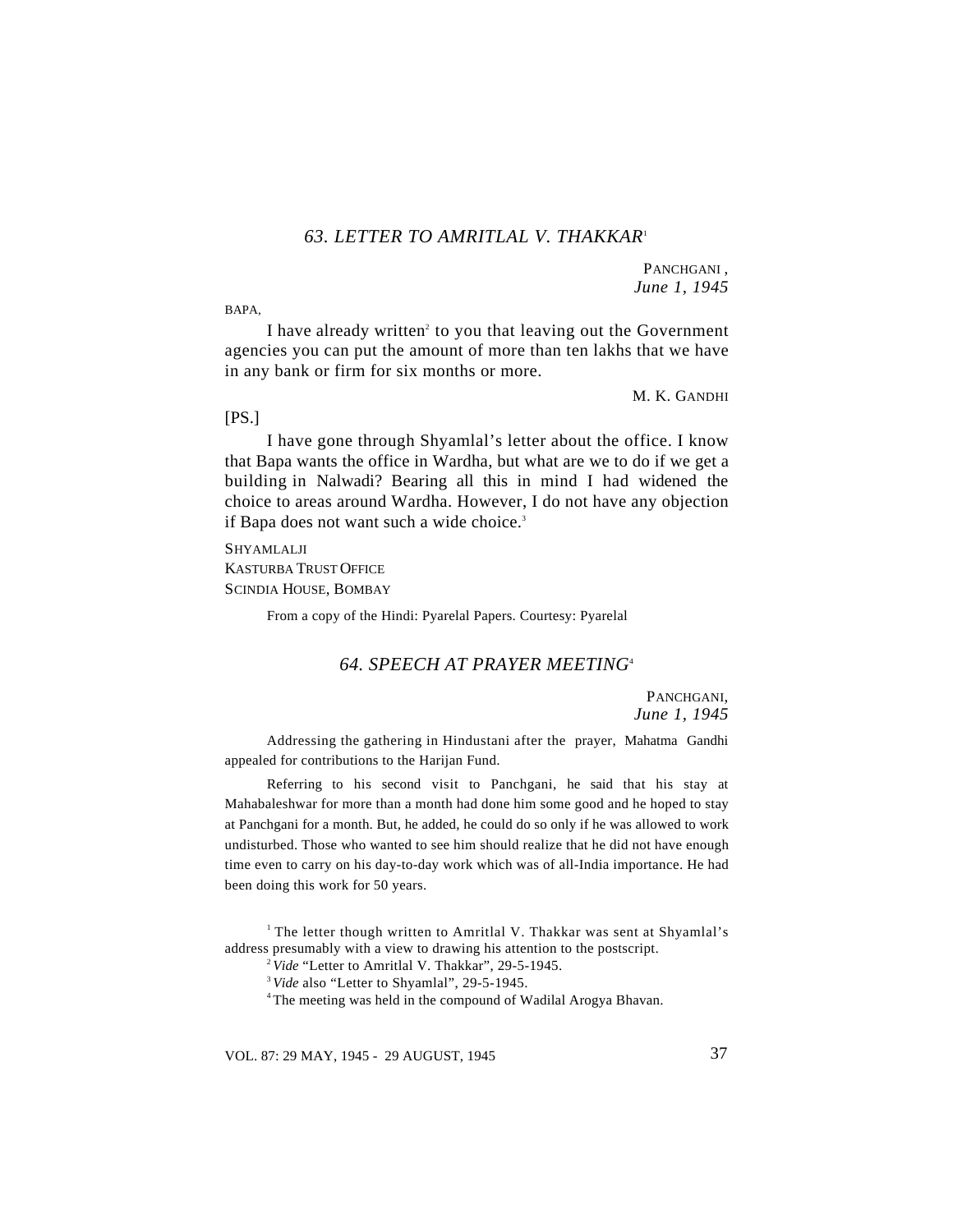# *63. LETTER TO AMRITLAL V. THAKKAR*<sup>1</sup>

PANCHGANI , *June 1, 1945*

BAPA,

I have already written<sup>2</sup> to you that leaving out the Government agencies you can put the amount of more than ten lakhs that we have in any bank or firm for six months or more.

M. K. GANDHI

[PS.]

I have gone through Shyamlal's letter about the office. I know that Bapa wants the office in Wardha, but what are we to do if we get a building in Nalwadi? Bearing all this in mind I had widened the choice to areas around Wardha. However, I do not have any objection if Bapa does not want such a wide choice.<sup>3</sup>

SHYAMLALJI KASTURBA TRUST OFFICE SCINDIA HOUSE, BOMBAY

From a copy of the Hindi: Pyarelal Papers. Courtesy: Pyarelal

## *64. SPEECH AT PRAYER MEETING*<sup>4</sup>

PANCHGANI, *June 1, 1945*

Addressing the gathering in Hindustani after the prayer, Mahatma Gandhi appealed for contributions to the Harijan Fund.

Referring to his second visit to Panchgani, he said that his stay at Mahabaleshwar for more than a month had done him some good and he hoped to stay at Panchgani for a month. But, he added, he could do so only if he was allowed to work undisturbed. Those who wanted to see him should realize that he did not have enough time even to carry on his day-to-day work which was of all-India importance. He had been doing this work for 50 years.

 $1$ <sup>1</sup> The letter though written to Amritlal V. Thakkar was sent at Shyamlal's address presumably with a view to drawing his attention to the postscript.

<sup>2</sup>*Vide* "Letter to Amritlal V. Thakkar", 29-5-1945.

<sup>3</sup>*Vide* also "Letter to Shyamlal", 29-5-1945.

<sup>4</sup> The meeting was held in the compound of Wadilal Arogya Bhavan.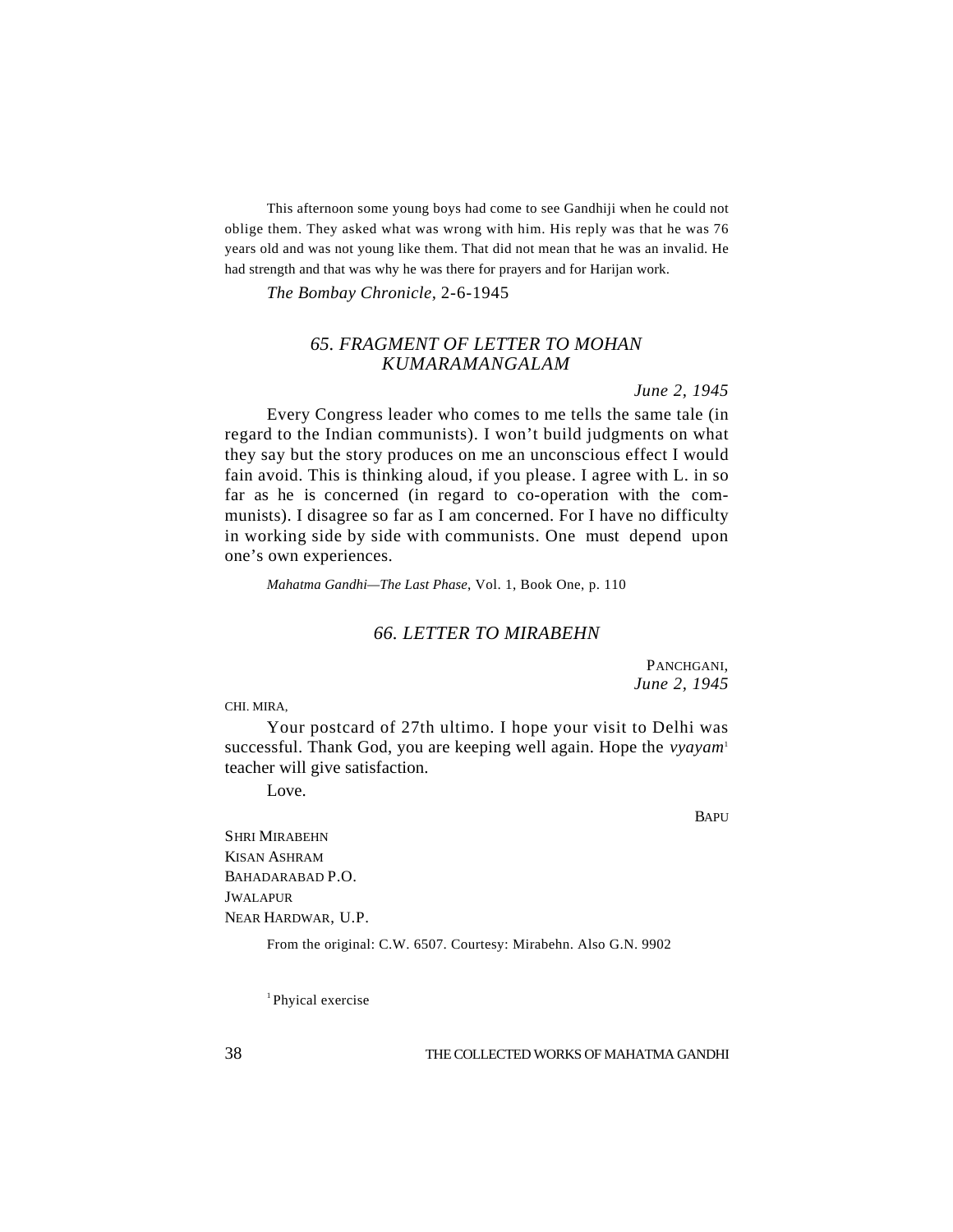This afternoon some young boys had come to see Gandhiji when he could not oblige them. They asked what was wrong with him. His reply was that he was 76 years old and was not young like them. That did not mean that he was an invalid. He had strength and that was why he was there for prayers and for Harijan work.

*The Bombay Chronicle,* 2-6-1945

# *65. FRAGMENT OF LETTER TO MOHAN KUMARAMANGALAM*

*June 2, 1945*

Every Congress leader who comes to me tells the same tale (in regard to the Indian communists). I won't build judgments on what they say but the story produces on me an unconscious effect I would fain avoid. This is thinking aloud, if you please. I agree with L. in so far as he is concerned (in regard to co-operation with the communists). I disagree so far as I am concerned. For I have no difficulty in working side by side with communists. One must depend upon one's own experiences.

*Mahatma Gandhi—The Last Phase*, Vol. 1, Book One, p. 110

# *66. LETTER TO MIRABEHN*

PANCHGANI, *June 2, 1945*

CHI. MIRA,

Your postcard of 27th ultimo. I hope your visit to Delhi was successful. Thank God, you are keeping well again. Hope the *vyayam*<sup>1</sup> teacher will give satisfaction.

Love.

**BAPU** 

SHRI MIRABEHN KISAN ASHRAM BAHADARABAD P.O. JWALAPUR NEAR HARDWAR, U.P.

From the original: C.W. 6507. Courtesy: Mirabehn. Also G.N. 9902

<sup>1</sup> Phyical exercise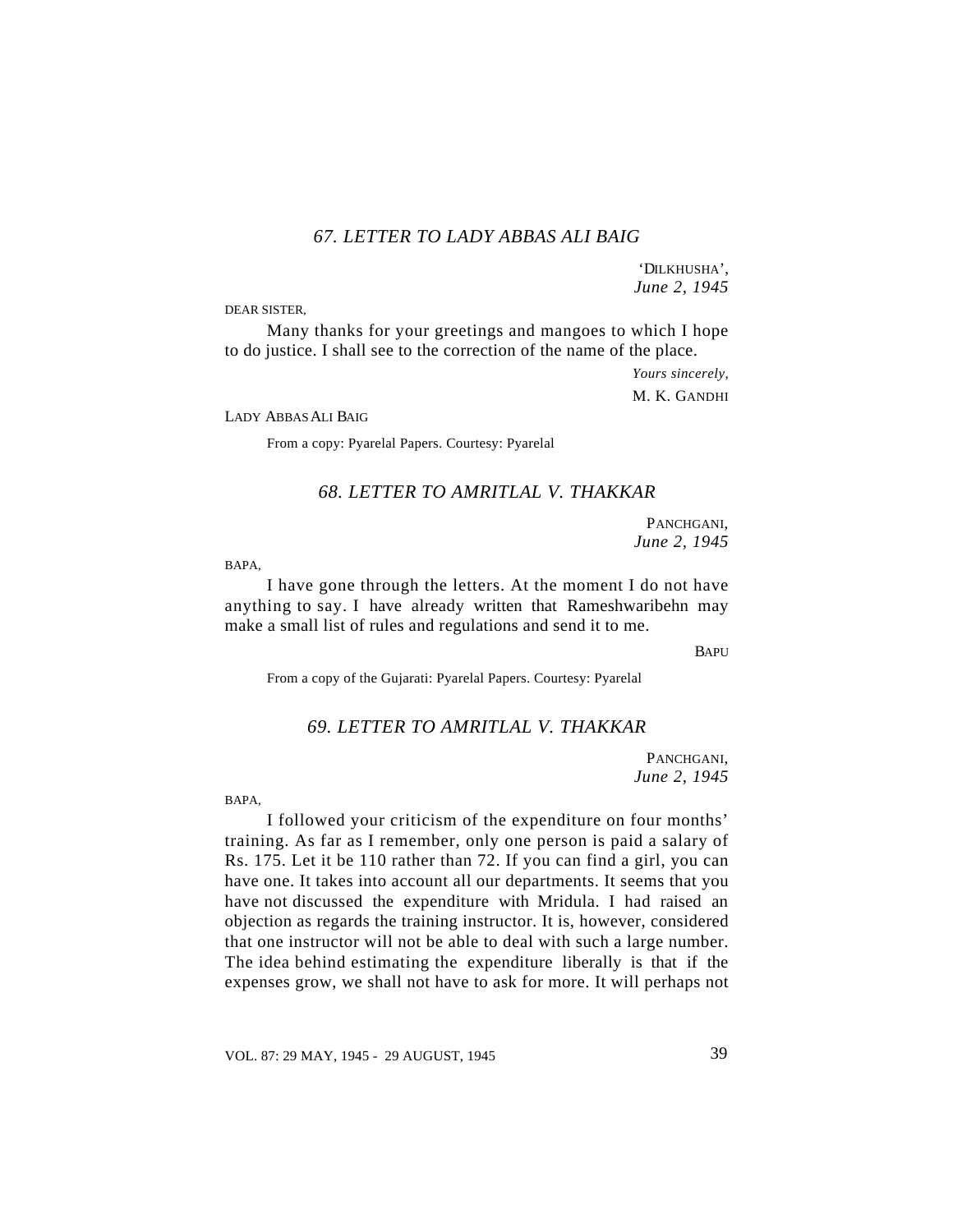# *67. LETTER TO LADY ABBAS ALI BAIG*

'DILKHUSHA', *June 2, 1945*

DEAR SISTER,

Many thanks for your greetings and mangoes to which I hope to do justice. I shall see to the correction of the name of the place.

> *Yours sincerely,* M. K. GANDHI

LADY ABBAS ALI BAIG

From a copy: Pyarelal Papers. Courtesy: Pyarelal

## *68. LETTER TO AMRITLAL V. THAKKAR*

PANCHGANI, *June 2, 1945*

BAPA,

I have gone through the letters. At the moment I do not have anything to say. I have already written that Rameshwaribehn may make a small list of rules and regulations and send it to me.

**BAPU** 

From a copy of the Gujarati: Pyarelal Papers. Courtesy: Pyarelal

# *69. LETTER TO AMRITLAL V. THAKKAR*

PANCHGANI, *June 2, 1945*

BAPA,

I followed your criticism of the expenditure on four months' training. As far as I remember, only one person is paid a salary of Rs. 175. Let it be 110 rather than 72. If you can find a girl, you can have one. It takes into account all our departments. It seems that you have not discussed the expenditure with Mridula. I had raised an objection as regards the training instructor. It is, however, considered that one instructor will not be able to deal with such a large number. The idea behind estimating the expenditure liberally is that if the expenses grow, we shall not have to ask for more. It will perhaps not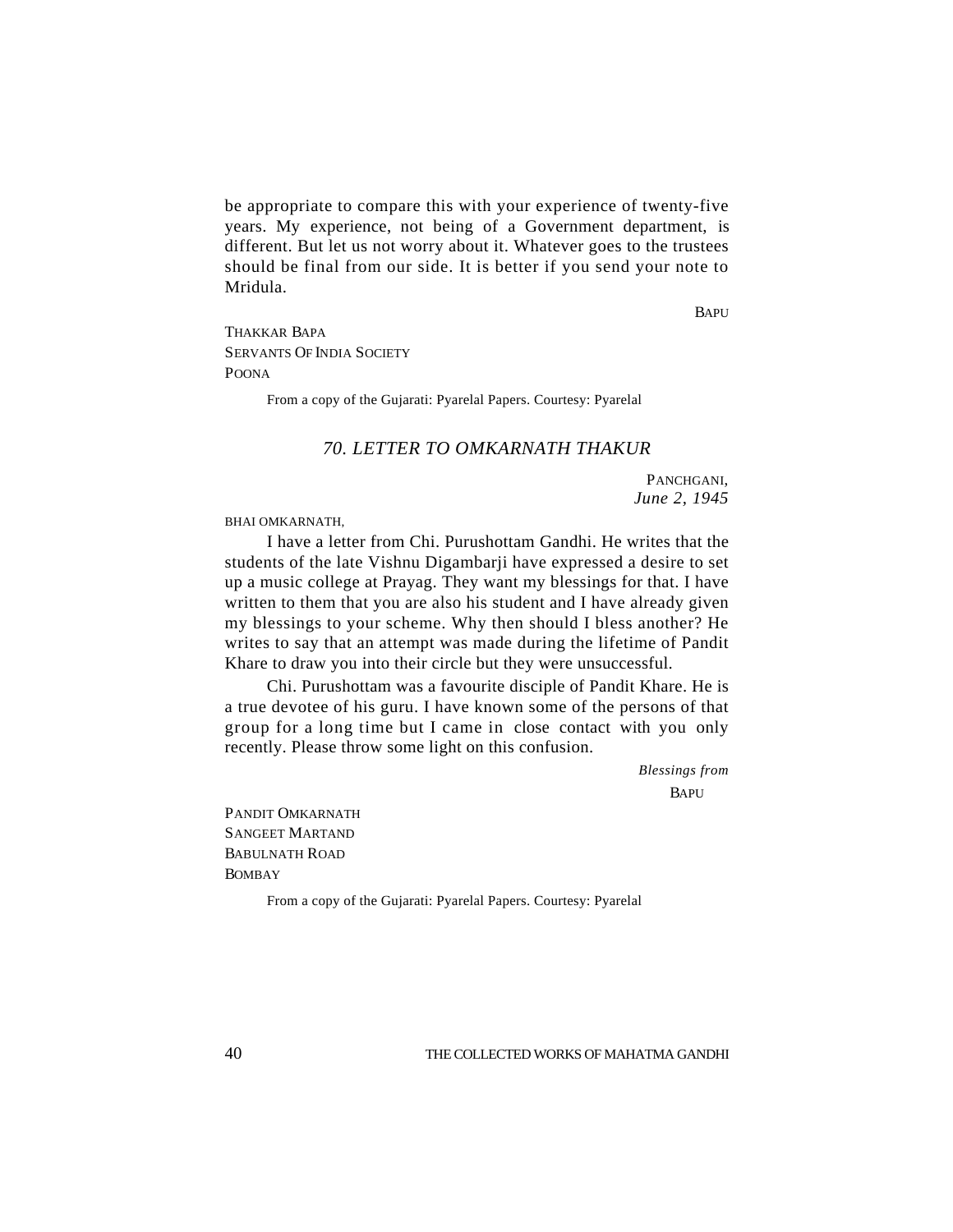be appropriate to compare this with your experience of twenty-five years. My experience, not being of a Government department, is different. But let us not worry about it. Whatever goes to the trustees should be final from our side. It is better if you send your note to Mridula.

**BAPU** 

THAKKAR BAPA SERVANTS OF INDIA SOCIETY POONA

From a copy of the Gujarati: Pyarelal Papers. Courtesy: Pyarelal

# *70. LETTER TO OMKARNATH THAKUR*

PANCHGANI, *June 2, 1945*

BHAI OMKARNATH,

I have a letter from Chi. Purushottam Gandhi. He writes that the students of the late Vishnu Digambarji have expressed a desire to set up a music college at Prayag. They want my blessings for that. I have written to them that you are also his student and I have already given my blessings to your scheme. Why then should I bless another? He writes to say that an attempt was made during the lifetime of Pandit Khare to draw you into their circle but they were unsuccessful.

Chi. Purushottam was a favourite disciple of Pandit Khare. He is a true devotee of his guru. I have known some of the persons of that group for a long time but I came in close contact with you only recently. Please throw some light on this confusion.

> *Blessings from* BAPU

PANDIT OMKARNATH SANGEET MARTAND BABULNATH ROAD **BOMBAY** 

From a copy of the Gujarati: Pyarelal Papers. Courtesy: Pyarelal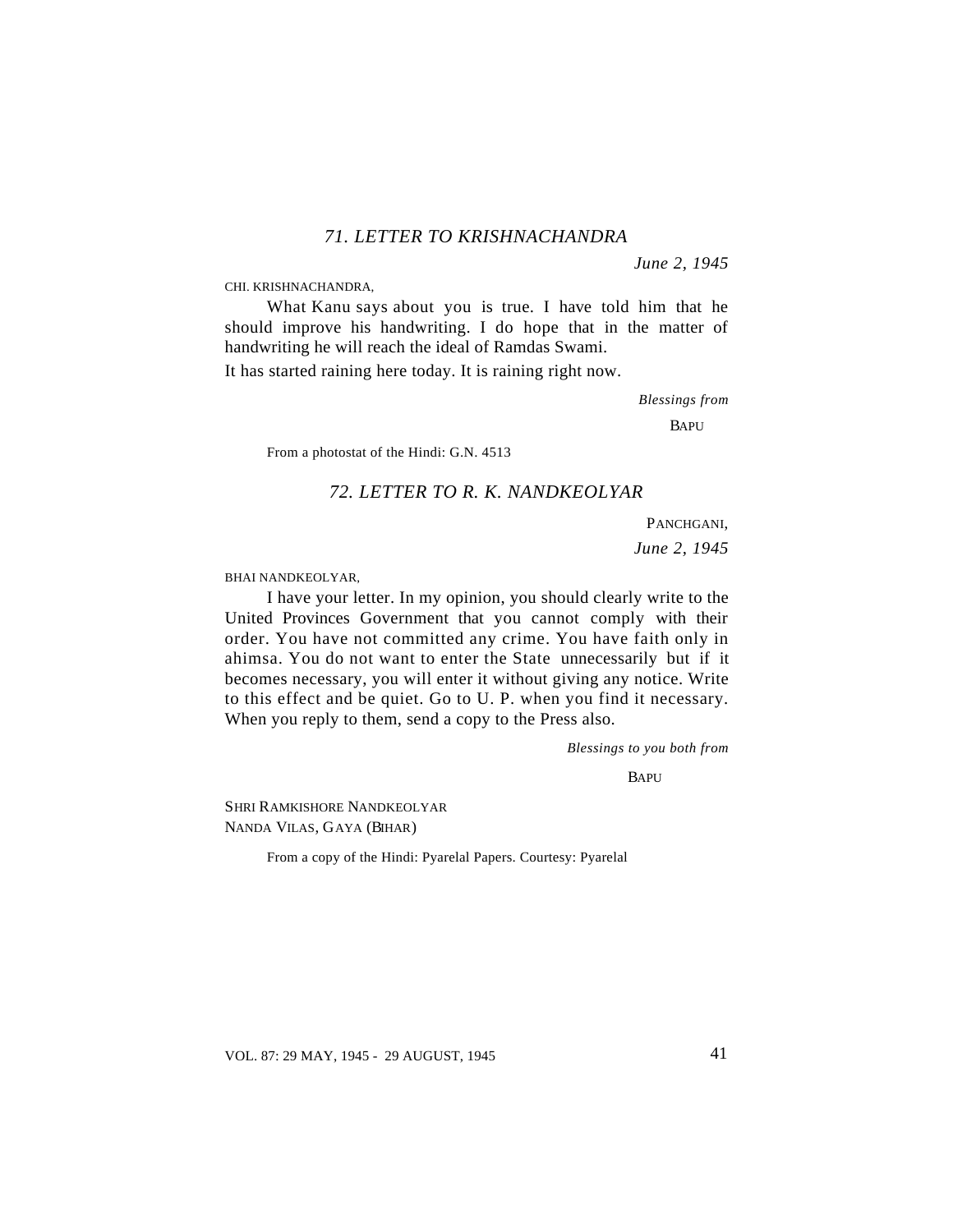*June 2, 1945*

CHI. KRISHNACHANDRA,

What Kanu says about you is true. I have told him that he should improve his handwriting. I do hope that in the matter of handwriting he will reach the ideal of Ramdas Swami.

It has started raining here today. It is raining right now.

*Blessings from*

**BAPU** 

From a photostat of the Hindi: G.N. 4513

# *72. LETTER TO R. K. NANDKEOLYAR*

PANCHGANI,

*June 2, 1945*

BHAI NANDKEOLYAR,

I have your letter. In my opinion, you should clearly write to the United Provinces Government that you cannot comply with their order. You have not committed any crime. You have faith only in ahimsa. You do not want to enter the State unnecessarily but if it becomes necessary, you will enter it without giving any notice. Write to this effect and be quiet. Go to U. P. when you find it necessary. When you reply to them, send a copy to the Press also.

*Blessings to you both from*

**BAPU** 

SHRI RAMKISHORE NANDKEOLYAR NANDA VILAS, GAYA (BIHAR)

From a copy of the Hindi: Pyarelal Papers. Courtesy: Pyarelal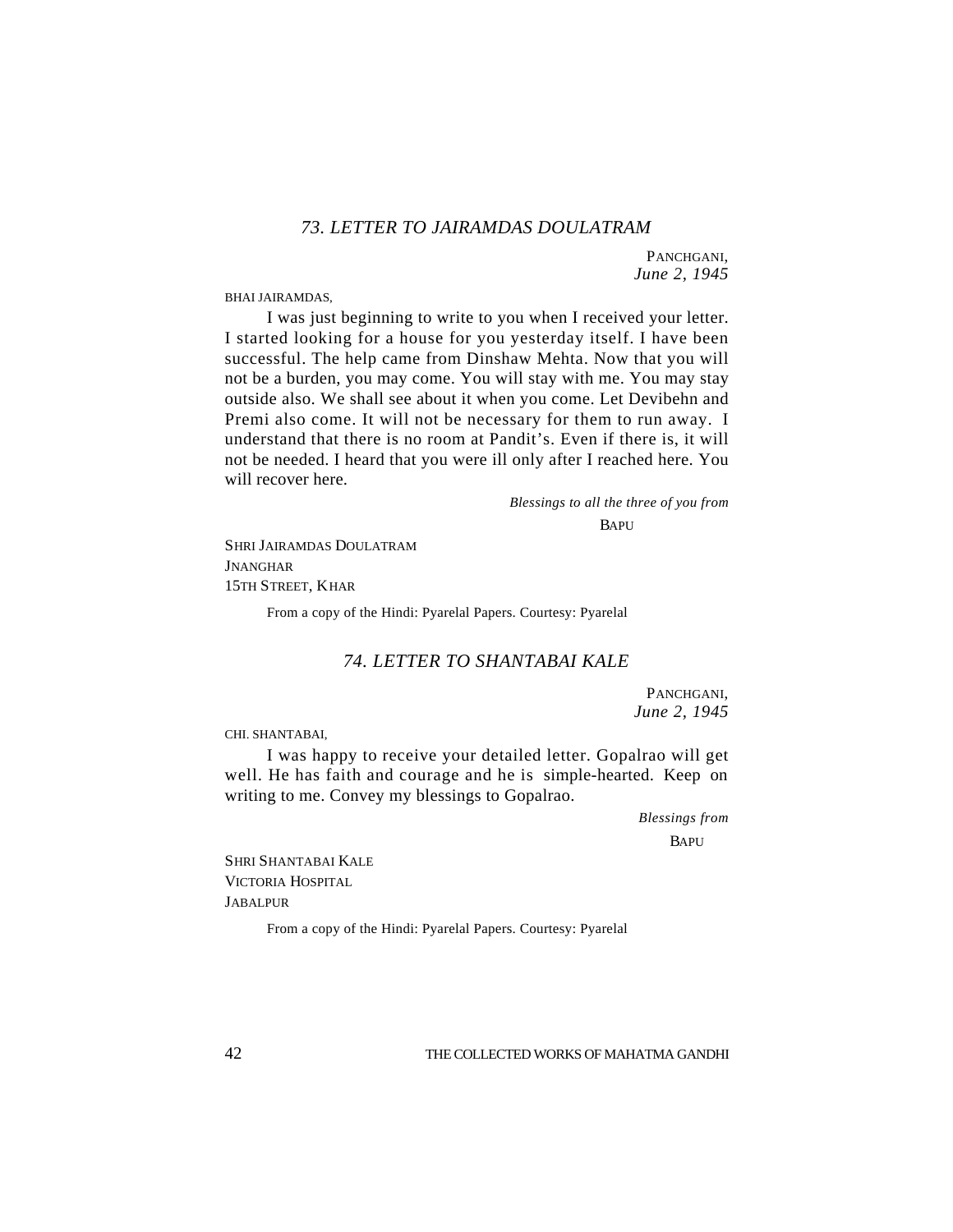# *73. LETTER TO JAIRAMDAS DOULATRAM*

PANCHGANI, *June 2, 1945*

BHAI JAIRAMDAS,

I was just beginning to write to you when I received your letter. I started looking for a house for you yesterday itself. I have been successful. The help came from Dinshaw Mehta. Now that you will not be a burden, you may come. You will stay with me. You may stay outside also. We shall see about it when you come. Let Devibehn and Premi also come. It will not be necessary for them to run away. I understand that there is no room at Pandit's. Even if there is, it will not be needed. I heard that you were ill only after I reached here. You will recover here.

*Blessings to all the three of you from*

**BAPU** 

SHRI JAIRAMDAS DOULATRAM **JNANGHAR** 15TH STREET, KHAR

From a copy of the Hindi: Pyarelal Papers. Courtesy: Pyarelal

## *74. LETTER TO SHANTABAI KALE*

PANCHGANI, *June 2, 1945*

CHI. SHANTABAI,

I was happy to receive your detailed letter. Gopalrao will get well. He has faith and courage and he is simple-hearted. Keep on writing to me. Convey my blessings to Gopalrao.

> *Blessings from* **BAPU**

SHRI SHANTABAI KALE VICTORIA HOSPITAL **JABALPUR** 

From a copy of the Hindi: Pyarelal Papers. Courtesy: Pyarelal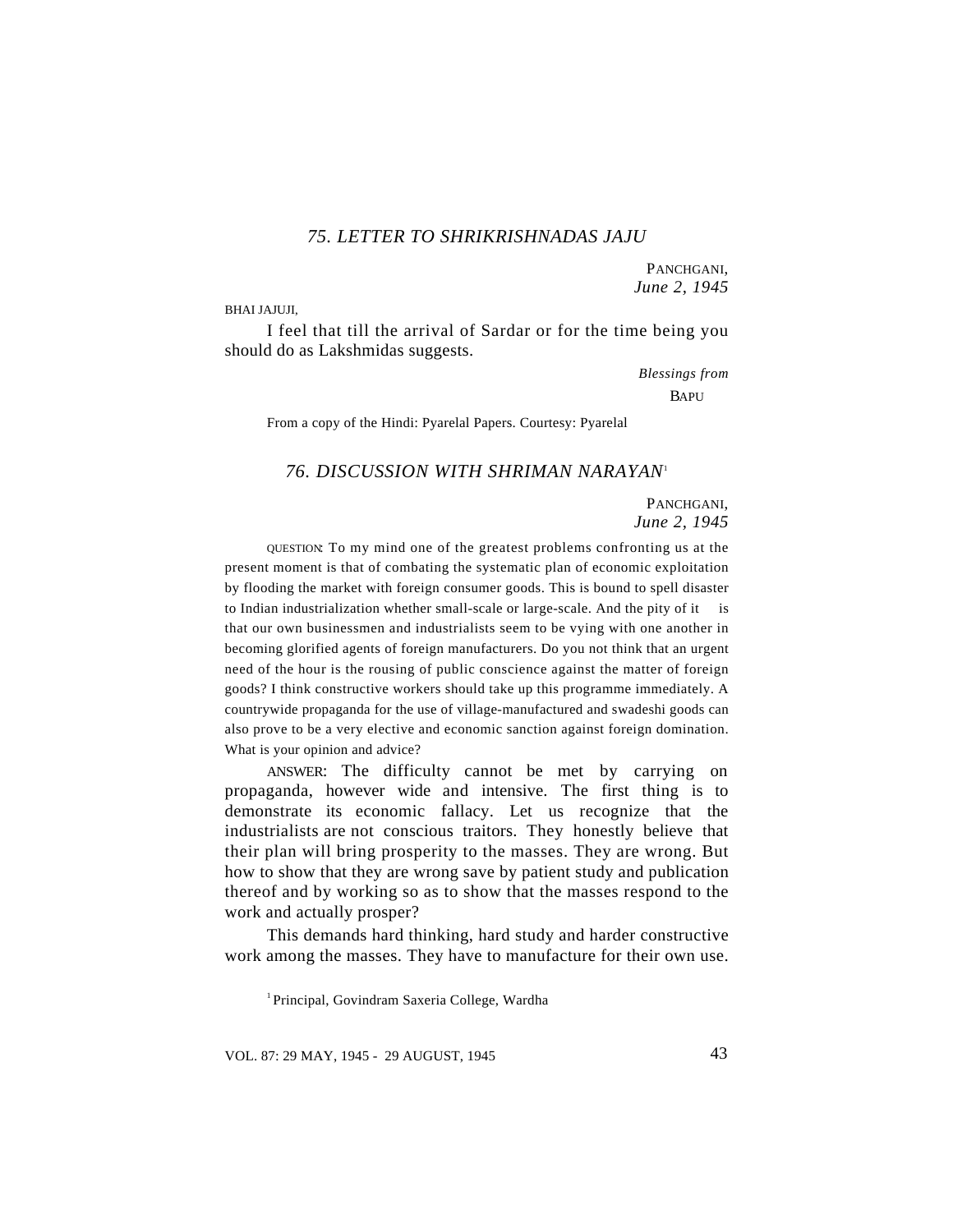PANCHGANI, *June 2, 1945*

BHAI JAJUJI,

I feel that till the arrival of Sardar or for the time being you should do as Lakshmidas suggests.

> *Blessings from* **BAPU**

From a copy of the Hindi: Pyarelal Papers. Courtesy: Pyarelal

# *76. DISCUSSION WITH SHRIMAN NARAYAN*<sup>1</sup>

PANCHGANI. *June 2, 1945*

QUESTION: To my mind one of the greatest problems confronting us at the present moment is that of combating the systematic plan of economic exploitation by flooding the market with foreign consumer goods. This is bound to spell disaster to Indian industrialization whether small-scale or large-scale. And the pity of it is that our own businessmen and industrialists seem to be vying with one another in becoming glorified agents of foreign manufacturers. Do you not think that an urgent need of the hour is the rousing of public conscience against the matter of foreign goods? I think constructive workers should take up this programme immediately. A countrywide propaganda for the use of village-manufactured and swadeshi goods can also prove to be a very elective and economic sanction against foreign domination. What is your opinion and advice?

ANSWER: The difficulty cannot be met by carrying on propaganda, however wide and intensive. The first thing is to demonstrate its economic fallacy. Let us recognize that the industrialists are not conscious traitors. They honestly believe that their plan will bring prosperity to the masses. They are wrong. But how to show that they are wrong save by patient study and publication thereof and by working so as to show that the masses respond to the work and actually prosper?

This demands hard thinking, hard study and harder constructive work among the masses. They have to manufacture for their own use.

1 Principal, Govindram Saxeria College, Wardha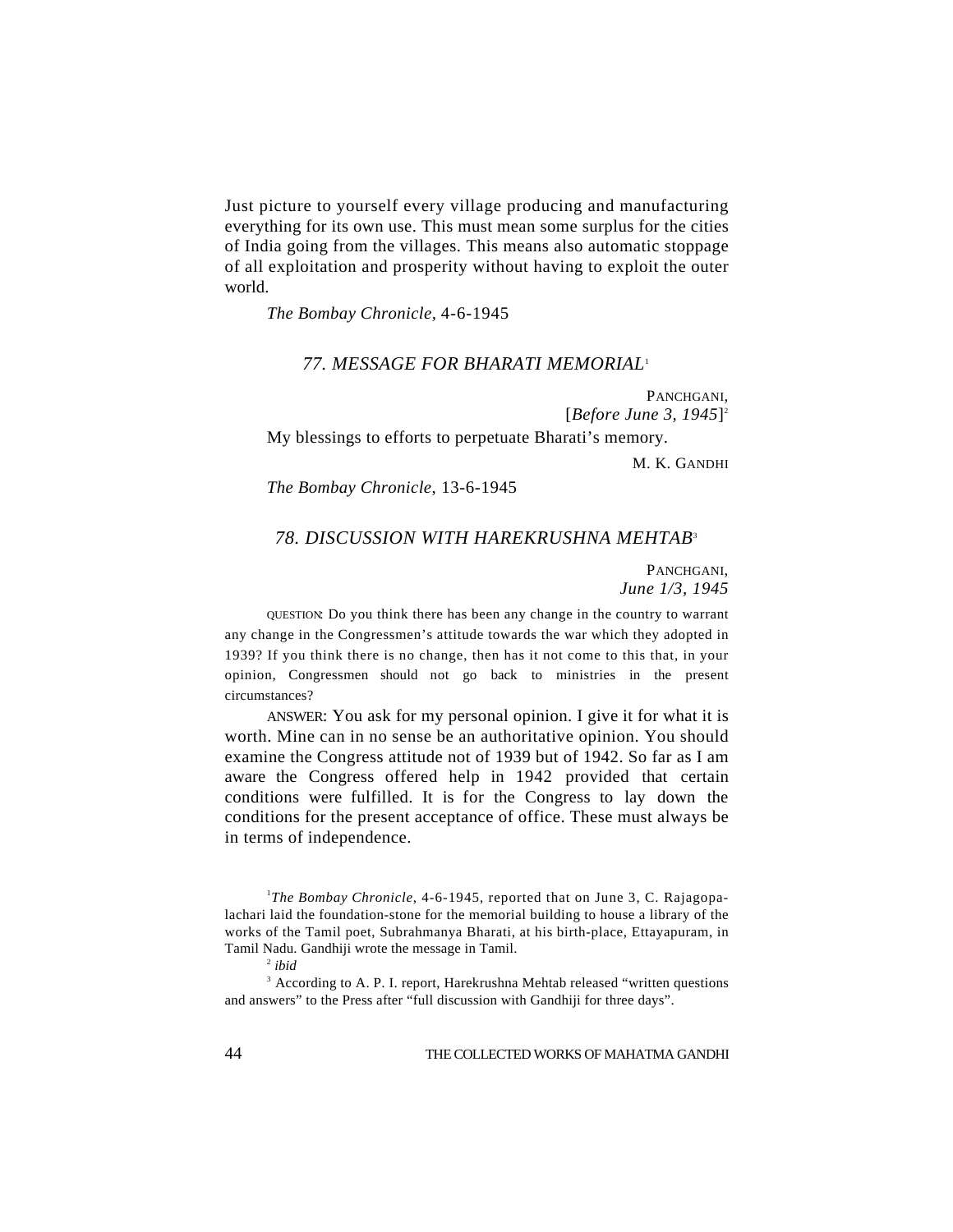Just picture to yourself every village producing and manufacturing everything for its own use. This must mean some surplus for the cities of India going from the villages. This means also automatic stoppage of all exploitation and prosperity without having to exploit the outer world.

*The Bombay Chronicle,* 4-6-1945

# *77. MESSAGE FOR BHARATI MEMORIAL*<sup>1</sup>

PANCHGANI, [*Before June 3, 1945*] 2

My blessings to efforts to perpetuate Bharati's memory.

M. K. GANDHI

*The Bombay Chronicle*, 13-6-1945

# *78. DISCUSSION WITH HAREKRUSHNA MEHTAB*<sup>3</sup>

PANCHGANI, *June 1/3, 1945*

QUESTION: Do you think there has been any change in the country to warrant any change in the Congressmen's attitude towards the war which they adopted in 1939? If you think there is no change, then has it not come to this that, in your opinion, Congressmen should not go back to ministries in the present circumstances?

ANSWER: You ask for my personal opinion. I give it for what it is worth. Mine can in no sense be an authoritative opinion. You should examine the Congress attitude not of 1939 but of 1942. So far as I am aware the Congress offered help in 1942 provided that certain conditions were fulfilled. It is for the Congress to lay down the conditions for the present acceptance of office. These must always be in terms of independence.

<sup>1</sup>The Bombay Chronicle, 4-6-1945, reported that on June 3, C. Rajagopalachari laid the foundation-stone for the memorial building to house a library of the works of the Tamil poet, Subrahmanya Bharati, at his birth-place, Ettayapuram, in Tamil Nadu. Gandhiji wrote the message in Tamil.

2 *ibid*

<sup>3</sup> According to A. P. I. report, Harekrushna Mehtab released "written questions and answers" to the Press after "full discussion with Gandhiji for three days".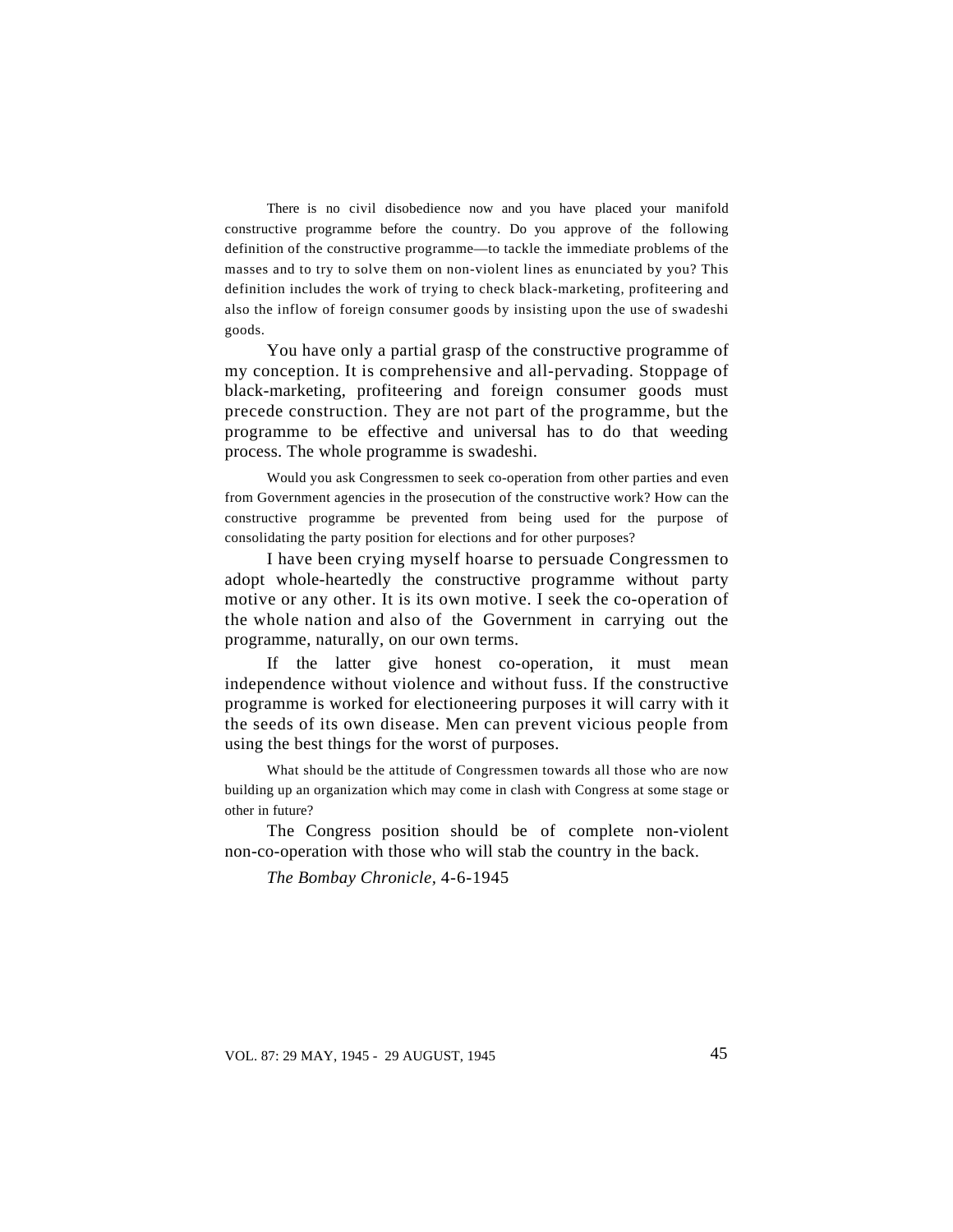There is no civil disobedience now and you have placed your manifold constructive programme before the country. Do you approve of the following definition of the constructive programme—to tackle the immediate problems of the masses and to try to solve them on non-violent lines as enunciated by you? This definition includes the work of trying to check black-marketing, profiteering and also the inflow of foreign consumer goods by insisting upon the use of swadeshi goods.

You have only a partial grasp of the constructive programme of my conception. It is comprehensive and all-pervading. Stoppage of black-marketing, profiteering and foreign consumer goods must precede construction. They are not part of the programme, but the programme to be effective and universal has to do that weeding process. The whole programme is swadeshi.

Would you ask Congressmen to seek co-operation from other parties and even from Government agencies in the prosecution of the constructive work? How can the constructive programme be prevented from being used for the purpose of consolidating the party position for elections and for other purposes?

 I have been crying myself hoarse to persuade Congressmen to adopt whole-heartedly the constructive programme without party motive or any other. It is its own motive. I seek the co-operation of the whole nation and also of the Government in carrying out the programme, naturally, on our own terms.

If the latter give honest co-operation, it must mean independence without violence and without fuss. If the constructive programme is worked for electioneering purposes it will carry with it the seeds of its own disease. Men can prevent vicious people from using the best things for the worst of purposes.

What should be the attitude of Congressmen towards all those who are now building up an organization which may come in clash with Congress at some stage or other in future?

The Congress position should be of complete non-violent non-co-operation with those who will stab the country in the back.

*The Bombay Chronicle,* 4-6-1945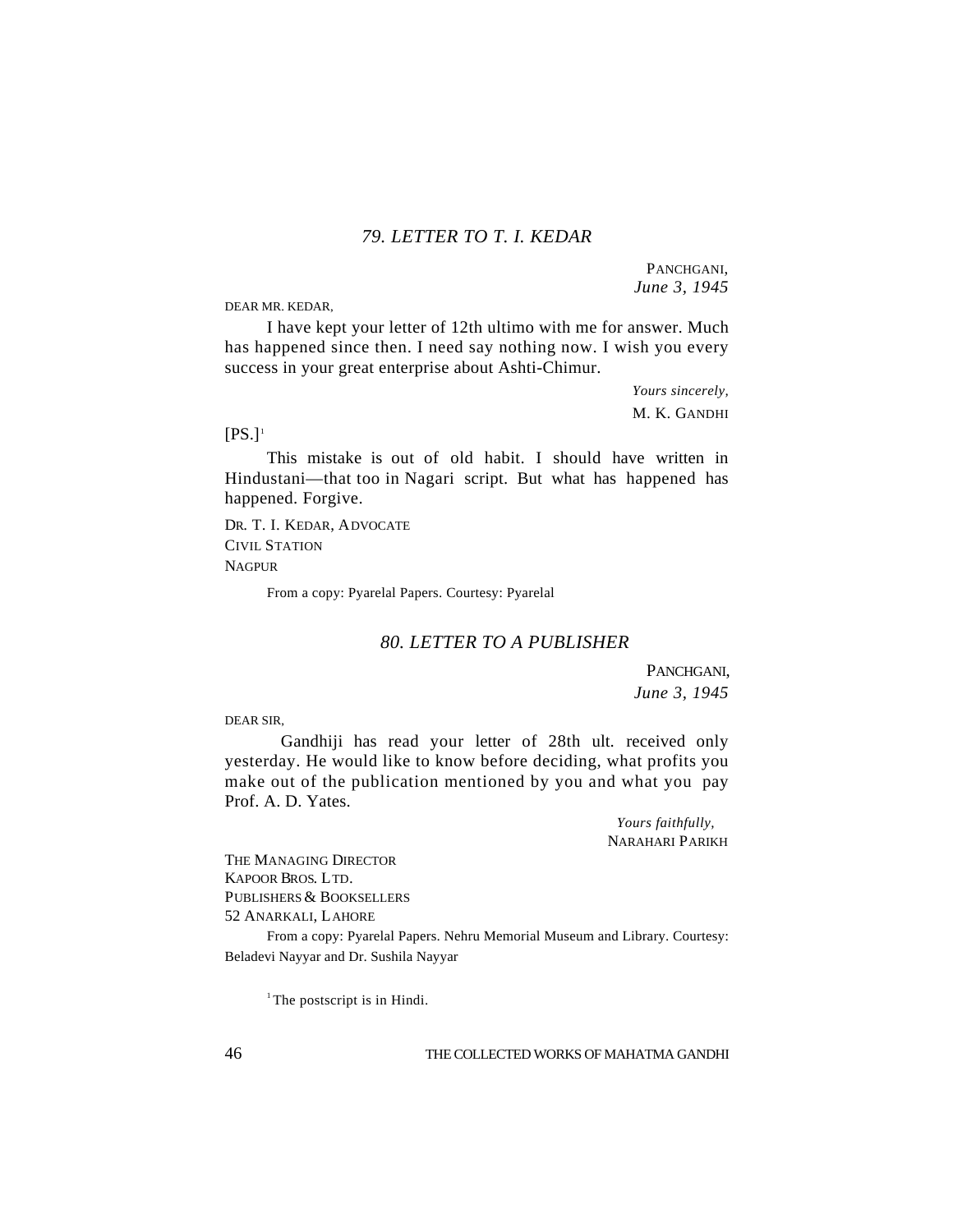# *79. LETTER TO T. I. KEDAR*

PANCHGANI, *June 3, 1945*

DEAR MR. KEDAR,

I have kept your letter of 12th ultimo with me for answer. Much has happened since then. I need say nothing now. I wish you every success in your great enterprise about Ashti-Chimur.

> *Yours sincerely,* M. K. GANDHI

 $[PS.]$ <sup>1</sup>

This mistake is out of old habit. I should have written in Hindustani—that too in Nagari script. But what has happened has happened. Forgive.

DR. T. I. KEDAR, ADVOCATE CIVIL STATION **NAGPUR** 

From a copy: Pyarelal Papers. Courtesy: Pyarelal

# *80. LETTER TO A PUBLISHER*

PANCHGANI, *June 3, 1945*

DEAR SIR,

Gandhiji has read your letter of 28th ult. received only yesterday. He would like to know before deciding, what profits you make out of the publication mentioned by you and what you pay Prof. A. D. Yates.

> *Yours faithfully,* NARAHARI PARIKH

THE MANAGING DIRECTOR KAPOOR BROS. LTD. PUBLISHERS & BOOKSELLERS 52 ANARKALI, LAHORE

From a copy: Pyarelal Papers. Nehru Memorial Museum and Library. Courtesy: Beladevi Nayyar and Dr. Sushila Nayyar

<sup>1</sup> The postscript is in Hindi.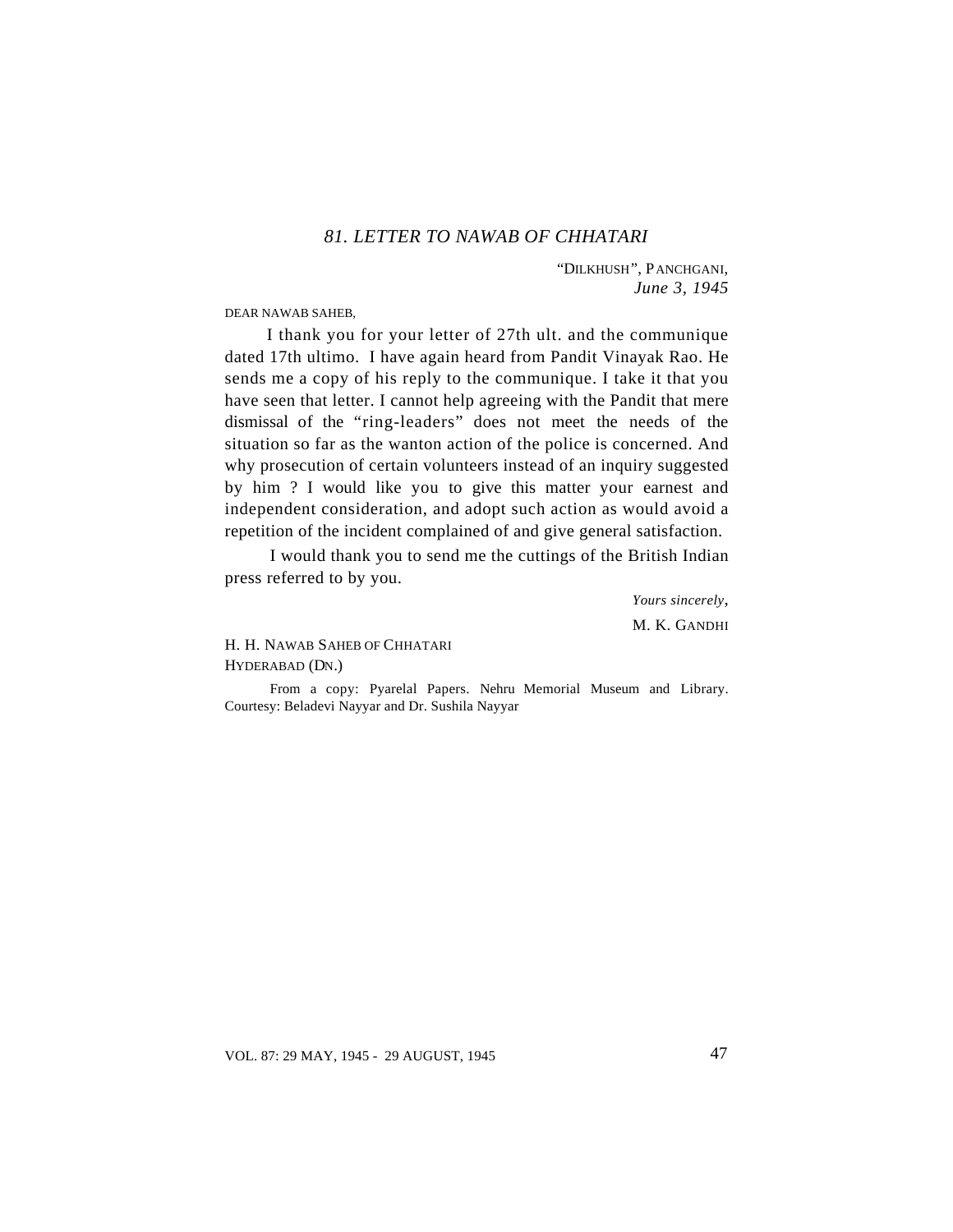# *81. LETTER TO NAWAB OF CHHATARI*

 "DILKHUSH", PANCHGANI, *June 3, 1945*

DEAR NAWAB SAHEB,

I thank you for your letter of 27th ult. and the communique dated 17th ultimo. I have again heard from Pandit Vinayak Rao. He sends me a copy of his reply to the communique. I take it that you have seen that letter. I cannot help agreeing with the Pandit that mere dismissal of the "ring-leaders" does not meet the needs of the situation so far as the wanton action of the police is concerned. And why prosecution of certain volunteers instead of an inquiry suggested by him ? I would like you to give this matter your earnest and independent consideration, and adopt such action as would avoid a repetition of the incident complained of and give general satisfaction.

I would thank you to send me the cuttings of the British Indian press referred to by you.

> *Yours sincerely,* M. K. GANDHI

H. H. NAWAB SAHEB OF CHHATARI HYDERABAD (DN.)

From a copy: Pyarelal Papers. Nehru Memorial Museum and Library. Courtesy: Beladevi Nayyar and Dr. Sushila Nayyar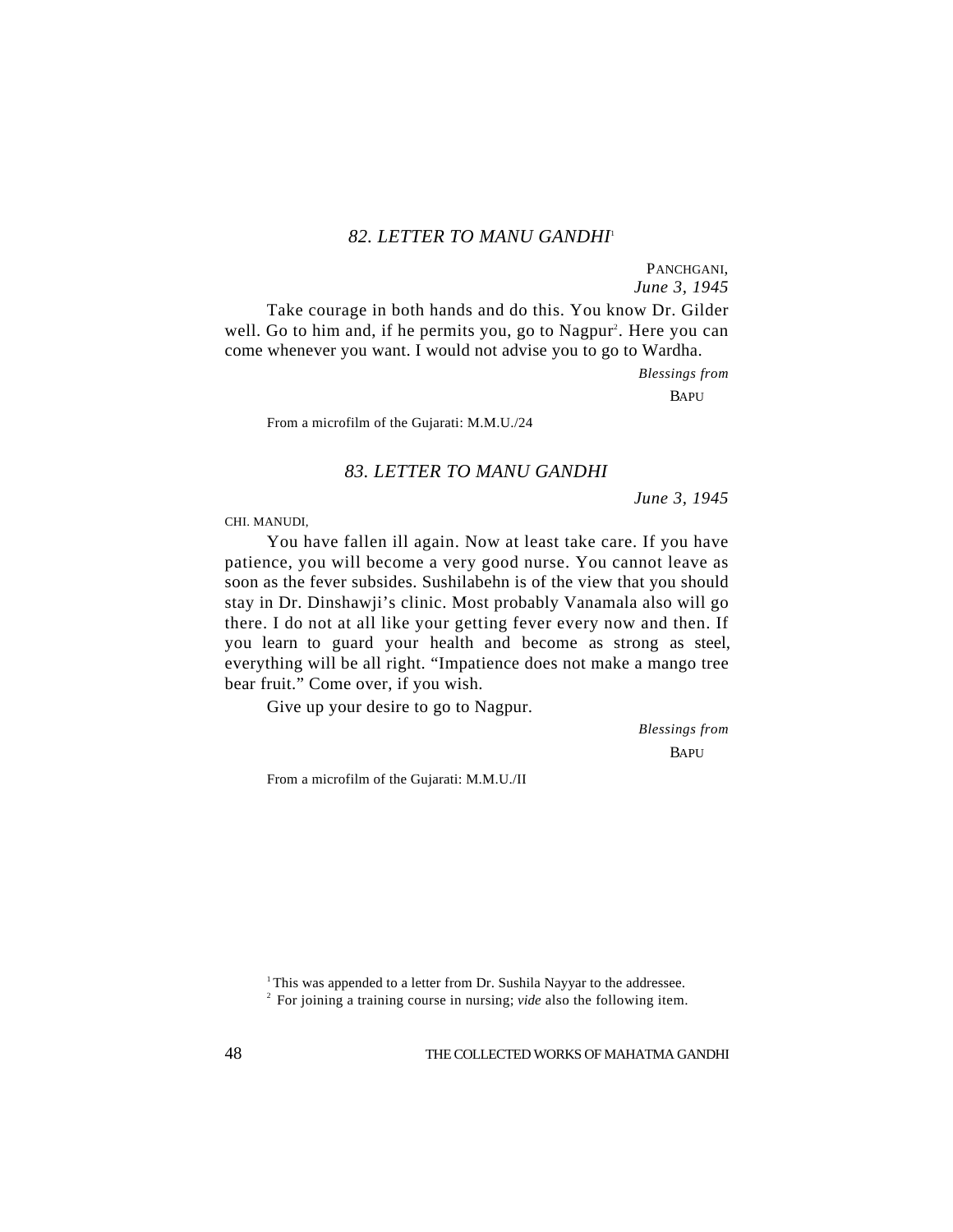## *82. LETTER TO MANU GANDHI*<sup>1</sup>

PANCHGANI, *June 3, 1945*

Take courage in both hands and do this. You know Dr. Gilder well. Go to him and, if he permits you, go to Nagpur<sup>2</sup>. Here you can come whenever you want. I would not advise you to go to Wardha.

*Blessings from*

BAPU

From a microfilm of the Gujarati: M.M.U./24

# *83. LETTER TO MANU GANDHI*

*June 3, 1945*

CHI. MANUDI,

You have fallen ill again. Now at least take care. If you have patience, you will become a very good nurse. You cannot leave as soon as the fever subsides. Sushilabehn is of the view that you should stay in Dr. Dinshawji's clinic. Most probably Vanamala also will go there. I do not at all like your getting fever every now and then. If you learn to guard your health and become as strong as steel, everything will be all right. "Impatience does not make a mango tree bear fruit." Come over, if you wish.

Give up your desire to go to Nagpur.

*Blessings from* **BAPU** 

From a microfilm of the Gujarati: M.M.U./II

<sup>&</sup>lt;sup>1</sup>This was appended to a letter from Dr. Sushila Nayyar to the addressee.

<sup>2</sup>For joining a training course in nursing; *vide* also the following item.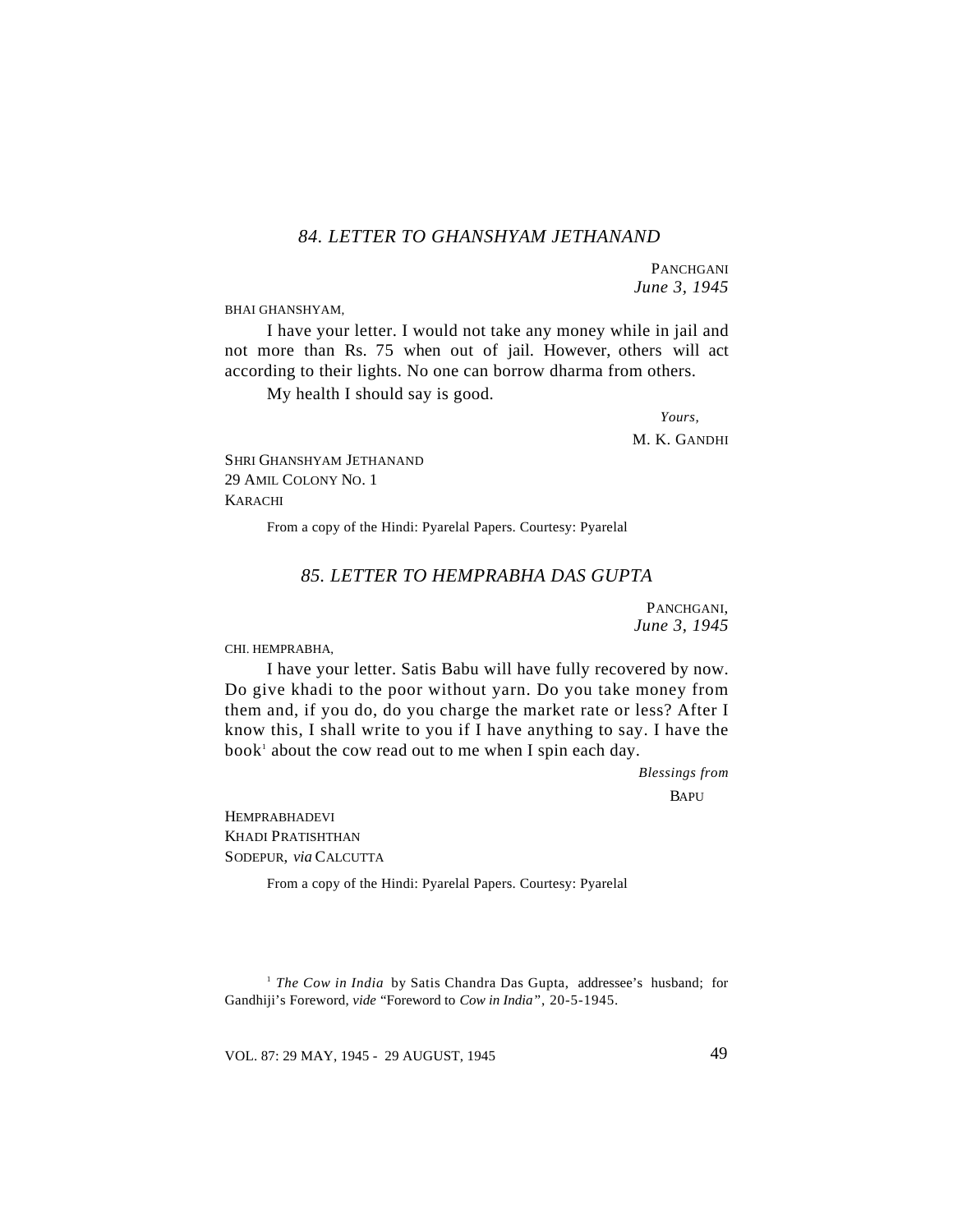# *84. LETTER TO GHANSHYAM JETHANAND*

PANCHGANI *June 3, 1945*

#### BHAI GHANSHYAM,

I have your letter. I would not take any money while in jail and not more than Rs. 75 when out of jail. However, others will act according to their lights. No one can borrow dharma from others.

My health I should say is good.

*Yours,* M. K. GANDHI

SHRI GHANSHYAM JETHANAND 29 AMIL COLONY NO. 1 KARACHI

From a copy of the Hindi: Pyarelal Papers. Courtesy: Pyarelal

# *85. LETTER TO HEMPRABHA DAS GUPTA*

PANCHGANI, *June 3, 1945*

CHI. HEMPRABHA,

I have your letter. Satis Babu will have fully recovered by now. Do give khadi to the poor without yarn. Do you take money from them and, if you do, do you charge the market rate or less? After I know this, I shall write to you if I have anything to say. I have the book<sup>1</sup> about the cow read out to me when I spin each day.

> *Blessings from* BAPU

**HEMPRABHADEVI** KHADI PRATISHTHAN SODEPUR, *via* CALCUTTA

From a copy of the Hindi: Pyarelal Papers. Courtesy: Pyarelal

<sup>1</sup> The Cow in India by Satis Chandra Das Gupta, addressee's husband; for Gandhiji's Foreword, *vide* "Foreword to *Cow in India*", 20-5-1945.

VOL. 87: 29 MAY, 1945 - 29 AUGUST, 1945 49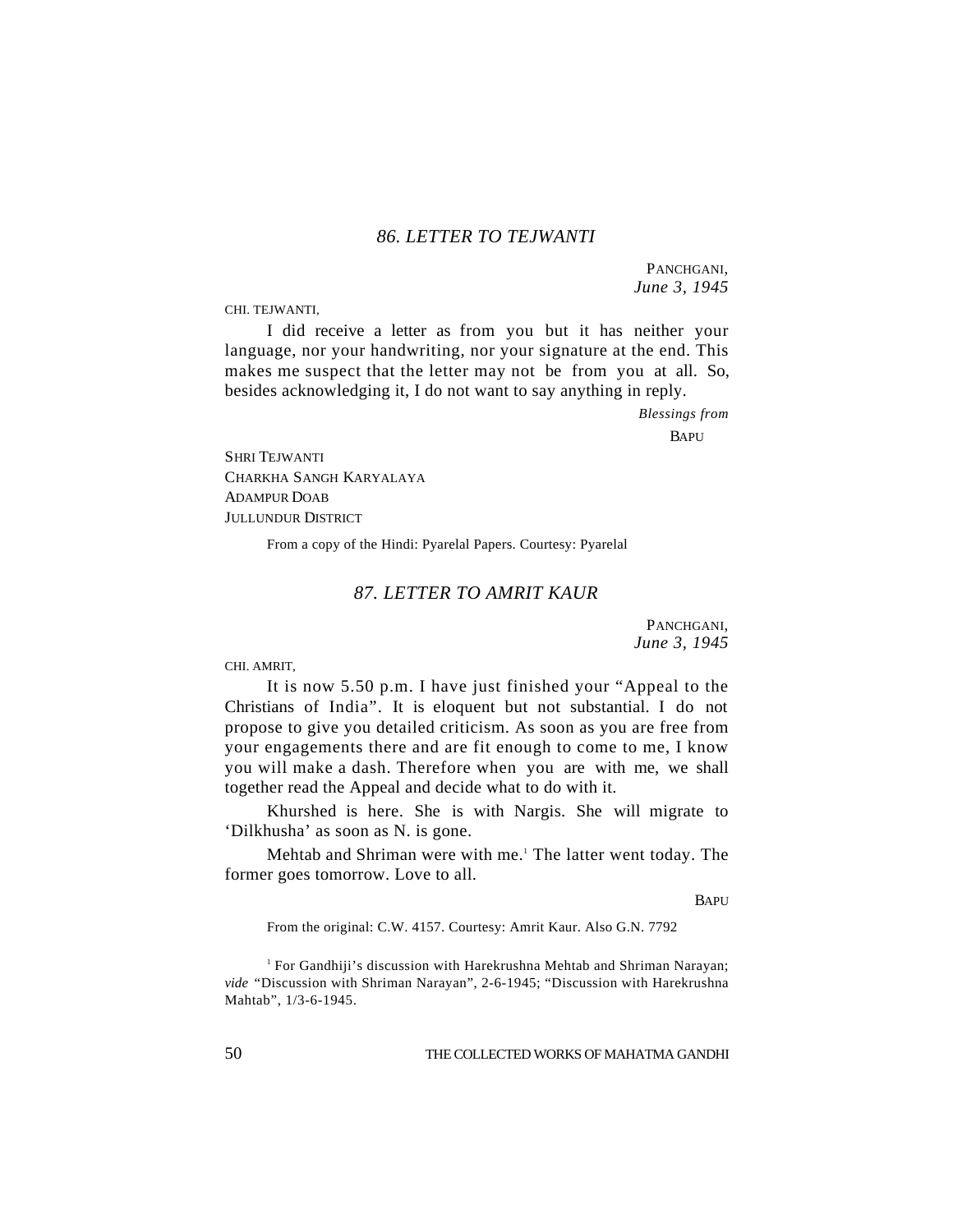# *86. LETTER TO TEJWANTI*

PANCHGANI, *June 3, 1945*

CHI. TEJWANTI,

I did receive a letter as from you but it has neither your language, nor your handwriting, nor your signature at the end. This makes me suspect that the letter may not be from you at all. So, besides acknowledging it, I do not want to say anything in reply.

*Blessings from*

**BAPU** 

SHRI TEJWANTI CHARKHA SANGH KARYALAYA ADAMPUR DOAB JULLUNDUR DISTRICT

From a copy of the Hindi: Pyarelal Papers. Courtesy: Pyarelal

## *87. LETTER TO AMRIT KAUR*

PANCHGANI, *June 3, 1945*

CHI. AMRIT,

It is now 5.50 p.m. I have just finished your "Appeal to the Christians of India". It is eloquent but not substantial. I do not propose to give you detailed criticism. As soon as you are free from your engagements there and are fit enough to come to me, I know you will make a dash. Therefore when you are with me, we shall together read the Appeal and decide what to do with it.

Khurshed is here. She is with Nargis. She will migrate to 'Dilkhusha' as soon as N. is gone.

Mehtab and Shriman were with me.<sup>1</sup> The latter went today. The former goes tomorrow. Love to all.

**BAPU** 

From the original: C.W. 4157. Courtesy: Amrit Kaur. Also G.N. 7792

 $1$  For Gandhiji's discussion with Harekrushna Mehtab and Shriman Narayan; *vide* "Discussion with Shriman Narayan", 2-6-1945; "Discussion with Harekrushna Mahtab", 1/3-6-1945.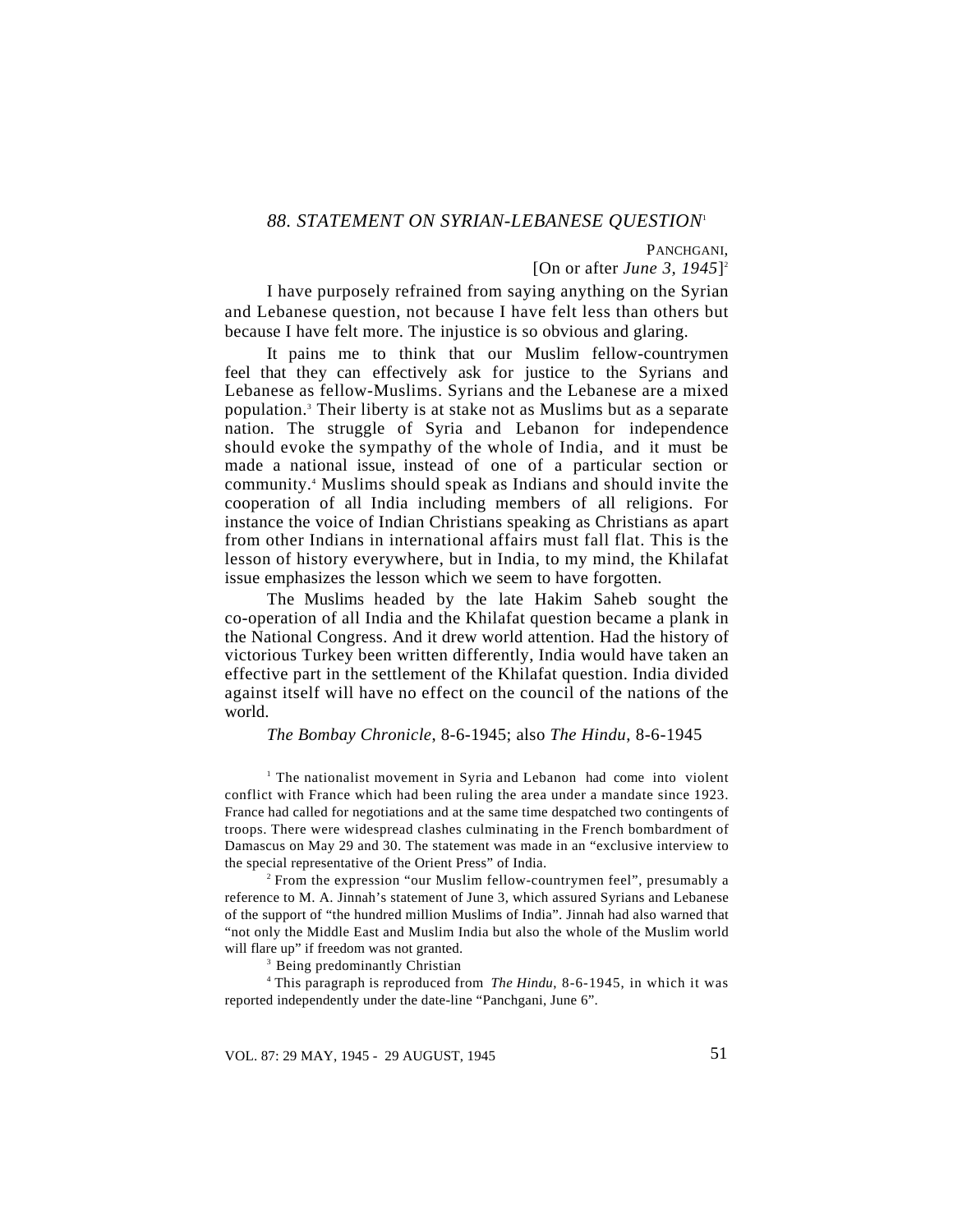PANCHGANI, [On or after *June 3, 1945*] 2

I have purposely refrained from saying anything on the Syrian and Lebanese question, not because I have felt less than others but because I have felt more. The injustice is so obvious and glaring.

It pains me to think that our Muslim fellow-countrymen feel that they can effectively ask for justice to the Syrians and Lebanese as fellow-Muslims. Syrians and the Lebanese are a mixed population.<sup>3</sup> Their liberty is at stake not as Muslims but as a separate nation. The struggle of Syria and Lebanon for independence should evoke the sympathy of the whole of India, and it must be made a national issue, instead of one of a particular section or community.<sup>4</sup> Muslims should speak as Indians and should invite the cooperation of all India including members of all religions. For instance the voice of Indian Christians speaking as Christians as apart from other Indians in international affairs must fall flat. This is the lesson of history everywhere, but in India, to my mind, the Khilafat issue emphasizes the lesson which we seem to have forgotten.

The Muslims headed by the late Hakim Saheb sought the co-operation of all India and the Khilafat question became a plank in the National Congress. And it drew world attention. Had the history of victorious Turkey been written differently, India would have taken an effective part in the settlement of the Khilafat question. India divided against itself will have no effect on the council of the nations of the world.

#### *The Bombay Chronicle*, 8-6-1945; also *The Hindu*, 8-6-1945

<sup>1</sup> The nationalist movement in Syria and Lebanon had come into violent conflict with France which had been ruling the area under a mandate since 1923. France had called for negotiations and at the same time despatched two contingents of troops. There were widespread clashes culminating in the French bombardment of Damascus on May 29 and 30. The statement was made in an "exclusive interview to the special representative of the Orient Press" of India.

 $2$  From the expression "our Muslim fellow-countrymen feel", presumably a reference to M. A. Jinnah's statement of June 3, which assured Syrians and Lebanese of the support of "the hundred million Muslims of India". Jinnah had also warned that "not only the Middle East and Muslim India but also the whole of the Muslim world will flare up" if freedom was not granted.

<sup>3</sup> Being predominantly Christian

<sup>4</sup> This paragraph is reproduced from *The Hindu*, 8-6-1945, in which it was reported independently under the date-line "Panchgani, June 6".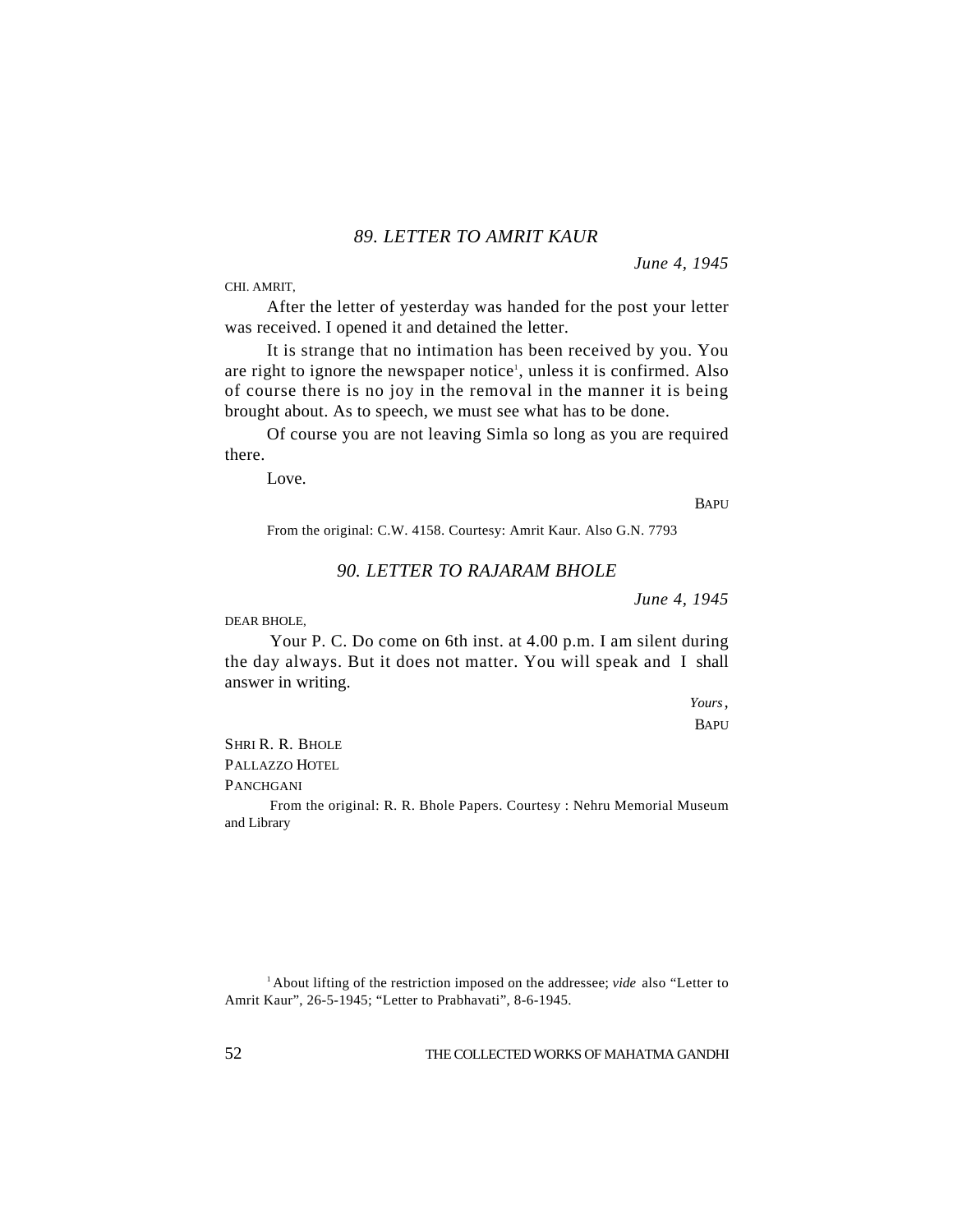*89. LETTER TO AMRIT KAUR*

*June 4, 1945*

CHI. AMRIT,

After the letter of yesterday was handed for the post your letter was received. I opened it and detained the letter.

It is strange that no intimation has been received by you. You are right to ignore the newspaper notice<sup>1</sup>, unless it is confirmed. Also of course there is no joy in the removal in the manner it is being brought about. As to speech, we must see what has to be done.

Of course you are not leaving Simla so long as you are required there.

Love.

**BAPU** 

From the original: C.W. 4158. Courtesy: Amrit Kaur. Also G.N. 7793

# *90. LETTER TO RAJARAM BHOLE*

*June 4, 1945*

DEAR BHOLE,

Your P. C. Do come on 6th inst. at 4.00 p.m. I am silent during the day always. But it does not matter. You will speak and I shall answer in writing.

> *Yours,* **BAPU**

SHRI R. R. BHOLE PALLAZZO HOTEL **PANCHGANI** 

From the original: R. R. Bhole Papers. Courtesy : Nehru Memorial Museum and Library

<sup>1</sup>About lifting of the restriction imposed on the addressee; *vide* also "Letter to Amrit Kaur", 26-5-1945; "Letter to Prabhavati", 8-6-1945.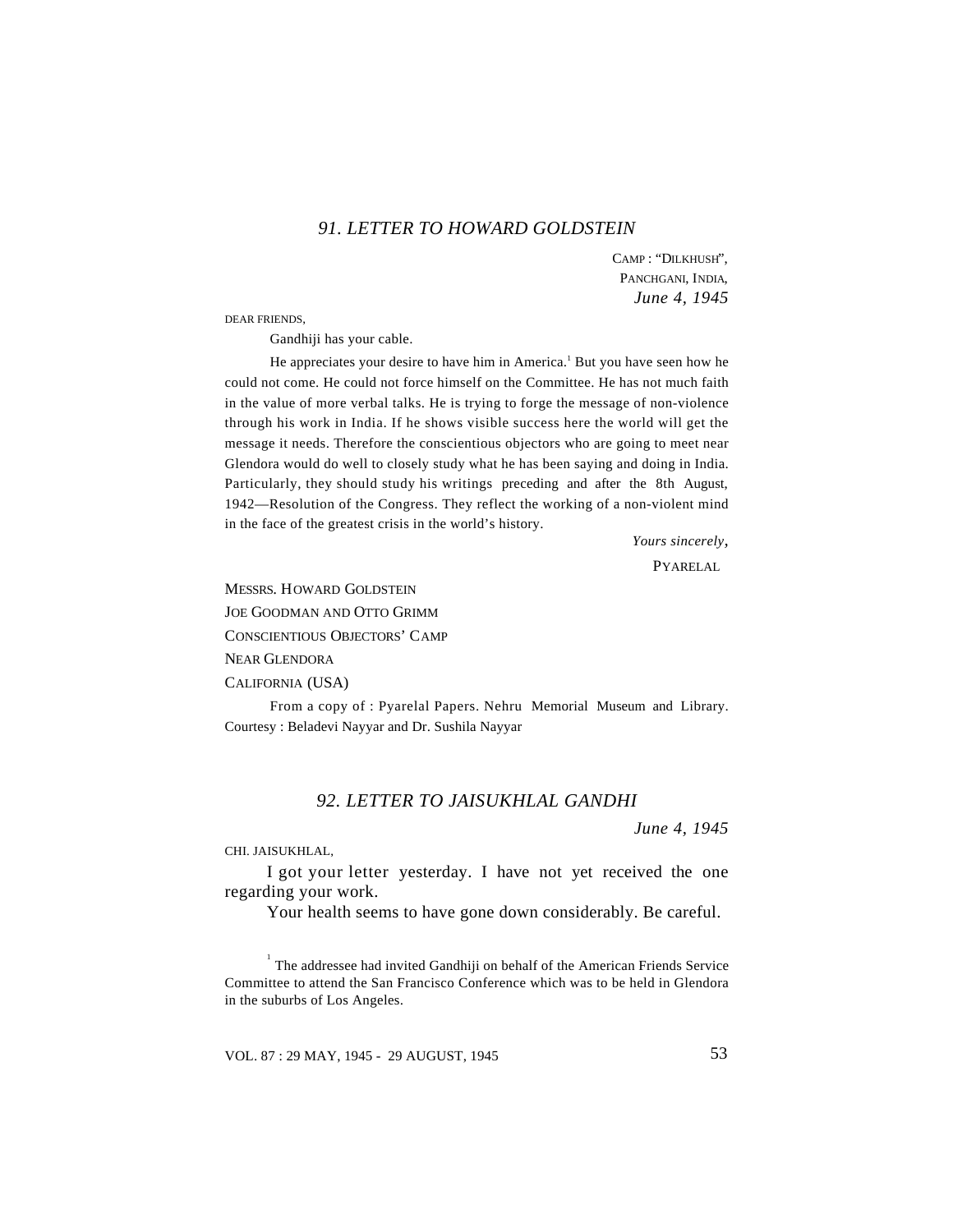# *91. LETTER TO HOWARD GOLDSTEIN*

CAMP : "DILKHUSH", PANCHGANI, INDIA, *June 4, 1945*

#### DEAR FRIENDS,

Gandhiji has your cable.

He appreciates your desire to have him in America.<sup>1</sup> But you have seen how he could not come. He could not force himself on the Committee. He has not much faith in the value of more verbal talks. He is trying to forge the message of non-violence through his work in India. If he shows visible success here the world will get the message it needs. Therefore the conscientious objectors who are going to meet near Glendora would do well to closely study what he has been saying and doing in India. Particularly, they should study his writings preceding and after the 8th August, 1942—Resolution of the Congress. They reflect the working of a non-violent mind in the face of the greatest crisis in the world's history.

*Yours sincerely,*

PYARELAL

MESSRS. HOWARD GOLDSTEIN JOE GOODMAN AND OTTO GRIMM CONSCIENTIOUS OBJECTORS' CAMP NEAR GLENDORA CALIFORNIA (USA)

From a copy of : Pyarelal Papers. Nehru Memorial Museum and Library. Courtesy : Beladevi Nayyar and Dr. Sushila Nayyar

# *92. LETTER TO JAISUKHLAL GANDHI*

*June 4, 1945*

CHI. JAISUKHLAL,

I got your letter yesterday. I have not yet received the one regarding your work.

Your health seems to have gone down considerably. Be careful.

1 The addressee had invited Gandhiji on behalf of the American Friends Service Committee to attend the San Francisco Conference which was to be held in Glendora in the suburbs of Los Angeles.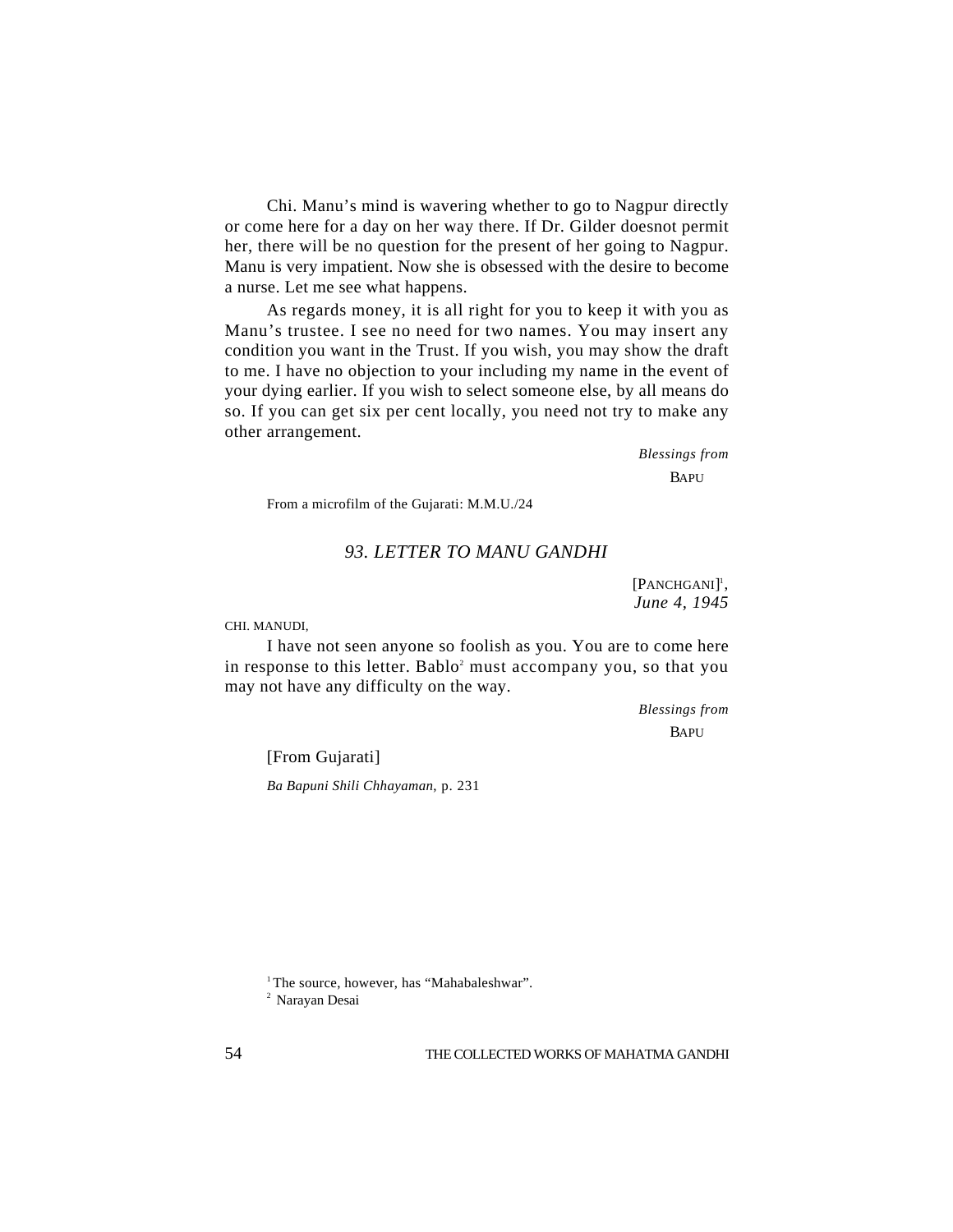Chi. Manu's mind is wavering whether to go to Nagpur directly or come here for a day on her way there. If Dr. Gilder doesnot permit her, there will be no question for the present of her going to Nagpur. Manu is very impatient. Now she is obsessed with the desire to become a nurse. Let me see what happens.

As regards money, it is all right for you to keep it with you as Manu's trustee. I see no need for two names. You may insert any condition you want in the Trust. If you wish, you may show the draft to me. I have no objection to your including my name in the event of your dying earlier. If you wish to select someone else, by all means do so. If you can get six per cent locally, you need not try to make any other arrangement.

> *Blessings from* **BAPU**

From a microfilm of the Gujarati: M.M.U./24

# *93. LETTER TO MANU GANDHI*

[PANCHGANI]<sup>1</sup>, *June 4, 1945*

CHI. MANUDI,

I have not seen anyone so foolish as you. You are to come here in response to this letter. Bablo<sup>2</sup> must accompany you, so that you may not have any difficulty on the way.

> *Blessings from* **BAPU**

[From Gujarati]

*Ba Bapuni Shili Chhayaman*, p. 231

<sup>1</sup>The source, however, has "Mahabaleshwar".

2 Narayan Desai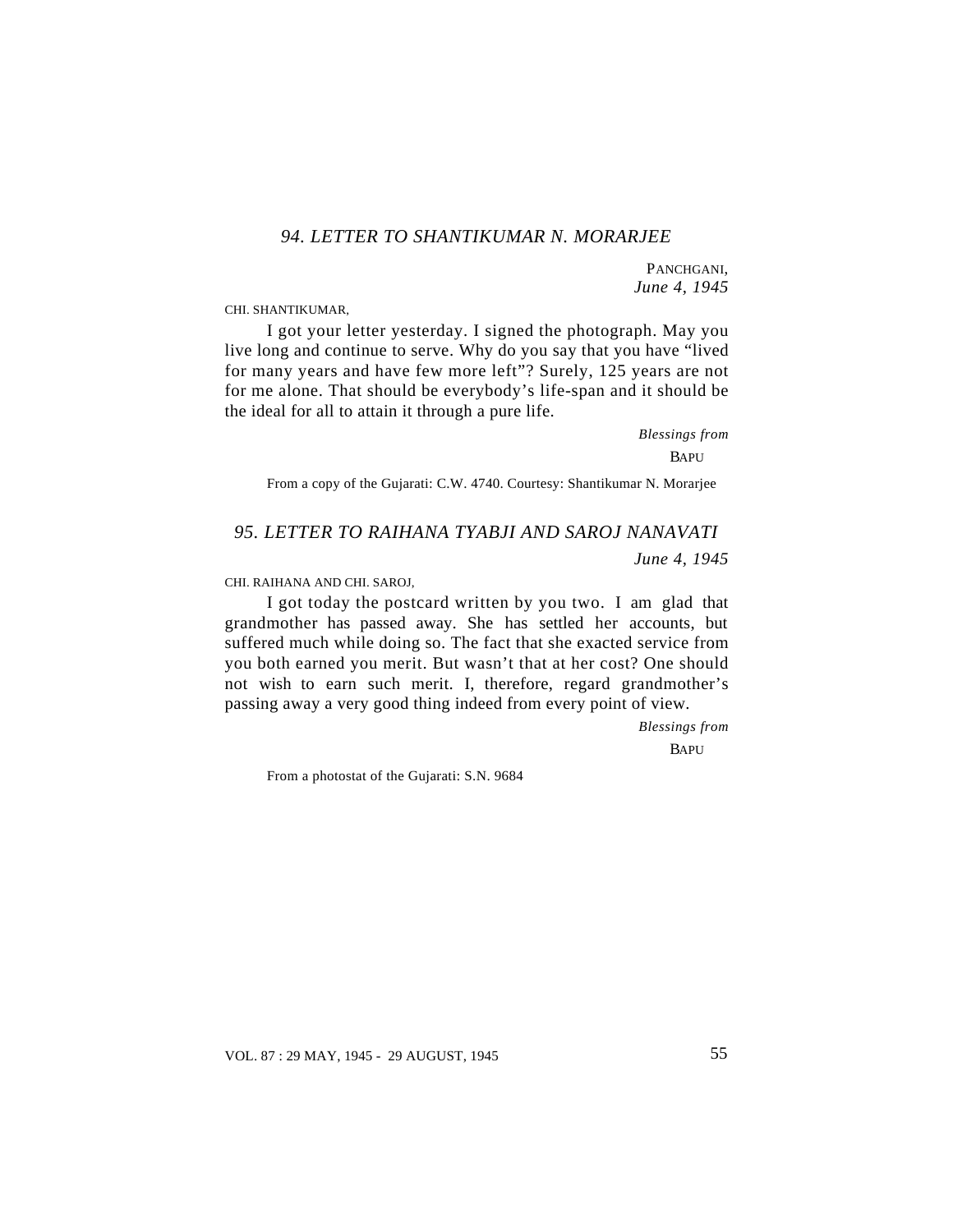# *94. LETTER TO SHANTIKUMAR N. MORARJEE*

PANCHGANI, *June 4, 1945*

#### CHI. SHANTIKUMAR,

I got your letter yesterday. I signed the photograph. May you live long and continue to serve. Why do you say that you have "lived for many years and have few more left"? Surely, 125 years are not for me alone. That should be everybody's life-span and it should be the ideal for all to attain it through a pure life.

> *Blessings from* BAPU

From a copy of the Gujarati: C.W. 4740. Courtesy: Shantikumar N. Morarjee

# *95. LETTER TO RAIHANA TYABJI AND SAROJ NANAVATI June 4, 1945*

CHI. RAIHANA AND CHI. SAROJ,

I got today the postcard written by you two. I am glad that grandmother has passed away. She has settled her accounts, but suffered much while doing so. The fact that she exacted service from you both earned you merit. But wasn't that at her cost? One should not wish to earn such merit. I, therefore, regard grandmother's passing away a very good thing indeed from every point of view.

> *Blessings from* **BAPU**

From a photostat of the Gujarati: S.N. 9684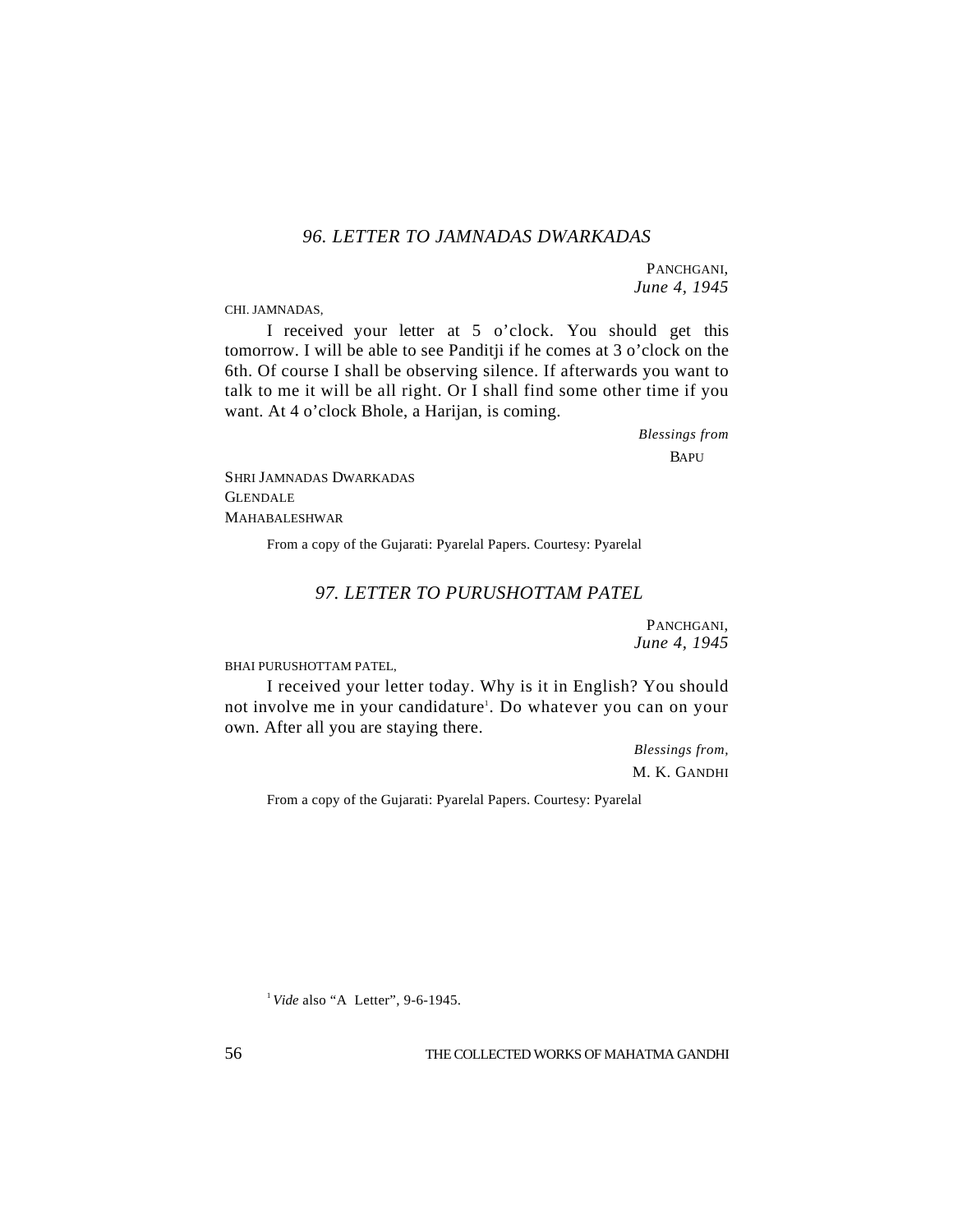# *96. LETTER TO JAMNADAS DWARKADAS*

PANCHGANI, *June 4, 1945*

CHI. JAMNADAS,

I received your letter at 5 o'clock. You should get this tomorrow. I will be able to see Panditji if he comes at 3 o'clock on the 6th. Of course I shall be observing silence. If afterwards you want to talk to me it will be all right. Or I shall find some other time if you want. At 4 o'clock Bhole, a Harijan, is coming.

> *Blessings from* BAPU

SHRI JAMNADAS DWARKADAS **GLENDALE** MAHABALESHWAR

From a copy of the Gujarati: Pyarelal Papers. Courtesy: Pyarelal

# *97. LETTER TO PURUSHOTTAM PATEL*

PANCHGANI, *June 4, 1945*

BHAI PURUSHOTTAM PATEL,

I received your letter today. Why is it in English? You should not involve me in your candidature<sup>1</sup>. Do whatever you can on your own. After all you are staying there.

> *Blessings from,* M. K. GANDHI

From a copy of the Gujarati: Pyarelal Papers. Courtesy: Pyarelal

<sup>1</sup> Vide also "A Letter", 9-6-1945.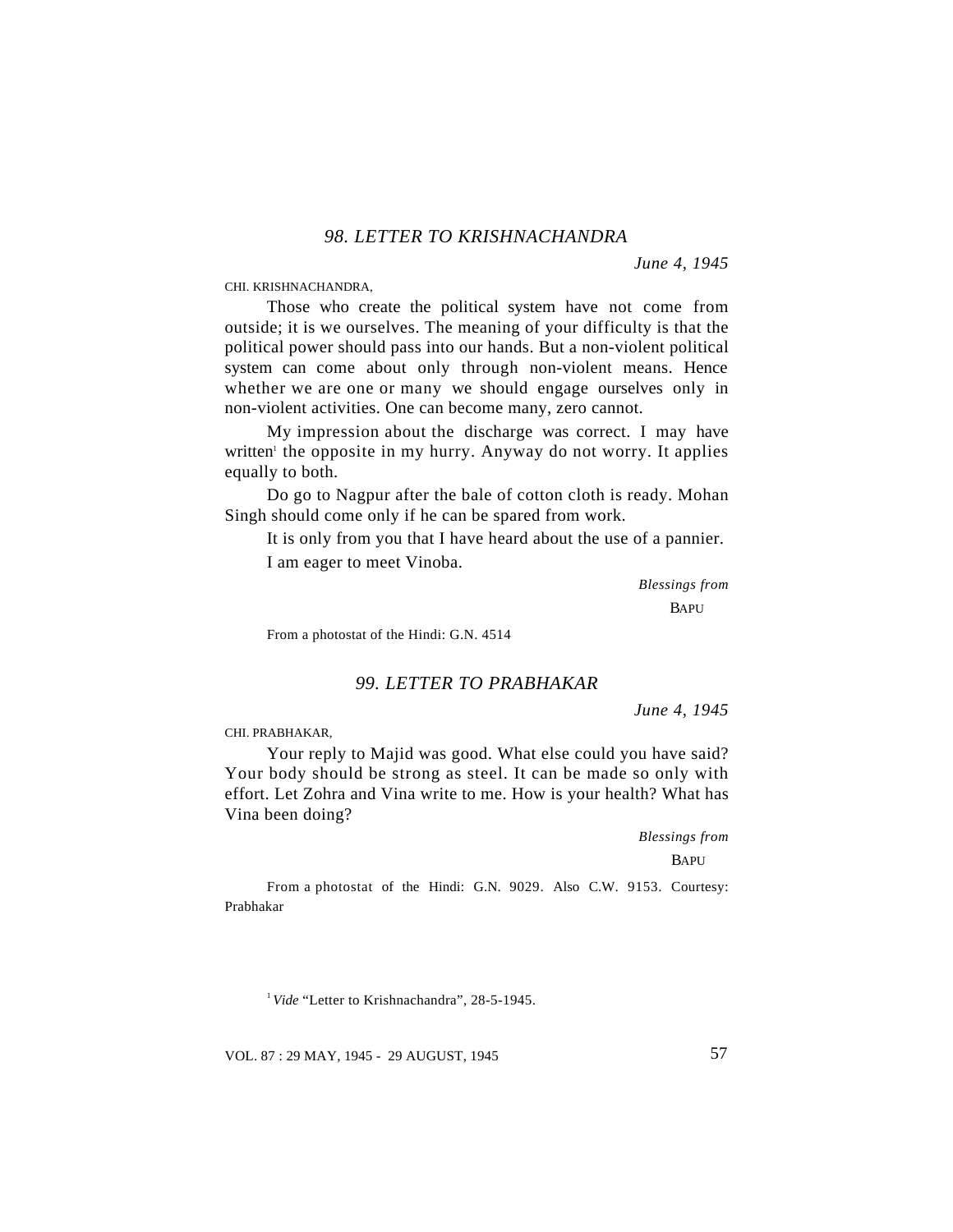*June 4, 1945*

CHI*.* KRISHNACHANDRA,

Those who create the political system have not come from outside; it is we ourselves. The meaning of your difficulty is that the political power should pass into our hands. But a non-violent political system can come about only through non-violent means. Hence whether we are one or many we should engage ourselves only in non-violent activities. One can become many, zero cannot.

My impression about the discharge was correct. I may have written' the opposite in my hurry. Anyway do not worry. It applies equally to both.

Do go to Nagpur after the bale of cotton cloth is ready. Mohan Singh should come only if he can be spared from work.

It is only from you that I have heard about the use of a pannier. I am eager to meet Vinoba.

> *Blessings from* **BAPU**

From a photostat of the Hindi: G.N. 4514

### *99. LETTER TO PRABHAKAR*

*June 4, 1945*

CHI. PRABHAKAR,

Your reply to Majid was good. What else could you have said? Your body should be strong as steel. It can be made so only with effort. Let Zohra and Vina write to me. How is your health? What has Vina been doing?

*Blessings from*

**BAPU** 

From a photostat of the Hindi: G.N. 9029. Also C.W. 9153. Courtesy: Prabhakar

<sup>1</sup> Vide "Letter to Krishnachandra", 28-5-1945.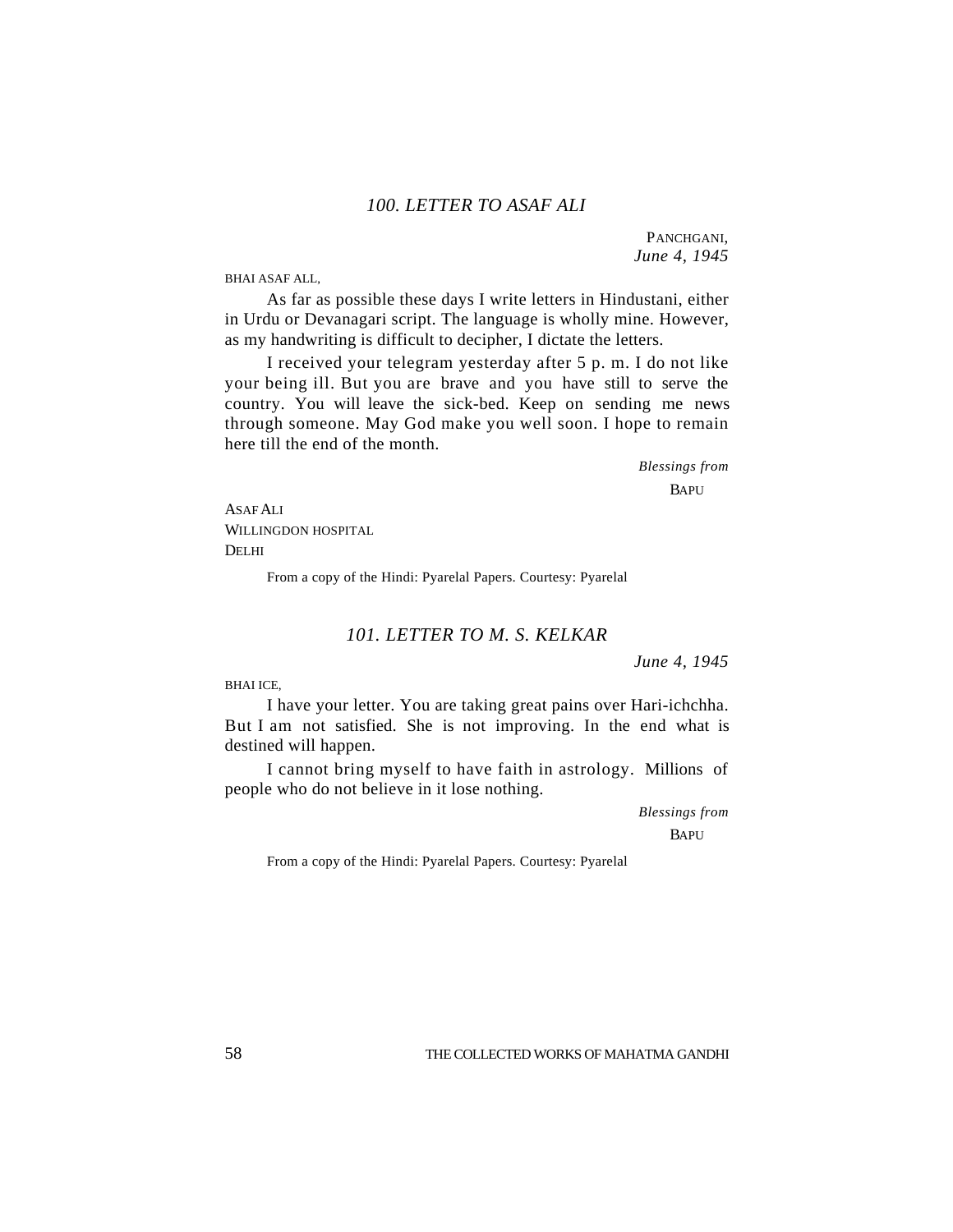# *100. LETTER TO ASAF ALI*

PANCHGANI, *June 4, 1945*

BHAI ASAF ALL,

As far as possible these days I write letters in Hindustani, either in Urdu or Devanagari script. The language is wholly mine. However, as my handwriting is difficult to decipher, I dictate the letters.

I received your telegram yesterday after 5 p. m. I do not like your being ill. But you are brave and you have still to serve the country. You will leave the sick-bed. Keep on sending me news through someone. May God make you well soon. I hope to remain here till the end of the month.

> *Blessings from* **BAPU**

ASAF ALI WILLINGDON HOSPITAL DELHI

From a copy of the Hindi: Pyarelal Papers. Courtesy: Pyarelal

#### *101. LETTER TO M. S. KELKAR*

*June 4, 1945*

BHAI ICE,

I have your letter. You are taking great pains over Hari-ichchha. But I am not satisfied. She is not improving. In the end what is destined will happen.

I cannot bring myself to have faith in astrology. Millions of people who do not believe in it lose nothing.

> *Blessings from* **BAPU**

From a copy of the Hindi: Pyarelal Papers. Courtesy: Pyarelal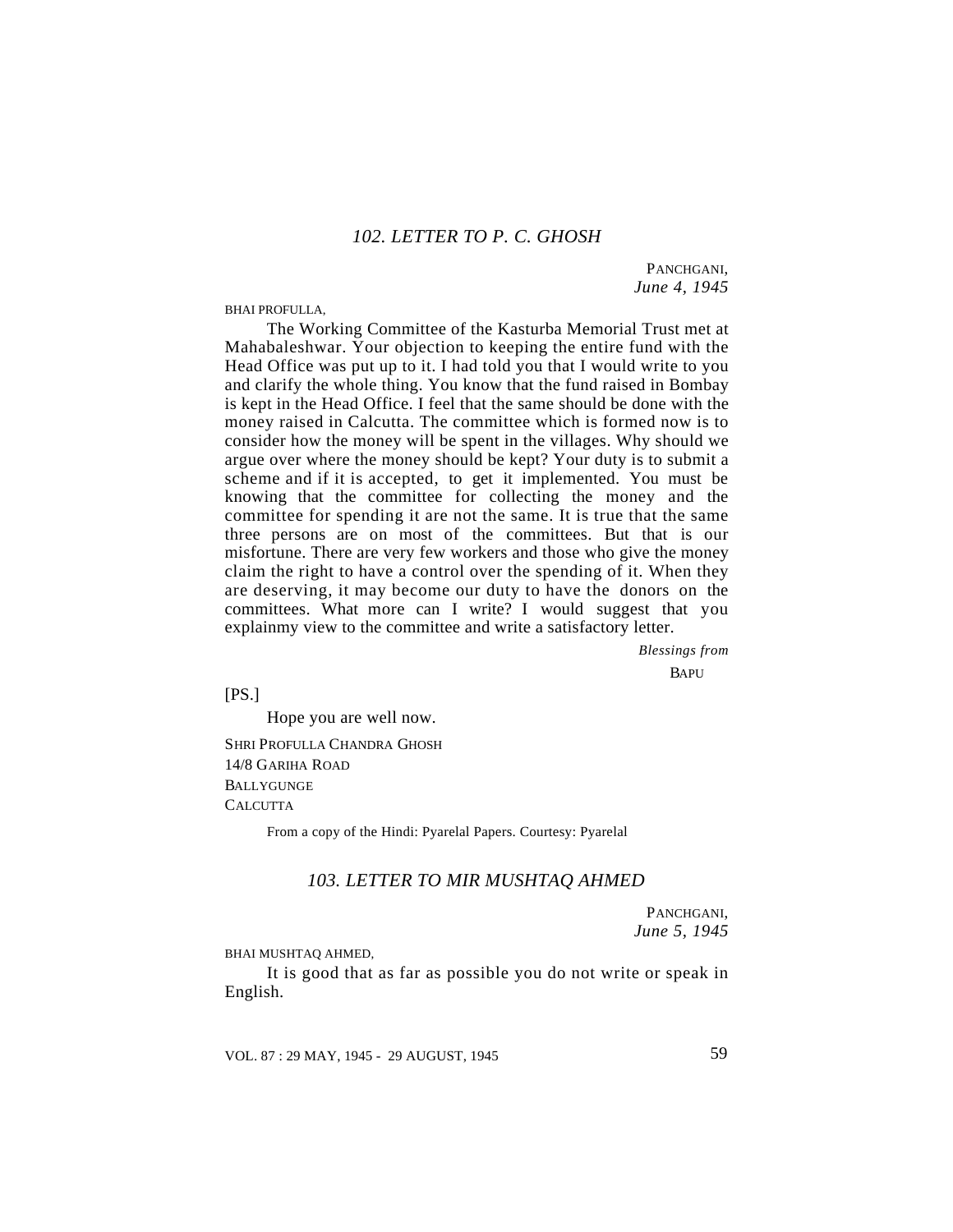## *102. LETTER TO P. C. GHOSH*

PANCHGANI, *June 4, 1945*

#### BHAI PROFULLA,

The Working Committee of the Kasturba Memorial Trust met at Mahabaleshwar. Your objection to keeping the entire fund with the Head Office was put up to it. I had told you that I would write to you and clarify the whole thing. You know that the fund raised in Bombay is kept in the Head Office. I feel that the same should be done with the money raised in Calcutta. The committee which is formed now is to consider how the money will be spent in the villages. Why should we argue over where the money should be kept? Your duty is to submit a scheme and if it is accepted, to get it implemented. You must be knowing that the committee for collecting the money and the committee for spending it are not the same. It is true that the same three persons are on most of the committees. But that is our misfortune. There are very few workers and those who give the money claim the right to have a control over the spending of it. When they are deserving, it may become our duty to have the donors on the committees. What more can I write? I would suggest that you explainmy view to the committee and write a satisfactory letter.

*Blessings from*

**BAPU** 

 $[PS.]$ 

Hope you are well now.

SHRI PROFULLA CHANDRA GHOSH 14/8 GARIHA ROAD **BALLYGUNGE CALCUTTA** 

From a copy of the Hindi: Pyarelal Papers. Courtesy: Pyarelal

#### *103. LETTER TO MIR MUSHTAQ AHMED*

PANCHGANI, *June 5, 1945*

BHAI MUSHTAQ AHMED,

It is good that as far as possible you do not write or speak in English.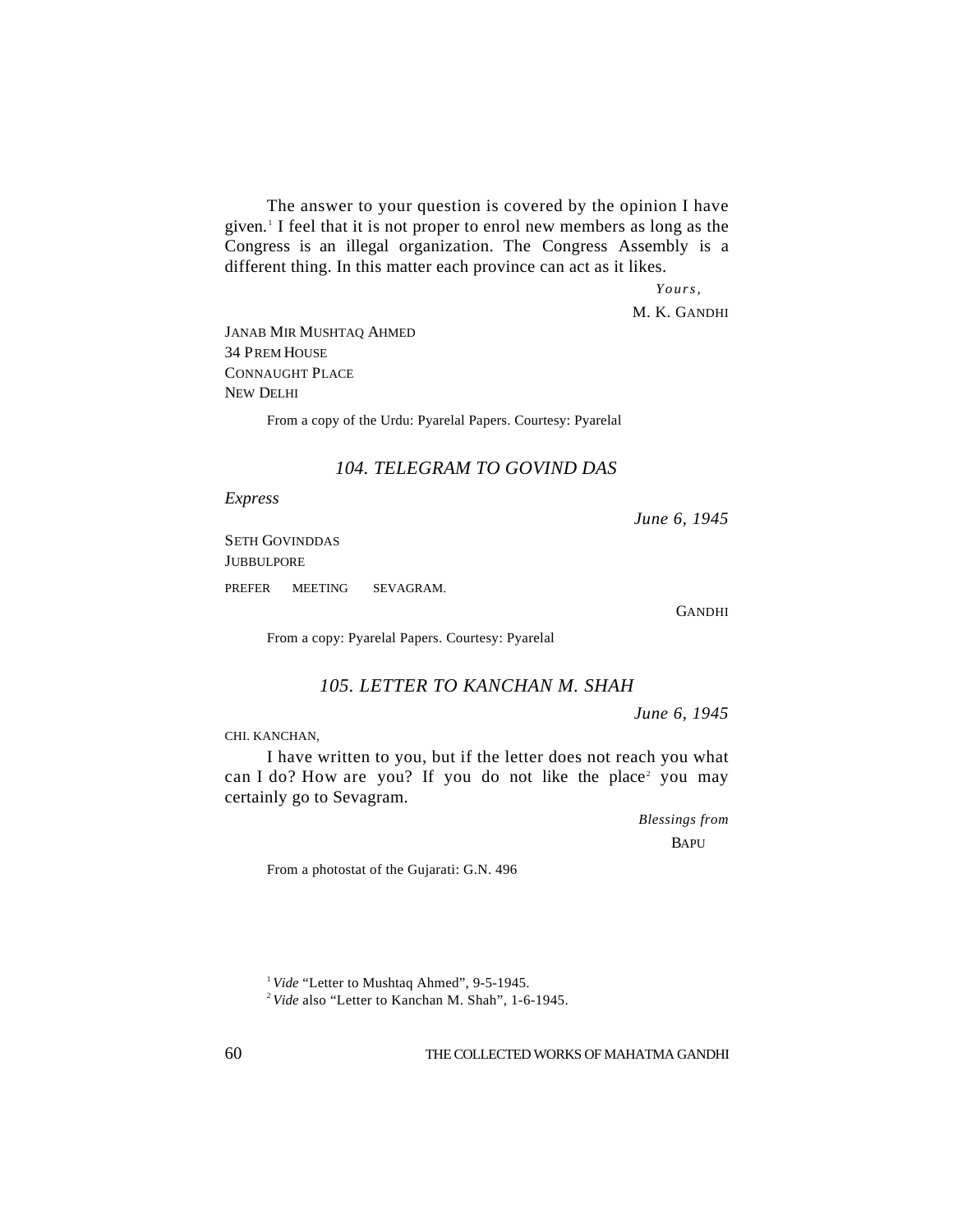The answer to your question is covered by the opinion I have given. <sup>1</sup> I feel that it is not proper to enrol new members as long as the Congress is an illegal organization. The Congress Assembly is a different thing. In this matter each province can act as it likes.

> *Yours,*  M. K. GANDHI

JANAB MIR MUSHTAQ AHMED 34 PREM HOUSE CONNAUGHT PLACE NEW DELHI

From a copy of the Urdu: Pyarelal Papers. Courtesy: Pyarelal

*104. TELEGRAM TO GOVIND DAS*

*Express*

*June 6, 1945*

SETH GOVINDDAS JUBBULPORE

PREFER MEETING SEVAGRAM.

**GANDHI** 

From a copy: Pyarelal Papers. Courtesy: Pyarelal

# *105. LETTER TO KANCHAN M. SHAH*

*June 6, 1945*

CHI. KANCHAN,

I have written to you, but if the letter does not reach you what can I do? How are you? If you do not like the place<sup>2</sup> you may certainly go to Sevagram.

> *Blessings from* BAPU

From a photostat of the Gujarati: G.N. 496

<sup>&</sup>lt;sup>1</sup> Vide "Letter to Mushtaq Ahmed", 9-5-1945.

<sup>2</sup>*Vide* also "Letter to Kanchan M. Shah", 1-6-1945.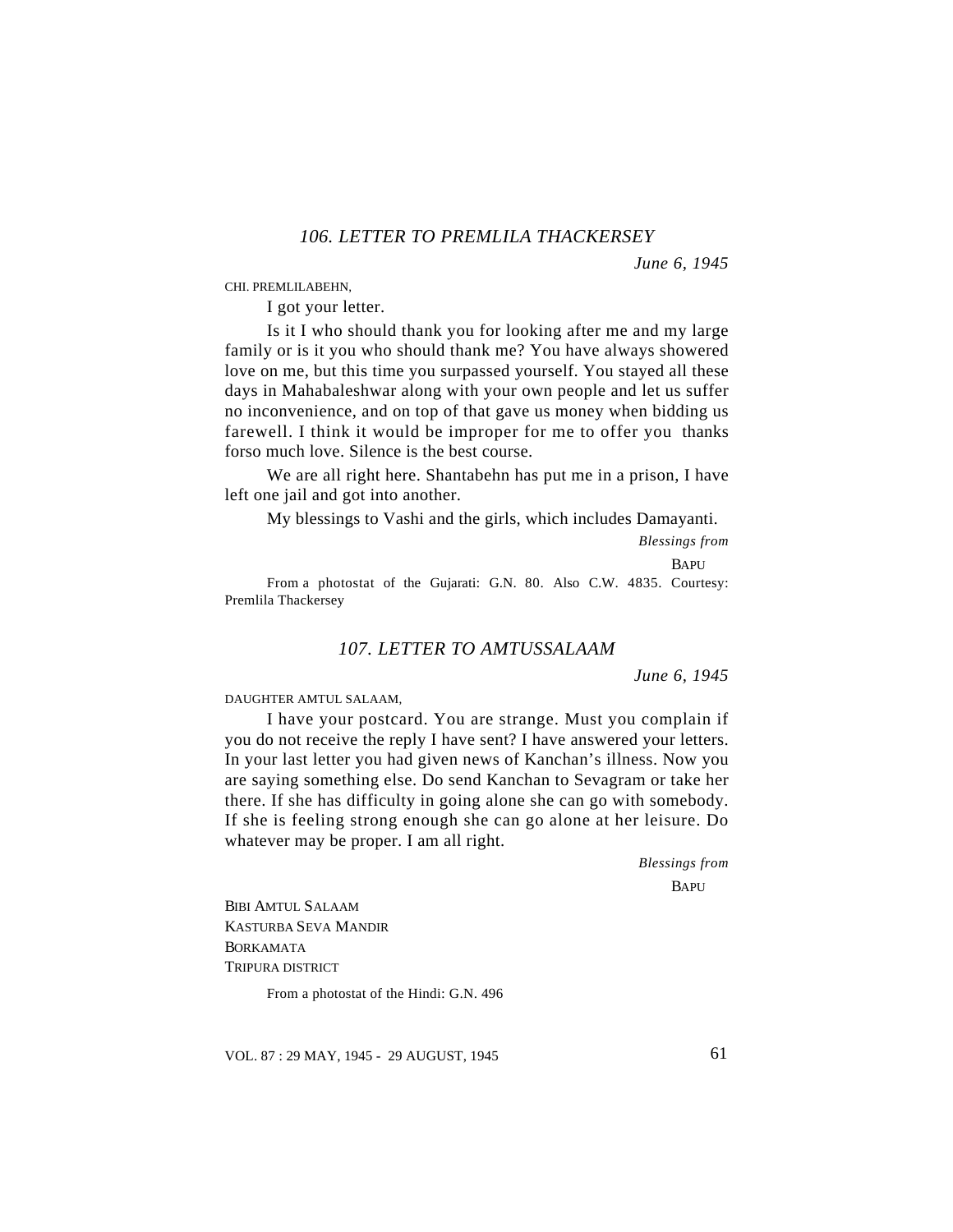*June 6, 1945*

CHI. PREMLILABEHN,

I got your letter.

Is it I who should thank you for looking after me and my large family or is it you who should thank me? You have always showered love on me, but this time you surpassed yourself. You stayed all these days in Mahabaleshwar along with your own people and let us suffer no inconvenience, and on top of that gave us money when bidding us farewell. I think it would be improper for me to offer you thanks forso much love. Silence is the best course.

We are all right here. Shantabehn has put me in a prison, I have left one jail and got into another.

My blessings to Vashi and the girls, which includes Damayanti.

*Blessings from*

BAPU

From a photostat of the Gujarati: G.N. 80. Also C.W. 4835. Courtesy: Premlila Thackersey

# *107. LETTER TO AMTUSSALAAM*

*June 6, 1945*

DAUGHTER AMTUL SALAAM,

I have your postcard. You are strange. Must you complain if you do not receive the reply I have sent? I have answered your letters. In your last letter you had given news of Kanchan's illness. Now you are saying something else. Do send Kanchan to Sevagram or take her there. If she has difficulty in going alone she can go with somebody. If she is feeling strong enough she can go alone at her leisure. Do whatever may be proper. I am all right.

> *Blessings from* **BAPU**

BIBI AMTUL SALAAM KASTURBA SEVA MANDIR BORKAMATA TRIPURA DISTRICT

From a photostat of the Hindi: G.N. 496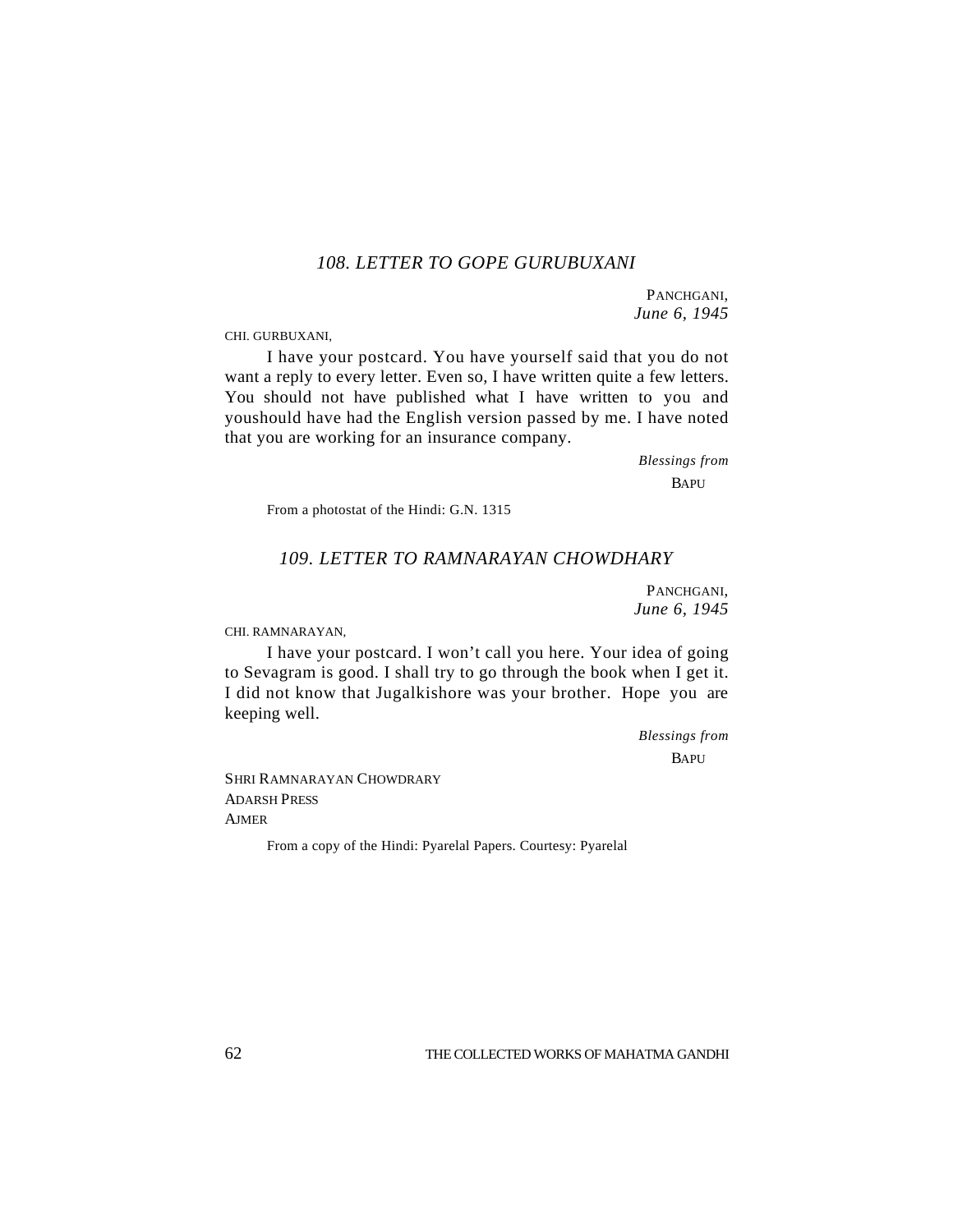## 62 THE COLLECTED WORKS OF MAHATMA GANDHI

# *108. LETTER TO GOPE GURUBUXANI*

PANCHGANI, *June 6, 1945*

CHI. GURBUXANI,

I have your postcard. You have yourself said that you do not want a reply to every letter. Even so, I have written quite a few letters. You should not have published what I have written to you and youshould have had the English version passed by me. I have noted that you are working for an insurance company.

*Blessings from*

BAPU

From a photostat of the Hindi: G.N. 1315

# *109. LETTER TO RAMNARAYAN CHOWDHARY*

PANCHGANI, *June 6, 1945*

CHI. RAMNARAYAN,

I have your postcard. I won't call you here. Your idea of going to Sevagram is good. I shall try to go through the book when I get it. I did not know that Jugalkishore was your brother. Hope you are keeping well.

> *Blessings from* **BAPU**

SHRI RAMNARAYAN CHOWDRARY ADARSH PRESS AJMER

From a copy of the Hindi: Pyarelal Papers. Courtesy: Pyarelal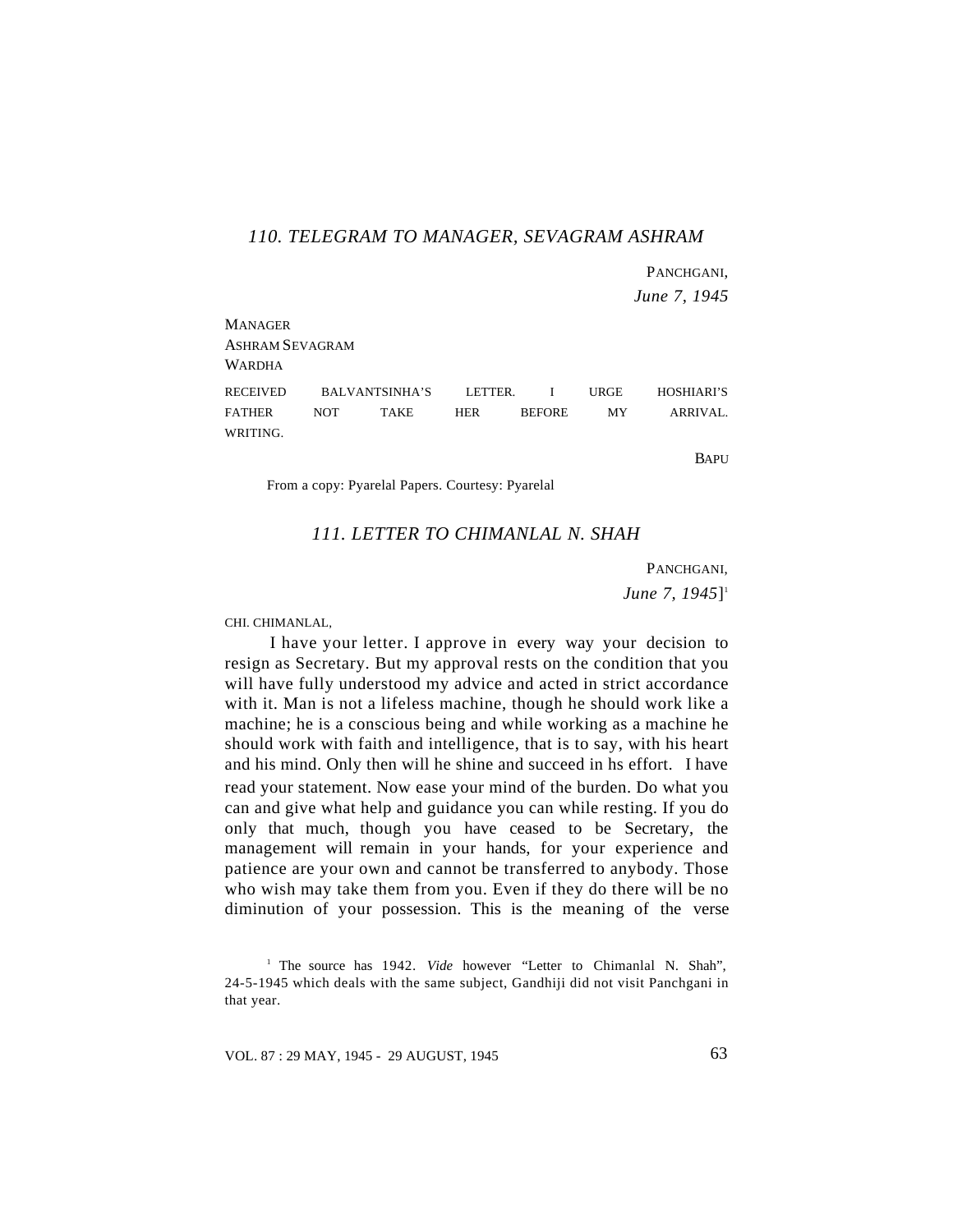### *110. TELEGRAM TO MANAGER, SEVAGRAM ASHRAM*

PANCHGANI, *June 7, 1945*

**MANAGER** ASHRAM SEVAGRAM **WARDHA** RECEIVED BALVANTSINHA'S LETTER. I URGE HOSHIARI'S FATHER NOT TAKE HER BEFORE MY ARRIVAL. WRITING.

**BAPU** 

From a copy: Pyarelal Papers. Courtesy: Pyarelal

# *111. LETTER TO CHIMANLAL N. SHAH*

PANCHGANI, *June 7, 1945*] 1

CHI. CHIMANLAL,

I have your letter. I approve in every way your decision to resign as Secretary. But my approval rests on the condition that you will have fully understood my advice and acted in strict accordance with it. Man is not a lifeless machine, though he should work like a machine; he is a conscious being and while working as a machine he should work with faith and intelligence, that is to say, with his heart and his mind. Only then will he shine and succeed in hs effort. I have read your statement. Now ease your mind of the burden. Do what you can and give what help and guidance you can while resting. If you do only that much, though you have ceased to be Secretary, the management will remain in your hands, for your experience and patience are your own and cannot be transferred to anybody. Those who wish may take them from you. Even if they do there will be no diminution of your possession. This is the meaning of the verse

<sup>1</sup> The source has 1942. *Vide* however "Letter to Chimanlal N. Shah", 24-5-1945 which deals with the same subject, Gandhiji did not visit Panchgani in that year.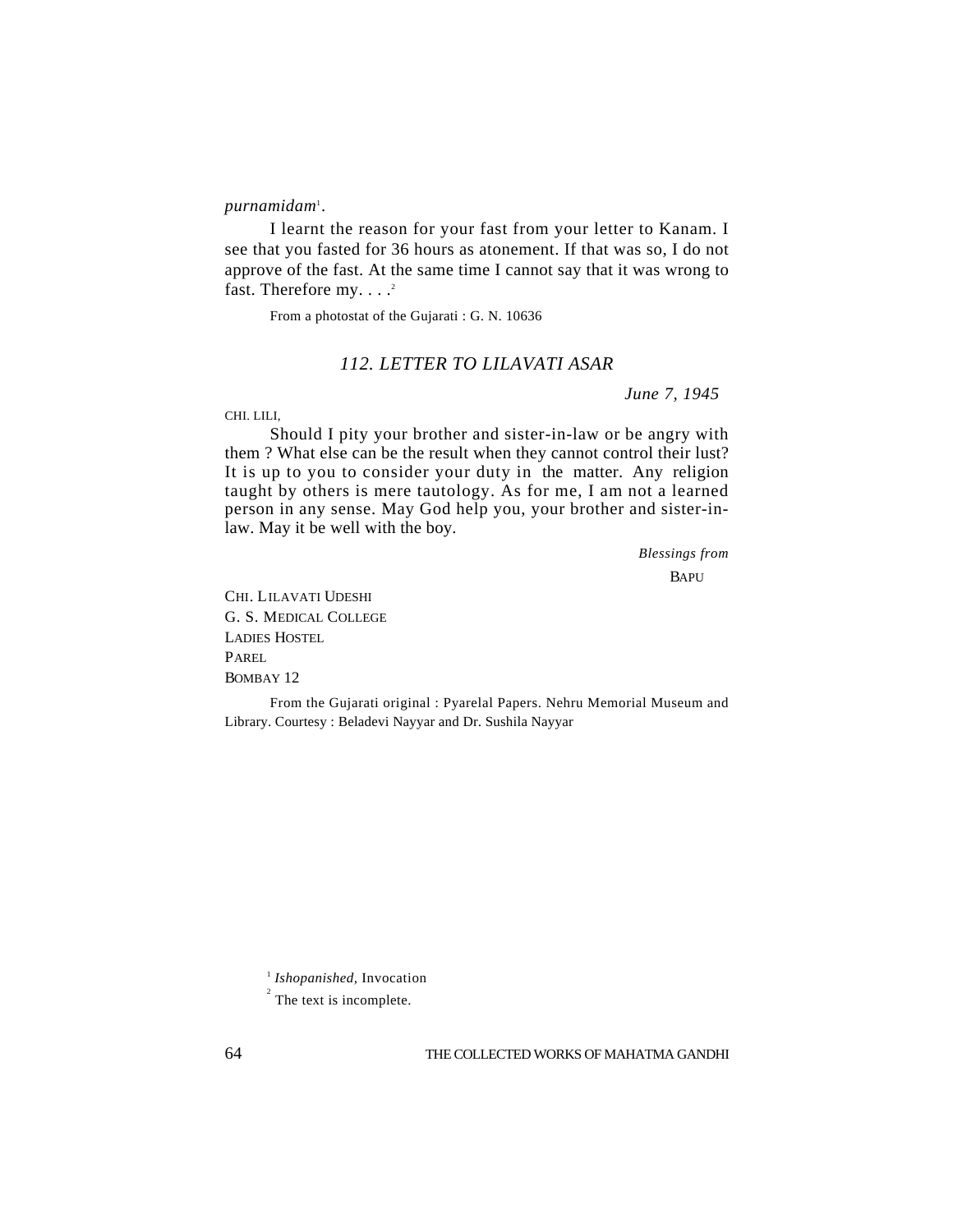*purnamidam*<sup>1</sup> .

I learnt the reason for your fast from your letter to Kanam. I see that you fasted for 36 hours as atonement. If that was so, I do not approve of the fast. At the same time I cannot say that it was wrong to fast. Therefore  $my. \ldots$ <sup>2</sup>

From a photostat of the Gujarati : G. N. 10636

# *112. LETTER TO LILAVATI ASAR*

*June 7, 1945*

CHI. LILI,

Should I pity your brother and sister-in-law or be angry with them ? What else can be the result when they cannot control their lust? It is up to you to consider your duty in the matter. Any religion taught by others is mere tautology. As for me, I am not a learned person in any sense. May God help you, your brother and sister-inlaw. May it be well with the boy.

> *Blessings from* **BAPU**

CHI. LILAVATI UDESHI G. S. MEDICAL COLLEGE LADIES HOSTEL PAREL BOMBAY 12

From the Gujarati original : Pyarelal Papers. Nehru Memorial Museum and Library. Courtesy : Beladevi Nayyar and Dr. Sushila Nayyar

1 *Ishopanished,* Invocation

 $2^{2}$  The text is incomplete.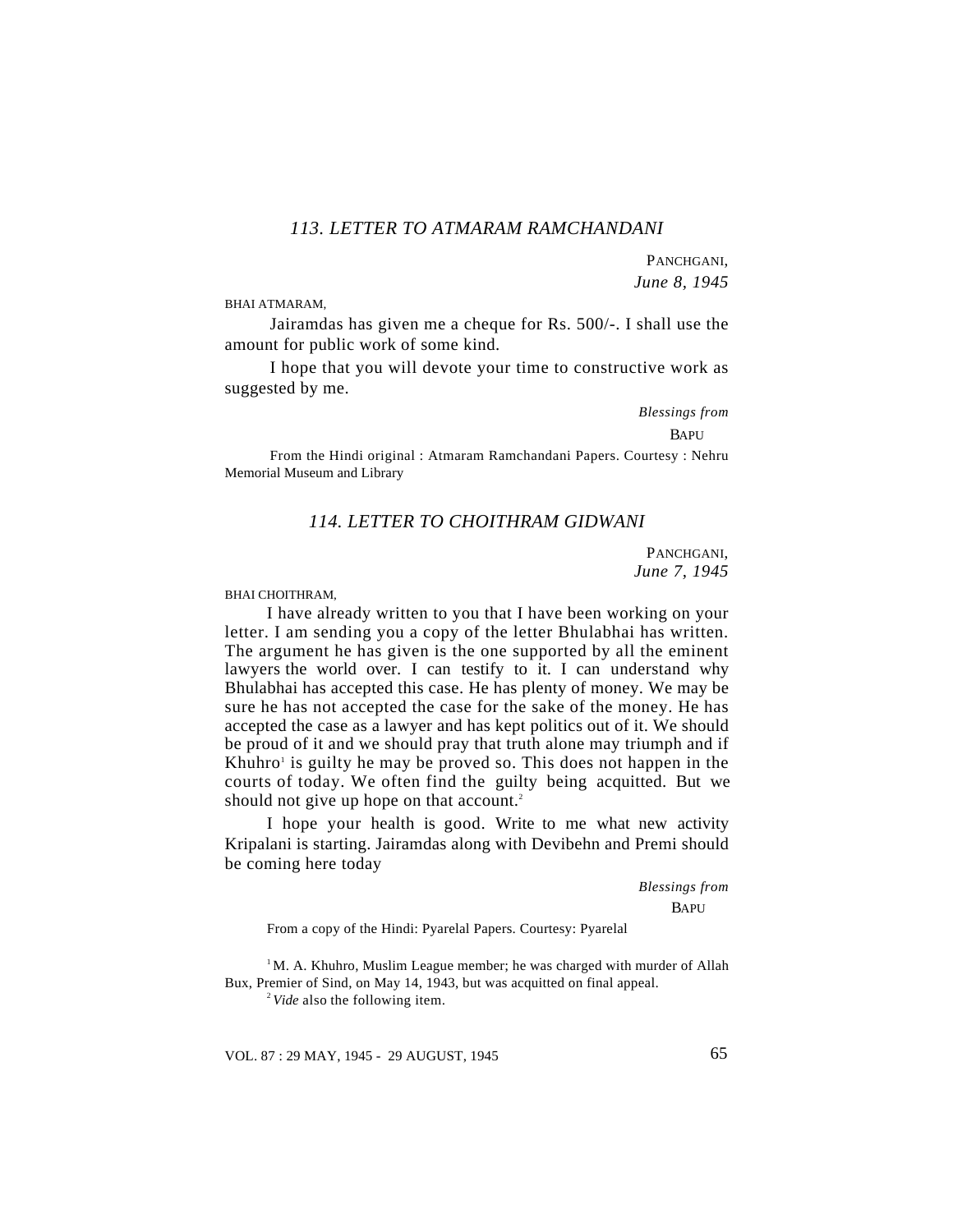PANCHGANI, *June 8, 1945*

BHAI ATMARAM,

Jairamdas has given me a cheque for Rs. 500/-. I shall use the amount for public work of some kind.

I hope that you will devote your time to constructive work as suggested by me.

*Blessings from*

**BAPU** 

From the Hindi original : Atmaram Ramchandani Papers. Courtesy : Nehru Memorial Museum and Library

## *114. LETTER TO CHOITHRAM GIDWANI*

PANCHGANI, *June 7, 1945*

BHAI CHOITHRAM,

I have already written to you that I have been working on your letter. I am sending you a copy of the letter Bhulabhai has written. The argument he has given is the one supported by all the eminent lawyers the world over. I can testify to it. I can understand why Bhulabhai has accepted this case. He has plenty of money. We may be sure he has not accepted the case for the sake of the money. He has accepted the case as a lawyer and has kept politics out of it. We should be proud of it and we should pray that truth alone may triumph and if Khuhro<sup>1</sup> is guilty he may be proved so. This does not happen in the courts of today. We often find the guilty being acquitted. But we should not give up hope on that account.<sup>2</sup>

I hope your health is good. Write to me what new activity Kripalani is starting. Jairamdas along with Devibehn and Premi should be coming here today

*Blessings from*

**BAPU** 

From a copy of the Hindi: Pyarelal Papers. Courtesy: Pyarelal

 $1<sup>1</sup>M$ . A. Khuhro, Muslim League member; he was charged with murder of Allah Bux, Premier of Sind, on May 14, 1943, but was acquitted on final appeal.

<sup>2</sup>*Vide* also the following item.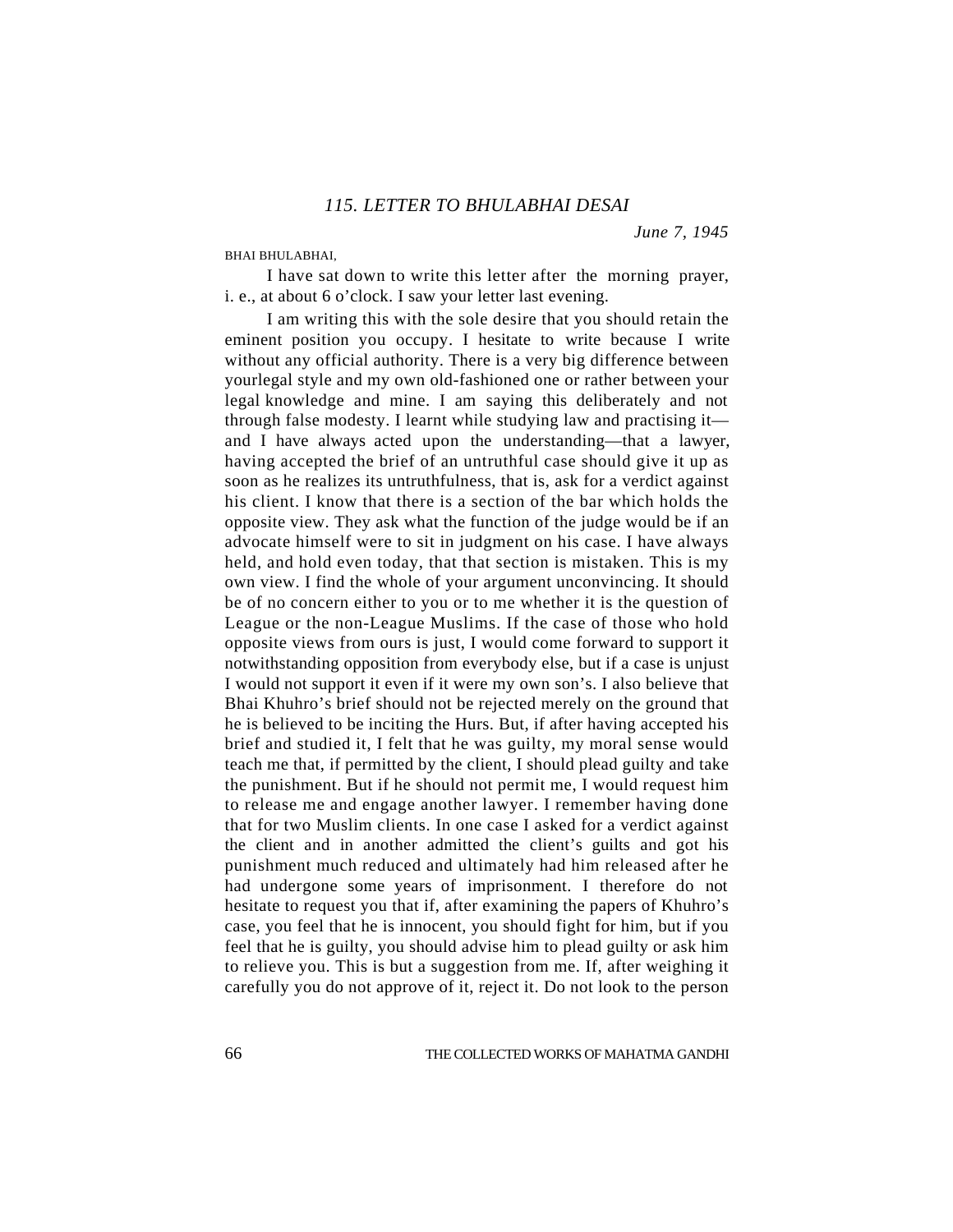*June 7, 1945*

BHAI BHULABHAI,

I have sat down to write this letter after the morning prayer, i. e., at about 6 o'clock. I saw your letter last evening.

I am writing this with the sole desire that you should retain the eminent position you occupy. I hesitate to write because I write without any official authority. There is a very big difference between yourlegal style and my own old-fashioned one or rather between your legal knowledge and mine. I am saying this deliberately and not through false modesty. I learnt while studying law and practising it and I have always acted upon the understanding—that a lawyer, having accepted the brief of an untruthful case should give it up as soon as he realizes its untruthfulness, that is, ask for a verdict against his client. I know that there is a section of the bar which holds the opposite view. They ask what the function of the judge would be if an advocate himself were to sit in judgment on his case. I have always held, and hold even today, that that section is mistaken. This is my own view. I find the whole of your argument unconvincing. It should be of no concern either to you or to me whether it is the question of League or the non-League Muslims. If the case of those who hold opposite views from ours is just, I would come forward to support it notwithstanding opposition from everybody else, but if a case is unjust I would not support it even if it were my own son's. I also believe that Bhai Khuhro's brief should not be rejected merely on the ground that he is believed to be inciting the Hurs. But, if after having accepted his brief and studied it, I felt that he was guilty, my moral sense would teach me that, if permitted by the client, I should plead guilty and take the punishment. But if he should not permit me, I would request him to release me and engage another lawyer. I remember having done that for two Muslim clients. In one case I asked for a verdict against the client and in another admitted the client's guilts and got his punishment much reduced and ultimately had him released after he had undergone some years of imprisonment. I therefore do not hesitate to request you that if, after examining the papers of Khuhro's case, you feel that he is innocent, you should fight for him, but if you feel that he is guilty, you should advise him to plead guilty or ask him to relieve you. This is but a suggestion from me. If, after weighing it carefully you do not approve of it, reject it. Do not look to the person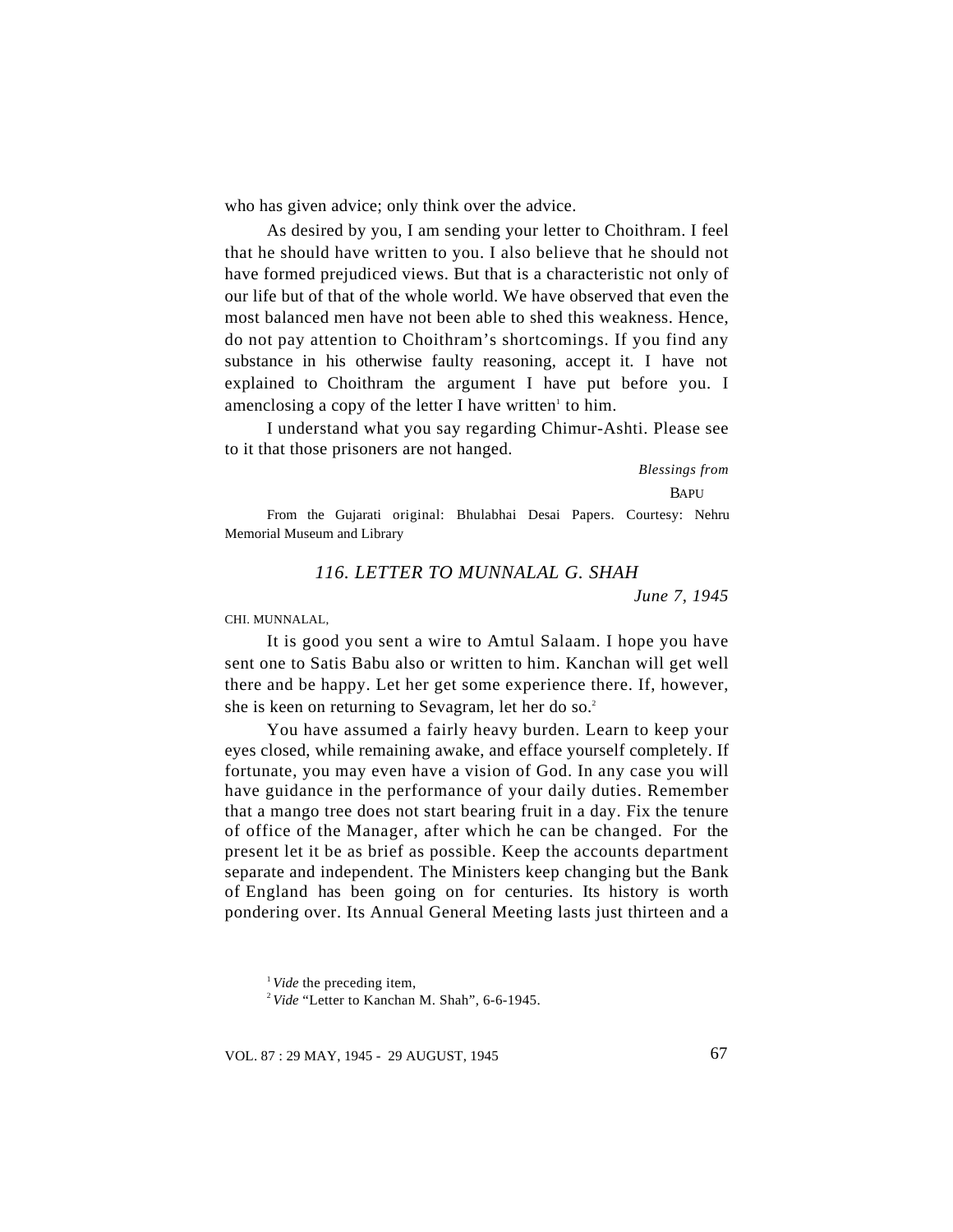who has given advice; only think over the advice.

As desired by you, I am sending your letter to Choithram. I feel that he should have written to you. I also believe that he should not have formed prejudiced views. But that is a characteristic not only of our life but of that of the whole world. We have observed that even the most balanced men have not been able to shed this weakness. Hence, do not pay attention to Choithram's shortcomings. If you find any substance in his otherwise faulty reasoning, accept it. I have not explained to Choithram the argument I have put before you. I amenclosing a copy of the letter I have written<sup>1</sup> to him.

I understand what you say regarding Chimur-Ashti. Please see to it that those prisoners are not hanged.

> *Blessings from* **BAPU**

From the Gujarati original: Bhulabhai Desai Papers. Courtesy: Nehru Memorial Museum and Library

# *116. LETTER TO MUNNALAL G. SHAH*

*June 7, 1945*

CHI. MUNNALAL,

It is good you sent a wire to Amtul Salaam. I hope you have sent one to Satis Babu also or written to him. Kanchan will get well there and be happy. Let her get some experience there. If, however, she is keen on returning to Sevagram, let her do so.<sup>2</sup>

You have assumed a fairly heavy burden. Learn to keep your eyes closed, while remaining awake, and efface yourself completely. If fortunate, you may even have a vision of God. In any case you will have guidance in the performance of your daily duties. Remember that a mango tree does not start bearing fruit in a day. Fix the tenure of office of the Manager, after which he can be changed. For the present let it be as brief as possible. Keep the accounts department separate and independent. The Ministers keep changing but the Bank of England has been going on for centuries. Its history is worth pondering over. Its Annual General Meeting lasts just thirteen and a

<sup>1</sup> Vide the preceding item,

<sup>2</sup>*Vide* "Letter to Kanchan M. Shah", 6-6-1945.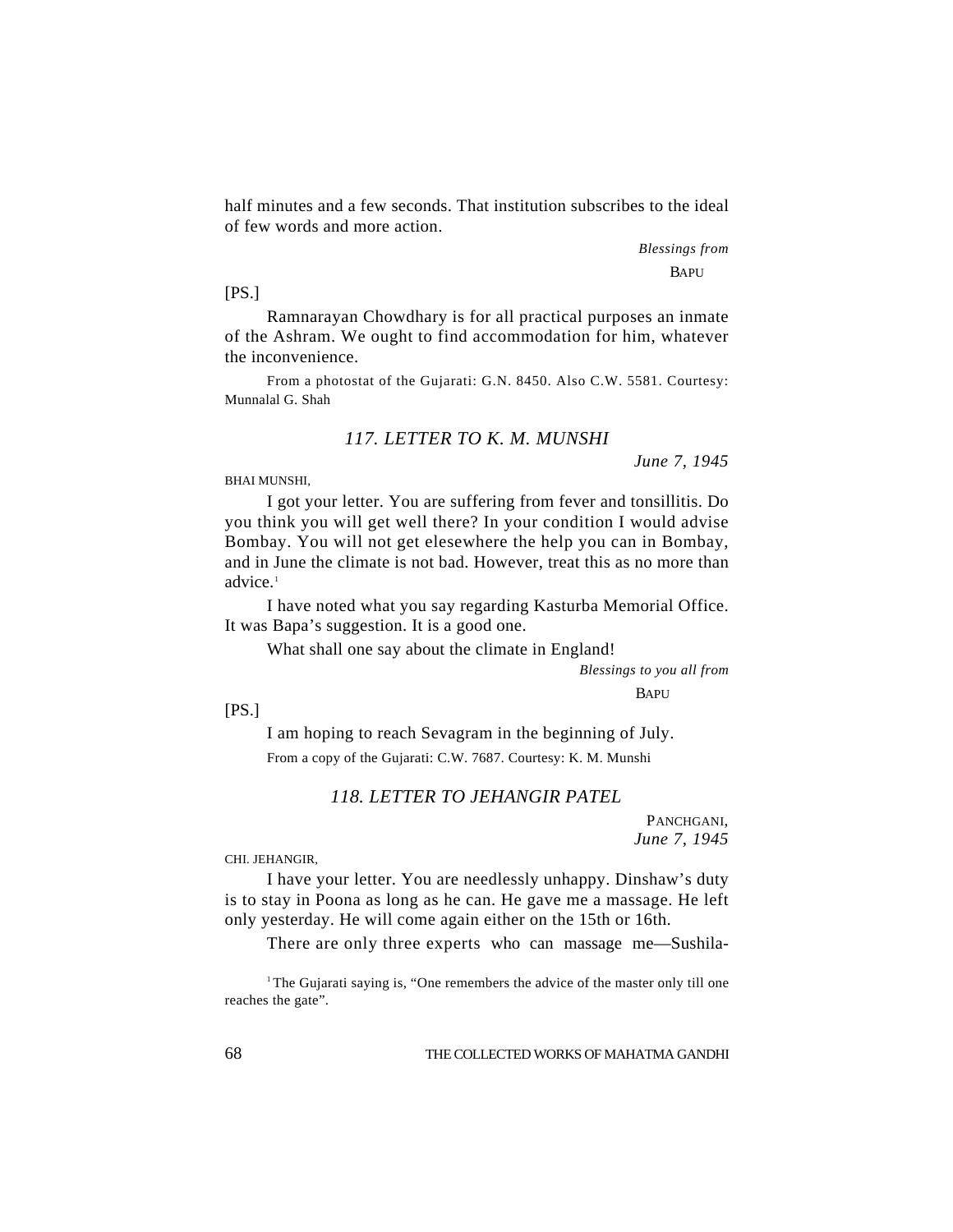half minutes and a few seconds. That institution subscribes to the ideal of few words and more action.

> *Blessings from* **BAPU**

[PS.]

Ramnarayan Chowdhary is for all practical purposes an inmate of the Ashram. We ought to find accommodation for him, whatever the inconvenience.

From a photostat of the Gujarati: G.N. 8450. Also C.W. 5581. Courtesy: Munnalal G. Shah

# *117. LETTER TO K. M. MUNSHI*

*June 7, 1945*

BHAI MUNSHI,

I got your letter. You are suffering from fever and tonsillitis. Do you think you will get well there? In your condition I would advise Bombay. You will not get elesewhere the help you can in Bombay, and in June the climate is not bad. However, treat this as no more than advice.<sup>1</sup>

I have noted what you say regarding Kasturba Memorial Office. It was Bapa's suggestion. It is a good one.

What shall one say about the climate in England!

*Blessings to you all from*

**BAPU** 

[PS.]

I am hoping to reach Sevagram in the beginning of July. From a copy of the Gujarati: C.W. 7687. Courtesy: K. M. Munshi

# *118. LETTER TO JEHANGIR PATEL*

PANCHGANI, *June 7, 1945*

CHI. JEHANGIR,

I have your letter. You are needlessly unhappy. Dinshaw's duty is to stay in Poona as long as he can. He gave me a massage. He left only yesterday. He will come again either on the 15th or 16th.

There are only three experts who can massage me—Sushila-

 $1$ <sup>1</sup>The Gujarati saying is, "One remembers the advice of the master only till one reaches the gate".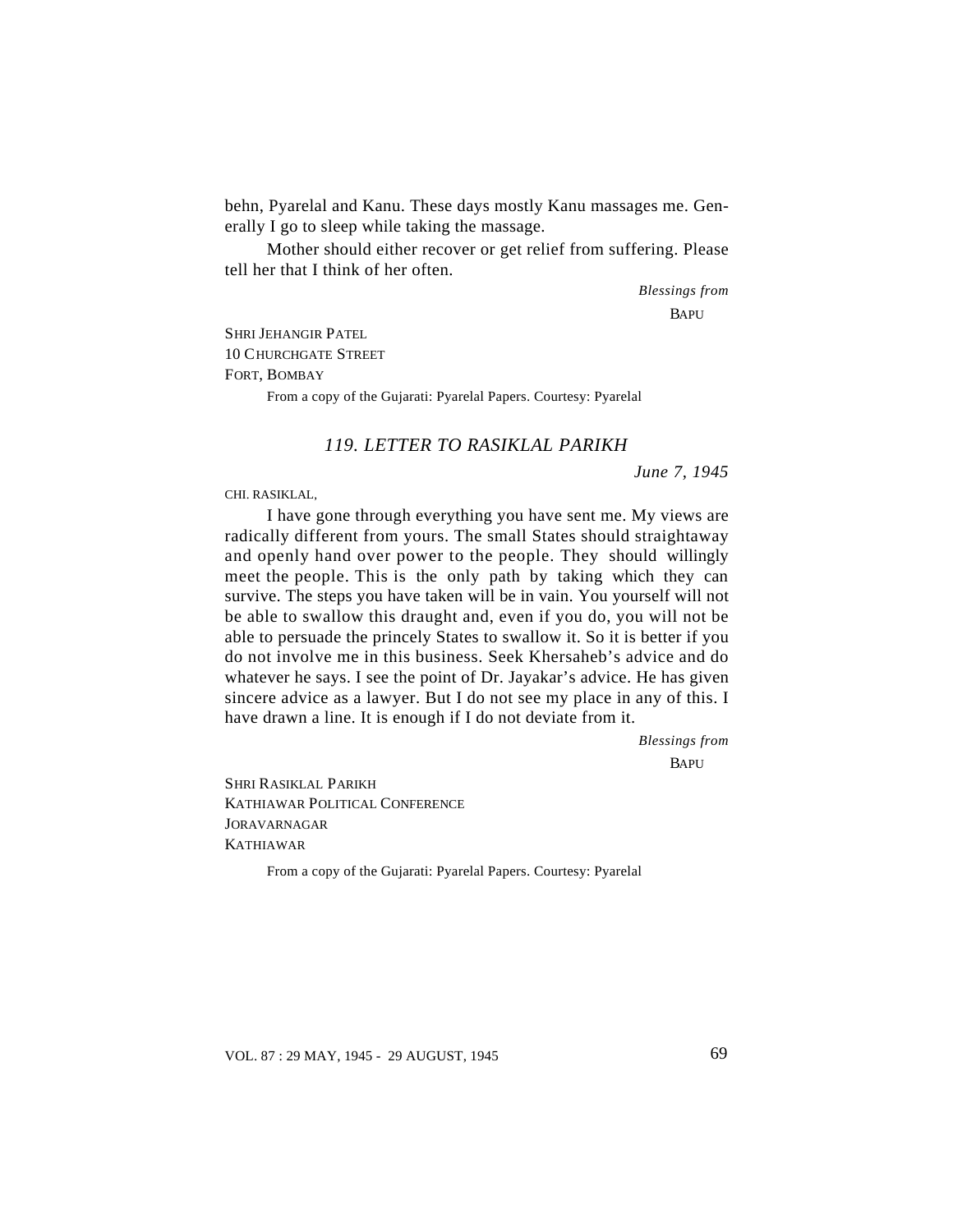behn, Pyarelal and Kanu. These days mostly Kanu massages me. Generally I go to sleep while taking the massage.

Mother should either recover or get relief from suffering. Please tell her that I think of her often.

> *Blessings from* **BAPU**

SHRI JEHANGIR PATEL 10 CHURCHGATE STREET FORT, BOMBAY

From a copy of the Gujarati: Pyarelal Papers. Courtesy: Pyarelal

#### *119. LETTER TO RASIKLAL PARIKH*

*June 7, 1945*

CHI. RASIKLAL,

I have gone through everything you have sent me. My views are radically different from yours. The small States should straightaway and openly hand over power to the people. They should willingly meet the people. This is the only path by taking which they can survive. The steps you have taken will be in vain. You yourself will not be able to swallow this draught and, even if you do, you will not be able to persuade the princely States to swallow it. So it is better if you do not involve me in this business. Seek Khersaheb's advice and do whatever he says. I see the point of Dr. Jayakar's advice. He has given sincere advice as a lawyer. But I do not see my place in any of this. I have drawn a line. It is enough if I do not deviate from it.

> *Blessings from* **BAPU**

SHRI RASIKLAL PARIKH KATHIAWAR POLITICAL CONFERENCE JORAVARNAGAR KATHIAWAR

From a copy of the Gujarati: Pyarelal Papers. Courtesy: Pyarelal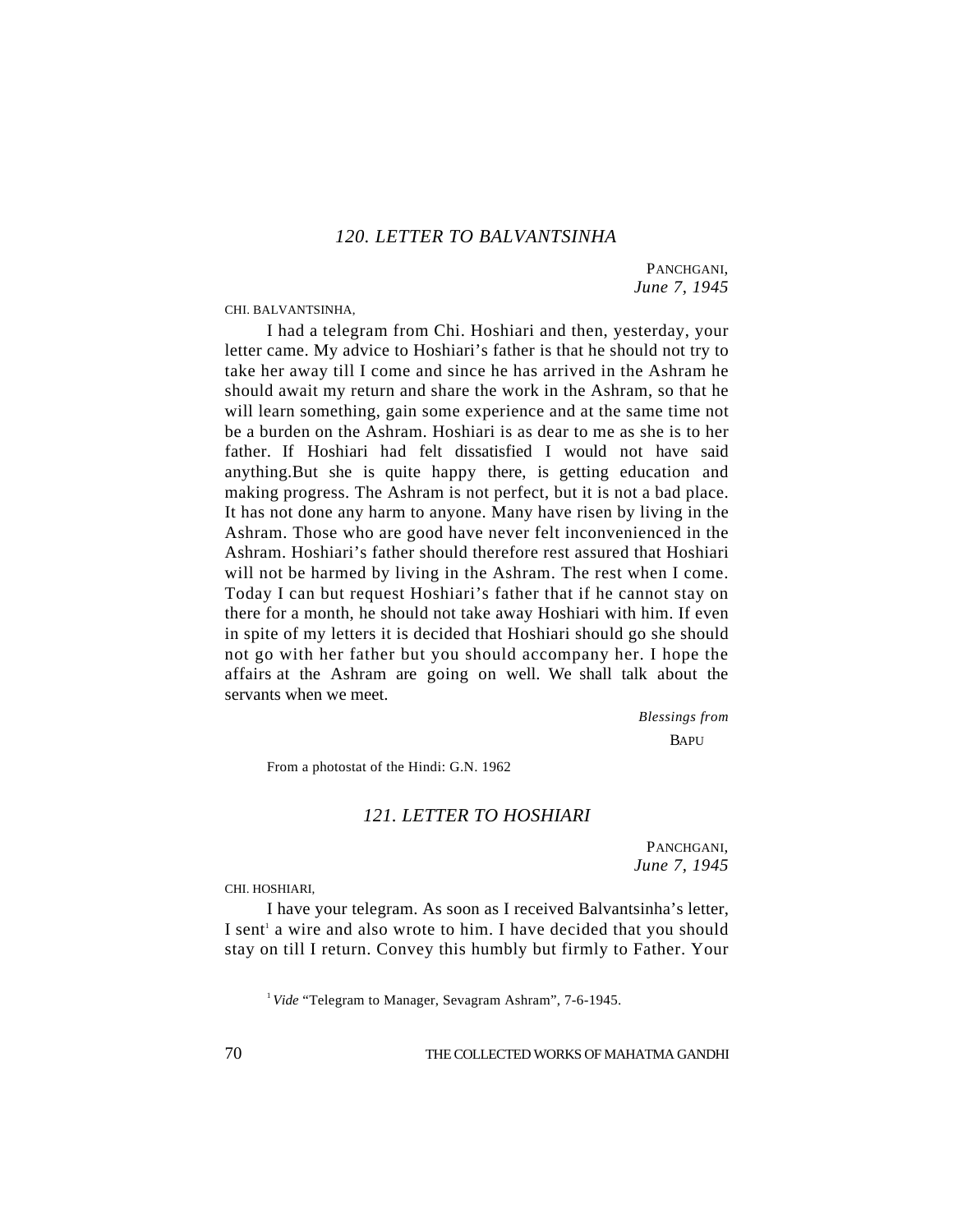# *120. LETTER TO BALVANTSINHA*

PANCHGANI, *June 7, 1945*

#### CHI. BALVANTSINHA,

I had a telegram from Chi. Hoshiari and then, yesterday, your letter came. My advice to Hoshiari's father is that he should not try to take her away till I come and since he has arrived in the Ashram he should await my return and share the work in the Ashram, so that he will learn something, gain some experience and at the same time not be a burden on the Ashram. Hoshiari is as dear to me as she is to her father. If Hoshiari had felt dissatisfied I would not have said anything.But she is quite happy there, is getting education and making progress. The Ashram is not perfect, but it is not a bad place. It has not done any harm to anyone. Many have risen by living in the Ashram. Those who are good have never felt inconvenienced in the Ashram. Hoshiari's father should therefore rest assured that Hoshiari will not be harmed by living in the Ashram. The rest when I come. Today I can but request Hoshiari's father that if he cannot stay on there for a month, he should not take away Hoshiari with him. If even in spite of my letters it is decided that Hoshiari should go she should not go with her father but you should accompany her. I hope the affairs at the Ashram are going on well. We shall talk about the servants when we meet.

> *Blessings from* **BAPU**

From a photostat of the Hindi: G.N. 1962

#### *121. LETTER TO HOSHIARI*

PANCHGANI, *June 7, 1945*

CHI. HOSHIARI,

I have your telegram. As soon as I received Balvantsinha's letter, I sent<sup>1</sup> a wire and also wrote to him. I have decided that you should stay on till I return. Convey this humbly but firmly to Father. Your

<sup>1</sup> Vide "Telegram to Manager, Sevagram Ashram", 7-6-1945.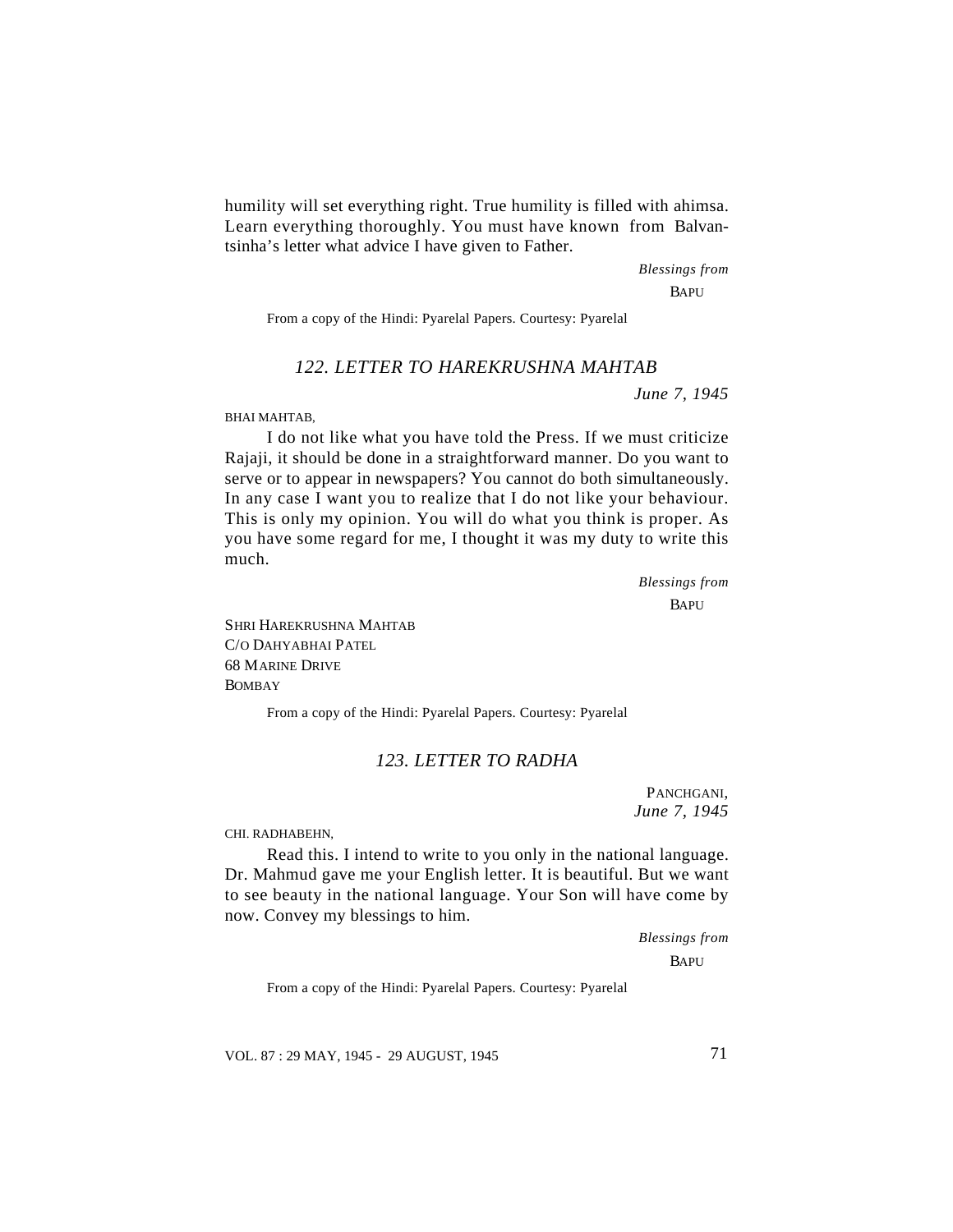humility will set everything right. True humility is filled with ahimsa. Learn everything thoroughly. You must have known from Balvantsinha's letter what advice I have given to Father.

> *Blessings from* BAPU

From a copy of the Hindi: Pyarelal Papers. Courtesy: Pyarelal

# *122. LETTER TO HAREKRUSHNA MAHTAB*

*June 7, 1945*

BHAI MAHTAB,

I do not like what you have told the Press. If we must criticize Rajaji, it should be done in a straightforward manner. Do you want to serve or to appear in newspapers? You cannot do both simultaneously. In any case I want you to realize that I do not like your behaviour. This is only my opinion. You will do what you think is proper. As you have some regard for me, I thought it was my duty to write this much.

> *Blessings from* **BAPU**

SHRI HAREKRUSHNA MAHTAB C/O DAHYABHAI PATEL 68 MARINE DRIVE BOMBAY

From a copy of the Hindi: Pyarelal Papers. Courtesy: Pyarelal

# *123. LETTER TO RADHA*

PANCHGANI, *June 7, 1945*

CHI. RADHABEHN,

Read this. I intend to write to you only in the national language. Dr. Mahmud gave me your English letter. It is beautiful. But we want to see beauty in the national language. Your Son will have come by now. Convey my blessings to him.

> *Blessings from* **BAPU**

From a copy of the Hindi: Pyarelal Papers. Courtesy: Pyarelal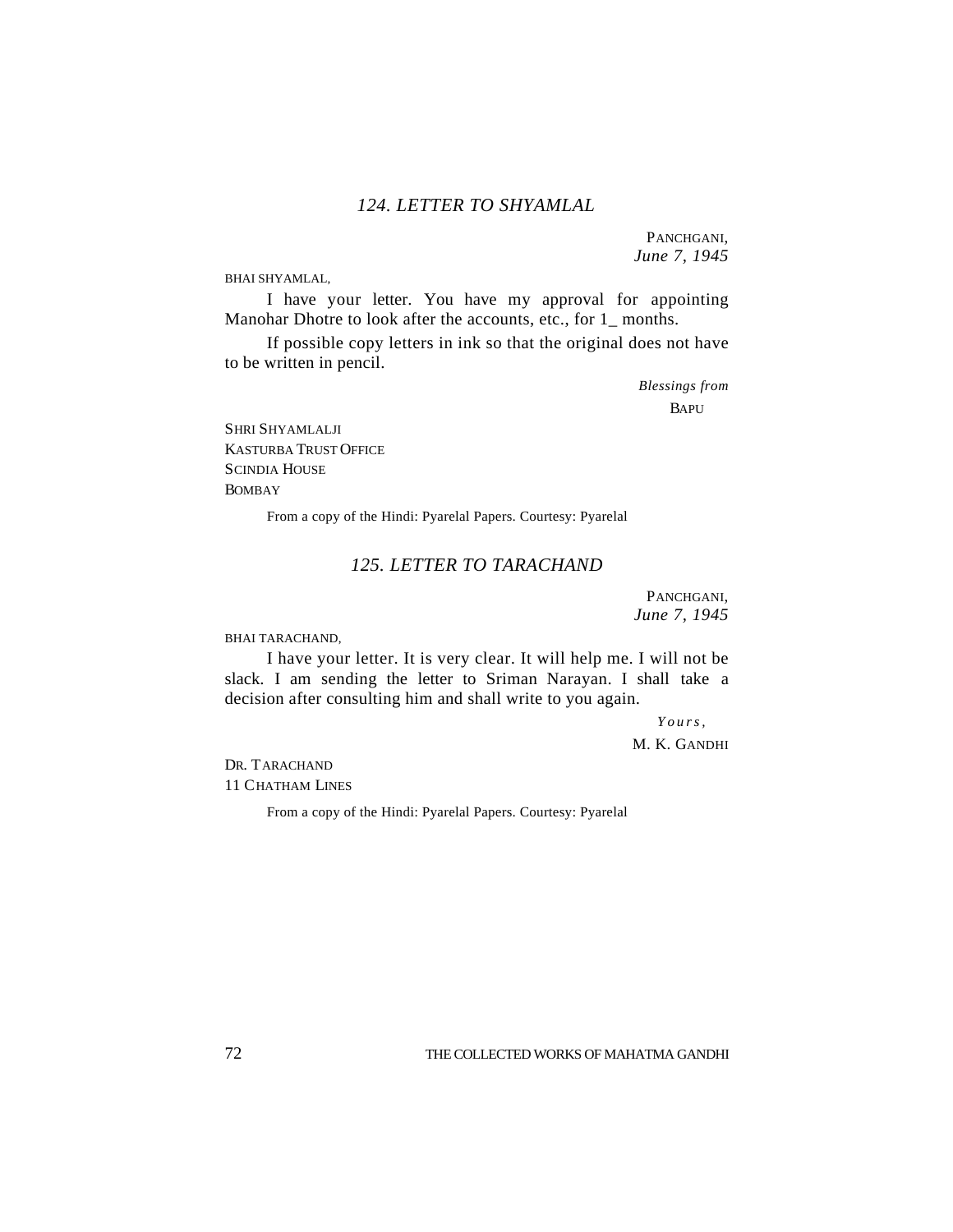# *124. LETTER TO SHYAMLAL*

PANCHGANI, *June 7, 1945*

BHAI SHYAMLAL,

I have your letter. You have my approval for appointing Manohar Dhotre to look after the accounts, etc., for 1\_ months.

If possible copy letters in ink so that the original does not have to be written in pencil.

> *Blessings from* **BAPU**

SHRI SHYAMLALJI KASTURBA TRUST OFFICE SCINDIA HOUSE **BOMBAY** 

From a copy of the Hindi: Pyarelal Papers. Courtesy: Pyarelal

# *125. LETTER TO TARACHAND*

PANCHGANI, *June 7, 1945*

BHAI TARACHAND,

I have your letter. It is very clear. It will help me. I will not be slack. I am sending the letter to Sriman Narayan. I shall take a decision after consulting him and shall write to you again.

> *Yours,*  M. K. GANDHI

DR. TARACHAND 11 CHATHAM LINES

From a copy of the Hindi: Pyarelal Papers. Courtesy: Pyarelal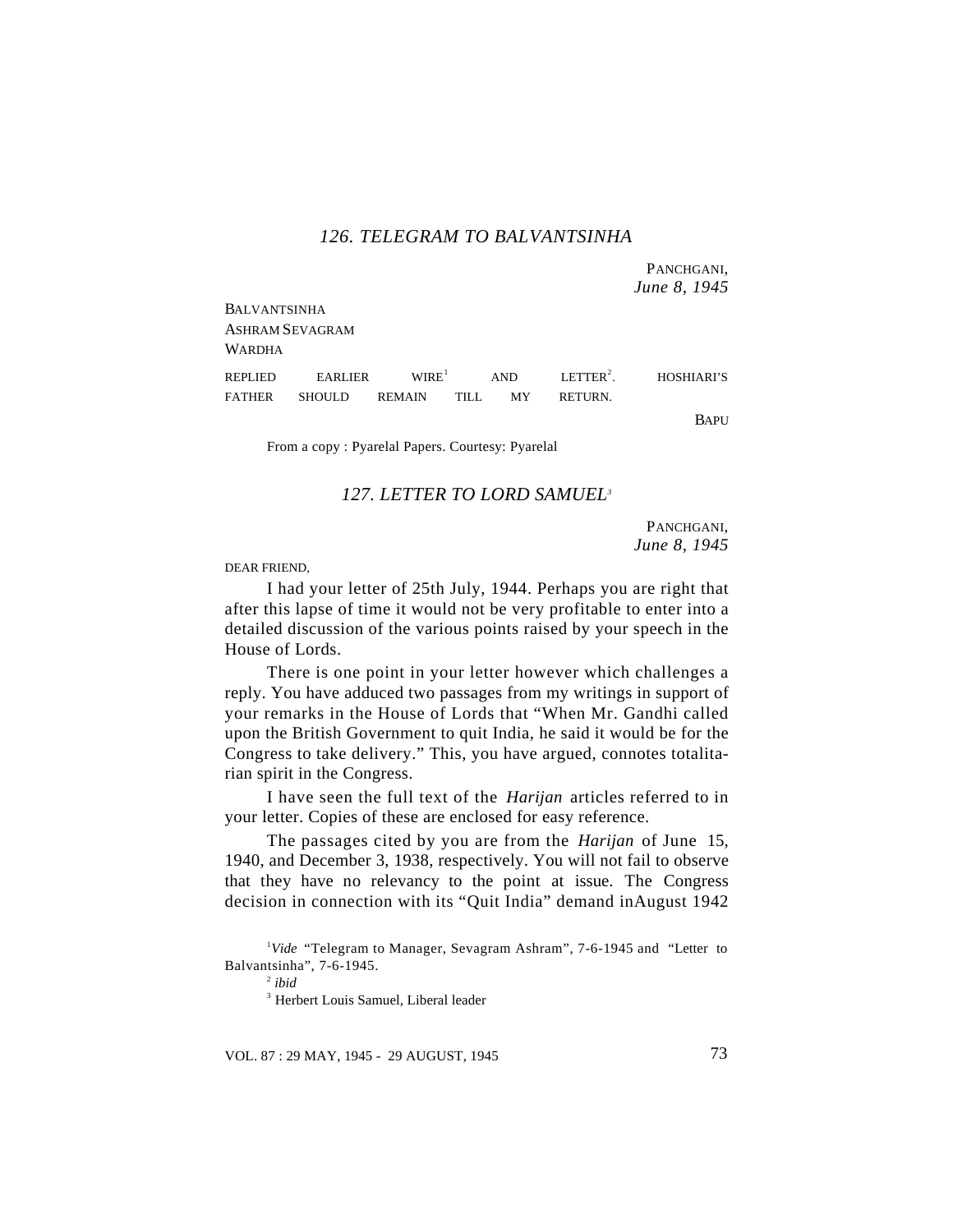# *126. TELEGRAM TO BALVANTSINHA*

PANCHGANI, *June 8, 1945*

BALVANTSINHA ASHRAM SEVAGRAM WARDHA  $REPLIED$  EARLIER WIRE<sup>1</sup> AND LETTER<sup>2</sup>. . HOSHIARI'S FATHER SHOULD REMAIN TILL MY RETURN. **BAPU** 

From a copy : Pyarelal Papers. Courtesy: Pyarelal

# *127. LETTER TO LORD SAMUEL<sup>3</sup>*

PANCHGANI, *June 8, 1945*

DEAR FRIEND,

I had your letter of 25th July, 1944. Perhaps you are right that after this lapse of time it would not be very profitable to enter into a detailed discussion of the various points raised by your speech in the House of Lords.

There is one point in your letter however which challenges a reply. You have adduced two passages from my writings in support of your remarks in the House of Lords that "When Mr. Gandhi called upon the British Government to quit India, he said it would be for the Congress to take delivery." This, you have argued, connotes totalitarian spirit in the Congress.

I have seen the full text of the *Harijan* articles referred to in your letter. Copies of these are enclosed for easy reference.

The passages cited by you are from the *Harijan* of June 15, 1940, and December 3, 1938, respectively. You will not fail to observe that they have no relevancy to the point at issue. The Congress decision in connection with its "Quit India" demand inAugust 1942

<sup>&</sup>lt;sup>1</sup>Vide "Telegram to Manager, Sevagram Ashram", 7-6-1945 and "Letter to Balvantsinha", 7-6-1945.

<sup>2</sup> *ibid*

<sup>3</sup> Herbert Louis Samuel, Liberal leader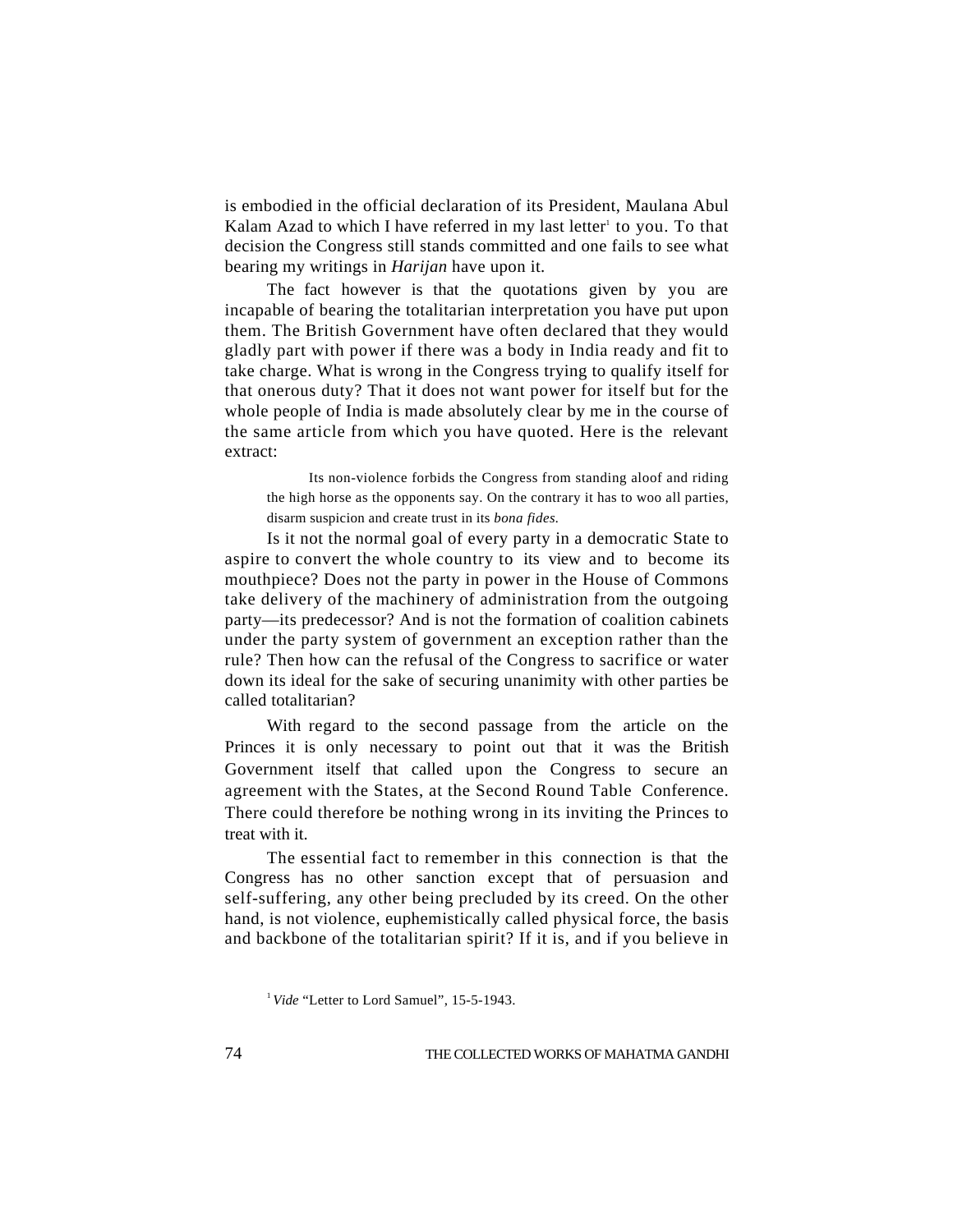is embodied in the official declaration of its President, Maulana Abul Kalam Azad to which I have referred in my last letter<sup>1</sup> to you. To that decision the Congress still stands committed and one fails to see what bearing my writings in *Harijan* have upon it.

The fact however is that the quotations given by you are incapable of bearing the totalitarian interpretation you have put upon them. The British Government have often declared that they would gladly part with power if there was a body in India ready and fit to take charge. What is wrong in the Congress trying to qualify itself for that onerous duty? That it does not want power for itself but for the whole people of India is made absolutely clear by me in the course of the same article from which you have quoted. Here is the relevant extract:

Its non-violence forbids the Congress from standing aloof and riding the high horse as the opponents say. On the contrary it has to woo all parties, disarm suspicion and create trust in its *bona fides.*

Is it not the normal goal of every party in a democratic State to aspire to convert the whole country to its view and to become its mouthpiece? Does not the party in power in the House of Commons take delivery of the machinery of administration from the outgoing party—its predecessor? And is not the formation of coalition cabinets under the party system of government an exception rather than the rule? Then how can the refusal of the Congress to sacrifice or water down its ideal for the sake of securing unanimity with other parties be called totalitarian?

With regard to the second passage from the article on the Princes it is only necessary to point out that it was the British Government itself that called upon the Congress to secure an agreement with the States, at the Second Round Table Conference. There could therefore be nothing wrong in its inviting the Princes to treat with it.

The essential fact to remember in this connection is that the Congress has no other sanction except that of persuasion and self-suffering, any other being precluded by its creed. On the other hand, is not violence, euphemistically called physical force, the basis and backbone of the totalitarian spirit? If it is, and if you believe in

<sup>&</sup>lt;sup>1</sup> Vide "Letter to Lord Samuel", 15-5-1943.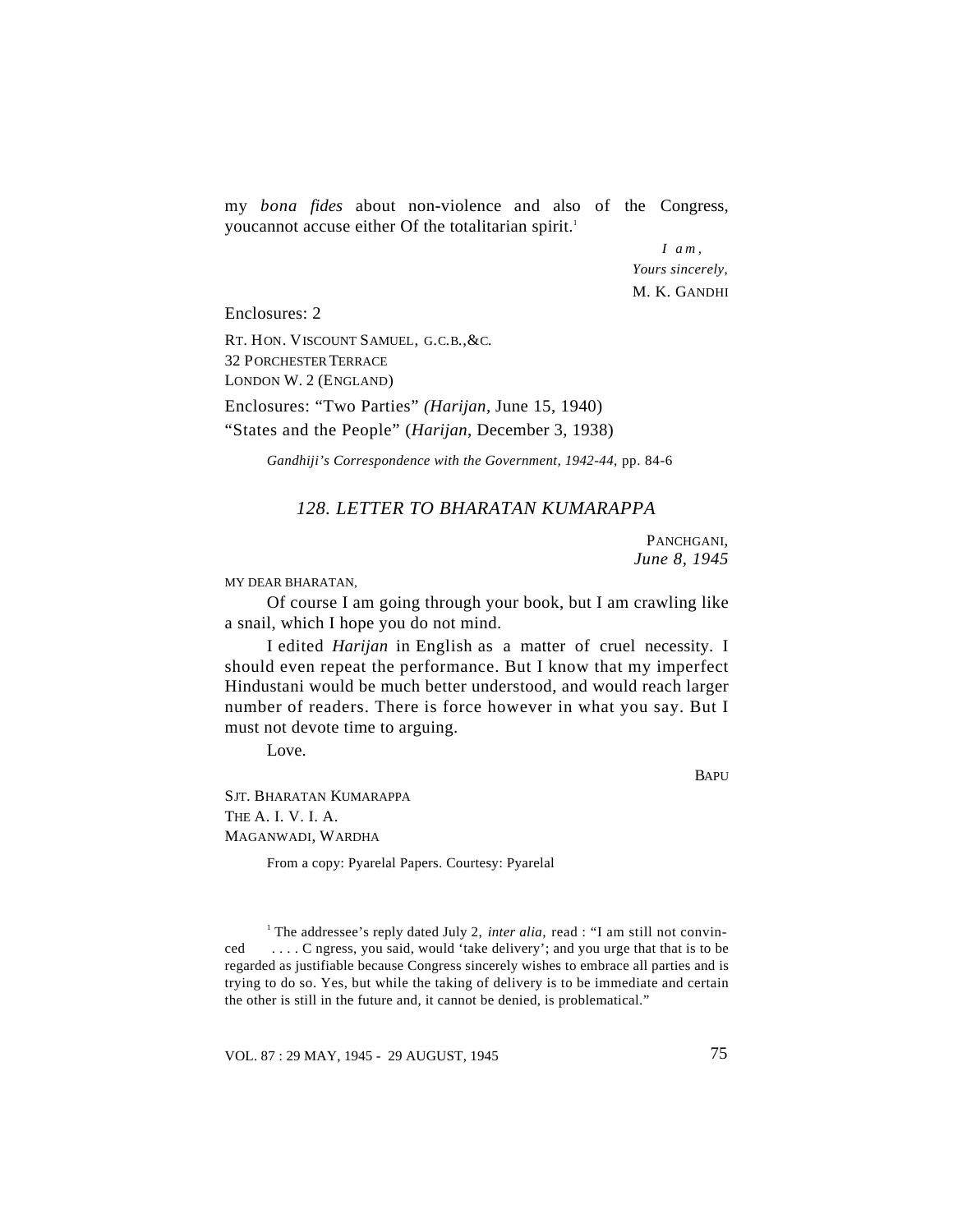my *bona fides* about non-violence and also of the Congress, youcannot accuse either Of the totalitarian spirit.<sup>1</sup>

> *I am, Yours sincerely*, M. K. GANDHI

Enclosures: 2

RT. HON. VISCOUNT SAMUEL, G.C.B.,&C. 32 PORCHESTER TERRACE LONDON W. 2 (ENGLAND) Enclosures: "Two Parties" *(Harijan,* June 15, 1940)

"States and the People" (*Harijan*, December 3, 1938)

*Gandhiji's Correspondence with the Government, 1942-44*, pp. 84-6

# *128. LETTER TO BHARATAN KUMARAPPA*

PANCHGANI, *June 8, 1945*

MY DEAR BHARATAN,

Of course I am going through your book, but I am crawling like a snail, which I hope you do not mind.

I edited *Harijan* in English as a matter of cruel necessity. I should even repeat the performance. But I know that my imperfect Hindustani would be much better understood, and would reach larger number of readers. There is force however in what you say. But I must not devote time to arguing.

Love.

SJT. BHARATAN KUMARAPPA THE A. I. V. I. A. MAGANWADI, WARDHA

From a copy: Pyarelal Papers. Courtesy: Pyarelal

<sup>1</sup> The addressee's reply dated July 2, *inter alia*, read : "I am still not convinced . . . . C ngress, you said, would 'take delivery'; and you urge that that is to be regarded as justifiable because Congress sincerely wishes to embrace all parties and is trying to do so. Yes, but while the taking of delivery is to be immediate and certain the other is still in the future and, it cannot be denied, is problematical."

**BAPU**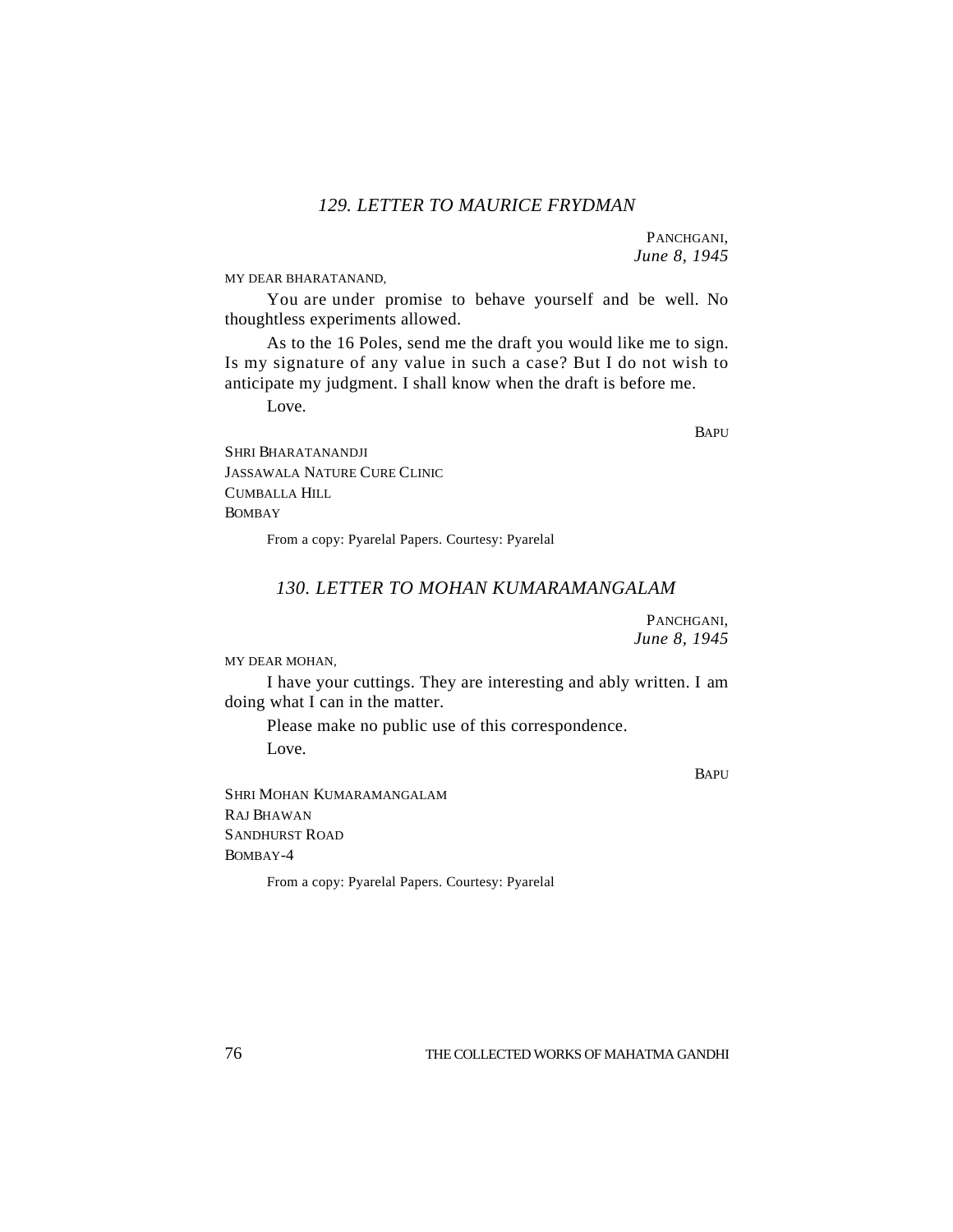# *129. LETTER TO MAURICE FRYDMAN*

PANCHGANI, *June 8, 1945*

MY DEAR BHARATANAND,

You are under promise to behave yourself and be well. No thoughtless experiments allowed.

As to the 16 Poles, send me the draft you would like me to sign. Is my signature of any value in such a case? But I do not wish to anticipate my judgment. I shall know when the draft is before me.

Love.

**BAPU** 

SHRI BHARATANANDJI JASSAWALA NATURE CURE CLINIC CUMBALLA HILL BOMBAY

From a copy: Pyarelal Papers. Courtesy: Pyarelal

# *130. LETTER TO MOHAN KUMARAMANGALAM*

PANCHGANI, *June 8, 1945*

MY DEAR MOHAN,

I have your cuttings. They are interesting and ably written. I am doing what I can in the matter.

Please make no public use of this correspondence. Love.

**BAPU** 

SHRI MOHAN KUMARAMANGALAM RAJ BHAWAN SANDHURST ROAD BOMBAY-4

From a copy: Pyarelal Papers. Courtesy: Pyarelal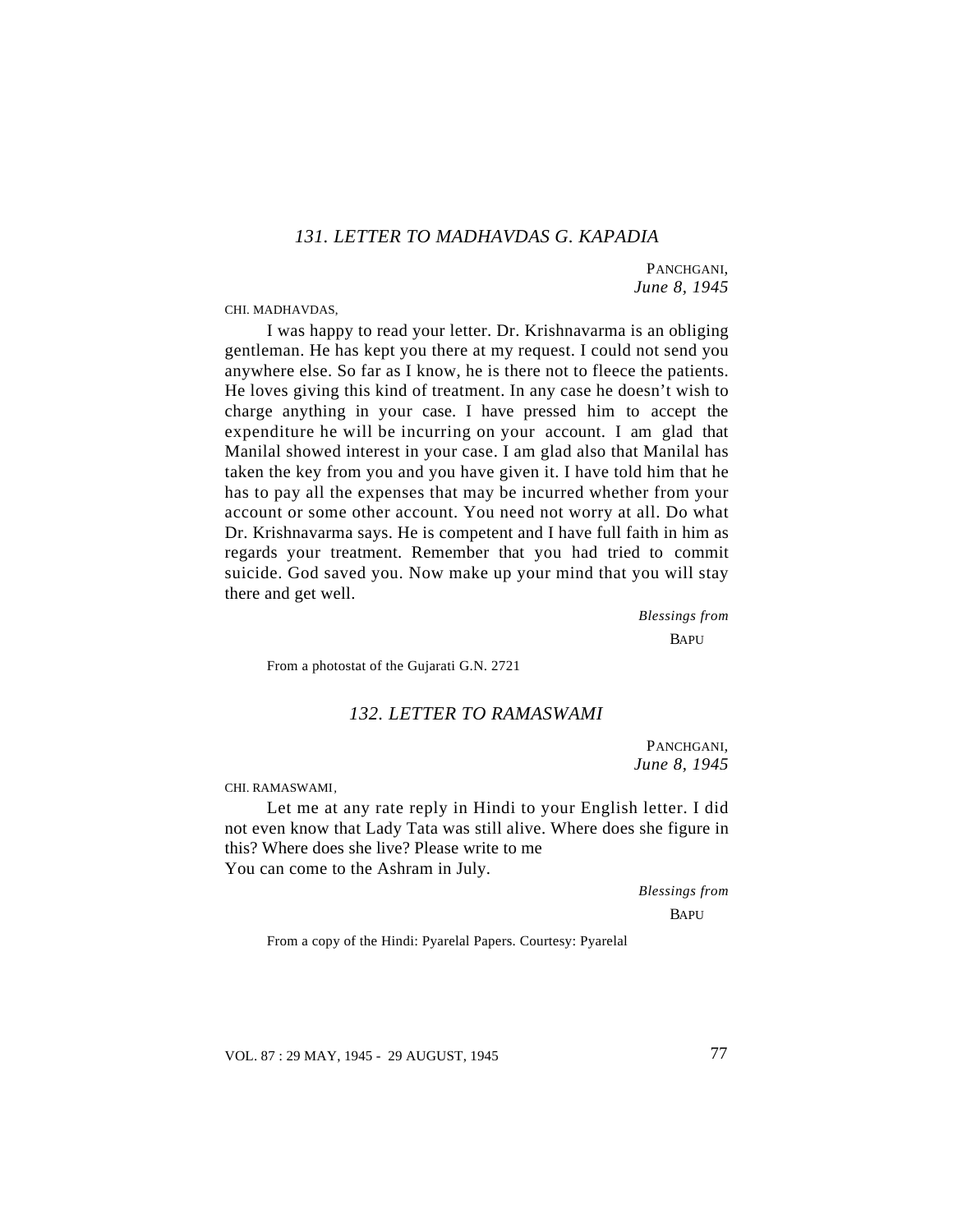# *131. LETTER TO MADHAVDAS G. KAPADIA*

PANCHGANI, *June 8, 1945*

## CHI. MADHAVDAS,

I was happy to read your letter. Dr. Krishnavarma is an obliging gentleman. He has kept you there at my request. I could not send you anywhere else. So far as I know, he is there not to fleece the patients. He loves giving this kind of treatment. In any case he doesn't wish to charge anything in your case. I have pressed him to accept the expenditure he will be incurring on your account. I am glad that Manilal showed interest in your case. I am glad also that Manilal has taken the key from you and you have given it. I have told him that he has to pay all the expenses that may be incurred whether from your account or some other account. You need not worry at all. Do what Dr. Krishnavarma says. He is competent and I have full faith in him as regards your treatment. Remember that you had tried to commit suicide. God saved you. Now make up your mind that you will stay there and get well.

> *Blessings from* **BAPU**

From a photostat of the Gujarati G.N. 2721

# *132. LETTER TO RAMASWAMI*

PANCHGANI*, June 8, 1945*

CHI. RAMASWAMI*,*

Let me at any rate reply in Hindi to your English letter. I did not even know that Lady Tata was still alive. Where does she figure in this? Where does she live? Please write to me You can come to the Ashram in July.

> *Blessings from* **BAPU**

From a copy of the Hindi: Pyarelal Papers. Courtesy: Pyarelal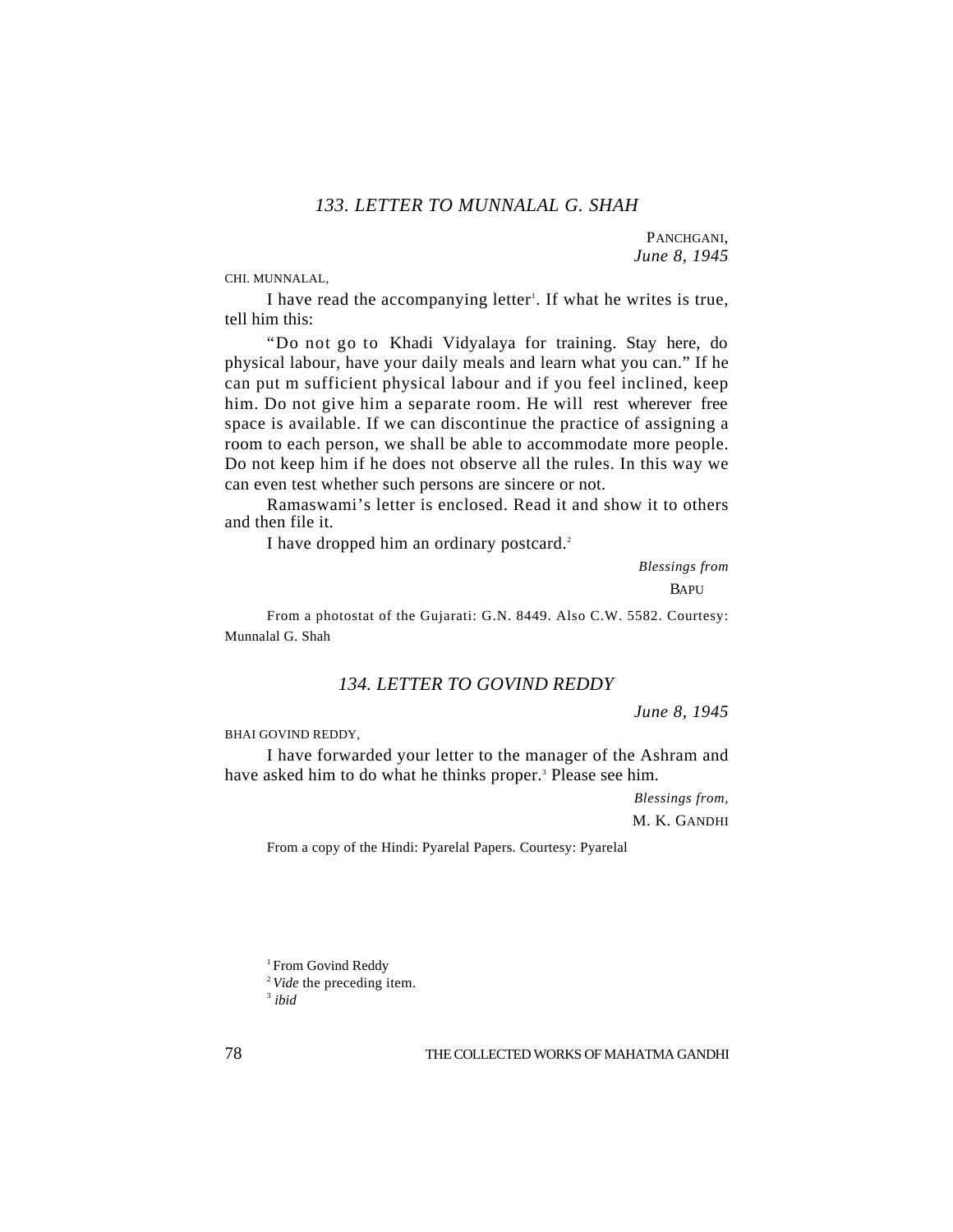PANCHGANI. *June 8, 1945*

CHI. MUNNALAL,

I have read the accompanying letter<sup>1</sup>. If what he writes is true, tell him this:

"Do not go to Khadi Vidyalaya for training. Stay here, do physical labour, have your daily meals and learn what you can." If he can put m sufficient physical labour and if you feel inclined, keep him. Do not give him a separate room. He will rest wherever free space is available. If we can discontinue the practice of assigning a room to each person, we shall be able to accommodate more people. Do not keep him if he does not observe all the rules. In this way we can even test whether such persons are sincere or not.

Ramaswami's letter is enclosed. Read it and show it to others and then file it.

I have dropped him an ordinary postcard.<sup>2</sup>

*Blessings from* **BAPU** 

From a photostat of the Gujarati: G.N. 8449. Also C.W. 5582. Courtesy: Munnalal G. Shah

# *134. LETTER TO GOVIND REDDY*

*June 8, 1945*

BHAI GOVIND REDDY,

I have forwarded your letter to the manager of the Ashram and have asked him to do what he thinks proper.<sup>3</sup> Please see him.

> *Blessings from,* M. K. GANDHI

From a copy of the Hindi: Pyarelal Papers. Courtesy: Pyarelal

<sup>1</sup> From Govind Reddy

<sup>2</sup>*Vide* the preceding item.

3 *ibid*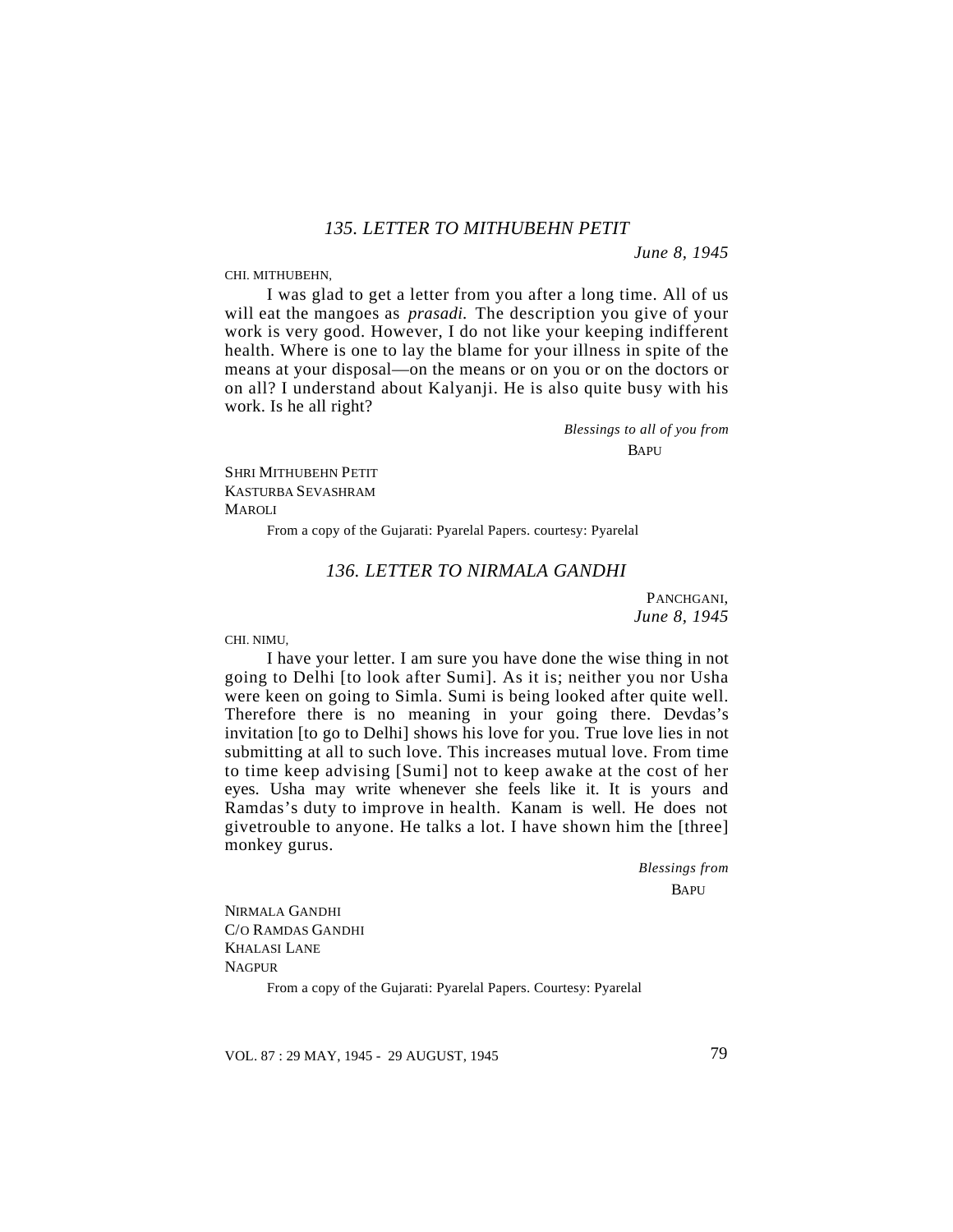*June 8, 1945*

CHI. MITHUBEHN,

I was glad to get a letter from you after a long time. All of us will eat the mangoes as *prasadi.* The description you give of your work is very good. However, I do not like your keeping indifferent health. Where is one to lay the blame for your illness in spite of the means at your disposal—on the means or on you or on the doctors or on all? I understand about Kalyanji. He is also quite busy with his work. Is he all right?

> *Blessings to all of you from* **BAPU**

SHRI MITHUBEHN PETIT KASTURBA SEVASHRAM **MAROLI** 

From a copy of the Gujarati: Pyarelal Papers. courtesy: Pyarelal

# *136. LETTER TO NIRMALA GANDHI*

PANCHGANI, *June 8, 1945*

CHI. NIMU,

I have your letter. I am sure you have done the wise thing in not going to Delhi [to look after Sumi]. As it is; neither you nor Usha were keen on going to Simla. Sumi is being looked after quite well. Therefore there is no meaning in your going there. Devdas's invitation [to go to Delhi] shows his love for you. True love lies in not submitting at all to such love. This increases mutual love. From time to time keep advising [Sumi] not to keep awake at the cost of her eyes. Usha may write whenever she feels like it. It is yours and Ramdas's duty to improve in health. Kanam is well. He does not givetrouble to anyone. He talks a lot. I have shown him the [three] monkey gurus.

> *Blessings from* **BAPU**

NIRMALA GANDHI C/O RAMDAS GANDHI KHALASI LANE **NAGPUR** 

From a copy of the Gujarati: Pyarelal Papers. Courtesy: Pyarelal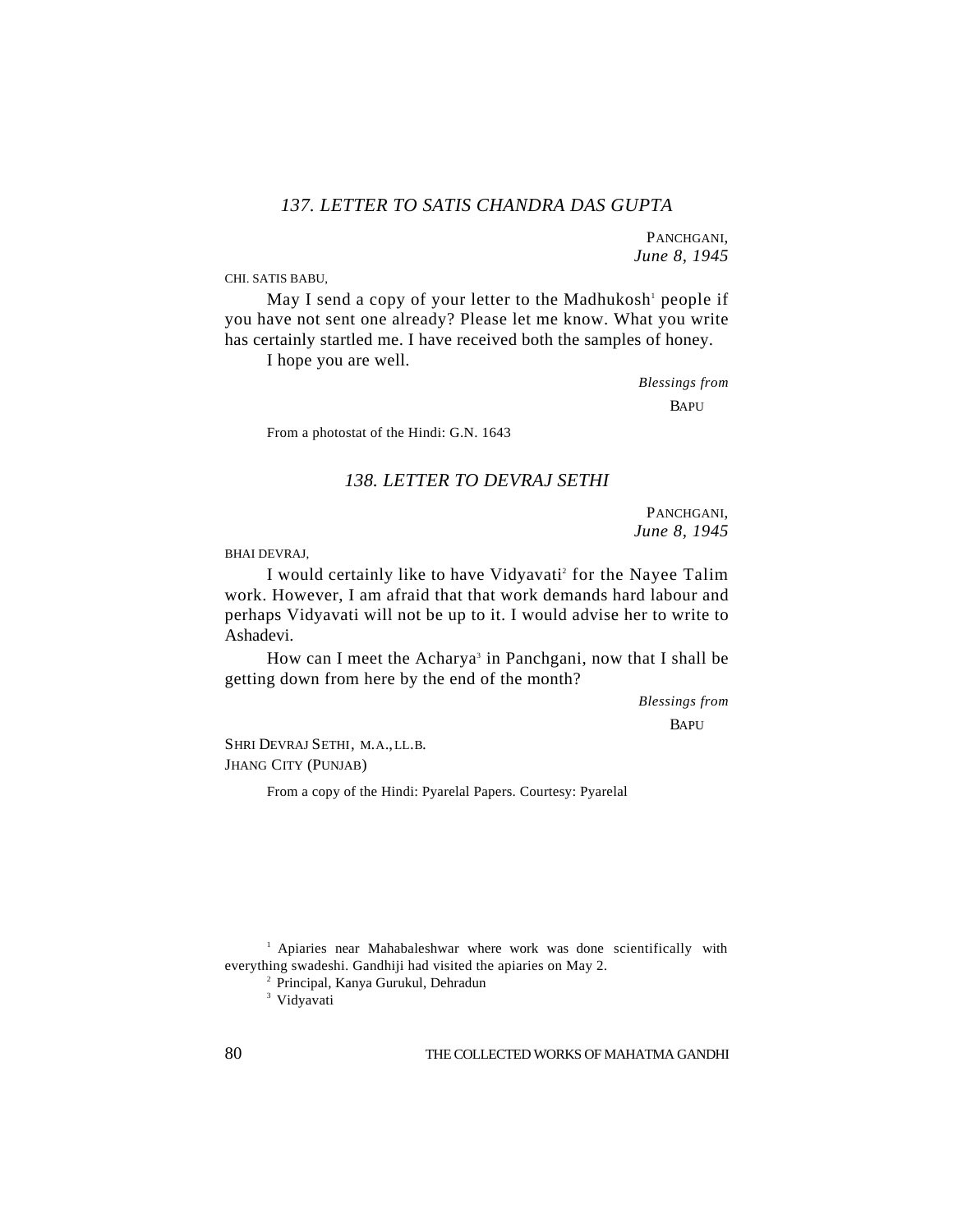# *137. LETTER TO SATIS CHANDRA DAS GUPTA*

PANCHGANI, *June 8, 1945*

CHI. SATIS BABU,

May I send a copy of your letter to the Madhukosh<sup>1</sup> people if you have not sent one already? Please let me know. What you write has certainly startled me. I have received both the samples of honey.

I hope you are well.

*Blessings from* **BAPU** 

From a photostat of the Hindi: G.N. 1643

# *138. LETTER TO DEVRAJ SETHI*

PANCHGANI, *June 8, 1945*

BHAI DEVRAJ,

I would certainly like to have Vidyavati<sup>2</sup> for the Nayee Talim work. However, I am afraid that that work demands hard labour and perhaps Vidyavati will not be up to it. I would advise her to write to Ashadevi.

How can I meet the Acharya<sup>3</sup> in Panchgani, now that I shall be getting down from here by the end of the month?

> *Blessings from* **BAPU**

SHRI DEVRAJ SETHI, M.A.,LL.B. JHANG CITY (PUNJAB)

From a copy of the Hindi: Pyarelal Papers. Courtesy: Pyarelal

<sup>1</sup> Apiaries near Mahabaleshwar where work was done scientifically with everything swadeshi. Gandhiji had visited the apiaries on May 2.

<sup>&</sup>lt;sup>2</sup> Principal, Kanya Gurukul, Dehradun

<sup>&</sup>lt;sup>3</sup> Vidvavati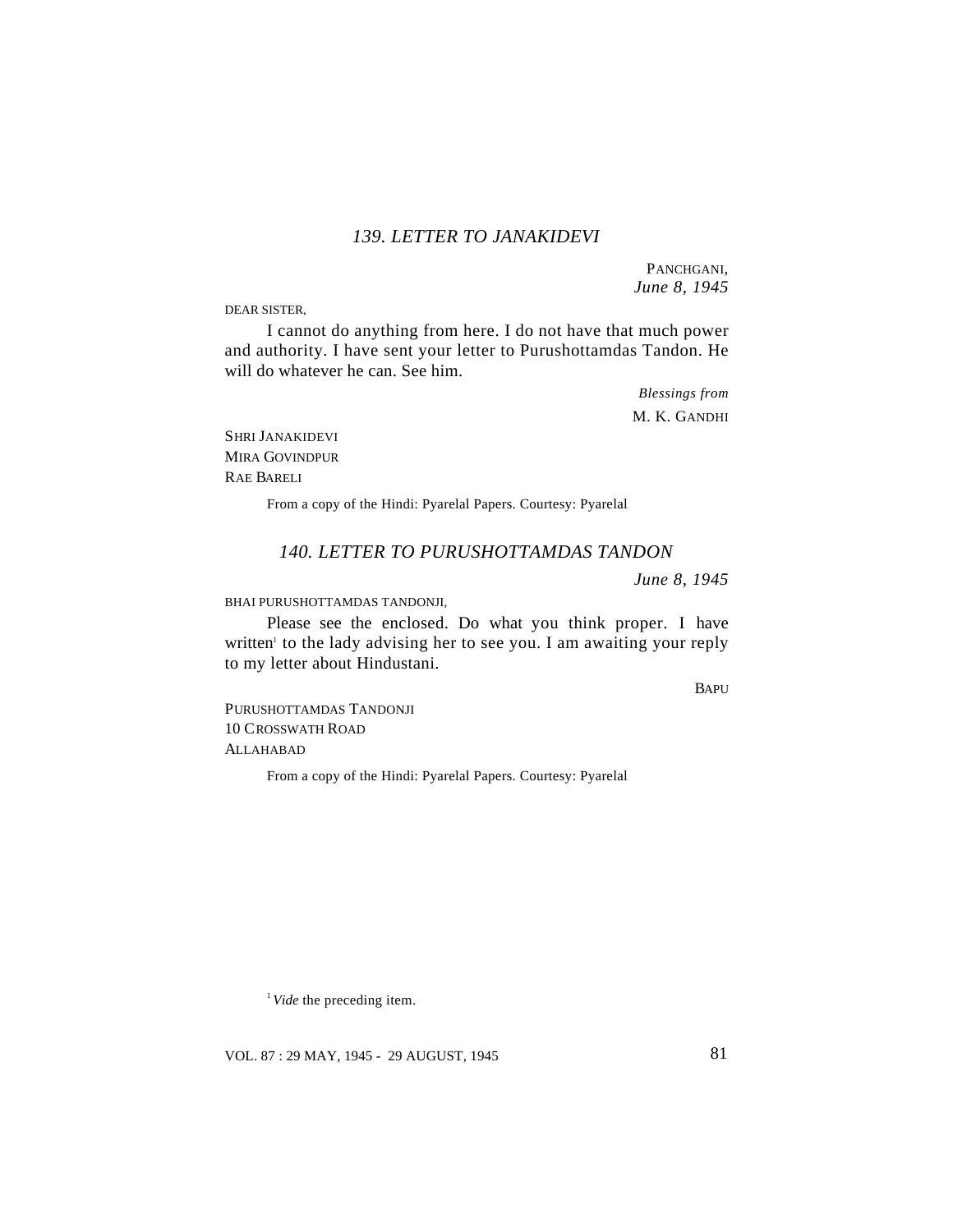# *139. LETTER TO JANAKIDEVI*

PANCHGANI, *June 8, 1945*

DEAR SISTER,

I cannot do anything from here. I do not have that much power and authority. I have sent your letter to Purushottamdas Tandon. He will do whatever he can. See him.

> *Blessings from* M. K. GANDHI

SHRI JANAKIDEVI MIRA GOVINDPUR RAE BARELI

From a copy of the Hindi: Pyarelal Papers. Courtesy: Pyarelal

# *140. LETTER TO PURUSHOTTAMDAS TANDON*

*June 8, 1945*

BHAI PURUSHOTTAMDAS TANDONJI,

Please see the enclosed. Do what you think proper. I have written' to the lady advising her to see you. I am awaiting your reply to my letter about Hindustani.

**BAPU** 

PURUSHOTTAMDAS TANDONJI 10 CROSSWATH ROAD ALLAHABAD

From a copy of the Hindi: Pyarelal Papers. Courtesy: Pyarelal

<sup>1</sup>*Vide* the preceding item.

VOL. 87 : 29 MAY, 1945 - 29 AUGUST, 1945 81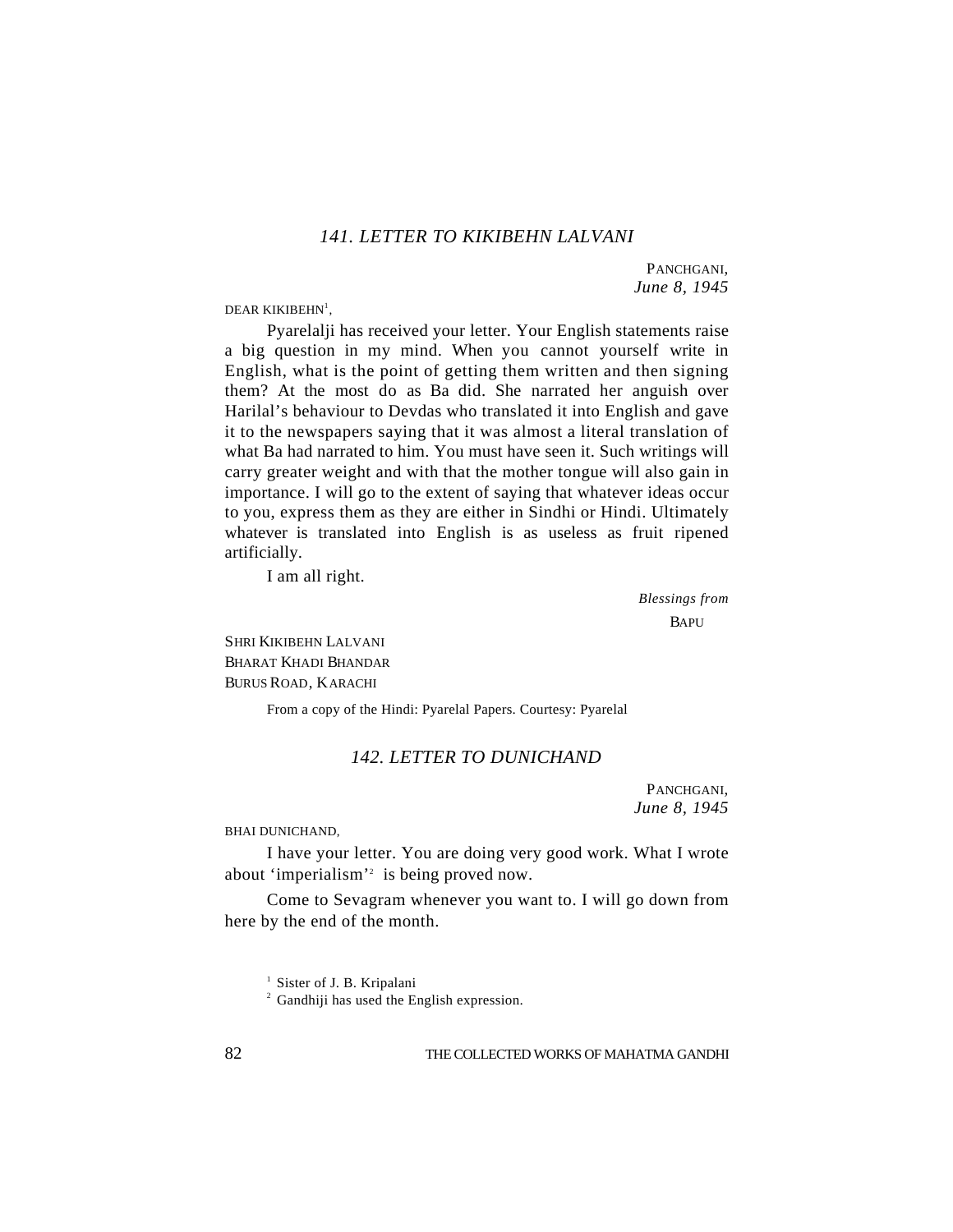# *141. LETTER TO KIKIBEHN LALVANI*

PANCHGANI, *June 8, 1945*

DEAR KIKIBEHN $^{\rm l}$ ,

Pyarelalji has received your letter. Your English statements raise a big question in my mind. When you cannot yourself write in English, what is the point of getting them written and then signing them? At the most do as Ba did. She narrated her anguish over Harilal's behaviour to Devdas who translated it into English and gave it to the newspapers saying that it was almost a literal translation of what Ba had narrated to him. You must have seen it. Such writings will carry greater weight and with that the mother tongue will also gain in importance. I will go to the extent of saying that whatever ideas occur to you, express them as they are either in Sindhi or Hindi. Ultimately whatever is translated into English is as useless as fruit ripened artificially.

I am all right.

*Blessings from* **BAPU** 

SHRI KIKIBEHN LALVANI BHARAT KHADI BHANDAR BURUS ROAD, KARACHI

From a copy of the Hindi: Pyarelal Papers. Courtesy: Pyarelal

# *142. LETTER TO DUNICHAND*

PANCHGANI, *June 8, 1945*

BHAI DUNICHAND,

I have your letter. You are doing very good work. What I wrote about 'imperialism'<sup>2</sup> is being proved now.

Come to Sevagram whenever you want to. I will go down from here by the end of the month.

<sup>1</sup> Sister of J. B. Kripalani

<sup>2</sup> Gandhiji has used the English expression.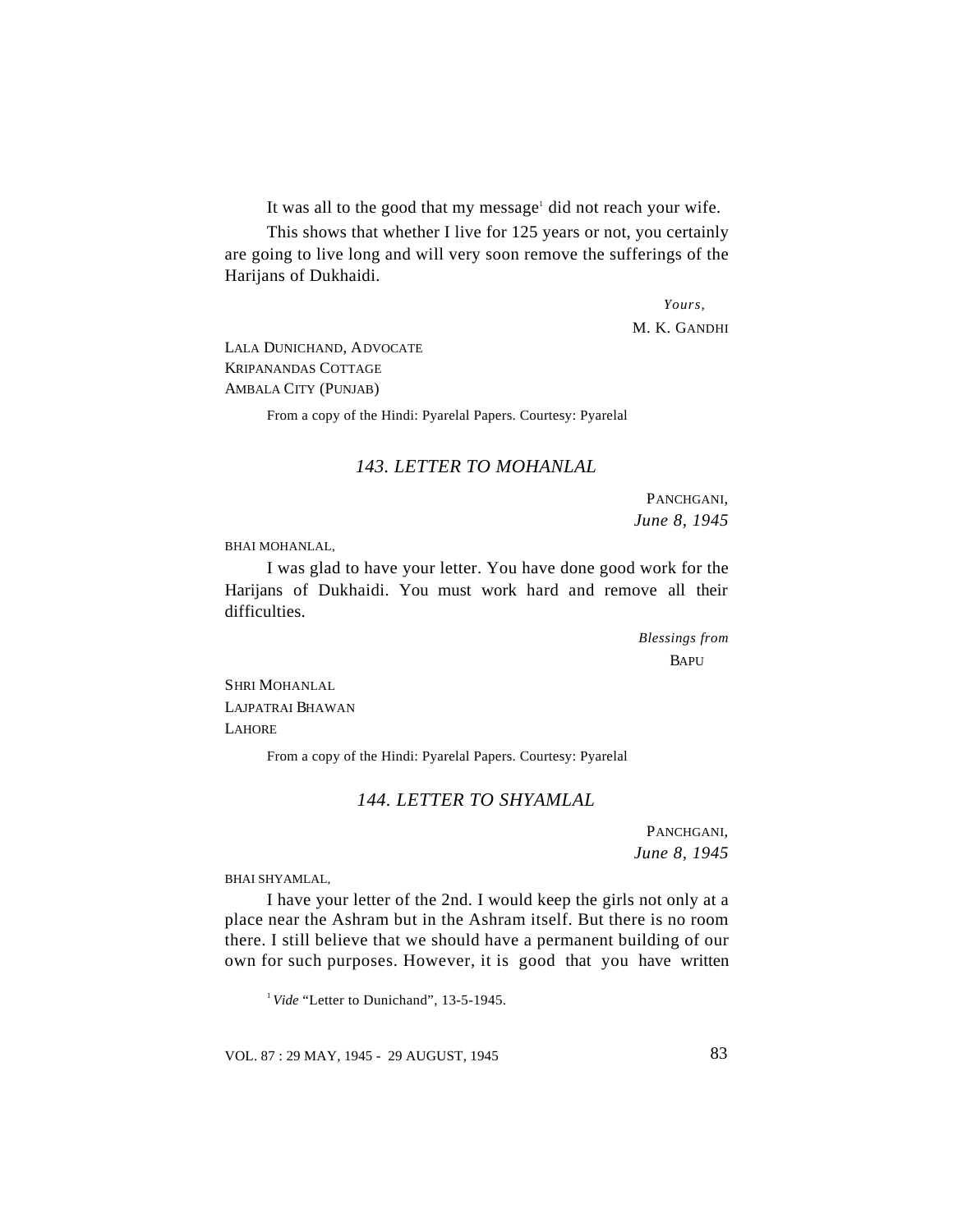It was all to the good that my message<sup>1</sup> did not reach your wife.

This shows that whether I live for 125 years or not, you certainly are going to live long and will very soon remove the sufferings of the Harijans of Dukhaidi.

> *Yours,*  M. K. GANDHI

LALA DUNICHAND, ADVOCATE KRIPANANDAS COTTAGE AMBALA CITY (PUNJAB)

From a copy of the Hindi: Pyarelal Papers. Courtesy: Pyarelal

# *143. LETTER TO MOHANLAL*

PANCHGANI, *June 8, 1945*

BHAI MOHANLAL,

I was glad to have your letter. You have done good work for the Harijans of Dukhaidi. You must work hard and remove all their difficulties.

> *Blessings from* **BAPU**

SHRI MOHANLAL LAJPATRAI BHAWAN LAHORE

From a copy of the Hindi: Pyarelal Papers. Courtesy: Pyarelal

# *144. LETTER TO SHYAMLAL*

PANCHGANI, *June 8, 1945*

BHAI SHYAMLAL,

I have your letter of the 2nd. I would keep the girls not only at a place near the Ashram but in the Ashram itself. But there is no room there. I still believe that we should have a permanent building of our own for such purposes. However, it is good that you have written

<sup>1</sup> Vide "Letter to Dunichand", 13-5-1945.

VOL. 87 : 29 MAY, 1945 - 29 AUGUST, 1945 83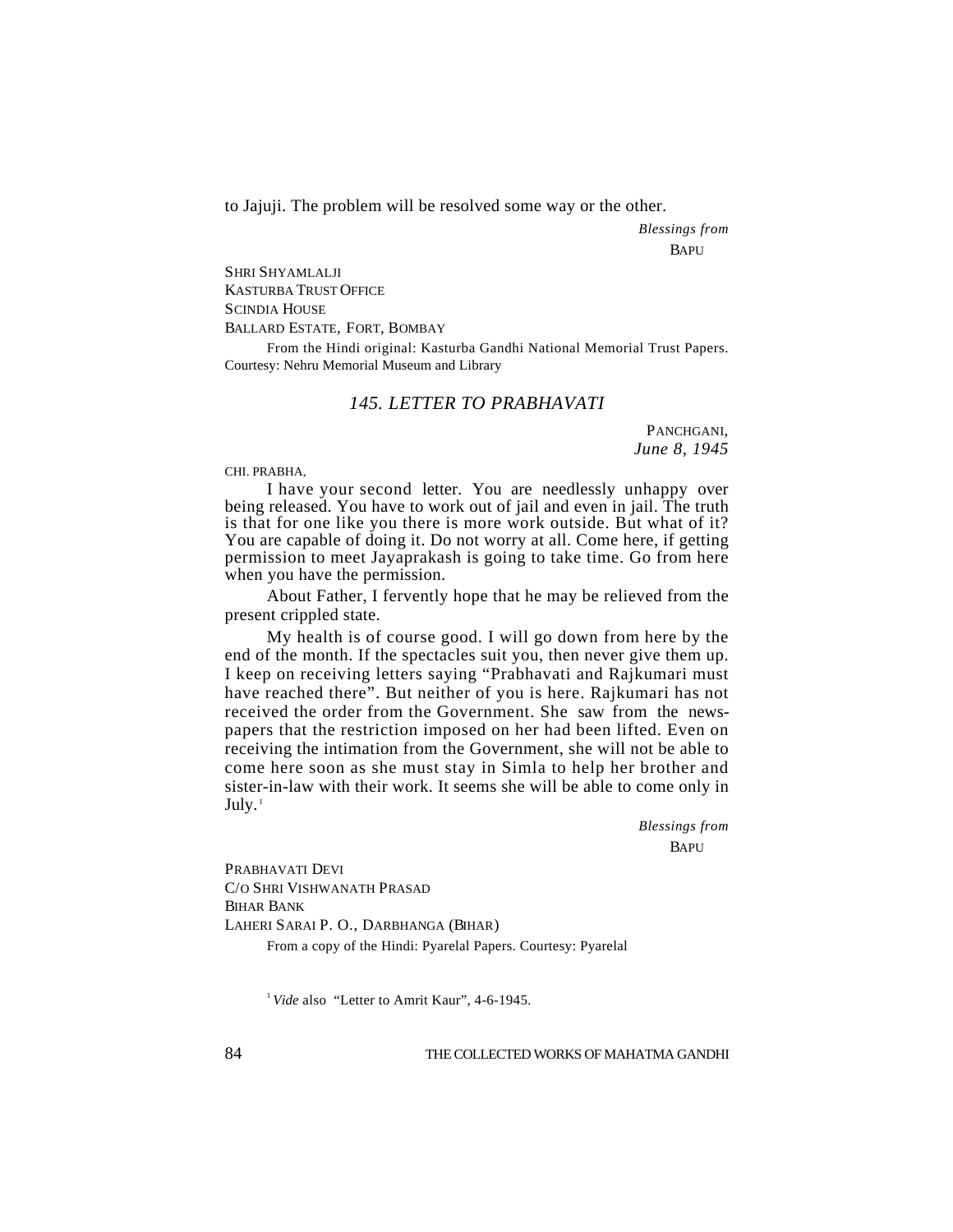to Jajuji. The problem will be resolved some way or the other.

*Blessings from* **BAPU** 

SHRI SHYAMLALJI KASTURBA TRUST OFFICE SCINDIA HOUSE BALLARD ESTATE, FORT, BOMBAY

From the Hindi original: Kasturba Gandhi National Memorial Trust Papers. Courtesy: Nehru Memorial Museum and Library

# *145. LETTER TO PRABHAVATI*

PANCHGANI, *June 8, 1945*

CHI. PRABHA,

I have your second letter. You are needlessly unhappy over being released. You have to work out of jail and even in jail. The truth is that for one like you there is more work outside. But what of it? You are capable of doing it. Do not worry at all. Come here, if getting permission to meet Jayaprakash is going to take time. Go from here when you have the permission.

About Father, I fervently hope that he may be relieved from the present crippled state.

My health is of course good. I will go down from here by the end of the month. If the spectacles suit you, then never give them up. I keep on receiving letters saying "Prabhavati and Rajkumari must have reached there". But neither of you is here. Rajkumari has not received the order from the Government. She saw from the newspapers that the restriction imposed on her had been lifted. Even on receiving the intimation from the Government, she will not be able to come here soon as she must stay in Simla to help her brother and sister-in-law with their work. It seems she will be able to come only in  $July.$ <sup>1</sup>

> *Blessings from* BAPU

PRABHAVATI DEVI C/O SHRI VISHWANATH PRASAD BIHAR BANK LAHERI SARAI P. O., DARBHANGA (BIHAR)

From a copy of the Hindi: Pyarelal Papers. Courtesy: Pyarelal

<sup>1</sup> Vide also "Letter to Amrit Kaur", 4-6-1945.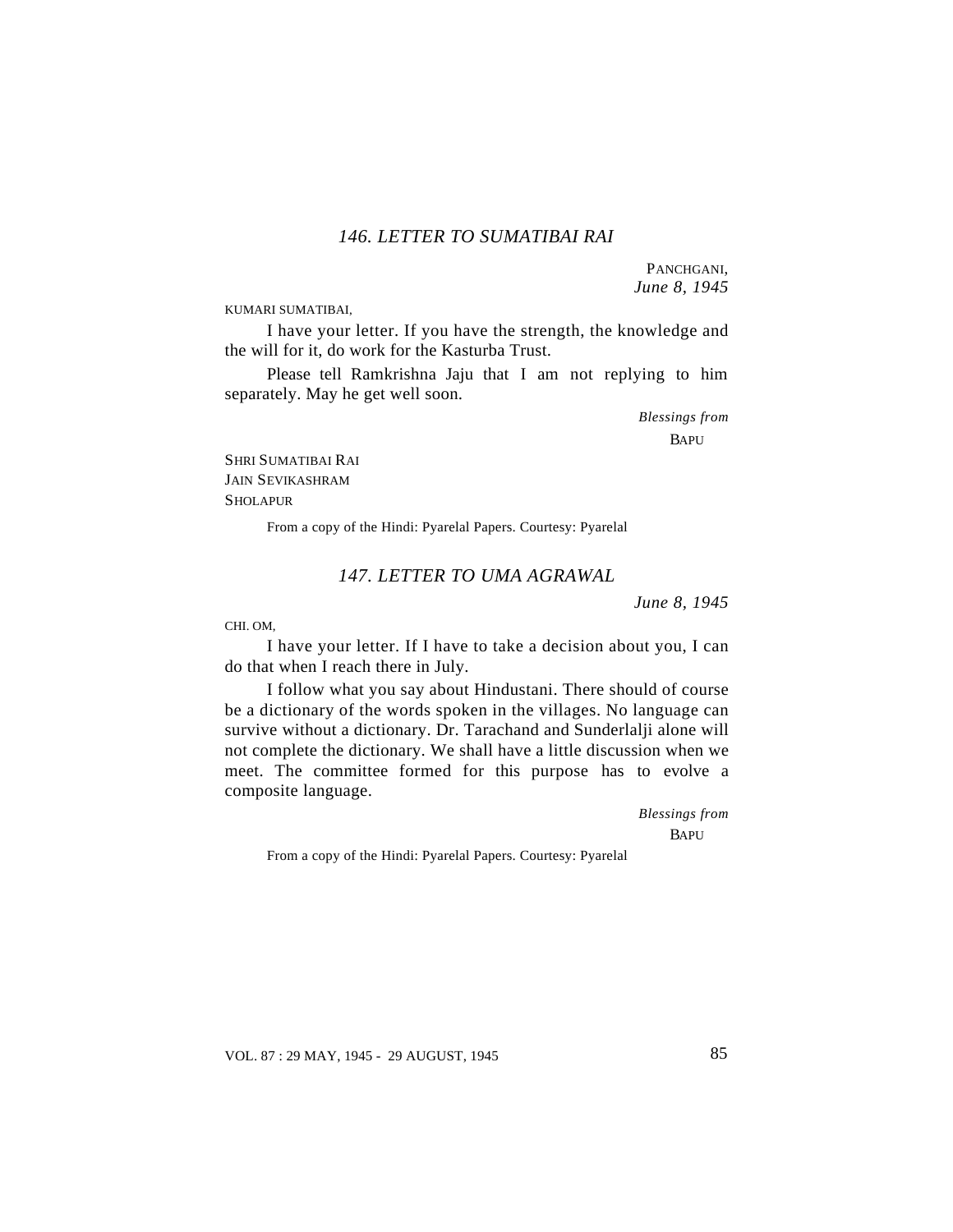# *146. LETTER TO SUMATIBAI RAI*

PANCHGANI, *June 8, 1945*

## KUMARI SUMATIBAI,

I have your letter. If you have the strength, the knowledge and the will for it, do work for the Kasturba Trust.

Please tell Ramkrishna Jaju that I am not replying to him separately. May he get well soon.

> *Blessings from* **BAPU**

SHRI SUMATIBAI RAI JAIN SEVIKASHRAM SHOLAPUR

From a copy of the Hindi: Pyarelal Papers. Courtesy: Pyarelal

# *147. LETTER TO UMA AGRAWAL*

*June 8, 1945*

CHI. OM,

I have your letter. If I have to take a decision about you, I can do that when I reach there in July.

I follow what you say about Hindustani. There should of course be a dictionary of the words spoken in the villages. No language can survive without a dictionary. Dr. Tarachand and Sunderlalji alone will not complete the dictionary. We shall have a little discussion when we meet. The committee formed for this purpose has to evolve a composite language.

> *Blessings from* **BAPU**

From a copy of the Hindi: Pyarelal Papers. Courtesy: Pyarelal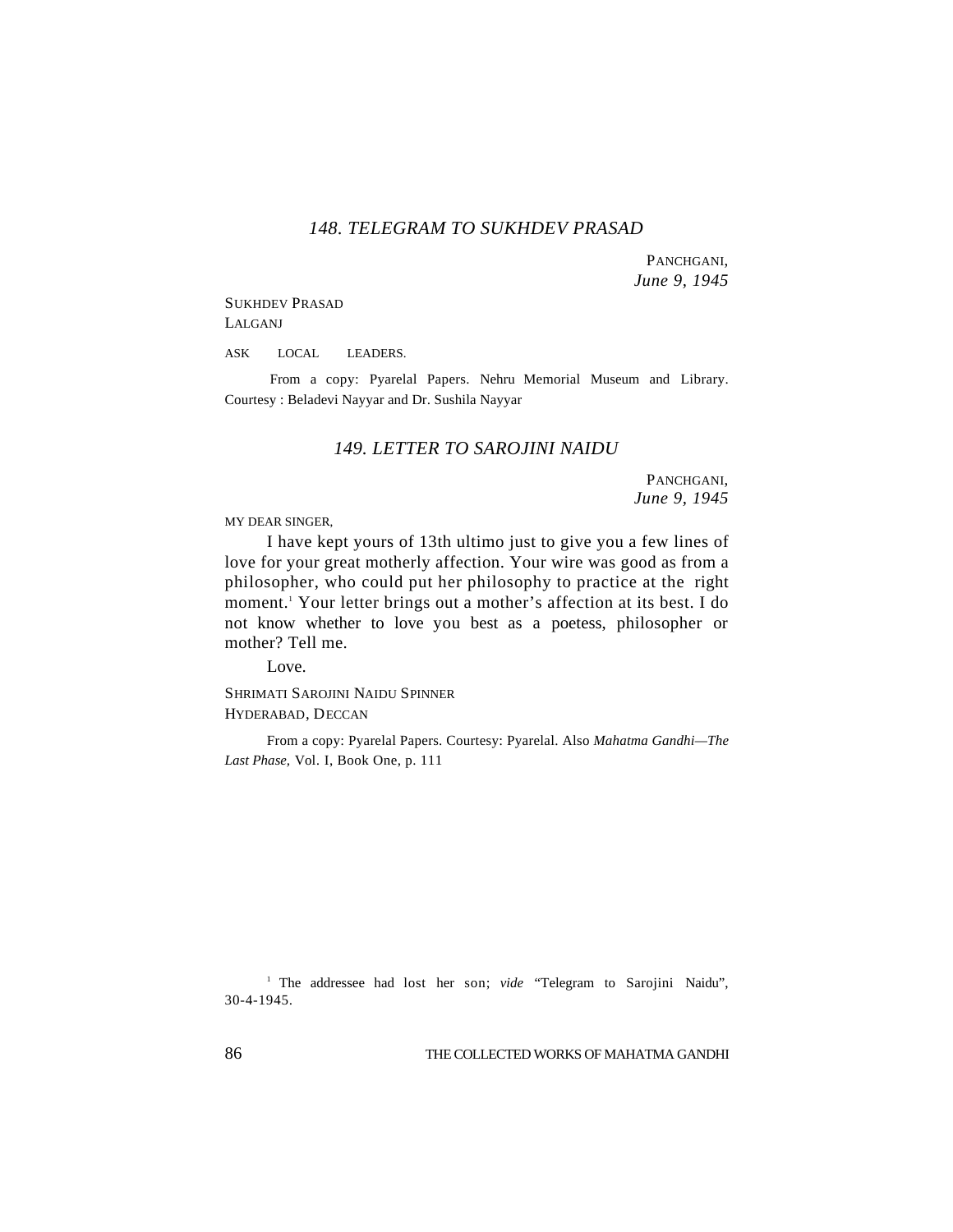# *148. TELEGRAM TO SUKHDEV PRASAD*

PANCHGANI, *June 9, 1945*

SUKHDEV PRASAD LALGANJ

ASK LOCAL LEADERS.

From a copy: Pyarelal Papers. Nehru Memorial Museum and Library. Courtesy : Beladevi Nayyar and Dr. Sushila Nayyar

## *149. LETTER TO SAROJINI NAIDU*

PANCHGANI, *June 9, 1945*

MY DEAR SINGER,

I have kept yours of 13th ultimo just to give you a few lines of love for your great motherly affection. Your wire was good as from a philosopher, who could put her philosophy to practice at the right moment.<sup>1</sup> Your letter brings out a mother's affection at its best. I do not know whether to love you best as a poetess, philosopher or mother? Tell me.

Love.

SHRIMATI SAROJINI NAIDU SPINNER HYDERABAD, DECCAN

From a copy: Pyarelal Papers. Courtesy: Pyarelal. Also *Mahatma Gandhi—The Last Phase,* Vol*.* I, Book One, p. 111

<sup>1</sup> The addressee had lost her son; *vide* "Telegram to Sarojini Naidu", 30-4-1945.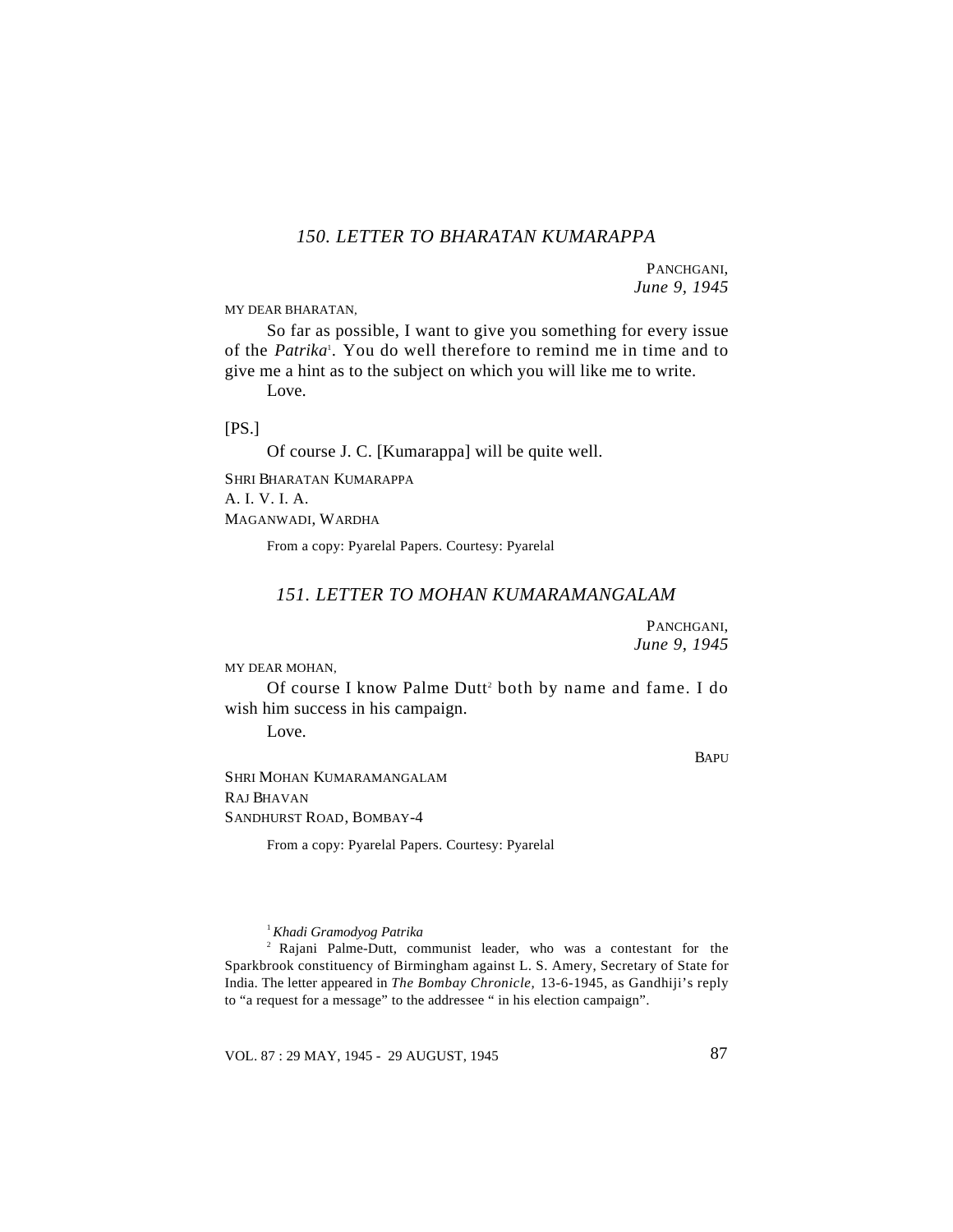# *150. LETTER TO BHARATAN KUMARAPPA*

PANCHGANI, *June 9, 1945*

## MY DEAR BHARATAN,

So far as possible, I want to give you something for every issue of the *Patrika*<sup>1</sup>. You do well therefore to remind me in time and to give me a hint as to the subject on which you will like me to write.

Love.

 $[PS.]$ 

Of course J. C. [Kumarappa] will be quite well.

SHRI BHARATAN KUMARAPPA A. I. V. I. A. MAGANWADI, WARDHA

From a copy: Pyarelal Papers. Courtesy: Pyarelal

# *151. LETTER TO MOHAN KUMARAMANGALAM*

**PANCHGANI** *June 9, 1945*

MY DEAR MOHAN,

Of course I know Palme Dutt<sup>2</sup> both by name and fame. I do wish him success in his campaign.

Love.

**BAPU** 

SHRI MOHAN KUMARAMANGALAM RAJ BHAVAN SANDHURST ROAD, BOMBAY-4

From a copy: Pyarelal Papers. Courtesy: Pyarelal

<sup>1</sup>*Khadi Gramodyog Patrika*

<sup>2</sup> Rajani Palme-Dutt, communist leader, who was a contestant for the Sparkbrook constituency of Birmingham against L. S. Amery, Secretary of State for India. The letter appeared in *The Bombay Chronicle,* 13-6-1945, as Gandhiji's reply to "a request for a message" to the addressee " in his election campaign".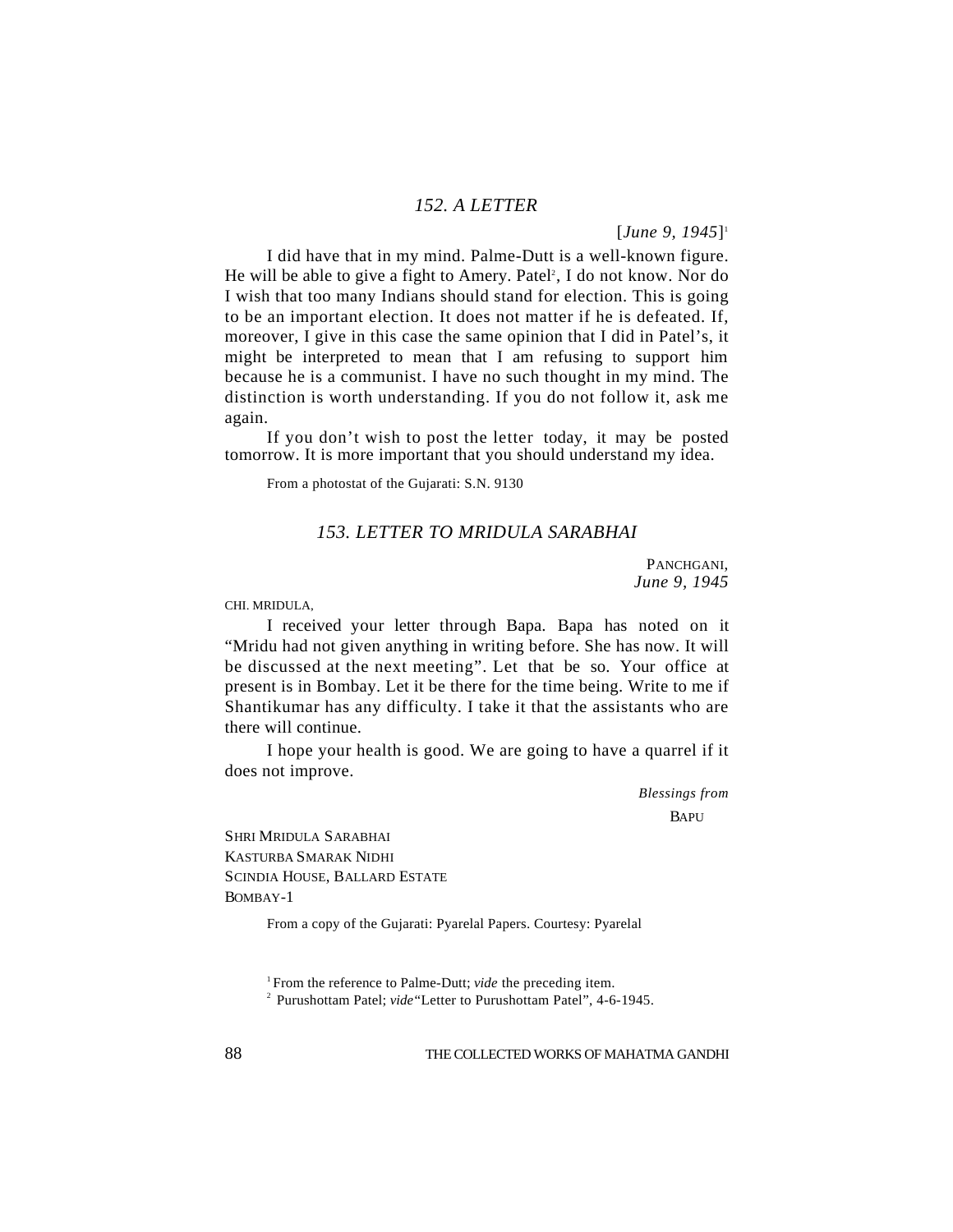# *152. A LETTER*

[*June 9, 1945*] 1

I did have that in my mind. Palme-Dutt is a well-known figure. He will be able to give a fight to Amery. Patel<sup>2</sup>, I do not know. Nor do I wish that too many Indians should stand for election. This is going to be an important election. It does not matter if he is defeated. If, moreover, I give in this case the same opinion that I did in Patel's, it might be interpreted to mean that I am refusing to support him because he is a communist. I have no such thought in my mind. The distinction is worth understanding. If you do not follow it, ask me again.

If you don't wish to post the letter today, it may be posted tomorrow. It is more important that you should understand my idea.

From a photostat of the Gujarati: S.N. 9130

# *153. LETTER TO MRIDULA SARABHAI*

PANCHGANI,  *June 9, 1945*

CHI. MRIDULA,

I received your letter through Bapa. Bapa has noted on it "Mridu had not given anything in writing before. She has now. It will be discussed at the next meeting". Let that be so. Your office at present is in Bombay. Let it be there for the time being. Write to me if Shantikumar has any difficulty. I take it that the assistants who are there will continue.

I hope your health is good. We are going to have a quarrel if it does not improve.

> *Blessings from* **BAPU**

SHRI MRIDULA SARABHAI KASTURBA SMARAK NIDHI SCINDIA HOUSE, BALLARD ESTATE BOMBAY-1

From a copy of the Gujarati: Pyarelal Papers. Courtesy: Pyarelal

<sup>&</sup>lt;sup>1</sup> From the reference to Palme-Dutt; *vide* the preceding item.

<sup>&</sup>lt;sup>2</sup> Purushottam Patel; *vide* "Letter to Purushottam Patel", 4-6-1945.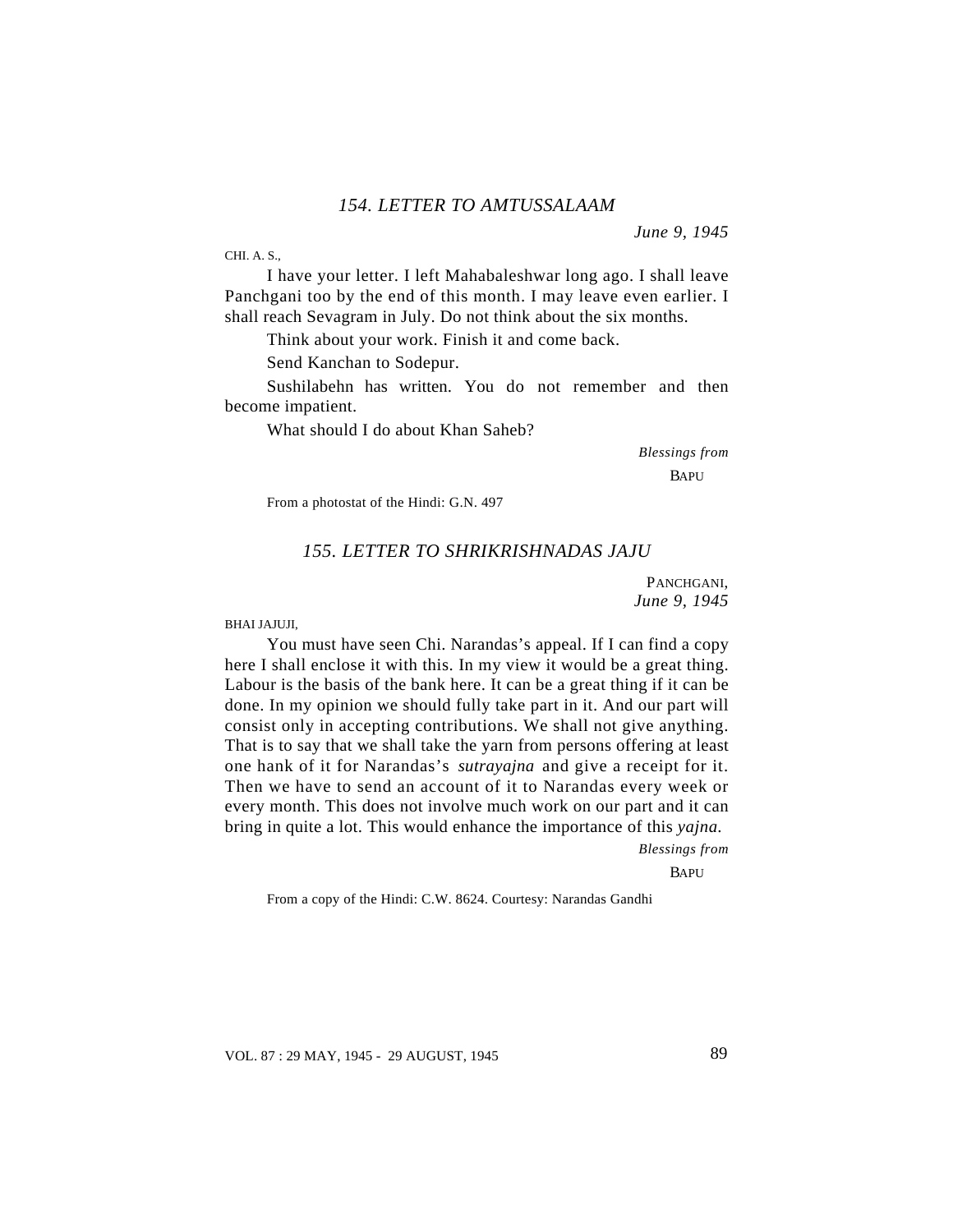*June 9, 1945*

## CHI. A. S.,

I have your letter. I left Mahabaleshwar long ago. I shall leave Panchgani too by the end of this month. I may leave even earlier. I shall reach Sevagram in July. Do not think about the six months.

Think about your work. Finish it and come back.

Send Kanchan to Sodepur.

Sushilabehn has written. You do not remember and then become impatient.

What should I do about Khan Saheb?

*Blessings from* **BAPU** 

From a photostat of the Hindi: G.N. 497

# *155. LETTER TO SHRIKRISHNADAS JAJU*

PANCHGANI, *June 9, 1945*

BHAI JAJUJI,

You must have seen Chi. Narandas's appeal. If I can find a copy here I shall enclose it with this. In my view it would be a great thing. Labour is the basis of the bank here. It can be a great thing if it can be done. In my opinion we should fully take part in it. And our part will consist only in accepting contributions. We shall not give anything. That is to say that we shall take the yarn from persons offering at least one hank of it for Narandas's *sutrayajna* and give a receipt for it. Then we have to send an account of it to Narandas every week or every month. This does not involve much work on our part and it can bring in quite a lot. This would enhance the importance of this *yajna.*

*Blessings from*

**BAPU** 

From a copy of the Hindi: C.W. 8624. Courtesy: Narandas Gandhi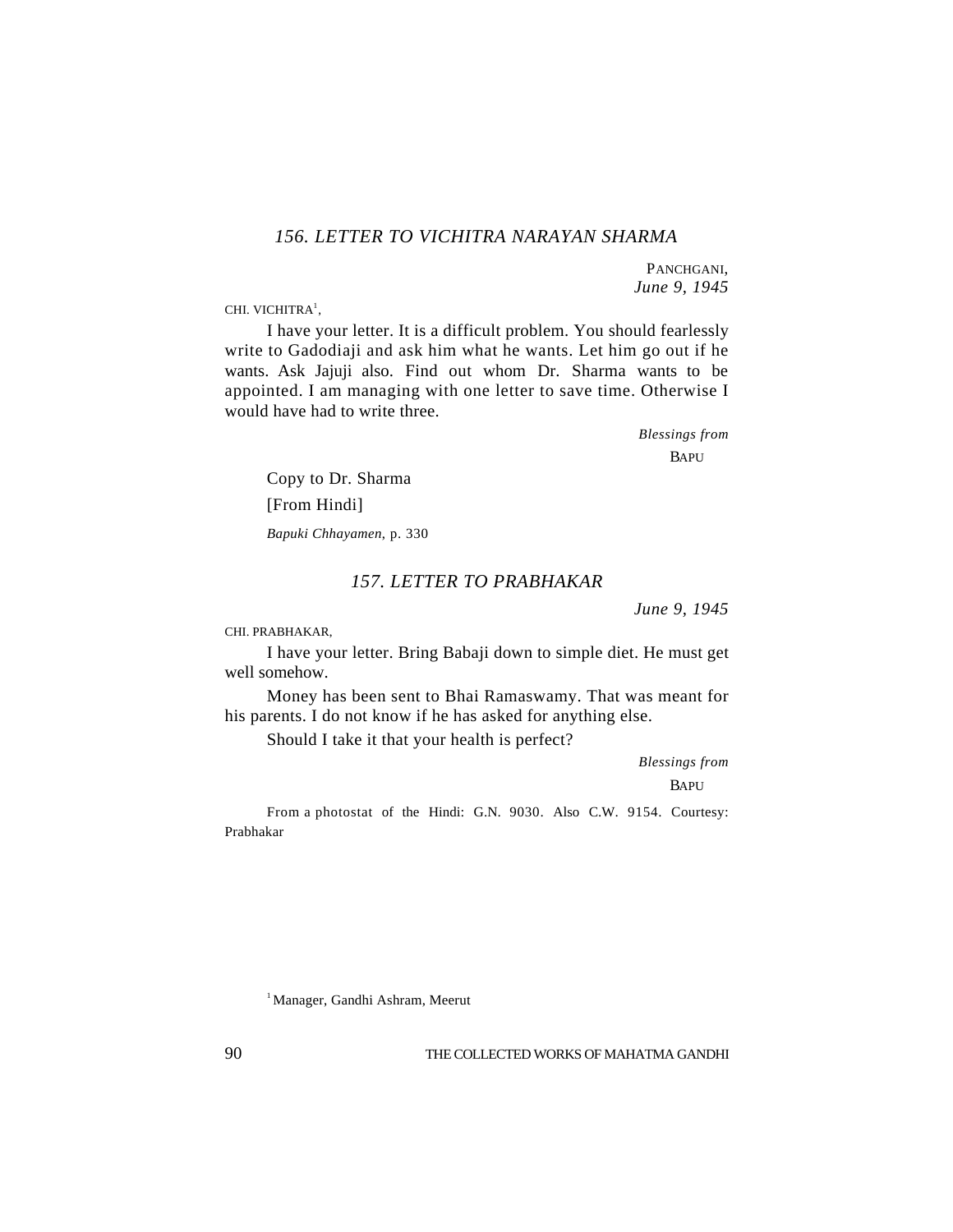# *156. LETTER TO VICHITRA NARAYAN SHARMA*

PANCHGANI, *June 9, 1945*

CHI. VICHITRA $^1,$ 

I have your letter. It is a difficult problem. You should fearlessly write to Gadodiaji and ask him what he wants. Let him go out if he wants. Ask Jajuji also. Find out whom Dr. Sharma wants to be appointed. I am managing with one letter to save time. Otherwise I would have had to write three

> *Blessings from* BAPU

Copy to Dr. Sharma [From Hindi]

*Bapuki Chhayamen*, p. 330

# *157. LETTER TO PRABHAKAR*

*June 9, 1945*

CHI. PRABHAKAR,

I have your letter. Bring Babaji down to simple diet. He must get well somehow.

Money has been sent to Bhai Ramaswamy. That was meant for his parents. I do not know if he has asked for anything else.

Should I take it that your health is perfect?

*Blessings from* **BAPU** 

From a photostat of the Hindi: G.N. 9030. Also C.W. 9154. Courtesy: Prabhakar

1 Manager, Gandhi Ashram, Meerut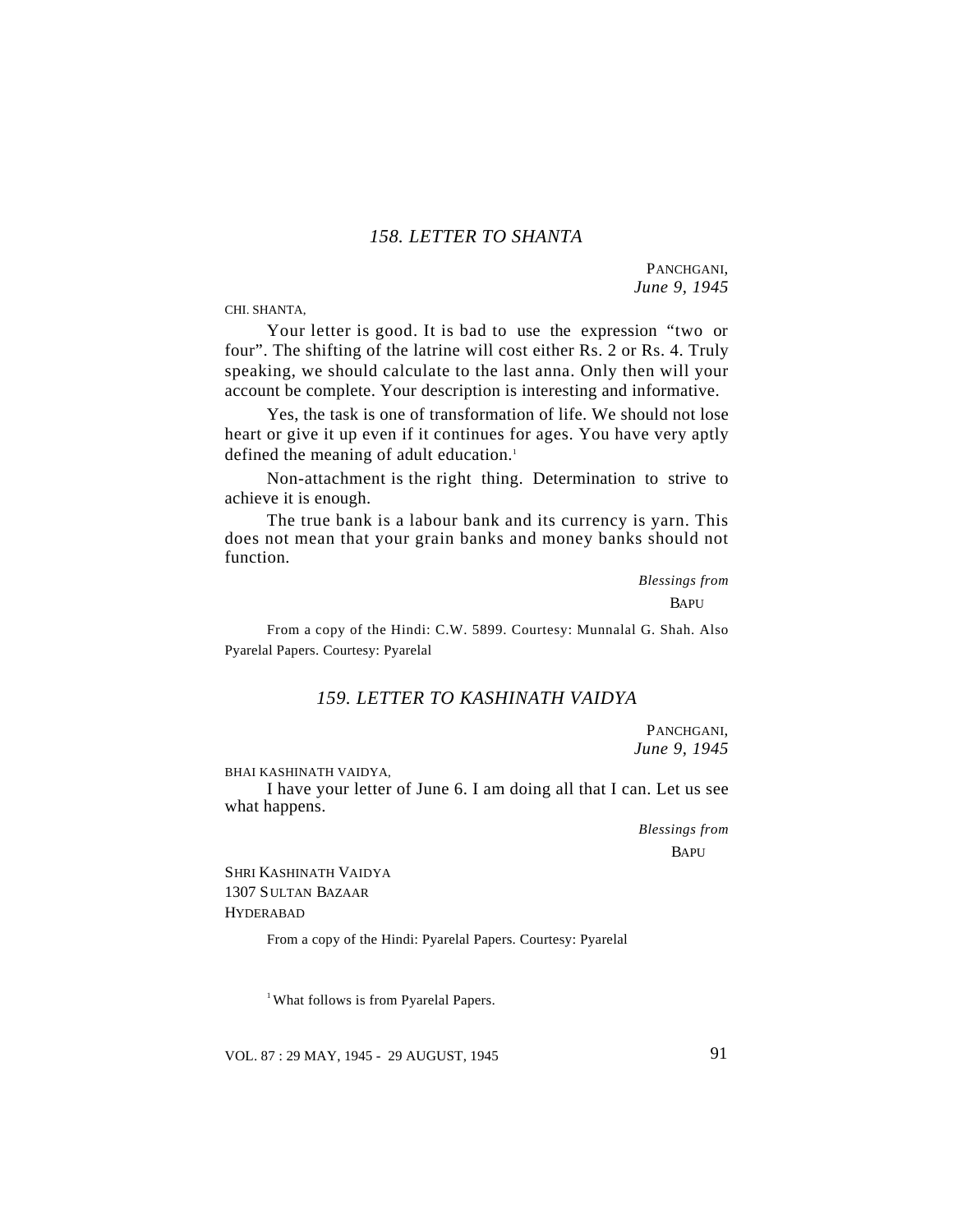# *158. LETTER TO SHANTA*

PANCHGANI, *June 9, 1945*

CHI. SHANTA,

Your letter is good. It is bad to use the expression "two or four". The shifting of the latrine will cost either Rs. 2 or Rs. 4. Truly speaking, we should calculate to the last anna. Only then will your account be complete. Your description is interesting and informative.

Yes, the task is one of transformation of life. We should not lose heart or give it up even if it continues for ages. You have very aptly defined the meaning of adult education.<sup>1</sup>

Non-attachment is the right thing. Determination to strive to achieve it is enough.

The true bank is a labour bank and its currency is yarn. This does not mean that your grain banks and money banks should not function.

> *Blessings from* **BAPU**

From a copy of the Hindi: C.W. 5899. Courtesy: Munnalal G. Shah. Also Pyarelal Papers. Courtesy: Pyarelal

# *159. LETTER TO KASHINATH VAIDYA*

PANCHGANI, *June 9, 1945*

BHAI KASHINATH VAIDYA,

I have your letter of June 6. I am doing all that I can. Let us see what happens.

> *Blessings from* **BAPU**

SHRI KASHINATH VAIDYA 1307 SULTAN BAZAAR HYDERABAD

From a copy of the Hindi: Pyarelal Papers. Courtesy: Pyarelal

<sup>1</sup> What follows is from Pyarelal Papers.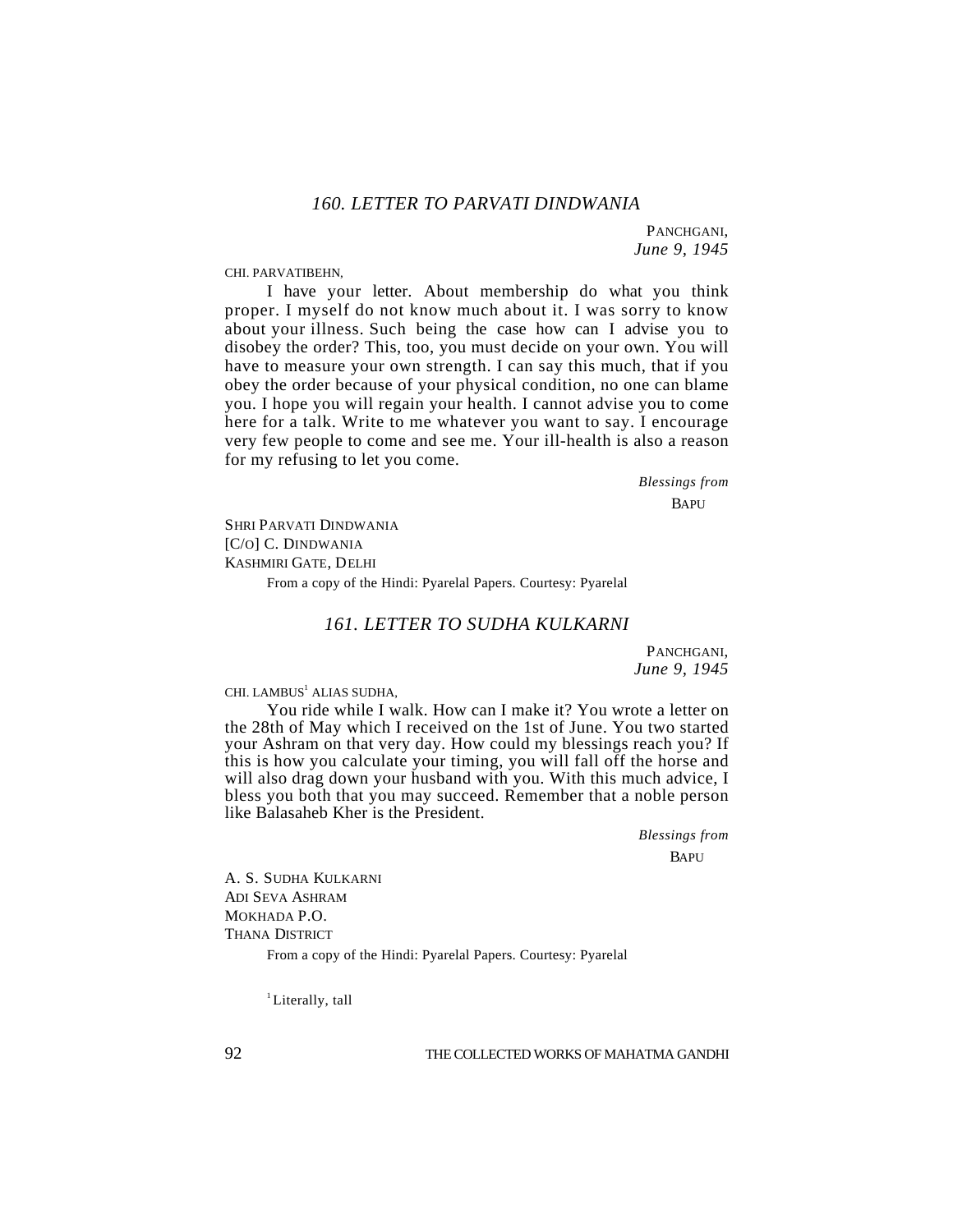# *160. LETTER TO PARVATI DINDWANIA*

PANCHGANI, *June 9, 1945*

CHI. PARVATIBEHN,

I have your letter. About membership do what you think proper. I myself do not know much about it. I was sorry to know about your illness. Such being the case how can I advise you to disobey the order? This, too, you must decide on your own. You will have to measure your own strength. I can say this much, that if you obey the order because of your physical condition, no one can blame you. I hope you will regain your health. I cannot advise you to come here for a talk. Write to me whatever you want to say. I encourage very few people to come and see me. Your ill-health is also a reason for my refusing to let you come.

> *Blessings from* **BAPU**

SHRI PARVATI DINDWANIA [C/O] C. DINDWANIA KASHMIRI GATE, DELHI

From a copy of the Hindi: Pyarelal Papers. Courtesy: Pyarelal

# *161. LETTER TO SUDHA KULKARNI*

PANCHGANI, *June 9, 1945*

 $CHI.$  LAMBUS $^1$  ALIAS SUDHA,

You ride while I walk. How can I make it? You wrote a letter on the 28th of May which I received on the 1st of June. You two started your Ashram on that very day. How could my blessings reach you? If this is how you calculate your timing, you will fall off the horse and will also drag down your husband with you. With this much advice, I bless you both that you may succeed. Remember that a noble person like Balasaheb Kher is the President.

> *Blessings from* **BAPU**

A. S. SUDHA KULKARNI ADI SEVA ASHRAM  $M$ OKHADA P $\Omega$ THANA DISTRICT

From a copy of the Hindi: Pyarelal Papers. Courtesy: Pyarelal

<sup>1</sup>Literally, tall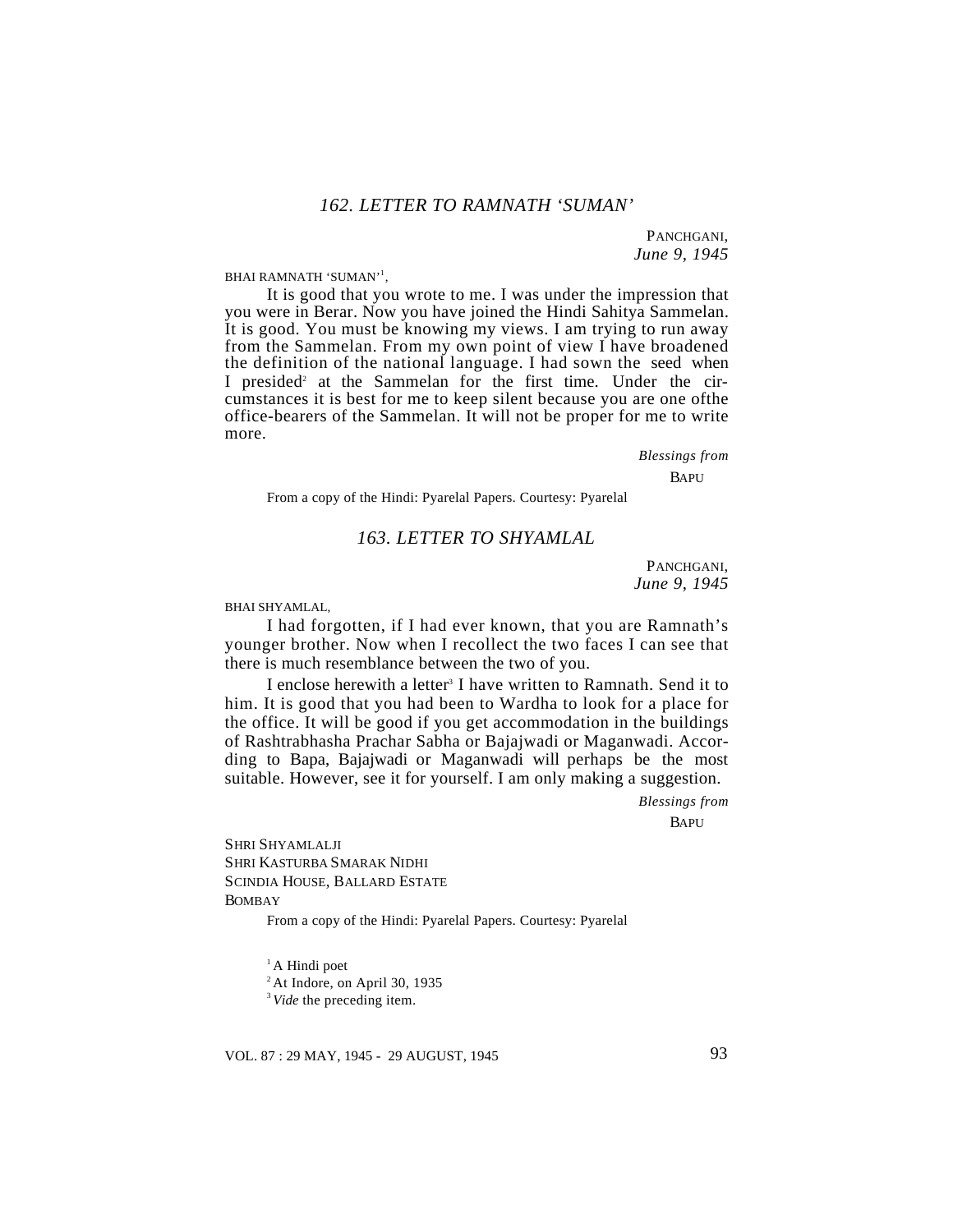# *162. LETTER TO RAMNATH 'SUMAN'*

PANCHGANI, *June 9, 1945*

### BHAI RAMNATH 'SUMAN'<sup>1</sup> ,

It is good that you wrote to me. I was under the impression that you were in Berar. Now you have joined the Hindi Sahitya Sammelan. It is good. You must be knowing my views. I am trying to run away from the Sammelan. From my own point of view I have broadened the definition of the national language. I had sown the seed when I presided<sup>2</sup> at the Sammelan for the first time. Under the circumstances it is best for me to keep silent because you are one ofthe office-bearers of the Sammelan. It will not be proper for me to write more.

*Blessings from*

**BAPU** 

From a copy of the Hindi: Pyarelal Papers. Courtesy: Pyarelal

# *163. LETTER TO SHYAMLAL*

PANCHGANI, *June 9, 1945*

BHAI SHYAMLAL,

I had forgotten, if I had ever known, that you are Ramnath's younger brother. Now when I recollect the two faces I can see that there is much resemblance between the two of you.

I enclose herewith a letter<sup>3</sup> I have written to Ramnath. Send it to him. It is good that you had been to Wardha to look for a place for the office. It will be good if you get accommodation in the buildings of Rashtrabhasha Prachar Sabha or Bajajwadi or Maganwadi. According to Bapa, Bajajwadi or Maganwadi will perhaps be the most suitable. However, see it for yourself. I am only making a suggestion.

> *Blessings from* **BAPU**

SHRI SHYAMLALJI SHRI KASTURBA SMARAK NIDHI SCINDIA HOUSE, BALLARD ESTATE BOMBAY

From a copy of the Hindi: Pyarelal Papers. Courtesy: Pyarelal

 ${}^{1}$ A Hindi poet <sup>2</sup> At Indore, on April 30, 1935 <sup>3</sup>*Vide* the preceding item.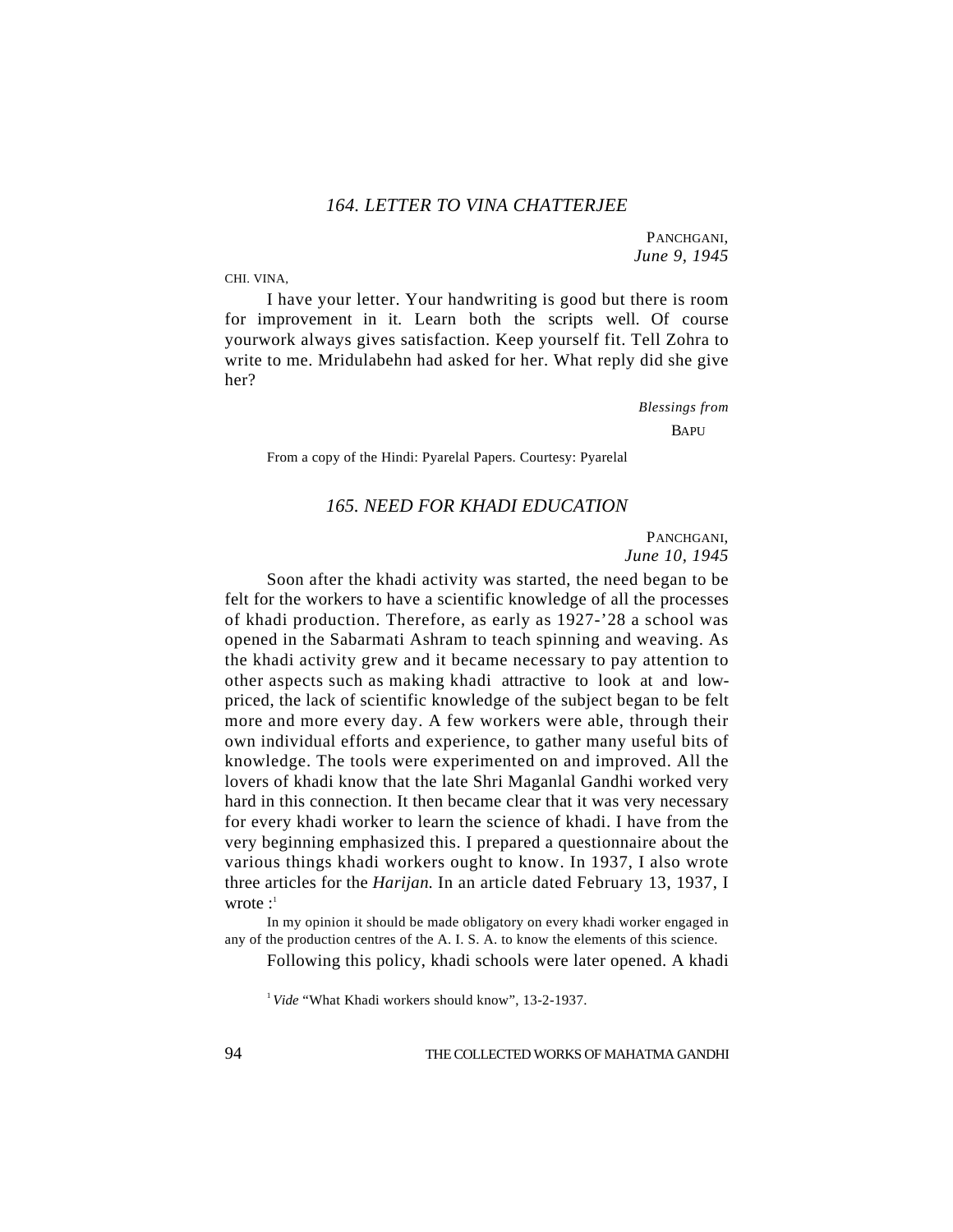# *164. LETTER TO VINA CHATTERJEE*

PANCHGANI. *June 9, 1945*

CHI. VINA,

I have your letter. Your handwriting is good but there is room for improvement in it. Learn both the scripts well. Of course yourwork always gives satisfaction. Keep yourself fit. Tell Zohra to write to me. Mridulabehn had asked for her. What reply did she give her?

> *Blessings from* **BAPU**

From a copy of the Hindi: Pyarelal Papers. Courtesy: Pyarelal

# *165. NEED FOR KHADI EDUCATION*

PANCHGANI, *June 10, 1945*

Soon after the khadi activity was started, the need began to be felt for the workers to have a scientific knowledge of all the processes of khadi production. Therefore, as early as 1927-'28 a school was opened in the Sabarmati Ashram to teach spinning and weaving. As the khadi activity grew and it became necessary to pay attention to other aspects such as making khadi attractive to look at and lowpriced, the lack of scientific knowledge of the subject began to be felt more and more every day. A few workers were able, through their own individual efforts and experience, to gather many useful bits of knowledge. The tools were experimented on and improved. All the lovers of khadi know that the late Shri Maganlal Gandhi worked very hard in this connection. It then became clear that it was very necessary for every khadi worker to learn the science of khadi. I have from the very beginning emphasized this. I prepared a questionnaire about the various things khadi workers ought to know. In 1937, I also wrote three articles for the *Harijan.* In an article dated February 13, 1937, I wrote  $\cdot$ <sup>1</sup>

In my opinion it should be made obligatory on every khadi worker engaged in any of the production centres of the A. I. S. A. to know the elements of this science.

Following this policy, khadi schools were later opened. A khadi

<sup>1</sup> Vide "What Khadi workers should know", 13-2-1937.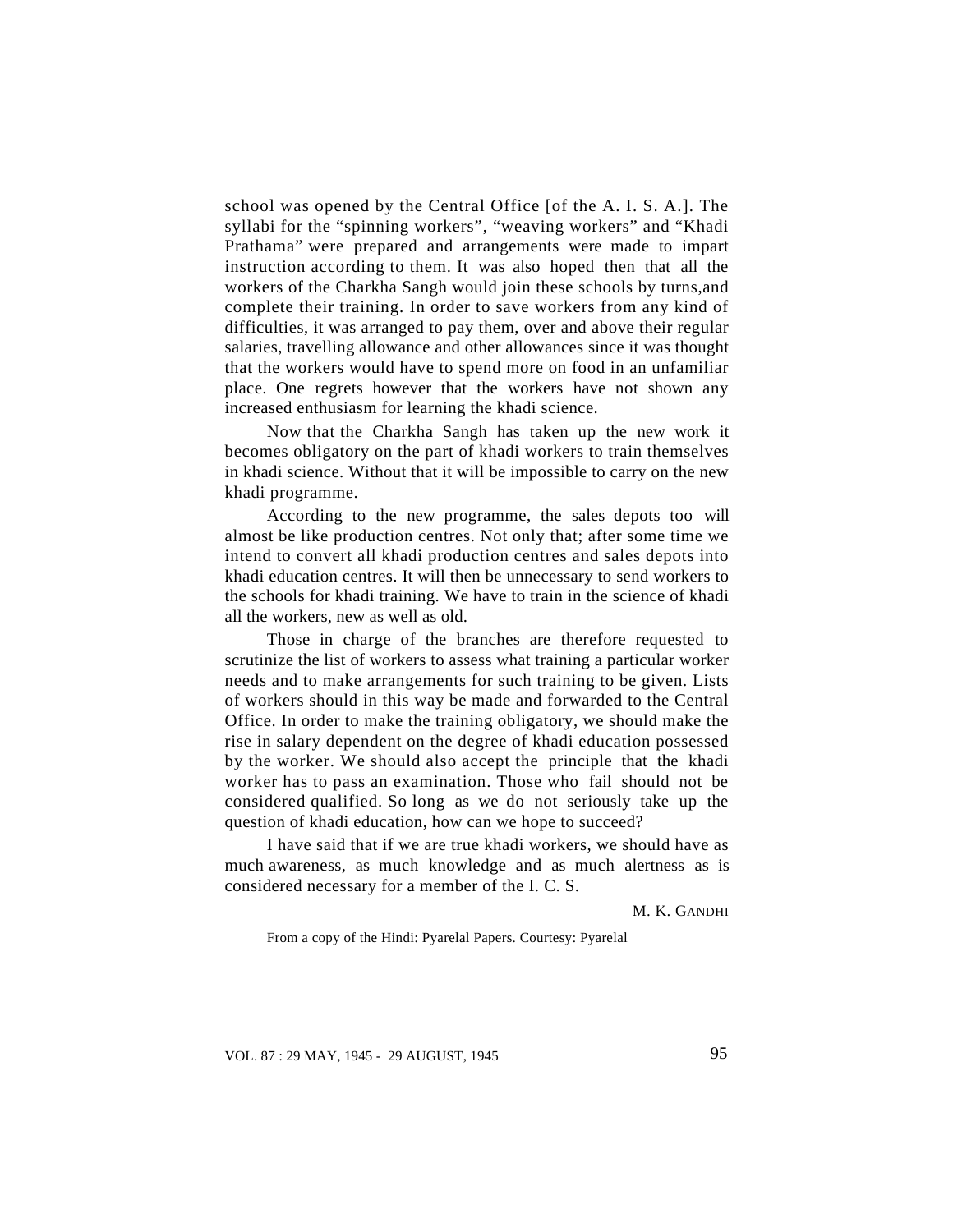school was opened by the Central Office [of the A. I. S. A.]. The syllabi for the "spinning workers", "weaving workers" and "Khadi Prathama" were prepared and arrangements were made to impart instruction according to them. It was also hoped then that all the workers of the Charkha Sangh would join these schools by turns,and complete their training. In order to save workers from any kind of difficulties, it was arranged to pay them, over and above their regular salaries, travelling allowance and other allowances since it was thought that the workers would have to spend more on food in an unfamiliar place. One regrets however that the workers have not shown any increased enthusiasm for learning the khadi science.

Now that the Charkha Sangh has taken up the new work it becomes obligatory on the part of khadi workers to train themselves in khadi science. Without that it will be impossible to carry on the new khadi programme.

According to the new programme, the sales depots too will almost be like production centres. Not only that; after some time we intend to convert all khadi production centres and sales depots into khadi education centres. It will then be unnecessary to send workers to the schools for khadi training. We have to train in the science of khadi all the workers, new as well as old.

Those in charge of the branches are therefore requested to scrutinize the list of workers to assess what training a particular worker needs and to make arrangements for such training to be given. Lists of workers should in this way be made and forwarded to the Central Office. In order to make the training obligatory, we should make the rise in salary dependent on the degree of khadi education possessed by the worker. We should also accept the principle that the khadi worker has to pass an examination. Those who fail should not be considered qualified. So long as we do not seriously take up the question of khadi education, how can we hope to succeed?

I have said that if we are true khadi workers, we should have as much awareness, as much knowledge and as much alertness as is considered necessary for a member of the I. C. S.

M. K. GANDHI

From a copy of the Hindi: Pyarelal Papers. Courtesy: Pyarelal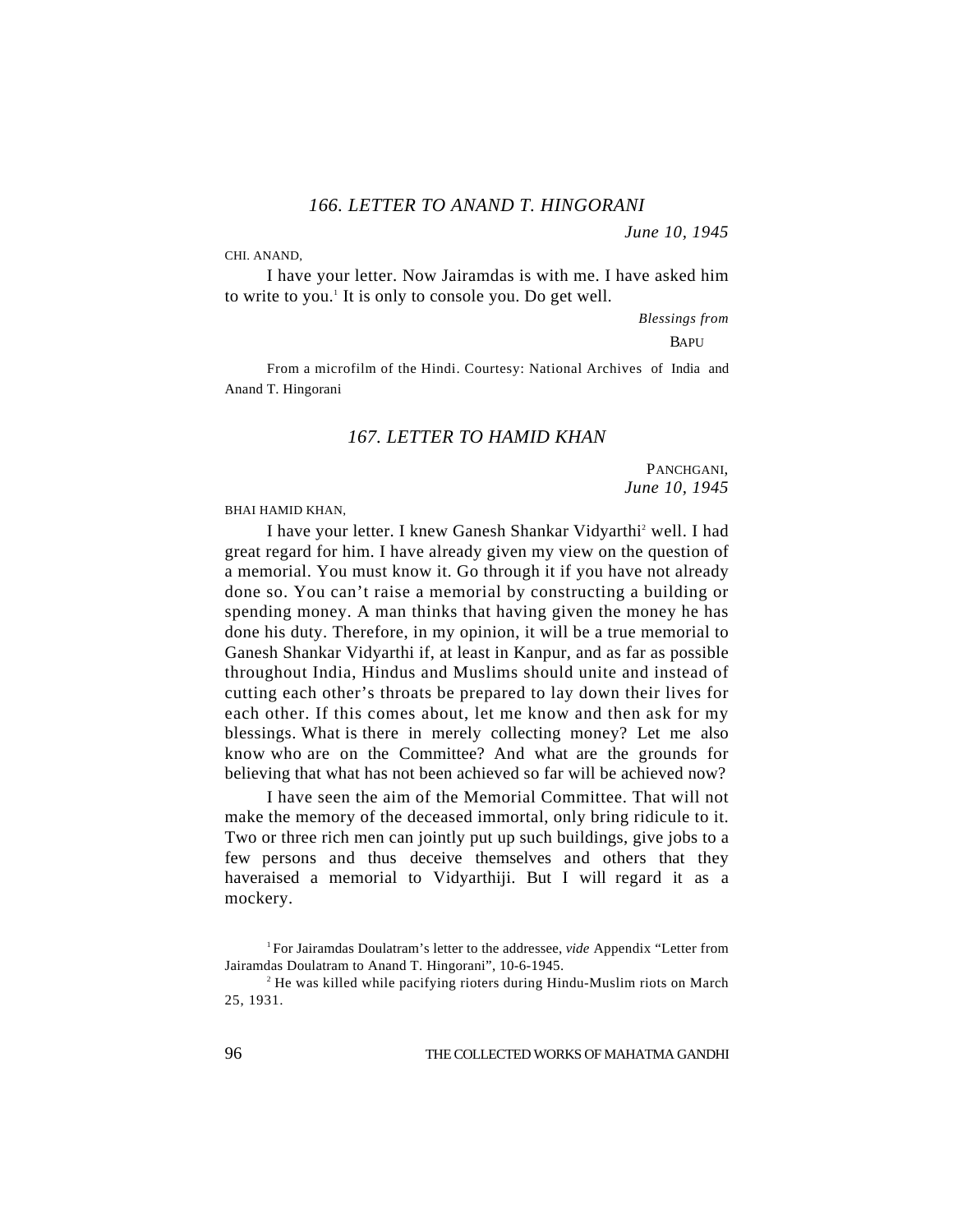*June 10, 1945*

#### CHI. ANAND,

I have your letter. Now Jairamdas is with me. I have asked him to write to you.<sup>1</sup> It is only to console you. Do get well.

*Blessings from*

**BAPU** 

From a microfilm of the Hindi. Courtesy: National Archives of India and Anand T. Hingorani

# *167. LETTER TO HAMID KHAN*

PANCHGANI, *June 10, 1945*

BHAI HAMID KHAN,

I have your letter. I knew Ganesh Shankar Vidyarthi<sup>2</sup> well. I had great regard for him. I have already given my view on the question of a memorial. You must know it. Go through it if you have not already done so. You can't raise a memorial by constructing a building or spending money. A man thinks that having given the money he has done his duty. Therefore, in my opinion, it will be a true memorial to Ganesh Shankar Vidyarthi if, at least in Kanpur, and as far as possible throughout India, Hindus and Muslims should unite and instead of cutting each other's throats be prepared to lay down their lives for each other. If this comes about, let me know and then ask for my blessings. What is there in merely collecting money? Let me also know who are on the Committee? And what are the grounds for believing that what has not been achieved so far will be achieved now?

I have seen the aim of the Memorial Committee. That will not make the memory of the deceased immortal, only bring ridicule to it. Two or three rich men can jointly put up such buildings, give jobs to a few persons and thus deceive themselves and others that they haveraised a memorial to Vidyarthiji. But I will regard it as a mockery.

<sup>1</sup>For Jairamdas Doulatram's letter to the addressee, *vide* Appendix "Letter from Jairamdas Doulatram to Anand T. Hingorani", 10-6-1945.

<sup>&</sup>lt;sup>2</sup> He was killed while pacifying rioters during Hindu-Muslim riots on March 25, 1931.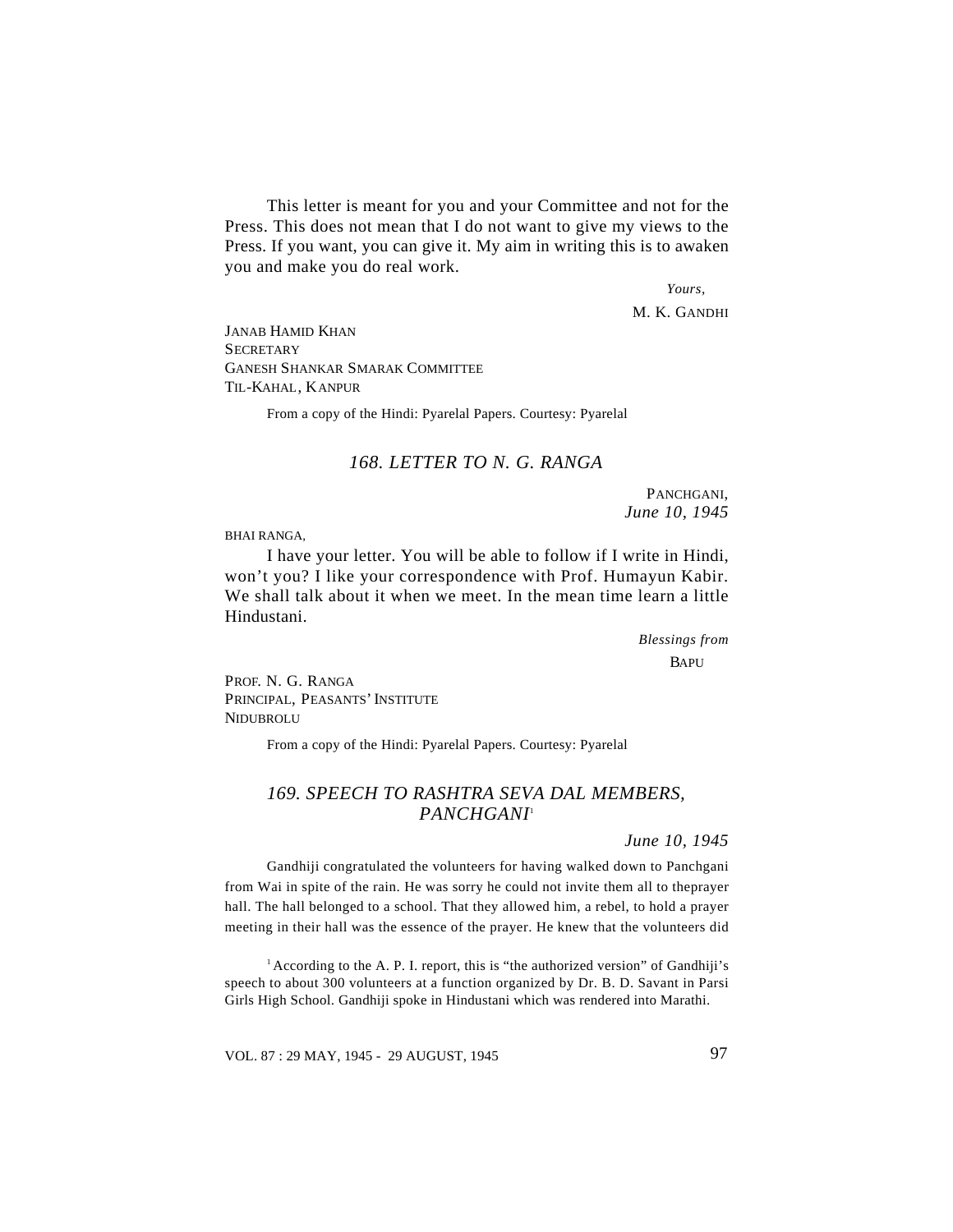This letter is meant for you and your Committee and not for the Press. This does not mean that I do not want to give my views to the Press. If you want, you can give it. My aim in writing this is to awaken you and make you do real work.

> *Yours,* M. K. GANDHI

JANAB HAMID KHAN **SECRETARY** GANESH SHANKAR SMARAK COMMITTEE TIL-KAHAL, KANPUR

From a copy of the Hindi: Pyarelal Papers. Courtesy: Pyarelal

# *168. LETTER TO N. G. RANGA*

PANCHGANI. *June 10, 1945*

BHAI RANGA,

I have your letter. You will be able to follow if I write in Hindi, won't you? I like your correspondence with Prof. Humayun Kabir. We shall talk about it when we meet. In the mean time learn a little Hindustani.

> *Blessings from* **BAPU**

PROF. N. G. RANGA PRINCIPAL, PEASANTS' INSTITUTE **NIDUBROLU** 

From a copy of the Hindi: Pyarelal Papers. Courtesy: Pyarelal

# *169. SPEECH TO RASHTRA SEVA DAL MEMBERS, PANCHGANI*<sup>1</sup>

*June 10, 1945*

Gandhiji congratulated the volunteers for having walked down to Panchgani from Wai in spite of the rain. He was sorry he could not invite them all to theprayer hall. The hall belonged to a school. That they allowed him, a rebel, to hold a prayer meeting in their hall was the essence of the prayer. He knew that the volunteers did

 $<sup>1</sup>$  According to the A. P. I. report, this is "the authorized version" of Gandhiji's</sup> speech to about 300 volunteers at a function organized by Dr. B. D. Savant in Parsi Girls High School. Gandhiji spoke in Hindustani which was rendered into Marathi.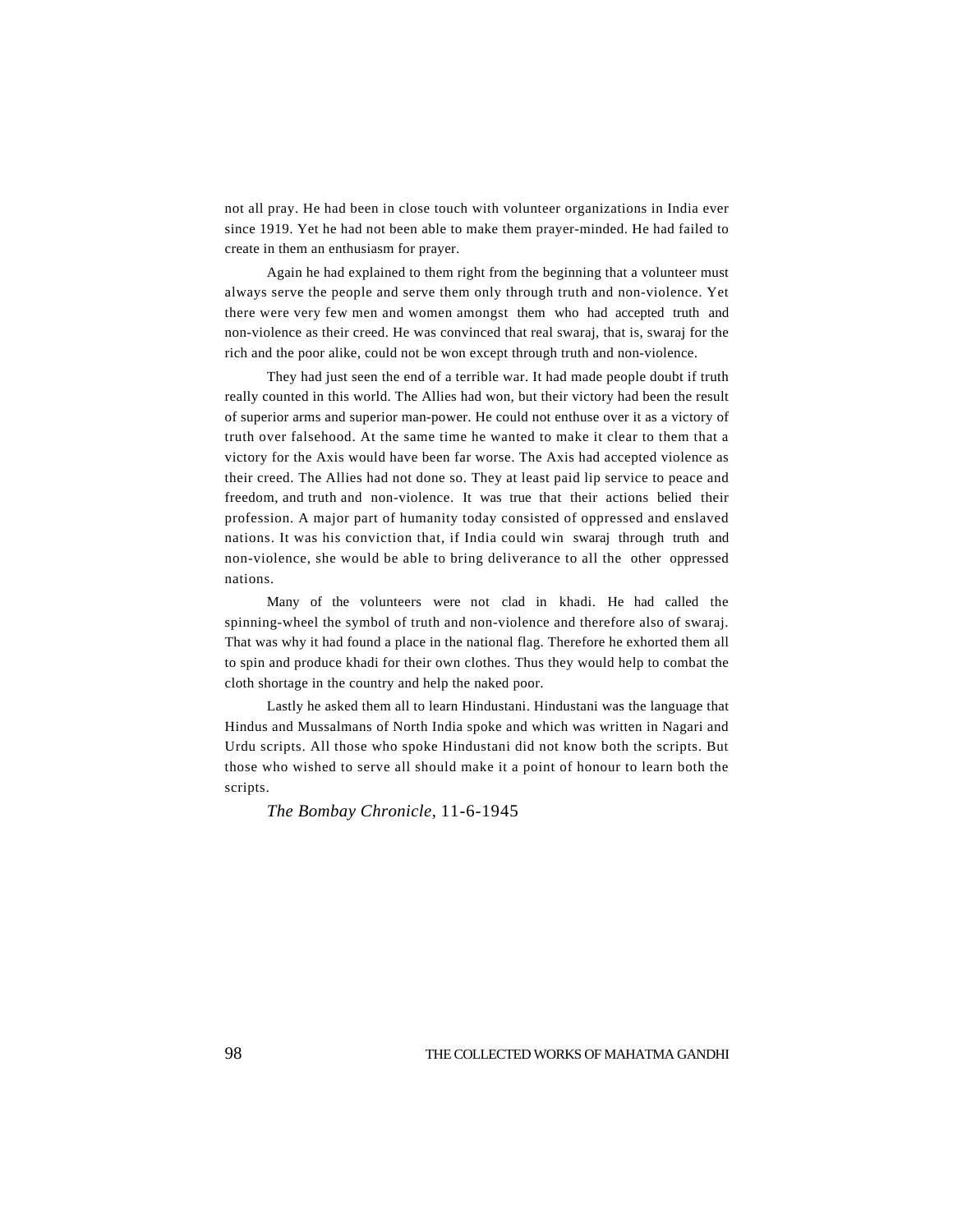not all pray. He had been in close touch with volunteer organizations in India ever since 1919. Yet he had not been able to make them prayer-minded. He had failed to create in them an enthusiasm for prayer.

Again he had explained to them right from the beginning that a volunteer must always serve the people and serve them only through truth and non-violence. Yet there were very few men and women amongst them who had accepted truth and non-violence as their creed. He was convinced that real swaraj, that is, swaraj for the rich and the poor alike, could not be won except through truth and non-violence.

They had just seen the end of a terrible war. It had made people doubt if truth really counted in this world. The Allies had won, but their victory had been the result of superior arms and superior man-power. He could not enthuse over it as a victory of truth over falsehood. At the same time he wanted to make it clear to them that a victory for the Axis would have been far worse. The Axis had accepted violence as their creed. The Allies had not done so. They at least paid lip service to peace and freedom, and truth and non-violence. It was true that their actions belied their profession. A major part of humanity today consisted of oppressed and enslaved nations. It was his conviction that, if India could win swaraj through truth and non-violence, she would be able to bring deliverance to all the other oppressed nations.

Many of the volunteers were not clad in khadi. He had called the spinning-wheel the symbol of truth and non-violence and therefore also of swaraj. That was why it had found a place in the national flag. Therefore he exhorted them all to spin and produce khadi for their own clothes. Thus they would help to combat the cloth shortage in the country and help the naked poor.

Lastly he asked them all to learn Hindustani. Hindustani was the language that Hindus and Mussalmans of North India spoke and which was written in Nagari and Urdu scripts. All those who spoke Hindustani did not know both the scripts. But those who wished to serve all should make it a point of honour to learn both the scripts.

*The Bombay Chronicle,* 11-6-1945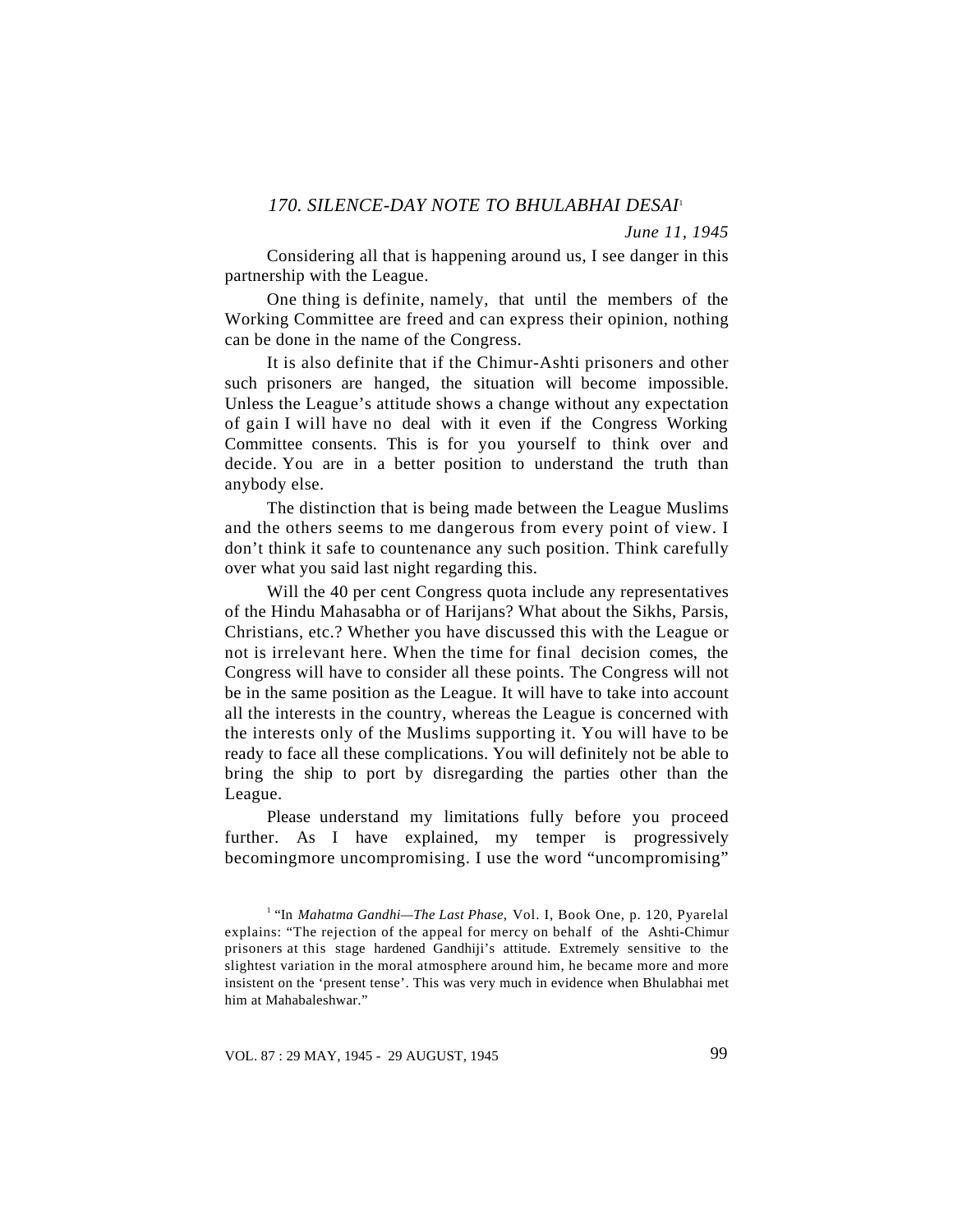# *170. SILENCE-DAY NOTE TO BHULABHAI DESAI*<sup>1</sup>

*June 11, 1945*

Considering all that is happening around us, I see danger in this partnership with the League.

One thing is definite, namely, that until the members of the Working Committee are freed and can express their opinion, nothing can be done in the name of the Congress.

It is also definite that if the Chimur-Ashti prisoners and other such prisoners are hanged, the situation will become impossible. Unless the League's attitude shows a change without any expectation of gain I will have no deal with it even if the Congress Working Committee consents. This is for you yourself to think over and decide. You are in a better position to understand the truth than anybody else.

The distinction that is being made between the League Muslims and the others seems to me dangerous from every point of view. I don't think it safe to countenance any such position. Think carefully over what you said last night regarding this.

Will the 40 per cent Congress quota include any representatives of the Hindu Mahasabha or of Harijans? What about the Sikhs, Parsis, Christians, etc.? Whether you have discussed this with the League or not is irrelevant here. When the time for final decision comes, the Congress will have to consider all these points. The Congress will not be in the same position as the League. It will have to take into account all the interests in the country, whereas the League is concerned with the interests only of the Muslims supporting it. You will have to be ready to face all these complications. You will definitely not be able to bring the ship to port by disregarding the parties other than the League.

Please understand my limitations fully before you proceed further. As I have explained, my temper is progressively becomingmore uncompromising. I use the word "uncompromising"

<sup>1</sup> "In *Mahatma Gandhi—The Last Phase*, Vol. I, Book One, p. 120, Pyarelal explains: "The rejection of the appeal for mercy on behalf of the Ashti-Chimur prisoners at this stage hardened Gandhiji's attitude. Extremely sensitive to the slightest variation in the moral atmosphere around him, he became more and more insistent on the 'present tense'. This was very much in evidence when Bhulabhai met him at Mahabaleshwar."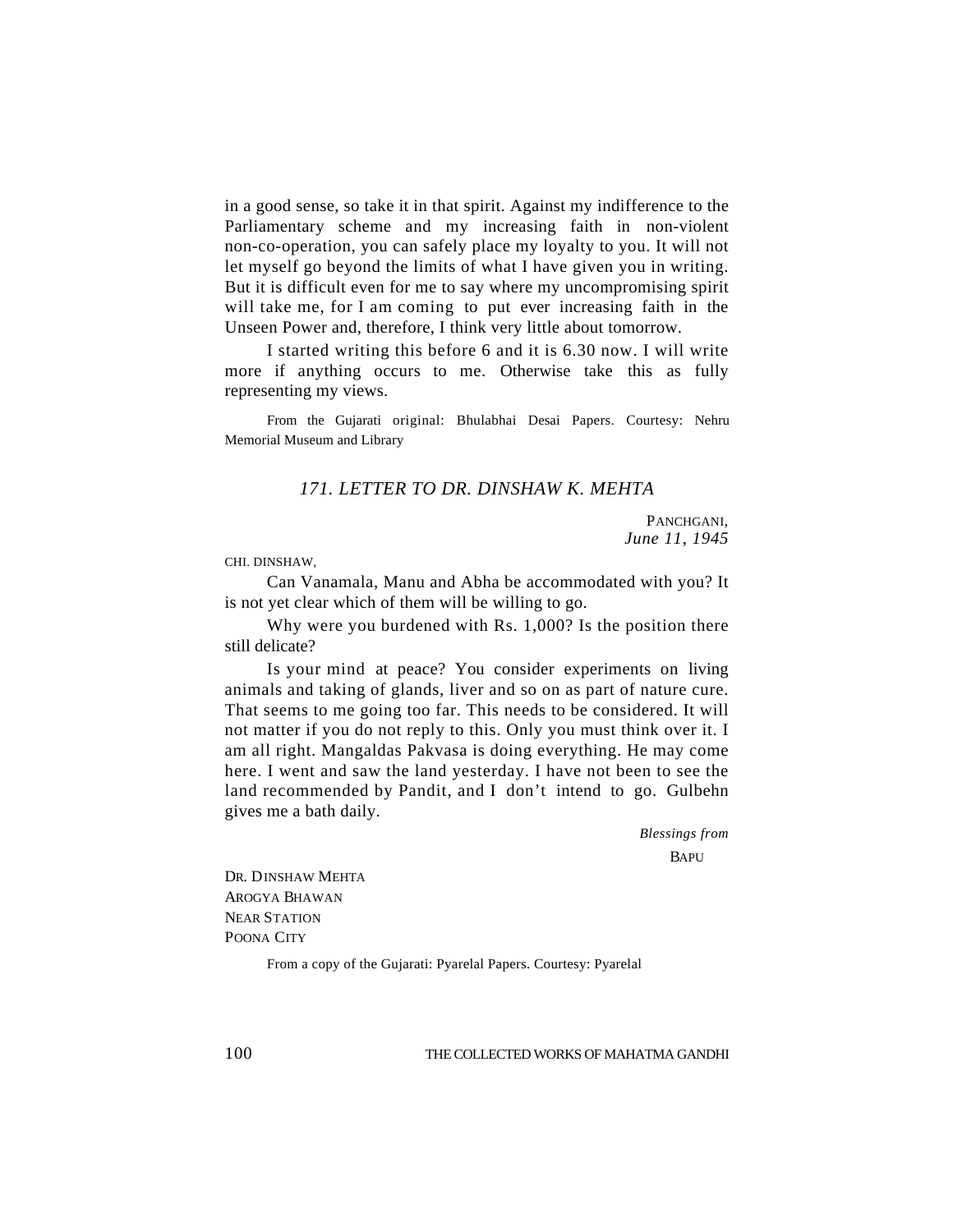in a good sense, so take it in that spirit. Against my indifference to the Parliamentary scheme and my increasing faith in non-violent non-co-operation, you can safely place my loyalty to you. It will not let myself go beyond the limits of what I have given you in writing. But it is difficult even for me to say where my uncompromising spirit will take me, for I am coming to put ever increasing faith in the Unseen Power and, therefore, I think very little about tomorrow.

I started writing this before 6 and it is 6.30 now. I will write more if anything occurs to me. Otherwise take this as fully representing my views.

From the Gujarati original: Bhulabhai Desai Papers. Courtesy: Nehru Memorial Museum and Library

# *171. LETTER TO DR. DINSHAW K. MEHTA*

PANCHGANI, *June 11, 1945*

CHI. DINSHAW,

Can Vanamala, Manu and Abha be accommodated with you? It is not yet clear which of them will be willing to go.

Why were you burdened with Rs. 1,000? Is the position there still delicate?

Is your mind at peace? You consider experiments on living animals and taking of glands, liver and so on as part of nature cure. That seems to me going too far. This needs to be considered. It will not matter if you do not reply to this. Only you must think over it. I am all right. Mangaldas Pakvasa is doing everything. He may come here. I went and saw the land yesterday. I have not been to see the land recommended by Pandit, and I don't intend to go. Gulbehn gives me a bath daily.

> *Blessings from* **BAPU**

DR. DINSHAW MEHTA AROGYA BHAWAN NEAR STATION POONA CITY

From a copy of the Gujarati: Pyarelal Papers. Courtesy: Pyarelal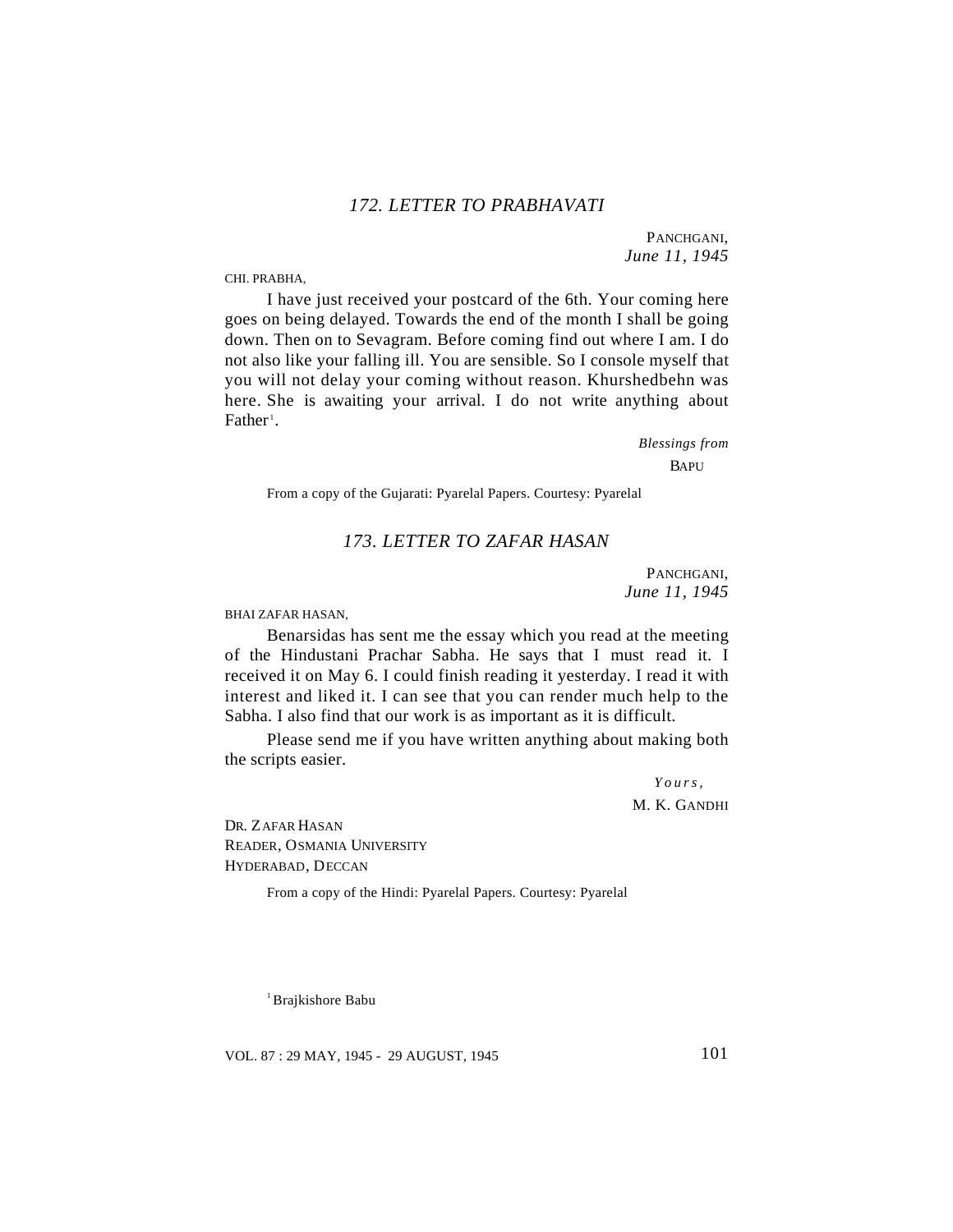# *172. LETTER TO PRABHAVATI*

PANCHGANI. *June 11, 1945*

CHI. PRABHA,

I have just received your postcard of the 6th. Your coming here goes on being delayed. Towards the end of the month I shall be going down. Then on to Sevagram. Before coming find out where I am. I do not also like your falling ill. You are sensible. So I console myself that you will not delay your coming without reason. Khurshedbehn was here. She is awaiting your arrival. I do not write anything about  $Father<sup>1</sup>$ .

> *Blessings from* **BAPU**

From a copy of the Gujarati: Pyarelal Papers. Courtesy: Pyarelal

# *173. LETTER TO ZAFAR HASAN*

PANCHGANI. *June 11, 1945*

BHAI ZAFAR HASAN,

Benarsidas has sent me the essay which you read at the meeting of the Hindustani Prachar Sabha. He says that I must read it. I received it on May 6. I could finish reading it yesterday. I read it with interest and liked it. I can see that you can render much help to the Sabha. I also find that our work is as important as it is difficult.

Please send me if you have written anything about making both the scripts easier.

> *Yours,*  M. K. GANDHI

DR. ZAFAR HASAN READER, OSMANIA UNIVERSITY HYDERABAD, DECCAN

From a copy of the Hindi: Pyarelal Papers. Courtesy: Pyarelal

1 Brajkishore Babu

VOL. 87 : 29 MAY, 1945 - 29 AUGUST, 1945 101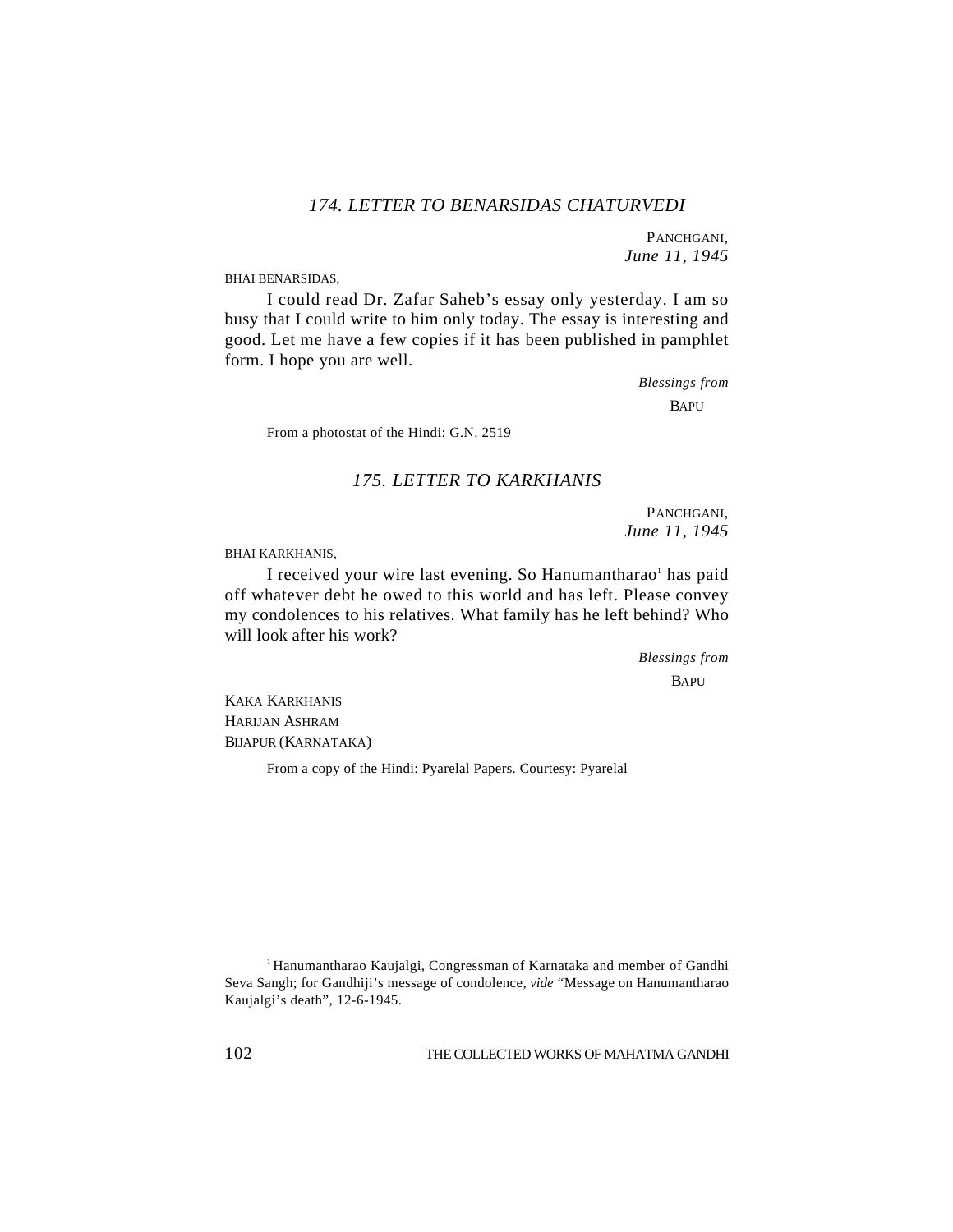# *174. LETTER TO BENARSIDAS CHATURVEDI*

PANCHGANI, *June 11, 1945*

BHAI BENARSIDAS,

I could read Dr. Zafar Saheb's essay only yesterday. I am so busy that I could write to him only today. The essay is interesting and good. Let me have a few copies if it has been published in pamphlet form. I hope you are well.

> *Blessings from* **BAPU**

From a photostat of the Hindi: G.N. 2519

# *175. LETTER TO KARKHANIS*

PANCHGANI, *June 11, 1945*

BHAI KARKHANIS,

I received your wire last evening. So Hanumantharao<sup>1</sup> has paid off whatever debt he owed to this world and has left. Please convey my condolences to his relatives. What family has he left behind? Who will look after his work?

> *Blessings from* **BAPU**

KAKA KARKHANIS HARIJAN ASHRAM BIJAPUR (KARNATAKA)

From a copy of the Hindi: Pyarelal Papers. Courtesy: Pyarelal

<sup>1</sup> Hanumantharao Kaujalgi, Congressman of Karnataka and member of Gandhi Seva Sangh; for Gandhiji's message of condolence, *vide* "Message on Hanumantharao Kaujalgi's death", 12-6-1945.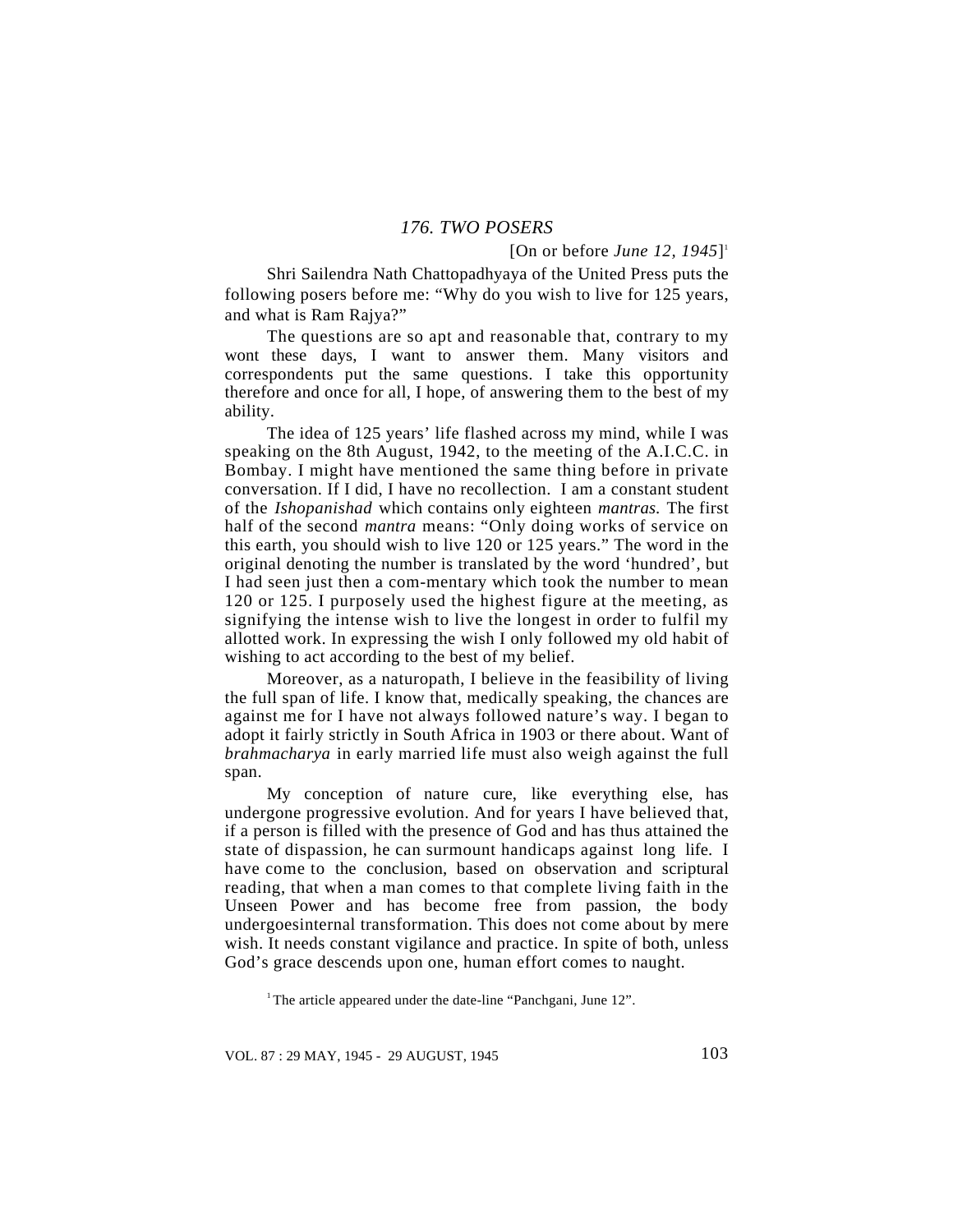# *176. TWO POSERS*

[On or before *June 12, 1945*] 1

Shri Sailendra Nath Chattopadhyaya of the United Press puts the following posers before me: "Why do you wish to live for 125 years, and what is Ram Rajya?"

The questions are so apt and reasonable that, contrary to my wont these days, I want to answer them. Many visitors and correspondents put the same questions. I take this opportunity therefore and once for all, I hope, of answering them to the best of my ability.

The idea of 125 years' life flashed across my mind, while I was speaking on the 8th August, 1942, to the meeting of the A.I.C.C. in Bombay. I might have mentioned the same thing before in private conversation. If I did, I have no recollection. I am a constant student of the *Ishopanishad* which contains only eighteen *mantras.* The first half of the second *mantra* means: "Only doing works of service on this earth, you should wish to live 120 or 125 years." The word in the original denoting the number is translated by the word 'hundred', but I had seen just then a com-mentary which took the number to mean 120 or 125. I purposely used the highest figure at the meeting, as signifying the intense wish to live the longest in order to fulfil my allotted work. In expressing the wish I only followed my old habit of wishing to act according to the best of my belief.

Moreover, as a naturopath, I believe in the feasibility of living the full span of life. I know that, medically speaking, the chances are against me for I have not always followed nature's way. I began to adopt it fairly strictly in South Africa in 1903 or there about. Want of *brahmacharya* in early married life must also weigh against the full span.

My conception of nature cure, like everything else, has undergone progressive evolution. And for years I have believed that, if a person is filled with the presence of God and has thus attained the state of dispassion, he can surmount handicaps against long life. I have come to the conclusion, based on observation and scriptural reading, that when a man comes to that complete living faith in the Unseen Power and has become free from passion, the body undergoesinternal transformation. This does not come about by mere wish. It needs constant vigilance and practice. In spite of both, unless God's grace descends upon one, human effort comes to naught.

<sup>&</sup>lt;sup>1</sup> The article appeared under the date-line "Panchgani, June  $12$ ".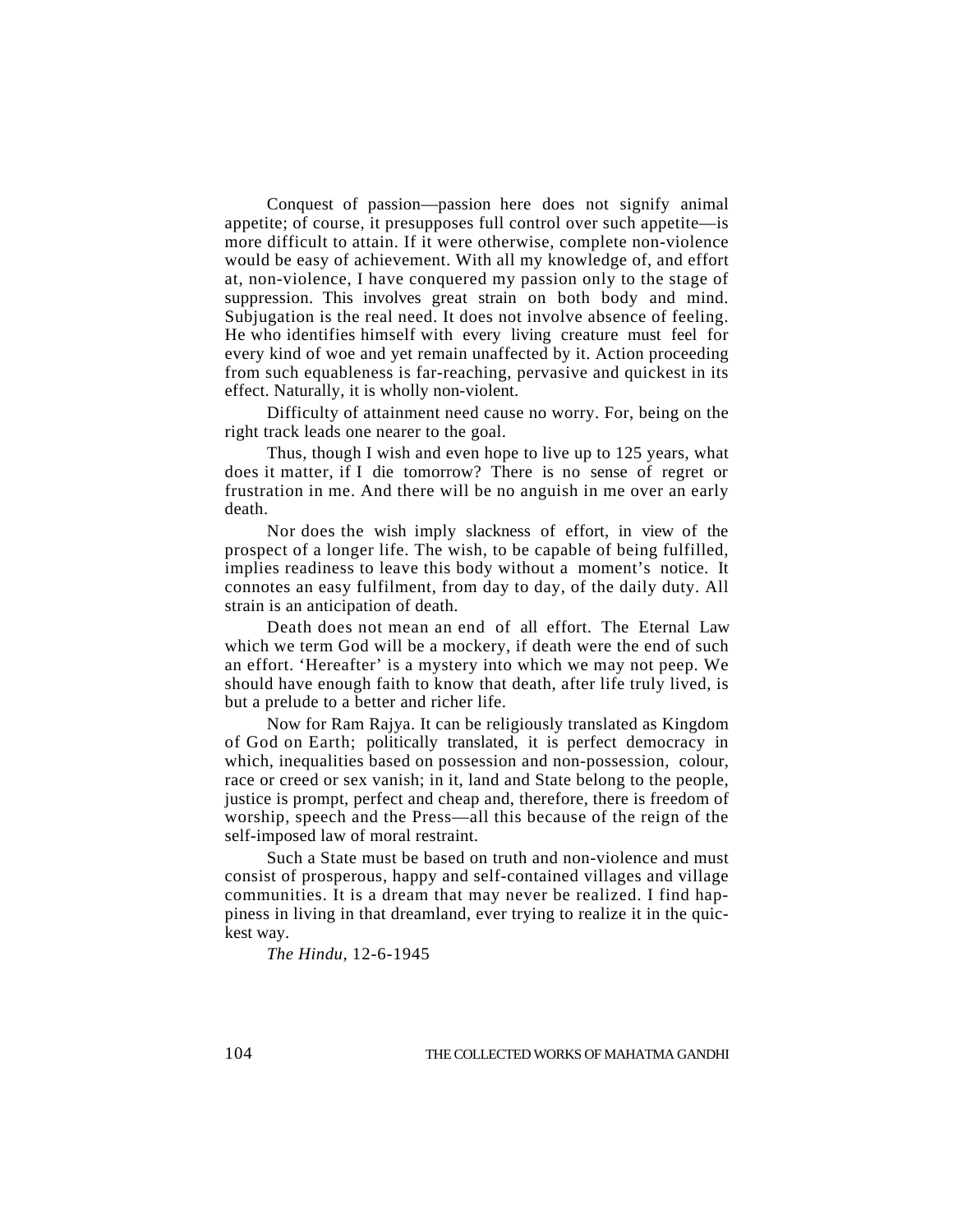Conquest of passion—passion here does not signify animal appetite; of course, it presupposes full control over such appetite—is more difficult to attain. If it were otherwise, complete non-violence would be easy of achievement. With all my knowledge of, and effort at, non-violence, I have conquered my passion only to the stage of suppression. This involves great strain on both body and mind. Subjugation is the real need. It does not involve absence of feeling. He who identifies himself with every living creature must feel for every kind of woe and yet remain unaffected by it. Action proceeding from such equableness is far-reaching, pervasive and quickest in its effect. Naturally, it is wholly non-violent.

Difficulty of attainment need cause no worry. For, being on the right track leads one nearer to the goal.

Thus, though I wish and even hope to live up to 125 years, what does it matter, if I die tomorrow? There is no sense of regret or frustration in me. And there will be no anguish in me over an early death.

Nor does the wish imply slackness of effort, in view of the prospect of a longer life. The wish, to be capable of being fulfilled, implies readiness to leave this body without a moment's notice. It connotes an easy fulfilment, from day to day, of the daily duty. All strain is an anticipation of death.

Death does not mean an end of all effort. The Eternal Law which we term God will be a mockery, if death were the end of such an effort. 'Hereafter' is a mystery into which we may not peep. We should have enough faith to know that death, after life truly lived, is but a prelude to a better and richer life.

Now for Ram Rajya. It can be religiously translated as Kingdom of God on Earth; politically translated, it is perfect democracy in which, inequalities based on possession and non-possession, colour, race or creed or sex vanish; in it, land and State belong to the people, justice is prompt, perfect and cheap and, therefore, there is freedom of worship, speech and the Press—all this because of the reign of the self-imposed law of moral restraint.

Such a State must be based on truth and non-violence and must consist of prosperous, happy and self-contained villages and village communities. It is a dream that may never be realized. I find happiness in living in that dreamland, ever trying to realize it in the quickest way.

*The Hindu,* 12-6-1945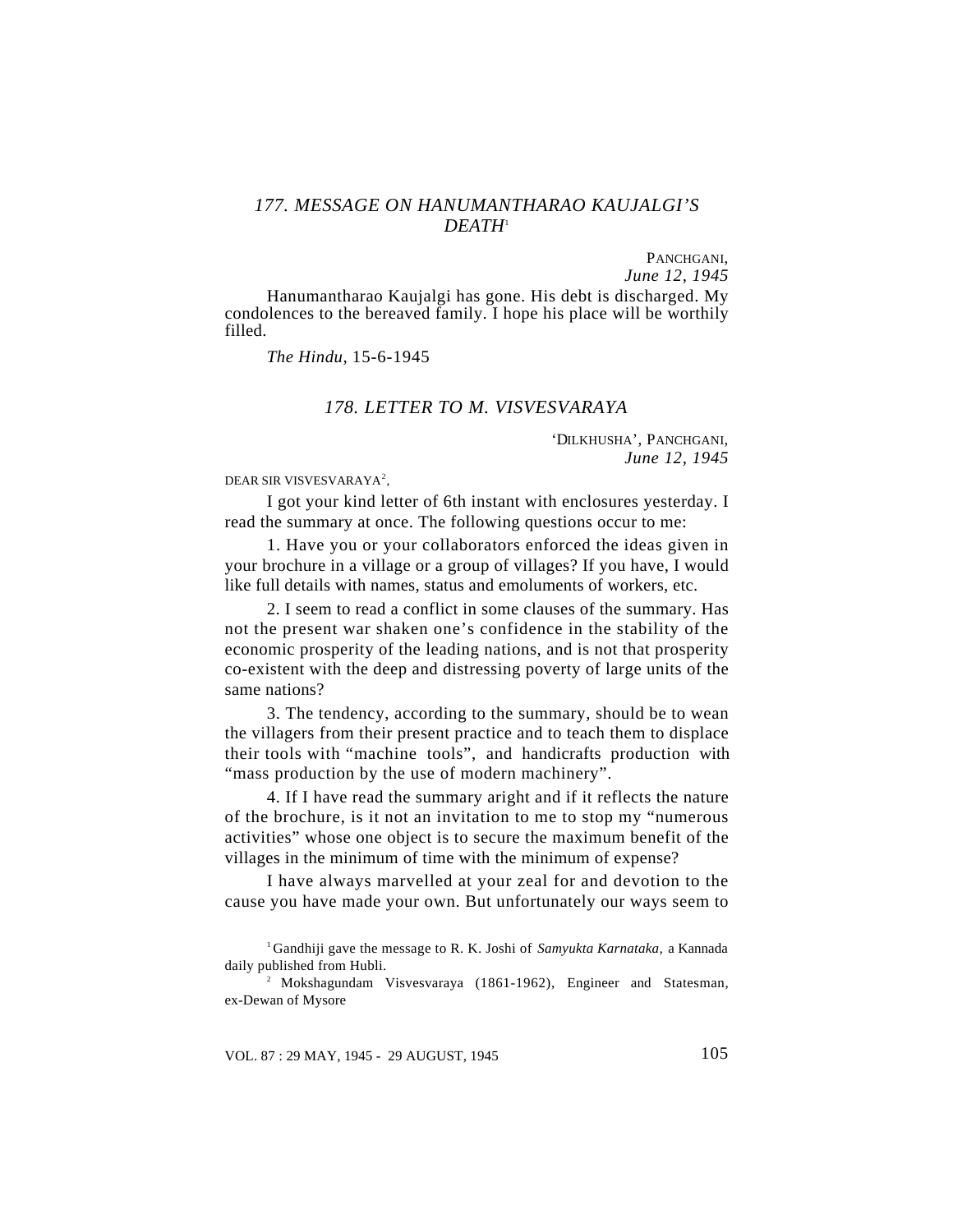# *177. MESSAGE ON HANUMANTHARAO KAUJALGI'S DEATH*<sup>1</sup>

PANCHGANI, *June 12, 1945*

Hanumantharao Kaujalgi has gone. His debt is discharged. My condolences to the bereaved family. I hope his place will be worthily filled.

*The Hindu,* 15-6-1945

# *178. LETTER TO M. VISVESVARAYA*

'DILKHUSHA', PANCHGANI, *June 12, 1945*

DEAR SIR VISVESVARAYA $2$ ,

I got your kind letter of 6th instant with enclosures yesterday. I read the summary at once. The following questions occur to me:

1. Have you or your collaborators enforced the ideas given in your brochure in a village or a group of villages? If you have, I would like full details with names, status and emoluments of workers, etc.

2. I seem to read a conflict in some clauses of the summary. Has not the present war shaken one's confidence in the stability of the economic prosperity of the leading nations, and is not that prosperity co-existent with the deep and distressing poverty of large units of the same nations?

3. The tendency, according to the summary, should be to wean the villagers from their present practice and to teach them to displace their tools with "machine tools", and handicrafts production with "mass production by the use of modern machinery".

4. If I have read the summary aright and if it reflects the nature of the brochure, is it not an invitation to me to stop my "numerous activities" whose one object is to secure the maximum benefit of the villages in the minimum of time with the minimum of expense?

I have always marvelled at your zeal for and devotion to the cause you have made your own. But unfortunately our ways seem to

<sup>1</sup>Gandhiji gave the message to R. K. Joshi of *Samyukta Karnataka,* a Kannada daily published from Hubli.

<sup>&</sup>lt;sup>2</sup> Mokshagundam Visvesvaraya (1861-1962), Engineer and Statesman, ex-Dewan of Mysore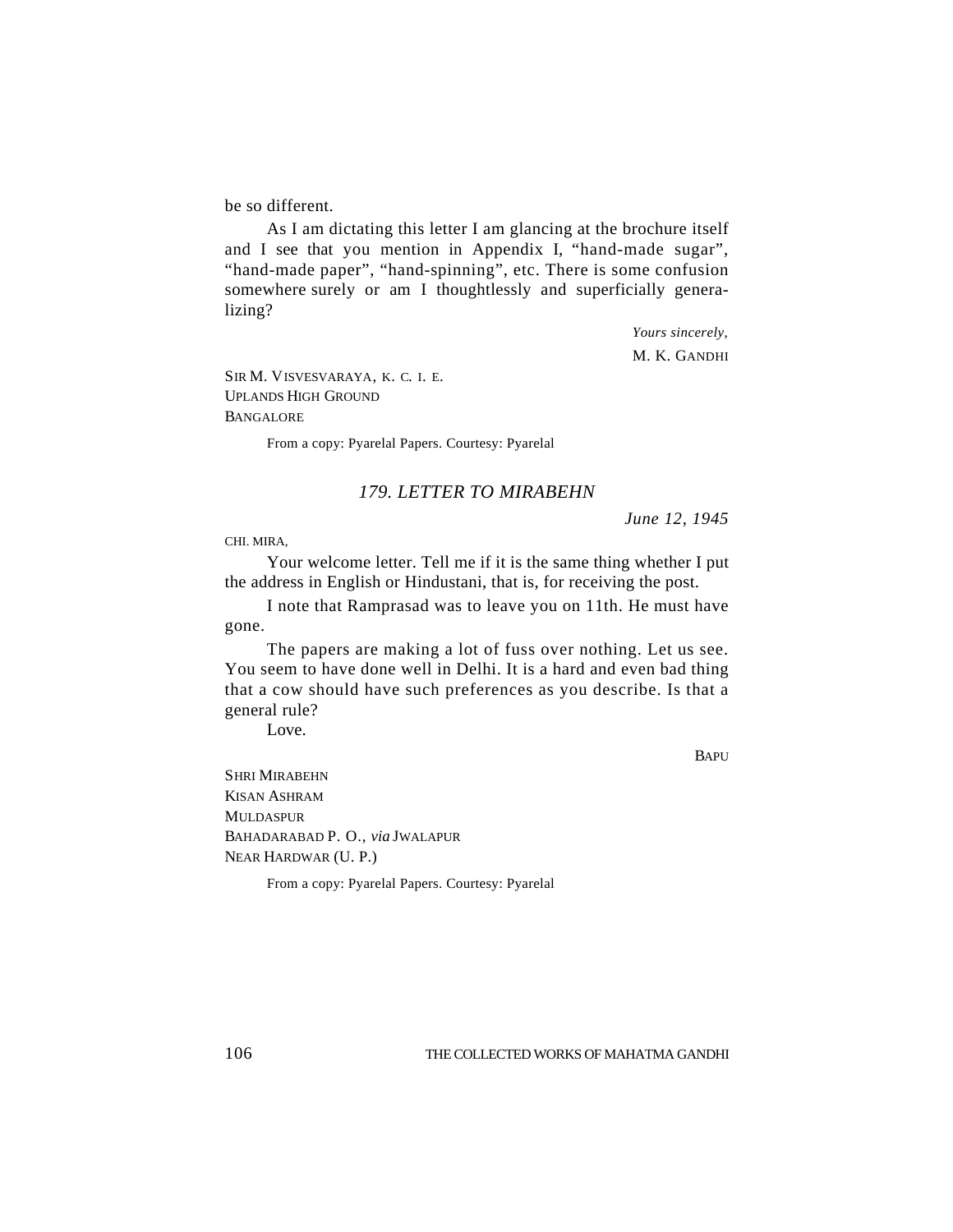be so different.

As I am dictating this letter I am glancing at the brochure itself and I see that you mention in Appendix I, "hand-made sugar", "hand-made paper", "hand-spinning", etc. There is some confusion somewhere surely or am I thoughtlessly and superficially generalizing?

> *Yours sincerely*, M. K. GANDHI

SIR M. VISVESVARAYA, K. C. I. E. UPLANDS HIGH GROUND BANGALORE

From a copy: Pyarelal Papers. Courtesy: Pyarelal

# *179. LETTER TO MIRABEHN*

*June 12, 1945*

CHI. MIRA,

Your welcome letter. Tell me if it is the same thing whether I put the address in English or Hindustani, that is, for receiving the post.

I note that Ramprasad was to leave you on 11th. He must have gone.

The papers are making a lot of fuss over nothing. Let us see. You seem to have done well in Delhi. It is a hard and even bad thing that a cow should have such preferences as you describe. Is that a general rule?

Love.

**BAPU** 

SHRI MIRABEHN KISAN ASHRAM MULDASPUR BAHADARABAD P. O., *via* JWALAPUR NEAR HARDWAR (U. P.)

From a copy: Pyarelal Papers. Courtesy: Pyarelal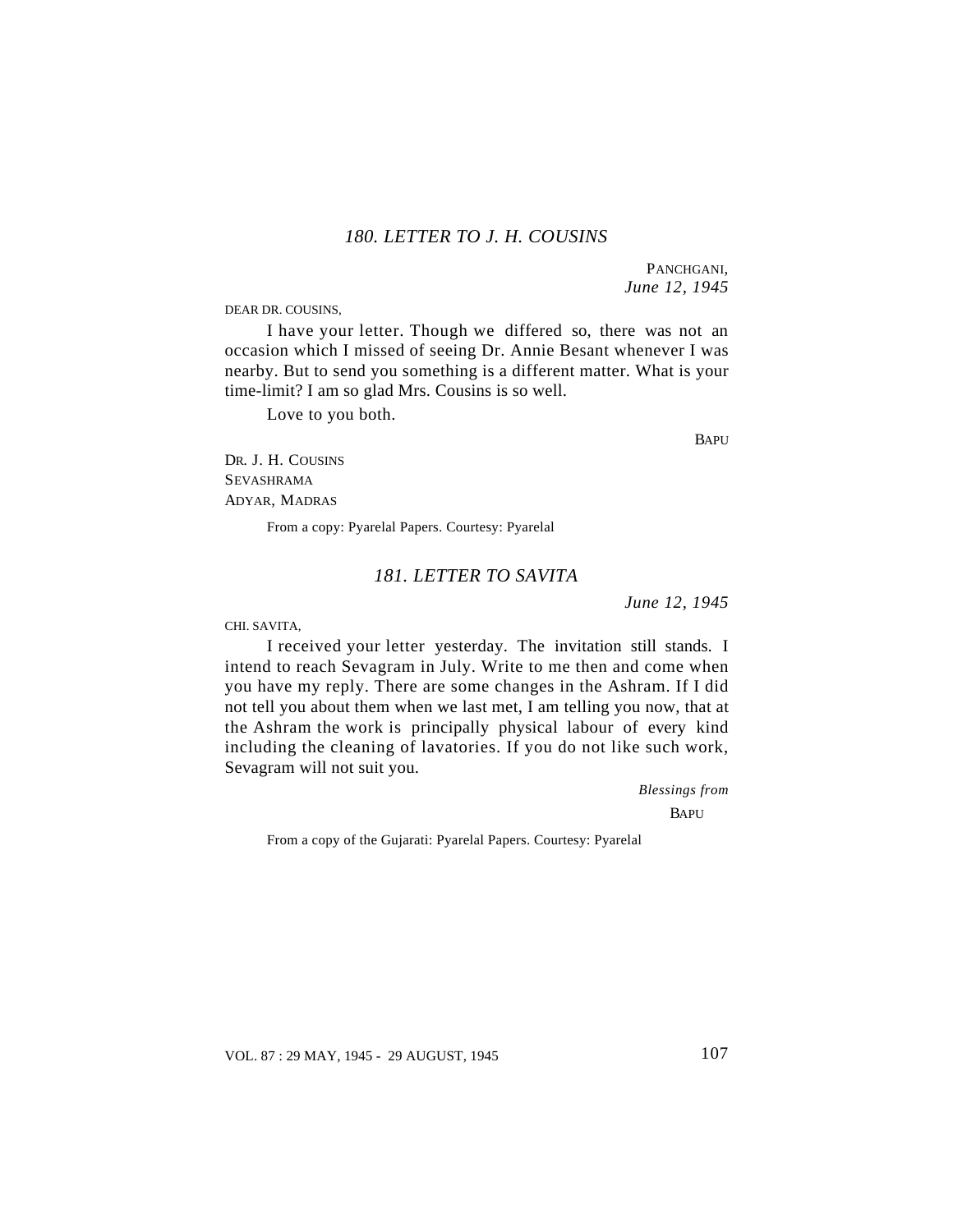*180. LETTER TO J. H. COUSINS*

PANCHGANI, *June 12, 1945*

DEAR DR. COUSINS,

I have your letter. Though we differed so, there was not an occasion which I missed of seeing Dr. Annie Besant whenever I was nearby. But to send you something is a different matter. What is your time-limit? I am so glad Mrs. Cousins is so well.

Love to you both.

DR. J. H. COUSINS SEVASHRAMA ADYAR, MADRAS

From a copy: Pyarelal Papers. Courtesy: Pyarelal

# *181. LETTER TO SAVITA*

*June 12, 1945*

CHI. SAVITA,

I received your letter yesterday. The invitation still stands. I intend to reach Sevagram in July. Write to me then and come when you have my reply. There are some changes in the Ashram. If I did not tell you about them when we last met, I am telling you now, that at the Ashram the work is principally physical labour of every kind including the cleaning of lavatories. If you do not like such work, Sevagram will not suit you.

> *Blessings from* **BAPU**

From a copy of the Gujarati: Pyarelal Papers. Courtesy: Pyarelal

**BAPU**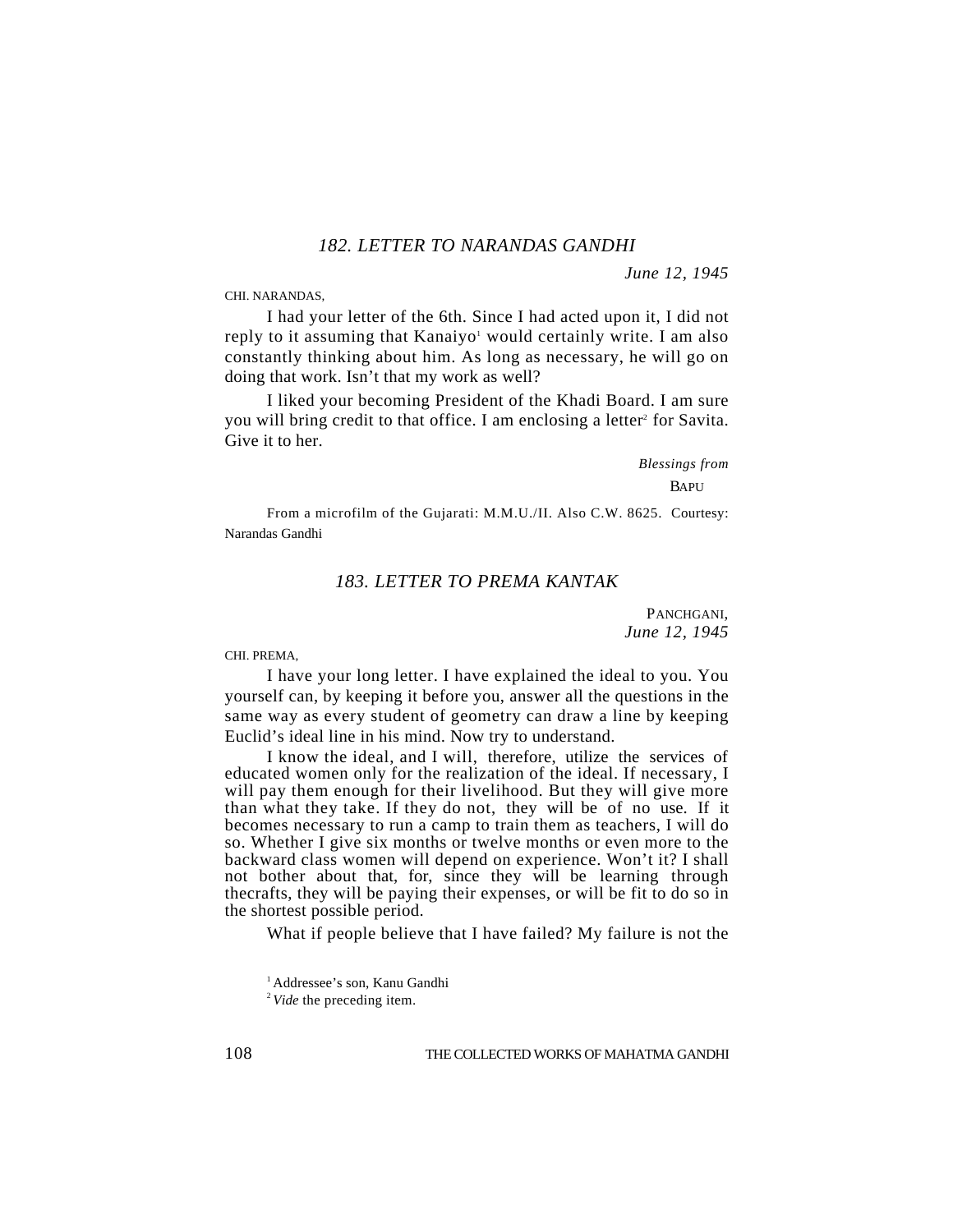*June 12, 1945*

CHI. NARANDAS,

I had your letter of the 6th. Since I had acted upon it, I did not reply to it assuming that Kanaiyo<sup>1</sup> would certainly write. I am also constantly thinking about him. As long as necessary, he will go on doing that work. Isn't that my work as well?

I liked your becoming President of the Khadi Board. I am sure you will bring credit to that office. I am enclosing a letter<sup>2</sup> for Savita. Give it to her.

*Blessings from*

**BAPU** 

From a microfilm of the Gujarati: M.M.U./II. Also C.W. 8625. Courtesy: Narandas Gandhi

# *183. LETTER TO PREMA KANTAK*

PANCHGANI, *June 12, 1945*

CHI. PREMA,

I have your long letter. I have explained the ideal to you. You yourself can, by keeping it before you, answer all the questions in the same way as every student of geometry can draw a line by keeping Euclid's ideal line in his mind. Now try to understand.

I know the ideal, and I will, therefore, utilize the services of educated women only for the realization of the ideal. If necessary, I will pay them enough for their livelihood. But they will give more than what they take. If they do not, they will be of no use. If it becomes necessary to run a camp to train them as teachers, I will do so. Whether I give six months or twelve months or even more to the backward class women will depend on experience. Won't it? I shall not bother about that, for, since they will be learning through thecrafts, they will be paying their expenses, or will be fit to do so in the shortest possible period.

What if people believe that I have failed? My failure is not the

<sup>&</sup>lt;sup>1</sup> Addressee's son, Kanu Gandhi

<sup>2</sup>*Vide* the preceding item.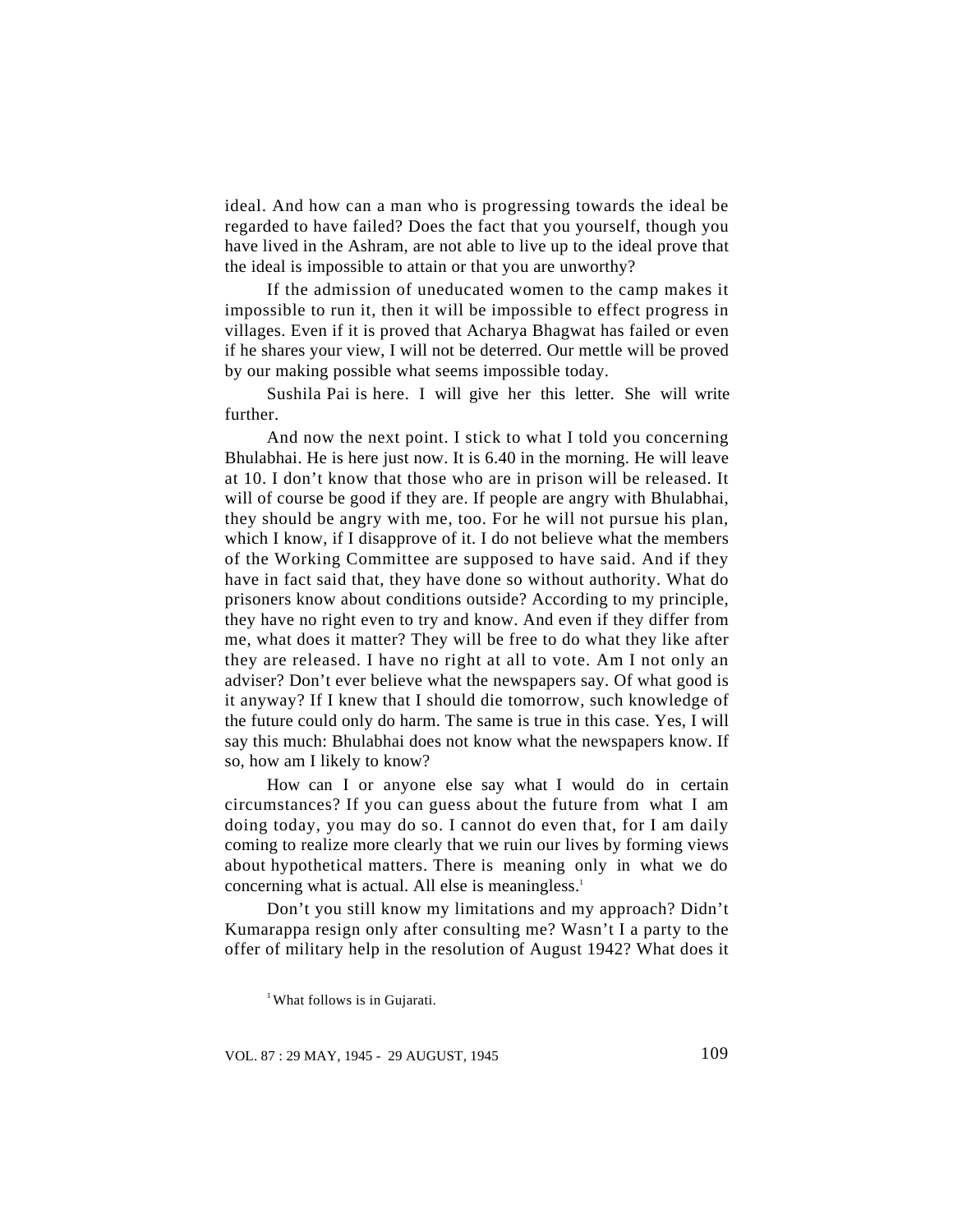ideal. And how can a man who is progressing towards the ideal be regarded to have failed? Does the fact that you yourself, though you have lived in the Ashram, are not able to live up to the ideal prove that the ideal is impossible to attain or that you are unworthy?

If the admission of uneducated women to the camp makes it impossible to run it, then it will be impossible to effect progress in villages. Even if it is proved that Acharya Bhagwat has failed or even if he shares your view, I will not be deterred. Our mettle will be proved by our making possible what seems impossible today.

Sushila Pai is here. I will give her this letter. She will write further.

And now the next point. I stick to what I told you concerning Bhulabhai. He is here just now. It is 6.40 in the morning. He will leave at 10. I don't know that those who are in prison will be released. It will of course be good if they are. If people are angry with Bhulabhai, they should be angry with me, too. For he will not pursue his plan, which I know, if I disapprove of it. I do not believe what the members of the Working Committee are supposed to have said. And if they have in fact said that, they have done so without authority. What do prisoners know about conditions outside? According to my principle, they have no right even to try and know. And even if they differ from me, what does it matter? They will be free to do what they like after they are released. I have no right at all to vote. Am I not only an adviser? Don't ever believe what the newspapers say. Of what good is it anyway? If I knew that I should die tomorrow, such knowledge of the future could only do harm. The same is true in this case. Yes, I will say this much: Bhulabhai does not know what the newspapers know. If so, how am I likely to know?

How can I or anyone else say what I would do in certain circumstances? If you can guess about the future from what I am doing today, you may do so. I cannot do even that, for I am daily coming to realize more clearly that we ruin our lives by forming views about hypothetical matters. There is meaning only in what we do concerning what is actual. All else is meaningless.<sup>1</sup>

Don't you still know my limitations and my approach? Didn't Kumarappa resign only after consulting me? Wasn't I a party to the offer of military help in the resolution of August 1942? What does it

<sup>&</sup>lt;sup>1</sup> What follows is in Gujarati.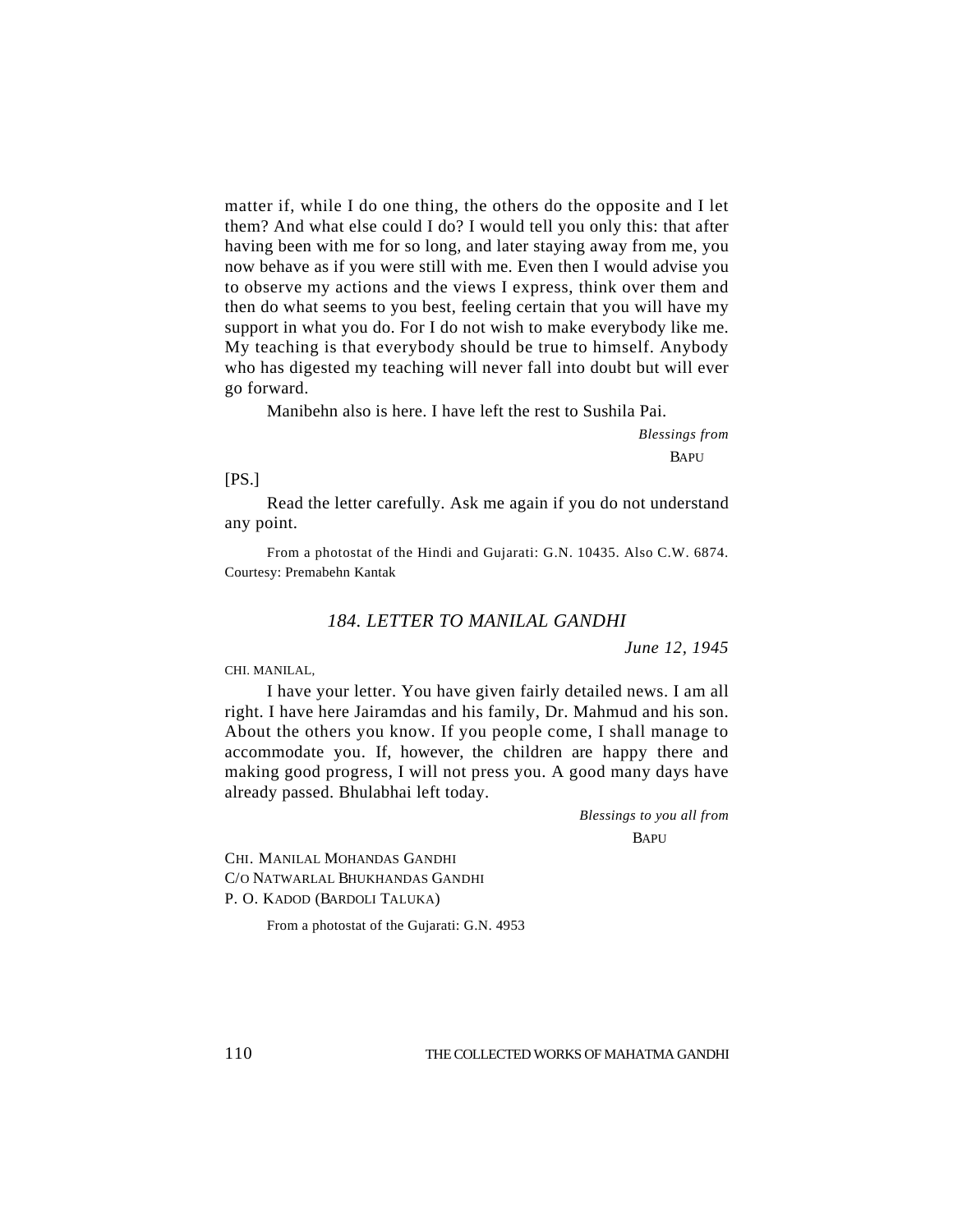matter if, while I do one thing, the others do the opposite and I let them? And what else could I do? I would tell you only this: that after having been with me for so long, and later staying away from me, you now behave as if you were still with me. Even then I would advise you to observe my actions and the views I express, think over them and then do what seems to you best, feeling certain that you will have my support in what you do. For I do not wish to make everybody like me. My teaching is that everybody should be true to himself. Anybody who has digested my teaching will never fall into doubt but will ever go forward.

Manibehn also is here. I have left the rest to Sushila Pai.

*Blessings from* BAPU

#### $[PS.]$

Read the letter carefully. Ask me again if you do not understand any point.

From a photostat of the Hindi and Gujarati: G.N. 10435. Also C.W. 6874. Courtesy: Premabehn Kantak

#### *184. LETTER TO MANILAL GANDHI*

*June 12, 1945*

CHI. MANILAL,

I have your letter. You have given fairly detailed news. I am all right. I have here Jairamdas and his family, Dr. Mahmud and his son. About the others you know. If you people come, I shall manage to accommodate you. If, however, the children are happy there and making good progress, I will not press you. A good many days have already passed. Bhulabhai left today.

> *Blessings to you all from* **BAPU**

CHI. MANILAL MOHANDAS GANDHI C/O NATWARLAL BHUKHANDAS GANDHI P. O. KADOD (BARDOLI TALUKA)

From a photostat of the Gujarati: G.N. 4953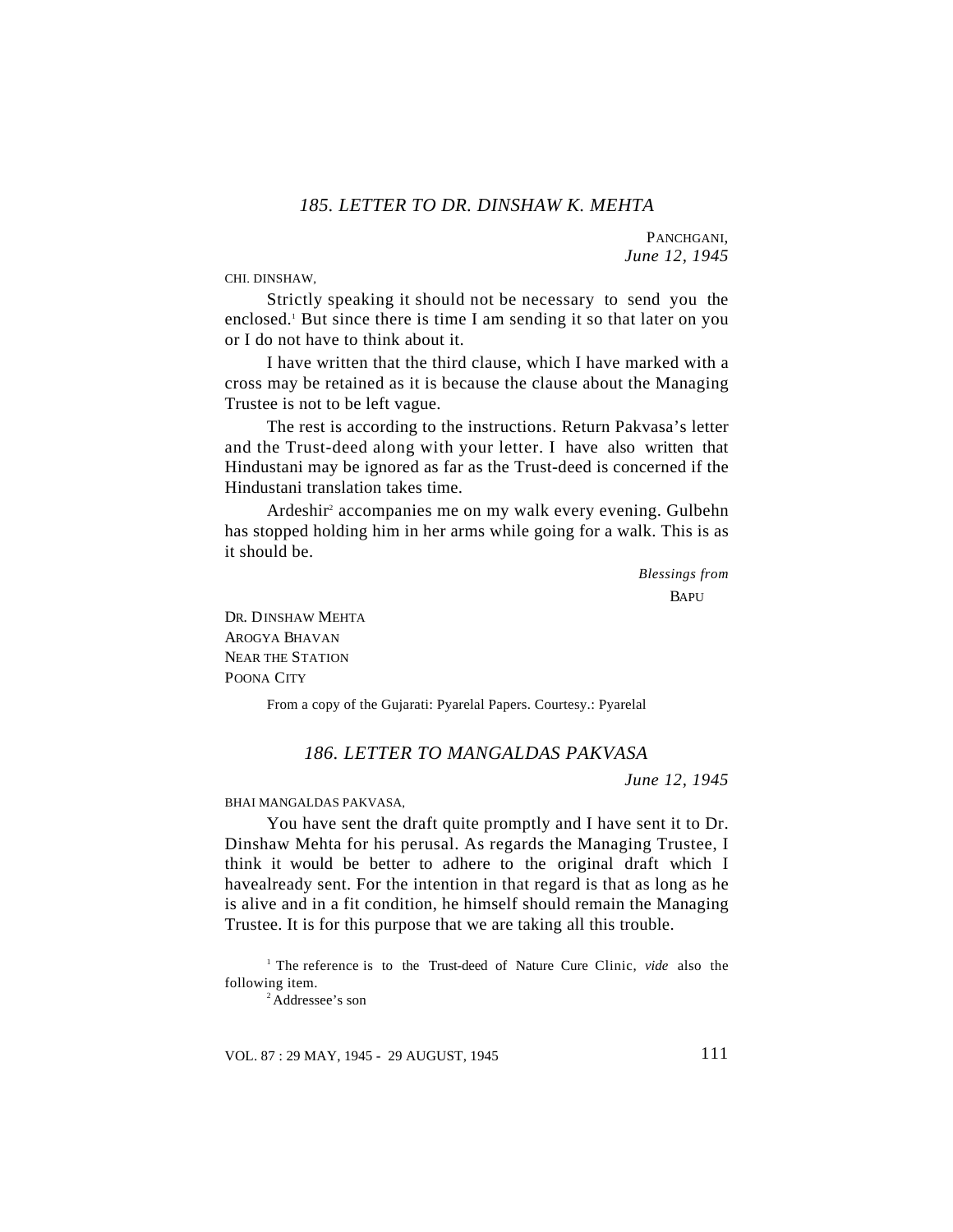#### *185. LETTER TO DR. DINSHAW K. MEHTA*

PANCHGANI, *June 12, 1945*

CHI. DINSHAW,

Strictly speaking it should not be necessary to send you the enclosed.<sup>1</sup> But since there is time I am sending it so that later on you or I do not have to think about it.

I have written that the third clause, which I have marked with a cross may be retained as it is because the clause about the Managing Trustee is not to be left vague.

The rest is according to the instructions. Return Pakvasa's letter and the Trust-deed along with your letter. I have also written that Hindustani may be ignored as far as the Trust-deed is concerned if the Hindustani translation takes time.

Ardeshir<sup>2</sup> accompanies me on my walk every evening. Gulbehn has stopped holding him in her arms while going for a walk. This is as it should be.

> *Blessings from* **BAPU**

DR. DINSHAW MEHTA AROGYA BHAVAN NEAR THE STATION POONA CITY

From a copy of the Gujarati: Pyarelal Papers. Courtesy.: Pyarelal

#### *186. LETTER TO MANGALDAS PAKVASA*

*June 12, 1945*

BHAI MANGALDAS PAKVASA,

You have sent the draft quite promptly and I have sent it to Dr. Dinshaw Mehta for his perusal. As regards the Managing Trustee, I think it would be better to adhere to the original draft which I havealready sent. For the intention in that regard is that as long as he is alive and in a fit condition, he himself should remain the Managing Trustee. It is for this purpose that we are taking all this trouble.

<sup>1</sup> The reference is to the Trust-deed of Nature Cure Clinic, *vide* also the following item.

2 Addressee's son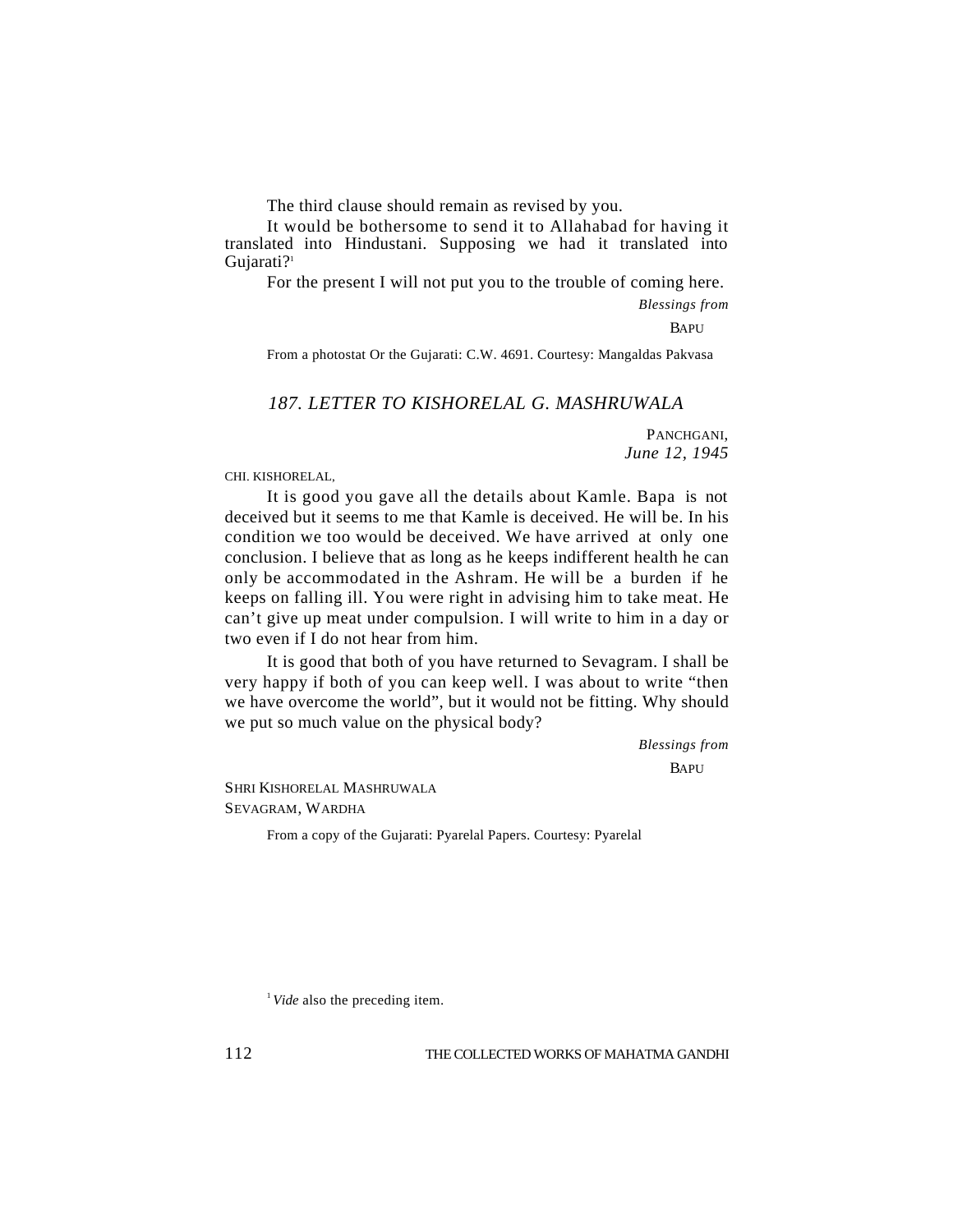The third clause should remain as revised by you.

It would be bothersome to send it to Allahabad for having it translated into Hindustani. Supposing we had it translated into Guiarati? $1$ 

For the present I will not put you to the trouble of coming here.

*Blessings from*

**BAPU** 

From a photostat Or the Gujarati: C.W. 4691. Courtesy: Mangaldas Pakvasa

#### *187. LETTER TO KISHORELAL G. MASHRUWALA*

PANCHGANI, *June 12, 1945*

#### CHI. KISHORELAL,

It is good you gave all the details about Kamle. Bapa is not deceived but it seems to me that Kamle is deceived. He will be. In his condition we too would be deceived. We have arrived at only one conclusion. I believe that as long as he keeps indifferent health he can only be accommodated in the Ashram. He will be a burden if he keeps on falling ill. You were right in advising him to take meat. He can't give up meat under compulsion. I will write to him in a day or two even if I do not hear from him.

It is good that both of you have returned to Sevagram. I shall be very happy if both of you can keep well. I was about to write "then we have overcome the world", but it would not be fitting. Why should we put so much value on the physical body?

> *Blessings from* **BAPU**

SHRI KISHORELAL MASHRUWALA SEVAGRAM, WARDHA

From a copy of the Gujarati: Pyarelal Papers. Courtesy: Pyarelal

<sup>&</sup>lt;sup>1</sup> Vide also the preceding item.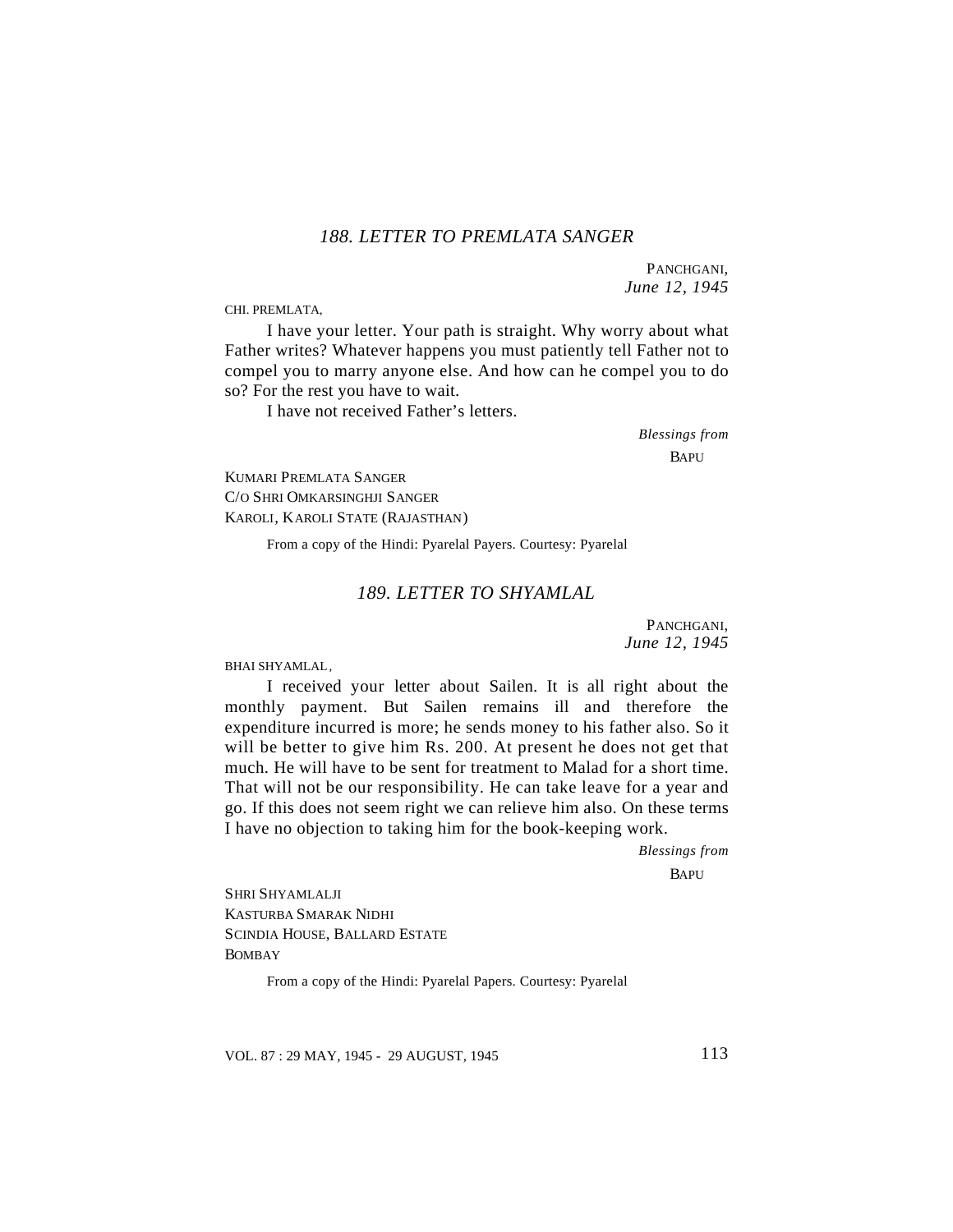#### *188. LETTER TO PREMLATA SANGER*

PANCHGANI, *June 12, 1945*

CHI. PREMLATA,

I have your letter. Your path is straight. Why worry about what Father writes? Whatever happens you must patiently tell Father not to compel you to marry anyone else. And how can he compel you to do so? For the rest you have to wait.

I have not received Father's letters.

*Blessings from* BAPU

KUMARI PREMLATA SANGER C/O SHRI OMKARSINGHJI SANGER KAROLI, KAROLI STATE (RAJASTHAN)

From a copy of the Hindi: Pyarelal Payers. Courtesy: Pyarelal

#### *189. LETTER TO SHYAMLAL*

PANCHGANI, *June 12, 1945*

BHAI SHYAMLAL*,*

I received your letter about Sailen. It is all right about the monthly payment. But Sailen remains ill and therefore the expenditure incurred is more; he sends money to his father also. So it will be better to give him Rs. 200. At present he does not get that much. He will have to be sent for treatment to Malad for a short time. That will not be our responsibility. He can take leave for a year and go. If this does not seem right we can relieve him also. On these terms I have no objection to taking him for the book-keeping work.

*Blessings from*

**BAPU** 

SHRI SHYAMLALJI KASTURBA SMARAK NIDHI SCINDIA HOUSE, BALLARD ESTATE BOMBAY

From a copy of the Hindi: Pyarelal Papers. Courtesy: Pyarelal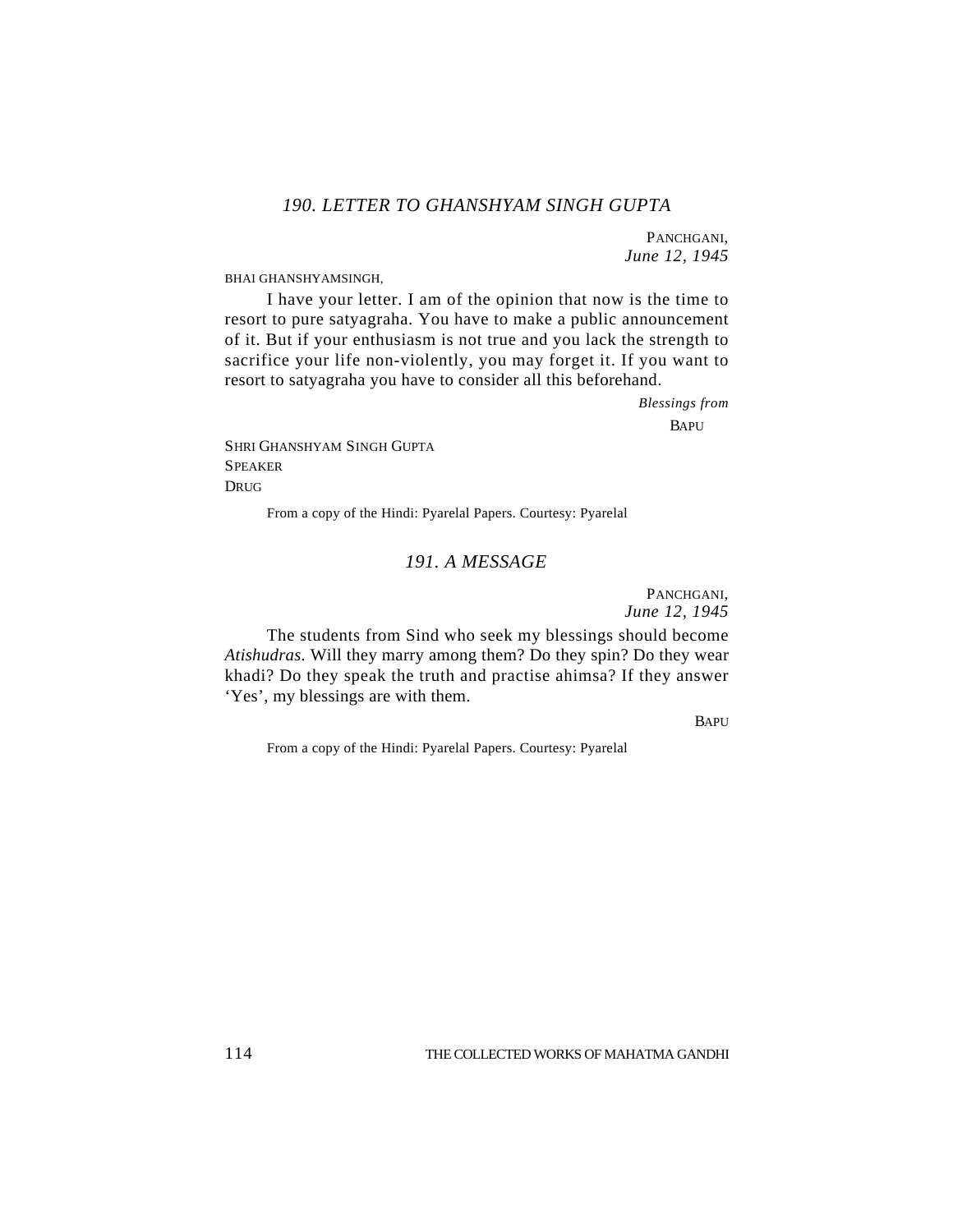## *190. LETTER TO GHANSHYAM SINGH GUPTA*

PANCHGANI, *June 12, 1945*

BHAI GHANSHYAMSINGH,

I have your letter. I am of the opinion that now is the time to resort to pure satyagraha. You have to make a public announcement of it. But if your enthusiasm is not true and you lack the strength to sacrifice your life non-violently, you may forget it. If you want to resort to satyagraha you have to consider all this beforehand.

*Blessings from*

**BAPU** 

SHRI GHANSHYAM SINGH GUPTA **SPEAKER DRUG** 

From a copy of the Hindi: Pyarelal Papers. Courtesy: Pyarelal

#### *191. A MESSAGE*

PANCHGANI, *June 12, 1945*

The students from Sind who seek my blessings should become *Atishudras.* Will they marry among them? Do they spin? Do they wear khadi? Do they speak the truth and practise ahimsa? If they answer 'Yes', my blessings are with them.

**BAPU** 

From a copy of the Hindi: Pyarelal Papers. Courtesy: Pyarelal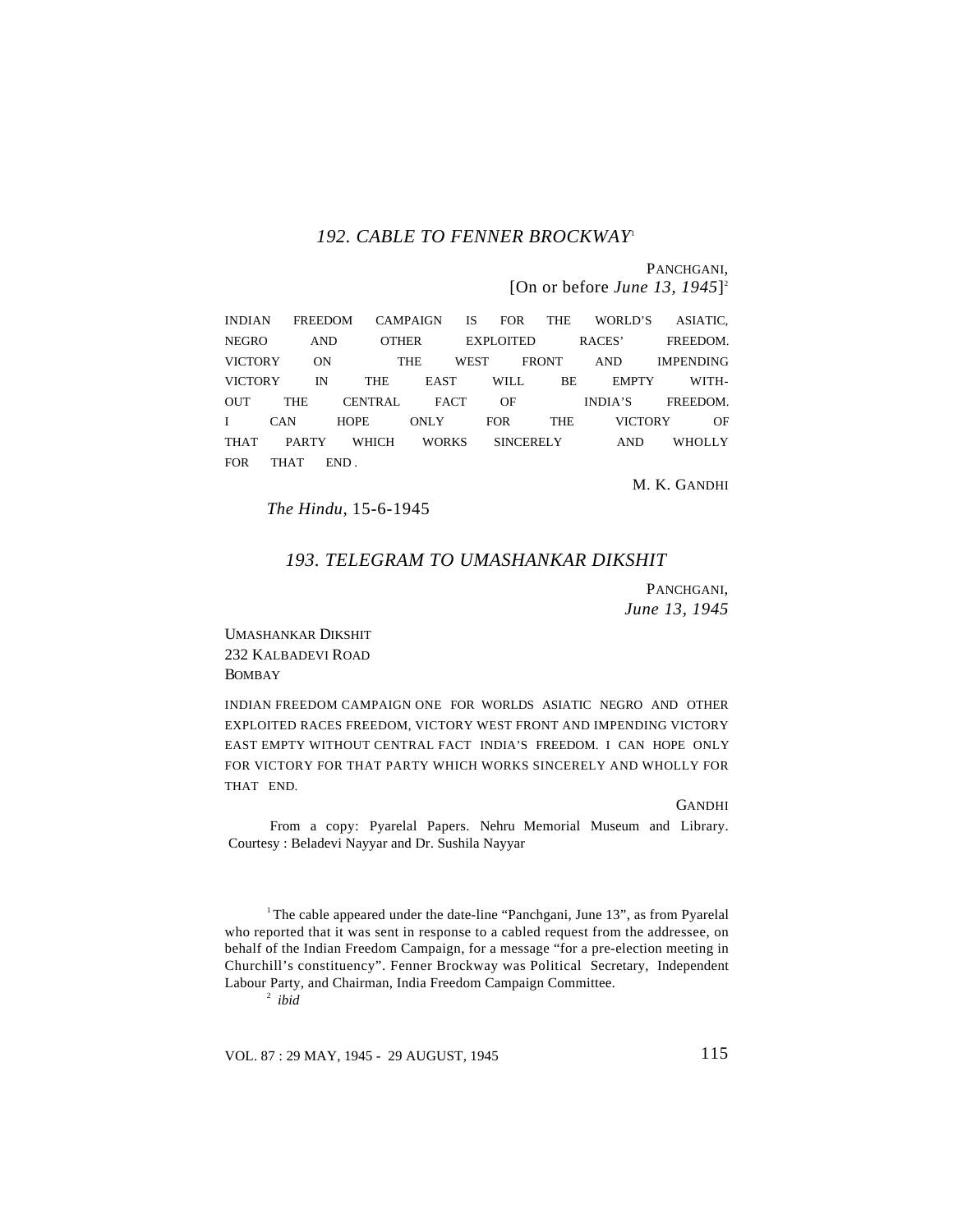#### *192. CABLE TO FENNER BROCKWAY*<sup>1</sup>

PANCHGANI, [On or before *June 13, 1945*] 2

INDIAN FREEDOM CAMPAIGN IS FOR THE WORLD'S ASIATIC, NEGRO AND OTHER EXPLOITED RACES' FREEDOM. VICTORY ON THE WEST FRONT AND IMPENDING VICTORY IN THE EAST WILL BE EMPTY WITH-OUT THE CENTRAL FACT OF INDIA'S FREEDOM. I CAN HOPE ONLY FOR THE VICTORY OF THAT PARTY WHICH WORKS SINCERELY AND WHOLLY FOR THAT END .

M. K. GANDHI

*The Hindu,* 15-6-1945

#### *193. TELEGRAM TO UMASHANKAR DIKSHIT*

PANCHGANI, *June 13, 1945*

UMASHANKAR DIKSHIT 232 KALBADEVI ROAD BOMBAY

INDIAN FREEDOM CAMPAIGN ONE FOR WORLDS ASIATIC NEGRO AND OTHER EXPLOITED RACES FREEDOM, VICTORY WEST FRONT AND IMPENDING VICTORY EAST EMPTY WITHOUT CENTRAL FACT INDIA'S FREEDOM. I CAN HOPE ONLY FOR VICTORY FOR THAT PARTY WHICH WORKS SINCERELY AND WHOLLY FOR THAT END.

GANDHI

From a copy: Pyarelal Papers. Nehru Memorial Museum and Library. Courtesy : Beladevi Nayyar and Dr. Sushila Nayyar

<sup>1</sup>The cable appeared under the date-line "Panchgani, June 13", as from Pyarelal who reported that it was sent in response to a cabled request from the addressee, on behalf of the Indian Freedom Campaign, for a message "for a pre-election meeting in Churchill's constituency". Fenner Brockway was Political Secretary, Independent Labour Party, and Chairman, India Freedom Campaign Committee.

2 *ibid*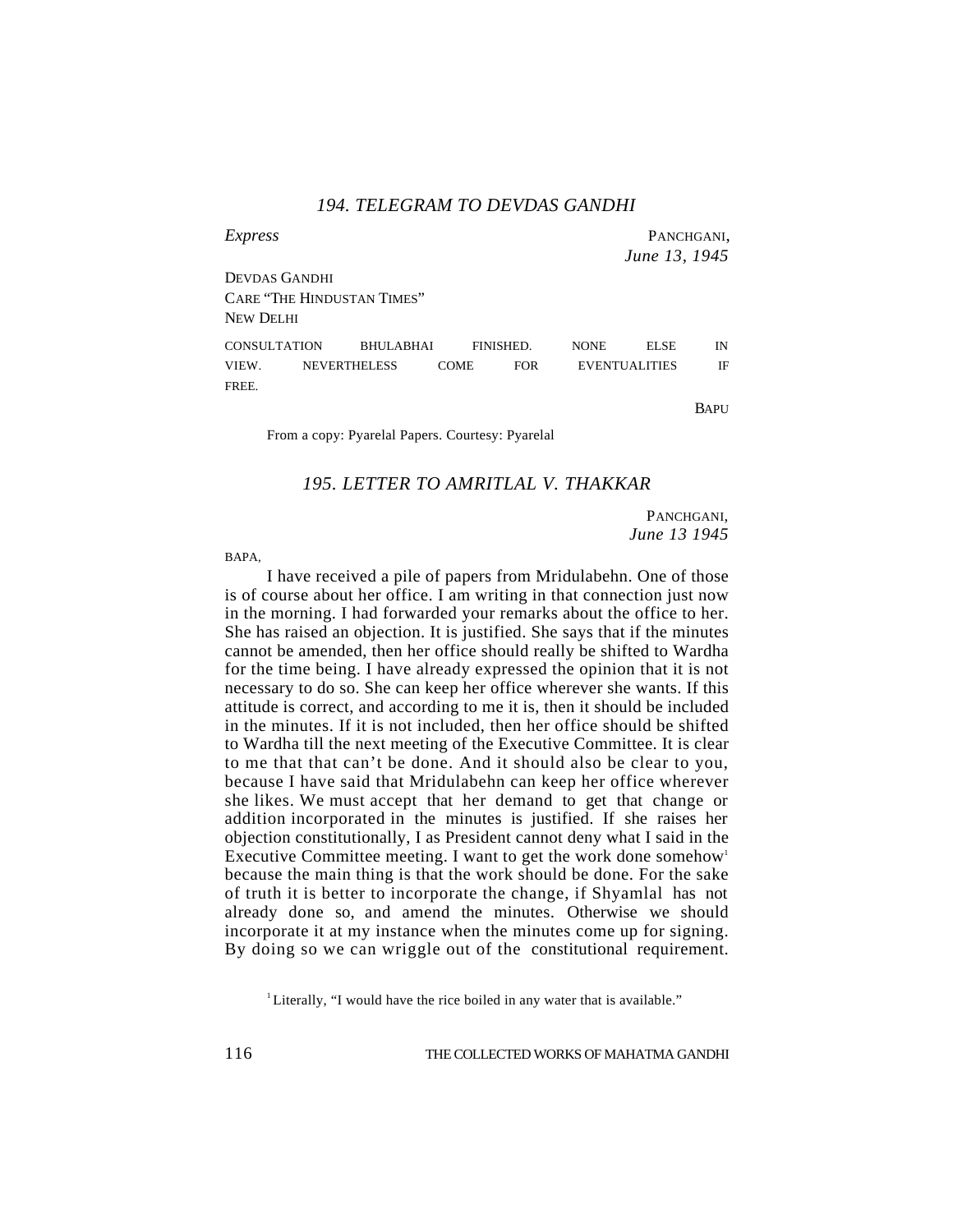#### *194. TELEGRAM TO DEVDAS GANDHI*

| <i>Express</i>       |                     |                            | PANCHGANI.<br>June 13, 1945 |            |                      |      |    |
|----------------------|---------------------|----------------------------|-----------------------------|------------|----------------------|------|----|
|                      |                     |                            |                             |            |                      |      |    |
| <b>DEVDAS GANDHI</b> |                     |                            |                             |            |                      |      |    |
|                      |                     | CARE "THE HINDUSTAN TIMES" |                             |            |                      |      |    |
| <b>NEW DELHI</b>     |                     |                            |                             |            |                      |      |    |
| CONSULTATION         |                     | BHULABHAI                  |                             | FINISHED.  | <b>NONE</b>          | ELSE | IN |
| VIEW.                | <b>NEVERTHELESS</b> |                            | <b>COME</b>                 | <b>FOR</b> | <b>EVENTUALITIES</b> |      | ΙF |
| <b>FREE</b>          |                     |                            |                             |            |                      |      |    |

**BAPU** 

From a copy: Pyarelal Papers. Courtesy: Pyarelal

#### *195. LETTER TO AMRITLAL V. THAKKAR*

PANCHGANI, *June 13 1945*

BAPA,

I have received a pile of papers from Mridulabehn. One of those is of course about her office. I am writing in that connection just now in the morning. I had forwarded your remarks about the office to her. She has raised an objection. It is justified. She says that if the minutes cannot be amended, then her office should really be shifted to Wardha for the time being. I have already expressed the opinion that it is not necessary to do so. She can keep her office wherever she wants. If this attitude is correct, and according to me it is, then it should be included in the minutes. If it is not included, then her office should be shifted to Wardha till the next meeting of the Executive Committee. It is clear to me that that can't be done. And it should also be clear to you, because I have said that Mridulabehn can keep her office wherever she likes. We must accept that her demand to get that change or addition incorporated in the minutes is justified. If she raises her objection constitutionally, I as President cannot deny what I said in the Executive Committee meeting. I want to get the work done somehow<sup>1</sup> because the main thing is that the work should be done. For the sake of truth it is better to incorporate the change, if Shyamlal has not already done so, and amend the minutes. Otherwise we should incorporate it at my instance when the minutes come up for signing. By doing so we can wriggle out of the constitutional requirement.

 $1$ -Literally, "I would have the rice boiled in any water that is available."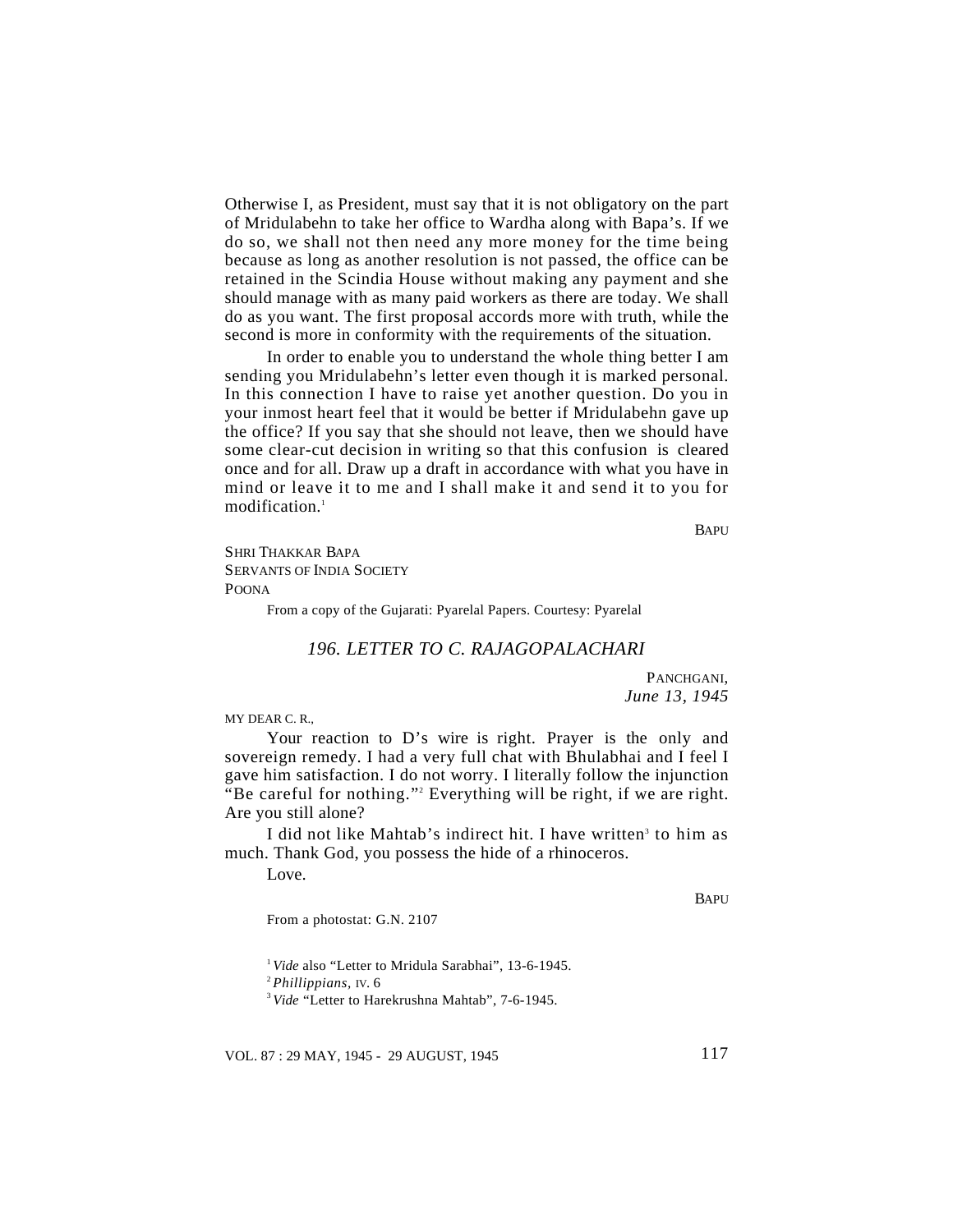Otherwise I, as President, must say that it is not obligatory on the part of Mridulabehn to take her office to Wardha along with Bapa's. If we do so, we shall not then need any more money for the time being because as long as another resolution is not passed, the office can be retained in the Scindia House without making any payment and she should manage with as many paid workers as there are today. We shall do as you want. The first proposal accords more with truth, while the second is more in conformity with the requirements of the situation.

In order to enable you to understand the whole thing better I am sending you Mridulabehn's letter even though it is marked personal. In this connection I have to raise yet another question. Do you in your inmost heart feel that it would be better if Mridulabehn gave up the office? If you say that she should not leave, then we should have some clear-cut decision in writing so that this confusion is cleared once and for all. Draw up a draft in accordance with what you have in mind or leave it to me and I shall make it and send it to you for modification.<sup>1</sup>

**BAPU** 

SHRI THAKKAR BAPA SERVANTS OF INDIA SOCIETY **POONA** 

From a copy of the Gujarati: Pyarelal Papers. Courtesy: Pyarelal

#### *196. LETTER TO C. RAJAGOPALACHARI*

PANCHGANI, *June 13, 1945*

MY DEAR C. R.,

Your reaction to D's wire is right. Prayer is the only and sovereign remedy. I had a very full chat with Bhulabhai and I feel I gave him satisfaction. I do not worry. I literally follow the injunction "Be careful for nothing."<sup>2</sup> Everything will be right, if we are right. Are you still alone?

I did not like Mahtab's indirect hit. I have written<sup>3</sup> to him as much. Thank God, you possess the hide of a rhinoceros.

Love.

**BAPU** 

From a photostat: G.N. 2107

<sup>1</sup> Vide also "Letter to Mridula Sarabhai", 13-6-1945.

<sup>2</sup>*Phillippians,* IV. 6

<sup>3</sup>*Vide* "Letter to Harekrushna Mahtab", 7-6-1945.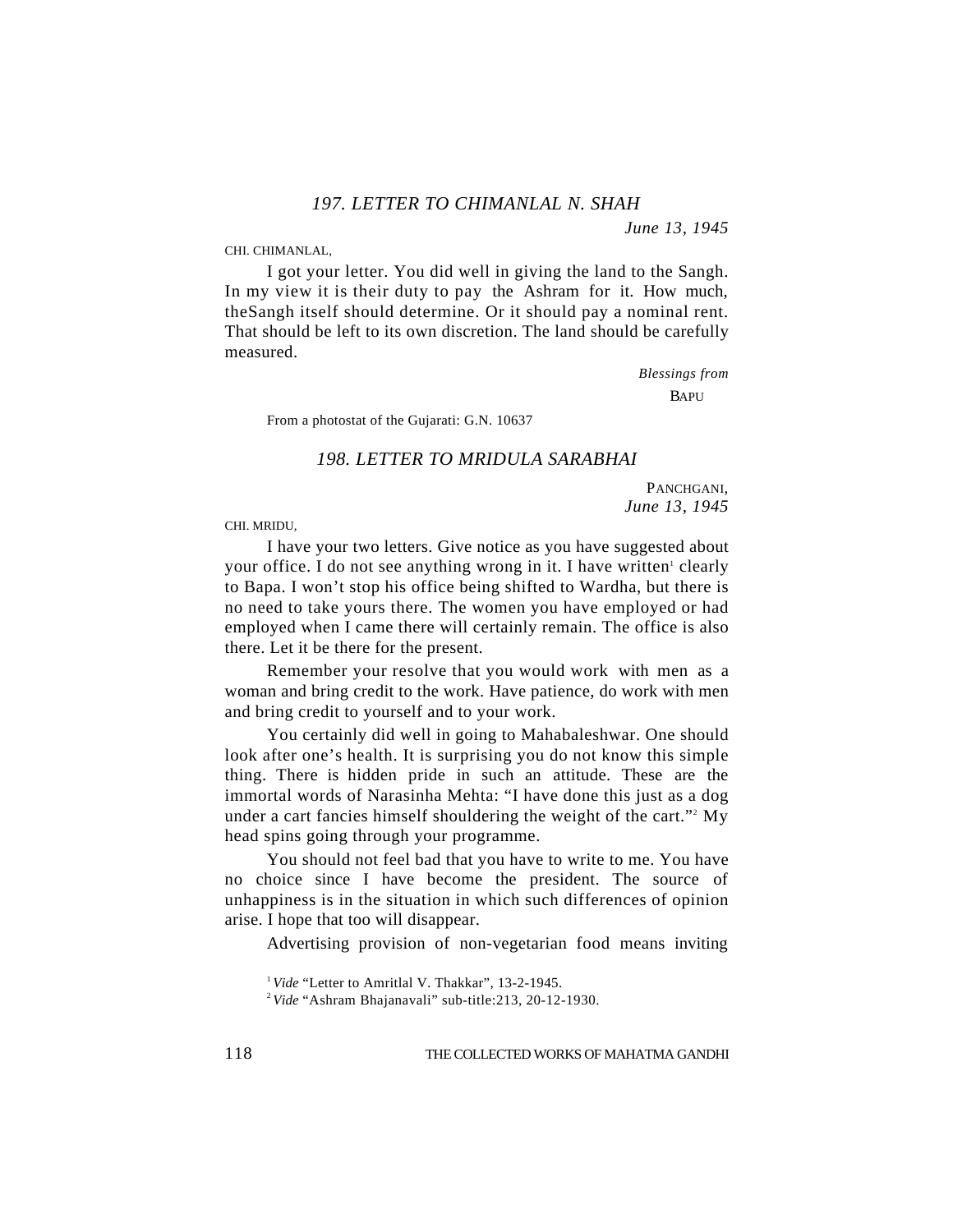*June 13, 1945*

CHI. CHIMANLAL,

I got your letter. You did well in giving the land to the Sangh. In my view it is their duty to pay the Ashram for it. How much, theSangh itself should determine. Or it should pay a nominal rent. That should be left to its own discretion. The land should be carefully measured.

> *Blessings from* BAPU

From a photostat of the Gujarati: G.N. 10637

#### *198. LETTER TO MRIDULA SARABHAI*

PANCHGANI, *June 13, 1945*

CHI. MRIDU,

I have your two letters. Give notice as you have suggested about your office. I do not see anything wrong in it. I have written' clearly to Bapa. I won't stop his office being shifted to Wardha, but there is no need to take yours there. The women you have employed or had employed when I came there will certainly remain. The office is also there. Let it be there for the present.

Remember your resolve that you would work with men as a woman and bring credit to the work. Have patience, do work with men and bring credit to yourself and to your work.

You certainly did well in going to Mahabaleshwar. One should look after one's health. It is surprising you do not know this simple thing. There is hidden pride in such an attitude. These are the immortal words of Narasinha Mehta: "I have done this just as a dog under a cart fancies himself shouldering the weight of the cart."<sup>2</sup> My head spins going through your programme.

You should not feel bad that you have to write to me. You have no choice since I have become the president. The source of unhappiness is in the situation in which such differences of opinion arise. I hope that too will disappear.

Advertising provision of non-vegetarian food means inviting

<sup>&</sup>lt;sup>1</sup> Vide "Letter to Amritlal V. Thakkar", 13-2-1945.

<sup>2</sup>*Vide* "Ashram Bhajanavali" sub-title:213, 20-12-1930.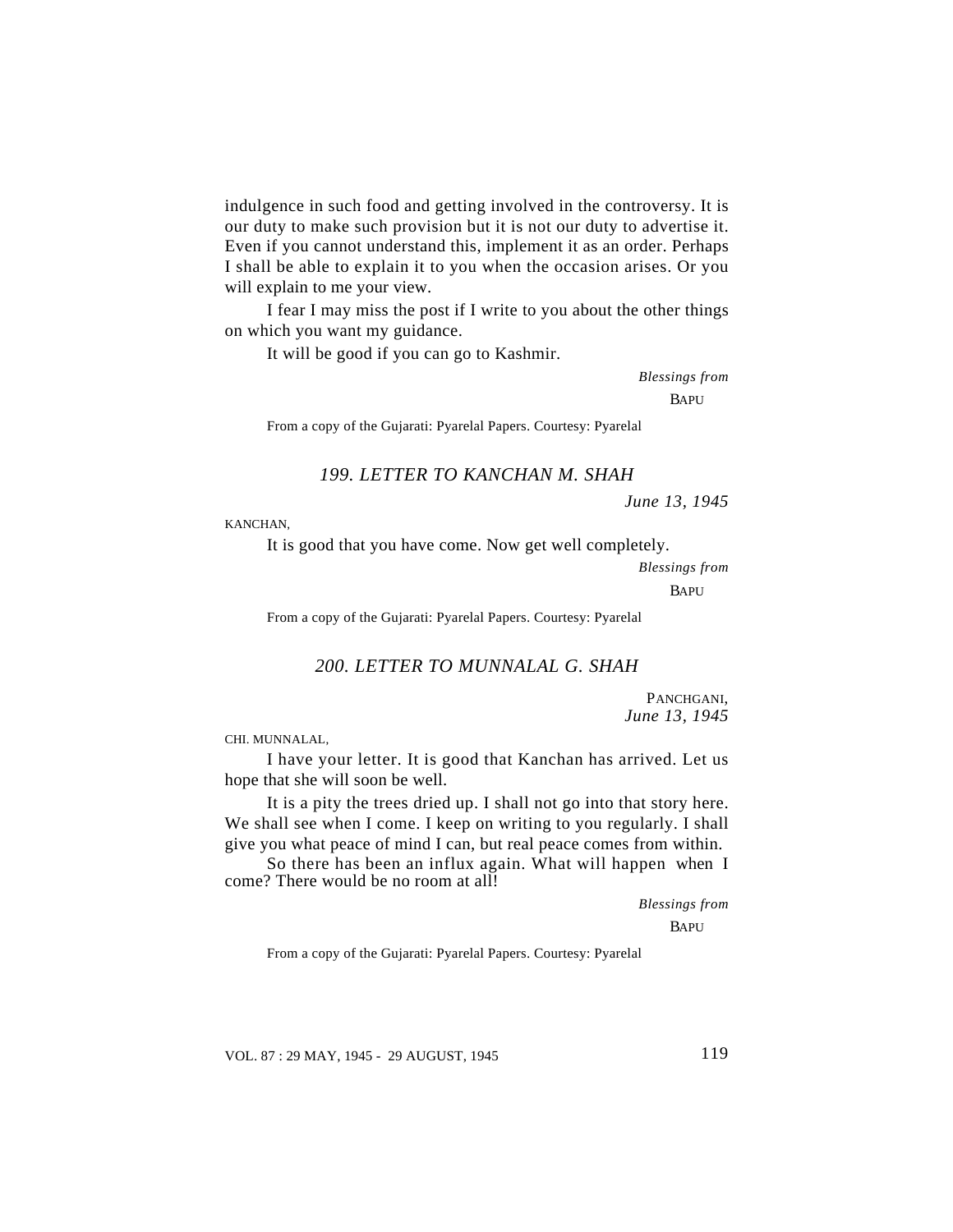indulgence in such food and getting involved in the controversy. It is our duty to make such provision but it is not our duty to advertise it. Even if you cannot understand this, implement it as an order. Perhaps I shall be able to explain it to you when the occasion arises. Or you will explain to me your view.

I fear I may miss the post if I write to you about the other things on which you want my guidance.

It will be good if you can go to Kashmir.

*Blessings from*

BAPU

From a copy of the Gujarati: Pyarelal Papers. Courtesy: Pyarelal

#### *199. LETTER TO KANCHAN M. SHAH*

*June 13, 1945*

KANCHAN,

It is good that you have come. Now get well completely.

*Blessings from*

**BAPU** 

From a copy of the Gujarati: Pyarelal Papers. Courtesy: Pyarelal

## *200. LETTER TO MUNNALAL G. SHAH*

PANCHGANI, *June 13, 1945*

CHI. MUNNALAL,

I have your letter. It is good that Kanchan has arrived. Let us hope that she will soon be well.

It is a pity the trees dried up. I shall not go into that story here. We shall see when I come. I keep on writing to you regularly. I shall give you what peace of mind I can, but real peace comes from within.

So there has been an influx again. What will happen when I come? There would be no room at all!

*Blessings from*

**BAPU** 

From a copy of the Gujarati: Pyarelal Papers. Courtesy: Pyarelal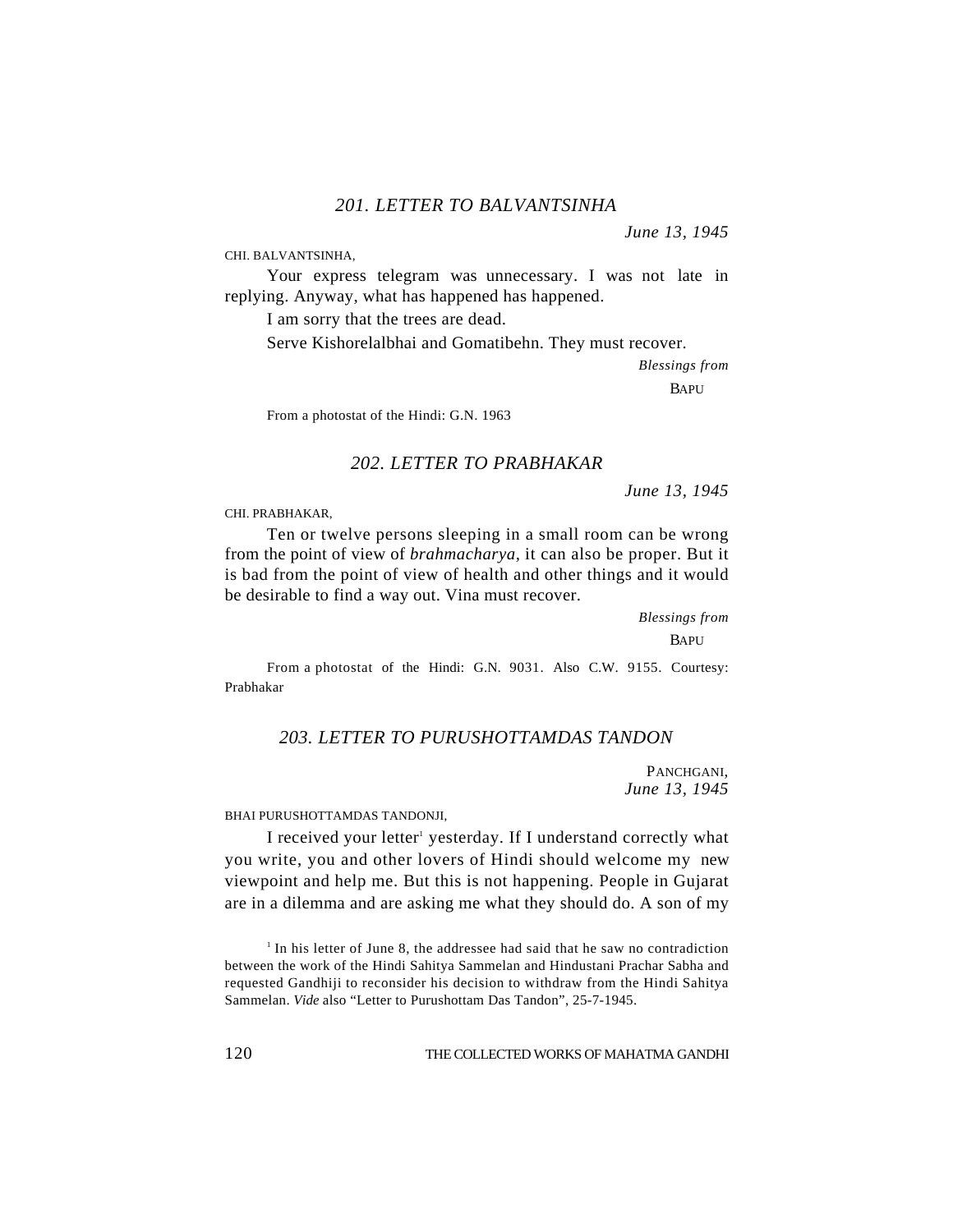*June 13, 1945*

CHI. BALVANTSINHA,

Your express telegram was unnecessary. I was not late in replying. Anyway, what has happened has happened.

I am sorry that the trees are dead.

Serve Kishorelalbhai and Gomatibehn. They must recover.

*Blessings from*

**BAPU** 

From a photostat of the Hindi: G.N. 1963

#### *202. LETTER TO PRABHAKAR*

*June 13, 1945*

CHI. PRABHAKAR,

Ten or twelve persons sleeping in a small room can be wrong from the point of view of *brahmacharya,* it can also be proper. But it is bad from the point of view of health and other things and it would be desirable to find a way out. Vina must recover.

> *Blessings from* **BAPU**

From a photostat of the Hindi: G.N. 9031. Also C.W. 9155. Courtesy: Prabhakar

#### *203. LETTER TO PURUSHOTTAMDAS TANDON*

PANCHGANI, *June 13, 1945*

BHAI PURUSHOTTAMDAS TANDONJI,

I received your letter<sup>1</sup> yesterday. If I understand correctly what you write, you and other lovers of Hindi should welcome my new viewpoint and help me. But this is not happening. People in Gujarat are in a dilemma and are asking me what they should do. A son of my

 $1$  In his letter of June 8, the addressee had said that he saw no contradiction between the work of the Hindi Sahitya Sammelan and Hindustani Prachar Sabha and requested Gandhiji to reconsider his decision to withdraw from the Hindi Sahitya Sammelan. *Vide* also "Letter to Purushottam Das Tandon", 25-7-1945.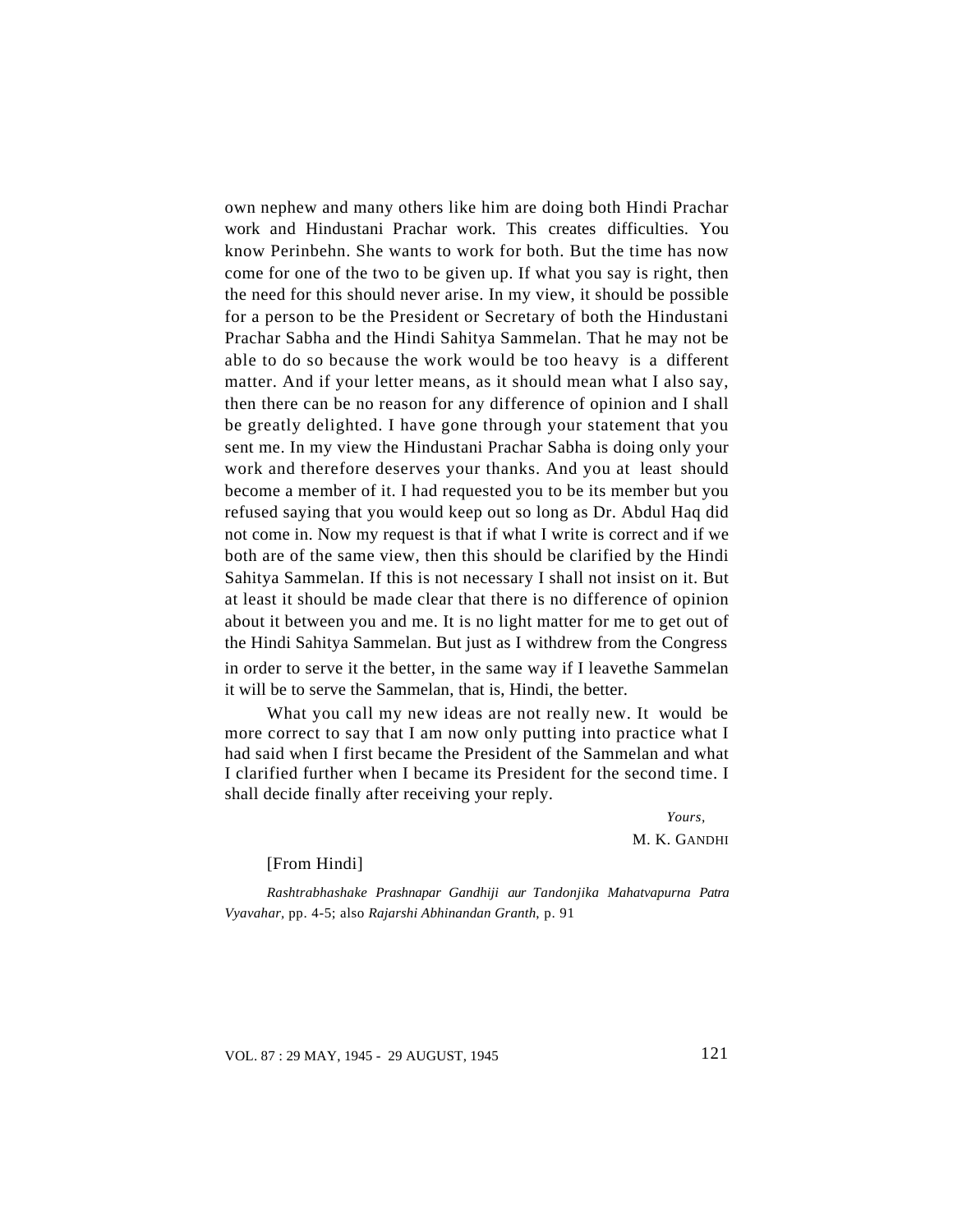own nephew and many others like him are doing both Hindi Prachar work and Hindustani Prachar work. This creates difficulties. You know Perinbehn. She wants to work for both. But the time has now come for one of the two to be given up. If what you say is right, then the need for this should never arise. In my view, it should be possible for a person to be the President or Secretary of both the Hindustani Prachar Sabha and the Hindi Sahitya Sammelan. That he may not be able to do so because the work would be too heavy is a different matter. And if your letter means, as it should mean what I also say, then there can be no reason for any difference of opinion and I shall be greatly delighted. I have gone through your statement that you sent me. In my view the Hindustani Prachar Sabha is doing only your work and therefore deserves your thanks. And you at least should become a member of it. I had requested you to be its member but you refused saying that you would keep out so long as Dr. Abdul Haq did not come in. Now my request is that if what I write is correct and if we both are of the same view, then this should be clarified by the Hindi Sahitya Sammelan. If this is not necessary I shall not insist on it. But at least it should be made clear that there is no difference of opinion about it between you and me. It is no light matter for me to get out of the Hindi Sahitya Sammelan. But just as I withdrew from the Congress in order to serve it the better, in the same way if I leavethe Sammelan it will be to serve the Sammelan, that is, Hindi, the better.

What you call my new ideas are not really new. It would be more correct to say that I am now only putting into practice what I had said when I first became the President of the Sammelan and what I clarified further when I became its President for the second time. I shall decide finally after receiving your reply.

> *Yours,* M. K. GANDHI

#### [From Hindi]

*Rashtrabhashake Prashnapar Gandhiji aur Tandonjika Mahatvapurna Patra Vyavahar,* pp. 4-5; also *Rajarshi Abhinandan Granth*, p. 91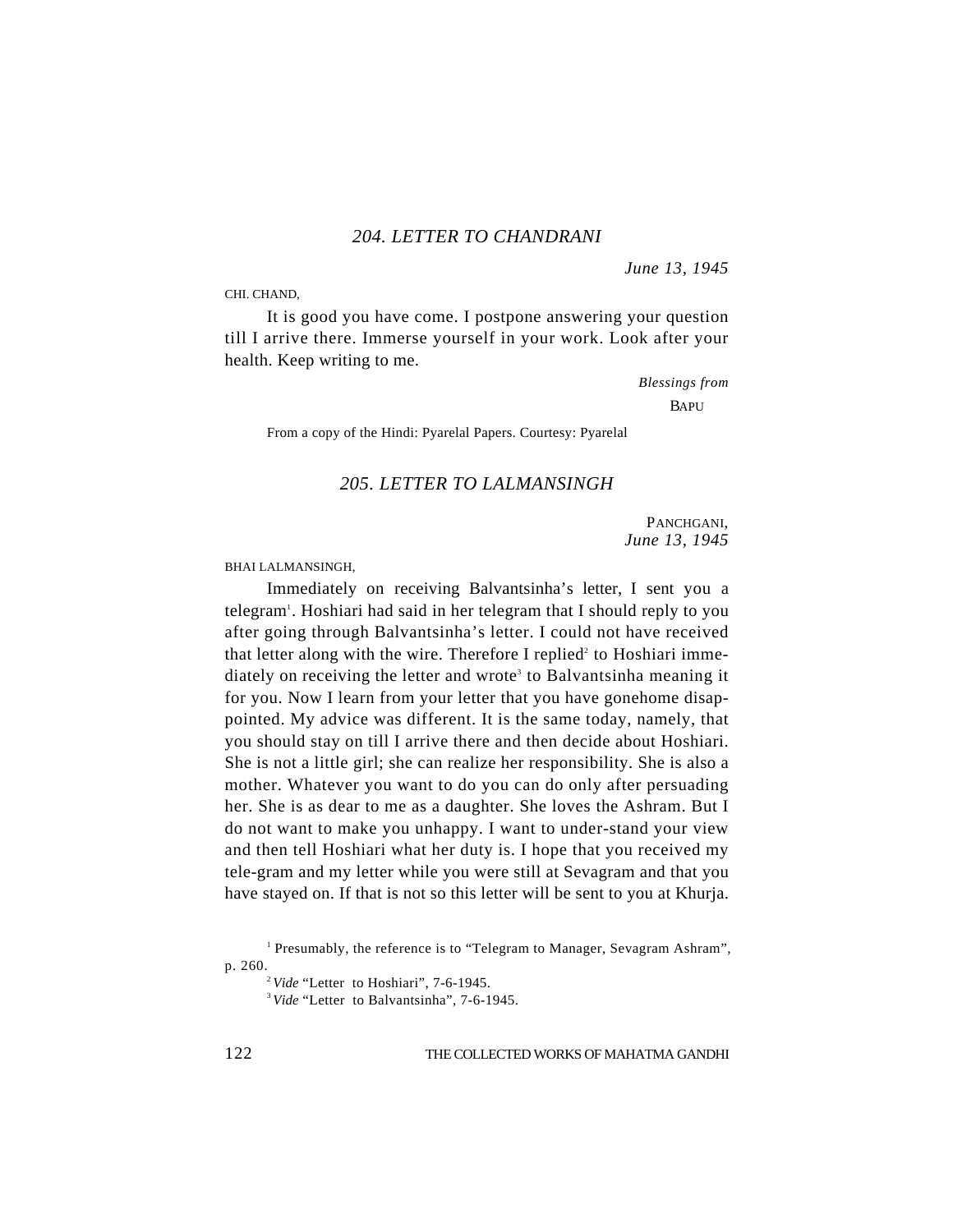#### *204. LETTER TO CHANDRANI*

*June 13, 1945*

CHI. CHAND,

It is good you have come. I postpone answering your question till I arrive there. Immerse yourself in your work. Look after your health. Keep writing to me.

> *Blessings from* **BAPU**

From a copy of the Hindi: Pyarelal Papers. Courtesy: Pyarelal

#### *205. LETTER TO LALMANSINGH*

PANCHGANI, *June 13, 1945*

BHAI LALMANSINGH,

Immediately on receiving Balvantsinha's letter, I sent you a telegram<sup>1</sup>. Hoshiari had said in her telegram that I should reply to you after going through Balvantsinha's letter. I could not have received that letter along with the wire. Therefore I replied<sup>2</sup> to Hoshiari immediately on receiving the letter and wrote<sup>3</sup> to Balvantsinha meaning it for you. Now I learn from your letter that you have gonehome disappointed. My advice was different. It is the same today, namely, that you should stay on till I arrive there and then decide about Hoshiari. She is not a little girl; she can realize her responsibility. She is also a mother. Whatever you want to do you can do only after persuading her. She is as dear to me as a daughter. She loves the Ashram. But I do not want to make you unhappy. I want to under-stand your view and then tell Hoshiari what her duty is. I hope that you received my tele-gram and my letter while you were still at Sevagram and that you have stayed on. If that is not so this letter will be sent to you at Khurja.

<sup>2</sup>*Vide* "Letter to Hoshiari", 7-6-1945.

<sup>3</sup>*Vide* "Letter to Balvantsinha", 7-6-1945.

<sup>&</sup>lt;sup>1</sup> Presumably, the reference is to "Telegram to Manager, Sevagram Ashram", p. 260.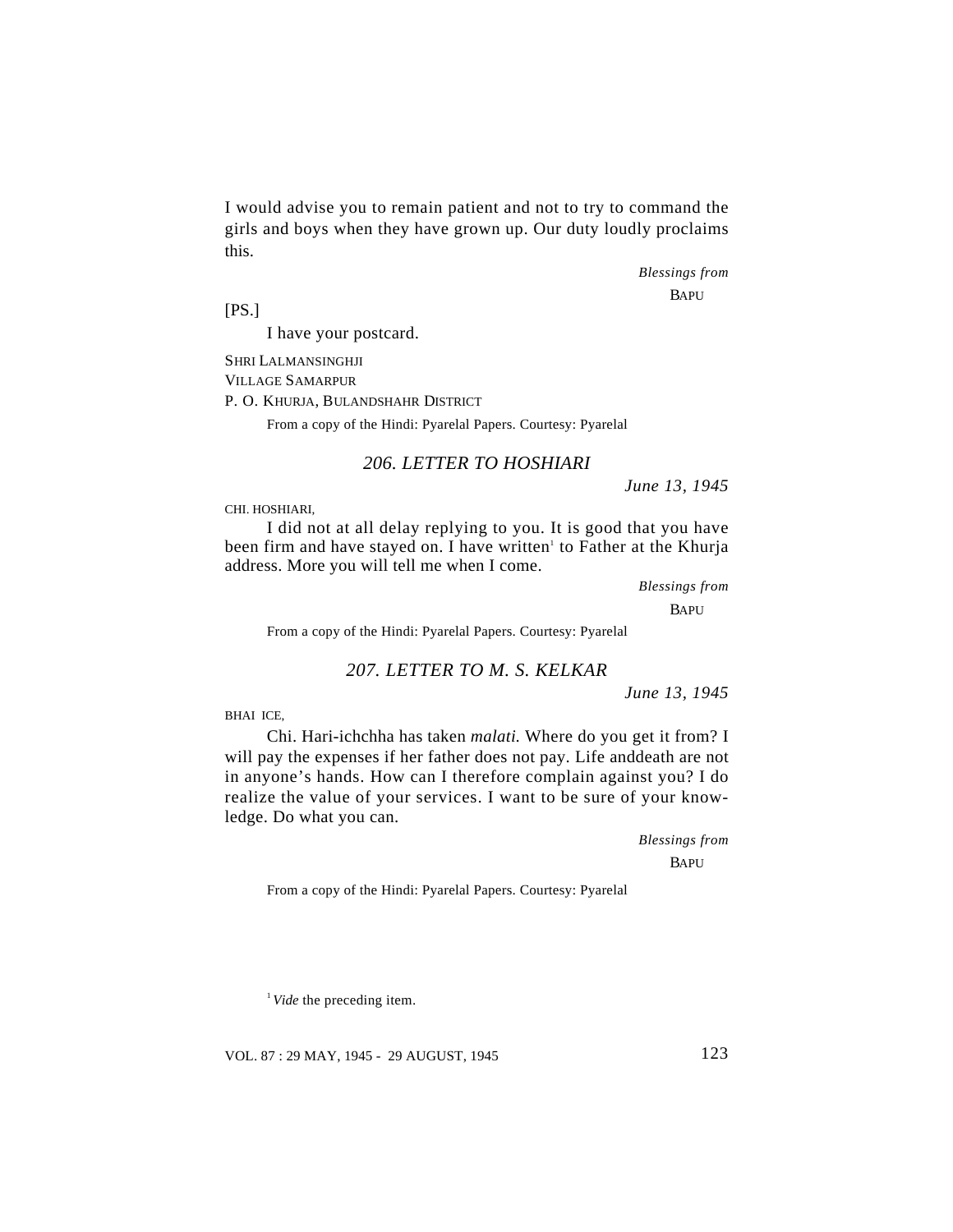I would advise you to remain patient and not to try to command the girls and boys when they have grown up. Our duty loudly proclaims this.

> *Blessings from* **BAPU**

[PS.]

I have your postcard.

SHRI LALMANSINGHJI

VILLAGE SAMARPUR

P. O. KHURJA, BULANDSHAHR DISTRICT

From a copy of the Hindi: Pyarelal Papers. Courtesy: Pyarelal

# *206. LETTER TO HOSHIARI*

*June 13, 1945*

CHI. HOSHIARI,

I did not at all delay replying to you. It is good that you have been firm and have stayed on. I have written<sup>1</sup> to Father at the Khurja address. More you will tell me when I come.

*Blessings from*

**BAPU** 

From a copy of the Hindi: Pyarelal Papers. Courtesy: Pyarelal

# *207. LETTER TO M. S. KELKAR*

*June 13, 1945*

BHAI ICE,

Chi. Hari-ichchha has taken *malati.* Where do you get it from? I will pay the expenses if her father does not pay. Life anddeath are not in anyone's hands. How can I therefore complain against you? I do realize the value of your services. I want to be sure of your knowledge. Do what you can.

*Blessings from*

**BAPU** 

From a copy of the Hindi: Pyarelal Papers. Courtesy: Pyarelal

<sup>1</sup> Vide the preceding item.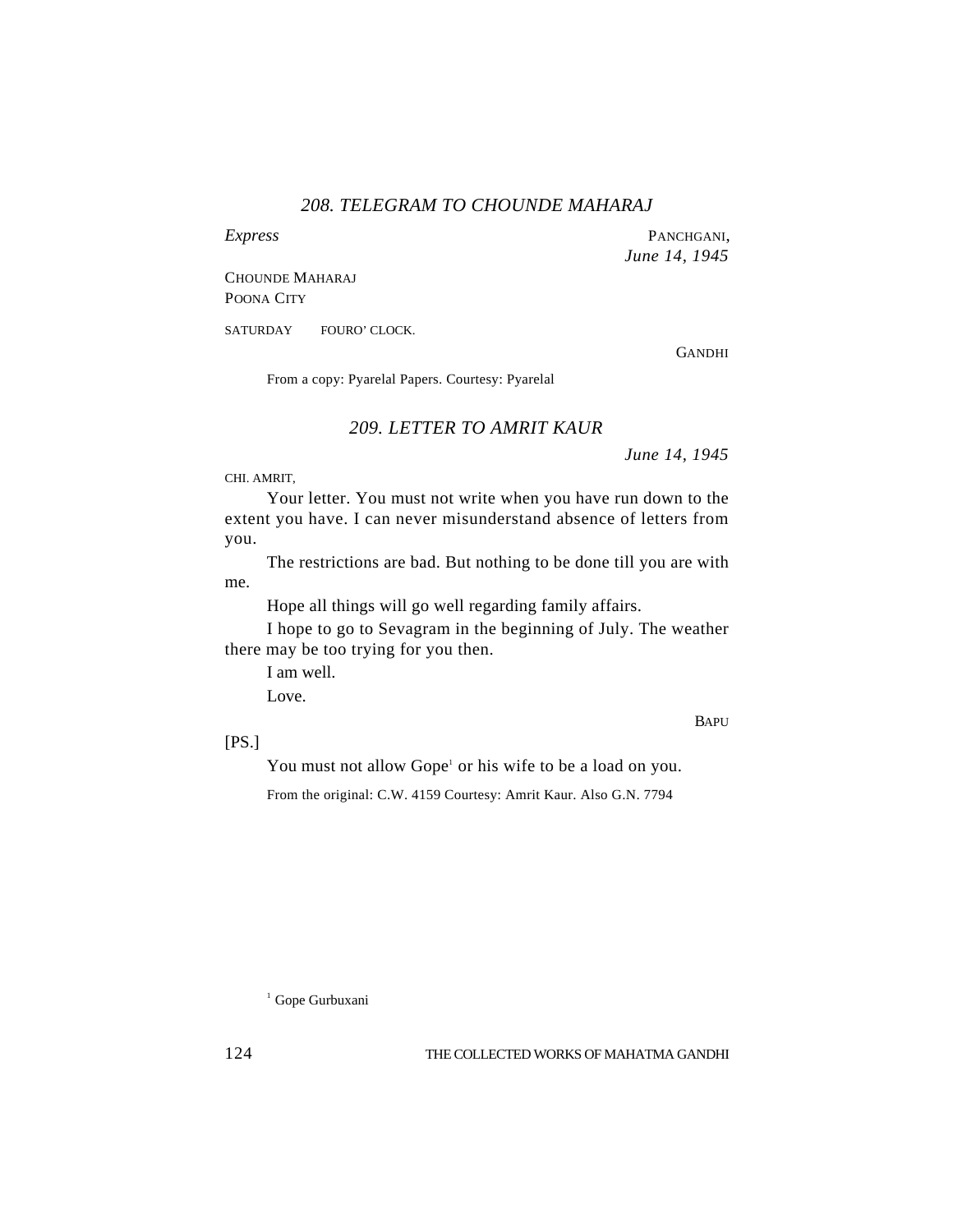## *208. TELEGRAM TO CHOUNDE MAHARAJ*

*Express* PANCHGANI, *June 14, 1945*

CHOUNDE MAHARAJ POONA CITY

SATURDAY FOURO' CLOCK.

GANDHI

**BAPU** 

From a copy: Pyarelal Papers. Courtesy: Pyarelal

# *209. LETTER TO AMRIT KAUR*

*June 14, 1945*

CHI. AMRIT,

Your letter. You must not write when you have run down to the extent you have. I can never misunderstand absence of letters from you.

The restrictions are bad. But nothing to be done till you are with me.

Hope all things will go well regarding family affairs.

I hope to go to Sevagram in the beginning of July. The weather there may be too trying for you then.

I am well.

Love.

[PS.]

You must not allow Gope' or his wife to be a load on you.

From the original: C.W. 4159 Courtesy: Amrit Kaur. Also G.N. 7794

<sup>1</sup> Gope Gurbuxani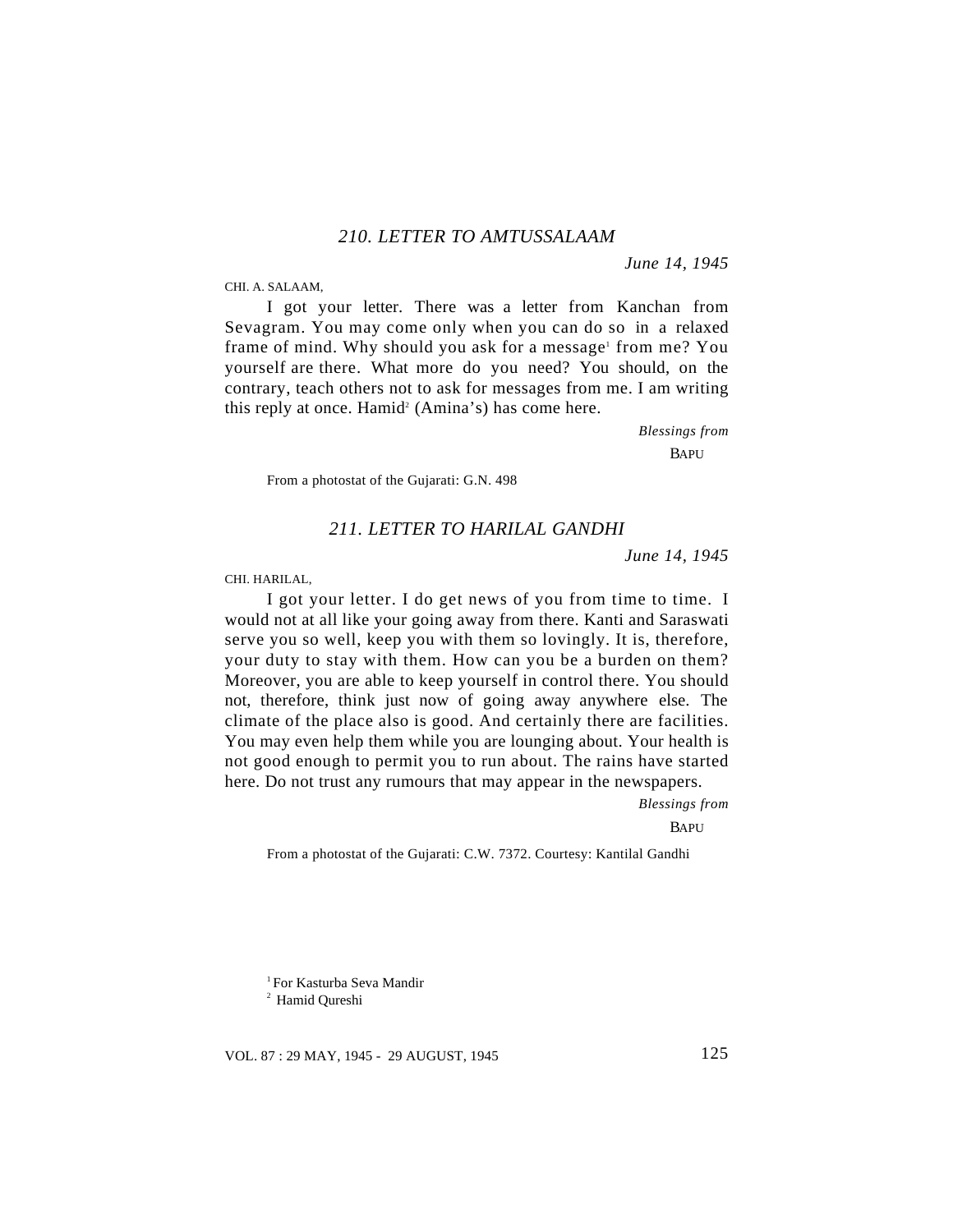*June 14, 1945*

CHI. A. SALAAM,

I got your letter. There was a letter from Kanchan from Sevagram. You may come only when you can do so in a relaxed frame of mind. Why should you ask for a message<sup>1</sup> from me? You yourself are there. What more do you need? You should, on the contrary, teach others not to ask for messages from me. I am writing this reply at once. Hamid<sup>2</sup> (Amina's) has come here.

*Blessings from*

**BAPU** 

From a photostat of the Gujarati: G.N. 498

#### *211. LETTER TO HARILAL GANDHI*

*June 14, 1945*

CHI. HARILAL,

I got your letter. I do get news of you from time to time. I would not at all like your going away from there. Kanti and Saraswati serve you so well, keep you with them so lovingly. It is, therefore, your duty to stay with them. How can you be a burden on them? Moreover, you are able to keep yourself in control there. You should not, therefore, think just now of going away anywhere else. The climate of the place also is good. And certainly there are facilities. You may even help them while you are lounging about. Your health is not good enough to permit you to run about. The rains have started here. Do not trust any rumours that may appear in the newspapers.

*Blessings from*

**BAPU** 

From a photostat of the Gujarati: C.W. 7372. Courtesy: Kantilal Gandhi

<sup>1</sup> For Kasturba Seva Mandir

2 Hamid Qureshi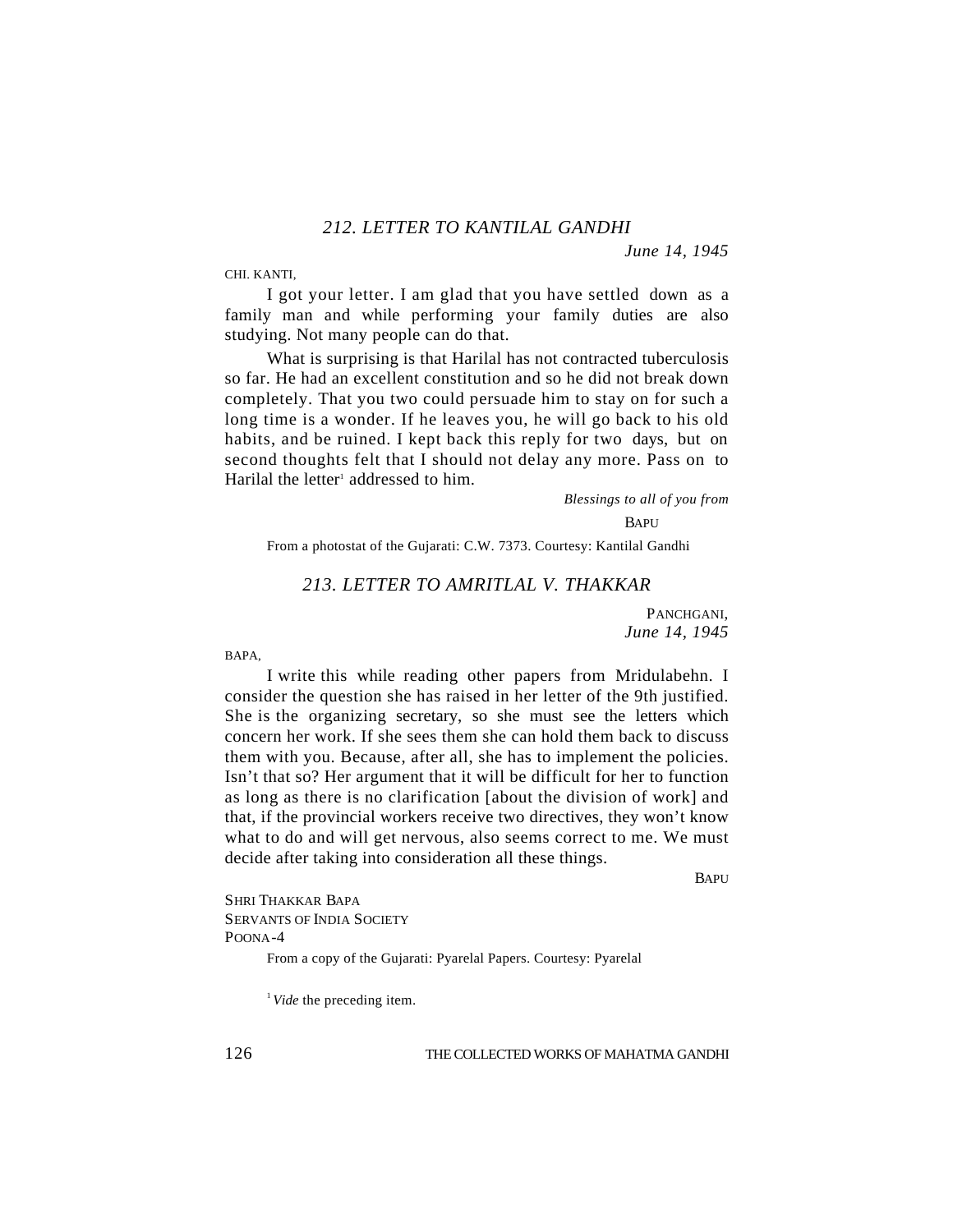*June 14, 1945*

CHI. KANTI,

I got your letter. I am glad that you have settled down as a family man and while performing your family duties are also studying. Not many people can do that.

What is surprising is that Harilal has not contracted tuberculosis so far. He had an excellent constitution and so he did not break down completely. That you two could persuade him to stay on for such a long time is a wonder. If he leaves you, he will go back to his old habits, and be ruined. I kept back this reply for two days, but on second thoughts felt that I should not delay any more. Pass on to Harilal the letter<sup>1</sup> addressed to him.

*Blessings to all of you from*

**BAPU** 

From a photostat of the Gujarati: C.W. 7373. Courtesy: Kantilal Gandhi

#### *213. LETTER TO AMRITLAL V. THAKKAR*

PANCHGANI, *June 14, 1945*

**BAPA** 

I write this while reading other papers from Mridulabehn. I consider the question she has raised in her letter of the 9th justified. She is the organizing secretary, so she must see the letters which concern her work. If she sees them she can hold them back to discuss them with you. Because, after all, she has to implement the policies. Isn't that so? Her argument that it will be difficult for her to function as long as there is no clarification [about the division of work] and that, if the provincial workers receive two directives, they won't know what to do and will get nervous, also seems correct to me. We must decide after taking into consideration all these things.

**BAPU** 

SHRI THAKKAR BAPA SERVANTS OF INDIA SOCIETY POONA-4

From a copy of the Gujarati: Pyarelal Papers. Courtesy: Pyarelal

<sup>1</sup> Vide the preceding item.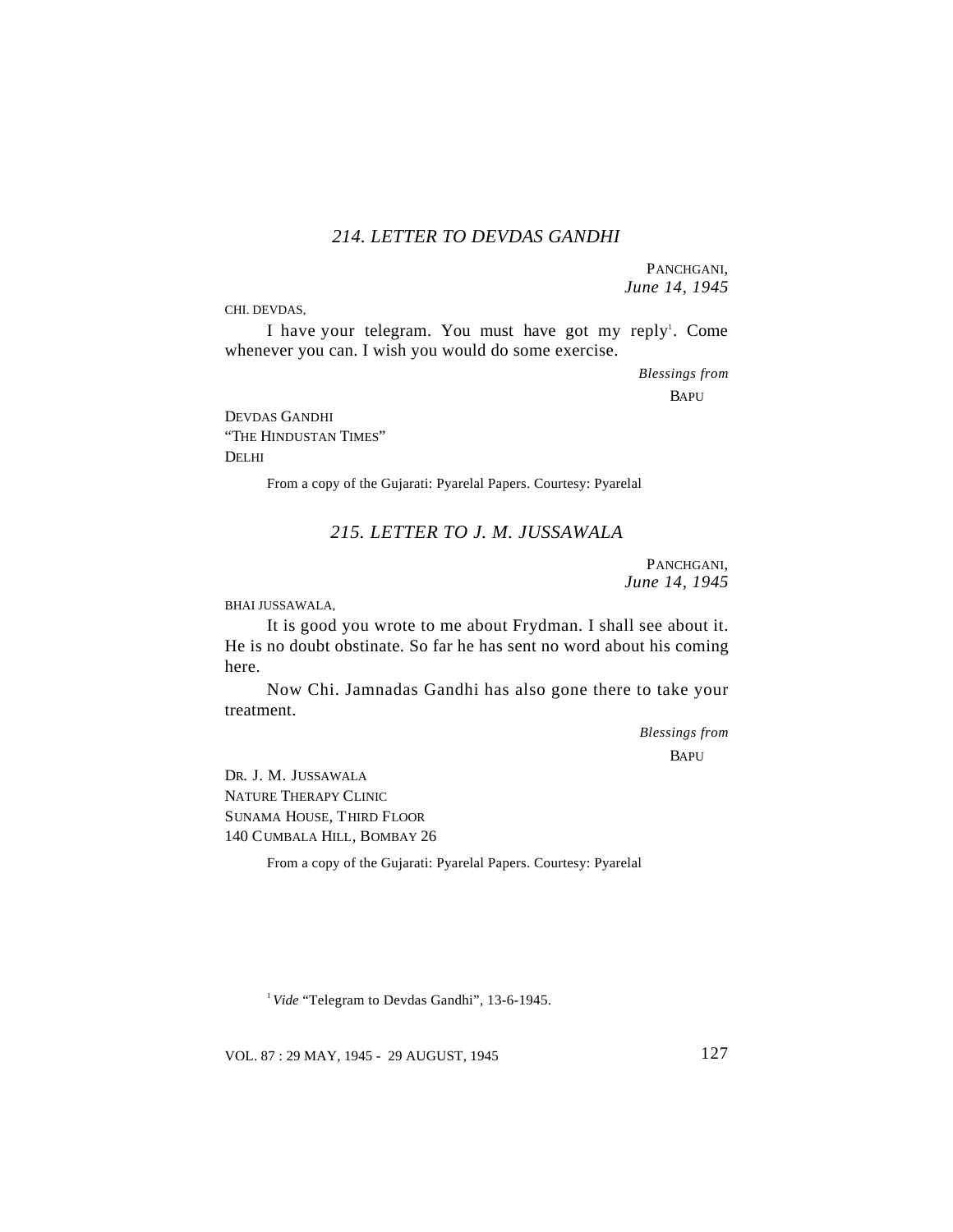#### *214. LETTER TO DEVDAS GANDHI*

PANCHGANI, *June 14, 1945*

CHI. DEVDAS,

I have your telegram. You must have got my reply<sup>1</sup>. Come whenever you can. I wish you would do some exercise.

> *Blessings from* BAPU

DEVDAS GANDHI "THE HINDUSTAN TIMES" DELHI

From a copy of the Gujarati: Pyarelal Papers. Courtesy: Pyarelal

## *215. LETTER TO J. M. JUSSAWALA*

PANCHGANI, *June 14, 1945*

BHAI JUSSAWALA,

It is good you wrote to me about Frydman. I shall see about it. He is no doubt obstinate. So far he has sent no word about his coming here.

Now Chi. Jamnadas Gandhi has also gone there to take your treatment.

> *Blessings from* **BAPU**

DR. J. M. JUSSAWALA NATURE THERAPY CLINIC SUNAMA HOUSE, THIRD FLOOR 140 CUMBALA HILL, BOMBAY 26

From a copy of the Gujarati: Pyarelal Papers. Courtesy: Pyarelal

<sup>1</sup> Vide "Telegram to Devdas Gandhi", 13-6-1945.

VOL. 87 : 29 MAY, 1945 - 29 AUGUST, 1945 127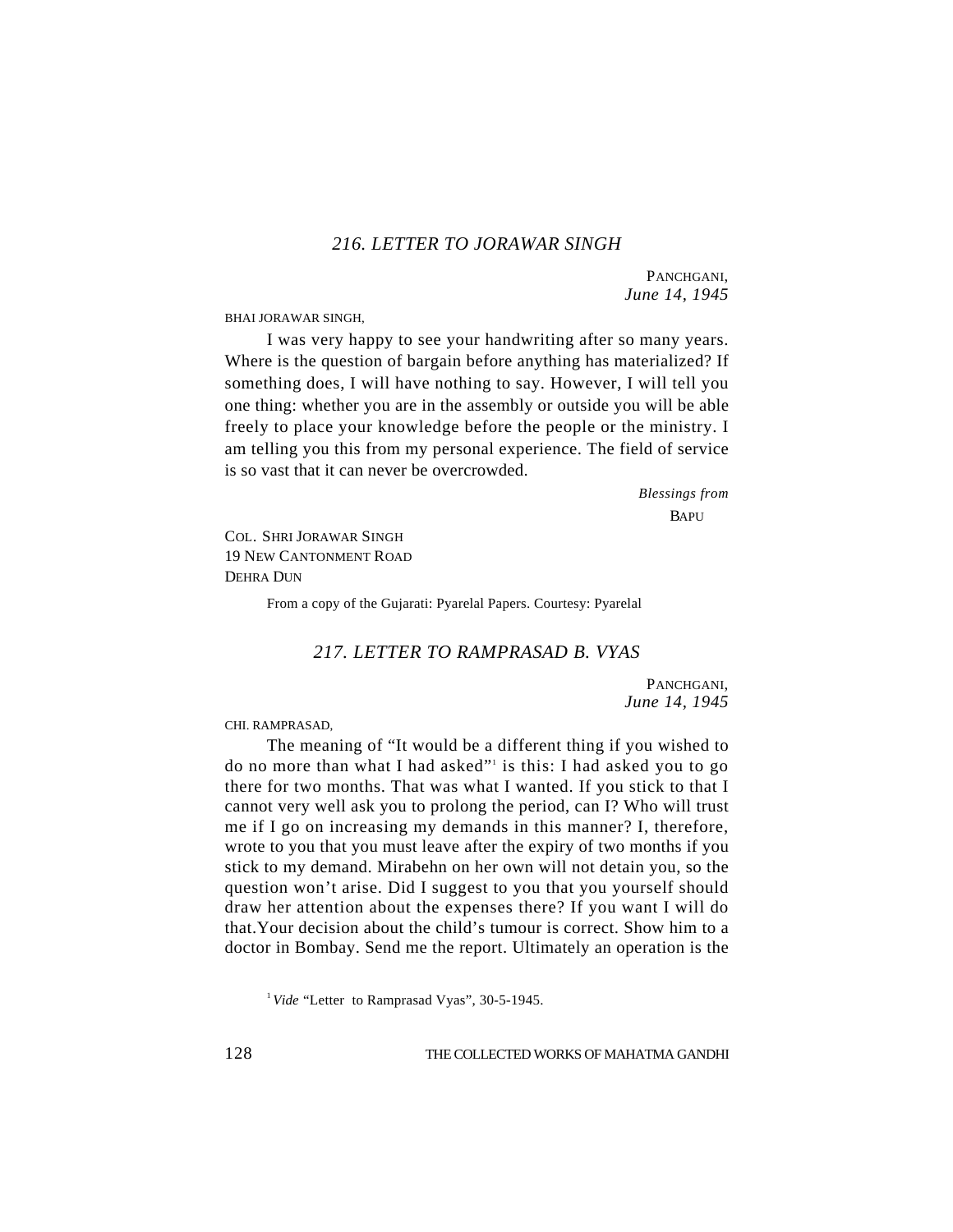#### *216. LETTER TO JORAWAR SINGH*

PANCHGANI, *June 14, 1945*

#### BHAI JORAWAR SINGH,

I was very happy to see your handwriting after so many years. Where is the question of bargain before anything has materialized? If something does, I will have nothing to say. However, I will tell you one thing: whether you are in the assembly or outside you will be able freely to place your knowledge before the people or the ministry. I am telling you this from my personal experience. The field of service is so vast that it can never be overcrowded.

> *Blessings from* **BAPU**

COL. SHRI JORAWAR SINGH 19 NEW CANTONMENT ROAD DEHRA DUN

From a copy of the Gujarati: Pyarelal Papers. Courtesy: Pyarelal

#### *217. LETTER TO RAMPRASAD B. VYAS*

PANCHGANI, *June 14, 1945*

CHI. RAMPRASAD,

The meaning of "It would be a different thing if you wished to do no more than what I had asked"<sup>1</sup> is this: I had asked you to go there for two months. That was what I wanted. If you stick to that I cannot very well ask you to prolong the period, can I? Who will trust me if I go on increasing my demands in this manner? I, therefore, wrote to you that you must leave after the expiry of two months if you stick to my demand. Mirabehn on her own will not detain you, so the question won't arise. Did I suggest to you that you yourself should draw her attention about the expenses there? If you want I will do that.Your decision about the child's tumour is correct. Show him to a doctor in Bombay. Send me the report. Ultimately an operation is the

<sup>1</sup> Vide "Letter to Ramprasad Vyas", 30-5-1945.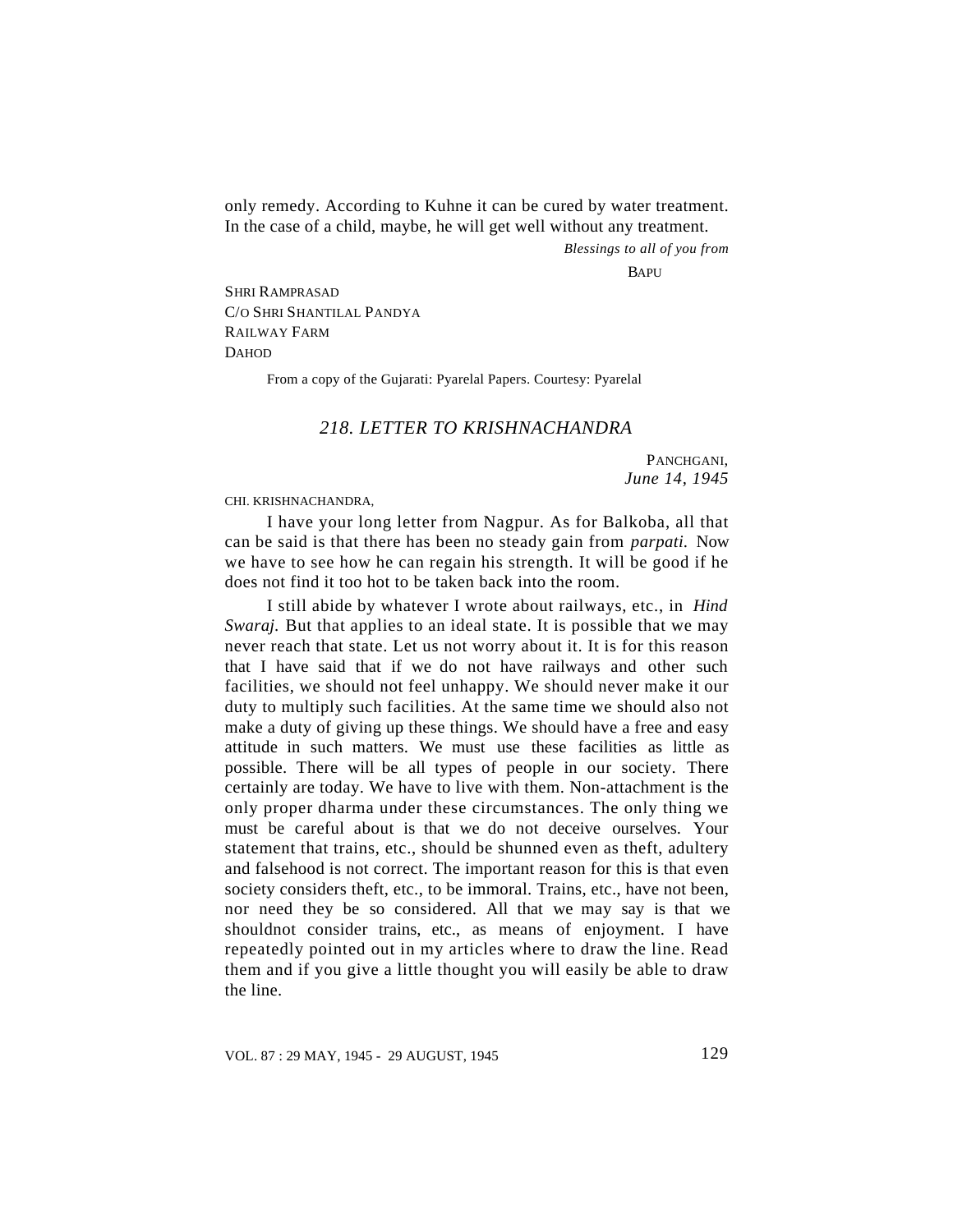only remedy. According to Kuhne it can be cured by water treatment. In the case of a child, maybe, he will get well without any treatment.

*Blessings to all of you from*

**BAPU** 

SHRI RAMPRASAD C/O SHRI SHANTILAL PANDYA RAILWAY FARM DAHOD

From a copy of the Gujarati: Pyarelal Papers. Courtesy: Pyarelal

#### *218. LETTER TO KRISHNACHANDRA*

PANCHGANI, *June 14, 1945*

CHI. KRISHNACHANDRA,

I have your long letter from Nagpur. As for Balkoba, all that can be said is that there has been no steady gain from *parpati.* Now we have to see how he can regain his strength. It will be good if he does not find it too hot to be taken back into the room.

I still abide by whatever I wrote about railways, etc., in *Hind Swaraj.* But that applies to an ideal state. It is possible that we may never reach that state. Let us not worry about it. It is for this reason that I have said that if we do not have railways and other such facilities, we should not feel unhappy. We should never make it our duty to multiply such facilities. At the same time we should also not make a duty of giving up these things. We should have a free and easy attitude in such matters. We must use these facilities as little as possible. There will be all types of people in our society. There certainly are today. We have to live with them. Non-attachment is the only proper dharma under these circumstances. The only thing we must be careful about is that we do not deceive ourselves. Your statement that trains, etc., should be shunned even as theft, adultery and falsehood is not correct. The important reason for this is that even society considers theft, etc., to be immoral. Trains, etc., have not been, nor need they be so considered. All that we may say is that we shouldnot consider trains, etc., as means of enjoyment. I have repeatedly pointed out in my articles where to draw the line. Read them and if you give a little thought you will easily be able to draw the line.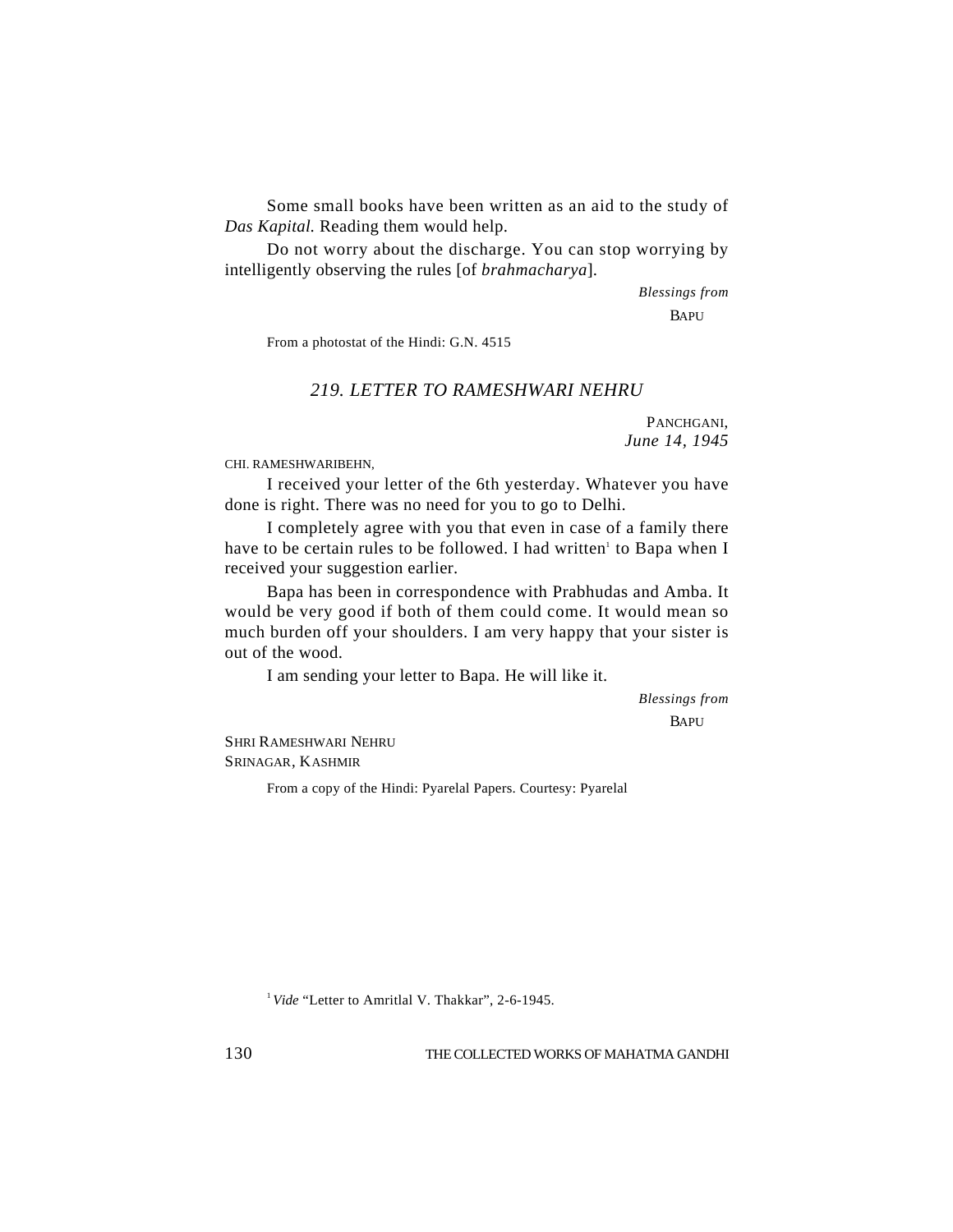Some small books have been written as an aid to the study of *Das Kapital.* Reading them would help.

Do not worry about the discharge. You can stop worrying by intelligently observing the rules [of *brahmacharya*].

*Blessings from*

BAPU

From a photostat of the Hindi: G.N. 4515

## *219. LETTER TO RAMESHWARI NEHRU*

PANCHGANI, *June 14, 1945*

CHI. RAMESHWARIBEHN,

I received your letter of the 6th yesterday. Whatever you have done is right. There was no need for you to go to Delhi.

I completely agree with you that even in case of a family there have to be certain rules to be followed. I had written<sup>1</sup> to Bapa when I received your suggestion earlier.

Bapa has been in correspondence with Prabhudas and Amba. It would be very good if both of them could come. It would mean so much burden off your shoulders. I am very happy that your sister is out of the wood.

I am sending your letter to Bapa. He will like it.

*Blessings from* **BAPU** 

SHRI RAMESHWARI NEHRU SRINAGAR, KASHMIR

From a copy of the Hindi: Pyarelal Papers. Courtesy: Pyarelal

<sup>1</sup> Vide "Letter to Amritlal V. Thakkar", 2-6-1945.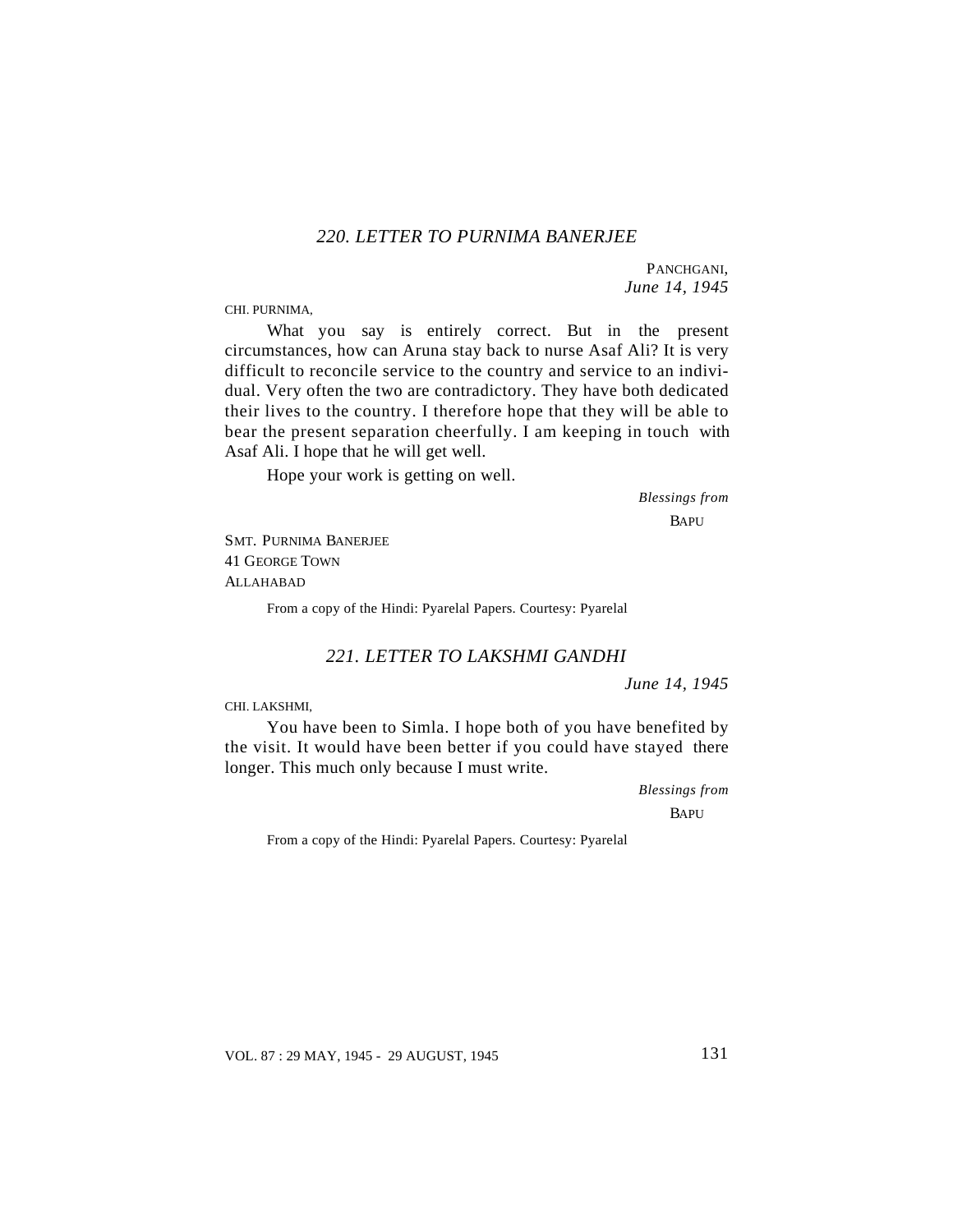#### *220. LETTER TO PURNIMA BANERJEE*

PANCHGANI, *June 14, 1945*

CHI. PURNIMA,

What you say is entirely correct. But in the present circumstances, how can Aruna stay back to nurse Asaf Ali? It is very difficult to reconcile service to the country and service to an individual. Very often the two are contradictory. They have both dedicated their lives to the country. I therefore hope that they will be able to bear the present separation cheerfully. I am keeping in touch with Asaf Ali. I hope that he will get well.

Hope your work is getting on well.

*Blessings from* **BAPU** 

SMT. PURNIMA BANERJEE 41 GEORGE TOWN ALLAHABAD

From a copy of the Hindi: Pyarelal Papers. Courtesy: Pyarelal

#### *221. LETTER TO LAKSHMI GANDHI*

*June 14, 1945*

CHI. LAKSHMI,

You have been to Simla. I hope both of you have benefited by the visit. It would have been better if you could have stayed there longer. This much only because I must write.

> *Blessings from* **BAPU**

From a copy of the Hindi: Pyarelal Papers. Courtesy: Pyarelal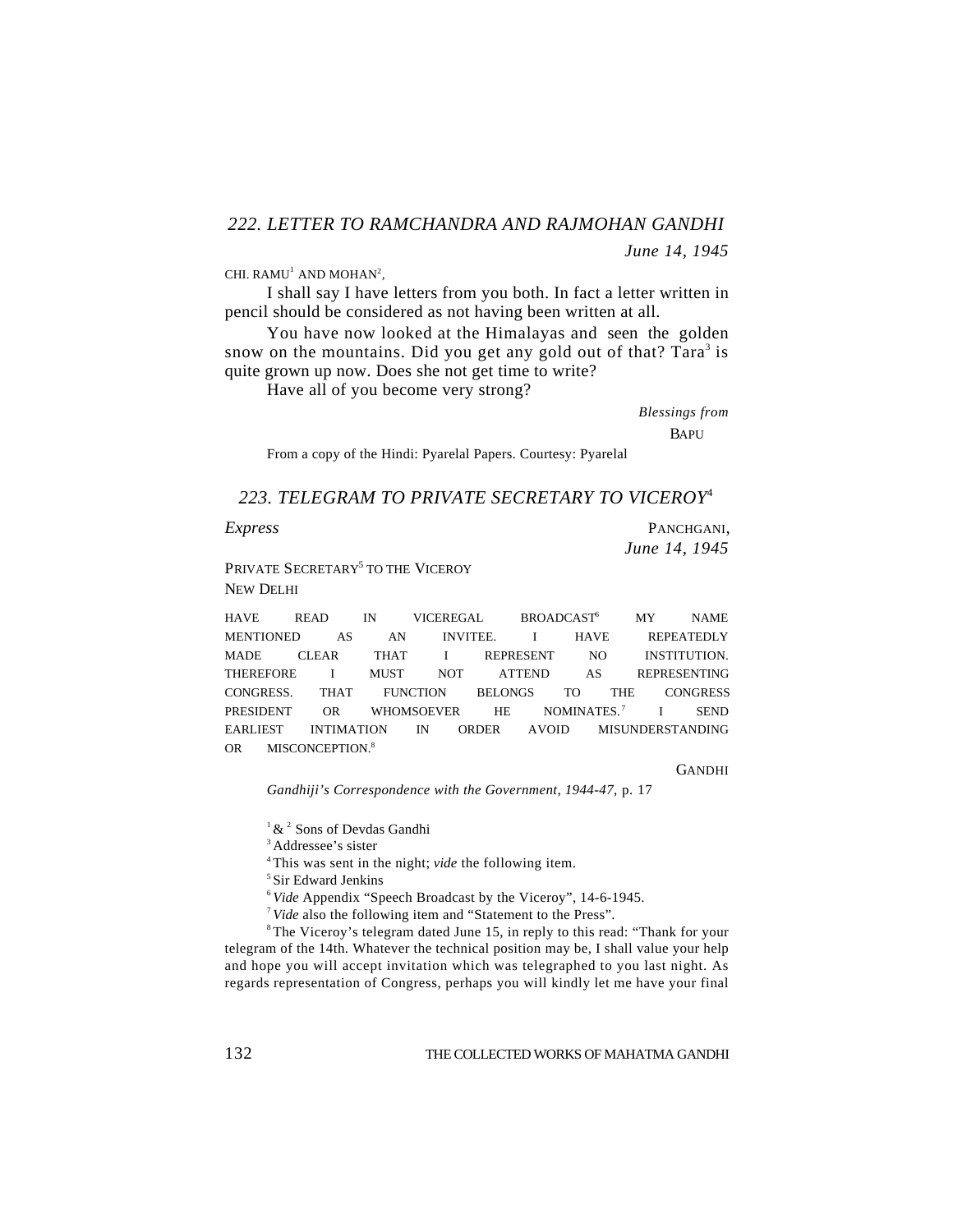#### *222. LETTER TO RAMCHANDRA AND RAJMOHAN GANDHI*

*June 14, 1945*

CHI. RAMU<sup>1</sup> AND MOHAN<sup>2</sup>,

I shall say I have letters from you both. In fact a letter written in pencil should be considered as not having been written at all.

You have now looked at the Himalayas and seen the golden snow on the mountains. Did you get any gold out of that? Tara<sup>3</sup> is quite grown up now. Does she not get time to write?

Have all of you become very strong?

*Blessings from*

BAPU

From a copy of the Hindi: Pyarelal Papers. Courtesy: Pyarelal

*223. TELEGRAM TO PRIVATE SECRETARY TO VICEROY*<sup>4</sup>

*Express* PANCHGANI, *June 14, 1945*

PRIVATE SECRETARY<sup>5</sup> TO THE VICEROY NEW DELHI

HAVE READ IN VICEREGAL BROADCAST<sup>6</sup> MY NAME MENTIONED AS AN INVITEE. I HAVE REPEATEDLY MADE CLEAR THAT I REPRESENT NO INSTITUTION. THEREFORE I MUST NOT ATTEND AS REPRESENTING CONGRESS. THAT FUNCTION BELONGS TO THE CONGRESS PRESIDENT OR WHOMSOEVER HE NOMINATES.<sup>7</sup> I SEND EARLIEST INTIMATION IN ORDER AVOID MISUNDERSTANDING OR MISCONCEPTION<sup>8</sup>

GANDHI

*Gandhiji's Correspondence with the Government, 1944-47*, p. 17

<sup>1</sup> & <sup>2</sup> Sons of Devdas Gandhi

<sup>3</sup> Addressee's sister

<sup>4</sup>This was sent in the night; *vide* the following item.

<sup>5</sup> Sir Edward Jenkins

<sup>6</sup>*Vide* Appendix "Speech Broadcast by the Viceroy", 14-6-1945.

<sup>7</sup>*Vide* also the following item and "Statement to the Press".

<sup>8</sup>The Viceroy's telegram dated June 15, in reply to this read: "Thank for your telegram of the 14th. Whatever the technical position may be, I shall value your help and hope you will accept invitation which was telegraphed to you last night. As regards representation of Congress, perhaps you will kindly let me have your final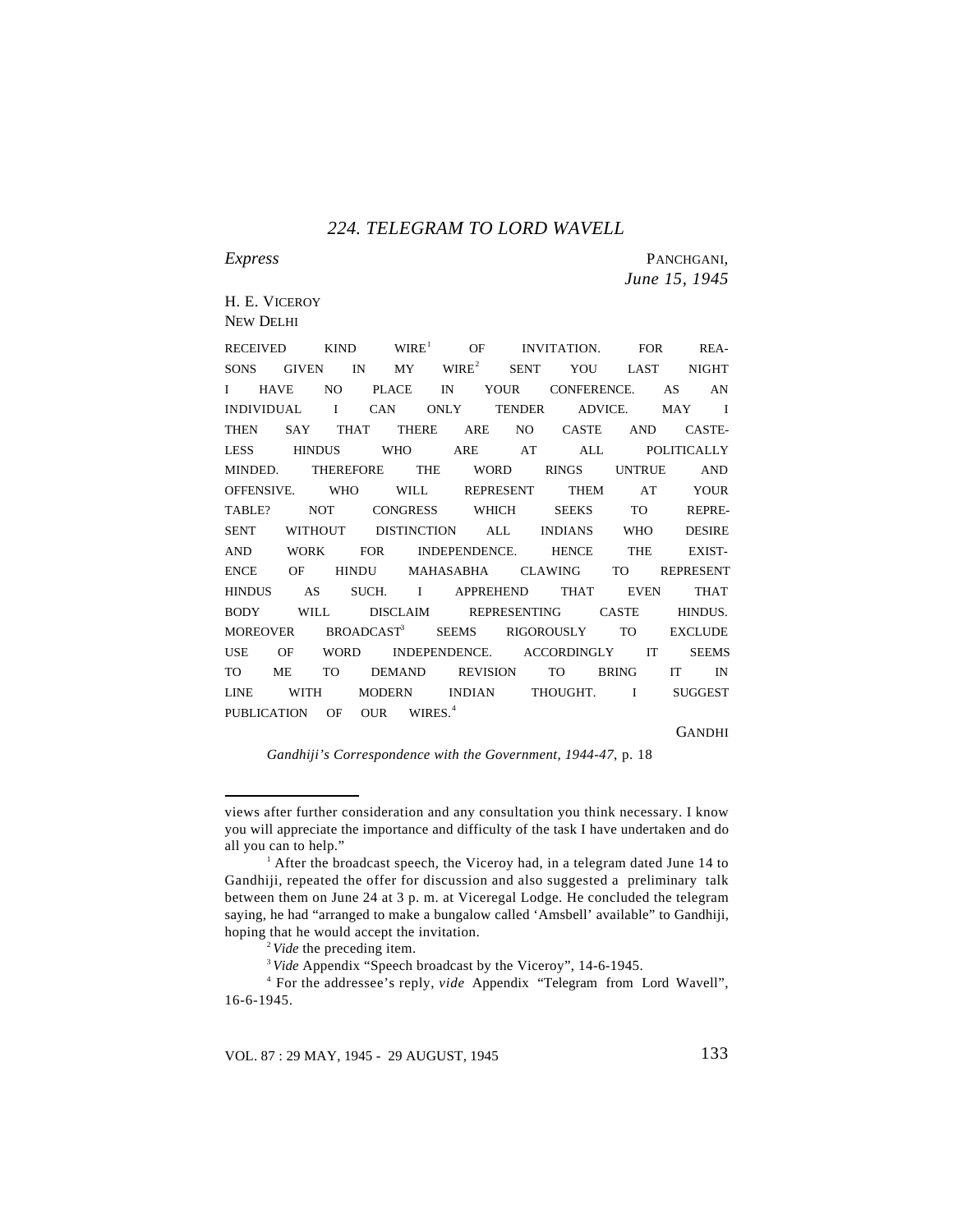## *224. TELEGRAM TO LORD WAVELL*

*Express* PANCHGANI, *June 15, 1945*

H. E. VICEROY NEW DELHI

 $RECEIVED$   $KIND$   $WIRE<sup>1</sup>$   $OF$   $INVITATION$ . FOR REA-SONS GIVEN IN MY WIRE<sup>2</sup> SENT YOU LAST NIGHT I HAVE NO PLACE IN YOUR CONFERENCE. AS AN INDIVIDUAL I CAN ONLY TENDER ADVICE. MAY I THEN SAY THAT THERE ARE NO CASTE AND CASTE-LESS HINDUS WHO ARE AT ALL POLITICALLY MINDED. THEREFORE THE WORD RINGS UNTRUE AND OFFENSIVE. WHO WILL REPRESENT THEM AT YOUR TABLE? NOT CONGRESS WHICH SEEKS TO REPRE-SENT WITHOUT DISTINCTION ALL INDIANS WHO DESIRE AND WORK FOR INDEPENDENCE. HENCE THE EXIST-ENCE OF HINDU MAHASABHA CLAWING TO REPRESENT HINDUS AS SUCH. I APPREHEND THAT EVEN THAT BODY WILL DISCLAIM REPRESENTING CASTE HINDUS. MOREOVER BROADCAST<sup>3</sup> SEEMS RIGOROUSLY TO EXCLUDE USE OF WORD INDEPENDENCE. ACCORDINGLY IT SEEMS TO ME TO DEMAND REVISION TO BRING IT IN LINE WITH MODERN INDIAN THOUGHT. I SUGGEST PUBLICATION OF OUR WIRES.<sup>4</sup>

GANDHI

*Gandhiji's Correspondence with the Government, 1944-47*, p. 18

views after further consideration and any consultation you think necessary. I know you will appreciate the importance and difficulty of the task I have undertaken and do all you can to help."

 $<sup>1</sup>$  After the broadcast speech, the Viceroy had, in a telegram dated June 14 to</sup> Gandhiji, repeated the offer for discussion and also suggested a preliminary talk between them on June 24 at 3 p. m. at Viceregal Lodge. He concluded the telegram saying, he had "arranged to make a bungalow called 'Amsbell' available" to Gandhiji, hoping that he would accept the invitation.

<sup>2</sup>*Vide* the preceding item.

<sup>3</sup>*Vide* Appendix "Speech broadcast by the Viceroy", 14-6-1945.

<sup>&</sup>lt;sup>4</sup> For the addressee's reply, vide Appendix "Telegram from Lord Wavell", 16-6-1945.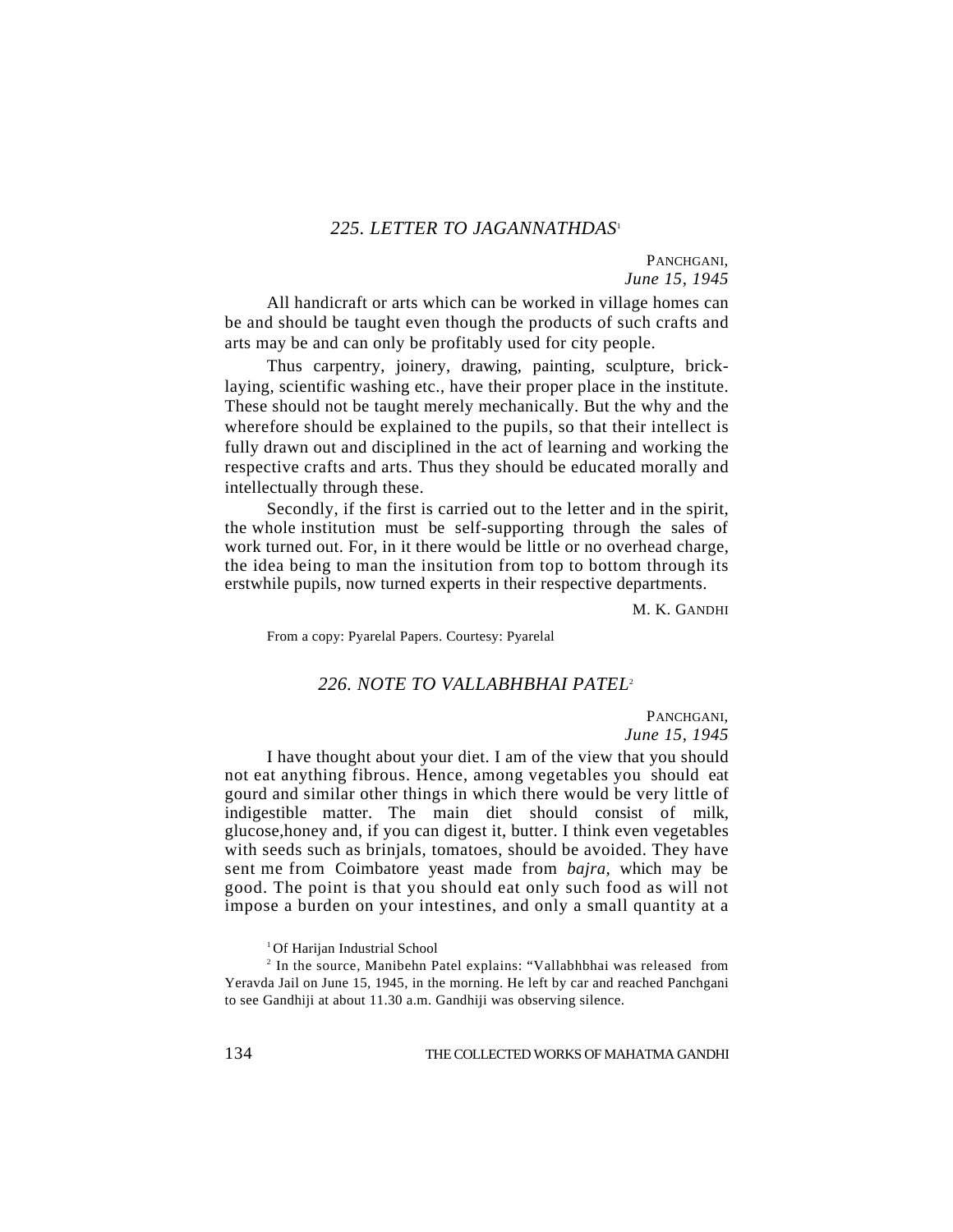#### *225. LETTER TO JAGANNATHDAS*<sup>1</sup>

PANCHGANI, *June 15, 1945*

All handicraft or arts which can be worked in village homes can be and should be taught even though the products of such crafts and arts may be and can only be profitably used for city people.

Thus carpentry, joinery, drawing, painting, sculpture, bricklaying, scientific washing etc., have their proper place in the institute. These should not be taught merely mechanically. But the why and the wherefore should be explained to the pupils, so that their intellect is fully drawn out and disciplined in the act of learning and working the respective crafts and arts. Thus they should be educated morally and intellectually through these.

Secondly, if the first is carried out to the letter and in the spirit, the whole institution must be self-supporting through the sales of work turned out. For, in it there would be little or no overhead charge, the idea being to man the insitution from top to bottom through its erstwhile pupils, now turned experts in their respective departments.

M. K. GANDHI

From a copy: Pyarelal Papers. Courtesy: Pyarelal

#### *226. NOTE TO VALLABHBHAI PATEL*<sup>2</sup>

PANCHGANI, *June 15, 1945*

I have thought about your diet. I am of the view that you should not eat anything fibrous. Hence, among vegetables you should eat gourd and similar other things in which there would be very little of indigestible matter. The main diet should consist of milk, glucose,honey and, if you can digest it, butter. I think even vegetables with seeds such as brinjals, tomatoes, should be avoided. They have sent me from Coimbatore yeast made from *bajra,* which may be good. The point is that you should eat only such food as will not impose a burden on your intestines, and only a small quantity at a

<sup>1</sup>Of Harijan Industrial School

 $2$  In the source, Manibehn Patel explains: "Vallabhbhai was released from Yeravda Jail on June 15, 1945, in the morning. He left by car and reached Panchgani to see Gandhiji at about 11.30 a.m. Gandhiji was observing silence.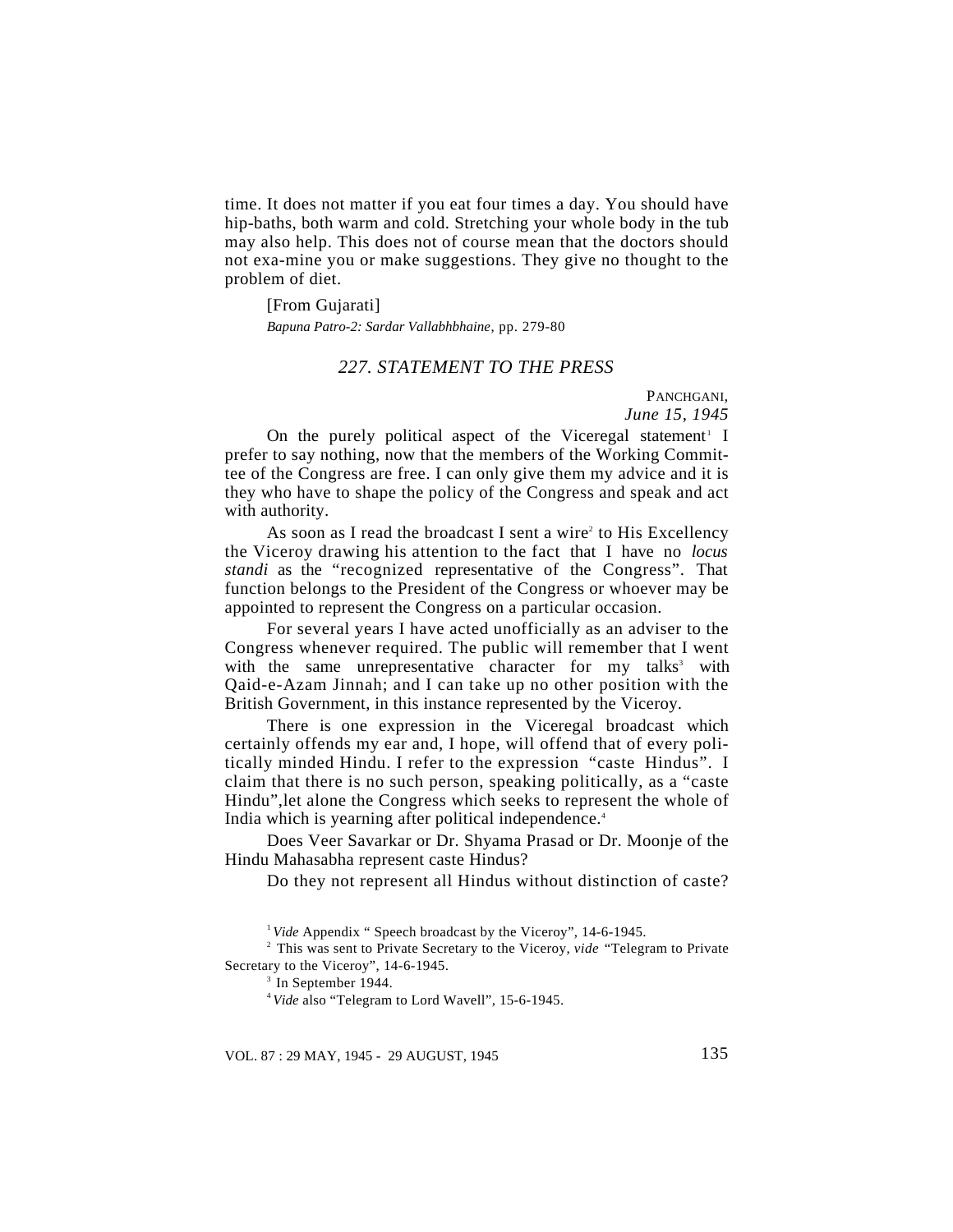time. It does not matter if you eat four times a day. You should have hip-baths, both warm and cold. Stretching your whole body in the tub may also help. This does not of course mean that the doctors should not exa-mine you or make suggestions. They give no thought to the problem of diet.

[From Gujarati] *Bapuna Patro-2: Sardar Vallabhbhaine*, pp. 279-80

#### *227. STATEMENT TO THE PRESS*

PANCHGANI, *June 15, 1945*

On the purely political aspect of the Viceregal statement<sup>1</sup> I prefer to say nothing, now that the members of the Working Committee of the Congress are free. I can only give them my advice and it is they who have to shape the policy of the Congress and speak and act with authority.

As soon as I read the broadcast I sent a wire<sup>2</sup> to His Excellency the Viceroy drawing his attention to the fact that I have no *locus standi* as the "recognized representative of the Congress". That function belongs to the President of the Congress or whoever may be appointed to represent the Congress on a particular occasion.

For several years I have acted unofficially as an adviser to the Congress whenever required. The public will remember that I went with the same unrepresentative character for my talks<sup>3</sup> with Qaid-e-Azam Jinnah; and I can take up no other position with the British Government, in this instance represented by the Viceroy.

There is one expression in the Viceregal broadcast which certainly offends my ear and, I hope, will offend that of every politically minded Hindu. I refer to the expression "caste Hindus". I claim that there is no such person, speaking politically, as a "caste Hindu",let alone the Congress which seeks to represent the whole of India which is yearning after political independence.<sup>4</sup>

Does Veer Savarkar or Dr. Shyama Prasad or Dr. Moonje of the Hindu Mahasabha represent caste Hindus?

Do they not represent all Hindus without distinction of caste?

<sup>2</sup>This was sent to Private Secretary to the Viceroy, *vide* "Telegram to Private Secretary to the Viceroy", 14-6-1945.

<sup>&</sup>lt;sup>1</sup> Vide Appendix " Speech broadcast by the Viceroy", 14-6-1945.

<sup>&</sup>lt;sup>3</sup> In September 1944.

<sup>4</sup>*Vide* also "Telegram to Lord Wavell", 15-6-1945.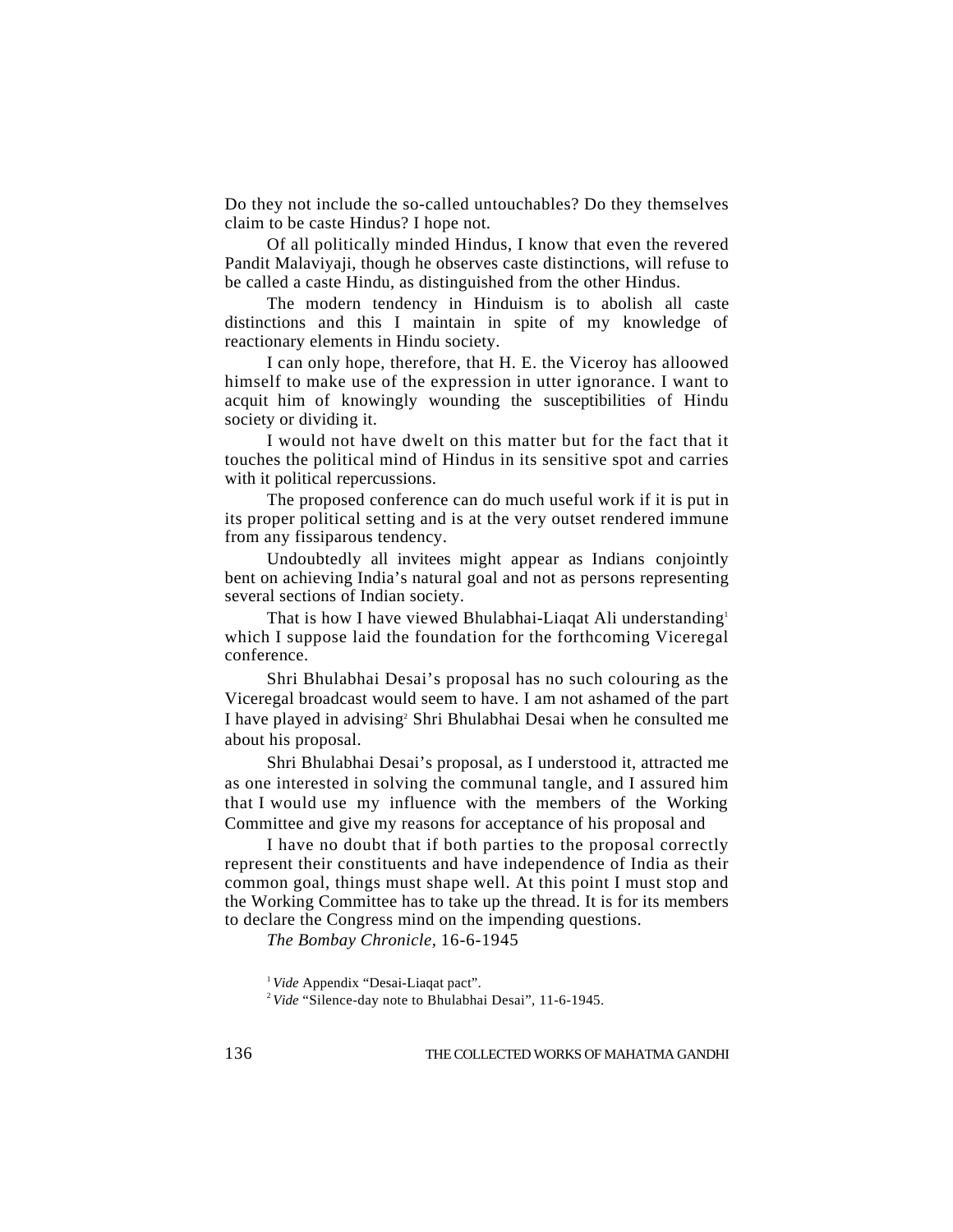Do they not include the so-called untouchables? Do they themselves claim to be caste Hindus? I hope not.

Of all politically minded Hindus, I know that even the revered Pandit Malaviyaji, though he observes caste distinctions, will refuse to be called a caste Hindu, as distinguished from the other Hindus.

The modern tendency in Hinduism is to abolish all caste distinctions and this I maintain in spite of my knowledge of reactionary elements in Hindu society.

I can only hope, therefore, that H. E. the Viceroy has alloowed himself to make use of the expression in utter ignorance. I want to acquit him of knowingly wounding the susceptibilities of Hindu society or dividing it.

I would not have dwelt on this matter but for the fact that it touches the political mind of Hindus in its sensitive spot and carries with it political repercussions.

The proposed conference can do much useful work if it is put in its proper political setting and is at the very outset rendered immune from any fissiparous tendency.

Undoubtedly all invitees might appear as Indians conjointly bent on achieving India's natural goal and not as persons representing several sections of Indian society.

That is how I have viewed Bhulabhai-Liaqat Ali understanding<sup>1</sup> which I suppose laid the foundation for the forthcoming Viceregal conference.

Shri Bhulabhai Desai's proposal has no such colouring as the Viceregal broadcast would seem to have. I am not ashamed of the part I have played in advising<sup>2</sup> Shri Bhulabhai Desai when he consulted me about his proposal.

Shri Bhulabhai Desai's proposal, as I understood it, attracted me as one interested in solving the communal tangle, and I assured him that I would use my influence with the members of the Working Committee and give my reasons for acceptance of his proposal and

I have no doubt that if both parties to the proposal correctly represent their constituents and have independence of India as their common goal, things must shape well. At this point I must stop and the Working Committee has to take up the thread. It is for its members to declare the Congress mind on the impending questions.

*The Bombay Chronicle,* 16-6-1945

<sup>&</sup>lt;sup>1</sup> Vide Appendix "Desai-Liaqat pact".

<sup>2</sup>*Vide* "Silence-day note to Bhulabhai Desai", 11-6-1945.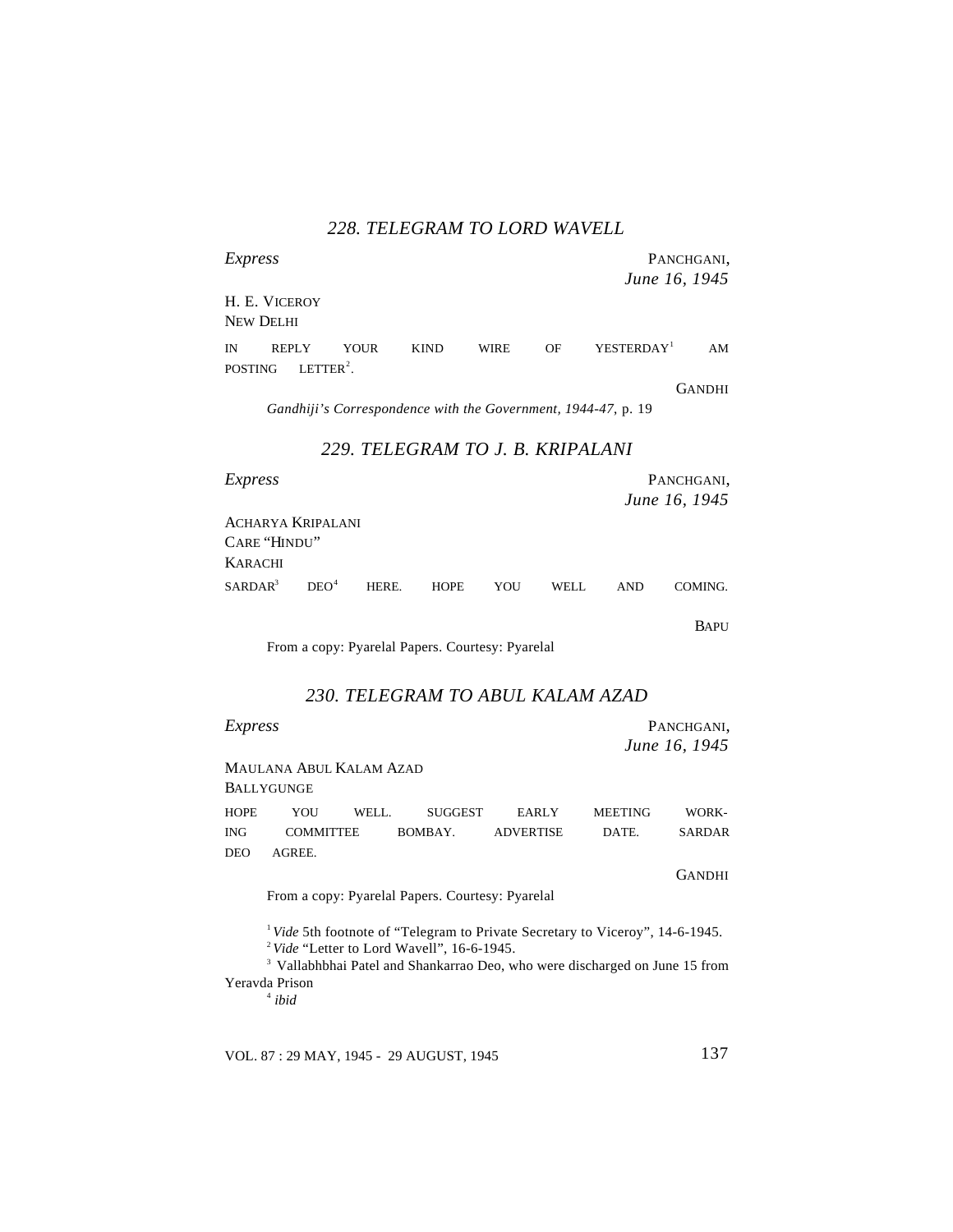# *228. TELEGRAM TO LORD WAVELL Express* PANCHGANI,

|                                  |                                          |                                |                                                               |                  |             |                        | June 16, 1945               |  |  |  |  |  |
|----------------------------------|------------------------------------------|--------------------------------|---------------------------------------------------------------|------------------|-------------|------------------------|-----------------------------|--|--|--|--|--|
|                                  | H. E. VICEROY                            |                                |                                                               |                  |             |                        |                             |  |  |  |  |  |
| <b>NEW DELHI</b>                 |                                          |                                |                                                               |                  |             |                        |                             |  |  |  |  |  |
| IN<br>POSTING                    | <b>REPLY</b><br>LETTER <sup>2</sup> .    | <b>YOUR</b>                    | <b>KIND</b>                                                   | <b>WIRE</b>      | <b>OF</b>   | YESTERDAY <sup>1</sup> | AM                          |  |  |  |  |  |
|                                  |                                          |                                |                                                               |                  |             |                        | <b>GANDHI</b>               |  |  |  |  |  |
|                                  |                                          |                                | Gandhiji's Correspondence with the Government, 1944-47, p. 19 |                  |             |                        |                             |  |  |  |  |  |
| 229. TELEGRAM TO J. B. KRIPALANI |                                          |                                |                                                               |                  |             |                        |                             |  |  |  |  |  |
|                                  |                                          |                                |                                                               |                  |             |                        | PANCHGANI,                  |  |  |  |  |  |
| <i>Express</i>                   |                                          |                                |                                                               |                  |             |                        | June 16, 1945               |  |  |  |  |  |
| <b>KARACHI</b>                   | <b>ACHARYA KRIPALANI</b><br>CARE "HINDU" |                                |                                                               |                  |             |                        |                             |  |  |  |  |  |
| SARDAR <sup>3</sup>              | DEO <sup>4</sup>                         | HERE.                          | <b>HOPE</b>                                                   | YOU              | <b>WELL</b> | <b>AND</b>             | COMING.                     |  |  |  |  |  |
|                                  |                                          |                                |                                                               |                  |             |                        | <b>BAPU</b>                 |  |  |  |  |  |
|                                  |                                          |                                | From a copy: Pyarelal Papers. Courtesy: Pyarelal              |                  |             |                        |                             |  |  |  |  |  |
|                                  |                                          |                                | 230. TELEGRAM TO ABUL KALAM AZAD                              |                  |             |                        |                             |  |  |  |  |  |
| <i>Express</i>                   |                                          |                                |                                                               |                  |             |                        | PANCHGANI,<br>June 16, 1945 |  |  |  |  |  |
|                                  |                                          | <b>MAULANA ABUL KALAM AZAD</b> |                                                               |                  |             |                        |                             |  |  |  |  |  |
| <b>BALLYGUNGE</b>                |                                          |                                |                                                               |                  |             |                        |                             |  |  |  |  |  |
| <b>HOPE</b>                      | YOU                                      | WELL.                          | <b>SUGGEST</b>                                                | EARLY            |             | <b>MEETING</b>         | WORK-                       |  |  |  |  |  |
| <b>ING</b><br>DEO                | <b>COMMITTEE</b><br>AGREE.               |                                | BOMBAY.                                                       | <b>ADVERTISE</b> |             | DATE.                  | <b>SARDAR</b>               |  |  |  |  |  |

GANDHI

From a copy: Pyarelal Papers. Courtesy: Pyarelal

<sup>1</sup> Vide 5th footnote of "Telegram to Private Secretary to Viceroy", 14-6-1945. <sup>2</sup> Vide "Letter to Lord Wavell", 16-6-1945.

<sup>3</sup> Vallabhbhai Patel and Shankarrao Deo, who were discharged on June 15 from Yeravda Prison

4 *ibid*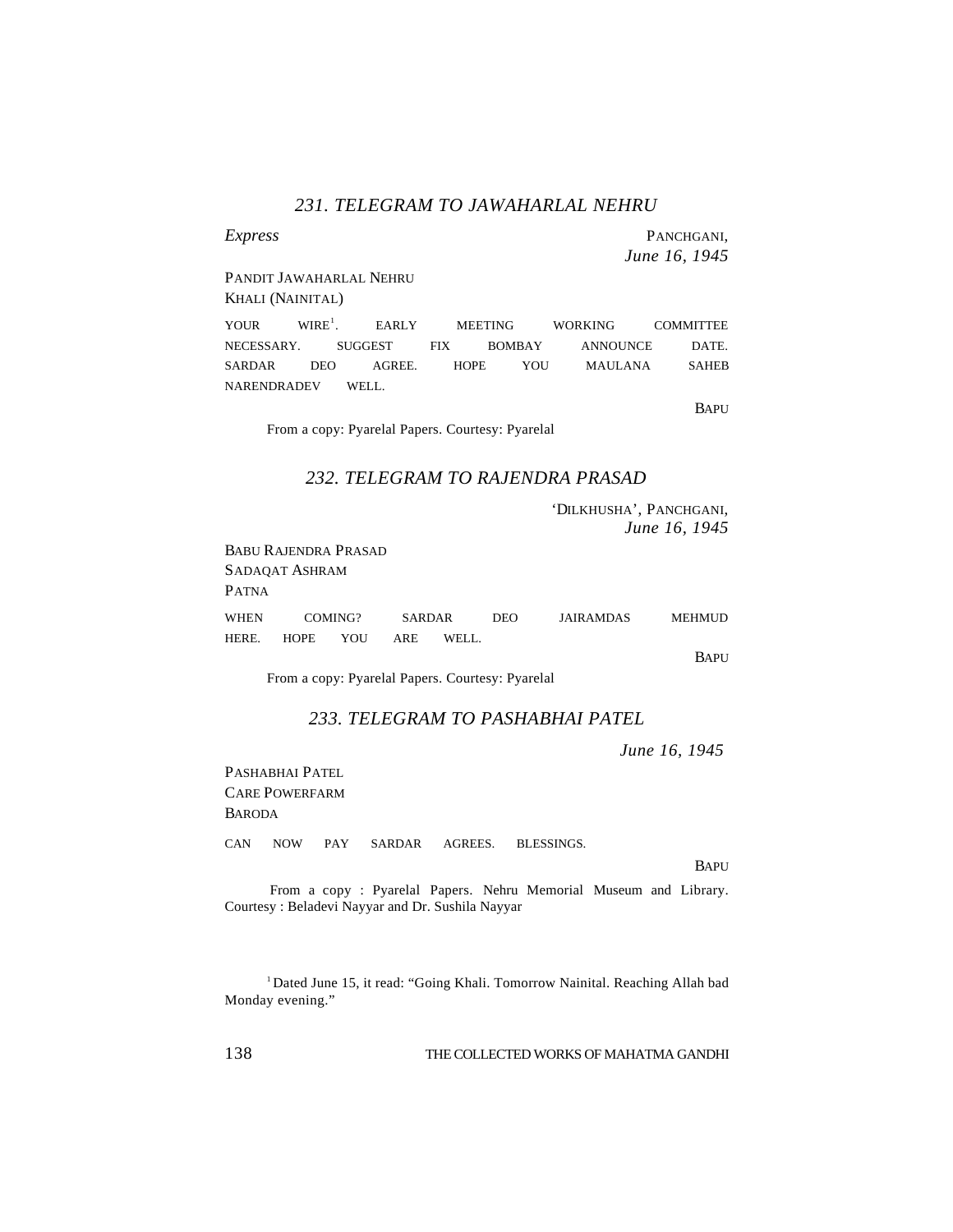## *231. TELEGRAM TO JAWAHARLAL NEHRU*

*Express* PANCHGANI, *June 16, 1945*

PANDIT JAWAHARLAL NEHRU KHALI (NAINITAL)

YOUR  $WIRE^1$ . EARLY MEETING WORKING COMMITTEE NECESSARY. SUGGEST FIX BOMBAY ANNOUNCE DATE. SARDAR DEO AGREE. HOPE YOU MAULANA SAHEB NARENDRADEV WELL.

**BAPU** 

From a copy: Pyarelal Papers. Courtesy: Pyarelal

## *232. TELEGRAM TO RAJENDRA PRASAD*

'DILKHUSHA', PANCHGANI, *June 16, 1945* BABU RAJENDRA PRASAD SADAQAT ASHRAM PATNA WHEN COMING? SARDAR DEO JAIRAMDAS MEHMUD HERE. HOPE YOU ARE WELL. **BAPU** 

From a copy: Pyarelal Papers. Courtesy: Pyarelal

#### *233. TELEGRAM TO PASHABHAI PATEL*

*June 16, 1945*

PASHABHAI PATEL CARE POWERFARM BARODA

CAN NOW PAY SARDAR AGREES. BLESSINGS.

**BAPU** 

From a copy : Pyarelal Papers. Nehru Memorial Museum and Library. Courtesy : Beladevi Nayyar and Dr. Sushila Nayyar

<sup>1</sup>Dated June 15, it read: "Going Khali. Tomorrow Nainital. Reaching Allah bad Monday evening."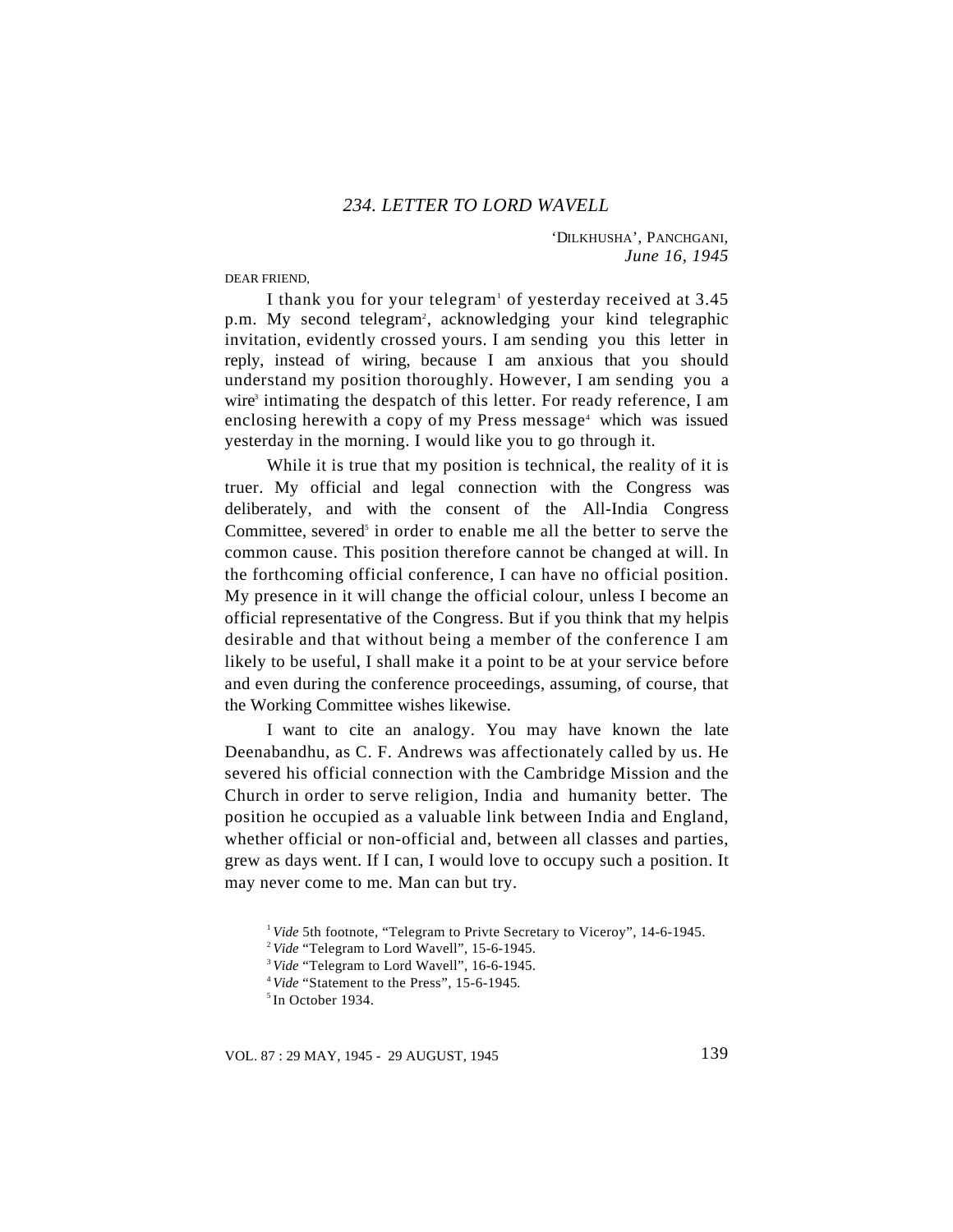#### *234. LETTER TO LORD WAVELL*

'DILKHUSHA', PANCHGANI, *June 16, 1945*

DEAR FRIEND,

I thank you for your telegram<sup>1</sup> of yesterday received at 3.45 p.m. My second telegram<sup>2</sup>, acknowledging your kind telegraphic invitation, evidently crossed yours. I am sending you this letter in reply, instead of wiring, because I am anxious that you should understand my position thoroughly. However, I am sending you a wire<sup>3</sup> intimating the despatch of this letter. For ready reference, I am enclosing herewith a copy of my Press message<sup> $4$ </sup> which was issued yesterday in the morning. I would like you to go through it.

While it is true that my position is technical, the reality of it is truer. My official and legal connection with the Congress was deliberately, and with the consent of the All-India Congress Committee, severed<sup>5</sup> in order to enable me all the better to serve the common cause. This position therefore cannot be changed at will. In the forthcoming official conference, I can have no official position. My presence in it will change the official colour, unless I become an official representative of the Congress. But if you think that my helpis desirable and that without being a member of the conference I am likely to be useful, I shall make it a point to be at your service before and even during the conference proceedings, assuming, of course, that the Working Committee wishes likewise.

I want to cite an analogy. You may have known the late Deenabandhu, as C. F. Andrews was affectionately called by us. He severed his official connection with the Cambridge Mission and the Church in order to serve religion, India and humanity better. The position he occupied as a valuable link between India and England, whether official or non-official and, between all classes and parties, grew as days went. If I can, I would love to occupy such a position. It may never come to me. Man can but try.

<sup>&</sup>lt;sup>1</sup> Vide 5th footnote, "Telegram to Privte Secretary to Viceroy", 14-6-1945.

<sup>&</sup>lt;sup>2</sup> Vide "Telegram to Lord Wavell", 15-6-1945.

<sup>&</sup>lt;sup>3</sup> Vide "Telegram to Lord Wavell", 16-6-1945.

<sup>4</sup>*Vide* "Statement to the Press", 15-6-1945*.*

 $<sup>5</sup>$  In October 1934.</sup>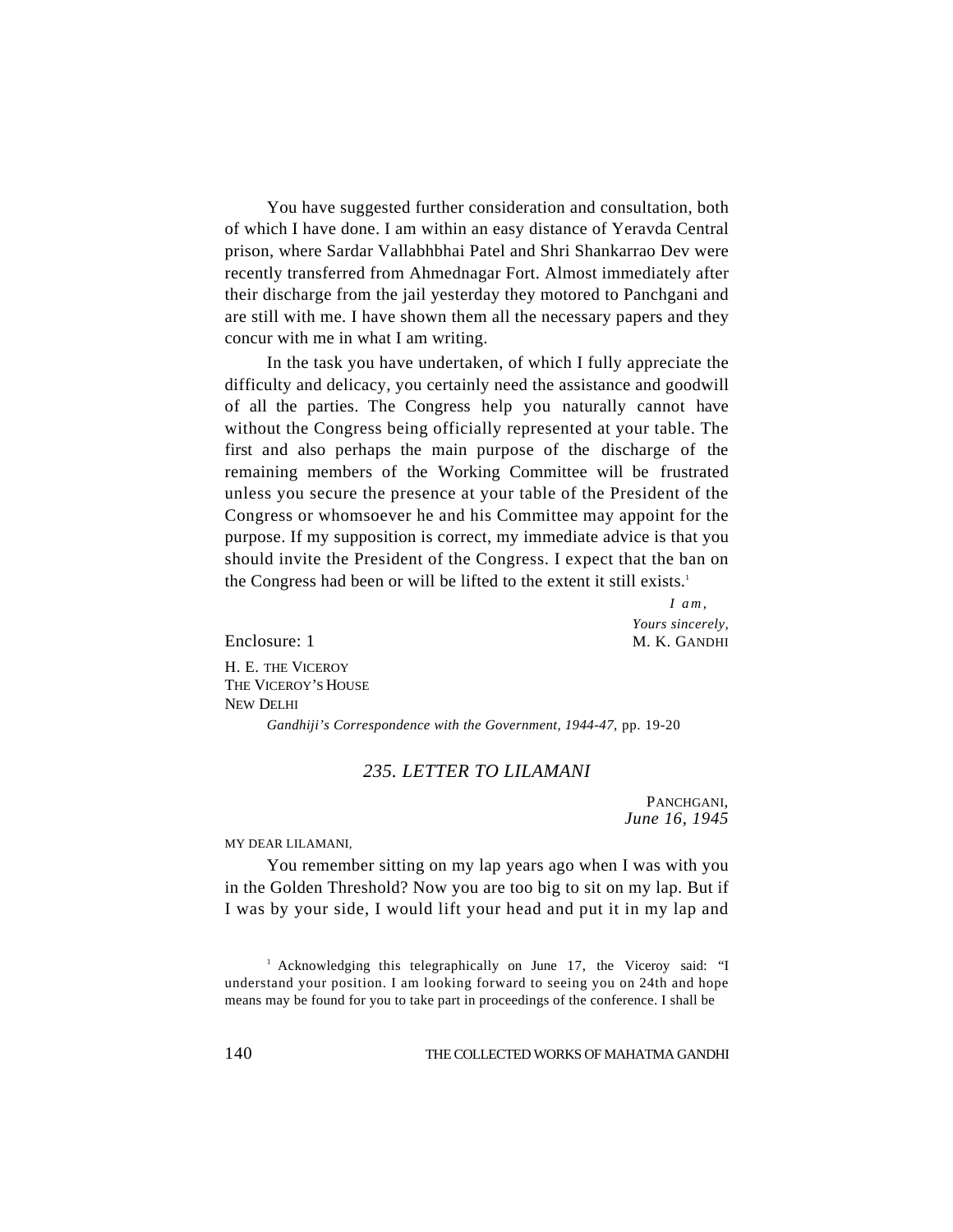You have suggested further consideration and consultation, both of which I have done. I am within an easy distance of Yeravda Central prison, where Sardar Vallabhbhai Patel and Shri Shankarrao Dev were recently transferred from Ahmednagar Fort. Almost immediately after their discharge from the jail yesterday they motored to Panchgani and are still with me. I have shown them all the necessary papers and they concur with me in what I am writing.

In the task you have undertaken, of which I fully appreciate the difficulty and delicacy, you certainly need the assistance and goodwill of all the parties. The Congress help you naturally cannot have without the Congress being officially represented at your table. The first and also perhaps the main purpose of the discharge of the remaining members of the Working Committee will be frustrated unless you secure the presence at your table of the President of the Congress or whomsoever he and his Committee may appoint for the purpose. If my supposition is correct, my immediate advice is that you should invite the President of the Congress. I expect that the ban on the Congress had been or will be lifted to the extent it still exists.<sup>1</sup>

 $I$  *am Yours sincerely,* Enclosure: 1 M. K. GANDHI

H. E. THE VICEROY THE VICEROY'S HOUSE NEW DELHI *Gandhiji's Correspondence with the Government, 1944-47*, pp. 19-20

#### *235. LETTER TO LILAMANI*

PANCHGANI, *June 16, 1945*

MY DEAR LILAMANI,

You remember sitting on my lap years ago when I was with you in the Golden Threshold? Now you are too big to sit on my lap. But if I was by your side, I would lift your head and put it in my lap and

<sup>&</sup>lt;sup>1</sup> Acknowledging this telegraphically on June 17, the Viceroy said: "I understand your position. I am looking forward to seeing you on 24th and hope means may be found for you to take part in proceedings of the conference. I shall be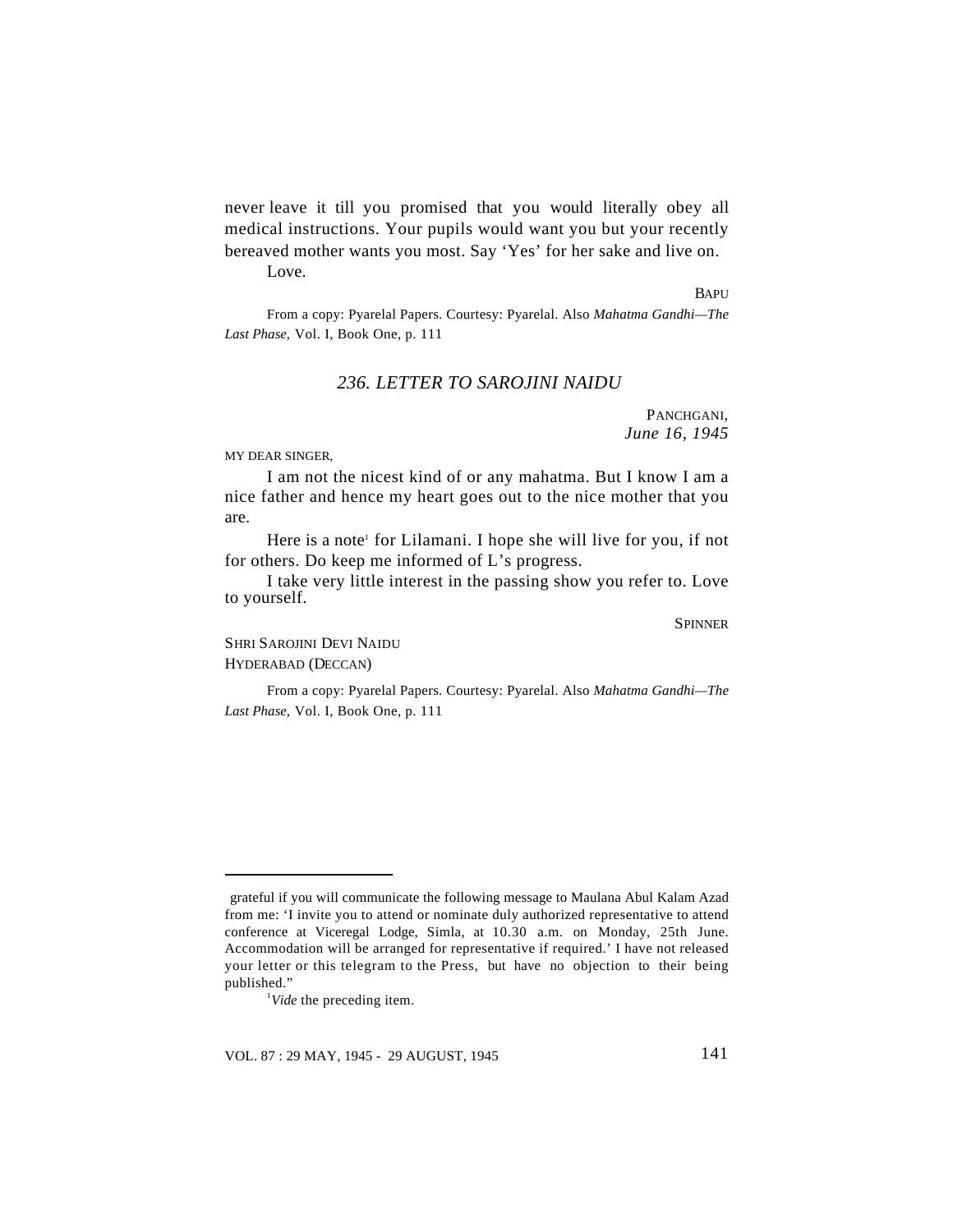never leave it till you promised that you would literally obey all medical instructions. Your pupils would want you but your recently bereaved mother wants you most. Say 'Yes' for her sake and live on.

Love.

**BAPU** 

From a copy: Pyarelal Papers. Courtesy: Pyarelal. Also *Mahatma Gandhi—The Last Phase,* Vol. I, Book One, p. 111

#### *236. LETTER TO SAROJINI NAIDU*

PANCHGANI, *June 16, 1945*

MY DEAR SINGER,

I am not the nicest kind of or any mahatma. But I know I am a nice father and hence my heart goes out to the nice mother that you are.

Here is a note<sup>1</sup> for Lilamani. I hope she will live for you, if not for others. Do keep me informed of L's progress.

I take very little interest in the passing show you refer to. Love to yourself.

**SPINNER** 

SHRI SAROJINI DEVI NAIDU HYDERABAD (DECCAN)

From a copy: Pyarelal Papers. Courtesy: Pyarelal. Also *Mahatma Gandhi—The Last Phase,* Vol. I, Book One, p. 111

grateful if you will communicate the following message to Maulana Abul Kalam Azad from me: 'I invite you to attend or nominate duly authorized representative to attend conference at Viceregal Lodge, Simla, at 10.30 a.m. on Monday, 25th June. Accommodation will be arranged for representative if required.' I have not released your letter or this telegram to the Press, but have no objection to their being published."

<sup>&</sup>lt;sup>1</sup>*Vide* the preceding item.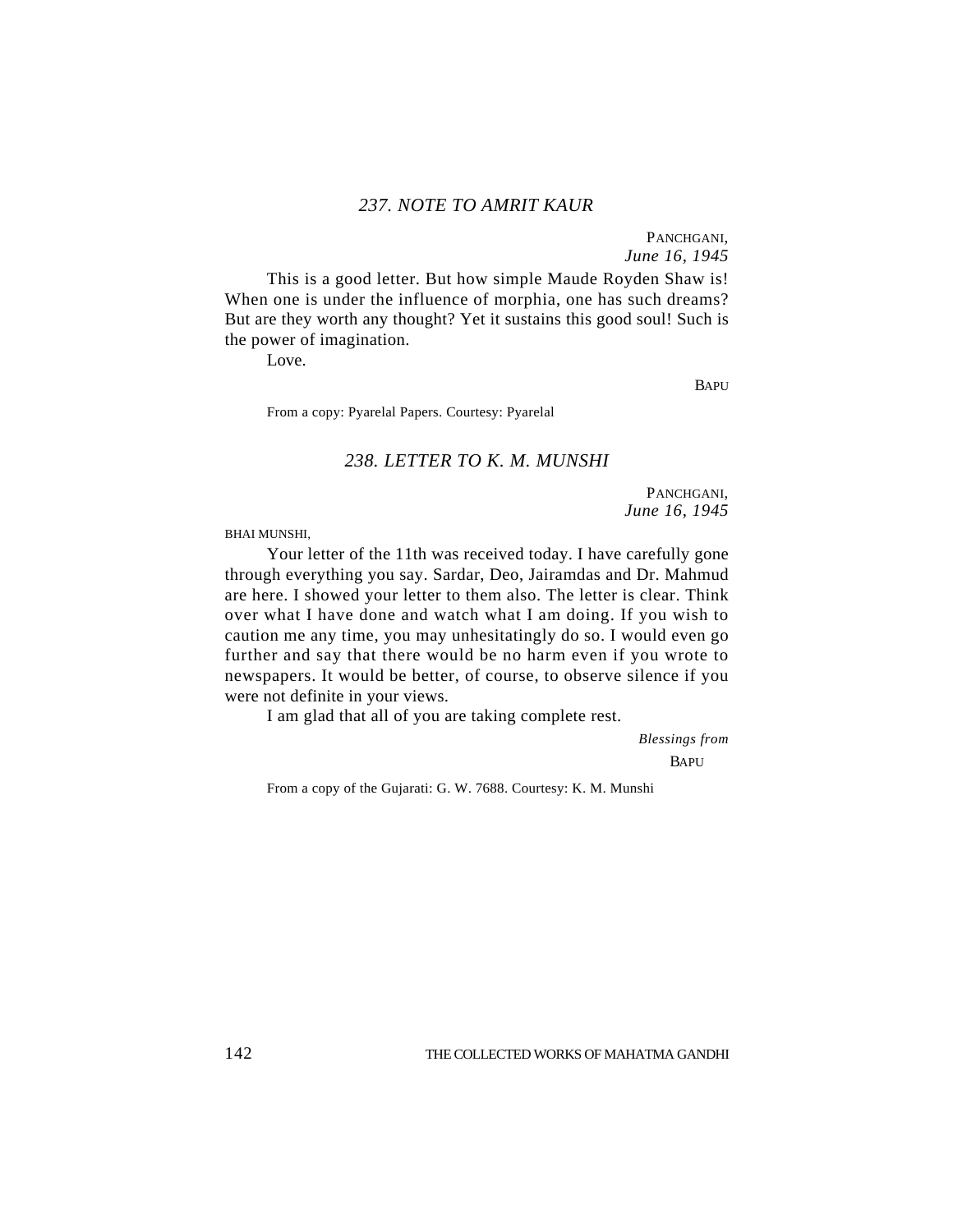#### *237. NOTE TO AMRIT KAUR*

PANCHGANI. *June 16, 1945*

This is a good letter. But how simple Maude Royden Shaw is! When one is under the influence of morphia, one has such dreams? But are they worth any thought? Yet it sustains this good soul! Such is the power of imagination.

Love.

**BAPU** 

From a copy: Pyarelal Papers. Courtesy: Pyarelal

#### *238. LETTER TO K. M. MUNSHI*

PANCHGANI*, June 16, 1945*

BHAI MUNSHI,

Your letter of the 11th was received today. I have carefully gone through everything you say. Sardar, Deo, Jairamdas and Dr. Mahmud are here. I showed your letter to them also. The letter is clear. Think over what I have done and watch what I am doing. If you wish to caution me any time, you may unhesitatingly do so. I would even go further and say that there would be no harm even if you wrote to newspapers. It would be better, of course, to observe silence if you were not definite in your views.

I am glad that all of you are taking complete rest.

*Blessings from*

**BAPU** 

From a copy of the Gujarati: G. W. 7688. Courtesy: K. M. Munshi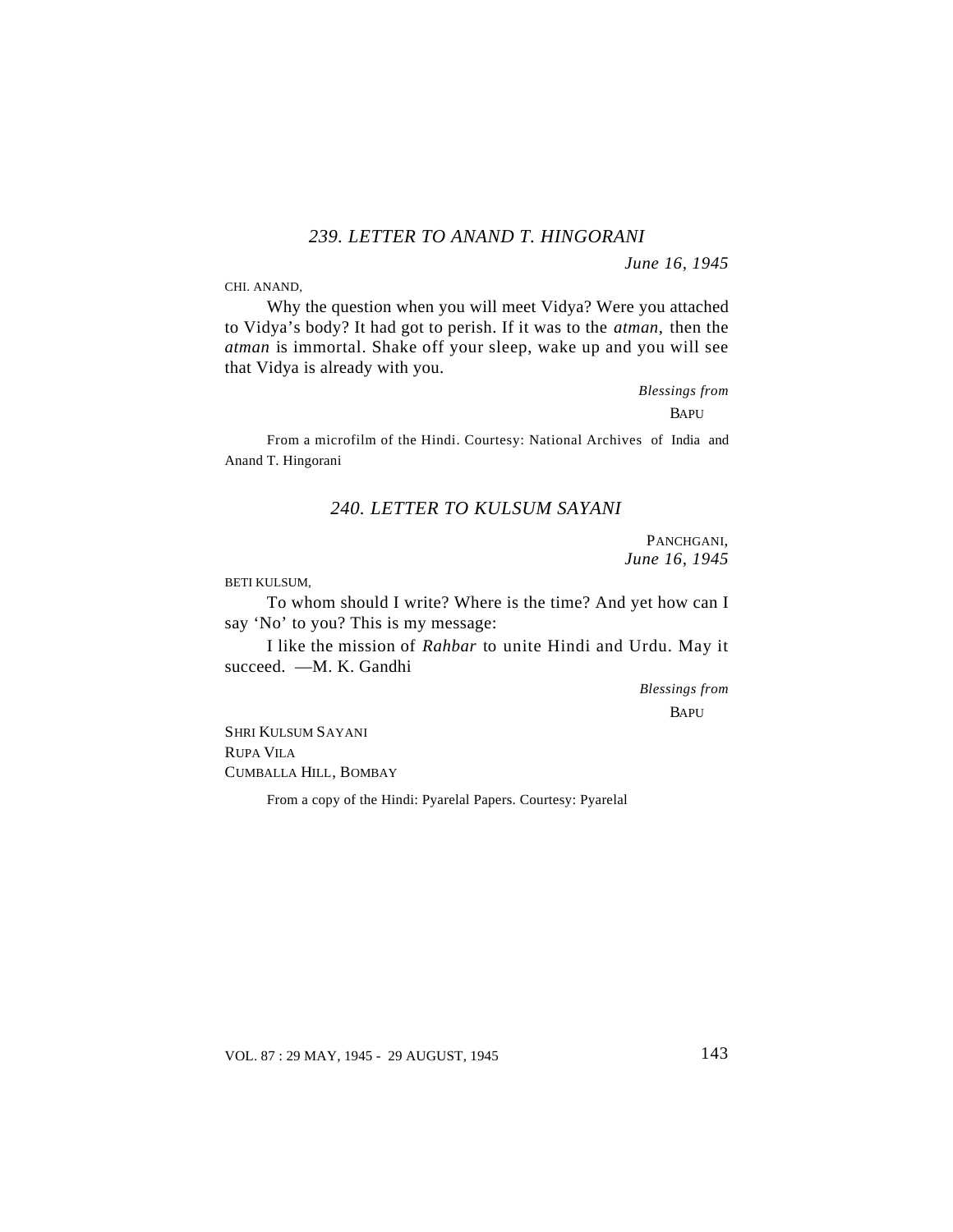#### *239. LETTER TO ANAND T. HINGORANI*

*June 16, 1945*

CHI. ANAND,

Why the question when you will meet Vidya? Were you attached to Vidya's body? It had got to perish. If it was to the *atman,* then the *atman* is immortal. Shake off your sleep, wake up and you will see that Vidya is already with you.

> *Blessings from* **BAPU**

From a microfilm of the Hindi. Courtesy: National Archives of India and Anand T. Hingorani

#### *240. LETTER TO KULSUM SAYANI*

PANCHGANI, *June 16, 1945*

BETI KULSUM,

To whom should I write? Where is the time? And yet how can I say 'No' to you? This is my message:

I like the mission of *Rahbar* to unite Hindi and Urdu. May it succeed. —M. K. Gandhi

> *Blessings from* BAPU

SHRI KULSUM SAYANI RUPA VILA CUMBALLA HILL, BOMBAY

From a copy of the Hindi: Pyarelal Papers. Courtesy: Pyarelal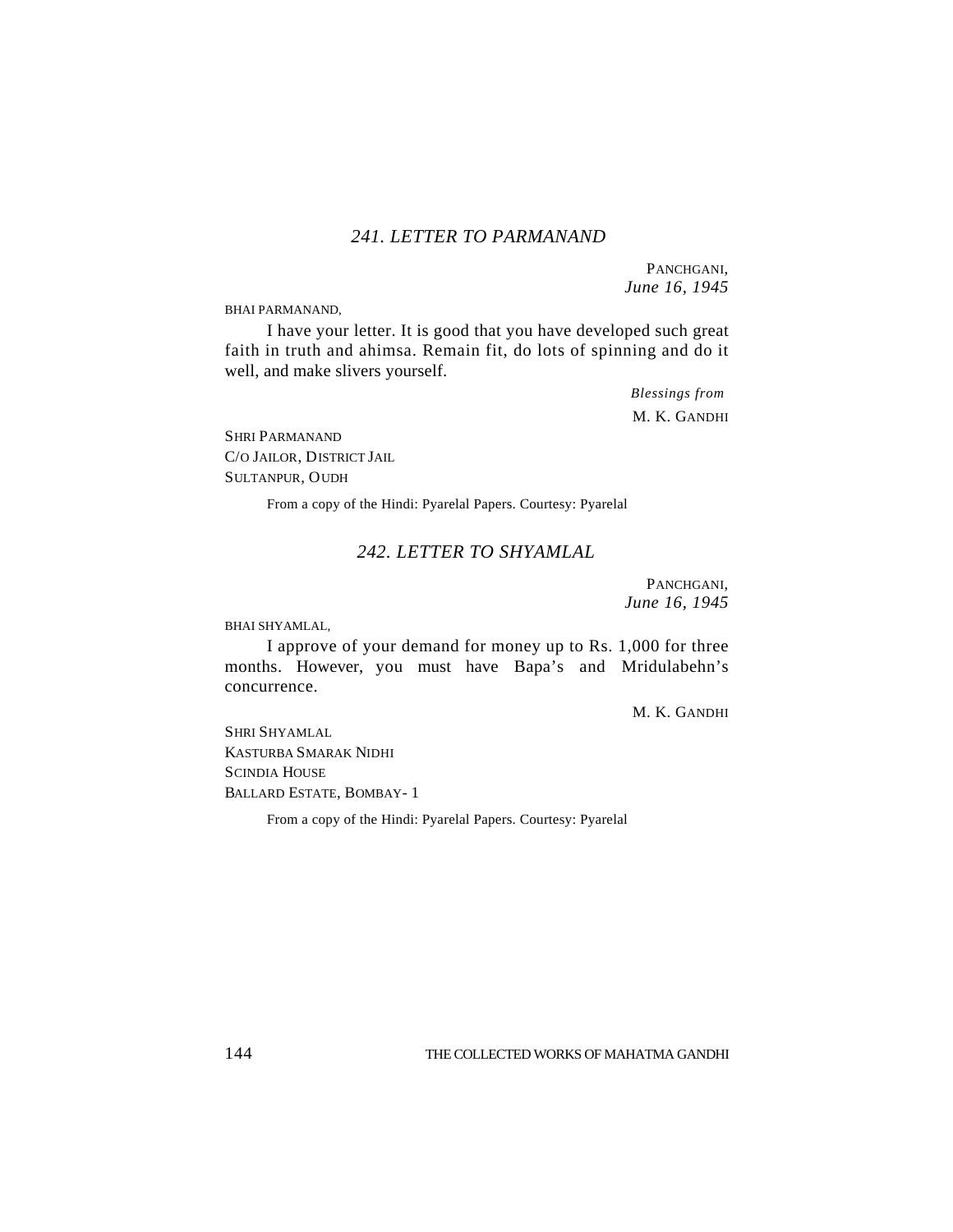## *241. LETTER TO PARMANAND*

PANCHGANI, *June 16, 1945*

#### BHAI PARMANAND,

I have your letter. It is good that you have developed such great faith in truth and ahimsa. Remain fit, do lots of spinning and do it well, and make slivers yourself.

> *Blessings from*  M. K. GANDHI

SHRI PARMANAND C/O JAILOR, DISTRICT JAIL SULTANPUR, OUDH

From a copy of the Hindi: Pyarelal Papers. Courtesy: Pyarelal

## *242. LETTER TO SHYAMLAL*

PANCHGANI, *June 16, 1945*

BHAI SHYAMLAL,

I approve of your demand for money up to Rs. 1,000 for three months. However, you must have Bapa's and Mridulabehn's concurrence.

M. K. GANDHI

SHRI SHYAMLAL KASTURBA SMARAK NIDHI SCINDIA HOUSE BALLARD ESTATE, BOMBAY- 1

From a copy of the Hindi: Pyarelal Papers. Courtesy: Pyarelal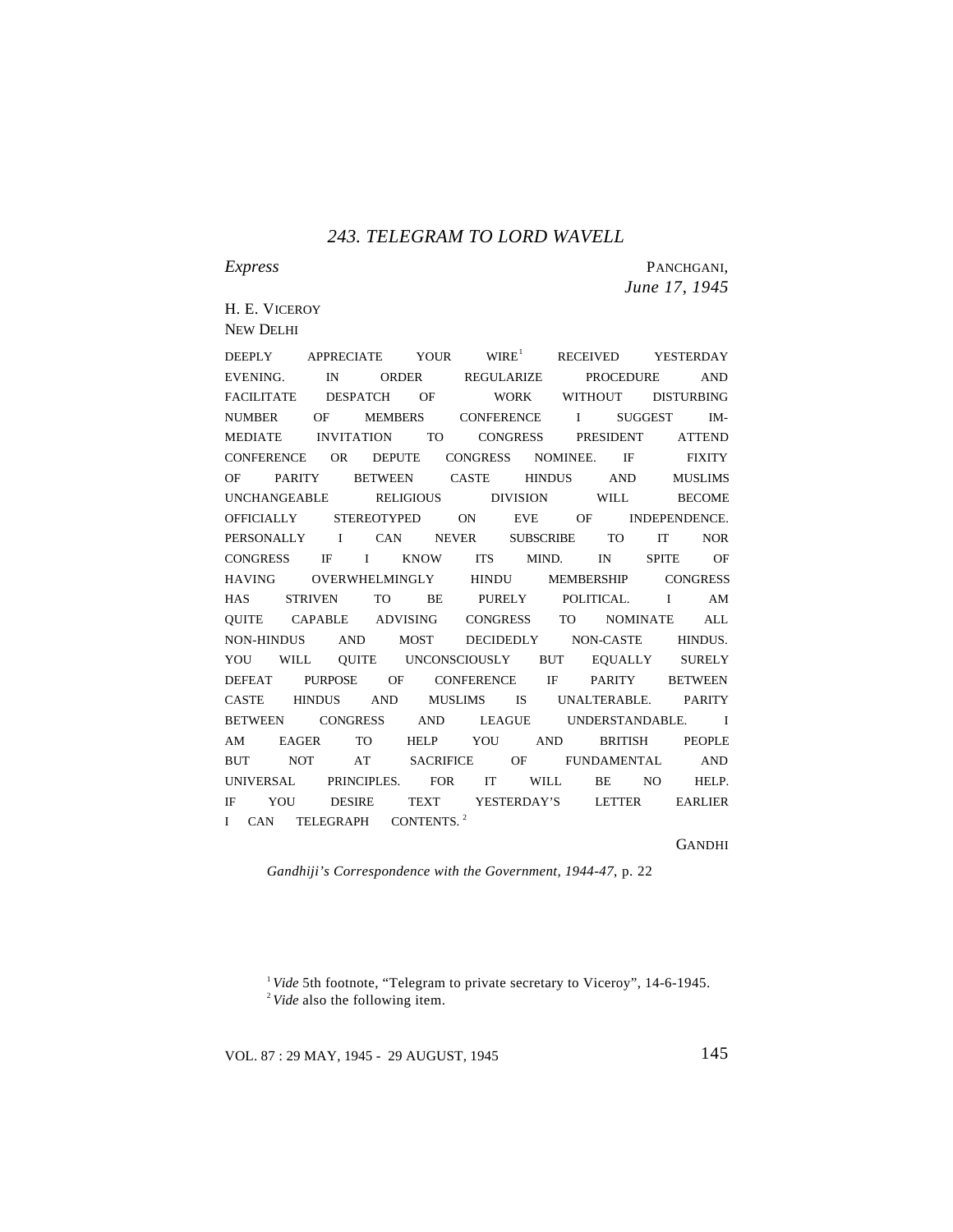## *243. TELEGRAM TO LORD WAVELL*

*Express* PANCHGANI, *June 17, 1945*

#### H. E. VICEROY

#### NEW DELHI

DEEPLY APPRECIATE YOUR WIRE<sup>1</sup> RECEIVED YESTERDAY EVENING. IN ORDER REGULARIZE PROCEDURE AND FACILITATE DESPATCH OF WORK WITHOUT DISTURBING NUMBER OF MEMBERS CONFERENCE I SUGGEST IM-MEDIATE INVITATION TO CONGRESS PRESIDENT ATTEND CONFERENCE OR DEPUTE CONGRESS NOMINEE. IF FIXITY OF PARITY BETWEEN CASTE HINDUS AND MUSLIMS UNCHANGEABLE RELIGIOUS DIVISION WILL BECOME OFFICIALLY STEREOTYPED ON EVE OF INDEPENDENCE. PERSONALLY I CAN NEVER SUBSCRIBE TO IT NOR CONGRESS IF I KNOW ITS MIND. IN SPITE OF HAVING OVERWHELMINGLY HINDU MEMBERSHIP CONGRESS HAS STRIVEN TO BE PURELY POLITICAL. I AM QUITE CAPABLE ADVISING CONGRESS TO NOMINATE ALL NON-HINDUS AND MOST DECIDEDLY NON-CASTE HINDUS. YOU WILL QUITE UNCONSCIOUSLY BUT EQUALLY SURELY DEFEAT PURPOSE OF CONFERENCE IF PARITY BETWEEN CASTE HINDUS AND MUSLIMS IS UNALTERABLE. PARITY BETWEEN CONGRESS AND LEAGUE UNDERSTANDABLE. I AM EAGER TO HELP YOU AND BRITISH PEOPLE BUT NOT AT SACRIFICE OF FUNDAMENTAL AND UNIVERSAL PRINCIPLES. FOR IT WILL BE NO HELP. IF YOU DESIRE TEXT YESTERDAY'S LETTER EARLIER I CAN TELEGRAPH CONTENTS.<sup>2</sup>

#### GANDHI

*Gandhiji's Correspondence with the Government, 1944-47*, p. 22

<sup>1</sup> Vide 5th footnote, "Telegram to private secretary to Viceroy", 14-6-1945. <sup>2</sup>*Vide* also the following item.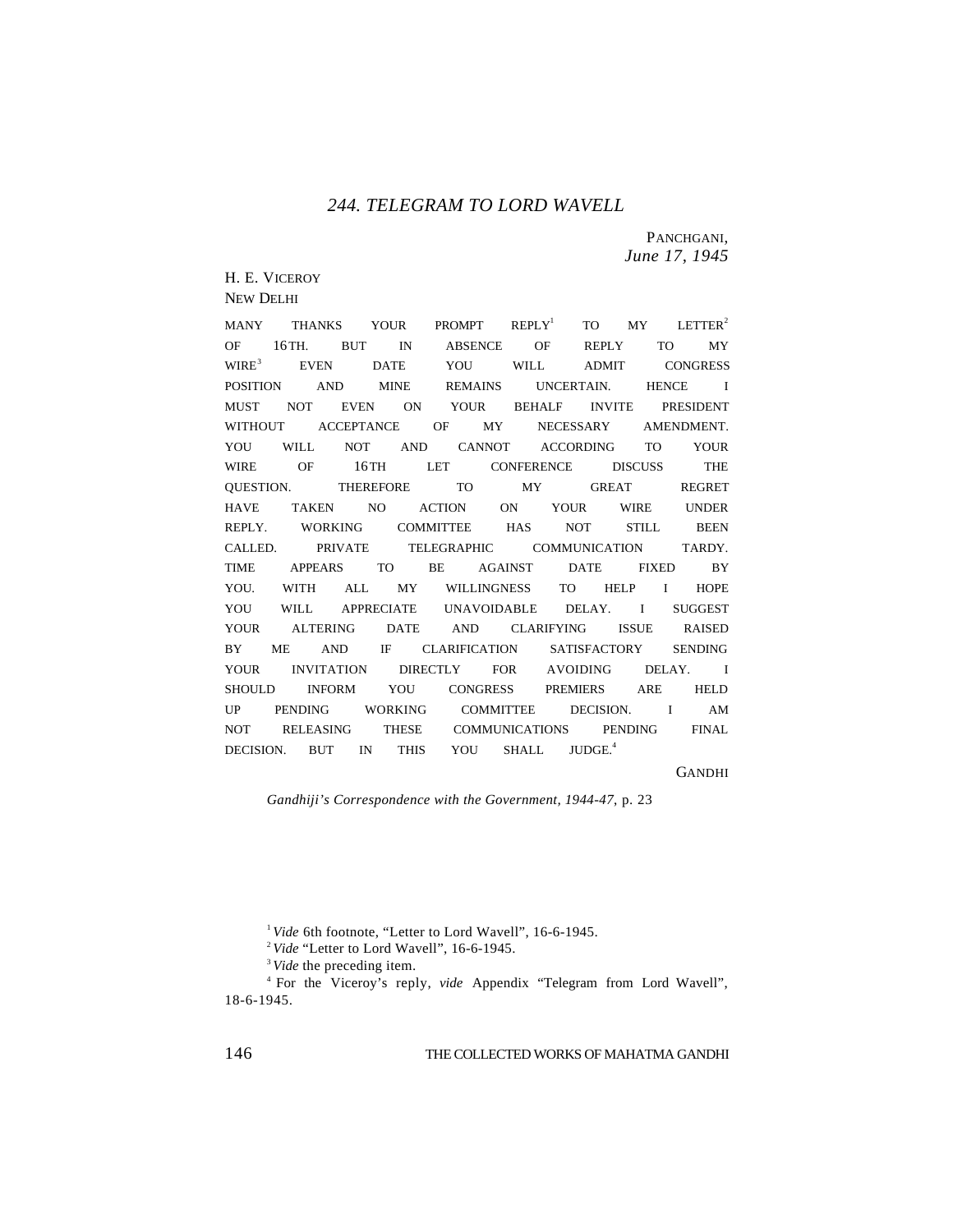#### *244. TELEGRAM TO LORD WAVELL*

PANCHGANI, *June 17, 1945*

#### H. E. VICEROY NEW DELHI

MANY THANKS YOUR PROMPT REPLY<sup>1</sup> TO MY LETTER<sup>2</sup> OF 16TH. BUT IN ABSENCE OF REPLY TO MY  $WIRE<sup>3</sup>$ EVEN DATE YOU WILL ADMIT CONGRESS POSITION AND MINE REMAINS UNCERTAIN. HENCE I MUST NOT EVEN ON YOUR BEHALF INVITE PRESIDENT WITHOUT ACCEPTANCE OF MY NECESSARY AMENDMENT YOU WILL NOT AND CANNOT ACCORDING TO YOUR WIRE OF 16TH LET CONFERENCE DISCUSS THE QUESTION. THEREFORE TO MY GREAT REGRET HAVE TAKEN NO ACTION ON YOUR WIRE UNDER REPLY. WORKING COMMITTEE HAS NOT STILL BEEN CALLED. PRIVATE TELEGRAPHIC COMMUNICATION TARDY. TIME APPEARS TO BE AGAINST DATE FIXED BY YOU. WITH ALL MY WILLINGNESS TO HELP I HOPE YOU WILL APPRECIATE UNAVOIDABLE DELAY. I SUGGEST YOUR ALTERING DATE AND CLARIFYING ISSUE RAISED BY ME AND IF CLARIFICATION SATISFACTORY SENDING YOUR INVITATION DIRECTLY FOR AVOIDING DELAY. I SHOULD INFORM YOU CONGRESS PREMIERS ARE HELD UP PENDING WORKING COMMITTEE DECISION. I AM NOT RELEASING THESE COMMUNICATIONS PENDING FINAL DECISION. BUT IN THIS YOU SHALL JUDGE.<sup>4</sup>

GANDHI

*Gandhiji's Correspondence with the Government, 1944-47*, p. 23

<sup>&</sup>lt;sup>1</sup> Vide 6th footnote, "Letter to Lord Wavell", 16-6-1945.

<sup>&</sup>lt;sup>2</sup> Vide "Letter to Lord Wavell", 16-6-1945.

<sup>&</sup>lt;sup>3</sup>*Vide* the preceding item.

<sup>&</sup>lt;sup>4</sup> For the Viceroy's reply, *vide* Appendix "Telegram from Lord Wavell", 18-6-1945.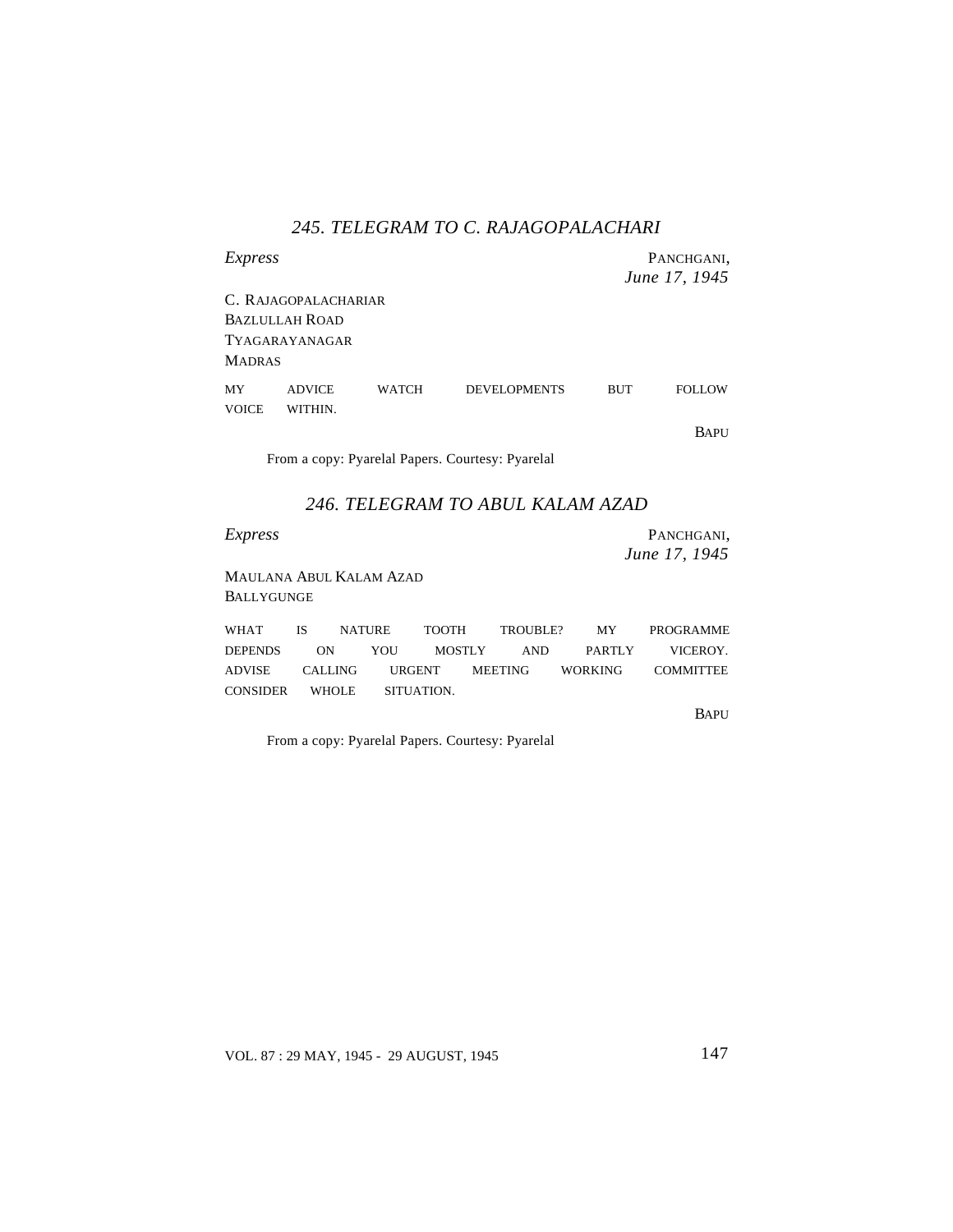# *245. TELEGRAM TO C. RAJAGOPALACHARI*

| <i>Express</i>            |                                                                        |       |                                                  | PANCHGANI.<br>June 17, 1945 |               |
|---------------------------|------------------------------------------------------------------------|-------|--------------------------------------------------|-----------------------------|---------------|
|                           | C. RAJAGOPALACHARIAR<br><b>BAZLULLAH ROAD</b><br><b>TYAGARAYANAGAR</b> |       |                                                  |                             |               |
| <b>MADRAS</b>             |                                                                        |       |                                                  |                             |               |
| <b>MY</b><br><b>VOICE</b> | <b>ADVICE</b><br>WITHIN.                                               | WATCH | <b>DEVELOPMENTS</b>                              | <b>BUT</b>                  | <b>FOLLOW</b> |
|                           |                                                                        |       |                                                  |                             | <b>BAPU</b>   |
|                           |                                                                        |       | From a copy: Pyarelal Papers. Courtesy: Pyarelal |                             |               |
|                           |                                                                        |       | 246. TELEGRAM TO ABUL KALAM AZAD                 |                             |               |

*Express* PANCHGANI, *June 17, 1945*

MAULANA ABUL KALAM AZAD BALLYGUNGE

WHAT IS NATURE TOOTH TROUBLE? MY PROGRAMME DEPENDS ON YOU MOSTLY AND PARTLY VICEROY. ADVISE CALLING URGENT MEETING WORKING COMMITTEE CONSIDER WHOLE SITUATION.

BAPU

From a copy: Pyarelal Papers. Courtesy: Pyarelal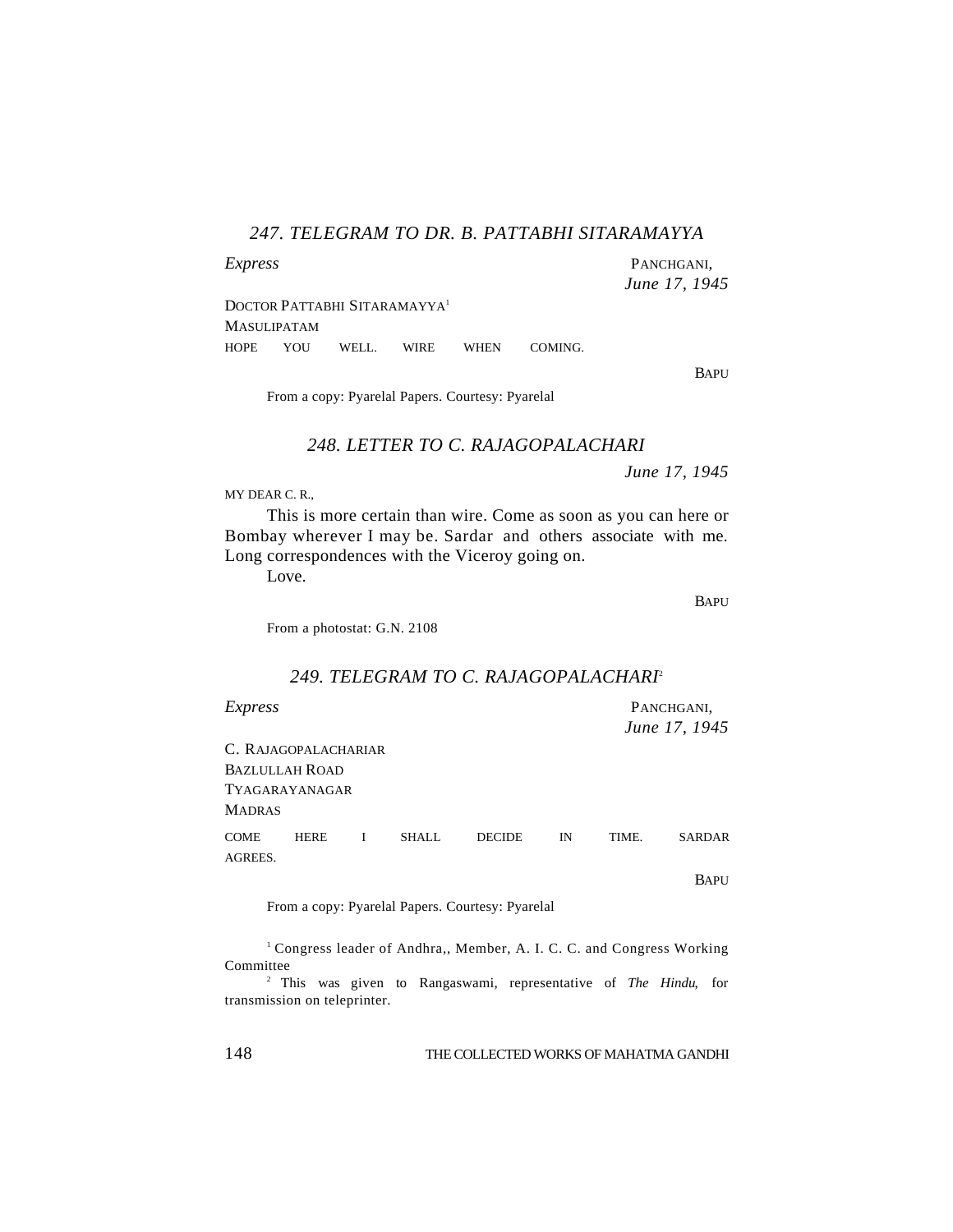# *247. TELEGRAM TO DR. B. PATTABHI SITARAMAYYA*

*Express* PANCHGANI, *June 17, 1945*

DOCTOR PATTABHI SITARAMAYYA<sup>1</sup> MASULIPATAM HOPE YOU WELL. WIRE WHEN COMING.

BAPU

From a copy: Pyarelal Papers. Courtesy: Pyarelal

# *248. LETTER TO C. RAJAGOPALACHARI*

*June 17, 1945*

MY DEAR C. R.,

This is more certain than wire. Come as soon as you can here or Bombay wherever I may be. Sardar and others associate with me. Long correspondences with the Viceroy going on.

Love.

From a photostat: G.N. 2108

# *249. TELEGRAM TO C. RAJAGOPALACHARI*<sup>2</sup>

| <i>Express</i>         |                       |             |              |               |    | PANCHGANI,<br>June 17, 1945 |               |  |
|------------------------|-----------------------|-------------|--------------|---------------|----|-----------------------------|---------------|--|
|                        | C. RAJAGOPALACHARIAR  |             |              |               |    |                             |               |  |
|                        | <b>BAZLULLAH ROAD</b> |             |              |               |    |                             |               |  |
|                        | TYAGARAYANAGAR        |             |              |               |    |                             |               |  |
| <b>MADRAS</b>          |                       |             |              |               |    |                             |               |  |
| <b>COME</b><br>AGREES. | <b>HERE</b>           | $\mathbf I$ | <b>SHALL</b> | <b>DECIDE</b> | IN | TIME.                       | <b>SARDAR</b> |  |
|                        |                       |             |              |               |    |                             | <b>BAPU</b>   |  |

From a copy: Pyarelal Papers. Courtesy: Pyarelal

<sup>1</sup> Congress leader of Andhra,, Member, A. I. C. C. and Congress Working Committee

<sup>2</sup>This was given to Rangaswami, representative of *The Hindu*, for transmission on teleprinter.

BAPU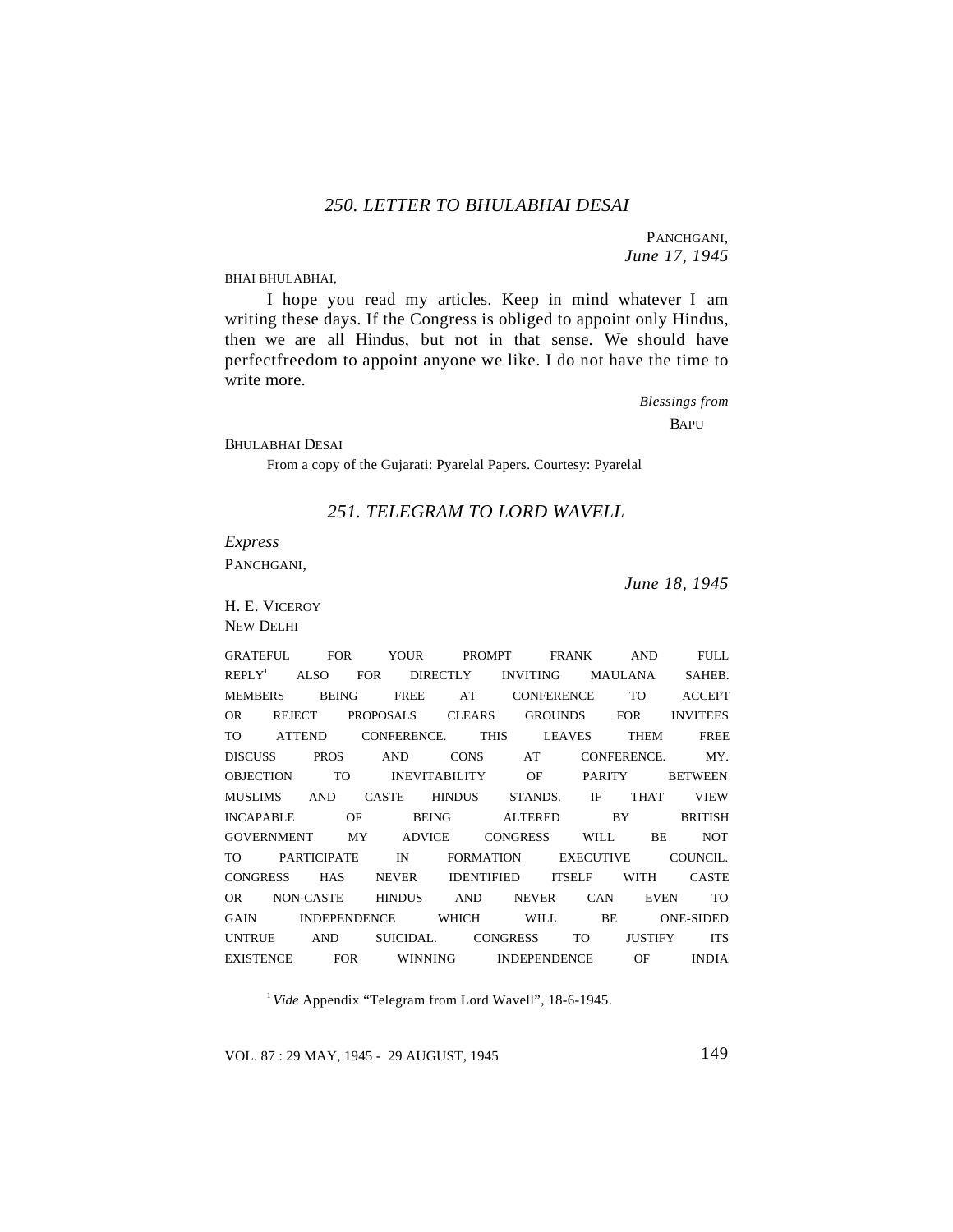#### *250. LETTER TO BHULABHAI DESAI*

PANCHGANI, *June 17, 1945*

BHAI BHULABHAI,

I hope you read my articles. Keep in mind whatever I am writing these days. If the Congress is obliged to appoint only Hindus, then we are all Hindus, but not in that sense. We should have perfectfreedom to appoint anyone we like. I do not have the time to write more.

> *Blessings from* BAPU

BHULABHAI DESAI

From a copy of the Gujarati: Pyarelal Papers. Courtesy: Pyarelal

#### *251. TELEGRAM TO LORD WAVELL*

*Express* PANCHGANI,

*June 18, 1945*

H. E. VICEROY NEW DELHI

GRATEFUL FOR YOUR PROMPT FRANK AND FULL REPLY<sup>1</sup> ALSO FOR DIRECTLY INVITING MAULANA SAHEB. MEMBERS BEING FREE AT CONFERENCE TO ACCEPT OR REJECT PROPOSALS CLEARS GROUNDS FOR INVITEES TO ATTEND CONFERENCE. THIS LEAVES THEM FREE DISCUSS PROS AND CONS AT CONFERENCE. MY. OBJECTION TO INEVITABILITY OF PARITY BETWEEN MUSLIMS AND CASTE HINDUS STANDS. IF THAT VIEW INCAPABLE OF BEING ALTERED BY BRITISH GOVERNMENT MY ADVICE CONGRESS WILL BE NOT TO PARTICIPATE IN FORMATION EXECUTIVE COUNCIL. CONGRESS HAS NEVER IDENTIFIED ITSELF WITH CASTE OR NON-CASTE HINDUS AND NEVER CAN EVEN TO GAIN INDEPENDENCE WHICH WILL BE ONE-SIDED UNTRUE AND SUICIDAL. CONGRESS TO JUSTIFY ITS EXISTENCE FOR WINNING INDEPENDENCE OF INDIA

<sup>1</sup> Vide Appendix "Telegram from Lord Wavell", 18-6-1945.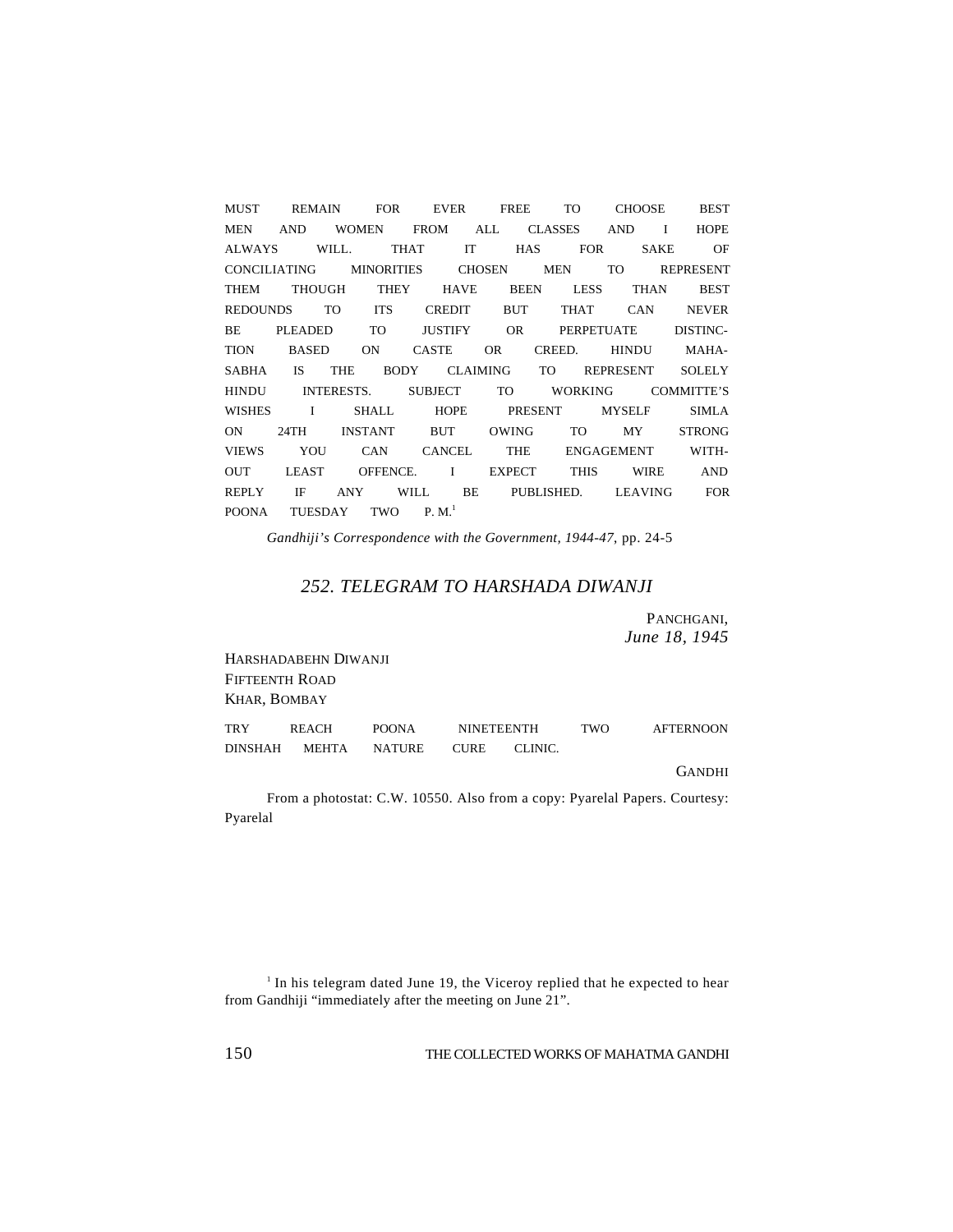MUST REMAIN FOR EVER FREE TO CHOOSE BEST MEN AND WOMEN FROM ALL CLASSES AND I HOPE ALWAYS WILL. THAT IT HAS FOR SAKE OF CONCILIATING MINORITIES CHOSEN MEN TO REPRESENT THEM THOUGH THEY HAVE BEEN LESS THAN BEST REDOUNDS TO ITS CREDIT BUT THAT CAN NEVER BE PLEADED TO JUSTIFY OR PERPETUATE DISTINC-TION BASED ON CASTE OR CREED. HINDU MAHA-SABHA IS THE BODY CLAIMING TO REPRESENT SOLELY HINDU INTERESTS. SUBJECT TO WORKING COMMITTE'S WISHES I SHALL HOPE PRESENT MYSELF SIMLA ON 24TH INSTANT BUT OWING TO MY STRONG VIEWS YOU CAN CANCEL THE ENGAGEMENT WITH-OUT LEAST OFFENCE. I EXPECT THIS WIRE AND REPLY IF ANY WILL BE PUBLISHED. LEAVING FOR POONA TUESDAY TWO P.M.<sup>1</sup>

*Gandhiji's Correspondence with the Government, 1944-47*, pp. 24-5

#### *252. TELEGRAM TO HARSHADA DIWANJI*

PANCHGANI, *June 18, 1945*

HARSHADABEHN DIWANJI FIFTEENTH ROAD KHAR, BOMBAY

| <b>TRY</b>     | REACH        | <b>POONA</b>  | <b>NINETEENTH</b> |         | TWO | <b>AFTERNOON</b> |
|----------------|--------------|---------------|-------------------|---------|-----|------------------|
| <b>DINSHAH</b> | <b>MEHTA</b> | <b>NATURE</b> | <b>CURE</b>       | CLINIC. |     |                  |

**GANDHI** 

From a photostat: C.W. 10550. Also from a copy: Pyarelal Papers. Courtesy: Pyarelal

 $1$  In his telegram dated June 19, the Viceroy replied that he expected to hear from Gandhiji "immediately after the meeting on June 21".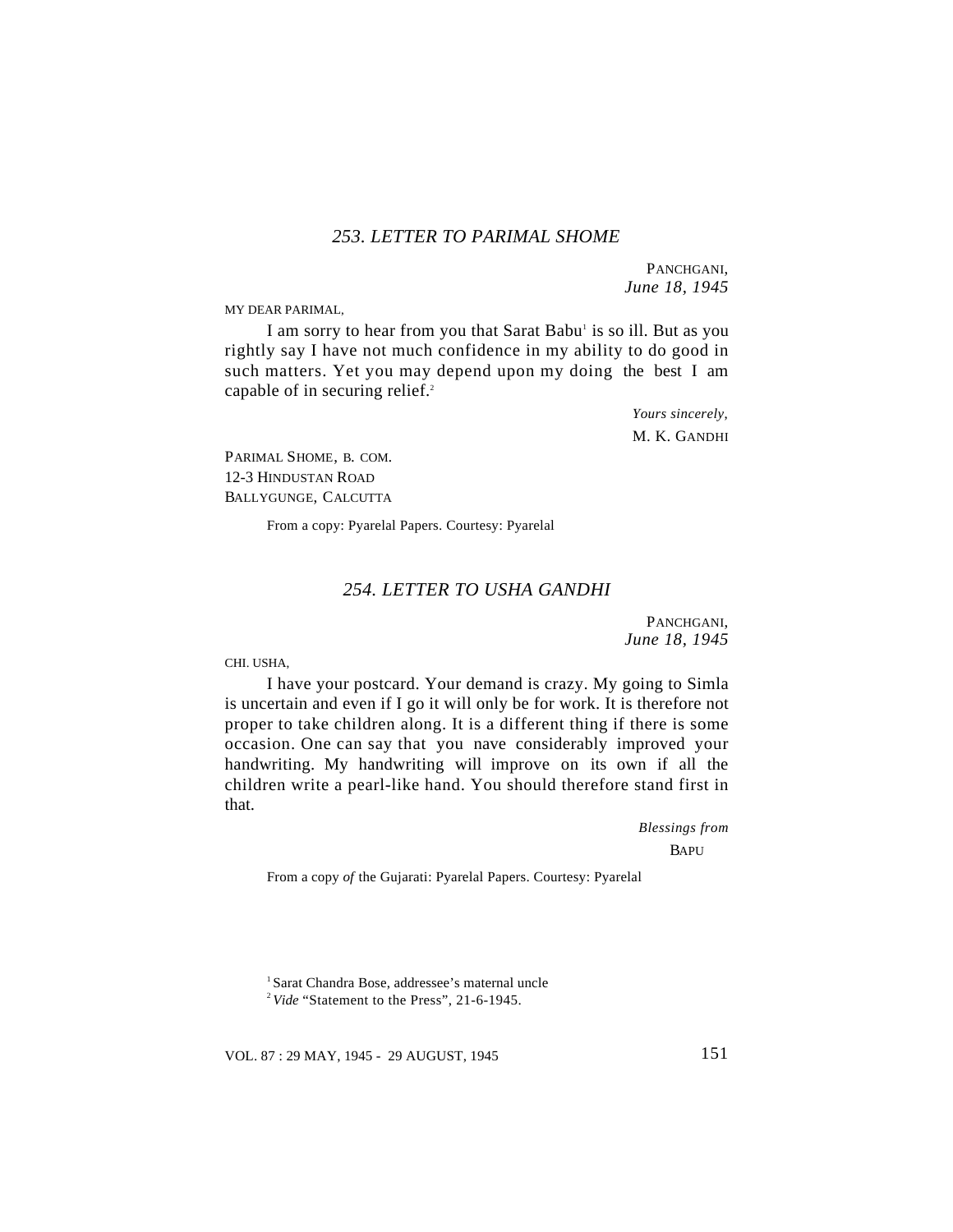#### *253. LETTER TO PARIMAL SHOME*

PANCHGANI, *June 18, 1945*

MY DEAR PARIMAL,

I am sorry to hear from you that Sarat Babu<sup>1</sup> is so ill. But as you rightly say I have not much confidence in my ability to do good in such matters. Yet you may depend upon my doing the best I am capable of in securing relief.<sup>2</sup>

> *Yours sincerely*, M. K. GANDHI

PARIMAL SHOME, B. COM. 12-3 HINDUSTAN ROAD BALLYGUNGE, CALCUTTA

From a copy: Pyarelal Papers. Courtesy: Pyarelal

#### *254. LETTER TO USHA GANDHI*

PANCHGANI, *June 18, 1945*

CHI. USHA,

I have your postcard. Your demand is crazy. My going to Simla is uncertain and even if I go it will only be for work. It is therefore not proper to take children along. It is a different thing if there is some occasion. One can say that you nave considerably improved your handwriting. My handwriting will improve on its own if all the children write a pearl-like hand. You should therefore stand first in that.

*Blessings from*

**BAPU** 

From a copy *of* the Gujarati: Pyarelal Papers. Courtesy: Pyarelal

<sup>1</sup> Sarat Chandra Bose, addressee's maternal uncle

<sup>2</sup>*Vide* "Statement to the Press", 21-6-1945.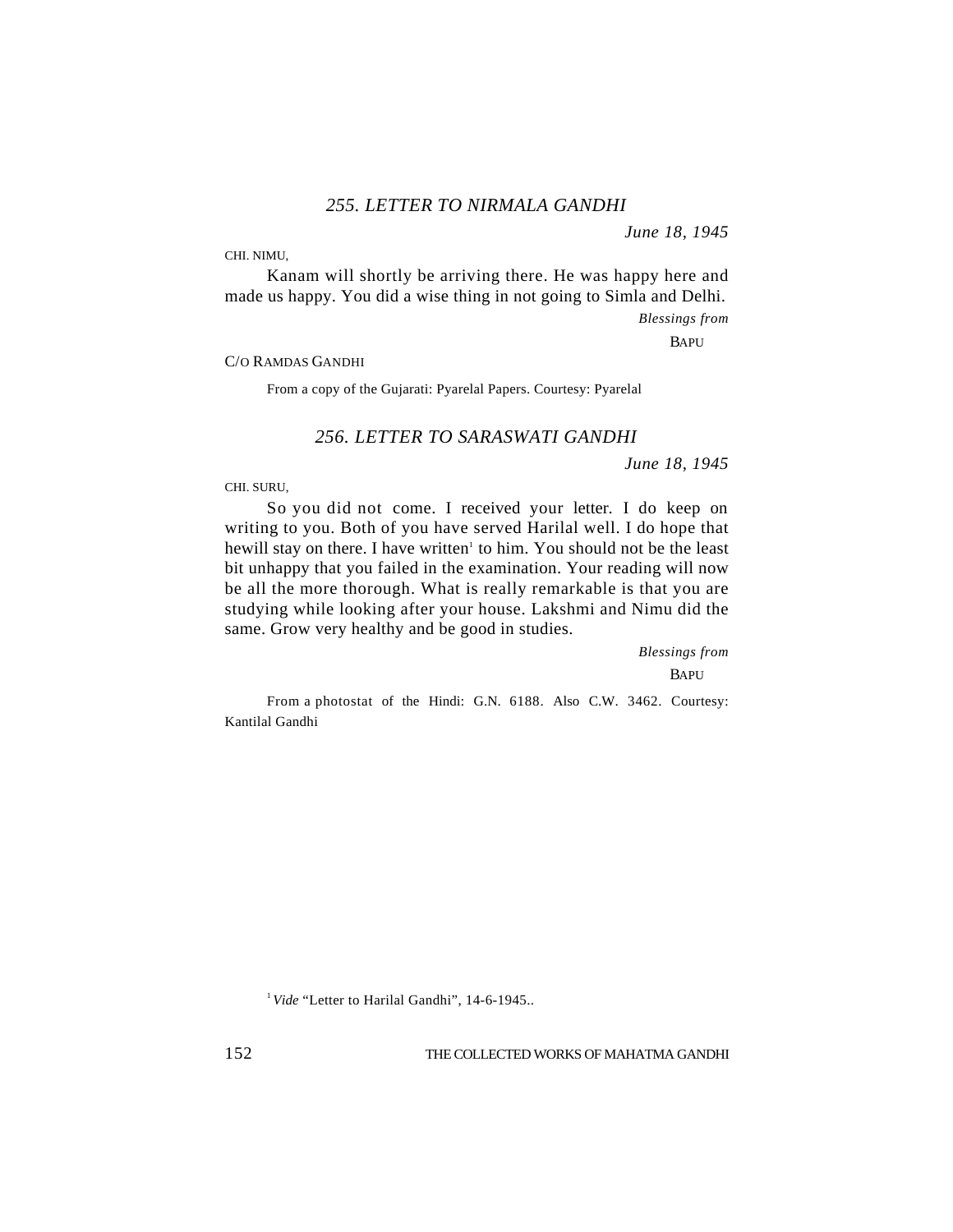*June 18, 1945*

CHI. NIMU,

Kanam will shortly be arriving there. He was happy here and made us happy. You did a wise thing in not going to Simla and Delhi.

> *Blessings from* **BAPU**

#### C/O RAMDAS GANDHI

From a copy of the Gujarati: Pyarelal Papers. Courtesy: Pyarelal

#### *256. LETTER TO SARASWATI GANDHI*

*June 18, 1945*

CHI. SURU,

So you did not come. I received your letter. I do keep on writing to you. Both of you have served Harilal well. I do hope that hewill stay on there. I have written<sup>1</sup> to him. You should not be the least bit unhappy that you failed in the examination. Your reading will now be all the more thorough. What is really remarkable is that you are studying while looking after your house. Lakshmi and Nimu did the same. Grow very healthy and be good in studies.

*Blessings from*

**BAPU** 

From a photostat of the Hindi: G.N. 6188. Also C.W. 3462. Courtesy: Kantilal Gandhi

<sup>1</sup> Vide "Letter to Harilal Gandhi", 14-6-1945..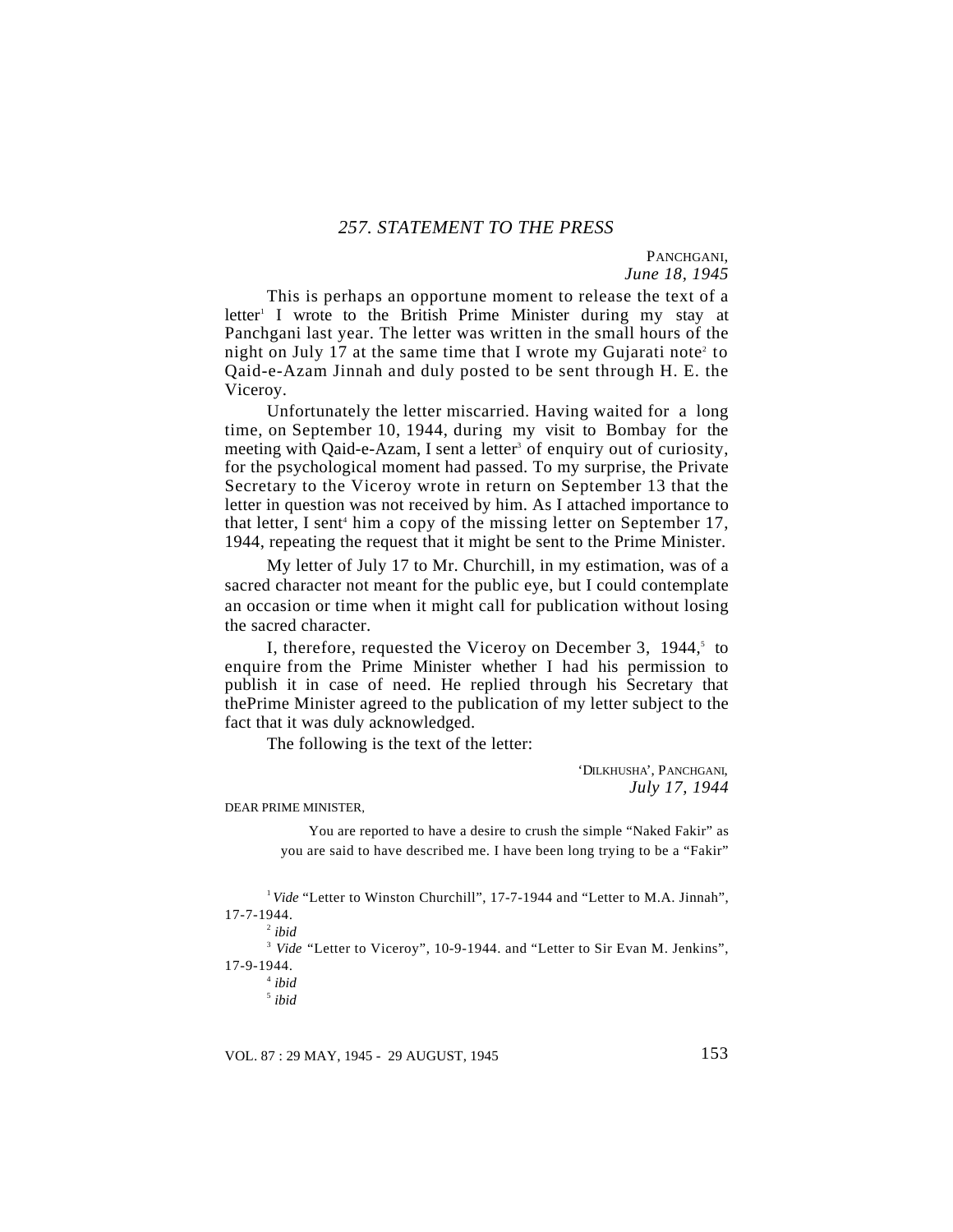#### *257. STATEMENT TO THE PRESS*

PANCHGANI, *June 18, 1945*

This is perhaps an opportune moment to release the text of a letter<sup>1</sup> I wrote to the British Prime Minister during my stay at Panchgani last year. The letter was written in the small hours of the night on July 17 at the same time that I wrote my Gujarati note<sup>2</sup> to Qaid-e-Azam Jinnah and duly posted to be sent through H. E. the Viceroy.

Unfortunately the letter miscarried. Having waited for a long time, on September 10, 1944, during my visit to Bombay for the meeting with Qaid-e-Azam, I sent a letter<sup>3</sup> of enquiry out of curiosity, for the psychological moment had passed. To my surprise, the Private Secretary to the Viceroy wrote in return on September 13 that the letter in question was not received by him. As I attached importance to that letter, I sent<sup>4</sup> him a copy of the missing letter on September 17, 1944, repeating the request that it might be sent to the Prime Minister.

My letter of July 17 to Mr. Churchill, in my estimation, was of a sacred character not meant for the public eye, but I could contemplate an occasion or time when it might call for publication without losing the sacred character.

I, therefore, requested the Viceroy on December 3, 1944,<sup>5</sup> to enquire from the Prime Minister whether I had his permission to publish it in case of need. He replied through his Secretary that thePrime Minister agreed to the publication of my letter subject to the fact that it was duly acknowledged.

The following is the text of the letter:

'DILKHUSHA', PANCHGANI, *July 17, 1944*

DEAR PRIME MINISTER,

You are reported to have a desire to crush the simple "Naked Fakir" as you are said to have described me. I have been long trying to be a "Fakir"

<sup>1</sup> Vide "Letter to Winston Churchill", 17-7-1944 and "Letter to M.A. Jinnah", 17-7-1944.

2 *ibid*

<sup>3</sup> *Vide* "Letter to Viceroy", 10-9-1944. and "Letter to Sir Evan M. Jenkins", 17-9-1944.

4 *ibid*

5 *ibid*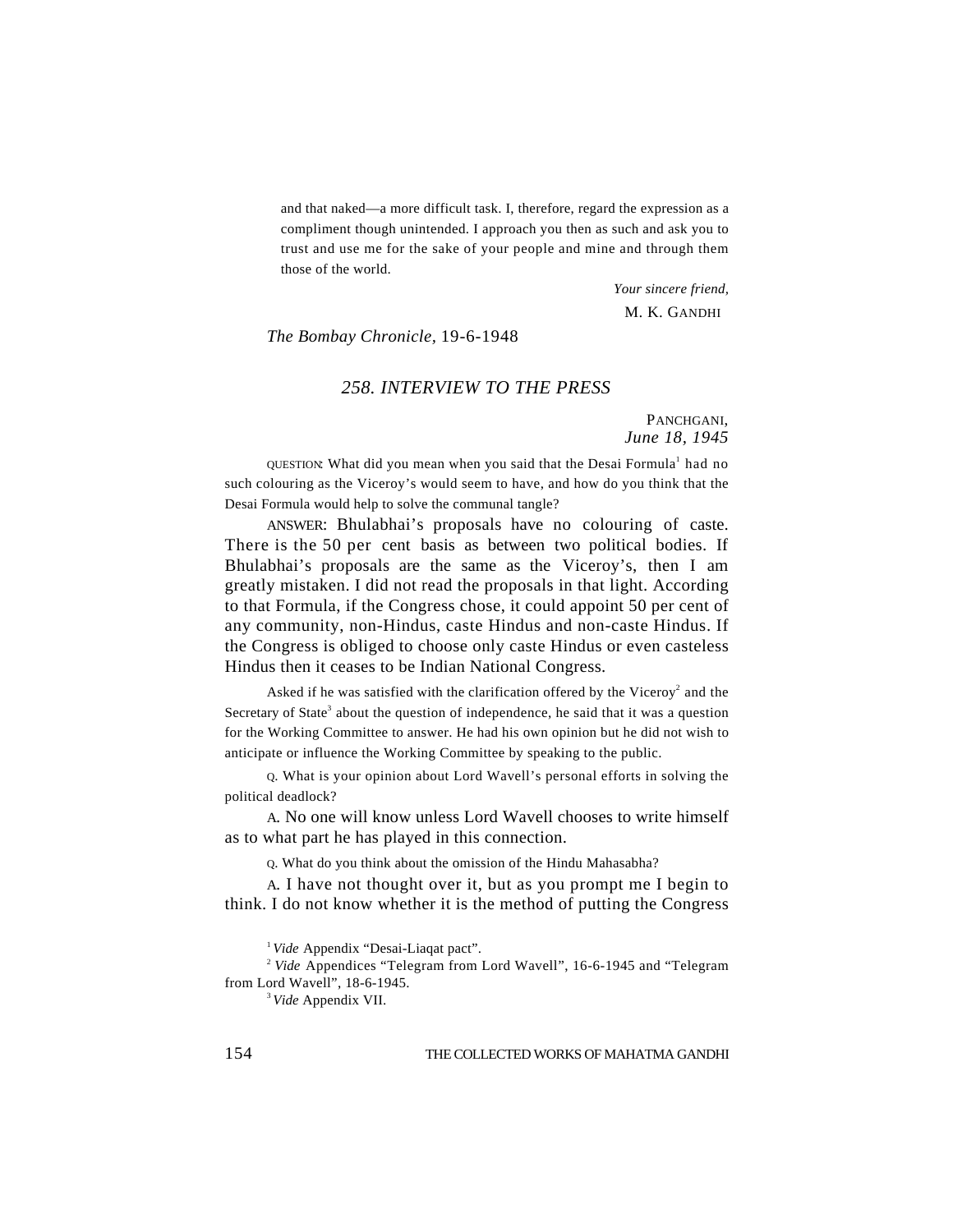and that naked—a more difficult task. I, therefore, regard the expression as a compliment though unintended. I approach you then as such and ask you to trust and use me for the sake of your people and mine and through them those of the world.

> *Your sincere friend,* M. K. GANDHI

#### *The Bombay Chronicle,* 19-6-1948

#### *258. INTERVIEW TO THE PRESS*

PANCHGANI, *June 18, 1945*

QUESTION: What did you mean when you said that the Desai Formula<sup>1</sup> had no such colouring as the Viceroy's would seem to have, and how do you think that the Desai Formula would help to solve the communal tangle?

ANSWER: Bhulabhai's proposals have no colouring of caste. There is the 50 per cent basis as between two political bodies. If Bhulabhai's proposals are the same as the Viceroy's, then I am greatly mistaken. I did not read the proposals in that light. According to that Formula, if the Congress chose, it could appoint 50 per cent of any community, non-Hindus, caste Hindus and non-caste Hindus. If the Congress is obliged to choose only caste Hindus or even casteless Hindus then it ceases to be Indian National Congress.

Asked if he was satisfied with the clarification offered by the Viceroy<sup>2</sup> and the Secretary of State<sup>3</sup> about the question of independence, he said that it was a question for the Working Committee to answer. He had his own opinion but he did not wish to anticipate or influence the Working Committee by speaking to the public.

Q. What is your opinion about Lord Wavell's personal efforts in solving the political deadlock?

A. No one will know unless Lord Wavell chooses to write himself as to what part he has played in this connection.

Q. What do you think about the omission of the Hindu Mahasabha?

A. I have not thought over it, but as you prompt me I begin to think. I do not know whether it is the method of putting the Congress

<sup>1</sup> Vide Appendix "Desai-Liaqat pact".

<sup>2</sup> Vide Appendices "Telegram from Lord Wavell", 16-6-1945 and "Telegram from Lord Wavell", 18-6-1945.

<sup>3</sup>*Vide* Appendix VII.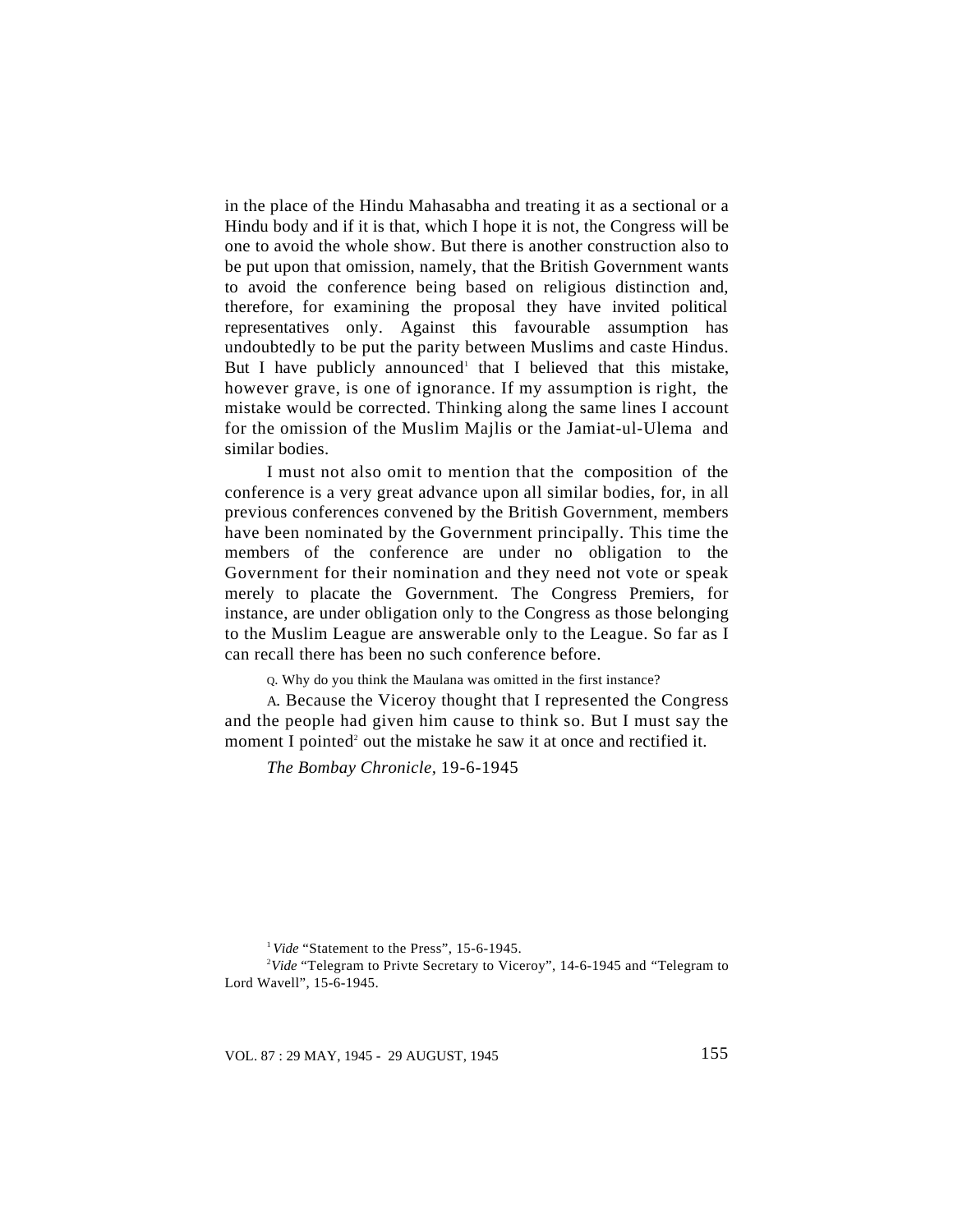in the place of the Hindu Mahasabha and treating it as a sectional or a Hindu body and if it is that, which I hope it is not, the Congress will be one to avoid the whole show. But there is another construction also to be put upon that omission, namely, that the British Government wants to avoid the conference being based on religious distinction and, therefore, for examining the proposal they have invited political representatives only. Against this favourable assumption has undoubtedly to be put the parity between Muslims and caste Hindus. But I have publicly announced that I believed that this mistake, however grave, is one of ignorance. If my assumption is right, the mistake would be corrected. Thinking along the same lines I account for the omission of the Muslim Majlis or the Jamiat-ul-Ulema and similar bodies.

I must not also omit to mention that the composition of the conference is a very great advance upon all similar bodies, for, in all previous conferences convened by the British Government, members have been nominated by the Government principally. This time the members of the conference are under no obligation to the Government for their nomination and they need not vote or speak merely to placate the Government. The Congress Premiers, for instance, are under obligation only to the Congress as those belonging to the Muslim League are answerable only to the League. So far as I can recall there has been no such conference before.

Q. Why do you think the Maulana was omitted in the first instance?

A. Because the Viceroy thought that I represented the Congress and the people had given him cause to think so. But I must say the moment I pointed<sup>2</sup> out the mistake he saw it at once and rectified it.

*The Bombay Chronicle,* 19-6-1945

<sup>1</sup> Vide "Statement to the Press", 15-6-1945.

<sup>2</sup>Vide "Telegram to Privte Secretary to Viceroy", 14-6-1945 and "Telegram to Lord Wavell", 15-6-1945.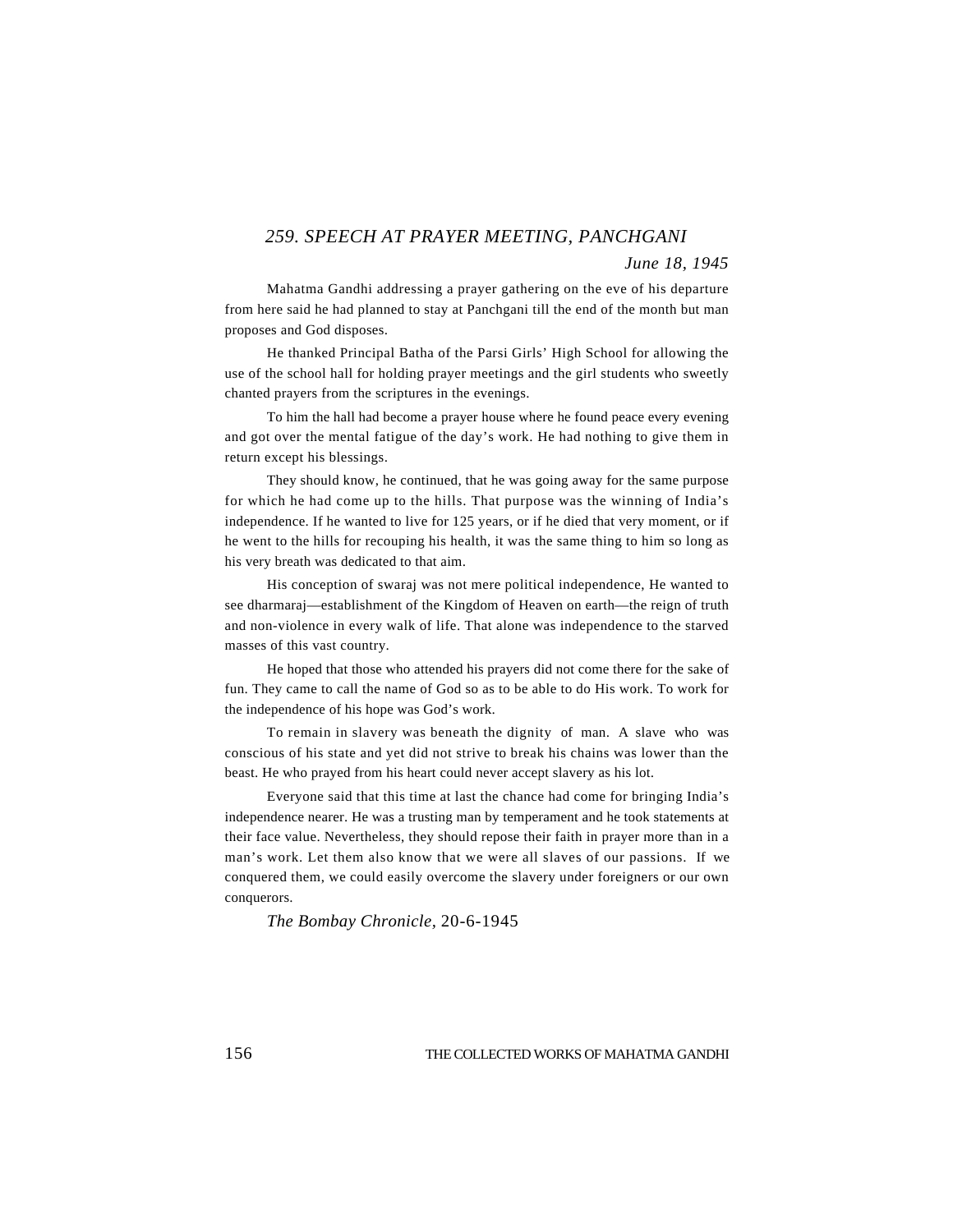#### *259. SPEECH AT PRAYER MEETING, PANCHGANI*

#### *June 18, 1945*

Mahatma Gandhi addressing a prayer gathering on the eve of his departure from here said he had planned to stay at Panchgani till the end of the month but man proposes and God disposes.

He thanked Principal Batha of the Parsi Girls' High School for allowing the use of the school hall for holding prayer meetings and the girl students who sweetly chanted prayers from the scriptures in the evenings.

To him the hall had become a prayer house where he found peace every evening and got over the mental fatigue of the day's work. He had nothing to give them in return except his blessings.

They should know, he continued, that he was going away for the same purpose for which he had come up to the hills. That purpose was the winning of India's independence. If he wanted to live for 125 years, or if he died that very moment, or if he went to the hills for recouping his health, it was the same thing to him so long as his very breath was dedicated to that aim.

His conception of swaraj was not mere political independence, He wanted to see dharmaraj—establishment of the Kingdom of Heaven on earth—the reign of truth and non-violence in every walk of life. That alone was independence to the starved masses of this vast country.

He hoped that those who attended his prayers did not come there for the sake of fun. They came to call the name of God so as to be able to do His work. To work for the independence of his hope was God's work.

To remain in slavery was beneath the dignity of man. A slave who was conscious of his state and yet did not strive to break his chains was lower than the beast. He who prayed from his heart could never accept slavery as his lot.

Everyone said that this time at last the chance had come for bringing India's independence nearer. He was a trusting man by temperament and he took statements at their face value. Nevertheless, they should repose their faith in prayer more than in a man's work. Let them also know that we were all slaves of our passions. If we conquered them, we could easily overcome the slavery under foreigners or our own conquerors.

*The Bombay Chronicle,* 20-6-1945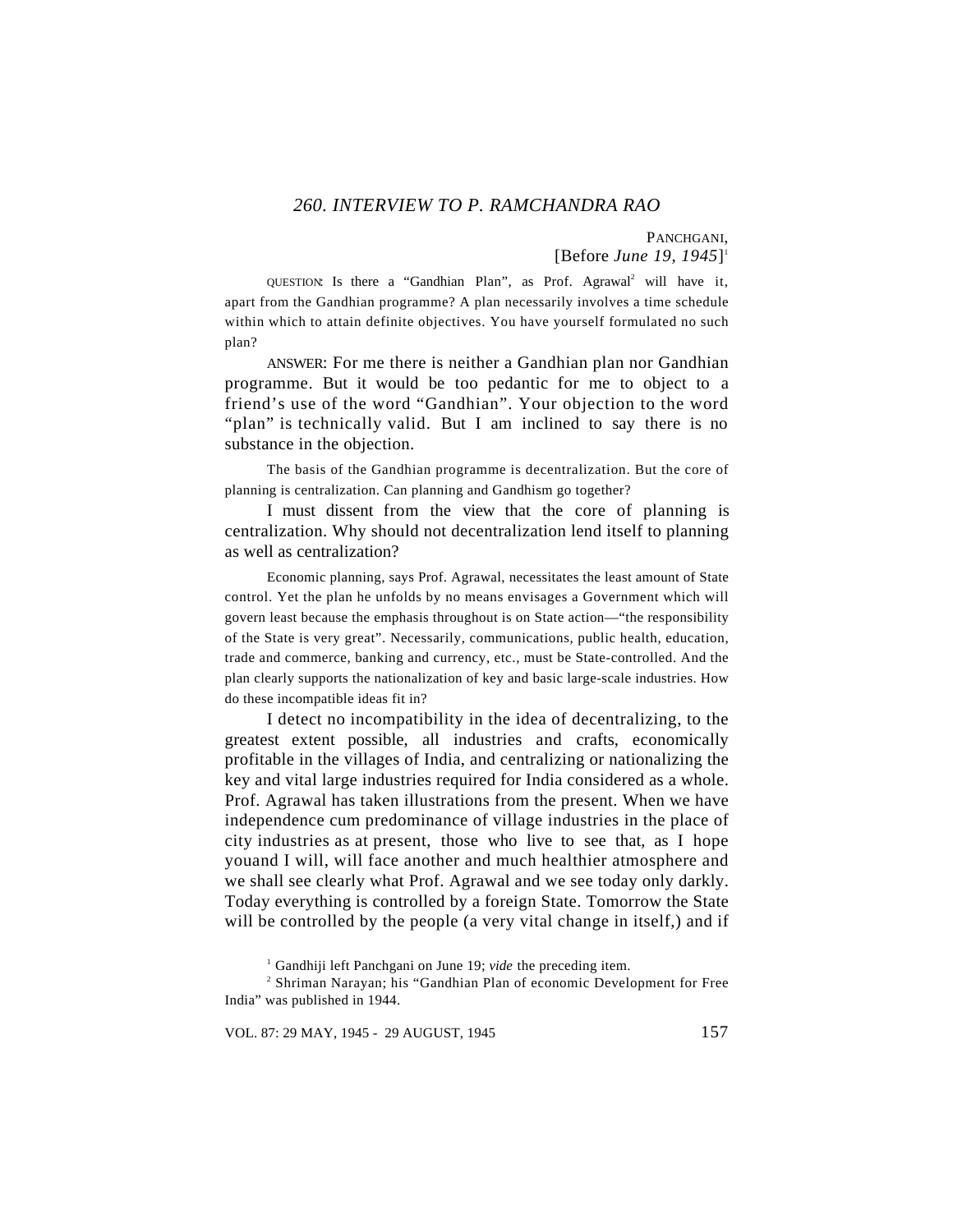#### *260. INTERVIEW TO P. RAMCHANDRA RAO*

#### PANCHGANI. [Before *June 19, 1945*] 1

QUESTION: Is there a "Gandhian Plan", as Prof. Agrawal<sup>2</sup> will have it, apart from the Gandhian programme? A plan necessarily involves a time schedule within which to attain definite objectives. You have yourself formulated no such plan?

ANSWER: For me there is neither a Gandhian plan nor Gandhian programme. But it would be too pedantic for me to object to a friend's use of the word "Gandhian". Your objection to the word "plan" is technically valid. But I am inclined to say there is no substance in the objection.

The basis of the Gandhian programme is decentralization. But the core of planning is centralization. Can planning and Gandhism go together?

I must dissent from the view that the core of planning is centralization. Why should not decentralization lend itself to planning as well as centralization?

Economic planning, says Prof. Agrawal, necessitates the least amount of State control. Yet the plan he unfolds by no means envisages a Government which will govern least because the emphasis throughout is on State action—"the responsibility of the State is very great". Necessarily, communications, public health, education, trade and commerce, banking and currency, etc., must be State-controlled. And the plan clearly supports the nationalization of key and basic large-scale industries. How do these incompatible ideas fit in?

I detect no incompatibility in the idea of decentralizing, to the greatest extent possible, all industries and crafts, economically profitable in the villages of India, and centralizing or nationalizing the key and vital large industries required for India considered as a whole. Prof. Agrawal has taken illustrations from the present. When we have independence cum predominance of village industries in the place of city industries as at present, those who live to see that, as I hope youand I will, will face another and much healthier atmosphere and we shall see clearly what Prof. Agrawal and we see today only darkly. Today everything is controlled by a foreign State. Tomorrow the State will be controlled by the people (a very vital change in itself,) and if

<sup>1</sup> Gandhiji left Panchgani on June 19; vide the preceding item.

<sup>2</sup> Shriman Narayan; his "Gandhian Plan of economic Development for Free India" was published in 1944.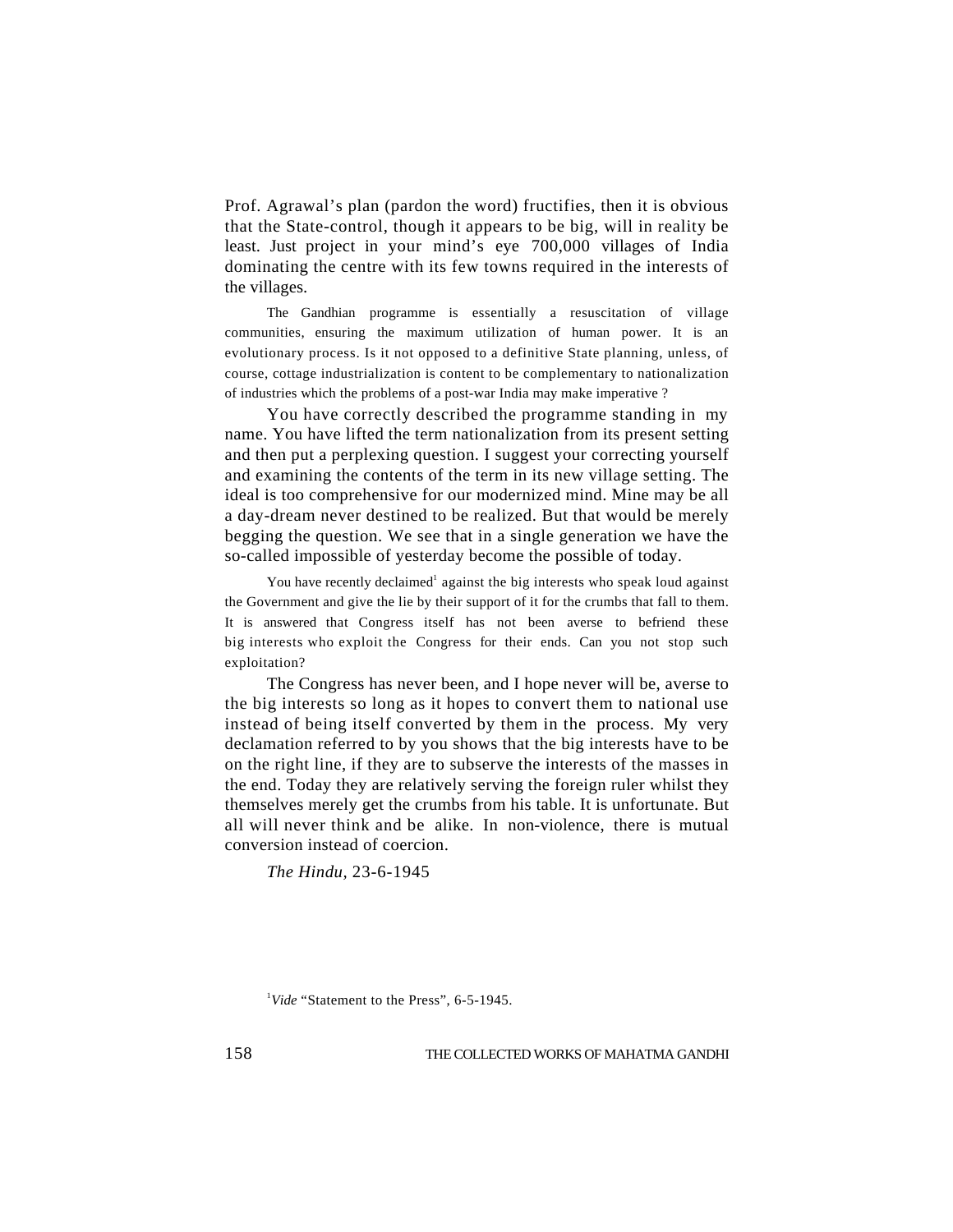Prof. Agrawal's plan (pardon the word) fructifies, then it is obvious that the State-control, though it appears to be big, will in reality be least. Just project in your mind's eye 700,000 villages of India dominating the centre with its few towns required in the interests of the villages.

The Gandhian programme is essentially a resuscitation of village communities, ensuring the maximum utilization of human power. It is an evolutionary process. Is it not opposed to a definitive State planning, unless, of course, cottage industrialization is content to be complementary to nationalization of industries which the problems of a post-war India may make imperative ?

You have correctly described the programme standing in my name. You have lifted the term nationalization from its present setting and then put a perplexing question. I suggest your correcting yourself and examining the contents of the term in its new village setting. The ideal is too comprehensive for our modernized mind. Mine may be all a day-dream never destined to be realized. But that would be merely begging the question. We see that in a single generation we have the so-called impossible of yesterday become the possible of today.

You have recently declaimed<sup>1</sup> against the big interests who speak loud against the Government and give the lie by their support of it for the crumbs that fall to them. It is answered that Congress itself has not been averse to befriend these big interests who exploit the Congress for their ends. Can you not stop such exploitation?

The Congress has never been, and I hope never will be, averse to the big interests so long as it hopes to convert them to national use instead of being itself converted by them in the process. My very declamation referred to by you shows that the big interests have to be on the right line, if they are to subserve the interests of the masses in the end. Today they are relatively serving the foreign ruler whilst they themselves merely get the crumbs from his table. It is unfortunate. But all will never think and be alike. In non-violence, there is mutual conversion instead of coercion.

*The Hindu,* 23-6-1945

<sup>1</sup>Vide "Statement to the Press", 6-5-1945.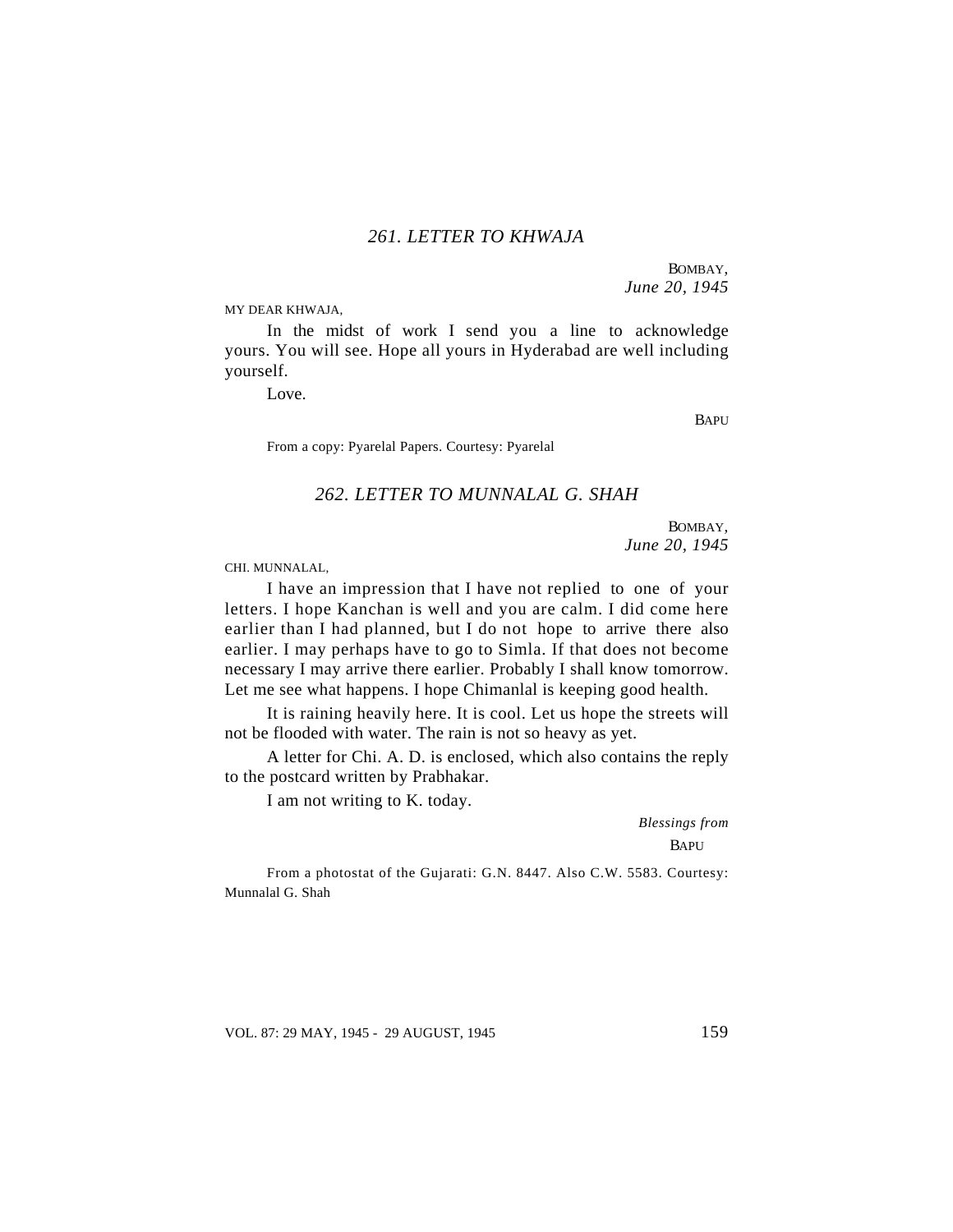#### *261. LETTER TO KHWAJA*

BOMBAY, *June 20, 1945*

#### MY DEAR KHWAJA,

In the midst of work I send you a line to acknowledge yours. You will see. Hope all yours in Hyderabad are well including yourself.

Love.

**BAPU** 

From a copy: Pyarelal Papers. Courtesy: Pyarelal

#### *262. LETTER TO MUNNALAL G. SHAH*

BOMBAY, *June 20, 1945*

CHI. MUNNALAL,

I have an impression that I have not replied to one of your letters. I hope Kanchan is well and you are calm. I did come here earlier than I had planned, but I do not hope to arrive there also earlier. I may perhaps have to go to Simla. If that does not become necessary I may arrive there earlier. Probably I shall know tomorrow. Let me see what happens. I hope Chimanlal is keeping good health.

It is raining heavily here. It is cool. Let us hope the streets will not be flooded with water. The rain is not so heavy as yet.

A letter for Chi. A. D. is enclosed, which also contains the reply to the postcard written by Prabhakar.

I am not writing to K. today.

*Blessings from*

**BAPU** 

From a photostat of the Gujarati: G.N. 8447. Also C.W. 5583. Courtesy: Munnalal G. Shah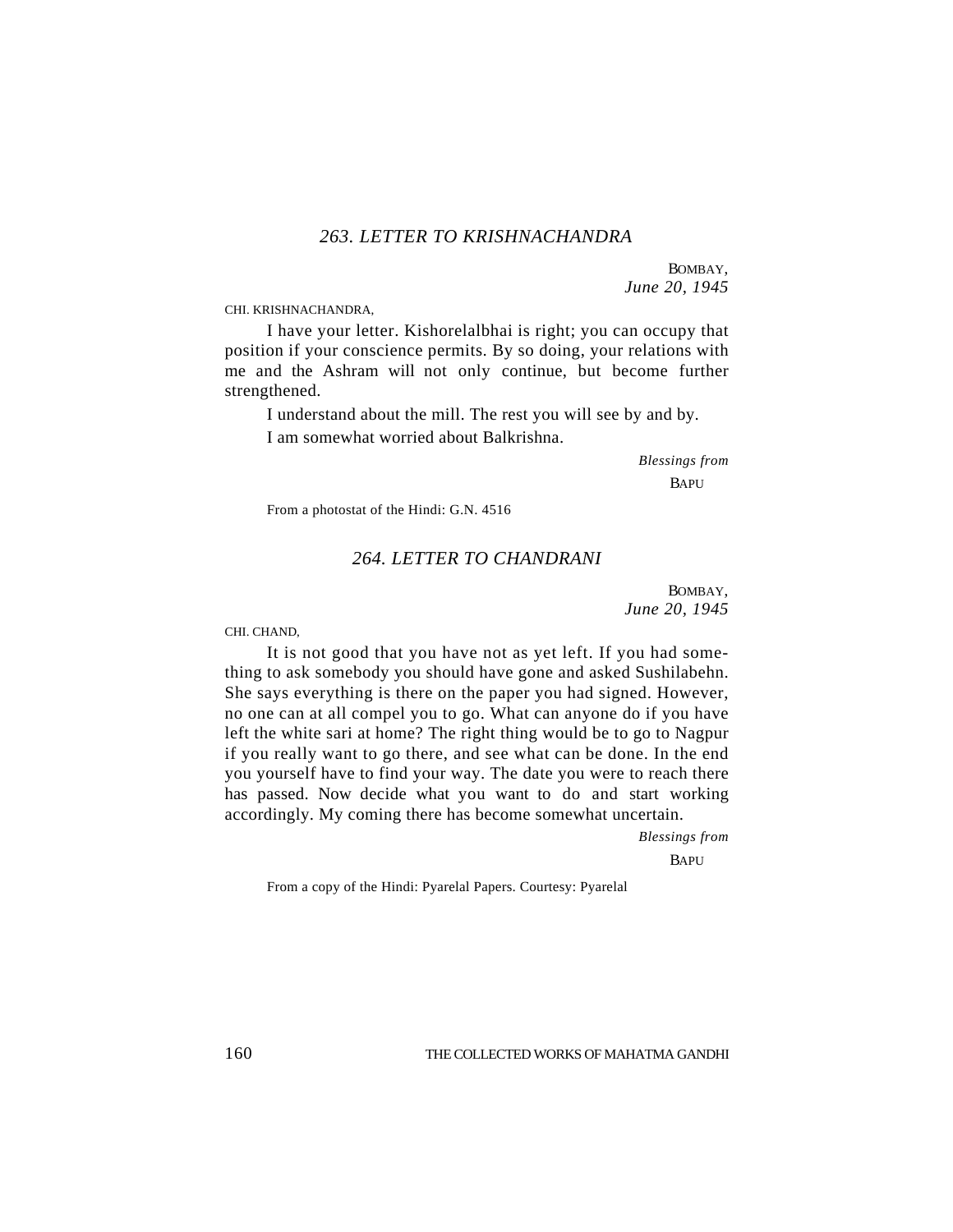# *263. LETTER TO KRISHNACHANDRA*

BOMBAY, *June 20, 1945*

CHI. KRISHNACHANDRA,

I have your letter. Kishorelalbhai is right; you can occupy that position if your conscience permits. By so doing, your relations with me and the Ashram will not only continue, but become further strengthened.

I understand about the mill. The rest you will see by and by. I am somewhat worried about Balkrishna.

*Blessings from*

BAPU

From a photostat of the Hindi: G.N. 4516

## *264. LETTER TO CHANDRANI*

BOMBAY, *June 20, 1945*

CHI. CHAND,

It is not good that you have not as yet left. If you had something to ask somebody you should have gone and asked Sushilabehn. She says everything is there on the paper you had signed. However, no one can at all compel you to go. What can anyone do if you have left the white sari at home? The right thing would be to go to Nagpur if you really want to go there, and see what can be done. In the end you yourself have to find your way. The date you were to reach there has passed. Now decide what you want to do and start working accordingly. My coming there has become somewhat uncertain.

*Blessings from*

**BAPU** 

From a copy of the Hindi: Pyarelal Papers. Courtesy: Pyarelal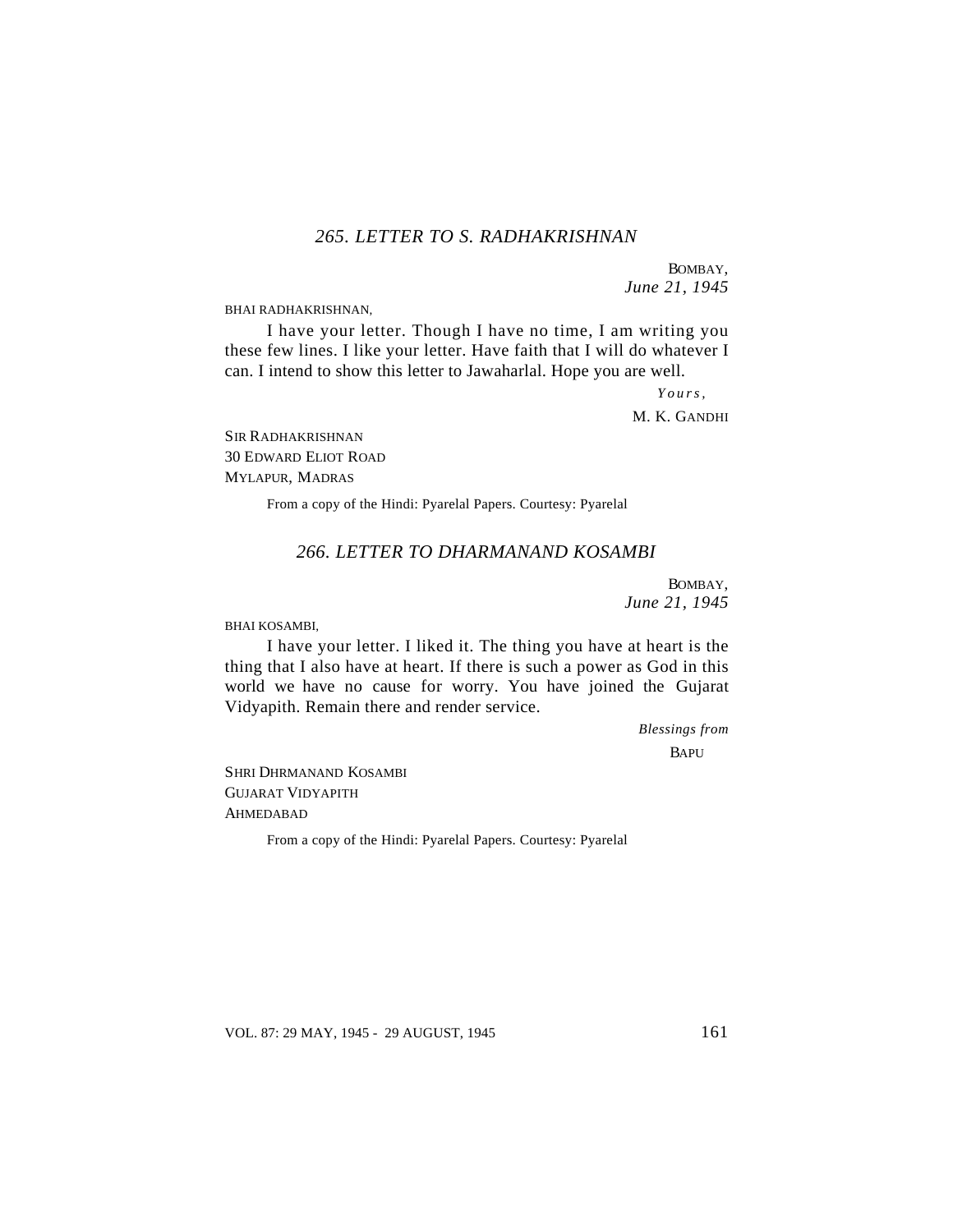## *265. LETTER TO S. RADHAKRISHNAN*

BOMBAY, *June 21, 1945*

#### BHAI RADHAKRISHNAN,

I have your letter. Though I have no time, I am writing you these few lines. I like your letter. Have faith that I will do whatever I can. I intend to show this letter to Jawaharlal. Hope you are well.

> *Yours,*  M. K. GANDHI

SIR RADHAKRISHNAN 30 EDWARD ELIOT ROAD MYLAPUR, MADRAS

From a copy of the Hindi: Pyarelal Papers. Courtesy: Pyarelal

## *266. LETTER TO DHARMANAND KOSAMBI*

BOMBAY, *June 21, 1945*

BHAI KOSAMBI,

I have your letter. I liked it. The thing you have at heart is the thing that I also have at heart. If there is such a power as God in this world we have no cause for worry. You have joined the Gujarat Vidyapith. Remain there and render service.

> *Blessings from* **BAPU**

SHRI DHRMANAND KOSAMBI GUJARAT VIDYAPITH AHMEDABAD

From a copy of the Hindi: Pyarelal Papers. Courtesy: Pyarelal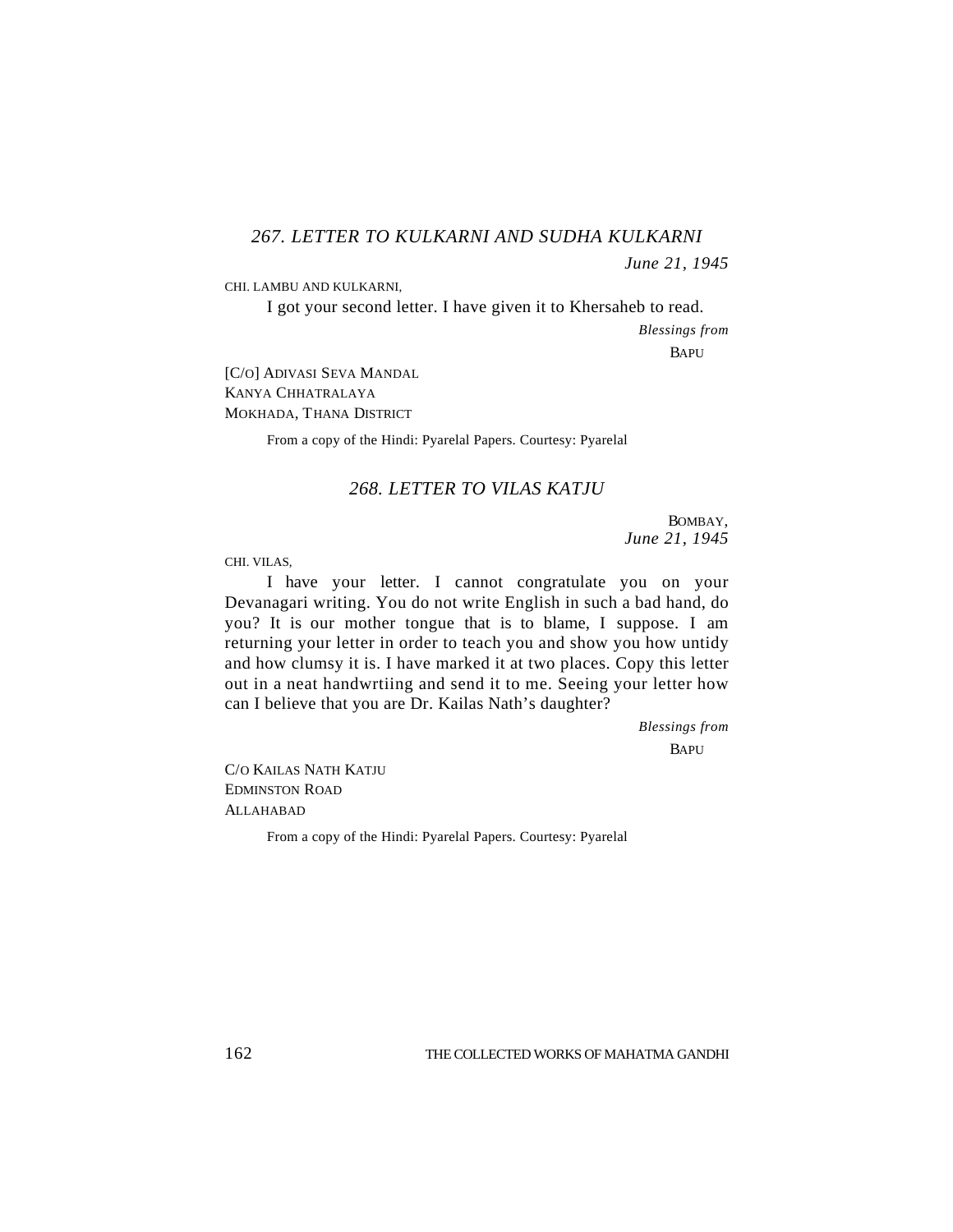# *267. LETTER TO KULKARNI AND SUDHA KULKARNI June 21, 1945*

CHI. LAMBU AND KULKARNI,

I got your second letter. I have given it to Khersaheb to read.

*Blessings from*

**BAPU** 

[C/O] ADIVASI SEVA MANDAL KANYA CHHATRALAYA MOKHADA, THANA DISTRICT

From a copy of the Hindi: Pyarelal Papers. Courtesy: Pyarelal

## *268. LETTER TO VILAS KATJU*

BOMBAY, *June 21, 1945*

CHI. VILAS,

I have your letter. I cannot congratulate you on your Devanagari writing. You do not write English in such a bad hand, do you? It is our mother tongue that is to blame, I suppose. I am returning your letter in order to teach you and show you how untidy and how clumsy it is. I have marked it at two places. Copy this letter out in a neat handwrtiing and send it to me. Seeing your letter how can I believe that you are Dr. Kailas Nath's daughter?

> *Blessings from* **BAPU**

C/O KAILAS NATH KATJU EDMINSTON ROAD ALLAHABAD

From a copy of the Hindi: Pyarelal Papers. Courtesy: Pyarelal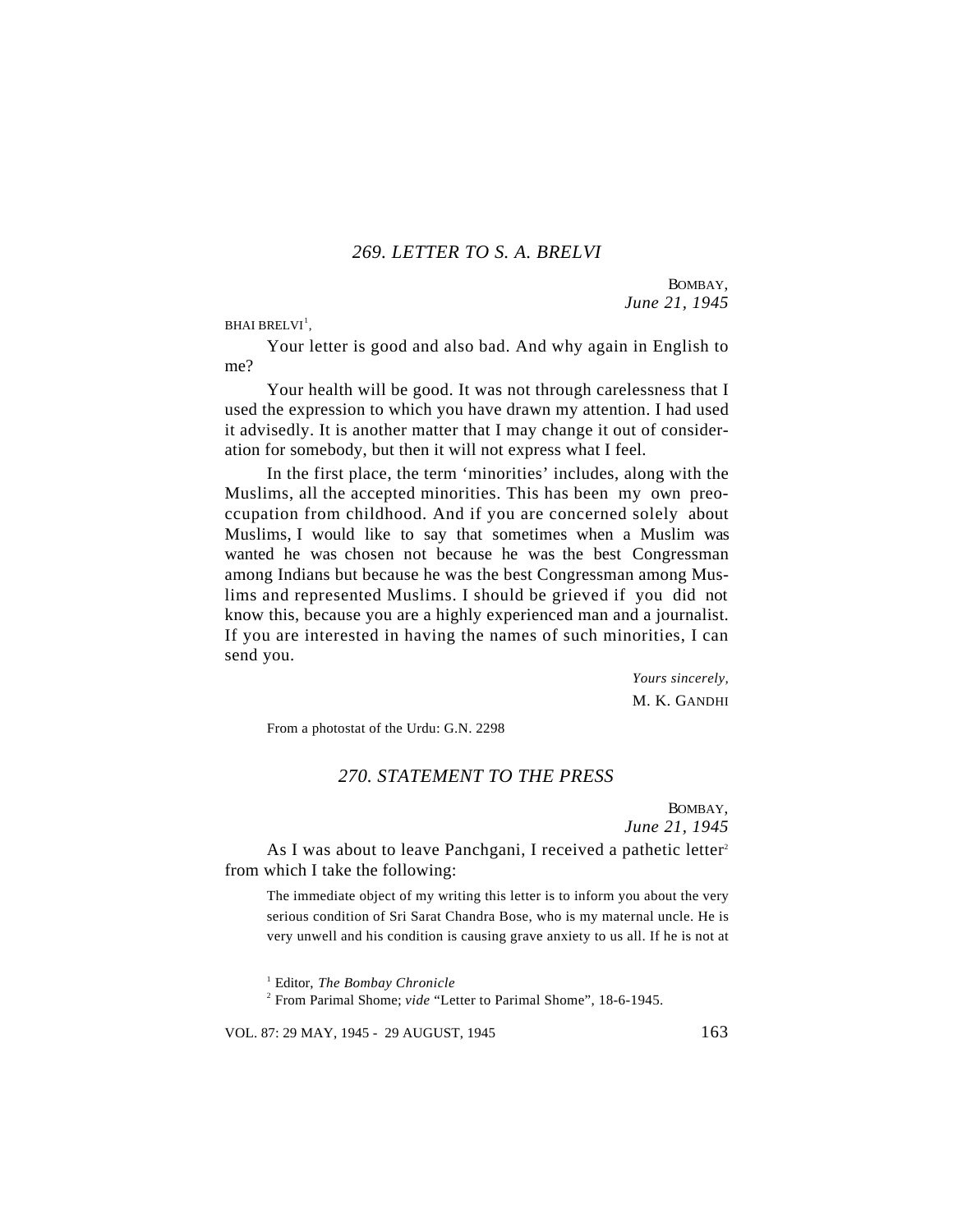#### *269. LETTER TO S. A. BRELVI*

BOMBAY, *June 21, 1945*

 $\mathbf B$ HAI BRELVI $^1,$ 

Your letter is good and also bad. And why again in English to me?

Your health will be good. It was not through carelessness that I used the expression to which you have drawn my attention. I had used it advisedly. It is another matter that I may change it out of consideration for somebody, but then it will not express what I feel.

In the first place, the term 'minorities' includes, along with the Muslims, all the accepted minorities. This has been my own preoccupation from childhood. And if you are concerned solely about Muslims, I would like to say that sometimes when a Muslim was wanted he was chosen not because he was the best Congressman among Indians but because he was the best Congressman among Muslims and represented Muslims. I should be grieved if you did not know this, because you are a highly experienced man and a journalist. If you are interested in having the names of such minorities, I can send you.

> *Yours sincerely,* M. K. GANDHI

From a photostat of the Urdu: G.N. 2298

#### *270. STATEMENT TO THE PRESS*

BOMBAY, *June 21, 1945*

As I was about to leave Panchgani, I received a pathetic letter<sup>2</sup> from which I take the following:

The immediate object of my writing this letter is to inform you about the very serious condition of Sri Sarat Chandra Bose, who is my maternal uncle. He is very unwell and his condition is causing grave anxiety to us all. If he is not at

1 Editor, *The Bombay Chronicle*

<sup>2</sup> From Parimal Shome; *vide* "Letter to Parimal Shome", 18-6-1945.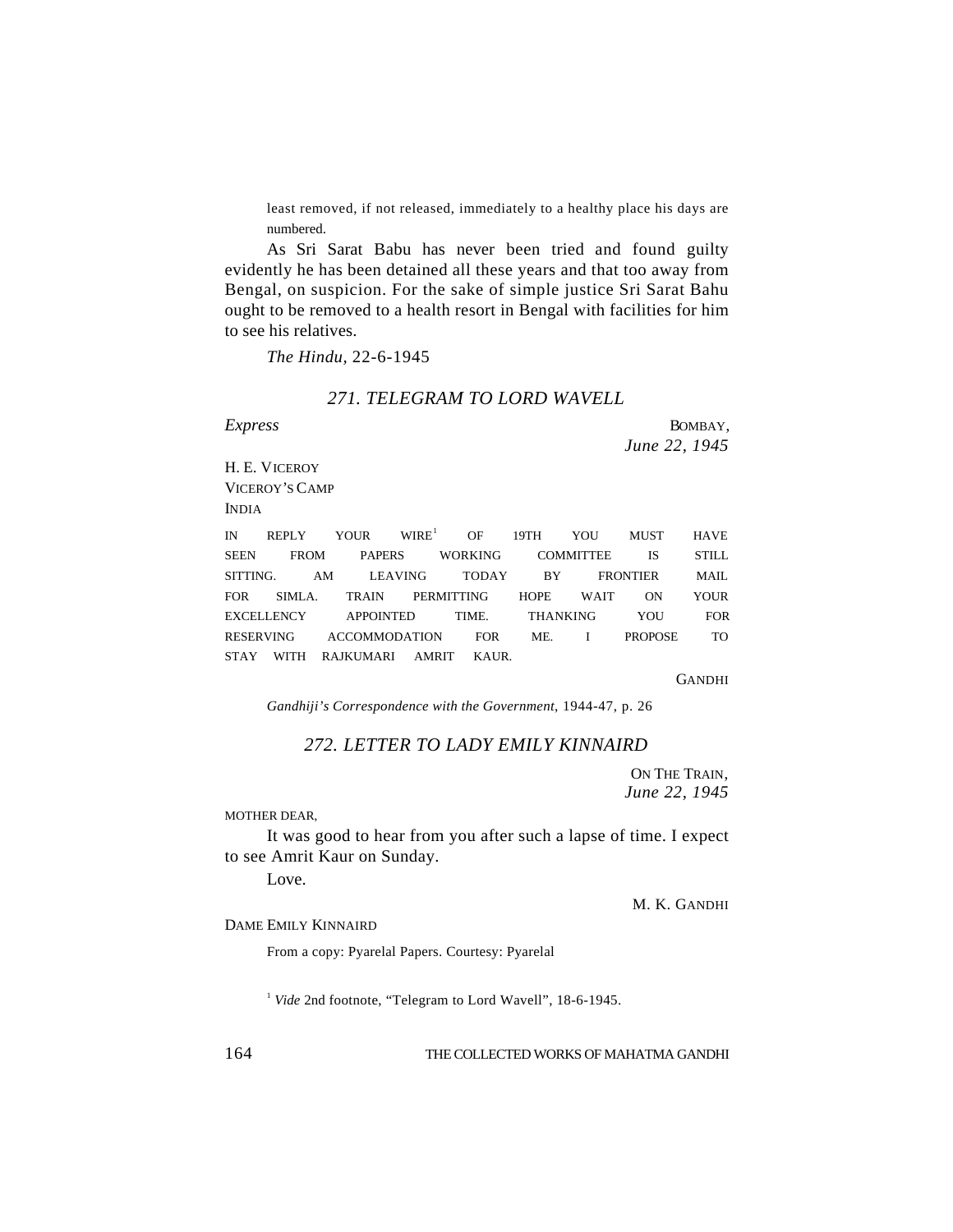least removed, if not released, immediately to a healthy place his days are numbered.

As Sri Sarat Babu has never been tried and found guilty evidently he has been detained all these years and that too away from Bengal, on suspicion. For the sake of simple justice Sri Sarat Bahu ought to be removed to a health resort in Bengal with facilities for him to see his relatives.

*The Hindu,* 22-6-1945

# *271. TELEGRAM TO LORD WAVELL*

*Express* BOMBAY, *June 22, 1945*

H. E. VICEROY VICEROY'S CAMP INDIA

IN REPLY YOUR WIRE<sup>1</sup> OF 19TH YOU MUST HAVE SEEN FROM PAPERS WORKING COMMITTEE IS STILL SITTING. AM LEAVING TODAY BY FRONTIER MAIL FOR SIMLA. TRAIN PERMITTING HOPE WAIT ON YOUR EXCELLENCY APPOINTED TIME. THANKING YOU FOR RESERVING ACCOMMODATION FOR ME. I PROPOSE TO STAY WITH RAJKUMARI AMRIT KAUR.

GANDHI

*Gandhiji's Correspondence with the Government*, 1944-47, p. 26

# *272. LETTER TO LADY EMILY KINNAIRD*

ON THE TRAIN, *June 22, 1945*

MOTHER DEAR,

It was good to hear from you after such a lapse of time. I expect to see Amrit Kaur on Sunday.

Love.

M. K. GANDHI

DAME EMILY KINNAIRD

From a copy: Pyarelal Papers. Courtesy: Pyarelal

<sup>1</sup> *Vide* 2nd footnote, "Telegram to Lord Wavell", 18-6-1945.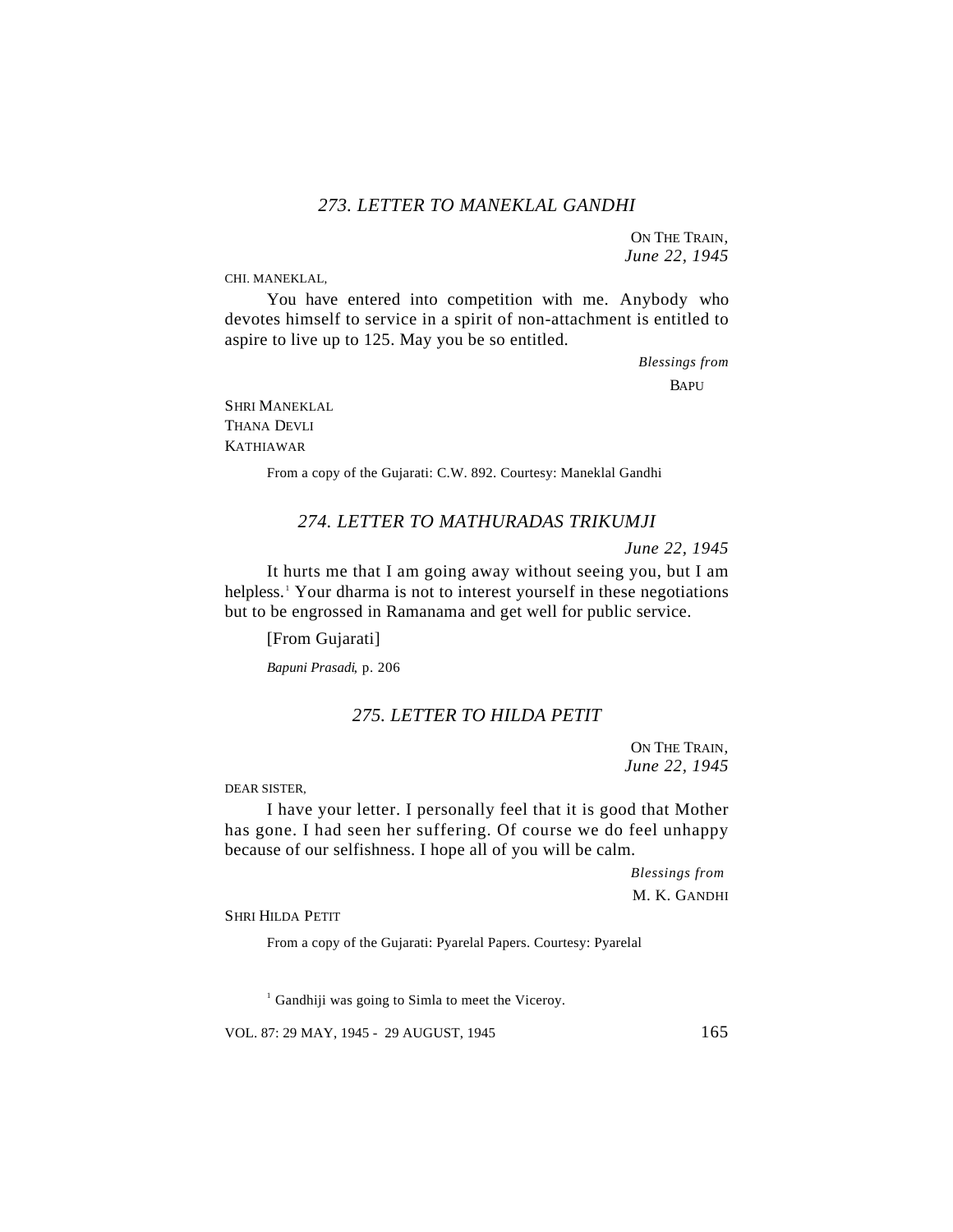#### *273. LETTER TO MANEKLAL GANDHI*

ON THE TRAIN, *June 22, 1945*

CHI. MANEKLAL,

You have entered into competition with me. Anybody who devotes himself to service in a spirit of non-attachment is entitled to aspire to live up to 125. May you be so entitled.

> *Blessings from* **BAPU**

SHRI MANEKLAL THANA DEVLI KATHIAWAR

From a copy of the Gujarati: C.W. 892. Courtesy: Maneklal Gandhi

#### *274. LETTER TO MATHURADAS TRIKUMJI*

*June 22, 1945*

It hurts me that I am going away without seeing you, but I am helpless.<sup>1</sup> Your dharma is not to interest yourself in these negotiations but to be engrossed in Ramanama and get well for public service.

[From Gujarati]

*Bapuni Prasadi*, p. 206

#### *275. LETTER TO HILDA PETIT*

ON THE TRAIN, *June 22, 1945*

DEAR SISTER,

I have your letter. I personally feel that it is good that Mother has gone. I had seen her suffering. Of course we do feel unhappy because of our selfishness. I hope all of you will be calm.

> *Blessings from*  M. K. GANDHI

SHRI HILDA PETIT

From a copy of the Gujarati: Pyarelal Papers. Courtesy: Pyarelal

<sup>1</sup> Gandhiji was going to Simla to meet the Viceroy.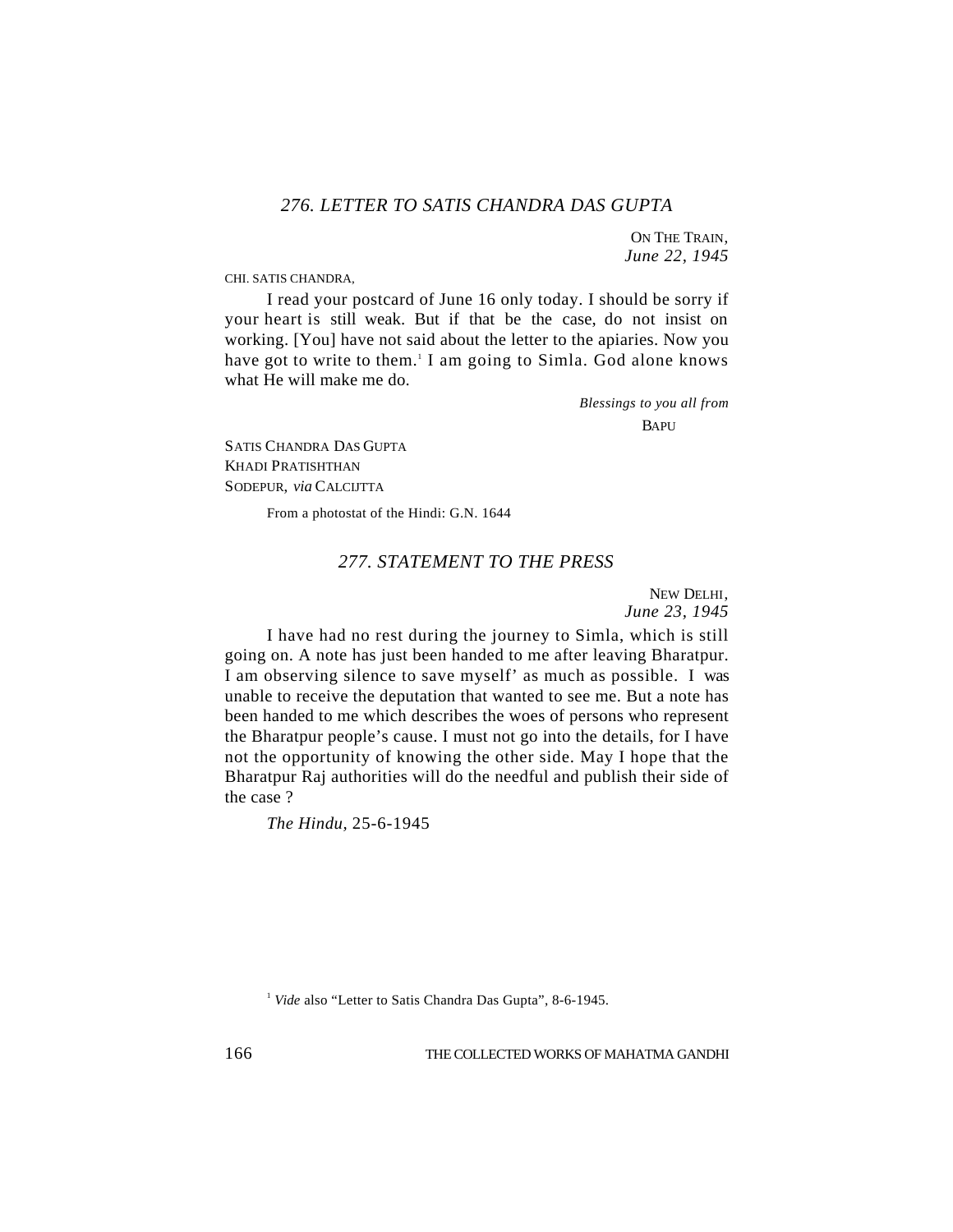#### *276. LETTER TO SATIS CHANDRA DAS GUPTA*

ON THE TRAIN, *June 22, 1945*

CHI. SATIS CHANDRA,

I read your postcard of June 16 only today. I should be sorry if your heart is still weak. But if that be the case, do not insist on working. [You] have not said about the letter to the apiaries. Now you have got to write to them.<sup>1</sup> I am going to Simla. God alone knows what He will make me do.

> *Blessings to you all from* **BAPU**

SATIS CHANDRA DAS GUPTA KHADI PRATISHTHAN SODEPUR, *via* CALCIJTTA

From a photostat of the Hindi: G.N. 1644

#### *277. STATEMENT TO THE PRESS*

NEW DELHI *June 23, 1945*

I have had no rest during the journey to Simla, which is still going on. A note has just been handed to me after leaving Bharatpur. I am observing silence to save myself' as much as possible. I was unable to receive the deputation that wanted to see me. But a note has been handed to me which describes the woes of persons who represent the Bharatpur people's cause. I must not go into the details, for I have not the opportunity of knowing the other side. May I hope that the Bharatpur Raj authorities will do the needful and publish their side of the case ?

*The Hindu,* 25-6-1945

<sup>1</sup> *Vide* also "Letter to Satis Chandra Das Gupta", 8-6-1945.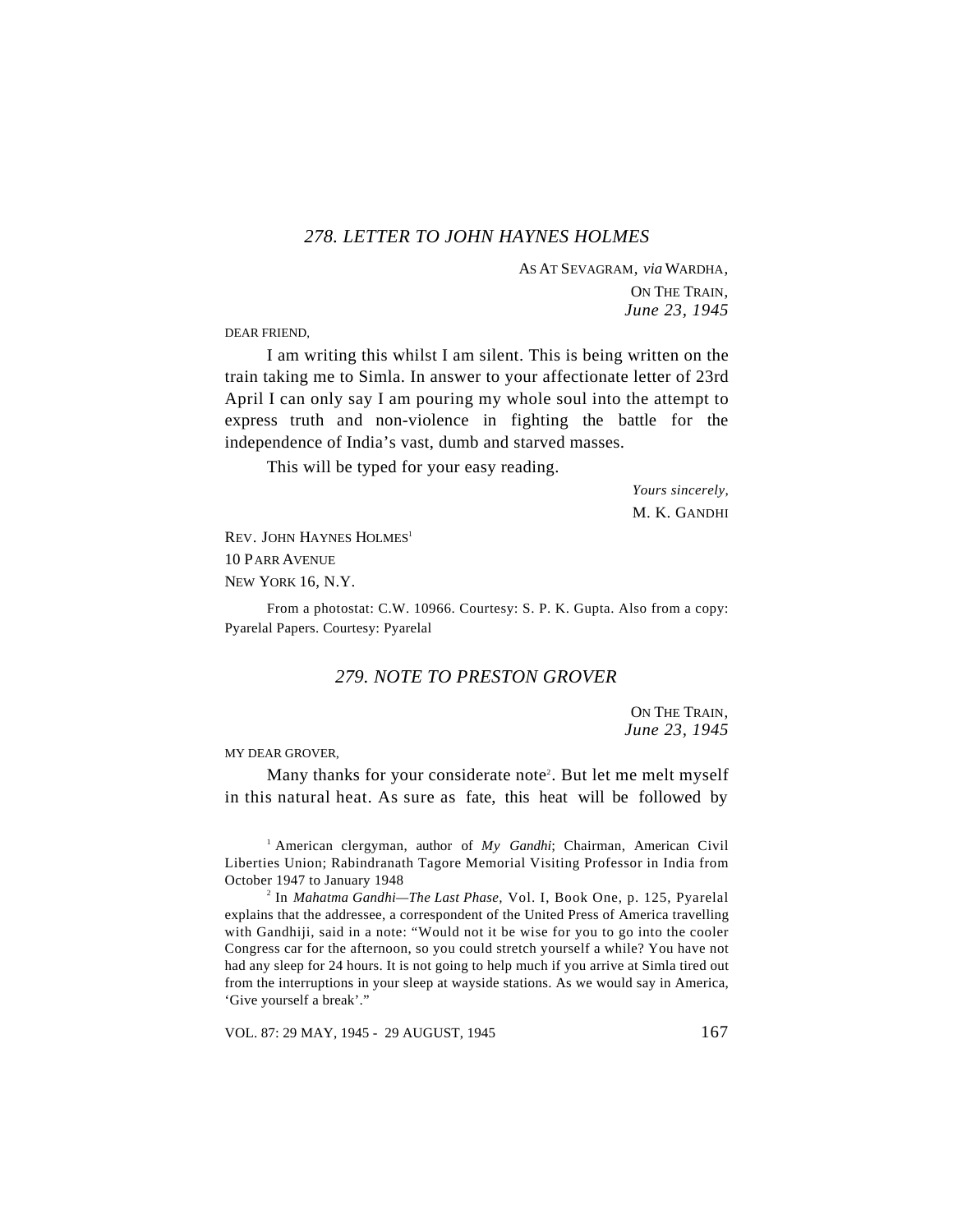## *278. LETTER TO JOHN HAYNES HOLMES*

AS AT SEVAGRAM, *via* WARDHA,

ON THE TRAIN, *June 23, 1945*

DEAR FRIEND,

I am writing this whilst I am silent. This is being written on the train taking me to Simla. In answer to your affectionate letter of 23rd April I can only say I am pouring my whole soul into the attempt to express truth and non-violence in fighting the battle for the independence of India's vast, dumb and starved masses.

This will be typed for your easy reading.

*Yours sincerely,* M. K. GANDHI

REV. JOHN HAYNES HOLMES<sup>1</sup>

10 PARR AVENUE

NEW YORK 16, N.Y.

From a photostat: C.W. 10966. Courtesy: S. P. K. Gupta. Also from a copy: Pyarelal Papers. Courtesy: Pyarelal

#### *279. NOTE TO PRESTON GROVER*

ON THE TRAIN, *June 23, 1945*

MY DEAR GROVER,

Many thanks for your considerate note<sup>2</sup>. But let me melt myself in this natural heat. As sure as fate, this heat will be followed by

<sup>1</sup> American clergyman, author of My Gandhi; Chairman, American Civil Liberties Union; Rabindranath Tagore Memorial Visiting Professor in India from October 1947 to January 1948

2 In *Mahatma Gandhi—The Last Phase,* Vol. I, Book One, p. 125, Pyarelal explains that the addressee, a correspondent of the United Press of America travelling with Gandhiji, said in a note: "Would not it be wise for you to go into the cooler Congress car for the afternoon, so you could stretch yourself a while? You have not had any sleep for 24 hours. It is not going to help much if you arrive at Simla tired out from the interruptions in your sleep at wayside stations. As we would say in America, 'Give yourself a break'."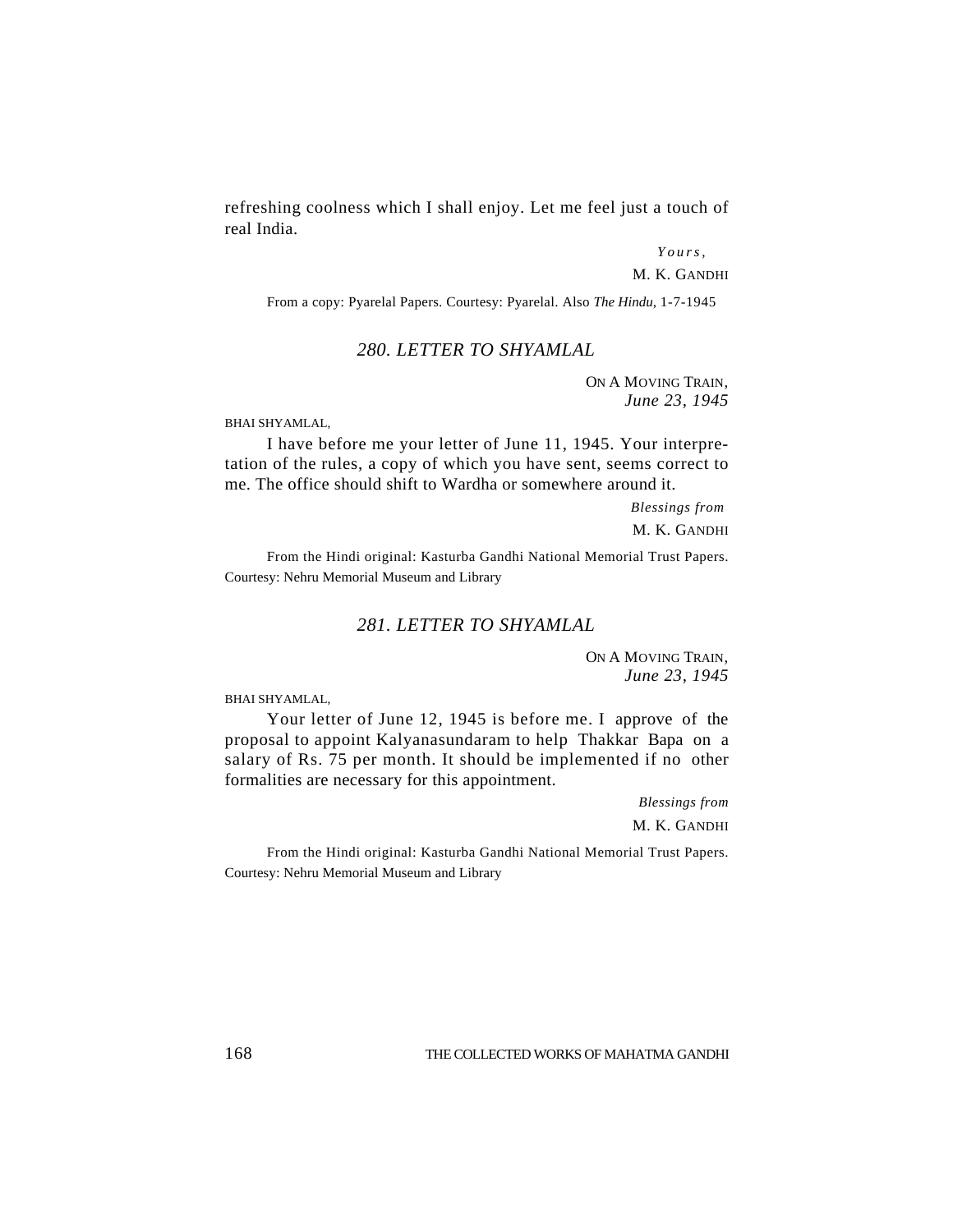refreshing coolness which I shall enjoy. Let me feel just a touch of real India.

*Yours,* 

M. K. GANDHI

From a copy: Pyarelal Papers. Courtesy: Pyarelal. Also *The Hindu,* 1-7-1945

## *280. LETTER TO SHYAMLAL*

ON A MOVING TRAIN, *June 23, 1945*

BHAI SHYAMLAL,

I have before me your letter of June 11, 1945. Your interpretation of the rules, a copy of which you have sent, seems correct to me. The office should shift to Wardha or somewhere around it.

> *Blessings from*  M. K. GANDHI

From the Hindi original: Kasturba Gandhi National Memorial Trust Papers. Courtesy: Nehru Memorial Museum and Library

# *281. LETTER TO SHYAMLAL*

ON A MOVING TRAIN, *June 23, 1945*

BHAI SHYAMLAL,

Your letter of June 12, 1945 is before me. I approve of the proposal to appoint Kalyanasundaram to help Thakkar Bapa on a salary of Rs. 75 per month. It should be implemented if no other formalities are necessary for this appointment.

> *Blessings from* M. K. GANDHI

From the Hindi original: Kasturba Gandhi National Memorial Trust Papers. Courtesy: Nehru Memorial Museum and Library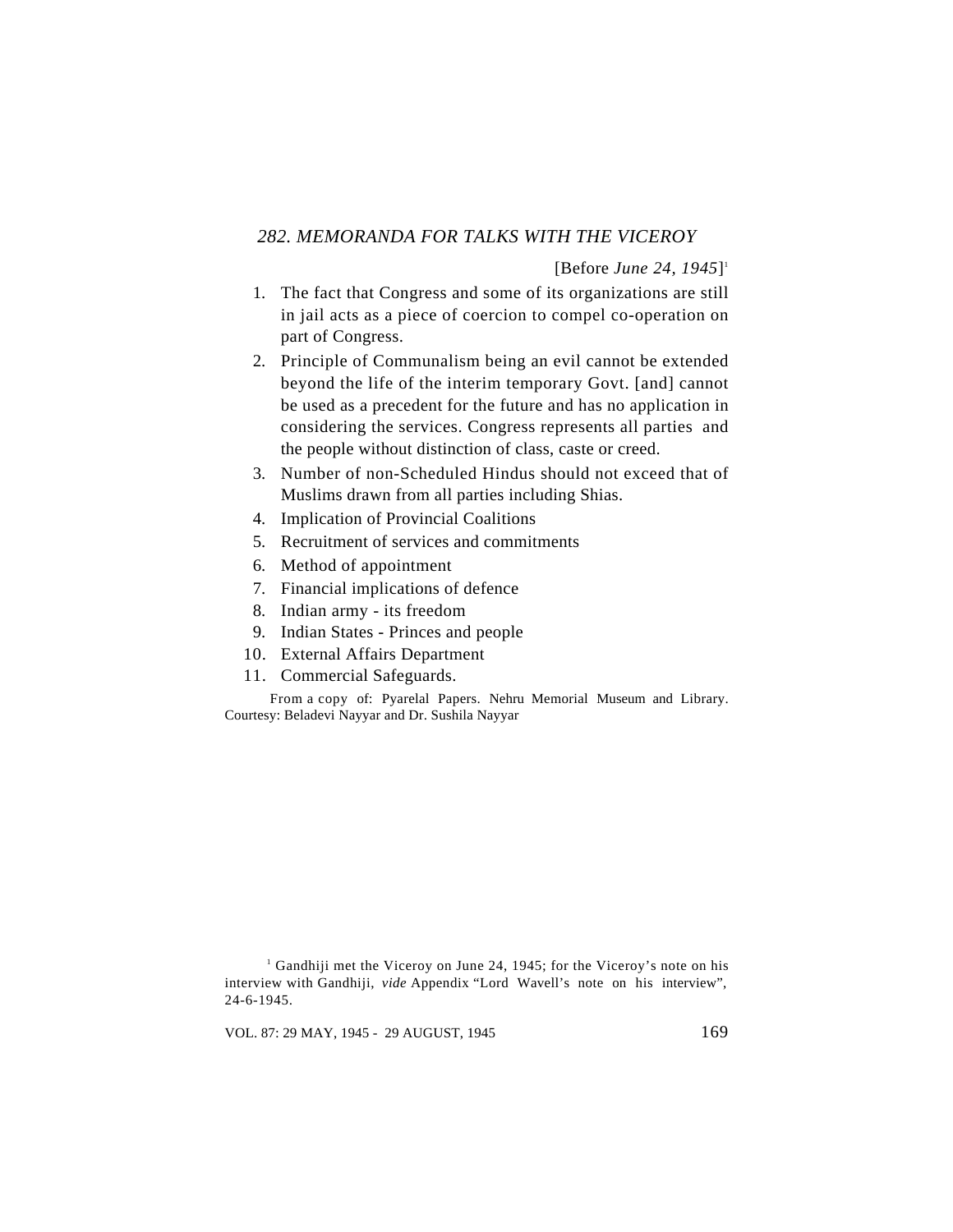[Before *June 24, 1945*] 1

- 1. The fact that Congress and some of its organizations are still in jail acts as a piece of coercion to compel co-operation on part of Congress.
- 2. Principle of Communalism being an evil cannot be extended beyond the life of the interim temporary Govt. [and] cannot be used as a precedent for the future and has no application in considering the services. Congress represents all parties and the people without distinction of class, caste or creed.
- 3. Number of non-Scheduled Hindus should not exceed that of Muslims drawn from all parties including Shias.
- 4. Implication of Provincial Coalitions
- 5. Recruitment of services and commitments
- 6. Method of appointment
- 7. Financial implications of defence
- 8. Indian army its freedom
- 9. Indian States Princes and people
- 10. External Affairs Department
- 11. Commercial Safeguards.

From a copy of: Pyarelal Papers. Nehru Memorial Museum and Library. Courtesy: Beladevi Nayyar and Dr. Sushila Nayyar

<sup>1</sup> Gandhiji met the Viceroy on June 24, 1945; for the Viceroy's note on his interview with Gandhiji, *vide* Appendix "Lord Wavell's note on his interview", 24-6-1945.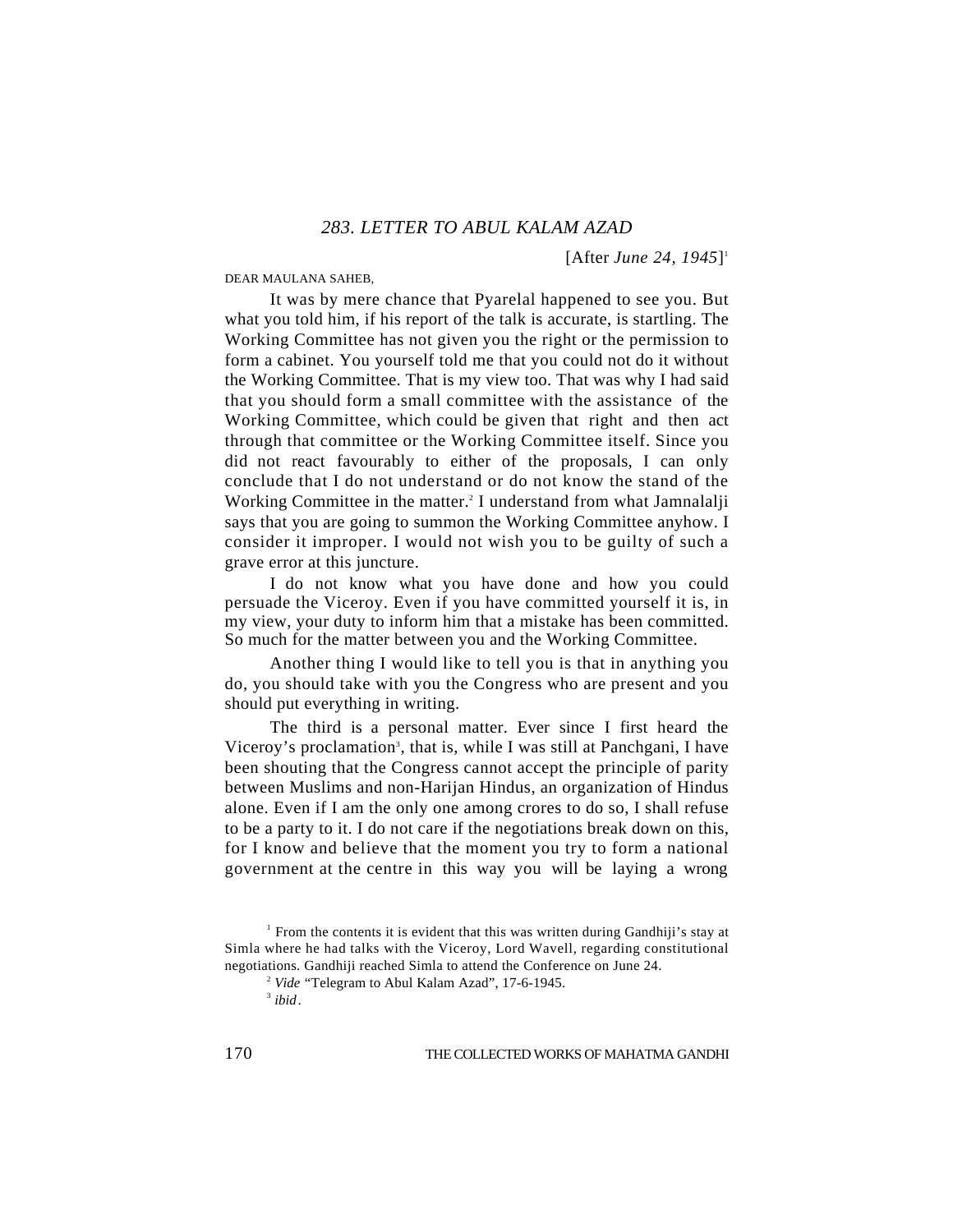[After *June 24, 1945*] 1

DEAR MAULANA SAHEB,

It was by mere chance that Pyarelal happened to see you. But what you told him, if his report of the talk is accurate, is startling. The Working Committee has not given you the right or the permission to form a cabinet. You yourself told me that you could not do it without the Working Committee. That is my view too. That was why I had said that you should form a small committee with the assistance of the Working Committee, which could be given that right and then act through that committee or the Working Committee itself. Since you did not react favourably to either of the proposals, I can only conclude that I do not understand or do not know the stand of the Working Committee in the matter.<sup>2</sup> I understand from what Jamnalalji says that you are going to summon the Working Committee anyhow. I consider it improper. I would not wish you to be guilty of such a grave error at this juncture.

I do not know what you have done and how you could persuade the Viceroy. Even if you have committed yourself it is, in my view, your duty to inform him that a mistake has been committed. So much for the matter between you and the Working Committee.

Another thing I would like to tell you is that in anything you do, you should take with you the Congress who are present and you should put everything in writing.

The third is a personal matter. Ever since I first heard the Viceroy's proclamation<sup>3</sup>, that is, while I was still at Panchgani, I have been shouting that the Congress cannot accept the principle of parity between Muslims and non-Harijan Hindus, an organization of Hindus alone. Even if I am the only one among crores to do so, I shall refuse to be a party to it. I do not care if the negotiations break down on this, for I know and believe that the moment you try to form a national government at the centre in this way you will be laying a wrong

3 *ibid*.

<sup>&</sup>lt;sup>1</sup> From the contents it is evident that this was written during Gandhiji's stay at Simla where he had talks with the Viceroy, Lord Wavell, regarding constitutional negotiations. Gandhiji reached Simla to attend the Conference on June 24.

<sup>2</sup> *Vide* "Telegram to Abul Kalam Azad", 17-6-1945.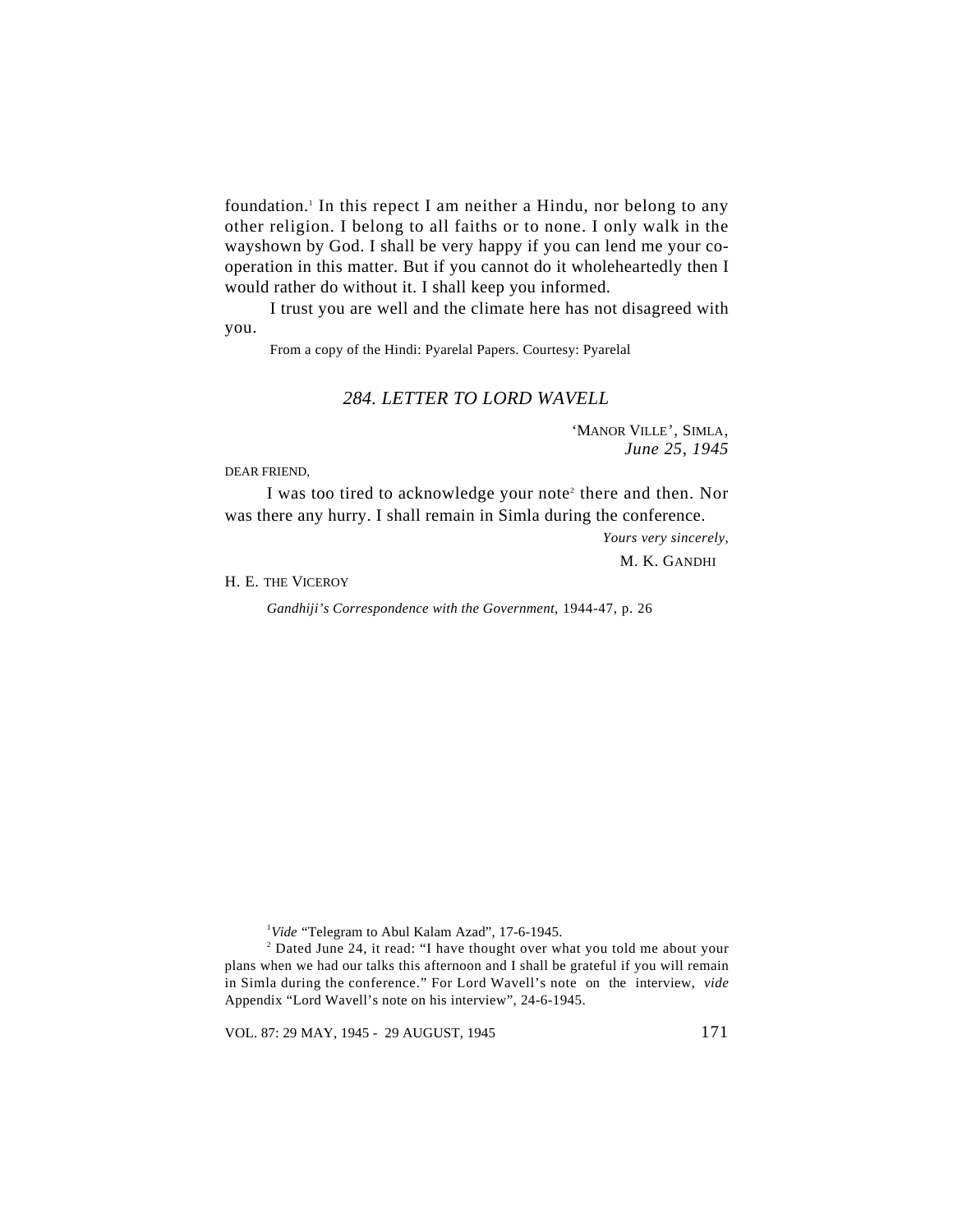foundation.<sup>1</sup> In this repect I am neither a Hindu, nor belong to any other religion. I belong to all faiths or to none. I only walk in the wayshown by God. I shall be very happy if you can lend me your cooperation in this matter. But if you cannot do it wholeheartedly then I would rather do without it. I shall keep you informed.

I trust you are well and the climate here has not disagreed with you.

From a copy of the Hindi: Pyarelal Papers. Courtesy: Pyarelal

# *284. LETTER TO LORD WAVELL*

'MANOR VILLE', SIMLA, *June 25, 1945*

DEAR FRIEND,

I was too tired to acknowledge your note<sup>2</sup> there and then. Nor was there any hurry. I shall remain in Simla during the conference.

*Yours very sincerely,*

M. K. GANDHI

H. E. THE VICEROY

*Gandhiji's Correspondence with the Government*, 1944-47, p. 26

<sup>1</sup>Vide "Telegram to Abul Kalam Azad", 17-6-1945.

 $2^2$  Dated June 24, it read: "I have thought over what you told me about your plans when we had our talks this afternoon and I shall be grateful if you will remain in Simla during the conference." For Lord Wavell's note on the interview, *vide* Appendix "Lord Wavell's note on his interview", 24-6-1945.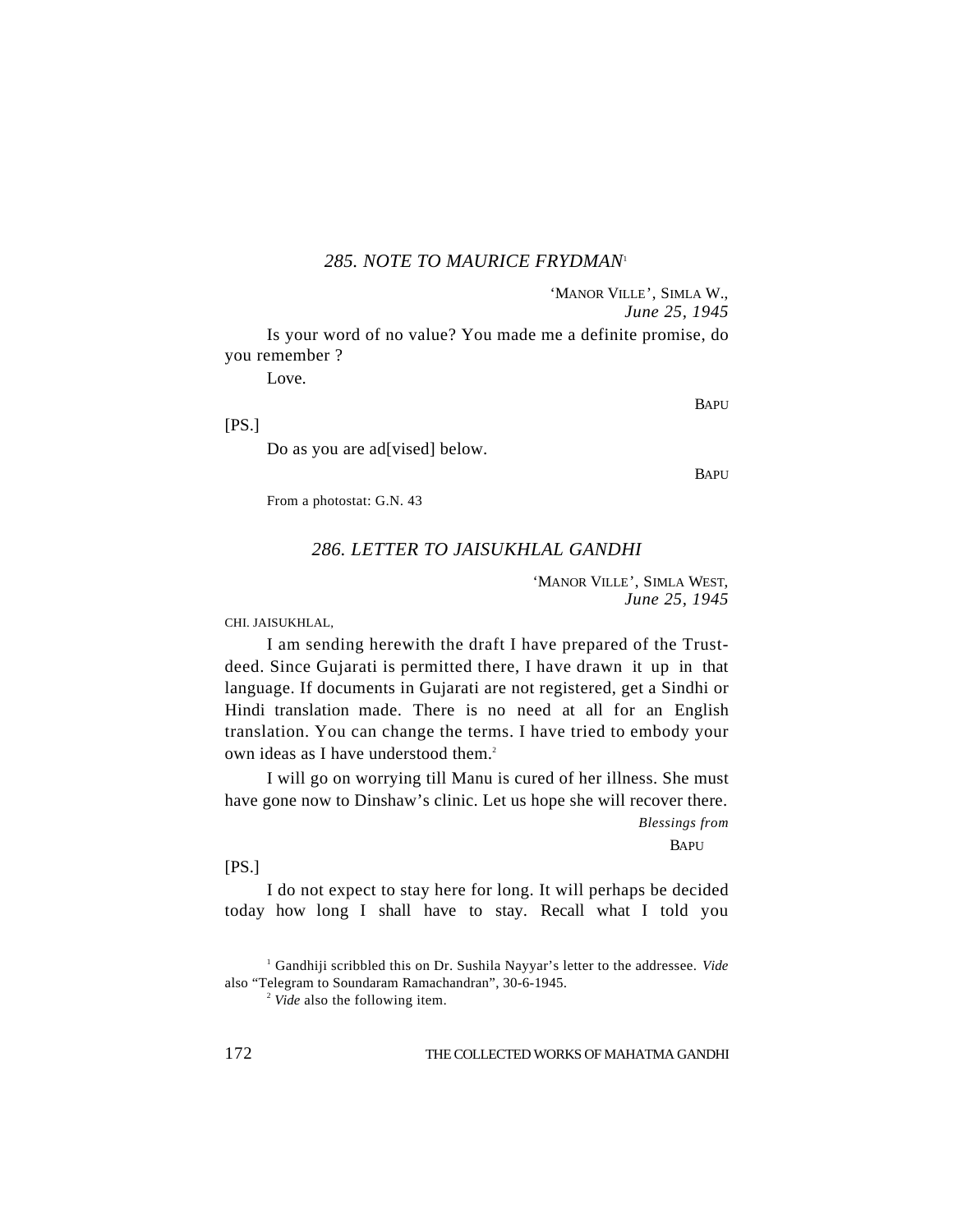# *285. NOTE TO MAURICE FRYDMAN*<sup>1</sup>

'MANOR VILLE', SIMLA W., *June 25, 1945*

Is your word of no value? You made me a definite promise, do you remember ?

Love.

[PS.]

Do as you are ad[vised] below.

**BAPU** 

**BAPU** 

From a photostat: G.N. 43

# *286. LETTER TO JAISUKHLAL GANDHI*

'MANOR VILLE', SIMLA WEST, *June 25, 1945*

CHI. JAISUKHLAL,

I am sending herewith the draft I have prepared of the Trustdeed. Since Gujarati is permitted there, I have drawn it up in that language. If documents in Gujarati are not registered, get a Sindhi or Hindi translation made. There is no need at all for an English translation. You can change the terms. I have tried to embody your own ideas as I have understood them.<sup>2</sup>

I will go on worrying till Manu is cured of her illness. She must have gone now to Dinshaw's clinic. Let us hope she will recover there.

*Blessings from*

**BAPU** 

I do not expect to stay here for long. It will perhaps be decided today how long I shall have to stay. Recall what I told you

<sup>1</sup> Gandhiji scribbled this on Dr. Sushila Nayyar's letter to the addressee. *Vide* 

# $[PS.]$

also "Telegram to Soundaram Ramachandran", 30-6-1945. <sup>2</sup> *Vide* also the following item.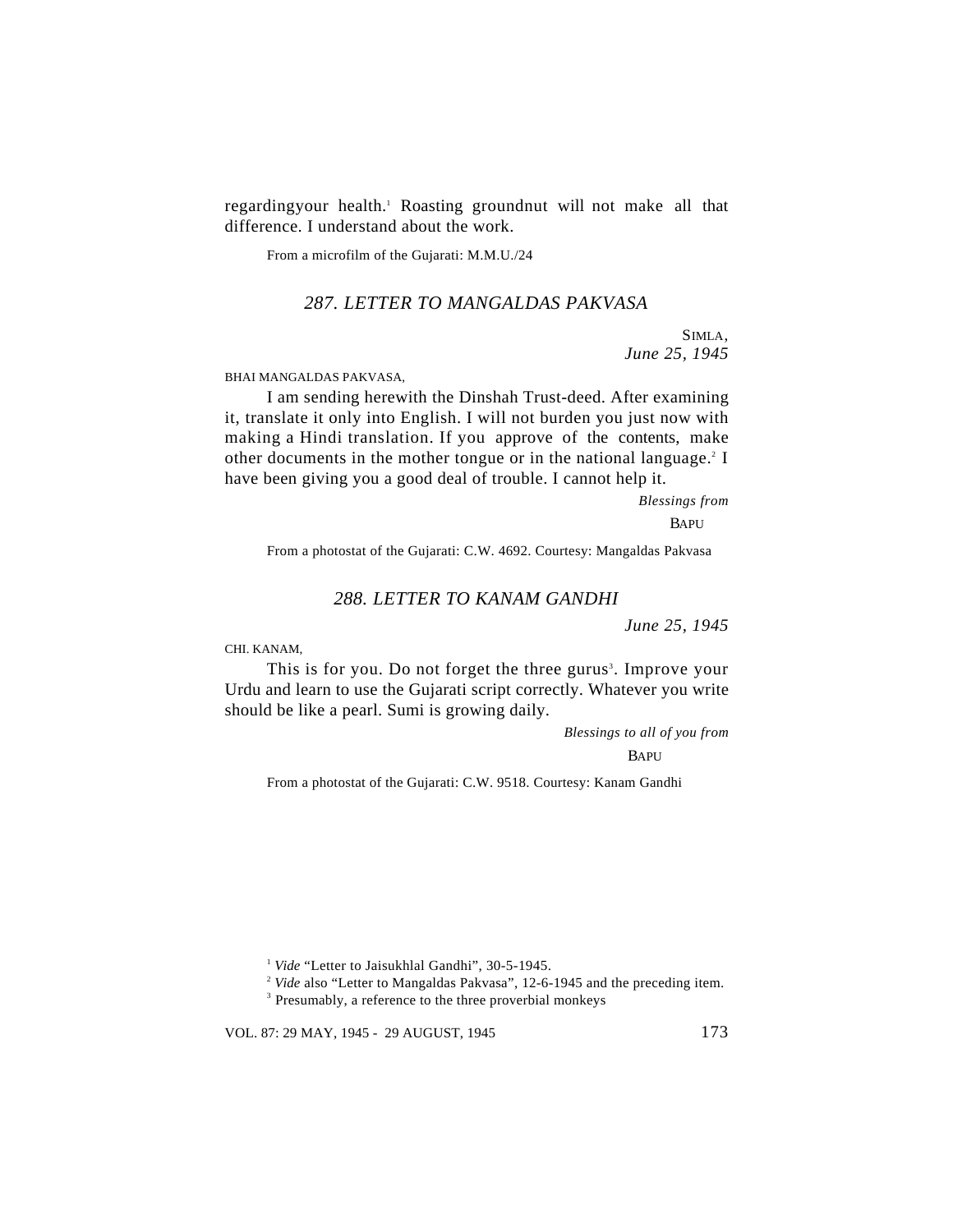regardingyour health.<sup>1</sup> Roasting groundnut will not make all that difference. I understand about the work.

From a microfilm of the Gujarati: M.M.U./24

#### *287. LETTER TO MANGALDAS PAKVASA*

SIMLA, *June 25, 1945*

BHAI MANGALDAS PAKVASA,

I am sending herewith the Dinshah Trust-deed. After examining it, translate it only into English. I will not burden you just now with making a Hindi translation. If you approve of the contents, make other documents in the mother tongue or in the national language.<sup>2</sup> I have been giving you a good deal of trouble. I cannot help it.

*Blessings from*

**BAPU** 

From a photostat of the Gujarati: C.W. 4692. Courtesy: Mangaldas Pakvasa

#### *288. LETTER TO KANAM GANDHI*

*June 25, 1945*

CHI. KANAM,

This is for you. Do not forget the three gurus<sup>3</sup>. Improve your Urdu and learn to use the Gujarati script correctly. Whatever you write should be like a pearl. Sumi is growing daily.

*Blessings to all of you from*

**BAPU** 

From a photostat of the Gujarati: C.W. 9518. Courtesy: Kanam Gandhi

<sup>1</sup> *Vide* "Letter to Jaisukhlal Gandhi", 30-5-1945.

<sup>2</sup> Vide also "Letter to Mangaldas Pakvasa", 12-6-1945 and the preceding item.

<sup>3</sup> Presumably, a reference to the three proverbial monkeys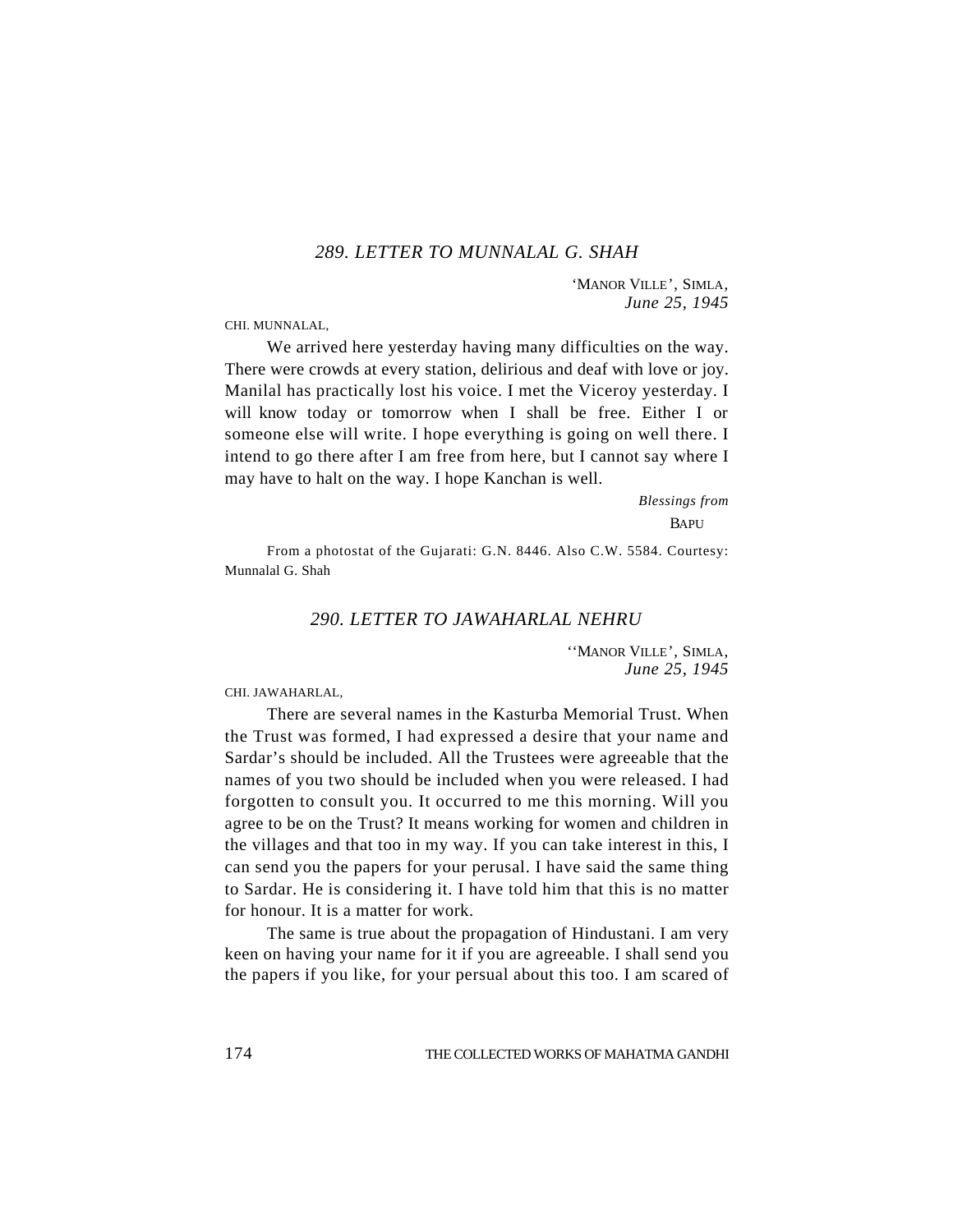## *289. LETTER TO MUNNALAL G. SHAH*

'MANOR VILLE', SIMLA, *June 25, 1945*

CHI. MUNNALAL,

We arrived here yesterday having many difficulties on the way. There were crowds at every station, delirious and deaf with love or joy. Manilal has practically lost his voice. I met the Viceroy yesterday. I will know today or tomorrow when I shall be free. Either I or someone else will write. I hope everything is going on well there. I intend to go there after I am free from here, but I cannot say where I may have to halt on the way. I hope Kanchan is well.

*Blessings from*

**BAPU** 

From a photostat of the Gujarati: G.N. 8446. Also C.W. 5584. Courtesy: Munnalal G. Shah

#### *290. LETTER TO JAWAHARLAL NEHRU*

''MANOR VILLE', SIMLA, *June 25, 1945*

CHI. JAWAHARLAL,

There are several names in the Kasturba Memorial Trust. When the Trust was formed, I had expressed a desire that your name and Sardar's should be included. All the Trustees were agreeable that the names of you two should be included when you were released. I had forgotten to consult you. It occurred to me this morning. Will you agree to be on the Trust? It means working for women and children in the villages and that too in my way. If you can take interest in this, I can send you the papers for your perusal. I have said the same thing to Sardar. He is considering it. I have told him that this is no matter for honour. It is a matter for work.

The same is true about the propagation of Hindustani. I am very keen on having your name for it if you are agreeable. I shall send you the papers if you like, for your persual about this too. I am scared of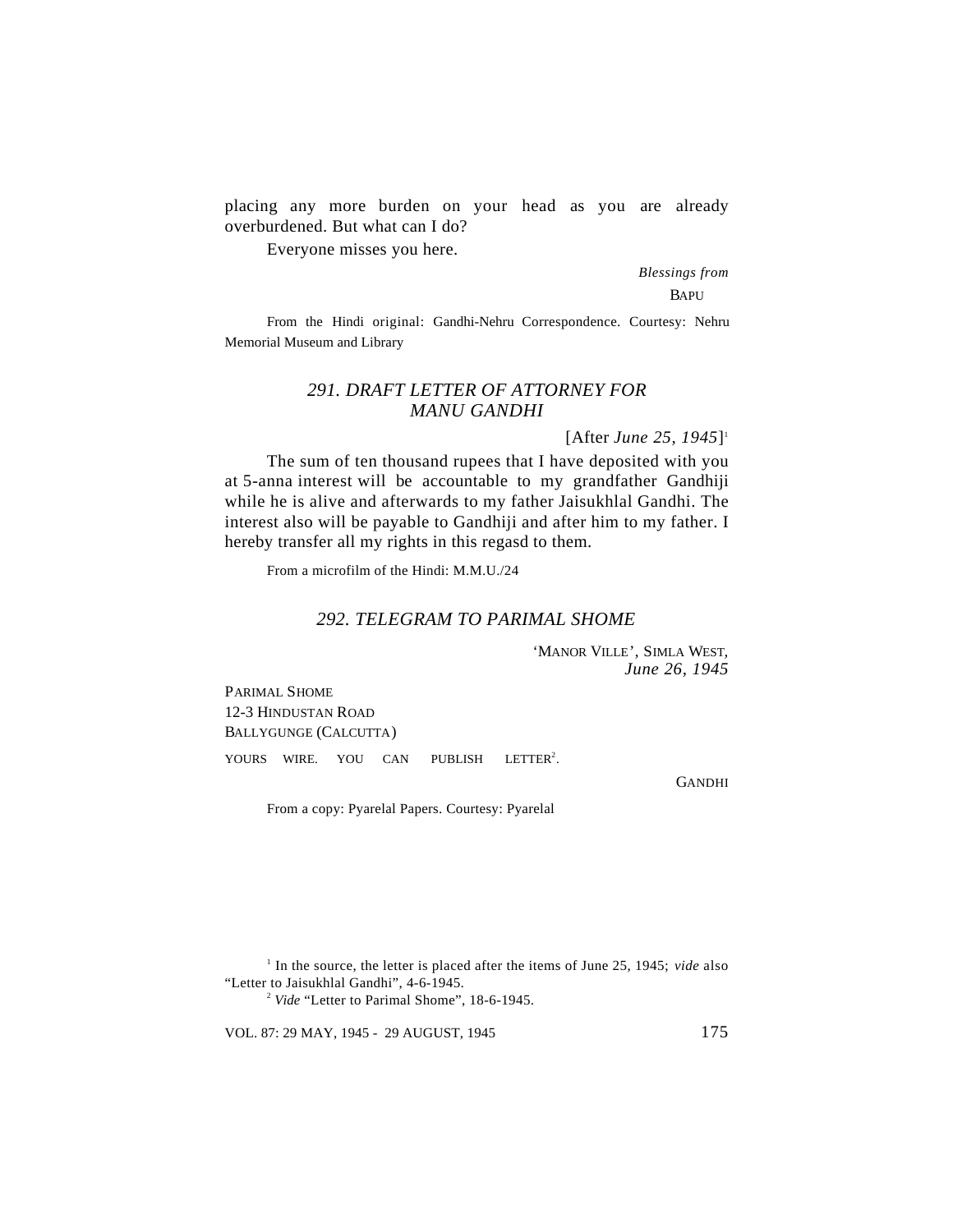placing any more burden on your head as you are already overburdened. But what can I do?

Everyone misses you here.

*Blessings from*

**BAPU** 

From the Hindi original: Gandhi-Nehru Correspondence. Courtesy: Nehru Memorial Museum and Library

# *291. DRAFT LETTER OF ATTORNEY FOR MANU GANDHI*

[After *June 25, 1945*] 1

The sum of ten thousand rupees that I have deposited with you at 5-anna interest will be accountable to my grandfather Gandhiji while he is alive and afterwards to my father Jaisukhlal Gandhi. The interest also will be payable to Gandhiji and after him to my father. I hereby transfer all my rights in this regasd to them.

From a microfilm of the Hindi: M.M.U./24

#### *292. TELEGRAM TO PARIMAL SHOME*

'MANOR VILLE', SIMLA WEST*, June 26, 1945*

PARIMAL SHOME 12-3 HINDUSTAN ROAD BALLYGUNGE (CALCUTTA)

YOURS WIRE. YOU CAN PUBLISH LETTER<sup>2</sup>.

GANDHI

From a copy: Pyarelal Papers. Courtesy: Pyarelal

<sup>1</sup> In the source, the letter is placed after the items of June 25, 1945; *vide* also "Letter to Jaisukhlal Gandhi", 4-6-1945.

<sup>2</sup> *Vide* "Letter to Parimal Shome", 18-6-1945.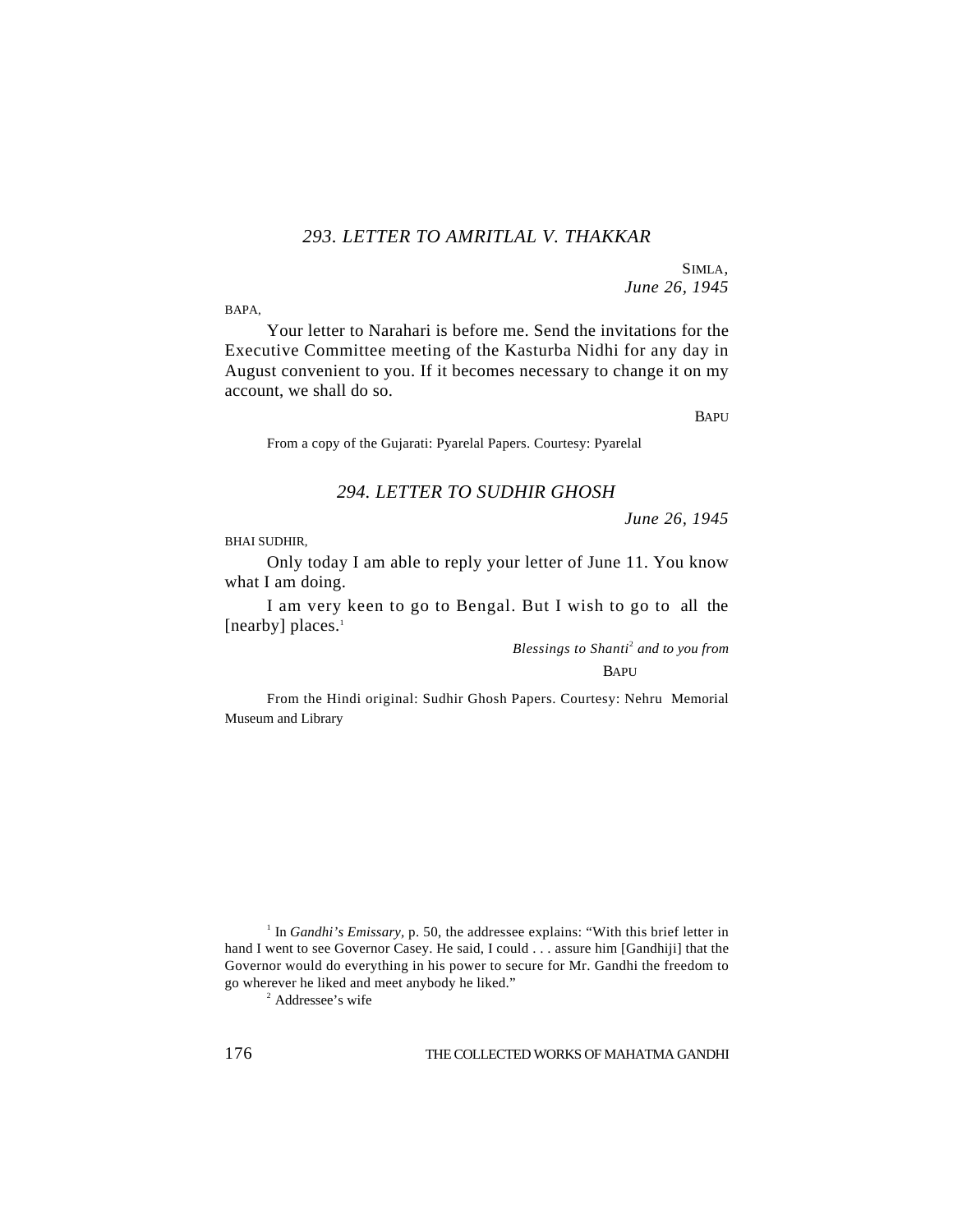# *293. LETTER TO AMRITLAL V. THAKKAR*

SIMLA, *June 26, 1945*

BAPA,

Your letter to Narahari is before me. Send the invitations for the Executive Committee meeting of the Kasturba Nidhi for any day in August convenient to you. If it becomes necessary to change it on my account, we shall do so.

**BAPU** 

From a copy of the Gujarati: Pyarelal Papers. Courtesy: Pyarelal

## *294. LETTER TO SUDHIR GHOSH*

*June 26, 1945*

BHAI SUDHIR,

Only today I am able to reply your letter of June 11. You know what I am doing.

I am very keen to go to Bengal. But I wish to go to all the [nearby] places. $<sup>1</sup>$ </sup>

> *Blessings to Shanti*<sup>2</sup>  *and to you from* **BAPU**

From the Hindi original: Sudhir Ghosh Papers. Courtesy: Nehru Memorial Museum and Library

<sup>1</sup> In *Gandhi's Emissary*, p. 50, the addressee explains: "With this brief letter in hand I went to see Governor Casey. He said, I could . . . assure him [Gandhiji] that the Governor would do everything in his power to secure for Mr. Gandhi the freedom to go wherever he liked and meet anybody he liked."

<sup>2</sup> Addressee's wife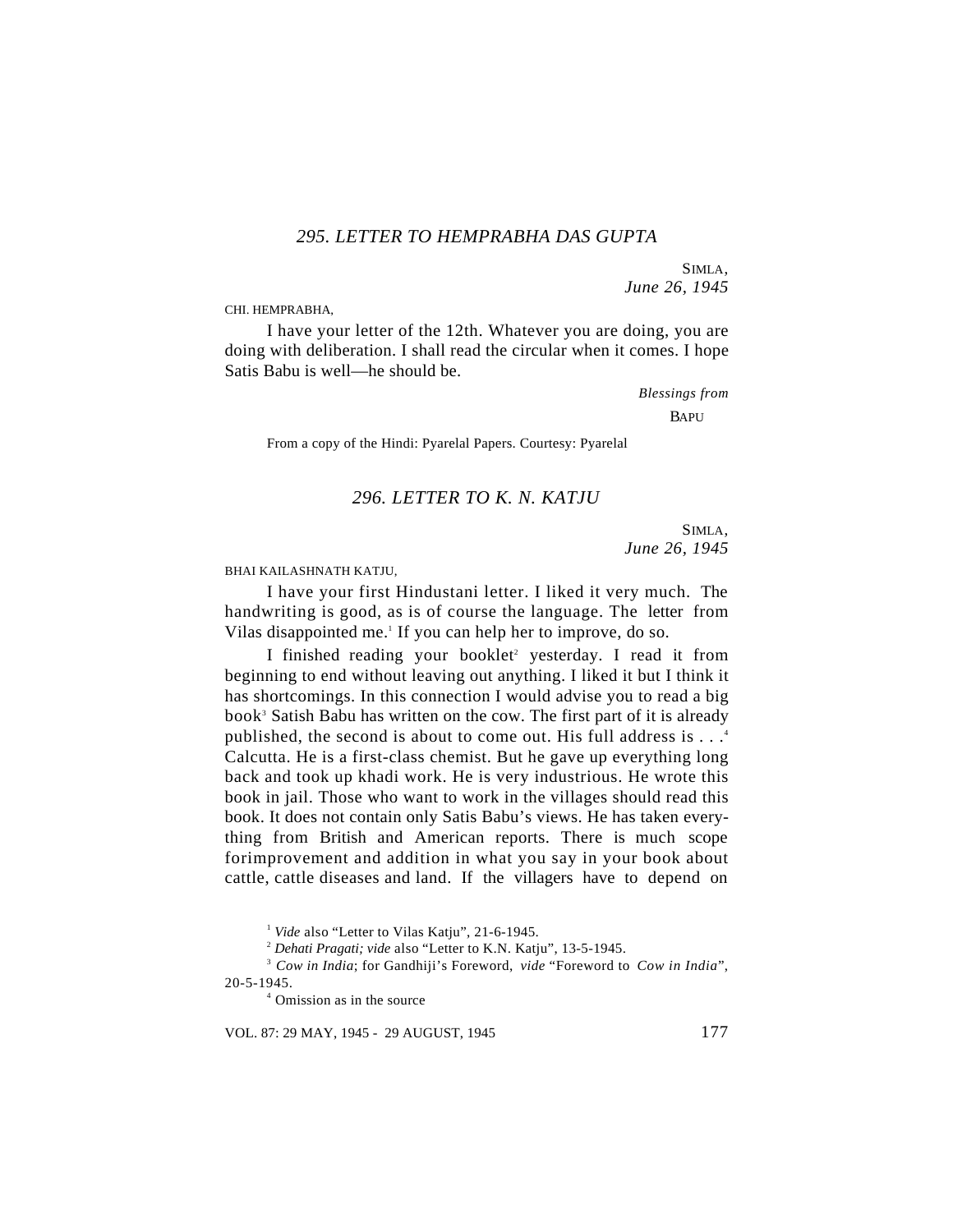SIMLA, *June 26, 1945*

CHI. HEMPRABHA,

I have your letter of the 12th. Whatever you are doing, you are doing with deliberation. I shall read the circular when it comes. I hope Satis Babu is well—he should be.

> *Blessings from* **BAPU**

From a copy of the Hindi: Pyarelal Papers. Courtesy: Pyarelal

#### *296. LETTER TO K. N. KATJU*

SIMLA, *June 26, 1945*

#### BHAI KAILASHNATH KATJU,

I have your first Hindustani letter. I liked it very much. The handwriting is good, as is of course the language. The letter from Vilas disappointed me.<sup>1</sup> If you can help her to improve, do so.

I finished reading your booklet<sup>2</sup> yesterday. I read it from beginning to end without leaving out anything. I liked it but I think it has shortcomings. In this connection I would advise you to read a big book<sup>3</sup> Satish Babu has written on the cow. The first part of it is already published, the second is about to come out. His full address is . . .<sup>4</sup> Calcutta. He is a first-class chemist. But he gave up everything long back and took up khadi work. He is very industrious. He wrote this book in jail. Those who want to work in the villages should read this book. It does not contain only Satis Babu's views. He has taken everything from British and American reports. There is much scope forimprovement and addition in what you say in your book about cattle, cattle diseases and land. If the villagers have to depend on

<sup>1</sup> *Vide* also "Letter to Vilas Katju", 21-6-1945.

<sup>2</sup> *Dehati Pragati; vide* also "Letter to K.N. Katju", 13-5-1945.

<sup>3</sup> *Cow in India*; for Gandhiji's Foreword, *vide* "Foreword to *Cow in India*", 20-5-1945.

4 Omission as in the source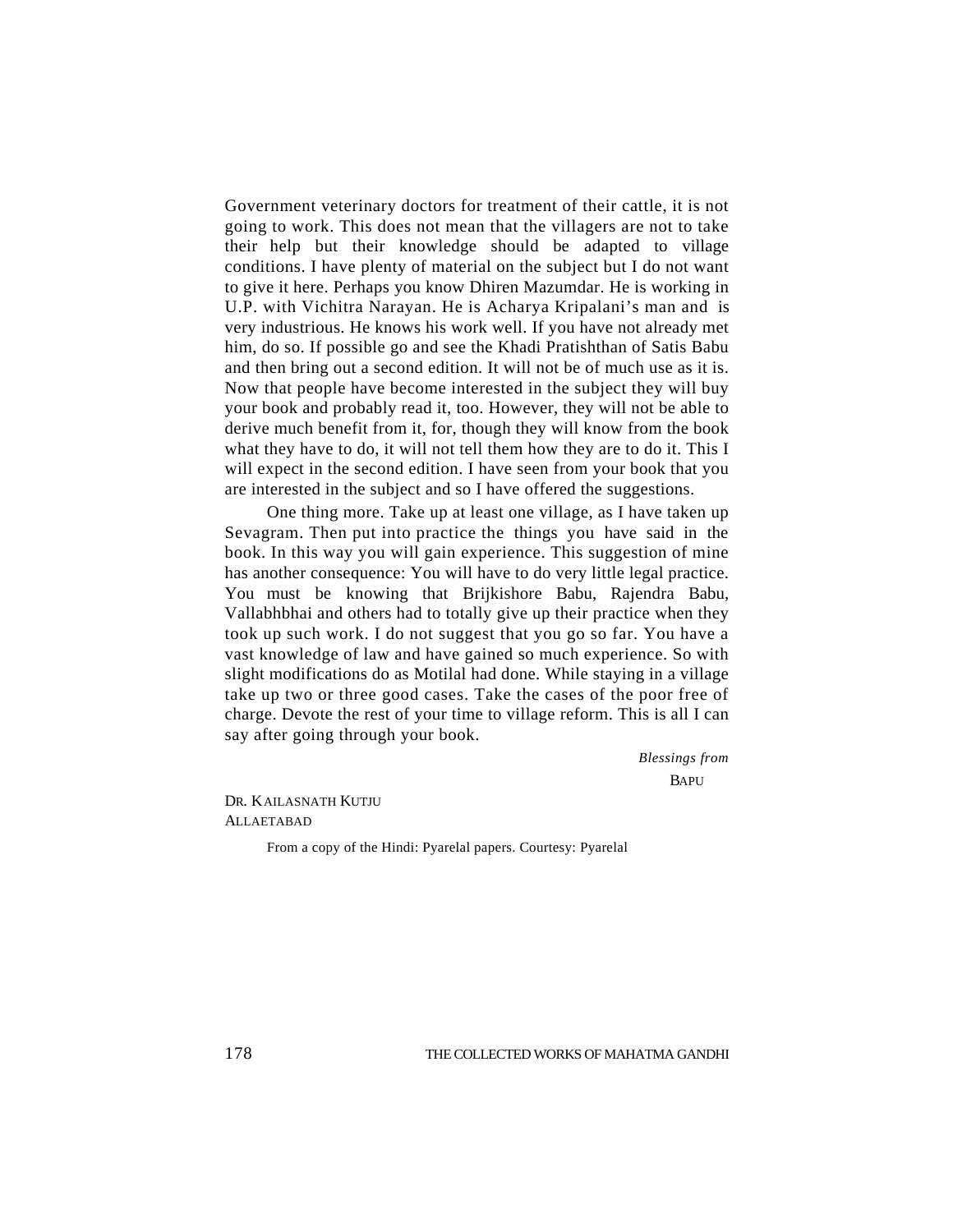Government veterinary doctors for treatment of their cattle, it is not going to work. This does not mean that the villagers are not to take their help but their knowledge should be adapted to village conditions. I have plenty of material on the subject but I do not want to give it here. Perhaps you know Dhiren Mazumdar. He is working in U.P. with Vichitra Narayan. He is Acharya Kripalani's man and is very industrious. He knows his work well. If you have not already met him, do so. If possible go and see the Khadi Pratishthan of Satis Babu and then bring out a second edition. It will not be of much use as it is. Now that people have become interested in the subject they will buy your book and probably read it, too. However, they will not be able to derive much benefit from it, for, though they will know from the book what they have to do, it will not tell them how they are to do it. This I will expect in the second edition. I have seen from your book that you are interested in the subject and so I have offered the suggestions.

One thing more. Take up at least one village, as I have taken up Sevagram. Then put into practice the things you have said in the book. In this way you will gain experience. This suggestion of mine has another consequence: You will have to do very little legal practice. You must be knowing that Brijkishore Babu, Rajendra Babu, Vallabhbhai and others had to totally give up their practice when they took up such work. I do not suggest that you go so far. You have a vast knowledge of law and have gained so much experience. So with slight modifications do as Motilal had done. While staying in a village take up two or three good cases. Take the cases of the poor free of charge. Devote the rest of your time to village reform. This is all I can say after going through your book.

> *Blessings from* **BAPU**

DR. KAILASNATH KUTJU ALLAETABAD

From a copy of the Hindi: Pyarelal papers. Courtesy: Pyarelal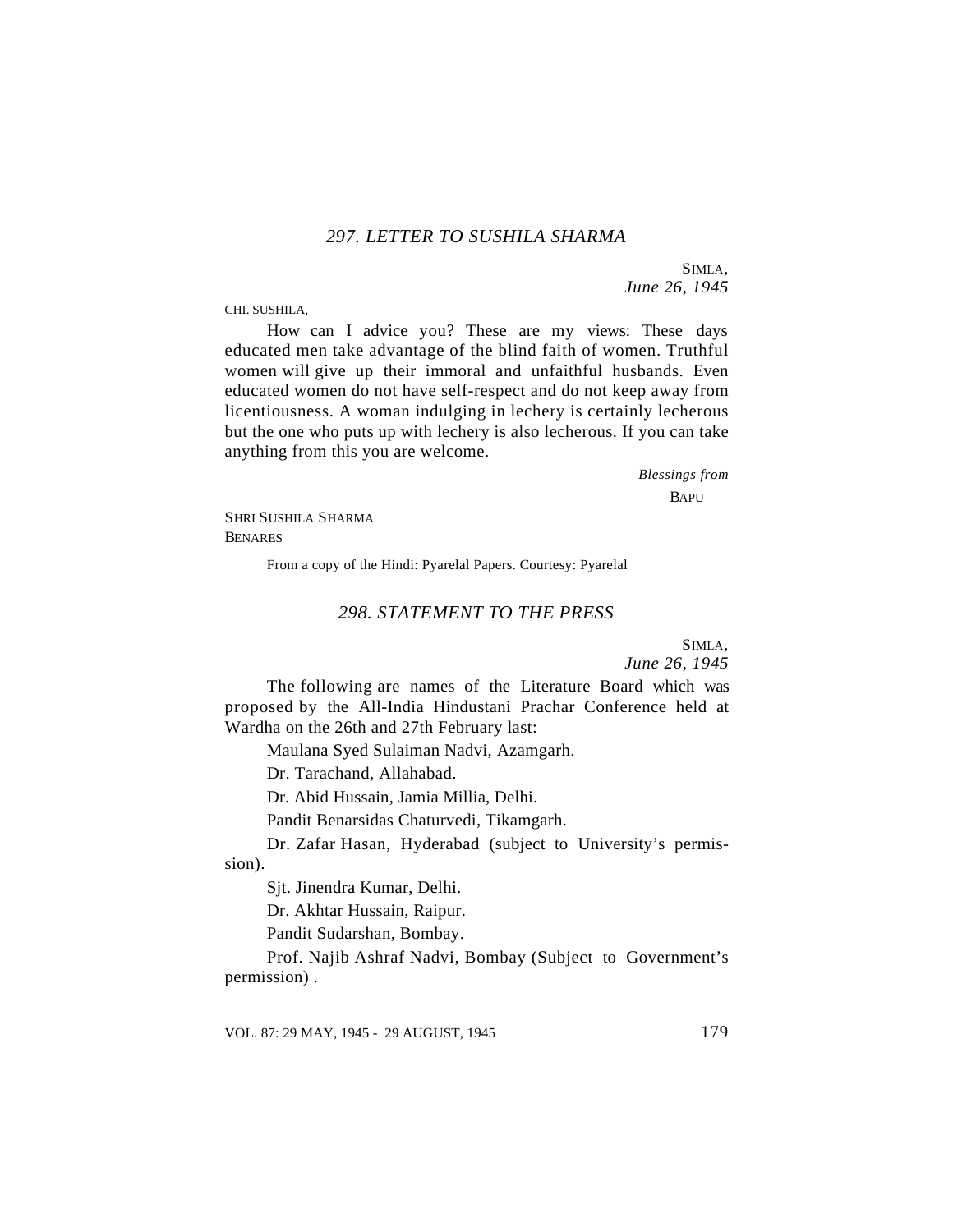## *297. LETTER TO SUSHILA SHARMA*

SIMLA, *June 26, 1945*

CHI. SUSHILA,

How can I advice you? These are my views: These days educated men take advantage of the blind faith of women. Truthful women will give up their immoral and unfaithful husbands. Even educated women do not have self-respect and do not keep away from licentiousness. A woman indulging in lechery is certainly lecherous but the one who puts up with lechery is also lecherous. If you can take anything from this you are welcome.

> *Blessings from* **BAPU**

SHRI SUSHILA SHARMA **BENARES** 

From a copy of the Hindi: Pyarelal Papers. Courtesy: Pyarelal

#### *298. STATEMENT TO THE PRESS*

SIMLA, *June 26, 1945*

The following are names of the Literature Board which was proposed by the All-India Hindustani Prachar Conference held at Wardha on the 26th and 27th February last:

Maulana Syed Sulaiman Nadvi, Azamgarh.

Dr. Tarachand, Allahabad.

Dr. Abid Hussain, Jamia Millia, Delhi.

Pandit Benarsidas Chaturvedi, Tikamgarh.

Dr. Zafar Hasan, Hyderabad (subject to University's permission).

Sjt. Jinendra Kumar, Delhi.

Dr. Akhtar Hussain, Raipur.

Pandit Sudarshan, Bombay.

Prof. Najib Ashraf Nadvi, Bombay (Subject to Government's permission) .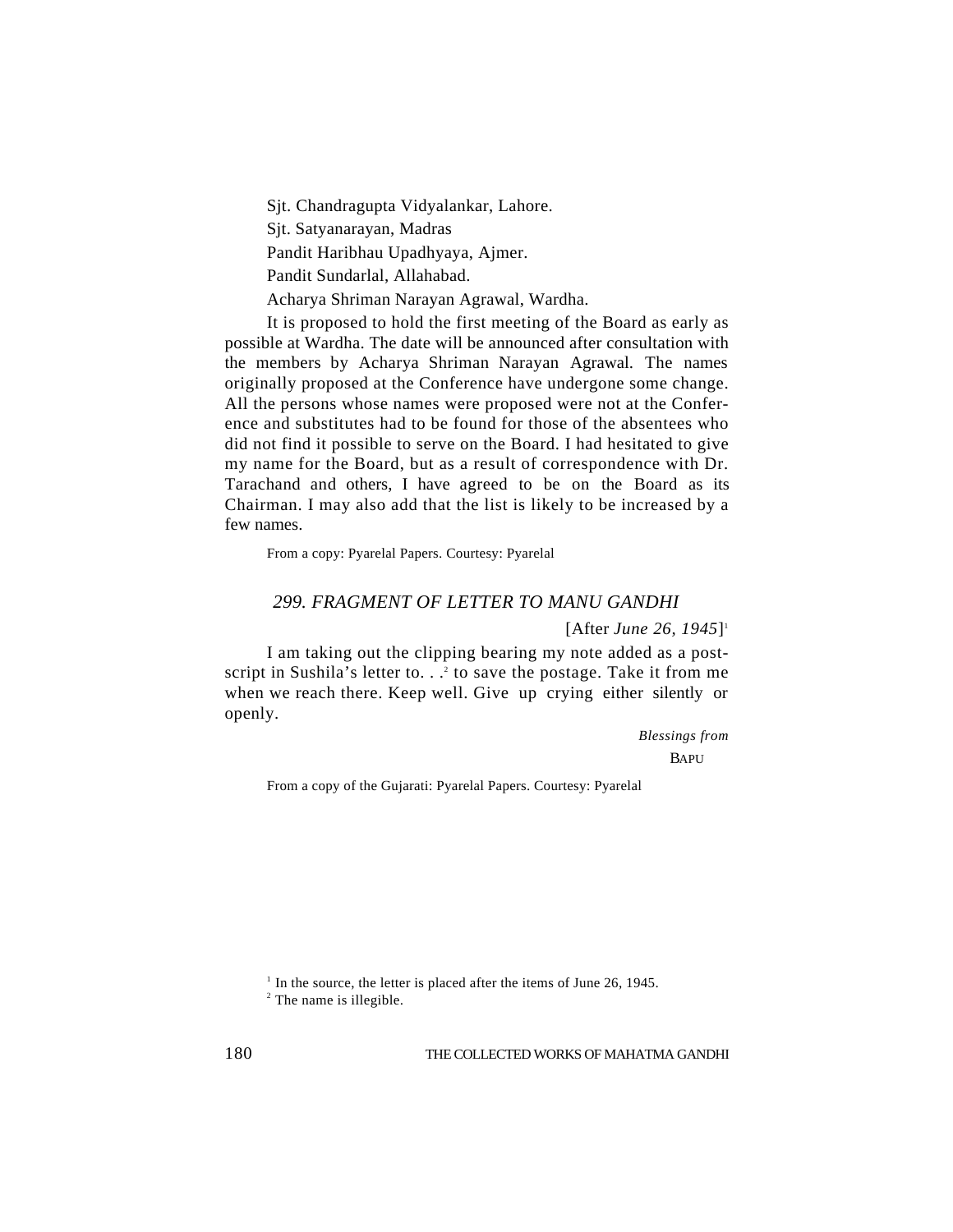Sjt. Chandragupta Vidyalankar, Lahore. Sjt. Satyanarayan, Madras Pandit Haribhau Upadhyaya, Ajmer. Pandit Sundarlal, Allahabad. Acharya Shriman Narayan Agrawal, Wardha.

It is proposed to hold the first meeting of the Board as early as possible at Wardha. The date will be announced after consultation with the members by Acharya Shriman Narayan Agrawal. The names originally proposed at the Conference have undergone some change. All the persons whose names were proposed were not at the Conference and substitutes had to be found for those of the absentees who did not find it possible to serve on the Board. I had hesitated to give my name for the Board, but as a result of correspondence with Dr. Tarachand and others, I have agreed to be on the Board as its Chairman. I may also add that the list is likely to be increased by a few names.

From a copy: Pyarelal Papers. Courtesy: Pyarelal

#### *299. FRAGMENT OF LETTER TO MANU GANDHI*

[After *June 26, 1945*] 1

I am taking out the clipping bearing my note added as a postscript in Sushila's letter to.  $\ldots$ <sup>2</sup> to save the postage. Take it from me when we reach there. Keep well. Give up crying either silently or openly.

*Blessings from*

**BAPU** 

From a copy of the Gujarati: Pyarelal Papers. Courtesy: Pyarelal

<sup>&</sup>lt;sup>1</sup> In the source, the letter is placed after the items of June 26, 1945.

<sup>&</sup>lt;sup>2</sup> The name is illegible.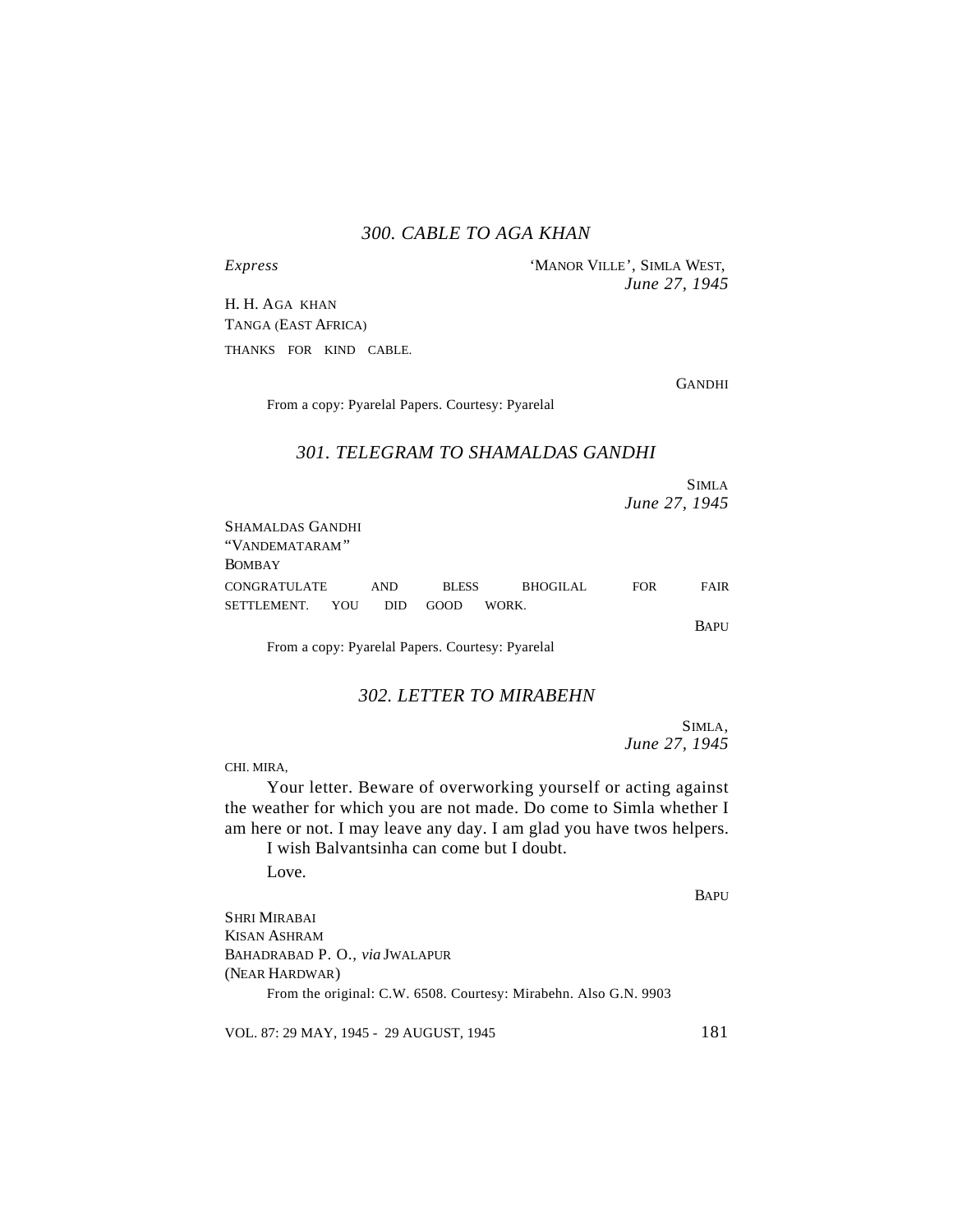## *300. CABLE TO AGA KHAN*

*Express* 'MANOR VILLE', SIMLA WEST, *June 27, 1945*

H. H. AGA KHAN TANGA (EAST AFRICA) THANKS FOR KIND CABLE.

GANDHI

From a copy: Pyarelal Papers. Courtesy: Pyarelal

### *301. TELEGRAM TO SHAMALDAS GANDHI*

SIMLA *June 27, 1945*

SHAMALDAS GANDHI "VANDEMATARAM" BOMBAY CONGRATULATE AND BLESS BHOGILAL FOR FAIR SETTLEMENT. YOU DID GOOD WORK. **BAPU** 

From a copy: Pyarelal Papers. Courtesy: Pyarelal

### *302. LETTER TO MIRABEHN*

SIMLA, *June 27, 1945*

CHI. MIRA,

Your letter. Beware of overworking yourself or acting against the weather for which you are not made. Do come to Simla whether I am here or not. I may leave any day. I am glad you have twos helpers.

I wish Balvantsinha can come but I doubt.

Love.

SHRI MIRABAI KISAN ASHRAM BAHADRABAD P. O., *via* JWALAPUR (NEAR HARDWAR) From the original: C.W. 6508. Courtesy: Mirabehn. Also G.N. 9903

VOL. 87: 29 MAY, 1945 - 29 AUGUST, 1945 181

**BAPU**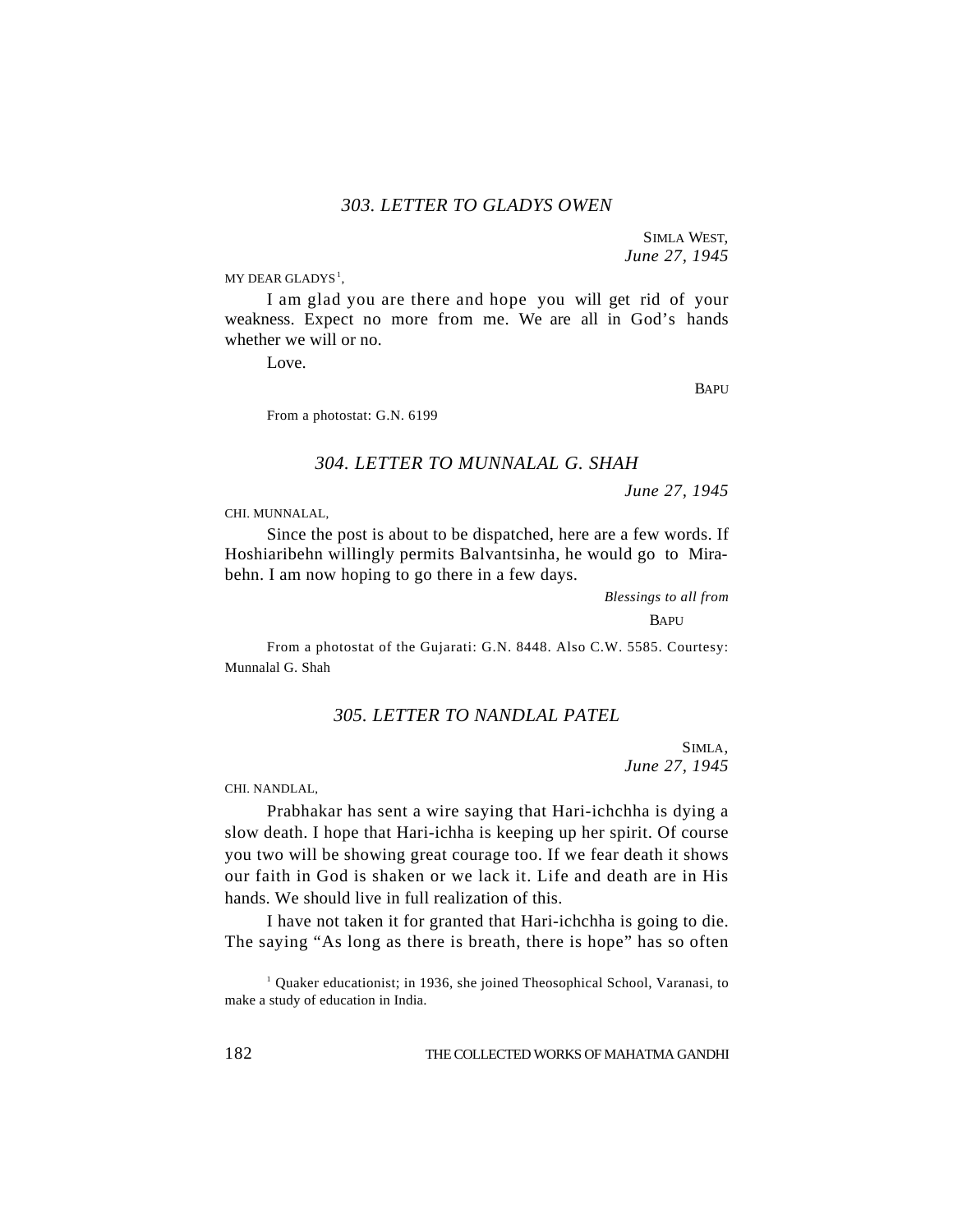SIMLA WEST, *June 27, 1945*

 $MY$  DEAR GLADYS<sup>1</sup>,

I am glad you are there and hope you will get rid of your weakness. Expect no more from me. We are all in God's hands whether we will or no.

Love.

**BAPU** 

From a photostat: G.N. 6199

### *304. LETTER TO MUNNALAL G. SHAH*

*June 27, 1945*

CHI. MUNNALAL,

Since the post is about to be dispatched, here are a few words. If Hoshiaribehn willingly permits Balvantsinha, he would go to Mirabehn. I am now hoping to go there in a few days.

*Blessings to all from*

**BAPU** 

From a photostat of the Gujarati: G.N. 8448. Also C.W. 5585. Courtesy: Munnalal G. Shah

### *305. LETTER TO NANDLAL PATEL*

SIMLA, *June 27, 1945*

CHI. NANDLAL,

Prabhakar has sent a wire saying that Hari-ichchha is dying a slow death. I hope that Hari-ichha is keeping up her spirit. Of course you two will be showing great courage too. If we fear death it shows our faith in God is shaken or we lack it. Life and death are in His hands. We should live in full realization of this.

I have not taken it for granted that Hari-ichchha is going to die. The saying "As long as there is breath, there is hope" has so often

<sup>&</sup>lt;sup>1</sup> Quaker educationist; in 1936, she joined Theosophical School, Varanasi, to make a study of education in India.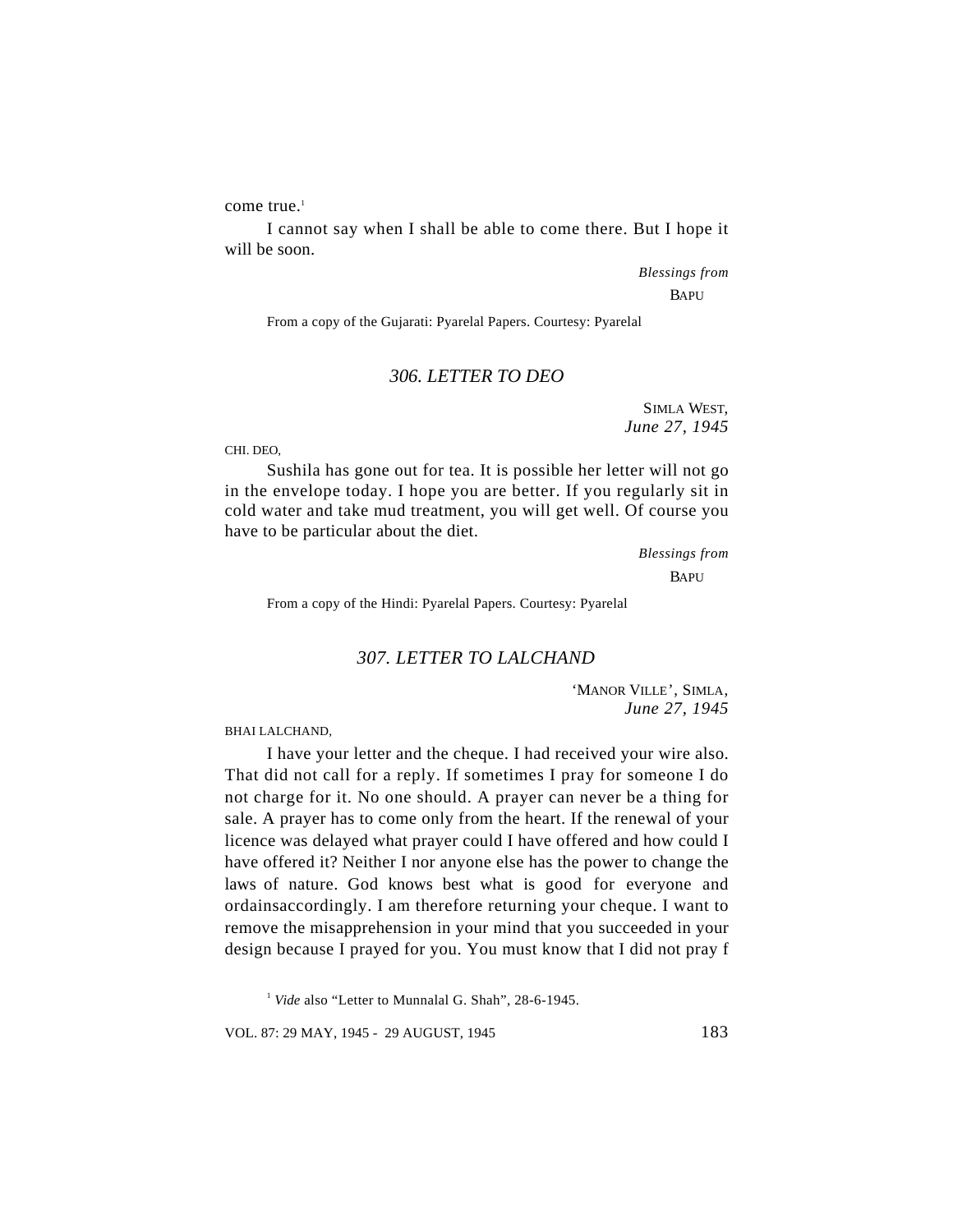come true. $1$ 

I cannot say when I shall be able to come there. But I hope it will be soon.

*Blessings from*

**BAPU** 

From a copy of the Gujarati: Pyarelal Papers. Courtesy: Pyarelal

### *306. LETTER TO DEO*

SIMLA WEST, *June 27, 1945*

CHI. DEO,

Sushila has gone out for tea. It is possible her letter will not go in the envelope today. I hope you are better. If you regularly sit in cold water and take mud treatment, you will get well. Of course you have to be particular about the diet.

> *Blessings from* **BAPU**

From a copy of the Hindi: Pyarelal Papers. Courtesy: Pyarelal

### *307. LETTER TO LALCHAND*

'MANOR VILLE', SIMLA, *June 27, 1945*

BHAI LALCHAND,

I have your letter and the cheque. I had received your wire also. That did not call for a reply. If sometimes I pray for someone I do not charge for it. No one should. A prayer can never be a thing for sale. A prayer has to come only from the heart. If the renewal of your licence was delayed what prayer could I have offered and how could I have offered it? Neither I nor anyone else has the power to change the laws of nature. God knows best what is good for everyone and ordainsaccordingly. I am therefore returning your cheque. I want to remove the misapprehension in your mind that you succeeded in your design because I prayed for you. You must know that I did not pray f

<sup>1</sup> *Vide* also "Letter to Munnalal G. Shah", 28-6-1945.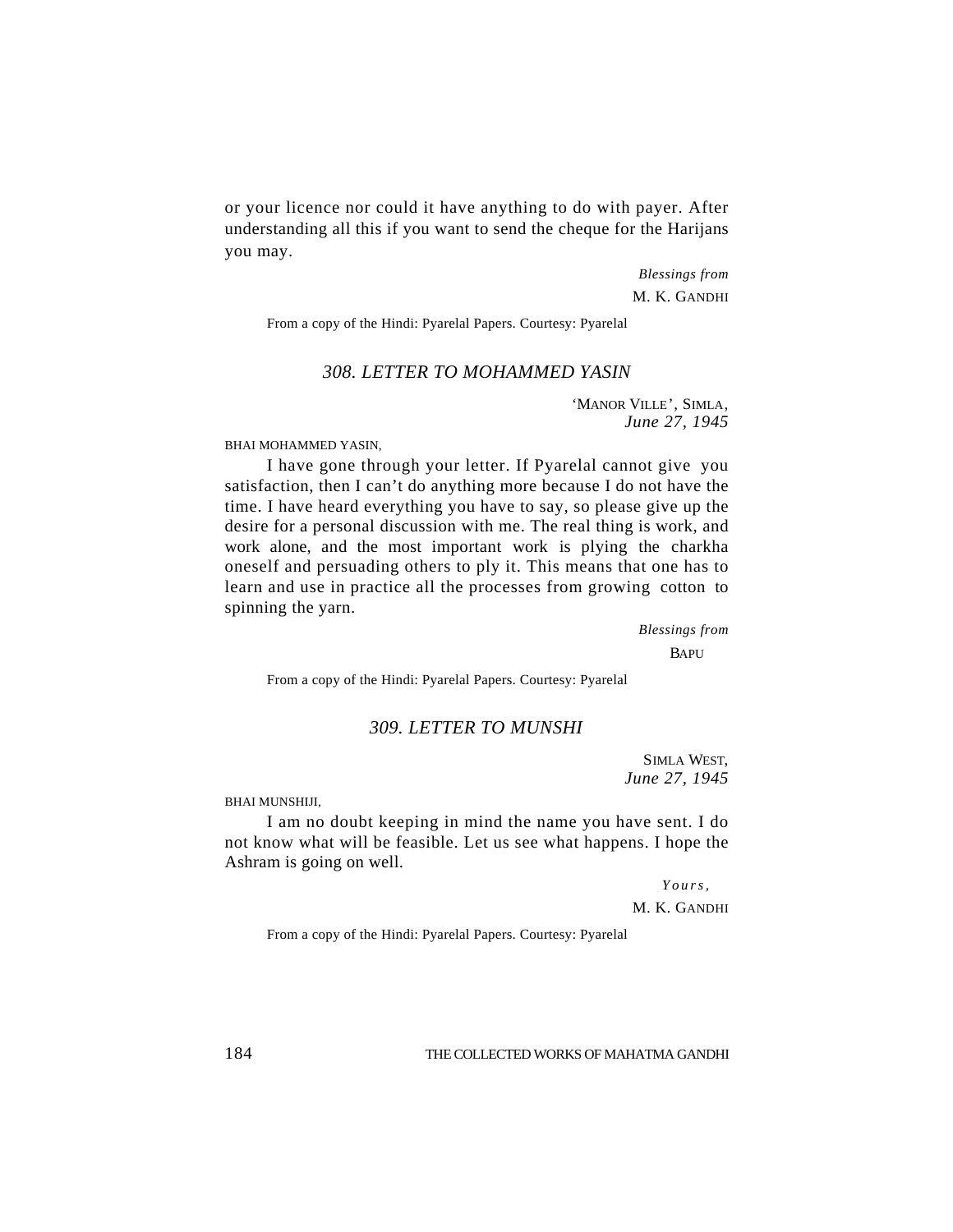or your licence nor could it have anything to do with payer. After understanding all this if you want to send the cheque for the Harijans you may.

> *Blessings from* M. K. GANDHI

From a copy of the Hindi: Pyarelal Papers. Courtesy: Pyarelal

### *308. LETTER TO MOHAMMED YASIN*

'MANOR VILLE', SIMLA, *June 27, 1945*

#### BHAI MOHAMMED YASIN,

I have gone through your letter. If Pyarelal cannot give you satisfaction, then I can't do anything more because I do not have the time. I have heard everything you have to say, so please give up the desire for a personal discussion with me. The real thing is work, and work alone, and the most important work is plying the charkha oneself and persuading others to ply it. This means that one has to learn and use in practice all the processes from growing cotton to spinning the yarn.

*Blessings from*

**BAPU** 

From a copy of the Hindi: Pyarelal Papers. Courtesy: Pyarelal

#### *309. LETTER TO MUNSHI*

SIMLA WEST, *June 27, 1945*

BHAI MUNSHIJI,

I am no doubt keeping in mind the name you have sent. I do not know what will be feasible. Let us see what happens. I hope the Ashram is going on well.

> *Yours,*  M. K. GANDHI

From a copy of the Hindi: Pyarelal Papers. Courtesy: Pyarelal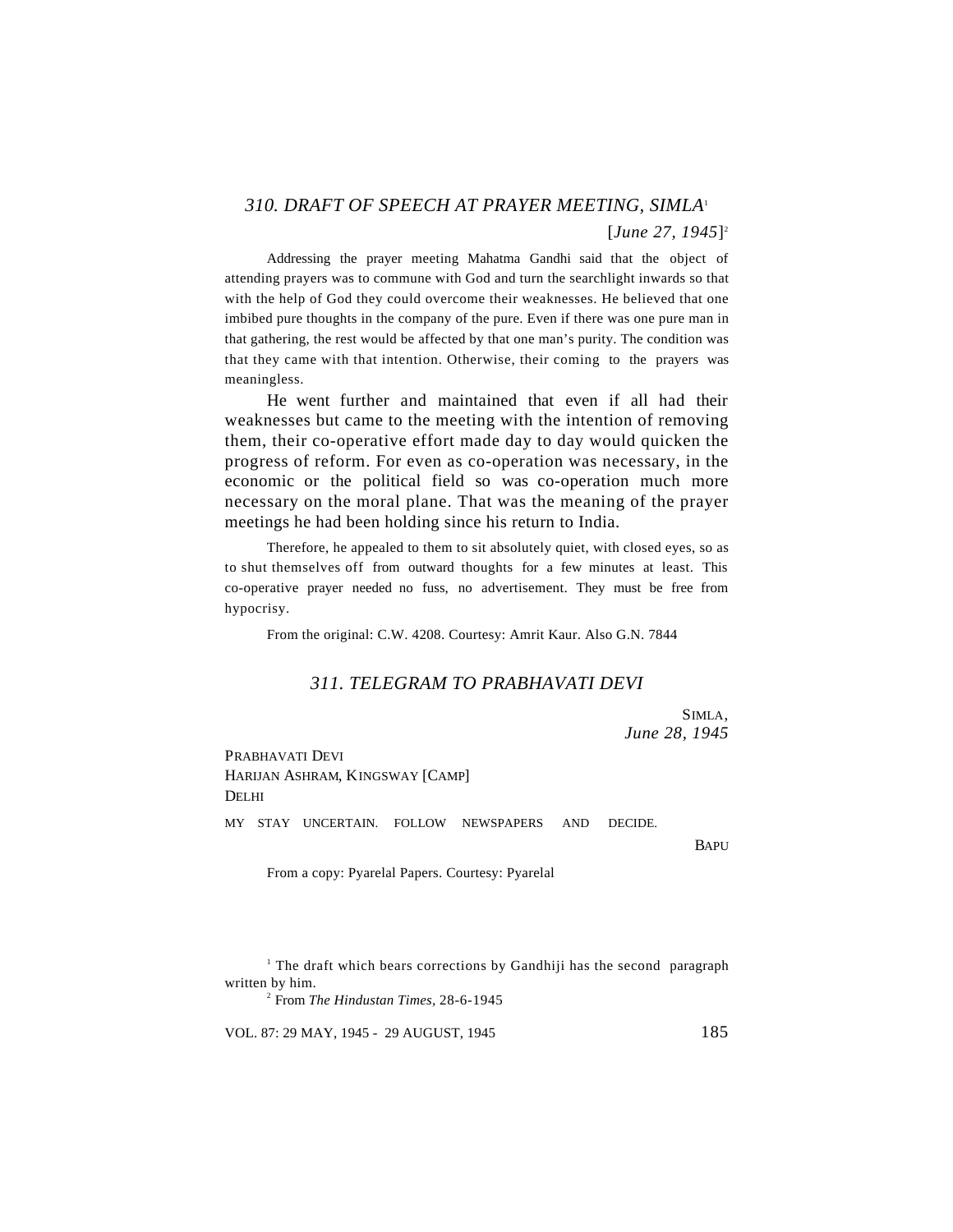#### *310. DRAFT OF SPEECH AT PRAYER MEETING, SIMLA*<sup>1</sup>

#### [*June 27, 1945*] 2

Addressing the prayer meeting Mahatma Gandhi said that the object of attending prayers was to commune with God and turn the searchlight inwards so that with the help of God they could overcome their weaknesses. He believed that one imbibed pure thoughts in the company of the pure. Even if there was one pure man in that gathering, the rest would be affected by that one man's purity. The condition was that they came with that intention. Otherwise, their coming to the prayers was meaningless.

He went further and maintained that even if all had their weaknesses but came to the meeting with the intention of removing them, their co-operative effort made day to day would quicken the progress of reform. For even as co-operation was necessary, in the economic or the political field so was co-operation much more necessary on the moral plane. That was the meaning of the prayer meetings he had been holding since his return to India.

Therefore, he appealed to them to sit absolutely quiet, with closed eyes, so as to shut themselves off from outward thoughts for a few minutes at least. This co-operative prayer needed no fuss, no advertisement. They must be free from hypocrisy.

From the original: C.W. 4208. Courtesy: Amrit Kaur. Also G.N. 7844

#### *311. TELEGRAM TO PRABHAVATI DEVI*

SIMLA, *June 28, 1945*

PRABHAVATI DEVI HARIJAN ASHRAM, KINGSWAY [CAMP] DELHI

MY STAY UNCERTAIN. FOLLOW NEWSPAPERS AND DECIDE.

**BAPU** 

From a copy: Pyarelal Papers. Courtesy: Pyarelal

<sup>1</sup> The draft which bears corrections by Gandhiji has the second paragraph written by him.

2 From *The Hindustan Times,* 28-6-1945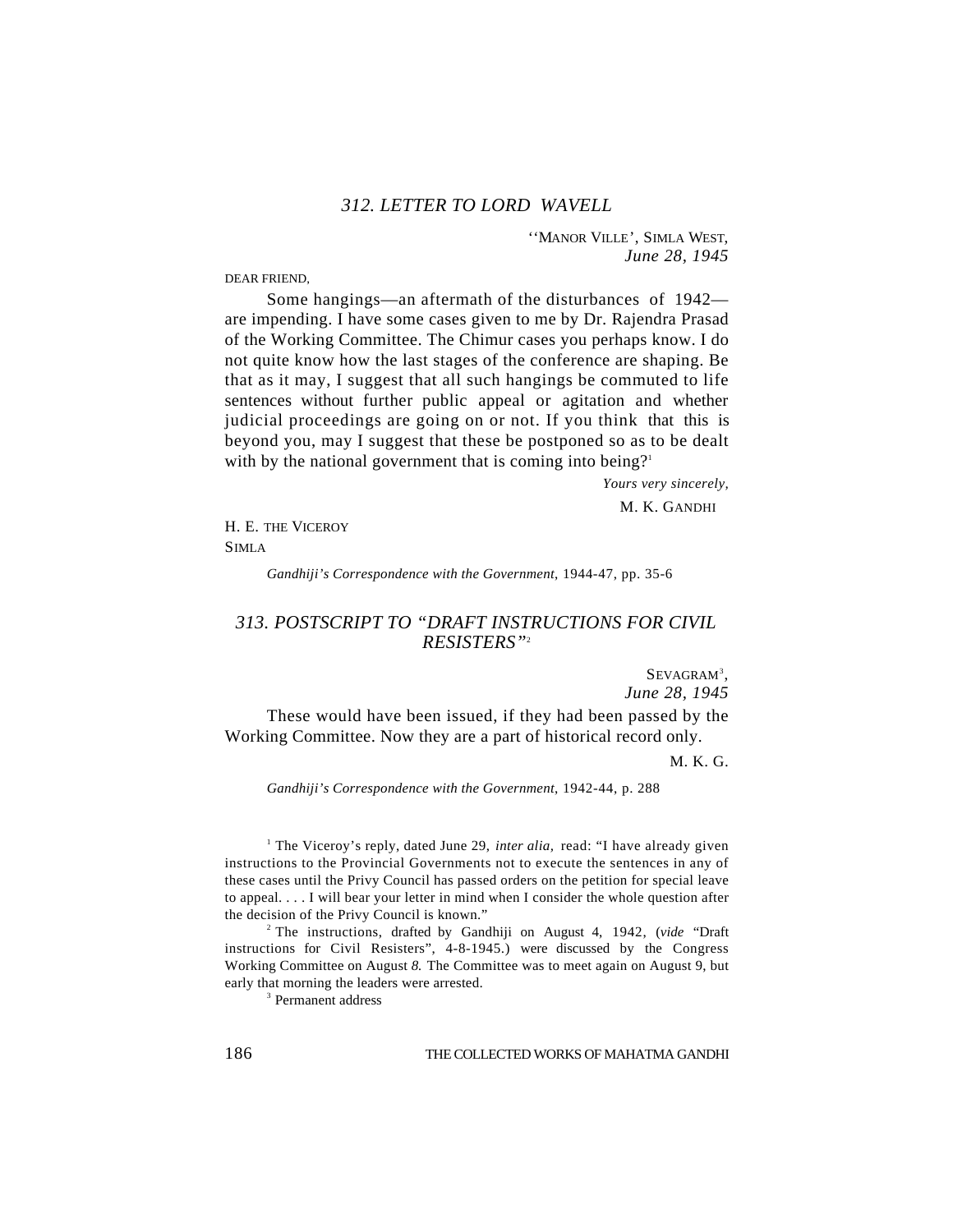### *312. LETTER TO LORD WAVELL*

''MANOR VILLE', SIMLA WEST, *June 28, 1945*

DEAR FRIEND,

Some hangings—an aftermath of the disturbances of 1942 are impending. I have some cases given to me by Dr. Rajendra Prasad of the Working Committee. The Chimur cases you perhaps know. I do not quite know how the last stages of the conference are shaping. Be that as it may, I suggest that all such hangings be commuted to life sentences without further public appeal or agitation and whether judicial proceedings are going on or not. If you think that this is beyond you, may I suggest that these be postponed so as to be dealt with by the national government that is coming into being?<sup>1</sup>

*Yours very sincerely,*

M. K. GANDHI

H. E. THE VICEROY SIMLA

*Gandhiji's Correspondence with the Government*, 1944-47, pp. 35-6

## *313. POSTSCRIPT TO "DRAFT INSTRUCTIONS FOR CIVIL RESISTERS"*<sup>2</sup>

 $SEVAGRAM<sup>3</sup>$ , *June 28, 1945*

These would have been issued, if they had been passed by the Working Committee. Now they are a part of historical record only.

M. K. G.

*Gandhiji's Correspondence with the Government*, 1942-44, p. 288

<sup>1</sup> The Viceroy's reply, dated June 29, *inter alia*, read: "I have already given instructions to the Provincial Governments not to execute the sentences in any of these cases until the Privy Council has passed orders on the petition for special leave to appeal. . . . I will bear your letter in mind when I consider the whole question after the decision of the Privy Council is known."

2 The instructions, drafted by Gandhiji on August 4, 1942, (*vide* "Draft instructions for Civil Resisters", 4-8-1945.) were discussed by the Congress Working Committee on August *8.* The Committee was to meet again on August 9, but early that morning the leaders were arrested.

3 Permanent address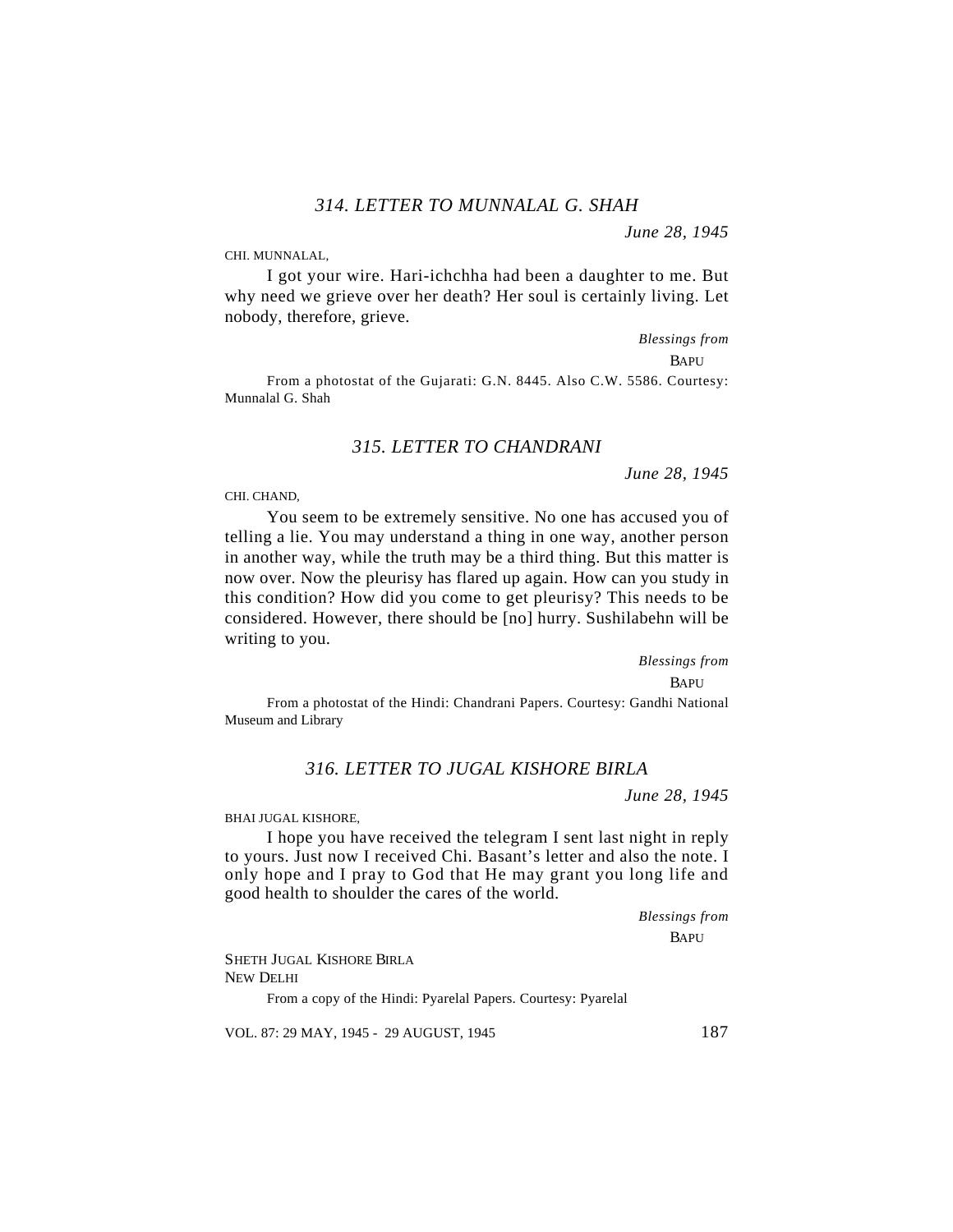*June 28, 1945*

CHI. MUNNALAL,

I got your wire. Hari-ichchha had been a daughter to me. But why need we grieve over her death? Her soul is certainly living. Let nobody, therefore, grieve.

> *Blessings from* **BAPU**

From a photostat of the Gujarati: G.N. 8445. Also C.W. 5586. Courtesy: Munnalal G. Shah

#### *315. LETTER TO CHANDRANI*

*June 28, 1945*

CHI. CHAND,

You seem to be extremely sensitive. No one has accused you of telling a lie. You may understand a thing in one way, another person in another way, while the truth may be a third thing. But this matter is now over. Now the pleurisy has flared up again. How can you study in this condition? How did you come to get pleurisy? This needs to be considered. However, there should be [no] hurry. Sushilabehn will be writing to you.

> *Blessings from* **BAPU**

From a photostat of the Hindi: Chandrani Papers. Courtesy: Gandhi National Museum and Library

### *316. LETTER TO JUGAL KISHORE BIRLA*

*June 28, 1945*

BHAI JUGAL KISHORE,

I hope you have received the telegram I sent last night in reply to yours. Just now I received Chi. Basant's letter and also the note. I only hope and I pray to God that He may grant you long life and good health to shoulder the cares of the world.

> *Blessings from* BAPU

SHETH JUGAL KISHORE BIRLA NEW DELHI

From a copy of the Hindi: Pyarelal Papers. Courtesy: Pyarelal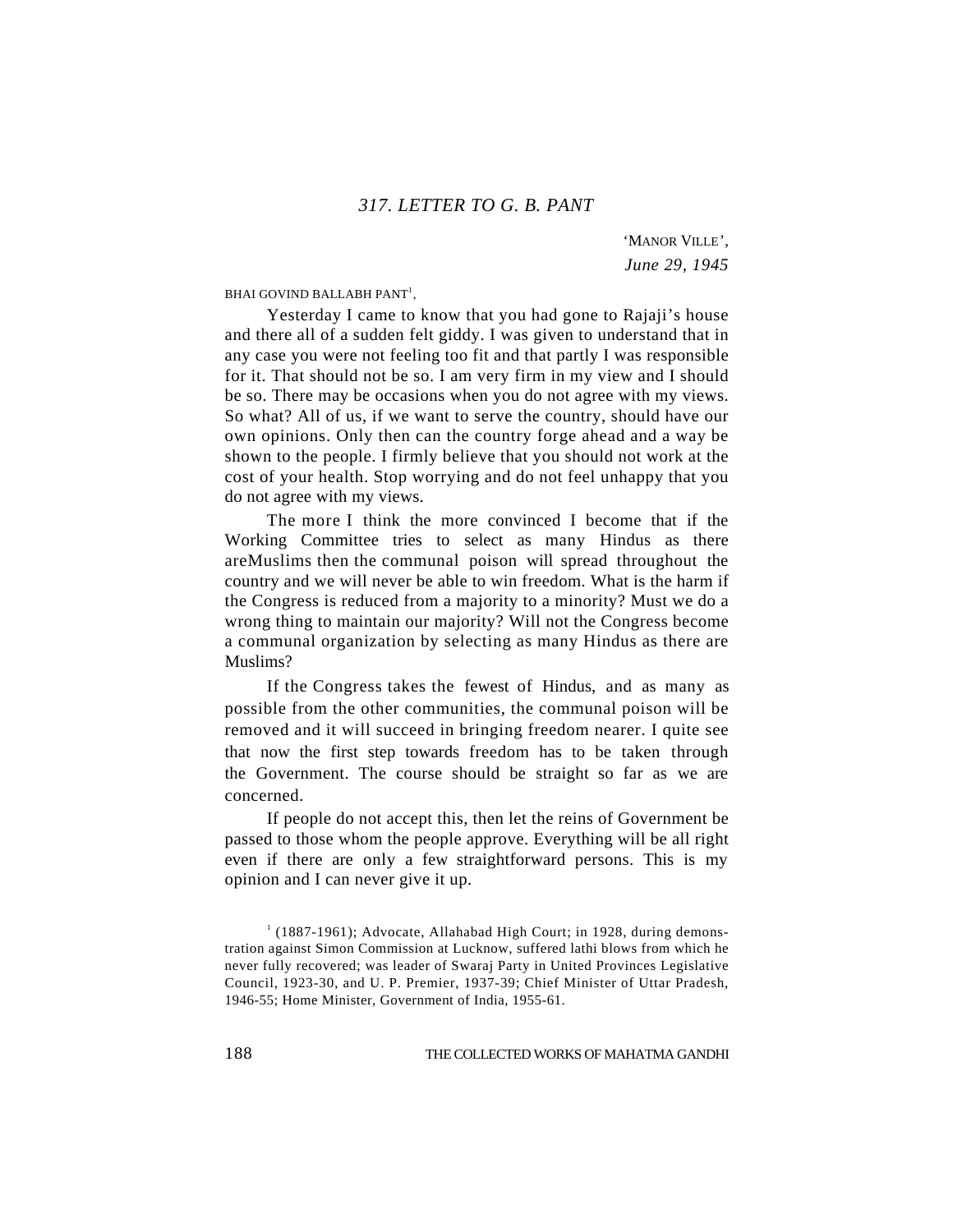### *317. LETTER TO G. B. PANT*

'MANOR VILLE', *June 29, 1945*

#### $\mathbf B$ HAI GOVIND BALLABH PANT $^1,$

Yesterday I came to know that you had gone to Rajaji's house and there all of a sudden felt giddy. I was given to understand that in any case you were not feeling too fit and that partly I was responsible for it. That should not be so. I am very firm in my view and I should be so. There may be occasions when you do not agree with my views. So what? All of us, if we want to serve the country, should have our own opinions. Only then can the country forge ahead and a way be shown to the people. I firmly believe that you should not work at the cost of your health. Stop worrying and do not feel unhappy that you do not agree with my views.

The more I think the more convinced I become that if the Working Committee tries to select as many Hindus as there areMuslims then the communal poison will spread throughout the country and we will never be able to win freedom. What is the harm if the Congress is reduced from a majority to a minority? Must we do a wrong thing to maintain our majority? Will not the Congress become a communal organization by selecting as many Hindus as there are Muslims?

If the Congress takes the fewest of Hindus, and as many as possible from the other communities, the communal poison will be removed and it will succeed in bringing freedom nearer. I quite see that now the first step towards freedom has to be taken through the Government. The course should be straight so far as we are concerned.

If people do not accept this, then let the reins of Government be passed to those whom the people approve. Everything will be all right even if there are only a few straightforward persons. This is my opinion and I can never give it up.

<sup>&</sup>lt;sup>1</sup> (1887-1961); Advocate, Allahabad High Court; in 1928, during demonstration against Simon Commission at Lucknow, suffered lathi blows from which he never fully recovered; was leader of Swaraj Party in United Provinces Legislative Council, 1923-30, and U. P. Premier, 1937-39; Chief Minister of Uttar Pradesh, 1946-55; Home Minister, Government of India, 1955-61.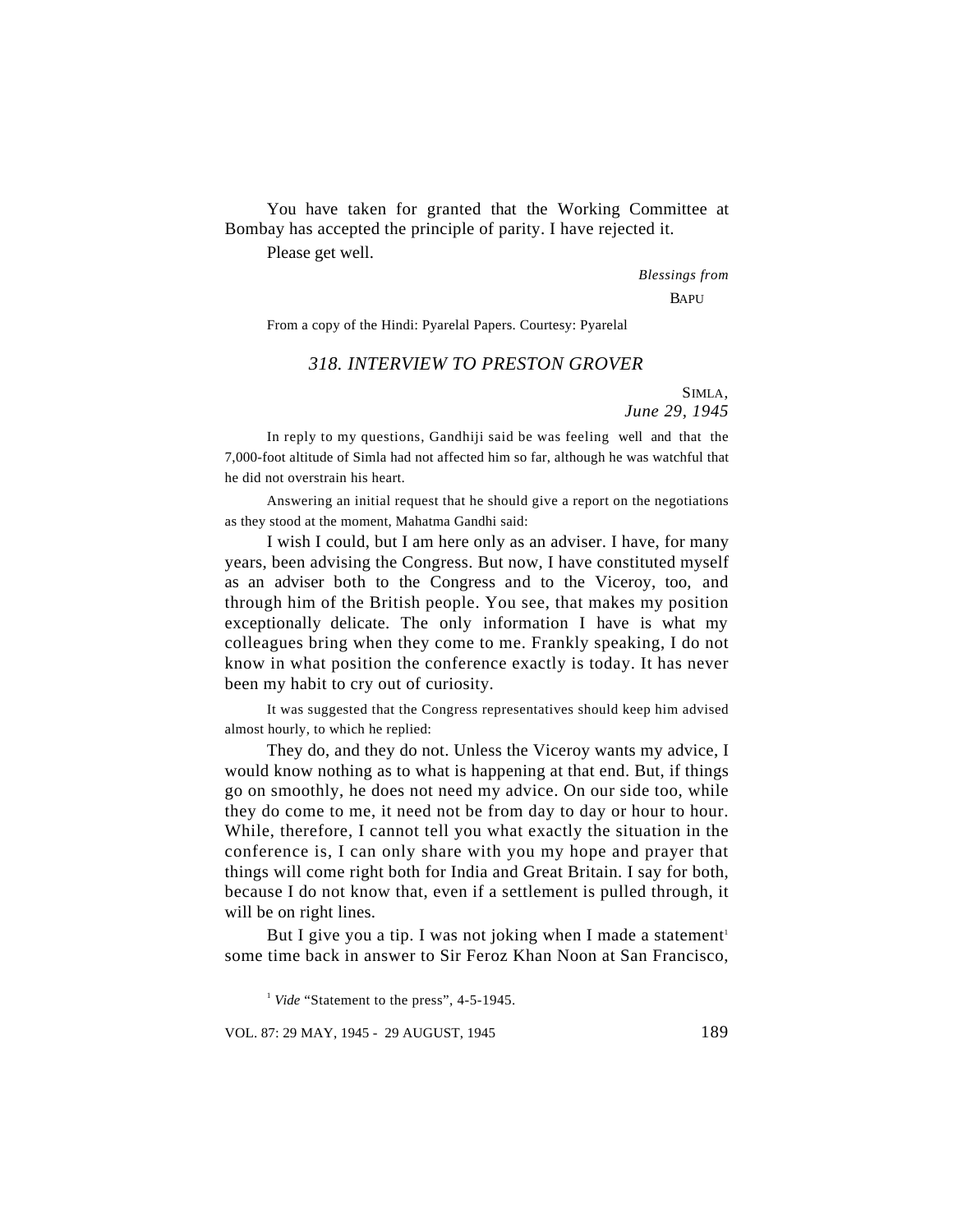You have taken for granted that the Working Committee at Bombay has accepted the principle of parity. I have rejected it.

Please get well.

*Blessings from* **BAPU** 

From a copy of the Hindi: Pyarelal Papers. Courtesy: Pyarelal

## *318. INTERVIEW TO PRESTON GROVER*

SIMLA, *June 29, 1945*

In reply to my questions, Gandhiji said be was feeling well and that the 7,000-foot altitude of Simla had not affected him so far, although he was watchful that he did not overstrain his heart.

Answering an initial request that he should give a report on the negotiations as they stood at the moment, Mahatma Gandhi said:

I wish I could, but I am here only as an adviser. I have, for many years, been advising the Congress. But now, I have constituted myself as an adviser both to the Congress and to the Viceroy, too, and through him of the British people. You see, that makes my position exceptionally delicate. The only information I have is what my colleagues bring when they come to me. Frankly speaking, I do not know in what position the conference exactly is today. It has never been my habit to cry out of curiosity.

It was suggested that the Congress representatives should keep him advised almost hourly, to which he replied:

They do, and they do not. Unless the Viceroy wants my advice, I would know nothing as to what is happening at that end. But, if things go on smoothly, he does not need my advice. On our side too, while they do come to me, it need not be from day to day or hour to hour. While, therefore, I cannot tell you what exactly the situation in the conference is, I can only share with you my hope and prayer that things will come right both for India and Great Britain. I say for both, because I do not know that, even if a settlement is pulled through, it will be on right lines.

But I give you a tip. I was not joking when I made a statement<sup>1</sup> some time back in answer to Sir Feroz Khan Noon at San Francisco,

<sup>1</sup> *Vide* "Statement to the press", 4-5-1945.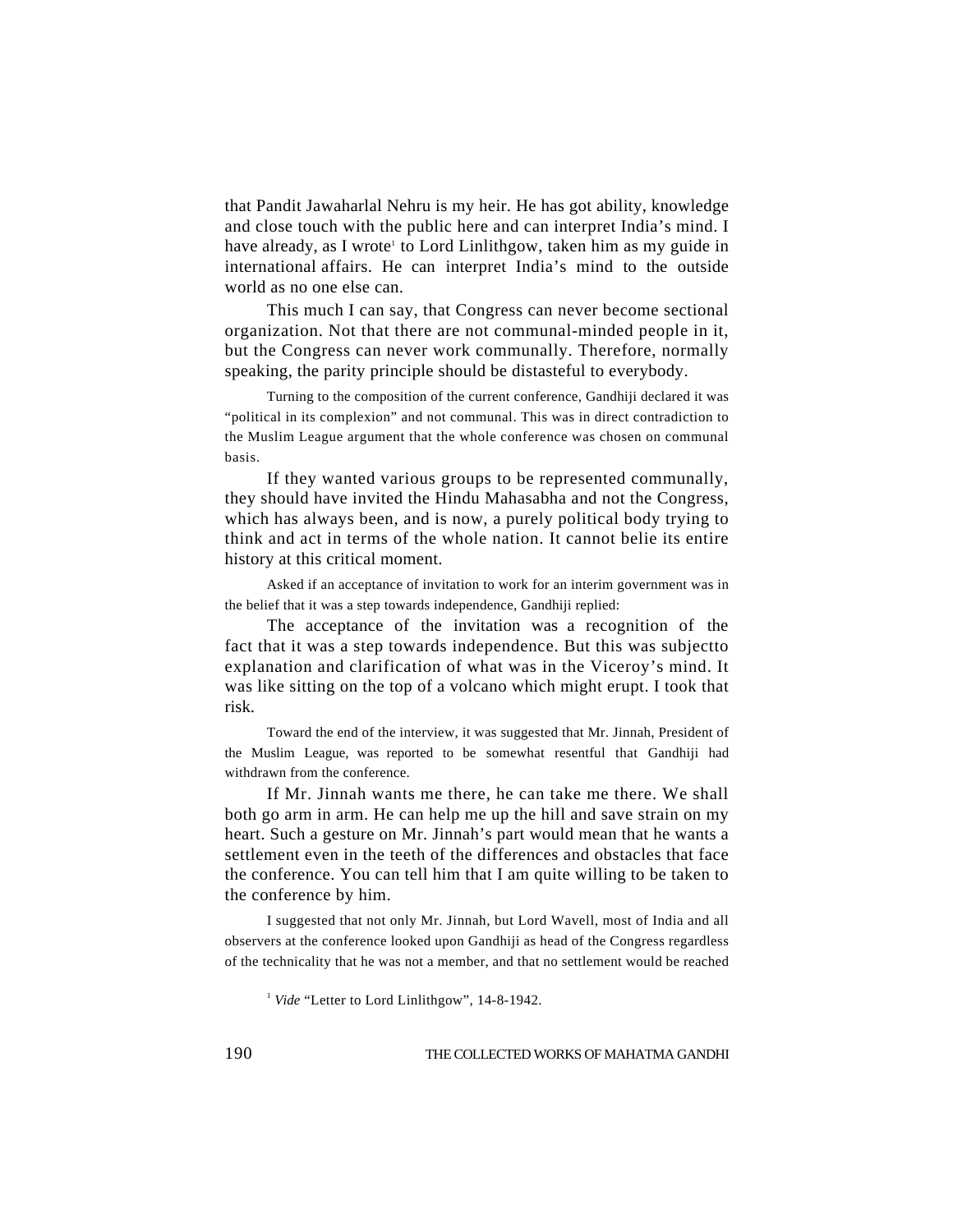that Pandit Jawaharlal Nehru is my heir. He has got ability, knowledge and close touch with the public here and can interpret India's mind. I have already, as I wrote<sup>1</sup> to Lord Linlithgow, taken him as my guide in international affairs. He can interpret India's mind to the outside world as no one else can.

This much I can say, that Congress can never become sectional organization. Not that there are not communal-minded people in it, but the Congress can never work communally. Therefore, normally speaking, the parity principle should be distasteful to everybody.

Turning to the composition of the current conference, Gandhiji declared it was "political in its complexion" and not communal. This was in direct contradiction to the Muslim League argument that the whole conference was chosen on communal basis.

If they wanted various groups to be represented communally, they should have invited the Hindu Mahasabha and not the Congress, which has always been, and is now, a purely political body trying to think and act in terms of the whole nation. It cannot belie its entire history at this critical moment.

Asked if an acceptance of invitation to work for an interim government was in the belief that it was a step towards independence, Gandhiji replied:

The acceptance of the invitation was a recognition of the fact that it was a step towards independence. But this was subjectto explanation and clarification of what was in the Viceroy's mind. It was like sitting on the top of a volcano which might erupt. I took that risk.

Toward the end of the interview, it was suggested that Mr. Jinnah, President of the Muslim League, was reported to be somewhat resentful that Gandhiji had withdrawn from the conference.

If Mr. Jinnah wants me there, he can take me there. We shall both go arm in arm. He can help me up the hill and save strain on my heart. Such a gesture on Mr. Jinnah's part would mean that he wants a settlement even in the teeth of the differences and obstacles that face the conference. You can tell him that I am quite willing to be taken to the conference by him.

I suggested that not only Mr. Jinnah, but Lord Wavell, most of India and all observers at the conference looked upon Gandhiji as head of the Congress regardless of the technicality that he was not a member, and that no settlement would be reached

<sup>1</sup> *Vide* "Letter to Lord Linlithgow", 14-8-1942.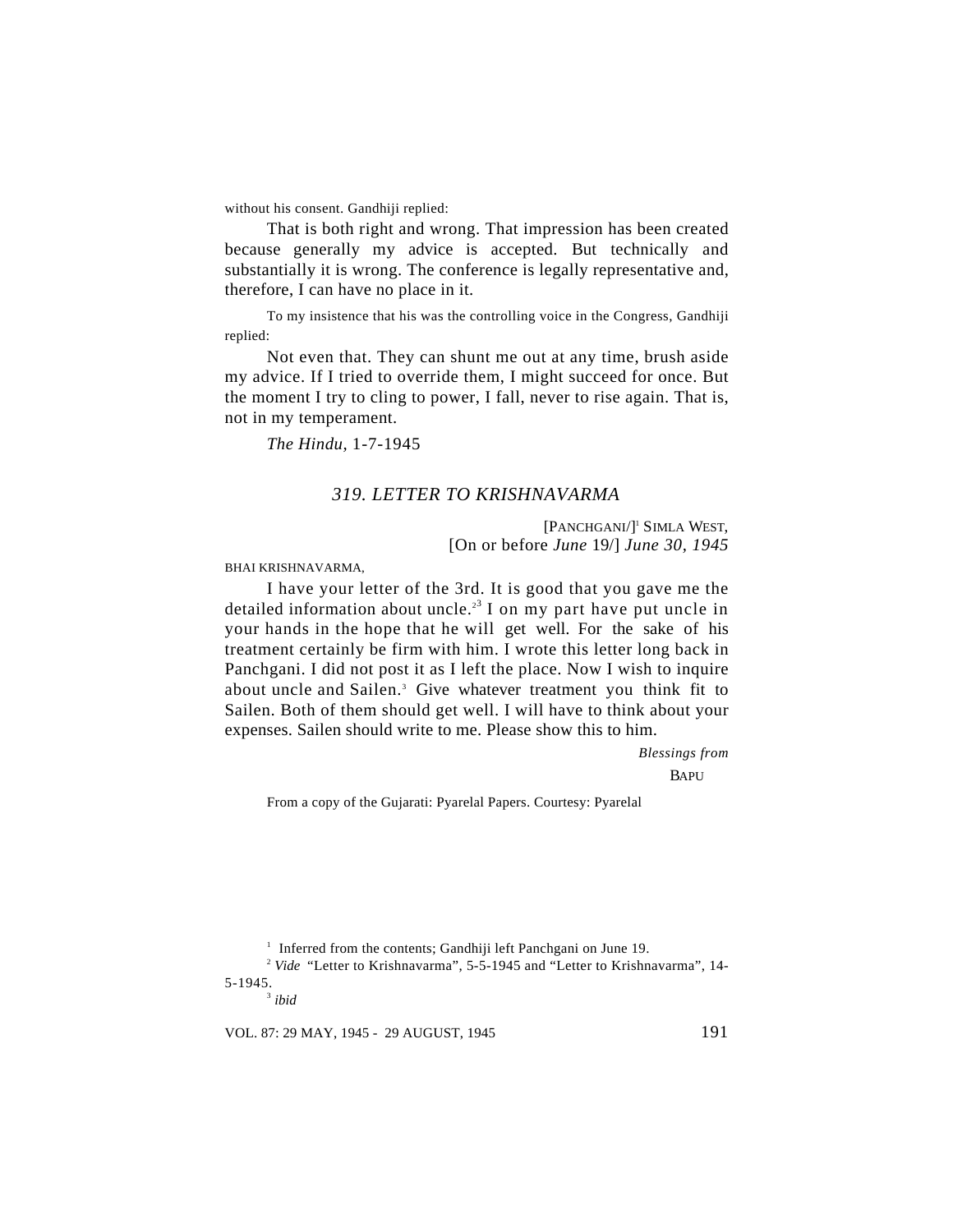without his consent. Gandhiji replied:

That is both right and wrong. That impression has been created because generally my advice is accepted. But technically and substantially it is wrong. The conference is legally representative and, therefore, I can have no place in it.

To my insistence that his was the controlling voice in the Congress, Gandhiji replied:

Not even that. They can shunt me out at any time, brush aside my advice. If I tried to override them, I might succeed for once. But the moment I try to cling to power, I fall, never to rise again. That is, not in my temperament.

*The Hindu,* 1-7-1945

### *319. LETTER TO KRISHNAVARMA*

[PANCHGANI/]<sup>1</sup> SIMLA WEST, [On or before *June* 19/] *June 30, 1945*

BHAI KRISHNAVARMA,

I have your letter of the 3rd. It is good that you gave me the detailed information about uncle.<sup>23</sup> I on my part have put uncle in your hands in the hope that he will get well. For the sake of his treatment certainly be firm with him. I wrote this letter long back in Panchgani. I did not post it as I left the place. Now I wish to inquire about uncle and Sailen.<sup>3</sup> Give whatever treatment you think fit to Sailen. Both of them should get well. I will have to think about your expenses. Sailen should write to me. Please show this to him.

*Blessings from*

**BAPU** 

From a copy of the Gujarati: Pyarelal Papers. Courtesy: Pyarelal

<sup>1</sup> Inferred from the contents; Gandhiji left Panchgani on June 19.

<sup>2</sup> Vide "Letter to Krishnavarma", 5-5-1945 and "Letter to Krishnavarma", 14-5-1945.

<sup>3</sup> *ibid*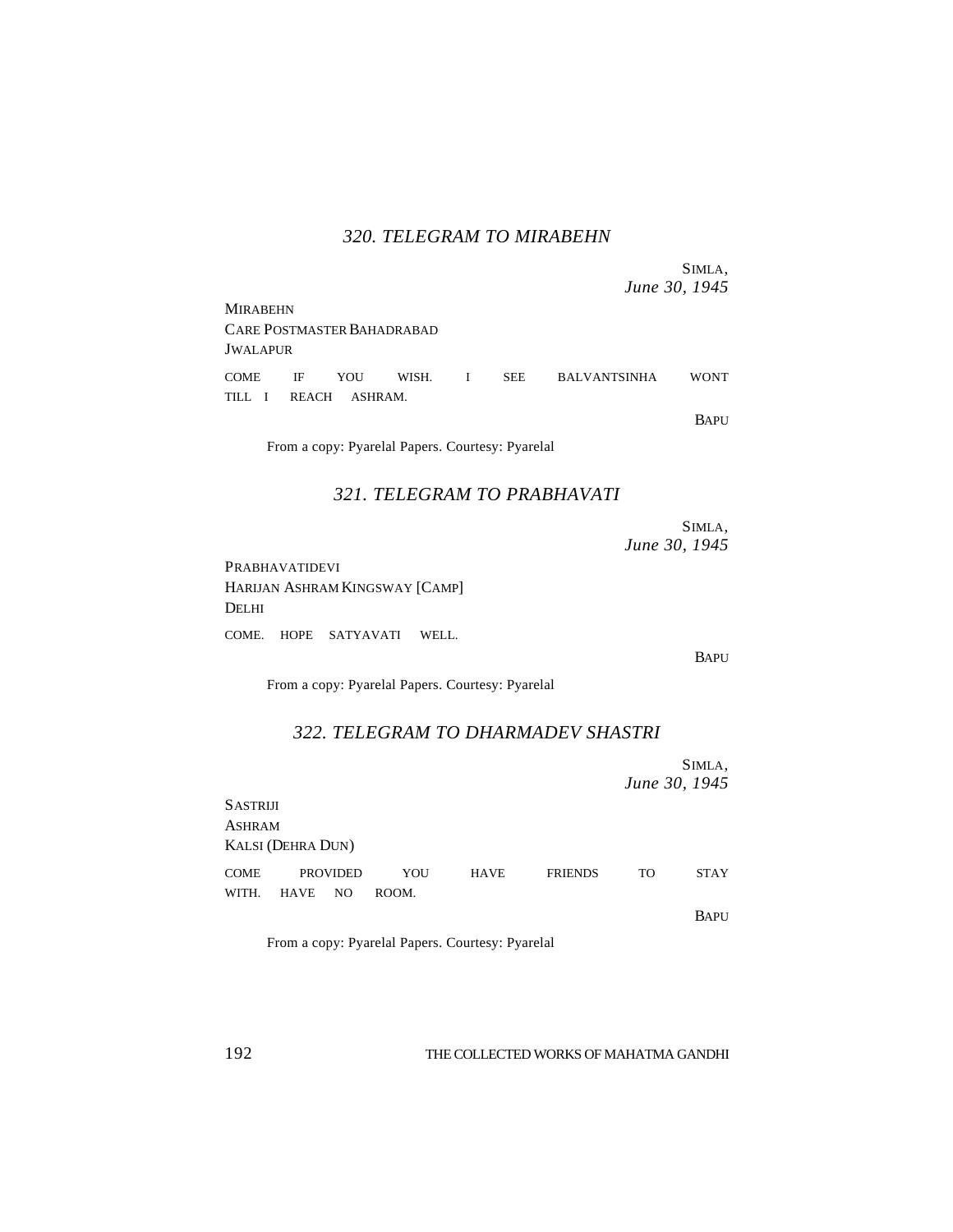### *320. TELEGRAM TO MIRABEHN*

SIMLA, *June 30, 1945*

MIRABEHN CARE POSTMASTER BAHADRABAD JWALAPUR COME IF YOU WISH. I SEE BALVANTSINHA WONT TILL I REACH ASHRAM.

BAPU

From a copy: Pyarelal Papers. Courtesy: Pyarelal

### *321. TELEGRAM TO PRABHAVATI*

SIMLA, *June 30, 1945*

PRABHAVATIDEVI HARIJAN ASHRAM KINGSWAY [CAMP] DELHI COME. HOPE SATYAVATI WELL.

**BAPU** 

From a copy: Pyarelal Papers. Courtesy: Pyarelal

### *322. TELEGRAM TO DHARMADEV SHASTRI*

SIMLA, *June 30, 1945* SASTRIJI ASHRAM KALSI (DEHRA DUN) COME PROVIDED YOU HAVE FRIENDS TO STAY WITH. HAVE NO ROOM. **BAPU** 

From a copy: Pyarelal Papers. Courtesy: Pyarelal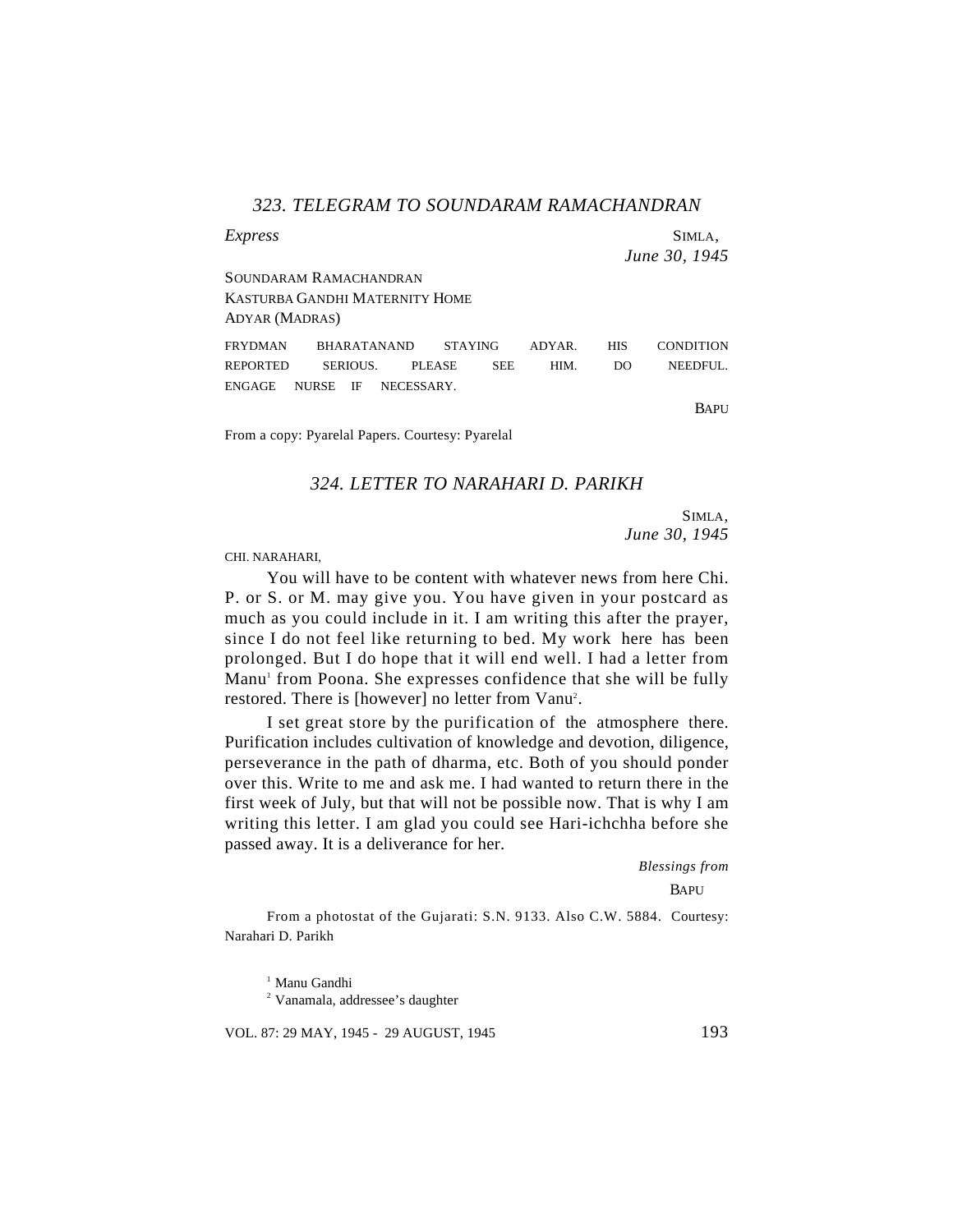#### *323. TELEGRAM TO SOUNDARAM RAMACHANDRAN*

*Express* SIMLA, *June 30, 1945* SOUNDARAM RAMACHANDRAN KASTURBA GANDHI MATERNITY HOME ADYAR (MADRAS) FRYDMAN BHARATANAND STAYING ADYAR. HIS CONDITION REPORTED SERIOUS. PLEASE SEE HIM. DO NEEDFUL. ENGAGE NURSE IF NECESSARY.

**BAPU** 

From a copy: Pyarelal Papers. Courtesy: Pyarelal

#### *324. LETTER TO NARAHARI D. PARIKH*

SIMLA*, June 30, 1945*

CHI. NARAHARI,

You will have to be content with whatever news from here Chi. P. or S. or M. may give you. You have given in your postcard as much as you could include in it. I am writing this after the prayer, since I do not feel like returning to bed. My work here has been prolonged. But I do hope that it will end well. I had a letter from Manu<sup>1</sup> from Poona. She expresses confidence that she will be fully restored. There is [however] no letter from Vanu<sup>2</sup>.

I set great store by the purification of the atmosphere there. Purification includes cultivation of knowledge and devotion, diligence, perseverance in the path of dharma, etc. Both of you should ponder over this. Write to me and ask me. I had wanted to return there in the first week of July, but that will not be possible now. That is why I am writing this letter. I am glad you could see Hari-ichchha before she passed away. It is a deliverance for her.

> *Blessings from* BAPU

From a photostat of the Gujarati: S.N. 9133. Also C.W. 5884. Courtesy: Narahari D. Parikh

<sup>1</sup> Manu Gandhi <sup>2</sup> Vanamala, addressee's daughter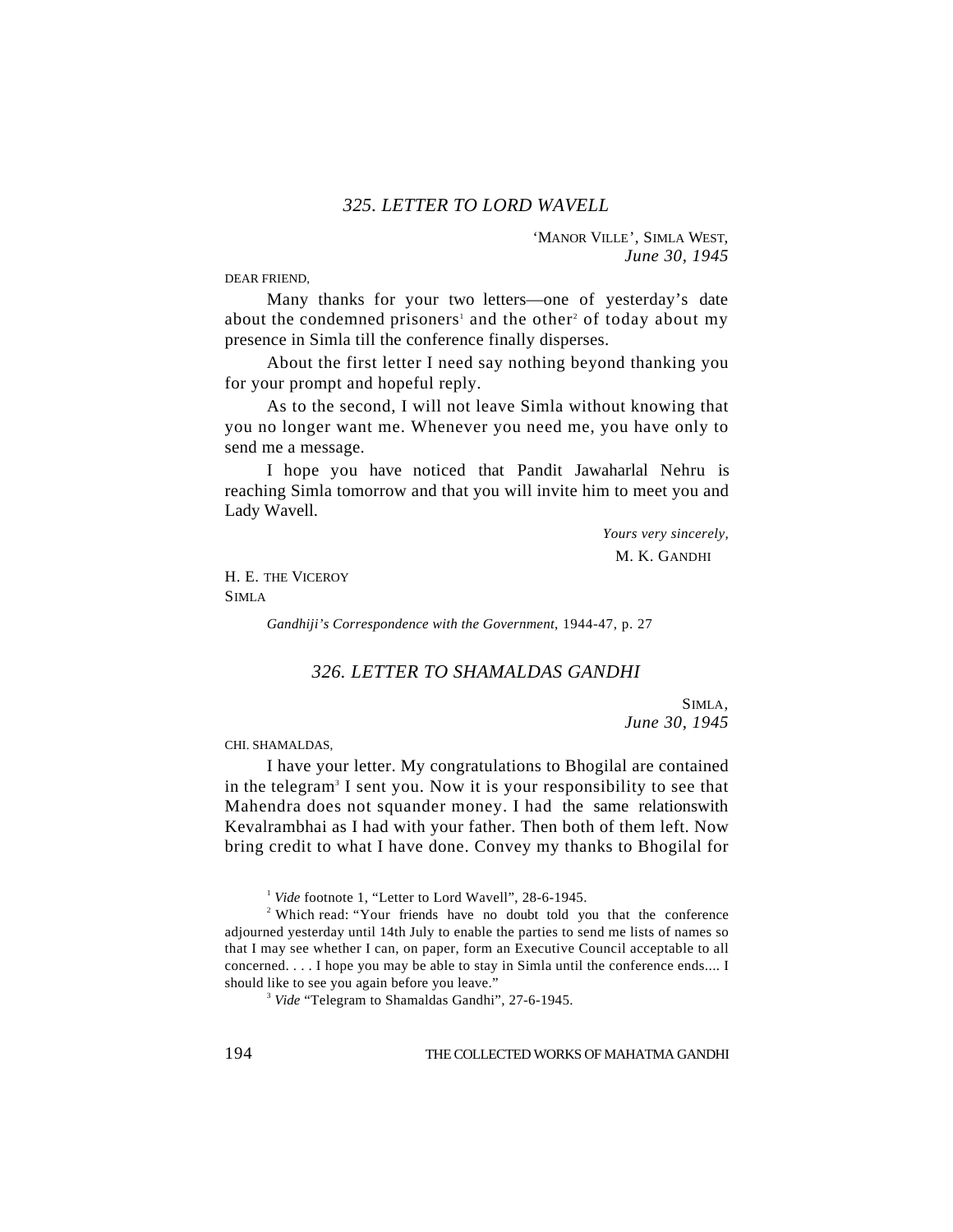### *325. LETTER TO LORD WAVELL*

'MANOR VILLE', SIMLA WEST, *June 30, 1945*

DEAR FRIEND,

Many thanks for your two letters—one of yesterday's date about the condemned prisoners<sup>1</sup> and the other<sup>2</sup> of today about my presence in Simla till the conference finally disperses.

About the first letter I need say nothing beyond thanking you for your prompt and hopeful reply.

As to the second, I will not leave Simla without knowing that you no longer want me. Whenever you need me, you have only to send me a message.

I hope you have noticed that Pandit Jawaharlal Nehru is reaching Simla tomorrow and that you will invite him to meet you and Lady Wavell.

> *Yours very sincerely,* M. K. GANDHI

H. E. THE VICEROY SIMLA

*Gandhiji's Correspondence with the Government*, 1944-47, p. 27

### *326. LETTER TO SHAMALDAS GANDHI*

SIMLA, *June 30, 1945*

CHI. SHAMALDAS,

I have your letter. My congratulations to Bhogilal are contained in the telegram<sup>3</sup> I sent you. Now it is your responsibility to see that Mahendra does not squander money. I had the same relationswith Kevalrambhai as I had with your father. Then both of them left. Now bring credit to what I have done. Convey my thanks to Bhogilal for

<sup>1</sup> *Vide* footnote 1, "Letter to Lord Wavell", 28-6-1945.

<sup>2</sup> Which read: "Your friends have no doubt told you that the conference adjourned yesterday until 14th July to enable the parties to send me lists of names so that I may see whether I can, on paper, form an Executive Council acceptable to all concerned. . . . I hope you may be able to stay in Simla until the conference ends.... I should like to see you again before you leave."

<sup>3</sup> *Vide* "Telegram to Shamaldas Gandhi", 27-6-1945.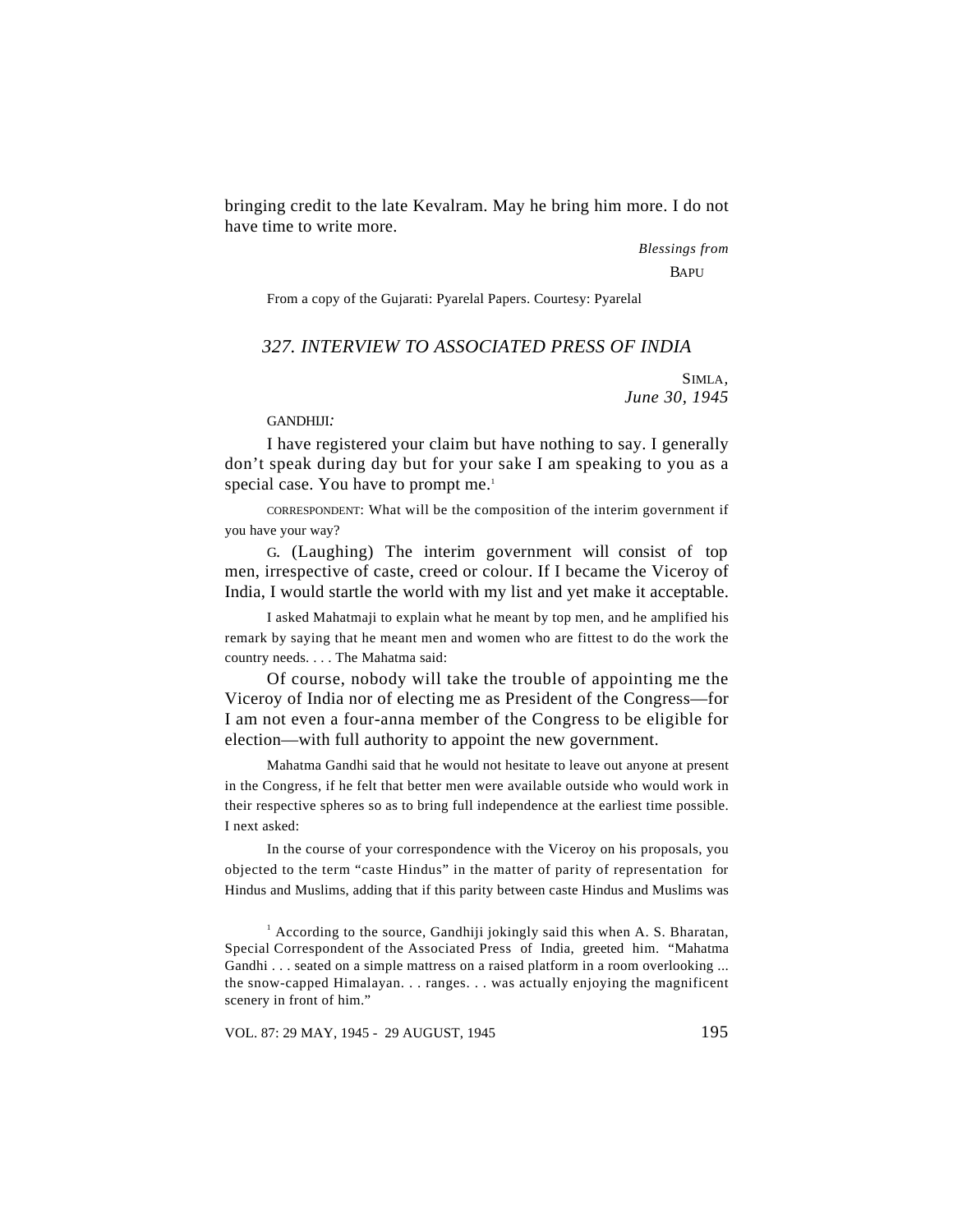bringing credit to the late Kevalram. May he bring him more. I do not have time to write more.

*Blessings from*

**BAPU** 

From a copy of the Gujarati: Pyarelal Papers. Courtesy: Pyarelal

#### *327. INTERVIEW TO ASSOCIATED PRESS OF INDIA*

SIMLA*, June 30, 1945*

#### GANDHIJI*:*

I have registered your claim but have nothing to say. I generally don't speak during day but for your sake I am speaking to you as a special case. You have to prompt me.<sup>1</sup>

CORRESPONDENT: What will be the composition of the interim government if you have your way?

G. (Laughing) The interim government will consist of top men, irrespective of caste, creed or colour. If I became the Viceroy of India, I would startle the world with my list and yet make it acceptable.

I asked Mahatmaji to explain what he meant by top men, and he amplified his remark by saying that he meant men and women who are fittest to do the work the country needs. . . . The Mahatma said:

Of course, nobody will take the trouble of appointing me the Viceroy of India nor of electing me as President of the Congress—for I am not even a four-anna member of the Congress to be eligible for election—with full authority to appoint the new government.

Mahatma Gandhi said that he would not hesitate to leave out anyone at present in the Congress, if he felt that better men were available outside who would work in their respective spheres so as to bring full independence at the earliest time possible. I next asked:

In the course of your correspondence with the Viceroy on his proposals, you objected to the term "caste Hindus" in the matter of parity of representation for Hindus and Muslims, adding that if this parity between caste Hindus and Muslims was

<sup>1</sup> According to the source, Gandhiji jokingly said this when A. S. Bharatan, Special Correspondent of the Associated Press of India, greeted him. "Mahatma Gandhi . . . seated on a simple mattress on a raised platform in a room overlooking ... the snow-capped Himalayan. . . ranges. . . was actually enjoying the magnificent scenery in front of him."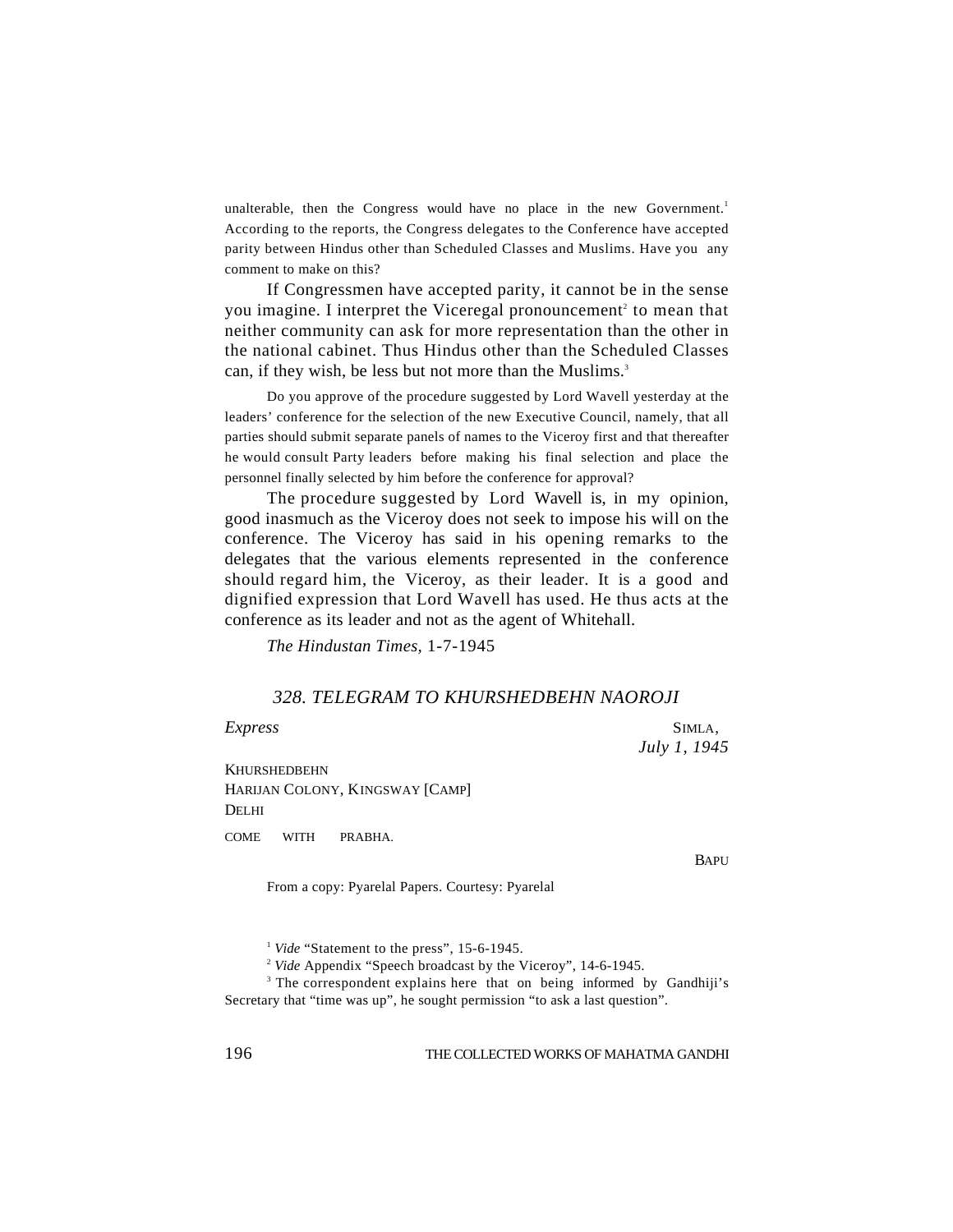unalterable, then the Congress would have no place in the new Government.<sup>1</sup> According to the reports, the Congress delegates to the Conference have accepted parity between Hindus other than Scheduled Classes and Muslims. Have you any comment to make on this?

If Congressmen have accepted parity, it cannot be in the sense you imagine. I interpret the Viceregal pronouncement<sup>2</sup> to mean that neither community can ask for more representation than the other in the national cabinet. Thus Hindus other than the Scheduled Classes can, if they wish, be less but not more than the Muslims.<sup>3</sup>

Do you approve of the procedure suggested by Lord Wavell yesterday at the leaders' conference for the selection of the new Executive Council, namely, that all parties should submit separate panels of names to the Viceroy first and that thereafter he would consult Party leaders before making his final selection and place the personnel finally selected by him before the conference for approval?

The procedure suggested by Lord Wavell is, in my opinion, good inasmuch as the Viceroy does not seek to impose his will on the conference. The Viceroy has said in his opening remarks to the delegates that the various elements represented in the conference should regard him, the Viceroy, as their leader. It is a good and dignified expression that Lord Wavell has used. He thus acts at the conference as its leader and not as the agent of Whitehall.

*The Hindustan Times,* 1-7-1945

### *328. TELEGRAM TO KHURSHEDBEHN NAOROJI*

*Express* SIMLA, *July 1, 1945*

KHURSHEDBEHN HARIJAN COLONY, KINGSWAY [CAMP] DELHI

COME WITH PRABHA.

**BAPU** 

From a copy: Pyarelal Papers. Courtesy: Pyarelal

<sup>1</sup> *Vide* "Statement to the press", 15-6-1945.

<sup>2</sup> *Vide* Appendix "Speech broadcast by the Viceroy", 14-6-1945.

<sup>3</sup> The correspondent explains here that on being informed by Gandhiji's Secretary that "time was up", he sought permission "to ask a last question".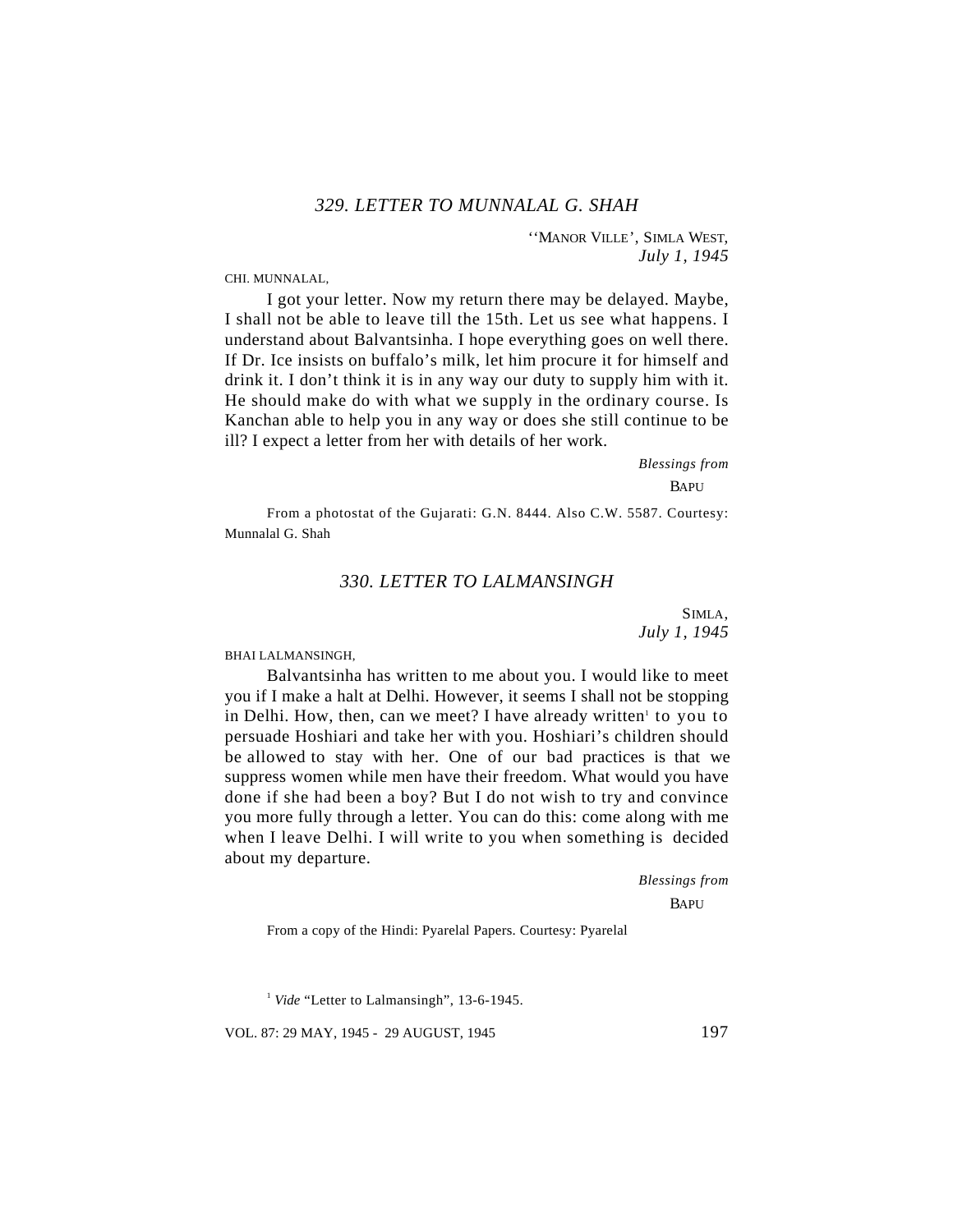#### *329. LETTER TO MUNNALAL G. SHAH*

''MANOR VILLE', SIMLA WEST, *July 1, 1945*

CHI. MUNNALAL,

I got your letter. Now my return there may be delayed. Maybe, I shall not be able to leave till the 15th. Let us see what happens. I understand about Balvantsinha. I hope everything goes on well there. If Dr. Ice insists on buffalo's milk, let him procure it for himself and drink it. I don't think it is in any way our duty to supply him with it. He should make do with what we supply in the ordinary course. Is Kanchan able to help you in any way or does she still continue to be ill? I expect a letter from her with details of her work.

*Blessings from*

**BAPU** 

From a photostat of the Gujarati: G.N. 8444. Also C.W. 5587. Courtesy: Munnalal G. Shah

### *330. LETTER TO LALMANSINGH*

SIMLA, *July 1, 1945*

#### BHAI LALMANSINGH,

Balvantsinha has written to me about you. I would like to meet you if I make a halt at Delhi. However, it seems I shall not be stopping in Delhi. How, then, can we meet? I have already written<sup>1</sup> to you to persuade Hoshiari and take her with you. Hoshiari's children should be allowed to stay with her. One of our bad practices is that we suppress women while men have their freedom. What would you have done if she had been a boy? But I do not wish to try and convince you more fully through a letter. You can do this: come along with me when I leave Delhi. I will write to you when something is decided about my departure.

*Blessings from*

BAPU

From a copy of the Hindi: Pyarelal Papers. Courtesy: Pyarelal

<sup>1</sup> *Vide* "Letter to Lalmansingh", 13-6-1945.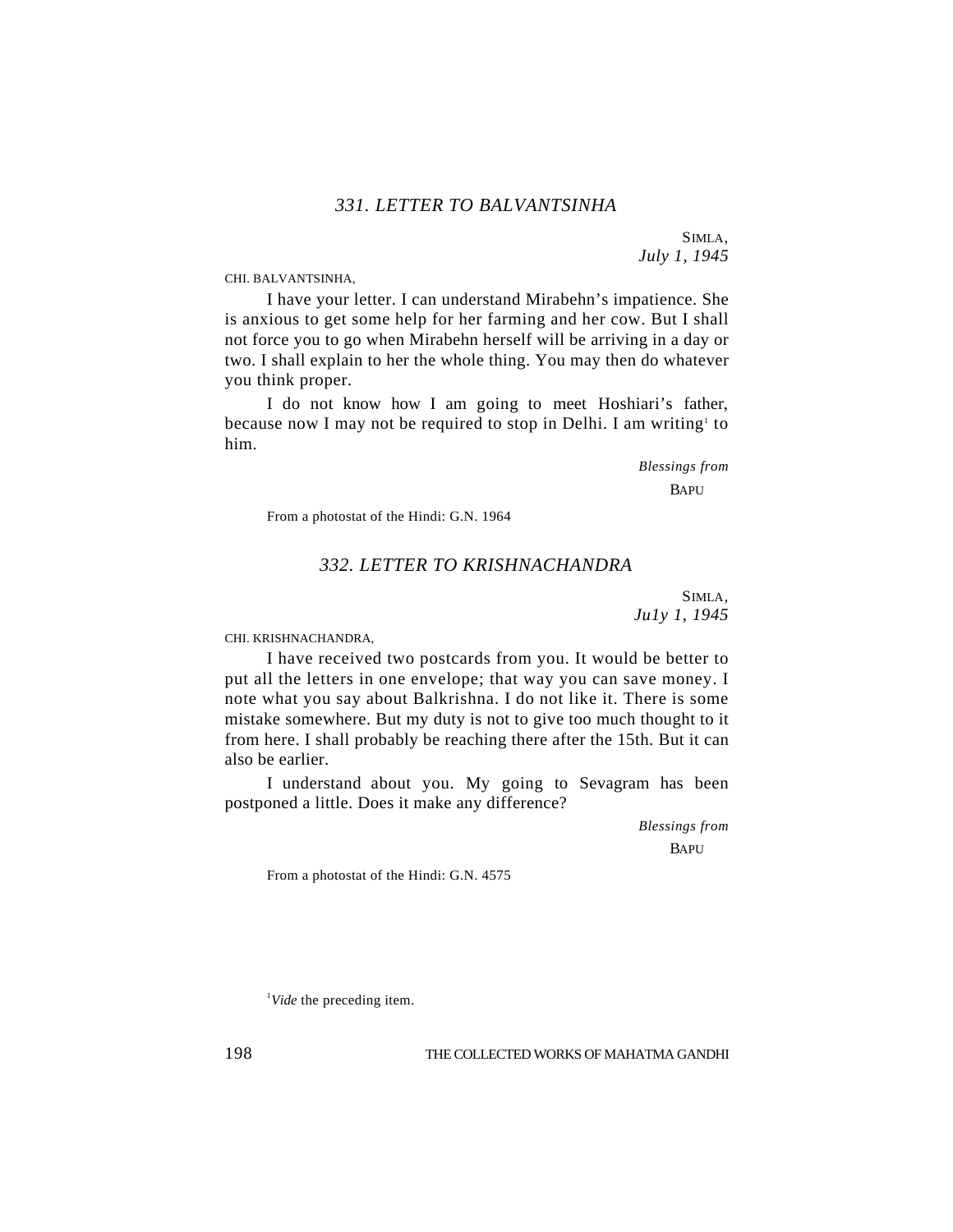### *331. LETTER TO BALVANTSINHA*

SIMLA, *July 1, 1945*

CHI. BALVANTSINHA,

I have your letter. I can understand Mirabehn's impatience. She is anxious to get some help for her farming and her cow. But I shall not force you to go when Mirabehn herself will be arriving in a day or two. I shall explain to her the whole thing. You may then do whatever you think proper.

I do not know how I am going to meet Hoshiari's father, because now I may not be required to stop in Delhi. I am writing<sup>1</sup> to him.

> *Blessings from* **BAPU**

From a photostat of the Hindi: G.N. 1964

### *332. LETTER TO KRISHNACHANDRA*

SIMLA*, Ju1y 1, 1945*

CHI. KRISHNACHANDRA,

I have received two postcards from you. It would be better to put all the letters in one envelope; that way you can save money. I note what you say about Balkrishna. I do not like it. There is some mistake somewhere. But my duty is not to give too much thought to it from here. I shall probably be reaching there after the 15th. But it can also be earlier.

I understand about you. My going to Sevagram has been postponed a little. Does it make any difference?

> *Blessings from* **BAPU**

From a photostat of the Hindi: G.N. 4575

<sup>1</sup>*Vide* the preceding item.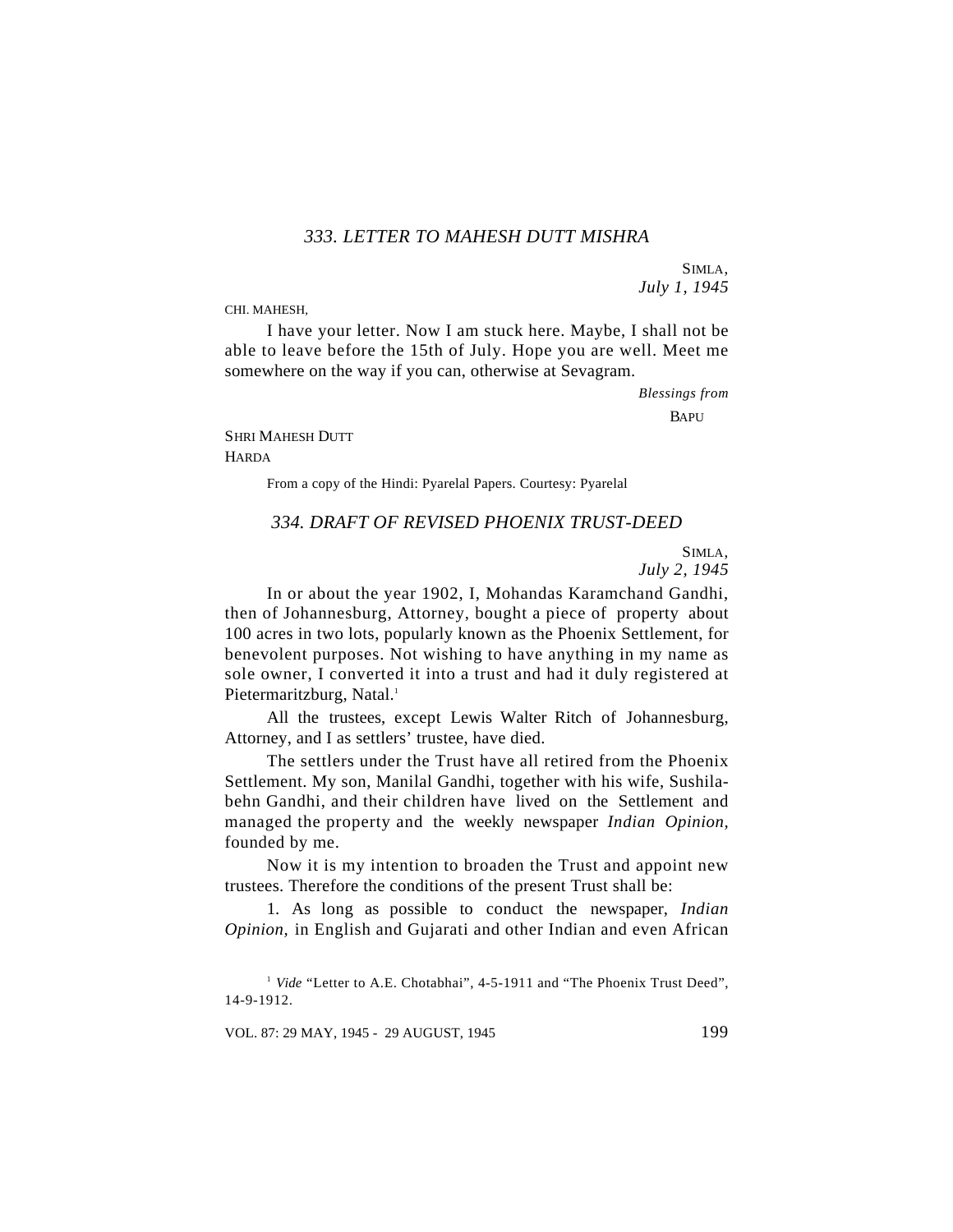### *333. LETTER TO MAHESH DUTT MISHRA*

SIMLA, *July 1, 1945*

CHI. MAHESH,

I have your letter. Now I am stuck here. Maybe, I shall not be able to leave before the 15th of July. Hope you are well. Meet me somewhere on the way if you can, otherwise at Sevagram.

*Blessings from*

**BAPU** 

### SHRI MAHESH DUTT **HARDA**

From a copy of the Hindi: Pyarelal Papers. Courtesy: Pyarelal

#### *334. DRAFT OF REVISED PHOENIX TRUST-DEED*

SIMLA, *July 2, 1945*

In or about the year 1902, I, Mohandas Karamchand Gandhi, then of Johannesburg, Attorney, bought a piece of property about 100 acres in two lots, popularly known as the Phoenix Settlement, for benevolent purposes. Not wishing to have anything in my name as sole owner, I converted it into a trust and had it duly registered at Pietermaritzburg, Natal.<sup>1</sup>

All the trustees, except Lewis Walter Ritch of Johannesburg, Attorney, and I as settlers' trustee, have died.

The settlers under the Trust have all retired from the Phoenix Settlement. My son, Manilal Gandhi, together with his wife, Sushilabehn Gandhi, and their children have lived on the Settlement and managed the property and the weekly newspaper *Indian Opinion,* founded by me.

Now it is my intention to broaden the Trust and appoint new trustees. Therefore the conditions of the present Trust shall be:

1. As long as possible to conduct the newspaper, *Indian Opinion,* in English and Gujarati and other Indian and even African

<sup>&</sup>lt;sup>1</sup> Vide "Letter to A.E. Chotabhai", 4-5-1911 and "The Phoenix Trust Deed", 14-9-1912.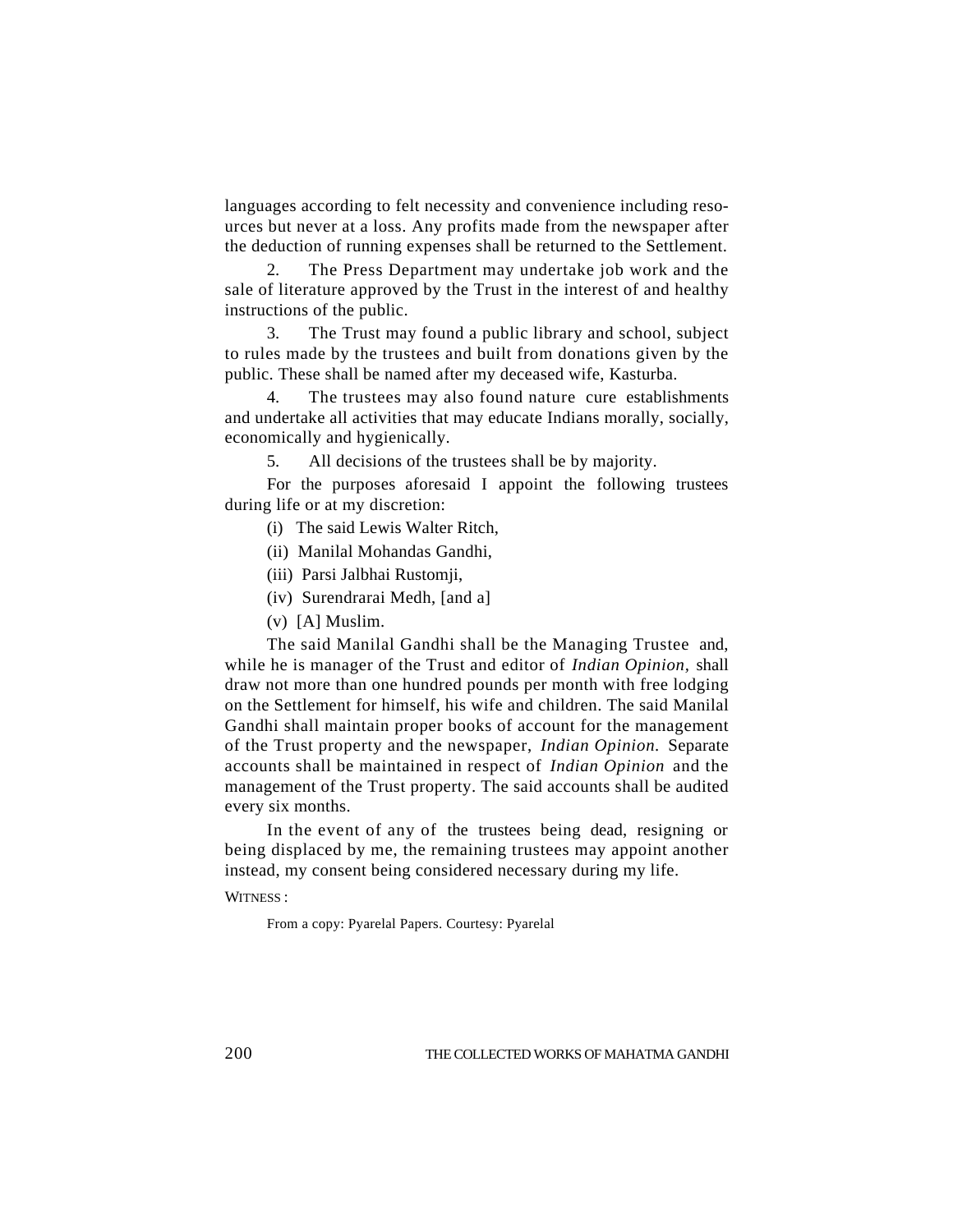languages according to felt necessity and convenience including resources but never at a loss. Any profits made from the newspaper after the deduction of running expenses shall be returned to the Settlement.

2. The Press Department may undertake job work and the sale of literature approved by the Trust in the interest of and healthy instructions of the public.

3. The Trust may found a public library and school, subject to rules made by the trustees and built from donations given by the public. These shall be named after my deceased wife, Kasturba.

4. The trustees may also found nature cure establishments and undertake all activities that may educate Indians morally, socially, economically and hygienically.

5. All decisions of the trustees shall be by majority.

For the purposes aforesaid I appoint the following trustees during life or at my discretion:

- (i) The said Lewis Walter Ritch,
- (ii) Manilal Mohandas Gandhi,
- (iii) Parsi Jalbhai Rustomji,
- (iv) Surendrarai Medh, [and a]
- (v) [A] Muslim.

The said Manilal Gandhi shall be the Managing Trustee and, while he is manager of the Trust and editor of *Indian Opinion,* shall draw not more than one hundred pounds per month with free lodging on the Settlement for himself, his wife and children. The said Manilal Gandhi shall maintain proper books of account for the management of the Trust property and the newspaper, *Indian Opinion.* Separate accounts shall be maintained in respect of *Indian Opinion* and the management of the Trust property. The said accounts shall be audited every six months.

In the event of any of the trustees being dead, resigning or being displaced by me, the remaining trustees may appoint another instead, my consent being considered necessary during my life.

WITNESS ·

From a copy: Pyarelal Papers. Courtesy: Pyarelal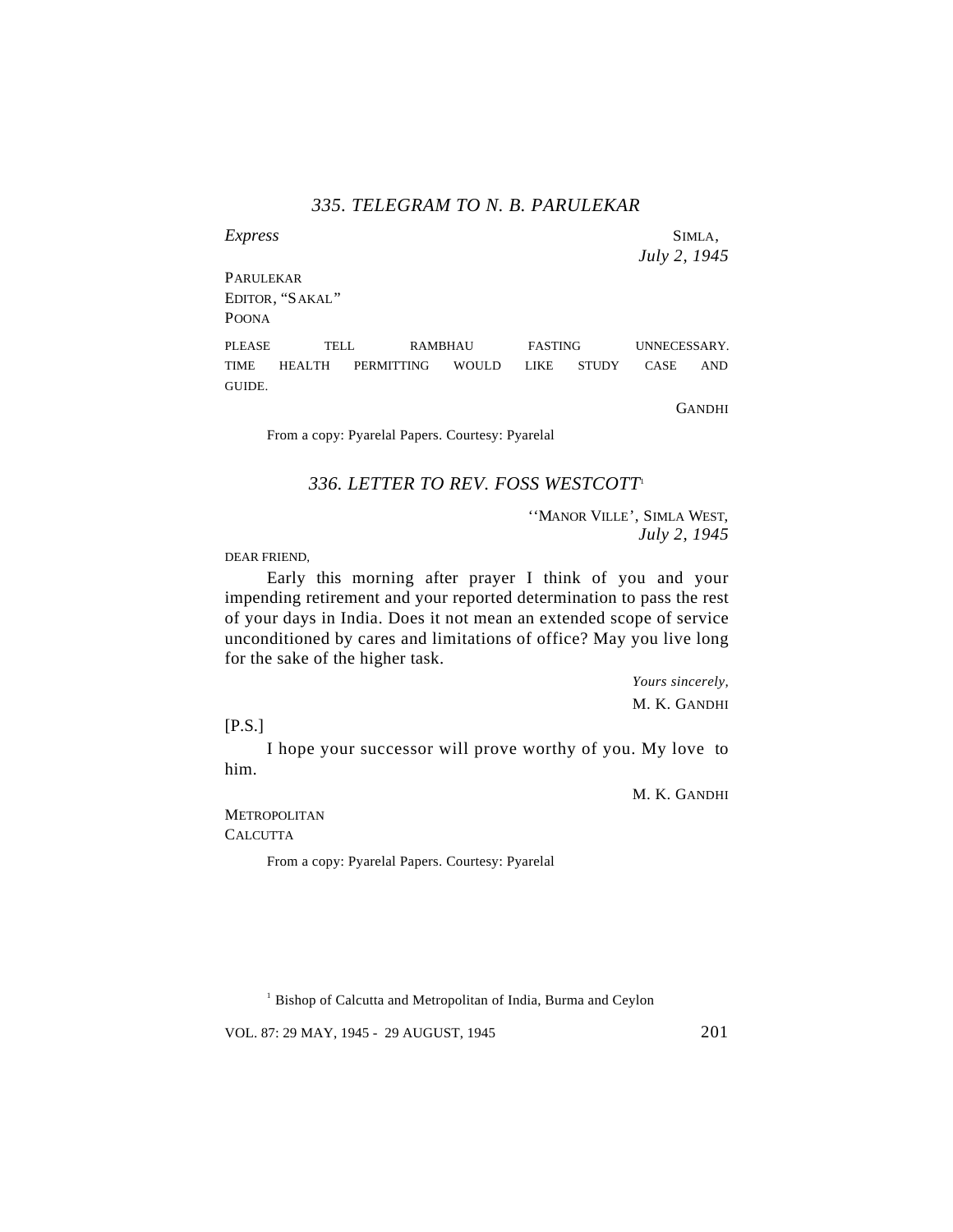## *335. TELEGRAM TO N. B. PARULEKAR*

*Express* SIMLA, *July 2, 1945*

PARULEKAR EDITOR, "SAKAL" **POONA** PLEASE TELL RAMBHAU FASTING UNNECESSARY. TIME HEALTH PERMITTING WOULD LIKE STUDY CASE AND GUIDE.

GANDHI

From a copy: Pyarelal Papers. Courtesy: Pyarelal

#### *336. LETTER TO REV. FOSS WESTCOTT*<sup>1</sup>

''MANOR VILLE', SIMLA WEST, *July 2, 1945*

DEAR FRIEND,

Early this morning after prayer I think of you and your impending retirement and your reported determination to pass the rest of your days in India. Does it not mean an extended scope of service unconditioned by cares and limitations of office? May you live long for the sake of the higher task.

> *Yours sincerely,* M. K. GANDHI

 $[P.S.]$ 

I hope your successor will prove worthy of you. My love to him.

M. K. GANDHI

**METROPOLITAN CALCUTTA** 

From a copy: Pyarelal Papers. Courtesy: Pyarelal

<sup>1</sup> Bishop of Calcutta and Metropolitan of India, Burma and Ceylon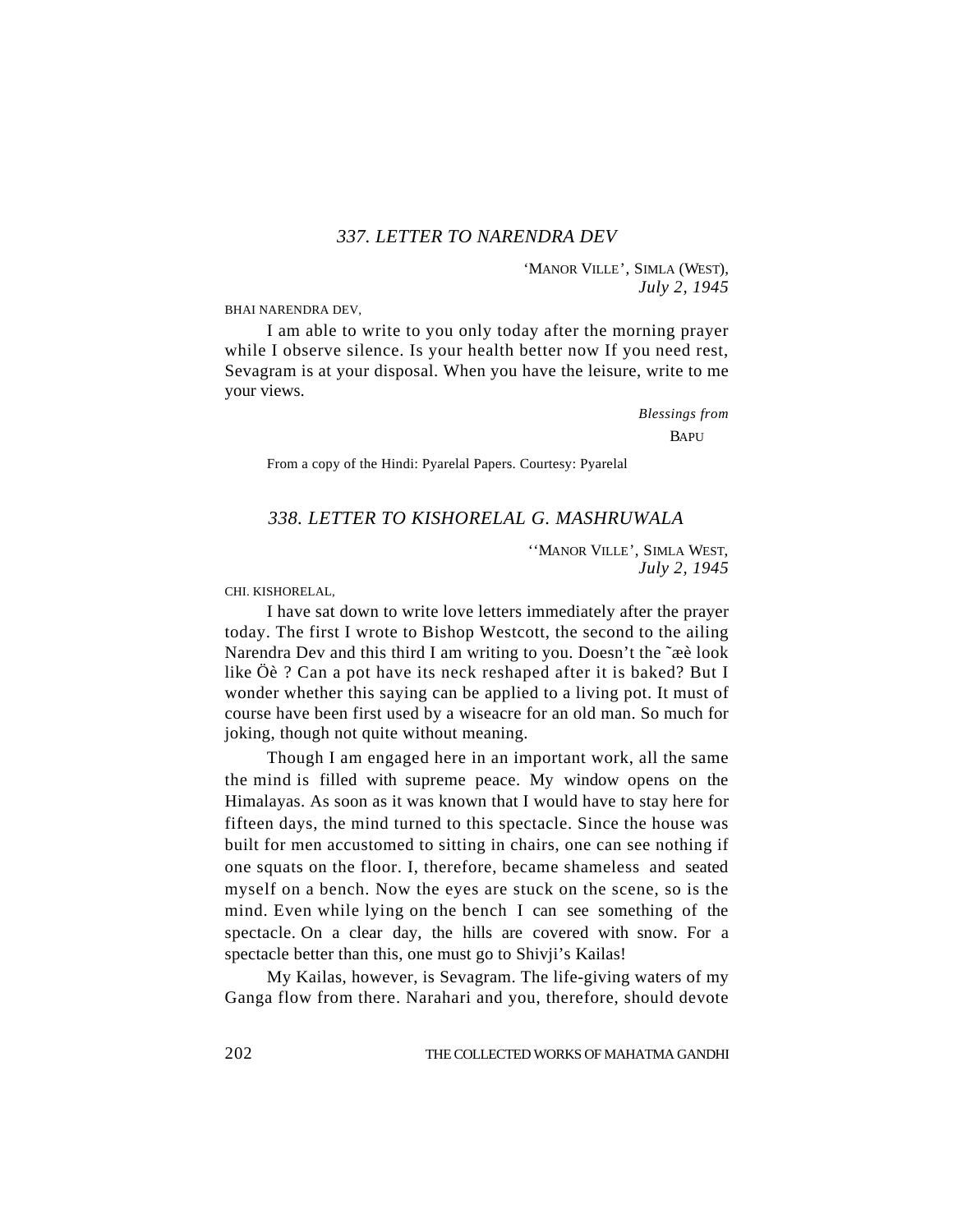### *337. LETTER TO NARENDRA DEV*

'MANOR VILLE', SIMLA (WEST), *July 2, 1945*

BHAI NARENDRA DEV,

I am able to write to you only today after the morning prayer while I observe silence. Is your health better now If you need rest, Sevagram is at your disposal. When you have the leisure, write to me your views.

> *Blessings from* **BAPU**

From a copy of the Hindi: Pyarelal Papers. Courtesy: Pyarelal

### *338. LETTER TO KISHORELAL G. MASHRUWALA*

''MANOR VILLE', SIMLA WEST, *July 2, 1945*

CHI. KISHORELAL,

I have sat down to write love letters immediately after the prayer today. The first I wrote to Bishop Westcott, the second to the ailing Narendra Dev and this third I am writing to you. Doesn't the ˜æè look like Öè ? Can a pot have its neck reshaped after it is baked? But I wonder whether this saying can be applied to a living pot. It must of course have been first used by a wiseacre for an old man. So much for joking, though not quite without meaning.

Though I am engaged here in an important work, all the same the mind is filled with supreme peace. My window opens on the Himalayas. As soon as it was known that I would have to stay here for fifteen days, the mind turned to this spectacle. Since the house was built for men accustomed to sitting in chairs, one can see nothing if one squats on the floor. I, therefore, became shameless and seated myself on a bench. Now the eyes are stuck on the scene, so is the mind. Even while lying on the bench I can see something of the spectacle. On a clear day, the hills are covered with snow. For a spectacle better than this, one must go to Shivji's Kailas!

My Kailas, however, is Sevagram. The life-giving waters of my Ganga flow from there. Narahari and you, therefore, should devote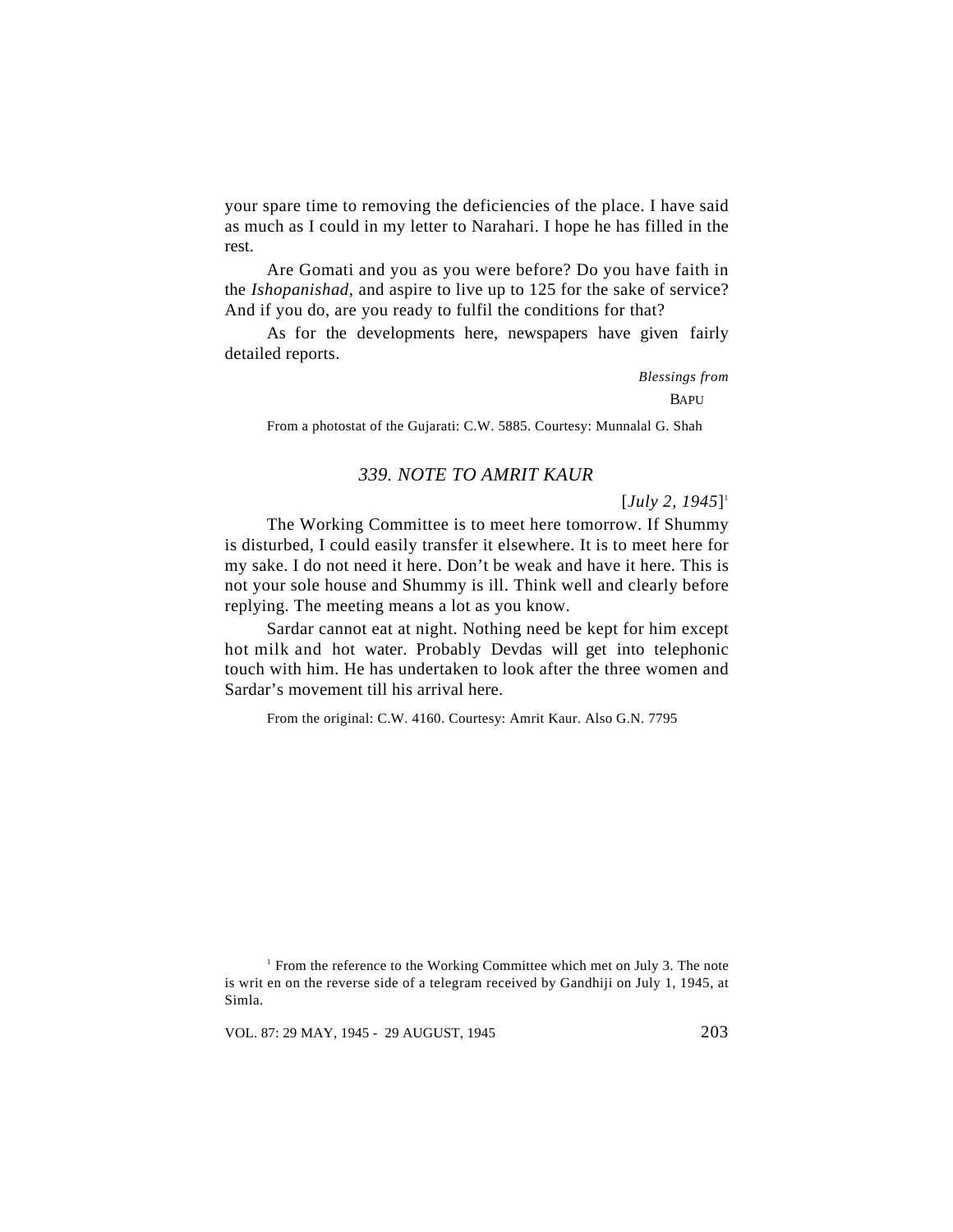your spare time to removing the deficiencies of the place. I have said as much as I could in my letter to Narahari. I hope he has filled in the rest.

Are Gomati and you as you were before? Do you have faith in the *Ishopanishad,* and aspire to live up to 125 for the sake of service? And if you do, are you ready to fulfil the conditions for that?

As for the developments here, newspapers have given fairly detailed reports.

*Blessings from*

BAPU

From a photostat of the Gujarati: C.W. 5885. Courtesy: Munnalal G. Shah

### *339. NOTE TO AMRIT KAUR*

[*July 2, 1945*] 1

The Working Committee is to meet here tomorrow. If Shummy is disturbed, I could easily transfer it elsewhere. It is to meet here for my sake. I do not need it here. Don't be weak and have it here. This is not your sole house and Shummy is ill. Think well and clearly before replying. The meeting means a lot as you know.

Sardar cannot eat at night. Nothing need be kept for him except hot milk and hot water. Probably Devdas will get into telephonic touch with him. He has undertaken to look after the three women and Sardar's movement till his arrival here.

From the original: C.W. 4160. Courtesy: Amrit Kaur. Also G.N. 7795

 $1$  From the reference to the Working Committee which met on July 3. The note is writ en on the reverse side of a telegram received by Gandhiji on July 1, 1945, at Simla.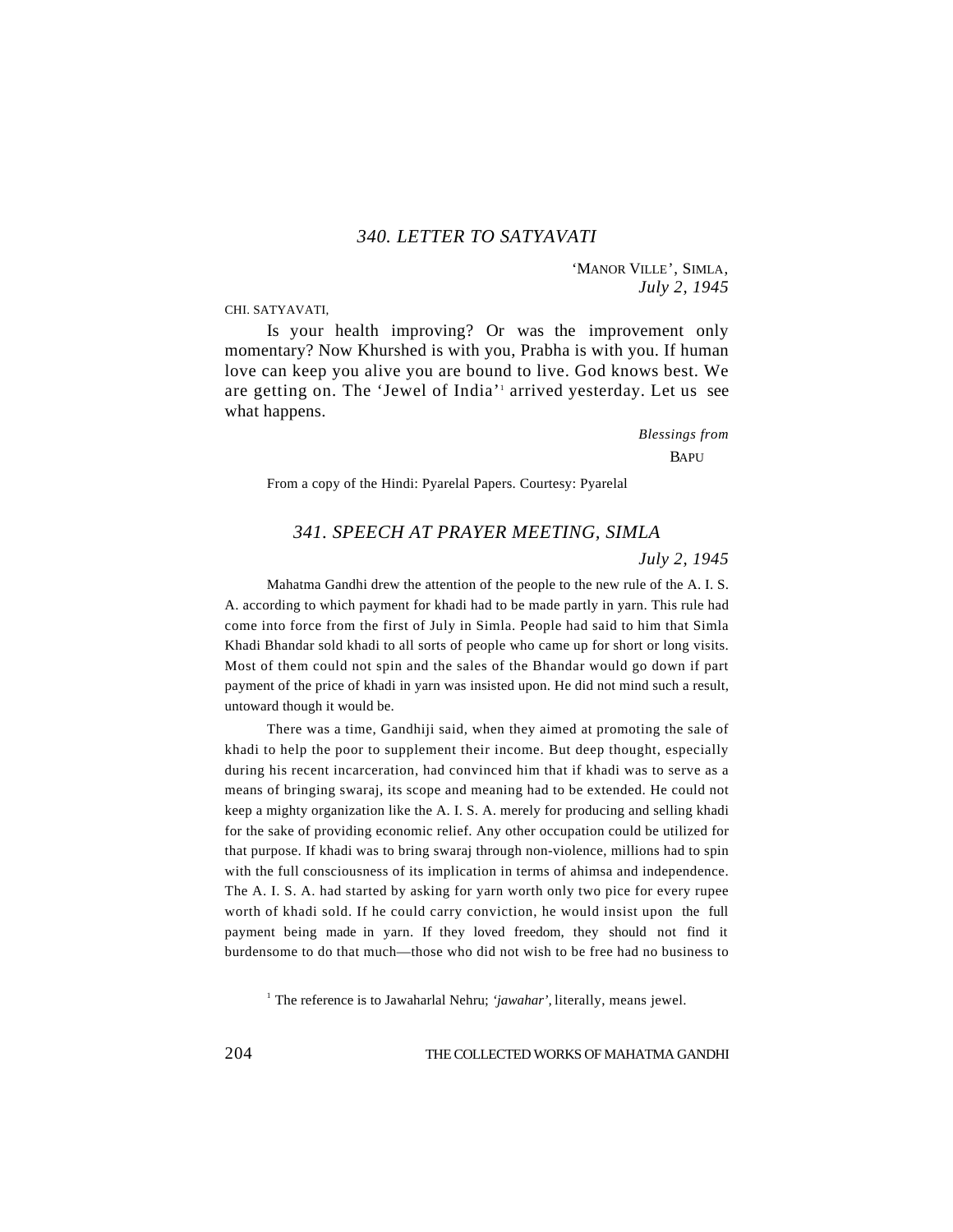'MANOR VILLE', SIMLA, *July 2, 1945*

#### CHI. SATYAVATI,

Is your health improving? Or was the improvement only momentary? Now Khurshed is with you, Prabha is with you. If human love can keep you alive you are bound to live. God knows best. We are getting on. The 'Jewel of India'<sup>1</sup> arrived yesterday. Let us see what happens.

> *Blessings from* **BAPU**

From a copy of the Hindi: Pyarelal Papers. Courtesy: Pyarelal

### *341. SPEECH AT PRAYER MEETING, SIMLA*

#### *July 2, 1945*

Mahatma Gandhi drew the attention of the people to the new rule of the A. I. S. A. according to which payment for khadi had to be made partly in yarn. This rule had come into force from the first of July in Simla. People had said to him that Simla Khadi Bhandar sold khadi to all sorts of people who came up for short or long visits. Most of them could not spin and the sales of the Bhandar would go down if part payment of the price of khadi in yarn was insisted upon. He did not mind such a result, untoward though it would be.

There was a time, Gandhiji said, when they aimed at promoting the sale of khadi to help the poor to supplement their income. But deep thought, especially during his recent incarceration, had convinced him that if khadi was to serve as a means of bringing swaraj, its scope and meaning had to be extended. He could not keep a mighty organization like the A. I. S. A. merely for producing and selling khadi for the sake of providing economic relief. Any other occupation could be utilized for that purpose. If khadi was to bring swaraj through non-violence, millions had to spin with the full consciousness of its implication in terms of ahimsa and independence. The A. I. S. A. had started by asking for yarn worth only two pice for every rupee worth of khadi sold. If he could carry conviction, he would insist upon the full payment being made in yarn. If they loved freedom, they should not find it burdensome to do that much—those who did not wish to be free had no business to

<sup>&</sup>lt;sup>1</sup> The reference is to Jawaharlal Nehru; 'jawahar', literally, means jewel.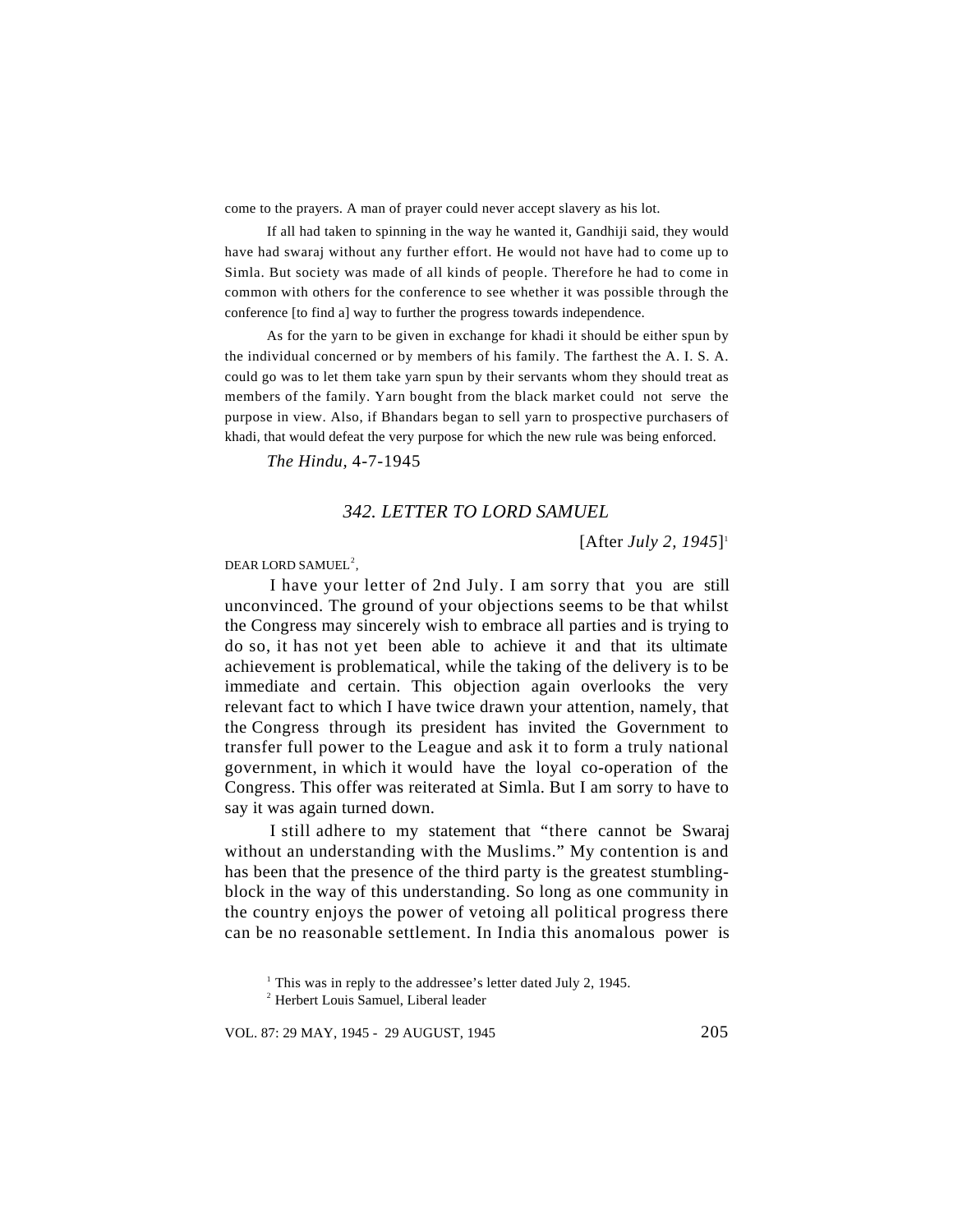come to the prayers. A man of prayer could never accept slavery as his lot.

If all had taken to spinning in the way he wanted it, Gandhiji said, they would have had swaraj without any further effort. He would not have had to come up to Simla. But society was made of all kinds of people. Therefore he had to come in common with others for the conference to see whether it was possible through the conference [to find a] way to further the progress towards independence.

As for the yarn to be given in exchange for khadi it should be either spun by the individual concerned or by members of his family. The farthest the A. I. S. A. could go was to let them take yarn spun by their servants whom they should treat as members of the family. Yarn bought from the black market could not serve the purpose in view. Also, if Bhandars began to sell yarn to prospective purchasers of khadi, that would defeat the very purpose for which the new rule was being enforced.

*The Hindu,* 4-7-1945

### *342. LETTER TO LORD SAMUEL*

[After *July 2, 1945*] 1

DEAR LORD SAMUEL<sup>2</sup>,

I have your letter of 2nd July. I am sorry that you are still unconvinced. The ground of your objections seems to be that whilst the Congress may sincerely wish to embrace all parties and is trying to do so, it has not yet been able to achieve it and that its ultimate achievement is problematical, while the taking of the delivery is to be immediate and certain. This objection again overlooks the very relevant fact to which I have twice drawn your attention, namely, that the Congress through its president has invited the Government to transfer full power to the League and ask it to form a truly national government, in which it would have the loyal co-operation of the Congress. This offer was reiterated at Simla. But I am sorry to have to say it was again turned down.

I still adhere to my statement that "there cannot be Swaraj without an understanding with the Muslims." My contention is and has been that the presence of the third party is the greatest stumblingblock in the way of this understanding. So long as one community in the country enjoys the power of vetoing all political progress there can be no reasonable settlement. In India this anomalous power is

<sup>&</sup>lt;sup>1</sup> This was in reply to the addressee's letter dated July 2, 1945.

<sup>2</sup> Herbert Louis Samuel, Liberal leader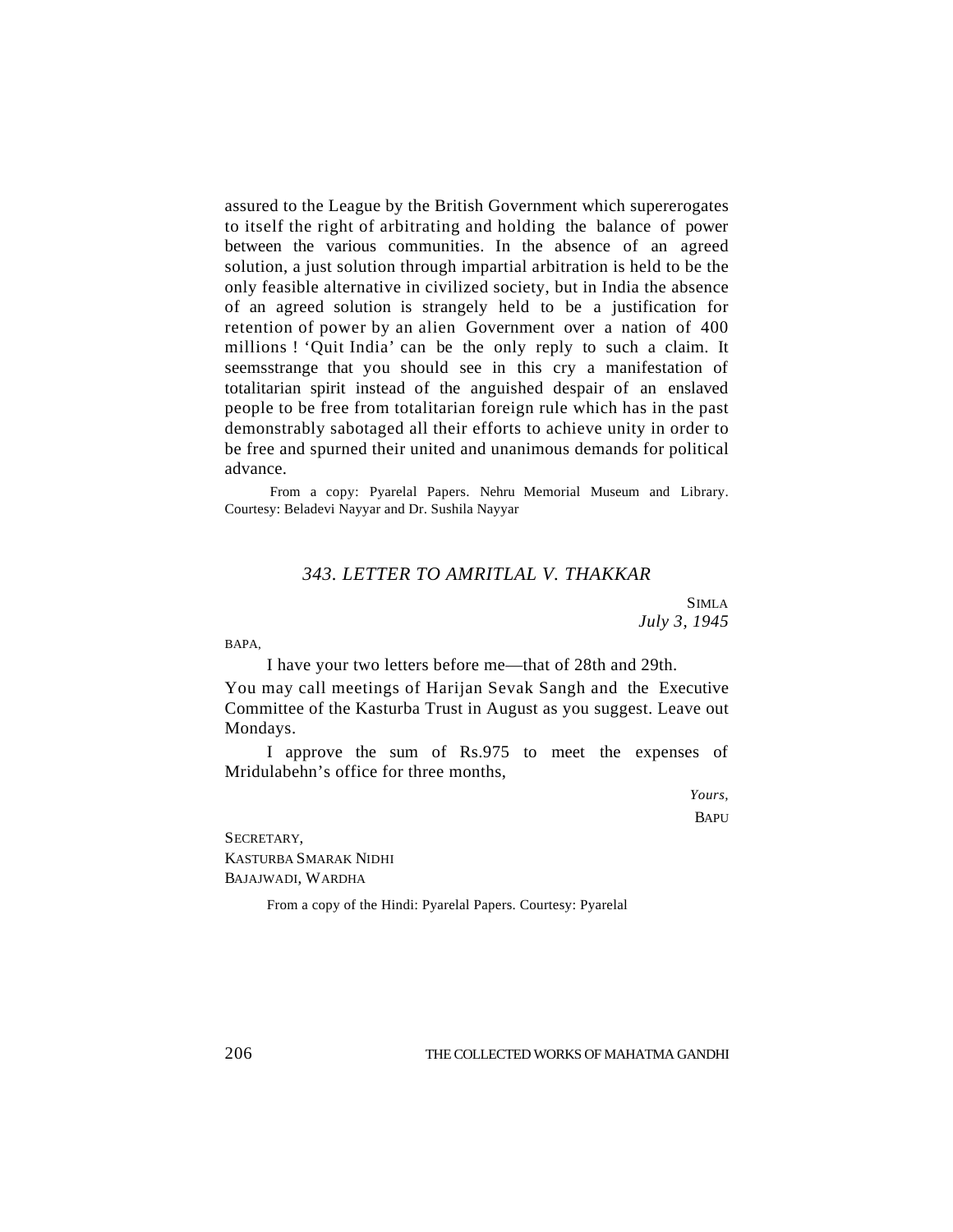assured to the League by the British Government which supererogates to itself the right of arbitrating and holding the balance of power between the various communities. In the absence of an agreed solution, a just solution through impartial arbitration is held to be the only feasible alternative in civilized society, but in India the absence of an agreed solution is strangely held to be a justification for retention of power by an alien Government over a nation of 400 millions ! 'Quit India' can be the only reply to such a claim. It seemsstrange that you should see in this cry a manifestation of totalitarian spirit instead of the anguished despair of an enslaved people to be free from totalitarian foreign rule which has in the past demonstrably sabotaged all their efforts to achieve unity in order to be free and spurned their united and unanimous demands for political advance.

From a copy: Pyarelal Papers. Nehru Memorial Museum and Library. Courtesy: Beladevi Nayyar and Dr. Sushila Nayyar

# *343. LETTER TO AMRITLAL V. THAKKAR*

SIMLA *July 3, 1945*

BAPA,

I have your two letters before me—that of 28th and 29th.

You may call meetings of Harijan Sevak Sangh and the Executive Committee of the Kasturba Trust in August as you suggest. Leave out Mondays.

I approve the sum of Rs.975 to meet the expenses of Mridulabehn's office for three months,

> *Yours,* **BAPU**

SECRETARY, KASTURBA SMARAK NIDHI BAJAJWADI, WARDHA

From a copy of the Hindi: Pyarelal Papers. Courtesy: Pyarelal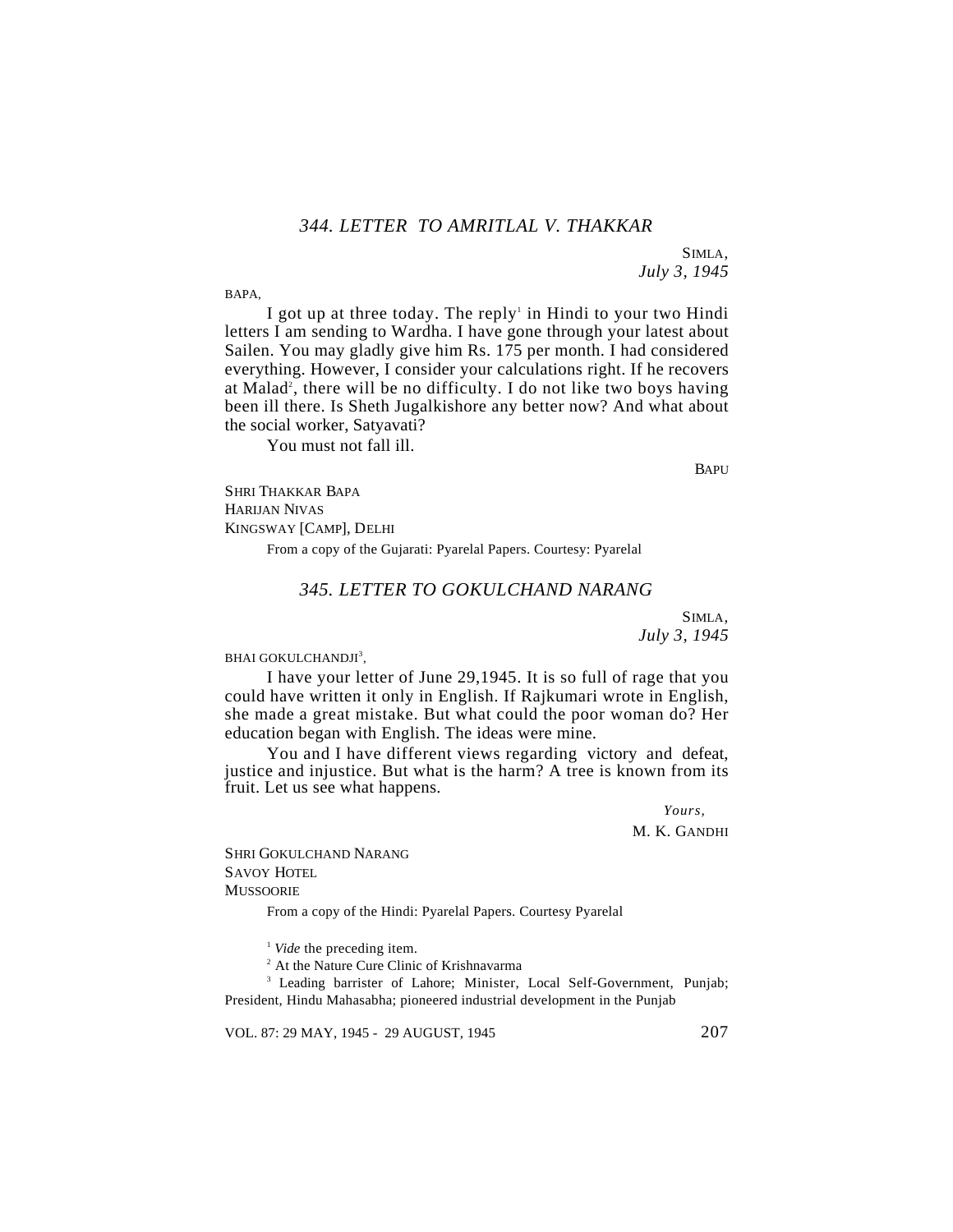## *344. LETTER TO AMRITLAL V. THAKKAR*

SIMLA, *July 3, 1945*

BAPA,

I got up at three today. The reply<sup>1</sup> in Hindi to your two Hindi letters I am sending to Wardha. I have gone through your latest about Sailen. You may gladly give him Rs. 175 per month. I had considered everything. However, I consider your calculations right. If he recovers at Malad<sup>2</sup>, there will be no difficulty. I do not like two boys having been ill there. Is Sheth Jugalkishore any better now? And what about the social worker, Satyavati?

You must not fall ill.

**BAPU** 

SHRI THAKKAR BAPA HARIJAN NIVAS KINGSWAY [CAMP], DELHI From a copy of the Gujarati: Pyarelal Papers. Courtesy: Pyarelal

### *345. LETTER TO GOKULCHAND NARANG*

SIMLA, *July 3, 1945*

 $B$ HAI GOKULCHANDJI $^3$ ,

I have your letter of June 29,1945. It is so full of rage that you could have written it only in English. If Rajkumari wrote in English, she made a great mistake. But what could the poor woman do? Her education began with English. The ideas were mine.

You and I have different views regarding victory and defeat, justice and injustice. But what is the harm? A tree is known from its fruit. Let us see what happens.

> *Yours,*  M. K. GANDHI

SHRI GOKULCHAND NARANG SAVOY HOTEL **MUSSOORIE** 

From a copy of the Hindi: Pyarelal Papers. Courtesy Pyarelal

<sup>1</sup> *Vide* the preceding item.

<sup>2</sup> At the Nature Cure Clinic of Krishnavarma

<sup>3</sup> Leading barrister of Lahore; Minister, Local Self-Government, Punjab; President, Hindu Mahasabha; pioneered industrial development in the Punjab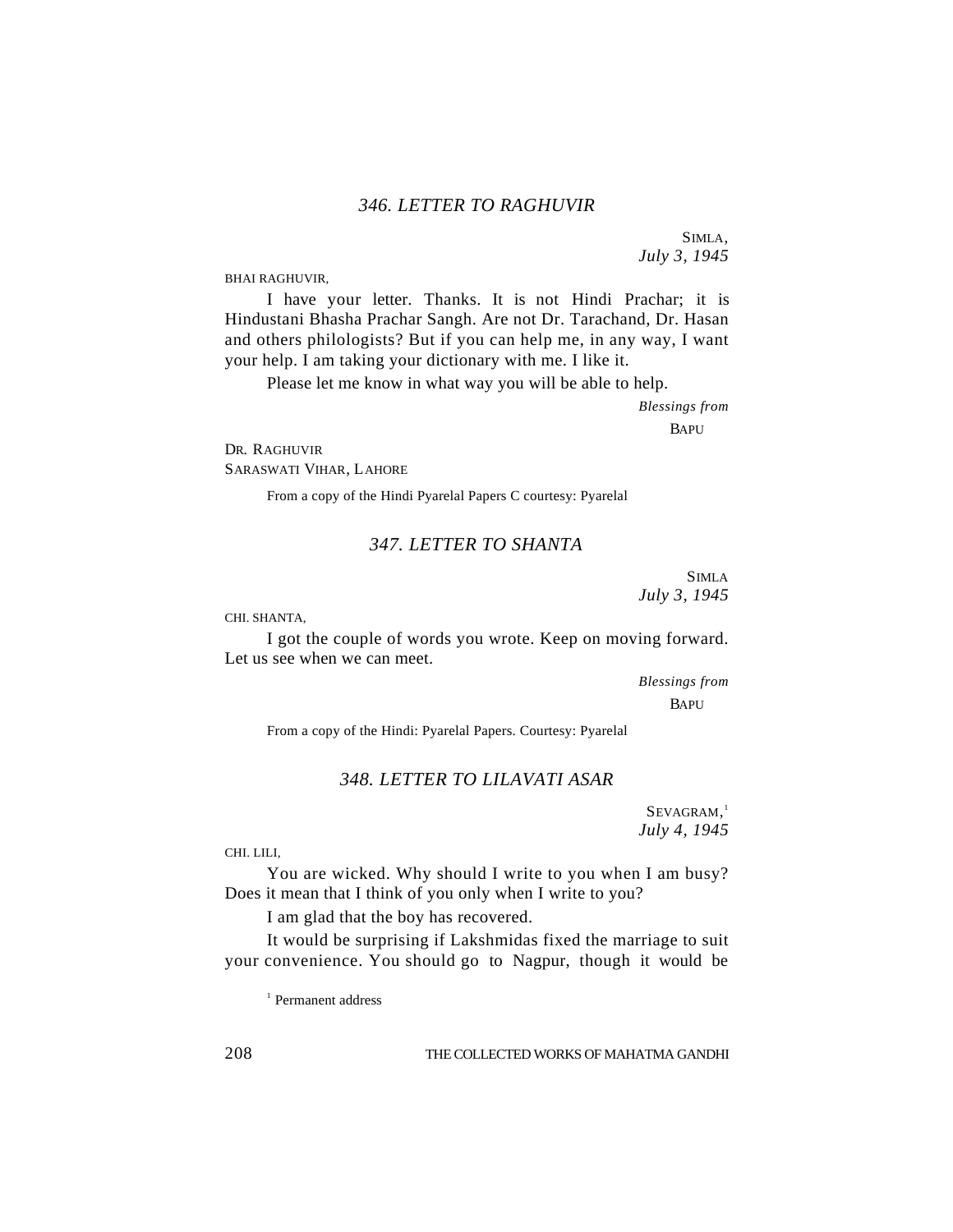## *346. LETTER TO RAGHUVIR*

SIMLA, *July 3, 1945*

BHAI RAGHUVIR,

I have your letter. Thanks. It is not Hindi Prachar; it is Hindustani Bhasha Prachar Sangh. Are not Dr. Tarachand, Dr. Hasan and others philologists? But if you can help me, in any way, I want your help. I am taking your dictionary with me. I like it.

Please let me know in what way you will be able to help.

*Blessings from*

**BAPU** 

DR. RAGHUVIR

SARASWATI VIHAR, LAHORE

From a copy of the Hindi Pyarelal Papers C courtesy: Pyarelal

### *347. LETTER TO SHANTA*

SIMLA *July 3, 1945*

CHI. SHANTA,

I got the couple of words you wrote. Keep on moving forward. Let us see when we can meet.

> *Blessings from* **BAPU**

From a copy of the Hindi: Pyarelal Papers. Courtesy: Pyarelal

### *348. LETTER TO LILAVATI ASAR*

 $\rm SEVAGRAM,^{1}$ *July 4, 1945*

CHI. LILI,

You are wicked. Why should I write to you when I am busy? Does it mean that I think of you only when I write to you?

I am glad that the boy has recovered.

It would be surprising if Lakshmidas fixed the marriage to suit your convenience. You should go to Nagpur, though it would be

<sup>1</sup> Permanent address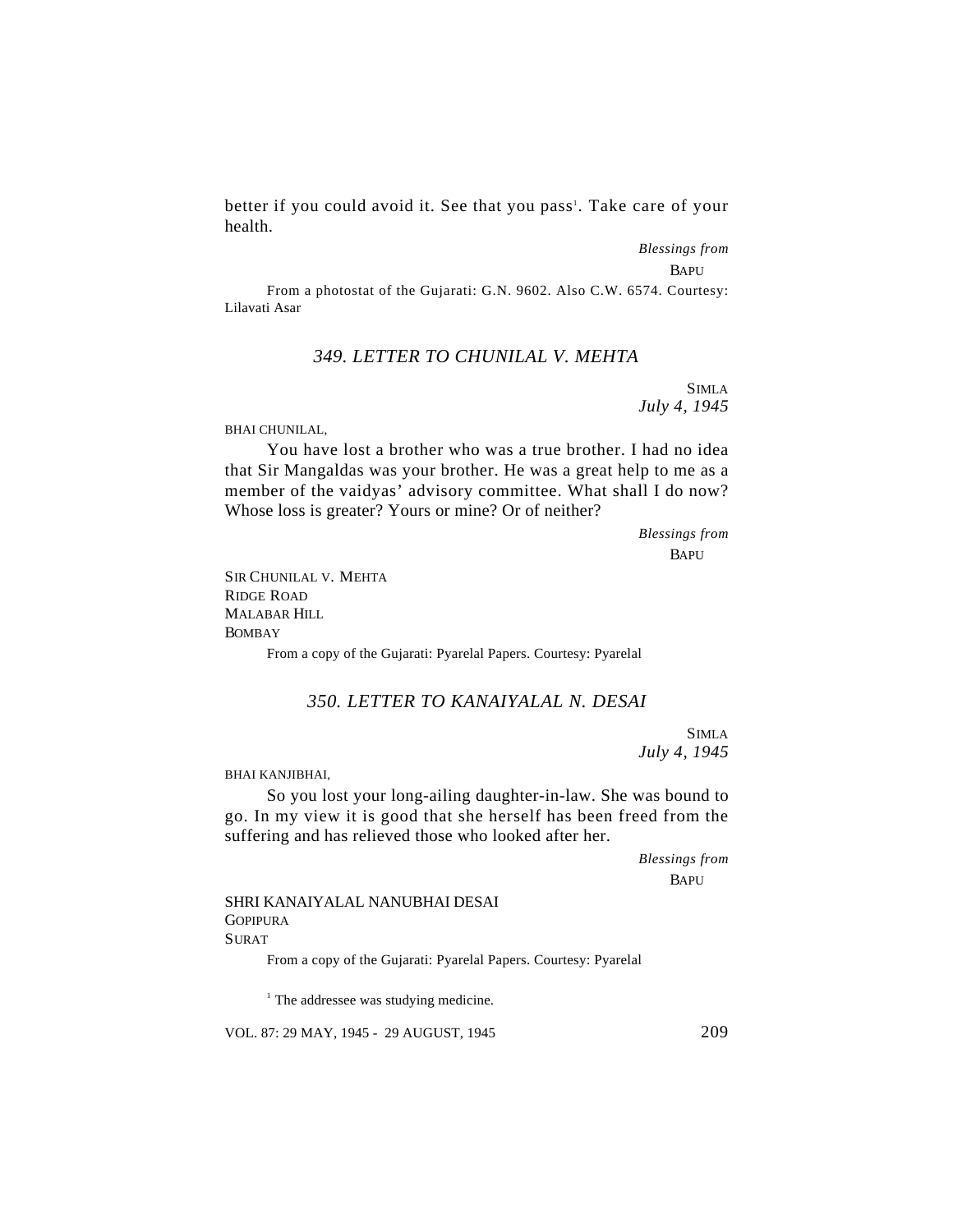better if you could avoid it. See that you pass<sup>1</sup>. Take care of your health.

*Blessings from*

**BAPU** 

From a photostat of the Gujarati: G.N. 9602. Also C.W. 6574. Courtesy: Lilavati Asar

### *349. LETTER TO CHUNILAL V. MEHTA*

SIMLA *July 4, 1945*

BHAI CHUNILAL,

You have lost a brother who was a true brother. I had no idea that Sir Mangaldas was your brother. He was a great help to me as a member of the vaidyas' advisory committee. What shall I do now? Whose loss is greater? Yours or mine? Or of neither?

> *Blessings from* **BAPU**

SIR CHUNILAL V. MEHTA RIDGE ROAD MALABAR HILL BOMBAY

From a copy of the Gujarati: Pyarelal Papers. Courtesy: Pyarelal

### *350. LETTER TO KANAIYALAL N. DESAI*

SIMLA *July 4, 1945*

BHAI KANJIBHAI,

So you lost your long-ailing daughter-in-law. She was bound to go. In my view it is good that she herself has been freed from the suffering and has relieved those who looked after her.

> *Blessings from* BAPU

#### SHRI KANAIYALAL NANUBHAI DESAI GOPIPUR A **SURAT**

From a copy of the Gujarati: Pyarelal Papers. Courtesy: Pyarelal

<sup>1</sup> The addressee was studying medicine.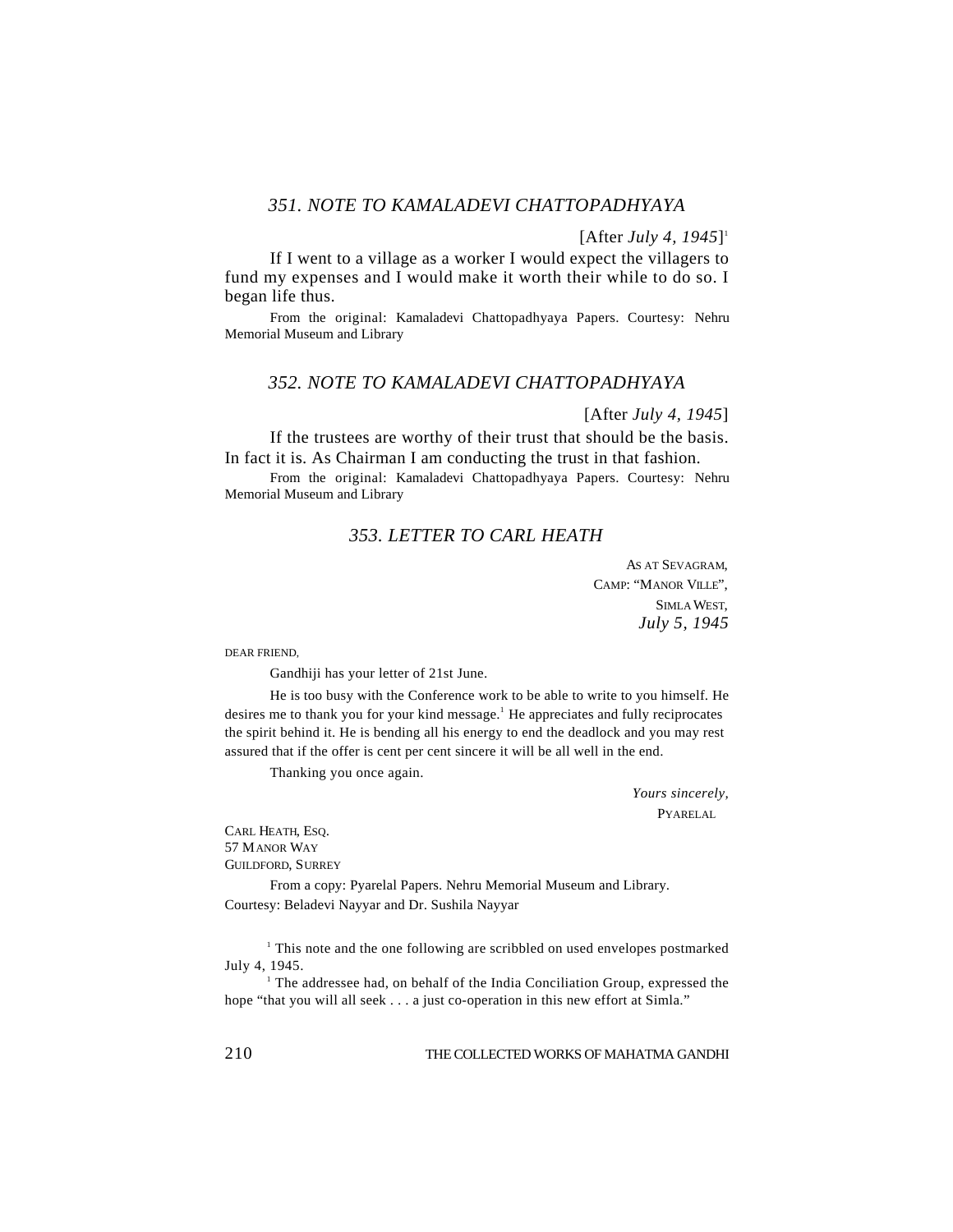### *351. NOTE TO KAMALADEVI CHATTOPADHYAYA*

[After *July 4, 1945*] 1

If I went to a village as a worker I would expect the villagers to fund my expenses and I would make it worth their while to do so. I began life thus.

From the original: Kamaladevi Chattopadhyaya Papers. Courtesy: Nehru Memorial Museum and Library

#### *352. NOTE TO KAMALADEVI CHATTOPADHYAYA*

[After *July 4, 1945*]

If the trustees are worthy of their trust that should be the basis. In fact it is. As Chairman I am conducting the trust in that fashion.

From the original: Kamaladevi Chattopadhyaya Papers. Courtesy: Nehru Memorial Museum and Library

### *353. LETTER TO CARL HEATH*

AS AT SEVAGRAM, CAMP: "MANOR VILLE", SIMLA WEST, *July 5, 1945*

DEAR FRIEND,

Gandhiji has your letter of 21st June.

He is too busy with the Conference work to be able to write to you himself. He desires me to thank you for your kind message.<sup>1</sup> He appreciates and fully reciprocates the spirit behind it. He is bending all his energy to end the deadlock and you may rest assured that if the offer is cent per cent sincere it will be all well in the end.

Thanking you once again.

*Yours sincerely,* PYARELAL

CARL HEATH, ESQ. 57 MANOR WAY GUILDFORD, SURREY

From a copy: Pyarelal Papers. Nehru Memorial Museum and Library. Courtesy: Beladevi Nayyar and Dr. Sushila Nayyar

<sup>1</sup> This note and the one following are scribbled on used envelopes postmarked July 4, 1945.

<sup>1</sup> The addressee had, on behalf of the India Conciliation Group, expressed the hope "that you will all seek . . . a just co-operation in this new effort at Simla."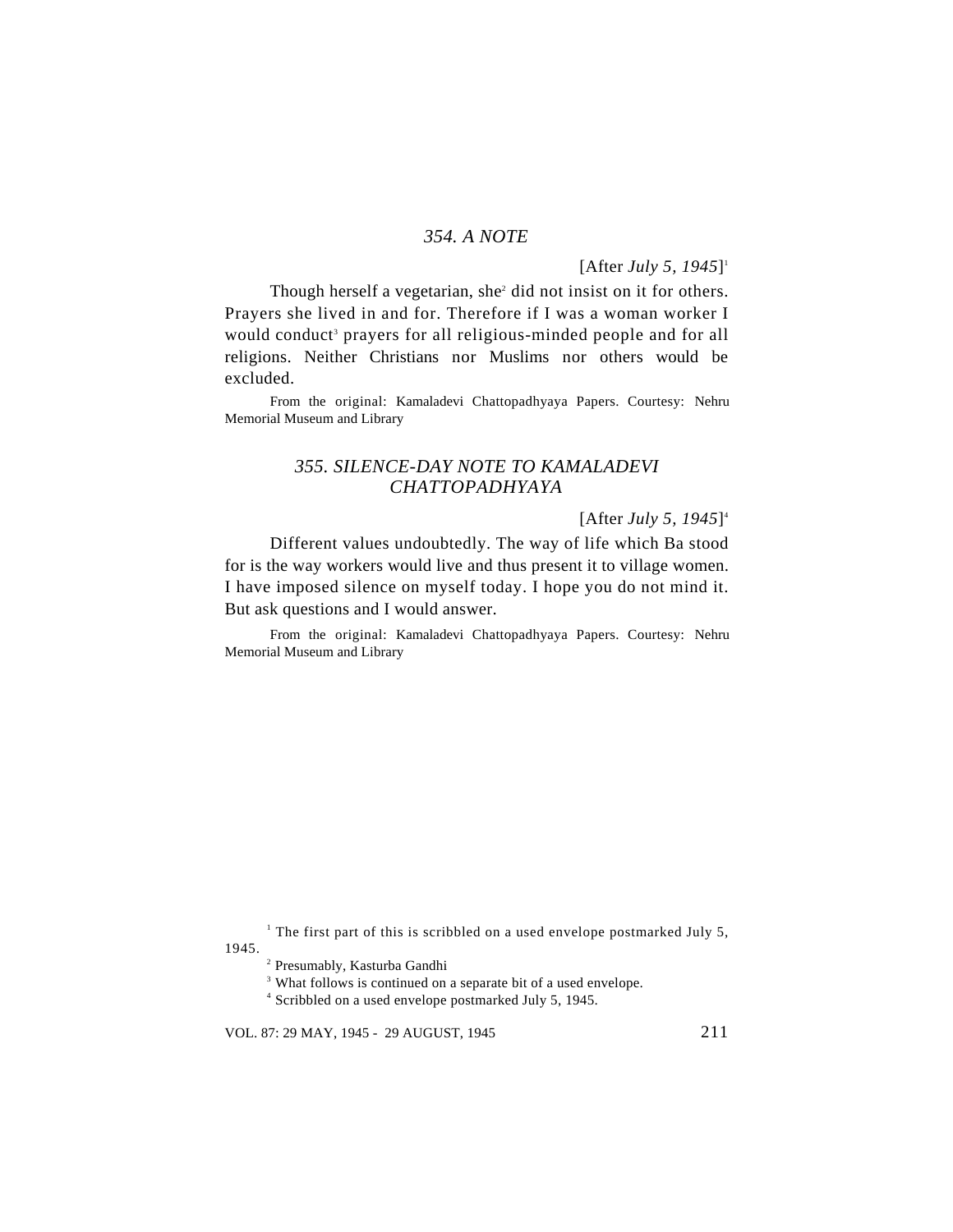### *354. A NOTE*

[After *July 5, 1945*] 1

Though herself a vegetarian, she<sup>2</sup> did not insist on it for others. Prayers she lived in and for. Therefore if I was a woman worker I would conduct<sup>3</sup> prayers for all religious-minded people and for all religions. Neither Christians nor Muslims nor others would be excluded.

From the original: Kamaladevi Chattopadhyaya Papers. Courtesy: Nehru Memorial Museum and Library

## *355. SILENCE-DAY NOTE TO KAMALADEVI CHATTOPADHYAYA*

[After *July 5, 1945*] 4

Different values undoubtedly. The way of life which Ba stood for is the way workers would live and thus present it to village women. I have imposed silence on myself today. I hope you do not mind it. But ask questions and I would answer.

From the original: Kamaladevi Chattopadhyaya Papers. Courtesy: Nehru Memorial Museum and Library

<sup>1</sup> The first part of this is scribbled on a used envelope postmarked July 5, 1945.

<sup>2</sup> Presumably, Kasturba Gandhi

<sup>&</sup>lt;sup>3</sup> What follows is continued on a separate bit of a used envelope.

<sup>4</sup> Scribbled on a used envelope postmarked July 5, 1945.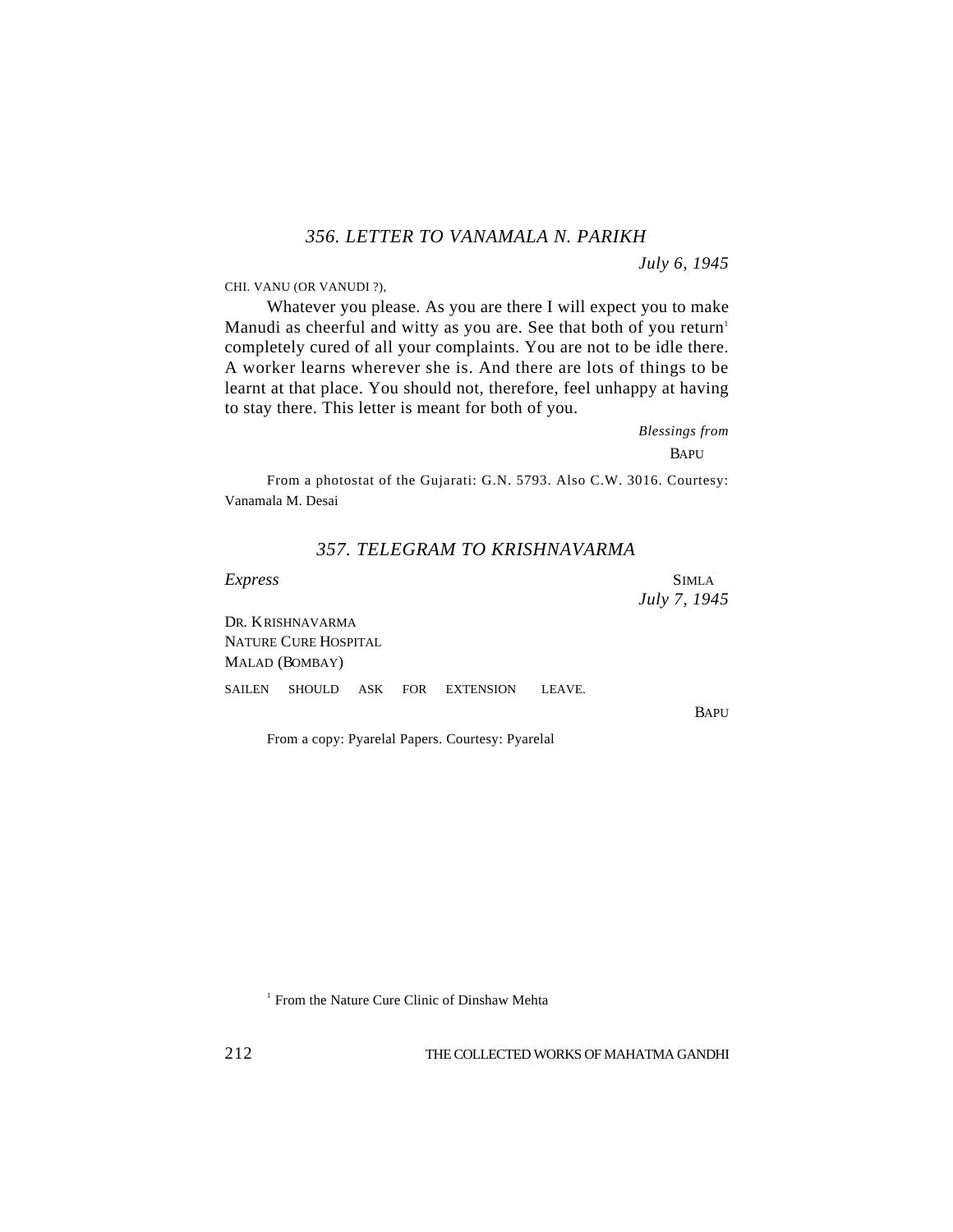# *356. LETTER TO VANAMALA N. PARIKH*

*July 6, 1945*

CHI. VANU (OR VANUDI ?),

Whatever you please. As you are there I will expect you to make Manudi as cheerful and witty as you are. See that both of you return<sup>1</sup> completely cured of all your complaints. You are not to be idle there. A worker learns wherever she is. And there are lots of things to be learnt at that place. You should not, therefore, feel unhappy at having to stay there. This letter is meant for both of you.

> *Blessings from* **BAPU**

From a photostat of the Gujarati: G.N. 5793. Also C.W. 3016. Courtesy: Vanamala M. Desai

# *357. TELEGRAM TO KRISHNAVARMA*

*Express* SIMLA

*July 7, 1945*

DR. KRISHNAVARMA NATURE CURE HOSPITAL MALAD (BOMBAY)

SAILEN SHOULD ASK FOR EXTENSION LEAVE.

BAPU

From a copy: Pyarelal Papers. Courtesy: Pyarelal

<sup>1</sup> From the Nature Cure Clinic of Dinshaw Mehta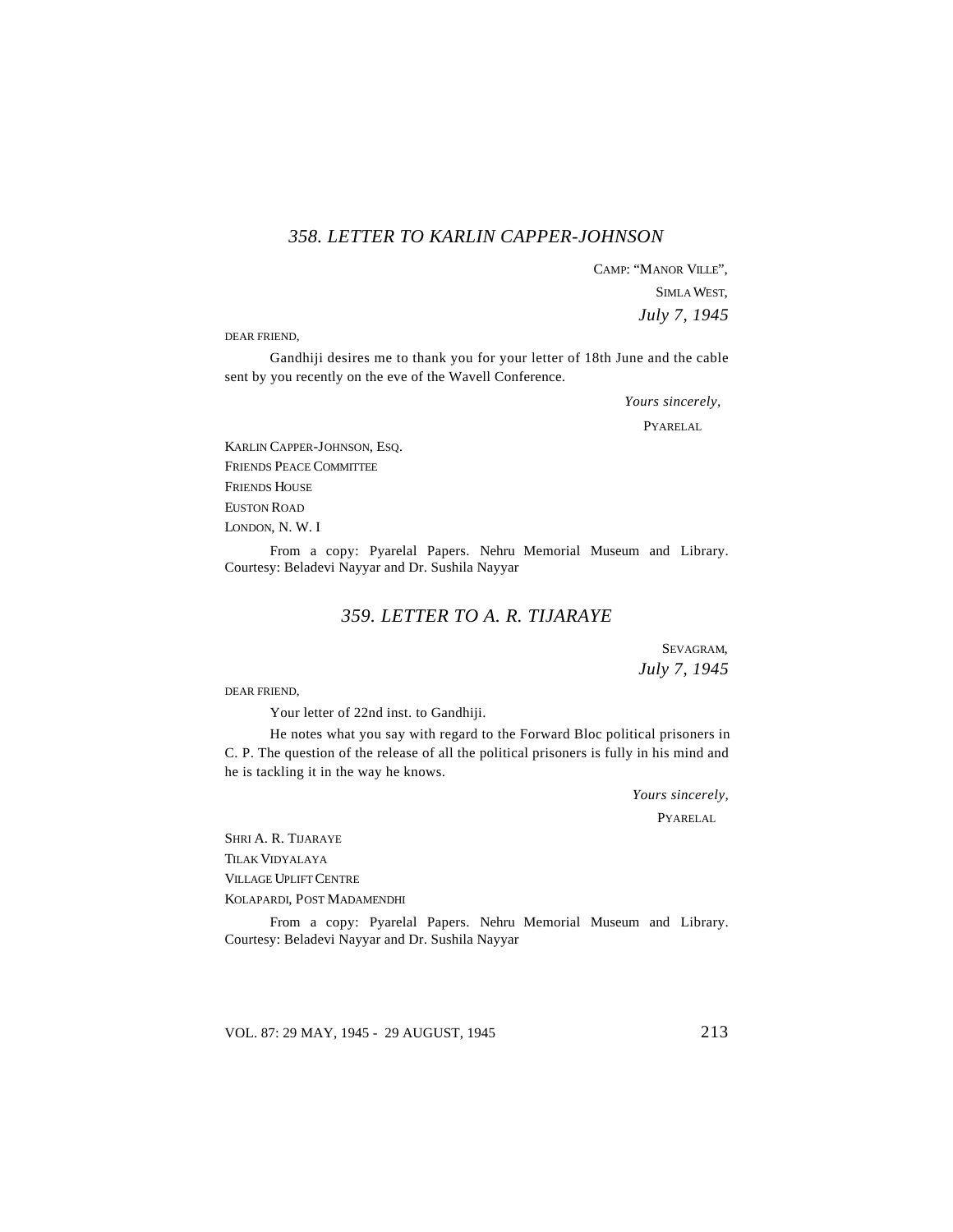## *358. LETTER TO KARLIN CAPPER-JOHNSON*

CAMP: "MANOR VILLE", SIMLA WEST, *July 7, 1945*

DEAR FRIEND,

Gandhiji desires me to thank you for your letter of 18th June and the cable sent by you recently on the eve of the Wavell Conference.

*Yours sincerely,*

PYARELAL

KARLIN CAPPER-JOHNSON, ESQ. FRIENDS PEACE COMMITTEE FRIENDS HOUSE EUSTON ROAD LONDON, N. W. I

From a copy: Pyarelal Papers. Nehru Memorial Museum and Library. Courtesy: Beladevi Nayyar and Dr. Sushila Nayyar

### *359. LETTER TO A. R. TIJARAYE*

SEVAGRAM, *July 7, 1945*

DEAR FRIEND,

Your letter of 22nd inst. to Gandhiji.

He notes what you say with regard to the Forward Bloc political prisoners in C. P. The question of the release of all the political prisoners is fully in his mind and he is tackling it in the way he knows.

*Yours sincerely,*

PYARELAL

SHRI A. R. TIJARAYE TILAK VIDYALAYA VILLAGE UPLIFT CENTRE KOLAPARDI, POST MADAMENDHI

From a copy: Pyarelal Papers. Nehru Memorial Museum and Library. Courtesy: Beladevi Nayyar and Dr. Sushila Nayyar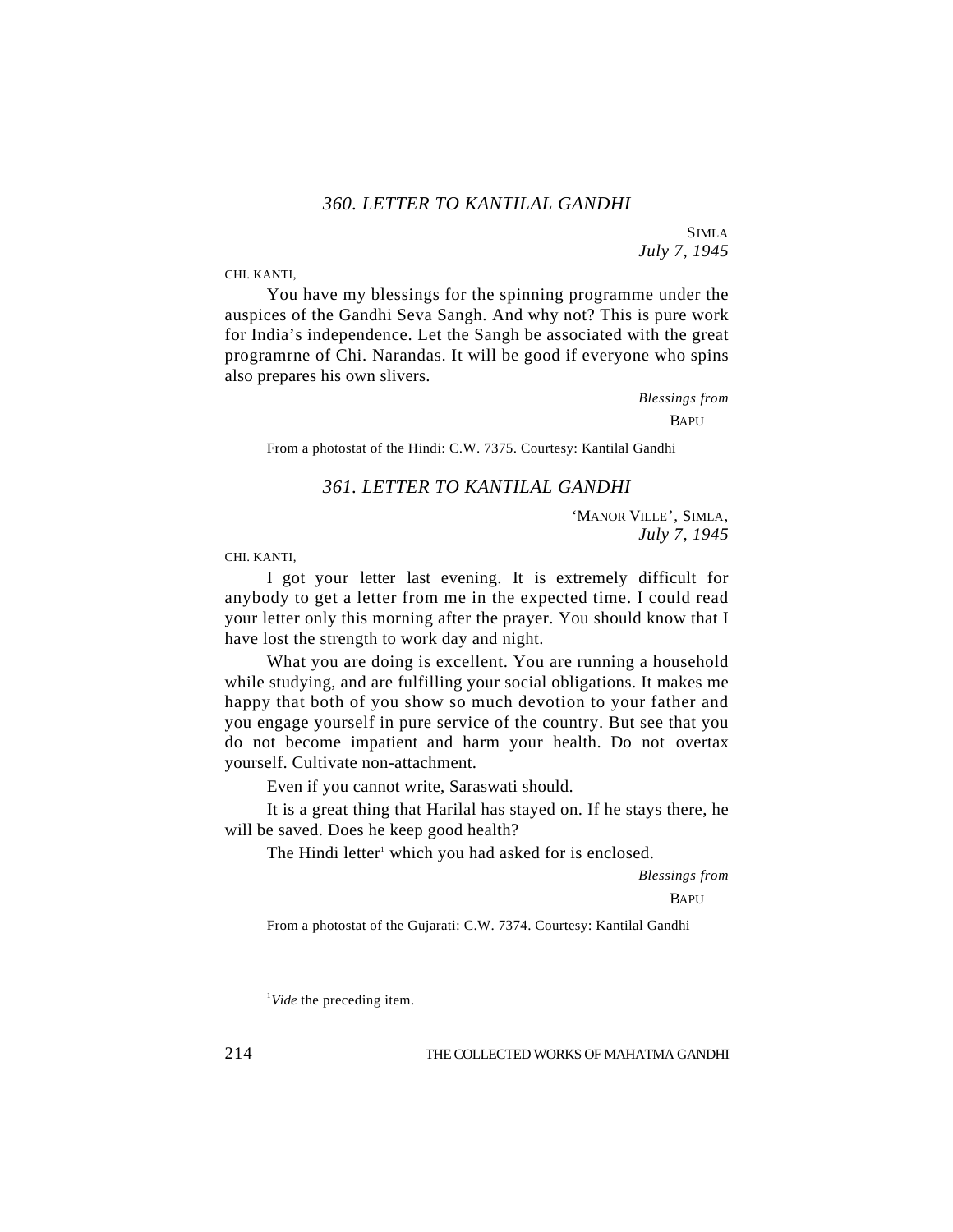## *360. LETTER TO KANTILAL GANDHI*

SIMLA *July 7, 1945*

CHI. KANTI,

You have my blessings for the spinning programme under the auspices of the Gandhi Seva Sangh. And why not? This is pure work for India's independence. Let the Sangh be associated with the great programrne of Chi. Narandas. It will be good if everyone who spins also prepares his own slivers.

*Blessings from*

**BAPU** 

From a photostat of the Hindi: C.W. 7375. Courtesy: Kantilal Gandhi

### *361. LETTER TO KANTILAL GANDHI*

'MANOR VILLE', SIMLA, *July 7, 1945*

CHI. KANTI,

I got your letter last evening. It is extremely difficult for anybody to get a letter from me in the expected time. I could read your letter only this morning after the prayer. You should know that I have lost the strength to work day and night.

What you are doing is excellent. You are running a household while studying, and are fulfilling your social obligations. It makes me happy that both of you show so much devotion to your father and you engage yourself in pure service of the country. But see that you do not become impatient and harm your health. Do not overtax yourself. Cultivate non-attachment.

Even if you cannot write, Saraswati should.

It is a great thing that Harilal has stayed on. If he stays there, he will be saved. Does he keep good health?

The Hindi letter<sup>1</sup> which you had asked for is enclosed.

*Blessings from*

**BAPU** 

From a photostat of the Gujarati: C.W. 7374. Courtesy: Kantilal Gandhi

<sup>1</sup>*Vide* the preceding item.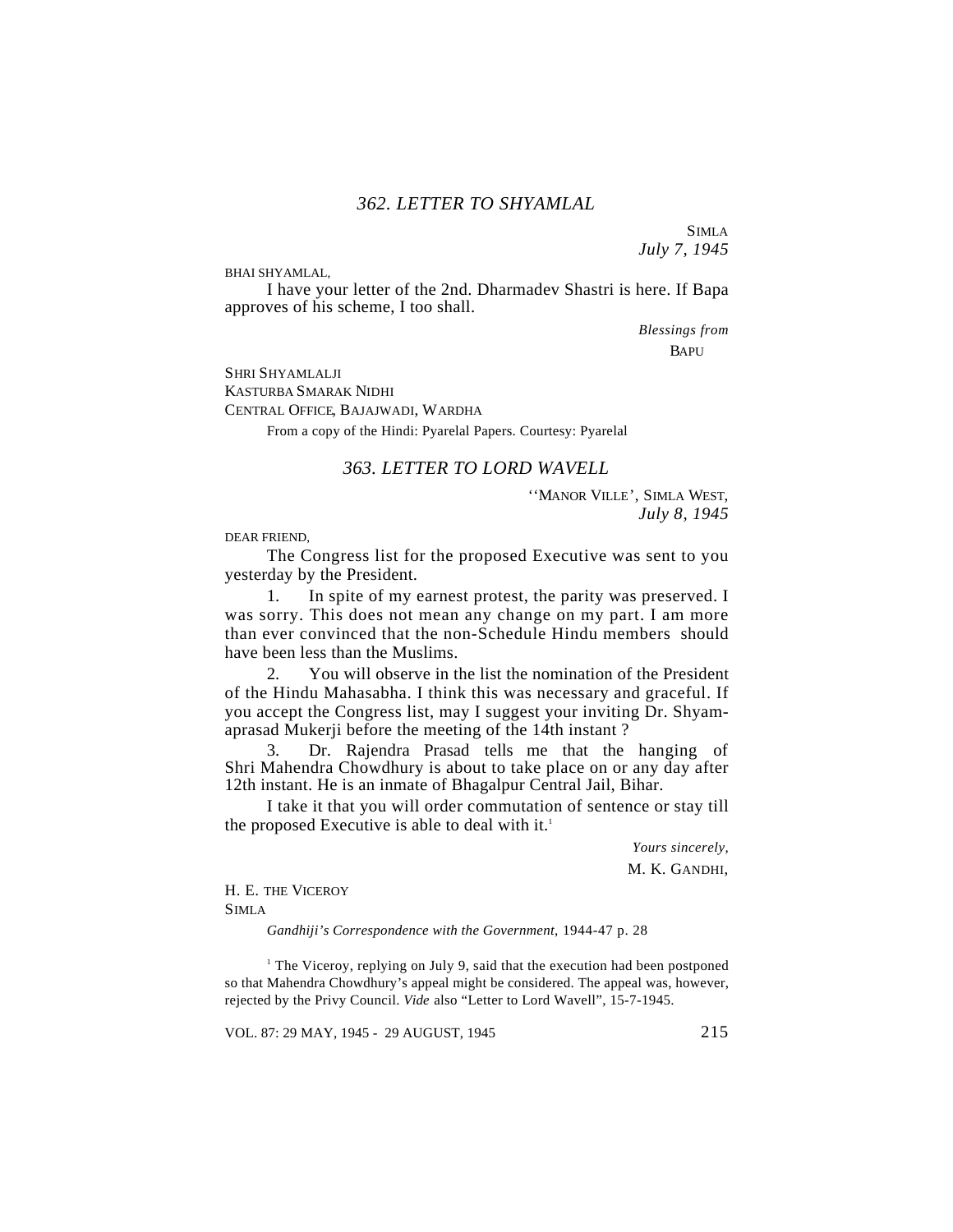### *362. LETTER TO SHYAMLAL*

SIMLA *July 7, 1945*

BHAI SHYAMLAL,

I have your letter of the 2nd. Dharmadev Shastri is here. If Bapa approves of his scheme, I too shall.

> *Blessings from* **BAPU**

SHRI SHYAMLALJI KASTURBA SMARAK NIDHI CENTRAL OFFICE, BAJAJWADI, WARDHA From a copy of the Hindi: Pyarelal Papers. Courtesy: Pyarelal

### *363. LETTER TO LORD WAVELL*

''MANOR VILLE', SIMLA WEST, *July 8, 1945*

DEAR FRIEND,

The Congress list for the proposed Executive was sent to you yesterday by the President.

1. In spite of my earnest protest, the parity was preserved. I was sorry. This does not mean any change on my part. I am more than ever convinced that the non-Schedule Hindu members should have been less than the Muslims.

2. You will observe in the list the nomination of the President of the Hindu Mahasabha. I think this was necessary and graceful. If you accept the Congress list, may I suggest your inviting Dr. Shyamaprasad Mukerji before the meeting of the 14th instant ?

3. Dr. Rajendra Prasad tells me that the hanging of Shri Mahendra Chowdhury is about to take place on or any day after 12th instant. He is an inmate of Bhagalpur Central Jail, Bihar.

I take it that you will order commutation of sentence or stay till the proposed Executive is able to deal with it.<sup>1</sup>

> *Yours sincerely,* M. K. GANDHI,

H. E. THE VICEROY SIMLA

*Gandhiji's Correspondence with the Government*, 1944-47 p. 28

<sup>1</sup> The Viceroy, replying on July 9, said that the execution had been postponed so that Mahendra Chowdhury's appeal might be considered. The appeal was, however, rejected by the Privy Council. *Vide* also "Letter to Lord Wavell", 15-7-1945.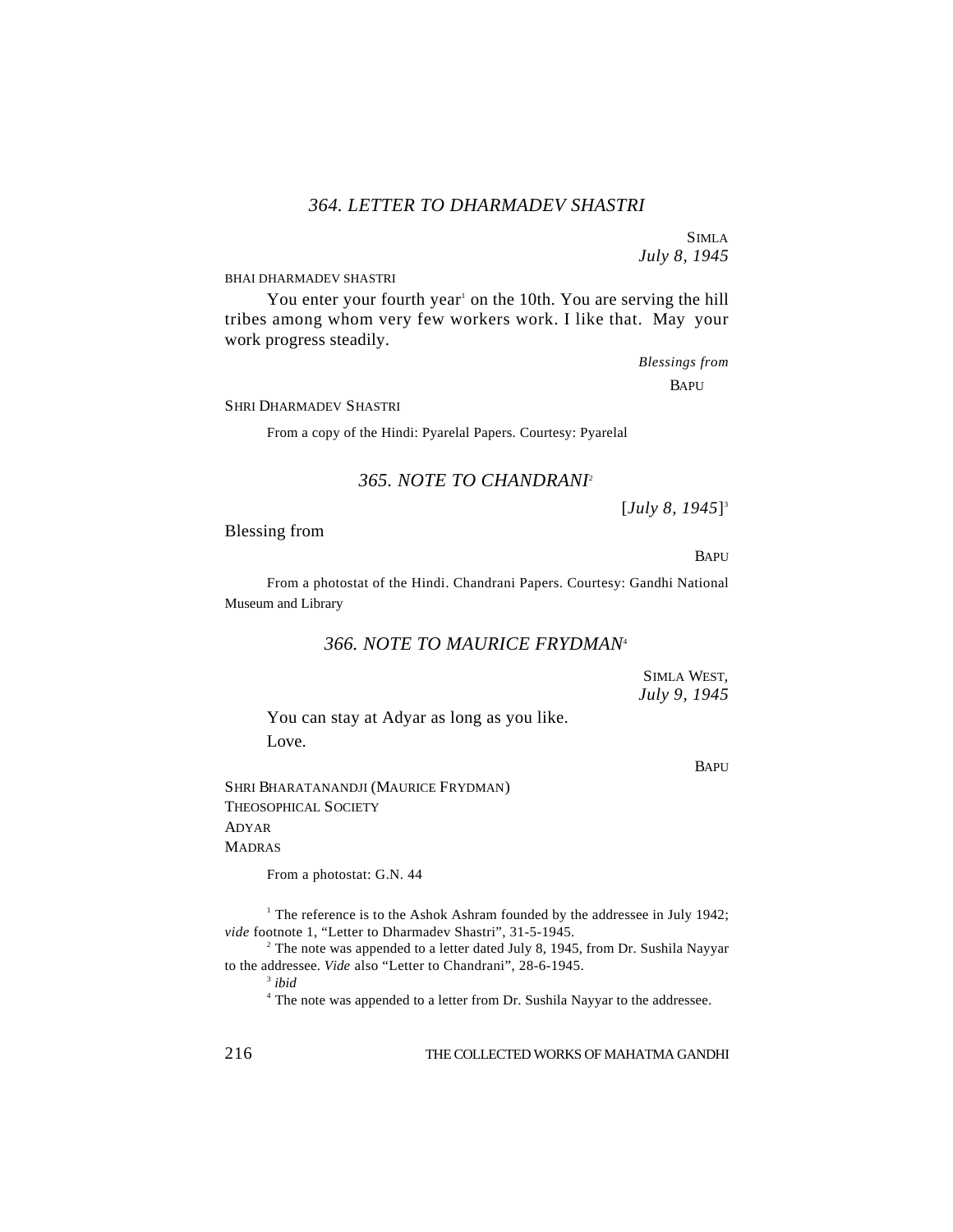## *364. LETTER TO DHARMADEV SHASTRI*

SIMLA *July 8, 1945*

BHAI DHARMADEV SHASTRI

You enter your fourth year<sup>1</sup> on the 10th. You are serving the hill tribes among whom very few workers work. I like that. May your work progress steadily.

> *Blessings from* **BAPU**

SHRI DHARMADEV SHASTRI

From a copy of the Hindi: Pyarelal Papers. Courtesy: Pyarelal

#### *365. NOTE TO CHANDRANI*<sup>2</sup>

[*July 8, 1945*] 3

Blessing from

**BAPU** 

From a photostat of the Hindi. Chandrani Papers. Courtesy: Gandhi National Museum and Library

### *366. NOTE TO MAURICE FRYDMAN*<sup>4</sup>

|                                            | <b>SIMLA WEST.</b> |
|--------------------------------------------|--------------------|
|                                            | July 9, 1945       |
| You can stay at Adyar as long as you like. |                    |
| Love.                                      |                    |

**BAPU** 

SHRI BHARATANANDJI (MAURICE FRYDMAN) THEOSOPHICAL SOCIETY ADYAR MADRAS

From a photostat: G.N. 44

<sup>1</sup> The reference is to the Ashok Ashram founded by the addressee in July 1942; *vide* footnote 1, "Letter to Dharmadev Shastri", 31-5-1945.

<sup>2</sup> The note was appended to a letter dated July 8, 1945, from Dr. Sushila Nayyar to the addressee. *Vide* also "Letter to Chandrani", 28-6-1945.

3 *ibid*

<sup>4</sup> The note was appended to a letter from Dr. Sushila Nayyar to the addressee.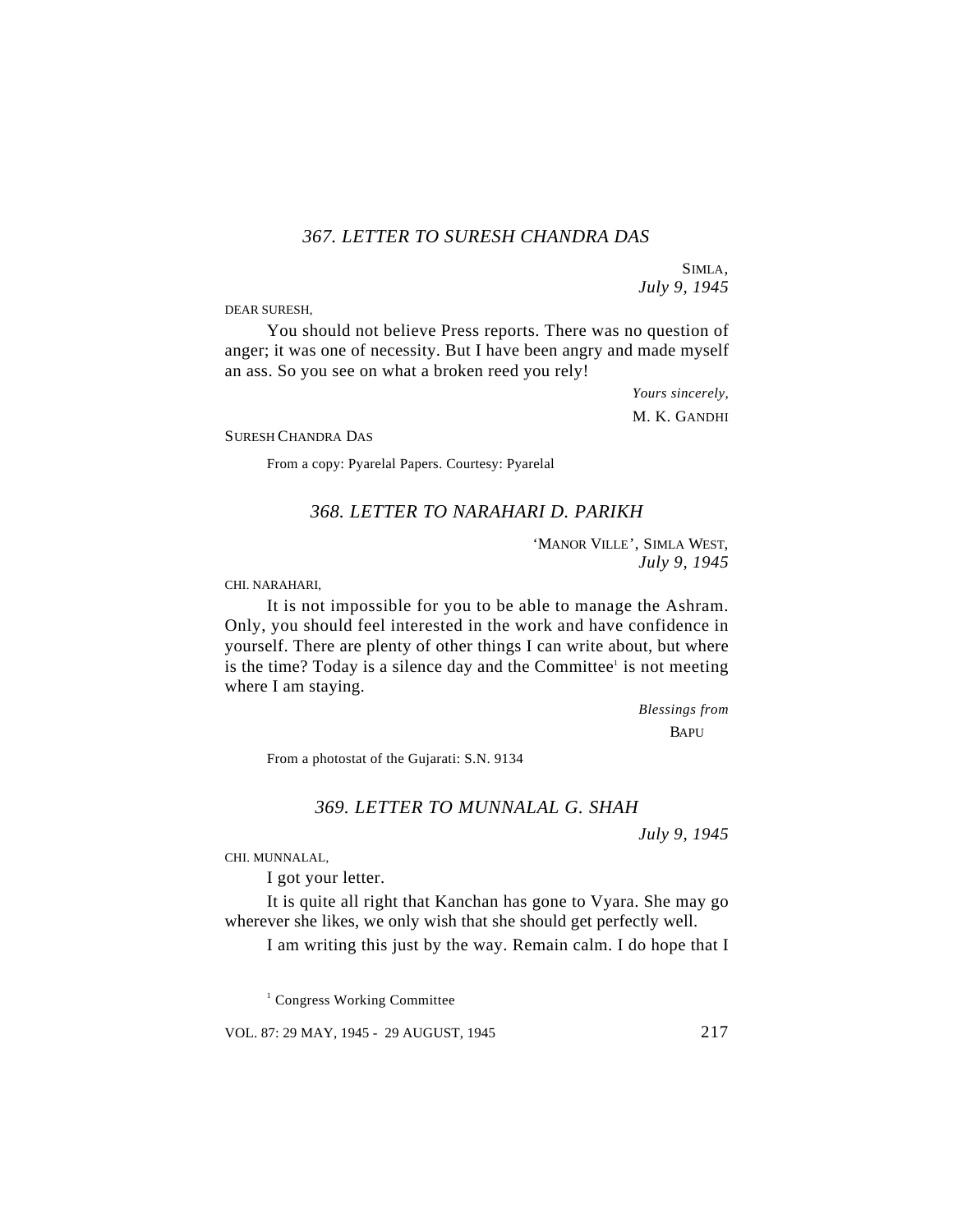## *367. LETTER TO SURESH CHANDRA DAS*

SIMLA, *July 9, 1945*

DEAR SURESH,

You should not believe Press reports. There was no question of anger; it was one of necessity. But I have been angry and made myself an ass. So you see on what a broken reed you rely!

> *Yours sincerely,* M. K. GANDHI

#### SURESH CHANDRA DAS

From a copy: Pyarelal Papers. Courtesy: Pyarelal

## *368. LETTER TO NARAHARI D. PARIKH*

'MANOR VILLE', SIMLA WEST, *July 9, 1945*

CHI. NARAHARI,

It is not impossible for you to be able to manage the Ashram. Only, you should feel interested in the work and have confidence in yourself. There are plenty of other things I can write about, but where is the time? Today is a silence day and the Committee' is not meeting where I am staying.

> *Blessings from* **BAPU**

From a photostat of the Gujarati: S.N. 9134

#### *369. LETTER TO MUNNALAL G. SHAH*

*July 9, 1945*

CHI. MUNNALAL,

I got your letter.

It is quite all right that Kanchan has gone to Vyara. She may go wherever she likes, we only wish that she should get perfectly well.

I am writing this just by the way. Remain calm. I do hope that I

<sup>1</sup> Congress Working Committee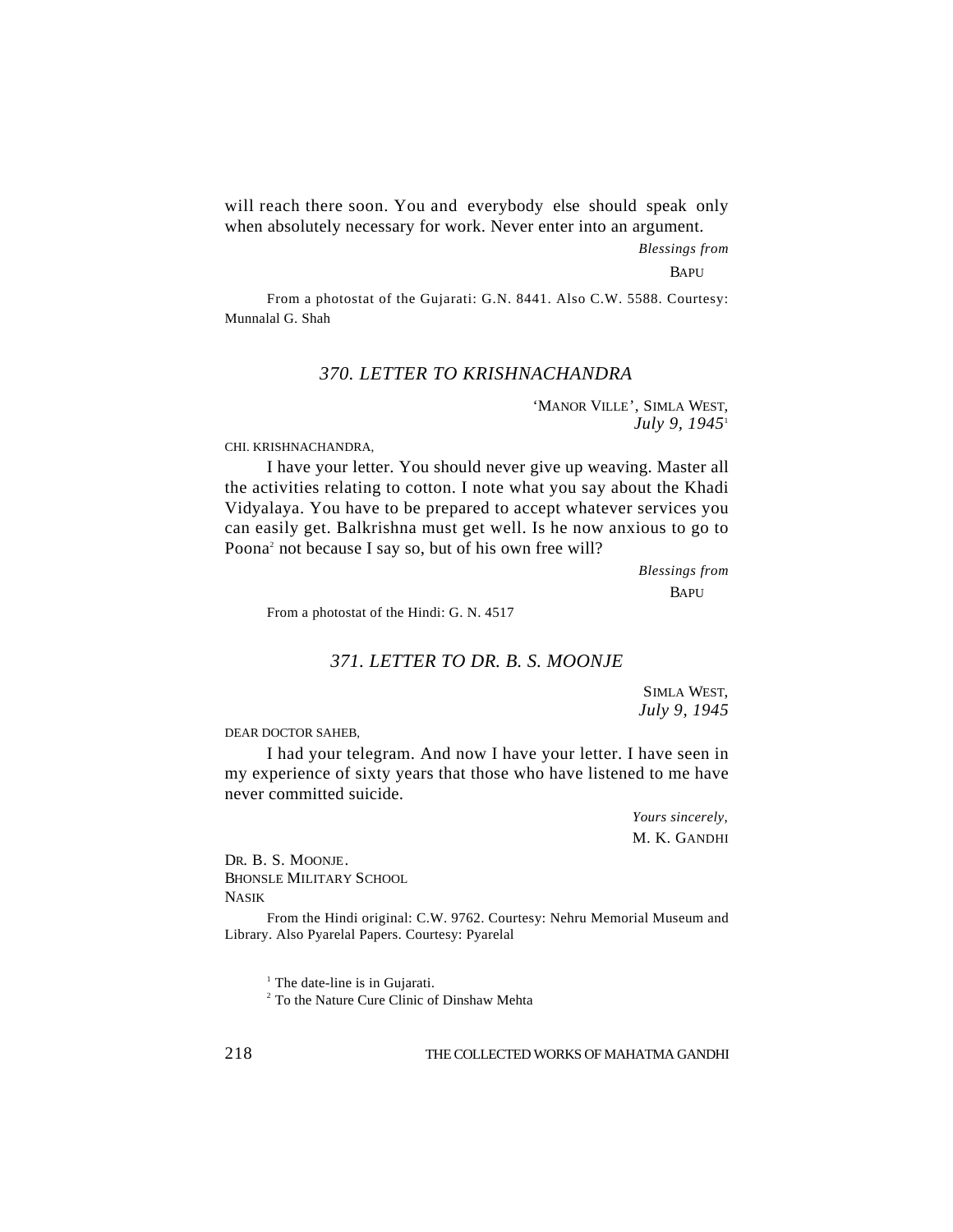will reach there soon. You and everybody else should speak only when absolutely necessary for work. Never enter into an argument.

*Blessings from*

**BAPU** 

From a photostat of the Gujarati: G.N. 8441. Also C.W. 5588. Courtesy: Munnalal G. Shah

## *370. LETTER TO KRISHNACHANDRA*

'MANOR VILLE', SIMLA WEST, *July 9, 1945*<sup>1</sup>

CHI. KRISHNACHANDRA,

I have your letter. You should never give up weaving. Master all the activities relating to cotton. I note what you say about the Khadi Vidyalaya. You have to be prepared to accept whatever services you can easily get. Balkrishna must get well. Is he now anxious to go to Poona<sup>2</sup> not because I say so, but of his own free will?

> *Blessings from* **BAPU**

From a photostat of the Hindi: G. N. 4517

#### *371. LETTER TO DR. B. S. MOONJE*

SIMLA WEST, *July 9, 1945*

DEAR DOCTOR SAHEB,

I had your telegram. And now I have your letter. I have seen in my experience of sixty years that those who have listened to me have never committed suicide.

> *Yours sincerely*, M. K. GANDHI

DR. B. S. MOONJE. BHONSLE MILITARY SCHOOL NASIK

From the Hindi original: C.W. 9762. Courtesy: Nehru Memorial Museum and Library. Also Pyarelal Papers. Courtesy: Pyarelal

<sup>1</sup> The date-line is in Gujarati.

<sup>2</sup> To the Nature Cure Clinic of Dinshaw Mehta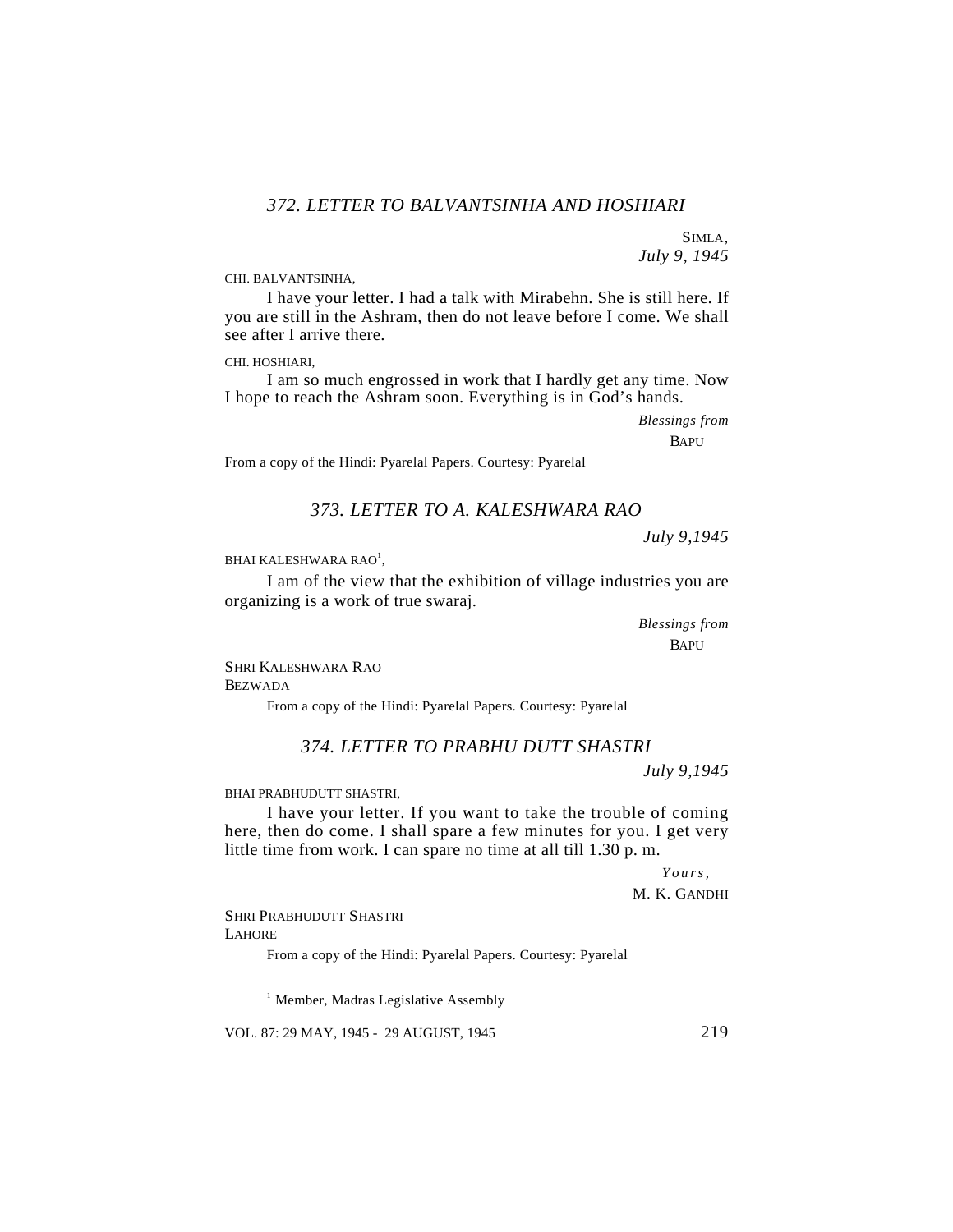SIMLA, *July 9, 1945*

CHI. BALVANTSINHA,

I have your letter. I had a talk with Mirabehn. She is still here. If you are still in the Ashram, then do not leave before I come. We shall see after I arrive there.

CHI. HOSHIARI,

I am so much engrossed in work that I hardly get any time. Now I hope to reach the Ashram soon. Everything is in God's hands.

*Blessings from*

**BAPU** 

From a copy of the Hindi: Pyarelal Papers. Courtesy: Pyarelal

## *373. LETTER TO A. KALESHWARA RAO*

*July 9,1945*

 $\rm BHAI$  KALESHWARA RAO $^{\rm l}$ ,

I am of the view that the exhibition of village industries you are organizing is a work of true swaraj.

> *Blessings from* **BAPU**

SHRI KALESHWARA RAO BEZWADA

From a copy of the Hindi: Pyarelal Papers. Courtesy: Pyarelal

## *374. LETTER TO PRABHU DUTT SHASTRI*

*July 9,1945*

#### BHAI PRABHUDUTT SHASTRI,

I have your letter. If you want to take the trouble of coming here, then do come. I shall spare a few minutes for you. I get very little time from work. I can spare no time at all till 1.30 p. m.

> *Yours,*  M. K. GANDHI

#### SHRI PRABHUDUTT SHASTRI LAHORE

From a copy of the Hindi: Pyarelal Papers. Courtesy: Pyarelal

<sup>1</sup> Member, Madras Legislative Assembly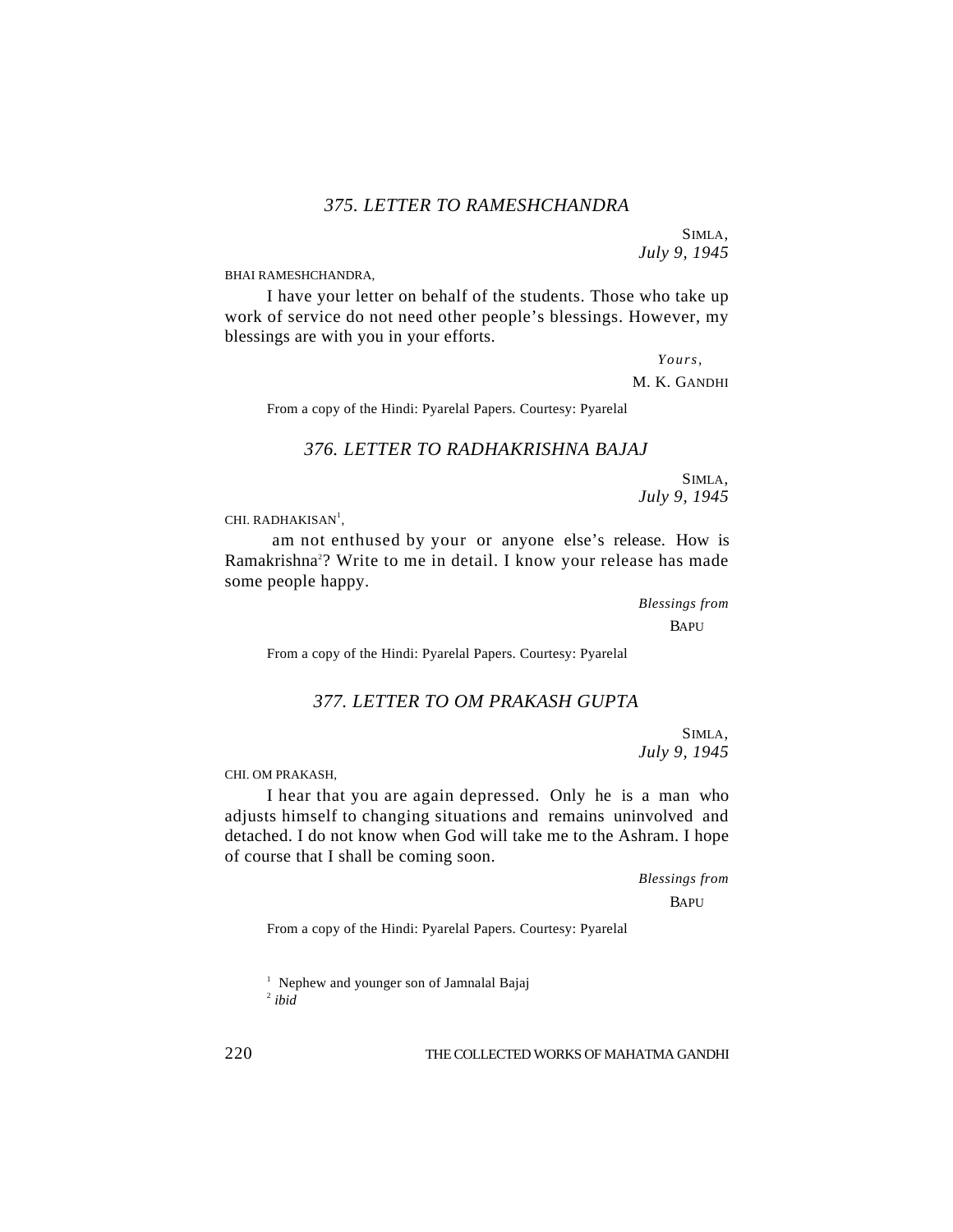## *375. LETTER TO RAMESHCHANDRA*

SIMLA, *July 9, 1945*

BHAI RAMESHCHANDRA,

I have your letter on behalf of the students. Those who take up work of service do not need other people's blessings. However, my blessings are with you in your efforts.

 *Yours,* 

M. K. GANDHI

From a copy of the Hindi: Pyarelal Papers. Courtesy: Pyarelal

#### *376. LETTER TO RADHAKRISHNA BAJAJ*

SIMLA, *July 9, 1945*

CHI. RADHAKISAN $^{\rm l}$ ,

 am not enthused by your or anyone else's release. How is Ramakrishna<sup>2</sup>? Write to me in detail. I know your release has made some people happy.

> *Blessings from* **BAPU**

From a copy of the Hindi: Pyarelal Papers. Courtesy: Pyarelal

## *377. LETTER TO OM PRAKASH GUPTA*

SIMLA, *July 9, 1945*

CHI. OM PRAKASH,

I hear that you are again depressed. Only he is a man who adjusts himself to changing situations and remains uninvolved and detached. I do not know when God will take me to the Ashram. I hope of course that I shall be coming soon.

*Blessings from*

**BAPU** 

From a copy of the Hindi: Pyarelal Papers. Courtesy: Pyarelal

<sup>1</sup> Nephew and younger son of Jamnalal Bajaj 2 *ibid*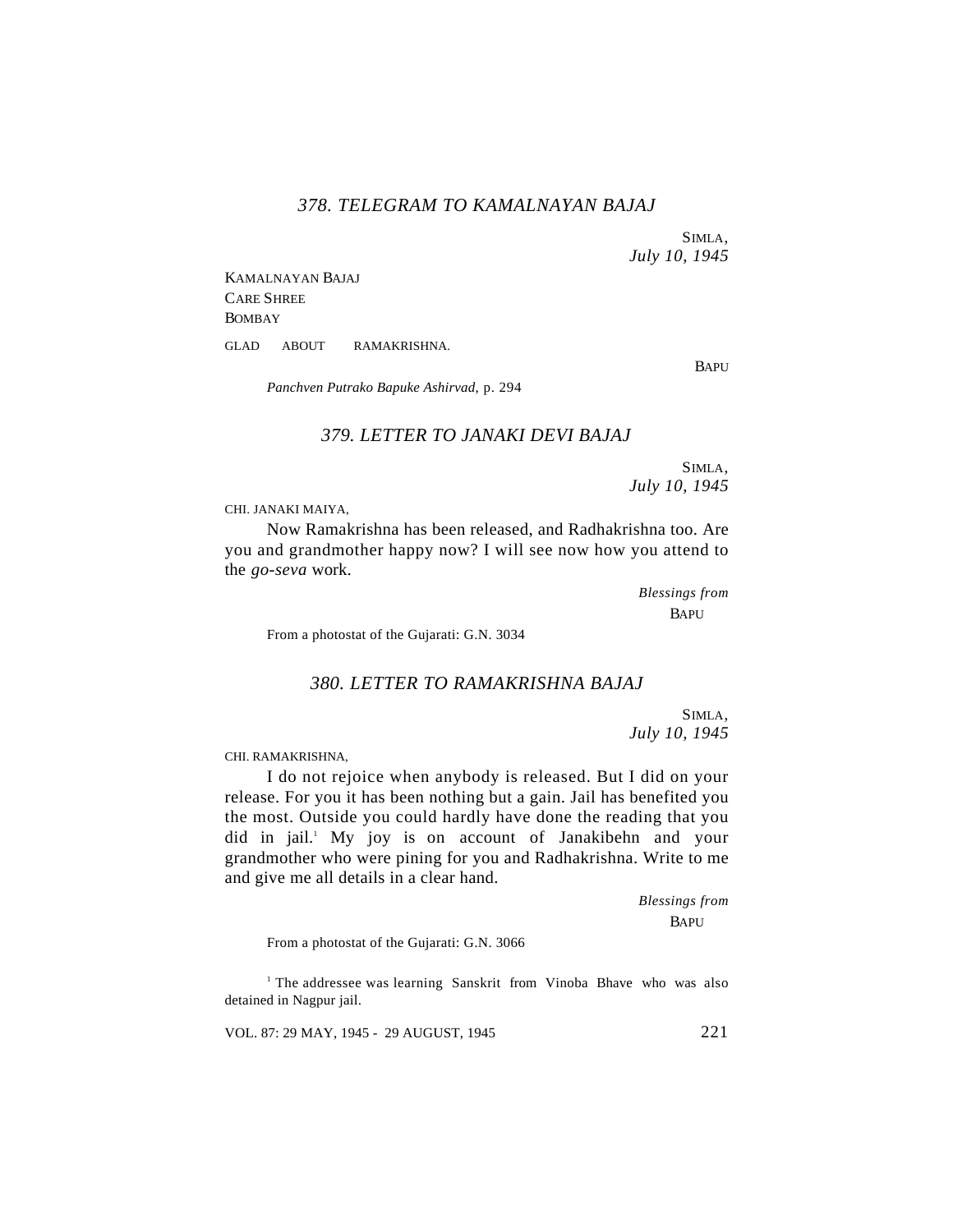## *378. TELEGRAM TO KAMALNAYAN BAJAJ*

SIMLA, *July 10, 1945*

KAMALNAYAN BAJAJ CARE SHREE **BOMBAY** 

GLAD ABOUT RAMAKRISHNA.

BAPU

*Panchven Putrako Bapuke Ashirvad*, p. 294

#### *379. LETTER TO JANAKI DEVI BAJAJ*

SIMLA, *July 10, 1945*

CHI. JANAKI MAIYA,

Now Ramakrishna has been released, and Radhakrishna too. Are you and grandmother happy now? I will see now how you attend to the *go-seva* work.

> *Blessings from* **BAPU**

From a photostat of the Gujarati: G.N. 3034

### *380. LETTER TO RAMAKRISHNA BAJAJ*

SIMLA, *July 10, 1945*

CHI. RAMAKRISHNA,

I do not rejoice when anybody is released. But I did on your release. For you it has been nothing but a gain. Jail has benefited you the most. Outside you could hardly have done the reading that you did in jail.<sup>1</sup> My joy is on account of Janakibehn and your grandmother who were pining for you and Radhakrishna. Write to me and give me all details in a clear hand.

> *Blessings from* **BAPU**

From a photostat of the Gujarati: G.N. 3066

<sup>1</sup> The addressee was learning Sanskrit from Vinoba Bhave who was also detained in Nagpur jail.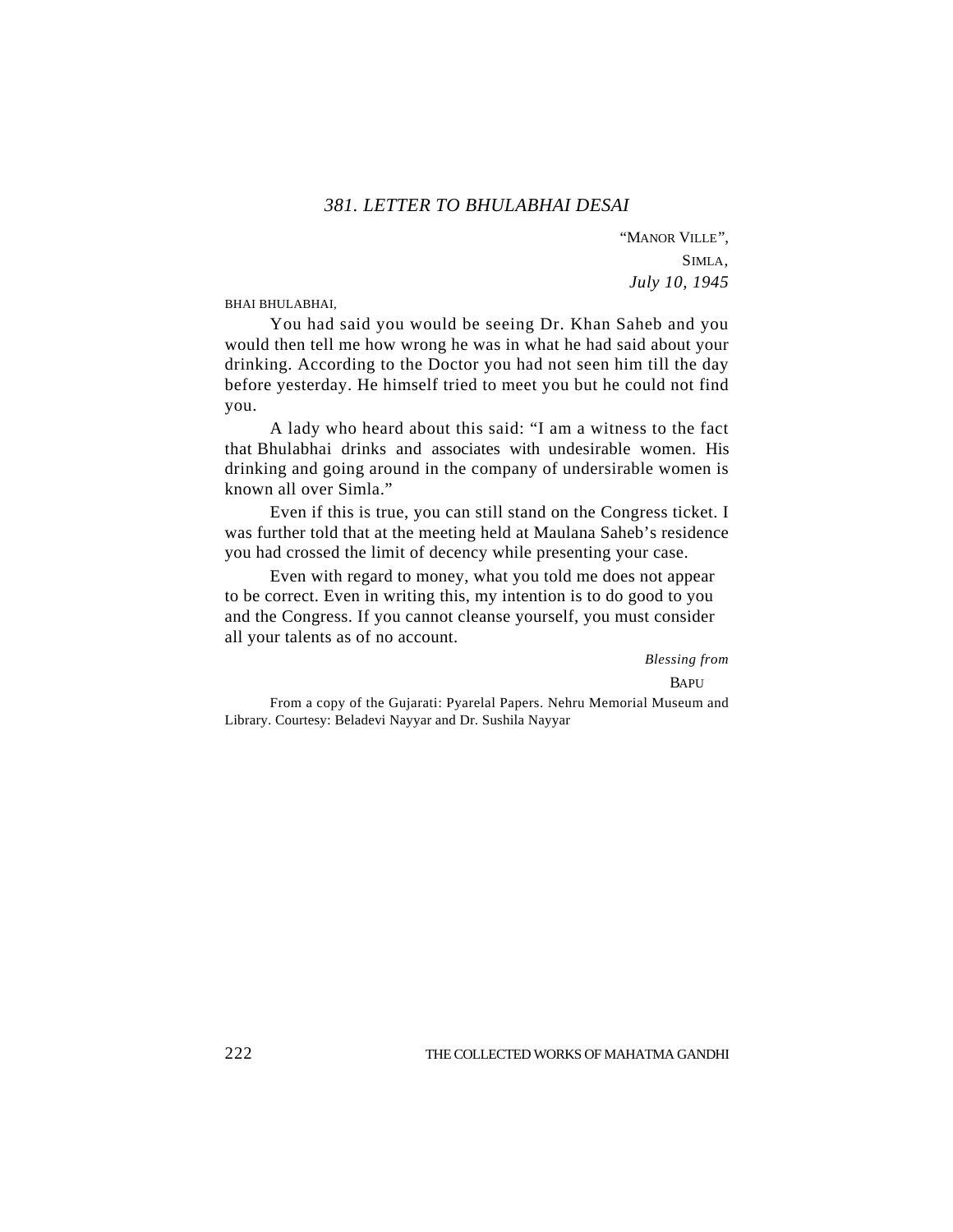## *381. LETTER TO BHULABHAI DESAI*

"MANOR VILLE", SIMLA, *July 10, 1945*

BHAI BHULABHAI,

You had said you would be seeing Dr. Khan Saheb and you would then tell me how wrong he was in what he had said about your drinking. According to the Doctor you had not seen him till the day before yesterday. He himself tried to meet you but he could not find you.

A lady who heard about this said: "I am a witness to the fact that Bhulabhai drinks and associates with undesirable women. His drinking and going around in the company of undersirable women is known all over Simla."

Even if this is true, you can still stand on the Congress ticket. I was further told that at the meeting held at Maulana Saheb's residence you had crossed the limit of decency while presenting your case.

Even with regard to money, what you told me does not appear to be correct. Even in writing this, my intention is to do good to you and the Congress. If you cannot cleanse yourself, you must consider all your talents as of no account.

*Blessing from*

**BAPU** 

From a copy of the Gujarati: Pyarelal Papers. Nehru Memorial Museum and Library. Courtesy: Beladevi Nayyar and Dr. Sushila Nayyar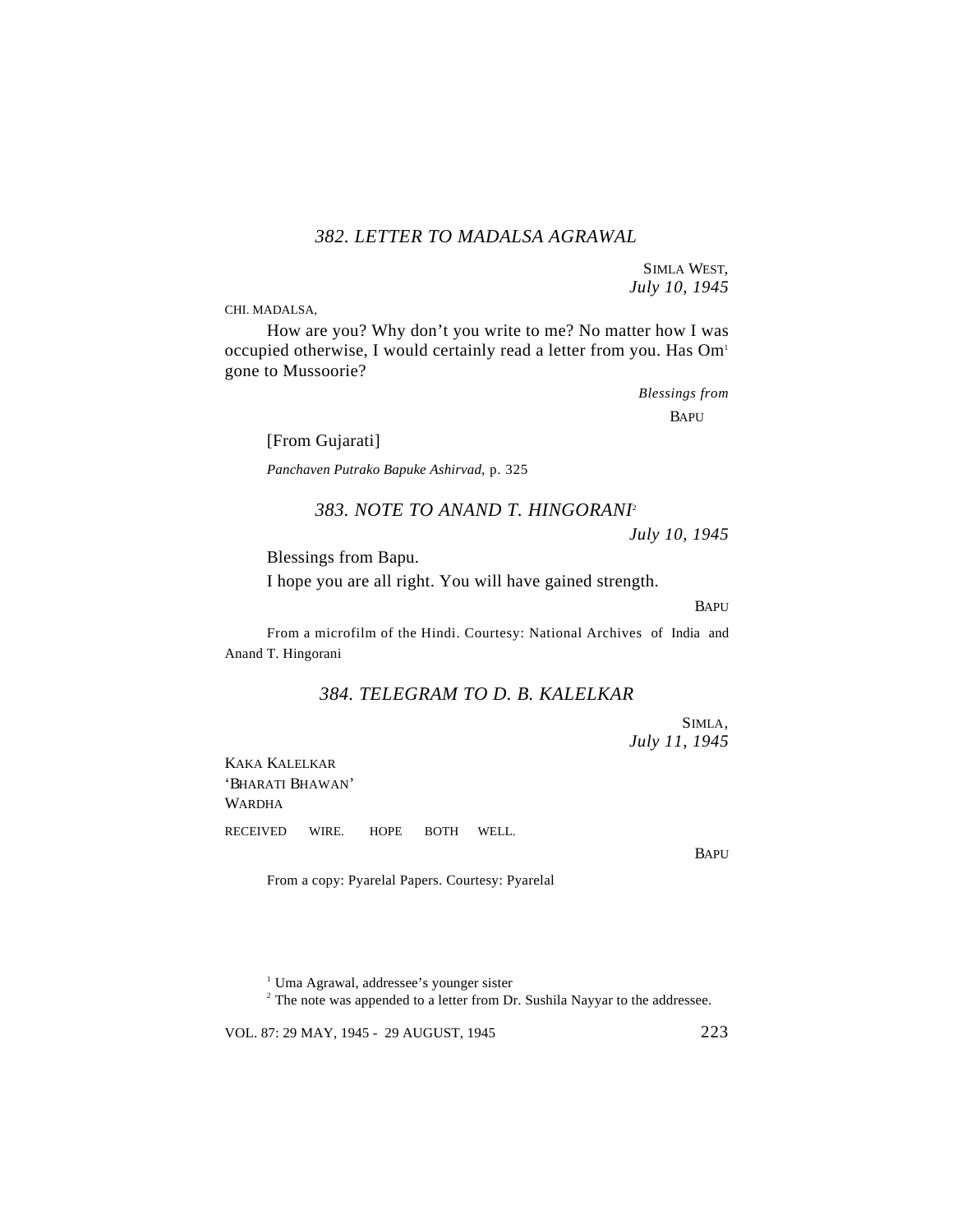# *382. LETTER TO MADALSA AGRAWAL*

SIMLA WEST, *July 10, 1945*

CHI. MADALSA,

How are you? Why don't you write to me? No matter how I was occupied otherwise, I would certainly read a letter from you. Has Om<sup>1</sup> gone to Mussoorie?

> *Blessings from* **BAPU**

[From Gujarati]

*Panchaven Putrako Bapuke Ashirvad*, p. 325

*383. NOTE TO ANAND T. HINGORANI*<sup>2</sup>

*July 10, 1945*

Blessings from Bapu.

I hope you are all right. You will have gained strength.

**BAPU** 

From a microfilm of the Hindi. Courtesy: National Archives of India and Anand T. Hingorani

## *384. TELEGRAM TO D. B. KALELKAR*

SIMLA, *July 11, 1945*

KAKA KALELKAR 'BHARATI BHAWAN' WARDHA RECEIVED WIRE. HOPE BOTH WELL.

BAPU

From a copy: Pyarelal Papers. Courtesy: Pyarelal

 $2$  The note was appended to a letter from Dr. Sushila Nayyar to the addressee.

<sup>&</sup>lt;sup>1</sup> Uma Agrawal, addressee's younger sister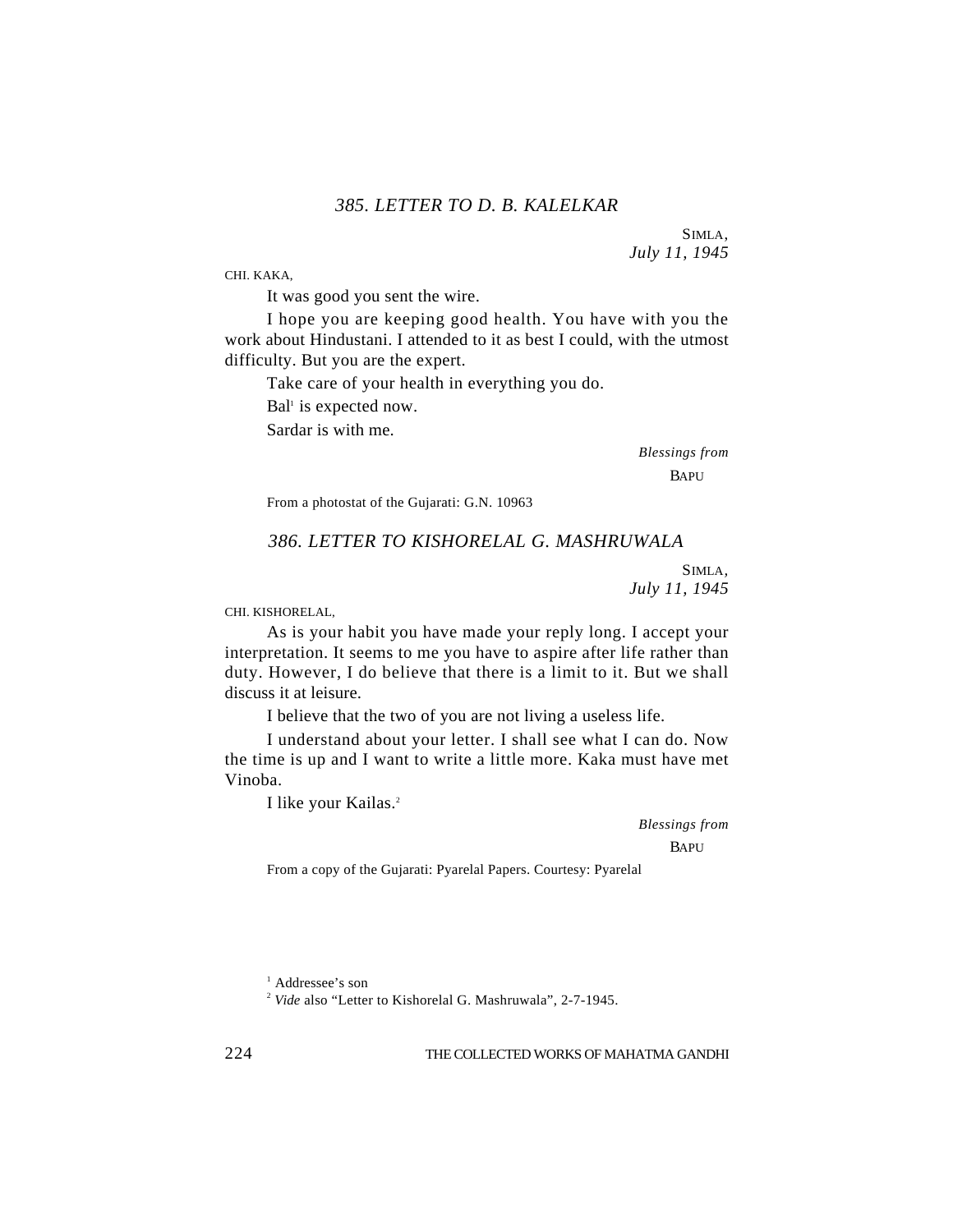## *385. LETTER TO D. B. KALELKAR*

SIMLA, *July 11, 1945*

CHI. KAKA,

It was good you sent the wire.

I hope you are keeping good health. You have with you the work about Hindustani. I attended to it as best I could, with the utmost difficulty. But you are the expert.

Take care of your health in everything you do.

Bal<sup>1</sup> is expected now.

Sardar is with me.

*Blessings from* **BAPU** 

From a photostat of the Gujarati: G.N. 10963

## *386. LETTER TO KISHORELAL G. MASHRUWALA*

SIMLA*, July 11, 1945*

CHI. KISHORELAL,

As is your habit you have made your reply long. I accept your interpretation. It seems to me you have to aspire after life rather than duty. However, I do believe that there is a limit to it. But we shall discuss it at leisure.

I believe that the two of you are not living a useless life.

I understand about your letter. I shall see what I can do. Now the time is up and I want to write a little more. Kaka must have met Vinoba.

I like your Kailas.<sup>2</sup>

*Blessings from*

**BAPU** 

From a copy of the Gujarati: Pyarelal Papers. Courtesy: Pyarelal

1 Addressee's son

<sup>2</sup> *Vide* also "Letter to Kishorelal G. Mashruwala", 2-7-1945.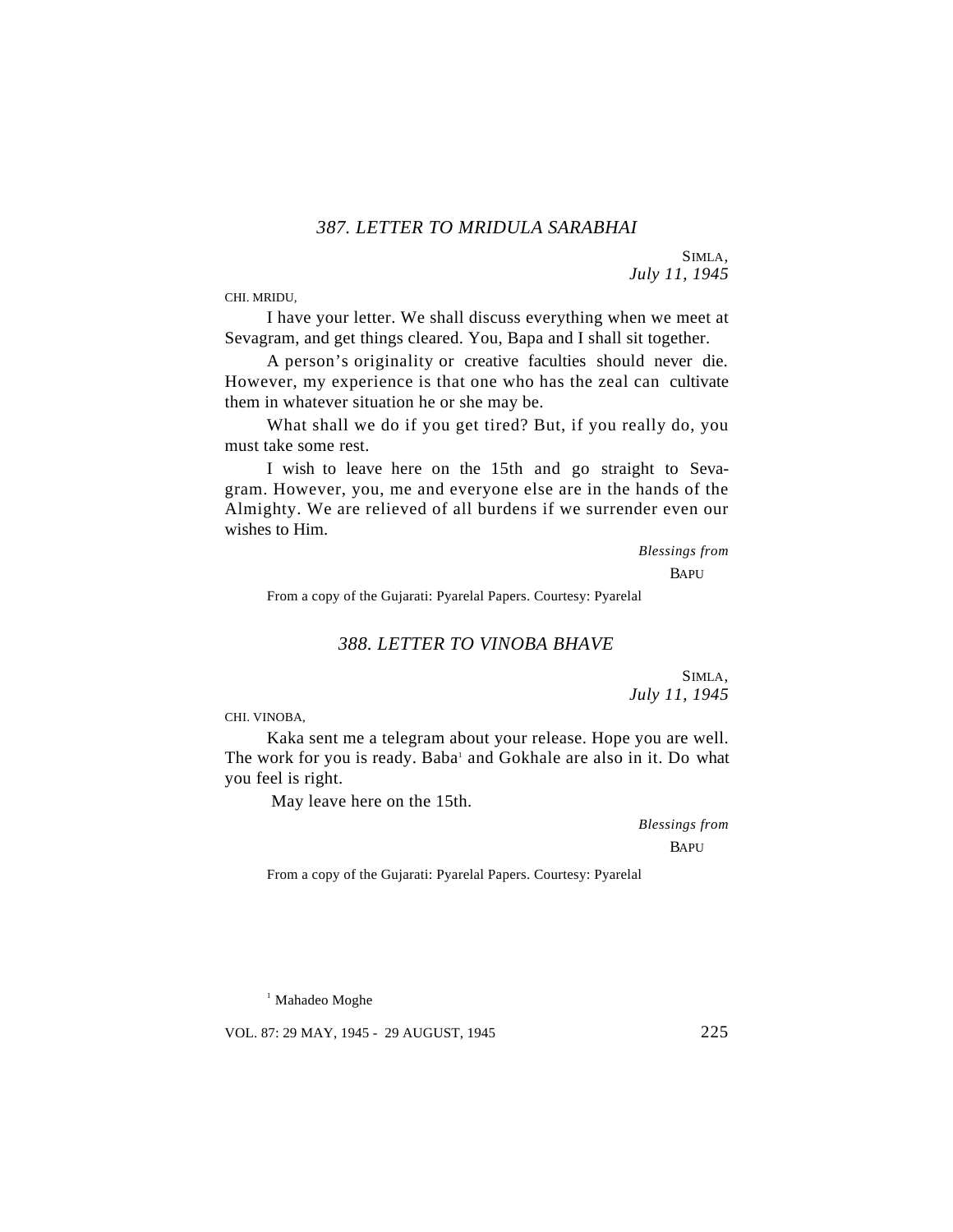# *387. LETTER TO MRIDULA SARABHAI*

SIMLA, *July 11, 1945*

CHI. MRIDU,

I have your letter. We shall discuss everything when we meet at Sevagram, and get things cleared. You, Bapa and I shall sit together.

A person's originality or creative faculties should never die. However, my experience is that one who has the zeal can cultivate them in whatever situation he or she may be.

What shall we do if you get tired? But, if you really do, you must take some rest.

I wish to leave here on the 15th and go straight to Sevagram. However, you, me and everyone else are in the hands of the Almighty. We are relieved of all burdens if we surrender even our wishes to Him.

*Blessings from*

**BAPU** 

From a copy of the Gujarati: Pyarelal Papers. Courtesy: Pyarelal

#### *388. LETTER TO VINOBA BHAVE*

SIMLA, *July 11, 1945*

CHI. VINOBA,

Kaka sent me a telegram about your release. Hope you are well. The work for you is ready. Baba<sup>1</sup> and Gokhale are also in it. Do what you feel is right.

May leave here on the 15th.

*Blessings from*

**BAPU** 

From a copy of the Gujarati: Pyarelal Papers. Courtesy: Pyarelal

<sup>1</sup> Mahadeo Moghe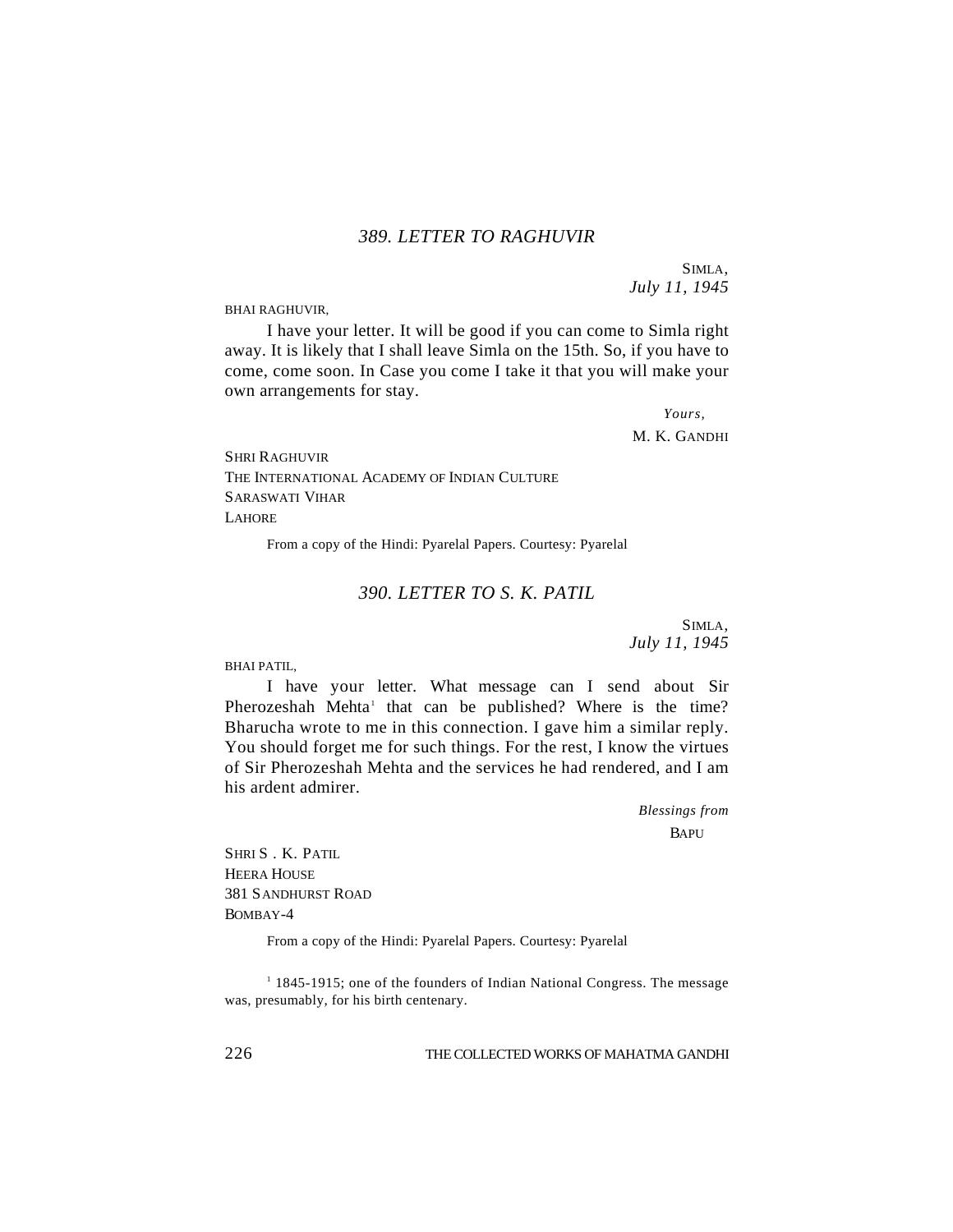## *389. LETTER TO RAGHUVIR*

SIMLA, *July 11, 1945*

BHAI RAGHUVIR,

I have your letter. It will be good if you can come to Simla right away. It is likely that I shall leave Simla on the 15th. So, if you have to come, come soon. In Case you come I take it that you will make your own arrangements for stay.

> *Yours,*  M. K. GANDHI

SHRI RAGHUVIR THE INTERNATIONAL ACADEMY OF INDIAN CULTURE SARASWATI VIHAR LAHORE

From a copy of the Hindi: Pyarelal Papers. Courtesy: Pyarelal

## *390. LETTER TO S. K. PATIL*

SIMLA, *July 11, 1945*

BHAI PATIL,

I have your letter. What message can I send about Sir Pherozeshah Mehta<sup>1</sup> that can be published? Where is the time? Bharucha wrote to me in this connection. I gave him a similar reply. You should forget me for such things. For the rest, I know the virtues of Sir Pherozeshah Mehta and the services he had rendered, and I am his ardent admirer.

> *Blessings from* **BAPU**

SHRI S . K. PATIL HEERA HOUSE 381 SANDHURST ROAD BOMBAY-4

From a copy of the Hindi: Pyarelal Papers. Courtesy: Pyarelal

<sup>1</sup> 1845-1915; one of the founders of Indian National Congress. The message was, presumably, for his birth centenary.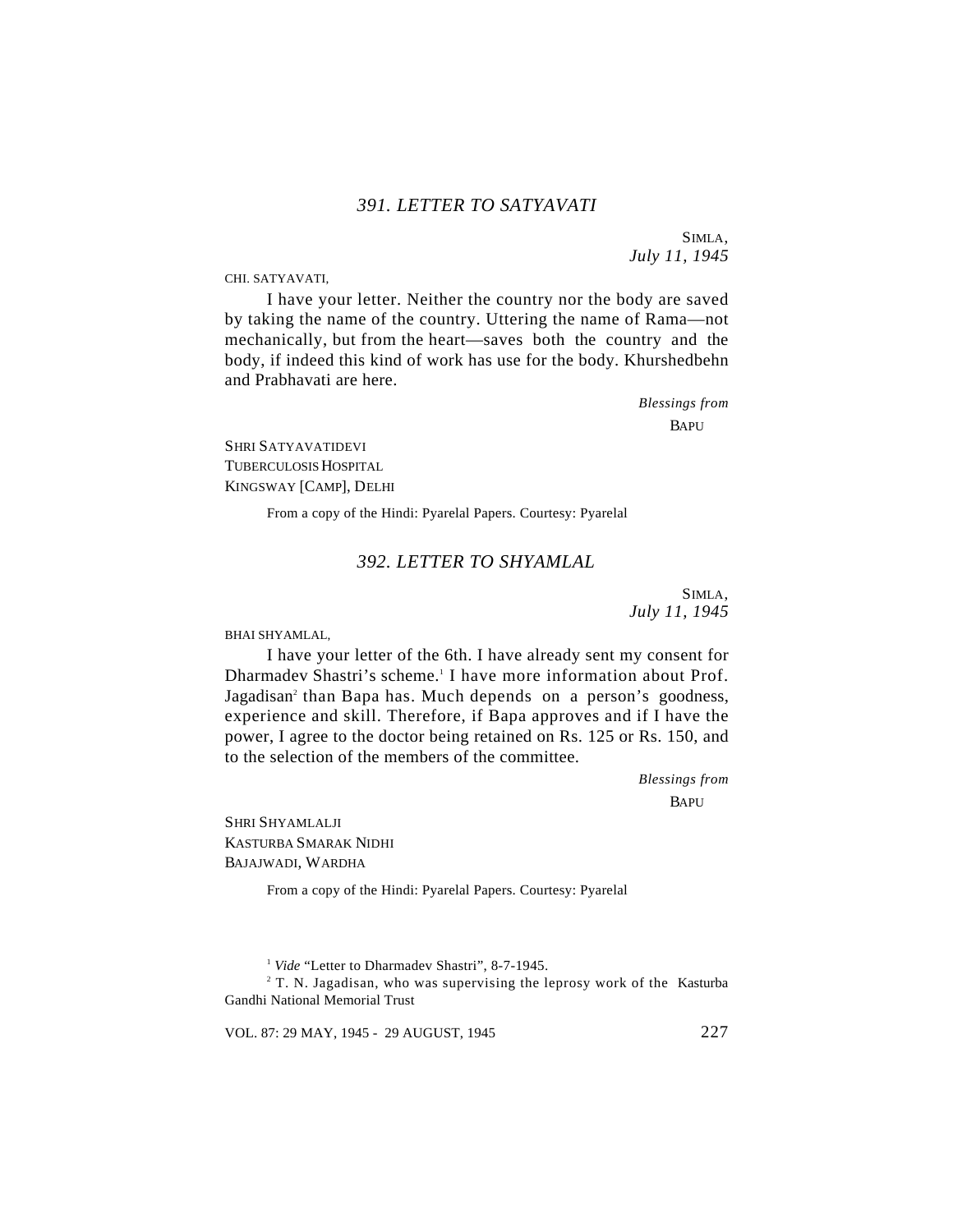## *391. LETTER TO SATYAVATI*

SIMLA, *July 11, 1945*

CHI. SATYAVATI,

I have your letter. Neither the country nor the body are saved by taking the name of the country. Uttering the name of Rama—not mechanically, but from the heart—saves both the country and the body, if indeed this kind of work has use for the body. Khurshedbehn and Prabhavati are here.

> *Blessings from* **BAPU**

SHRI SATYAVATIDEVI TUBERCULOSIS HOSPITAL KINGSWAY [CAMP], DELHI

From a copy of the Hindi: Pyarelal Papers. Courtesy: Pyarelal

## *392. LETTER TO SHYAMLAL*

SIMLA, *July 11, 1945*

BHAI SHYAMLAL,

I have your letter of the 6th. I have already sent my consent for Dharmadev Shastri's scheme.<sup>1</sup> I have more information about Prof. Jagadisan<sup>2</sup> than Bapa has. Much depends on a person's goodness, experience and skill. Therefore, if Bapa approves and if I have the power, I agree to the doctor being retained on Rs. 125 or Rs. 150, and to the selection of the members of the committee.

> *Blessings from* **BAPU**

SHRI SHYAMLALJI KASTURBA SMARAK NIDHI BAJAJWADI, WARDHA

From a copy of the Hindi: Pyarelal Papers. Courtesy: Pyarelal

<sup>1</sup> *Vide* "Letter to Dharmadev Shastri", 8-7-1945.

<sup>2</sup> T. N. Jagadisan, who was supervising the leprosy work of the Kasturba Gandhi National Memorial Trust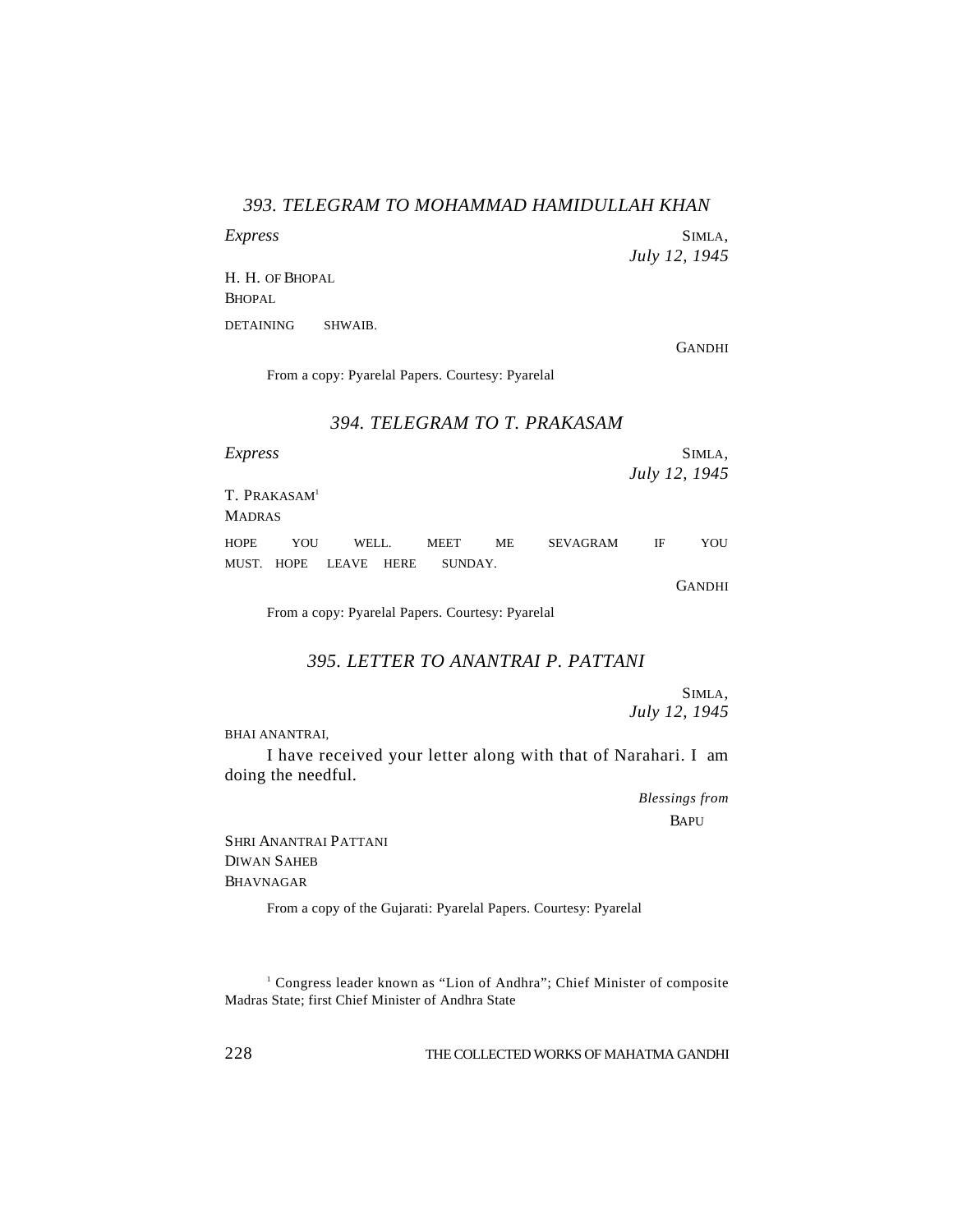## *393. TELEGRAM TO MOHAMMAD HAMIDULLAH KHAN*

*Express* SIMLA, *July 12, 1945*

H. H. OF BHOPAL BHOPAL

DETAINING SHWAIB.

GANDHI

From a copy: Pyarelal Papers. Courtesy: Pyarelal

# *394. TELEGRAM TO T. PRAKASAM*

| Express       |                          |            |  |             |    | SIMLA.<br>July 12, 1945 |    |               |
|---------------|--------------------------|------------|--|-------------|----|-------------------------|----|---------------|
| <b>MADRAS</b> | T. PRAKASAM <sup>1</sup> |            |  |             |    |                         |    |               |
| <b>HOPE</b>   | YOU                      | WELL.      |  | <b>MEET</b> | ME | SEVAGRAM                | IF | YOU           |
| MUST. HOPE    |                          | LEAVE HERE |  | SUNDAY.     |    |                         |    |               |
|               |                          |            |  |             |    |                         |    | <b>GANDHI</b> |

From a copy: Pyarelal Papers. Courtesy: Pyarelal

# *395. LETTER TO ANANTRAI P. PATTANI*

SIMLA, *July 12, 1945*

BHAI ANANTRAI,

I have received your letter along with that of Narahari. I am doing the needful.

> *Blessings from* BAPU

SHRI ANANTRAI PATTANI DIWAN SAHEB BHAVNAGAR

From a copy of the Gujarati: Pyarelal Papers. Courtesy: Pyarelal

<sup>1</sup> Congress leader known as "Lion of Andhra"; Chief Minister of composite Madras State; first Chief Minister of Andhra State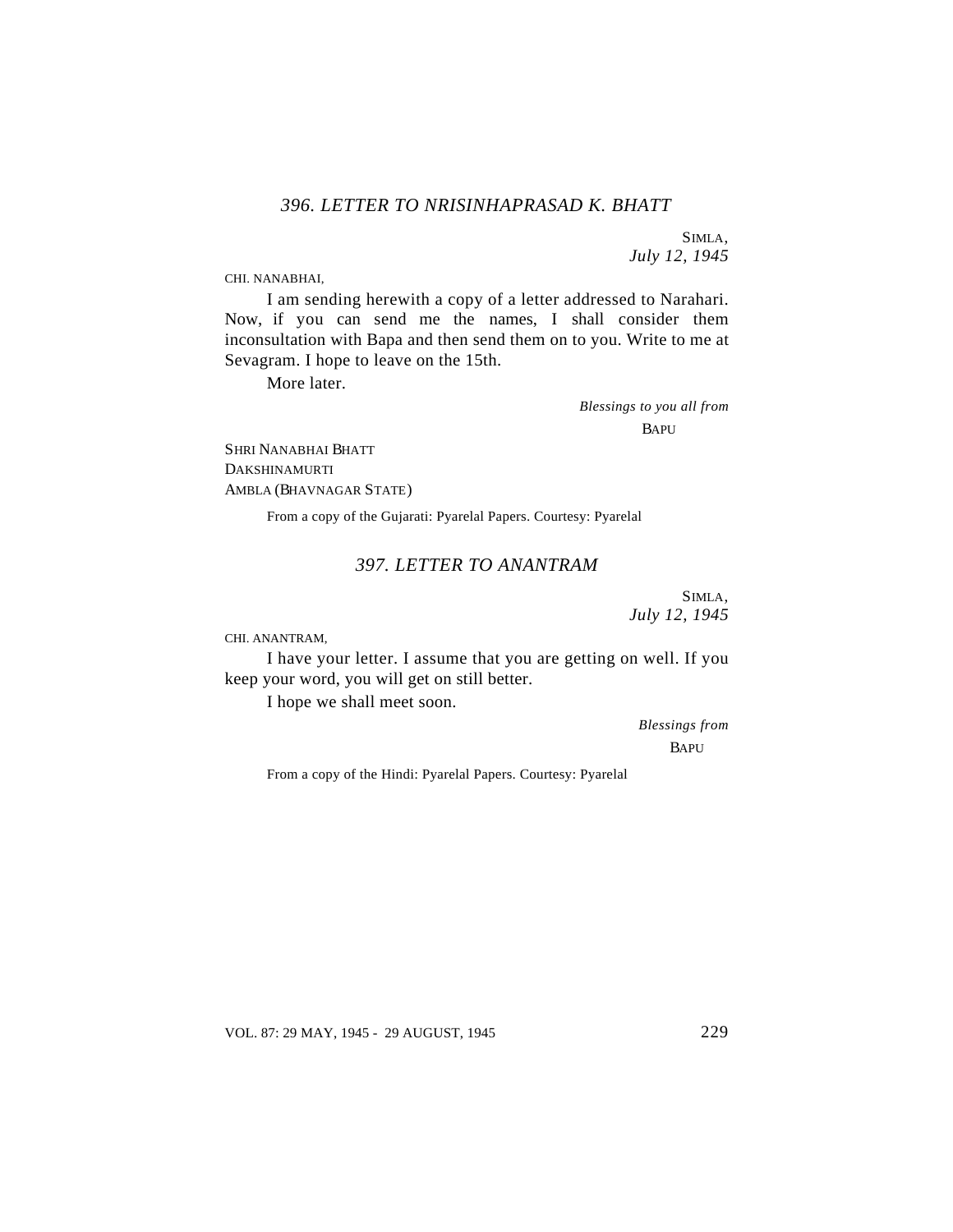## *396. LETTER TO NRISINHAPRASAD K. BHATT*

SIMLA, *July 12, 1945*

CHI. NANABHAI,

I am sending herewith a copy of a letter addressed to Narahari. Now, if you can send me the names, I shall consider them inconsultation with Bapa and then send them on to you. Write to me at Sevagram. I hope to leave on the 15th.

More later

*Blessings to you all from* **BAPU** 

SHRI NANABHAI BHATT DAKSHINAMURTI AMBLA (BHAVNAGAR STATE)

From a copy of the Gujarati: Pyarelal Papers. Courtesy: Pyarelal

## *397. LETTER TO ANANTRAM*

SIMLA, *July 12, 1945*

CHI. ANANTRAM,

I have your letter. I assume that you are getting on well. If you keep your word, you will get on still better.

I hope we shall meet soon.

*Blessings from*

**BAPU** 

From a copy of the Hindi: Pyarelal Papers. Courtesy: Pyarelal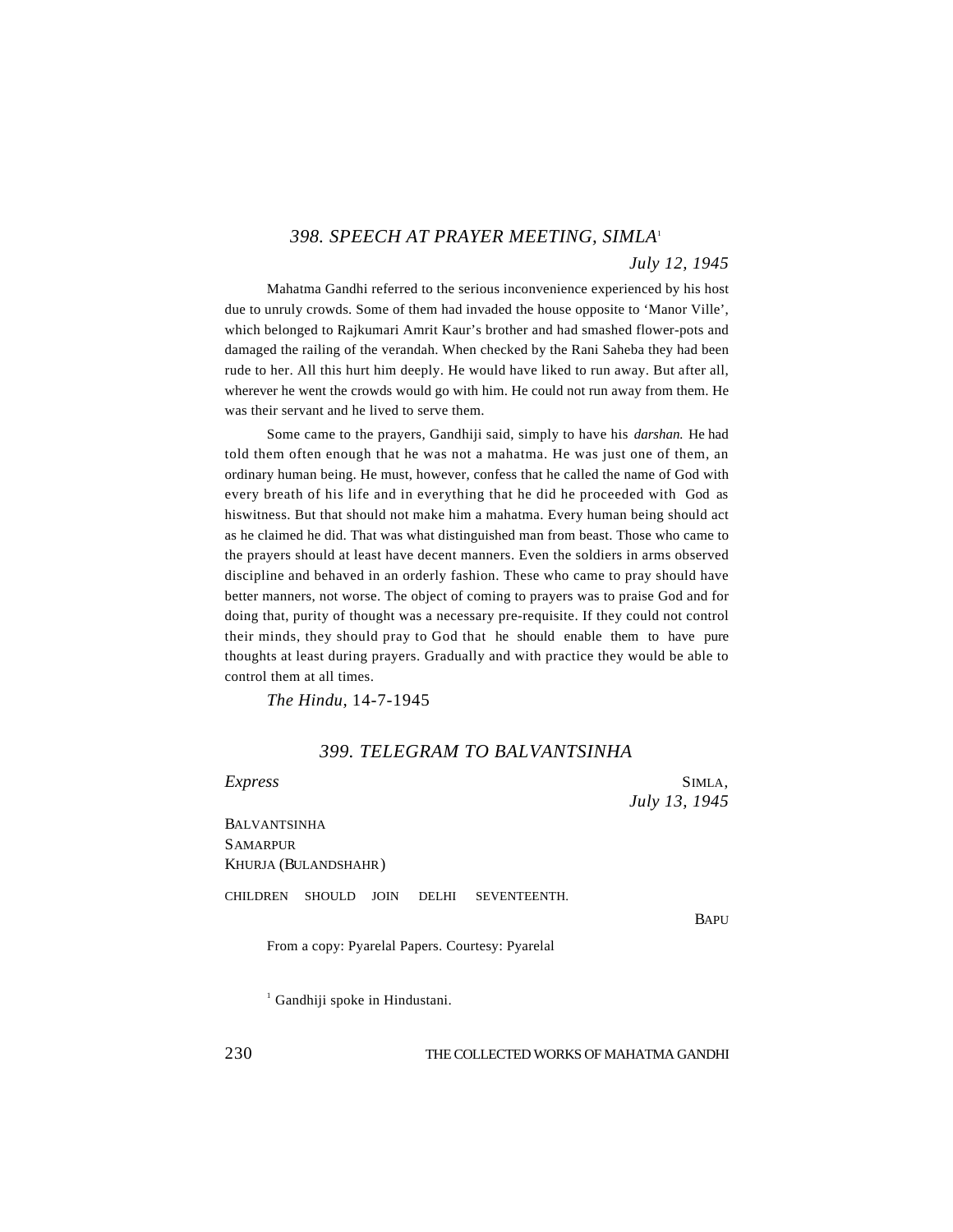#### *398. SPEECH AT PRAYER MEETING, SIMLA*<sup>1</sup>

#### *July 12, 1945*

Mahatma Gandhi referred to the serious inconvenience experienced by his host due to unruly crowds. Some of them had invaded the house opposite to 'Manor Ville', which belonged to Rajkumari Amrit Kaur's brother and had smashed flower-pots and damaged the railing of the verandah. When checked by the Rani Saheba they had been rude to her. All this hurt him deeply. He would have liked to run away. But after all, wherever he went the crowds would go with him. He could not run away from them. He was their servant and he lived to serve them.

Some came to the prayers, Gandhiji said, simply to have his *darshan.* He had told them often enough that he was not a mahatma. He was just one of them, an ordinary human being. He must, however, confess that he called the name of God with every breath of his life and in everything that he did he proceeded with God as hiswitness. But that should not make him a mahatma. Every human being should act as he claimed he did. That was what distinguished man from beast. Those who came to the prayers should at least have decent manners. Even the soldiers in arms observed discipline and behaved in an orderly fashion. These who came to pray should have better manners, not worse. The object of coming to prayers was to praise God and for doing that, purity of thought was a necessary pre-requisite. If they could not control their minds, they should pray to God that he should enable them to have pure thoughts at least during prayers. Gradually and with practice they would be able to control them at all times.

*The Hindu,* 14-7-1945

### *399. TELEGRAM TO BALVANTSINHA*

*Express* SIMLA,

BALVANTSINHA SAMARPUR KHURJA (BULANDSHAHR)

CHILDREN SHOULD JOIN DELHI SEVENTEENTH.

**BAPU** 

*July 13, 1945*

From a copy: Pyarelal Papers. Courtesy: Pyarelal

<sup>1</sup> Gandhiji spoke in Hindustani.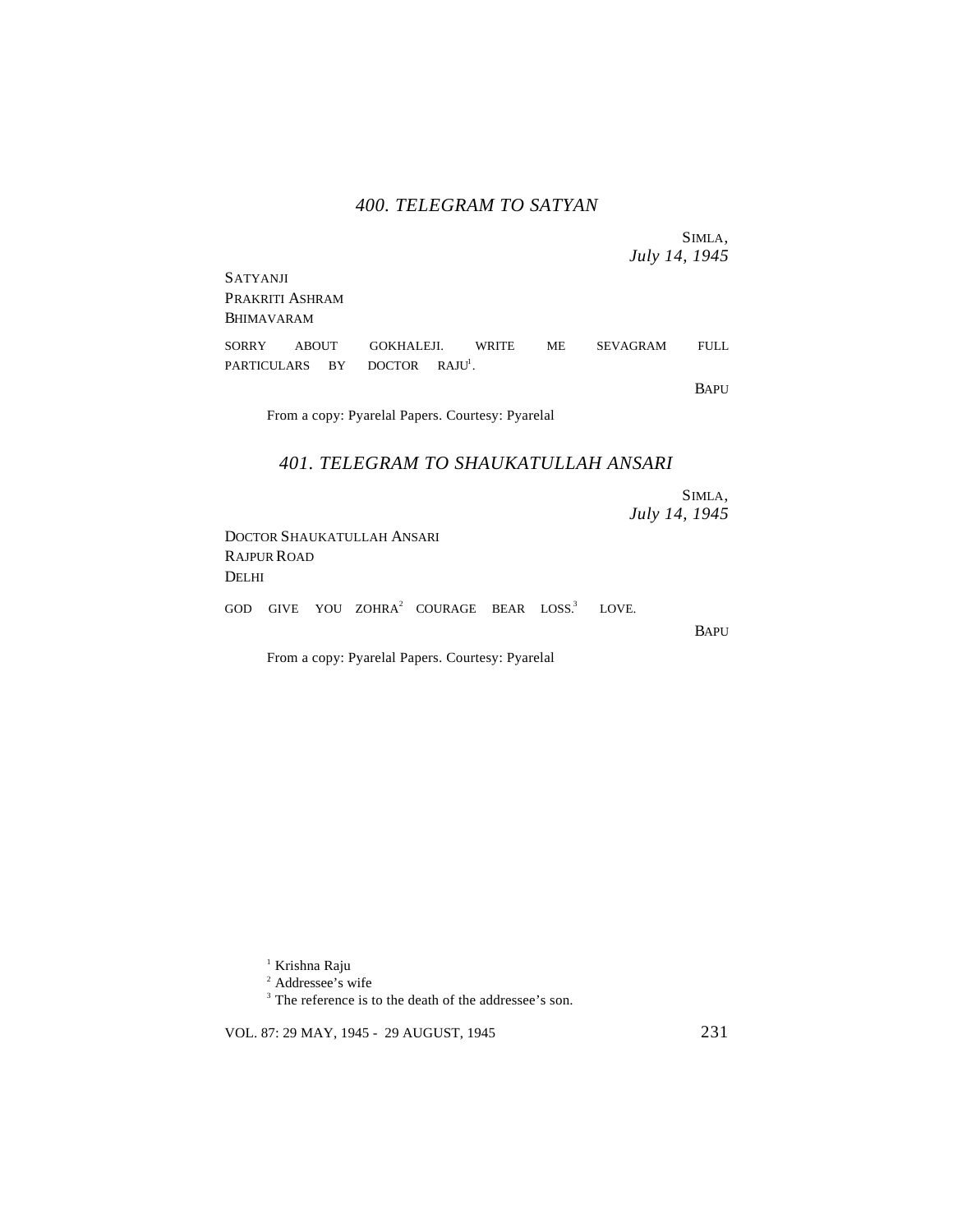## *400. TELEGRAM TO SATYAN*

SIMLA, *July 14, 1945*

SATYANJI PRAKRITI ASHRAM BHIMAVARAM SORRY ABOUT GOKHALEJI. WRITE ME SEVAGRAM FULL PARTICULARS BY DOCTOR RAJU<sup>1</sup>. **BAPU** 

From a copy: Pyarelal Papers. Courtesy: Pyarelal

## *401. TELEGRAM TO SHAUKATULLAH ANSARI*

SIMLA, *July 14, 1945*

DOCTOR SHAUKATULLAH ANSARI RAJPUR ROAD DELHI

GOD GIVE YOU ZOHRA<sup>2</sup> COURAGE BEAR LOSS.<sup>3</sup> LOVE.

**BAPU** 

From a copy: Pyarelal Papers. Courtesy: Pyarelal

<sup>1</sup> Krishna Raju

2 Addressee's wife

<sup>3</sup> The reference is to the death of the addressee's son.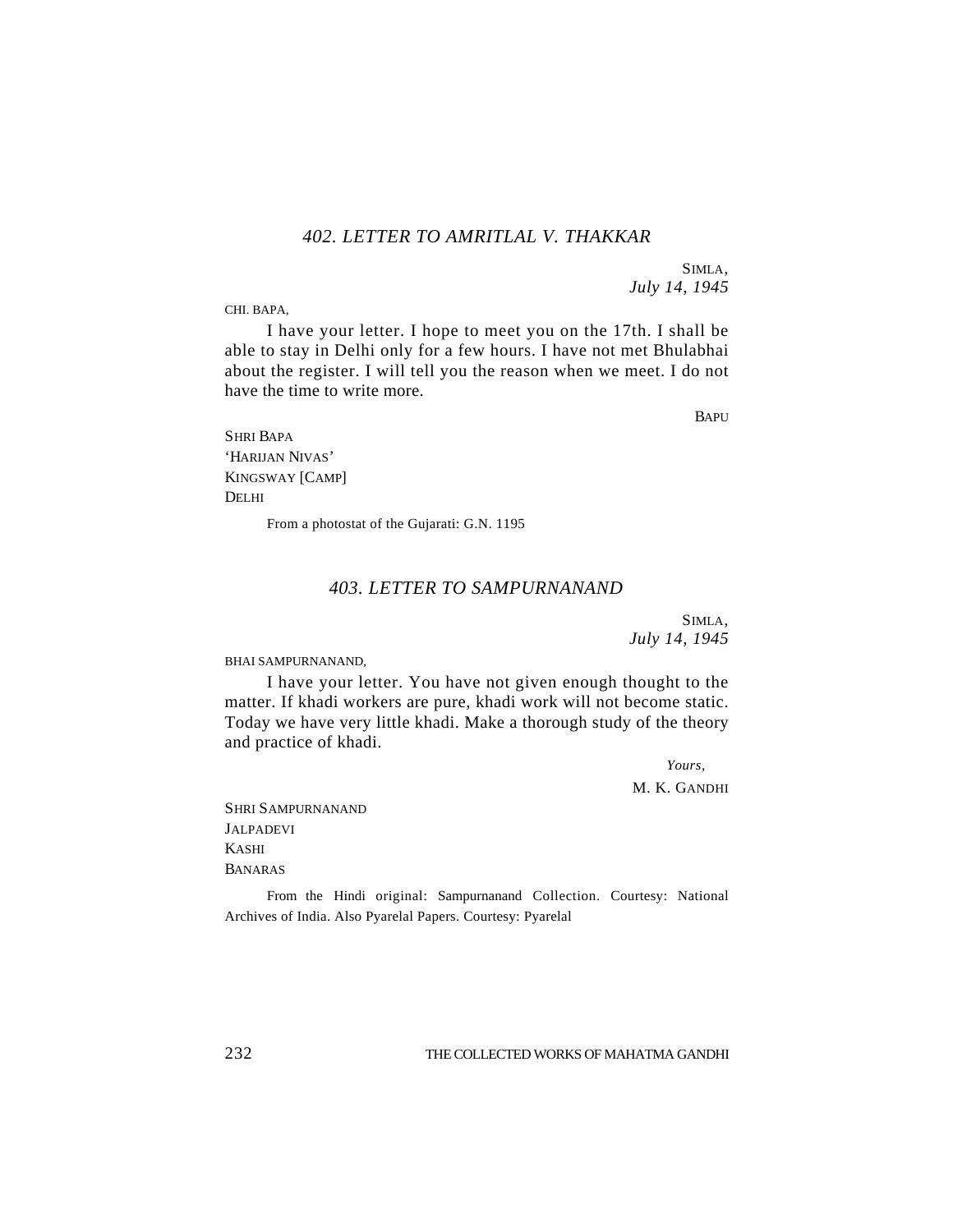## *402. LETTER TO AMRITLAL V. THAKKAR*

SIMLA, *July 14, 1945*

CHI. BAPA,

I have your letter. I hope to meet you on the 17th. I shall be able to stay in Delhi only for a few hours. I have not met Bhulabhai about the register. I will tell you the reason when we meet. I do not have the time to write more.

**BAPU** 

SHRI BAPA 'HARIJAN NIVAS' KINGSWAY [CAMP] DELHI

From a photostat of the Gujarati: G.N. 1195

## *403. LETTER TO SAMPURNANAND*

SIMLA, *July 14, 1945*

BHAI SAMPURNANAND,

I have your letter. You have not given enough thought to the matter. If khadi workers are pure, khadi work will not become static. Today we have very little khadi. Make a thorough study of the theory and practice of khadi.

> *Yours,* M. K. GANDHI

SHRI SAMPURNANAND JALPADEVI KASHI BANARAS

From the Hindi original: Sampurnanand Collection. Courtesy: National Archives of India. Also Pyarelal Papers. Courtesy: Pyarelal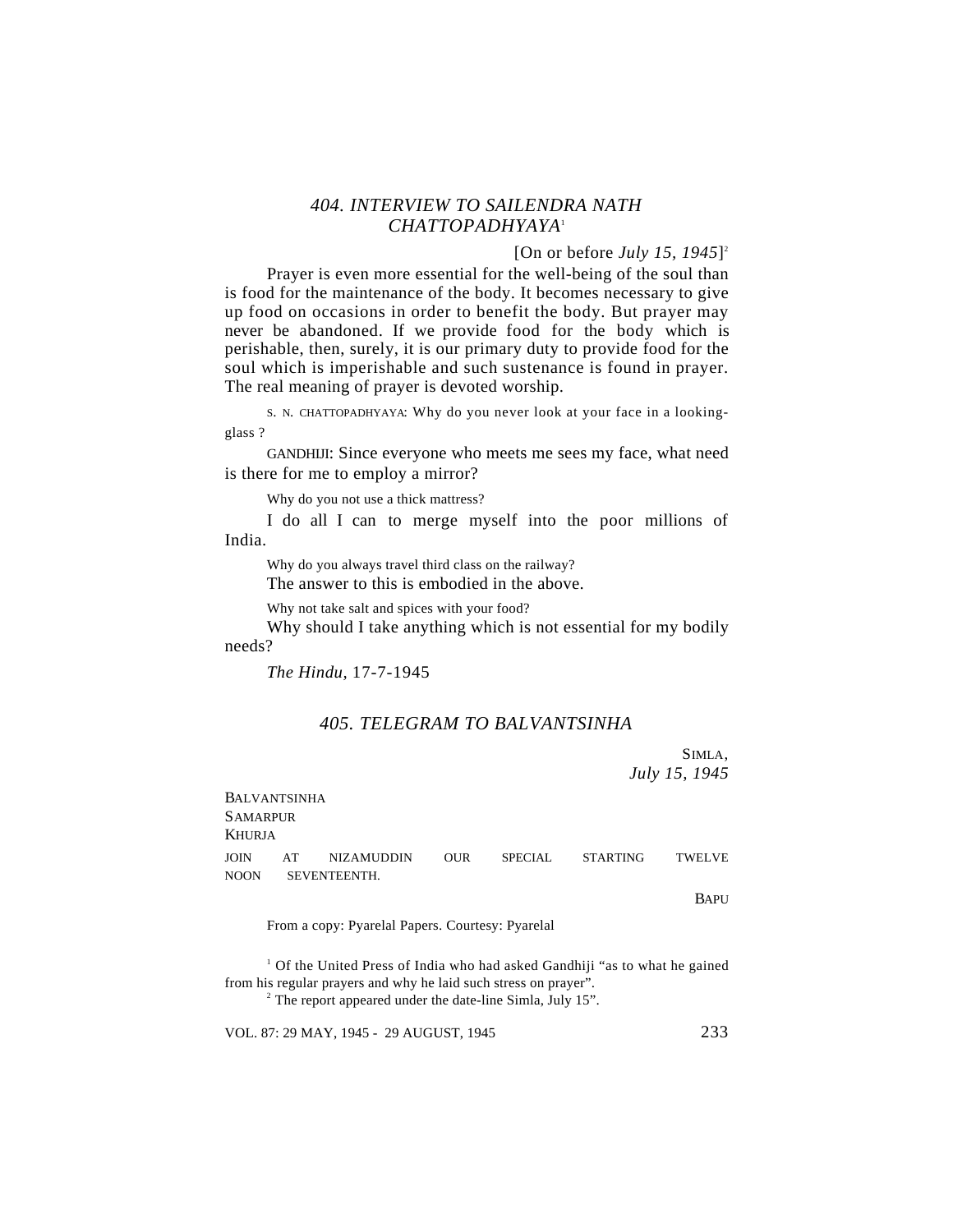# *404. INTERVIEW TO SAILENDRA NATH CHATTOPADHYAYA*<sup>1</sup>

[On or before *July 15, 1945*] 2

Prayer is even more essential for the well-being of the soul than is food for the maintenance of the body. It becomes necessary to give up food on occasions in order to benefit the body. But prayer may never be abandoned. If we provide food for the body which is perishable, then, surely, it is our primary duty to provide food for the soul which is imperishable and such sustenance is found in prayer. The real meaning of prayer is devoted worship.

S. N. CHATTOPADHYAYA: Why do you never look at your face in a lookingglass ?

GANDHIJI: Since everyone who meets me sees my face, what need is there for me to employ a mirror?

Why do you not use a thick mattress?

I do all I can to merge myself into the poor millions of India.

Why do you always travel third class on the railway?

The answer to this is embodied in the above.

Why not take salt and spices with your food?

Why should I take anything which is not essential for my bodily needs?

*The Hindu,* 17-7-1945

## *405. TELEGRAM TO BALVANTSINHA*

SIMLA, *July 15, 1945*

BALVANTSINHA SAMARPUR **KHURJA** JOIN AT NIZAMUDDIN OUR SPECIAL STARTING TWELVE NOON SEVENTEENTH.

**BAPU** 

From a copy: Pyarelal Papers. Courtesy: Pyarelal

<sup>1</sup> Of the United Press of India who had asked Gandhiji "as to what he gained from his regular prayers and why he laid such stress on prayer".

 $2^2$  The report appeared under the date-line Simla, July 15".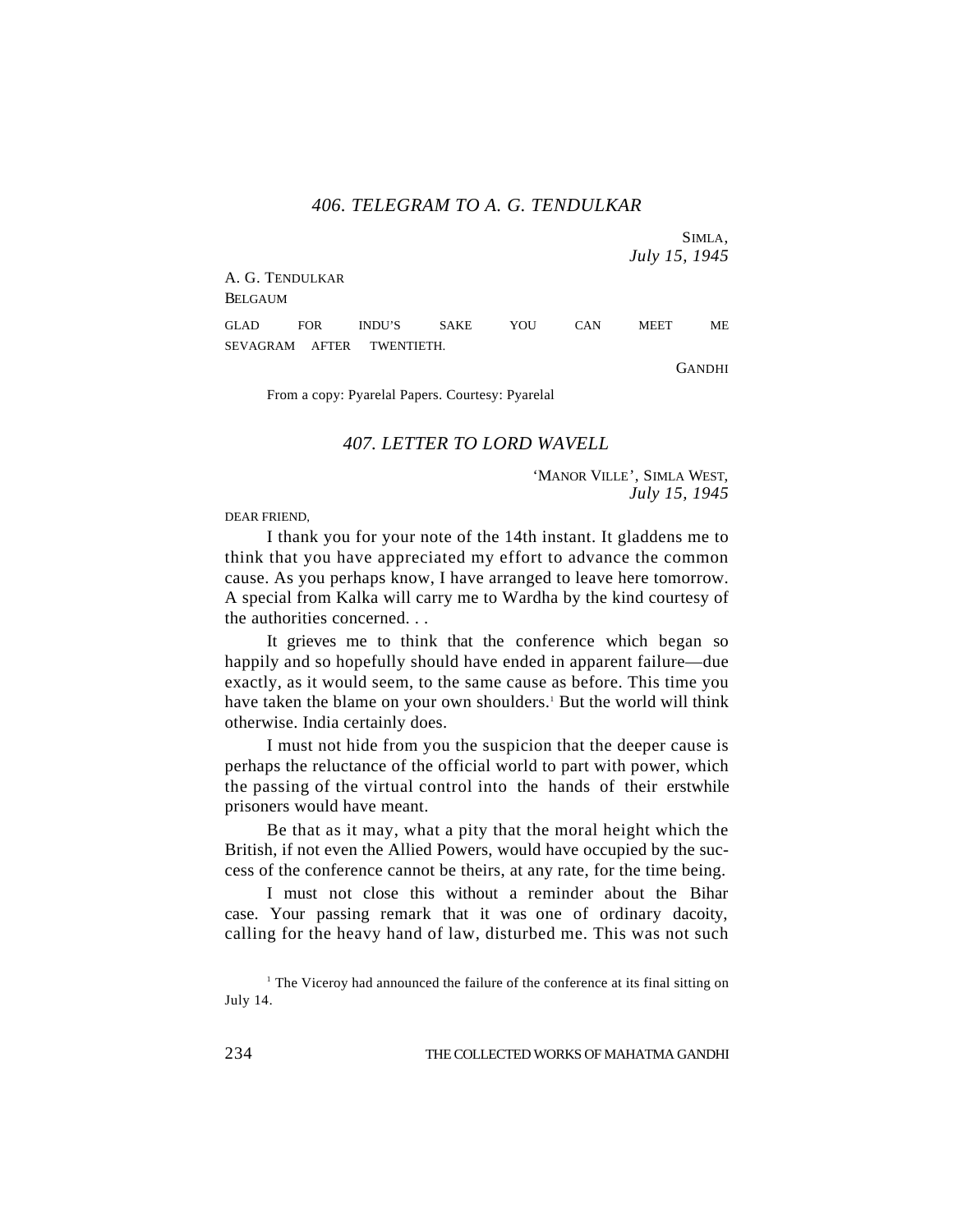## *406. TELEGRAM TO A. G. TENDULKAR*

SIMLA, *July 15, 1945*

A. G. TENDULKAR **BELGAUM** GLAD FOR INDU'S SAKE YOU CAN MEET ME SEVAGRAM AFTER TWENTIETH.

**GANDHI** 

From a copy: Pyarelal Papers. Courtesy: Pyarelal

### *407. LETTER TO LORD WAVELL*

'MANOR VILLE', SIMLA WEST, *July 15, 1945*

DEAR FRIEND,

I thank you for your note of the 14th instant. It gladdens me to think that you have appreciated my effort to advance the common cause. As you perhaps know, I have arranged to leave here tomorrow. A special from Kalka will carry me to Wardha by the kind courtesy of the authorities concerned. . .

It grieves me to think that the conference which began so happily and so hopefully should have ended in apparent failure—due exactly, as it would seem, to the same cause as before. This time you have taken the blame on your own shoulders.<sup>1</sup> But the world will think otherwise. India certainly does.

I must not hide from you the suspicion that the deeper cause is perhaps the reluctance of the official world to part with power, which the passing of the virtual control into the hands of their erstwhile prisoners would have meant.

Be that as it may, what a pity that the moral height which the British, if not even the Allied Powers, would have occupied by the success of the conference cannot be theirs, at any rate, for the time being.

I must not close this without a reminder about the Bihar case. Your passing remark that it was one of ordinary dacoity, calling for the heavy hand of law, disturbed me. This was not such

<sup>&</sup>lt;sup>1</sup> The Viceroy had announced the failure of the conference at its final sitting on July 14.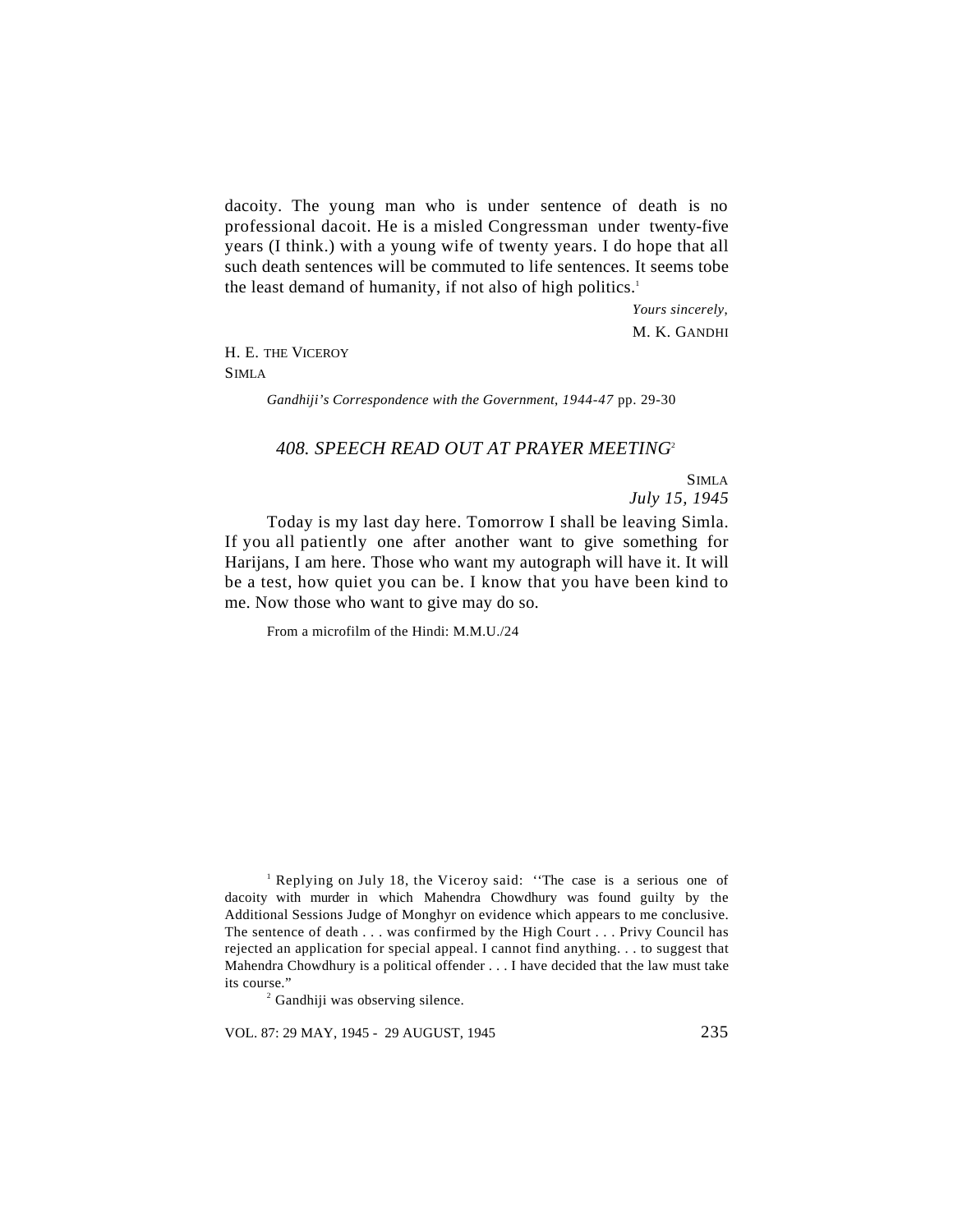dacoity. The young man who is under sentence of death is no professional dacoit. He is a misled Congressman under twenty-five years (I think.) with a young wife of twenty years. I do hope that all such death sentences will be commuted to life sentences. It seems tobe the least demand of humanity, if not also of high politics.<sup>1</sup>

> *Yours sincerely*, M. K. GANDHI

H. E. THE VICEROY SIMLA

*Gandhiji's Correspondence with the Government*, *1944-47* pp. 29-30

#### *408. SPEECH READ OUT AT PRAYER MEETING*<sup>2</sup>

SIMLA *July 15, 1945*

Today is my last day here. Tomorrow I shall be leaving Simla. If you all patiently one after another want to give something for Harijans, I am here. Those who want my autograph will have it. It will be a test, how quiet you can be. I know that you have been kind to me. Now those who want to give may do so.

From a microfilm of the Hindi: M.M.U./24

<sup>1</sup> Replying on July 18, the Viceroy said: "The case is a serious one of dacoity with murder in which Mahendra Chowdhury was found guilty by the Additional Sessions Judge of Monghyr on evidence which appears to me conclusive. The sentence of death . . . was confirmed by the High Court . . . Privy Council has rejected an application for special appeal. I cannot find anything. . . to suggest that Mahendra Chowdhury is a political offender . . . I have decided that the law must take its course."

<sup>2</sup> Gandhiji was observing silence.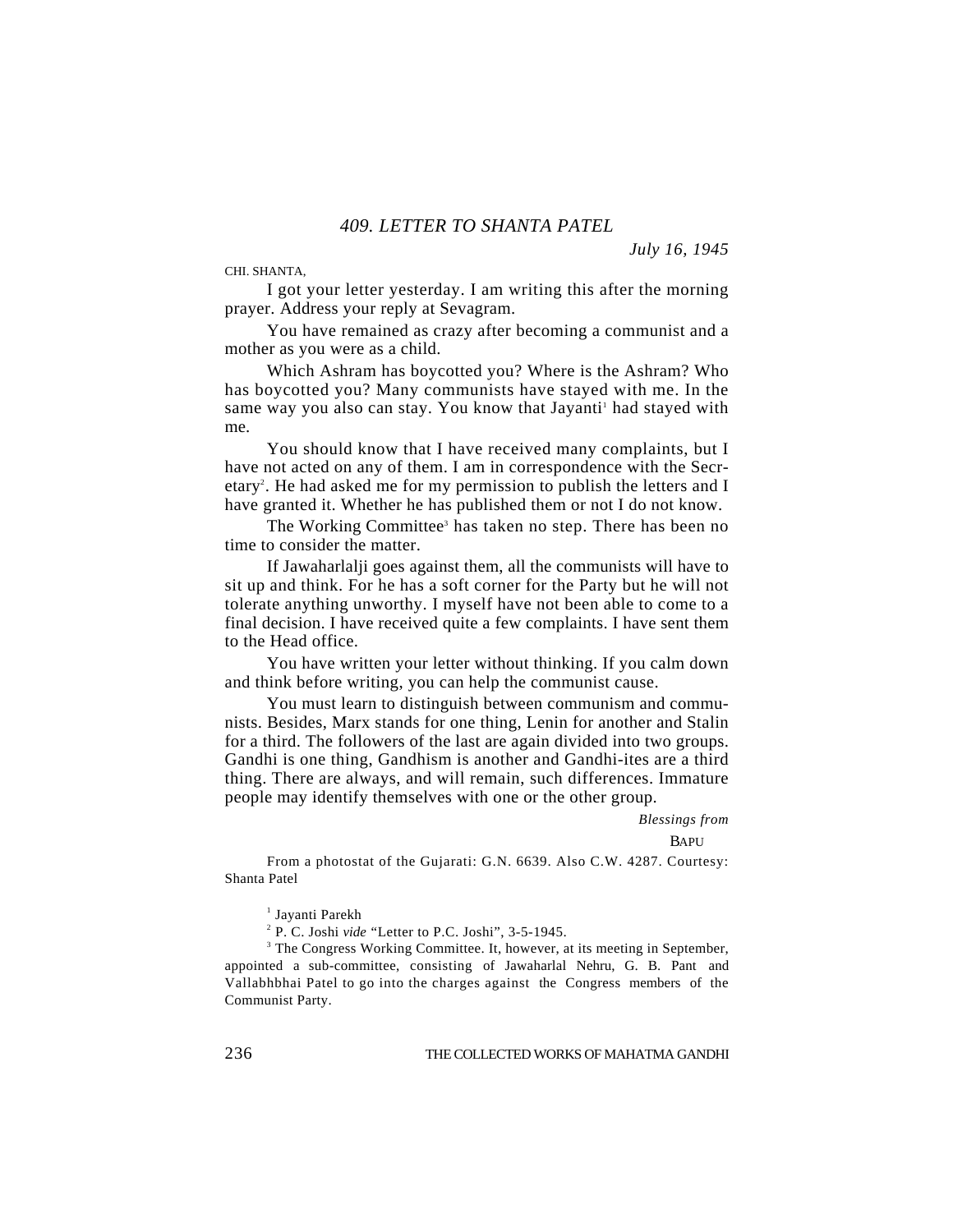*July 16, 1945*

CHI. SHANTA,

I got your letter yesterday. I am writing this after the morning prayer. Address your reply at Sevagram.

You have remained as crazy after becoming a communist and a mother as you were as a child.

Which Ashram has boycotted you? Where is the Ashram? Who has boycotted you? Many communists have stayed with me. In the same way you also can stay. You know that Jayanti' had stayed with me.

You should know that I have received many complaints, but I have not acted on any of them. I am in correspondence with the Secretary<sup>2</sup>. He had asked me for my permission to publish the letters and I have granted it. Whether he has published them or not I do not know.

The Working Committee<sup>3</sup> has taken no step. There has been no time to consider the matter.

If Jawaharlalji goes against them, all the communists will have to sit up and think. For he has a soft corner for the Party but he will not tolerate anything unworthy. I myself have not been able to come to a final decision. I have received quite a few complaints. I have sent them to the Head office.

You have written your letter without thinking. If you calm down and think before writing, you can help the communist cause.

You must learn to distinguish between communism and communists. Besides, Marx stands for one thing, Lenin for another and Stalin for a third. The followers of the last are again divided into two groups. Gandhi is one thing, Gandhism is another and Gandhi-ites are a third thing. There are always, and will remain, such differences. Immature people may identify themselves with one or the other group.

*Blessings from*

**BAPU** 

From a photostat of the Gujarati: G.N. 6639. Also C.W. 4287. Courtesy: Shanta Patel

1 Jayanti Parekh

2 P. C. Joshi *vide* "Letter to P.C. Joshi", 3-5-1945.

<sup>3</sup> The Congress Working Committee. It, however, at its meeting in September, appointed a sub-committee, consisting of Jawaharlal Nehru, G. B. Pant and Vallabhbhai Patel to go into the charges against the Congress members of the Communist Party.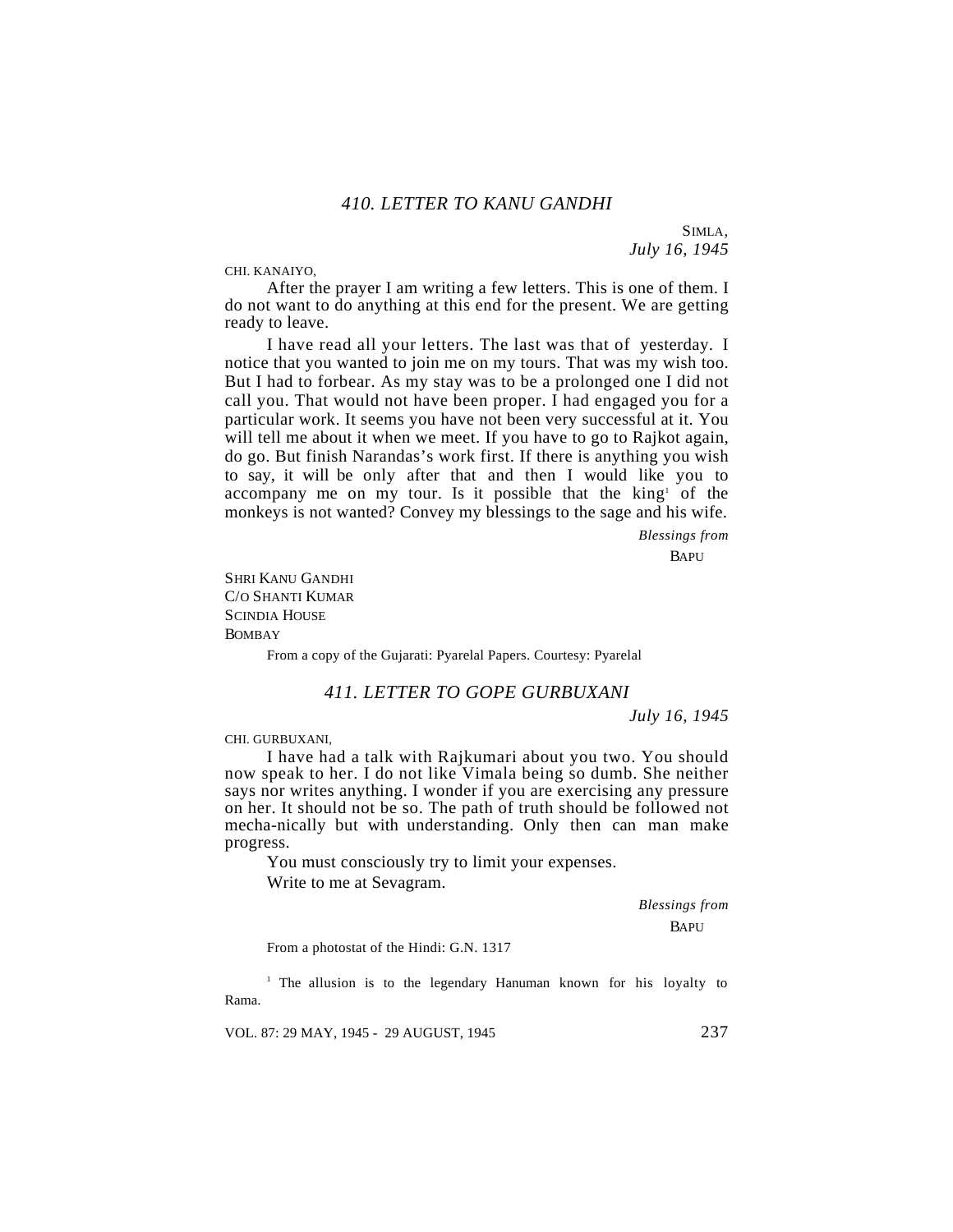SIMLA, *July 16, 1945*

#### CHI. KANAIYO,

After the prayer I am writing a few letters. This is one of them. I do not want to do anything at this end for the present. We are getting ready to leave.

I have read all your letters. The last was that of yesterday. I notice that you wanted to join me on my tours. That was my wish too. But I had to forbear. As my stay was to be a prolonged one I did not call you. That would not have been proper. I had engaged you for a particular work. It seems you have not been very successful at it. You will tell me about it when we meet. If you have to go to Rajkot again, do go. But finish Narandas's work first. If there is anything you wish to say, it will be only after that and then I would like you to accompany me on my tour. Is it possible that the  $king<sup>1</sup>$  of the monkeys is not wanted? Convey my blessings to the sage and his wife.

> *Blessings from* **BAPU**

SHRI KANU GANDHI C/O SHANTI KUMAR SCINDIA HOUSE **BOMBAY** 

From a copy of the Gujarati: Pyarelal Papers. Courtesy: Pyarelal

#### *411. LETTER TO GOPE GURBUXANI*

*July 16, 1945*

CHI. GURBUXANI,

I have had a talk with Rajkumari about you two. You should now speak to her. I do not like Vimala being so dumb. She neither says nor writes anything. I wonder if you are exercising any pressure on her. It should not be so. The path of truth should be followed not mecha-nically but with understanding. Only then can man make progress.

You must consciously try to limit your expenses. Write to me at Sevagram.

*Blessings from*

BAPU

From a photostat of the Hindi: G.N. 1317

<sup>1</sup> The allusion is to the legendary Hanuman known for his loyalty to Rama.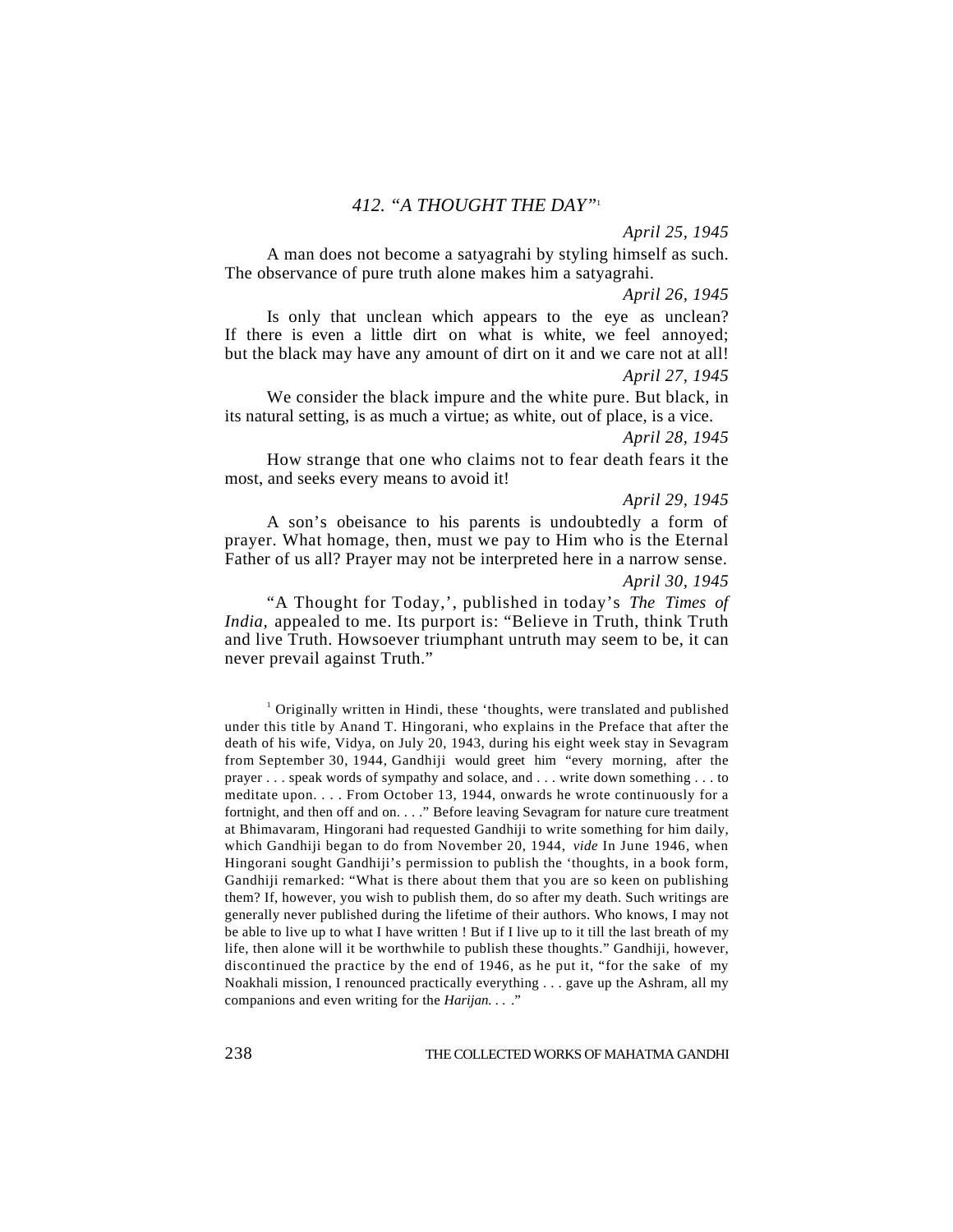### *412. "A THOUGHT THE DAY"*<sup>1</sup>

*April 25, 1945*

A man does not become a satyagrahi by styling himself as such. The observance of pure truth alone makes him a satyagrahi.

*April 26, 1945*

Is only that unclean which appears to the eye as unclean? If there is even a little dirt on what is white, we feel annoyed; but the black may have any amount of dirt on it and we care not at all!

*April 27, 1945*

We consider the black impure and the white pure. But black, in its natural setting, is as much a virtue; as white, out of place, is a vice.

*April 28, 1945*

How strange that one who claims not to fear death fears it the most, and seeks every means to avoid it!

*April 29, 1945*

A son's obeisance to his parents is undoubtedly a form of prayer. What homage, then, must we pay to Him who is the Eternal Father of us all? Prayer may not be interpreted here in a narrow sense.

*April 30, 1945*

"A Thought for Today,', published in today's *The Times of India*, appealed to me. Its purport is: "Believe in Truth, think Truth and live Truth. Howsoever triumphant untruth may seem to be, it can never prevail against Truth."

<sup>1</sup> Originally written in Hindi, these 'thoughts, were translated and published under this title by Anand T. Hingorani, who explains in the Preface that after the death of his wife, Vidya, on July 20, 1943, during his eight week stay in Sevagram from September 30, 1944, Gandhiji would greet him "every morning, after the prayer . . . speak words of sympathy and solace, and . . . write down something . . . to meditate upon. . . . From October 13, 1944, onwards he wrote continuously for a fortnight, and then off and on. . . ." Before leaving Sevagram for nature cure treatment at Bhimavaram, Hingorani had requested Gandhiji to write something for him daily, which Gandhiji began to do from November 20, 1944, *vide* In June 1946, when Hingorani sought Gandhiji's permission to publish the 'thoughts, in a book form, Gandhiji remarked: "What is there about them that you are so keen on publishing them? If, however, you wish to publish them, do so after my death. Such writings are generally never published during the lifetime of their authors. Who knows, I may not be able to live up to what I have written ! But if I live up to it till the last breath of my life, then alone will it be worthwhile to publish these thoughts." Gandhiji, however, discontinued the practice by the end of 1946, as he put it, "for the sake of my Noakhali mission, I renounced practically everything . . . gave up the Ashram, all my companions and even writing for the *Harijan. . .* ."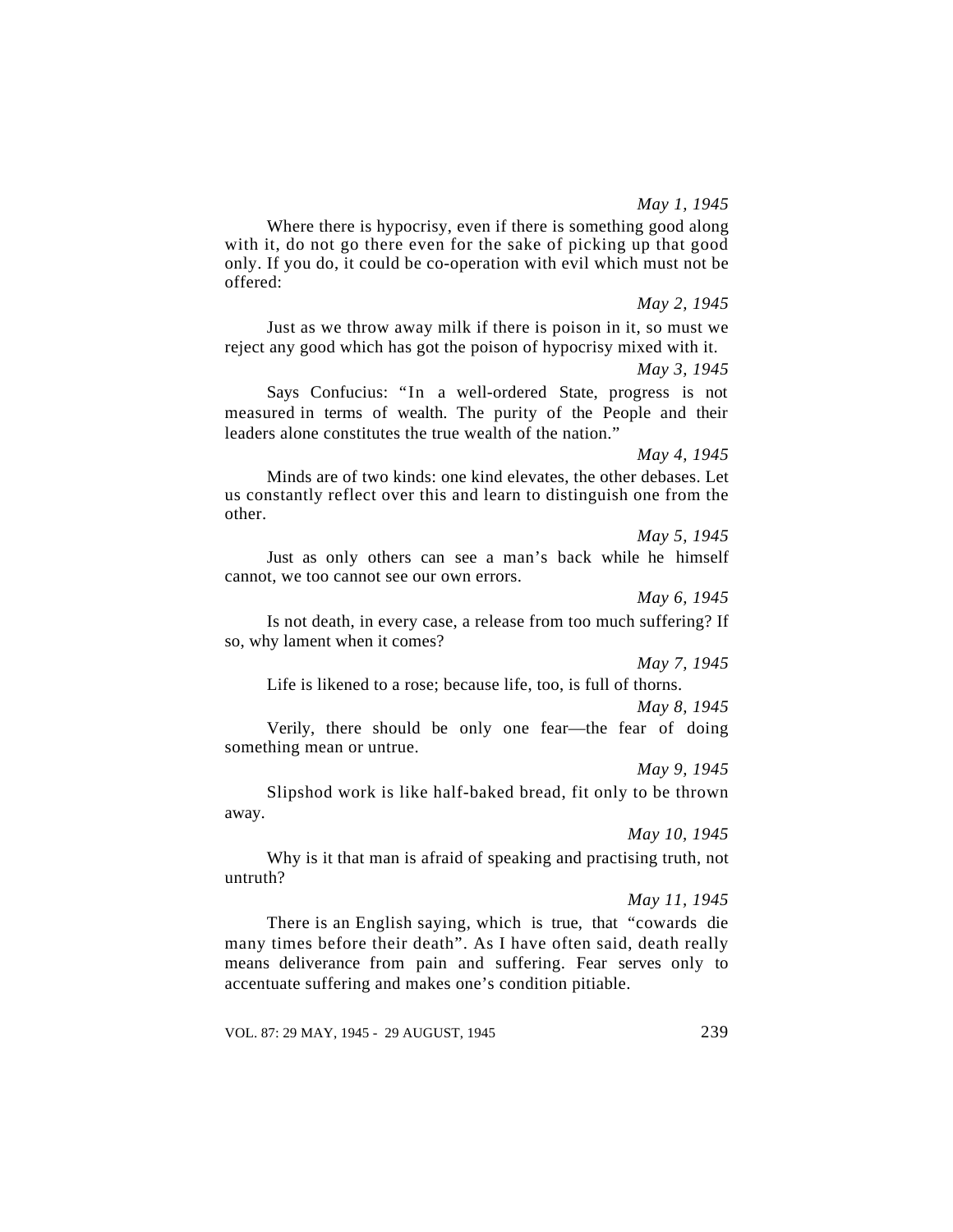*May 1, 1945*

Where there is hypocrisy, even if there is something good along with it, do not go there even for the sake of picking up that good only. If you do, it could be co-operation with evil which must not be offered:

*May 2, 1945*

Just as we throw away milk if there is poison in it, so must we reject any good which has got the poison of hypocrisy mixed with it.

*May 3, 1945*

Says Confucius: "In a well-ordered State, progress is not measured in terms of wealth. The purity of the People and their leaders alone constitutes the true wealth of the nation."

*May 4, 1945*

Minds are of two kinds: one kind elevates, the other debases. Let us constantly reflect over this and learn to distinguish one from the other.

*May 5, 1945*

Just as only others can see a man's back while he himself cannot, we too cannot see our own errors.

*May 6, 1945*

Is not death, in every case, a release from too much suffering? If so, why lament when it comes?

*May 7, 1945*

Life is likened to a rose; because life, too, is full of thorns.

*May 8, 1945*

Verily, there should be only one fear—the fear of doing something mean or untrue.

*May 9, 1945*

Slipshod work is like half-baked bread, fit only to be thrown away.

*May 10, 1945*

Why is it that man is afraid of speaking and practising truth, not untruth?

*May 11, 1945*

There is an English saying, which is true, that "cowards die many times before their death". As I have often said, death really means deliverance from pain and suffering. Fear serves only to accentuate suffering and makes one's condition pitiable.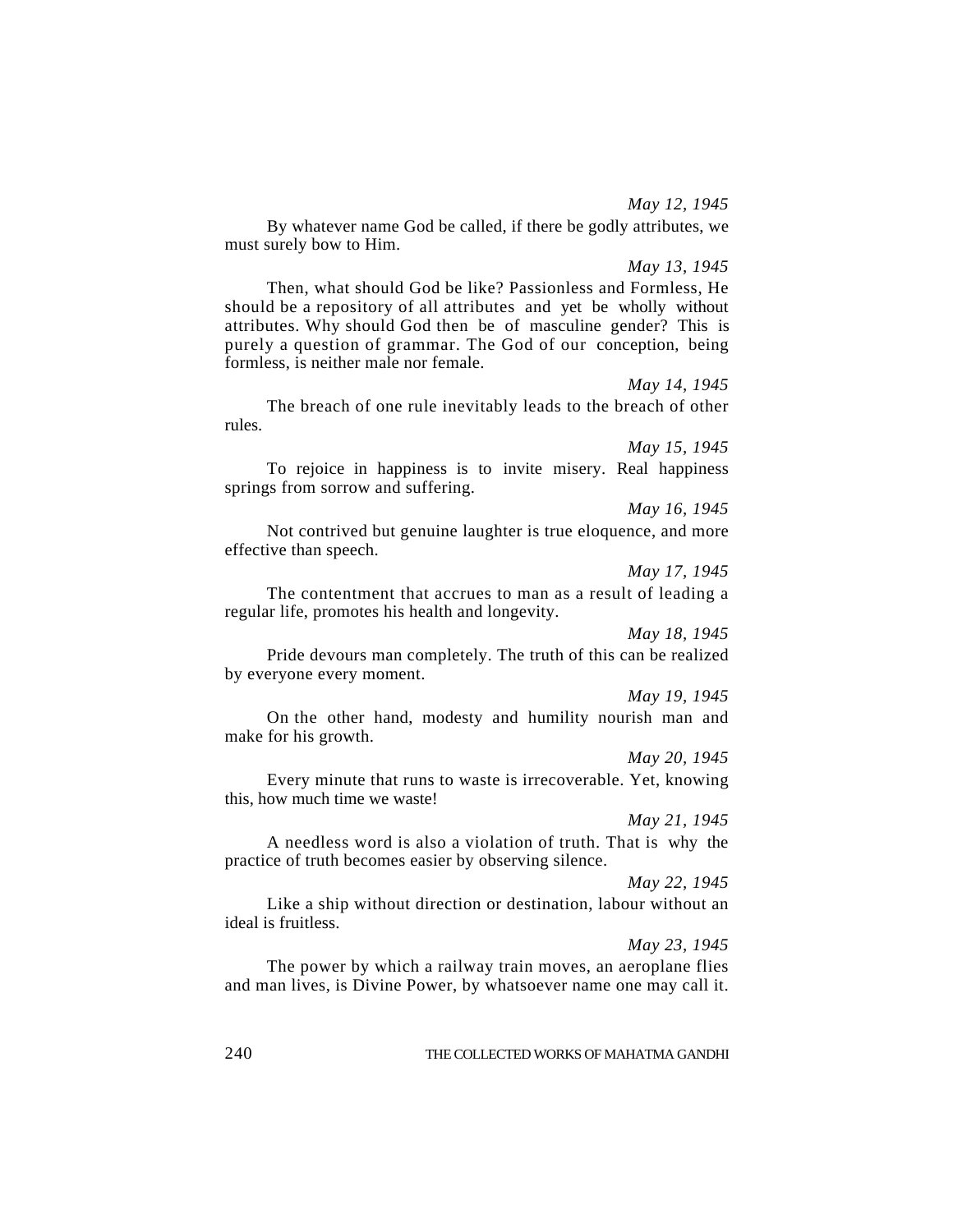240 THE COLLECTED WORKS OF MAHATMA GANDHI

By whatever name God be called, if there be godly attributes, we must surely bow to Him.

*May 13, 1945*

*May 12, 1945*

Then, what should God be like? Passionless and Formless, He should be a repository of all attributes and yet be wholly without attributes. Why should God then be of masculine gender? This is purely a question of grammar. The God of our conception, being formless, is neither male nor female.

*May 14, 1945* The breach of one rule inevitably leads to the breach of other rules.

*May 15, 1945*

To rejoice in happiness is to invite misery. Real happiness springs from sorrow and suffering.

*May 16, 1945*

Not contrived but genuine laughter is true eloquence, and more effective than speech.

*May 17, 1945*

The contentment that accrues to man as a result of leading a regular life, promotes his health and longevity.

*May 18, 1945*

Pride devours man completely. The truth of this can be realized by everyone every moment.

*May 19, 1945*

On the other hand, modesty and humility nourish man and make for his growth.

*May 20, 1945*

Every minute that runs to waste is irrecoverable. Yet, knowing this, how much time we waste!

*May 21, 1945*

A needless word is also a violation of truth. That is why the practice of truth becomes easier by observing silence.

*May 22, 1945*

Like a ship without direction or destination, labour without an ideal is fruitless.

*May 23, 1945*

The power by which a railway train moves, an aeroplane flies and man lives, is Divine Power, by whatsoever name one may call it.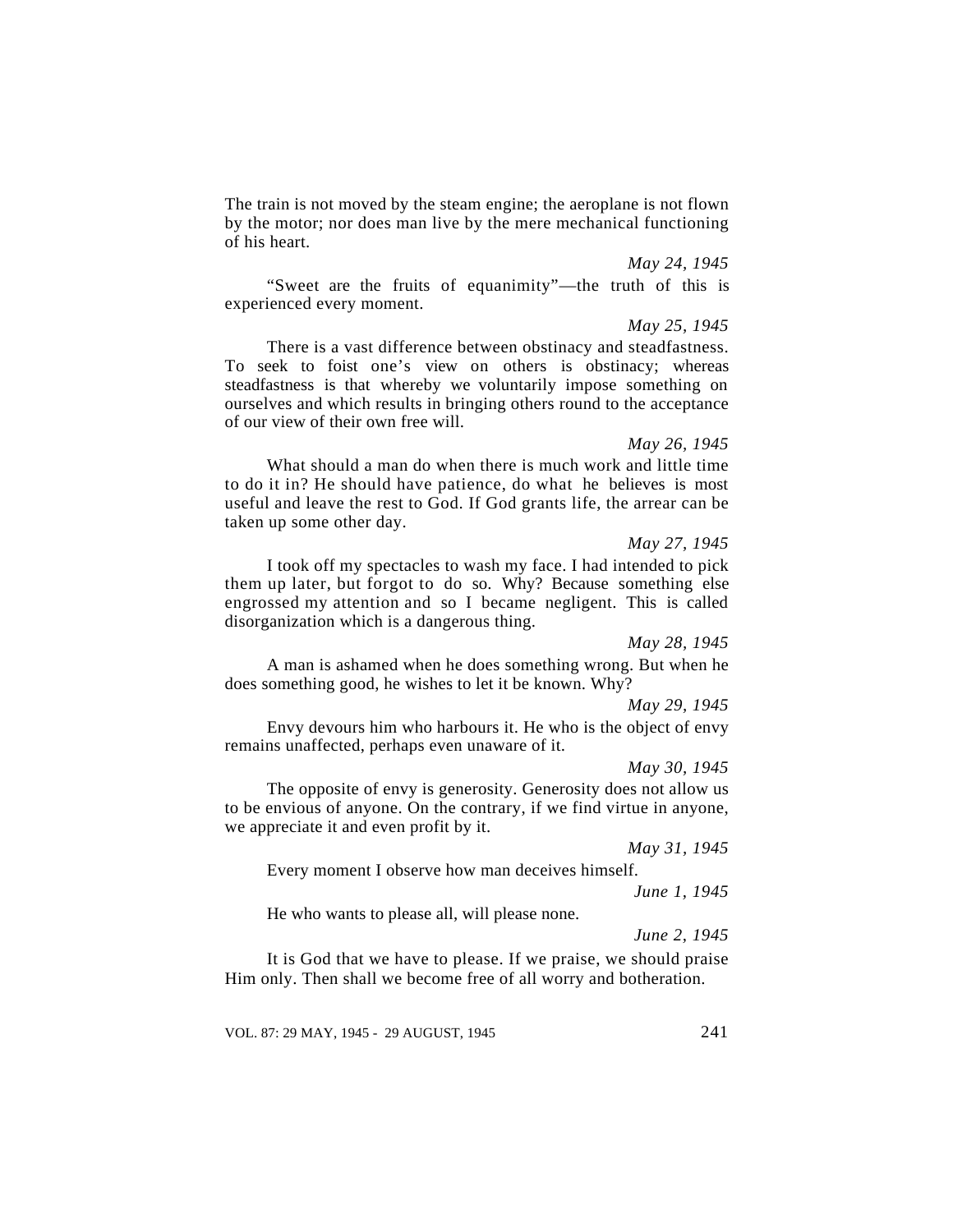The train is not moved by the steam engine; the aeroplane is not flown by the motor; nor does man live by the mere mechanical functioning of his heart.

*May 24, 1945*

"Sweet are the fruits of equanimity"—the truth of this is experienced every moment.

*May 25, 1945*

There is a vast difference between obstinacy and steadfastness. To seek to foist one's view on others is obstinacy; whereas steadfastness is that whereby we voluntarily impose something on ourselves and which results in bringing others round to the acceptance of our view of their own free will.

*May 26, 1945*

What should a man do when there is much work and little time to do it in? He should have patience, do what he believes is most useful and leave the rest to God. If God grants life, the arrear can be taken up some other day.

*May 27, 1945*

I took off my spectacles to wash my face. I had intended to pick them up later, but forgot to do so. Why? Because something else engrossed my attention and so I became negligent. This is called disorganization which is a dangerous thing.

*May 28, 1945*

A man is ashamed when he does something wrong. But when he does something good, he wishes to let it be known. Why?

*May 29, 1945*

Envy devours him who harbours it. He who is the object of envy remains unaffected, perhaps even unaware of it.

*May 30, 1945*

The opposite of envy is generosity. Generosity does not allow us to be envious of anyone. On the contrary, if we find virtue in anyone, we appreciate it and even profit by it.

*May 31, 1945*

Every moment I observe how man deceives himself.

*June 1, 1945*

He who wants to please all, will please none.

*June 2, 1945*

It is God that we have to please. If we praise, we should praise Him only. Then shall we become free of all worry and botheration.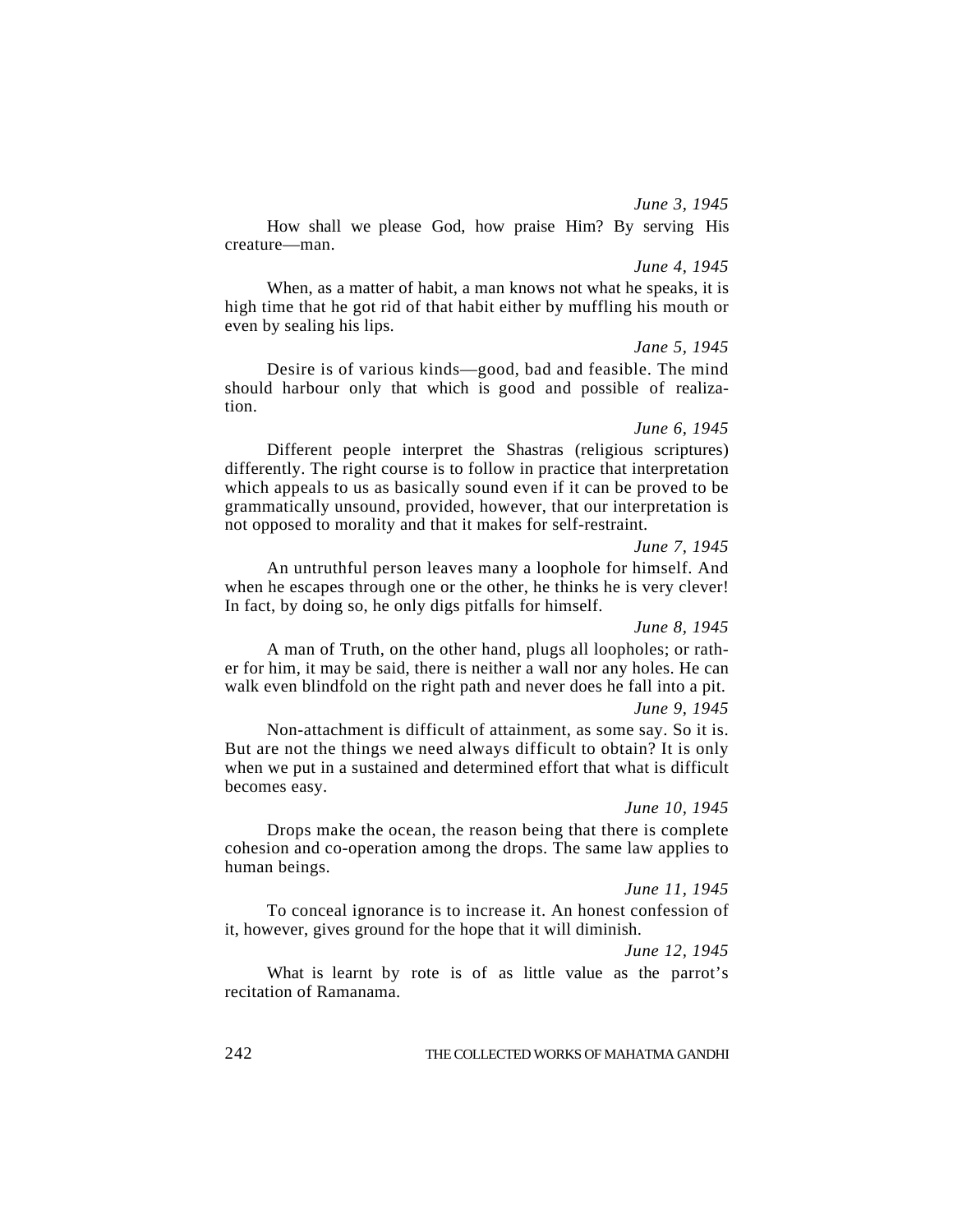*June 3, 1945*

How shall we please God, how praise Him? By serving His creature—man.

*June 4, 1945*

When, as a matter of habit, a man knows not what he speaks, it is high time that he got rid of that habit either by muffling his mouth or even by sealing his lips.

*Jane 5, 1945*

Desire is of various kinds—good, bad and feasible. The mind should harbour only that which is good and possible of realization.

*June 6, 1945*

Different people interpret the Shastras (religious scriptures) differently. The right course is to follow in practice that interpretation which appeals to us as basically sound even if it can be proved to be grammatically unsound, provided, however, that our interpretation is not opposed to morality and that it makes for self-restraint.

*June 7, 1945*

An untruthful person leaves many a loophole for himself. And when he escapes through one or the other, he thinks he is very clever! In fact, by doing so, he only digs pitfalls for himself.

*June 8, 1945*

A man of Truth, on the other hand, plugs all loopholes; or rather for him, it may be said, there is neither a wall nor any holes. He can walk even blindfold on the right path and never does he fall into a pit.

*June 9, 1945*

Non-attachment is difficult of attainment, as some say. So it is. But are not the things we need always difficult to obtain? It is only when we put in a sustained and determined effort that what is difficult becomes easy.

*June 10, 1945*

Drops make the ocean, the reason being that there is complete cohesion and co-operation among the drops. The same law applies to human beings.

*June 11, 1945*

To conceal ignorance is to increase it. An honest confession of it, however, gives ground for the hope that it will diminish.

*June 12, 1945*

What is learnt by rote is of as little value as the parrot's recitation of Ramanama.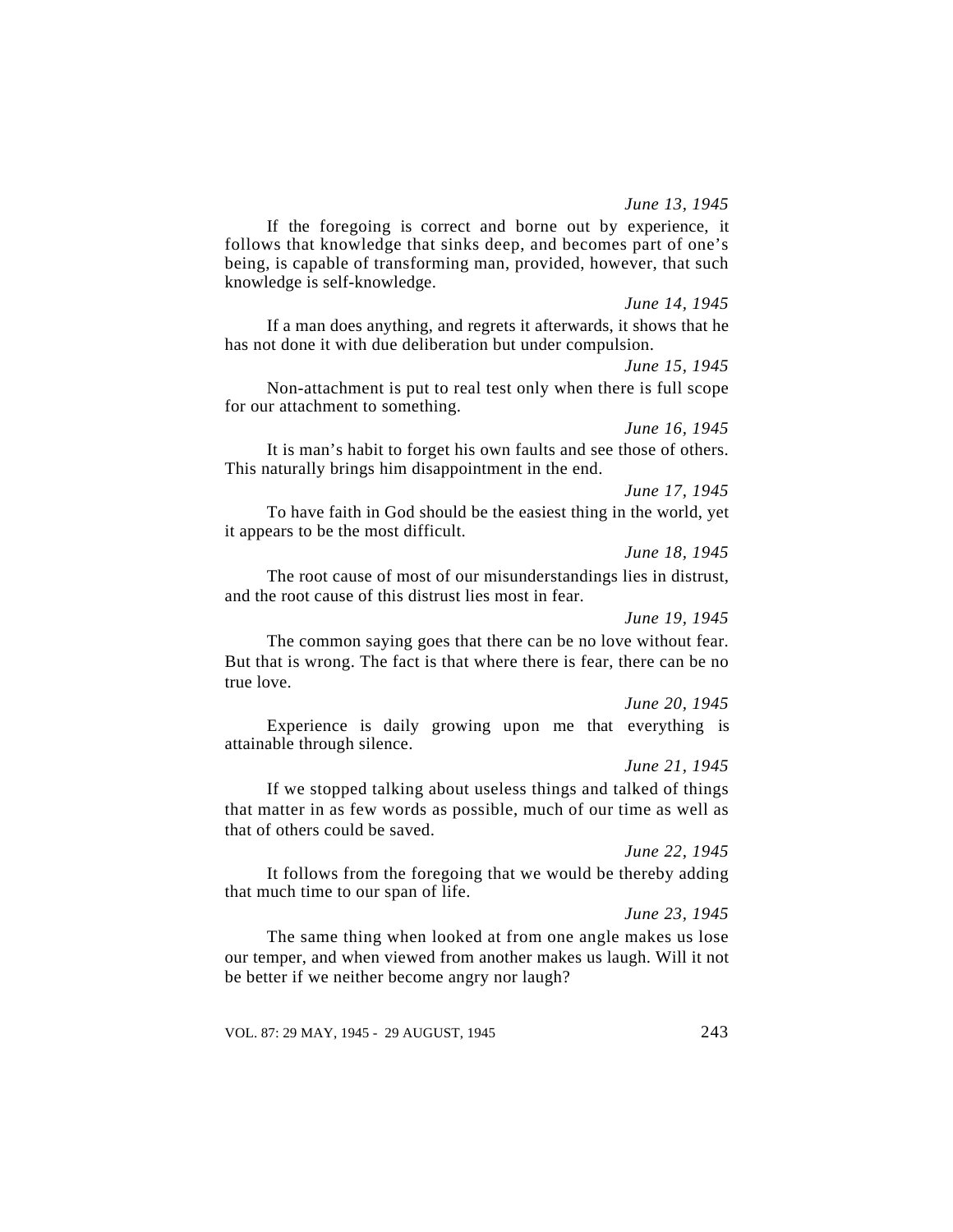*June 13, 1945*

If the foregoing is correct and borne out by experience, it follows that knowledge that sinks deep, and becomes part of one's being, is capable of transforming man, provided, however, that such knowledge is self-knowledge.

*June 14, 1945*

If a man does anything, and regrets it afterwards, it shows that he has not done it with due deliberation but under compulsion.

*June 15, 1945*

Non-attachment is put to real test only when there is full scope for our attachment to something.

*June 16, 1945*

It is man's habit to forget his own faults and see those of others. This naturally brings him disappointment in the end.

*June 17, 1945*

To have faith in God should be the easiest thing in the world, yet it appears to be the most difficult.

*June 18, 1945*

The root cause of most of our misunderstandings lies in distrust, and the root cause of this distrust lies most in fear.

*June 19, 1945*

The common saying goes that there can be no love without fear. But that is wrong. The fact is that where there is fear, there can be no true love.

*June 20, 1945*

Experience is daily growing upon me that everything is attainable through silence.

*June 21, 1945*

If we stopped talking about useless things and talked of things that matter in as few words as possible, much of our time as well as that of others could be saved.

*June 22, 1945*

It follows from the foregoing that we would be thereby adding that much time to our span of life.

*June 23, 1945*

The same thing when looked at from one angle makes us lose our temper, and when viewed from another makes us laugh. Will it not be better if we neither become angry nor laugh?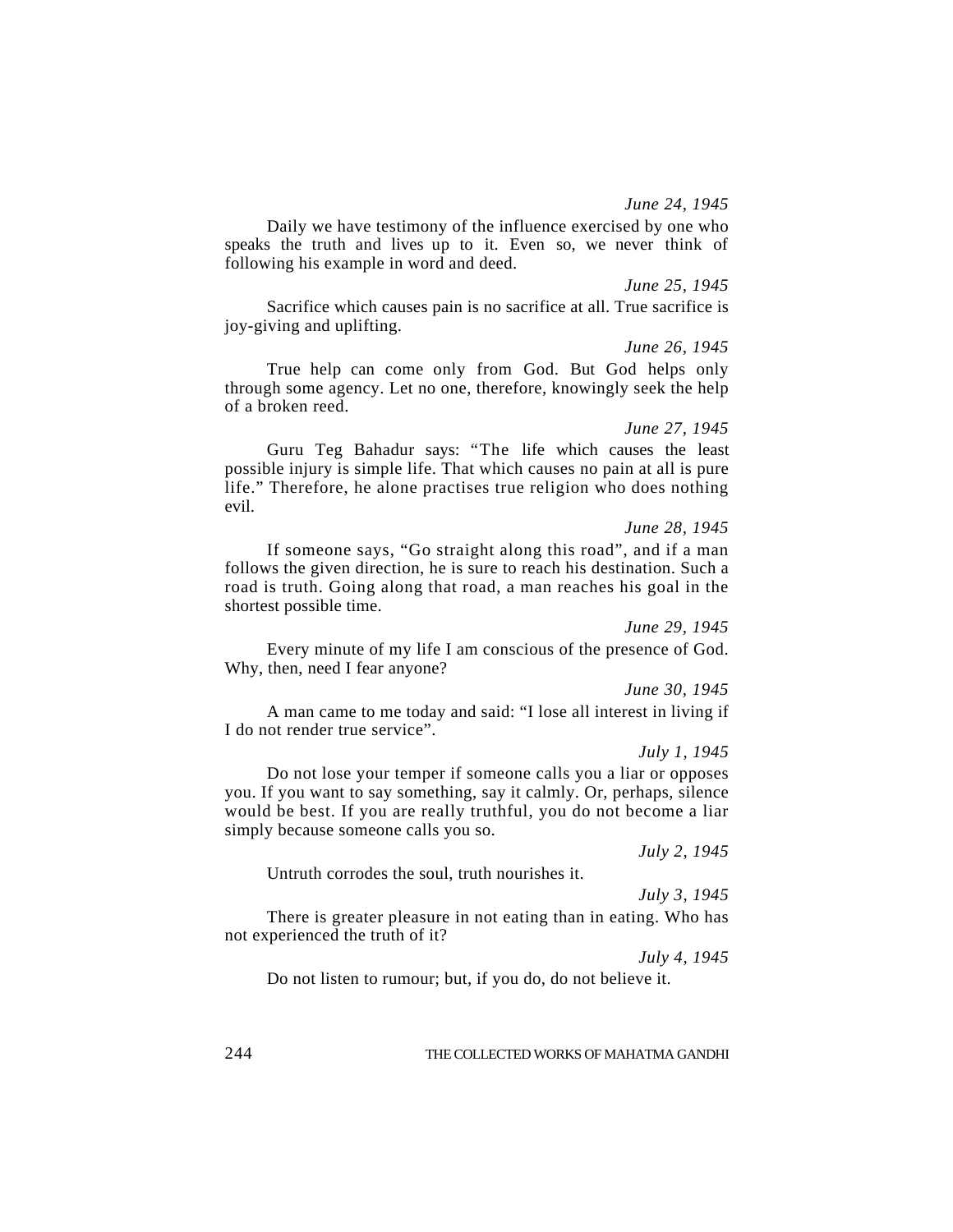244 THE COLLECTED WORKS OF MAHATMA GANDHI

Daily we have testimony of the influence exercised by one who speaks the truth and lives up to it. Even so, we never think of following his example in word and deed.

Sacrifice which causes pain is no sacrifice at all. True sacrifice is joy-giving and uplifting.

True help can come only from God. But God helps only through some agency. Let no one, therefore, knowingly seek the help of a broken reed.

Guru Teg Bahadur says: "The life which causes the least possible injury is simple life. That which causes no pain at all is pure life." Therefore, he alone practises true religion who does nothing evil.

If someone says, "Go straight along this road", and if a man follows the given direction, he is sure to reach his destination. Such a road is truth. Going along that road, a man reaches his goal in the shortest possible time.

Every minute of my life I am conscious of the presence of God. Why, then, need I fear anyone?

A man came to me today and said: "I lose all interest in living if I do not render true service".

*July 1, 1945* Do not lose your temper if someone calls you a liar or opposes you. If you want to say something, say it calmly. Or, perhaps, silence would be best. If you are really truthful, you do not become a liar

simply because someone calls you so.

Untruth corrodes the soul, truth nourishes it.

*July 3, 1945*

*July 2, 1945*

There is greater pleasure in not eating than in eating. Who has not experienced the truth of it?

Do not listen to rumour; but, if you do, do not believe it.

*July 4, 1945*

*June 26, 1945*

*June 25, 1945*

*June 27, 1945*

*June 29, 1945*

*June 30, 1945*

*June 28, 1945*

*June 24, 1945*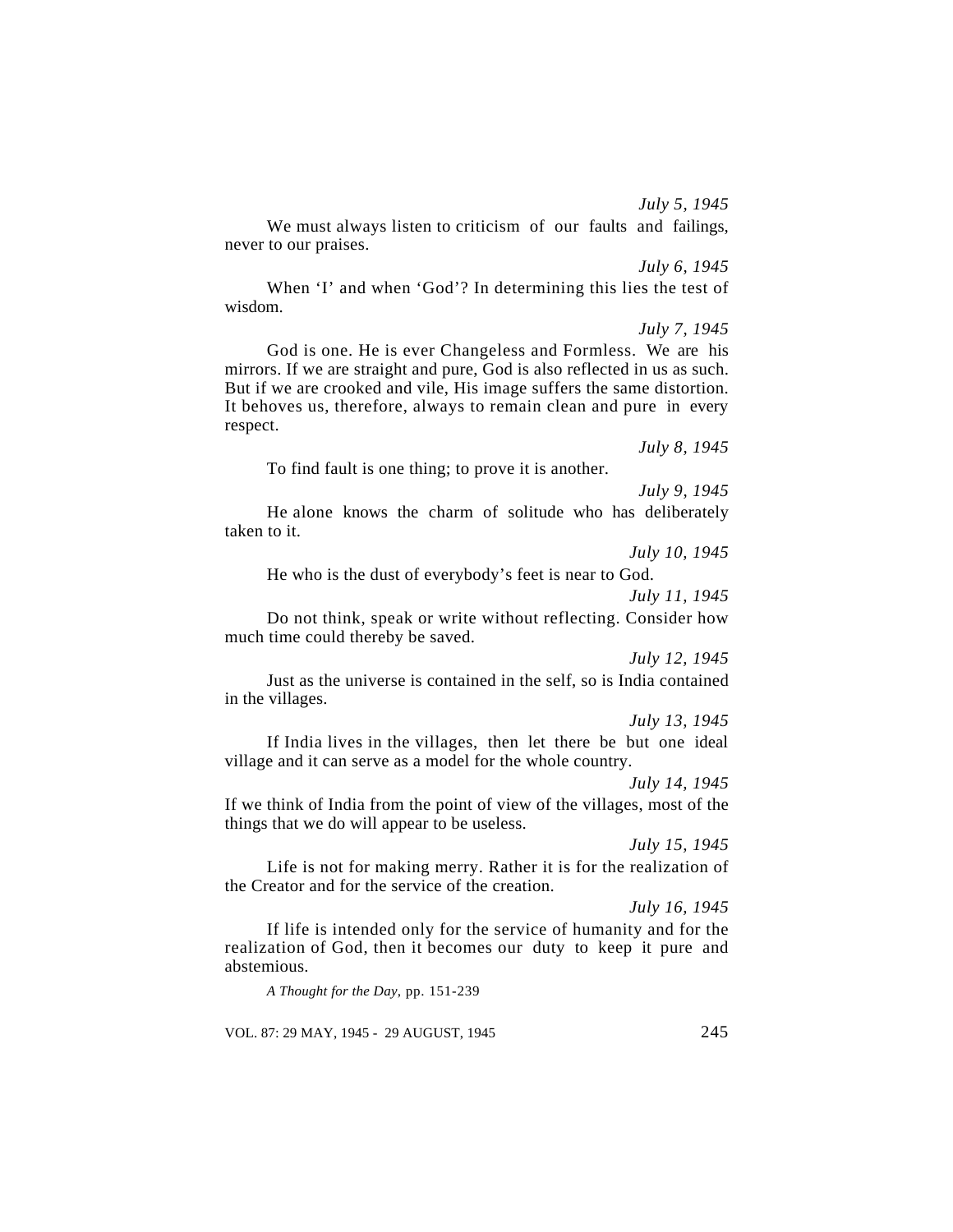*July 5, 1945*

We must always listen to criticism of our faults and failings, never to our praises.

*July 6, 1945*

When 'I' and when 'God'? In determining this lies the test of wisdom.

*July 7, 1945* God is one. He is ever Changeless and Formless. We are his mirrors. If we are straight and pure, God is also reflected in us as such. But if we are crooked and vile, His image suffers the same distortion. It behoves us, therefore, always to remain clean and pure in every respect.

*July 8, 1945*

To find fault is one thing; to prove it is another.

*July 9, 1945*

He alone knows the charm of solitude who has deliberately taken to it.

*July 10, 1945*

He who is the dust of everybody's feet is near to God.

*July 11, 1945*

Do not think, speak or write without reflecting. Consider how much time could thereby be saved.

*July 12, 1945*

Just as the universe is contained in the self, so is India contained in the villages.

*July 13, 1945*

If India lives in the villages, then let there be but one ideal village and it can serve as a model for the whole country.

*July 14, 1945*

If we think of India from the point of view of the villages, most of the things that we do will appear to be useless.

*July 15, 1945*

Life is not for making merry. Rather it is for the realization of the Creator and for the service of the creation.

*July 16, 1945*

If life is intended only for the service of humanity and for the realization of God, then it becomes our duty to keep it pure and abstemious.

*A Thought for the Day*, pp. 151-239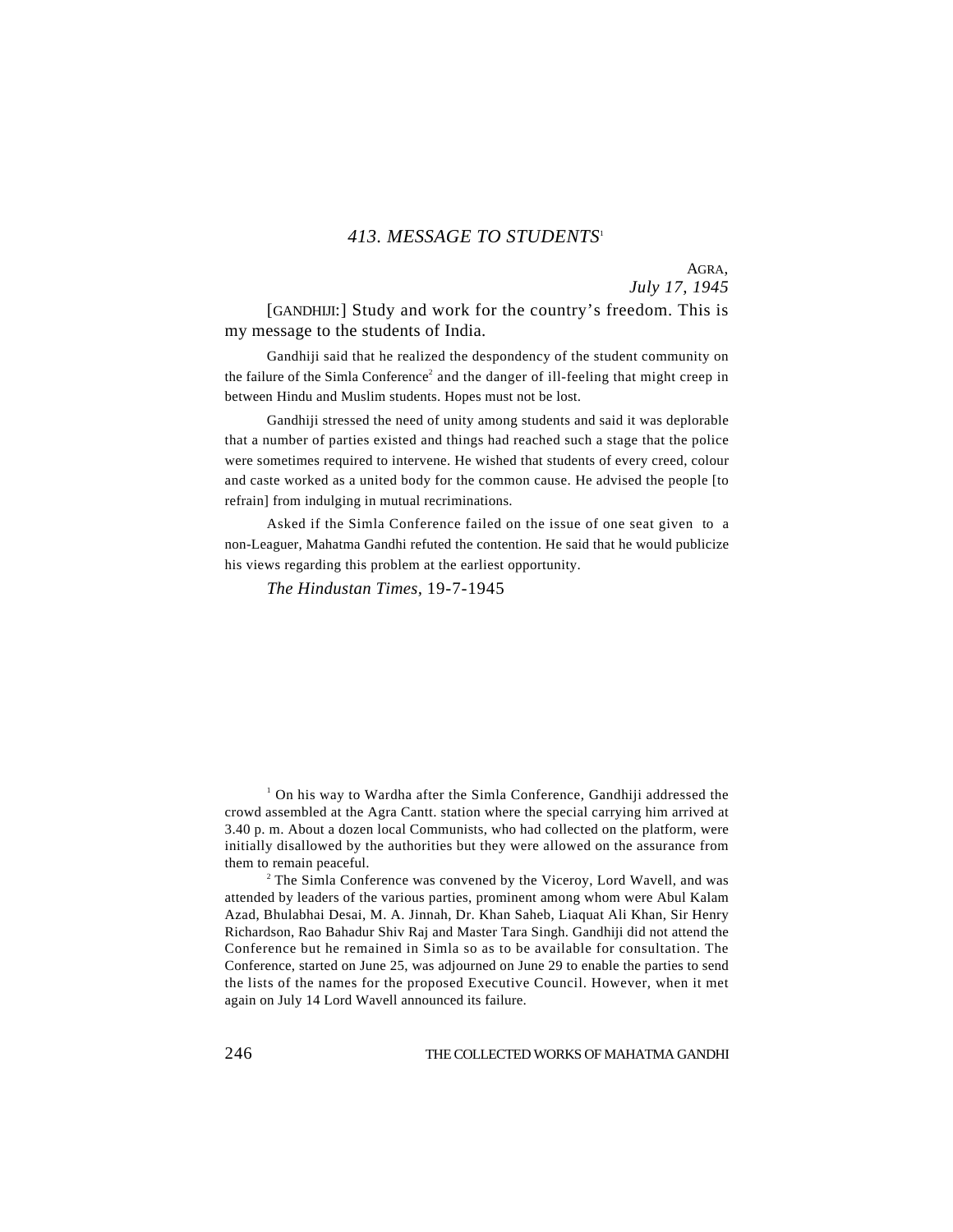## *413. MESSAGE TO STUDENTS*<sup>1</sup>

AGRA, *July 17, 1945*

[GANDHIJI:] Study and work for the country's freedom. This is my message to the students of India.

Gandhiji said that he realized the despondency of the student community on the failure of the Simla Conference<sup>2</sup> and the danger of ill-feeling that might creep in between Hindu and Muslim students. Hopes must not be lost.

Gandhiji stressed the need of unity among students and said it was deplorable that a number of parties existed and things had reached such a stage that the police were sometimes required to intervene. He wished that students of every creed, colour and caste worked as a united body for the common cause. He advised the people [to refrain] from indulging in mutual recriminations.

Asked if the Simla Conference failed on the issue of one seat given to a non-Leaguer, Mahatma Gandhi refuted the contention. He said that he would publicize his views regarding this problem at the earliest opportunity.

*The Hindustan Times,* 19-7-1945

<sup>1</sup> On his way to Wardha after the Simla Conference, Gandhiji addressed the crowd assembled at the Agra Cantt. station where the special carrying him arrived at 3.40 p. m. About a dozen local Communists, who had collected on the platform, were initially disallowed by the authorities but they were allowed on the assurance from them to remain peaceful.

<sup>2</sup> The Simla Conference was convened by the Viceroy, Lord Wavell, and was attended by leaders of the various parties, prominent among whom were Abul Kalam Azad, Bhulabhai Desai, M. A. Jinnah, Dr. Khan Saheb, Liaquat Ali Khan, Sir Henry Richardson, Rao Bahadur Shiv Raj and Master Tara Singh. Gandhiji did not attend the Conference but he remained in Simla so as to be available for consultation. The Conference, started on June 25, was adjourned on June 29 to enable the parties to send the lists of the names for the proposed Executive Council. However, when it met again on July 14 Lord Wavell announced its failure.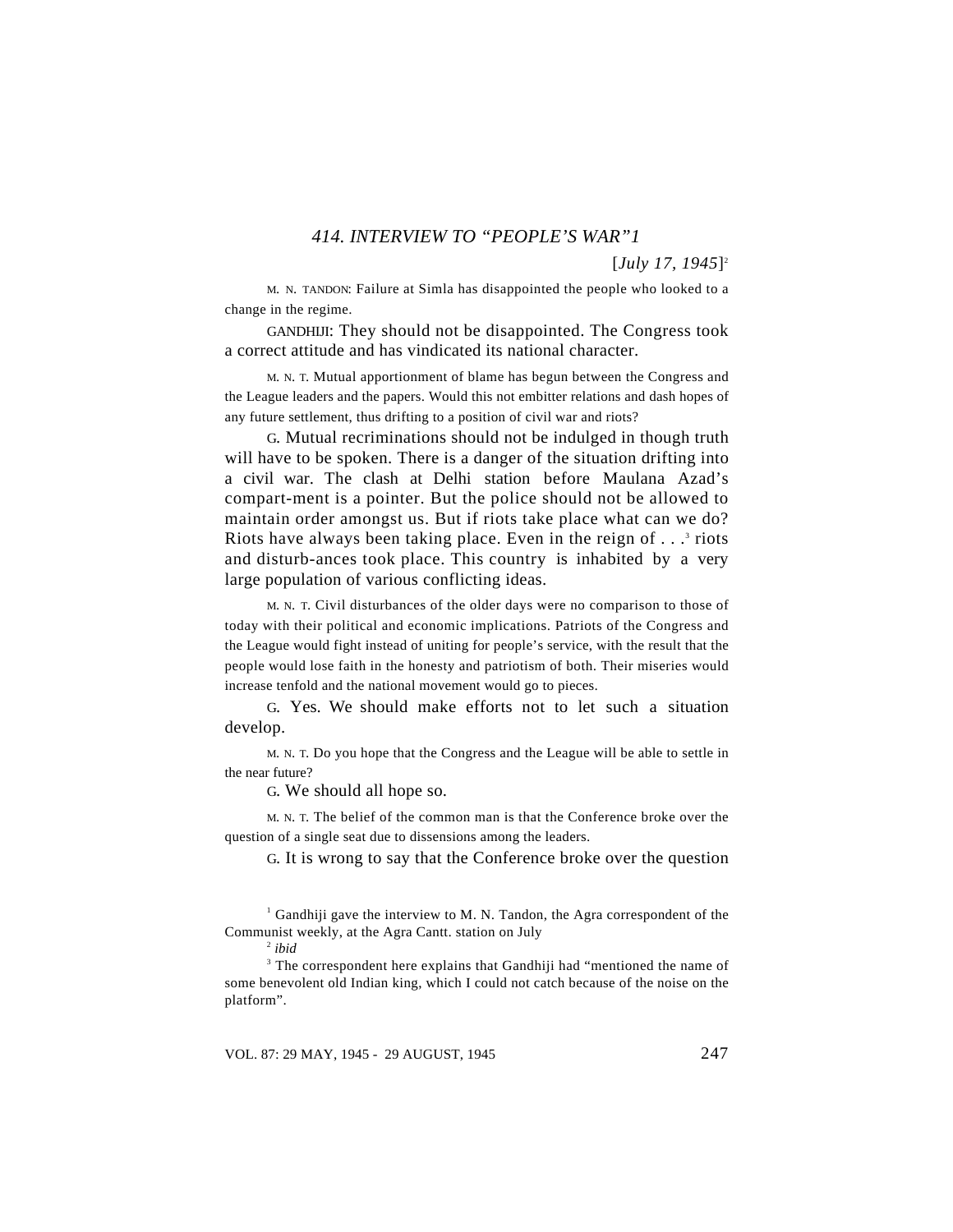### *414. INTERVIEW TO "PEOPLE'S WAR"1*

[*July 17, 1945*] 2

M. N. TANDON: Failure at Simla has disappointed the people who looked to a change in the regime.

GANDHIJI: They should not be disappointed. The Congress took a correct attitude and has vindicated its national character.

M. N. T. Mutual apportionment of blame has begun between the Congress and the League leaders and the papers. Would this not embitter relations and dash hopes of any future settlement, thus drifting to a position of civil war and riots?

G. Mutual recriminations should not be indulged in though truth will have to be spoken. There is a danger of the situation drifting into a civil war. The clash at Delhi station before Maulana Azad's compart-ment is a pointer. But the police should not be allowed to maintain order amongst us. But if riots take place what can we do? Riots have always been taking place. Even in the reign of  $\dots$ <sup>3</sup> riots and disturb-ances took place. This country is inhabited by a very large population of various conflicting ideas.

M. N. T. Civil disturbances of the older days were no comparison to those of today with their political and economic implications. Patriots of the Congress and the League would fight instead of uniting for people's service, with the result that the people would lose faith in the honesty and patriotism of both. Their miseries would increase tenfold and the national movement would go to pieces.

G. Yes. We should make efforts not to let such a situation develop.

M. N. T. Do you hope that the Congress and the League will be able to settle in the near future?

G. We should all hope so.

M. N. T. The belief of the common man is that the Conference broke over the question of a single seat due to dissensions among the leaders.

G. It is wrong to say that the Conference broke over the question

 $1$  Gandhiji gave the interview to M. N. Tandon, the Agra correspondent of the Communist weekly, at the Agra Cantt. station on July

2 *ibid*

<sup>3</sup> The correspondent here explains that Gandhiji had "mentioned the name of some benevolent old Indian king, which I could not catch because of the noise on the platform".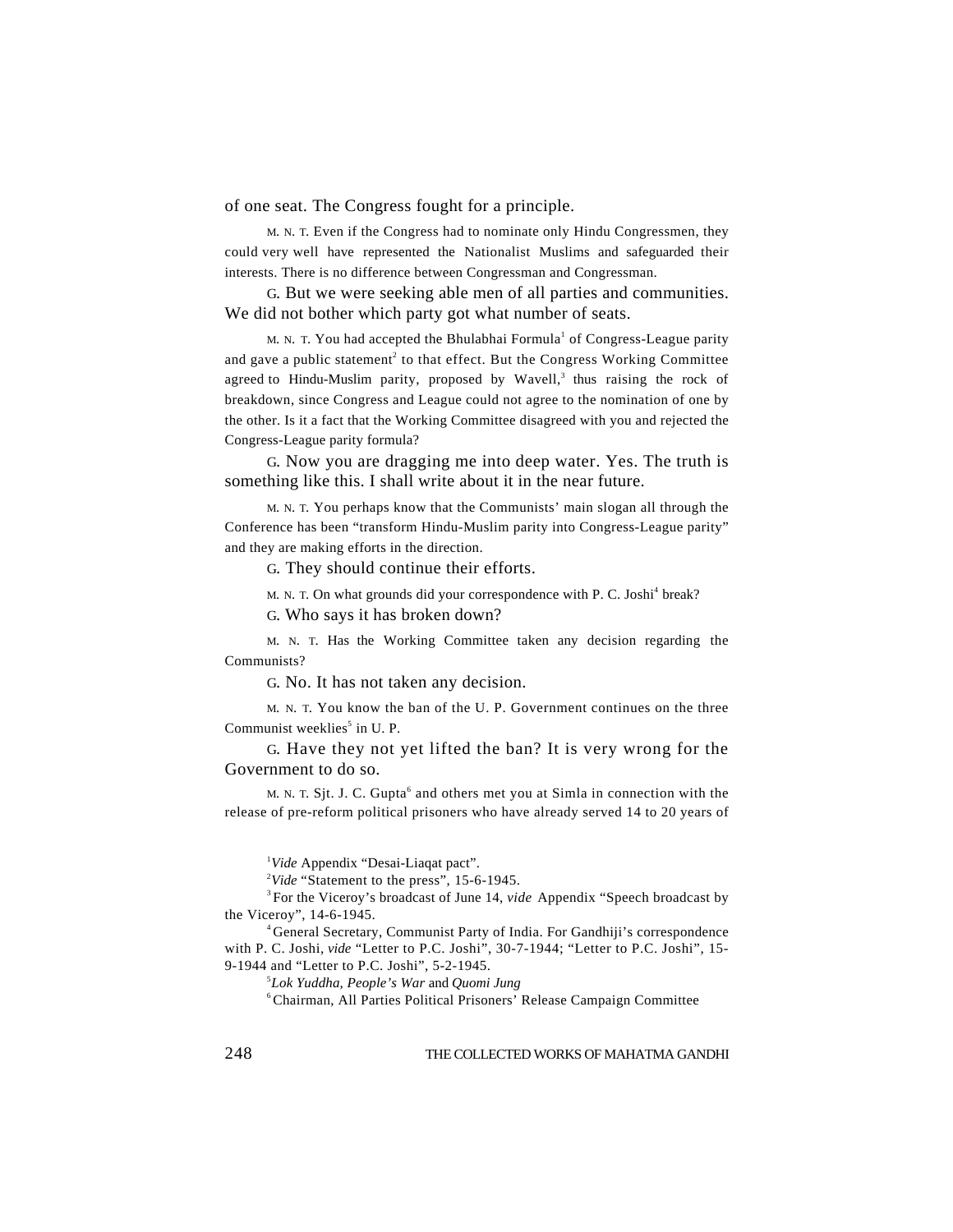of one seat. The Congress fought for a principle.

M. N. T. Even if the Congress had to nominate only Hindu Congressmen, they could very well have represented the Nationalist Muslims and safeguarded their interests. There is no difference between Congressman and Congressman.

G. But we were seeking able men of all parties and communities. We did not bother which party got what number of seats.

M. N. T. You had accepted the Bhulabhai Formula<sup>1</sup> of Congress-League parity and gave a public statement<sup>2</sup> to that effect. But the Congress Working Committee agreed to Hindu-Muslim parity, proposed by Wavell,<sup>3</sup> thus raising the rock of breakdown, since Congress and League could not agree to the nomination of one by the other. Is it a fact that the Working Committee disagreed with you and rejected the Congress-League parity formula?

G. Now you are dragging me into deep water. Yes. The truth is something like this. I shall write about it in the near future.

M. N. T. You perhaps know that the Communists' main slogan all through the Conference has been "transform Hindu-Muslim parity into Congress-League parity" and they are making efforts in the direction.

G. They should continue their efforts.

M. N. T. On what grounds did your correspondence with P. C. Joshi<sup>4</sup> break?

G. Who says it has broken down?

M. N. T. Has the Working Committee taken any decision regarding the Communists?

G. No. It has not taken any decision.

M. N. T. You know the ban of the U. P. Government continues on the three Communist weeklies<sup>5</sup> in U.P.

G. Have they not yet lifted the ban? It is very wrong for the Government to do so.

M. N. T. Sjt. J. C. Gupta<sup>6</sup> and others met you at Simla in connection with the release of pre-reform political prisoners who have already served 14 to 20 years of

<sup>1</sup>*Vide* Appendix "Desai-Liaqat pact".

<sup>2</sup>*Vide* "Statement to the press", 15-6-1945.

<sup>3</sup>For the Viceroy's broadcast of June 14, *vide* Appendix "Speech broadcast by the Viceroy", 14-6-1945.

<sup>4</sup>General Secretary, Communist Party of India. For Gandhiji's correspondence with P. C. Joshi, *vide* "Letter to P.C. Joshi", 30-7-1944; "Letter to P.C. Joshi", 15- 9-1944 and "Letter to P.C. Joshi", 5-2-1945.

5 *Lok Yuddha, People's War* and *Quomi Jung*

6 Chairman, All Parties Political Prisoners' Release Campaign Committee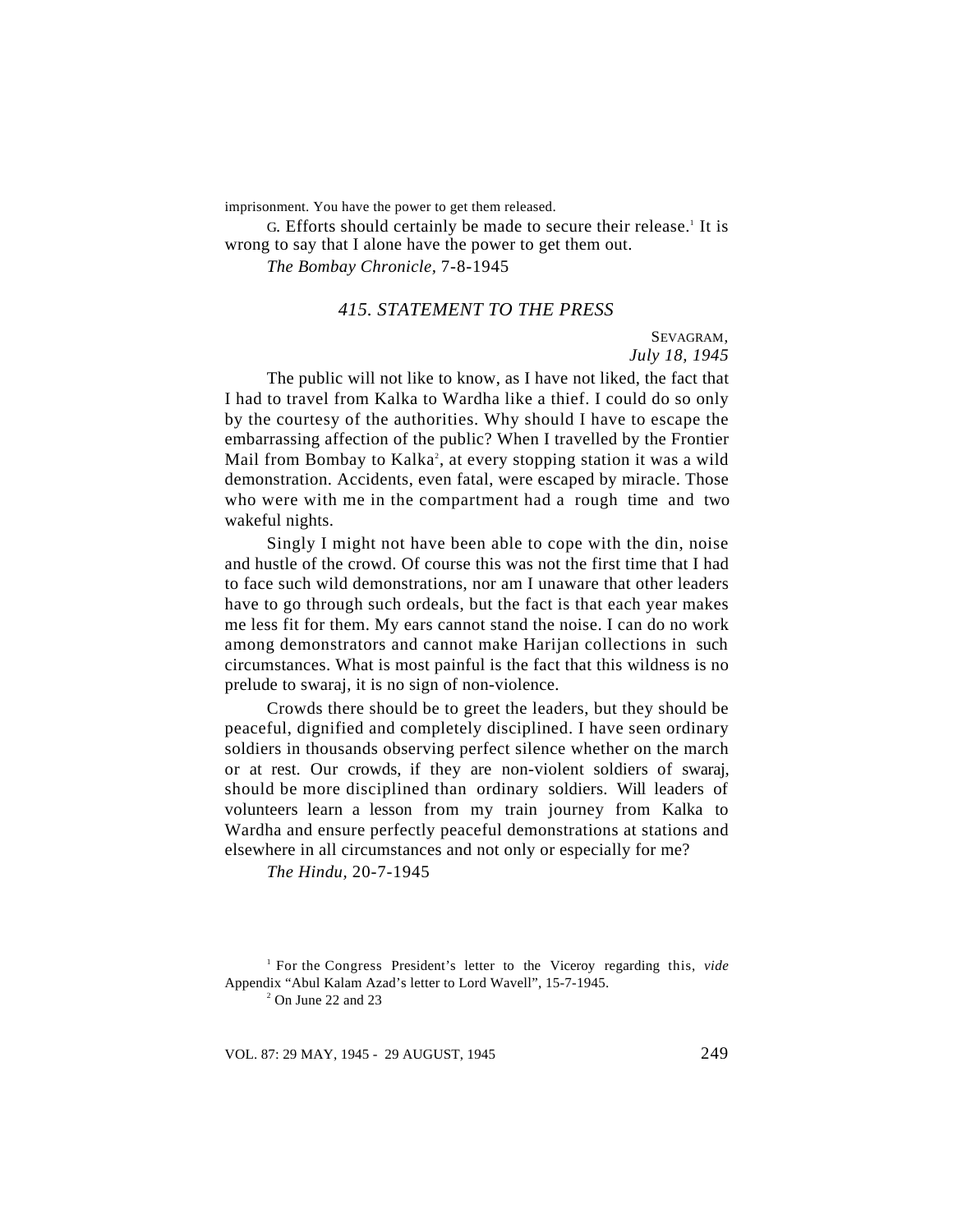imprisonment. You have the power to get them released.

G. Efforts should certainly be made to secure their release.<sup>1</sup> It is wrong to say that I alone have the power to get them out.

*The Bombay Chronicle,* 7-8-1945

## *415. STATEMENT TO THE PRESS*

SEVAGRAM, *July 18, 1945*

The public will not like to know, as I have not liked, the fact that I had to travel from Kalka to Wardha like a thief. I could do so only by the courtesy of the authorities. Why should I have to escape the embarrassing affection of the public? When I travelled by the Frontier Mail from Bombay to Kalka<sup>2</sup>, at every stopping station it was a wild demonstration. Accidents, even fatal, were escaped by miracle. Those who were with me in the compartment had a rough time and two wakeful nights.

Singly I might not have been able to cope with the din, noise and hustle of the crowd. Of course this was not the first time that I had to face such wild demonstrations, nor am I unaware that other leaders have to go through such ordeals, but the fact is that each year makes me less fit for them. My ears cannot stand the noise. I can do no work among demonstrators and cannot make Harijan collections in such circumstances. What is most painful is the fact that this wildness is no prelude to swaraj, it is no sign of non-violence.

Crowds there should be to greet the leaders, but they should be peaceful, dignified and completely disciplined. I have seen ordinary soldiers in thousands observing perfect silence whether on the march or at rest. Our crowds, if they are non-violent soldiers of swaraj, should be more disciplined than ordinary soldiers. Will leaders of volunteers learn a lesson from my train journey from Kalka to Wardha and ensure perfectly peaceful demonstrations at stations and elsewhere in all circumstances and not only or especially for me?

*The Hindu,* 20-7-1945

<sup>&</sup>lt;sup>1</sup> For the Congress President's letter to the Viceroy regarding this, *vide* Appendix "Abul Kalam Azad's letter to Lord Wavell", 15-7-1945.

 $2$  On June 22 and 23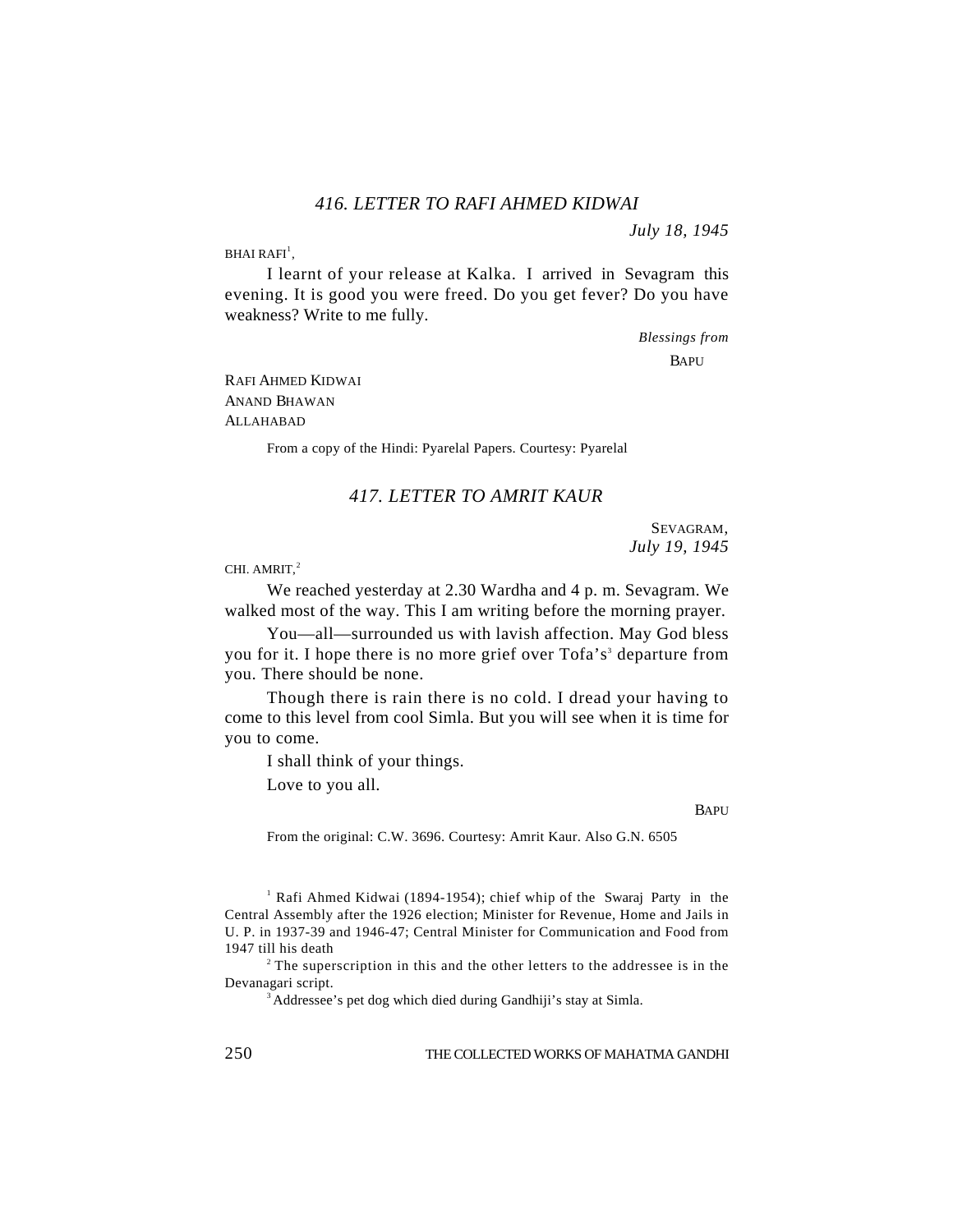*July 18, 1945*

 $\mathbf{B}\mathbf{H}\mathbf{A}\mathbf{I}\mathbf{R}\mathbf{A}\mathbf{F}\mathbf{I}^{1},$ 

I learnt of your release at Kalka. I arrived in Sevagram this evening. It is good you were freed. Do you get fever? Do you have weakness? Write to me fully.

> *Blessings from* **BAPU**

RAFI AHMED KIDWAI ANAND BHAWAN ALLAHABAD

From a copy of the Hindi: Pyarelal Papers. Courtesy: Pyarelal

## *417. LETTER TO AMRIT KAUR*

SEVAGRAM, *July 19, 1945*

CHI. AMRIT.<sup>2</sup>

We reached yesterday at 2.30 Wardha and 4 p. m. Sevagram. We walked most of the way. This I am writing before the morning prayer.

You—all—surrounded us with lavish affection. May God bless you for it. I hope there is no more grief over Tofa's<sup>3</sup> departure from you. There should be none.

Though there is rain there is no cold. I dread your having to come to this level from cool Simla. But you will see when it is time for you to come.

I shall think of your things. Love to you all.

**BAPU** 

From the original: C.W. 3696. Courtesy: Amrit Kaur. Also G.N. 6505

<sup>1</sup> Rafi Ahmed Kidwai (1894-1954); chief whip of the Swaraj Party in the Central Assembly after the 1926 election; Minister for Revenue, Home and Jails in U. P. in 1937-39 and 1946-47; Central Minister for Communication and Food from 1947 till his death

 $2$ <sup>2</sup> The superscription in this and the other letters to the addressee is in the Devanagari script.

<sup>3</sup> Addressee's pet dog which died during Gandhiji's stay at Simla.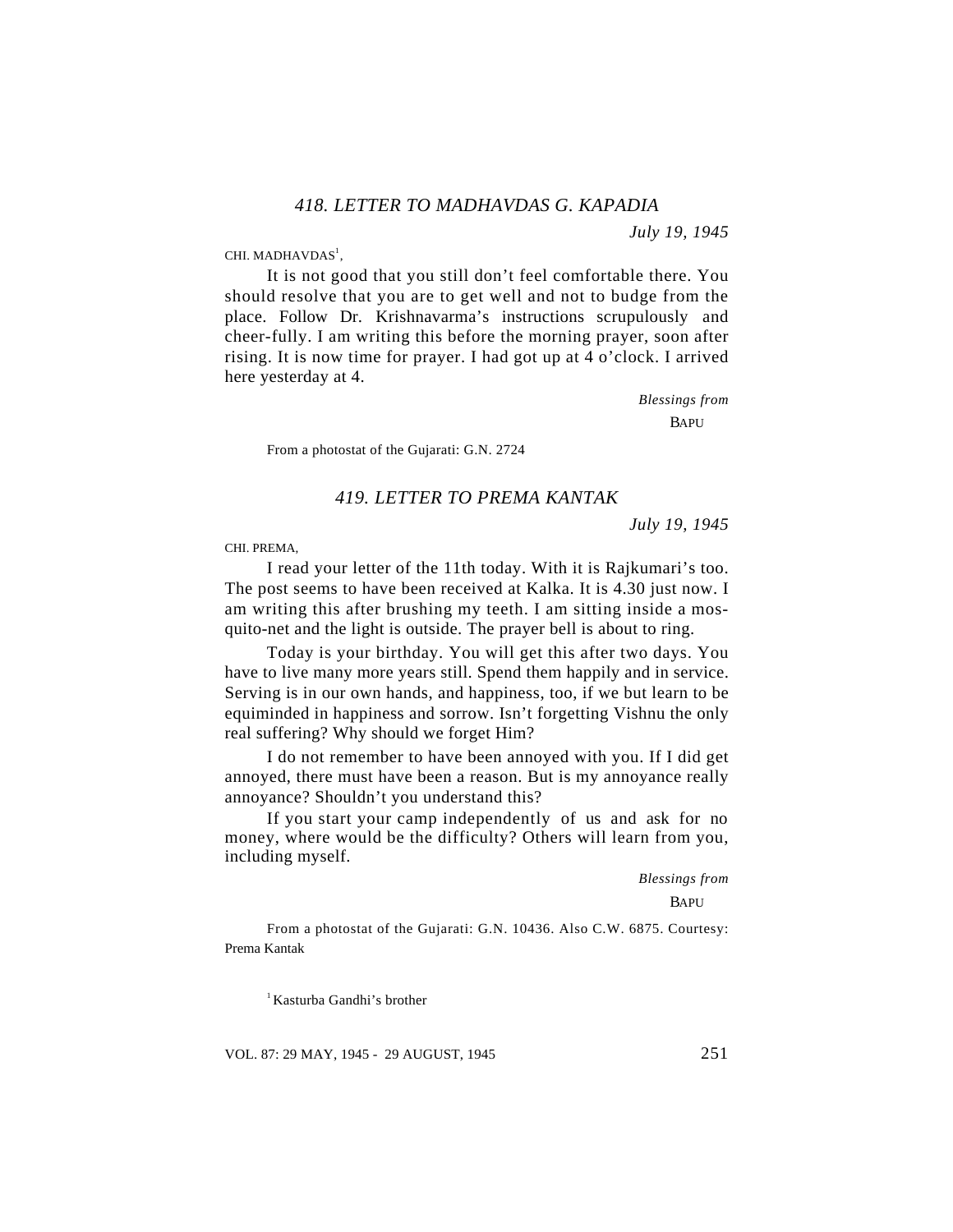*July 19, 1945*

CHI. MADHAVDAS<sup>1</sup>,

It is not good that you still don't feel comfortable there. You should resolve that you are to get well and not to budge from the place. Follow Dr. Krishnavarma's instructions scrupulously and cheer-fully. I am writing this before the morning prayer, soon after rising. It is now time for prayer. I had got up at 4 o'clock. I arrived here yesterday at 4.

> *Blessings from* **BAPU**

From a photostat of the Gujarati: G.N. 2724

## *419. LETTER TO PREMA KANTAK*

*July 19, 1945*

CHI. PREMA,

I read your letter of the 11th today. With it is Rajkumari's too. The post seems to have been received at Kalka. It is 4.30 just now. I am writing this after brushing my teeth. I am sitting inside a mosquito-net and the light is outside. The prayer bell is about to ring.

Today is your birthday. You will get this after two days. You have to live many more years still. Spend them happily and in service. Serving is in our own hands, and happiness, too, if we but learn to be equiminded in happiness and sorrow. Isn't forgetting Vishnu the only real suffering? Why should we forget Him?

I do not remember to have been annoyed with you. If I did get annoyed, there must have been a reason. But is my annoyance really annoyance? Shouldn't you understand this?

If you start your camp independently of us and ask for no money, where would be the difficulty? Others will learn from you, including myself.

*Blessings from*

**BAPU** 

From a photostat of the Gujarati: G.N. 10436. Also C.W. 6875. Courtesy: Prema Kantak

1 Kasturba Gandhi's brother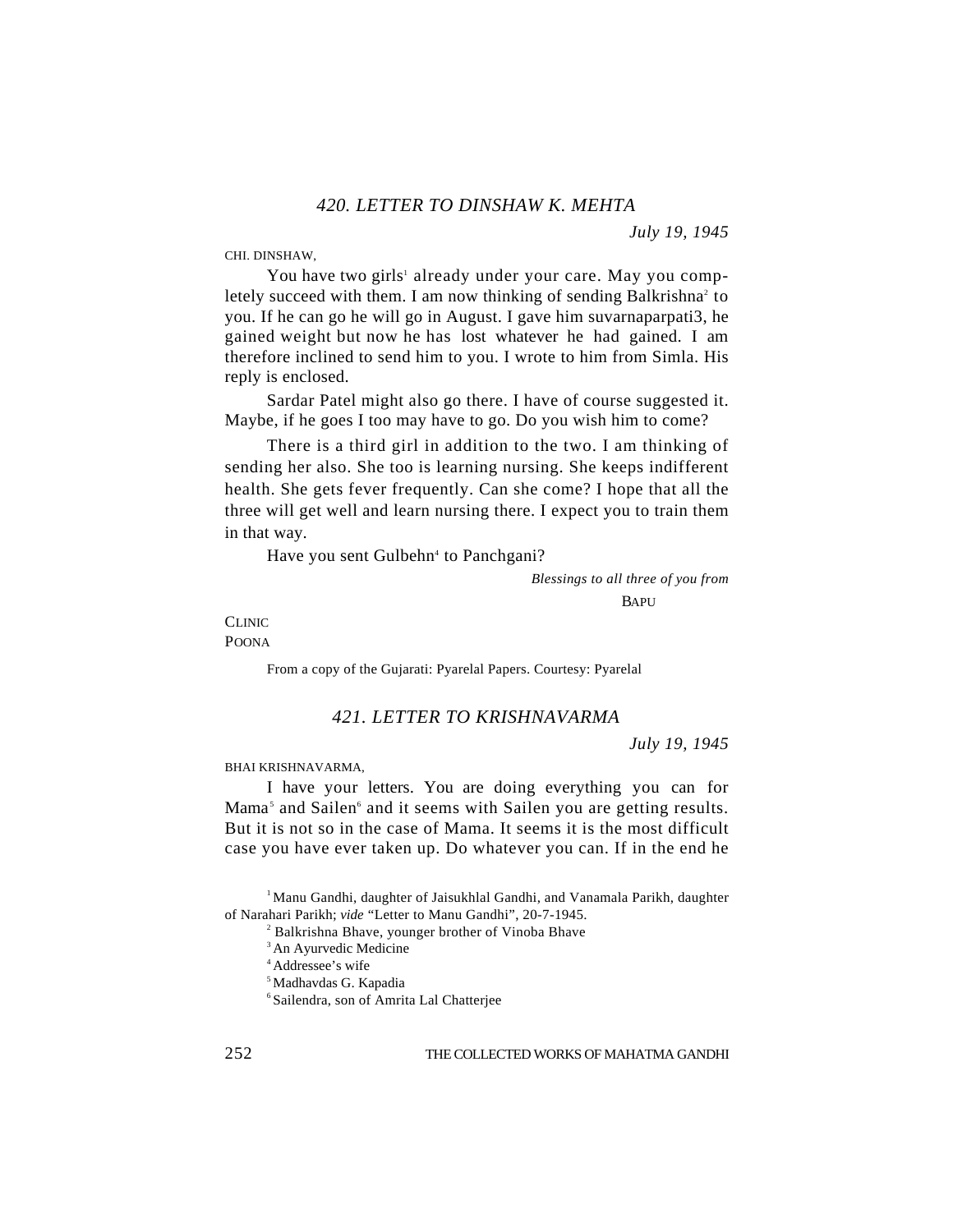*July 19, 1945*

CHI. DINSHAW,

You have two girls' already under your care. May you completely succeed with them. I am now thinking of sending Balkrishna<sup>2</sup> to you. If he can go he will go in August. I gave him suvarnaparpati3, he gained weight but now he has lost whatever he had gained. I am therefore inclined to send him to you. I wrote to him from Simla. His reply is enclosed.

Sardar Patel might also go there. I have of course suggested it. Maybe, if he goes I too may have to go. Do you wish him to come?

There is a third girl in addition to the two. I am thinking of sending her also. She too is learning nursing. She keeps indifferent health. She gets fever frequently. Can she come? I hope that all the three will get well and learn nursing there. I expect you to train them in that way.

Have you sent Gulbehn<sup>4</sup> to Panchgani?

*Blessings to all three of you from* BAPU

**CLINIC** 

POONA

From a copy of the Gujarati: Pyarelal Papers. Courtesy: Pyarelal

## *421. LETTER TO KRISHNAVARMA*

*July 19, 1945*

BHAI KRISHNAVARMA,

I have your letters. You are doing everything you can for Mama<sup>5</sup> and Sailen<sup>6</sup> and it seems with Sailen you are getting results. But it is not so in the case of Mama. It seems it is the most difficult case you have ever taken up. Do whatever you can. If in the end he

<sup>1</sup> Manu Gandhi, daughter of Jaisukhlal Gandhi, and Vanamala Parikh, daughter of Narahari Parikh; *vide* "Letter to Manu Gandhi", 20-7-1945.

 $2$  Balkrishna Bhave, younger brother of Vinoba Bhave

<sup>3</sup> An Ayurvedic Medicine

<sup>4</sup> Addressee's wife

<sup>5</sup> Madhavdas G. Kapadia

<sup>6</sup> Sailendra, son of Amrita Lal Chatterjee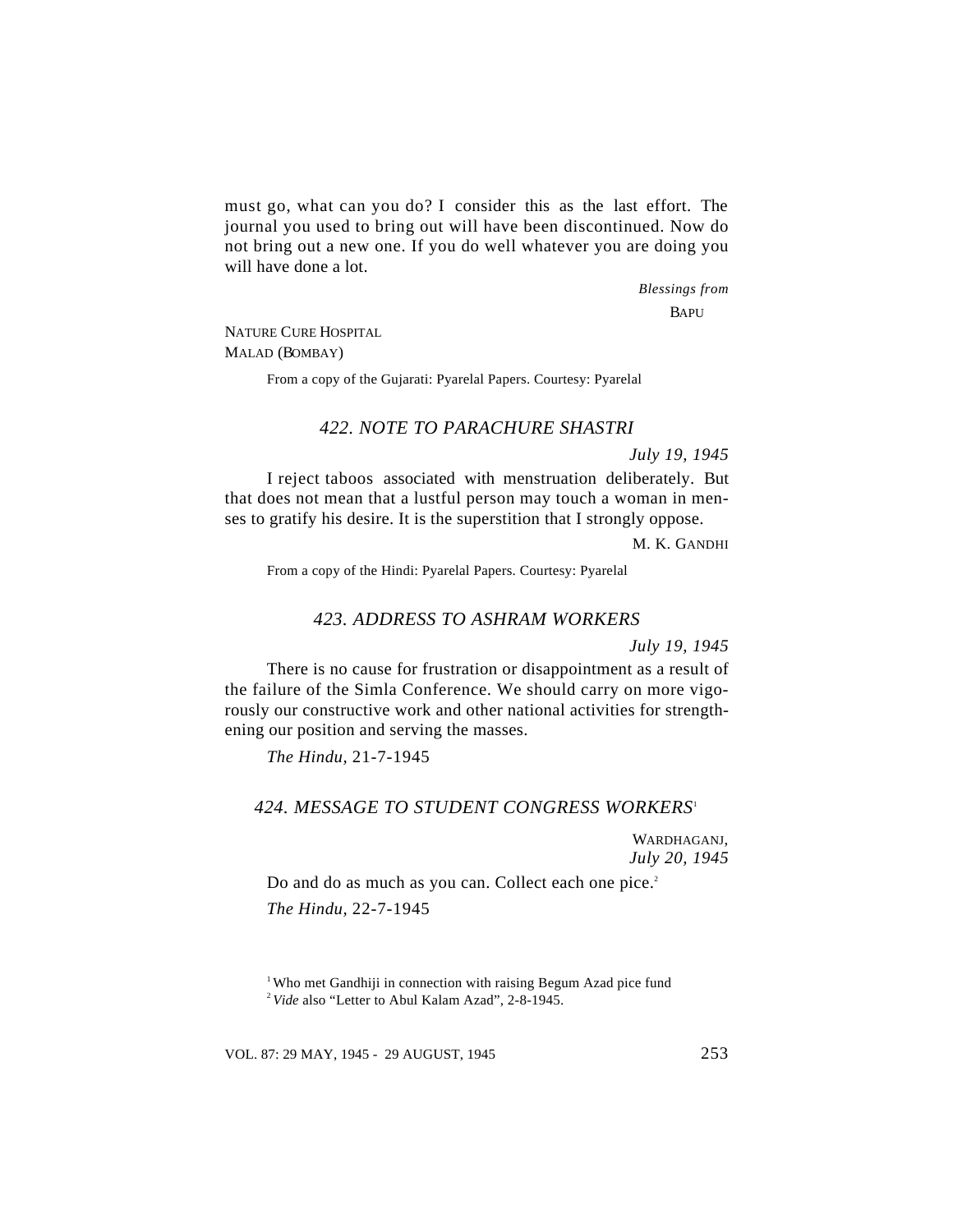must go, what can you do? I consider this as the last effort. The journal you used to bring out will have been discontinued. Now do not bring out a new one. If you do well whatever you are doing you will have done a lot.

> *Blessings from* **BAPU**

NATURE CURE HOSPITAL MALAD (BOMBAY)

From a copy of the Gujarati: Pyarelal Papers. Courtesy: Pyarelal

## *422. NOTE TO PARACHURE SHASTRI*

*July 19, 1945*

I reject taboos associated with menstruation deliberately. But that does not mean that a lustful person may touch a woman in menses to gratify his desire. It is the superstition that I strongly oppose.

M. K. GANDHI

From a copy of the Hindi: Pyarelal Papers. Courtesy: Pyarelal

## *423. ADDRESS TO ASHRAM WORKERS*

*July 19, 1945*

There is no cause for frustration or disappointment as a result of the failure of the Simla Conference. We should carry on more vigorously our constructive work and other national activities for strengthening our position and serving the masses.

*The Hindu,* 21-7-1945

## *424. MESSAGE TO STUDENT CONGRESS WORKERS*<sup>1</sup>

WARDHAGANJ, *July 20, 1945*

Do and do as much as you can. Collect each one pice.<sup>2</sup> *The Hindu,* 22-7-1945

<sup>&</sup>lt;sup>1</sup> Who met Gandhiji in connection with raising Begum Azad pice fund <sup>2</sup>*Vide* also "Letter to Abul Kalam Azad", 2-8-1945.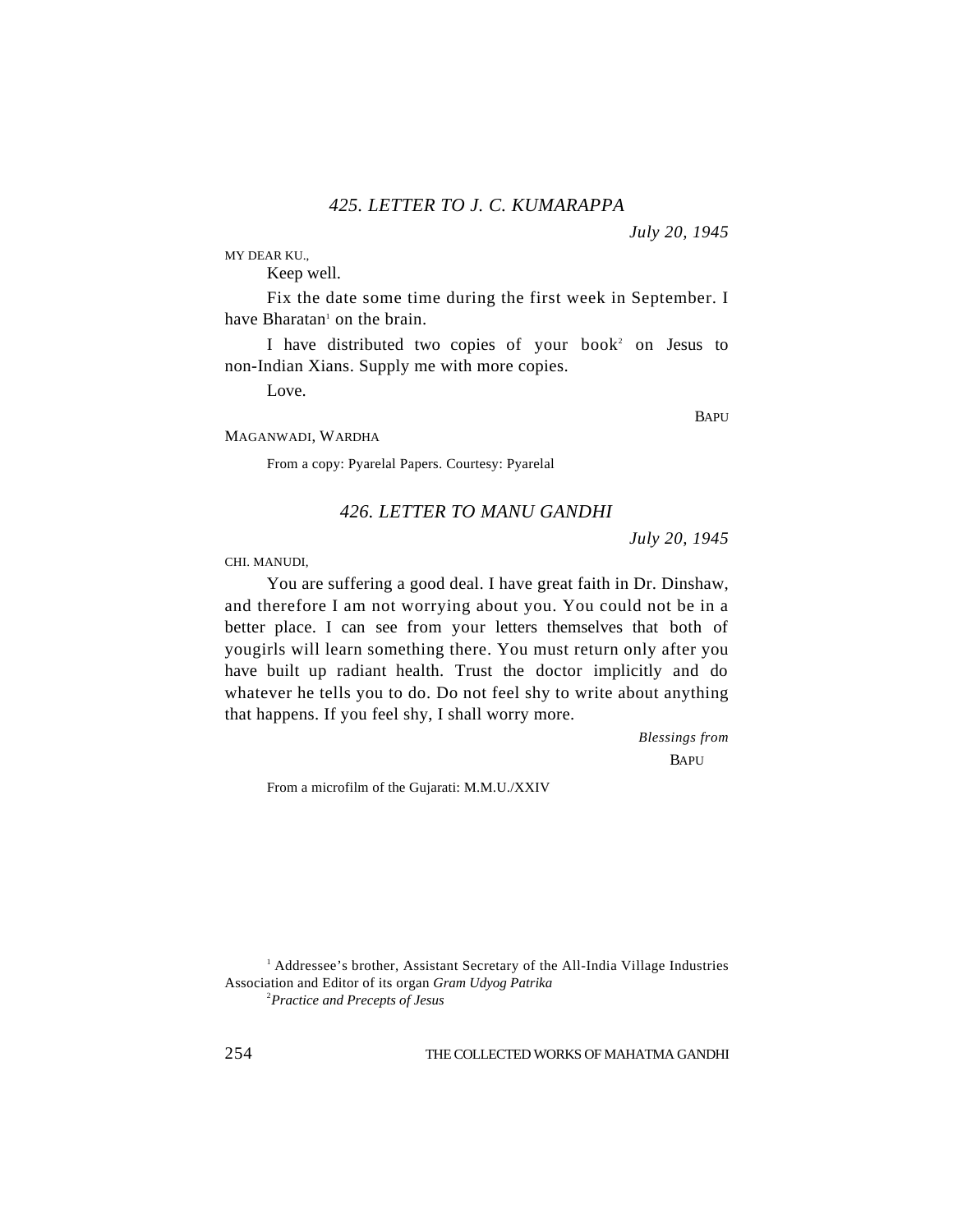*July 20, 1945*

MY DEAR KU.,

Keep well.

Fix the date some time during the first week in September. I have Bharatan<sup>1</sup> on the brain.

I have distributed two copies of your book<sup>2</sup> on Jesus to non-Indian Xians. Supply me with more copies.

Love.

**BAPU** 

MAGANWADI, WARDHA

From a copy: Pyarelal Papers. Courtesy: Pyarelal

## *426. LETTER TO MANU GANDHI*

*July 20, 1945*

CHI. MANUDI,

You are suffering a good deal. I have great faith in Dr. Dinshaw, and therefore I am not worrying about you. You could not be in a better place. I can see from your letters themselves that both of yougirls will learn something there. You must return only after you have built up radiant health. Trust the doctor implicitly and do whatever he tells you to do. Do not feel shy to write about anything that happens. If you feel shy, I shall worry more.

> *Blessings from* **BAPU**

From a microfilm of the Gujarati: M.M.U./XXIV

<sup>1</sup> Addressee's brother, Assistant Secretary of the All-India Village Industries Association and Editor of its organ *Gram Udyog Patrika* <sup>2</sup>*Practice and Precepts of Jesus*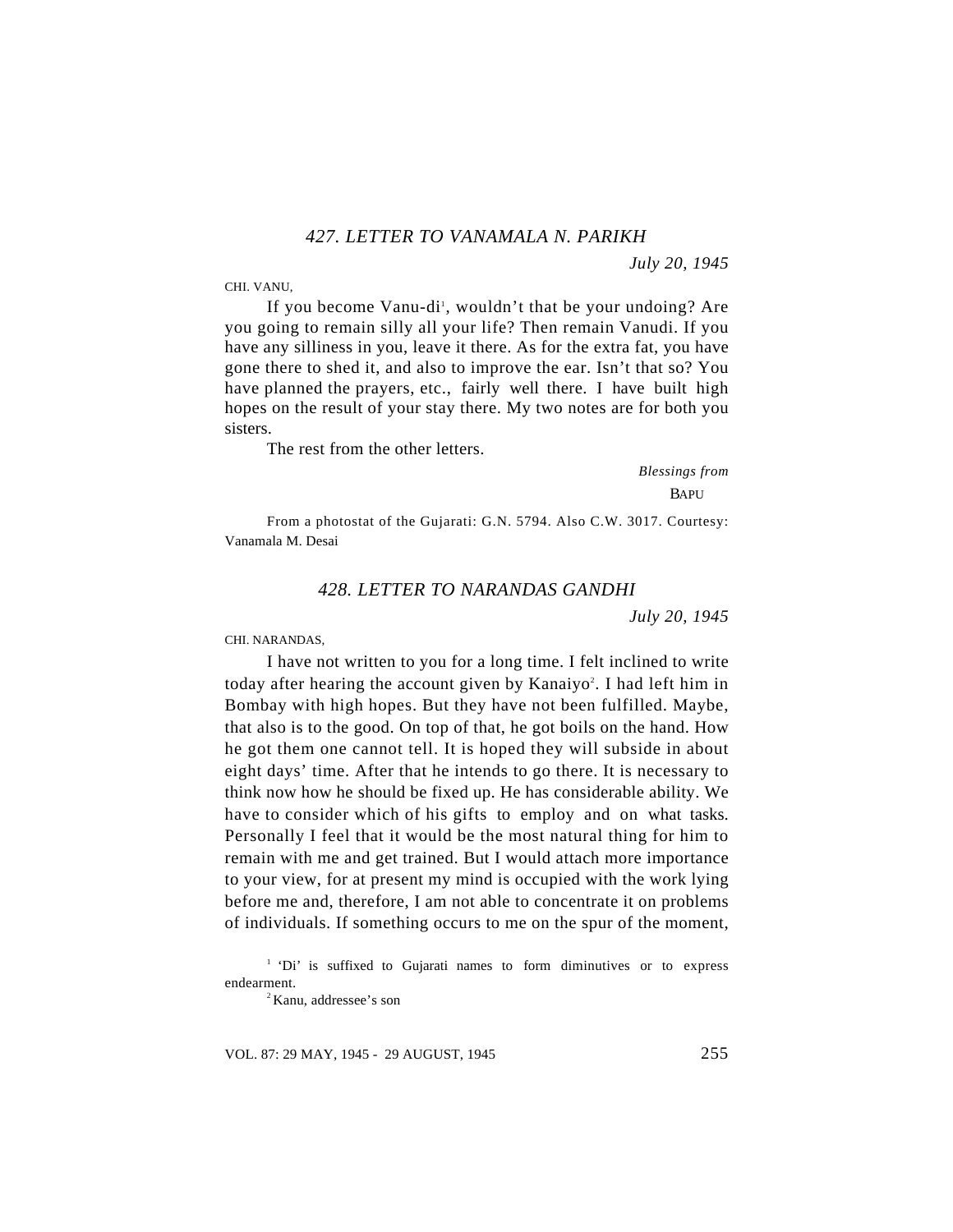*July 20, 1945*

CHI. VANU,

If you become Vanu-di<sup>1</sup>, wouldn't that be your undoing? Are you going to remain silly all your life? Then remain Vanudi. If you have any silliness in you, leave it there. As for the extra fat, you have gone there to shed it, and also to improve the ear. Isn't that so? You have planned the prayers, etc., fairly well there. I have built high hopes on the result of your stay there. My two notes are for both you sisters.

The rest from the other letters.

*Blessings from*

**BAPU** 

From a photostat of the Gujarati: G.N. 5794. Also C.W. 3017. Courtesy: Vanamala M. Desai

## *428. LETTER TO NARANDAS GANDHI*

*July 20, 1945*

CHI. NARANDAS,

I have not written to you for a long time. I felt inclined to write today after hearing the account given by Kanaiyo<sup>2</sup>. I had left him in Bombay with high hopes. But they have not been fulfilled. Maybe, that also is to the good. On top of that, he got boils on the hand. How he got them one cannot tell. It is hoped they will subside in about eight days' time. After that he intends to go there. It is necessary to think now how he should be fixed up. He has considerable ability. We have to consider which of his gifts to employ and on what tasks. Personally I feel that it would be the most natural thing for him to remain with me and get trained. But I would attach more importance to your view, for at present my mind is occupied with the work lying before me and, therefore, I am not able to concentrate it on problems of individuals. If something occurs to me on the spur of the moment,

 $2$  Kanu, addressee's son

<sup>&</sup>lt;sup>1</sup> 'Di' is suffixed to Gujarati names to form diminutives or to express endearment.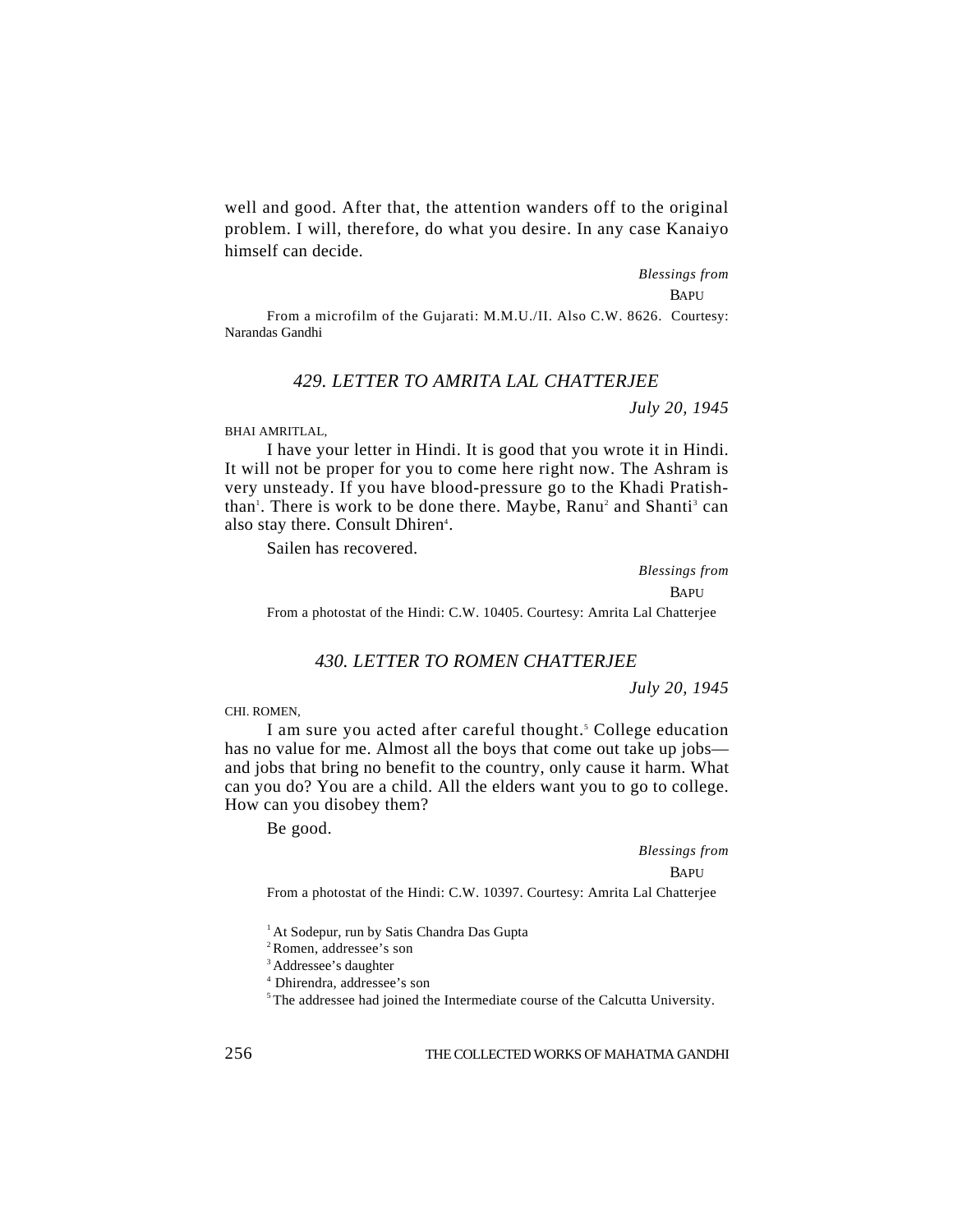well and good. After that, the attention wanders off to the original problem. I will, therefore, do what you desire. In any case Kanaiyo himself can decide.

> *Blessings from* **BAPU**

From a microfilm of the Gujarati: M.M.U./II. Also C.W. 8626. Courtesy: Narandas Gandhi

## *429. LETTER TO AMRITA LAL CHATTERJEE*

*July 20, 1945*

#### BHAI AMRITLAL,

I have your letter in Hindi. It is good that you wrote it in Hindi. It will not be proper for you to come here right now. The Ashram is very unsteady. If you have blood-pressure go to the Khadi Pratishthan<sup>1</sup>. There is work to be done there. Maybe, Ranu<sup>2</sup> and Shanti<sup>3</sup> can also stay there. Consult Dhiren<sup>4</sup>.

Sailen has recovered.

*Blessings from*

**BAPU** 

From a photostat of the Hindi: C.W. 10405. Courtesy: Amrita Lal Chatterjee

### *430. LETTER TO ROMEN CHATTERJEE*

*July 20, 1945*

CHI. ROMEN

I am sure you acted after careful thought.<sup>5</sup> College education has no value for me. Almost all the boys that come out take up jobs and jobs that bring no benefit to the country, only cause it harm. What can you do? You are a child. All the elders want you to go to college. How can you disobey them?

Be good.

*Blessings from*

**BAPU** 

From a photostat of the Hindi: C.W. 10397. Courtesy: Amrita Lal Chatterjee

<sup>1</sup> At Sodepur, run by Satis Chandra Das Gupta

<sup>2</sup>Romen, addressee's son

<sup>3</sup> Addressee's daughter

4 Dhirendra, addressee's son

<sup>5</sup> The addressee had joined the Intermediate course of the Calcutta University.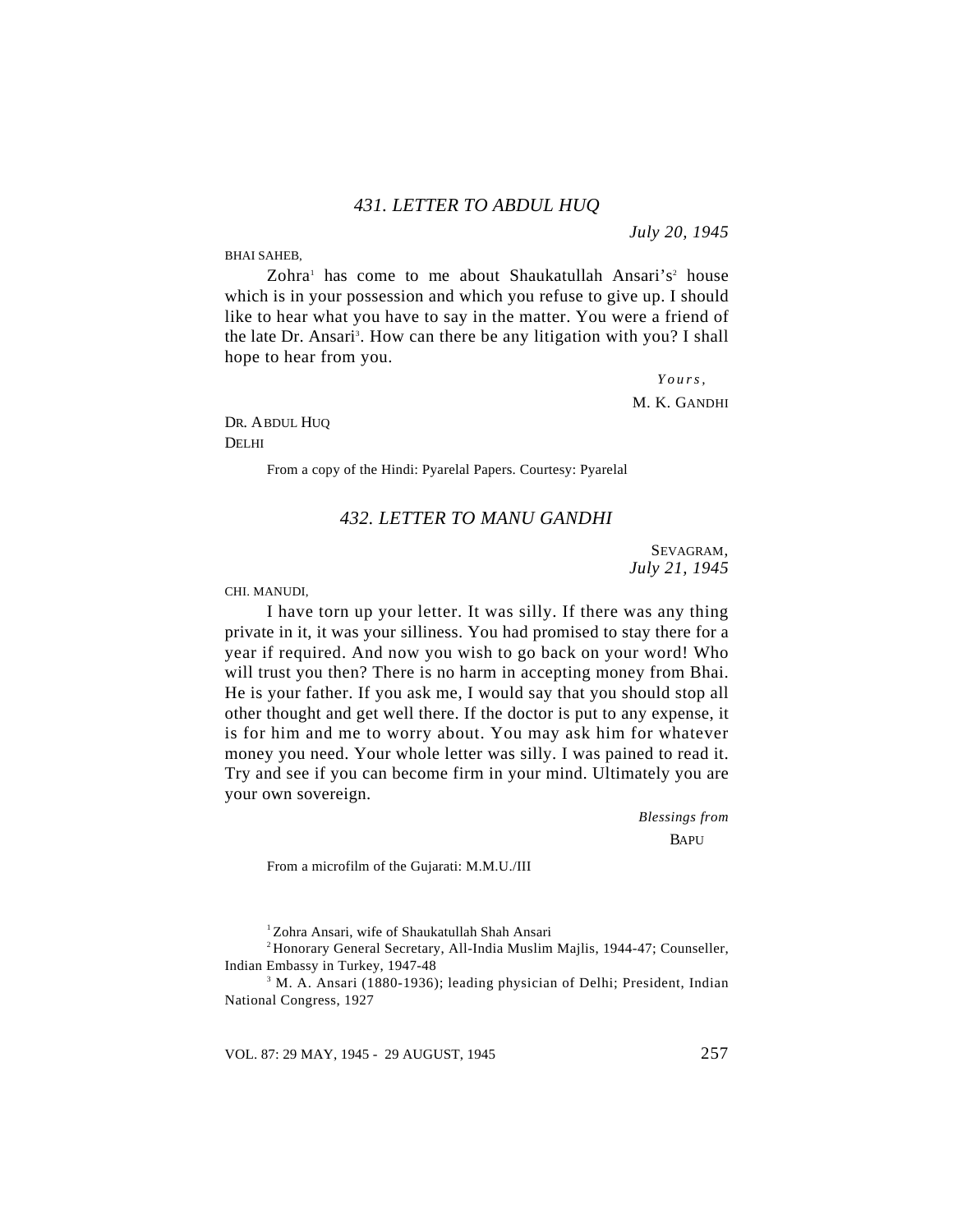*July 20, 1945*

BHAI SAHEB,

Zohra<sup>1</sup> has come to me about Shaukatullah Ansari's<sup>2</sup> house which is in your possession and which you refuse to give up. I should like to hear what you have to say in the matter. You were a friend of the late Dr. Ansari<sup>3</sup>. How can there be any litigation with you? I shall hope to hear from you.

> *Yours,*  M. K. GANDHI

DR. ABDUL HUQ DELHI

From a copy of the Hindi: Pyarelal Papers. Courtesy: Pyarelal

## *432. LETTER TO MANU GANDHI*

SEVAGRAM, *July 21, 1945*

CHI. MANUDI,

I have torn up your letter. It was silly. If there was any thing private in it, it was your silliness. You had promised to stay there for a year if required. And now you wish to go back on your word! Who will trust you then? There is no harm in accepting money from Bhai. He is your father. If you ask me, I would say that you should stop all other thought and get well there. If the doctor is put to any expense, it is for him and me to worry about. You may ask him for whatever money you need. Your whole letter was silly. I was pained to read it. Try and see if you can become firm in your mind. Ultimately you are your own sovereign.

> *Blessings from* **BAPU**

From a microfilm of the Gujarati: M.M.U./III

<sup>1</sup>Zohra Ansari, wife of Shaukatullah Shah Ansari

<sup>&</sup>lt;sup>2</sup> Honorary General Secretary, All-India Muslim Majlis, 1944-47; Counseller, Indian Embassy in Turkey, 1947-48

<sup>&</sup>lt;sup>3</sup> M. A. Ansari (1880-1936); leading physician of Delhi; President, Indian National Congress, 1927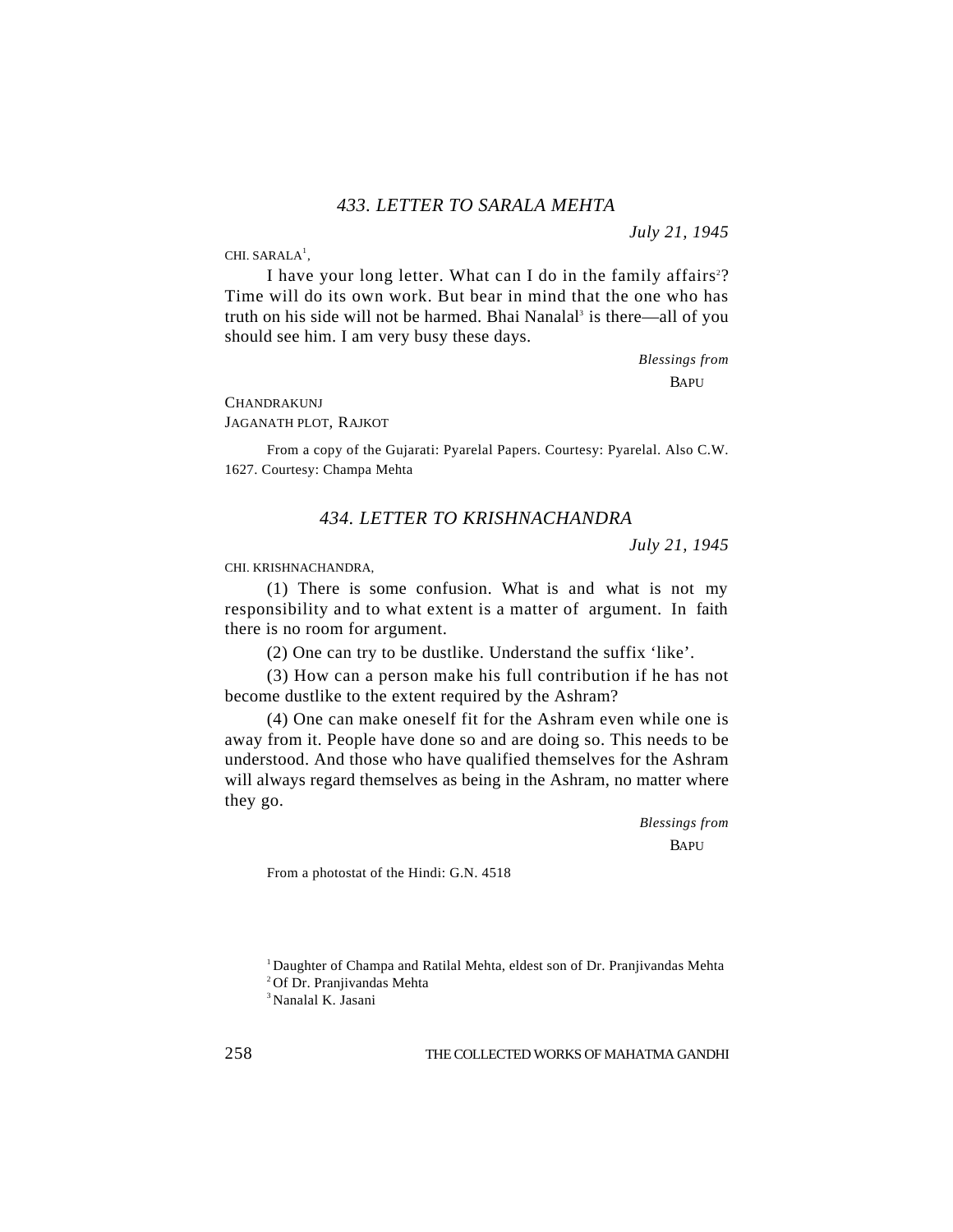*July 21, 1945*

CHI. SARALA $^1$ ,

I have your long letter. What can I do in the family affairs<sup>2</sup>? Time will do its own work. But bear in mind that the one who has truth on his side will not be harmed. Bhai Nanalal<sup>3</sup> is there—all of you should see him. I am very busy these days.

> *Blessings from* **BAPU**

#### **CHANDRAKUNI**

#### JAGANATH PLOT, RAJKOT

From a copy of the Gujarati: Pyarelal Papers. Courtesy: Pyarelal. Also C.W. 1627. Courtesy: Champa Mehta

## *434. LETTER TO KRISHNACHANDRA*

*July 21, 1945*

CHI. KRISHNACHANDRA,

(1) There is some confusion. What is and what is not my responsibility and to what extent is a matter of argument. In faith there is no room for argument.

(2) One can try to be dustlike. Understand the suffix 'like'.

(3) How can a person make his full contribution if he has not become dustlike to the extent required by the Ashram?

(4) One can make oneself fit for the Ashram even while one is away from it. People have done so and are doing so. This needs to be understood. And those who have qualified themselves for the Ashram will always regard themselves as being in the Ashram, no matter where they go.

> *Blessings from* **BAPU**

From a photostat of the Hindi: G.N. 4518

<sup>1</sup> Daughter of Champa and Ratilal Mehta, eldest son of Dr. Pranjivandas Mehta

<sup>&</sup>lt;sup>2</sup> Of Dr. Pranjivandas Mehta

<sup>3</sup> Nanalal K. Jasani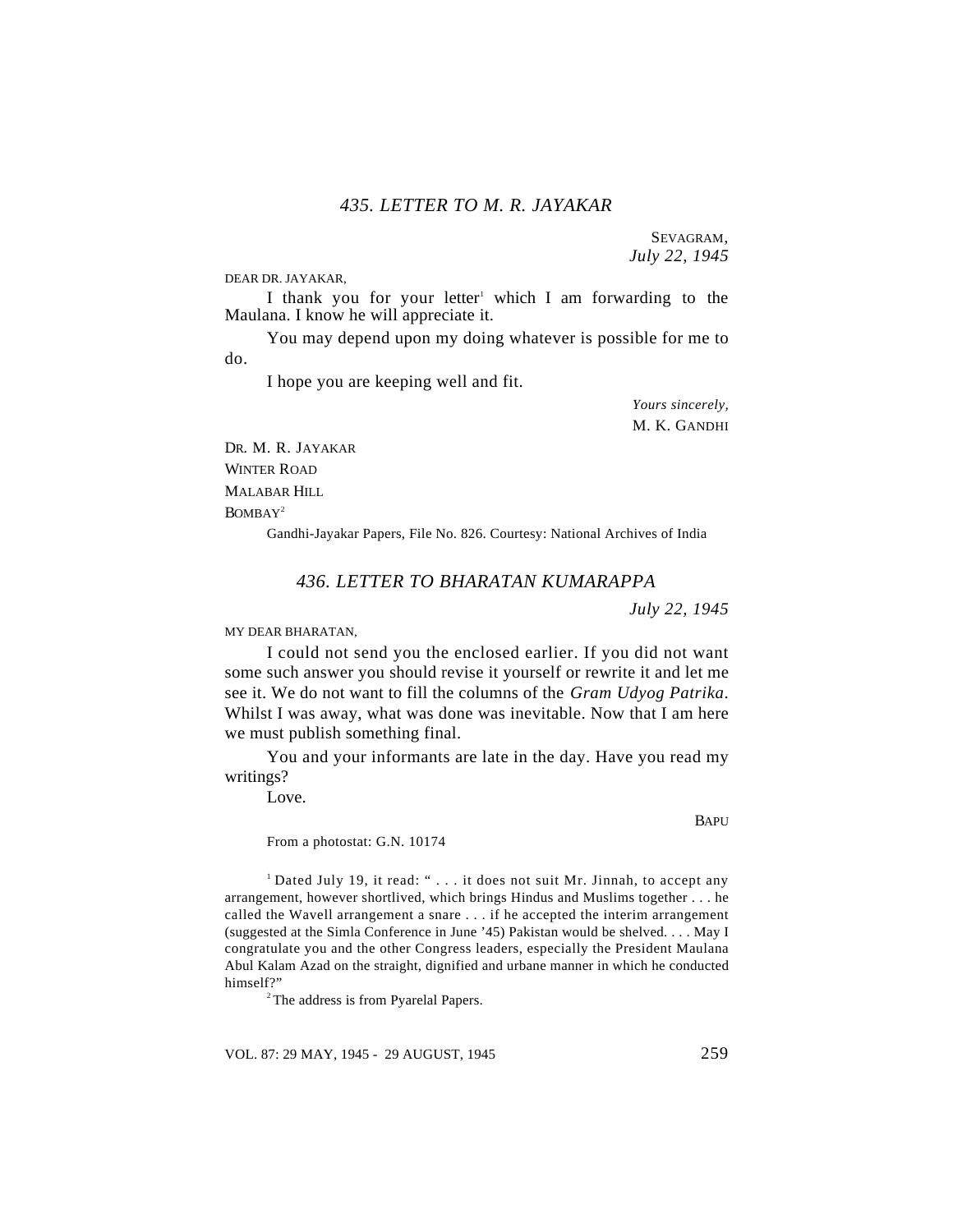SEVAGRAM, *July 22, 1945*

DEAR DR. JAYAKAR,

I thank you for your letter<sup>1</sup> which I am forwarding to the Maulana. I know he will appreciate it.

You may depend upon my doing whatever is possible for me to do.

I hope you are keeping well and fit.

*Yours sincerely,* M. K. GANDHI

DR. M. R. JAYAKAR WINTER ROAD MALABAR HILL BOMBAY<sup>2</sup>

Gandhi-Jayakar Papers, File No. 826. Courtesy: National Archives of India

## *436. LETTER TO BHARATAN KUMARAPPA*

*July 22, 1945*

MY DEAR BHARATAN,

I could not send you the enclosed earlier. If you did not want some such answer you should revise it yourself or rewrite it and let me see it. We do not want to fill the columns of the *Gram Udyog Patrika*. Whilst I was away, what was done was inevitable. Now that I am here we must publish something final.

You and your informants are late in the day. Have you read my writings?

Love.

From a photostat: G.N. 10174

<sup>1</sup> Dated July 19, it read: " $\dots$  it does not suit Mr. Jinnah, to accept any arrangement, however shortlived, which brings Hindus and Muslims together . . . he called the Wavell arrangement a snare . . . if he accepted the interim arrangement (suggested at the Simla Conference in June '45) Pakistan would be shelved. . . . May I congratulate you and the other Congress leaders, especially the President Maulana Abul Kalam Azad on the straight, dignified and urbane manner in which he conducted himself?"

<sup>2</sup> The address is from Pyarelal Papers.

VOL. 87: 29 MAY, 1945 - 29 AUGUST, 1945 259

BAPU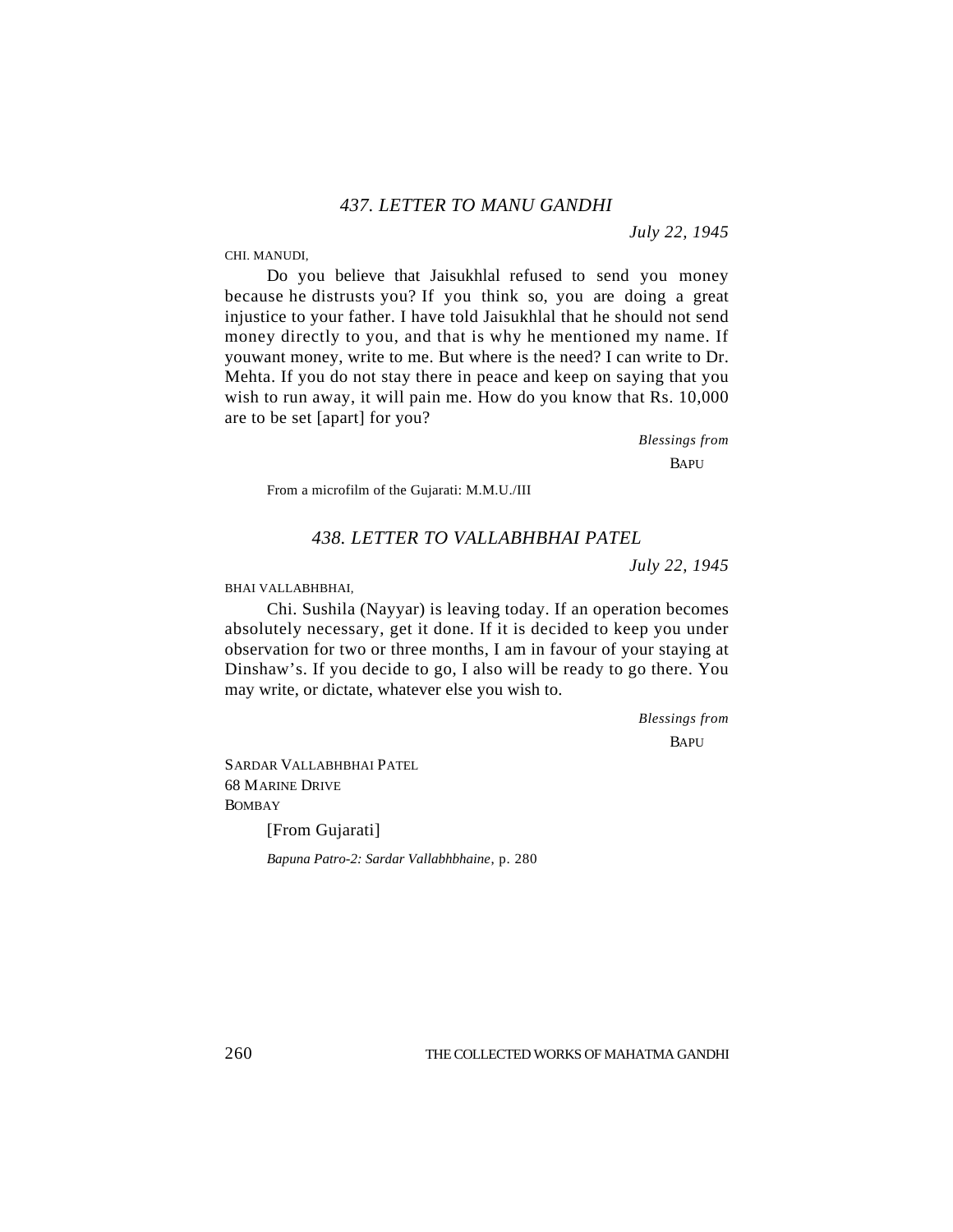*July 22, 1945*

CHI. MANUDI,

Do you believe that Jaisukhlal refused to send you money because he distrusts you? If you think so, you are doing a great injustice to your father. I have told Jaisukhlal that he should not send money directly to you, and that is why he mentioned my name. If youwant money, write to me. But where is the need? I can write to Dr. Mehta. If you do not stay there in peace and keep on saying that you wish to run away, it will pain me. How do you know that Rs. 10,000 are to be set [apart] for you?

> *Blessings from* **BAPU**

From a microfilm of the Gujarati: M.M.U./III

#### *438. LETTER TO VALLABHBHAI PATEL*

*July 22, 1945*

BHAI VALLABHBHAI,

Chi. Sushila (Nayyar) is leaving today. If an operation becomes absolutely necessary, get it done. If it is decided to keep you under observation for two or three months, I am in favour of your staying at Dinshaw's. If you decide to go, I also will be ready to go there. You may write, or dictate, whatever else you wish to.

> *Blessings from* **BAPU**

SARDAR VALLABHBHAI PATEL 68 MARINE DRIVE BOMBAY

[From Gujarati]

*Bapuna Patro-2: Sardar Vallabhbhaine*, p. 280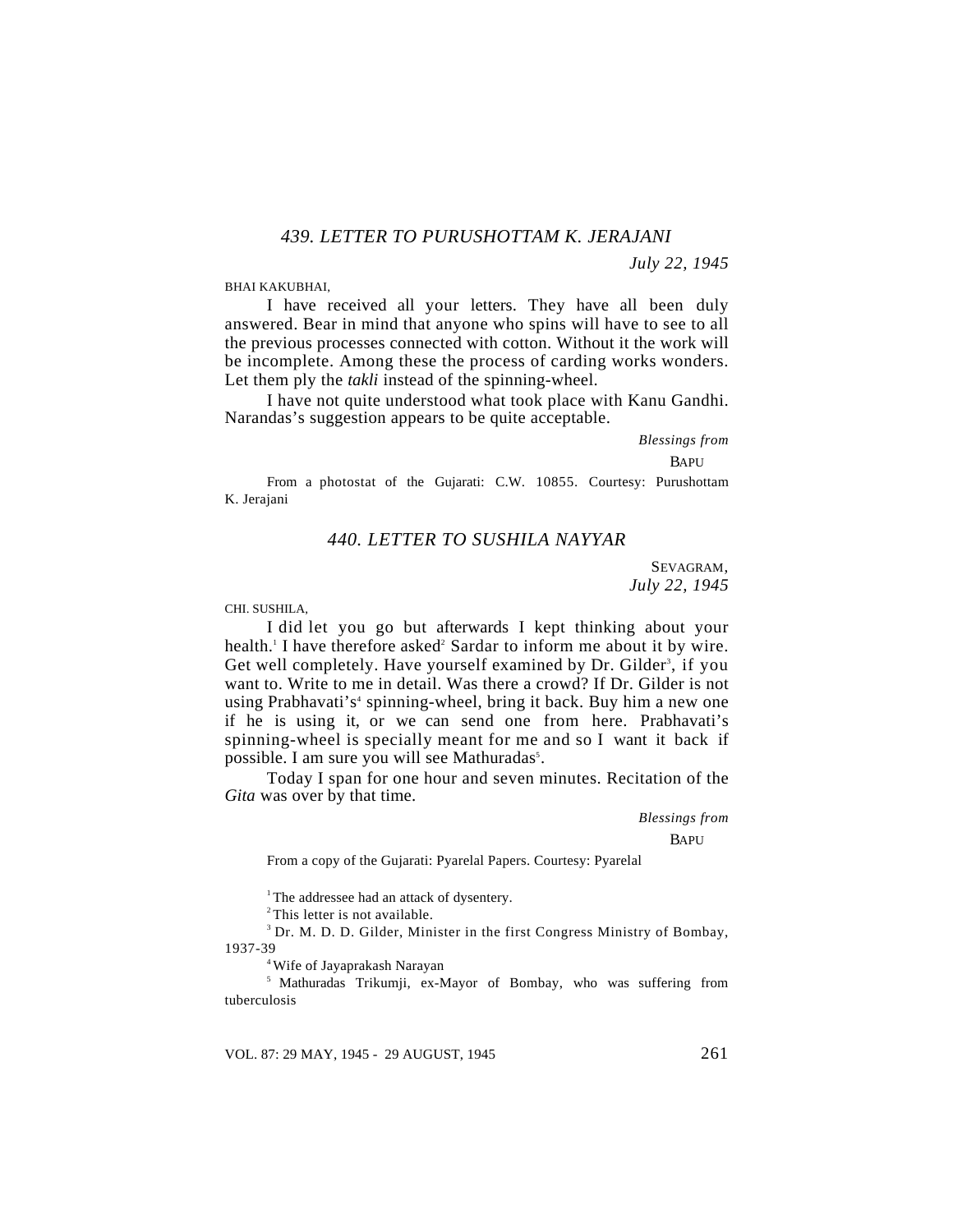*July 22, 1945*

BHAI KAKUBHAI,

I have received all your letters. They have all been duly answered. Bear in mind that anyone who spins will have to see to all the previous processes connected with cotton. Without it the work will be incomplete. Among these the process of carding works wonders. Let them ply the *takli* instead of the spinning-wheel.

I have not quite understood what took place with Kanu Gandhi. Narandas's suggestion appears to be quite acceptable.

*Blessings from*

**BAPU** 

From a photostat of the Gujarati: C.W. 10855. Courtesy: Purushottam K. Jerajani

## *440. LETTER TO SUSHILA NAYYAR*

SEVAGRAM, *July 22, 1945*

CHI. SUSHILA,

I did let you go but afterwards I kept thinking about your health.<sup>1</sup> I have therefore asked<sup>2</sup> Sardar to inform me about it by wire. Get well completely. Have yourself examined by Dr. Gilder<sup>3</sup>, if you want to. Write to me in detail. Was there a crowd? If Dr. Gilder is not using Prabhavati's<sup>4</sup> spinning-wheel, bring it back. Buy him a new one if he is using it, or we can send one from here. Prabhavati's spinning-wheel is specially meant for me and so I want it back if possible. I am sure you will see Mathuradas<sup>5</sup>.

Today I span for one hour and seven minutes. Recitation of the *Gita* was over by that time.

*Blessings from*

**BAPU** 

From a copy of the Gujarati: Pyarelal Papers. Courtesy: Pyarelal

<sup>1</sup>The addressee had an attack of dysentery.

 $2$ This letter is not available.

<sup>3</sup> Dr. M. D. D. Gilder, Minister in the first Congress Ministry of Bombay, 1937-39

<sup>4</sup>Wife of Jayaprakash Narayan

<sup>5</sup> Mathuradas Trikumji, ex-Mayor of Bombay, who was suffering from tuberculosis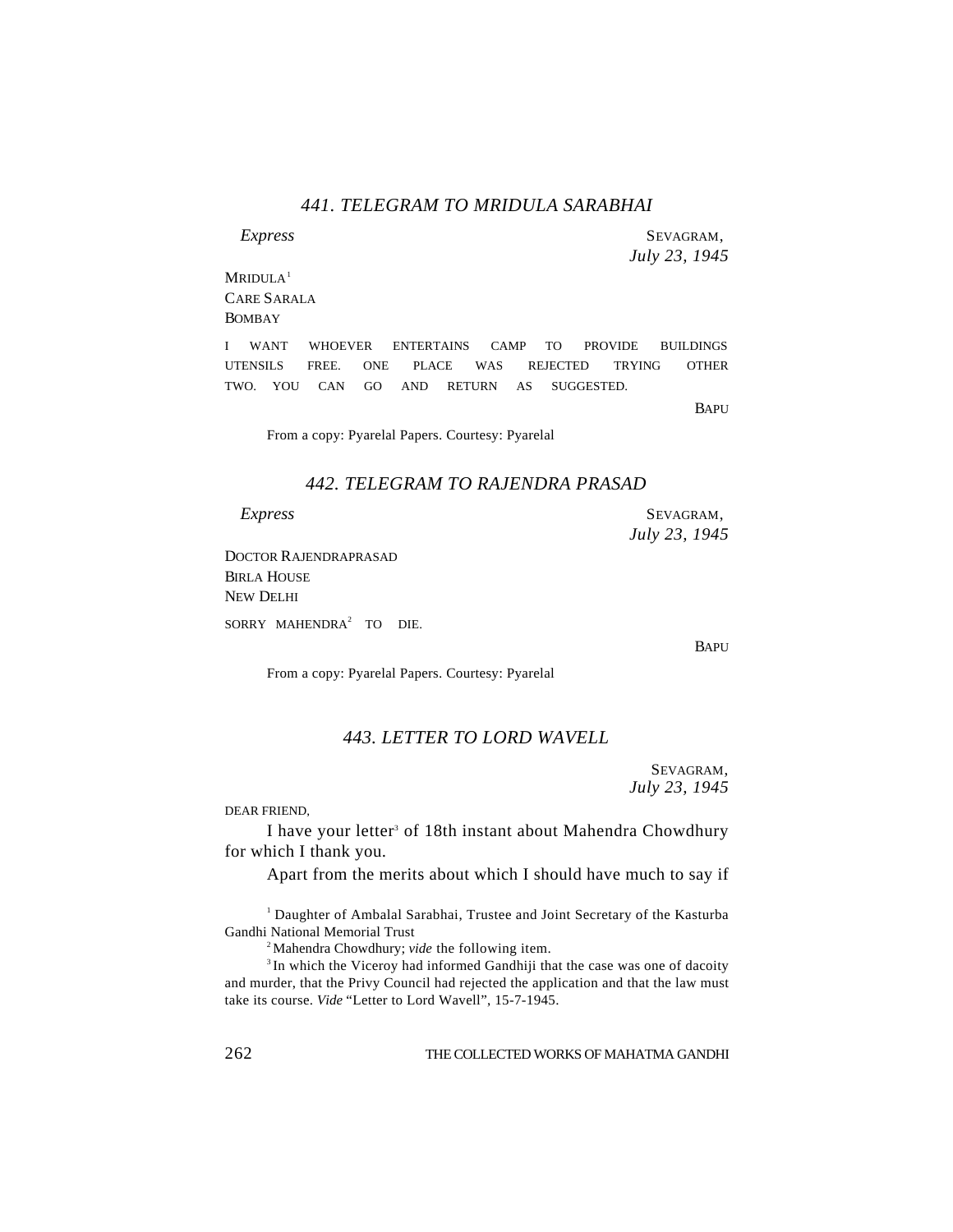# *441. TELEGRAM TO MRIDULA SARABHAI*

*Express* SEVAGRAM, *July 23, 1945*

 $M$ RIDULA<sup>1</sup> CARE SARALA **BOMBAY** 

I WANT WHOEVER ENTERTAINS CAMP TO PROVIDE BUILDINGS UTENSILS FREE. ONE PLACE WAS REJECTED TRYING OTHER TWO. YOU CAN GO AND RETURN AS SUGGESTED.

**BAPU** 

From a copy: Pyarelal Papers. Courtesy: Pyarelal

## *442. TELEGRAM TO RAJENDRA PRASAD*

*Express* SEVAGRAM, *July 23, 1945*

DOCTOR RAJENDRAPRASAD BIRLA HOUSE NEW DELHI  $SORRY$  MAHENDRA<sup>2</sup> TO DIE.

**BAPU** 

From a copy: Pyarelal Papers. Courtesy: Pyarelal

## *443. LETTER TO LORD WAVELL*

SEVAGRAM, *July 23, 1945*

DEAR FRIEND,

I have your letter<sup>3</sup> of 18th instant about Mahendra Chowdhury for which I thank you.

Apart from the merits about which I should have much to say if

<sup>1</sup> Daughter of Ambalal Sarabhai, Trustee and Joint Secretary of the Kasturba Gandhi National Memorial Trust

<sup>2</sup>Mahendra Chowdhury; *vide* the following item.

<sup>3</sup> In which the Viceroy had informed Gandhiji that the case was one of dacoity and murder, that the Privy Council had rejected the application and that the law must take its course. *Vide* "Letter to Lord Wavell", 15-7-1945.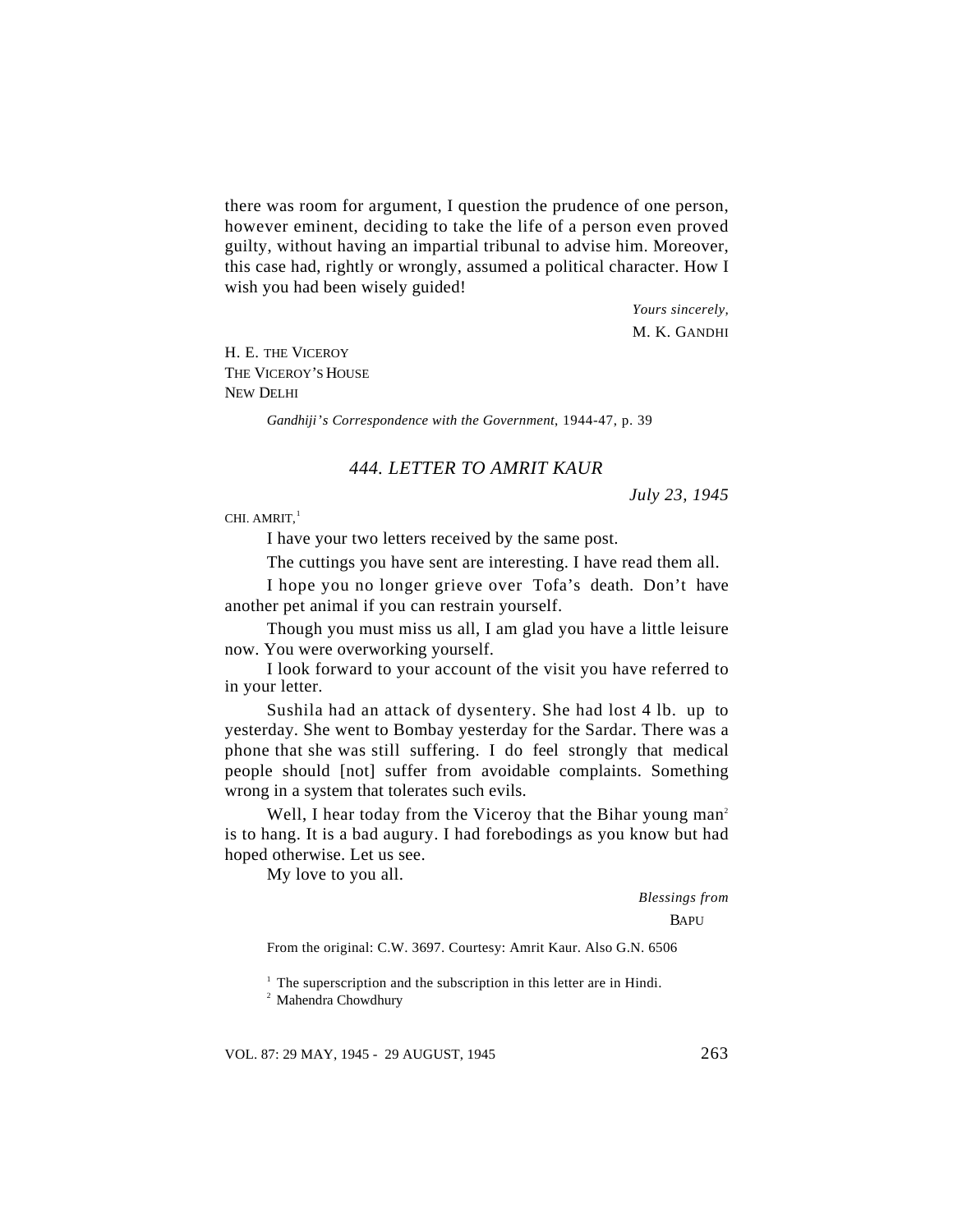there was room for argument, I question the prudence of one person, however eminent, deciding to take the life of a person even proved guilty, without having an impartial tribunal to advise him. Moreover, this case had, rightly or wrongly, assumed a political character. How I wish you had been wisely guided!

> *Yours sincerely,* M. K. GANDHI

H. E. THE VICEROY THE VICEROY'S HOUSE NEW DELHI

*Gandhiji*'*s Correspondence with the Government*, 1944-47, p. 39

## *444. LETTER TO AMRIT KAUR*

*July 23, 1945*

CHI.  $AMRIT.$ <sup>1</sup>

I have your two letters received by the same post.

The cuttings you have sent are interesting. I have read them all.

I hope you no longer grieve over Tofa's death. Don't have another pet animal if you can restrain yourself.

Though you must miss us all, I am glad you have a little leisure now. You were overworking yourself.

I look forward to your account of the visit you have referred to in your letter.

Sushila had an attack of dysentery. She had lost 4 lb. up to yesterday. She went to Bombay yesterday for the Sardar. There was a phone that she was still suffering. I do feel strongly that medical people should [not] suffer from avoidable complaints. Something wrong in a system that tolerates such evils.

Well, I hear today from the Viceroy that the Bihar young man<sup>2</sup> is to hang. It is a bad augury. I had forebodings as you know but had hoped otherwise. Let us see.

My love to you all.

*Blessings from*

**BAPU** 

From the original: C.W. 3697. Courtesy: Amrit Kaur. Also G.N. 6506

 $<sup>1</sup>$  The superscription and the subscription in this letter are in Hindi.</sup>

<sup>2</sup> Mahendra Chowdhury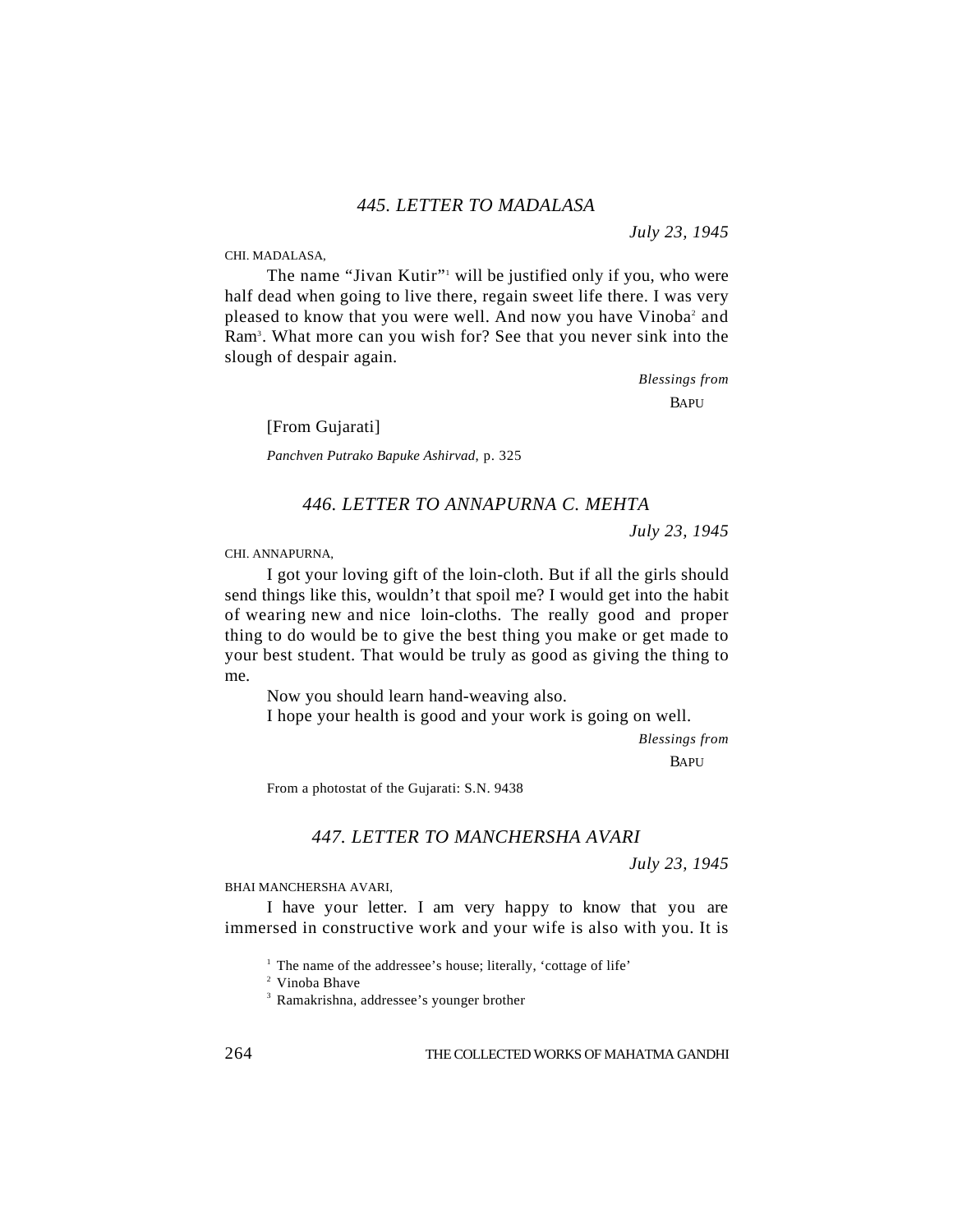*July 23, 1945*

CHI. MADALASA,

The name "Jivan Kutir"<sup>1</sup> will be justified only if you, who were half dead when going to live there, regain sweet life there. I was very pleased to know that you were well. And now you have Vinoba<sup>2</sup> and Ram<sup>3</sup>. What more can you wish for? See that you never sink into the slough of despair again.

> *Blessings from* **BAPU**

[From Gujarati]

*Panchven Putrako Bapuke Ashirvad*, p. 325

## *446. LETTER TO ANNAPURNA C. MEHTA*

*July 23, 1945*

CHI. ANNAPURNA,

I got your loving gift of the loin-cloth. But if all the girls should send things like this, wouldn't that spoil me? I would get into the habit of wearing new and nice loin-cloths. The really good and proper thing to do would be to give the best thing you make or get made to your best student. That would be truly as good as giving the thing to me.

Now you should learn hand-weaving also.

I hope your health is good and your work is going on well.

*Blessings from*

**BAPU** 

From a photostat of the Gujarati: S.N. 9438

## *447. LETTER TO MANCHERSHA AVARI*

*July 23, 1945*

BHAI MANCHERSHA AVARI,

I have your letter. I am very happy to know that you are immersed in constructive work and your wife is also with you. It is

 $<sup>1</sup>$  The name of the addressee's house; literally, 'cottage of life'</sup>

<sup>2</sup> Vinoba Bhave

3 Ramakrishna, addressee's younger brother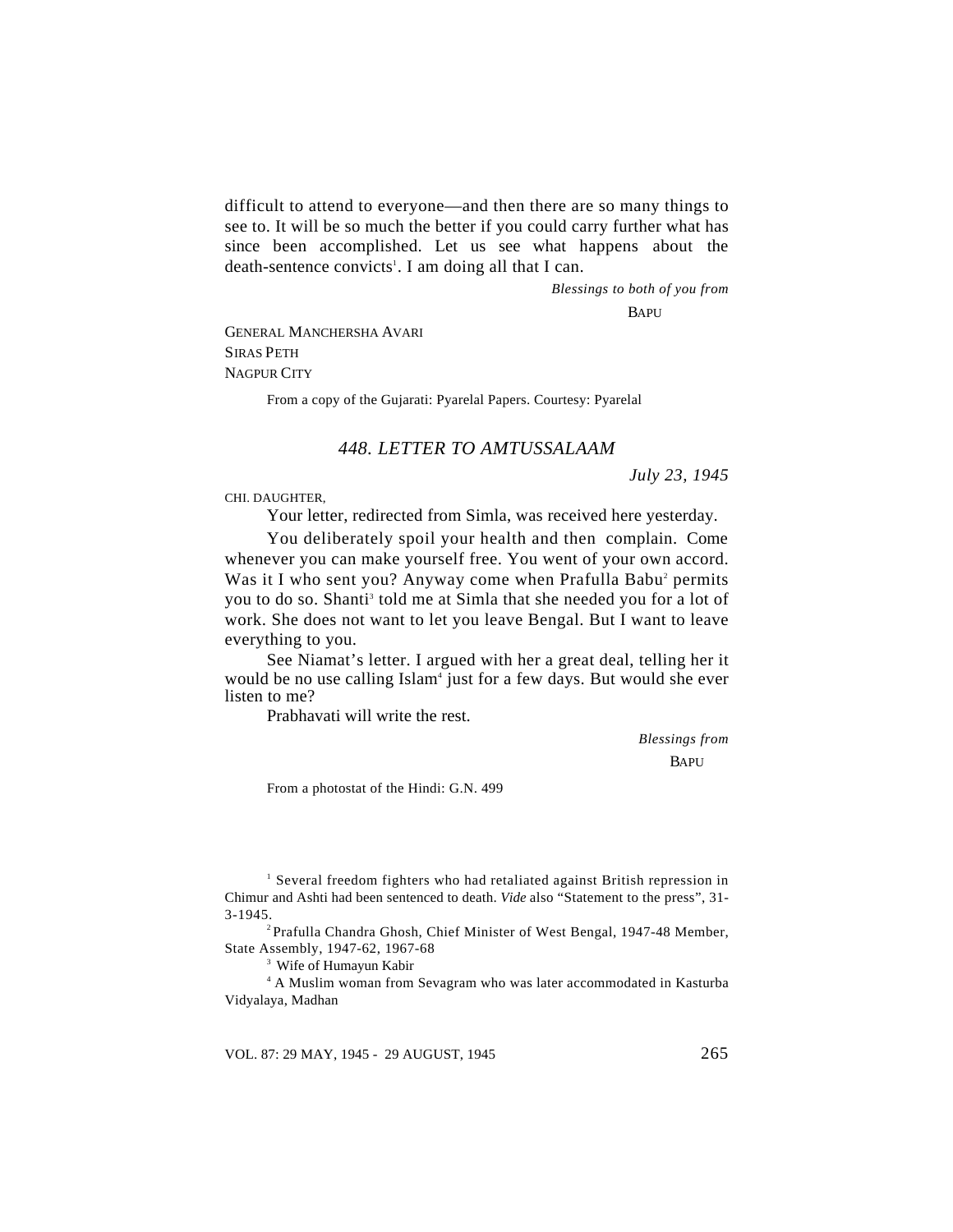difficult to attend to everyone—and then there are so many things to see to. It will be so much the better if you could carry further what has since been accomplished. Let us see what happens about the death-sentence convicts<sup>1</sup>. I am doing all that I can.

*Blessings to both of you from*

**BAPU** 

GENERAL MANCHERSHA AVARI SIRAS PETH NAGPUR CITY

From a copy of the Gujarati: Pyarelal Papers. Courtesy: Pyarelal

### *448. LETTER TO AMTUSSALAAM*

*July 23, 1945*

CHI. DAUGHTER,

Your letter, redirected from Simla, was received here yesterday.

You deliberately spoil your health and then complain. Come whenever you can make yourself free. You went of your own accord. Was it I who sent you? Anyway come when Prafulla Babu<sup>2</sup> permits you to do so. Shanti<sup>3</sup> told me at Simla that she needed you for a lot of work. She does not want to let you leave Bengal. But I want to leave everything to you.

See Niamat's letter. I argued with her a great deal, telling her it would be no use calling Islam<sup>4</sup> just for a few days. But would she ever listen to me?

Prabhavati will write the rest.

*Blessings from*

**BAPU** 

From a photostat of the Hindi: G.N. 499

<sup>1</sup> Several freedom fighters who had retaliated against British repression in Chimur and Ashti had been sentenced to death. *Vide* also "Statement to the press", 31- 3-1945.

<sup>2</sup> Prafulla Chandra Ghosh, Chief Minister of West Bengal, 1947-48 Member, State Assembly, 1947-62, 1967-68

<sup>3</sup> Wife of Humayun Kabir

<sup>4</sup>A Muslim woman from Sevagram who was later accommodated in Kasturba Vidyalaya, Madhan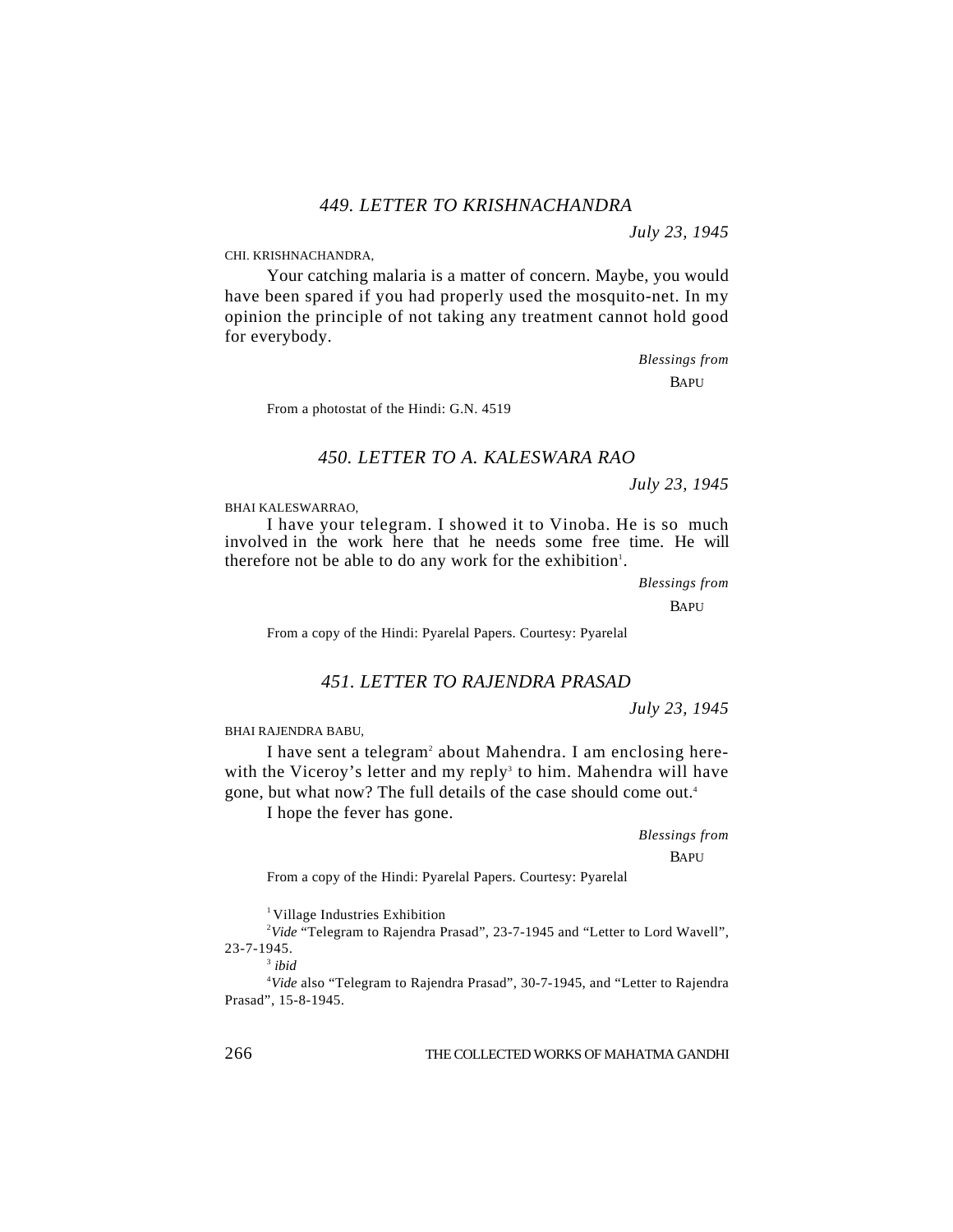*July 23, 1945*

CHI. KRISHNACHANDRA,

Your catching malaria is a matter of concern. Maybe, you would have been spared if you had properly used the mosquito-net. In my opinion the principle of not taking any treatment cannot hold good for everybody.

*Blessings from*

**BAPU** 

From a photostat of the Hindi: G.N. 4519

### *450. LETTER TO A. KALESWARA RAO*

*July 23, 1945*

#### BHAI KALESWARRAO,

I have your telegram. I showed it to Vinoba. He is so much involved in the work here that he needs some free time. He will therefore not be able to do any work for the exhibition<sup>1</sup>.

*Blessings from*

**BAPU** 

From a copy of the Hindi: Pyarelal Papers. Courtesy: Pyarelal

## *451. LETTER TO RAJENDRA PRASAD*

*July 23, 1945*

BHAI RAJENDRA BABU,

I have sent a telegram<sup>2</sup> about Mahendra. I am enclosing herewith the Viceroy's letter and my reply<sup>3</sup> to him. Mahendra will have gone, but what now? The full details of the case should come out.<sup>4</sup>

I hope the fever has gone.

*Blessings from*

**BAPU** 

From a copy of the Hindi: Pyarelal Papers. Courtesy: Pyarelal

<sup>1</sup>Village Industries Exhibition

<sup>2</sup>Vide "Telegram to Rajendra Prasad", 23-7-1945 and "Letter to Lord Wavell", 23-7-1945.

3 *ibid*

<sup>4</sup>*Vide* also "Telegram to Rajendra Prasad", 30-7-1945, and "Letter to Rajendra Prasad", 15-8-1945.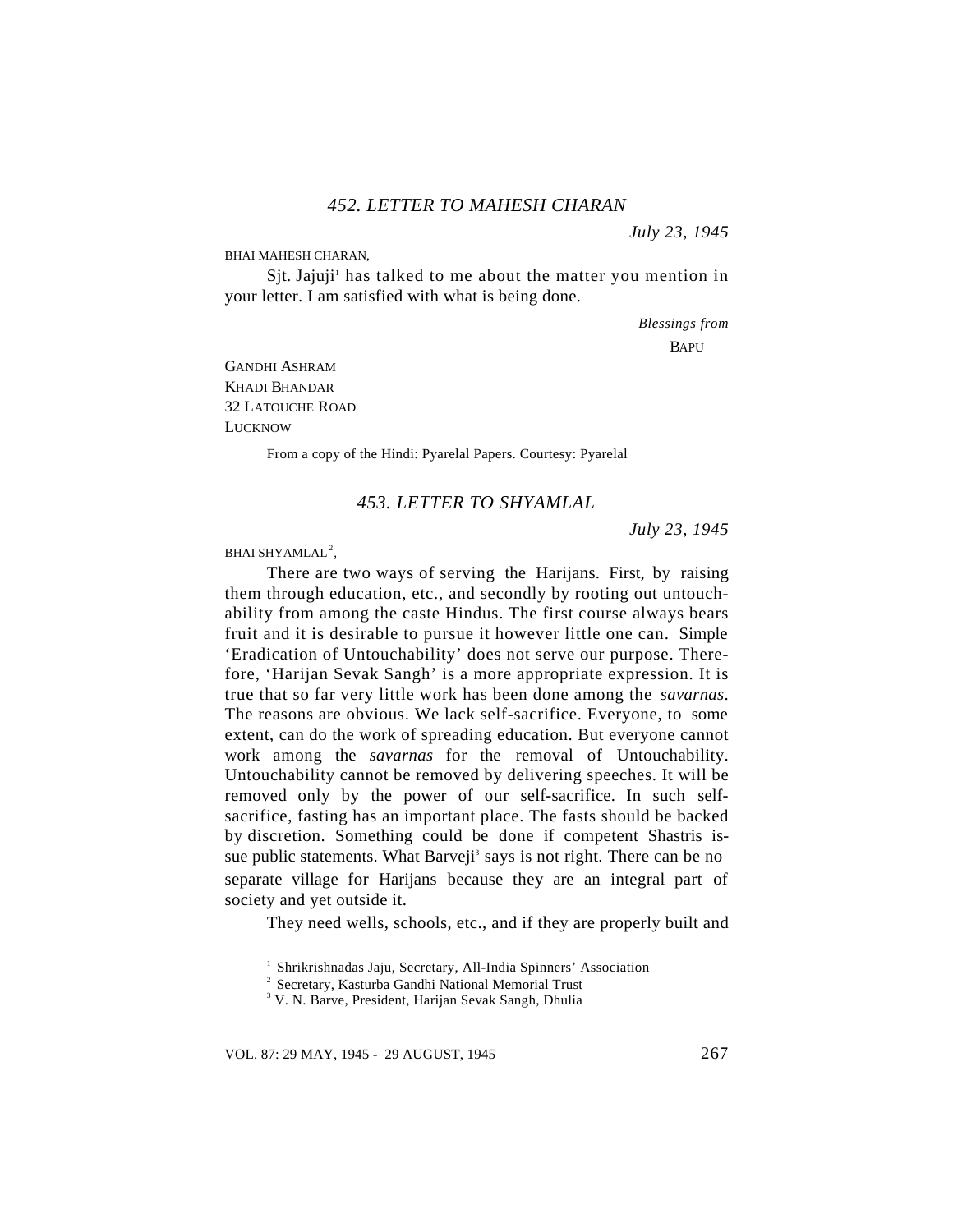*July 23, 1945*

#### BHAI MAHESH CHARAN,

Sjt. Jajuji<sup>1</sup> has talked to me about the matter you mention in your letter. I am satisfied with what is being done.

> *Blessings from* **BAPU**

GANDHI ASHRAM KHADI BHANDAR 32 LATOUCHE ROAD LUCKNOW

From a copy of the Hindi: Pyarelal Papers. Courtesy: Pyarelal

#### *453. LETTER TO SHYAMLAL*

*July 23, 1945*

 $BHAI$  SHYAMLAL $^2$ ,

There are two ways of serving the Harijans. First, by raising them through education, etc., and secondly by rooting out untouchability from among the caste Hindus. The first course always bears fruit and it is desirable to pursue it however little one can. Simple 'Eradication of Untouchability' does not serve our purpose. Therefore, 'Harijan Sevak Sangh' is a more appropriate expression. It is true that so far very little work has been done among the *savarnas*. The reasons are obvious. We lack self-sacrifice. Everyone, to some extent, can do the work of spreading education. But everyone cannot work among the *savarnas* for the removal of Untouchability. Untouchability cannot be removed by delivering speeches. It will be removed only by the power of our self-sacrifice. In such selfsacrifice, fasting has an important place. The fasts should be backed by discretion. Something could be done if competent Shastris issue public statements. What Barveji<sup>3</sup> says is not right. There can be no separate village for Harijans because they are an integral part of society and yet outside it.

They need wells, schools, etc., and if they are properly built and

<sup>&</sup>lt;sup>1</sup> Shrikrishnadas Jaju, Secretary, All-India Spinners' Association

<sup>&</sup>lt;sup>2</sup> Secretary, Kasturba Gandhi National Memorial Trust

<sup>&</sup>lt;sup>3</sup> V. N. Barve, President, Harijan Sevak Sangh, Dhulia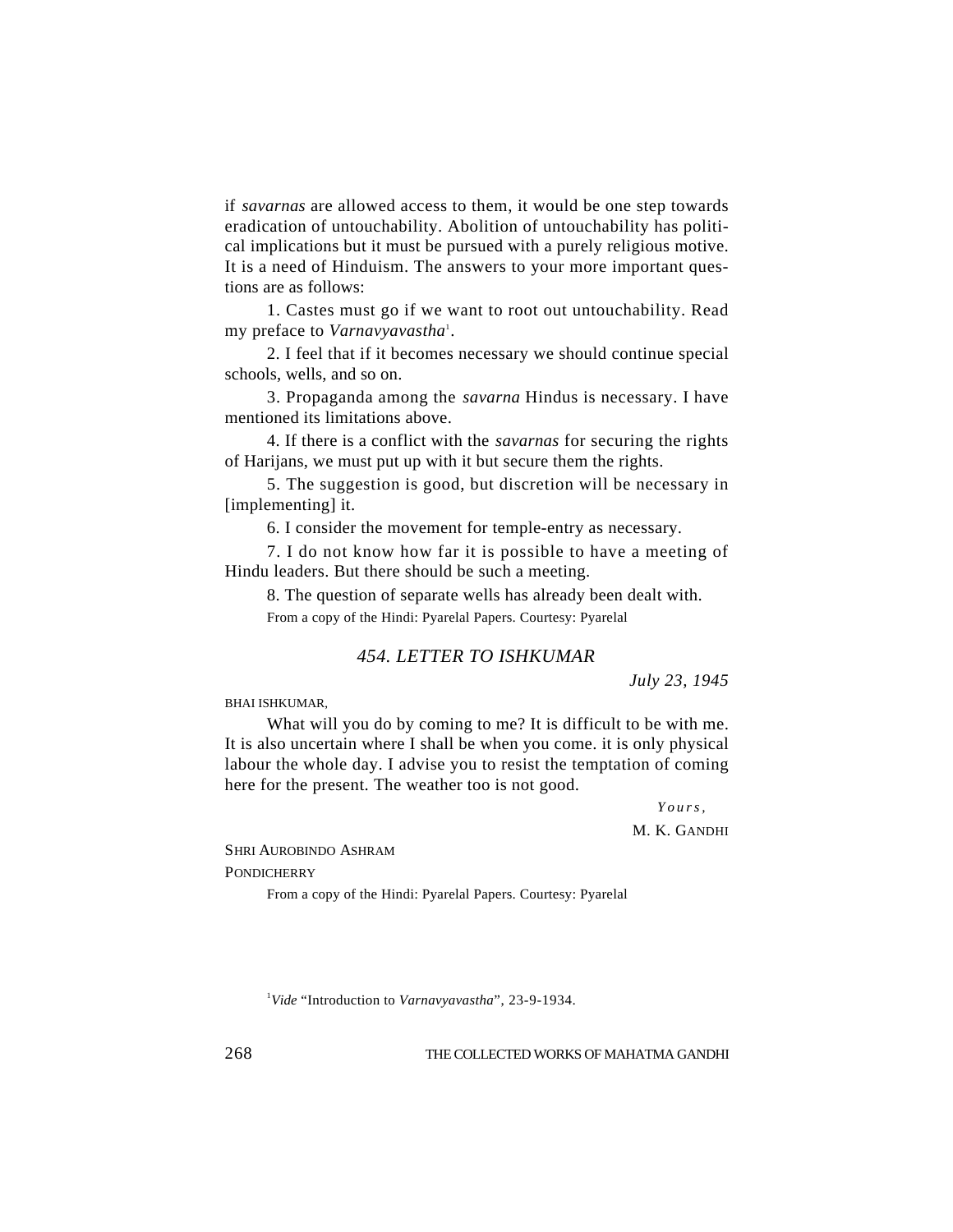if *savarnas* are allowed access to them, it would be one step towards eradication of untouchability. Abolition of untouchability has political implications but it must be pursued with a purely religious motive. It is a need of Hinduism. The answers to your more important questions are as follows:

1. Castes must go if we want to root out untouchability. Read my preface to Varnavyavastha<sup>1</sup>.

2. I feel that if it becomes necessary we should continue special schools, wells, and so on.

3. Propaganda among the *savarna* Hindus is necessary. I have mentioned its limitations above.

4. If there is a conflict with the *savarnas* for securing the rights of Harijans, we must put up with it but secure them the rights.

5. The suggestion is good, but discretion will be necessary in [implementing] it.

6. I consider the movement for temple-entry as necessary.

7. I do not know how far it is possible to have a meeting of Hindu leaders. But there should be such a meeting.

8. The question of separate wells has already been dealt with. From a copy of the Hindi: Pyarelal Papers. Courtesy: Pyarelal

# *454. LETTER TO ISHKUMAR*

*July 23, 1945*

BHAI ISHKUMAR,

What will you do by coming to me? It is difficult to be with me. It is also uncertain where I shall be when you come. it is only physical labour the whole day. I advise you to resist the temptation of coming here for the present. The weather too is not good.

> *Yours,*  M. K. GANDHI

SHRI AUROBINDO ASHRAM

**PONDICHERRY** 

From a copy of the Hindi: Pyarelal Papers. Courtesy: Pyarelal

<sup>1</sup>*Vide* "Introduction to *Varnavyavastha*", 23-9-1934.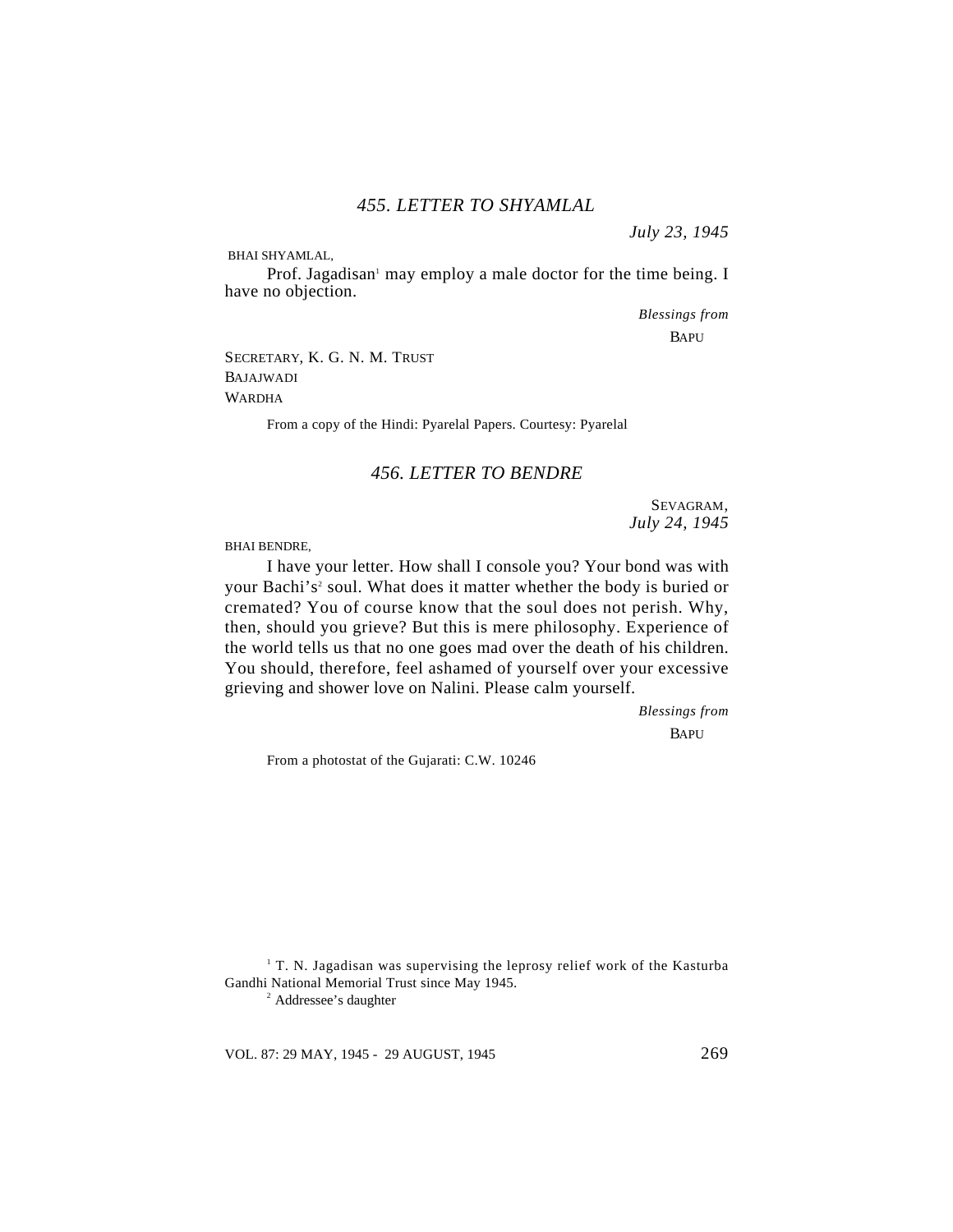*July 23, 1945*

BHAI SHYAMLAL,

Prof. Jagadisan<sup>1</sup> may employ a male doctor for the time being. I have no objection.

> *Blessings from* **BAPU**

SECRETARY, K. G. N. M. TRUST BAJAJWADI **WARDHA** 

From a copy of the Hindi: Pyarelal Papers. Courtesy: Pyarelal

#### *456. LETTER TO BENDRE*

SEVAGRAM, *July 24, 1945*

BHAI BENDRE,

I have your letter. How shall I console you? Your bond was with your Bachi's<sup>2</sup> soul. What does it matter whether the body is buried or cremated? You of course know that the soul does not perish. Why, then, should you grieve? But this is mere philosophy. Experience of the world tells us that no one goes mad over the death of his children. You should, therefore, feel ashamed of yourself over your excessive grieving and shower love on Nalini. Please calm yourself.

*Blessings from*

**BAPU** 

From a photostat of the Gujarati: C.W. 10246

<sup>1</sup> T. N. Jagadisan was supervising the leprosy relief work of the Kasturba Gandhi National Memorial Trust since May 1945.

<sup>2</sup> Addressee's daughter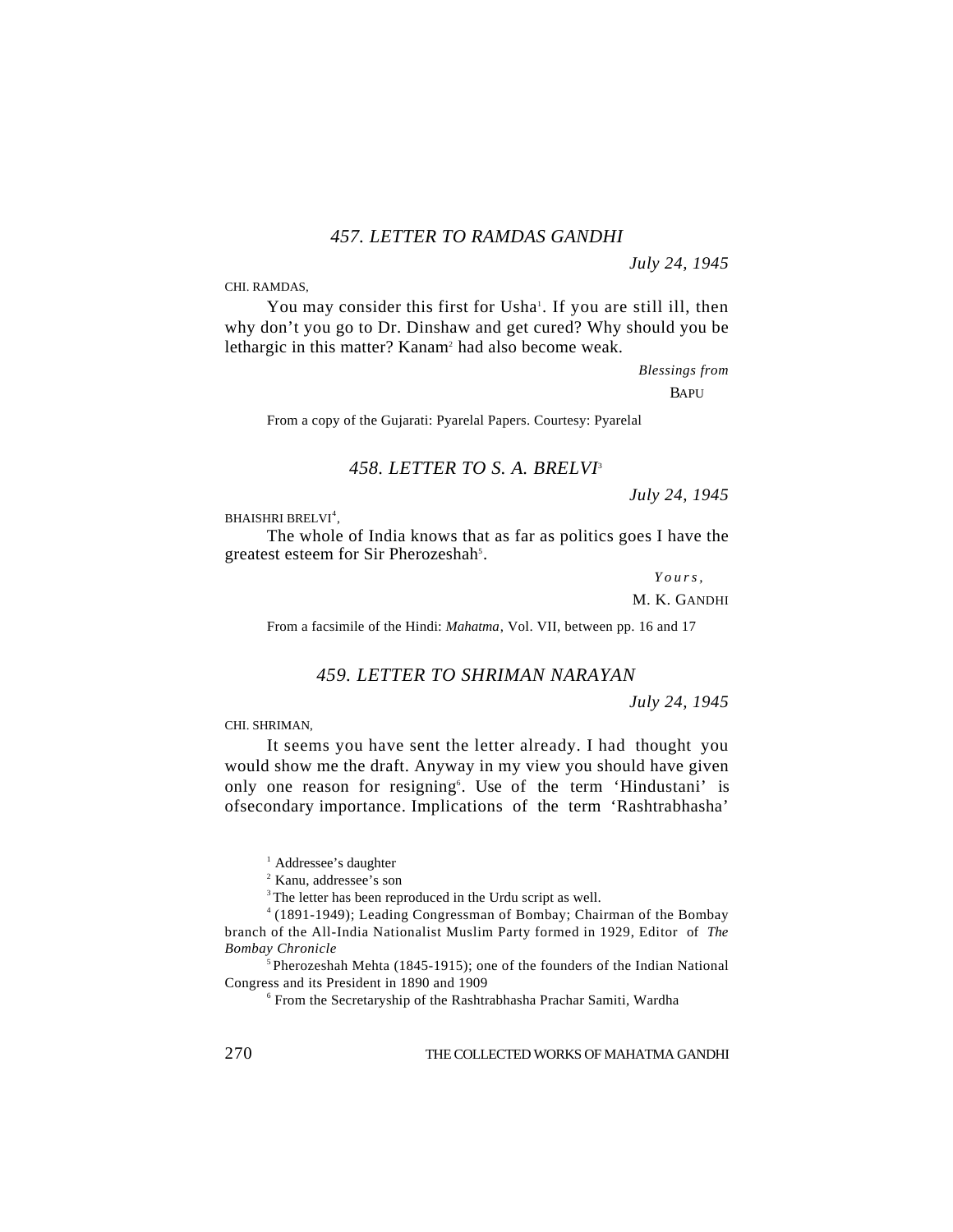#### 270 THE COLLECTED WORKS OF MAHATMA GANDHI

## *457. LETTER TO RAMDAS GANDHI*

*July 24, 1945*

CHI. RAMDAS,

You may consider this first for Usha<sup>1</sup>. If you are still ill, then why don't you go to Dr. Dinshaw and get cured? Why should you be lethargic in this matter? Kanam<sup>2</sup> had also become weak.

*Blessings from*

**BAPU** 

From a copy of the Gujarati: Pyarelal Papers. Courtesy: Pyarelal

## *458. LETTER TO S. A. BRELVI*<sup>3</sup>

*July 24, 1945*

BHAISHRI BRELVI $^4,$ 

The whole of India knows that as far as politics goes I have the greatest esteem for Sir Pherozeshah<sup>5</sup>.

*Yours,* 

M. K. GANDHI

From a facsimile of the Hindi: *Mahatma*, Vol. VII, between pp. 16 and 17

## *459. LETTER TO SHRIMAN NARAYAN*

*July 24, 1945*

CHI. SHRIMAN,

It seems you have sent the letter already. I had thought you would show me the draft. Anyway in my view you should have given only one reason for resigning<sup>6</sup>. Use of the term 'Hindustani' is ofsecondary importance. Implications of the term 'Rashtrabhasha'

<sup>1</sup> Addressee's daughter

2 Kanu, addressee's son

<sup>3</sup>The letter has been reproduced in the Urdu script as well.

 $4(1891-1949)$ ; Leading Congressman of Bombay; Chairman of the Bombay branch of the All-India Nationalist Muslim Party formed in 1929, Editor of *The Bombay Chronicle*

 $<sup>5</sup>$ Pherozeshah Mehta (1845-1915); one of the founders of the Indian National</sup> Congress and its President in 1890 and 1909

6 From the Secretaryship of the Rashtrabhasha Prachar Samiti, Wardha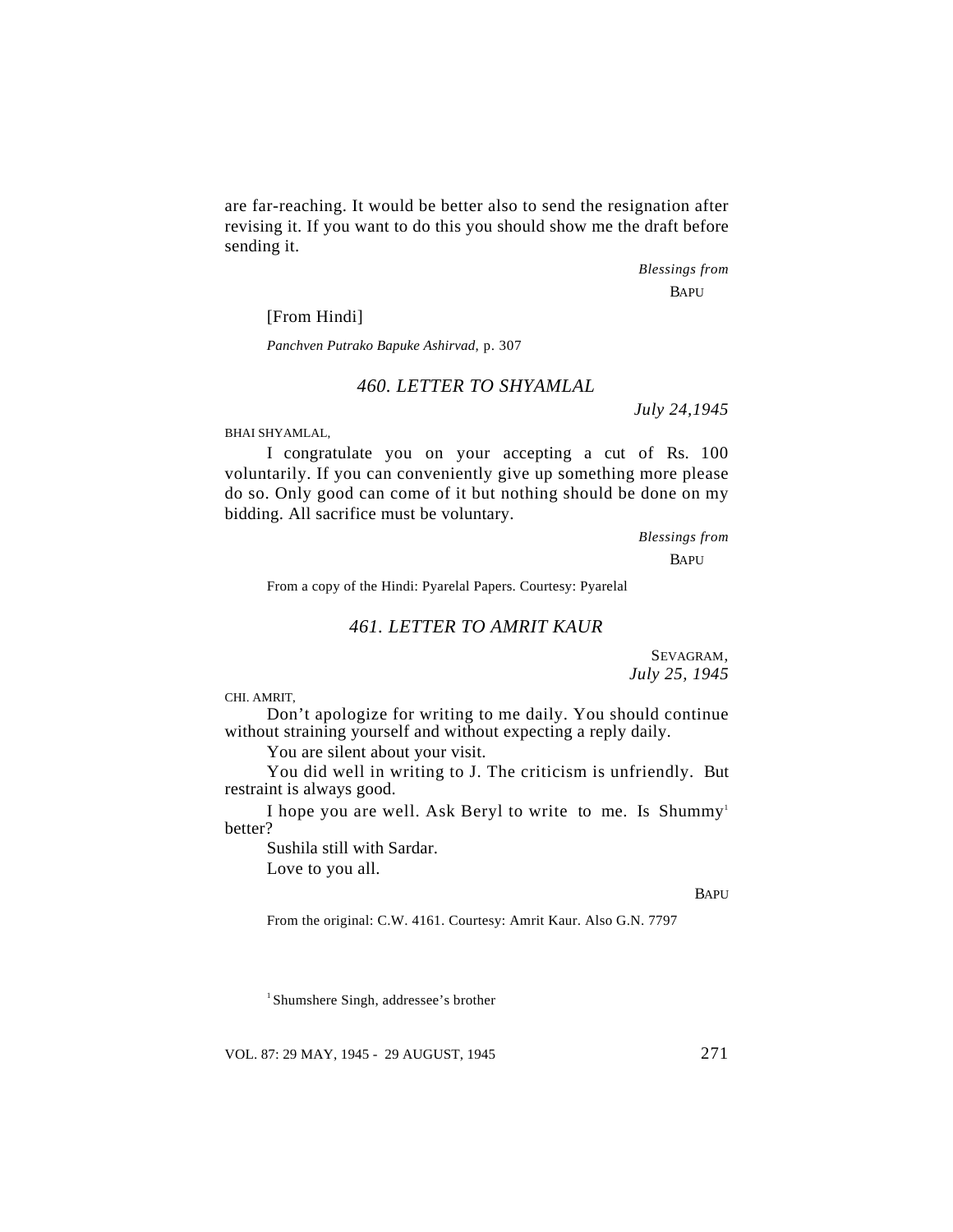are far-reaching. It would be better also to send the resignation after revising it. If you want to do this you should show me the draft before sending it.

> *Blessings from* BAPU

[From Hindi]

*Panchven Putrako Bapuke Ashirvad*, p. 307

## *460. LETTER TO SHYAMLAL*

*July 24,1945*

BHAI SHYAMLAL,

I congratulate you on your accepting a cut of Rs. 100 voluntarily. If you can conveniently give up something more please do so. Only good can come of it but nothing should be done on my bidding. All sacrifice must be voluntary.

*Blessings from*

**BAPU** 

From a copy of the Hindi: Pyarelal Papers. Courtesy: Pyarelal

### *461. LETTER TO AMRIT KAUR*

SEVAGRAM, *July 25, 1945*

CHI. AMRIT,

Don't apologize for writing to me daily. You should continue without straining yourself and without expecting a reply daily.

You are silent about your visit.

You did well in writing to J. The criticism is unfriendly. But restraint is always good.

I hope you are well. Ask Beryl to write to me. Is Shummy<sup>1</sup> better?

Sushila still with Sardar. Love to you all.

**BAPU** 

From the original: C.W. 4161. Courtesy: Amrit Kaur. Also G.N. 7797

1 Shumshere Singh, addressee's brother

VOL. 87: 29 MAY, 1945 - 29 AUGUST, 1945 271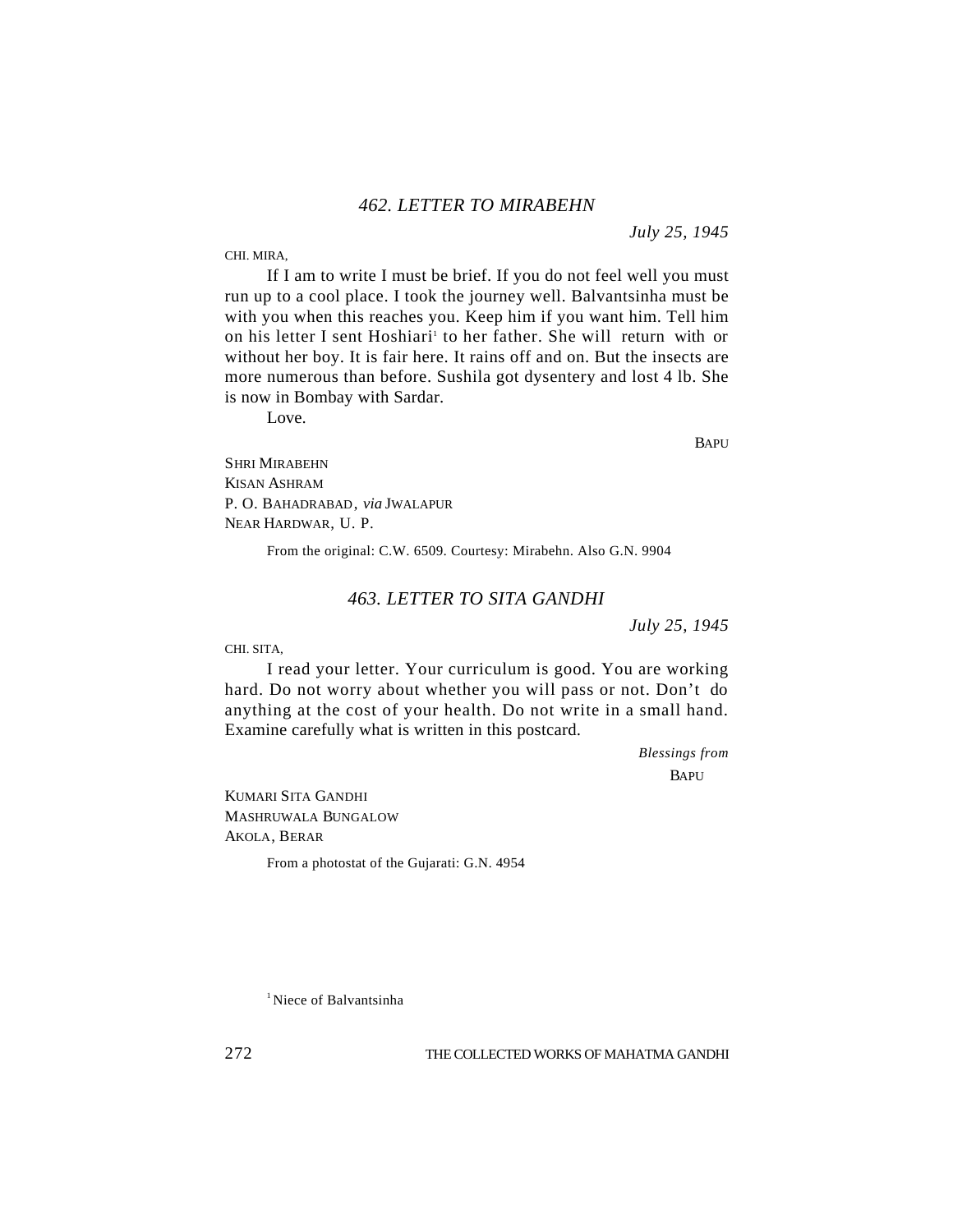CHI. MIRA,

If I am to write I must be brief. If you do not feel well you must run up to a cool place. I took the journey well. Balvantsinha must be with you when this reaches you. Keep him if you want him. Tell him on his letter I sent Hoshiari<sup>1</sup> to her father. She will return with or without her boy. It is fair here. It rains off and on. But the insects are more numerous than before. Sushila got dysentery and lost 4 lb. She is now in Bombay with Sardar.

Love.

SHRI MIRABEHN KISAN ASHRAM P. O. BAHADRABAD, *via* JWALAPUR NEAR HARDWAR, U. P.

From the original: C.W. 6509. Courtesy: Mirabehn. Also G.N. 9904

# *463. LETTER TO SITA GANDHI*

*July 25, 1945*

CHI. SITA,

I read your letter. Your curriculum is good. You are working hard. Do not worry about whether you will pass or not. Don't do anything at the cost of your health. Do not write in a small hand. Examine carefully what is written in this postcard.

> *Blessings from* **BAPU**

KUMARI SITA GANDHI MASHRUWALA BUNGALOW AKOLA, BERAR

From a photostat of the Gujarati: G.N. 4954

<sup>1</sup> Niece of Balvantsinha

**BAPU** 

*July 25, 1945*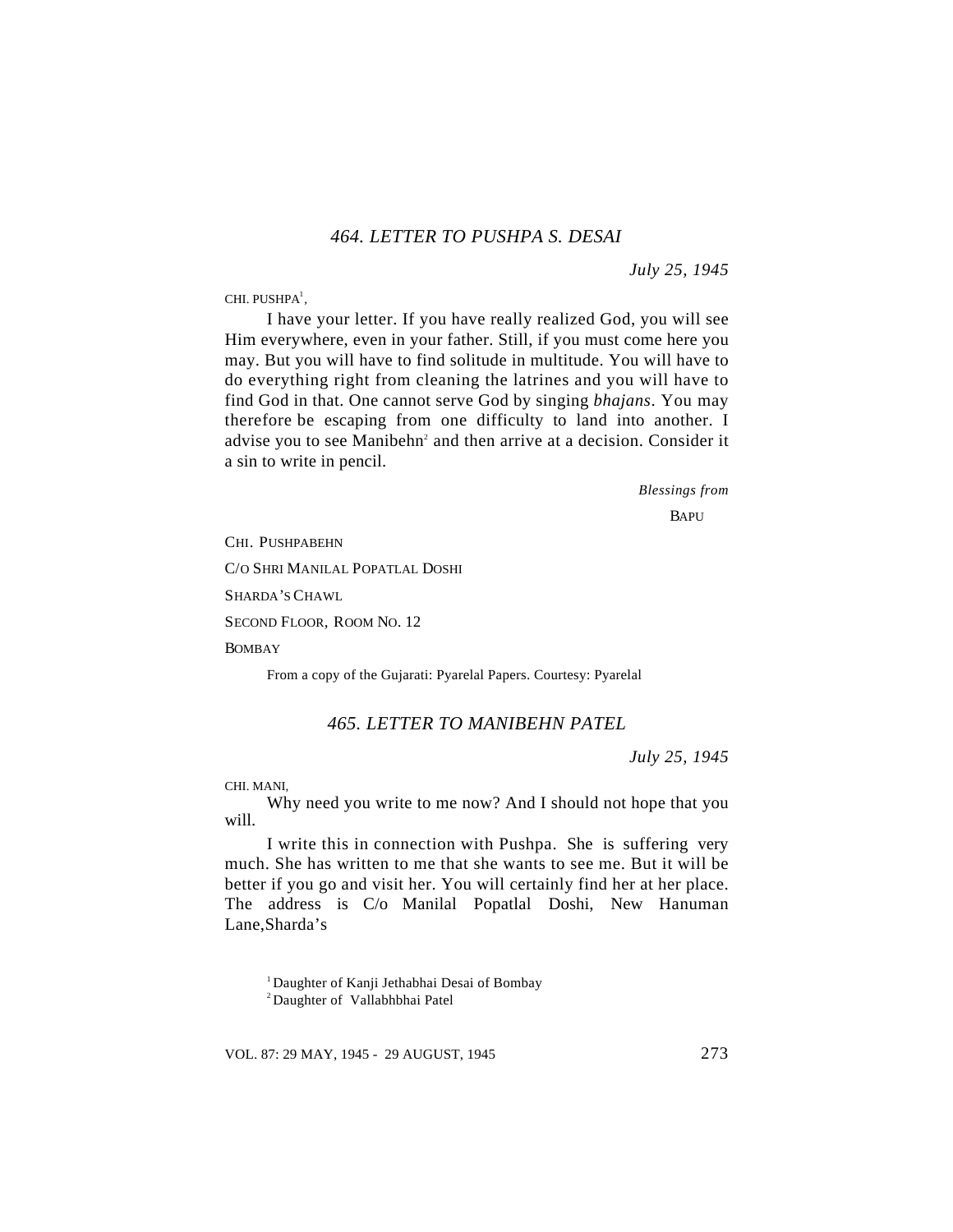## *464. LETTER TO PUSHPA S. DESAI*

*July 25, 1945*

CHI. PUSHP $A^1$ ,

I have your letter. If you have really realized God, you will see Him everywhere, even in your father. Still, if you must come here you may. But you will have to find solitude in multitude. You will have to do everything right from cleaning the latrines and you will have to find God in that. One cannot serve God by singing *bhajans*. You may therefore be escaping from one difficulty to land into another. I advise you to see Manibehn<sup>2</sup> and then arrive at a decision. Consider it a sin to write in pencil.

*Blessings from*

**BAPU** 

CHI. PUSHPABEHN

C/O SHRI MANILAL POPATLAL DOSHI

SHARDA'S CHAWL

SECOND FLOOR, ROOM NO. 12

**BOMBAY** 

From a copy of the Gujarati: Pyarelal Papers. Courtesy: Pyarelal

## *465. LETTER TO MANIBEHN PATEL*

*July 25, 1945*

CHI. MANI,

Why need you write to me now? And I should not hope that you will.

I write this in connection with Pushpa. She is suffering very much. She has written to me that she wants to see me. But it will be better if you go and visit her. You will certainly find her at her place. The address is C/o Manilal Popatlal Doshi, New Hanuman Lane,Sharda's

<sup>&</sup>lt;sup>1</sup> Daughter of Kanji Jethabhai Desai of Bombay

<sup>2</sup> Daughter of Vallabhbhai Patel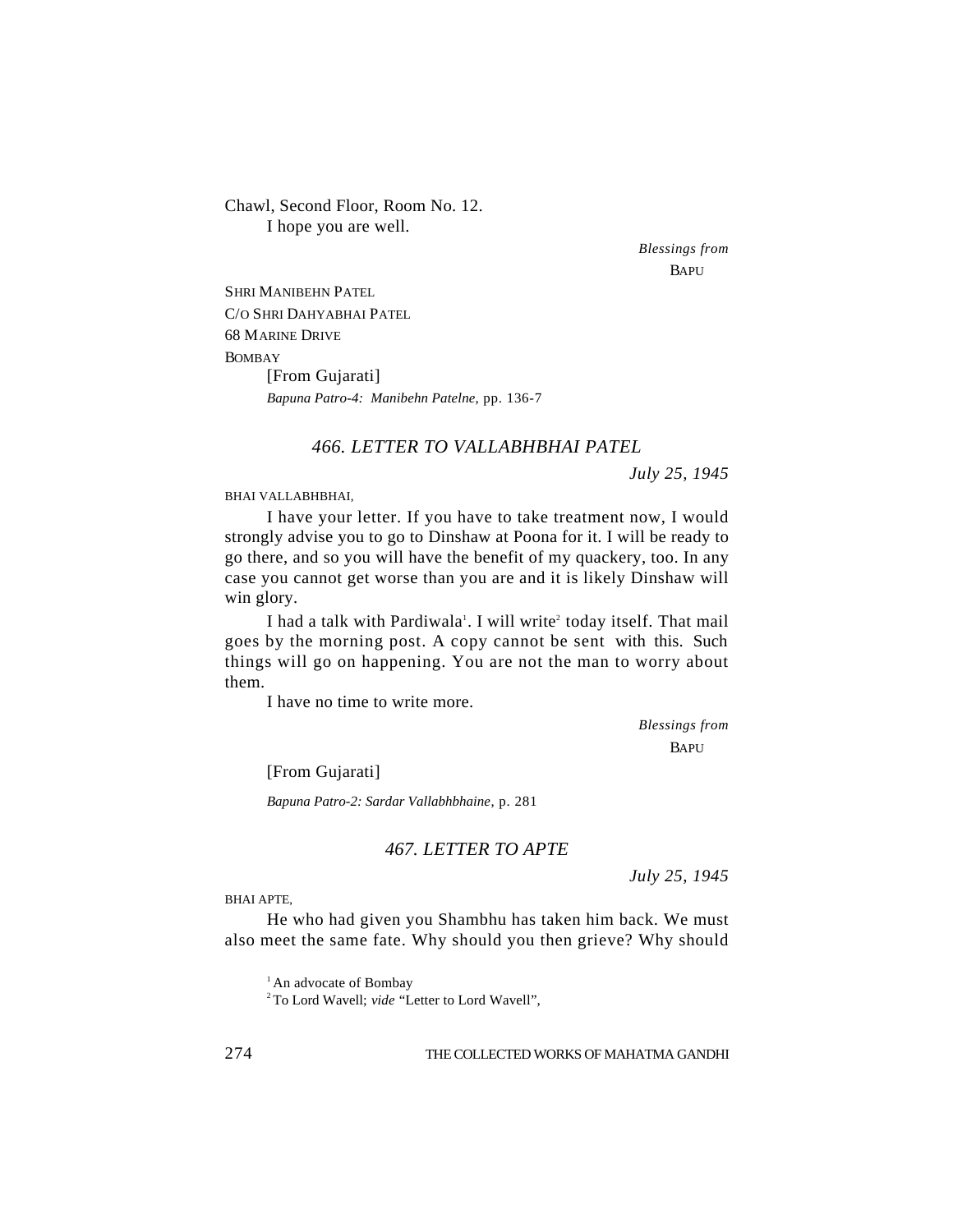Chawl, Second Floor, Room No. 12. I hope you are well.

> *Blessings from* **BAPU**

SHRI MANIBEHN PATEL C/O SHRI DAHYABHAI PATEL 68 MARINE DRIVE BOMBAY [From Gujarati] *Bapuna Patro-4: Manibehn Patelne*, pp. 136-7

## *466. LETTER TO VALLABHBHAI PATEL*

*July 25, 1945*

BHAI VALLABHBHAI,

I have your letter. If you have to take treatment now, I would strongly advise you to go to Dinshaw at Poona for it. I will be ready to go there, and so you will have the benefit of my quackery, too. In any case you cannot get worse than you are and it is likely Dinshaw will win glory.

I had a talk with Pardiwala<sup>1</sup>. I will write<sup>2</sup> today itself. That mail goes by the morning post. A copy cannot be sent with this. Such things will go on happening. You are not the man to worry about them.

I have no time to write more.

*Blessings from* **BAPU** 

[From Gujarati]

*Bapuna Patro-2: Sardar Vallabhbhaine*, p. 281

# *467. LETTER TO APTE*

*July 25, 1945*

BHAI APTE,

He who had given you Shambhu has taken him back. We must also meet the same fate. Why should you then grieve? Why should

<sup>1</sup> An advocate of Bombay

<sup>2</sup>To Lord Wavell; *vide* "Letter to Lord Wavell",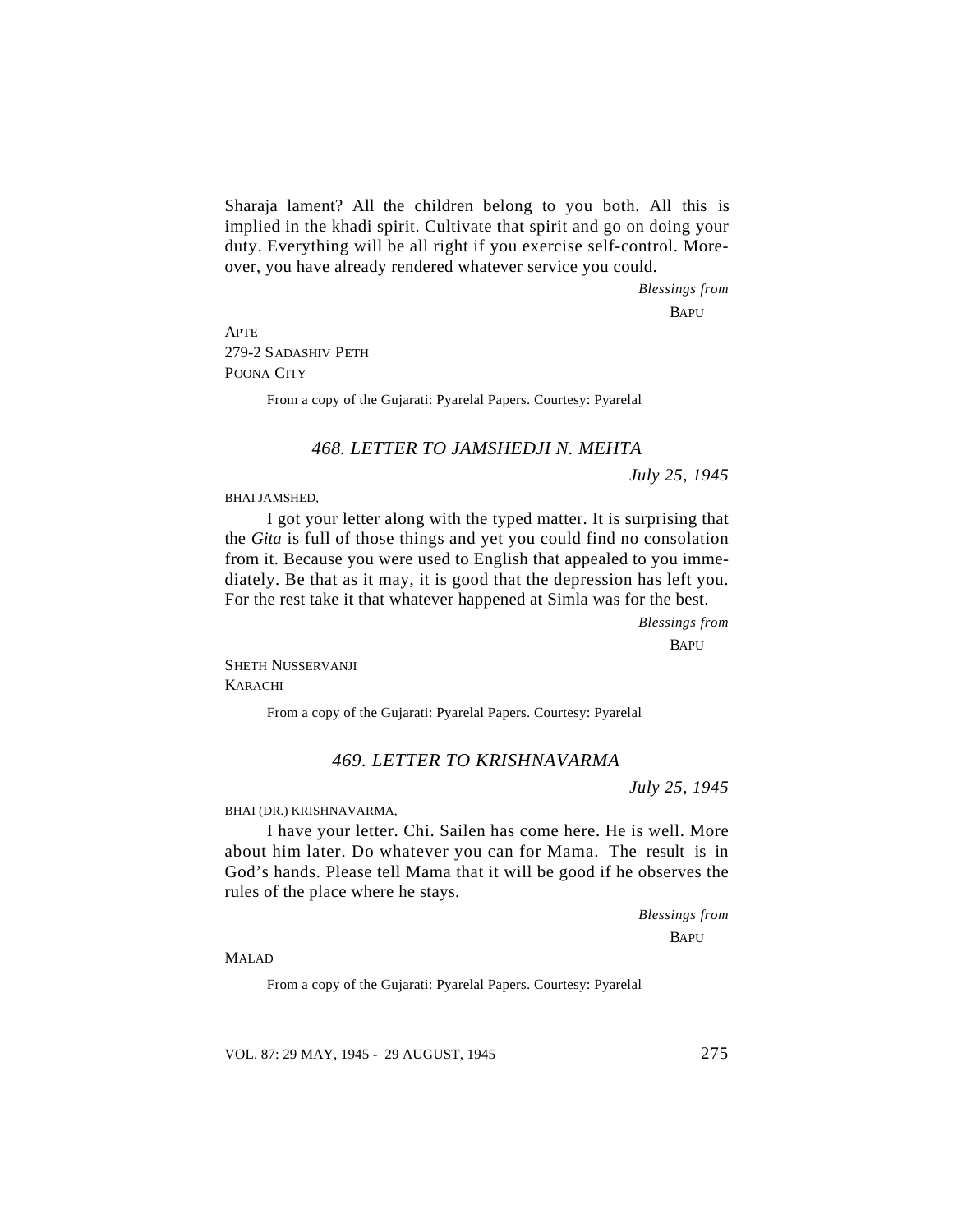Sharaja lament? All the children belong to you both. All this is implied in the khadi spirit. Cultivate that spirit and go on doing your duty. Everything will be all right if you exercise self-control. Moreover, you have already rendered whatever service you could.

> *Blessings from* BAPU

APTE 279-2 SADASHIV PETH POONA CITY

From a copy of the Gujarati: Pyarelal Papers. Courtesy: Pyarelal

## *468. LETTER TO JAMSHEDJI N. MEHTA*

*July 25, 1945*

BHAI JAMSHED,

I got your letter along with the typed matter. It is surprising that the *Gita* is full of those things and yet you could find no consolation from it. Because you were used to English that appealed to you immediately. Be that as it may, it is good that the depression has left you. For the rest take it that whatever happened at Simla was for the best.

*Blessings from*

**BAPU** 

SHETH NUSSERVANJI KARACHI

From a copy of the Gujarati: Pyarelal Papers. Courtesy: Pyarelal

# *469. LETTER TO KRISHNAVARMA*

*July 25, 1945*

BHAI (DR.) KRISHNAVARMA,

I have your letter. Chi. Sailen has come here. He is well. More about him later. Do whatever you can for Mama. The result is in God's hands. Please tell Mama that it will be good if he observes the rules of the place where he stays.

> *Blessings from* BAPU

MALAD

From a copy of the Gujarati: Pyarelal Papers. Courtesy: Pyarelal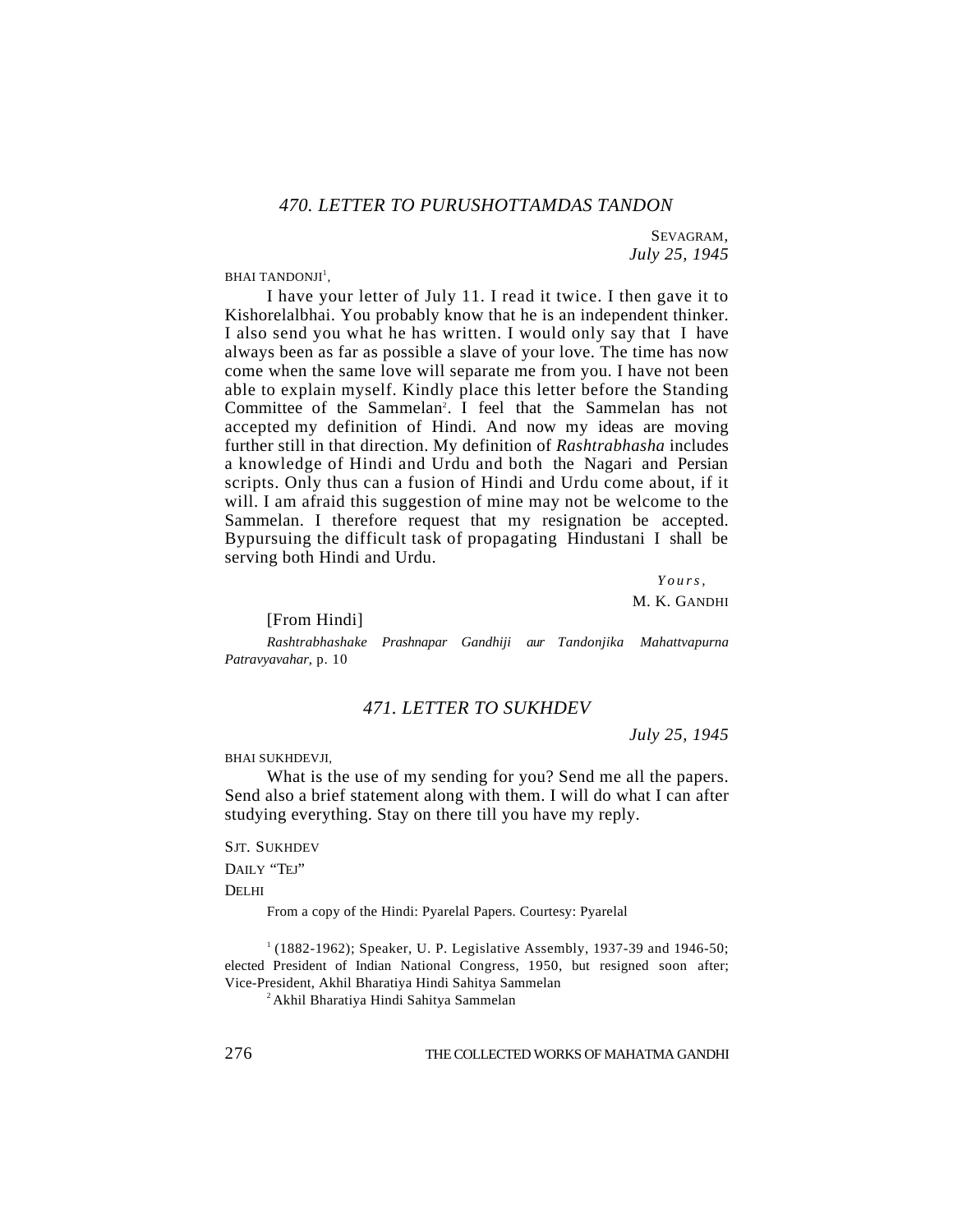## *470. LETTER TO PURUSHOTTAMDAS TANDON*

SEVAGRAM, *July 25, 1945*

#### $\mathbf B\mathbf H\mathbf A\mathbf I$  TANDONJI $^1,$

I have your letter of July 11. I read it twice. I then gave it to Kishorelalbhai. You probably know that he is an independent thinker. I also send you what he has written. I would only say that I have always been as far as possible a slave of your love. The time has now come when the same love will separate me from you. I have not been able to explain myself. Kindly place this letter before the Standing Committee of the Sammelan<sup>2</sup>. I feel that the Sammelan has not accepted my definition of Hindi. And now my ideas are moving further still in that direction. My definition of *Rashtrabhasha* includes a knowledge of Hindi and Urdu and both the Nagari and Persian scripts. Only thus can a fusion of Hindi and Urdu come about, if it will. I am afraid this suggestion of mine may not be welcome to the Sammelan. I therefore request that my resignation be accepted. Bypursuing the difficult task of propagating Hindustani I shall be serving both Hindi and Urdu.

> *Yours,*  M. K. GANDHI

#### [From Hindi]

*Rashtrabhashake Prashnapar Gandhiji aur Tandonjika Mahattvapurna Patravyavahar,* p. 10

## *471. LETTER TO SUKHDEV*

*July 25, 1945*

BHAI SUKHDEVJI,

What is the use of my sending for you? Send me all the papers. Send also a brief statement along with them. I will do what I can after studying everything. Stay on there till you have my reply.

SJT. SUKHDEV DAILY "TEI"

DELHI

From a copy of the Hindi: Pyarelal Papers. Courtesy: Pyarelal

 $1(1882-1962)$ ; Speaker, U. P. Legislative Assembly, 1937-39 and 1946-50; elected President of Indian National Congress, 1950, but resigned soon after; Vice-President, Akhil Bharatiya Hindi Sahitya Sammelan

2 Akhil Bharatiya Hindi Sahitya Sammelan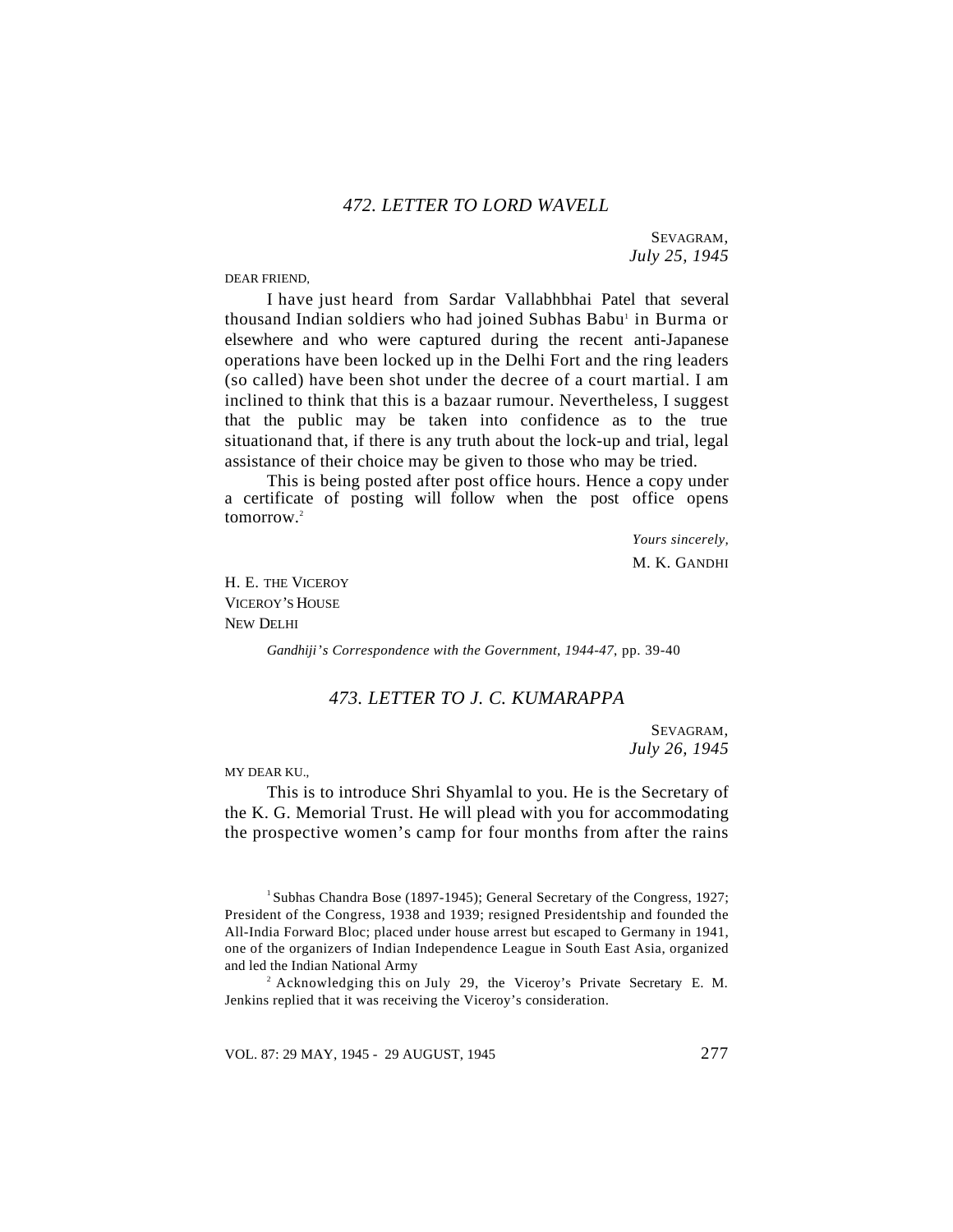## *472. LETTER TO LORD WAVELL*

SEVAGRAM, *July 25, 1945*

DEAR FRIEND,

I have just heard from Sardar Vallabhbhai Patel that several thousand Indian soldiers who had joined Subhas Babu1 in Burma or elsewhere and who were captured during the recent anti-Japanese operations have been locked up in the Delhi Fort and the ring leaders (so called) have been shot under the decree of a court martial. I am inclined to think that this is a bazaar rumour. Nevertheless, I suggest that the public may be taken into confidence as to the true situationand that, if there is any truth about the lock-up and trial, legal assistance of their choice may be given to those who may be tried.

This is being posted after post office hours. Hence a copy under a certificate of posting will follow when the post office opens tomorrow.<sup>2</sup>

> *Yours sincerely,* M. K. GANDHI

H. E. THE VICEROY VICEROY'S HOUSE NEW DELHI

*Gandhiji*'*s Correspondence with the Government, 1944-47*, pp. 39-40

## *473. LETTER TO J. C. KUMARAPPA*

SEVAGRAM, *July 26, 1945*

MY DEAR KU.,

This is to introduce Shri Shyamlal to you. He is the Secretary of the K. G. Memorial Trust. He will plead with you for accommodating the prospective women's camp for four months from after the rains

<sup>1</sup> Subhas Chandra Bose (1897-1945); General Secretary of the Congress, 1927; President of the Congress, 1938 and 1939; resigned Presidentship and founded the All-India Forward Bloc; placed under house arrest but escaped to Germany in 1941, one of the organizers of Indian Independence League in South East Asia, organized and led the Indian National Army

 $2A$ cknowledging this on July 29, the Viceroy's Private Secretary E. M. Jenkins replied that it was receiving the Viceroy's consideration.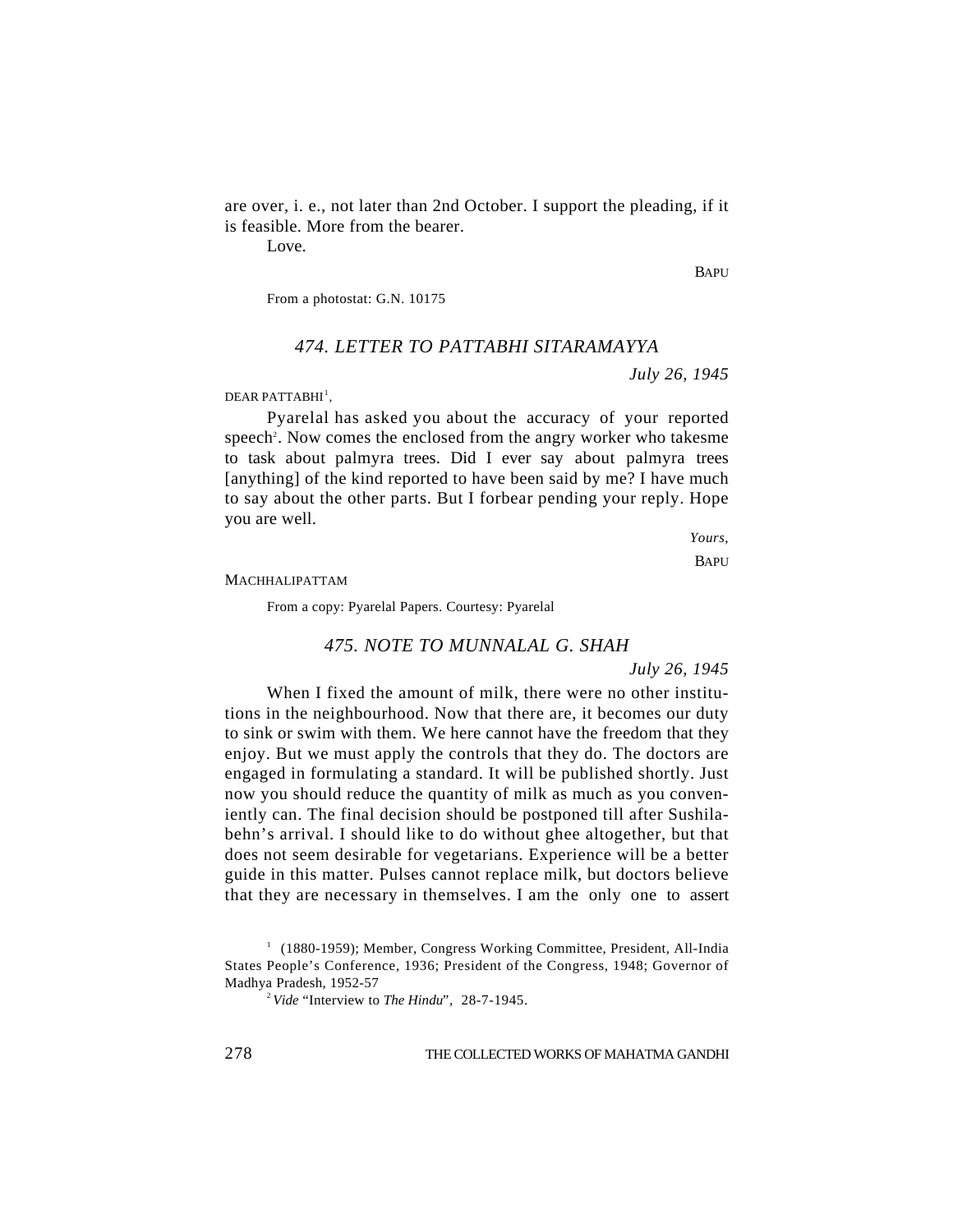are over, i. e., not later than 2nd October. I support the pleading, if it is feasible. More from the bearer.

Love.

From a photostat: G.N. 10175

## *474. LETTER TO PATTABHI SITARAMAYYA*

*July 26, 1945*

 $DEAR$   $PATTABHI$ <sup>1</sup>,

Pyarelal has asked you about the accuracy of your reported speech<sup>2</sup>. Now comes the enclosed from the angry worker who takesme to task about palmyra trees. Did I ever say about palmyra trees [anything] of the kind reported to have been said by me? I have much to say about the other parts. But I forbear pending your reply. Hope you are well.

> *Yours,* **BAPU**

MACHHALIPATTAM

From a copy: Pyarelal Papers. Courtesy: Pyarelal

### *475. NOTE TO MUNNALAL G. SHAH*

*July 26, 1945*

When I fixed the amount of milk, there were no other institutions in the neighbourhood. Now that there are, it becomes our duty to sink or swim with them. We here cannot have the freedom that they enjoy. But we must apply the controls that they do. The doctors are engaged in formulating a standard. It will be published shortly. Just now you should reduce the quantity of milk as much as you conveniently can. The final decision should be postponed till after Sushilabehn's arrival. I should like to do without ghee altogether, but that does not seem desirable for vegetarians. Experience will be a better guide in this matter. Pulses cannot replace milk, but doctors believe that they are necessary in themselves. I am the only one to assert

**BAPU** 

<sup>&</sup>lt;sup>1</sup> (1880-1959); Member, Congress Working Committee, President, All-India States People's Conference, 1936; President of the Congress, 1948; Governor of Madhya Pradesh, 1952-57

<sup>2</sup>*Vide* "Interview to *The Hindu*", 28-7-1945.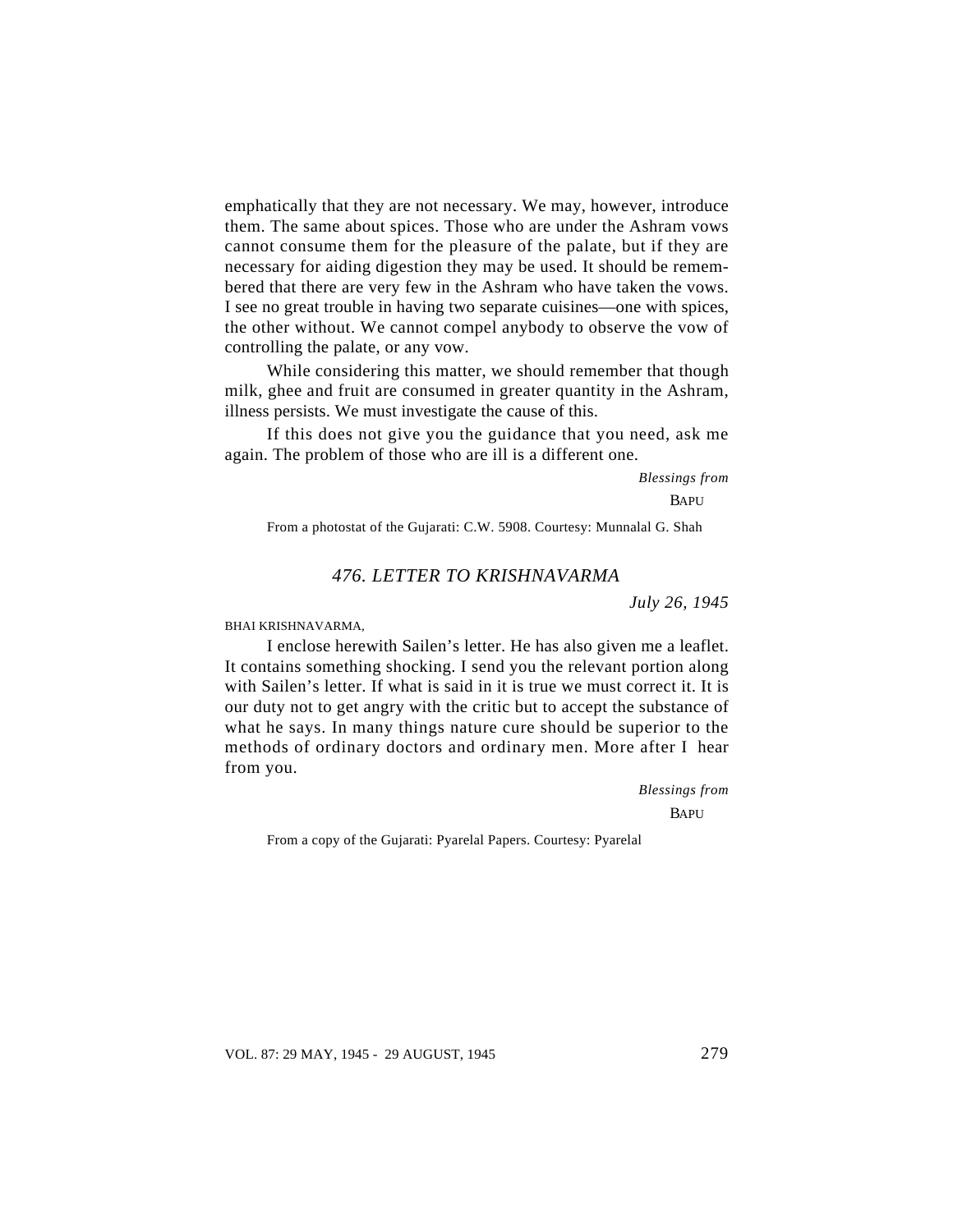emphatically that they are not necessary. We may, however, introduce them. The same about spices. Those who are under the Ashram vows cannot consume them for the pleasure of the palate, but if they are necessary for aiding digestion they may be used. It should be remembered that there are very few in the Ashram who have taken the vows. I see no great trouble in having two separate cuisines—one with spices, the other without. We cannot compel anybody to observe the vow of controlling the palate, or any vow.

While considering this matter, we should remember that though milk, ghee and fruit are consumed in greater quantity in the Ashram, illness persists. We must investigate the cause of this.

If this does not give you the guidance that you need, ask me again. The problem of those who are ill is a different one.

*Blessings from*

**BAPU** 

From a photostat of the Gujarati: C.W. 5908. Courtesy: Munnalal G. Shah

### *476. LETTER TO KRISHNAVARMA*

*July 26, 1945*

BHAI KRISHNAVARMA,

I enclose herewith Sailen's letter. He has also given me a leaflet. It contains something shocking. I send you the relevant portion along with Sailen's letter. If what is said in it is true we must correct it. It is our duty not to get angry with the critic but to accept the substance of what he says. In many things nature cure should be superior to the methods of ordinary doctors and ordinary men. More after I hear from you.

> *Blessings from* **BAPU**

From a copy of the Gujarati: Pyarelal Papers. Courtesy: Pyarelal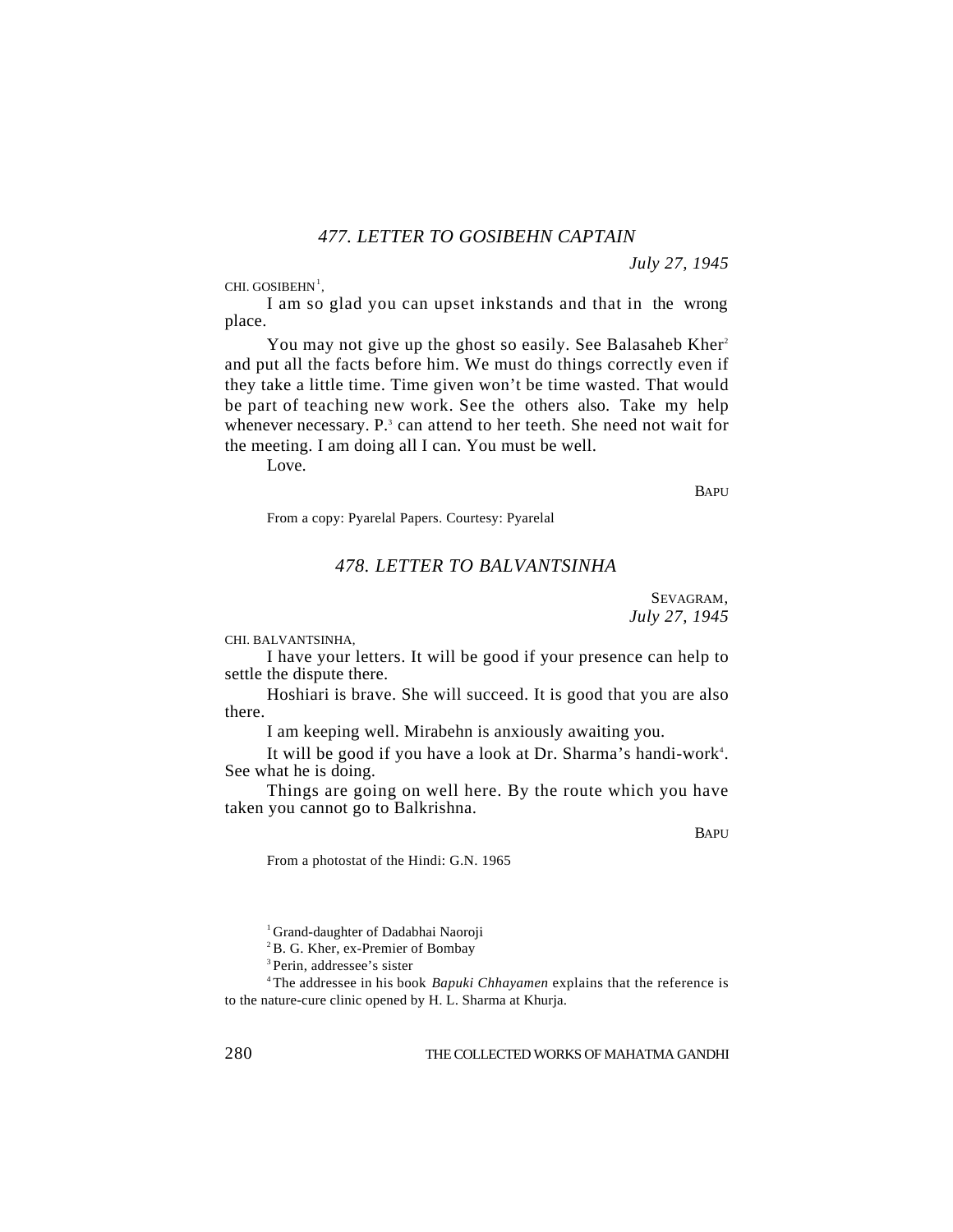*July 27, 1945*

CHI. GOSIBEHN<sup>1</sup>,

I am so glad you can upset inkstands and that in the wrong place.

You may not give up the ghost so easily. See Balasaheb Kher<sup>2</sup> and put all the facts before him. We must do things correctly even if they take a little time. Time given won't be time wasted. That would be part of teaching new work. See the others also. Take my help whenever necessary. P.<sup>3</sup> can attend to her teeth. She need not wait for the meeting. I am doing all I can. You must be well.

Love.

**BAPU** 

From a copy: Pyarelal Papers. Courtesy: Pyarelal

## *478. LETTER TO BALVANTSINHA*

SEVAGRAM, *July 27, 1945*

CHI. BALVANTSINHA,

I have your letters. It will be good if your presence can help to settle the dispute there.

Hoshiari is brave. She will succeed. It is good that you are also there.

I am keeping well. Mirabehn is anxiously awaiting you.

It will be good if you have a look at Dr. Sharma's handi-work<sup>4</sup>. See what he is doing.

Things are going on well here. By the route which you have taken you cannot go to Balkrishna.

**BAPU** 

From a photostat of the Hindi: G.N. 1965

<sup>4</sup>The addressee in his book *Bapuki Chhayamen* explains that the reference is to the nature-cure clinic opened by H. L. Sharma at Khurja.

<sup>&</sup>lt;sup>1</sup> Grand-daughter of Dadabhai Naoroji

<sup>&</sup>lt;sup>2</sup>B. G. Kher, ex-Premier of Bombay

<sup>&</sup>lt;sup>3</sup>Perin, addressee's sister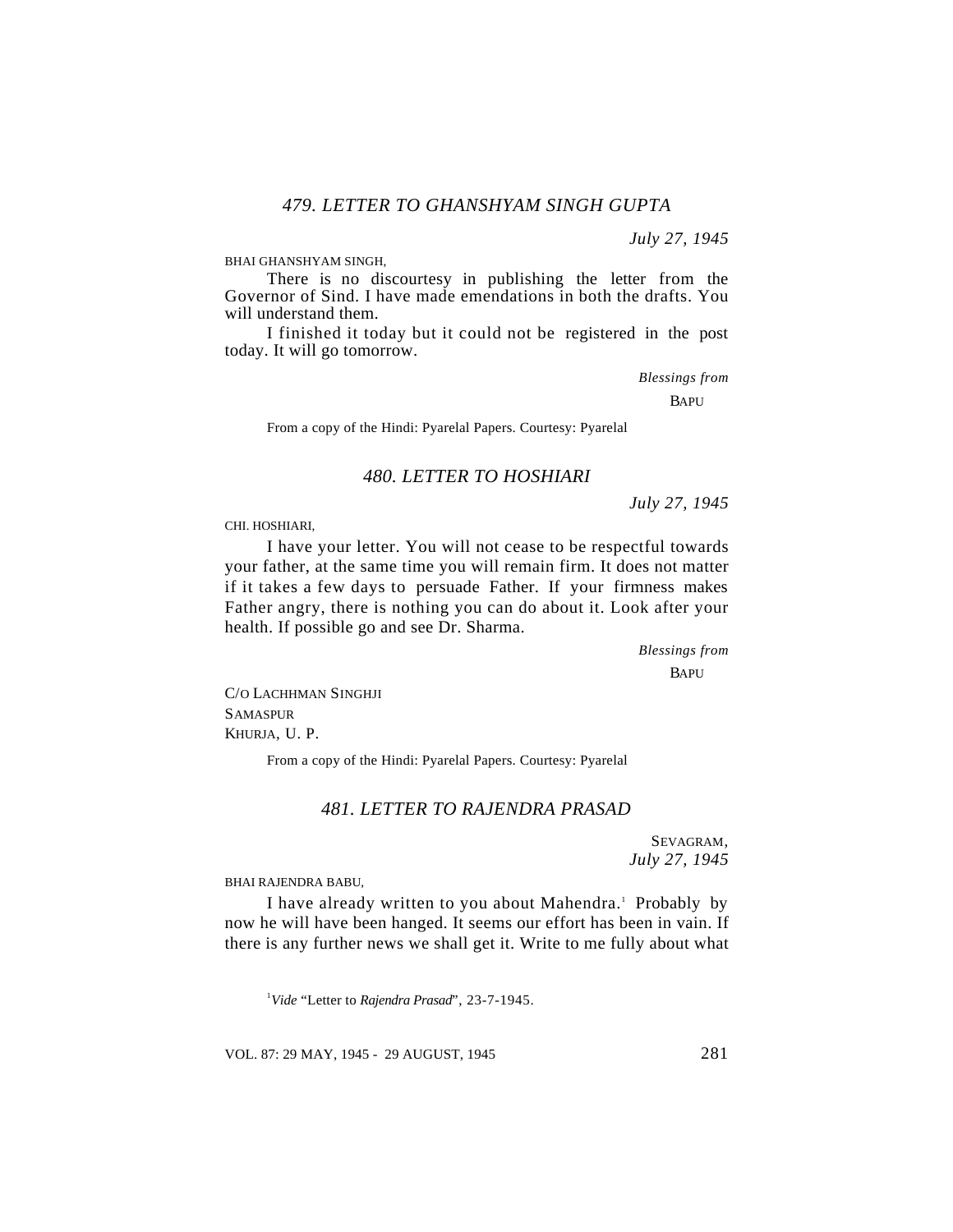*July 27, 1945*

BHAI GHANSHYAM SINGH,

There is no discourtesy in publishing the letter from the Governor of Sind. I have made emendations in both the drafts. You will understand them.

I finished it today but it could not be registered in the post today. It will go tomorrow.

*Blessings from*

BAPU

From a copy of the Hindi: Pyarelal Papers. Courtesy: Pyarelal

## *480. LETTER TO HOSHIARI*

*July 27, 1945*

CHI. HOSHIARI,

I have your letter. You will not cease to be respectful towards your father, at the same time you will remain firm. It does not matter if it takes a few days to persuade Father. If your firmness makes Father angry, there is nothing you can do about it. Look after your health. If possible go and see Dr. Sharma.

> *Blessings from* **BAPU**

C/O LACHHMAN SINGHJI **SAMASPUR** KHURJA, U. P.

From a copy of the Hindi: Pyarelal Papers. Courtesy: Pyarelal

#### *481. LETTER TO RAJENDRA PRASAD*

SEVAGRAM, *July 27, 1945*

BHAI RAJENDRA BABU,

I have already written to you about Mahendra.<sup>1</sup> Probably by now he will have been hanged. It seems our effort has been in vain. If there is any further news we shall get it. Write to me fully about what

<sup>1</sup>*Vide* "Letter to *Rajendra Prasad*", 23-7-1945.

VOL. 87: 29 MAY, 1945 - 29 AUGUST, 1945 281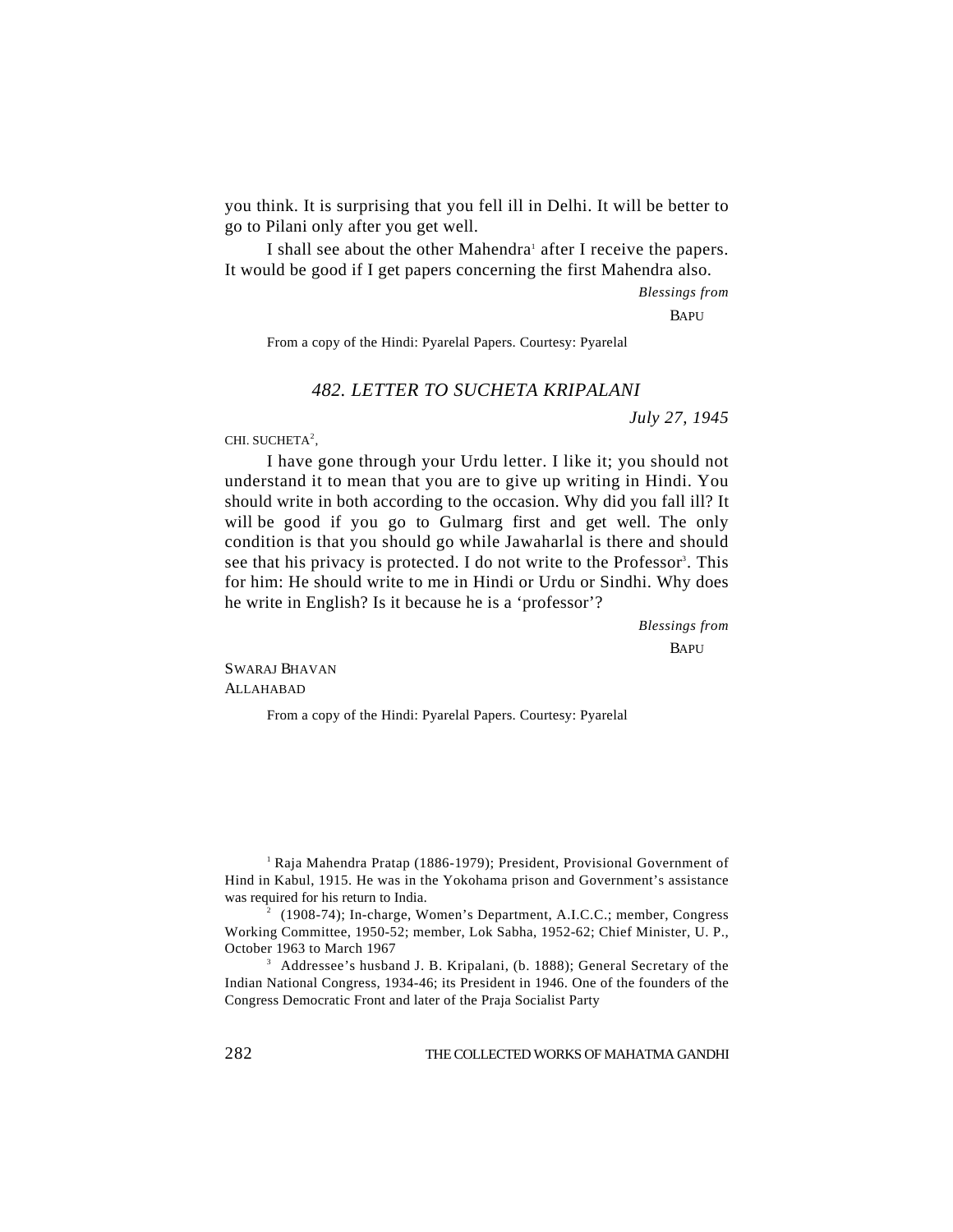you think. It is surprising that you fell ill in Delhi. It will be better to go to Pilani only after you get well.

I shall see about the other Mahendra<sup>1</sup> after I receive the papers. It would be good if I get papers concerning the first Mahendra also.

*Blessings from*

BAPU

From a copy of the Hindi: Pyarelal Papers. Courtesy: Pyarelal

## *482. LETTER TO SUCHETA KRIPALANI*

*July 27, 1945*

CHI. SUCHETA $^2$ ,

I have gone through your Urdu letter. I like it; you should not understand it to mean that you are to give up writing in Hindi. You should write in both according to the occasion. Why did you fall ill? It will be good if you go to Gulmarg first and get well. The only condition is that you should go while Jawaharlal is there and should see that his privacy is protected. I do not write to the Professor<sup>3</sup>. This for him: He should write to me in Hindi or Urdu or Sindhi. Why does he write in English? Is it because he is a 'professor'?

> *Blessings from* **BAPU**

SWARAJ BHAVAN ALLAHABAD

From a copy of the Hindi: Pyarelal Papers. Courtesy: Pyarelal

<sup>1</sup> Raja Mahendra Pratap (1886-1979); President, Provisional Government of Hind in Kabul, 1915. He was in the Yokohama prison and Government's assistance was required for his return to India.

<sup>2</sup> (1908-74); In-charge, Women's Department, A.I.C.C.; member, Congress Working Committee, 1950-52; member, Lok Sabha, 1952-62; Chief Minister, U. P., October 1963 to March 1967

<sup>3</sup> Addressee's husband J. B. Kripalani, (b. 1888); General Secretary of the Indian National Congress, 1934-46; its President in 1946. One of the founders of the Congress Democratic Front and later of the Praja Socialist Party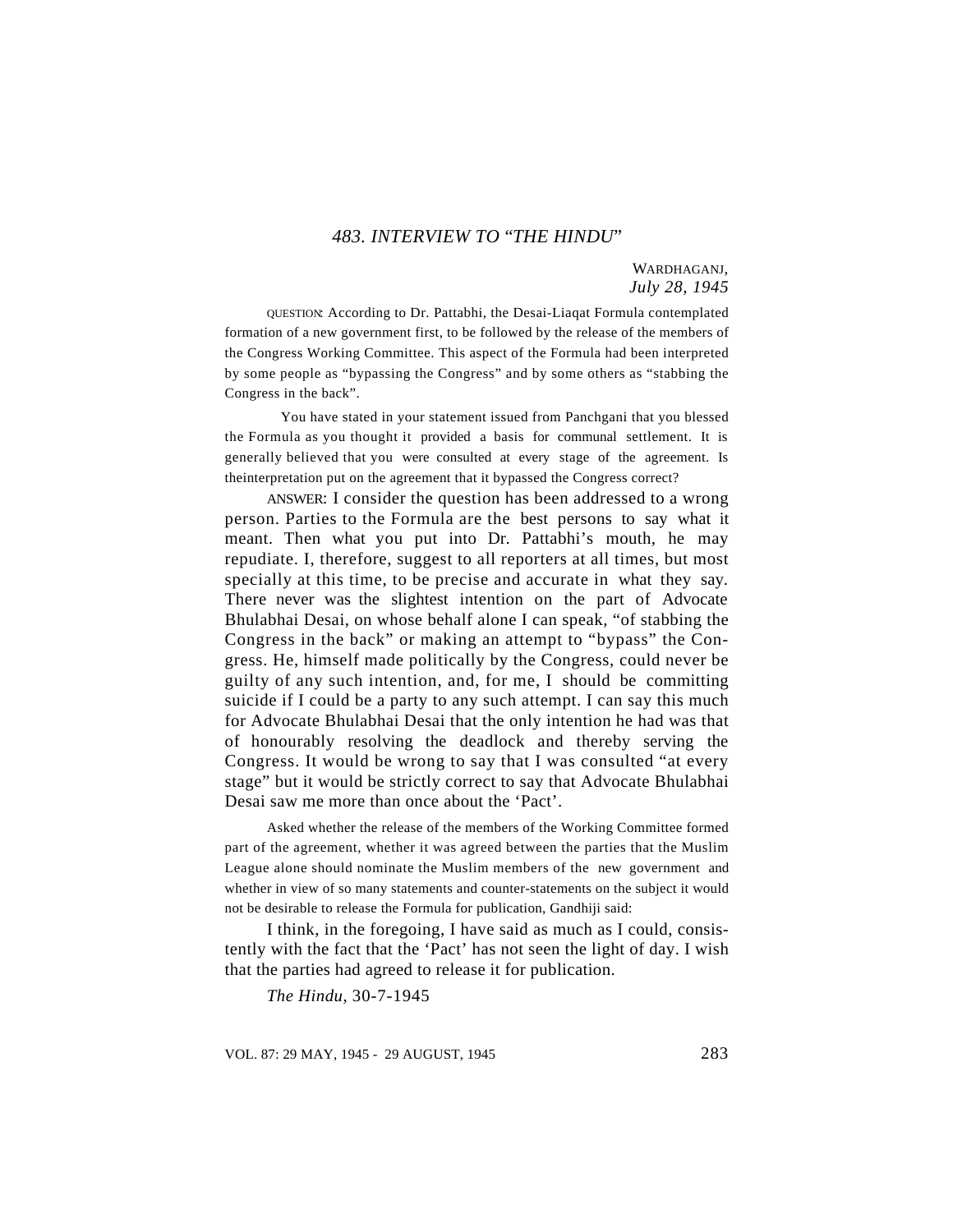### *483. INTERVIEW TO* "*THE HINDU*"

WARDHAGANJ, *July 28, 1945*

QUESTION: According to Dr. Pattabhi, the Desai-Liaqat Formula contemplated formation of a new government first, to be followed by the release of the members of the Congress Working Committee. This aspect of the Formula had been interpreted by some people as "bypassing the Congress" and by some others as "stabbing the Congress in the back".

You have stated in your statement issued from Panchgani that you blessed the Formula as you thought it provided a basis for communal settlement. It is generally believed that you were consulted at every stage of the agreement. Is theinterpretation put on the agreement that it bypassed the Congress correct?

ANSWER: I consider the question has been addressed to a wrong person. Parties to the Formula are the best persons to say what it meant. Then what you put into Dr. Pattabhi's mouth, he may repudiate. I, therefore, suggest to all reporters at all times, but most specially at this time, to be precise and accurate in what they say. There never was the slightest intention on the part of Advocate Bhulabhai Desai, on whose behalf alone I can speak, "of stabbing the Congress in the back" or making an attempt to "bypass" the Congress. He, himself made politically by the Congress, could never be guilty of any such intention, and, for me, I should be committing suicide if I could be a party to any such attempt. I can say this much for Advocate Bhulabhai Desai that the only intention he had was that of honourably resolving the deadlock and thereby serving the Congress. It would be wrong to say that I was consulted "at every stage" but it would be strictly correct to say that Advocate Bhulabhai Desai saw me more than once about the 'Pact'.

Asked whether the release of the members of the Working Committee formed part of the agreement, whether it was agreed between the parties that the Muslim League alone should nominate the Muslim members of the new government and whether in view of so many statements and counter-statements on the subject it would not be desirable to release the Formula for publication, Gandhiji said:

I think, in the foregoing, I have said as much as I could, consistently with the fact that the 'Pact' has not seen the light of day. I wish that the parties had agreed to release it for publication.

*The Hindu,* 30-7-1945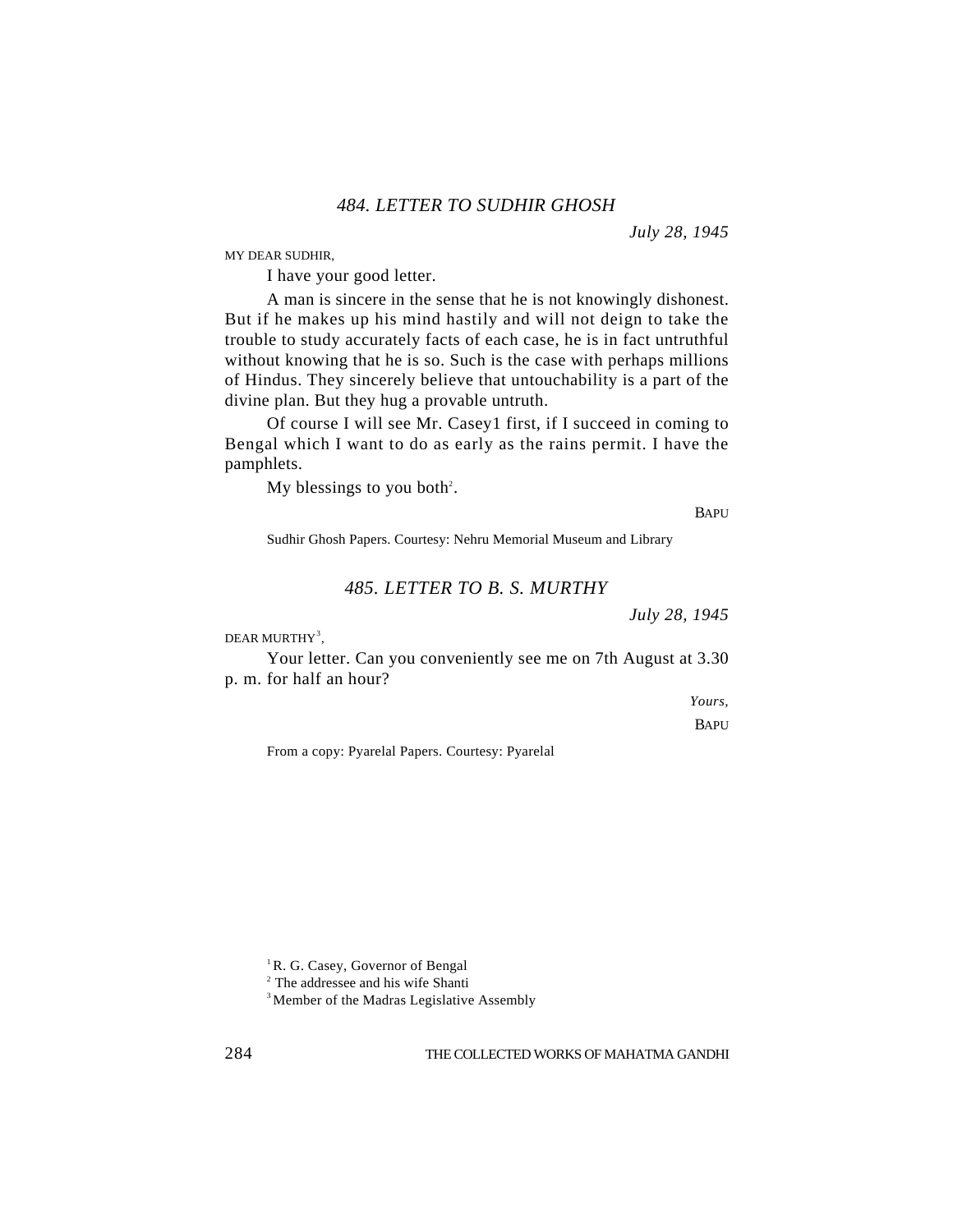From a copy: Pyarelal Papers. Courtesy: Pyarelal

# *485. LETTER TO B. S. MURTHY*

*July 28, 1945*

*July 28, 1945*

 $DEAR$  MURTHY<sup>3</sup>,

Your letter. Can you conveniently see me on 7th August at 3.30 p. m. for half an hour?

Sudhir Ghosh Papers. Courtesy: Nehru Memorial Museum and Library

# MY DEAR SUDHIR,

I have your good letter.

A man is sincere in the sense that he is not knowingly dishonest. But if he makes up his mind hastily and will not deign to take the trouble to study accurately facts of each case, he is in fact untruthful without knowing that he is so. Such is the case with perhaps millions of Hindus. They sincerely believe that untouchability is a part of the divine plan. But they hug a provable untruth.

*484. LETTER TO SUDHIR GHOSH*

Of course I will see Mr. Casey1 first, if I succeed in coming to Bengal which I want to do as early as the rains permit. I have the pamphlets.

My blessings to you both<sup>2</sup>.

**BAPU** 

*Yours,* **BAPU** 

<sup>&</sup>lt;sup>2</sup> The addressee and his wife Shanti

<sup>&</sup>lt;sup>3</sup> Member of the Madras Legislative Assembly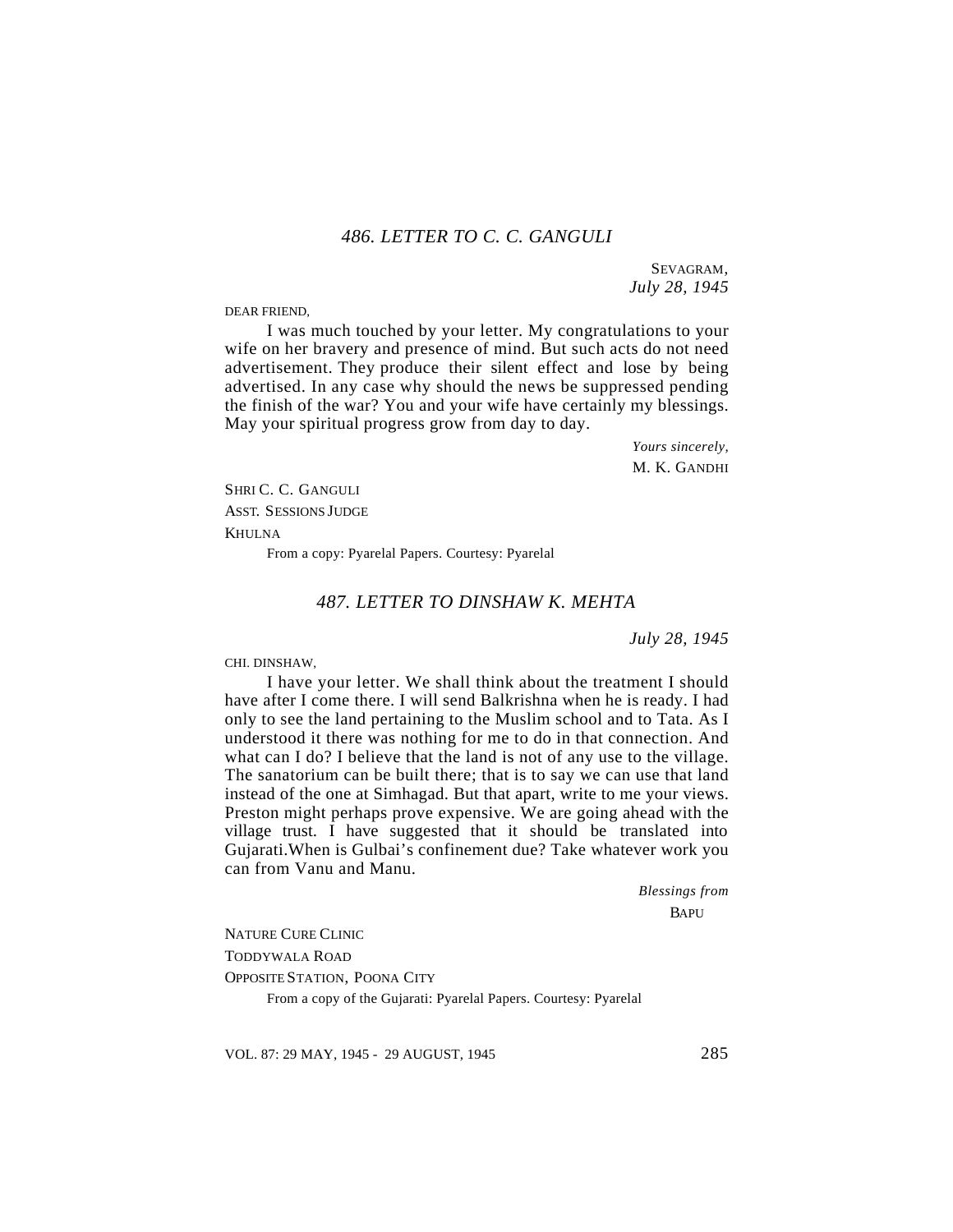## *486. LETTER TO C. C. GANGULI*

SEVAGRAM, *July 28, 1945*

DEAR FRIEND,

I was much touched by your letter. My congratulations to your wife on her bravery and presence of mind. But such acts do not need advertisement. They produce their silent effect and lose by being advertised. In any case why should the news be suppressed pending the finish of the war? You and your wife have certainly my blessings. May your spiritual progress grow from day to day.

> *Yours sincerely,* M. K. GANDHI

SHRI C. C. GANGULI ASST. SESSIONS JUDGE KHULNA

From a copy: Pyarelal Papers. Courtesy: Pyarelal

## *487. LETTER TO DINSHAW K. MEHTA*

*July 28, 1945*

CHI. DINSHAW,

I have your letter. We shall think about the treatment I should have after I come there. I will send Balkrishna when he is ready. I had only to see the land pertaining to the Muslim school and to Tata. As I understood it there was nothing for me to do in that connection. And what can I do? I believe that the land is not of any use to the village. The sanatorium can be built there; that is to say we can use that land instead of the one at Simhagad. But that apart, write to me your views. Preston might perhaps prove expensive. We are going ahead with the village trust. I have suggested that it should be translated into Gujarati.When is Gulbai's confinement due? Take whatever work you can from Vanu and Manu.

> *Blessings from* **BAPU**

NATURE CURE CLINIC TODDYWALA ROAD OPPOSITE STATION, POONA CITY From a copy of the Gujarati: Pyarelal Papers. Courtesy: Pyarelal

VOL. 87: 29 MAY, 1945 - 29 AUGUST, 1945 285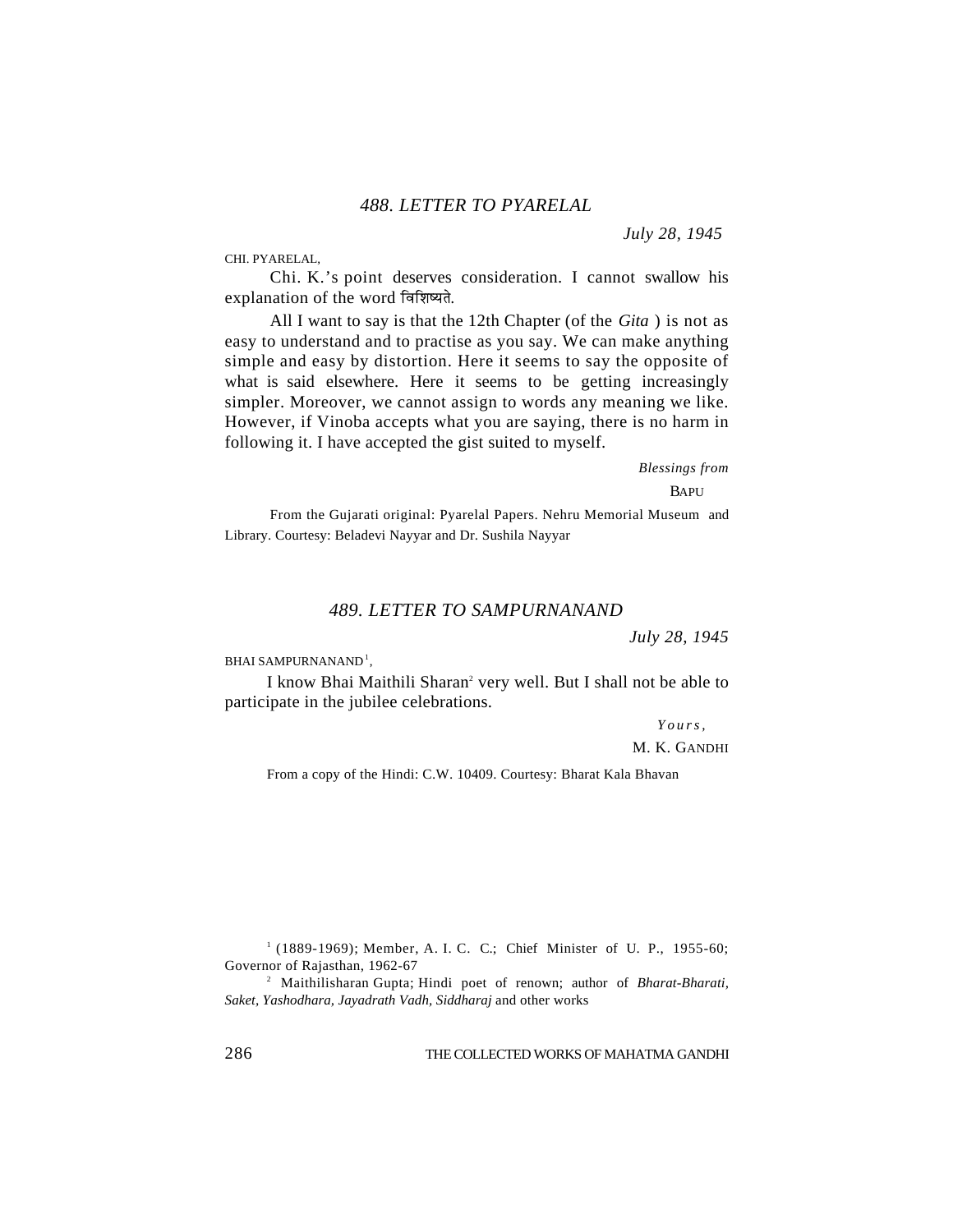*July 28, 1945*

CHI. PYARELAL,

Chi. K.'s point deserves consideration. I cannot swallow his explanation of the word विशिष्यते.

All I want to say is that the 12th Chapter (of the *Gita* ) is not as easy to understand and to practise as you say. We can make anything simple and easy by distortion. Here it seems to say the opposite of what is said elsewhere. Here it seems to be getting increasingly simpler. Moreover, we cannot assign to words any meaning we like. However, if Vinoba accepts what you are saying, there is no harm in following it. I have accepted the gist suited to myself.

*Blessings from*

**BAPU** 

From the Gujarati original: Pyarelal Papers. Nehru Memorial Museum and Library. Courtesy: Beladevi Nayyar and Dr. Sushila Nayyar

## *489. LETTER TO SAMPURNANAND*

*July 28, 1945*

 $\mathbf B$ HAI SAMPURNANAND<sup>1</sup>,

I know Bhai Maithili Sharan<sup>2</sup> very well. But I shall not be able to participate in the jubilee celebrations.

*Yours,* 

M. K. GANDHI

From a copy of the Hindi: C.W. 10409. Courtesy: Bharat Kala Bhavan

 $1(1889-1969)$ ; Member, A. I. C. C.; Chief Minister of U. P., 1955-60; Governor of Rajasthan, 1962-67

<sup>2</sup> Maithilisharan Gupta; Hindi poet of renown; author of *Bharat-Bharati, Saket, Yashodhara, Jayadrath Vadh, Siddharaj* and other works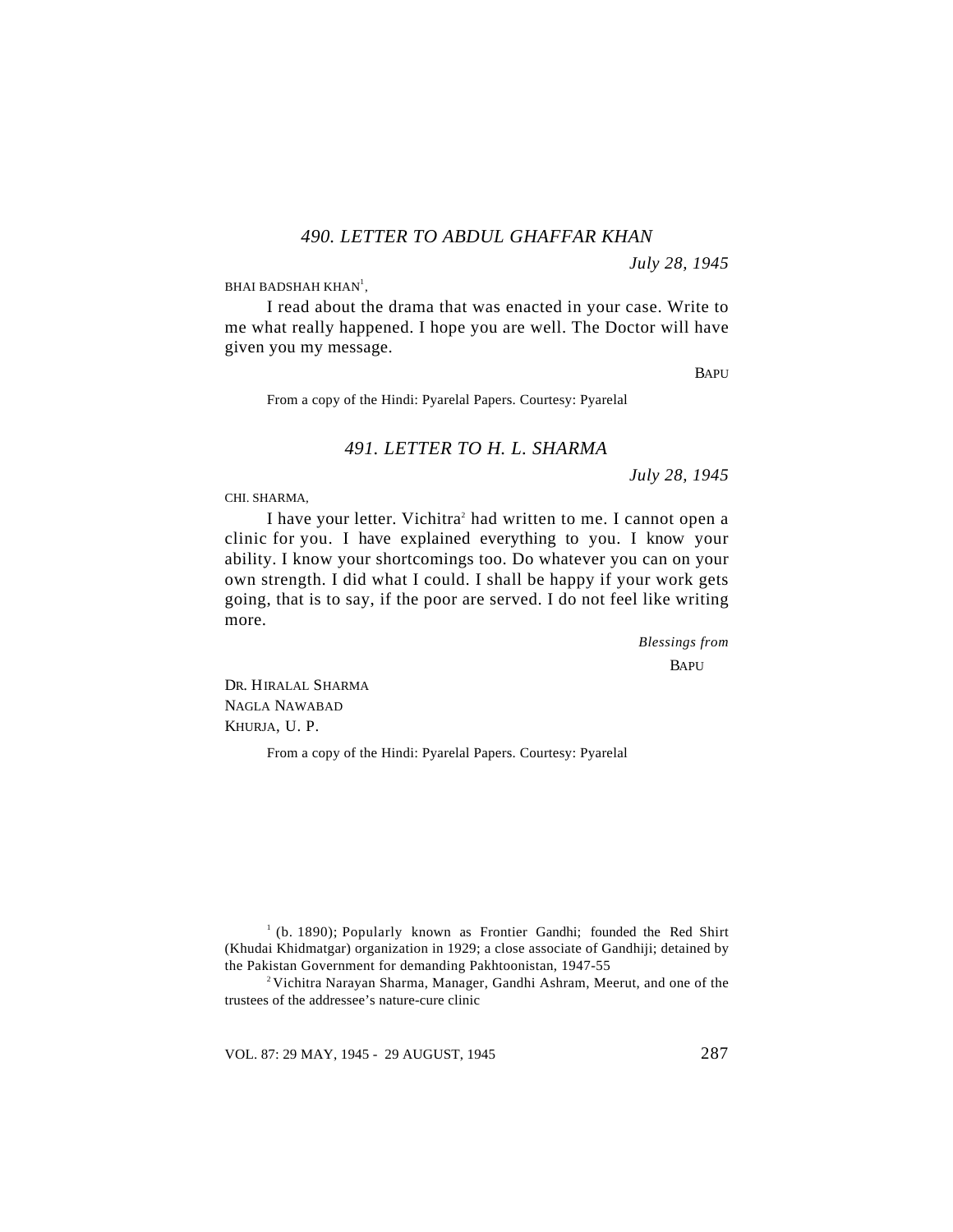*July 28, 1945*

 $\mathbf B$ HAI BADSHAH KHAN $^1,$ 

I read about the drama that was enacted in your case. Write to me what really happened. I hope you are well. The Doctor will have given you my message.

BAPU

From a copy of the Hindi: Pyarelal Papers. Courtesy: Pyarelal

## *491. LETTER TO H. L. SHARMA*

*July 28, 1945*

CHI. SHARMA,

I have your letter. Vichitra<sup>2</sup> had written to me. I cannot open a clinic for you. I have explained everything to you. I know your ability. I know your shortcomings too. Do whatever you can on your own strength. I did what I could. I shall be happy if your work gets going, that is to say, if the poor are served. I do not feel like writing more.

> *Blessings from* **BAPU**

DR. HIRALAL SHARMA NAGLA NAWABAD KHURJA, U. P.

From a copy of the Hindi: Pyarelal Papers. Courtesy: Pyarelal

 $1$  (b. 1890); Popularly known as Frontier Gandhi; founded the Red Shirt (Khudai Khidmatgar) organization in 1929; a close associate of Gandhiji; detained by the Pakistan Government for demanding Pakhtoonistan, 1947-55

<sup>&</sup>lt;sup>2</sup> Vichitra Narayan Sharma, Manager, Gandhi Ashram, Meerut, and one of the trustees of the addressee's nature-cure clinic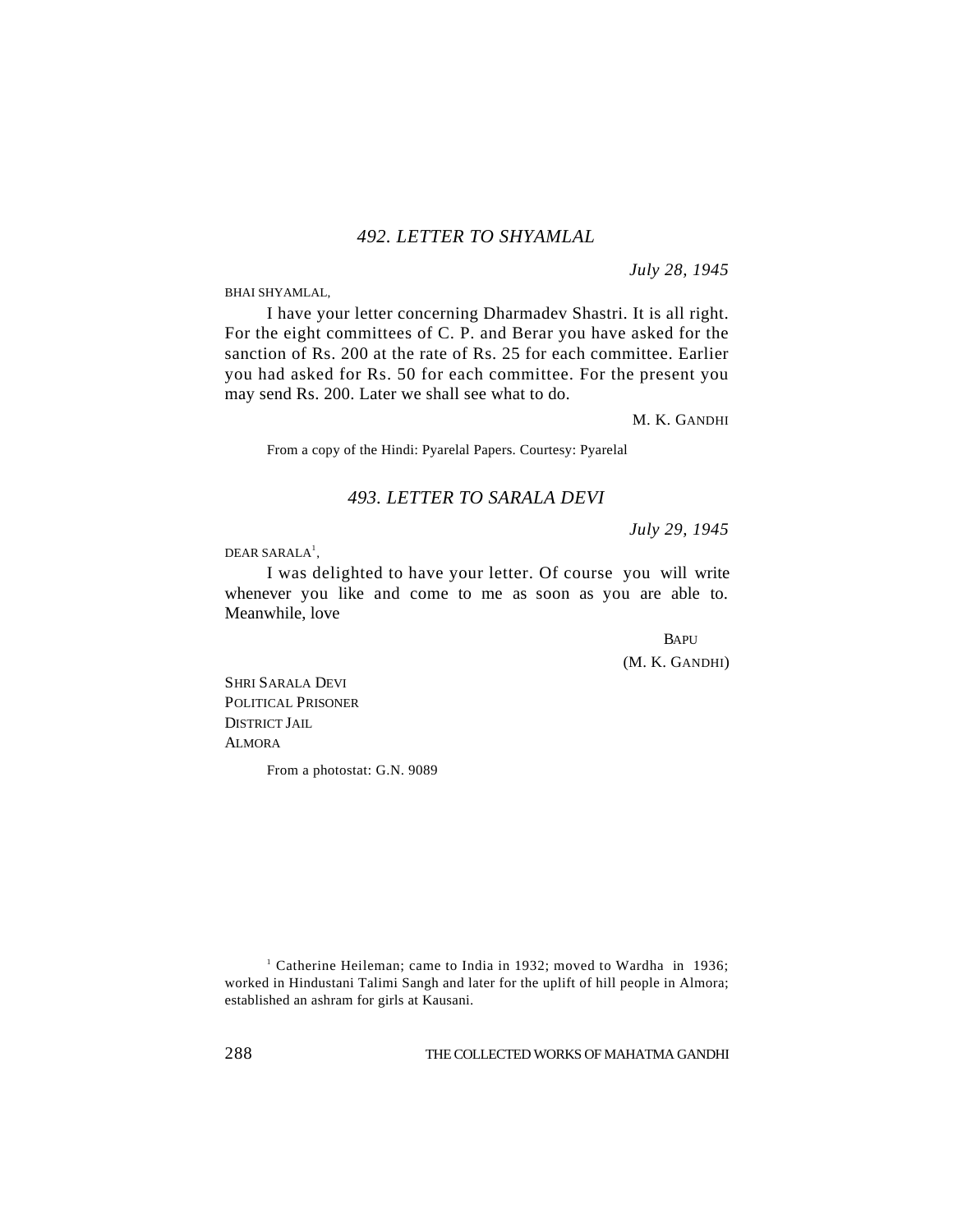## *492. LETTER TO SHYAMLAL*

*July 28, 1945*

BHAI SHYAMLAL,

I have your letter concerning Dharmadev Shastri. It is all right. For the eight committees of C. P. and Berar you have asked for the sanction of Rs. 200 at the rate of Rs. 25 for each committee. Earlier you had asked for Rs. 50 for each committee. For the present you may send Rs. 200. Later we shall see what to do.

M. K. GANDHI

From a copy of the Hindi: Pyarelal Papers. Courtesy: Pyarelal

## *493. LETTER TO SARALA DEVI*

*July 29, 1945*

 $DEAR SARALA<sup>1</sup>,$ 

I was delighted to have your letter. Of course you will write whenever you like and come to me as soon as you are able to. Meanwhile, love

> **BAPU** (M. K. GANDHI)

SHRI SARALA DEVI POLITICAL PRISONER DISTRICT JAIL **ALMORA** 

From a photostat: G.N. 9089

 $1$  Catherine Heileman; came to India in 1932; moved to Wardha in 1936; worked in Hindustani Talimi Sangh and later for the uplift of hill people in Almora; established an ashram for girls at Kausani.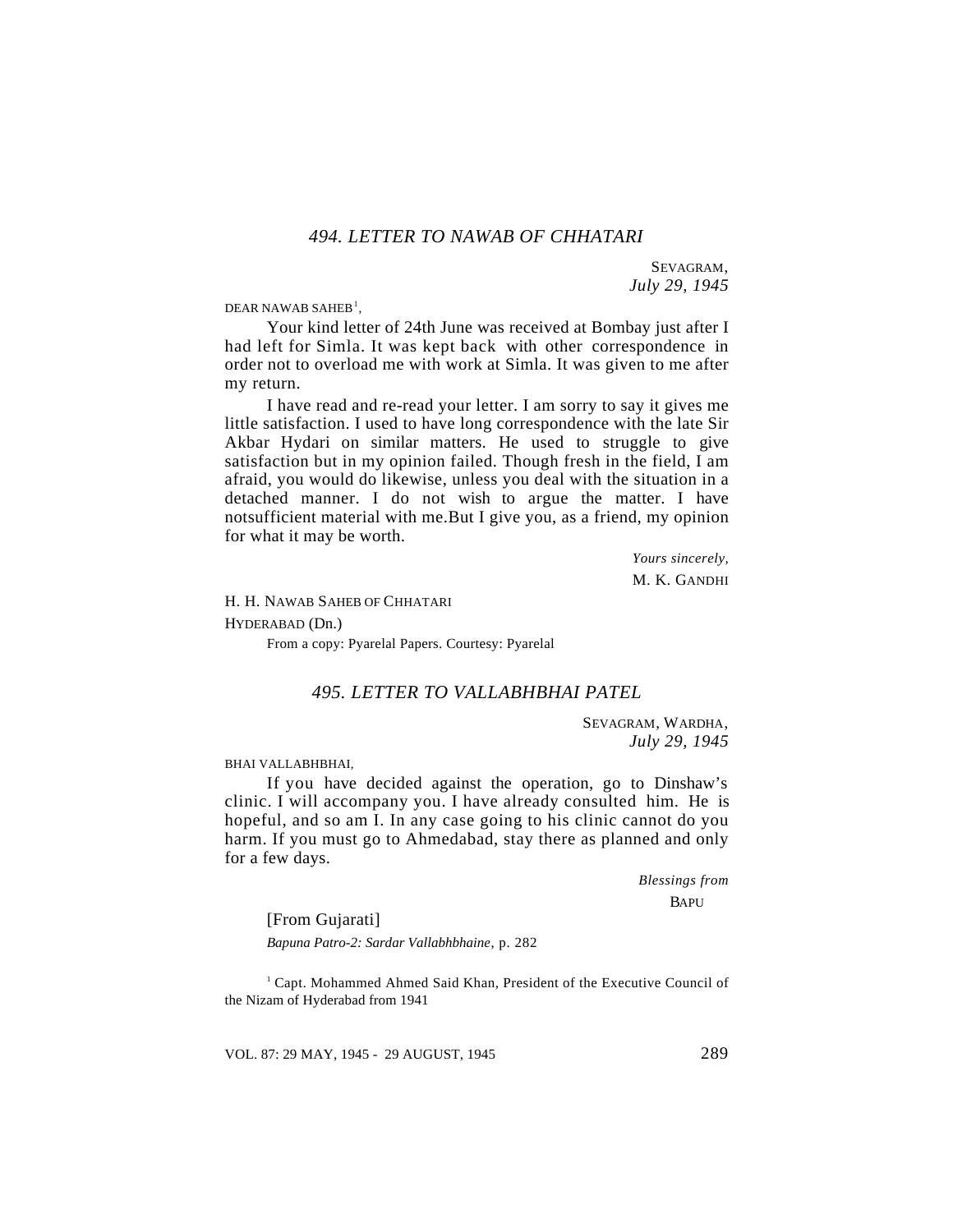### *494. LETTER TO NAWAB OF CHHATARI*

SEVAGRAM, *July 29, 1945*

#### $DEAR$  NAWAB SAHEB<sup>1</sup>,

Your kind letter of 24th June was received at Bombay just after I had left for Simla. It was kept back with other correspondence in order not to overload me with work at Simla. It was given to me after my return.

I have read and re-read your letter. I am sorry to say it gives me little satisfaction. I used to have long correspondence with the late Sir Akbar Hydari on similar matters. He used to struggle to give satisfaction but in my opinion failed. Though fresh in the field, I am afraid, you would do likewise, unless you deal with the situation in a detached manner. I do not wish to argue the matter. I have notsufficient material with me.But I give you, as a friend, my opinion for what it may be worth.

> *Yours sincerely,* M. K. GANDHI

H. H. NAWAB SAHEB OF CHHATARI

HYDERABAD (Dn.)

From a copy: Pyarelal Papers. Courtesy: Pyarelal

#### *495. LETTER TO VALLABHBHAI PATEL*

SEVAGRAM, WARDHA, *July 29, 1945*

BHAI VALLABHBHAI,

If you have decided against the operation, go to Dinshaw's clinic. I will accompany you. I have already consulted him. He is hopeful, and so am I. In any case going to his clinic cannot do you harm. If you must go to Ahmedabad, stay there as planned and only for a few days.

> *Blessings from* **BAPU**

[From Gujarati]

*Bapuna Patro-2: Sardar Vallabhbhaine*, p. 282

<sup>1</sup> Capt. Mohammed Ahmed Said Khan, President of the Executive Council of the Nizam of Hyderabad from 1941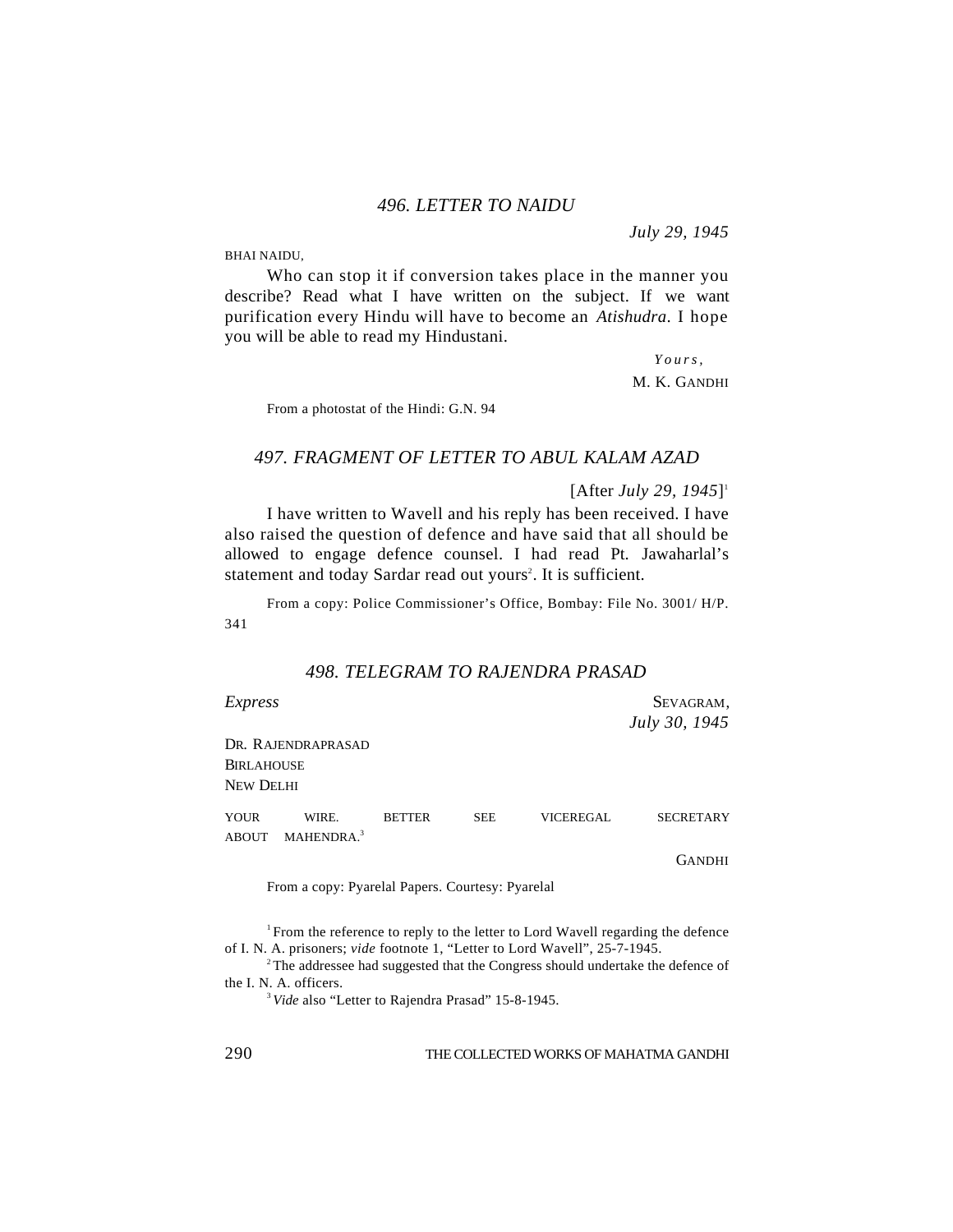*July 29, 1945*

BHAI NAIDU,

Who can stop it if conversion takes place in the manner you describe? Read what I have written on the subject. If we want purification every Hindu will have to become an *Atishudra*. I hope you will be able to read my Hindustani.

> *Yours,*  M. K. GANDHI

From a photostat of the Hindi: G.N. 94

#### *497. FRAGMENT OF LETTER TO ABUL KALAM AZAD*

[After *July 29, 1945*] 1

I have written to Wavell and his reply has been received. I have also raised the question of defence and have said that all should be allowed to engage defence counsel. I had read Pt. Jawaharlal's statement and today Sardar read out yours<sup>2</sup>. It is sufficient.

From a copy: Police Commissioner's Office, Bombay: File No. 3001/ H/P. 341

### *498. TELEGRAM TO RAJENDRA PRASAD*

| <b>Express</b>       |                                 |               |            |                  | SEVAGRAM,            |  |
|----------------------|---------------------------------|---------------|------------|------------------|----------------------|--|
|                      |                                 |               |            |                  | <i>July 30, 1945</i> |  |
|                      | DR. RAJENDRAPRASAD              |               |            |                  |                      |  |
| BIRLAHOUSE           |                                 |               |            |                  |                      |  |
| New Delhi            |                                 |               |            |                  |                      |  |
| <b>YOUR</b><br>ABOUT | WIRE.<br>MAHENDRA. <sup>3</sup> | <b>BETTER</b> | <b>SEE</b> | <b>VICEREGAL</b> | <b>SECRETARY</b>     |  |
|                      |                                 |               |            |                  | <b>GANDHI</b>        |  |

From a copy: Pyarelal Papers. Courtesy: Pyarelal

<sup>1</sup> From the reference to reply to the letter to Lord Wavell regarding the defence of I. N. A. prisoners; *vide* footnote 1, "Letter to Lord Wavell", 25-7-1945.

 $2^2$ The addressee had suggested that the Congress should undertake the defence of the I. N. A. officers.

<sup>3</sup>*Vide* also "Letter to Rajendra Prasad" 15-8-1945.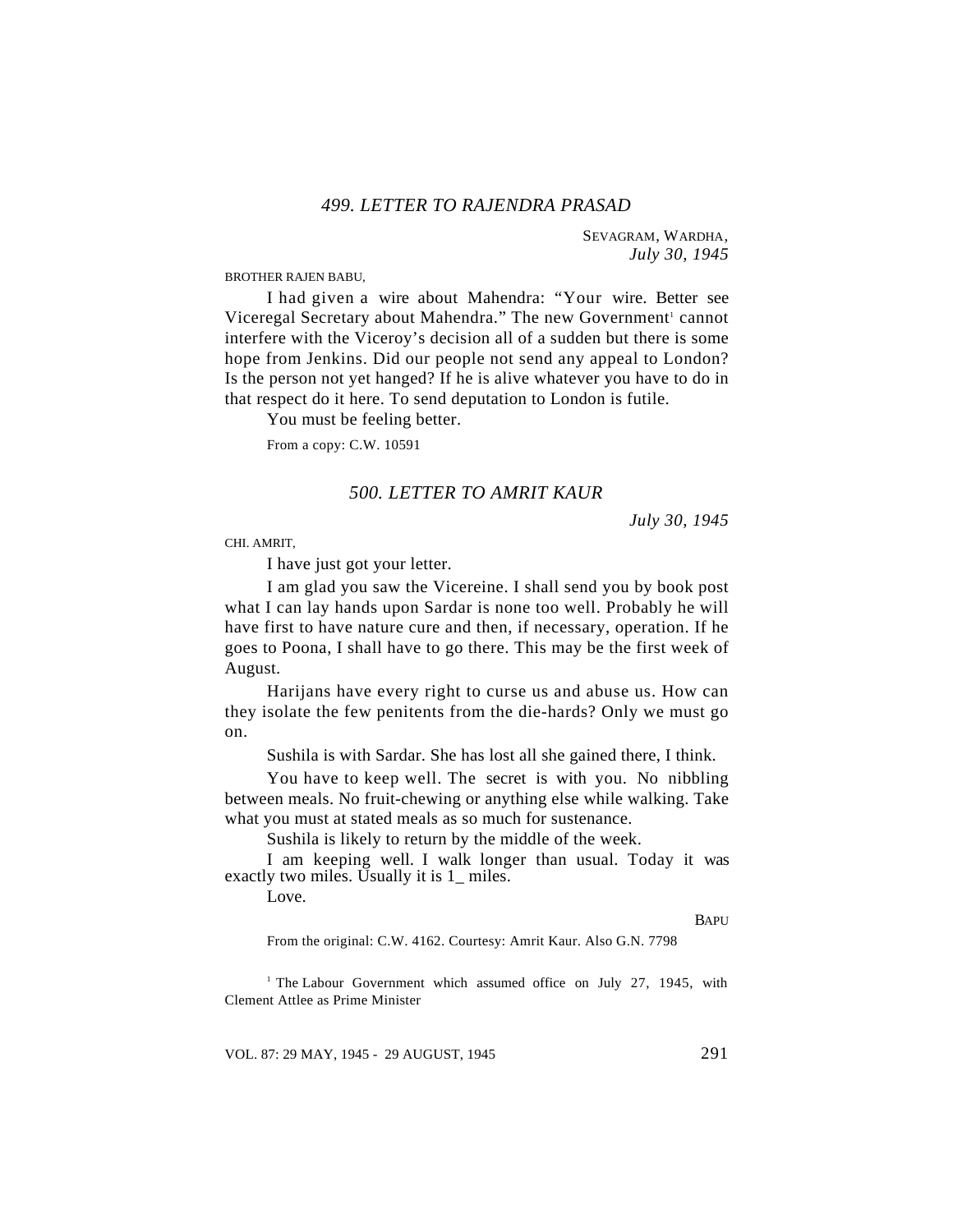### *499. LETTER TO RAJENDRA PRASAD*

SEVAGRAM, WARDHA, *July 30, 1945*

#### BROTHER RAJEN BABU,

I had given a wire about Mahendra: "Your wire. Better see Viceregal Secretary about Mahendra." The new Government<sup>1</sup> cannot interfere with the Viceroy's decision all of a sudden but there is some hope from Jenkins. Did our people not send any appeal to London? Is the person not yet hanged? If he is alive whatever you have to do in that respect do it here. To send deputation to London is futile.

You must be feeling better.

From a copy: C.W. 10591

#### *500. LETTER TO AMRIT KAUR*

*July 30, 1945*

CHI. AMRIT,

I have just got your letter.

I am glad you saw the Vicereine. I shall send you by book post what I can lay hands upon Sardar is none too well. Probably he will have first to have nature cure and then, if necessary, operation. If he goes to Poona, I shall have to go there. This may be the first week of August.

Harijans have every right to curse us and abuse us. How can they isolate the few penitents from the die-hards? Only we must go on.

Sushila is with Sardar. She has lost all she gained there, I think.

You have to keep well. The secret is with you. No nibbling between meals. No fruit-chewing or anything else while walking. Take what you must at stated meals as so much for sustenance.

Sushila is likely to return by the middle of the week.

I am keeping well. I walk longer than usual. Today it was exactly two miles. Usually it is 1\_ miles.

Love.

**BAPU** 

From the original: C.W. 4162. Courtesy: Amrit Kaur. Also G.N. 7798

<sup>1</sup> The Labour Government which assumed office on July 27, 1945, with Clement Attlee as Prime Minister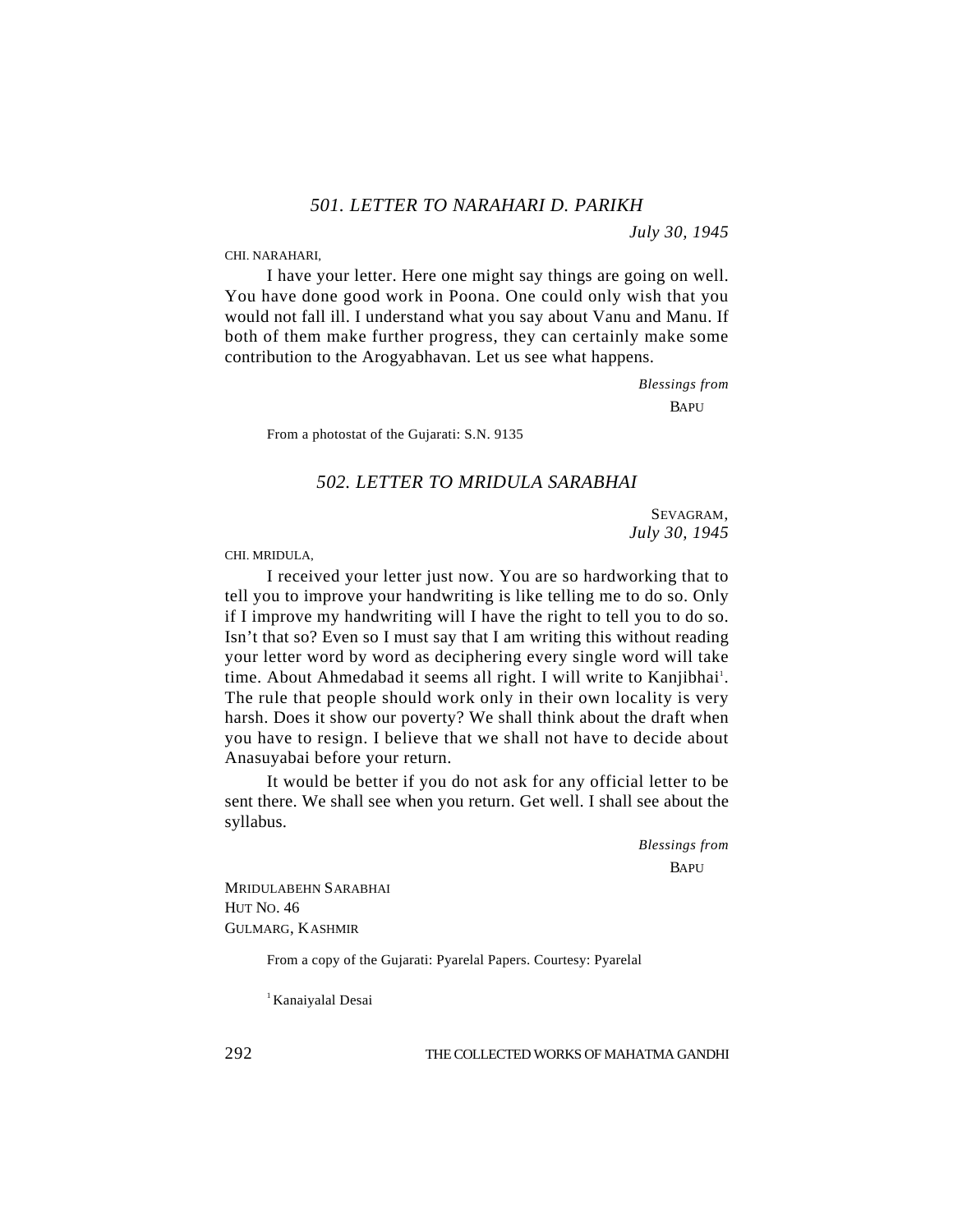*July 30, 1945*

CHI. NARAHARI,

I have your letter. Here one might say things are going on well. You have done good work in Poona. One could only wish that you would not fall ill. I understand what you say about Vanu and Manu. If both of them make further progress, they can certainly make some contribution to the Arogyabhavan. Let us see what happens.

> *Blessings from* **BAPU**

From a photostat of the Gujarati: S.N. 9135

#### *502. LETTER TO MRIDULA SARABHAI*

SEVAGRAM, *July 30, 1945*

CHI. MRIDULA,

I received your letter just now. You are so hardworking that to tell you to improve your handwriting is like telling me to do so. Only if I improve my handwriting will I have the right to tell you to do so. Isn't that so? Even so I must say that I am writing this without reading your letter word by word as deciphering every single word will take time. About Ahmedabad it seems all right. I will write to Kanjibhai'. The rule that people should work only in their own locality is very harsh. Does it show our poverty? We shall think about the draft when you have to resign. I believe that we shall not have to decide about Anasuyabai before your return.

It would be better if you do not ask for any official letter to be sent there. We shall see when you return. Get well. I shall see about the syllabus.

> *Blessings from* **BAPU**

MRIDULABEHN SARABHAI **HUT NO. 46** GULMARG, KASHMIR

From a copy of the Gujarati: Pyarelal Papers. Courtesy: Pyarelal

<sup>1</sup> Kanaiyalal Desai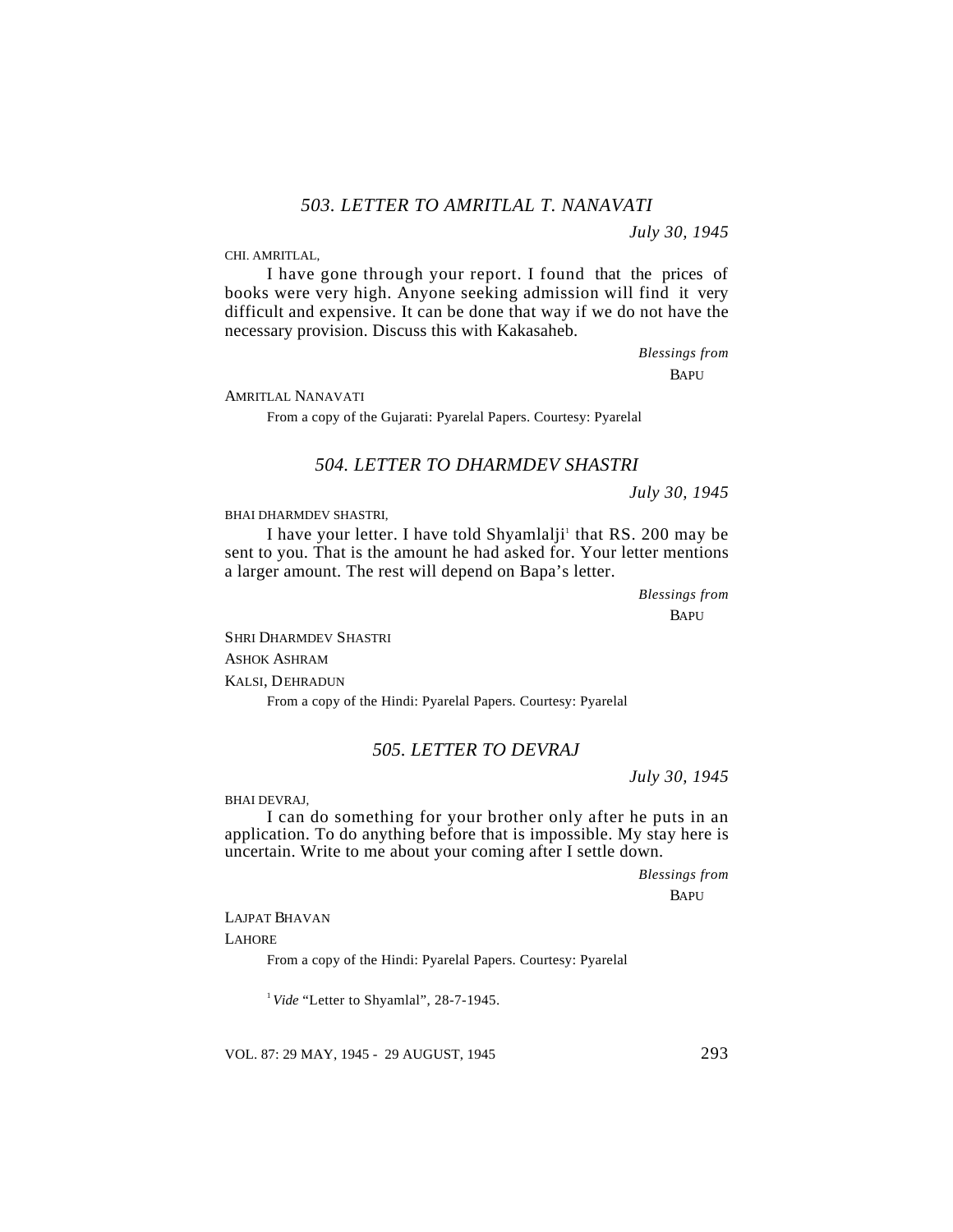*July 30, 1945*

#### CHI. AMRITLAL,

I have gone through your report. I found that the prices of books were very high. Anyone seeking admission will find it very difficult and expensive. It can be done that way if we do not have the necessary provision. Discuss this with Kakasaheb.

> *Blessings from* **BAPU**

#### AMRITLAL NANAVATI

From a copy of the Gujarati: Pyarelal Papers. Courtesy: Pyarelal

#### *504. LETTER TO DHARMDEV SHASTRI*

*July 30, 1945*

BHAI DHARMDEV SHASTRI,

I have your letter. I have told Shyamlalji<sup>1</sup> that RS. 200 may be sent to you. That is the amount he had asked for. Your letter mentions a larger amount. The rest will depend on Bapa's letter.

> *Blessings from* **BAPU**

SHRI DHARMDEV SHASTRI ASHOK ASHRAM KALSI, DEHRADUN From a copy of the Hindi: Pyarelal Papers. Courtesy: Pyarelal

### *505. LETTER TO DEVRAJ*

*July 30, 1945*

BHAI DEVRAJ,

I can do something for your brother only after he puts in an application. To do anything before that is impossible. My stay here is uncertain. Write to me about your coming after I settle down.

*Blessings from*

**BAPU** 

#### LAJPAT BHAVAN

LAHORE

From a copy of the Hindi: Pyarelal Papers. Courtesy: Pyarelal

<sup>1</sup> Vide "Letter to Shyamlal", 28-7-1945.

VOL. 87: 29 MAY, 1945 - 29 AUGUST, 1945 293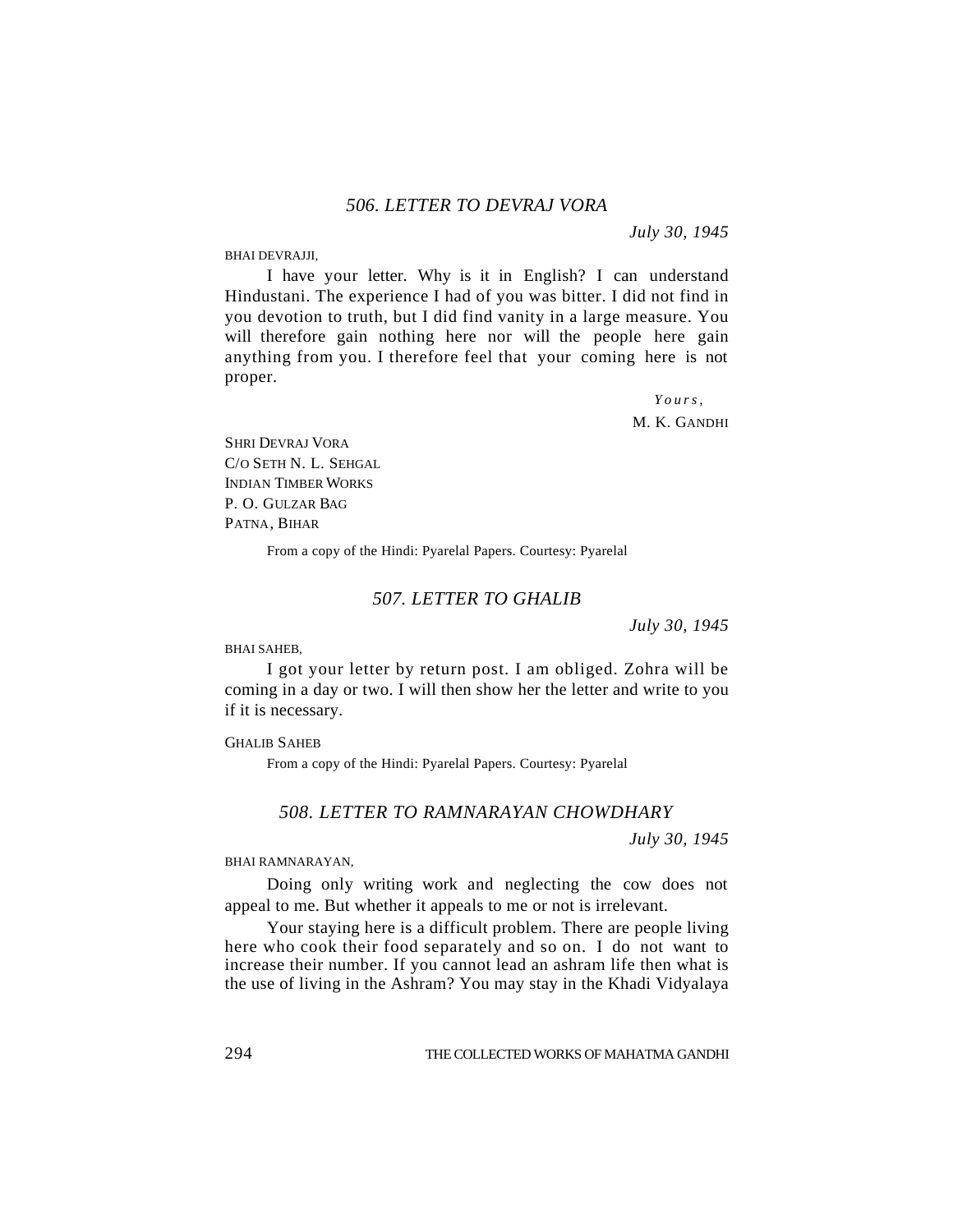*July 30, 1945*

BHAI DEVRAJJI,

I have your letter. Why is it in English? I can understand Hindustani. The experience I had of you was bitter. I did not find in you devotion to truth, but I did find vanity in a large measure. You will therefore gain nothing here nor will the people here gain anything from you. I therefore feel that your coming here is not proper.

> *Yours,*  M. K. GANDHI

SHRI DEVRAJ VORA C/O SETH N. L. SEHGAL INDIAN TIMBER WORKS P. O. GULZAR BAG PATNA, BIHAR

From a copy of the Hindi: Pyarelal Papers. Courtesy: Pyarelal

### *507. LETTER TO GHALIB*

*July 30, 1945*

BHAI SAHEB,

I got your letter by return post. I am obliged. Zohra will be coming in a day or two. I will then show her the letter and write to you if it is necessary.

GHALIB SAHEB

From a copy of the Hindi: Pyarelal Papers. Courtesy: Pyarelal

#### *508. LETTER TO RAMNARAYAN CHOWDHARY*

*July 30, 1945*

BHAI RAMNARAYAN,

Doing only writing work and neglecting the cow does not appeal to me. But whether it appeals to me or not is irrelevant.

Your staying here is a difficult problem. There are people living here who cook their food separately and so on. I do not want to increase their number. If you cannot lead an ashram life then what is the use of living in the Ashram? You may stay in the Khadi Vidyalaya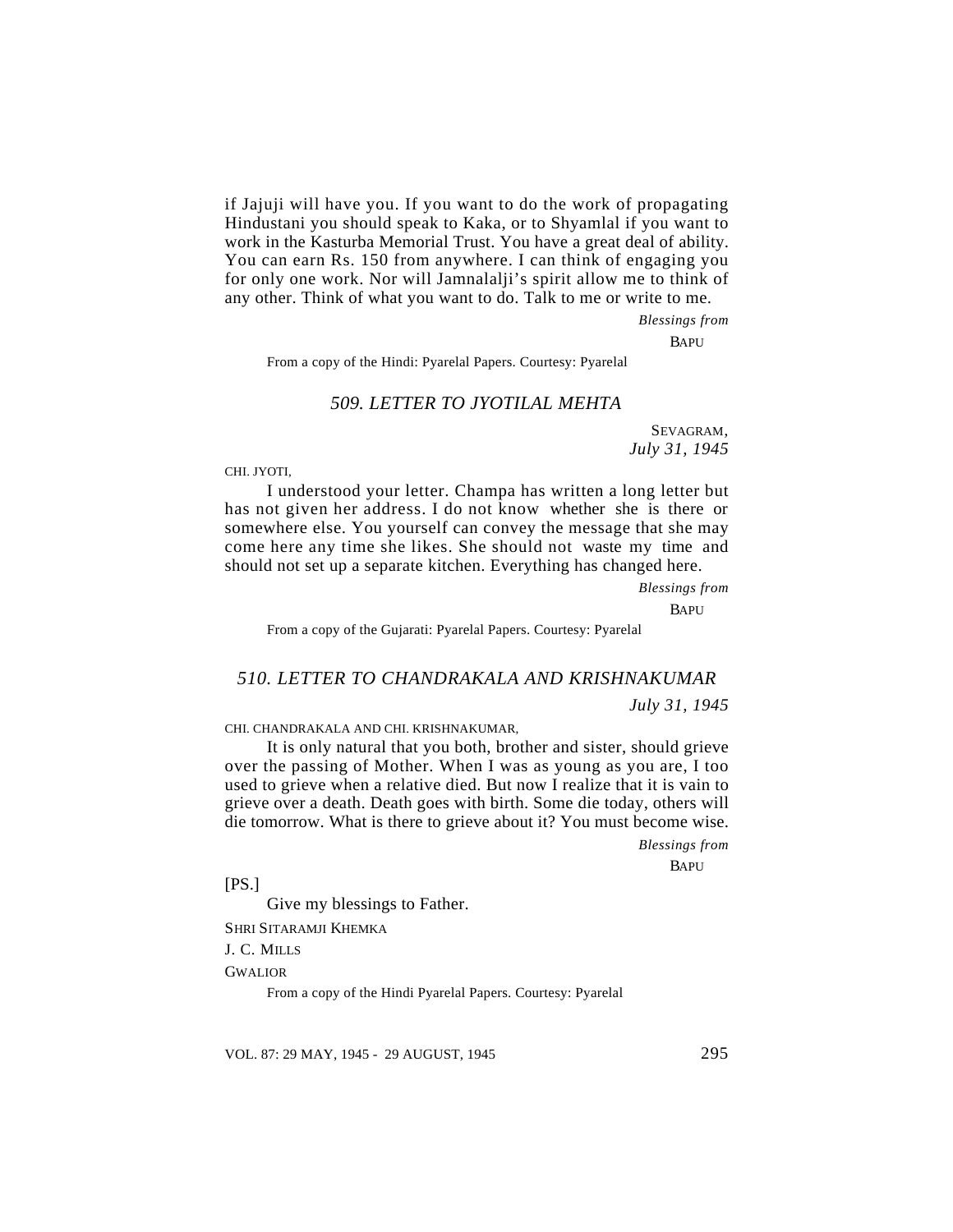if Jajuji will have you. If you want to do the work of propagating Hindustani you should speak to Kaka, or to Shyamlal if you want to work in the Kasturba Memorial Trust. You have a great deal of ability. You can earn Rs. 150 from anywhere. I can think of engaging you for only one work. Nor will Jamnalalji's spirit allow me to think of any other. Think of what you want to do. Talk to me or write to me.

> *Blessings from* **BAPU**

From a copy of the Hindi: Pyarelal Papers. Courtesy: Pyarelal

### *509. LETTER TO JYOTILAL MEHTA*

SEVAGRAM, *July 31, 1945*

CHI. JYOTI,

I understood your letter. Champa has written a long letter but has not given her address. I do not know whether she is there or somewhere else. You yourself can convey the message that she may come here any time she likes. She should not waste my time and should not set up a separate kitchen. Everything has changed here.

*Blessings from*

**BAPU** 

From a copy of the Gujarati: Pyarelal Papers. Courtesy: Pyarelal

# *510. LETTER TO CHANDRAKALA AND KRISHNAKUMAR*

*July 31, 1945*

CHI. CHANDRAKALA AND CHI. KRISHNAKUMAR,

It is only natural that you both, brother and sister, should grieve over the passing of Mother. When I was as young as you are, I too used to grieve when a relative died. But now I realize that it is vain to grieve over a death. Death goes with birth. Some die today, others will die tomorrow. What is there to grieve about it? You must become wise.

> *Blessings from* **BAPU**

[PS.]

Give my blessings to Father.

SHRI SITARAMJI KHEMKA

J. C. MILLS

GWALIOR

From a copy of the Hindi Pyarelal Papers. Courtesy: Pyarelal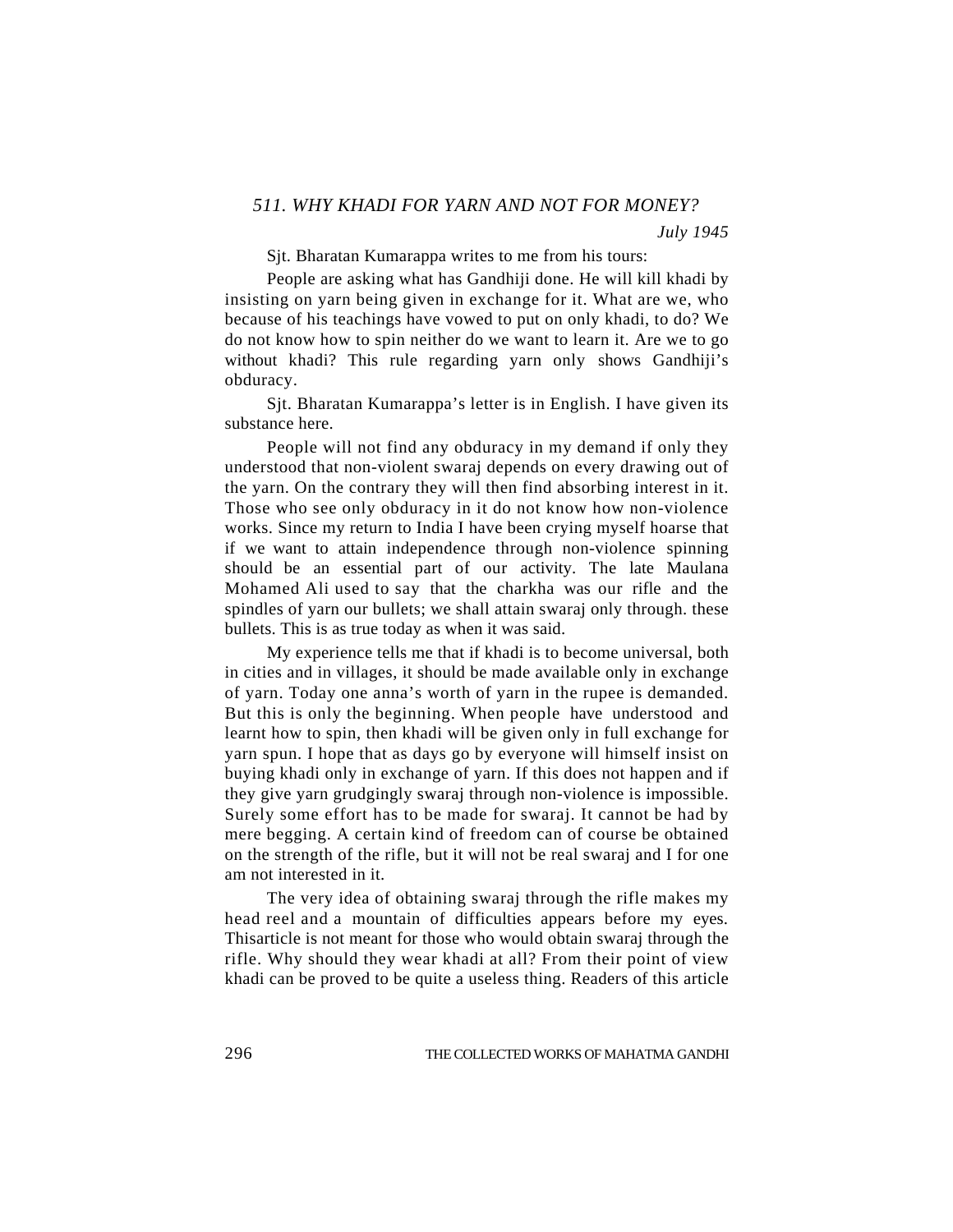*July 1945*

Sjt. Bharatan Kumarappa writes to me from his tours:

People are asking what has Gandhiji done. He will kill khadi by insisting on yarn being given in exchange for it. What are we, who because of his teachings have vowed to put on only khadi, to do? We do not know how to spin neither do we want to learn it. Are we to go without khadi? This rule regarding yarn only shows Gandhiji's obduracy.

Sjt. Bharatan Kumarappa's letter is in English. I have given its substance here.

People will not find any obduracy in my demand if only they understood that non-violent swaraj depends on every drawing out of the yarn. On the contrary they will then find absorbing interest in it. Those who see only obduracy in it do not know how non-violence works. Since my return to India I have been crying myself hoarse that if we want to attain independence through non-violence spinning should be an essential part of our activity. The late Maulana Mohamed Ali used to say that the charkha was our rifle and the spindles of yarn our bullets; we shall attain swaraj only through. these bullets. This is as true today as when it was said.

My experience tells me that if khadi is to become universal, both in cities and in villages, it should be made available only in exchange of yarn. Today one anna's worth of yarn in the rupee is demanded. But this is only the beginning. When people have understood and learnt how to spin, then khadi will be given only in full exchange for yarn spun. I hope that as days go by everyone will himself insist on buying khadi only in exchange of yarn. If this does not happen and if they give yarn grudgingly swaraj through non-violence is impossible. Surely some effort has to be made for swaraj. It cannot be had by mere begging. A certain kind of freedom can of course be obtained on the strength of the rifle, but it will not be real swaraj and I for one am not interested in it.

The very idea of obtaining swaraj through the rifle makes my head reel and a mountain of difficulties appears before my eyes. Thisarticle is not meant for those who would obtain swaraj through the rifle. Why should they wear khadi at all? From their point of view khadi can be proved to be quite a useless thing. Readers of this article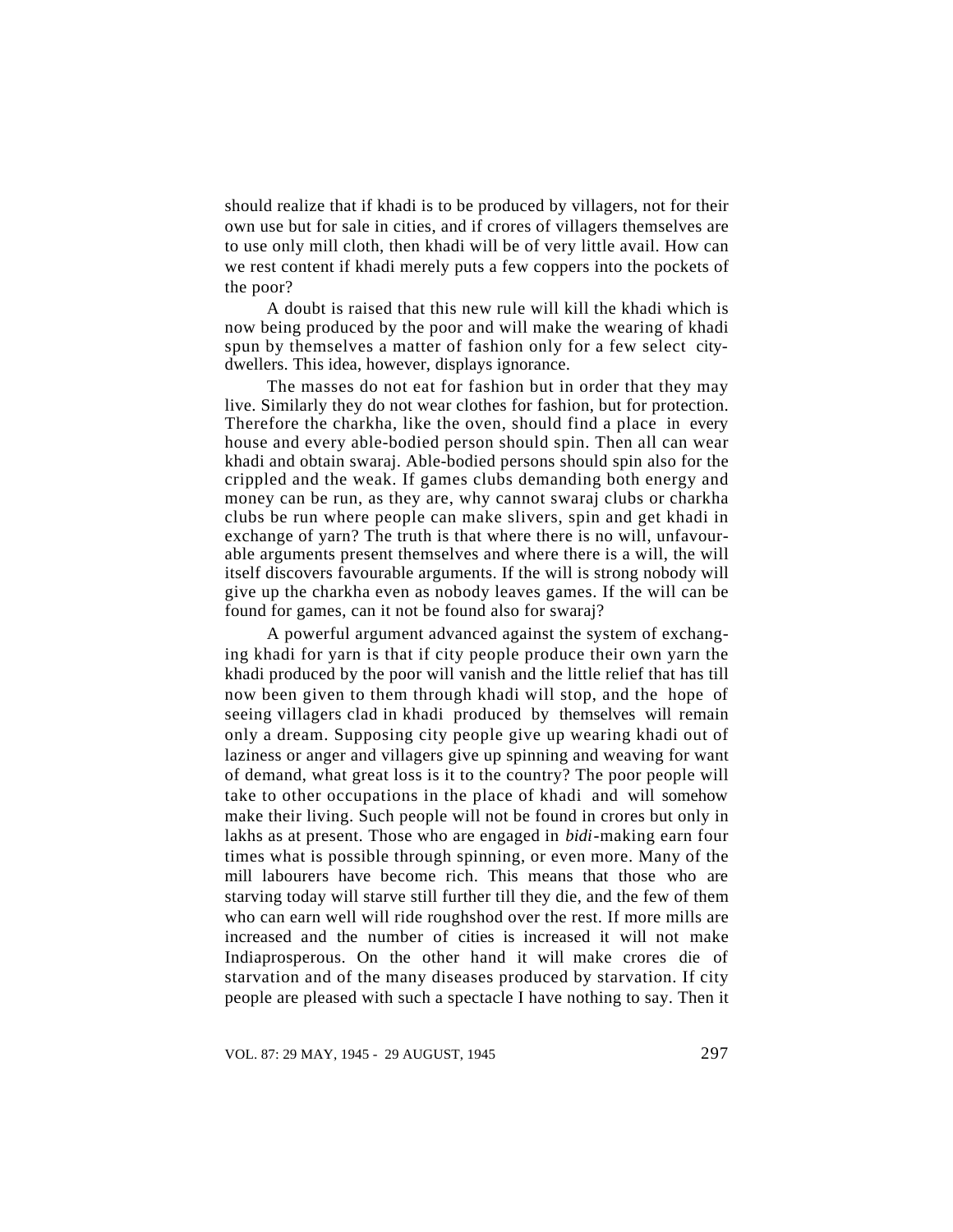should realize that if khadi is to be produced by villagers, not for their own use but for sale in cities, and if crores of villagers themselves are to use only mill cloth, then khadi will be of very little avail. How can we rest content if khadi merely puts a few coppers into the pockets of the poor?

A doubt is raised that this new rule will kill the khadi which is now being produced by the poor and will make the wearing of khadi spun by themselves a matter of fashion only for a few select citydwellers. This idea, however, displays ignorance.

The masses do not eat for fashion but in order that they may live. Similarly they do not wear clothes for fashion, but for protection. Therefore the charkha, like the oven, should find a place in every house and every able-bodied person should spin. Then all can wear khadi and obtain swaraj. Able-bodied persons should spin also for the crippled and the weak. If games clubs demanding both energy and money can be run, as they are, why cannot swaraj clubs or charkha clubs be run where people can make slivers, spin and get khadi in exchange of yarn? The truth is that where there is no will, unfavourable arguments present themselves and where there is a will, the will itself discovers favourable arguments. If the will is strong nobody will give up the charkha even as nobody leaves games. If the will can be found for games, can it not be found also for swaraj?

A powerful argument advanced against the system of exchanging khadi for yarn is that if city people produce their own yarn the khadi produced by the poor will vanish and the little relief that has till now been given to them through khadi will stop, and the hope of seeing villagers clad in khadi produced by themselves will remain only a dream. Supposing city people give up wearing khadi out of laziness or anger and villagers give up spinning and weaving for want of demand, what great loss is it to the country? The poor people will take to other occupations in the place of khadi and will somehow make their living. Such people will not be found in crores but only in lakhs as at present. Those who are engaged in *bidi*-making earn four times what is possible through spinning, or even more. Many of the mill labourers have become rich. This means that those who are starving today will starve still further till they die, and the few of them who can earn well will ride roughshod over the rest. If more mills are increased and the number of cities is increased it will not make Indiaprosperous. On the other hand it will make crores die of starvation and of the many diseases produced by starvation. If city people are pleased with such a spectacle I have nothing to say. Then it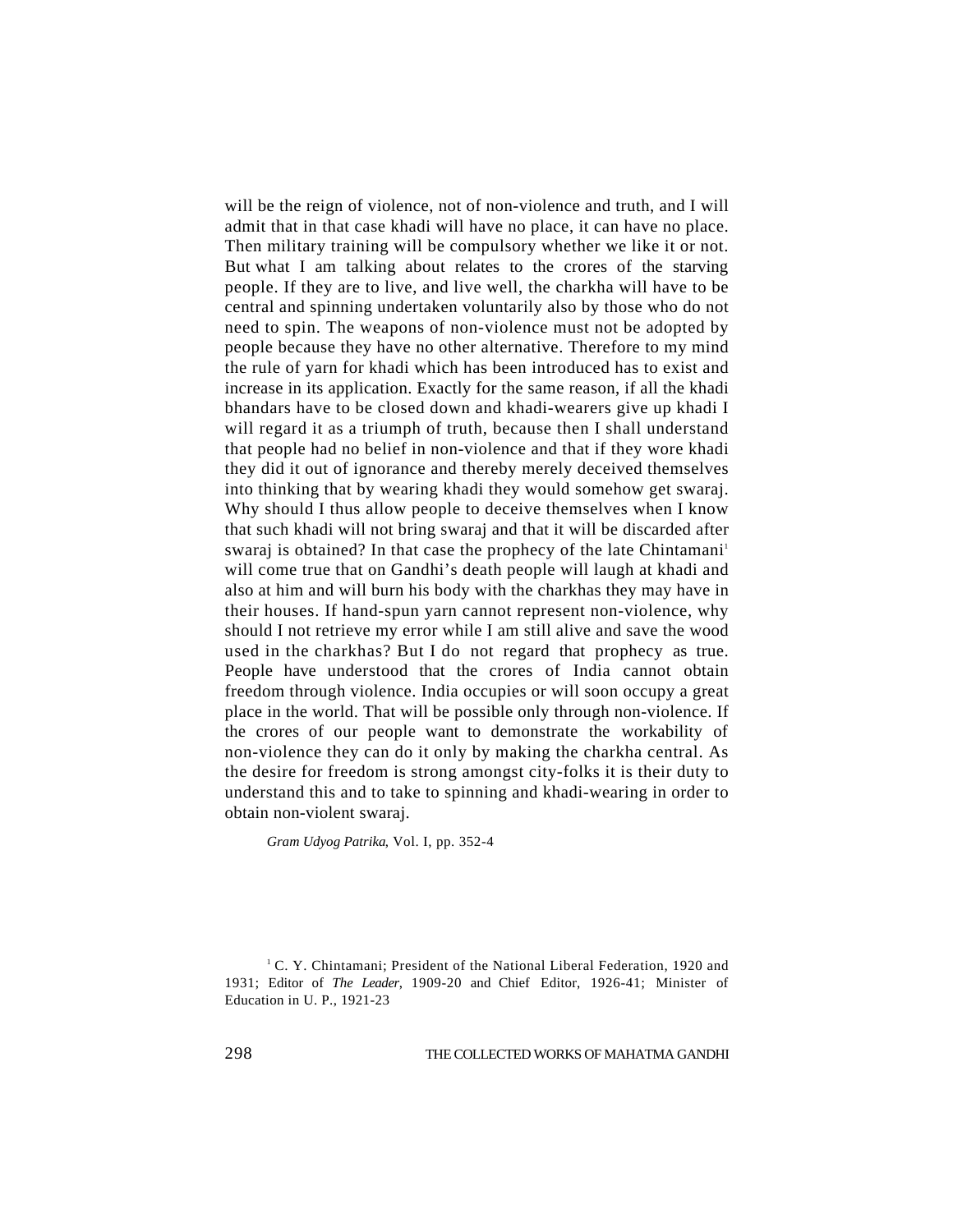will be the reign of violence, not of non-violence and truth, and I will admit that in that case khadi will have no place, it can have no place. Then military training will be compulsory whether we like it or not. But what I am talking about relates to the crores of the starving people. If they are to live, and live well, the charkha will have to be central and spinning undertaken voluntarily also by those who do not need to spin. The weapons of non-violence must not be adopted by people because they have no other alternative. Therefore to my mind the rule of yarn for khadi which has been introduced has to exist and increase in its application. Exactly for the same reason, if all the khadi bhandars have to be closed down and khadi-wearers give up khadi I will regard it as a triumph of truth, because then I shall understand that people had no belief in non-violence and that if they wore khadi they did it out of ignorance and thereby merely deceived themselves into thinking that by wearing khadi they would somehow get swaraj. Why should I thus allow people to deceive themselves when I know that such khadi will not bring swaraj and that it will be discarded after swaraj is obtained? In that case the prophecy of the late Chintamani<sup>1</sup> will come true that on Gandhi's death people will laugh at khadi and also at him and will burn his body with the charkhas they may have in their houses. If hand-spun yarn cannot represent non-violence, why should I not retrieve my error while I am still alive and save the wood used in the charkhas? But I do not regard that prophecy as true. People have understood that the crores of India cannot obtain freedom through violence. India occupies or will soon occupy a great place in the world. That will be possible only through non-violence. If the crores of our people want to demonstrate the workability of non-violence they can do it only by making the charkha central. As the desire for freedom is strong amongst city-folks it is their duty to understand this and to take to spinning and khadi-wearing in order to obtain non-violent swaraj.

*Gram Udyog Patrika*, Vol. I, pp. 352-4

 $1^{\circ}$  C. Y. Chintamani: President of the National Liberal Federation, 1920 and 1931; Editor of *The Leader*, 1909-20 and Chief Editor, 1926-41; Minister of Education in U. P., 1921-23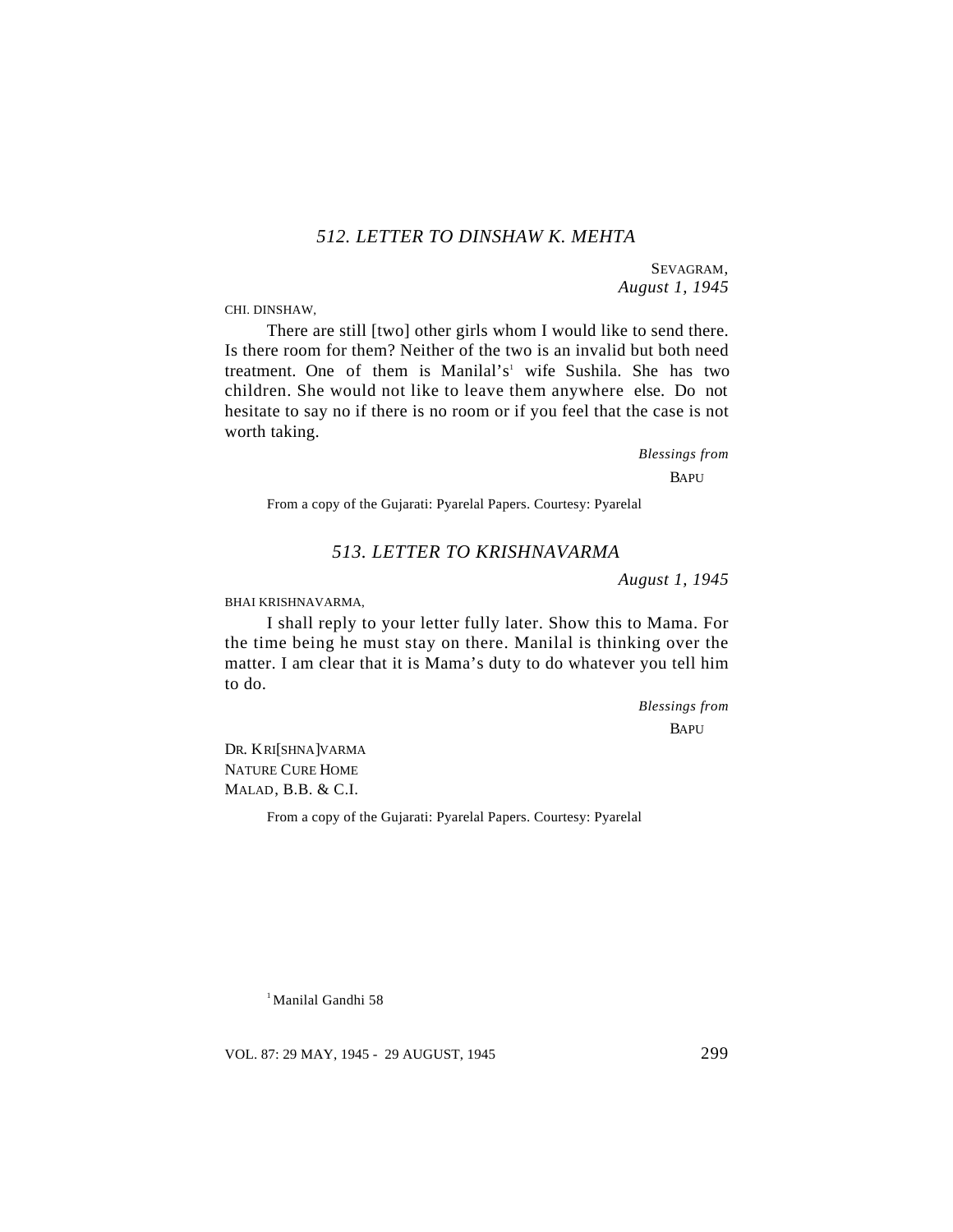# *512. LETTER TO DINSHAW K. MEHTA*

SEVAGRAM, *August 1, 1945*

CHI. DINSHAW,

There are still [two] other girls whom I would like to send there. Is there room for them? Neither of the two is an invalid but both need treatment. One of them is Manilal's<sup>1</sup> wife Sushila. She has two children. She would not like to leave them anywhere else. Do not hesitate to say no if there is no room or if you feel that the case is not worth taking.

> *Blessings from* **BAPU**

From a copy of the Gujarati: Pyarelal Papers. Courtesy: Pyarelal

# *513. LETTER TO KRISHNAVARMA*

*August 1, 1945*

BHAI KRISHNAVARMA,

I shall reply to your letter fully later. Show this to Mama. For the time being he must stay on there. Manilal is thinking over the matter. I am clear that it is Mama's duty to do whatever you tell him to do.

> *Blessings from* **BAPU**

DR. KRI[SHNA]VARMA NATURE CURE HOME MALAD, B.B. & C.I.

From a copy of the Gujarati: Pyarelal Papers. Courtesy: Pyarelal

<sup>1</sup> Manilal Gandhi 58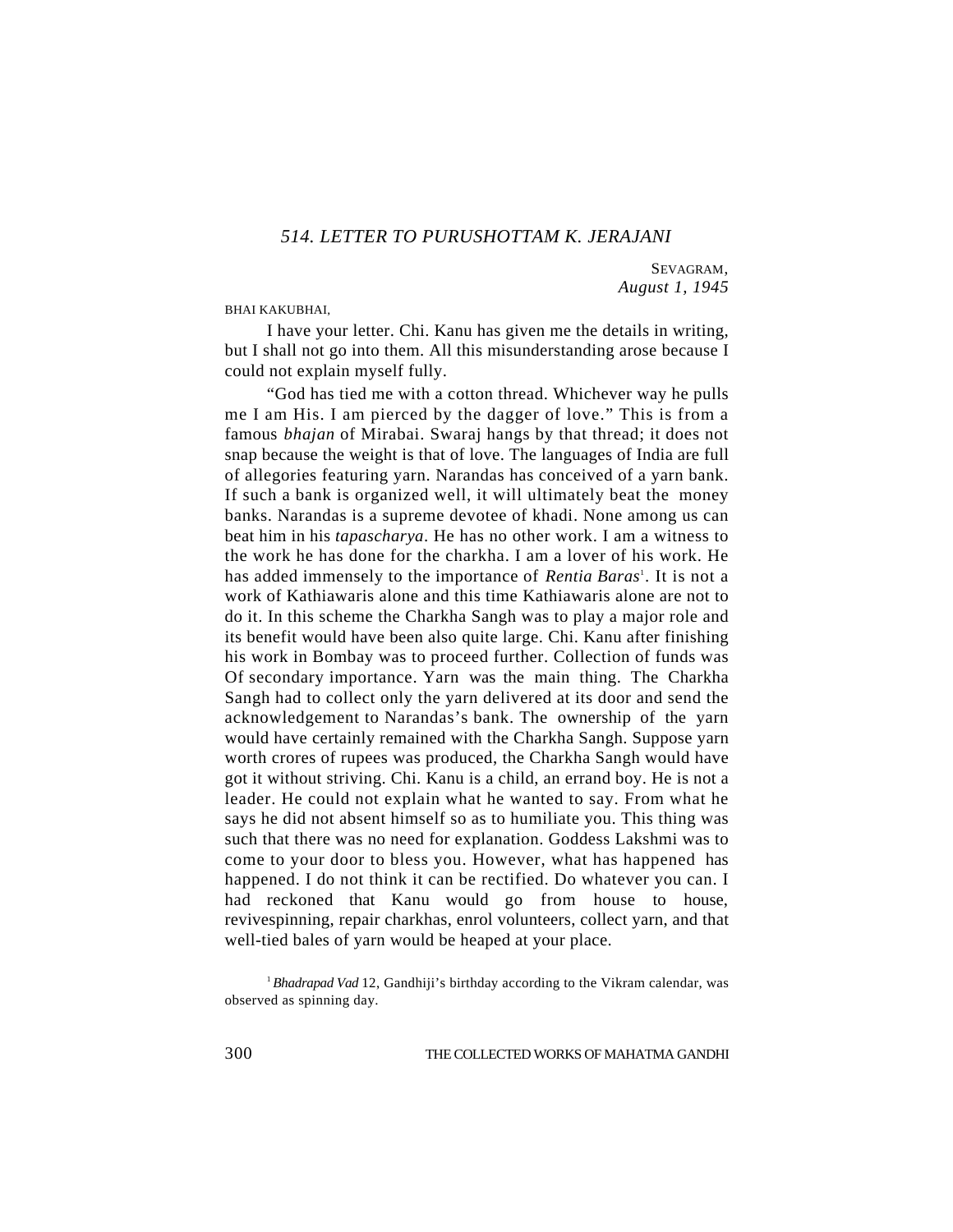SEVAGRAM, *August 1, 1945*

#### BHAI KAKUBHAI,

I have your letter. Chi. Kanu has given me the details in writing, but I shall not go into them. All this misunderstanding arose because I could not explain myself fully.

"God has tied me with a cotton thread. Whichever way he pulls me I am His. I am pierced by the dagger of love." This is from a famous *bhajan* of Mirabai. Swaraj hangs by that thread; it does not snap because the weight is that of love. The languages of India are full of allegories featuring yarn. Narandas has conceived of a yarn bank. If such a bank is organized well, it will ultimately beat the money banks. Narandas is a supreme devotee of khadi. None among us can beat him in his *tapascharya*. He has no other work. I am a witness to the work he has done for the charkha. I am a lover of his work. He has added immensely to the importance of *Rentia Baras*<sup>1</sup>. It is not a work of Kathiawaris alone and this time Kathiawaris alone are not to do it. In this scheme the Charkha Sangh was to play a major role and its benefit would have been also quite large. Chi. Kanu after finishing his work in Bombay was to proceed further. Collection of funds was Of secondary importance. Yarn was the main thing. The Charkha Sangh had to collect only the yarn delivered at its door and send the acknowledgement to Narandas's bank. The ownership of the yarn would have certainly remained with the Charkha Sangh. Suppose yarn worth crores of rupees was produced, the Charkha Sangh would have got it without striving. Chi. Kanu is a child, an errand boy. He is not a leader. He could not explain what he wanted to say. From what he says he did not absent himself so as to humiliate you. This thing was such that there was no need for explanation. Goddess Lakshmi was to come to your door to bless you. However, what has happened has happened. I do not think it can be rectified. Do whatever you can. I had reckoned that Kanu would go from house to house, revivespinning, repair charkhas, enrol volunteers, collect yarn, and that well-tied bales of yarn would be heaped at your place.

<sup>&</sup>lt;sup>1</sup> Bhadrapad Vad 12, Gandhiji's birthday according to the Vikram calendar, was observed as spinning day.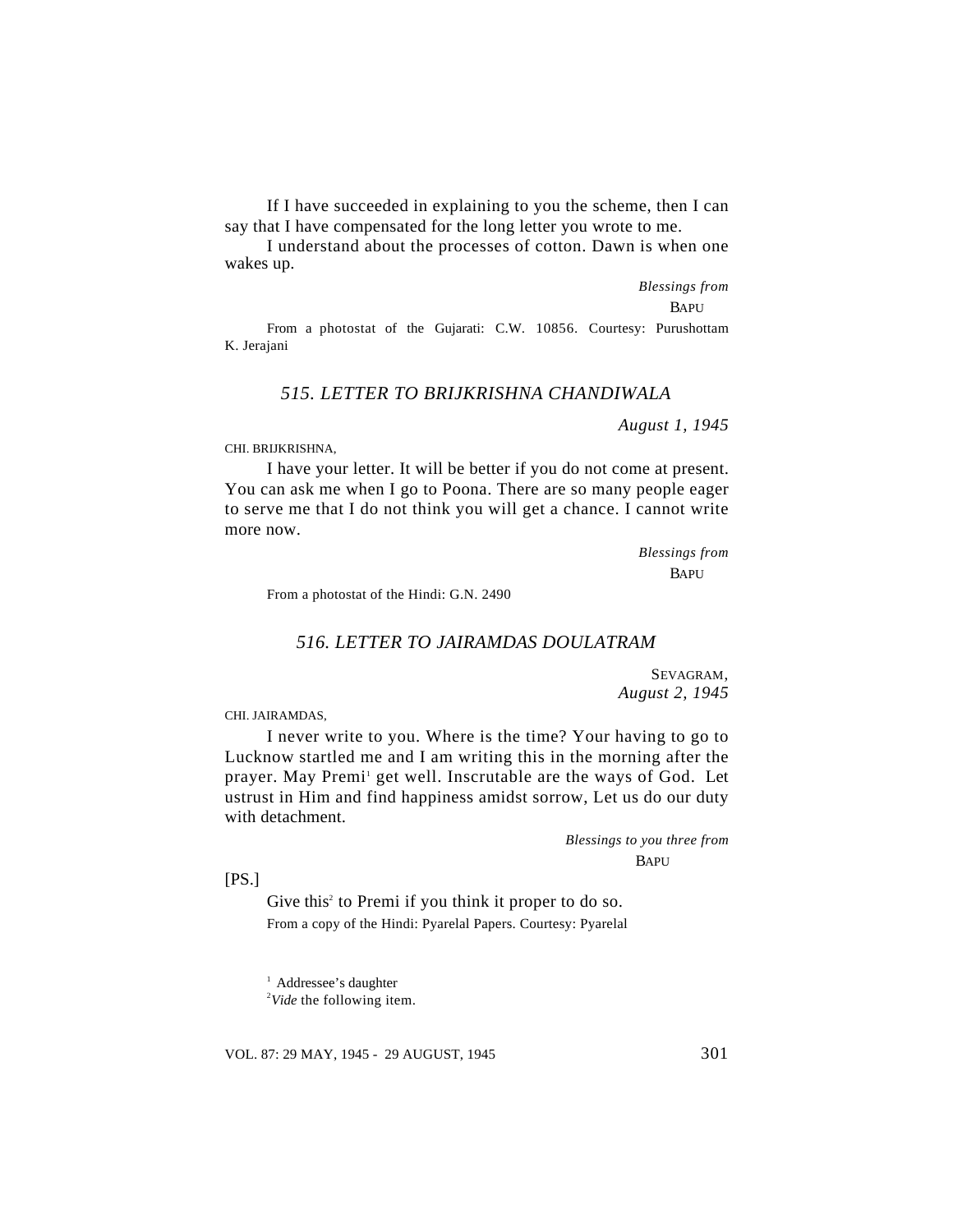If I have succeeded in explaining to you the scheme, then I can say that I have compensated for the long letter you wrote to me.

I understand about the processes of cotton. Dawn is when one wakes up.

> *Blessings from* **BAPU**

From a photostat of the Gujarati: C.W. 10856. Courtesy: Purushottam K. Jerajani

# *515. LETTER TO BRIJKRISHNA CHANDIWALA*

*August 1, 1945*

CHI. BRIJKRISHNA,

I have your letter. It will be better if you do not come at present. You can ask me when I go to Poona. There are so many people eager to serve me that I do not think you will get a chance. I cannot write more now.

> *Blessings from* **BAPU**

From a photostat of the Hindi: G.N. 2490

### *516. LETTER TO JAIRAMDAS DOULATRAM*

SEVAGRAM, *August 2, 1945*

CHI. JAIRAMDAS,

I never write to you. Where is the time? Your having to go to Lucknow startled me and I am writing this in the morning after the prayer. May Premi<sup>1</sup> get well. Inscrutable are the ways of God. Let ustrust in Him and find happiness amidst sorrow, Let us do our duty with detachment.

> *Blessings to you three from* **BAPU**

[PS.]

Give this<sup>2</sup> to Premi if you think it proper to do so. From a copy of the Hindi: Pyarelal Papers. Courtesy: Pyarelal

<sup>1</sup> Addressee's daughter <sup>2</sup>*Vide* the following item.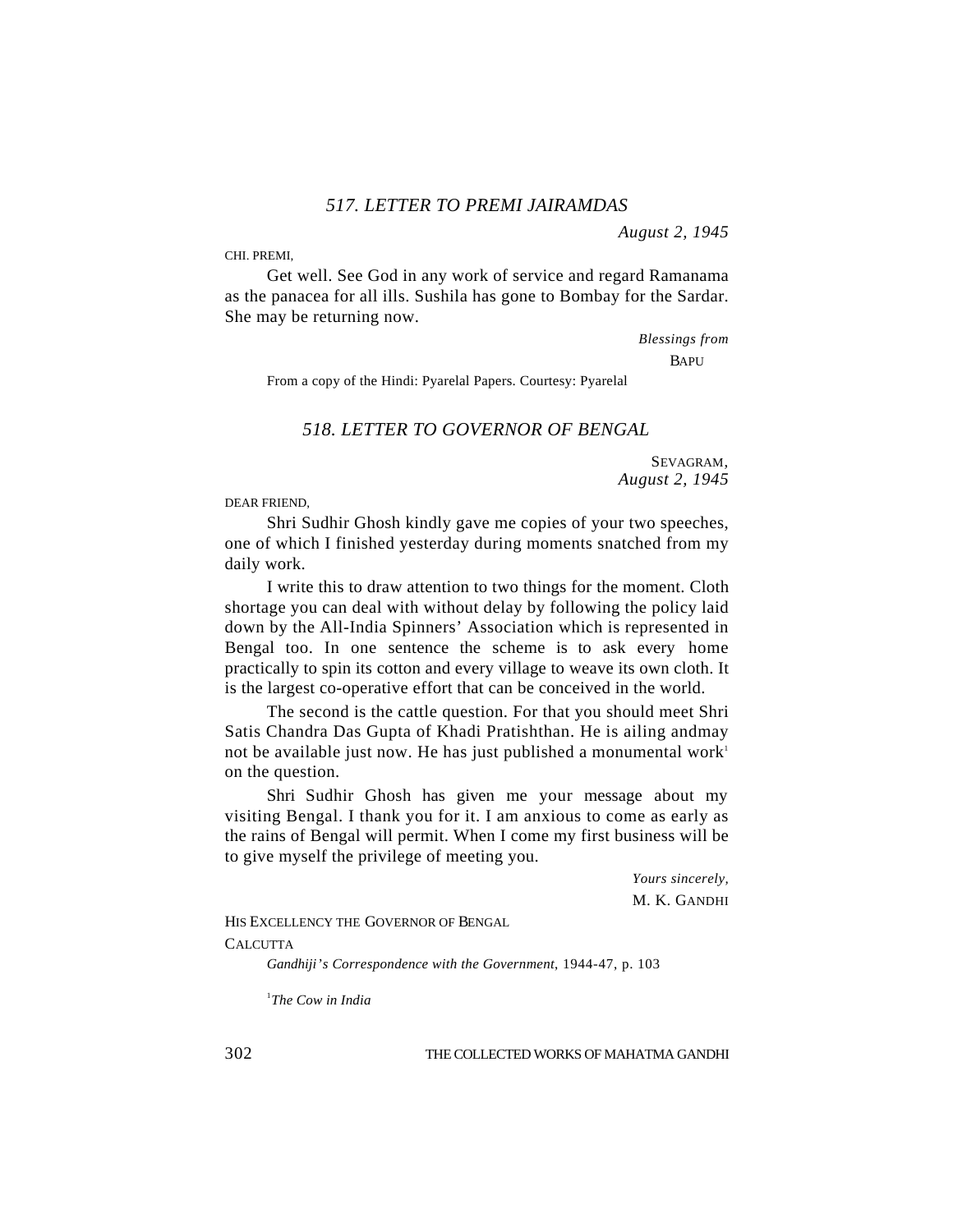*August 2, 1945*

CHI. PREMI,

Get well. See God in any work of service and regard Ramanama as the panacea for all ills. Sushila has gone to Bombay for the Sardar. She may be returning now.

> *Blessings from* **BAPU**

From a copy of the Hindi: Pyarelal Papers. Courtesy: Pyarelal

### *518. LETTER TO GOVERNOR OF BENGAL*

SEVAGRAM, *August 2, 1945*

DEAR FRIEND,

Shri Sudhir Ghosh kindly gave me copies of your two speeches, one of which I finished yesterday during moments snatched from my daily work.

I write this to draw attention to two things for the moment. Cloth shortage you can deal with without delay by following the policy laid down by the All-India Spinners' Association which is represented in Bengal too. In one sentence the scheme is to ask every home practically to spin its cotton and every village to weave its own cloth. It is the largest co-operative effort that can be conceived in the world.

The second is the cattle question. For that you should meet Shri Satis Chandra Das Gupta of Khadi Pratishthan. He is ailing andmay not be available just now. He has just published a monumental work<sup>1</sup> on the question.

Shri Sudhir Ghosh has given me your message about my visiting Bengal. I thank you for it. I am anxious to come as early as the rains of Bengal will permit. When I come my first business will be to give myself the privilege of meeting you.

> *Yours sincerely,* M. K. GANDHI

HIS EXCELLENCY THE GOVERNOR OF BENGAL CALCUTTA

*Gandhiji*'*s Correspondence with the Government*, 1944-47, p. 103

1 *The Cow in India*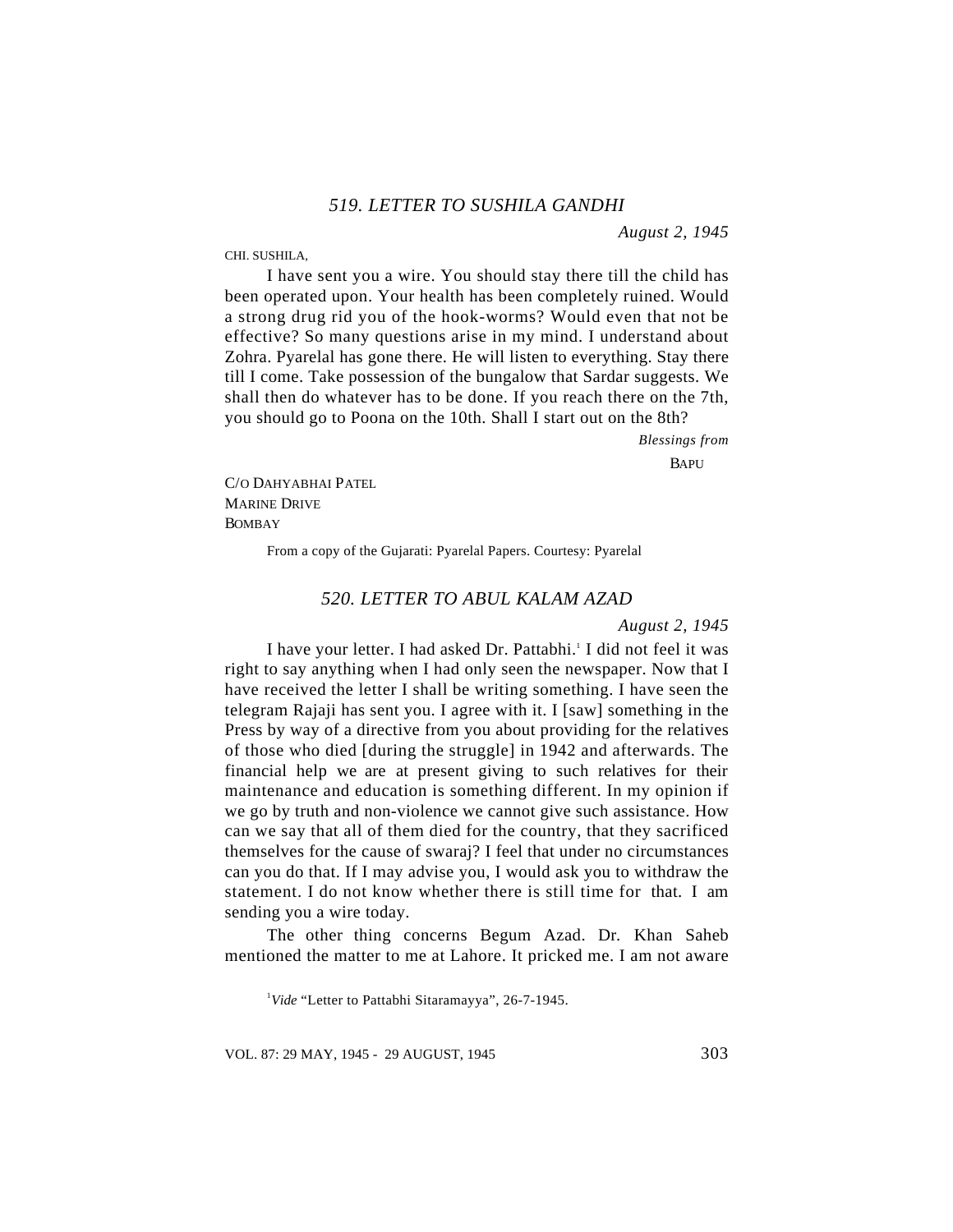*August 2, 1945*

CHI. SUSHILA,

I have sent you a wire. You should stay there till the child has been operated upon. Your health has been completely ruined. Would a strong drug rid you of the hook-worms? Would even that not be effective? So many questions arise in my mind. I understand about Zohra. Pyarelal has gone there. He will listen to everything. Stay there till I come. Take possession of the bungalow that Sardar suggests. We shall then do whatever has to be done. If you reach there on the 7th, you should go to Poona on the 10th. Shall I start out on the 8th?

*Blessings from*

**BAPU** 

C/O DAHYABHAI PATEL MARINE DRIVE **BOMBAY** 

From a copy of the Gujarati: Pyarelal Papers. Courtesy: Pyarelal

#### *520. LETTER TO ABUL KALAM AZAD*

*August 2, 1945*

I have your letter. I had asked Dr. Pattabhi.<sup>1</sup> I did not feel it was right to say anything when I had only seen the newspaper. Now that I have received the letter I shall be writing something. I have seen the telegram Rajaji has sent you. I agree with it. I [saw] something in the Press by way of a directive from you about providing for the relatives of those who died [during the struggle] in 1942 and afterwards. The financial help we are at present giving to such relatives for their maintenance and education is something different. In my opinion if we go by truth and non-violence we cannot give such assistance. How can we say that all of them died for the country, that they sacrificed themselves for the cause of swaraj? I feel that under no circumstances can you do that. If I may advise you, I would ask you to withdraw the statement. I do not know whether there is still time for that. I am sending you a wire today.

The other thing concerns Begum Azad. Dr. Khan Saheb mentioned the matter to me at Lahore. It pricked me. I am not aware

<sup>1</sup>Vide "Letter to Pattabhi Sitaramayya", 26-7-1945.

VOL. 87: 29 MAY, 1945 - 29 AUGUST, 1945 303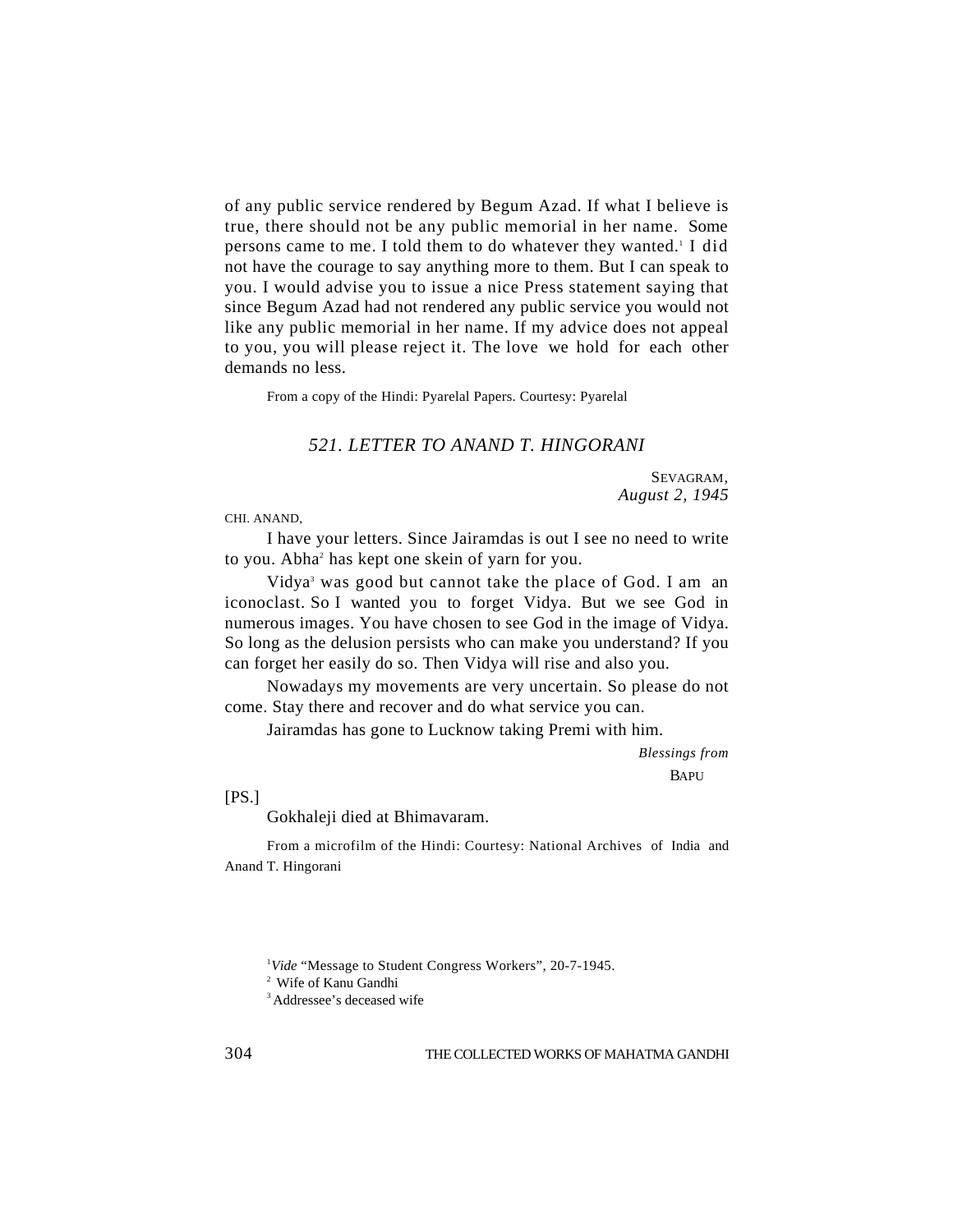of any public service rendered by Begum Azad. If what I believe is true, there should not be any public memorial in her name. Some persons came to me. I told them to do whatever they wanted.<sup>1</sup> I did not have the courage to say anything more to them. But I can speak to you. I would advise you to issue a nice Press statement saying that since Begum Azad had not rendered any public service you would not like any public memorial in her name. If my advice does not appeal to you, you will please reject it. The love we hold for each other demands no less.

From a copy of the Hindi: Pyarelal Papers. Courtesy: Pyarelal

# *521. LETTER TO ANAND T. HINGORANI*

SEVAGRAM, *August 2, 1945*

CHI. ANAND,

I have your letters. Since Jairamdas is out I see no need to write to you. Abha<sup>2</sup> has kept one skein of yarn for you.

Vidya<sup>3</sup> was good but cannot take the place of God. I am an iconoclast. So I wanted you to forget Vidya. But we see God in numerous images. You have chosen to see God in the image of Vidya. So long as the delusion persists who can make you understand? If you can forget her easily do so. Then Vidya will rise and also you.

Nowadays my movements are very uncertain. So please do not come. Stay there and recover and do what service you can.

Jairamdas has gone to Lucknow taking Premi with him.

*Blessings from*

**BAPU** 

 $[PS.]$ 

Gokhaleji died at Bhimavaram.

From a microfilm of the Hindi: Courtesy: National Archives of India and Anand T. Hingorani

<sup>1</sup>Vide "Message to Student Congress Workers", 20-7-1945.

<sup>&</sup>lt;sup>2</sup> Wife of Kanu Gandhi

<sup>&</sup>lt;sup>3</sup> Addressee's deceased wife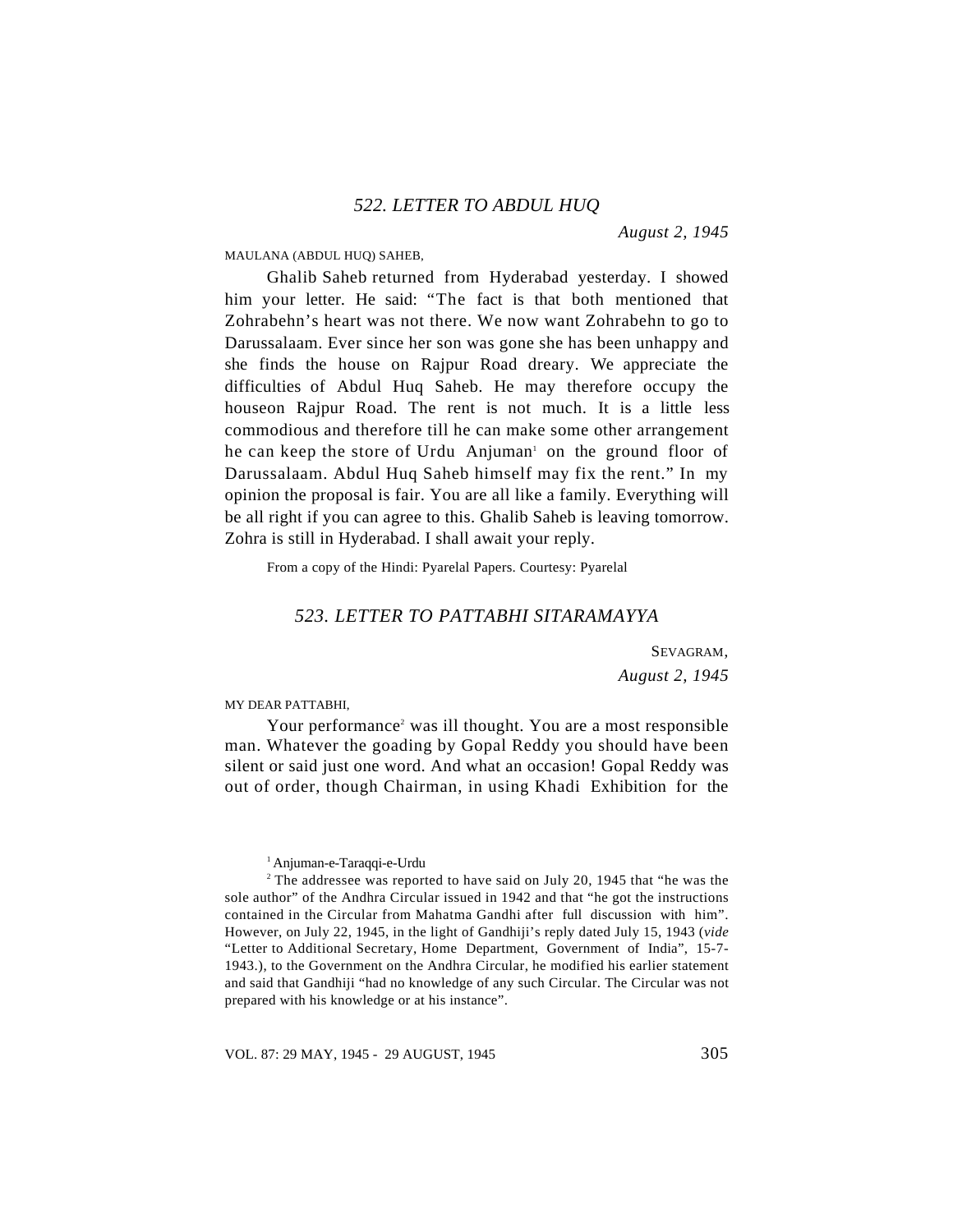*August 2, 1945*

MAULANA (ABDUL HUQ) SAHEB,

Ghalib Saheb returned from Hyderabad yesterday. I showed him your letter. He said: "The fact is that both mentioned that Zohrabehn's heart was not there. We now want Zohrabehn to go to Darussalaam. Ever since her son was gone she has been unhappy and she finds the house on Rajpur Road dreary. We appreciate the difficulties of Abdul Huq Saheb. He may therefore occupy the houseon Rajpur Road. The rent is not much. It is a little less commodious and therefore till he can make some other arrangement he can keep the store of Urdu Anjuman<sup>1</sup> on the ground floor of Darussalaam. Abdul Huq Saheb himself may fix the rent." In my opinion the proposal is fair. You are all like a family. Everything will be all right if you can agree to this. Ghalib Saheb is leaving tomorrow. Zohra is still in Hyderabad. I shall await your reply.

From a copy of the Hindi: Pyarelal Papers. Courtesy: Pyarelal

### *523. LETTER TO PATTABHI SITARAMAYYA*

SEVAGRAM, *August 2, 1945*

MY DEAR PATTABHI,

Your performance<sup>2</sup> was ill thought. You are a most responsible man. Whatever the goading by Gopal Reddy you should have been silent or said just one word. And what an occasion! Gopal Reddy was out of order, though Chairman, in using Khadi Exhibition for the

<sup>1</sup>Anjuman-e-Taraqqi-e-Urdu

 $2$  The addressee was reported to have said on July 20, 1945 that "he was the sole author" of the Andhra Circular issued in 1942 and that "he got the instructions contained in the Circular from Mahatma Gandhi after full discussion with him". However, on July 22, 1945, in the light of Gandhiji's reply dated July 15, 1943 (*vide* "Letter to Additional Secretary, Home Department, Government of India", 15-7- 1943.), to the Government on the Andhra Circular, he modified his earlier statement and said that Gandhiji "had no knowledge of any such Circular. The Circular was not prepared with his knowledge or at his instance".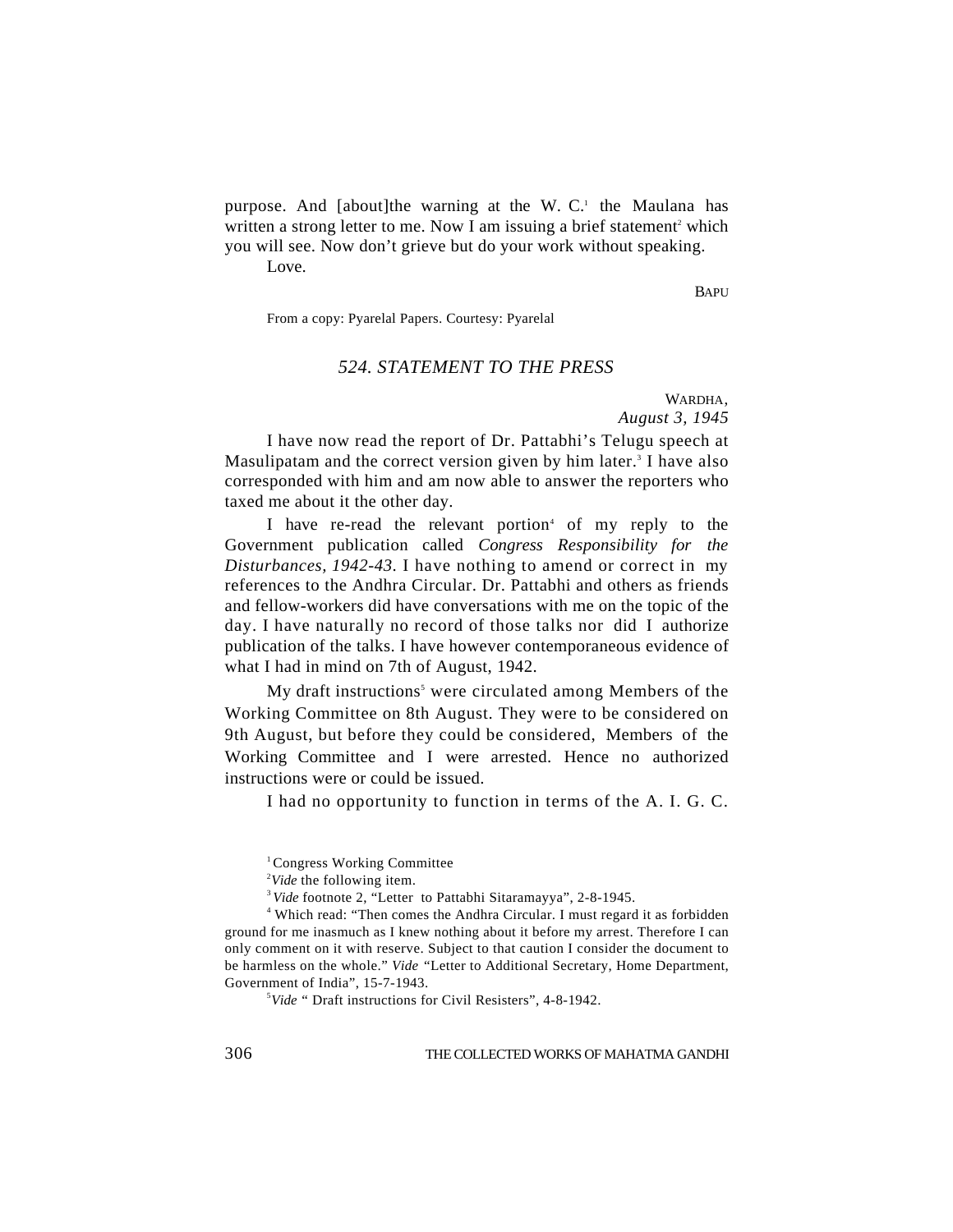purpose. And [about]the warning at the W. C.<sup>1</sup> the Maulana has written a strong letter to me. Now I am issuing a brief statement<sup>2</sup> which you will see. Now don't grieve but do your work without speaking.

Love.

**BAPU** 

From a copy: Pyarelal Papers. Courtesy: Pyarelal

# *524. STATEMENT TO THE PRESS*

WARDHA, *August 3, 1945*

I have now read the report of Dr. Pattabhi's Telugu speech at Masulipatam and the correct version given by him later.<sup>3</sup> I have also corresponded with him and am now able to answer the reporters who taxed me about it the other day.

I have re-read the relevant portion<sup>4</sup> of my reply to the Government publication called *Congress Responsibility for the Disturbances, 1942-43.* I have nothing to amend or correct in my references to the Andhra Circular. Dr. Pattabhi and others as friends and fellow-workers did have conversations with me on the topic of the day. I have naturally no record of those talks nor did I authorize publication of the talks. I have however contemporaneous evidence of what I had in mind on 7th of August, 1942.

My draft instructions<sup>5</sup> were circulated among Members of the Working Committee on 8th August. They were to be considered on 9th August, but before they could be considered, Members of the Working Committee and I were arrested. Hence no authorized instructions were or could be issued.

I had no opportunity to function in terms of the A. I. G. C.

<sup>1</sup> Congress Working Committee

<sup>3</sup>*Vide* footnote 2, "Letter to Pattabhi Sitaramayya", 2-8-1945.

<sup>4</sup> Which read: "Then comes the Andhra Circular. I must regard it as forbidden ground for me inasmuch as I knew nothing about it before my arrest. Therefore I can only comment on it with reserve. Subject to that caution I consider the document to be harmless on the whole." *Vide* "Letter to Additional Secretary, Home Department, Government of India", 15-7-1943.

<sup>5</sup>*Vide* " Draft instructions for Civil Resisters", 4-8-1942.

<sup>2</sup>*Vide* the following item.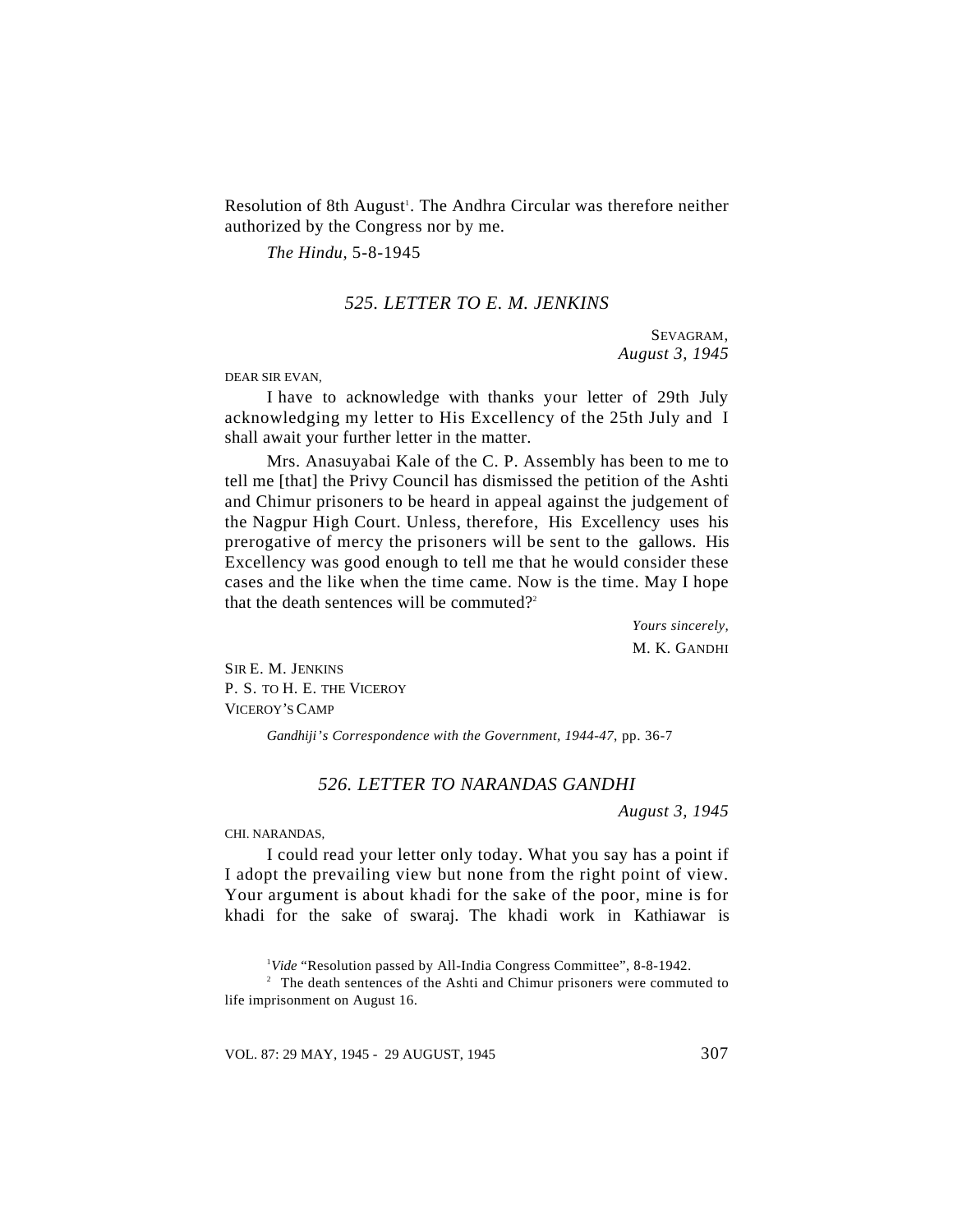Resolution of 8th August<sup>1</sup>. The Andhra Circular was therefore neither authorized by the Congress nor by me.

*The Hindu,* 5-8-1945

# *525. LETTER TO E. M. JENKINS*

SEVAGRAM, *August 3, 1945*

DEAR SIR EVAN,

I have to acknowledge with thanks your letter of 29th July acknowledging my letter to His Excellency of the 25th July and I shall await your further letter in the matter.

Mrs. Anasuyabai Kale of the C. P. Assembly has been to me to tell me [that] the Privy Council has dismissed the petition of the Ashti and Chimur prisoners to be heard in appeal against the judgement of the Nagpur High Court. Unless, therefore, His Excellency uses his prerogative of mercy the prisoners will be sent to the gallows. His Excellency was good enough to tell me that he would consider these cases and the like when the time came. Now is the time. May I hope that the death sentences will be commuted?<sup>2</sup>

> *Yours sincerely,* M. K. GANDHI

SIR E. M. JENKINS P. S. TO H. E. THE VICEROY VICEROY'S CAMP

*Gandhiji*'*s Correspondence with the Government, 1944-47*, pp. 36-7

#### *526. LETTER TO NARANDAS GANDHI*

*August 3, 1945*

CHI. NARANDAS,

I could read your letter only today. What you say has a point if I adopt the prevailing view but none from the right point of view. Your argument is about khadi for the sake of the poor, mine is for khadi for the sake of swaraj. The khadi work in Kathiawar is

<sup>1</sup>Vide "Resolution passed by All-India Congress Committee", 8-8-1942.

<sup>2</sup> The death sentences of the Ashti and Chimur prisoners were commuted to life imprisonment on August 16.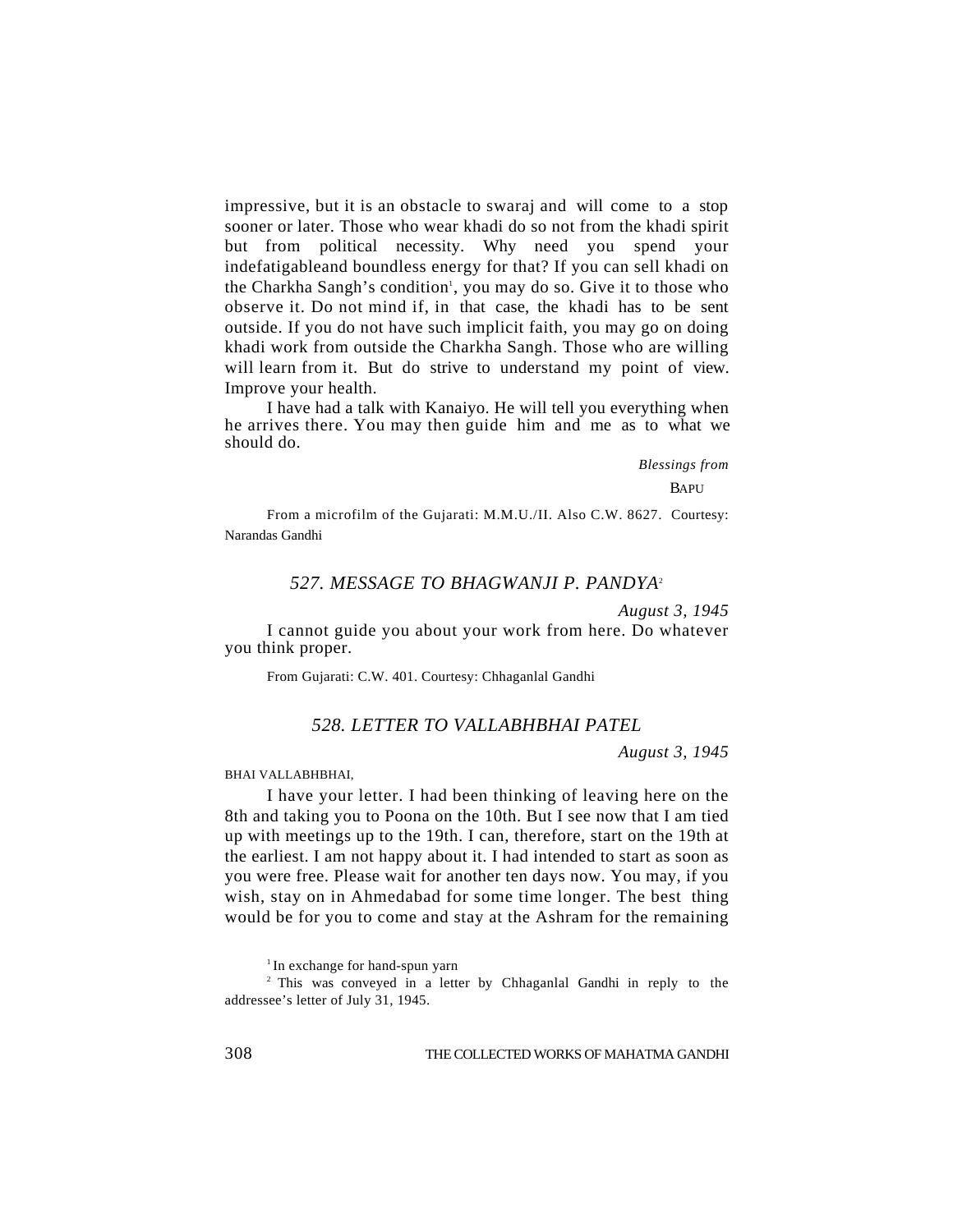impressive, but it is an obstacle to swaraj and will come to a stop sooner or later. Those who wear khadi do so not from the khadi spirit but from political necessity. Why need you spend your indefatigableand boundless energy for that? If you can sell khadi on the Charkha Sangh's condition<sup>1</sup>, you may do so. Give it to those who observe it. Do not mind if, in that case, the khadi has to be sent outside. If you do not have such implicit faith, you may go on doing khadi work from outside the Charkha Sangh. Those who are willing will learn from it. But do strive to understand my point of view. Improve your health.

I have had a talk with Kanaiyo. He will tell you everything when he arrives there. You may then guide him and me as to what we should do.

*Blessings from*

**BAPU** 

From a microfilm of the Gujarati: M.M.U./II. Also C.W. 8627. Courtesy: Narandas Gandhi

### *527. MESSAGE TO BHAGWANJI P. PANDYA*<sup>2</sup>

*August 3, 1945*

I cannot guide you about your work from here. Do whatever you think proper.

From Gujarati: C.W. 401. Courtesy: Chhaganlal Gandhi

### *528. LETTER TO VALLABHBHAI PATEL*

*August 3, 1945*

BHAI VALLABHBHAI,

I have your letter. I had been thinking of leaving here on the 8th and taking you to Poona on the 10th. But I see now that I am tied up with meetings up to the 19th. I can, therefore, start on the 19th at the earliest. I am not happy about it. I had intended to start as soon as you were free. Please wait for another ten days now. You may, if you wish, stay on in Ahmedabad for some time longer. The best thing would be for you to come and stay at the Ashram for the remaining

<sup>&</sup>lt;sup>1</sup> In exchange for hand-spun yarn

<sup>&</sup>lt;sup>2</sup> This was conveyed in a letter by Chhaganlal Gandhi in reply to the addressee's letter of July 31, 1945.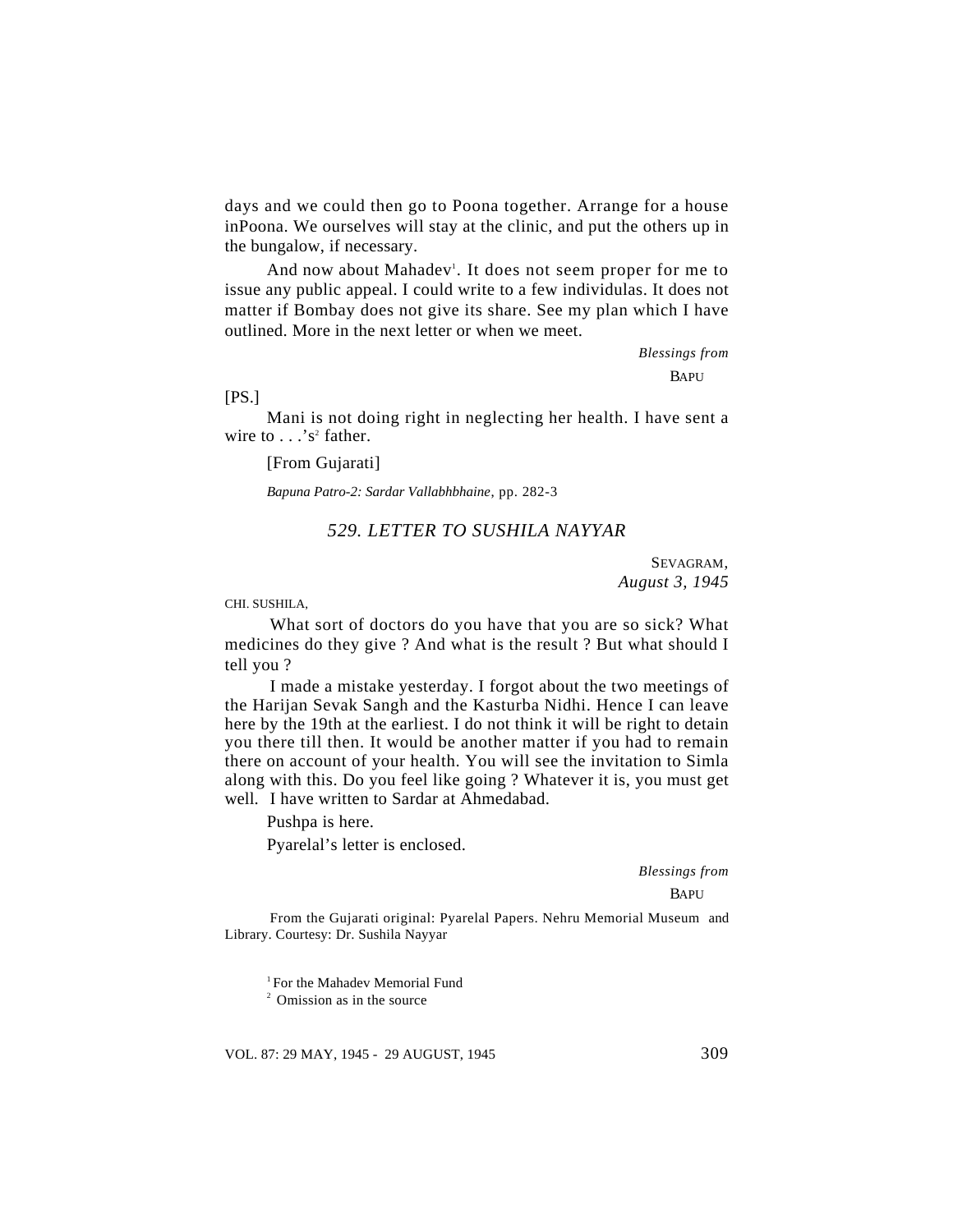days and we could then go to Poona together. Arrange for a house inPoona. We ourselves will stay at the clinic, and put the others up in the bungalow, if necessary.

And now about Mahadev<sup>1</sup>. It does not seem proper for me to issue any public appeal. I could write to a few individulas. It does not matter if Bombay does not give its share. See my plan which I have outlined. More in the next letter or when we meet.

> *Blessings from* BAPU

 $[PS.]$ 

Mani is not doing right in neglecting her health. I have sent a wire to  $\ldots$ 's<sup>2</sup> father.

[From Gujarati]

*Bapuna Patro-2: Sardar Vallabhbhaine*, pp. 282-3

# *529. LETTER TO SUSHILA NAYYAR*

SEVAGRAM, *August 3, 1945*

CHI. SUSHILA,

What sort of doctors do you have that you are so sick? What medicines do they give ? And what is the result ? But what should I tell you ?

I made a mistake yesterday. I forgot about the two meetings of the Harijan Sevak Sangh and the Kasturba Nidhi. Hence I can leave here by the 19th at the earliest. I do not think it will be right to detain you there till then. It would be another matter if you had to remain there on account of your health. You will see the invitation to Simla along with this. Do you feel like going ? Whatever it is, you must get well. I have written to Sardar at Ahmedabad.

Pushpa is here.

Pyarelal's letter is enclosed.

*Blessings from*

**BAPU** 

From the Gujarati original: Pyarelal Papers. Nehru Memorial Museum and Library. Courtesy: Dr. Sushila Nayyar

<sup>1</sup> For the Mahadev Memorial Fund

<sup>2</sup> Omission as in the source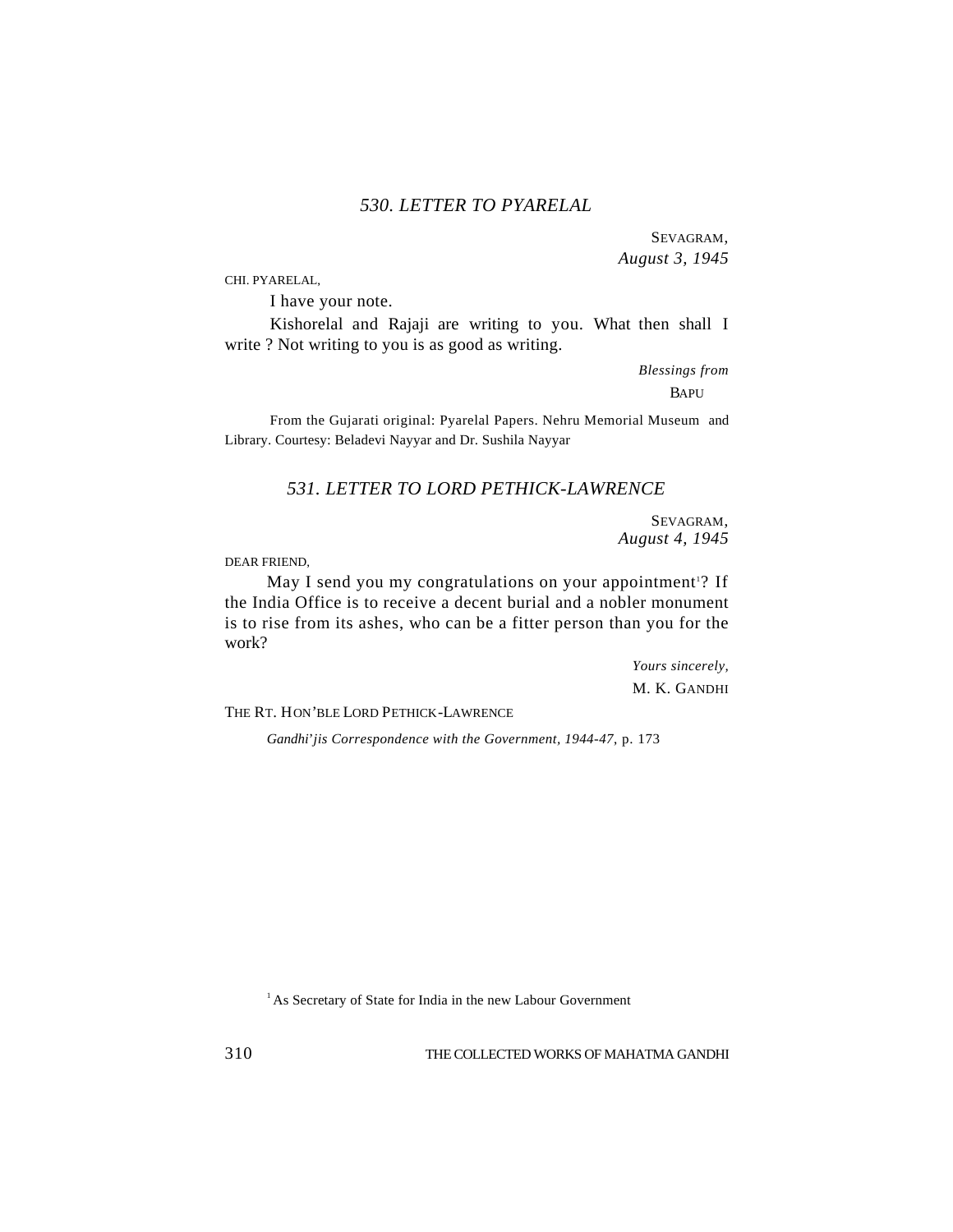# *530. LETTER TO PYARELAL*

SEVAGRAM, *August 3, 1945*

CHI. PYARELAL,

I have your note.

Kishorelal and Rajaji are writing to you. What then shall I write ? Not writing to you is as good as writing.

> *Blessings from* **BAPU**

From the Gujarati original: Pyarelal Papers. Nehru Memorial Museum and Library. Courtesy: Beladevi Nayyar and Dr. Sushila Nayyar

### *531. LETTER TO LORD PETHICK-LAWRENCE*

SEVAGRAM, *August 4, 1945*

DEAR FRIEND,

May I send you my congratulations on your appointment<sup>1</sup>? If the India Office is to receive a decent burial and a nobler monument is to rise from its ashes, who can be a fitter person than you for the work?

> *Yours sincerely,* M. K. GANDHI

THE RT. HON'BLE LORD PETHICK-LAWRENCE

*Gandhi*'*jis Correspondence with the Government, 1944-47*, p. 173

 $<sup>1</sup>$  As Secretary of State for India in the new Labour Government</sup>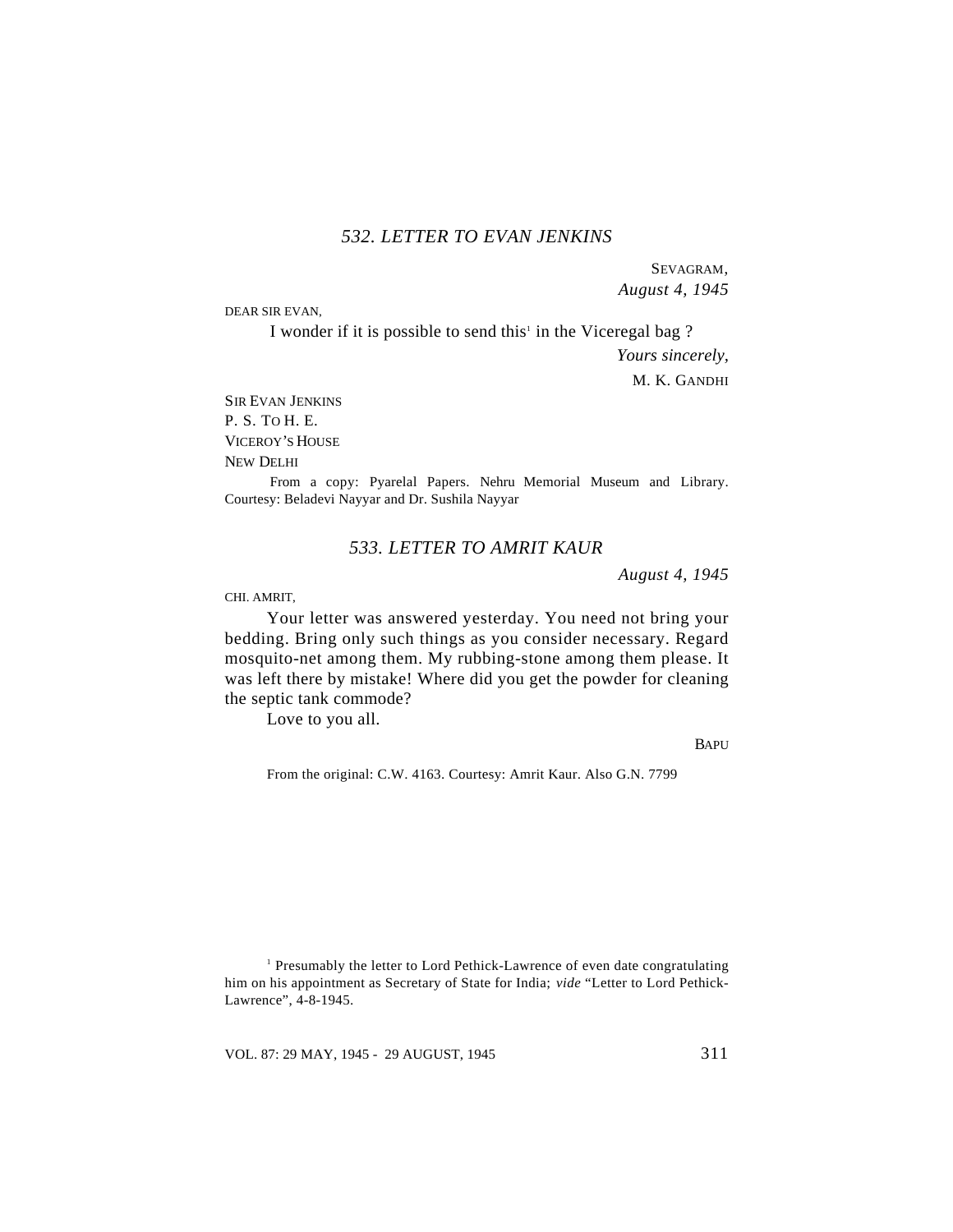### *532. LETTER TO EVAN JENKINS*

SEVAGRAM, *August 4, 1945*

DEAR SIR EVAN,

I wonder if it is possible to send this<sup>1</sup> in the Viceregal bag?

*Yours sincerely,*

M. K. GANDHI

SIR EVAN JENKINS P. S. TO H. E. VICEROY'S HOUSE NEW DELHI

From a copy: Pyarelal Papers. Nehru Memorial Museum and Library. Courtesy: Beladevi Nayyar and Dr. Sushila Nayyar

### *533. LETTER TO AMRIT KAUR*

*August 4, 1945*

CHI. AMRIT,

Your letter was answered yesterday. You need not bring your bedding. Bring only such things as you consider necessary. Regard mosquito-net among them. My rubbing-stone among them please. It was left there by mistake! Where did you get the powder for cleaning the septic tank commode?

Love to you all.

**BAPU** 

From the original: C.W. 4163. Courtesy: Amrit Kaur. Also G.N. 7799

<sup>1</sup> Presumably the letter to Lord Pethick-Lawrence of even date congratulating him on his appointment as Secretary of State for India; *vide* "Letter to Lord Pethick-Lawrence", 4-8-1945.

VOL. 87: 29 MAY, 1945 - 29 AUGUST, 1945 311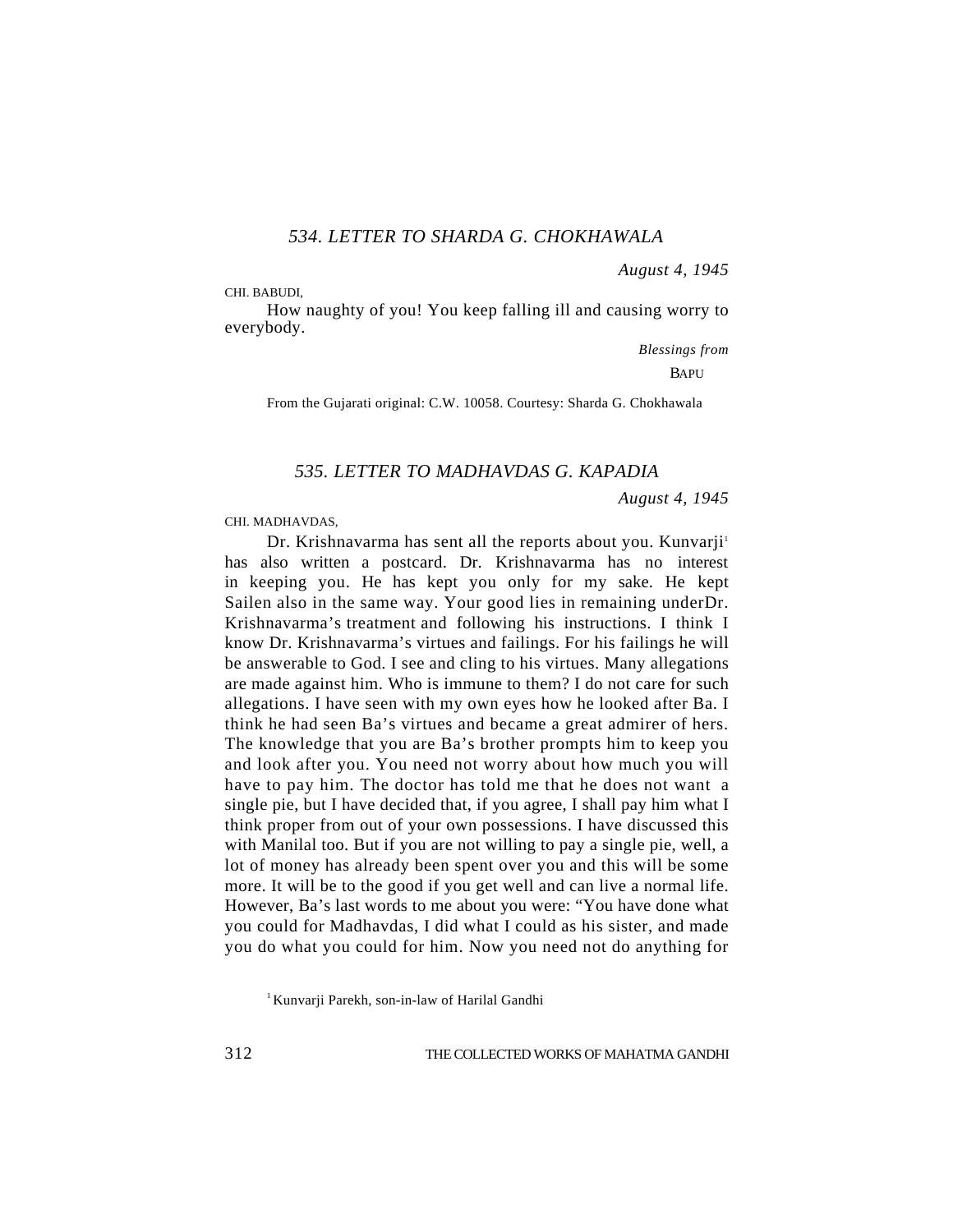*August 4, 1945*

CHI. BABUDI,

How naughty of you! You keep falling ill and causing worry to everybody.

*Blessings from*

BAPU

From the Gujarati original: C.W. 10058. Courtesy: Sharda G. Chokhawala

#### *535. LETTER TO MADHAVDAS G. KAPADIA*

*August 4, 1945*

CHI. MADHAVDAS,

Dr. Krishnavarma has sent all the reports about you. Kunvarji<sup>1</sup> has also written a postcard. Dr. Krishnavarma has no interest in keeping you. He has kept you only for my sake. He kept Sailen also in the same way. Your good lies in remaining underDr. Krishnavarma's treatment and following his instructions. I think I know Dr. Krishnavarma's virtues and failings. For his failings he will be answerable to God. I see and cling to his virtues. Many allegations are made against him. Who is immune to them? I do not care for such allegations. I have seen with my own eyes how he looked after Ba. I think he had seen Ba's virtues and became a great admirer of hers. The knowledge that you are Ba's brother prompts him to keep you and look after you. You need not worry about how much you will have to pay him. The doctor has told me that he does not want a single pie, but I have decided that, if you agree, I shall pay him what I think proper from out of your own possessions. I have discussed this with Manilal too. But if you are not willing to pay a single pie, well, a lot of money has already been spent over you and this will be some more. It will be to the good if you get well and can live a normal life. However, Ba's last words to me about you were: "You have done what you could for Madhavdas, I did what I could as his sister, and made you do what you could for him. Now you need not do anything for

1 Kunvarji Parekh, son-in-law of Harilal Gandhi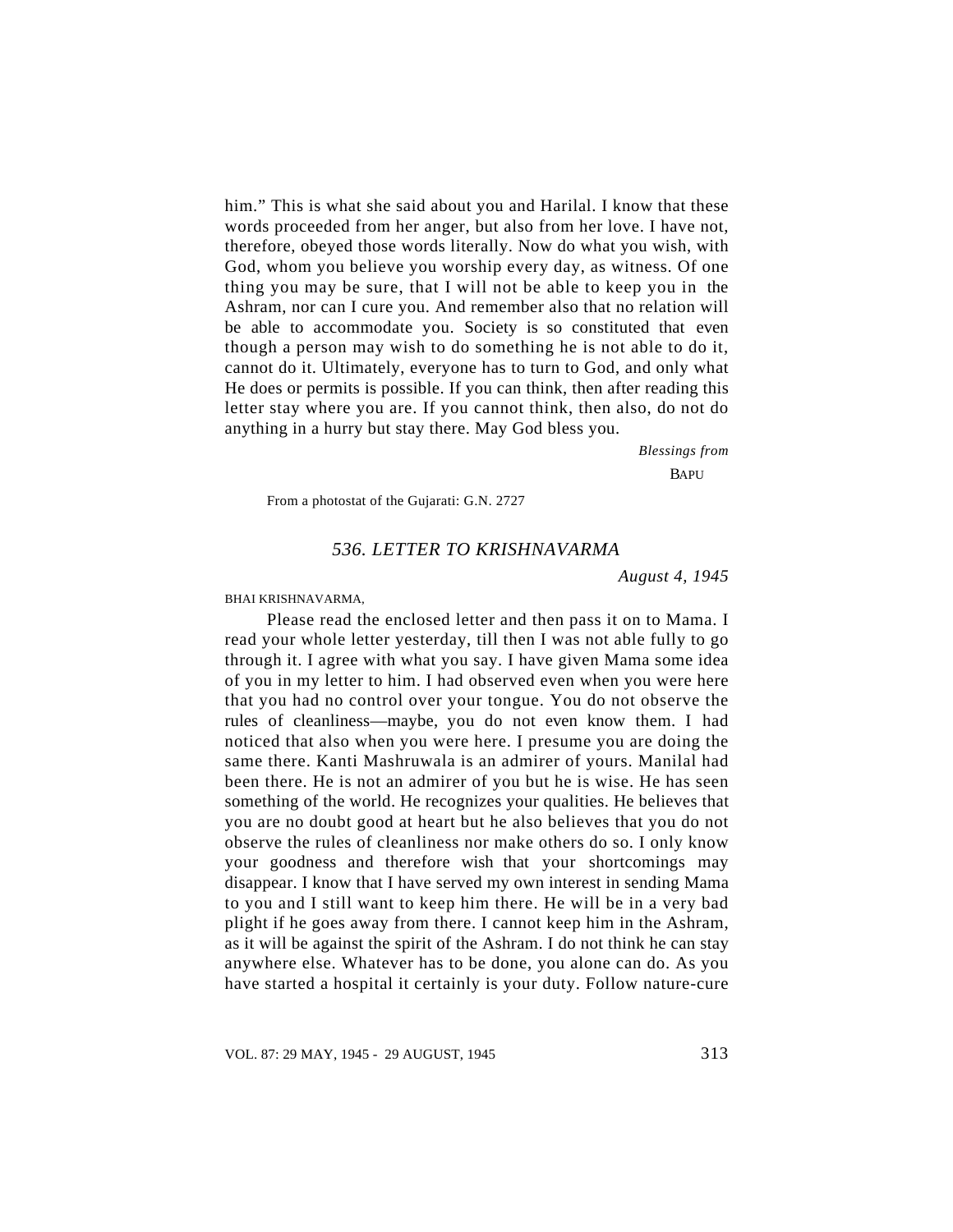him." This is what she said about you and Harilal. I know that these words proceeded from her anger, but also from her love. I have not, therefore, obeyed those words literally. Now do what you wish, with God, whom you believe you worship every day, as witness. Of one thing you may be sure, that I will not be able to keep you in the Ashram, nor can I cure you. And remember also that no relation will be able to accommodate you. Society is so constituted that even though a person may wish to do something he is not able to do it, cannot do it. Ultimately, everyone has to turn to God, and only what He does or permits is possible. If you can think, then after reading this letter stay where you are. If you cannot think, then also, do not do anything in a hurry but stay there. May God bless you.

> *Blessings from* **BAPU**

From a photostat of the Gujarati: G.N. 2727

# *536. LETTER TO KRISHNAVARMA*

*August 4, 1945*

#### BHAI KRISHNAVARMA,

Please read the enclosed letter and then pass it on to Mama. I read your whole letter yesterday, till then I was not able fully to go through it. I agree with what you say. I have given Mama some idea of you in my letter to him. I had observed even when you were here that you had no control over your tongue. You do not observe the rules of cleanliness—maybe, you do not even know them. I had noticed that also when you were here. I presume you are doing the same there. Kanti Mashruwala is an admirer of yours. Manilal had been there. He is not an admirer of you but he is wise. He has seen something of the world. He recognizes your qualities. He believes that you are no doubt good at heart but he also believes that you do not observe the rules of cleanliness nor make others do so. I only know your goodness and therefore wish that your shortcomings may disappear. I know that I have served my own interest in sending Mama to you and I still want to keep him there. He will be in a very bad plight if he goes away from there. I cannot keep him in the Ashram, as it will be against the spirit of the Ashram. I do not think he can stay anywhere else. Whatever has to be done, you alone can do. As you have started a hospital it certainly is your duty. Follow nature-cure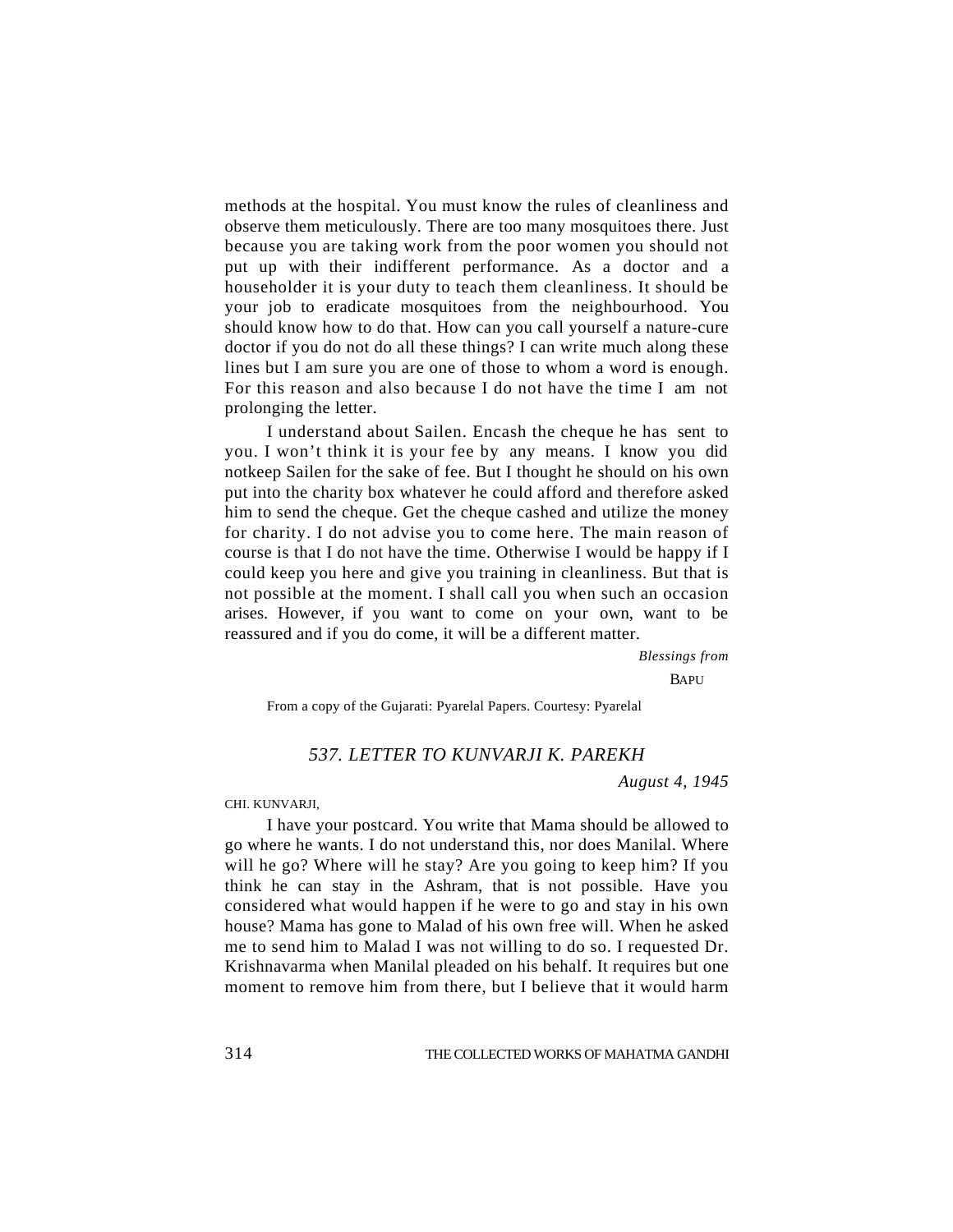methods at the hospital. You must know the rules of cleanliness and observe them meticulously. There are too many mosquitoes there. Just because you are taking work from the poor women you should not put up with their indifferent performance. As a doctor and a householder it is your duty to teach them cleanliness. It should be your job to eradicate mosquitoes from the neighbourhood. You should know how to do that. How can you call yourself a nature-cure doctor if you do not do all these things? I can write much along these lines but I am sure you are one of those to whom a word is enough. For this reason and also because I do not have the time I am not prolonging the letter.

I understand about Sailen. Encash the cheque he has sent to you. I won't think it is your fee by any means. I know you did notkeep Sailen for the sake of fee. But I thought he should on his own put into the charity box whatever he could afford and therefore asked him to send the cheque. Get the cheque cashed and utilize the money for charity. I do not advise you to come here. The main reason of course is that I do not have the time. Otherwise I would be happy if I could keep you here and give you training in cleanliness. But that is not possible at the moment. I shall call you when such an occasion arises. However, if you want to come on your own, want to be reassured and if you do come, it will be a different matter.

*Blessings from*

**BAPU** 

From a copy of the Gujarati: Pyarelal Papers. Courtesy: Pyarelal

### *537. LETTER TO KUNVARJI K. PAREKH*

*August 4, 1945*

CHI. KUNVARJI,

I have your postcard. You write that Mama should be allowed to go where he wants. I do not understand this, nor does Manilal. Where will he go? Where will he stay? Are you going to keep him? If you think he can stay in the Ashram, that is not possible. Have you considered what would happen if he were to go and stay in his own house? Mama has gone to Malad of his own free will. When he asked me to send him to Malad I was not willing to do so. I requested Dr. Krishnavarma when Manilal pleaded on his behalf. It requires but one moment to remove him from there, but I believe that it would harm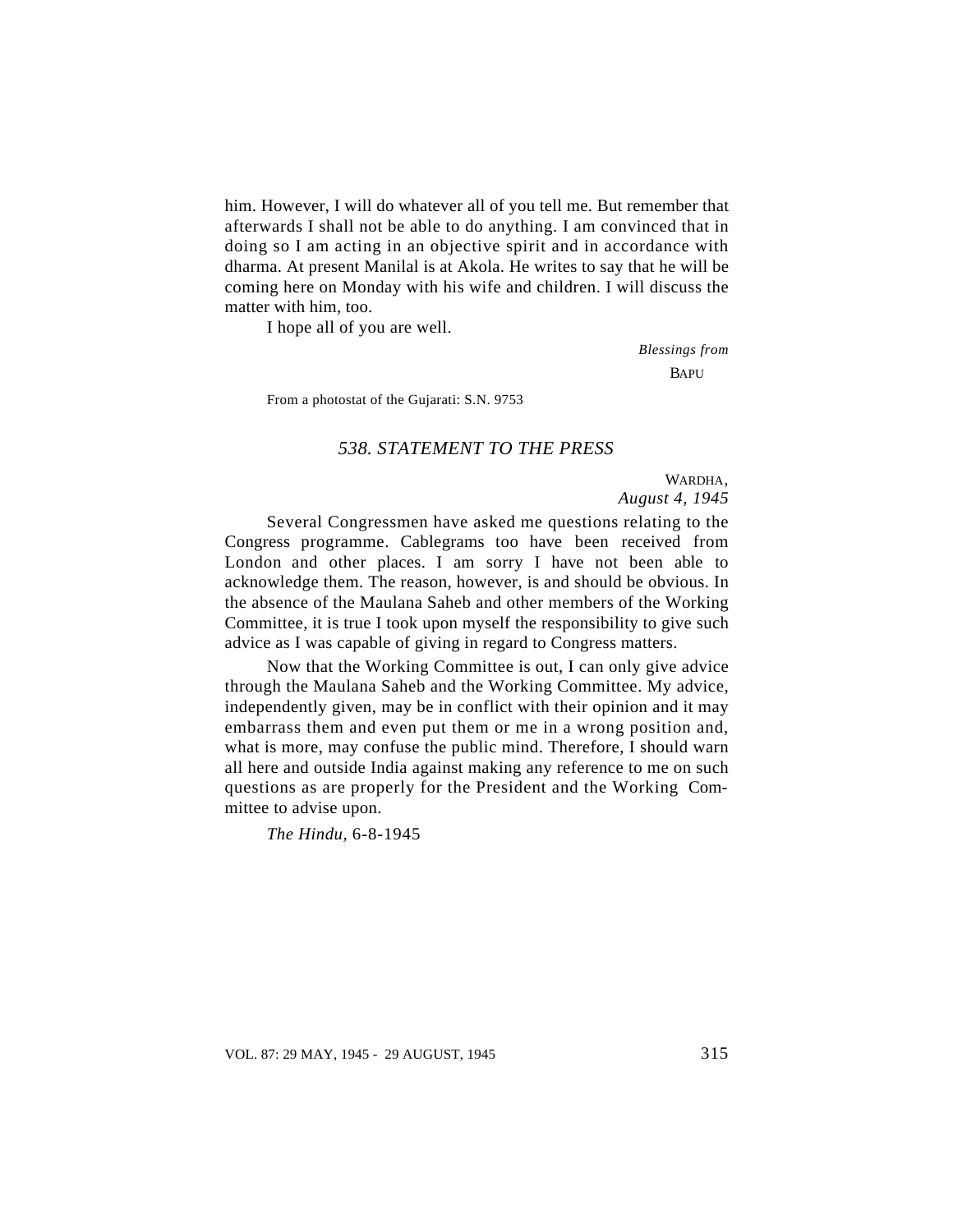him. However, I will do whatever all of you tell me. But remember that afterwards I shall not be able to do anything. I am convinced that in doing so I am acting in an objective spirit and in accordance with dharma. At present Manilal is at Akola. He writes to say that he will be coming here on Monday with his wife and children. I will discuss the matter with him, too.

I hope all of you are well.

*Blessings from* BAPU

From a photostat of the Gujarati: S.N. 9753

#### *538. STATEMENT TO THE PRESS*

WARDHA, *August 4, 1945*

Several Congressmen have asked me questions relating to the Congress programme. Cablegrams too have been received from London and other places. I am sorry I have not been able to acknowledge them. The reason, however, is and should be obvious. In the absence of the Maulana Saheb and other members of the Working Committee, it is true I took upon myself the responsibility to give such advice as I was capable of giving in regard to Congress matters.

Now that the Working Committee is out, I can only give advice through the Maulana Saheb and the Working Committee. My advice, independently given, may be in conflict with their opinion and it may embarrass them and even put them or me in a wrong position and, what is more, may confuse the public mind. Therefore, I should warn all here and outside India against making any reference to me on such questions as are properly for the President and the Working Committee to advise upon.

*The Hindu,* 6-8-1945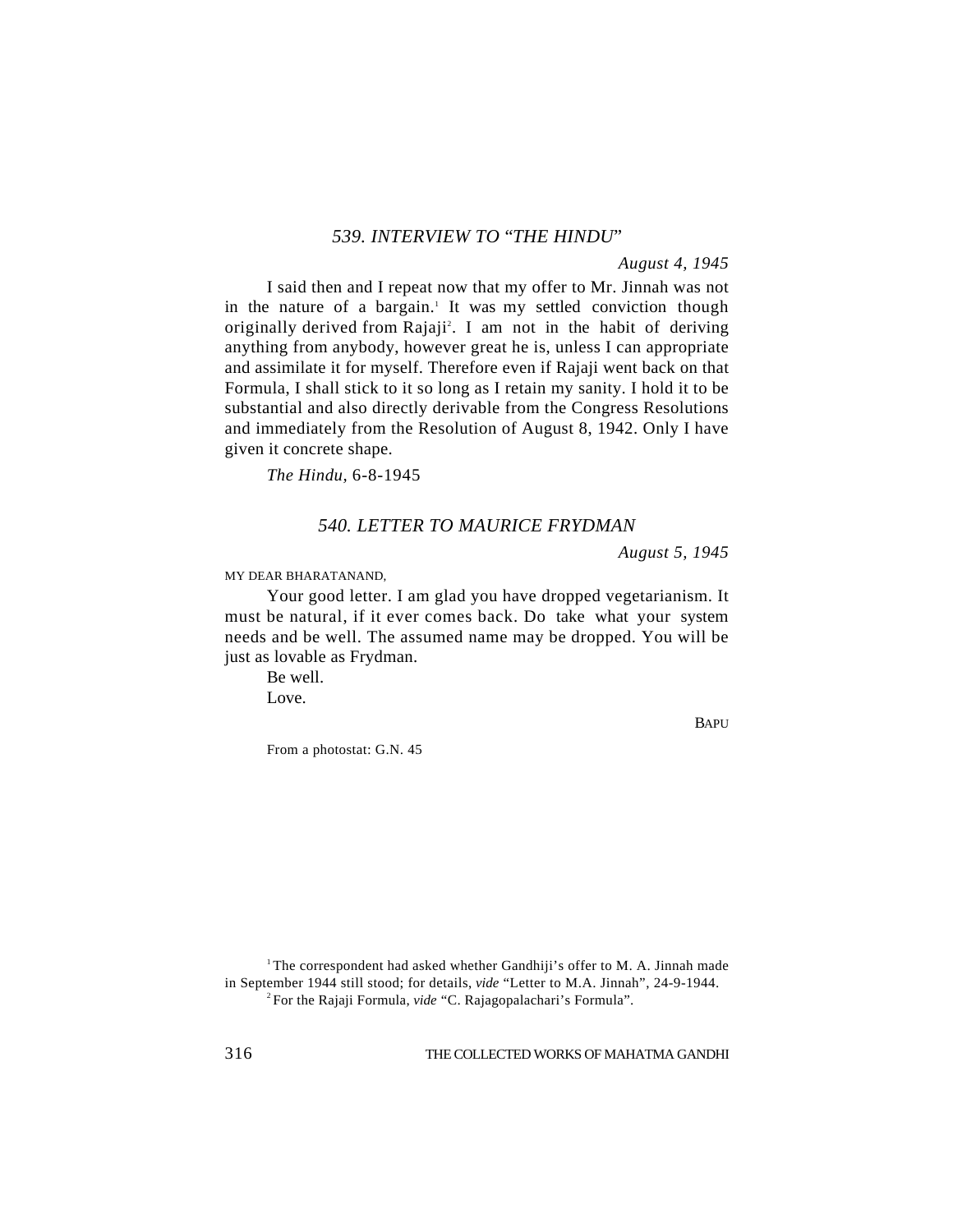# *539. INTERVIEW TO* "*THE HINDU*"

#### *August 4, 1945*

I said then and I repeat now that my offer to Mr. Jinnah was not in the nature of a bargain.<sup>1</sup> It was my settled conviction though originally derived from Rajaji<sup>2</sup>. I am not in the habit of deriving anything from anybody, however great he is, unless I can appropriate and assimilate it for myself. Therefore even if Rajaji went back on that Formula, I shall stick to it so long as I retain my sanity. I hold it to be substantial and also directly derivable from the Congress Resolutions and immediately from the Resolution of August 8, 1942. Only I have given it concrete shape.

*The Hindu,* 6-8-1945

#### *540. LETTER TO MAURICE FRYDMAN*

*August 5, 1945*

MY DEAR BHARATANAND,

Your good letter. I am glad you have dropped vegetarianism. It must be natural, if it ever comes back. Do take what your system needs and be well. The assumed name may be dropped. You will be just as lovable as Frydman.

Be well. Love.

**BAPU** 

From a photostat: G.N. 45

<sup>1</sup>The correspondent had asked whether Gandhiji's offer to M. A. Jinnah made in September 1944 still stood; for details, *vide* "Letter to M.A. Jinnah", 24-9-1944. <sup>2</sup>For the Rajaji Formula, *vide* "C. Rajagopalachari's Formula".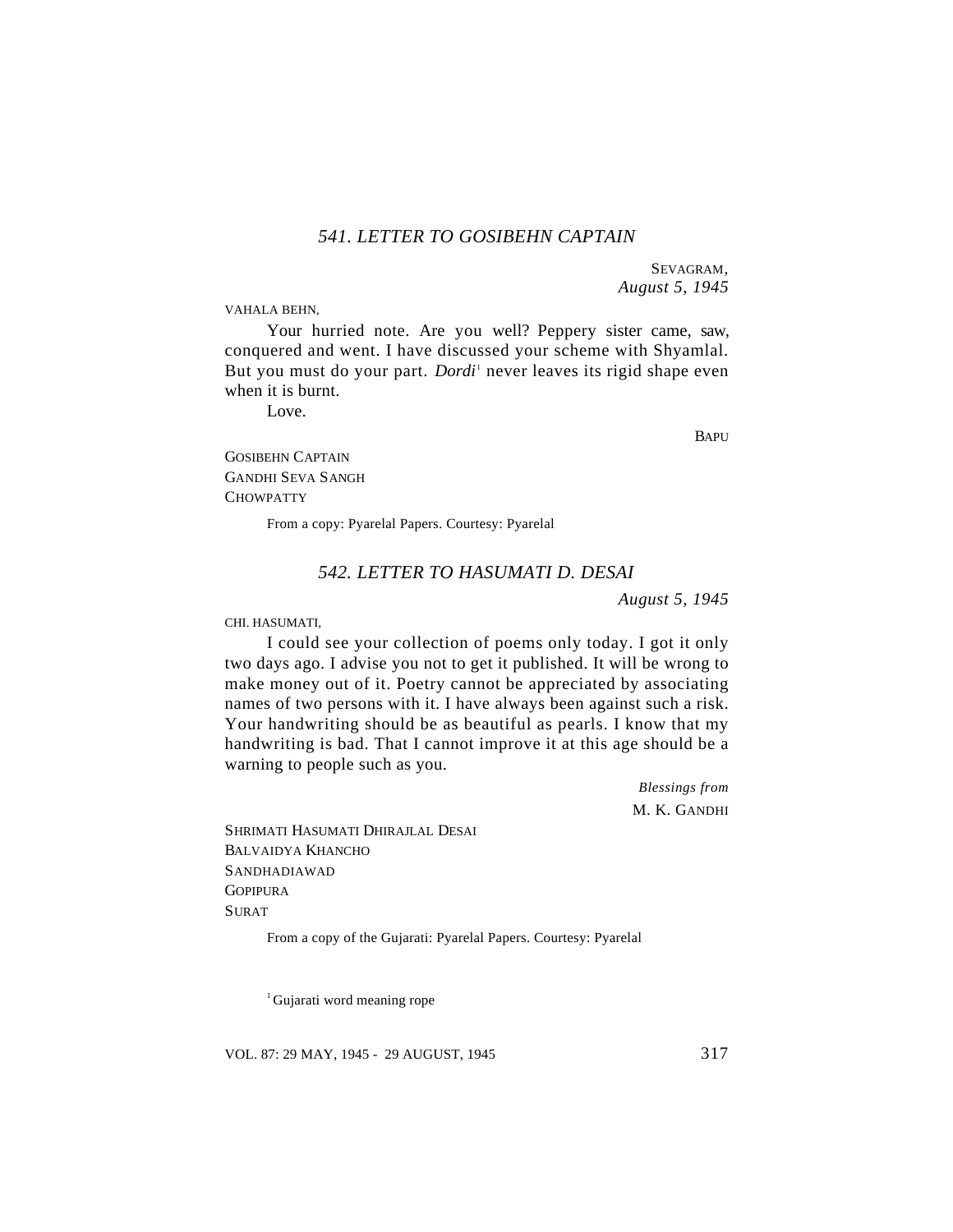### *541. LETTER TO GOSIBEHN CAPTAIN*

SEVAGRAM, *August 5, 1945*

VAHALA BEHN,

Your hurried note. Are you well? Peppery sister came, saw, conquered and went. I have discussed your scheme with Shyamlal. But you must do your part. *Dordi* never leaves its rigid shape even when it is burnt.

 $\overline{L}$  ove.

**BAPU** 

GOSIBEHN CAPTAIN GANDHI SEVA SANGH **CHOWPATTY** 

From a copy: Pyarelal Papers. Courtesy: Pyarelal

### *542. LETTER TO HASUMATI D. DESAI*

*August 5, 1945*

CHI. HASUMATI,

I could see your collection of poems only today. I got it only two days ago. I advise you not to get it published. It will be wrong to make money out of it. Poetry cannot be appreciated by associating names of two persons with it. I have always been against such a risk. Your handwriting should be as beautiful as pearls. I know that my handwriting is bad. That I cannot improve it at this age should be a warning to people such as you.

> *Blessings from* M. K. GANDHI

SHRIMATI HASUMATI DHIRAJLAL DESAI BALVAIDYA KHANCHO SANDHADIAWAD **GOPIPURA SURAT** 

From a copy of the Gujarati: Pyarelal Papers. Courtesy: Pyarelal

1 Gujarati word meaning rope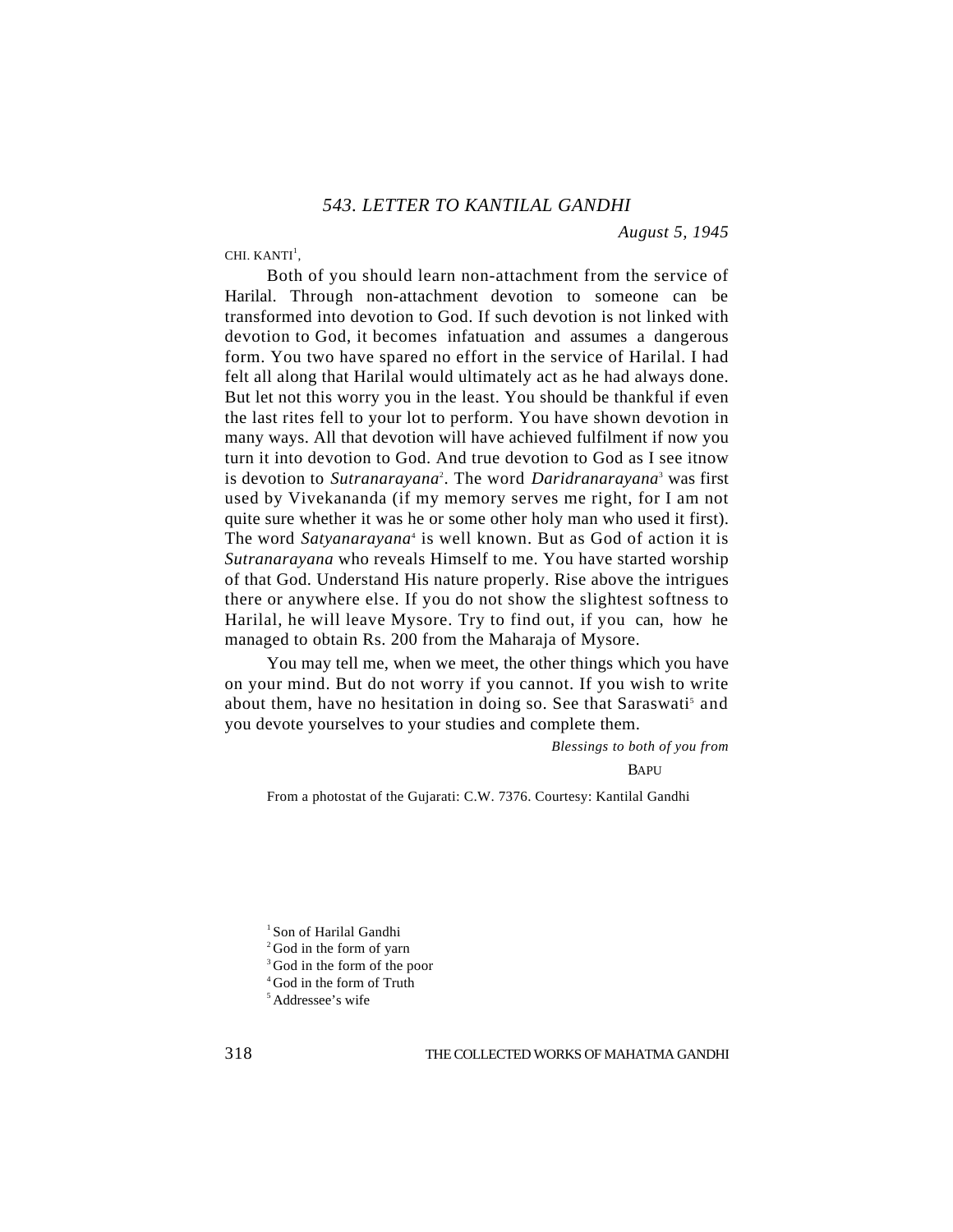*August 5, 1945*

CHI.  $KANTI^1$ ,

Both of you should learn non-attachment from the service of Harilal. Through non-attachment devotion to someone can be transformed into devotion to God. If such devotion is not linked with devotion to God, it becomes infatuation and assumes a dangerous form. You two have spared no effort in the service of Harilal. I had felt all along that Harilal would ultimately act as he had always done. But let not this worry you in the least. You should be thankful if even the last rites fell to your lot to perform. You have shown devotion in many ways. All that devotion will have achieved fulfilment if now you turn it into devotion to God. And true devotion to God as I see itnow is devotion to Sutranarayana<sup>2</sup>. The word Daridranarayana<sup>3</sup> was first used by Vivekananda (if my memory serves me right, for I am not quite sure whether it was he or some other holy man who used it first). The word *Satyanarayana*<sup>4</sup> is well known. But as God of action it is *Sutranarayana* who reveals Himself to me. You have started worship of that God. Understand His nature properly. Rise above the intrigues there or anywhere else. If you do not show the slightest softness to Harilal, he will leave Mysore. Try to find out, if you can, how he managed to obtain Rs. 200 from the Maharaja of Mysore.

You may tell me, when we meet, the other things which you have on your mind. But do not worry if you cannot. If you wish to write about them, have no hesitation in doing so. See that Saraswati<sup>5</sup> and you devote yourselves to your studies and complete them.

*Blessings to both of you from*

BAPU

From a photostat of the Gujarati: C.W. 7376. Courtesy: Kantilal Gandhi

<sup>1</sup> Son of Harilal Gandhi

 $2$ God in the form of yarn

<sup>3</sup>God in the form of the poor

<sup>4</sup>God in the form of Truth

5 Addressee's wife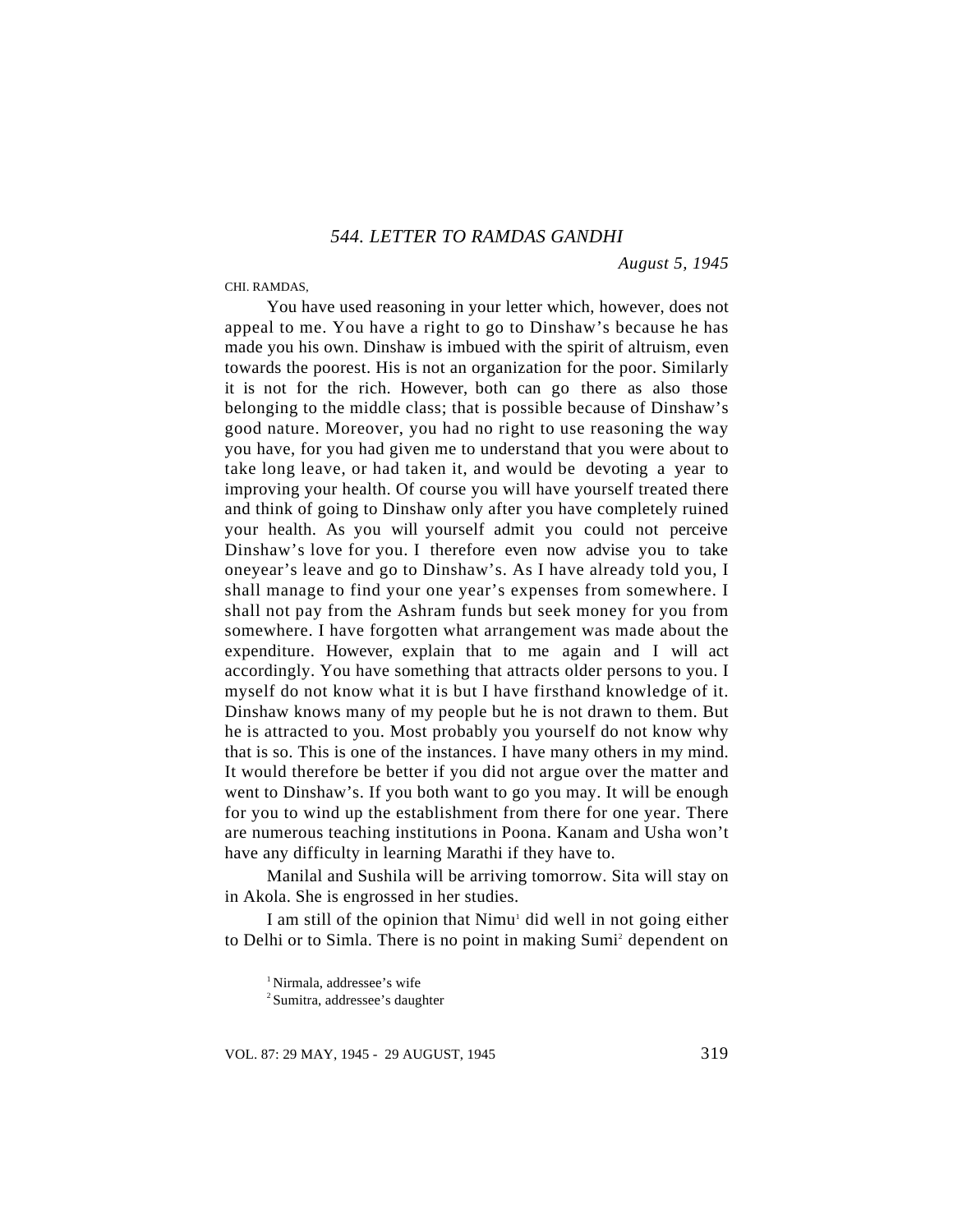### *544. LETTER TO RAMDAS GANDHI*

*August 5, 1945*

CHI. RAMDAS,

You have used reasoning in your letter which, however, does not appeal to me. You have a right to go to Dinshaw's because he has made you his own. Dinshaw is imbued with the spirit of altruism, even towards the poorest. His is not an organization for the poor. Similarly it is not for the rich. However, both can go there as also those belonging to the middle class; that is possible because of Dinshaw's good nature. Moreover, you had no right to use reasoning the way you have, for you had given me to understand that you were about to take long leave, or had taken it, and would be devoting a year to improving your health. Of course you will have yourself treated there and think of going to Dinshaw only after you have completely ruined your health. As you will yourself admit you could not perceive Dinshaw's love for you. I therefore even now advise you to take oneyear's leave and go to Dinshaw's. As I have already told you, I shall manage to find your one year's expenses from somewhere. I shall not pay from the Ashram funds but seek money for you from somewhere. I have forgotten what arrangement was made about the expenditure. However, explain that to me again and I will act accordingly. You have something that attracts older persons to you. I myself do not know what it is but I have firsthand knowledge of it. Dinshaw knows many of my people but he is not drawn to them. But he is attracted to you. Most probably you yourself do not know why that is so. This is one of the instances. I have many others in my mind. It would therefore be better if you did not argue over the matter and went to Dinshaw's. If you both want to go you may. It will be enough for you to wind up the establishment from there for one year. There are numerous teaching institutions in Poona. Kanam and Usha won't have any difficulty in learning Marathi if they have to.

Manilal and Sushila will be arriving tomorrow. Sita will stay on in Akola. She is engrossed in her studies.

I am still of the opinion that Nimu<sup>1</sup> did well in not going either to Delhi or to Simla. There is no point in making Sumi<sup>2</sup> dependent on

<sup>&</sup>lt;sup>1</sup>Nirmala, addressee's wife

<sup>2</sup> Sumitra, addressee's daughter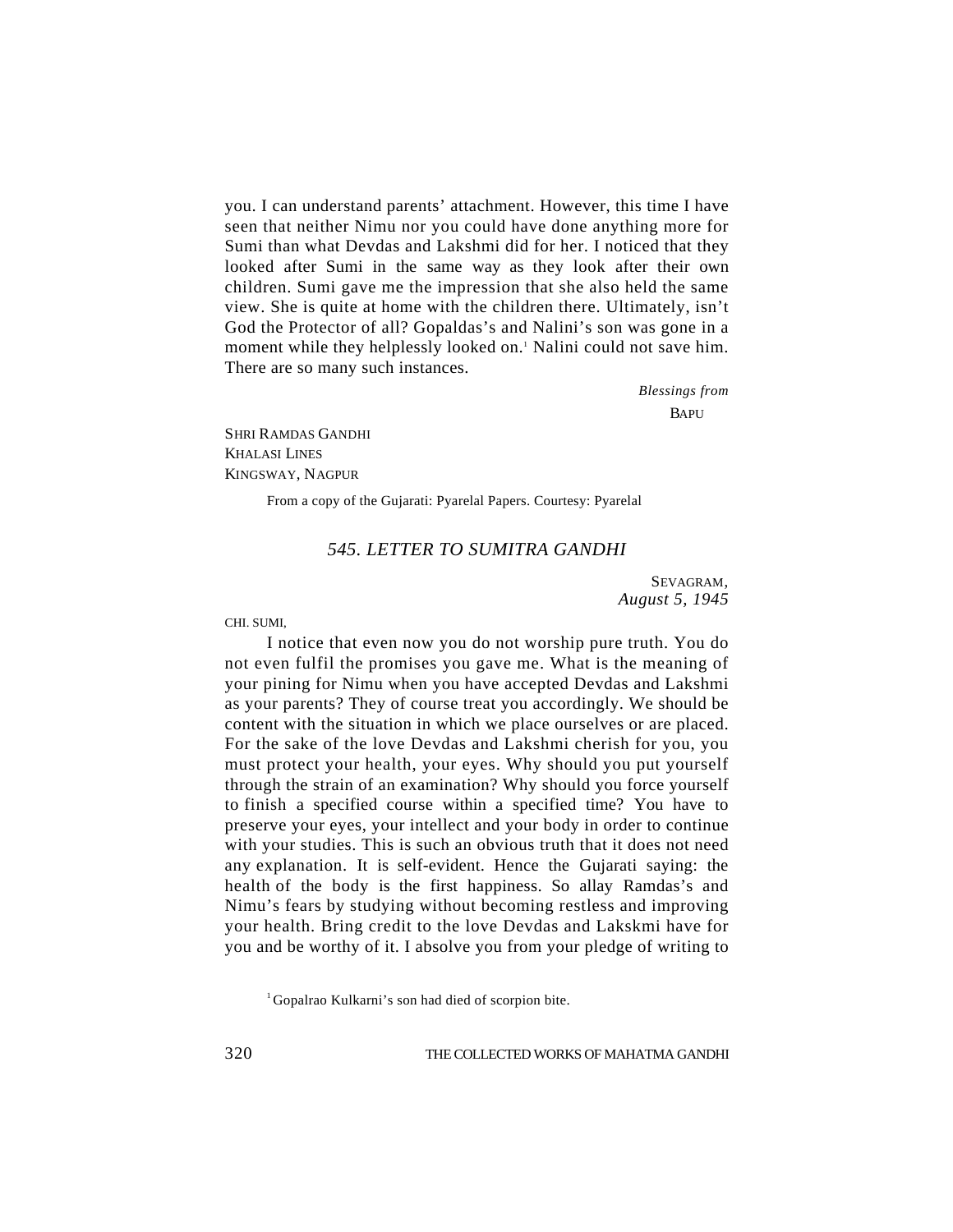you. I can understand parents' attachment. However, this time I have seen that neither Nimu nor you could have done anything more for Sumi than what Devdas and Lakshmi did for her. I noticed that they looked after Sumi in the same way as they look after their own children. Sumi gave me the impression that she also held the same view. She is quite at home with the children there. Ultimately, isn't God the Protector of all? Gopaldas's and Nalini's son was gone in a moment while they helplessly looked on.<sup>1</sup> Nalini could not save him. There are so many such instances.

> *Blessings from* **BAPU**

SHRI RAMDAS GANDHI KHALASI LINES KINGSWAY, NAGPUR

From a copy of the Gujarati: Pyarelal Papers. Courtesy: Pyarelal

# *545. LETTER TO SUMITRA GANDHI*

SEVAGRAM, *August 5, 1945*

CHI. SUMI,

I notice that even now you do not worship pure truth. You do not even fulfil the promises you gave me. What is the meaning of your pining for Nimu when you have accepted Devdas and Lakshmi as your parents? They of course treat you accordingly. We should be content with the situation in which we place ourselves or are placed. For the sake of the love Devdas and Lakshmi cherish for you, you must protect your health, your eyes. Why should you put yourself through the strain of an examination? Why should you force yourself to finish a specified course within a specified time? You have to preserve your eyes, your intellect and your body in order to continue with your studies. This is such an obvious truth that it does not need any explanation. It is self-evident. Hence the Gujarati saying: the health of the body is the first happiness. So allay Ramdas's and Nimu's fears by studying without becoming restless and improving your health. Bring credit to the love Devdas and Lakskmi have for you and be worthy of it. I absolve you from your pledge of writing to

 $1$  Gopalrao Kulkarni's son had died of scorpion bite.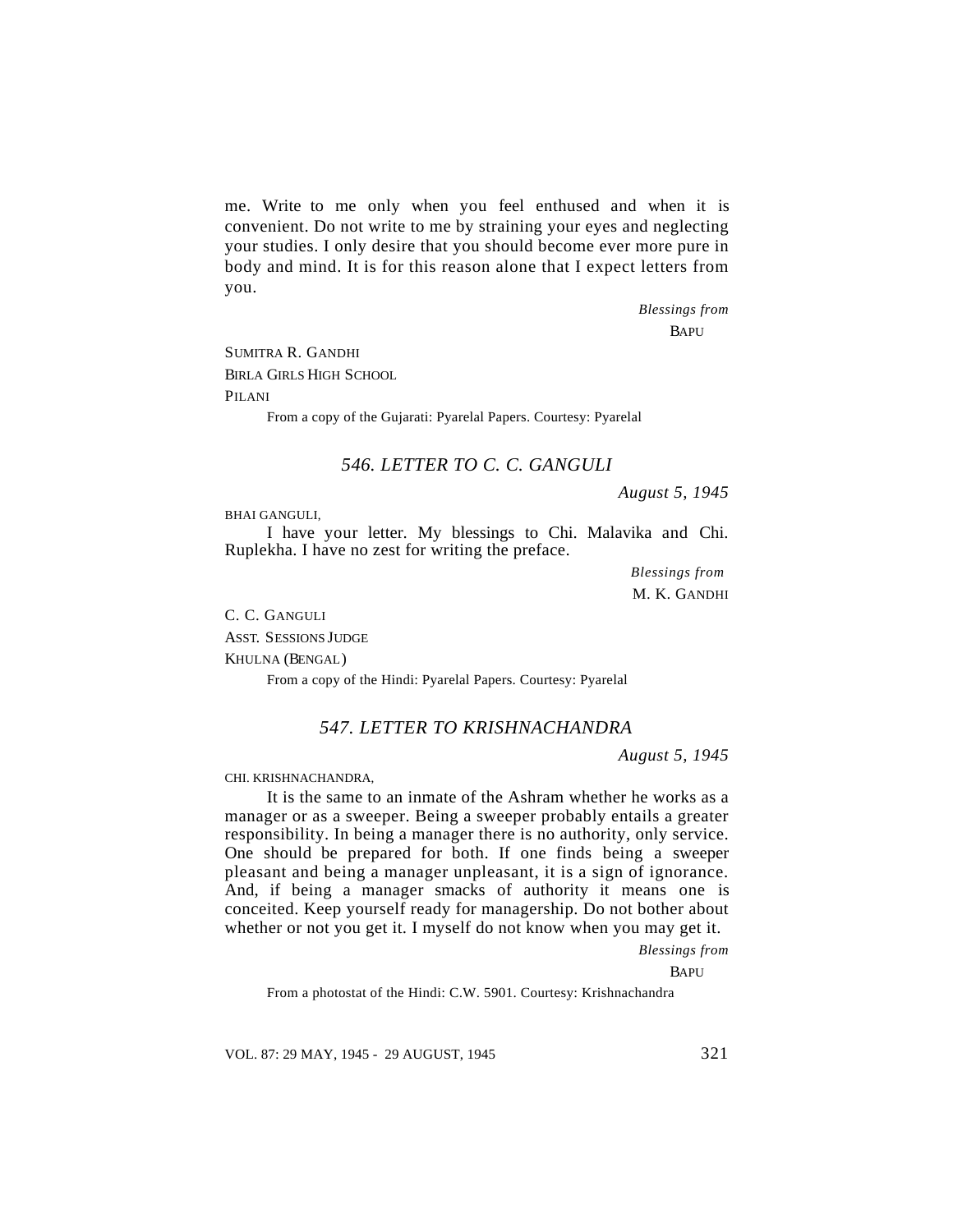me. Write to me only when you feel enthused and when it is convenient. Do not write to me by straining your eyes and neglecting your studies. I only desire that you should become ever more pure in body and mind. It is for this reason alone that I expect letters from you.

> *Blessings from* **BAPU**

SUMITRA R. GANDHI BIRLA GIRLS HIGH SCHOOL PILANI

From a copy of the Gujarati: Pyarelal Papers. Courtesy: Pyarelal

#### *546. LETTER TO C. C. GANGULI*

*August 5, 1945*

BHAI GANGULI,

I have your letter. My blessings to Chi. Malavika and Chi. Ruplekha. I have no zest for writing the preface.

> *Blessings from*  M. K. GANDHI

C. C. GANGULI ASST. SESSIONS JUDGE KHULNA (BENGAL)

From a copy of the Hindi: Pyarelal Papers. Courtesy: Pyarelal

### *547. LETTER TO KRISHNACHANDRA*

*August 5, 1945*

CHI. KRISHNACHANDRA,

It is the same to an inmate of the Ashram whether he works as a manager or as a sweeper. Being a sweeper probably entails a greater responsibility. In being a manager there is no authority, only service. One should be prepared for both. If one finds being a sweeper pleasant and being a manager unpleasant, it is a sign of ignorance. And, if being a manager smacks of authority it means one is conceited. Keep yourself ready for managership. Do not bother about whether or not you get it. I myself do not know when you may get it.

*Blessings from*

**BAPU** 

From a photostat of the Hindi: C.W. 5901. Courtesy: Krishnachandra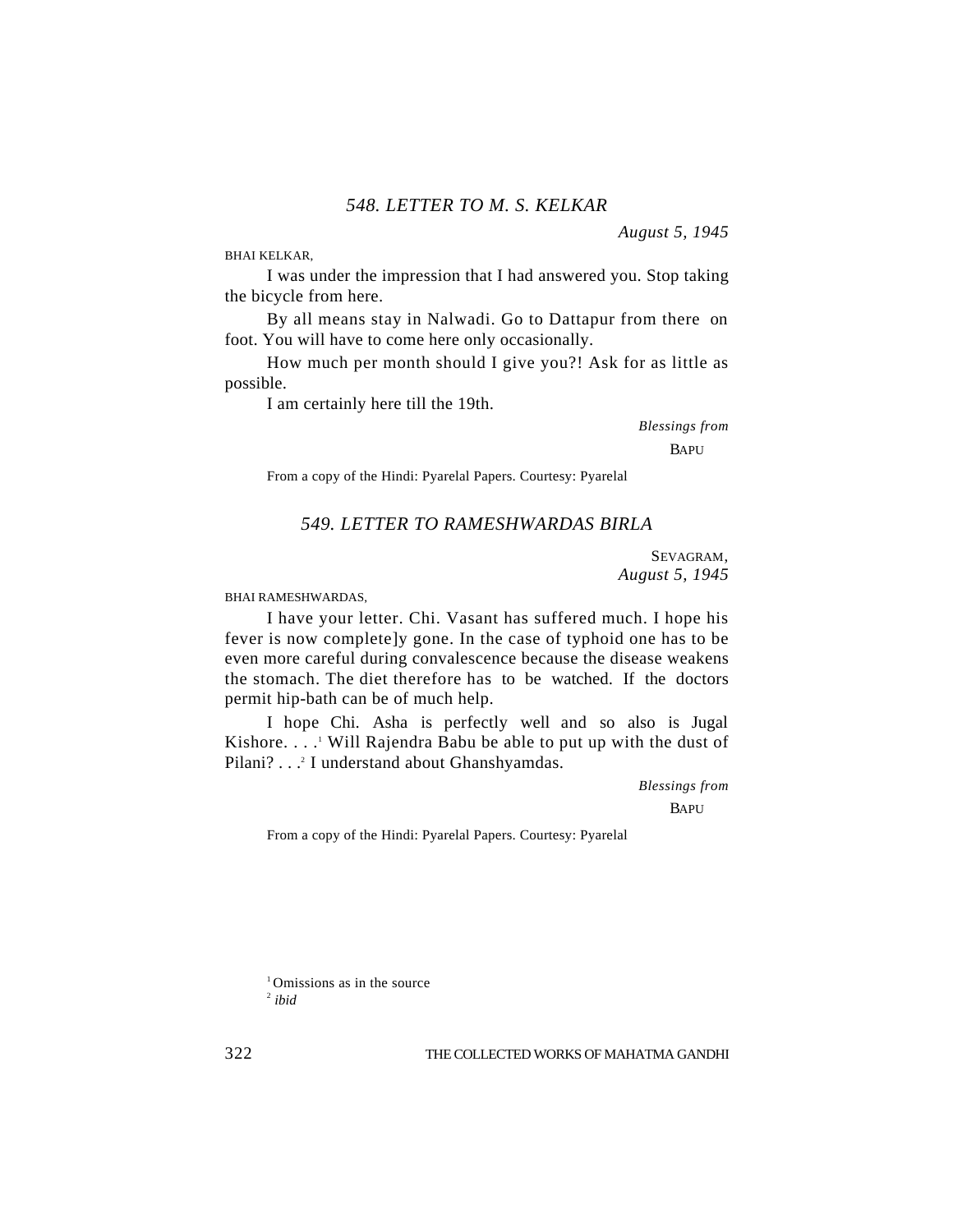*August 5, 1945*

BHAI KELKAR,

I was under the impression that I had answered you. Stop taking the bicycle from here.

By all means stay in Nalwadi. Go to Dattapur from there on foot. You will have to come here only occasionally.

How much per month should I give you?! Ask for as little as possible.

I am certainly here till the 19th.

*Blessings from* **BAPU** 

From a copy of the Hindi: Pyarelal Papers. Courtesy: Pyarelal

### *549. LETTER TO RAMESHWARDAS BIRLA*

SEVAGRAM, *August 5, 1945*

BHAI RAMESHWARDAS,

I have your letter. Chi. Vasant has suffered much. I hope his fever is now complete]y gone. In the case of typhoid one has to be even more careful during convalescence because the disease weakens the stomach. The diet therefore has to be watched. If the doctors permit hip-bath can be of much help.

I hope Chi. Asha is perfectly well and so also is Jugal Kishore....<sup>1</sup> Will Rajendra Babu be able to put up with the dust of Pilani? . . .<sup>2</sup> I understand about Ghanshyamdas.

> *Blessings from* **BAPU**

From a copy of the Hindi: Pyarelal Papers. Courtesy: Pyarelal

2 *ibid*

<sup>&</sup>lt;sup>1</sup> Omissions as in the source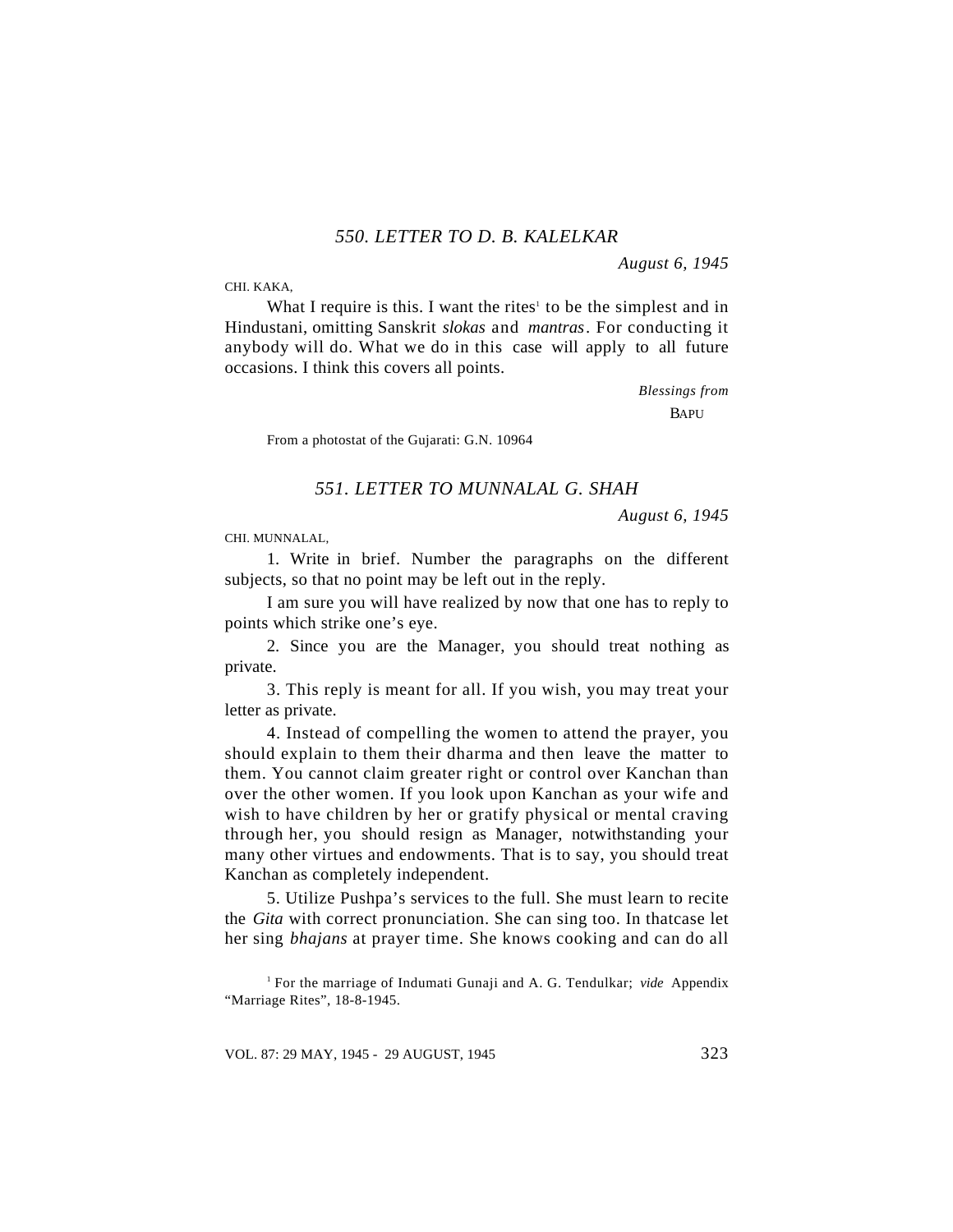### *550. LETTER TO D. B. KALELKAR*

*August 6, 1945*

CHI. KAKA,

What I require is this. I want the rites $\mathbf{F}$  to be the simplest and in Hindustani, omitting Sanskrit *slokas* and *mantras*. For conducting it anybody will do. What we do in this case will apply to all future occasions. I think this covers all points.

> *Blessings from* **BAPU**

From a photostat of the Gujarati: G.N. 10964

### *551. LETTER TO MUNNALAL G. SHAH*

*August 6, 1945*

CHI. MUNNALAL,

1. Write in brief. Number the paragraphs on the different subjects, so that no point may be left out in the reply.

I am sure you will have realized by now that one has to reply to points which strike one's eye.

2. Since you are the Manager, you should treat nothing as private.

3. This reply is meant for all. If you wish, you may treat your letter as private.

4. Instead of compelling the women to attend the prayer, you should explain to them their dharma and then leave the matter to them. You cannot claim greater right or control over Kanchan than over the other women. If you look upon Kanchan as your wife and wish to have children by her or gratify physical or mental craving through her, you should resign as Manager, notwithstanding your many other virtues and endowments. That is to say, you should treat Kanchan as completely independent.

5. Utilize Pushpa's services to the full. She must learn to recite the *Gita* with correct pronunciation. She can sing too. In thatcase let her sing *bhajans* at prayer time. She knows cooking and can do all

<sup>&</sup>lt;sup>1</sup> For the marriage of Indumati Gunaji and A. G. Tendulkar; *vide* Appendix "Marriage Rites", 18-8-1945.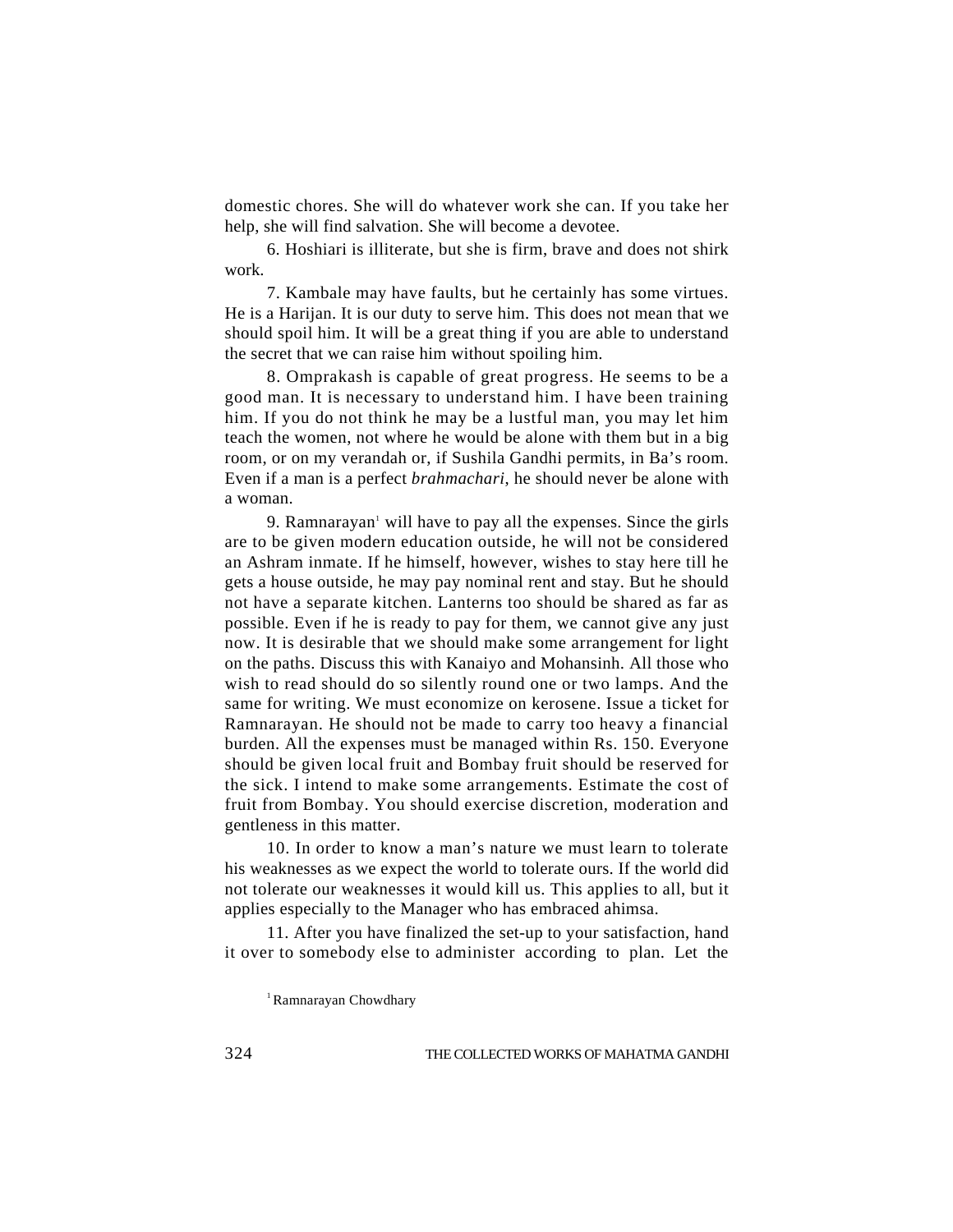domestic chores. She will do whatever work she can. If you take her help, she will find salvation. She will become a devotee.

6. Hoshiari is illiterate, but she is firm, brave and does not shirk work.

7. Kambale may have faults, but he certainly has some virtues. He is a Harijan. It is our duty to serve him. This does not mean that we should spoil him. It will be a great thing if you are able to understand the secret that we can raise him without spoiling him.

8. Omprakash is capable of great progress. He seems to be a good man. It is necessary to understand him. I have been training him. If you do not think he may be a lustful man, you may let him teach the women, not where he would be alone with them but in a big room, or on my verandah or, if Sushila Gandhi permits, in Ba's room. Even if a man is a perfect *brahmachari*, he should never be alone with a woman.

9. Ramnarayan' will have to pay all the expenses. Since the girls are to be given modern education outside, he will not be considered an Ashram inmate. If he himself, however, wishes to stay here till he gets a house outside, he may pay nominal rent and stay. But he should not have a separate kitchen. Lanterns too should be shared as far as possible. Even if he is ready to pay for them, we cannot give any just now. It is desirable that we should make some arrangement for light on the paths. Discuss this with Kanaiyo and Mohansinh. All those who wish to read should do so silently round one or two lamps. And the same for writing. We must economize on kerosene. Issue a ticket for Ramnarayan. He should not be made to carry too heavy a financial burden. All the expenses must be managed within Rs. 150. Everyone should be given local fruit and Bombay fruit should be reserved for the sick. I intend to make some arrangements. Estimate the cost of fruit from Bombay. You should exercise discretion, moderation and gentleness in this matter.

10. In order to know a man's nature we must learn to tolerate his weaknesses as we expect the world to tolerate ours. If the world did not tolerate our weaknesses it would kill us. This applies to all, but it applies especially to the Manager who has embraced ahimsa.

11. After you have finalized the set-up to your satisfaction, hand it over to somebody else to administer according to plan. Let the

<sup>1</sup> Ramnarayan Chowdhary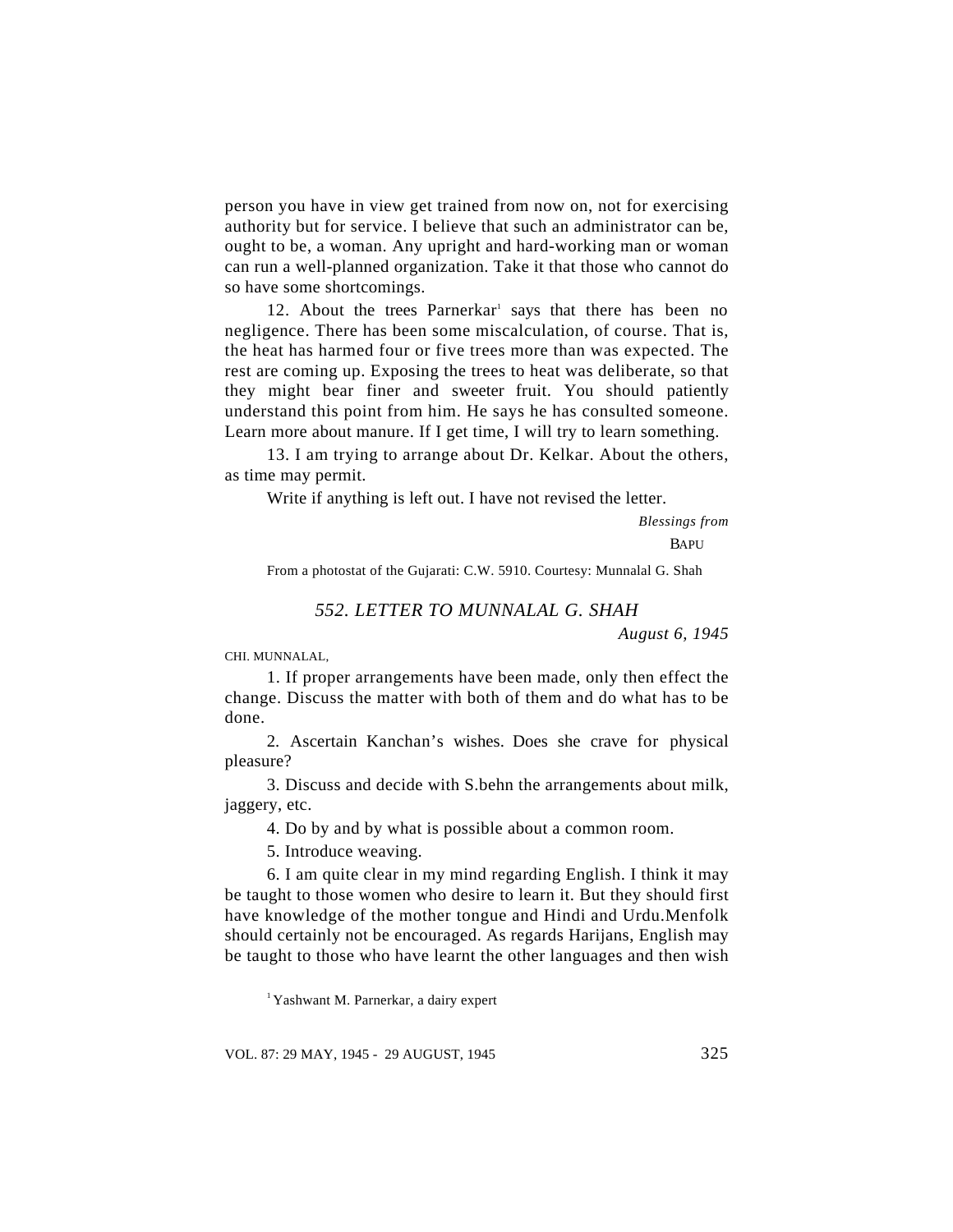person you have in view get trained from now on, not for exercising authority but for service. I believe that such an administrator can be, ought to be, a woman. Any upright and hard-working man or woman can run a well-planned organization. Take it that those who cannot do so have some shortcomings.

12. About the trees Parnerkar<sup>1</sup> says that there has been no negligence. There has been some miscalculation, of course. That is, the heat has harmed four or five trees more than was expected. The rest are coming up. Exposing the trees to heat was deliberate, so that they might bear finer and sweeter fruit. You should patiently understand this point from him. He says he has consulted someone. Learn more about manure. If I get time, I will try to learn something.

13. I am trying to arrange about Dr. Kelkar. About the others, as time may permit.

Write if anything is left out. I have not revised the letter.

*Blessings from*

BAPU

From a photostat of the Gujarati: C.W. 5910. Courtesy: Munnalal G. Shah

#### *552. LETTER TO MUNNALAL G. SHAH*

*August 6, 1945*

CHI. MUNNALAL,

1. If proper arrangements have been made, only then effect the change. Discuss the matter with both of them and do what has to be done.

2. Ascertain Kanchan's wishes. Does she crave for physical pleasure?

3. Discuss and decide with S.behn the arrangements about milk, jaggery, etc.

4. Do by and by what is possible about a common room.

5. Introduce weaving.

6. I am quite clear in my mind regarding English. I think it may be taught to those women who desire to learn it. But they should first have knowledge of the mother tongue and Hindi and Urdu.Menfolk should certainly not be encouraged. As regards Harijans, English may be taught to those who have learnt the other languages and then wish

<sup>1</sup> Yashwant M. Parnerkar, a dairy expert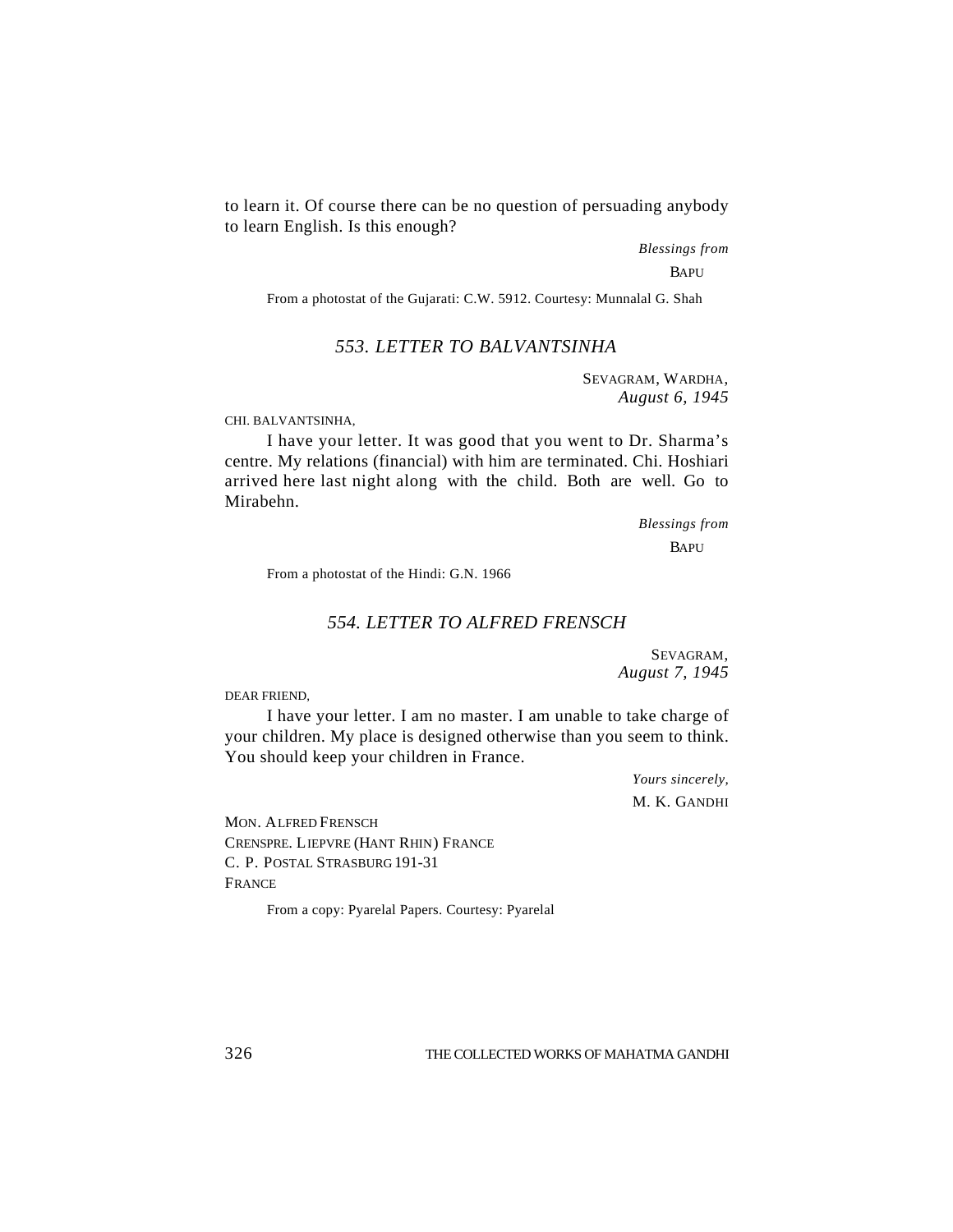to learn it. Of course there can be no question of persuading anybody to learn English. Is this enough?

*Blessings from*

**BAPU** 

From a photostat of the Gujarati: C.W. 5912. Courtesy: Munnalal G. Shah

#### *553. LETTER TO BALVANTSINHA*

SEVAGRAM, WARDHA, *August 6, 1945*

CHI. BALVANTSINHA,

I have your letter. It was good that you went to Dr. Sharma's centre. My relations (financial) with him are terminated. Chi. Hoshiari arrived here last night along with the child. Both are well. Go to Mirabehn.

*Blessings from*

**BAPU** 

From a photostat of the Hindi: G.N. 1966

### *554. LETTER TO ALFRED FRENSCH*

SEVAGRAM, *August 7, 1945*

DEAR FRIEND,

I have your letter. I am no master. I am unable to take charge of your children. My place is designed otherwise than you seem to think. You should keep your children in France.

> *Yours sincerely,* M. K. GANDHI

MON ALFRED FRENSCH CRENSPRE. LIEPVRE (HANT RHIN) FRANCE C. P. POSTAL STRASBURG 191-31 **FRANCE** 

From a copy: Pyarelal Papers. Courtesy: Pyarelal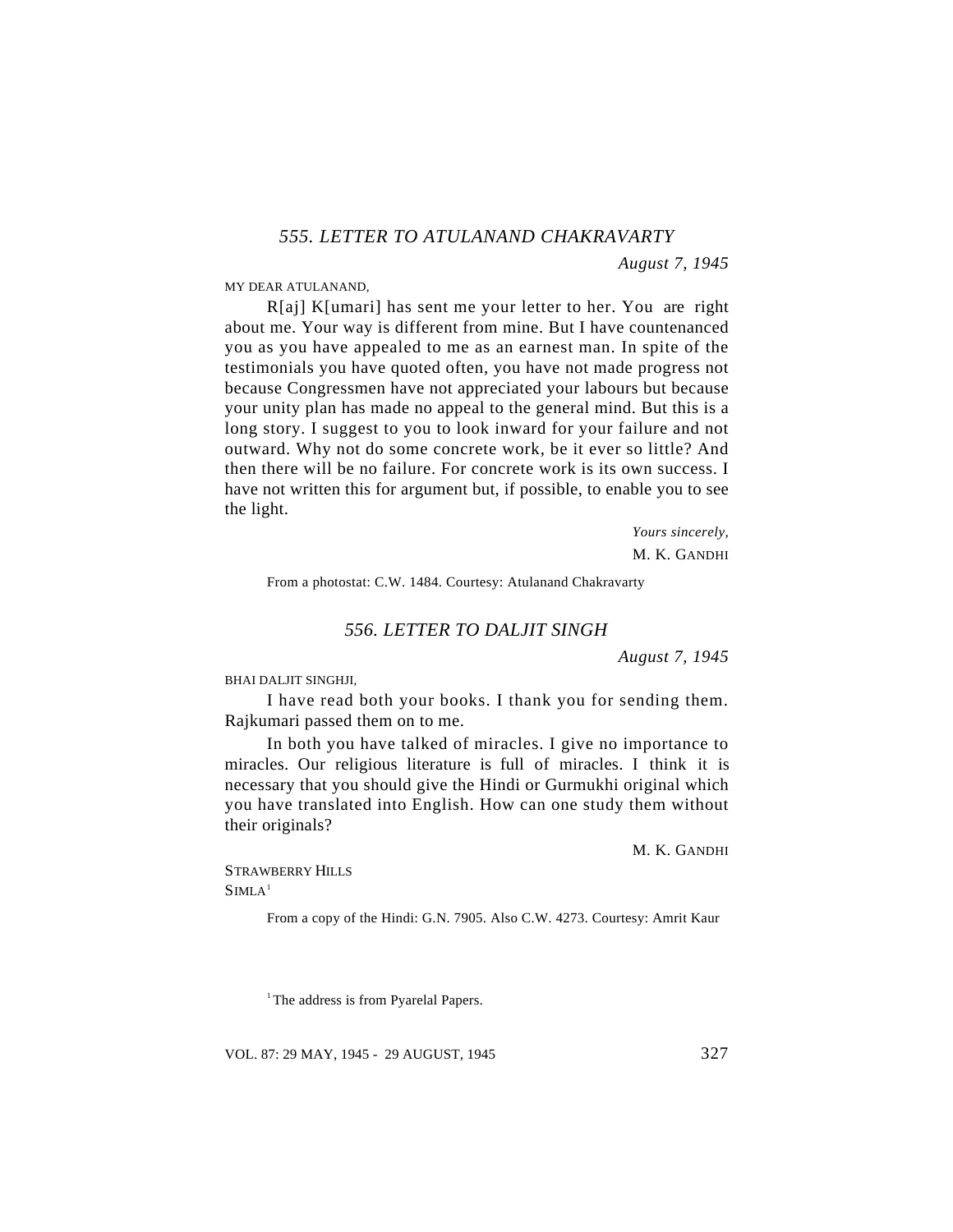*August 7, 1945*

MY DEAR ATULANAND,

R[aj] K[umari] has sent me your letter to her. You are right about me. Your way is different from mine. But I have countenanced you as you have appealed to me as an earnest man. In spite of the testimonials you have quoted often, you have not made progress not because Congressmen have not appreciated your labours but because your unity plan has made no appeal to the general mind. But this is a long story. I suggest to you to look inward for your failure and not outward. Why not do some concrete work, be it ever so little? And then there will be no failure. For concrete work is its own success. I have not written this for argument but, if possible, to enable you to see the light.

> *Yours sincerely,* M. K. GANDHI

From a photostat: C.W. 1484. Courtesy: Atulanand Chakravarty

#### *556. LETTER TO DALJIT SINGH*

*August 7, 1945*

BHAI DALJIT SINGHJI,

I have read both your books. I thank you for sending them. Rajkumari passed them on to me.

In both you have talked of miracles. I give no importance to miracles. Our religious literature is full of miracles. I think it is necessary that you should give the Hindi or Gurmukhi original which you have translated into English. How can one study them without their originals?

M. K. GANDHI

STRAWBERRY HILLS  $SIMIA<sup>1</sup>$ 

From a copy of the Hindi: G.N. 7905. Also C.W. 4273. Courtesy: Amrit Kaur

<sup>1</sup> The address is from Pyarelal Papers.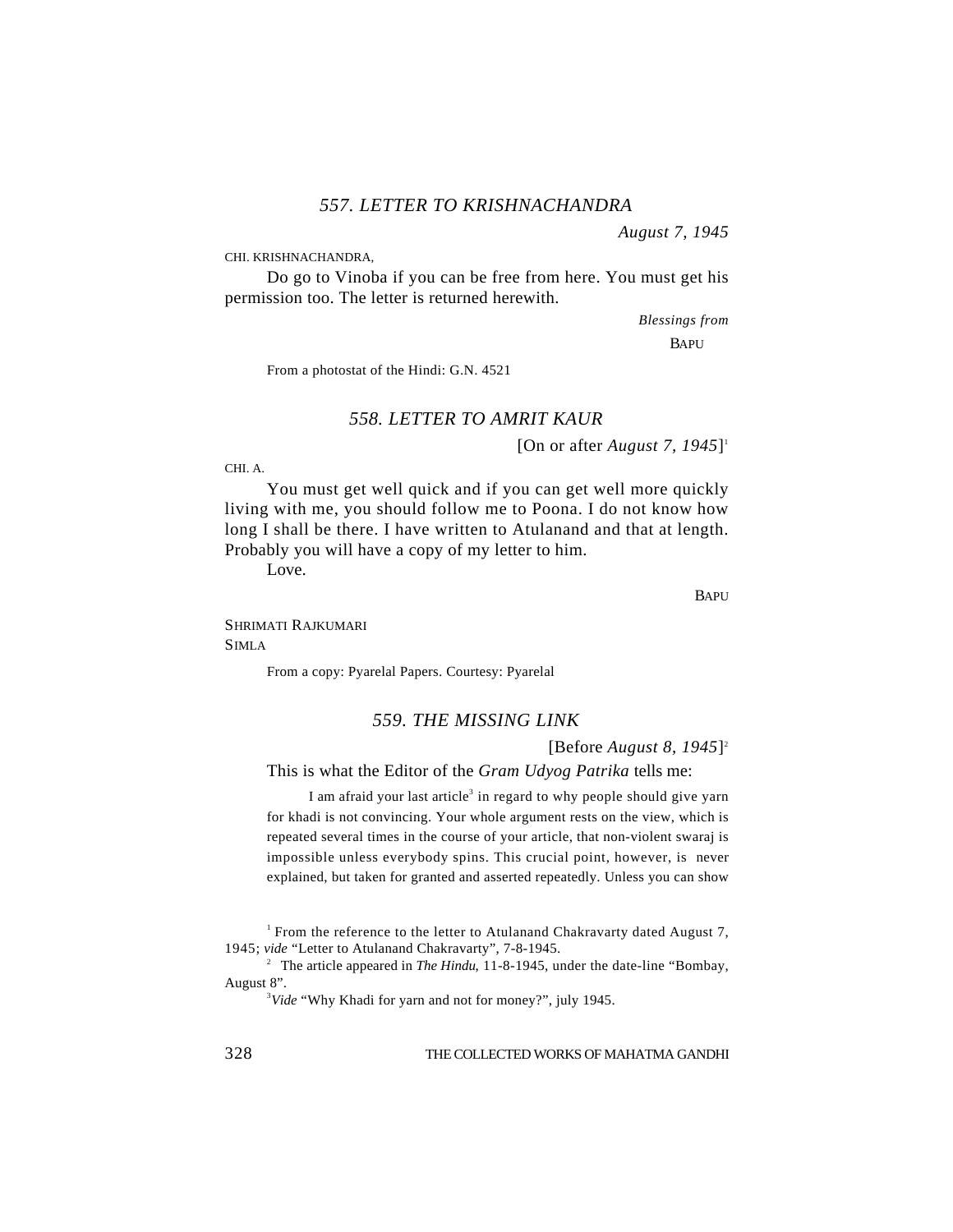*August 7, 1945*

CHI. KRISHNACHANDRA,

Do go to Vinoba if you can be free from here. You must get his permission too. The letter is returned herewith.

> *Blessings from* BAPU

From a photostat of the Hindi: G.N. 4521

## *558. LETTER TO AMRIT KAUR*

[On or after *August 7, 1945*] 1

CHI. A.

You must get well quick and if you can get well more quickly living with me, you should follow me to Poona. I do not know how long I shall be there. I have written to Atulanand and that at length. Probably you will have a copy of my letter to him.

Love.

SHRIMATI RAJKUMARI SIMLA

From a copy: Pyarelal Papers. Courtesy: Pyarelal

#### *559. THE MISSING LINK*

[Before *August 8, 1945*] 2

This is what the Editor of the *Gram Udyog Patrika* tells me:

I am afraid your last article<sup>3</sup> in regard to why people should give yarn for khadi is not convincing. Your whole argument rests on the view, which is repeated several times in the course of your article, that non-violent swaraj is impossible unless everybody spins. This crucial point, however, is never explained, but taken for granted and asserted repeatedly. Unless you can show

<sup>1</sup> From the reference to the letter to Atulanand Chakravarty dated August 7, 1945; *vide* "Letter to Atulanand Chakravarty", 7-8-1945.

<sup>2</sup> The article appeared in *The Hindu*, 11-8-1945, under the date-line "Bombay, August 8".

<sup>3</sup>*Vide* "Why Khadi for yarn and not for money?", july 1945.

**BAPU**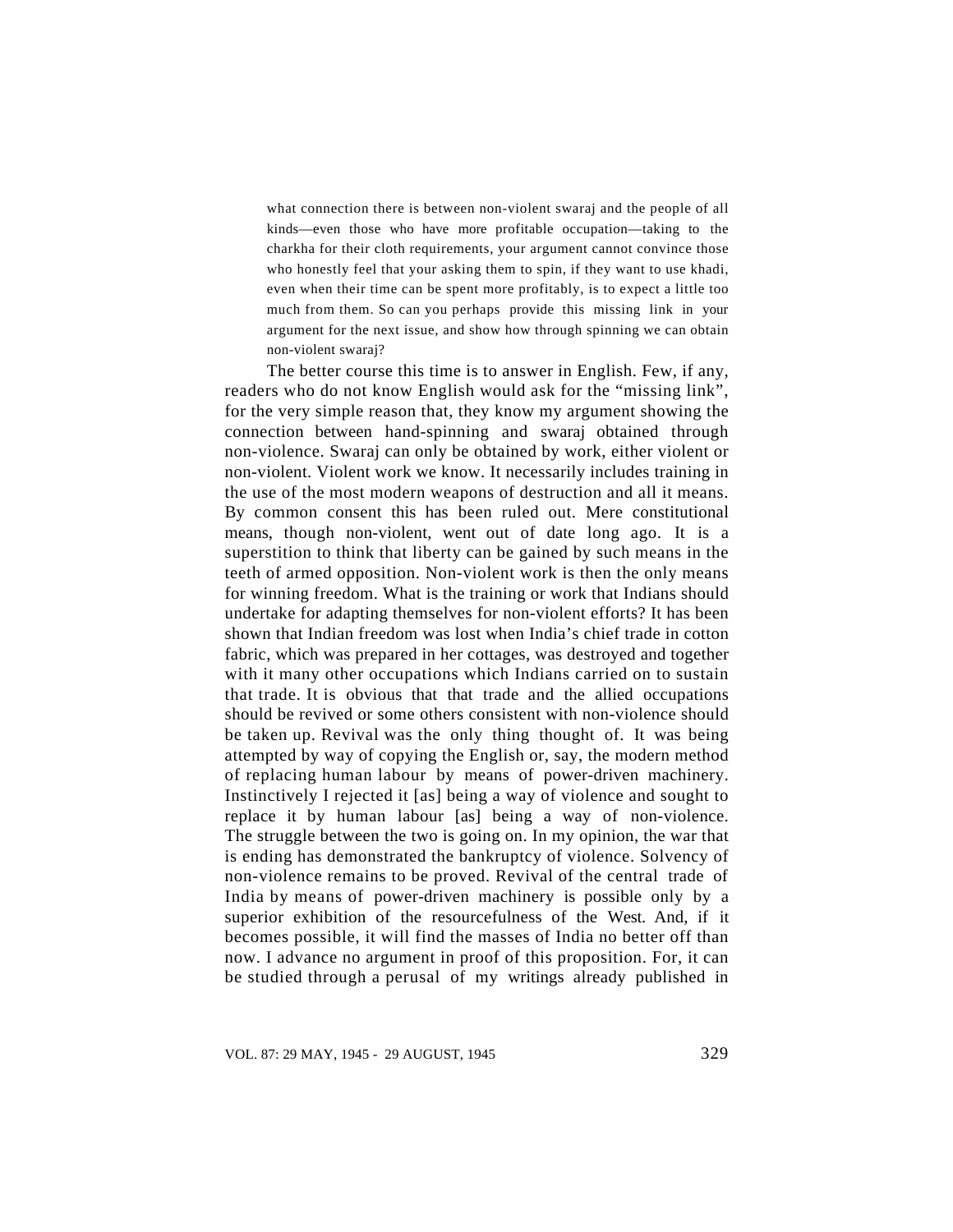what connection there is between non-violent swaraj and the people of all kinds—even those who have more profitable occupation—taking to the charkha for their cloth requirements, your argument cannot convince those who honestly feel that your asking them to spin, if they want to use khadi, even when their time can be spent more profitably, is to expect a little too much from them. So can you perhaps provide this missing link in your argument for the next issue, and show how through spinning we can obtain non-violent swaraj?

The better course this time is to answer in English. Few, if any, readers who do not know English would ask for the "missing link", for the very simple reason that, they know my argument showing the connection between hand-spinning and swaraj obtained through non-violence. Swaraj can only be obtained by work, either violent or non-violent. Violent work we know. It necessarily includes training in the use of the most modern weapons of destruction and all it means. By common consent this has been ruled out. Mere constitutional means, though non-violent, went out of date long ago. It is a superstition to think that liberty can be gained by such means in the teeth of armed opposition. Non-violent work is then the only means for winning freedom. What is the training or work that Indians should undertake for adapting themselves for non-violent efforts? It has been shown that Indian freedom was lost when India's chief trade in cotton fabric, which was prepared in her cottages, was destroyed and together with it many other occupations which Indians carried on to sustain that trade. It is obvious that that trade and the allied occupations should be revived or some others consistent with non-violence should be taken up. Revival was the only thing thought of. It was being attempted by way of copying the English or, say, the modern method of replacing human labour by means of power-driven machinery. Instinctively I rejected it [as] being a way of violence and sought to replace it by human labour [as] being a way of non-violence. The struggle between the two is going on. In my opinion, the war that is ending has demonstrated the bankruptcy of violence. Solvency of non-violence remains to be proved. Revival of the central trade of India by means of power-driven machinery is possible only by a superior exhibition of the resourcefulness of the West. And, if it becomes possible, it will find the masses of India no better off than now. I advance no argument in proof of this proposition. For, it can be studied through a perusal of my writings already published in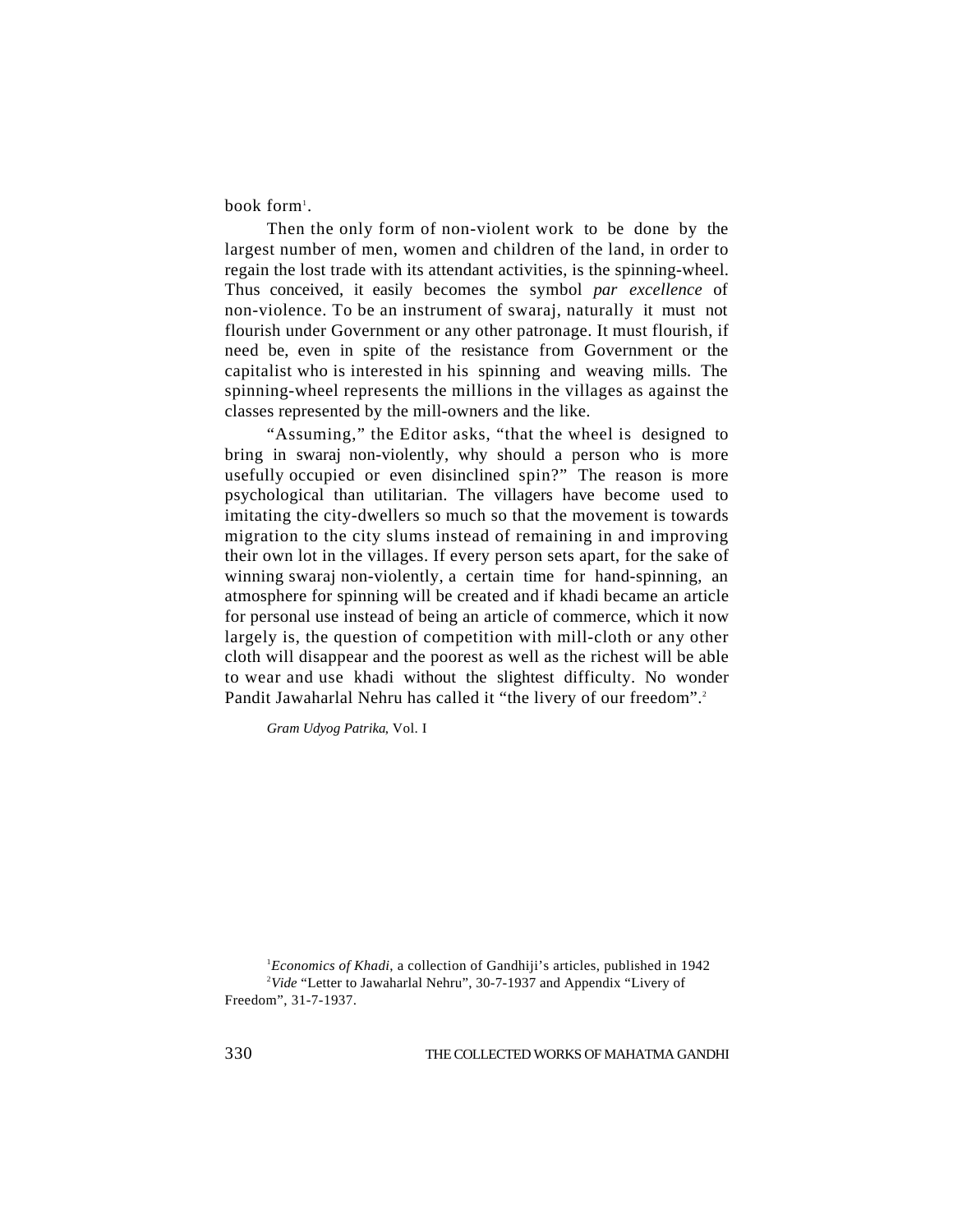book form<sup>1</sup>.

Then the only form of non-violent work to be done by the largest number of men, women and children of the land, in order to regain the lost trade with its attendant activities, is the spinning-wheel. Thus conceived, it easily becomes the symbol *par excellence* of non-violence. To be an instrument of swaraj, naturally it must not flourish under Government or any other patronage. It must flourish, if need be, even in spite of the resistance from Government or the capitalist who is interested in his spinning and weaving mills. The spinning-wheel represents the millions in the villages as against the classes represented by the mill-owners and the like.

"Assuming," the Editor asks, "that the wheel is designed to bring in swaraj non-violently, why should a person who is more usefully occupied or even disinclined spin?" The reason is more psychological than utilitarian. The villagers have become used to imitating the city-dwellers so much so that the movement is towards migration to the city slums instead of remaining in and improving their own lot in the villages. If every person sets apart, for the sake of winning swaraj non-violently, a certain time for hand-spinning, an atmosphere for spinning will be created and if khadi became an article for personal use instead of being an article of commerce, which it now largely is, the question of competition with mill-cloth or any other cloth will disappear and the poorest as well as the richest will be able to wear and use khadi without the slightest difficulty. No wonder Pandit Jawaharlal Nehru has called it "the livery of our freedom".<sup>2</sup>

*Gram Udyog Patrika*, Vol. I

<sup>1</sup>*Economics of Khadi*, a collection of Gandhiji's articles, published in 1942 <sup>2</sup>Vide "Letter to Jawaharlal Nehru", 30-7-1937 and Appendix "Livery of Freedom", 31-7-1937.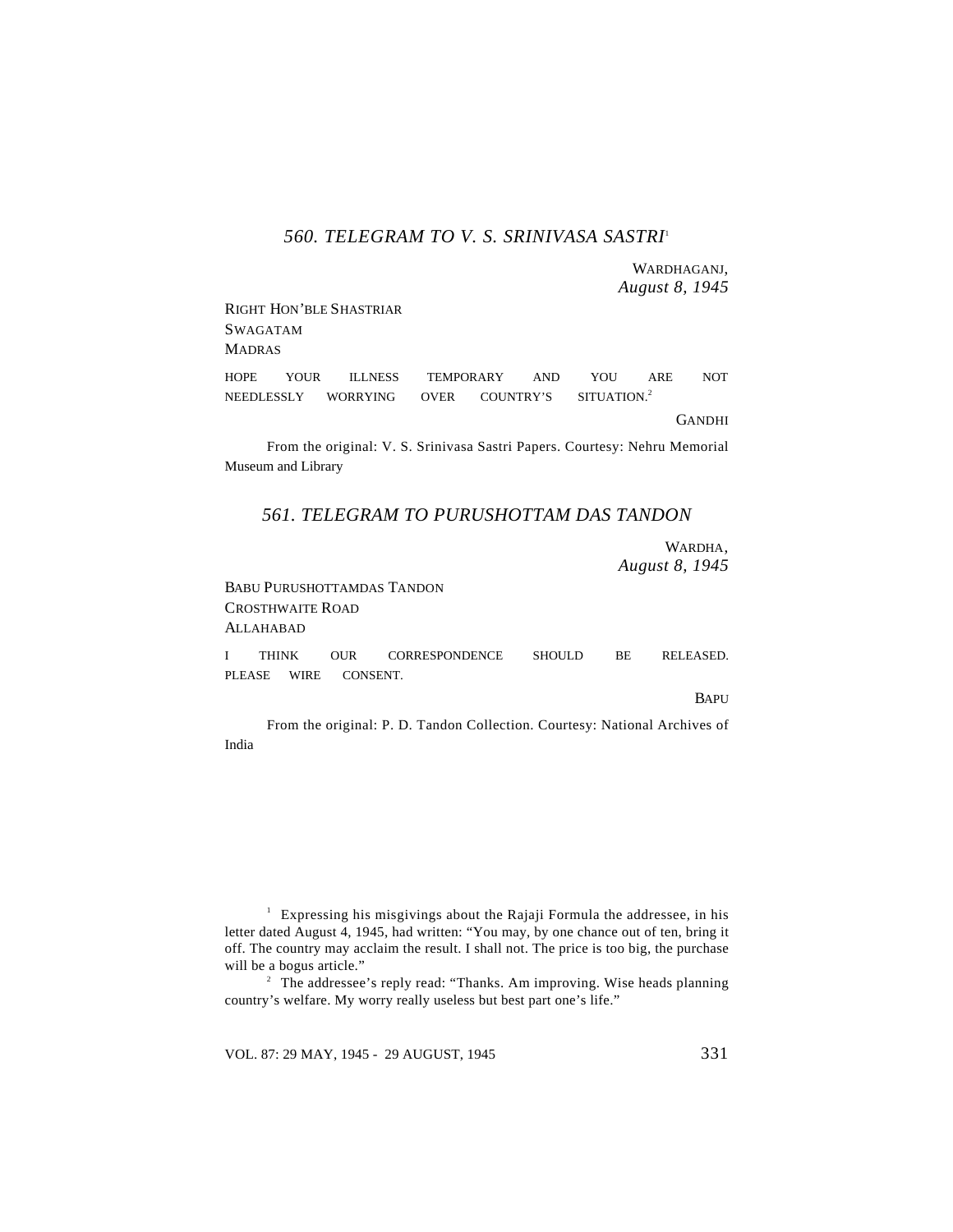#### *560. TELEGRAM TO V. S. SRINIVASA SASTRI*<sup>1</sup>

WARDHAGANJ, *August 8, 1945*

RIGHT HON'BLE SHASTRIAR SWAGATAM MADRAS

HOPE YOUR ILLNESS TEMPORARY AND YOU ARE NOT NEEDLESSLY WORRYING OVER COUNTRY'S SITUATION.<sup>2</sup>

**GANDHI** 

From the original: V. S. Srinivasa Sastri Papers. Courtesy: Nehru Memorial Museum and Library

#### *561. TELEGRAM TO PURUSHOTTAM DAS TANDON*

**WARDHA** *August 8, 1945*

BABU PURUSHOTTAMDAS TANDON CROSTHWAITE ROAD ALLAHABAD

I THINK OUR CORRESPONDENCE SHOULD BE RELEASED. PLEASE WIRE CONSENT.

**BAPU** 

From the original: P. D. Tandon Collection. Courtesy: National Archives of India

 $1$  Expressing his misgivings about the Rajaji Formula the addressee, in his letter dated August 4, 1945, had written: "You may, by one chance out of ten, bring it off. The country may acclaim the result. I shall not. The price is too big, the purchase will be a bogus article."

<sup>2</sup> The addressee's reply read: "Thanks. Am improving. Wise heads planning country's welfare. My worry really useless but best part one's life."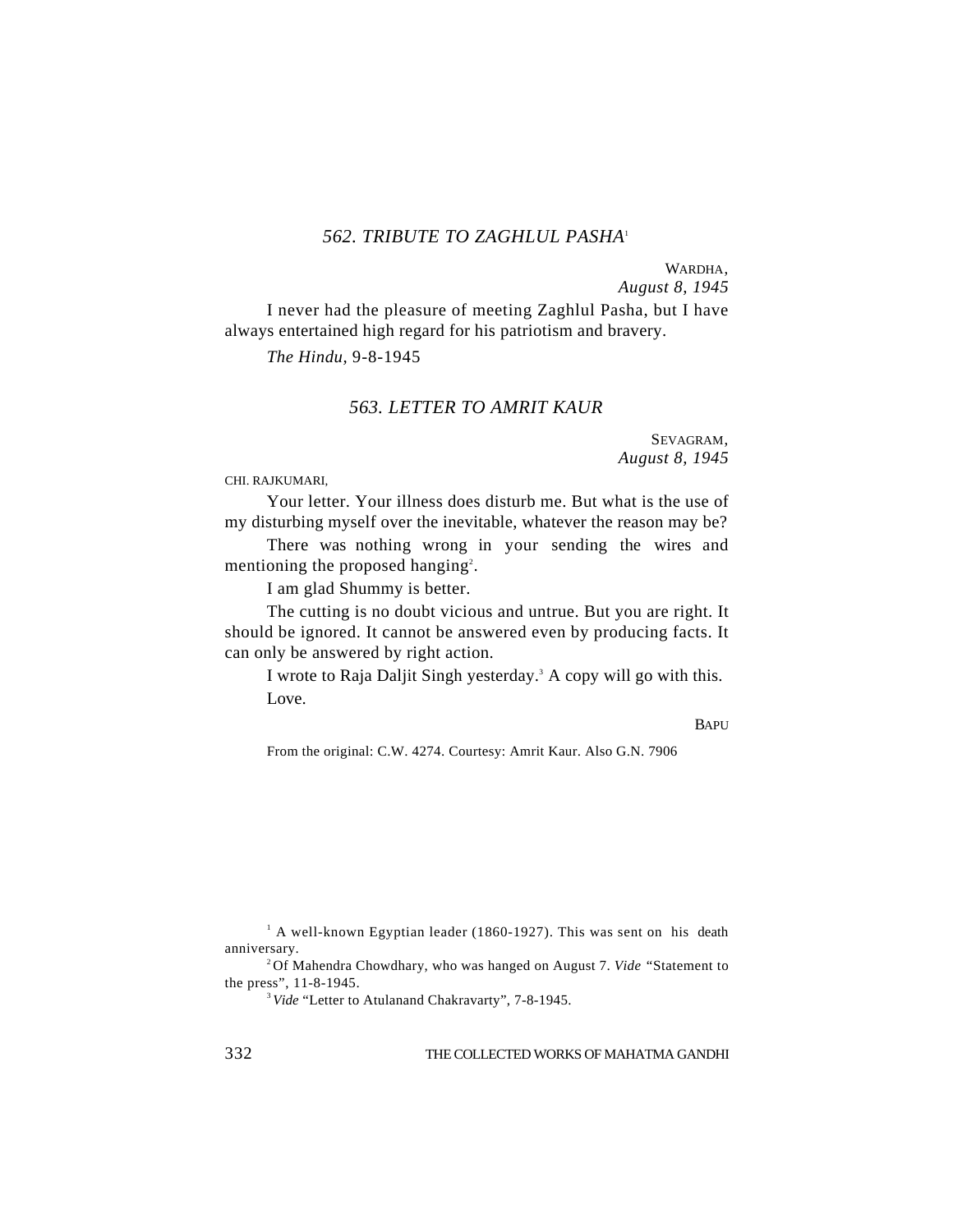## *562. TRIBUTE TO ZAGHLUL PASHA*<sup>1</sup>

WARDHA, *August 8, 1945*

I never had the pleasure of meeting Zaghlul Pasha, but I have always entertained high regard for his patriotism and bravery.

*The Hindu,* 9-8-1945

## *563. LETTER TO AMRIT KAUR*

SEVAGRAM, *August 8, 1945*

CHI. RAJKUMARI,

Your letter. Your illness does disturb me. But what is the use of my disturbing myself over the inevitable, whatever the reason may be?

There was nothing wrong in your sending the wires and mentioning the proposed hanging<sup>2</sup>.

I am glad Shummy is better.

The cutting is no doubt vicious and untrue. But you are right. It should be ignored. It cannot be answered even by producing facts. It can only be answered by right action.

I wrote to Raja Daljit Singh yesterday.<sup>3</sup> A copy will go with this. Love.

**BAPU** 

From the original: C.W. 4274. Courtesy: Amrit Kaur. Also G.N. 7906

 $<sup>1</sup>$  A well-known Egyptian leader (1860-1927). This was sent on his death</sup> anniversary.

<sup>2</sup>Of Mahendra Chowdhary, who was hanged on August 7. *Vide* "Statement to the press", 11-8-1945.

<sup>3</sup>*Vide* "Letter to Atulanand Chakravarty", 7-8-1945.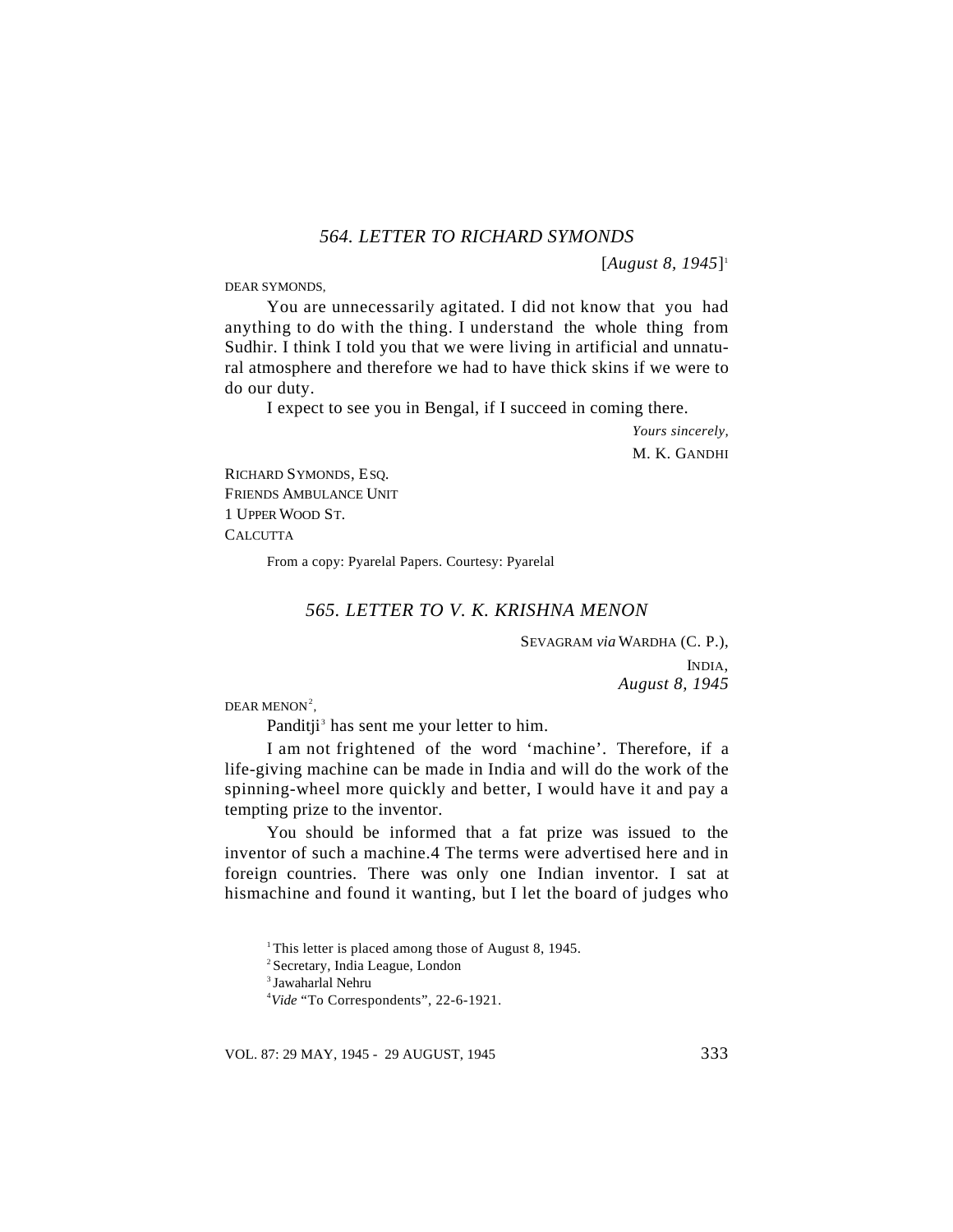#### *564. LETTER TO RICHARD SYMONDS*

[*August 8, 1945*] 1

DEAR SYMONDS,

You are unnecessarily agitated. I did not know that you had anything to do with the thing. I understand the whole thing from Sudhir. I think I told you that we were living in artificial and unnatural atmosphere and therefore we had to have thick skins if we were to do our duty.

I expect to see you in Bengal, if I succeed in coming there.

*Yours sincerely,* M. K. GANDHI

RICHARD SYMONDS, ESQ. FRIENDS AMBULANCE UNIT 1 UPPER WOOD ST. **CALCUTTA** 

From a copy: Pyarelal Papers. Courtesy: Pyarelal

## *565. LETTER TO V. K. KRISHNA MENON*

SEVAGRAM *via* WARDHA (C. P.), INDIA, *August 8, 1945*

DEAR MENON<sup>2</sup>,

Panditji<sup>3</sup> has sent me your letter to him.

I am not frightened of the word 'machine'. Therefore, if a life-giving machine can be made in India and will do the work of the spinning-wheel more quickly and better, I would have it and pay a tempting prize to the inventor.

You should be informed that a fat prize was issued to the inventor of such a machine.4 The terms were advertised here and in foreign countries. There was only one Indian inventor. I sat at hismachine and found it wanting, but I let the board of judges who

<sup>1</sup>This letter is placed among those of August 8, 1945.

<sup>2</sup> Secretary, India League, London

<sup>3</sup> Jawaharlal Nehru

<sup>4</sup>*Vide* "To Correspondents", 22-6-1921.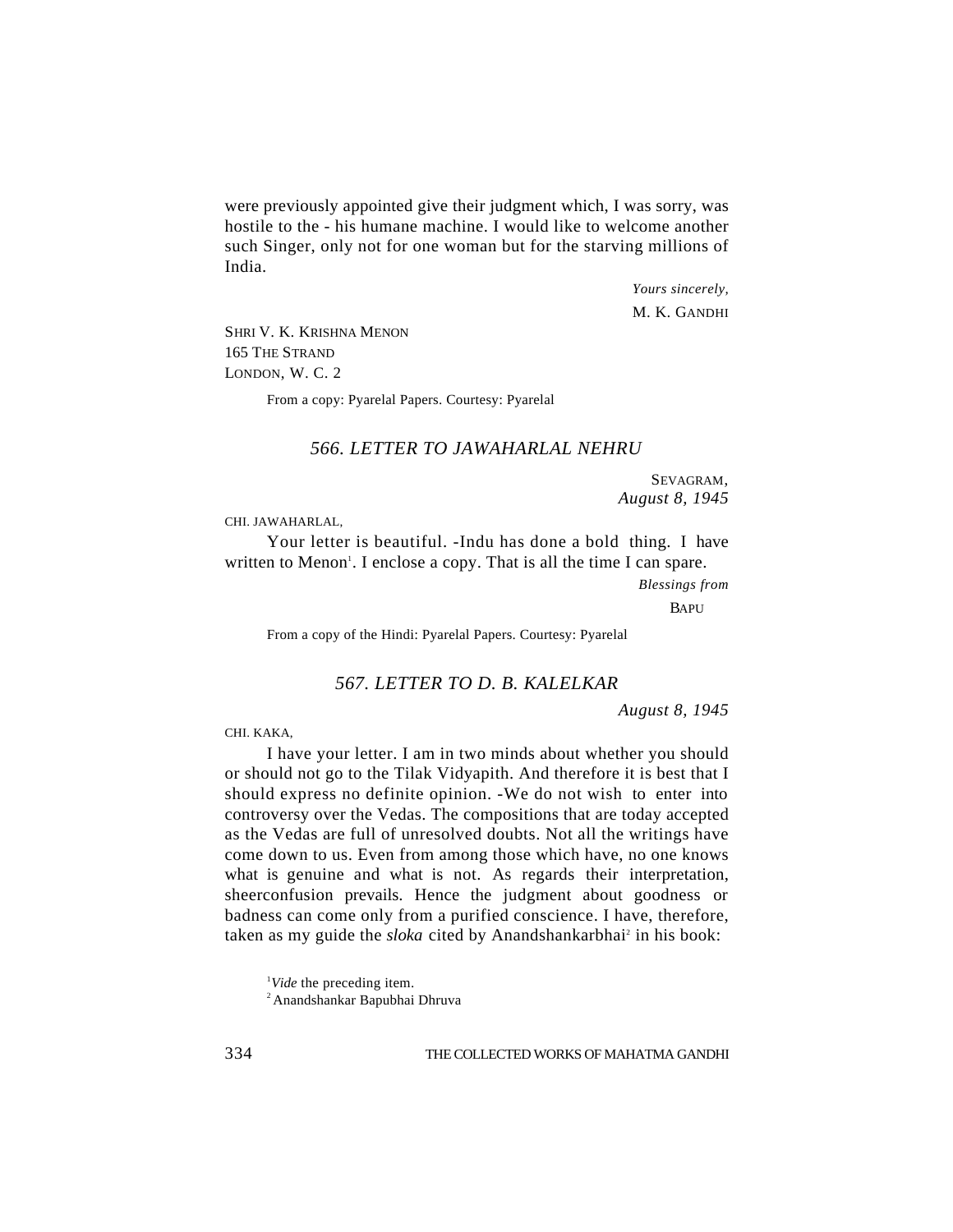were previously appointed give their judgment which, I was sorry, was hostile to the - his humane machine. I would like to welcome another such Singer, only not for one woman but for the starving millions of India.

> *Yours sincerely,* M. K. GANDHI

SHRI V. K. KRISHNA MENON 165 THE STRAND LONDON, W. C. 2

From a copy: Pyarelal Papers. Courtesy: Pyarelal

### *566. LETTER TO JAWAHARLAL NEHRU*

SEVAGRAM, *August 8, 1945*

CHI. JAWAHARLAL,

Your letter is beautiful. -Indu has done a bold thing. I have written to Menon<sup>1</sup>. I enclose a copy. That is all the time I can spare.

*Blessings from*

**BAPU** 

From a copy of the Hindi: Pyarelal Papers. Courtesy: Pyarelal

#### *567. LETTER TO D. B. KALELKAR*

*August 8, 1945*

CHI. KAKA,

I have your letter. I am in two minds about whether you should or should not go to the Tilak Vidyapith. And therefore it is best that I should express no definite opinion. -We do not wish to enter into controversy over the Vedas. The compositions that are today accepted as the Vedas are full of unresolved doubts. Not all the writings have come down to us. Even from among those which have, no one knows what is genuine and what is not. As regards their interpretation, sheerconfusion prevails. Hence the judgment about goodness or badness can come only from a purified conscience. I have, therefore, taken as my guide the *sloka* cited by Anandshankarbhai<sup>2</sup> in his book:

<sup>1</sup>*Vide* the preceding item.

2 Anandshankar Bapubhai Dhruva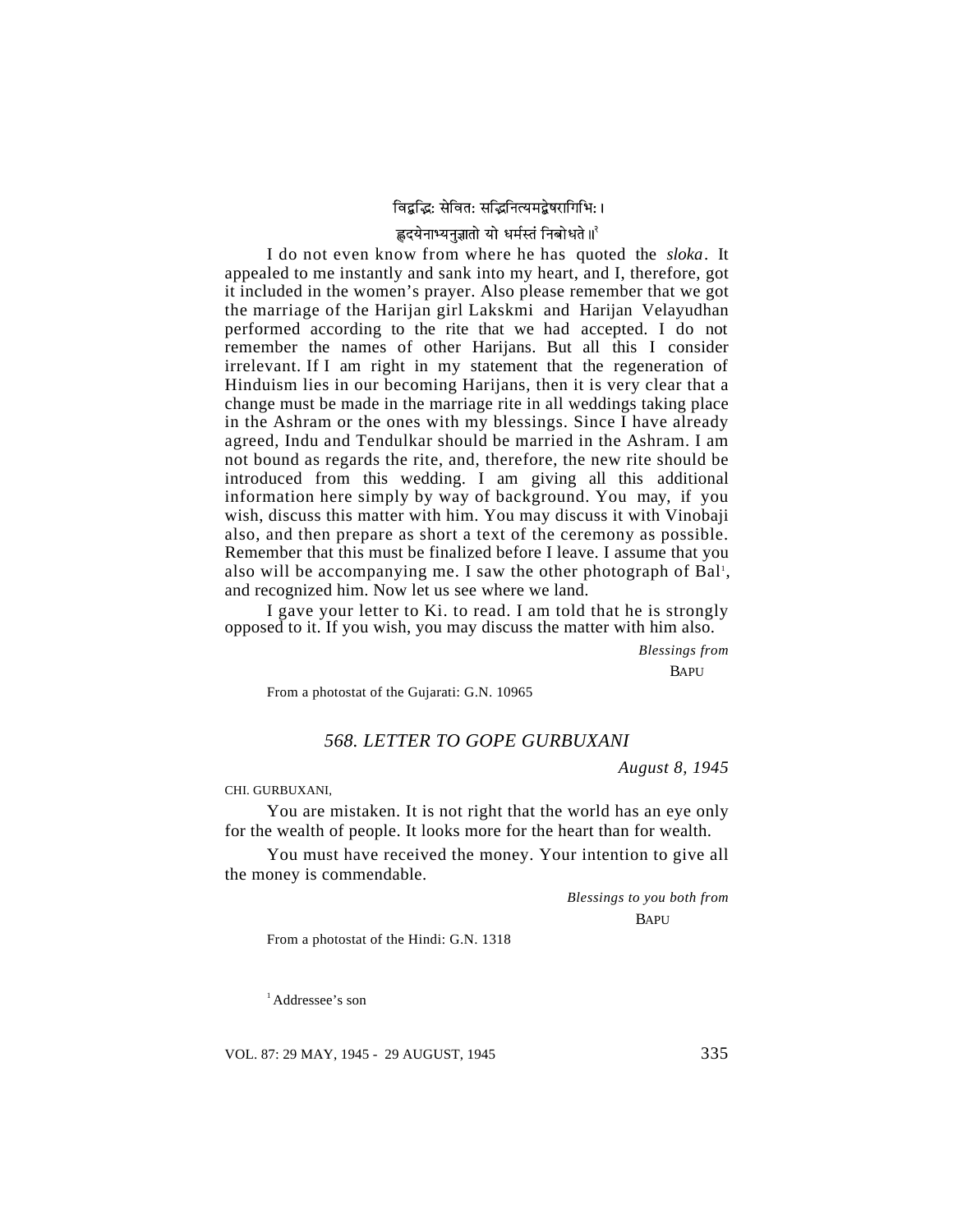## विद्बद्धिः सेवितः सद्भिनित्यमद्वेषरागिभिः ।

## ह्लदयेनाभ्यनुज्ञातो यो धर्मस्तं निबोधते ॥ $^8$

I do not even know from where he has quoted the *sloka*. It appealed to me instantly and sank into my heart, and I, therefore, got it included in the women's prayer. Also please remember that we got the marriage of the Harijan girl Lakskmi and Harijan Velayudhan performed according to the rite that we had accepted. I do not remember the names of other Harijans. But all this I consider irrelevant. If I am right in my statement that the regeneration of Hinduism lies in our becoming Harijans, then it is very clear that a change must be made in the marriage rite in all weddings taking place in the Ashram or the ones with my blessings. Since I have already agreed, Indu and Tendulkar should be married in the Ashram. I am not bound as regards the rite, and, therefore, the new rite should be introduced from this wedding. I am giving all this additional information here simply by way of background. You may, if you wish, discuss this matter with him. You may discuss it with Vinobaji also, and then prepare as short a text of the ceremony as possible. Remember that this must be finalized before I leave. I assume that you also will be accompanying me. I saw the other photograph of Bal<sup>1</sup>, and recognized him. Now let us see where we land.

I gave your letter to Ki. to read. I am told that he is strongly opposed to it. If you wish, you may discuss the matter with him also.

*Blessings from*

**BAPU** 

From a photostat of the Gujarati: G.N. 10965

## *568. LETTER TO GOPE GURBUXANI*

*August 8, 1945*

CHI. GURBUXANI,

You are mistaken. It is not right that the world has an eye only for the wealth of people. It looks more for the heart than for wealth.

You must have received the money. Your intention to give all the money is commendable.

> *Blessings to you both from* **BAPU**

From a photostat of the Hindi: G.N. 1318

<sup>1</sup> Addressee's son

VOL. 87: 29 MAY, 1945 - 29 AUGUST, 1945 335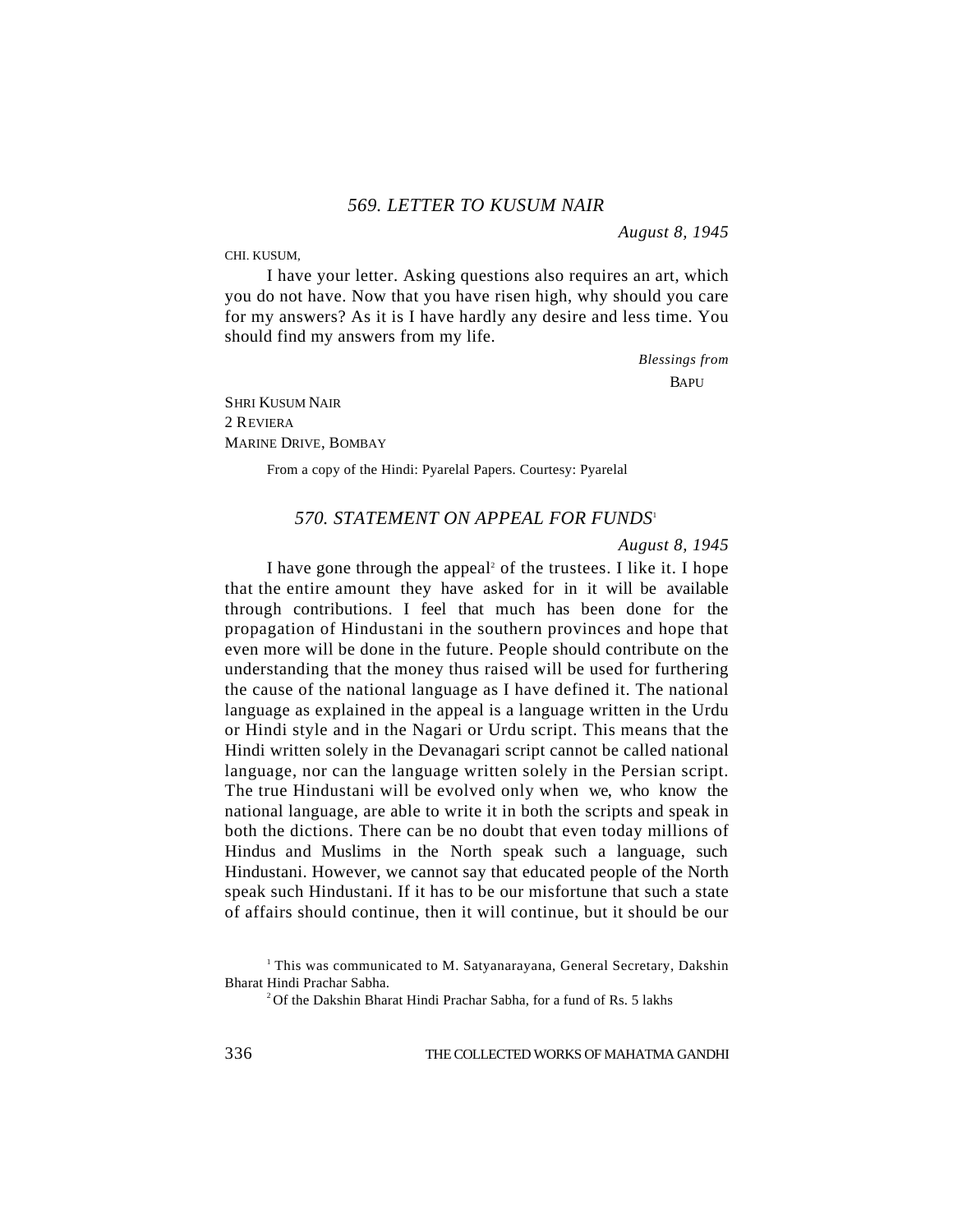*August 8, 1945*

#### CHI. KUSUM,

I have your letter. Asking questions also requires an art, which you do not have. Now that you have risen high, why should you care for my answers? As it is I have hardly any desire and less time. You should find my answers from my life.

> *Blessings from* **BAPU**

SHRI KUSUM NAIR 2 REVIERA MARINE DRIVE, BOMBAY

From a copy of the Hindi: Pyarelal Papers. Courtesy: Pyarelal

#### *570. STATEMENT ON APPEAL FOR FUNDS*<sup>1</sup>

*August 8, 1945*

I have gone through the appeal<sup>2</sup> of the trustees. I like it. I hope that the entire amount they have asked for in it will be available through contributions. I feel that much has been done for the propagation of Hindustani in the southern provinces and hope that even more will be done in the future. People should contribute on the understanding that the money thus raised will be used for furthering the cause of the national language as I have defined it. The national language as explained in the appeal is a language written in the Urdu or Hindi style and in the Nagari or Urdu script. This means that the Hindi written solely in the Devanagari script cannot be called national language, nor can the language written solely in the Persian script. The true Hindustani will be evolved only when we, who know the national language, are able to write it in both the scripts and speak in both the dictions. There can be no doubt that even today millions of Hindus and Muslims in the North speak such a language, such Hindustani. However, we cannot say that educated people of the North speak such Hindustani. If it has to be our misfortune that such a state of affairs should continue, then it will continue, but it should be our

<sup>&</sup>lt;sup>1</sup> This was communicated to M. Satyanarayana, General Secretary, Dakshin Bharat Hindi Prachar Sabha.

<sup>&</sup>lt;sup>2</sup> Of the Dakshin Bharat Hindi Prachar Sabha, for a fund of Rs. 5 lakhs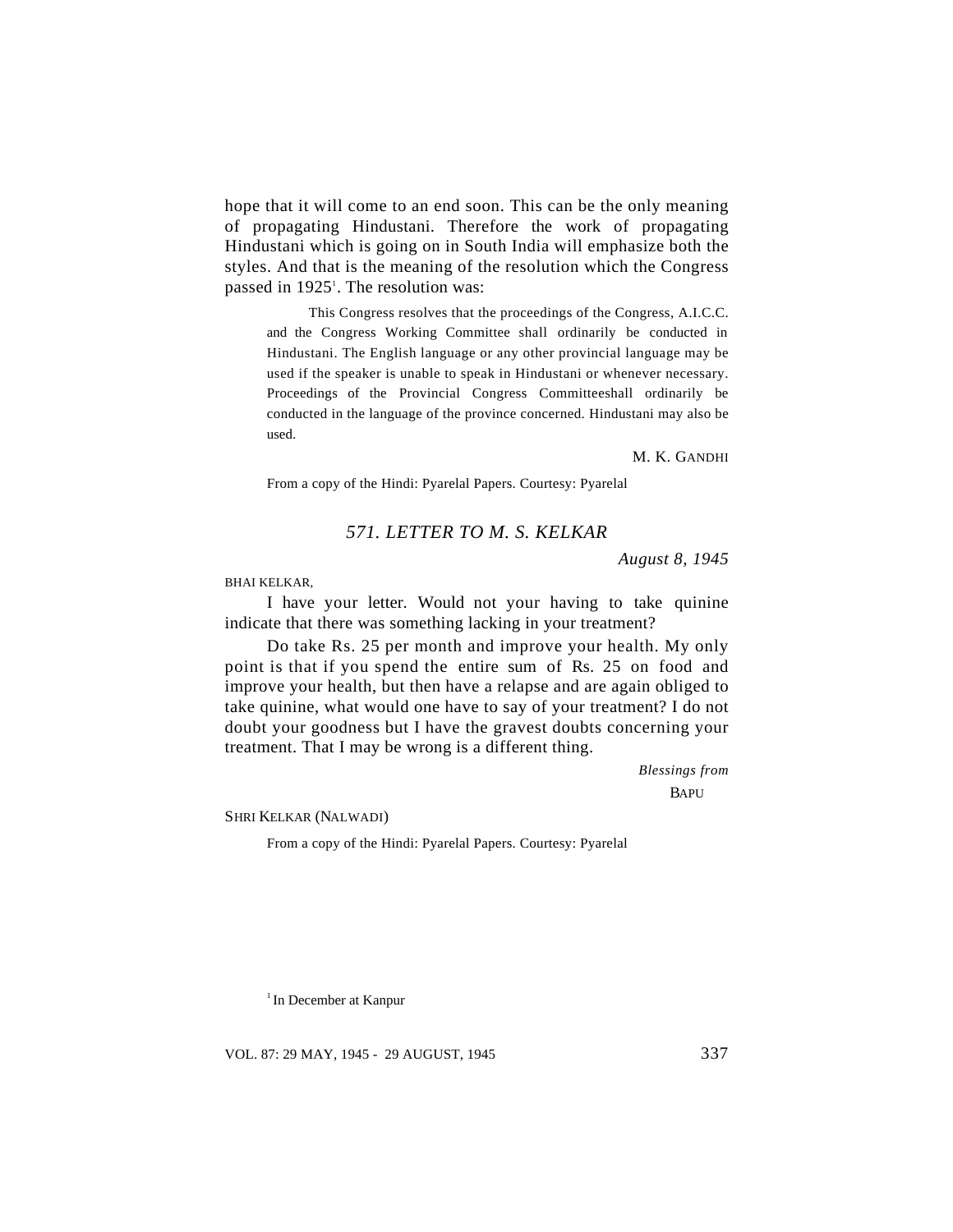hope that it will come to an end soon. This can be the only meaning of propagating Hindustani. Therefore the work of propagating Hindustani which is going on in South India will emphasize both the styles. And that is the meaning of the resolution which the Congress passed in 1925<sup>1</sup>. The resolution was:

This Congress resolves that the proceedings of the Congress, A.I.C.C. and the Congress Working Committee shall ordinarily be conducted in Hindustani. The English language or any other provincial language may be used if the speaker is unable to speak in Hindustani or whenever necessary. Proceedings of the Provincial Congress Committeeshall ordinarily be conducted in the language of the province concerned. Hindustani may also be used.

M. K. GANDHI

From a copy of the Hindi: Pyarelal Papers. Courtesy: Pyarelal

## *571. LETTER TO M. S. KELKAR*

*August 8, 1945*

BHAI KELKAR,

I have your letter. Would not your having to take quinine indicate that there was something lacking in your treatment?

Do take Rs. 25 per month and improve your health. My only point is that if you spend the entire sum of Rs. 25 on food and improve your health, but then have a relapse and are again obliged to take quinine, what would one have to say of your treatment? I do not doubt your goodness but I have the gravest doubts concerning your treatment. That I may be wrong is a different thing.

*Blessings from*

**BAPU** 

SHRI KELKAR (NALWADI)

From a copy of the Hindi: Pyarelal Papers. Courtesy: Pyarelal

<sup>1</sup> In December at Kanpur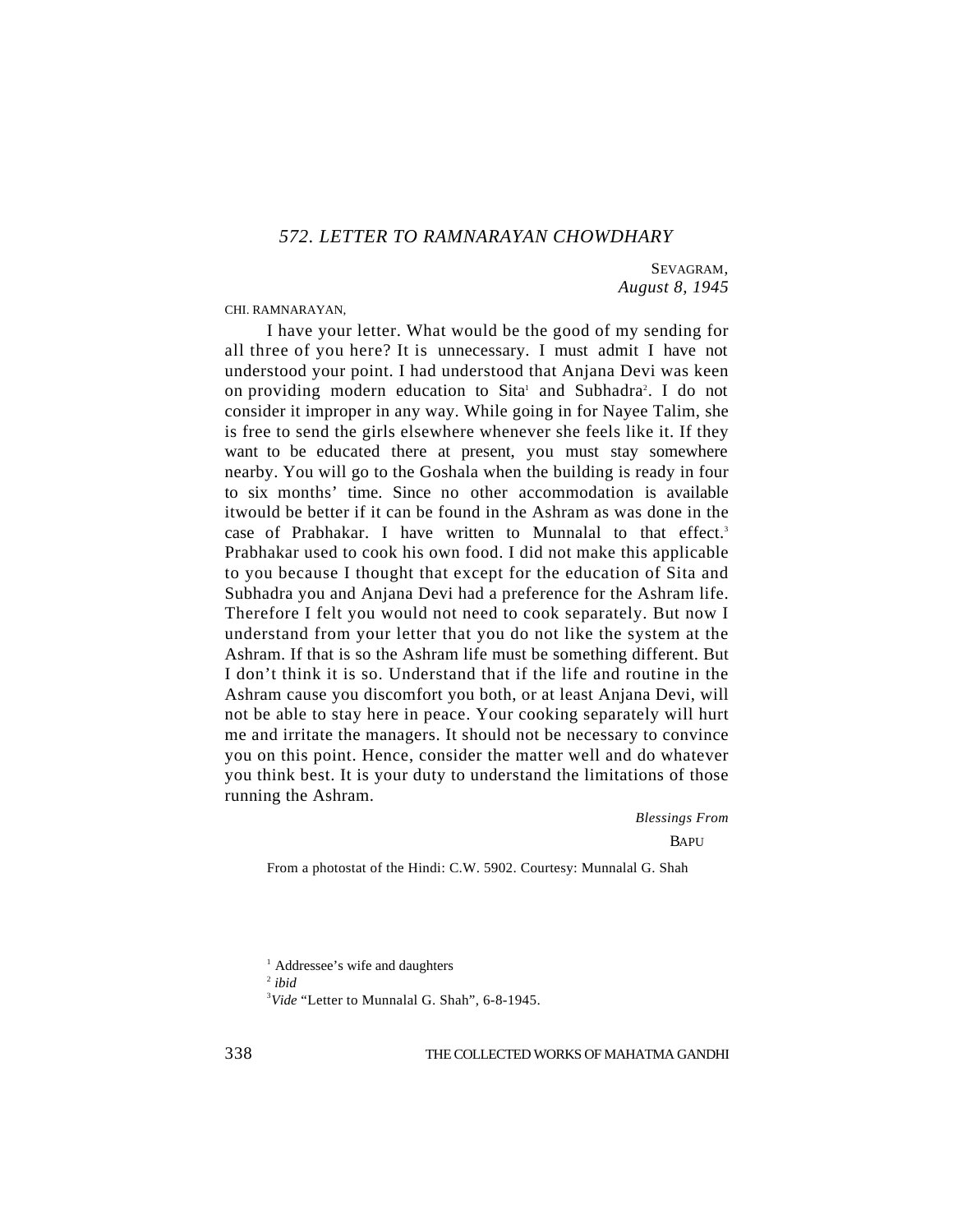SEVAGRAM, *August 8, 1945*

#### CHI. RAMNARAYAN,

I have your letter. What would be the good of my sending for all three of you here? It is unnecessary. I must admit I have not understood your point. I had understood that Anjana Devi was keen on providing modern education to Sita<sup>1</sup> and Subhadra<sup>2</sup>. I do not consider it improper in any way. While going in for Nayee Talim, she is free to send the girls elsewhere whenever she feels like it. If they want to be educated there at present, you must stay somewhere nearby. You will go to the Goshala when the building is ready in four to six months' time. Since no other accommodation is available itwould be better if it can be found in the Ashram as was done in the case of Prabhakar. I have written to Munnalal to that effect.<sup>3</sup> Prabhakar used to cook his own food. I did not make this applicable to you because I thought that except for the education of Sita and Subhadra you and Anjana Devi had a preference for the Ashram life. Therefore I felt you would not need to cook separately. But now I understand from your letter that you do not like the system at the Ashram. If that is so the Ashram life must be something different. But I don't think it is so. Understand that if the life and routine in the Ashram cause you discomfort you both, or at least Anjana Devi, will not be able to stay here in peace. Your cooking separately will hurt me and irritate the managers. It should not be necessary to convince you on this point. Hence, consider the matter well and do whatever you think best. It is your duty to understand the limitations of those running the Ashram.

*Blessings From*

**BAPU** 

From a photostat of the Hindi: C.W. 5902. Courtesy: Munnalal G. Shah

<sup>1</sup> Addressee's wife and daughters

2 *ibid*

<sup>3</sup>*Vide* "Letter to Munnalal G. Shah", 6-8-1945.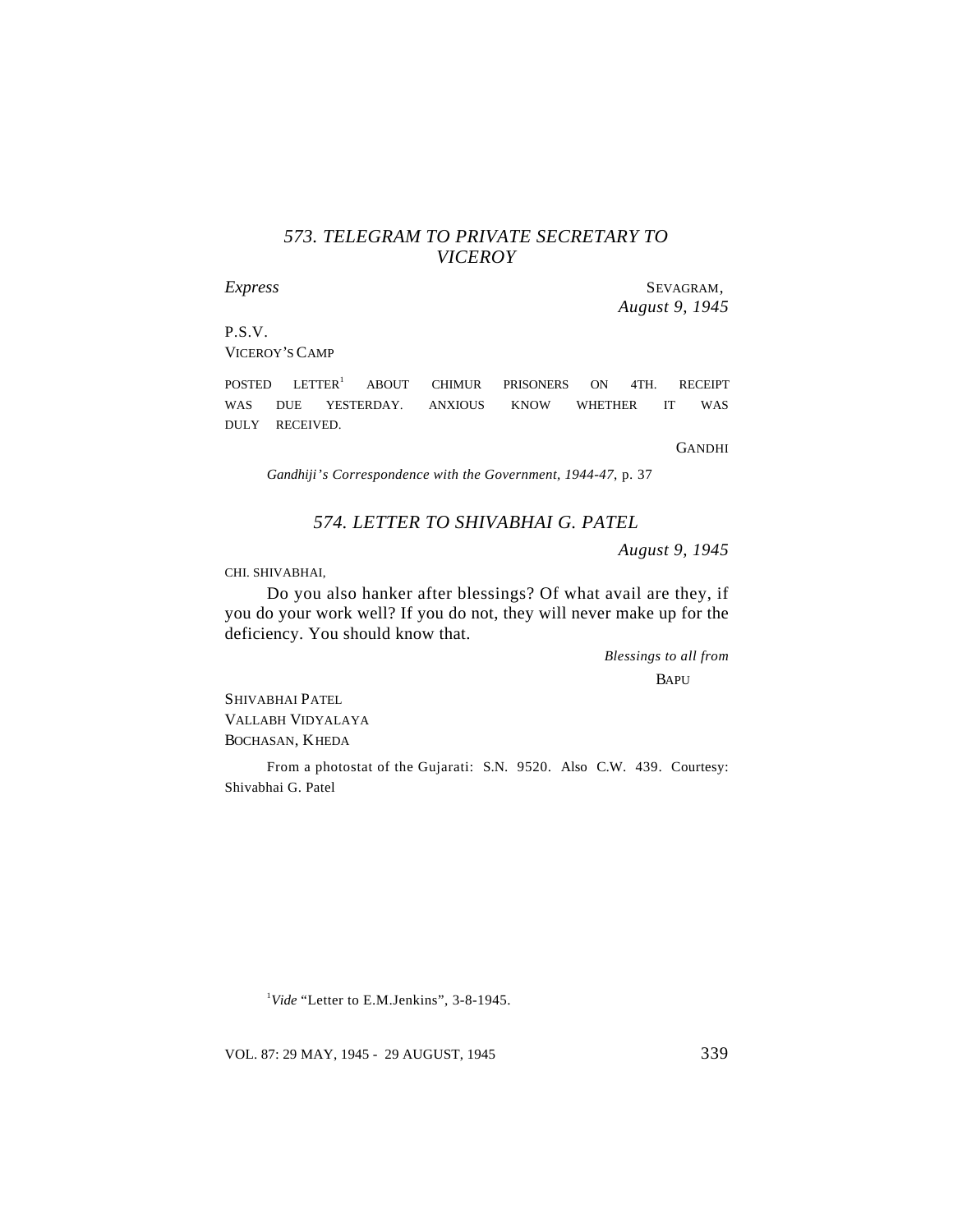# *573. TELEGRAM TO PRIVATE SECRETARY TO VICEROY*

*Express* SEVAGRAM, *August 9, 1945*

P.S.V. VICEROY'S CAMP

POSTED LETTER<sup>1</sup> ABOUT CHIMUR PRISONERS ON 4TH. RECEIPT WAS DUE YESTERDAY. ANXIOUS KNOW WHETHER IT WAS DULY RECEIVED.

GANDHI

*Gandhiji*'*s Correspondence with the Government, 1944-47*, p. 37

#### *574. LETTER TO SHIVABHAI G. PATEL*

*August 9, 1945*

CHI. SHIVABHAI,

Do you also hanker after blessings? Of what avail are they, if you do your work well? If you do not, they will never make up for the deficiency. You should know that.

> *Blessings to all from* BAPU

SHIVABHAI PATEL VALLABH VIDYALAYA BOCHASAN, KHEDA

From a photostat of the Gujarati: S.N. 9520. Also C.W. 439. Courtesy: Shivabhai G. Patel

<sup>1</sup>Vide "Letter to E.M.Jenkins", 3-8-1945.

VOL. 87: 29 MAY, 1945 - 29 AUGUST, 1945 339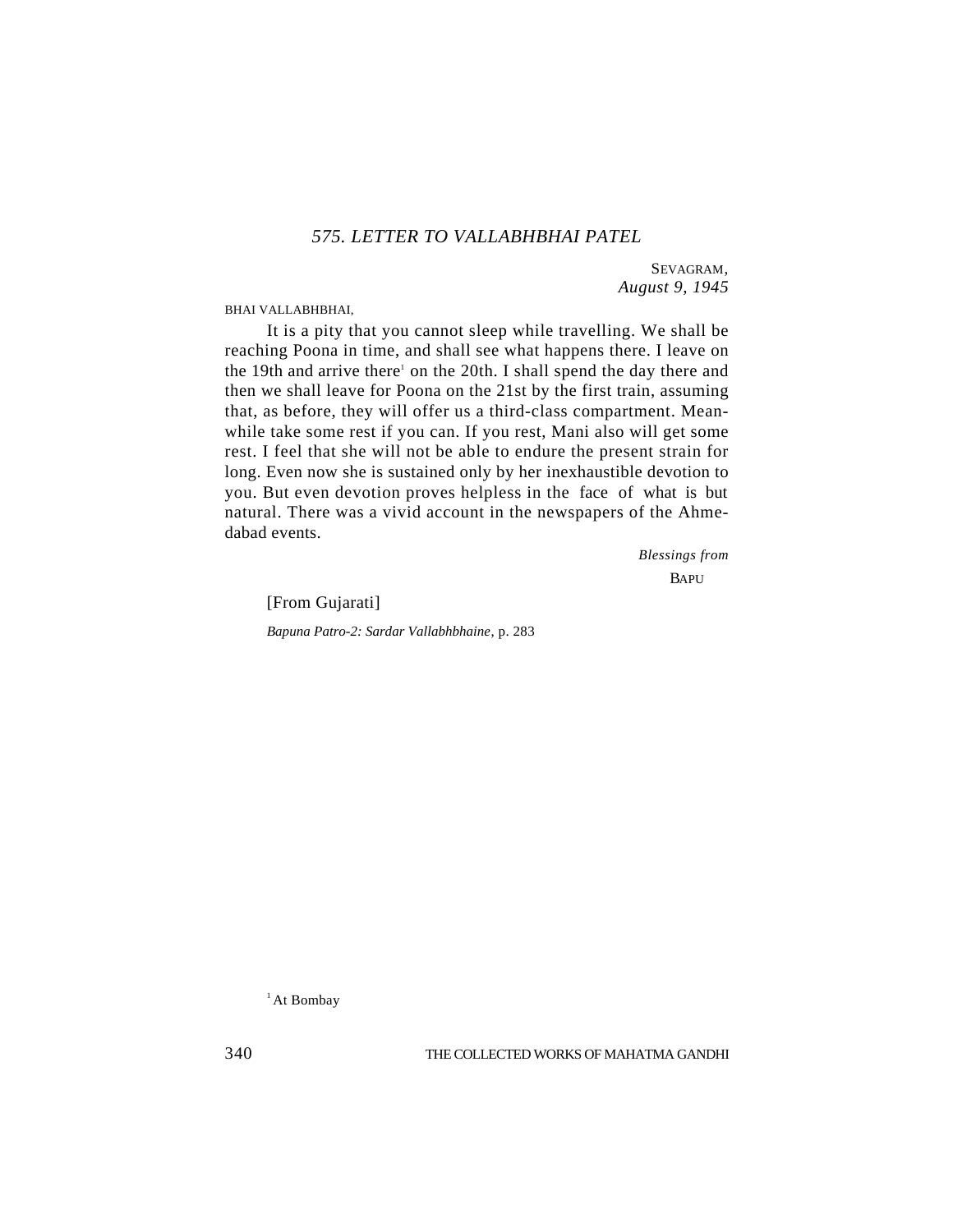## *575. LETTER TO VALLABHBHAI PATEL*

SEVAGRAM, *August 9, 1945*

#### BHAI VALLABHBHAI,

It is a pity that you cannot sleep while travelling. We shall be reaching Poona in time, and shall see what happens there. I leave on the 19th and arrive there<sup>1</sup> on the 20th. I shall spend the day there and then we shall leave for Poona on the 21st by the first train, assuming that, as before, they will offer us a third-class compartment. Meanwhile take some rest if you can. If you rest, Mani also will get some rest. I feel that she will not be able to endure the present strain for long. Even now she is sustained only by her inexhaustible devotion to you. But even devotion proves helpless in the face of what is but natural. There was a vivid account in the newspapers of the Ahmedabad events.

> *Blessings from* **BAPU**

[From Gujarati]

*Bapuna Patro-2: Sardar Vallabhbhaine*, p. 283

<sup>1</sup> At Bombay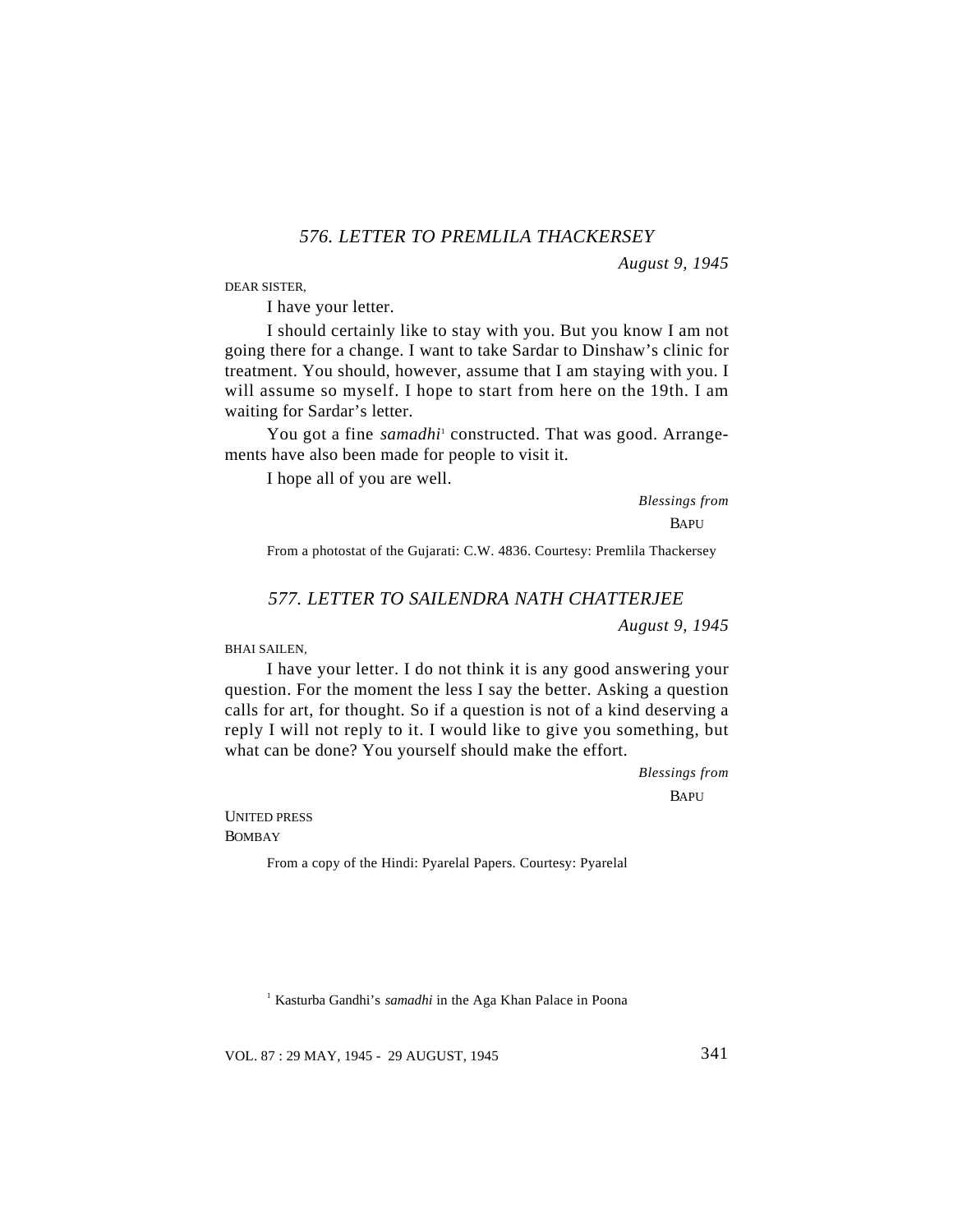*August 9, 1945*

DEAR SISTER,

I have your letter.

I should certainly like to stay with you. But you know I am not going there for a change. I want to take Sardar to Dinshaw's clinic for treatment. You should, however, assume that I am staying with you. I will assume so myself. I hope to start from here on the 19th. I am waiting for Sardar's letter.

You got a fine *samadhi*<sup>1</sup> constructed. That was good. Arrangements have also been made for people to visit it.

I hope all of you are well.

*Blessings from*

**BAPU** 

From a photostat of the Gujarati: C.W. 4836. Courtesy: Premlila Thackersey

#### *577. LETTER TO SAILENDRA NATH CHATTERJEE*

*August 9, 1945*

#### BHAI SAILEN,

I have your letter. I do not think it is any good answering your question. For the moment the less I say the better. Asking a question calls for art, for thought. So if a question is not of a kind deserving a reply I will not reply to it. I would like to give you something, but what can be done? You yourself should make the effort.

*Blessings from*

BAPU

UNITED PRESS **BOMBAY** 

From a copy of the Hindi: Pyarelal Papers. Courtesy: Pyarelal

<sup>1</sup> Kasturba Gandhi's *samadhi* in the Aga Khan Palace in Poona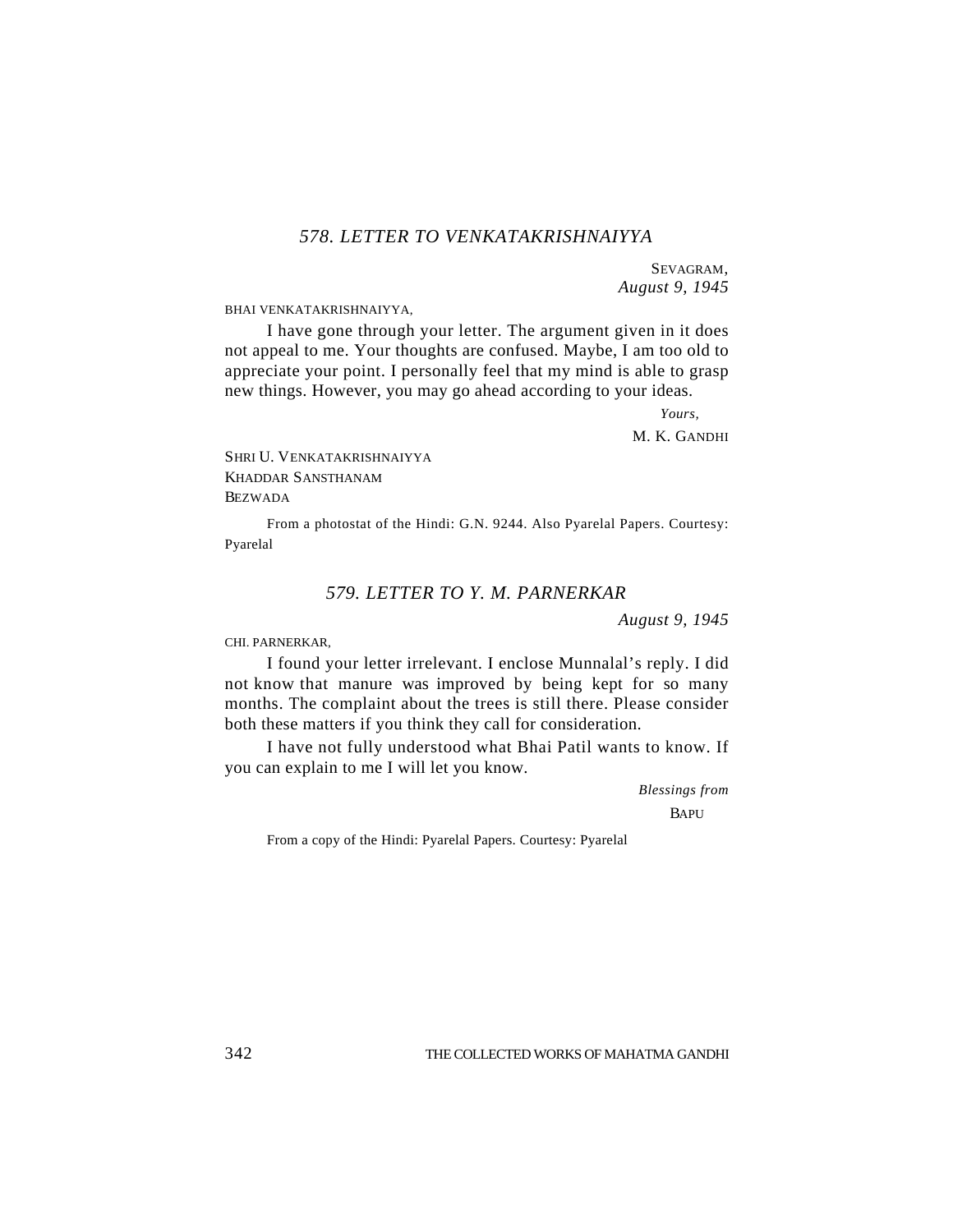## *578. LETTER TO VENKATAKRISHNAIYYA*

SEVAGRAM, *August 9, 1945*

#### BHAI VENKATAKRISHNAIYYA,

I have gone through your letter. The argument given in it does not appeal to me. Your thoughts are confused. Maybe, I am too old to appreciate your point. I personally feel that my mind is able to grasp new things. However, you may go ahead according to your ideas.

> *Yours,* M. K. GANDHI

SHRI U. VENKATAKRISHNAIYYA KHADDAR SANSTHANAM BEZWADA

From a photostat of the Hindi: G.N. 9244. Also Pyarelal Papers. Courtesy: Pyarelal

## *579. LETTER TO Y. M. PARNERKAR*

*August 9, 1945*

CHI. PARNERKAR,

I found your letter irrelevant. I enclose Munnalal's reply. I did not know that manure was improved by being kept for so many months. The complaint about the trees is still there. Please consider both these matters if you think they call for consideration.

I have not fully understood what Bhai Patil wants to know. If you can explain to me I will let you know.

> *Blessings from* **BAPU**

From a copy of the Hindi: Pyarelal Papers. Courtesy: Pyarelal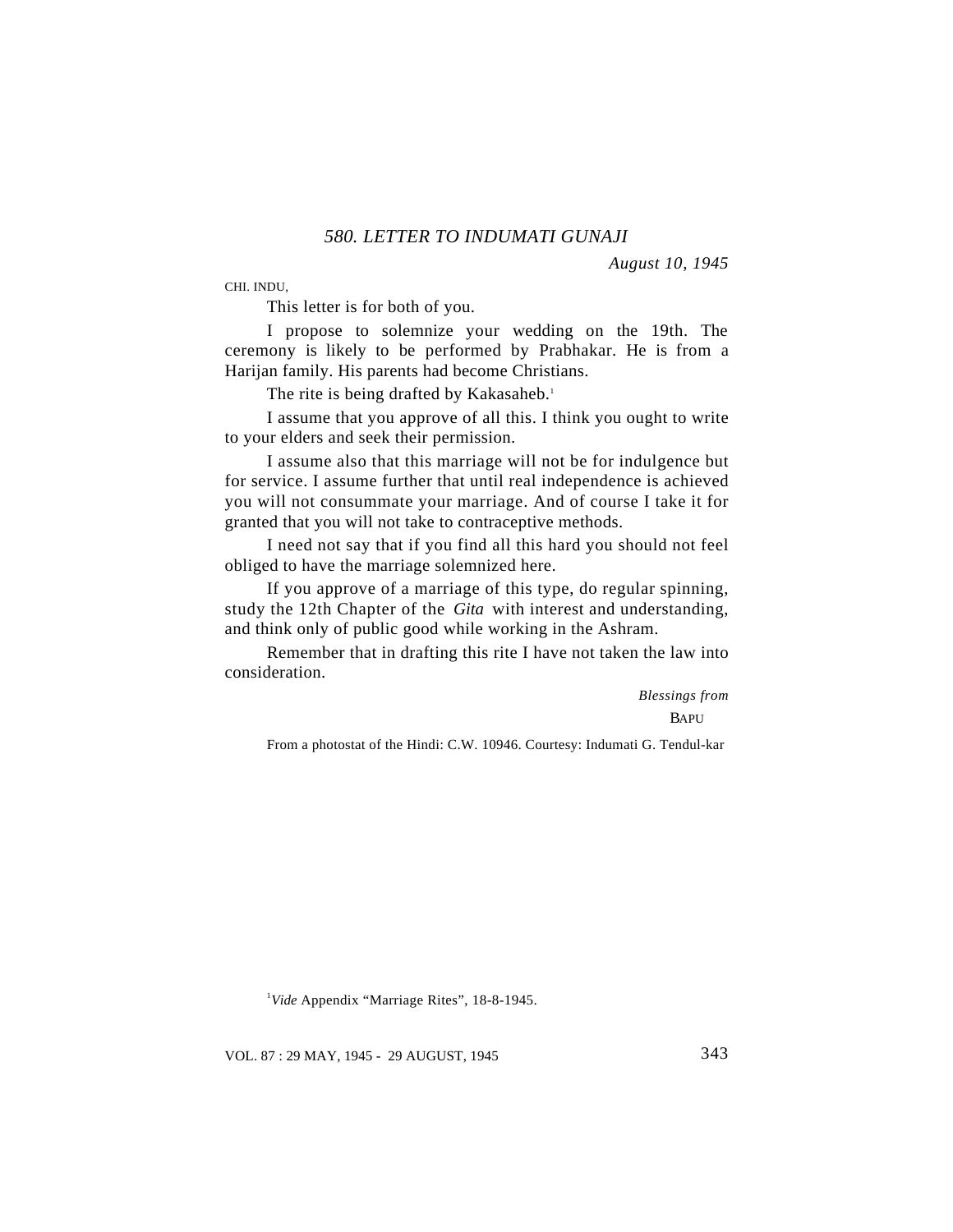*August 10, 1945*

CHI. INDU,

This letter is for both of you.

I propose to solemnize your wedding on the 19th. The ceremony is likely to be performed by Prabhakar. He is from a Harijan family. His parents had become Christians.

The rite is being drafted by Kakasaheb.<sup>1</sup>

I assume that you approve of all this. I think you ought to write to your elders and seek their permission.

I assume also that this marriage will not be for indulgence but for service. I assume further that until real independence is achieved you will not consummate your marriage. And of course I take it for granted that you will not take to contraceptive methods.

I need not say that if you find all this hard you should not feel obliged to have the marriage solemnized here.

If you approve of a marriage of this type, do regular spinning, study the 12th Chapter of the *Gita* with interest and understanding, and think only of public good while working in the Ashram.

Remember that in drafting this rite I have not taken the law into consideration.

> *Blessings from* **BAPU**

From a photostat of the Hindi: C.W. 10946. Courtesy: Indumati G. Tendul-kar

<sup>1</sup>*Vide* Appendix "Marriage Rites", 18-8-1945.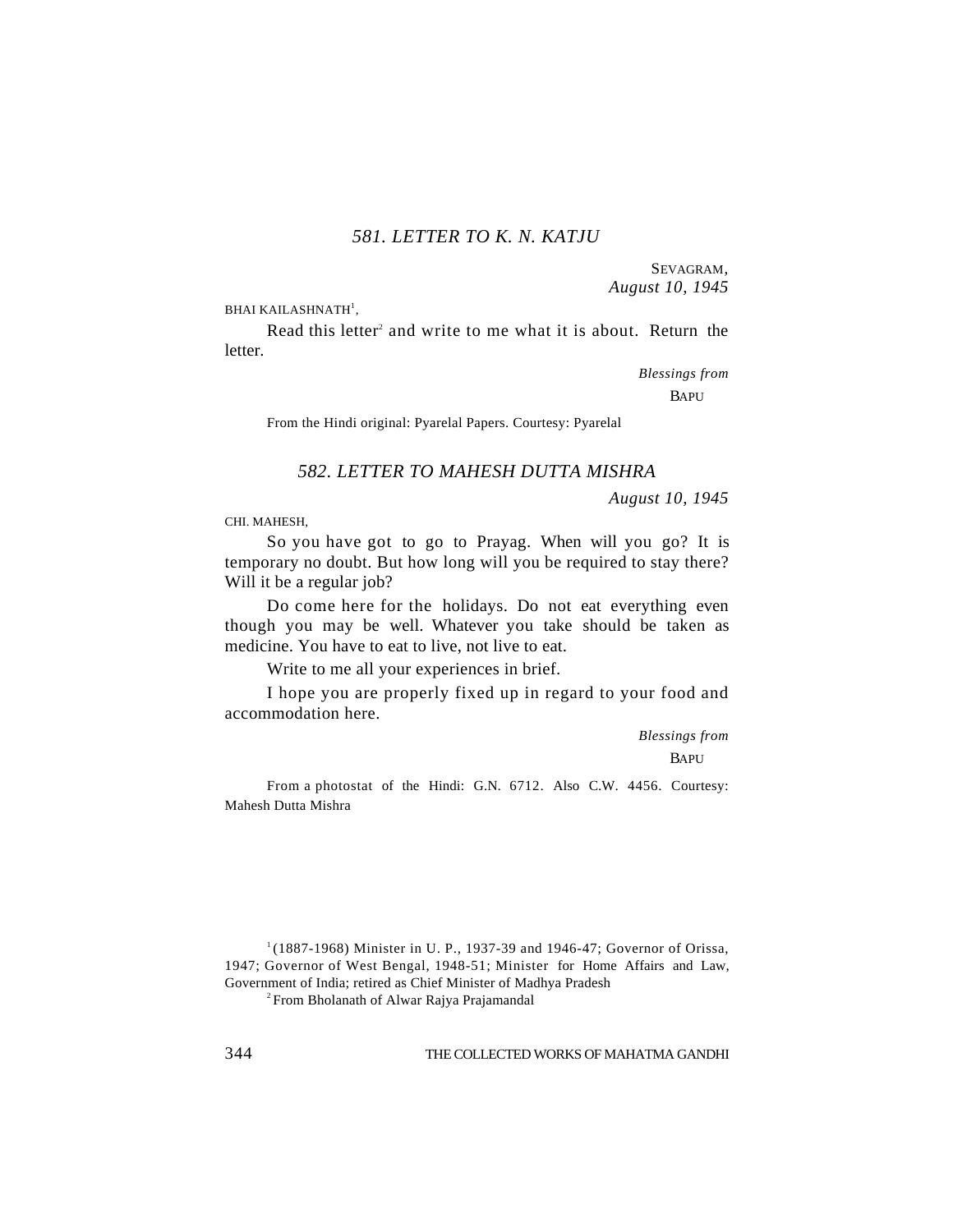SEVAGRAM, *August 10, 1945*

 $\mathbf B$ HAI KAILASHNATH $^1,$ 

Read this letter<sup>2</sup> and write to me what it is about. Return the **letter** 

> *Blessings from* **BAPU**

From the Hindi original: Pyarelal Papers. Courtesy: Pyarelal

#### *582. LETTER TO MAHESH DUTTA MISHRA*

*August 10, 1945*

CHI. MAHESH,

So you have got to go to Prayag. When will you go? It is temporary no doubt. But how long will you be required to stay there? Will it be a regular job?

Do come here for the holidays. Do not eat everything even though you may be well. Whatever you take should be taken as medicine. You have to eat to live, not live to eat.

Write to me all your experiences in brief.

I hope you are properly fixed up in regard to your food and accommodation here.

*Blessings from*

BAPU

From a photostat of the Hindi: G.N. 6712. Also C.W. 4456. Courtesy: Mahesh Dutta Mishra

 $1(1887-1968)$  Minister in U. P., 1937-39 and 1946-47; Governor of Orissa, 1947; Governor of West Bengal, 1948-51; Minister for Home Affairs and Law, Government of India; retired as Chief Minister of Madhya Pradesh

<sup>2</sup> From Bholanath of Alwar Rajya Prajamandal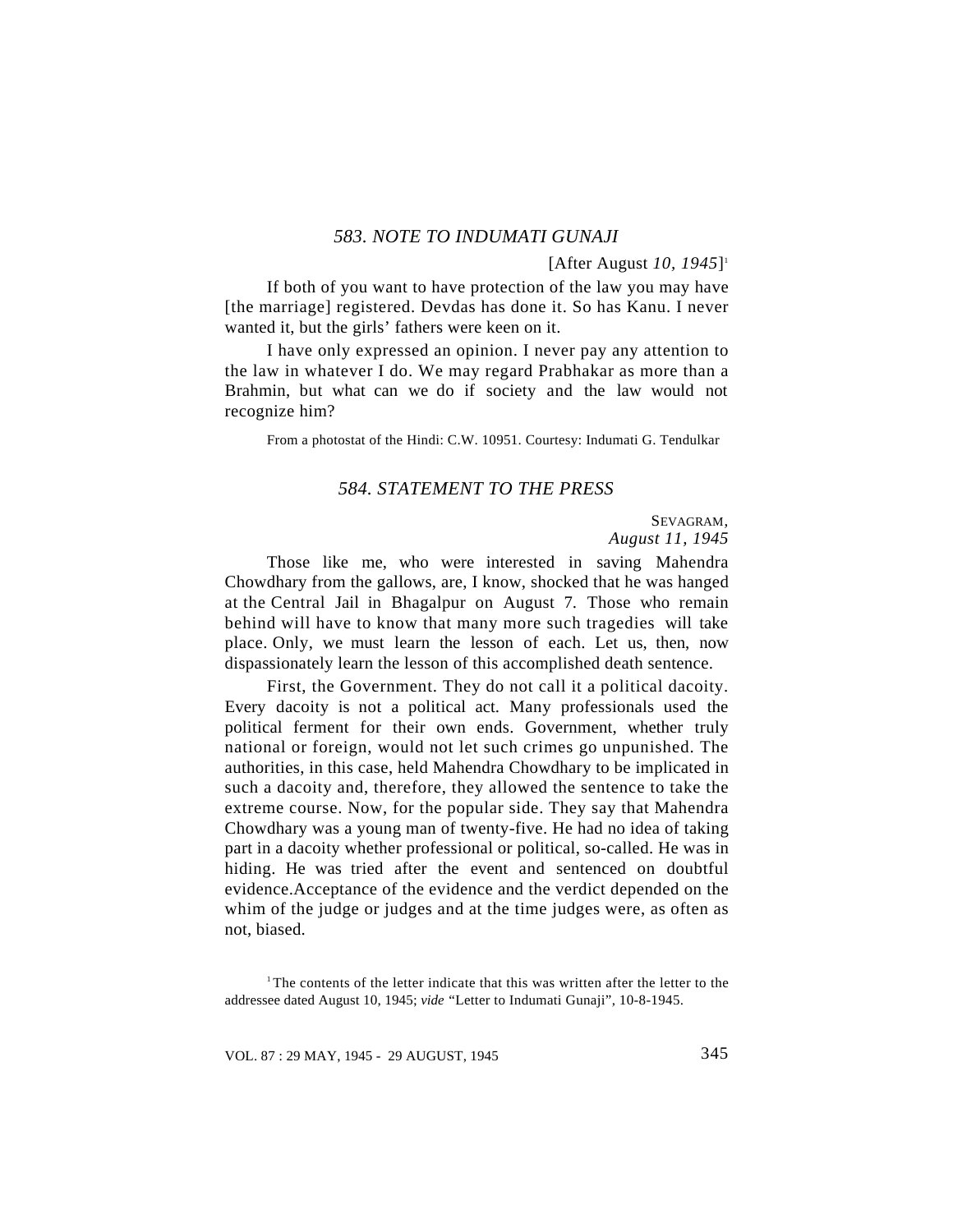#### *583. NOTE TO INDUMATI GUNAJI*

[After August *10, 1945*] 1

If both of you want to have protection of the law you may have [the marriage] registered. Devdas has done it. So has Kanu. I never wanted it, but the girls' fathers were keen on it.

I have only expressed an opinion. I never pay any attention to the law in whatever I do. We may regard Prabhakar as more than a Brahmin, but what can we do if society and the law would not recognize him?

From a photostat of the Hindi: C.W. 10951. Courtesy: Indumati G. Tendulkar

### *584. STATEMENT TO THE PRESS*

SEVAGRAM, *August 11, 1945*

Those like me, who were interested in saving Mahendra Chowdhary from the gallows, are, I know, shocked that he was hanged at the Central Jail in Bhagalpur on August 7. Those who remain behind will have to know that many more such tragedies will take place. Only, we must learn the lesson of each. Let us, then, now dispassionately learn the lesson of this accomplished death sentence.

First, the Government. They do not call it a political dacoity. Every dacoity is not a political act. Many professionals used the political ferment for their own ends. Government, whether truly national or foreign, would not let such crimes go unpunished. The authorities, in this case, held Mahendra Chowdhary to be implicated in such a dacoity and, therefore, they allowed the sentence to take the extreme course. Now, for the popular side. They say that Mahendra Chowdhary was a young man of twenty-five. He had no idea of taking part in a dacoity whether professional or political, so-called. He was in hiding. He was tried after the event and sentenced on doubtful evidence.Acceptance of the evidence and the verdict depended on the whim of the judge or judges and at the time judges were, as often as not, biased.

 $1$ <sup>1</sup>The contents of the letter indicate that this was written after the letter to the addressee dated August 10, 1945; *vide* "Letter to Indumati Gunaji", 10-8-1945.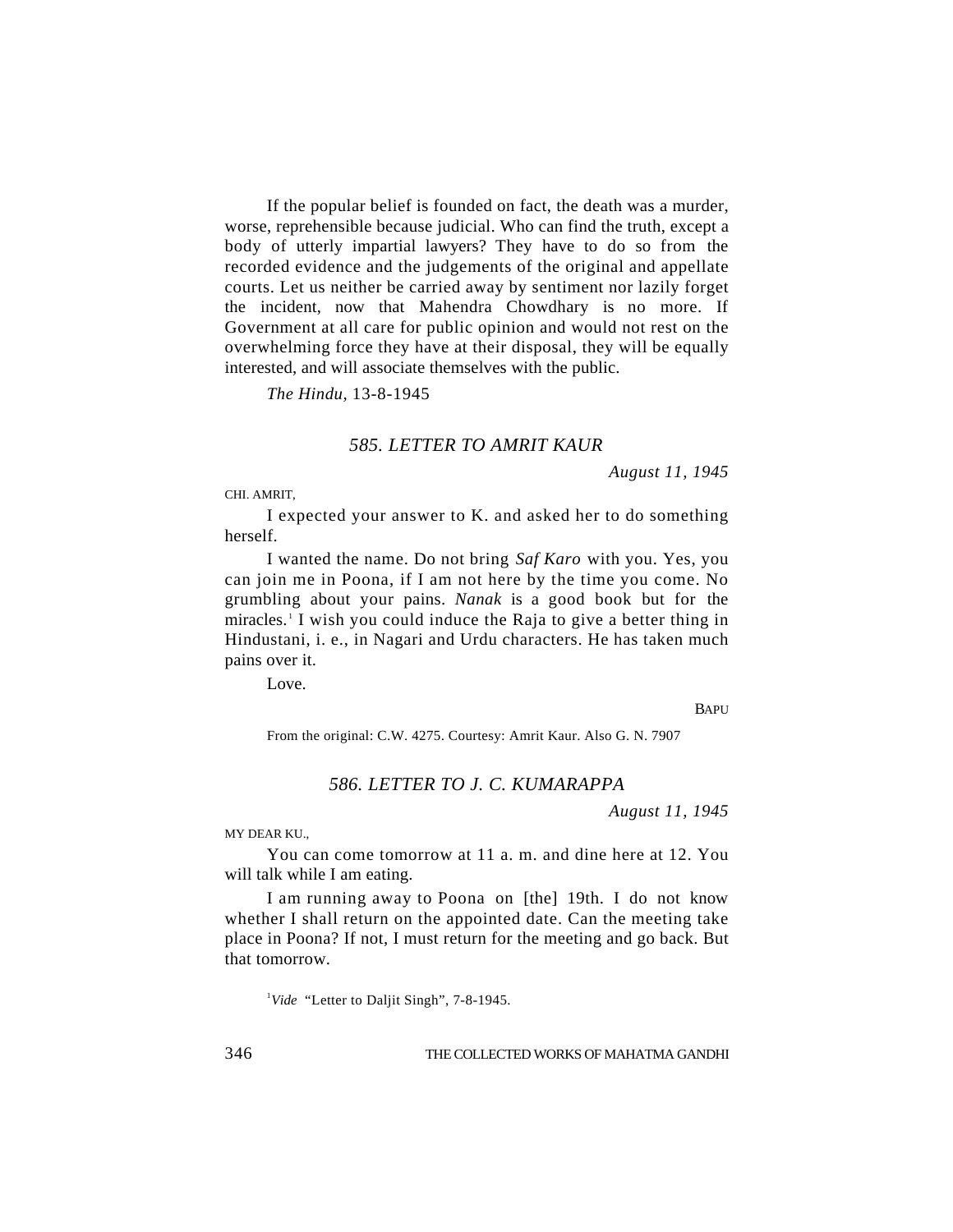If the popular belief is founded on fact, the death was a murder, worse, reprehensible because judicial. Who can find the truth, except a body of utterly impartial lawyers? They have to do so from the recorded evidence and the judgements of the original and appellate courts. Let us neither be carried away by sentiment nor lazily forget the incident, now that Mahendra Chowdhary is no more. If Government at all care for public opinion and would not rest on the overwhelming force they have at their disposal, they will be equally interested, and will associate themselves with the public.

*The Hindu,* 13-8-1945

## *585. LETTER TO AMRIT KAUR*

*August 11, 1945*

CHI. AMRIT,

I expected your answer to K. and asked her to do something herself.

I wanted the name. Do not bring *Saf Karo* with you. Yes, you can join me in Poona, if I am not here by the time you come. No grumbling about your pains. *Nanak* is a good book but for the miracles.<sup>1</sup> I wish you could induce the Raja to give a better thing in Hindustani, i. e., in Nagari and Urdu characters. He has taken much pains over it.

Love.

**BAPU** 

From the original: C.W. 4275. Courtesy: Amrit Kaur. Also G. N. 7907

## *586. LETTER TO J. C. KUMARAPPA*

*August 11, 1945*

MY DEAR KU.,

You can come tomorrow at 11 a. m. and dine here at 12. You will talk while I am eating.

I am running away to Poona on [the] 19th. I do not know whether I shall return on the appointed date. Can the meeting take place in Poona? If not, I must return for the meeting and go back. But that tomorrow.

<sup>1</sup>Vide "Letter to Daljit Singh", 7-8-1945.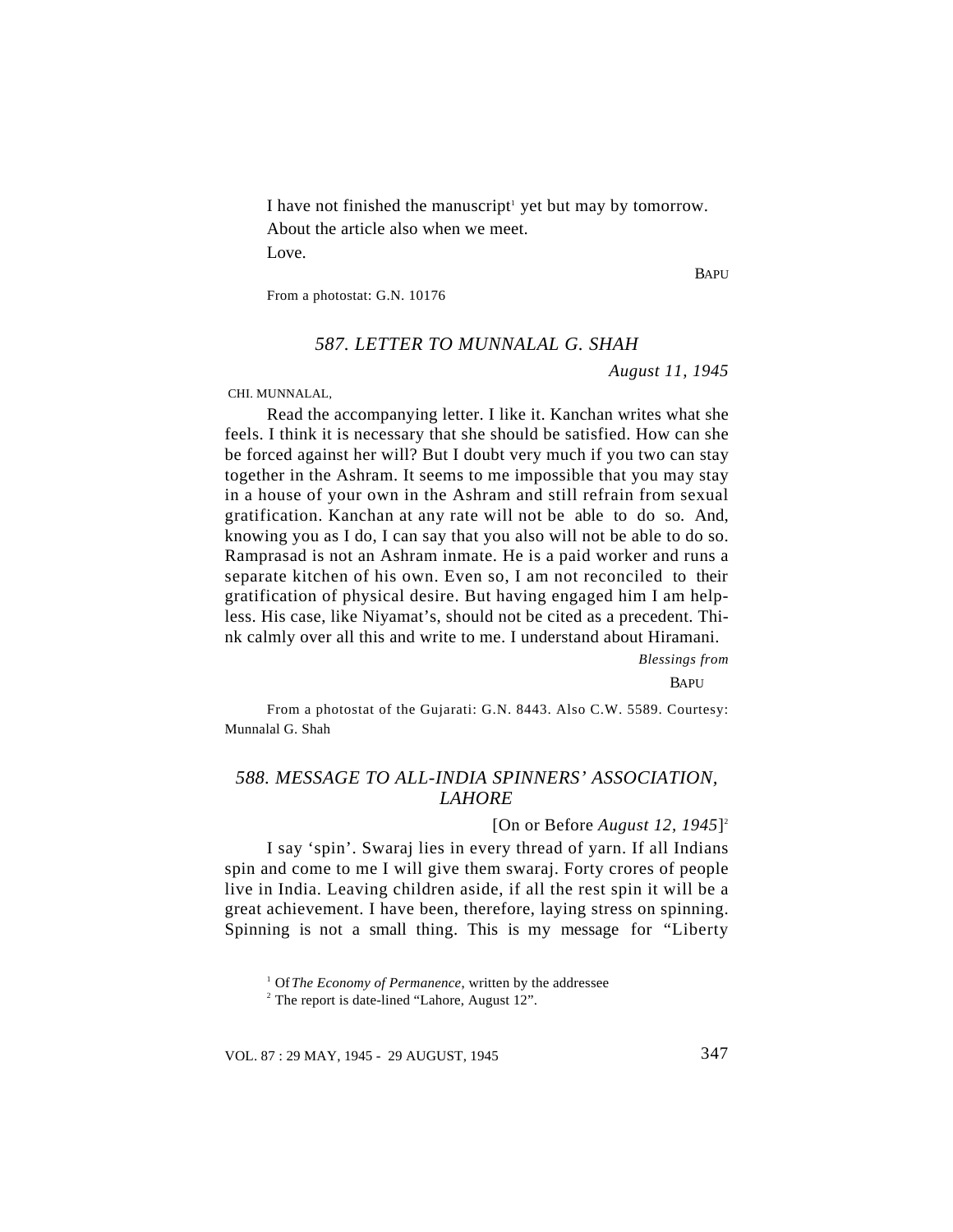I have not finished the manuscript<sup>1</sup> yet but may by tomorrow. About the article also when we meet. Love.

From a photostat: G.N. 10176

#### *587. LETTER TO MUNNALAL G. SHAH*

*August 11, 1945*

**BAPU** 

#### CHI. MUNNALAL,

Read the accompanying letter. I like it. Kanchan writes what she feels. I think it is necessary that she should be satisfied. How can she be forced against her will? But I doubt very much if you two can stay together in the Ashram. It seems to me impossible that you may stay in a house of your own in the Ashram and still refrain from sexual gratification. Kanchan at any rate will not be able to do so. And, knowing you as I do, I can say that you also will not be able to do so. Ramprasad is not an Ashram inmate. He is a paid worker and runs a separate kitchen of his own. Even so, I am not reconciled to their gratification of physical desire. But having engaged him I am helpless. His case, like Niyamat's, should not be cited as a precedent. Think calmly over all this and write to me. I understand about Hiramani.

*Blessings from*

**BAPU** 

From a photostat of the Gujarati: G.N. 8443. Also C.W. 5589. Courtesy: Munnalal G. Shah

# *588. MESSAGE TO ALL-INDIA SPINNERS' ASSOCIATION, LAHORE*

[On or Before *August 12, 1945*] 2

I say 'spin'. Swaraj lies in every thread of yarn. If all Indians spin and come to me I will give them swaraj. Forty crores of people live in India. Leaving children aside, if all the rest spin it will be a great achievement. I have been, therefore, laying stress on spinning. Spinning is not a small thing. This is my message for "Liberty

<sup>&</sup>lt;sup>1</sup> Of *The Economy of Permanence*, written by the addressee

<sup>&</sup>lt;sup>2</sup> The report is date-lined "Lahore, August 12".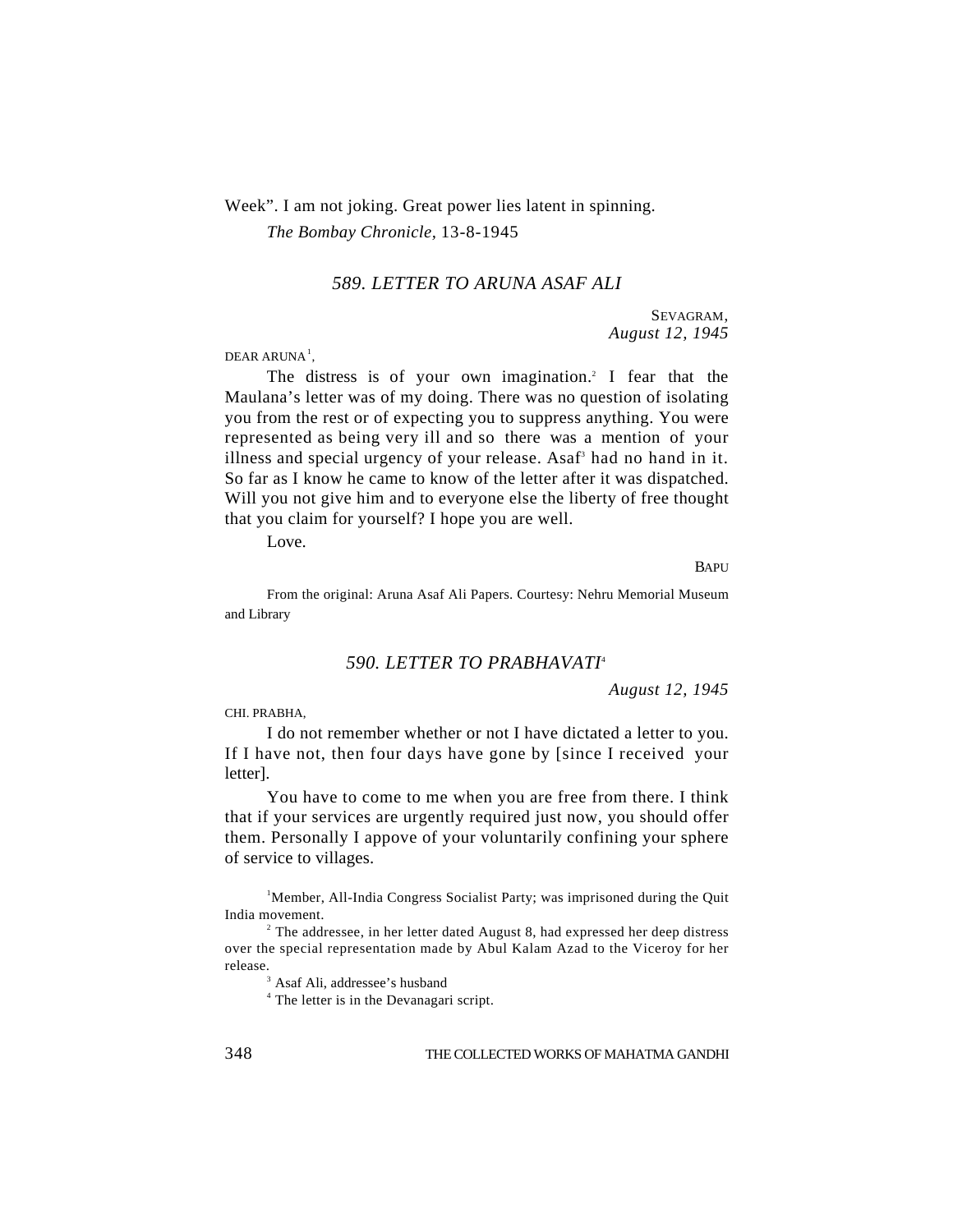Week". I am not joking. Great power lies latent in spinning.

*The Bombay Chronicle,* 13-8-1945

## *589. LETTER TO ARUNA ASAF ALI*

SEVAGRAM, *August 12, 1945*

 $DEAR ARUNA<sup>1</sup>$ ,

The distress is of your own imagination.<sup>2</sup> I fear that the Maulana's letter was of my doing. There was no question of isolating you from the rest or of expecting you to suppress anything. You were represented as being very ill and so there was a mention of your illness and special urgency of your release. Asaf<sup>3</sup> had no hand in it. So far as I know he came to know of the letter after it was dispatched. Will you not give him and to everyone else the liberty of free thought that you claim for yourself? I hope you are well.

Love.

**BAPU** 

From the original: Aruna Asaf Ali Papers. Courtesy: Nehru Memorial Museum and Library

### *590. LETTER TO PRABHAVATI*<sup>4</sup>

*August 12, 1945*

CHI. PRABHA,

I do not remember whether or not I have dictated a letter to you. If I have not, then four days have gone by [since I received your letter].

You have to come to me when you are free from there. I think that if your services are urgently required just now, you should offer them. Personally I appove of your voluntarily confining your sphere of service to villages.

 $1$ Member, All-India Congress Socialist Party; was imprisoned during the Quit India movement.

<sup>2</sup> The addressee, in her letter dated August 8, had expressed her deep distress over the special representation made by Abul Kalam Azad to the Viceroy for her release.

3 Asaf Ali, addressee's husband

<sup>4</sup> The letter is in the Devanagari script.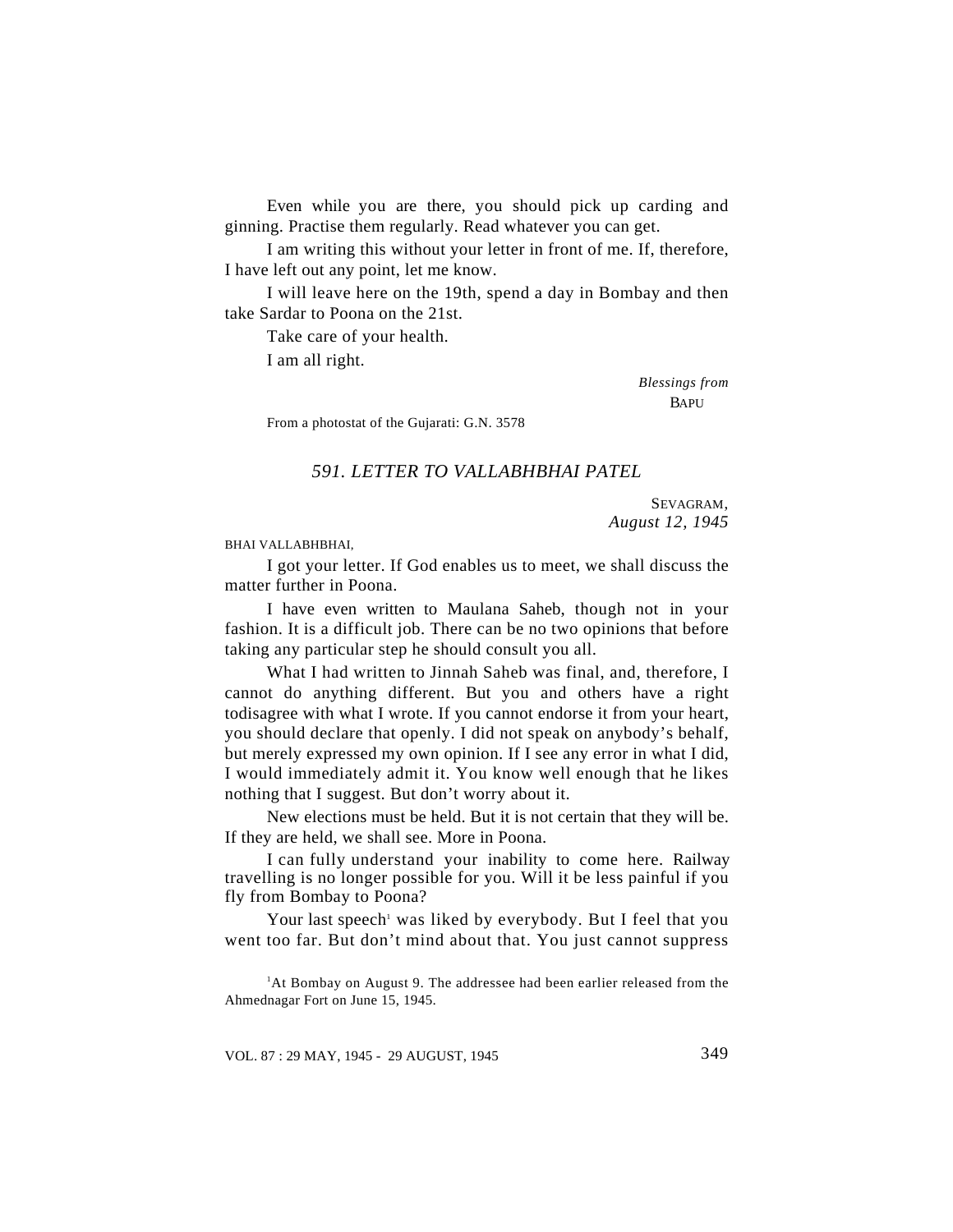Even while you are there, you should pick up carding and ginning. Practise them regularly. Read whatever you can get.

I am writing this without your letter in front of me. If, therefore, I have left out any point, let me know.

I will leave here on the 19th, spend a day in Bombay and then take Sardar to Poona on the 21st.

Take care of your health.

I am all right.

*Blessings from* **BAPU** 

From a photostat of the Gujarati: G.N. 3578

## *591. LETTER TO VALLABHBHAI PATEL*

SEVAGRAM, *August 12, 1945*

BHAI VALLABHBHAI,

I got your letter. If God enables us to meet, we shall discuss the matter further in Poona.

I have even written to Maulana Saheb, though not in your fashion. It is a difficult job. There can be no two opinions that before taking any particular step he should consult you all.

What I had written to Jinnah Saheb was final, and, therefore, I cannot do anything different. But you and others have a right todisagree with what I wrote. If you cannot endorse it from your heart, you should declare that openly. I did not speak on anybody's behalf, but merely expressed my own opinion. If I see any error in what I did, I would immediately admit it. You know well enough that he likes nothing that I suggest. But don't worry about it.

New elections must be held. But it is not certain that they will be. If they are held, we shall see. More in Poona.

I can fully understand your inability to come here. Railway travelling is no longer possible for you. Will it be less painful if you fly from Bombay to Poona?

Your last speech<sup>1</sup> was liked by everybody. But I feel that you went too far. But don't mind about that. You just cannot suppress

<sup>&</sup>lt;sup>1</sup>At Bombay on August 9. The addressee had been earlier released from the Ahmednagar Fort on June 15, 1945.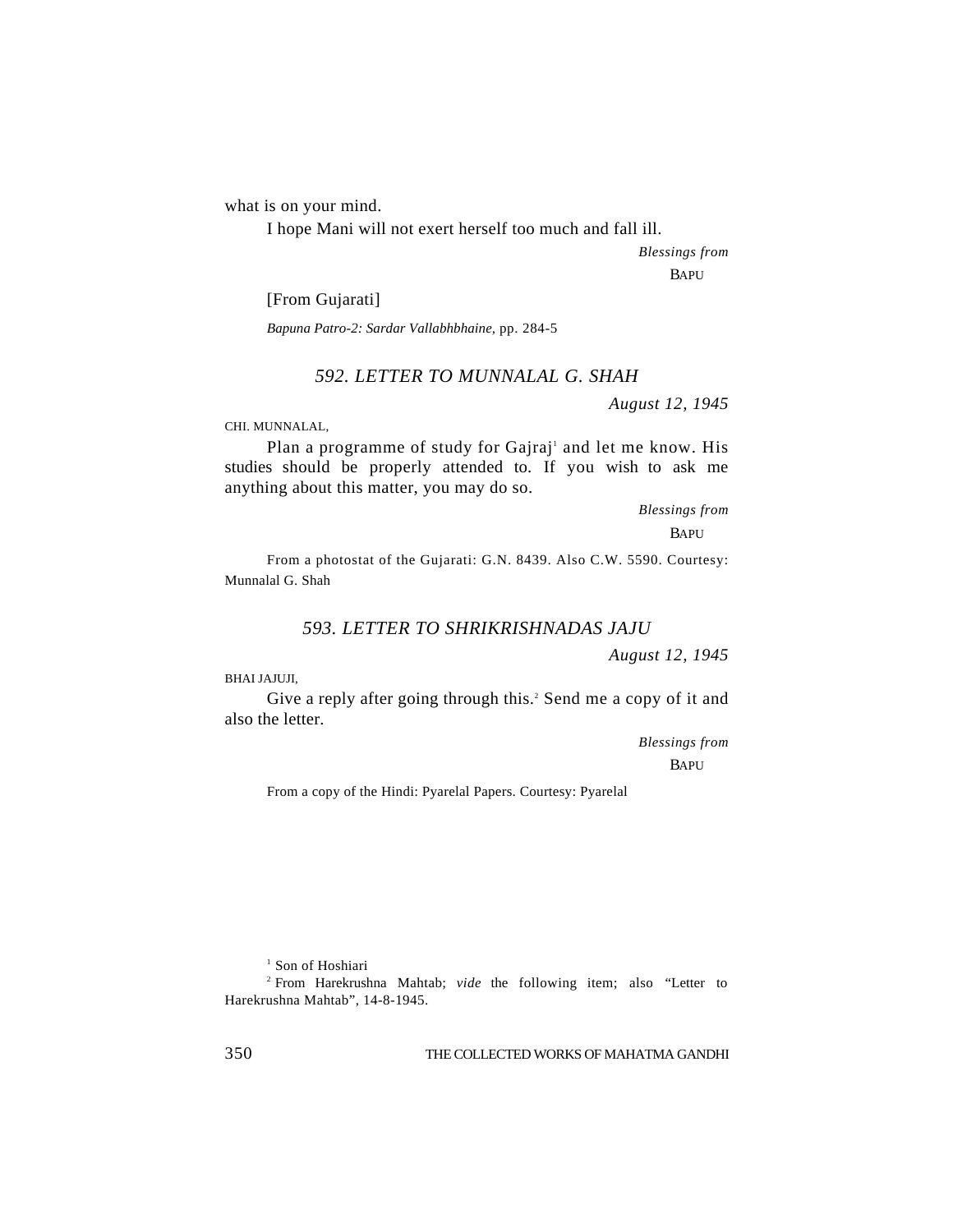what is on your mind.

I hope Mani will not exert herself too much and fall ill.

*Blessings from*

**BAPU** 

[From Gujarati]

*Bapuna Patro-2: Sardar Vallabhbhaine,* pp. 284-5

## *592. LETTER TO MUNNALAL G. SHAH*

*August 12, 1945*

CHI. MUNNALAL,

Plan a programme of study for Gajraj' and let me know. His studies should be properly attended to. If you wish to ask me anything about this matter, you may do so.

> *Blessings from* **BAPU**

From a photostat of the Gujarati: G.N. 8439. Also C.W. 5590. Courtesy: Munnalal G. Shah

## *593. LETTER TO SHRIKRISHNADAS JAJU*

*August 12, 1945*

BHAI JAJUJI,

Give a reply after going through this.<sup>2</sup> Send me a copy of it and also the letter.

*Blessings from*

**BAPU** 

From a copy of the Hindi: Pyarelal Papers. Courtesy: Pyarelal

1 Son of Hoshiari

<sup>2</sup> From Harekrushna Mahtab; *vide* the following item; also "Letter to Harekrushna Mahtab", 14-8-1945.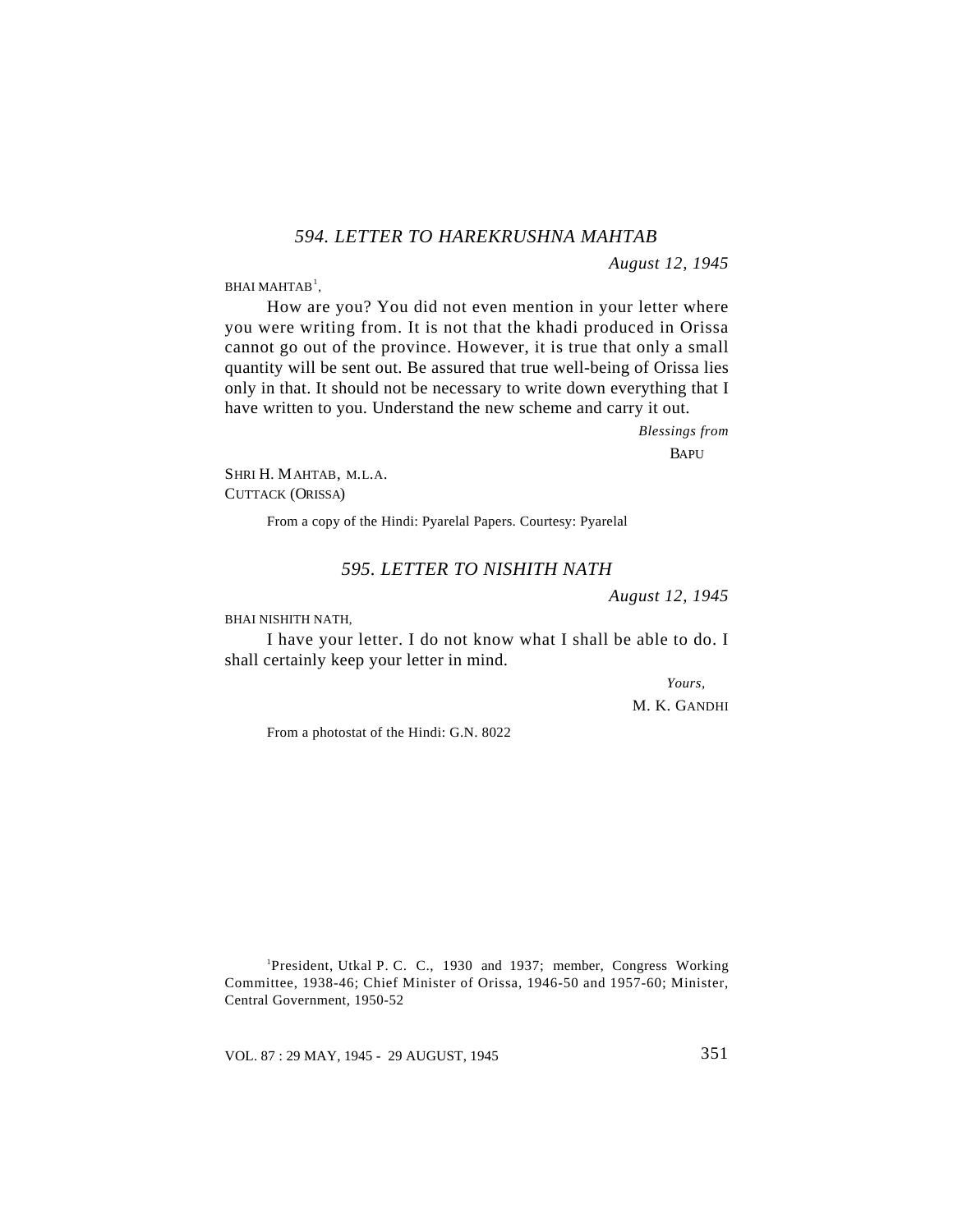## *594. LETTER TO HAREKRUSHNA MAHTAB*

*August 12, 1945*

 $\mathbf B\mathbf H\mathbf A\mathbf I$  MAHTAB  $^1,$ 

How are you? You did not even mention in your letter where you were writing from. It is not that the khadi produced in Orissa cannot go out of the province. However, it is true that only a small quantity will be sent out. Be assured that true well-being of Orissa lies only in that. It should not be necessary to write down everything that I have written to you. Understand the new scheme and carry it out.

*Blessings from*

**BAPU** 

SHRI H. MAHTAB, M.L.A. CUTTACK (ORISSA)

From a copy of the Hindi: Pyarelal Papers. Courtesy: Pyarelal

# *595. LETTER TO NISHITH NATH*

*August 12, 1945*

BHAI NISHITH NATH,

I have your letter. I do not know what I shall be able to do. I shall certainly keep your letter in mind.

> *Yours,* M. K. GANDHI

From a photostat of the Hindi: G.N. 8022

<sup>1</sup>President, Utkal P. C. C., 1930 and 1937; member, Congress Working Committee, 1938-46; Chief Minister of Orissa, 1946-50 and 1957-60; Minister, Central Government, 1950-52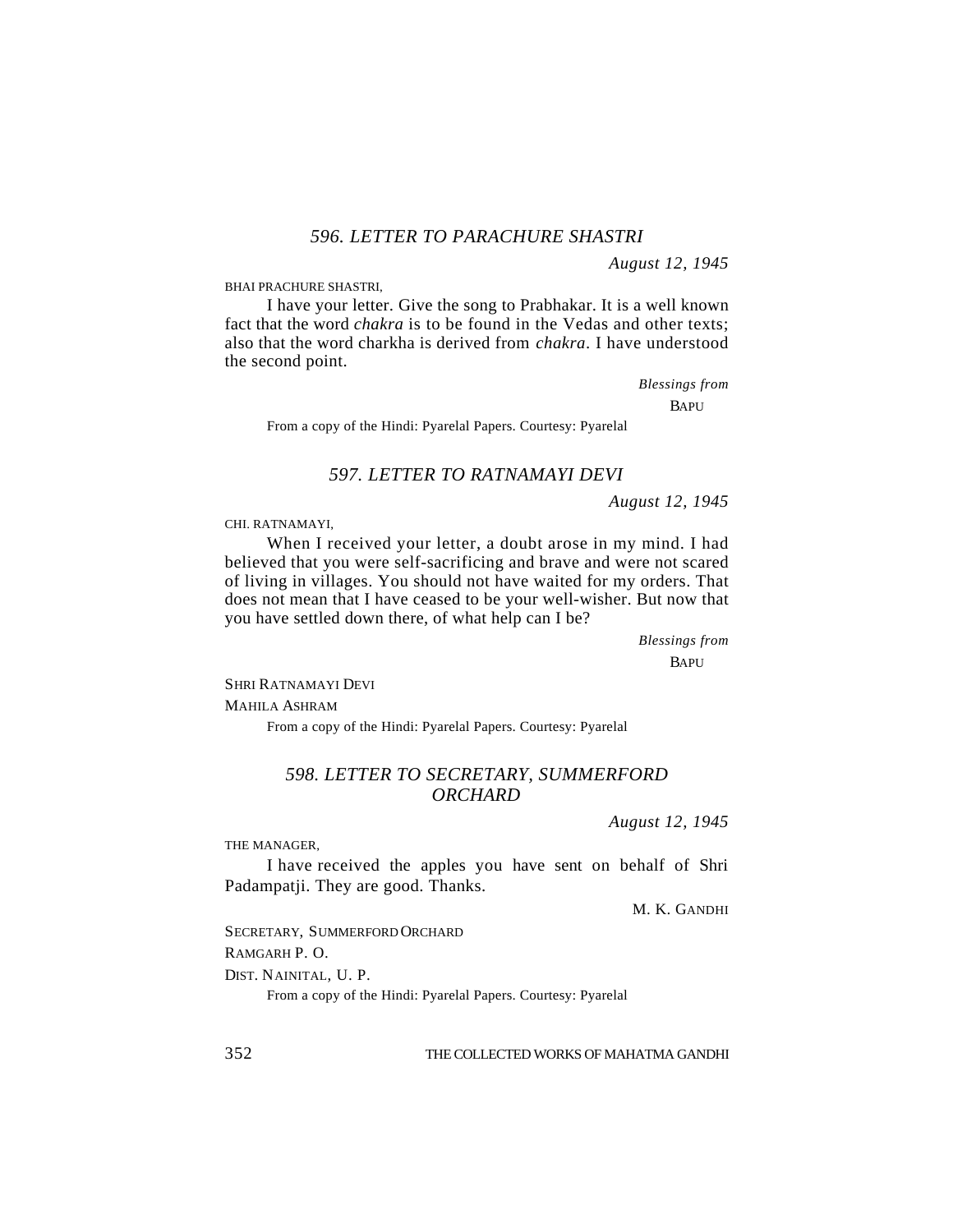### *596. LETTER TO PARACHURE SHASTRI*

*August 12, 1945*

BHAI PRACHURE SHASTRI,

I have your letter. Give the song to Prabhakar. It is a well known fact that the word *chakra* is to be found in the Vedas and other texts; also that the word charkha is derived from *chakra*. I have understood the second point.

> *Blessings from* **BAPU**

From a copy of the Hindi: Pyarelal Papers. Courtesy: Pyarelal

## *597. LETTER TO RATNAMAYI DEVI*

*August 12, 1945*

CHI. RATNAMAYI,

When I received your letter, a doubt arose in my mind. I had believed that you were self-sacrificing and brave and were not scared of living in villages. You should not have waited for my orders. That does not mean that I have ceased to be your well-wisher. But now that you have settled down there, of what help can I be?

> *Blessings from* **BAPU**

SHRI RATNAMAYI DEVI MAHILA ASHRAM

From a copy of the Hindi: Pyarelal Papers. Courtesy: Pyarelal

## *598. LETTER TO SECRETARY, SUMMERFORD ORCHARD*

*August 12, 1945*

THE MANAGER,

I have received the apples you have sent on behalf of Shri Padampatji. They are good. Thanks.

M. K. GANDHI

SECRETARY, SUMMERFORD ORCHARD RAMGARH P. O.

DIST. NAINITAL, U. P.

From a copy of the Hindi: Pyarelal Papers. Courtesy: Pyarelal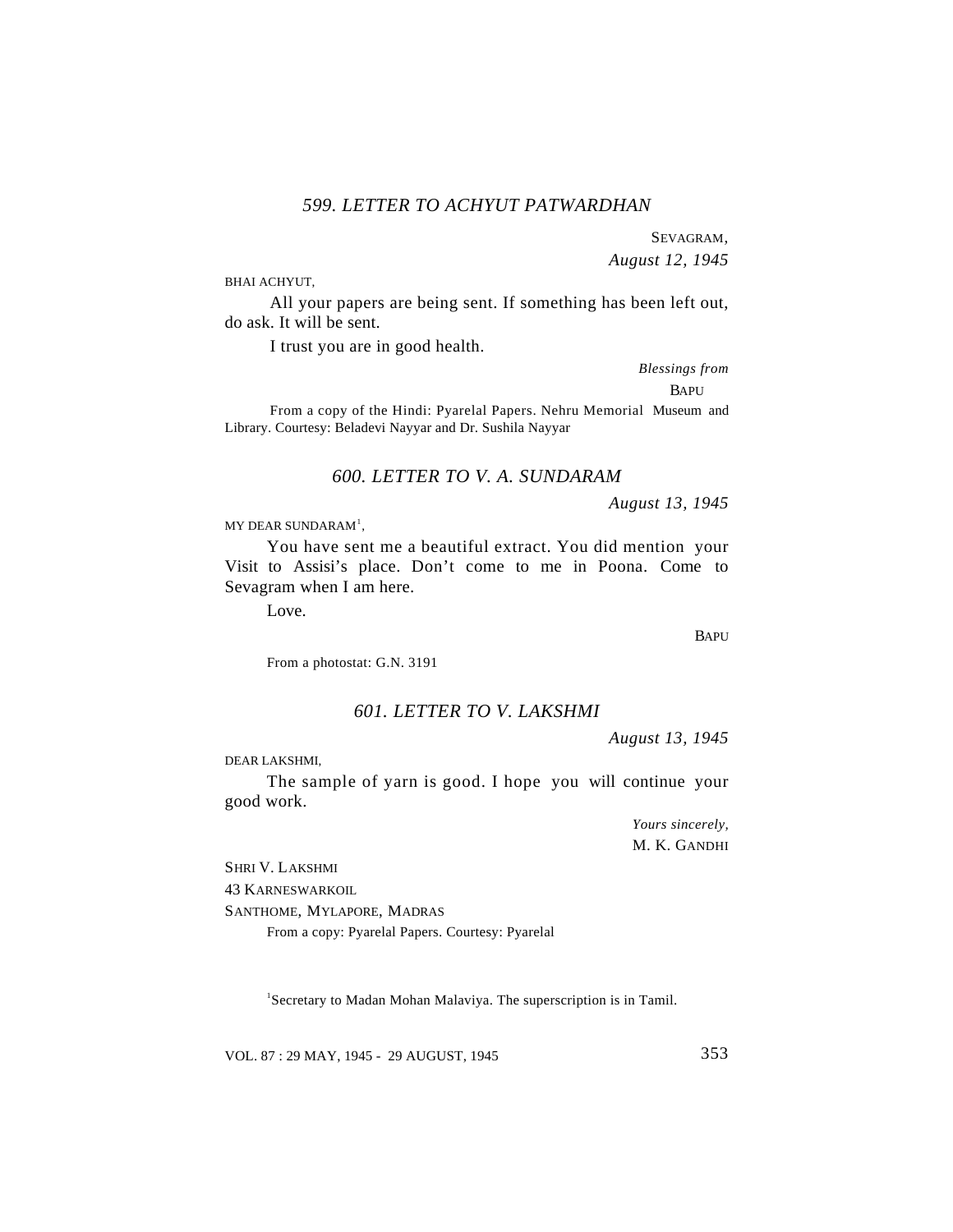## *599. LETTER TO ACHYUT PATWARDHAN*

SEVAGRAM, *August 12, 1945*

BHAI ACHYUT,

All your papers are being sent. If something has been left out, do ask. It will be sent.

I trust you are in good health.

*Blessings from*

BAPU

From a copy of the Hindi: Pyarelal Papers. Nehru Memorial Museum and Library. Courtesy: Beladevi Nayyar and Dr. Sushila Nayyar

## *600. LETTER TO V. A. SUNDARAM*

*August 13, 1945*

 $MY$  DEAR SUNDARAM<sup>1</sup>,

You have sent me a beautiful extract. You did mention your Visit to Assisi's place. Don't come to me in Poona. Come to Sevagram when I am here.

Love.

**BAPU** 

From a photostat: G.N. 3191

# *601. LETTER TO V. LAKSHMI*

*August 13, 1945*

DEAR LAKSHMI,

The sample of yarn is good. I hope you will continue your good work.

> *Yours sincerely,* M. K. GANDHI

SHRI V. LAKSHMI 43 KARNESWARKOIL SANTHOME, MYLAPORE, MADRAS From a copy: Pyarelal Papers. Courtesy: Pyarelal

<sup>1</sup>Secretary to Madan Mohan Malaviya. The superscription is in Tamil.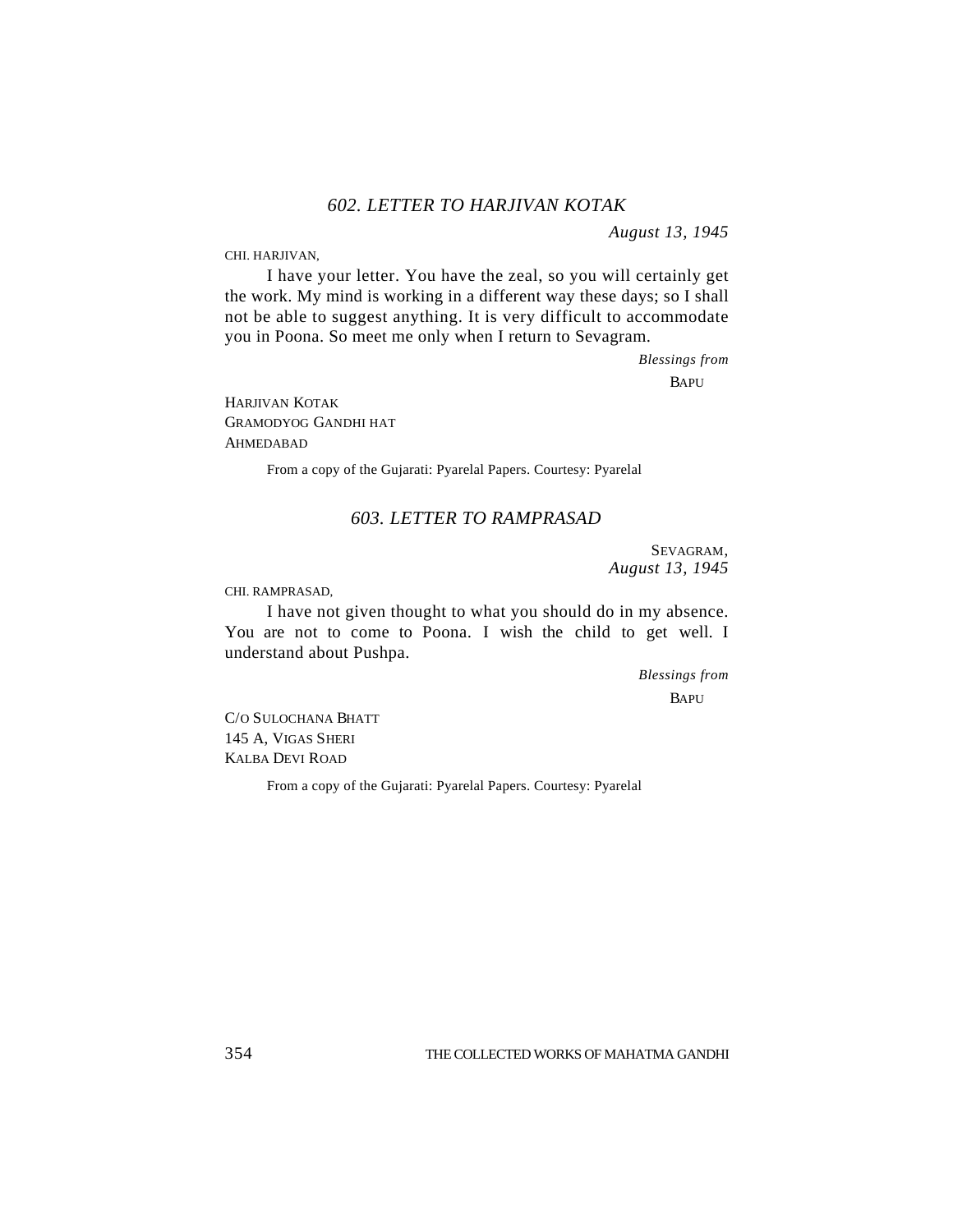### *602. LETTER TO HARJIVAN KOTAK*

*August 13, 1945*

CHI. HARJIVAN,

I have your letter. You have the zeal, so you will certainly get the work. My mind is working in a different way these days; so I shall not be able to suggest anything. It is very difficult to accommodate you in Poona. So meet me only when I return to Sevagram.

*Blessings from*

**BAPU** 

HARJIVAN KOTAK GRAMODYOG GANDHI HAT AHMEDABAD

From a copy of the Gujarati: Pyarelal Papers. Courtesy: Pyarelal

### *603. LETTER TO RAMPRASAD*

SEVAGRAM, *August 13, 1945*

CHI. RAMPRASAD,

I have not given thought to what you should do in my absence. You are not to come to Poona. I wish the child to get well. I understand about Pushpa.

> *Blessings from* **BAPU**

C/O SULOCHANA BHATT 145 A, VIGAS SHERI KALBA DEVI ROAD

From a copy of the Gujarati: Pyarelal Papers. Courtesy: Pyarelal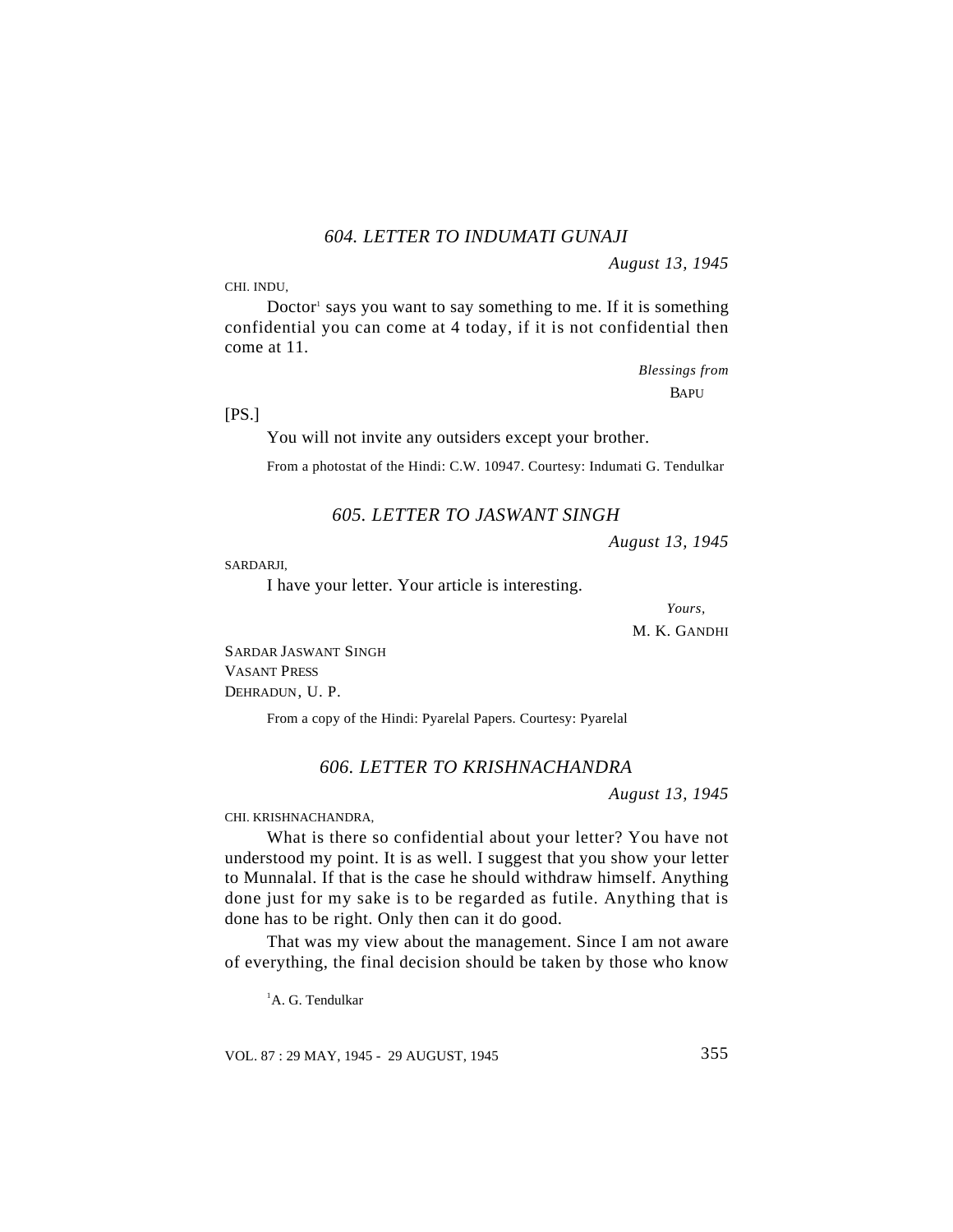## *604. LETTER TO INDUMATI GUNAJI*

*August 13, 1945*

CHI. INDU,

Doctor<sup>1</sup> says you want to say something to me. If it is something confidential you can come at 4 today, if it is not confidential then come at 11.

> *Blessings from* **BAPU**

 $[PS.]$ 

You will not invite any outsiders except your brother.

From a photostat of the Hindi: C.W. 10947. Courtesy: Indumati G. Tendulkar

## *605. LETTER TO JASWANT SINGH*

*August 13, 1945*

SARDARJI,

I have your letter. Your article is interesting.

*Yours,* M. K. GANDHI

SARDAR JASWANT SINGH VASANT PRESS DEHRADUN, U. P.

From a copy of the Hindi: Pyarelal Papers. Courtesy: Pyarelal

# *606. LETTER TO KRISHNACHANDRA*

*August 13, 1945*

CHI. KRISHNACHANDRA,

What is there so confidential about your letter? You have not understood my point. It is as well. I suggest that you show your letter to Munnalal. If that is the case he should withdraw himself. Anything done just for my sake is to be regarded as futile. Anything that is done has to be right. Only then can it do good.

That was my view about the management. Since I am not aware of everything, the final decision should be taken by those who know

 ${}^{1}$ A. G. Tendulkar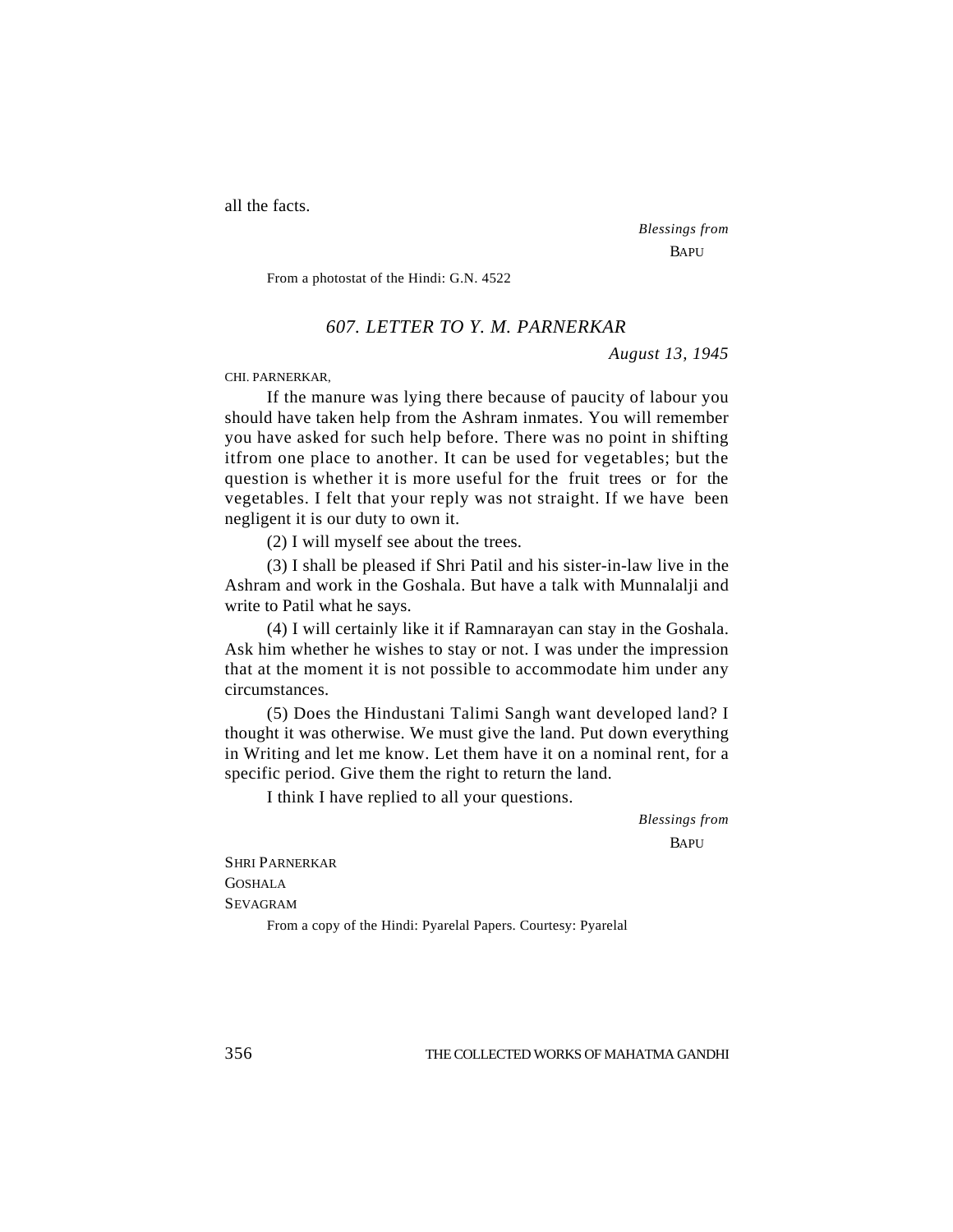*Blessings from* **BAPU** 

From a photostat of the Hindi: G.N. 4522

#### *607. LETTER TO Y. M. PARNERKAR*

*August 13, 1945*

CHI. PARNERKAR,

If the manure was lying there because of paucity of labour you should have taken help from the Ashram inmates. You will remember you have asked for such help before. There was no point in shifting itfrom one place to another. It can be used for vegetables; but the question is whether it is more useful for the fruit trees or for the vegetables. I felt that your reply was not straight. If we have been negligent it is our duty to own it.

(2) I will myself see about the trees.

(3) I shall be pleased if Shri Patil and his sister-in-law live in the Ashram and work in the Goshala. But have a talk with Munnalalji and write to Patil what he says.

(4) I will certainly like it if Ramnarayan can stay in the Goshala. Ask him whether he wishes to stay or not. I was under the impression that at the moment it is not possible to accommodate him under any circumstances.

(5) Does the Hindustani Talimi Sangh want developed land? I thought it was otherwise. We must give the land. Put down everything in Writing and let me know. Let them have it on a nominal rent, for a specific period. Give them the right to return the land.

I think I have replied to all your questions.

*Blessings from* **BAPU** 

SHRI PARNERKAR GOSHALA SEVAGRAM

From a copy of the Hindi: Pyarelal Papers. Courtesy: Pyarelal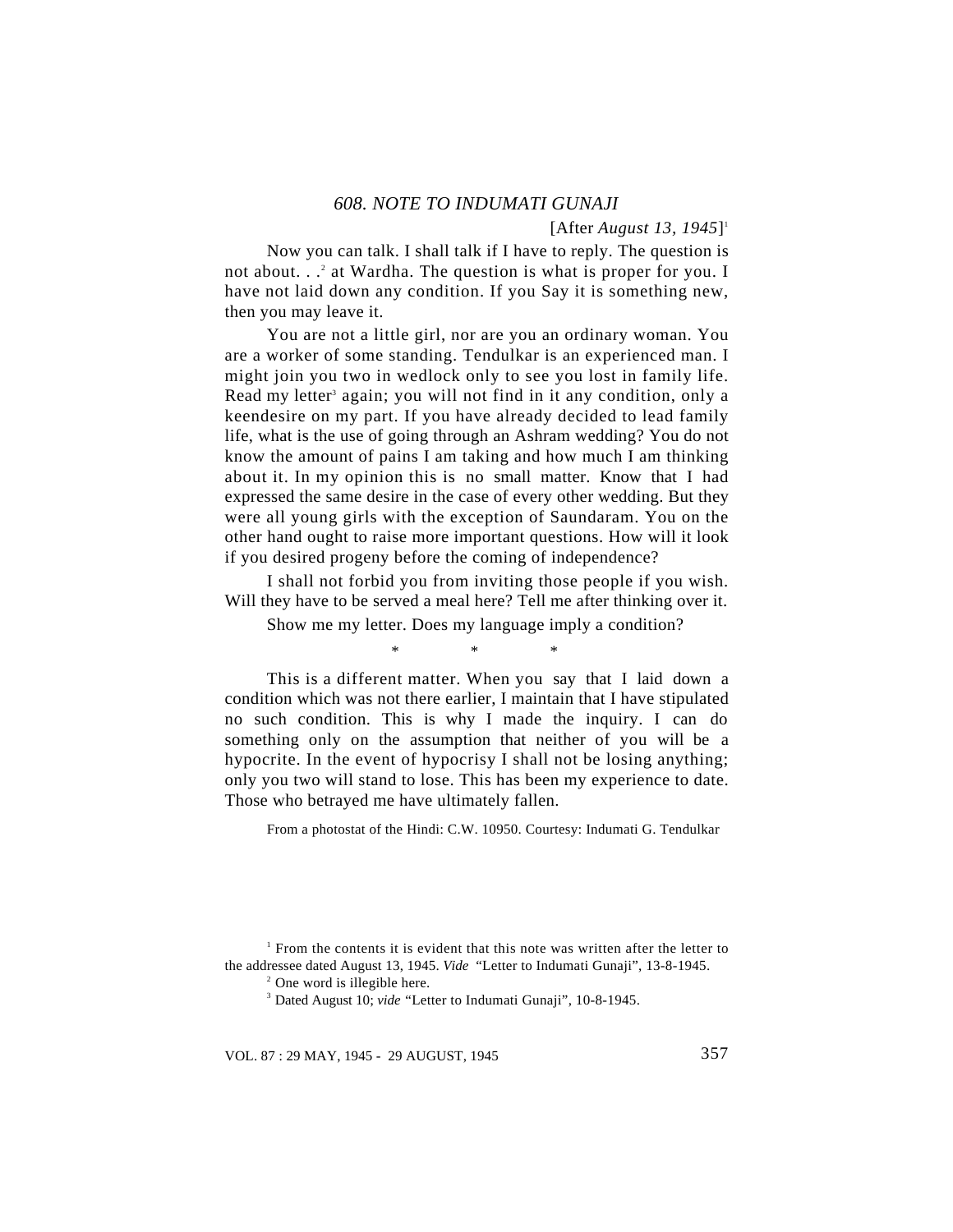### *608. NOTE TO INDUMATI GUNAJI*

[After *August 13, 1945*] 1

Now you can talk. I shall talk if I have to reply. The question is not about. . .<sup>2</sup> at Wardha. The question is what is proper for you. I have not laid down any condition. If you Say it is something new, then you may leave it.

You are not a little girl, nor are you an ordinary woman. You are a worker of some standing. Tendulkar is an experienced man. I might join you two in wedlock only to see you lost in family life. Read my letter<sup>3</sup> again; you will not find in it any condition, only a keendesire on my part. If you have already decided to lead family life, what is the use of going through an Ashram wedding? You do not know the amount of pains I am taking and how much I am thinking about it. In my opinion this is no small matter. Know that I had expressed the same desire in the case of every other wedding. But they were all young girls with the exception of Saundaram. You on the other hand ought to raise more important questions. How will it look if you desired progeny before the coming of independence?

I shall not forbid you from inviting those people if you wish. Will they have to be served a meal here? Tell me after thinking over it.

Show me my letter. Does my language imply a condition?

\* \* \*

This is a different matter. When you say that I laid down a condition which was not there earlier, I maintain that I have stipulated no such condition. This is why I made the inquiry. I can do something only on the assumption that neither of you will be a hypocrite. In the event of hypocrisy I shall not be losing anything; only you two will stand to lose. This has been my experience to date. Those who betrayed me have ultimately fallen.

From a photostat of the Hindi: C.W. 10950. Courtesy: Indumati G. Tendulkar

<sup>&</sup>lt;sup>1</sup> From the contents it is evident that this note was written after the letter to the addressee dated August 13, 1945. *Vide* "Letter to Indumati Gunaji", 13-8-1945.

<sup>&</sup>lt;sup>2</sup> One word is illegible here.

<sup>&</sup>lt;sup>3</sup> Dated August 10; *vide* "Letter to Indumati Gunaji", 10-8-1945.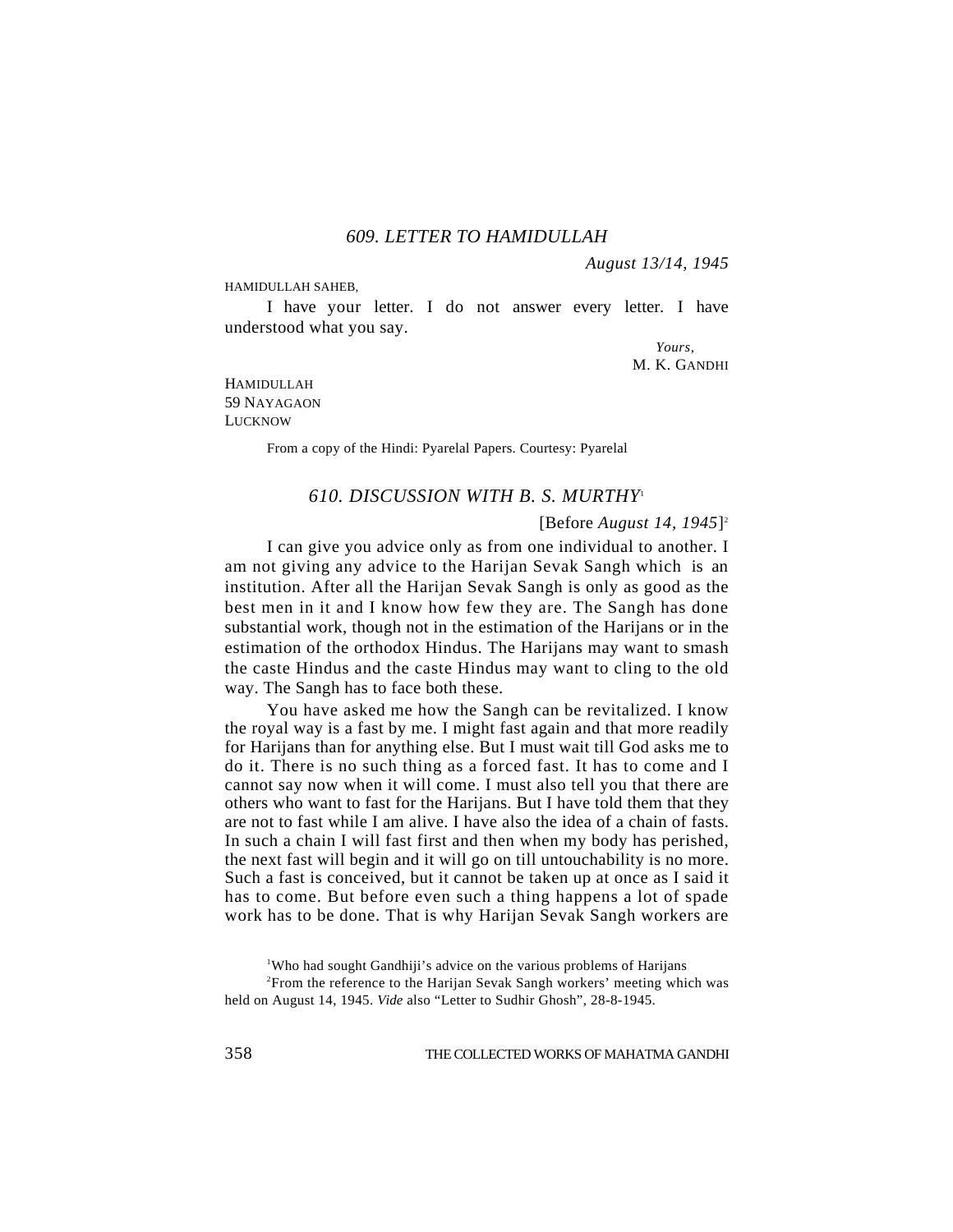*August 13/14, 1945*

HAMIDULLAH SAHEB,

I have your letter. I do not answer every letter. I have understood what you say.

> *Yours,* M. K. GANDHI

HAMIDULLAH 59 NAYAGAON **LUCKNOW** 

From a copy of the Hindi: Pyarelal Papers. Courtesy: Pyarelal

#### *610. DISCUSSION WITH B. S. MURTHY*<sup>1</sup>

[Before *August 14, 1945*] 2

I can give you advice only as from one individual to another. I am not giving any advice to the Harijan Sevak Sangh which is an institution. After all the Harijan Sevak Sangh is only as good as the best men in it and I know how few they are. The Sangh has done substantial work, though not in the estimation of the Harijans or in the estimation of the orthodox Hindus. The Harijans may want to smash the caste Hindus and the caste Hindus may want to cling to the old way. The Sangh has to face both these.

You have asked me how the Sangh can be revitalized. I know the royal way is a fast by me. I might fast again and that more readily for Harijans than for anything else. But I must wait till God asks me to do it. There is no such thing as a forced fast. It has to come and I cannot say now when it will come. I must also tell you that there are others who want to fast for the Harijans. But I have told them that they are not to fast while I am alive. I have also the idea of a chain of fasts. In such a chain I will fast first and then when my body has perished, the next fast will begin and it will go on till untouchability is no more. Such a fast is conceived, but it cannot be taken up at once as I said it has to come. But before even such a thing happens a lot of spade work has to be done. That is why Harijan Sevak Sangh workers are

<sup>&</sup>lt;sup>1</sup>Who had sought Gandhiji's advice on the various problems of Harijans

<sup>&</sup>lt;sup>2</sup> From the reference to the Harijan Sevak Sangh workers' meeting which was held on August 14, 1945. *Vide* also "Letter to Sudhir Ghosh", 28-8-1945.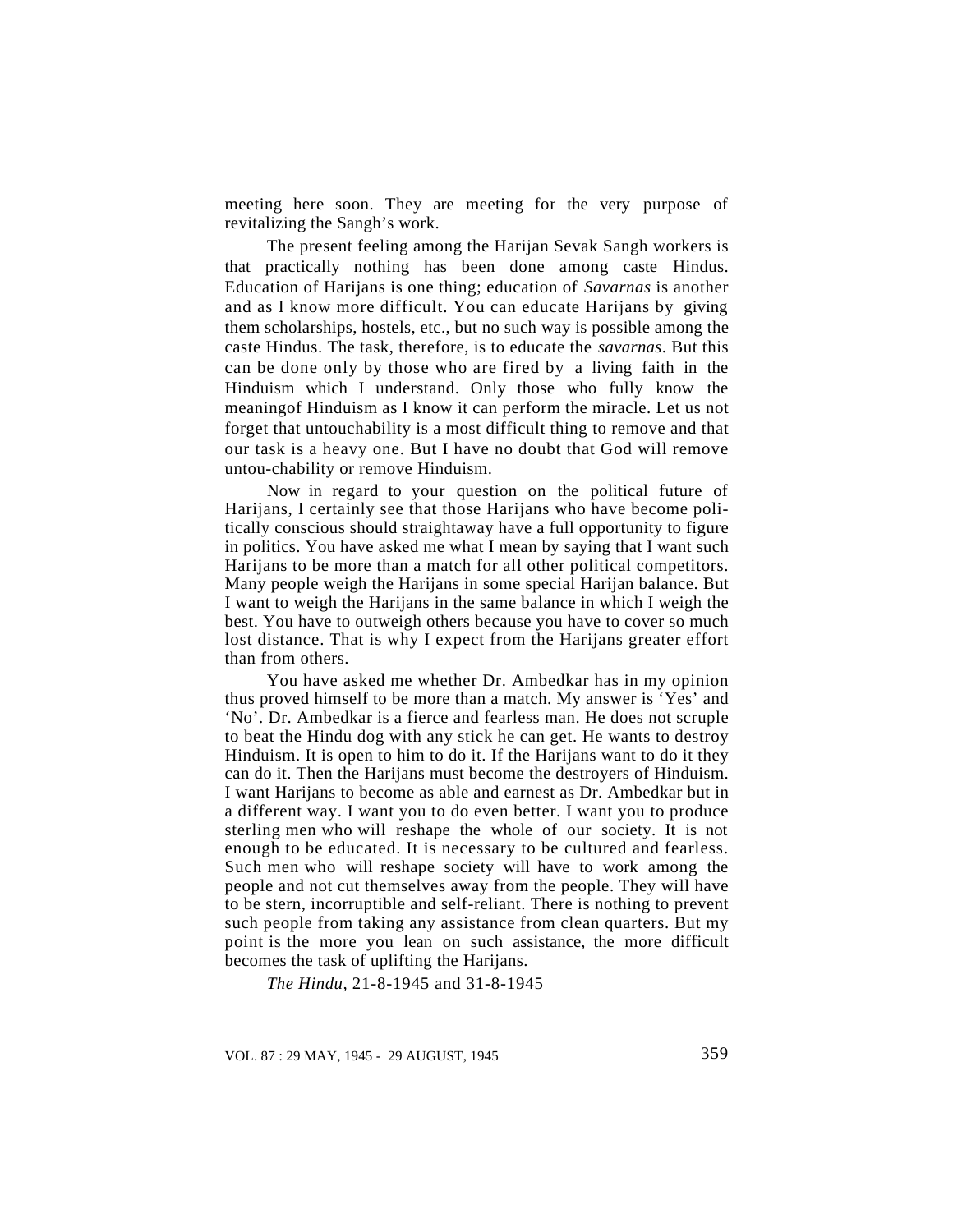meeting here soon. They are meeting for the very purpose of revitalizing the Sangh's work.

The present feeling among the Harijan Sevak Sangh workers is that practically nothing has been done among caste Hindus. Education of Harijans is one thing; education of *Savarnas* is another and as I know more difficult. You can educate Harijans by giving them scholarships, hostels, etc., but no such way is possible among the caste Hindus. The task, therefore, is to educate the *savarnas*. But this can be done only by those who are fired by a living faith in the Hinduism which I understand. Only those who fully know the meaningof Hinduism as I know it can perform the miracle. Let us not forget that untouchability is a most difficult thing to remove and that our task is a heavy one. But I have no doubt that God will remove untou-chability or remove Hinduism.

Now in regard to your question on the political future of Harijans, I certainly see that those Harijans who have become politically conscious should straightaway have a full opportunity to figure in politics. You have asked me what I mean by saying that I want such Harijans to be more than a match for all other political competitors. Many people weigh the Harijans in some special Harijan balance. But I want to weigh the Harijans in the same balance in which I weigh the best. You have to outweigh others because you have to cover so much lost distance. That is why I expect from the Harijans greater effort than from others.

You have asked me whether Dr. Ambedkar has in my opinion thus proved himself to be more than a match. My answer is 'Yes' and 'No'. Dr. Ambedkar is a fierce and fearless man. He does not scruple to beat the Hindu dog with any stick he can get. He wants to destroy Hinduism. It is open to him to do it. If the Harijans want to do it they can do it. Then the Harijans must become the destroyers of Hinduism. I want Harijans to become as able and earnest as Dr. Ambedkar but in a different way. I want you to do even better. I want you to produce sterling men who will reshape the whole of our society. It is not enough to be educated. It is necessary to be cultured and fearless. Such men who will reshape society will have to work among the people and not cut themselves away from the people. They will have to be stern, incorruptible and self-reliant. There is nothing to prevent such people from taking any assistance from clean quarters. But my point is the more you lean on such assistance, the more difficult becomes the task of uplifting the Harijans.

*The Hindu,* 21-8-1945 and 31-8-1945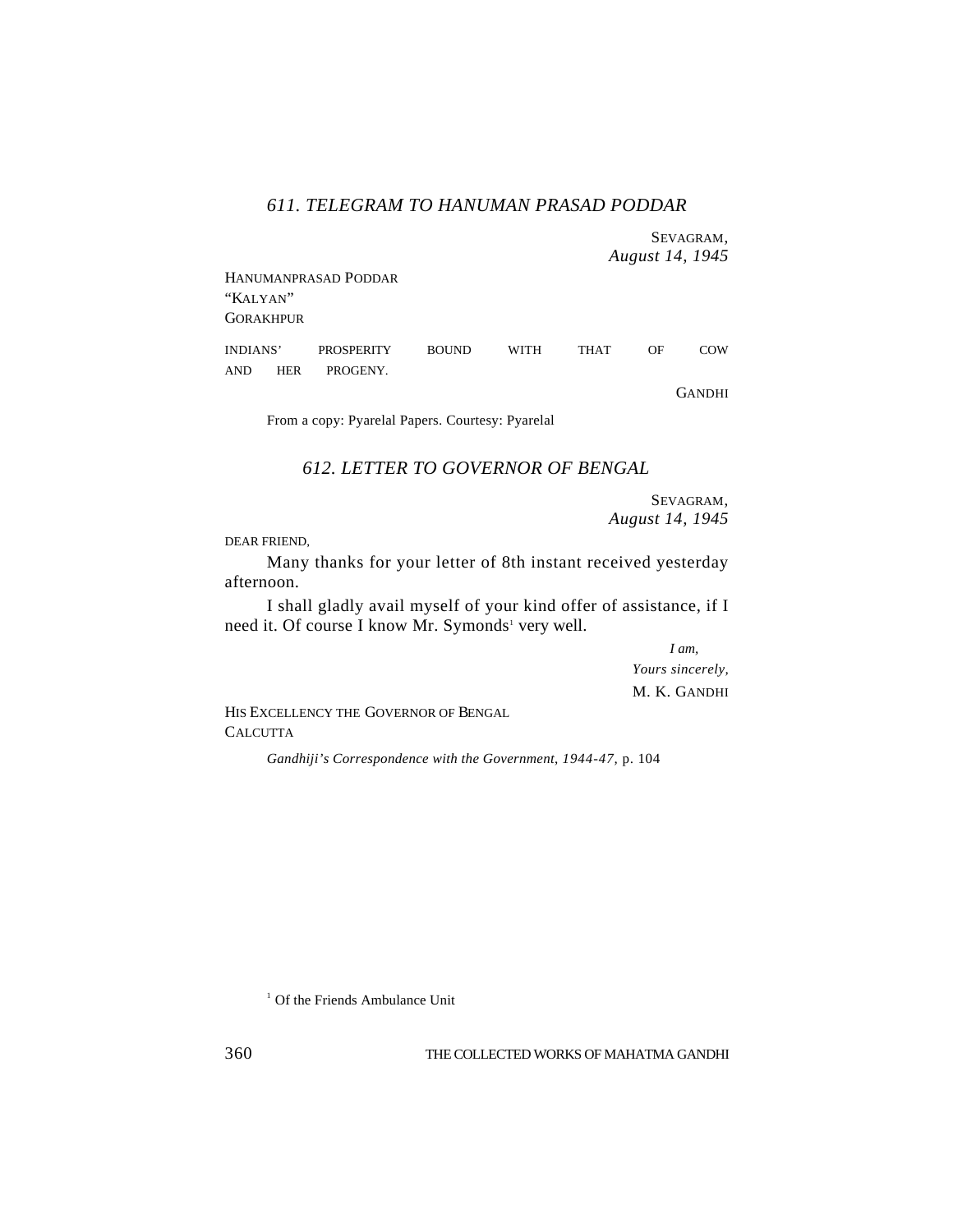## *611. TELEGRAM TO HANUMAN PRASAD PODDAR*

SEVAGRAM, *August 14, 1945*

HANUMANPRASAD PODDAR "KALYAN" **GORAKHPUR** 

INDIANS' PROSPERITY BOUND WITH THAT OF COW AND HER PROGENY.

GANDHI

From a copy: Pyarelal Papers. Courtesy: Pyarelal

## *612. LETTER TO GOVERNOR OF BENGAL*

SEVAGRAM, *August 14, 1945*

DEAR FRIEND,

Many thanks for your letter of 8th instant received yesterday afternoon.

I shall gladly avail myself of your kind offer of assistance, if I need it. Of course I know Mr. Symonds<sup>1</sup> very well.

> *I am, Yours sincerely,* M. K. GANDHI

HIS EXCELLENCY THE GOVERNOR OF BENGAL **CALCUTTA** 

*Gandhiji's Correspondence with the Government*, *1944-47,* p. 104

<sup>1</sup> Of the Friends Ambulance Unit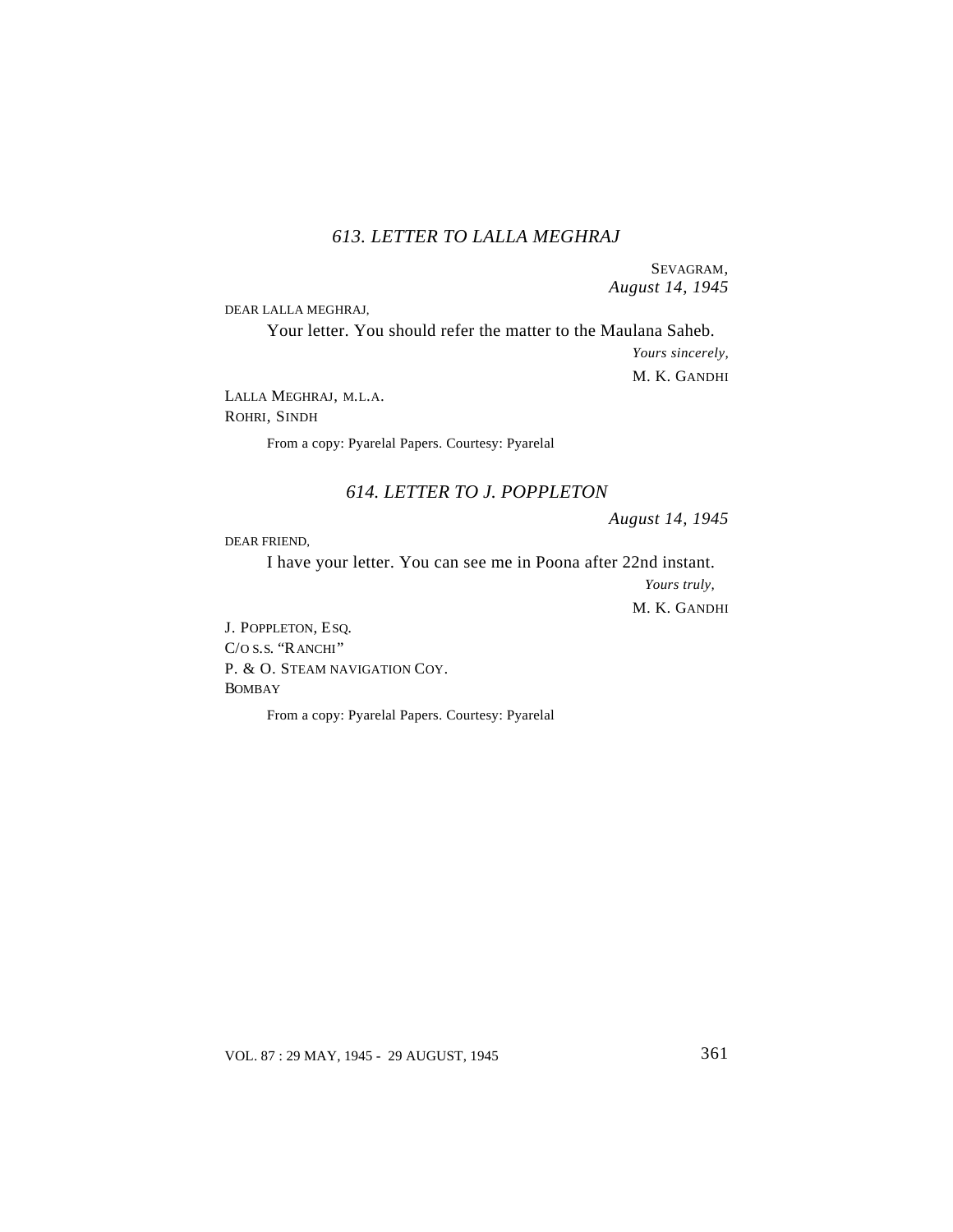## *613. LETTER TO LALLA MEGHRAJ*

SEVAGRAM, *August 14, 1945*

DEAR LALLA MEGHRAJ,

Your letter. You should refer the matter to the Maulana Saheb.

*Yours sincerely,* M. K. GANDHI

LALLA MEGHRAJ, M.L.A. ROHRI, SINDH

From a copy: Pyarelal Papers. Courtesy: Pyarelal

## *614. LETTER TO J. POPPLETON*

*August 14, 1945*

DEAR FRIEND,

I have your letter. You can see me in Poona after 22nd instant.

*Yours truly,*

M. K. GANDHI

J. POPPLETON, ESQ. C/O S.S. "RANCHI" P. & O. STEAM NAVIGATION COY. BOMBAY

From a copy: Pyarelal Papers. Courtesy: Pyarelal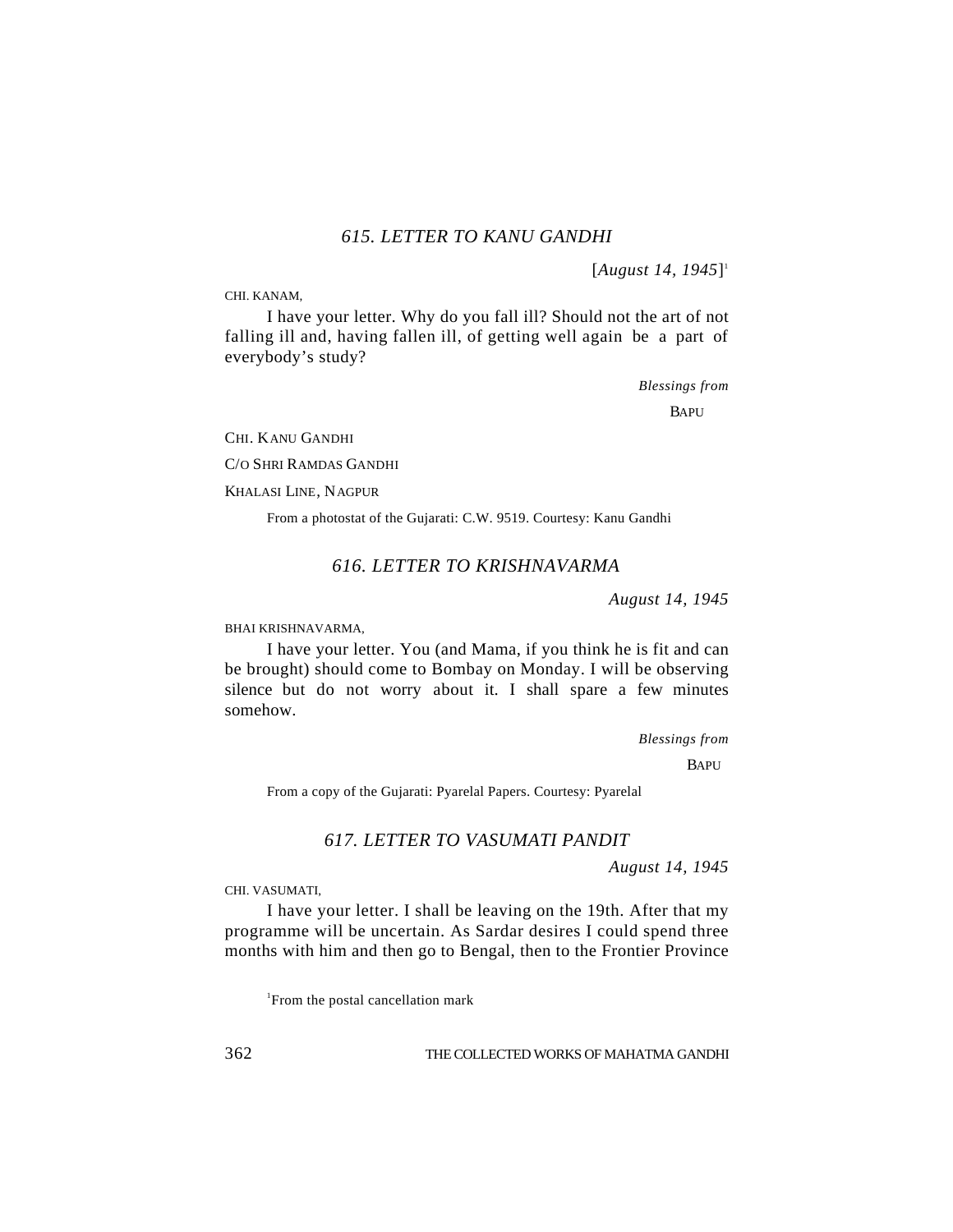## *615. LETTER TO KANU GANDHI*

[*August 14, 1945*] 1

CHI. KANAM,

I have your letter. Why do you fall ill? Should not the art of not falling ill and, having fallen ill, of getting well again be a part of everybody's study?

*Blessings from*

**BAPU** 

CHI. KANU GANDHI C/O SHRI RAMDAS GANDHI

KHALASI LINE, NAGPUR

From a photostat of the Gujarati: C.W. 9519. Courtesy: Kanu Gandhi

## *616. LETTER TO KRISHNAVARMA*

*August 14, 1945*

BHAI KRISHNAVARMA,

I have your letter. You (and Mama, if you think he is fit and can be brought) should come to Bombay on Monday. I will be observing silence but do not worry about it. I shall spare a few minutes somehow.

*Blessings from*

**BAPU** 

From a copy of the Gujarati: Pyarelal Papers. Courtesy: Pyarelal

## *617. LETTER TO VASUMATI PANDIT*

*August 14, 1945*

CHI. VASUMATI,

I have your letter. I shall be leaving on the 19th. After that my programme will be uncertain. As Sardar desires I could spend three months with him and then go to Bengal, then to the Frontier Province

<sup>1</sup> From the postal cancellation mark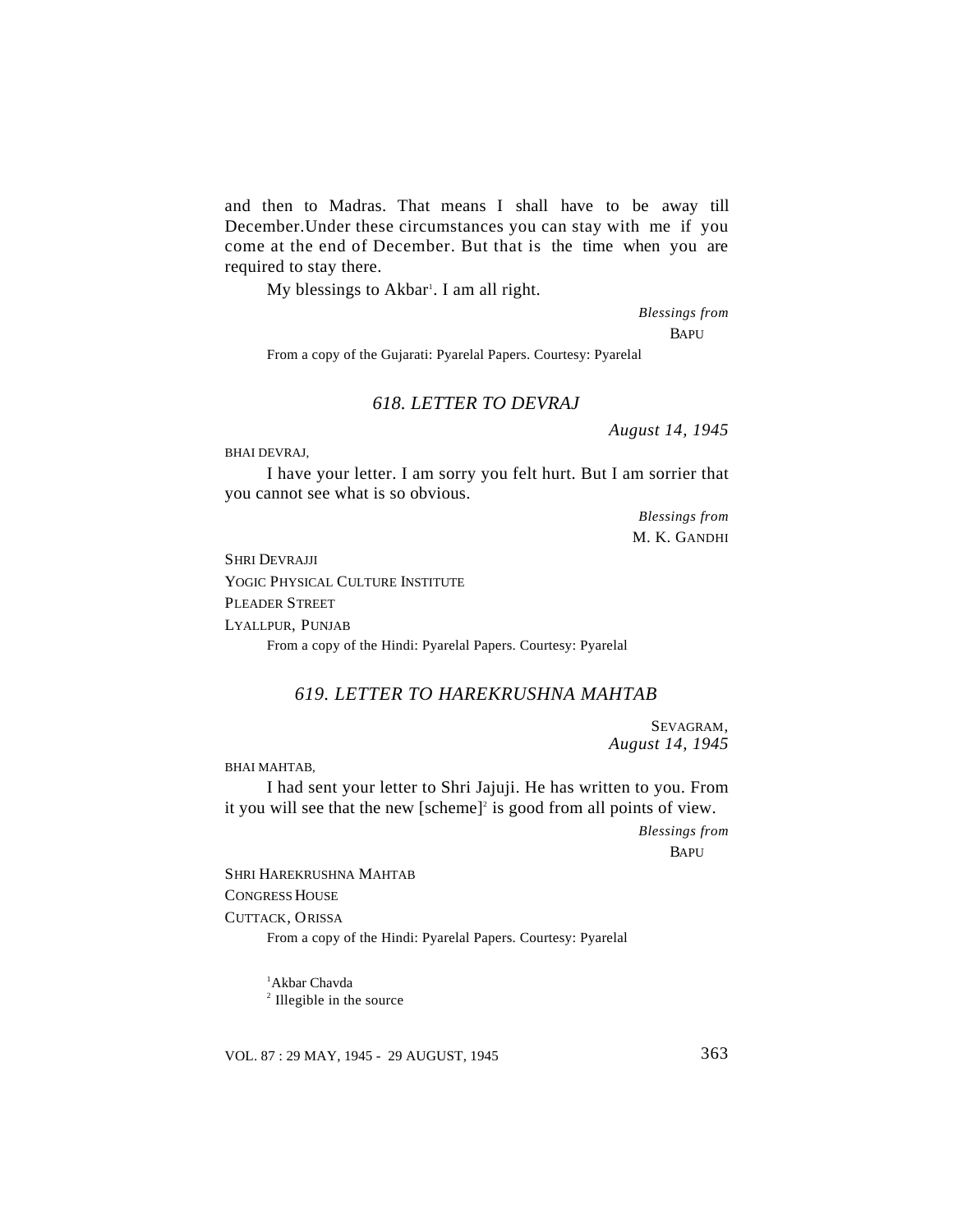and then to Madras. That means I shall have to be away till December.Under these circumstances you can stay with me if you come at the end of December. But that is the time when you are required to stay there.

My blessings to Akbar<sup>1</sup>. I am all right.

*Blessings from*

**BAPU** 

From a copy of the Gujarati: Pyarelal Papers. Courtesy: Pyarelal

## *618. LETTER TO DEVRAJ*

*August 14, 1945*

BHAI DEVRAJ,

I have your letter. I am sorry you felt hurt. But I am sorrier that you cannot see what is so obvious.

> *Blessings from* M. K. GANDHI

SHRI DEVRAJJI YOGIC PHYSICAL CULTURE INSTITUTE PLEADER STREET LYALLPUR, PUNJAB

From a copy of the Hindi: Pyarelal Papers. Courtesy: Pyarelal

## *619. LETTER TO HAREKRUSHNA MAHTAB*

SEVAGRAM, *August 14, 1945*

BHAI MAHTAB,

I had sent your letter to Shri Jajuji. He has written to you. From it you will see that the new [scheme]<sup>2</sup> is good from all points of view.

*Blessings from*

**BAPU** 

SHRI HAREKRUSHNA MAHTAB CONGRESS HOUSE CUTTACK, ORISSA

From a copy of the Hindi: Pyarelal Papers. Courtesy: Pyarelal

<sup>1</sup>Akbar Chavda <sup>2</sup> Illegible in the source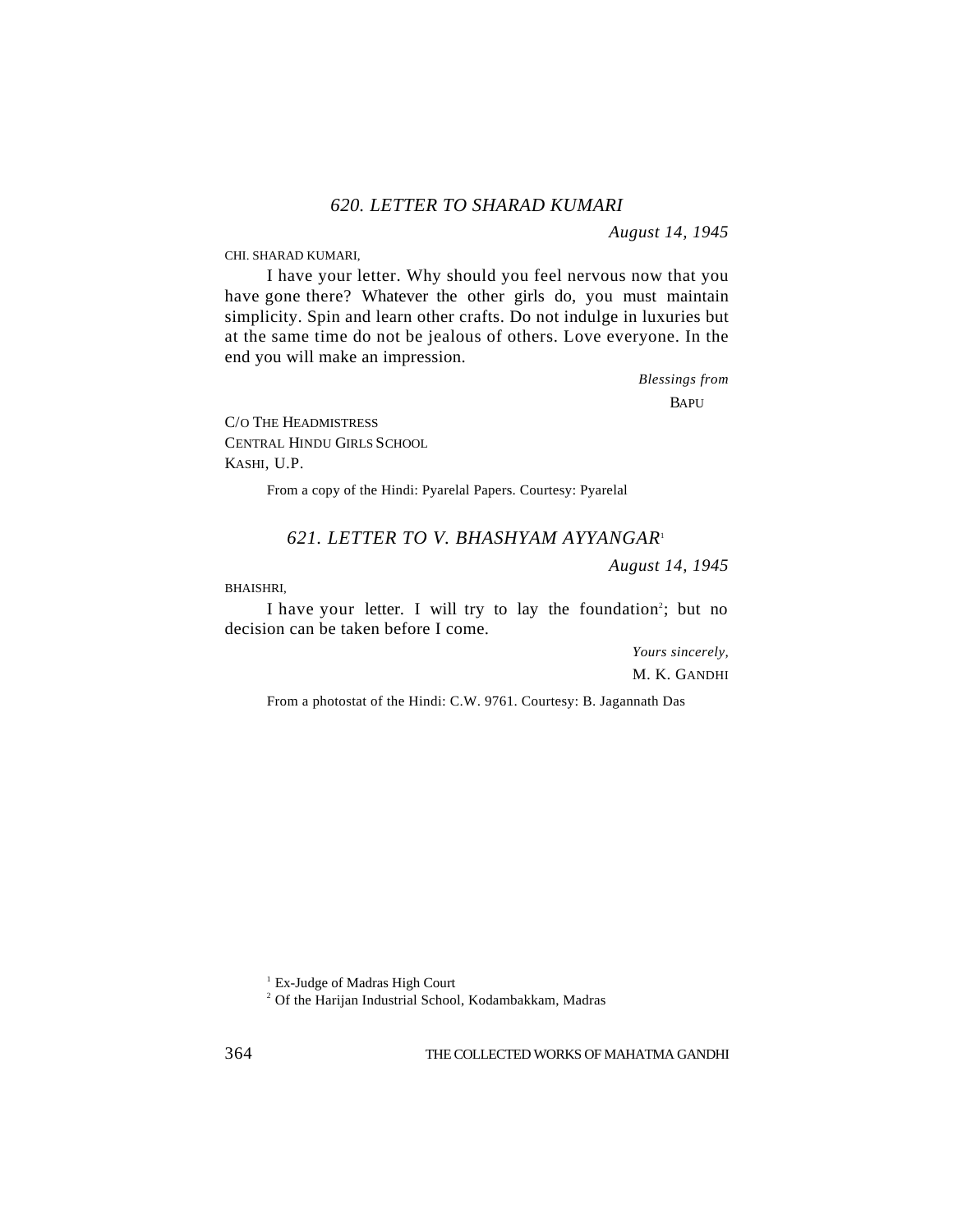## *620. LETTER TO SHARAD KUMARI*

*August 14, 1945*

CHI. SHARAD KUMARI,

I have your letter. Why should you feel nervous now that you have gone there? Whatever the other girls do, you must maintain simplicity. Spin and learn other crafts. Do not indulge in luxuries but at the same time do not be jealous of others. Love everyone. In the end you will make an impression.

> *Blessings from* **BAPU**

C/O THE HEADMISTRESS CENTRAL HINDU GIRLS SCHOOL KASHI, U.P.

From a copy of the Hindi: Pyarelal Papers. Courtesy: Pyarelal

#### *621. LETTER TO V. BHASHYAM AYYANGAR*<sup>1</sup>

*August 14, 1945*

BHAISHRI,

I have your letter. I will try to lay the foundation<sup>2</sup>; but no decision can be taken before I come.

> *Yours sincerely,* M. K. GANDHI

From a photostat of the Hindi: C.W. 9761. Courtesy: B. Jagannath Das

<sup>&</sup>lt;sup>1</sup> Ex-Judge of Madras High Court

<sup>&</sup>lt;sup>2</sup> Of the Harijan Industrial School, Kodambakkam, Madras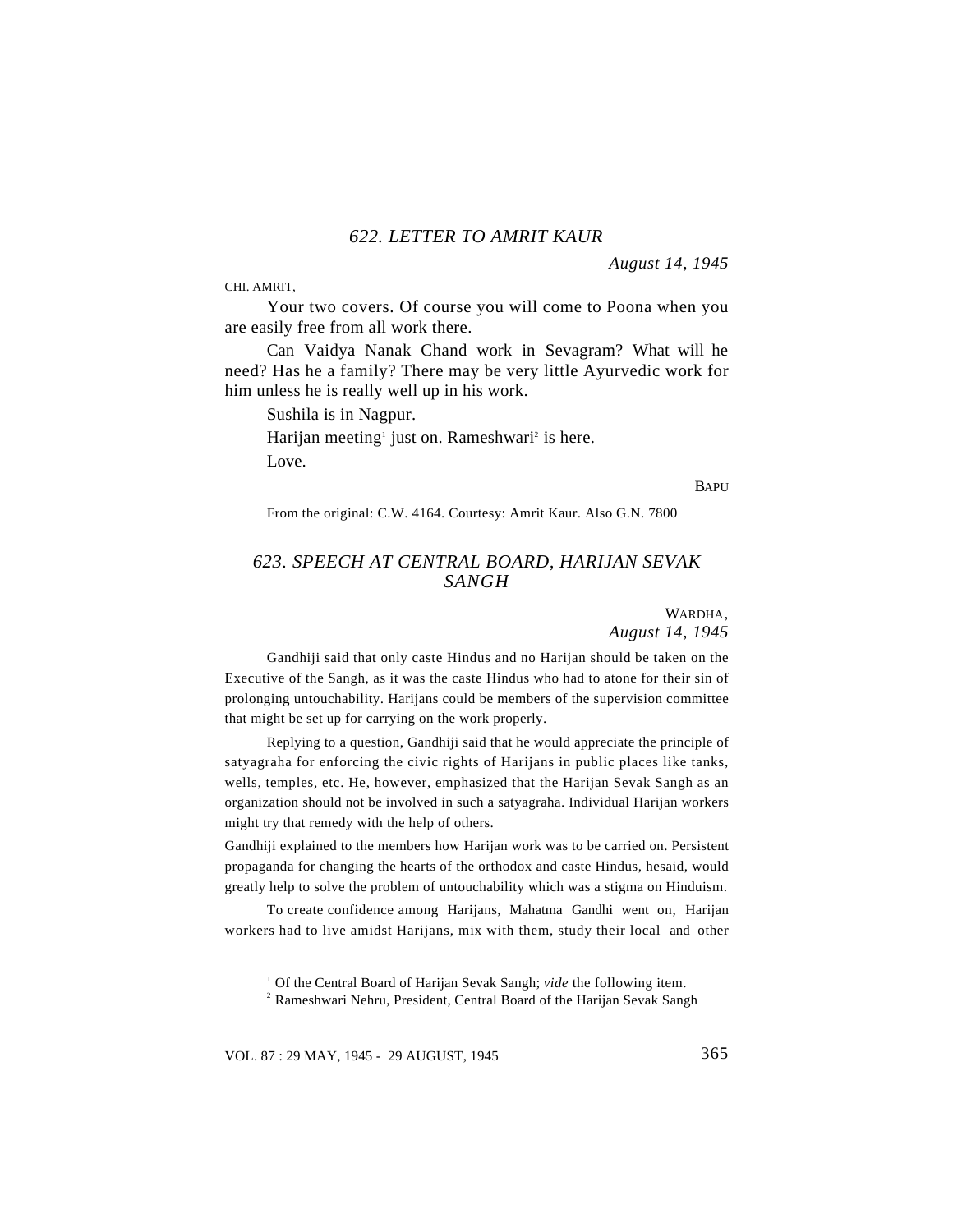*August 14, 1945*

CHI. AMRIT,

Your two covers. Of course you will come to Poona when you are easily free from all work there.

Can Vaidya Nanak Chand work in Sevagram? What will he need? Has he a family? There may be very little Ayurvedic work for him unless he is really well up in his work.

Sushila is in Nagpur.

Harijan meeting<sup>1</sup> just on. Rameshwari<sup>2</sup> is here. Love.

**BAPU** 

From the original: C.W. 4164. Courtesy: Amrit Kaur. Also G.N. 7800

## *623. SPEECH AT CENTRAL BOARD, HARIJAN SEVAK SANGH*

WARDHA, *August 14, 1945*

Gandhiji said that only caste Hindus and no Harijan should be taken on the Executive of the Sangh, as it was the caste Hindus who had to atone for their sin of prolonging untouchability. Harijans could be members of the supervision committee that might be set up for carrying on the work properly.

Replying to a question, Gandhiji said that he would appreciate the principle of satyagraha for enforcing the civic rights of Harijans in public places like tanks, wells, temples, etc. He, however, emphasized that the Harijan Sevak Sangh as an organization should not be involved in such a satyagraha. Individual Harijan workers might try that remedy with the help of others.

Gandhiji explained to the members how Harijan work was to be carried on. Persistent propaganda for changing the hearts of the orthodox and caste Hindus, hesaid, would greatly help to solve the problem of untouchability which was a stigma on Hinduism.

To create confidence among Harijans, Mahatma Gandhi went on, Harijan workers had to live amidst Harijans, mix with them, study their local and other

<sup>&</sup>lt;sup>1</sup> Of the Central Board of Harijan Sevak Sangh; *vide* the following item.

<sup>&</sup>lt;sup>2</sup> Rameshwari Nehru, President, Central Board of the Harijan Sevak Sangh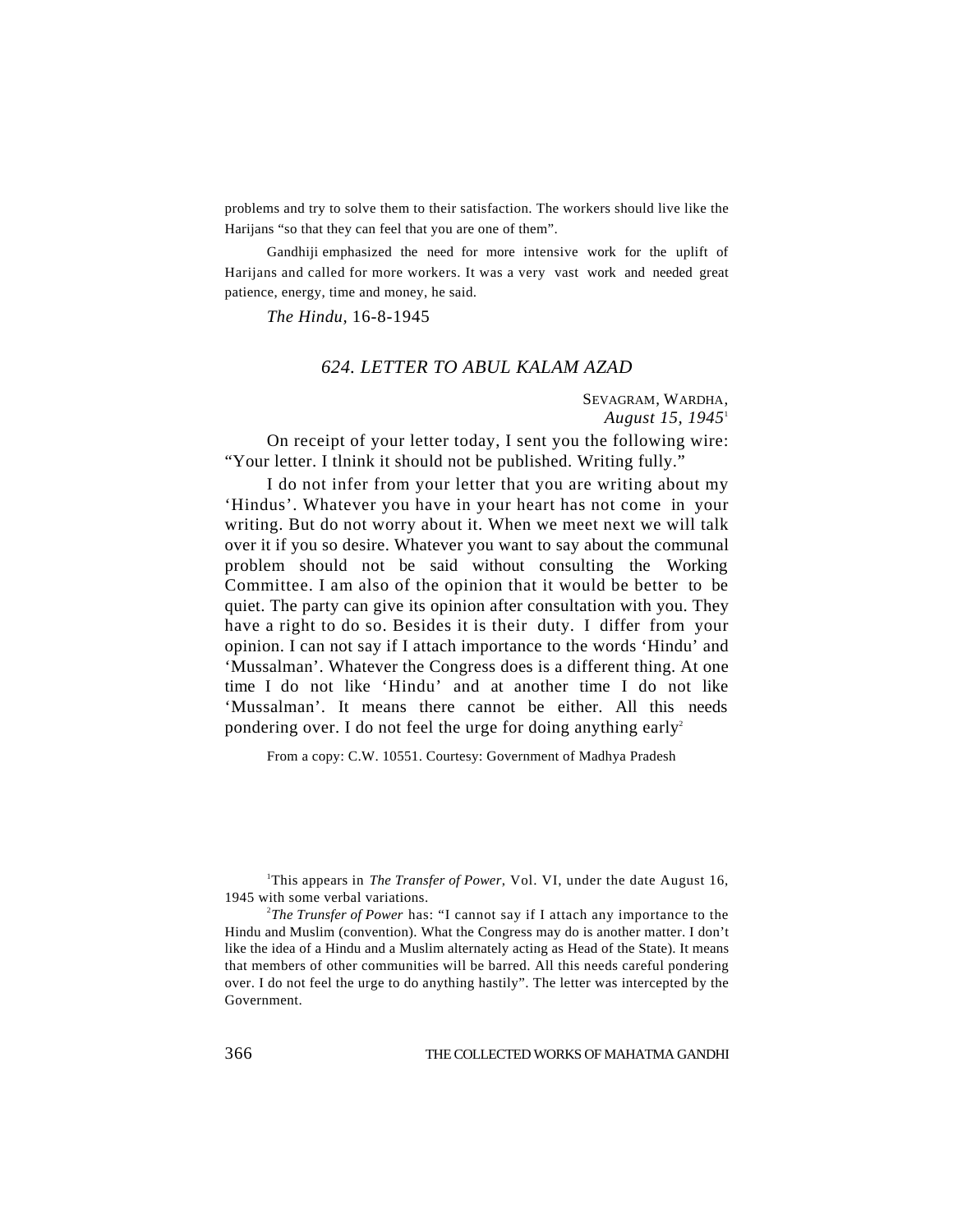problems and try to solve them to their satisfaction. The workers should live like the Harijans "so that they can feel that you are one of them".

Gandhiji emphasized the need for more intensive work for the uplift of Harijans and called for more workers. It was a very vast work and needed great patience, energy, time and money, he said.

*The Hindu,* 16-8-1945

## *624. LETTER TO ABUL KALAM AZAD*

SEVAGRAM, WARDHA, *August 15, 1945*<sup>1</sup>

On receipt of your letter today, I sent you the following wire: "Your letter. I tlnink it should not be published. Writing fully."

I do not infer from your letter that you are writing about my 'Hindus'. Whatever you have in your heart has not come in your writing. But do not worry about it. When we meet next we will talk over it if you so desire. Whatever you want to say about the communal problem should not be said without consulting the Working Committee. I am also of the opinion that it would be better to be quiet. The party can give its opinion after consultation with you. They have a right to do so. Besides it is their duty. I differ from your opinion. I can not say if I attach importance to the words 'Hindu' and 'Mussalman'. Whatever the Congress does is a different thing. At one time I do not like 'Hindu' and at another time I do not like 'Mussalman'. It means there cannot be either. All this needs pondering over. I do not feel the urge for doing anything early<sup>2</sup>

From a copy: C.W. 10551. Courtesy: Government of Madhya Pradesh

<sup>1</sup>This appears in *The Transfer of Power*, Vol. VI, under the date August 16, 1945 with some verbal variations.

2 *The Trunsfer of Power* has: "I cannot say if I attach any importance to the Hindu and Muslim (convention). What the Congress may do is another matter. I don't like the idea of a Hindu and a Muslim alternately acting as Head of the State). It means that members of other communities will be barred. All this needs careful pondering over. I do not feel the urge to do anything hastily". The letter was intercepted by the Government.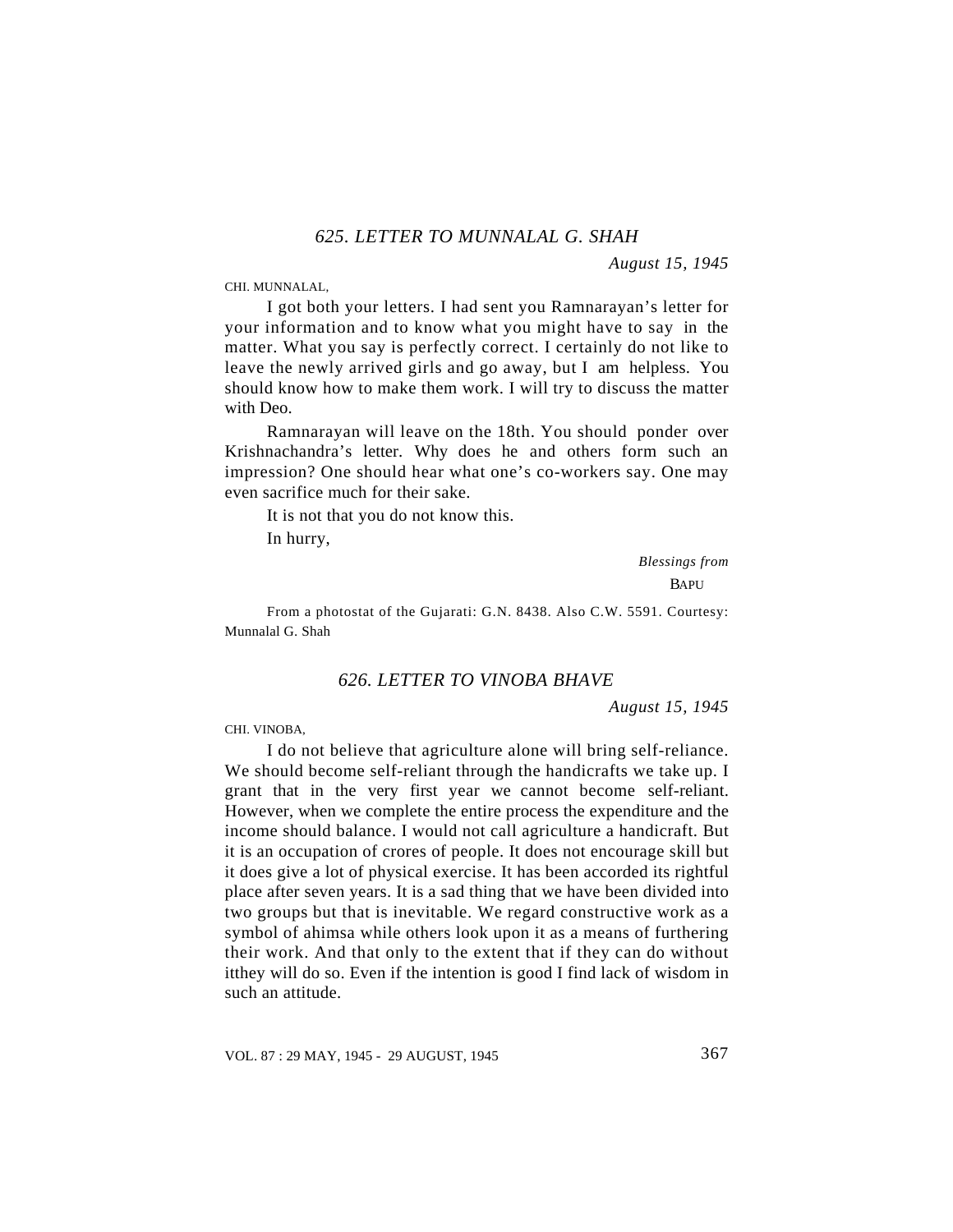*August 15, 1945*

CHI. MUNNALAL,

I got both your letters. I had sent you Ramnarayan's letter for your information and to know what you might have to say in the matter. What you say is perfectly correct. I certainly do not like to leave the newly arrived girls and go away, but I am helpless. You should know how to make them work. I will try to discuss the matter with Deo.

Ramnarayan will leave on the 18th. You should ponder over Krishnachandra's letter. Why does he and others form such an impression? One should hear what one's co-workers say. One may even sacrifice much for their sake.

It is not that you do not know this.

In hurry,

*Blessings from* **BAPU** 

From a photostat of the Gujarati: G.N. 8438. Also C.W. 5591. Courtesy: Munnalal G. Shah

## *626. LETTER TO VINOBA BHAVE*

*August 15, 1945*

CHI. VINOBA,

I do not believe that agriculture alone will bring self-reliance. We should become self-reliant through the handicrafts we take up. I grant that in the very first year we cannot become self-reliant. However, when we complete the entire process the expenditure and the income should balance. I would not call agriculture a handicraft. But it is an occupation of crores of people. It does not encourage skill but it does give a lot of physical exercise. It has been accorded its rightful place after seven years. It is a sad thing that we have been divided into two groups but that is inevitable. We regard constructive work as a symbol of ahimsa while others look upon it as a means of furthering their work. And that only to the extent that if they can do without itthey will do so. Even if the intention is good I find lack of wisdom in such an attitude.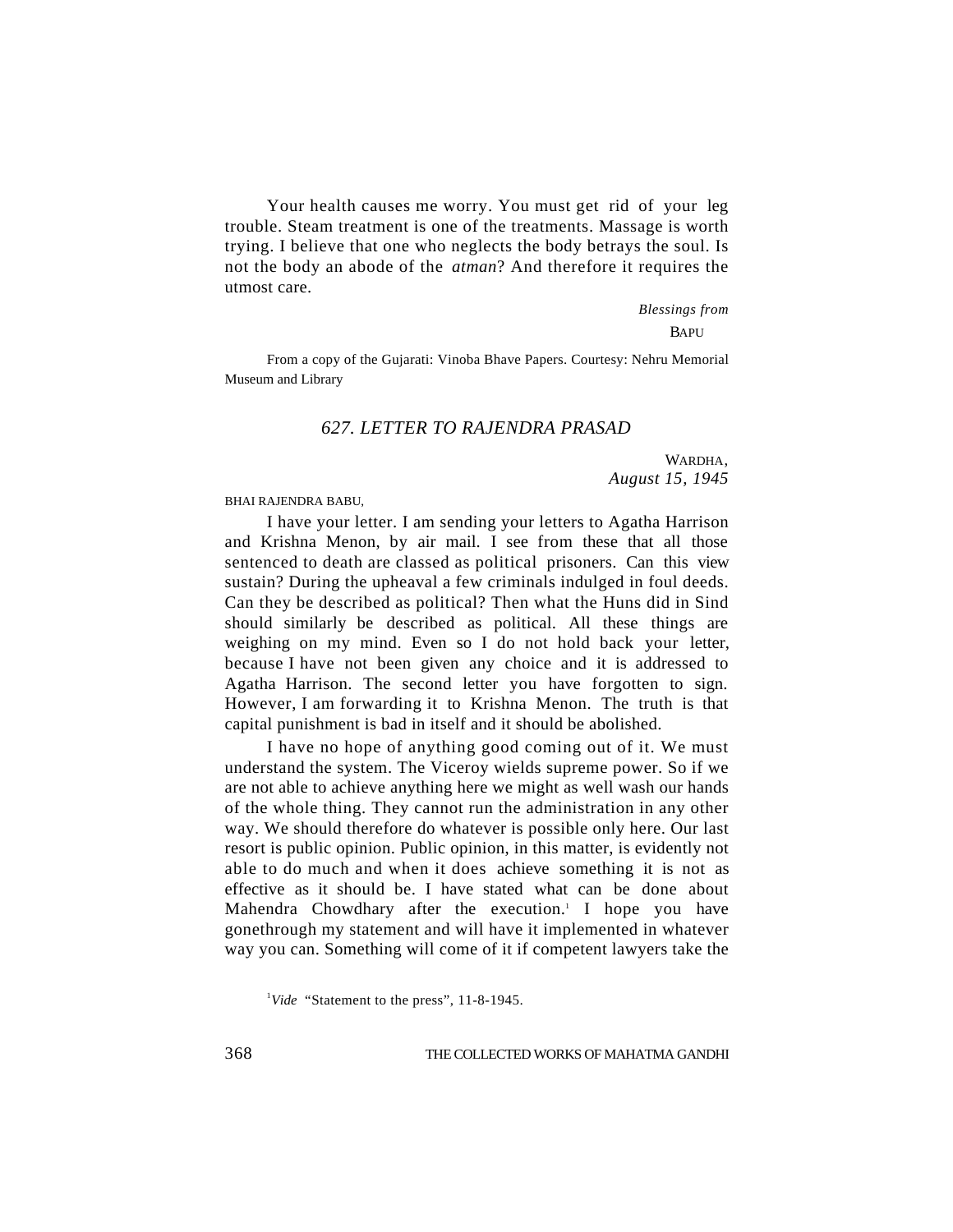Your health causes me worry. You must get rid of your leg trouble. Steam treatment is one of the treatments. Massage is worth trying. I believe that one who neglects the body betrays the soul. Is not the body an abode of the *atman*? And therefore it requires the utmost care.

> *Blessings from* **BAPU**

From a copy of the Gujarati: Vinoba Bhave Papers. Courtesy: Nehru Memorial Museum and Library

## *627. LETTER TO RAJENDRA PRASAD*

WARDHA, *August 15, 1945*

#### BHAI RAJENDRA BABU,

I have your letter. I am sending your letters to Agatha Harrison and Krishna Menon, by air mail. I see from these that all those sentenced to death are classed as political prisoners. Can this view sustain? During the upheaval a few criminals indulged in foul deeds. Can they be described as political? Then what the Huns did in Sind should similarly be described as political. All these things are weighing on my mind. Even so I do not hold back your letter, because I have not been given any choice and it is addressed to Agatha Harrison. The second letter you have forgotten to sign. However, I am forwarding it to Krishna Menon. The truth is that capital punishment is bad in itself and it should be abolished.

I have no hope of anything good coming out of it. We must understand the system. The Viceroy wields supreme power. So if we are not able to achieve anything here we might as well wash our hands of the whole thing. They cannot run the administration in any other way. We should therefore do whatever is possible only here. Our last resort is public opinion. Public opinion, in this matter, is evidently not able to do much and when it does achieve something it is not as effective as it should be. I have stated what can be done about Mahendra Chowdhary after the execution.<sup>1</sup> I hope you have gonethrough my statement and will have it implemented in whatever way you can. Something will come of it if competent lawyers take the

<sup>1</sup>*Vide* "Statement to the press", 11-8-1945.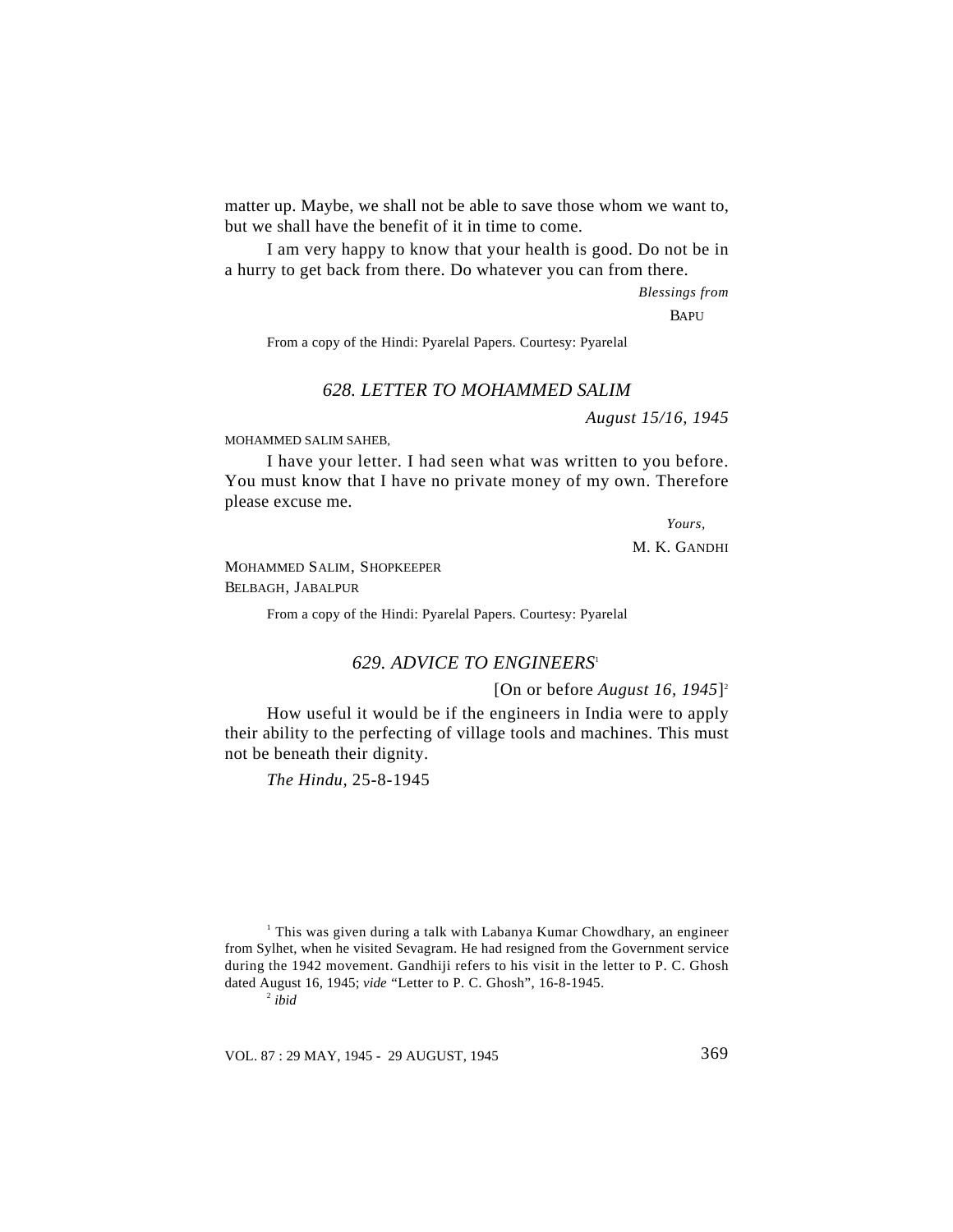matter up. Maybe, we shall not be able to save those whom we want to, but we shall have the benefit of it in time to come.

I am very happy to know that your health is good. Do not be in a hurry to get back from there. Do whatever you can from there.

*Blessings from*

BAPU

From a copy of the Hindi: Pyarelal Papers. Courtesy: Pyarelal

## *628. LETTER TO MOHAMMED SALIM*

*August 15/16, 1945*

MOHAMMED SALIM SAHEB,

I have your letter. I had seen what was written to you before. You must know that I have no private money of my own. Therefore please excuse me.

*Yours,*

M. K. GANDHI

MOHAMMED SALIM, SHOPKEEPER BELBAGH, JABALPUR

From a copy of the Hindi: Pyarelal Papers. Courtesy: Pyarelal

## *629. ADVICE TO ENGINEERS*<sup>1</sup>

[On or before *August 16, 1945*] 2

How useful it would be if the engineers in India were to apply their ability to the perfecting of village tools and machines. This must not be beneath their dignity.

*The Hindu,* 25-8-1945

<sup>1</sup> This was given during a talk with Labanya Kumar Chowdhary, an engineer from Sylhet, when he visited Sevagram. He had resigned from the Government service during the 1942 movement. Gandhiji refers to his visit in the letter to P. C. Ghosh dated August 16, 1945; *vide* "Letter to P. C. Ghosh", 16-8-1945.

2 *ibid*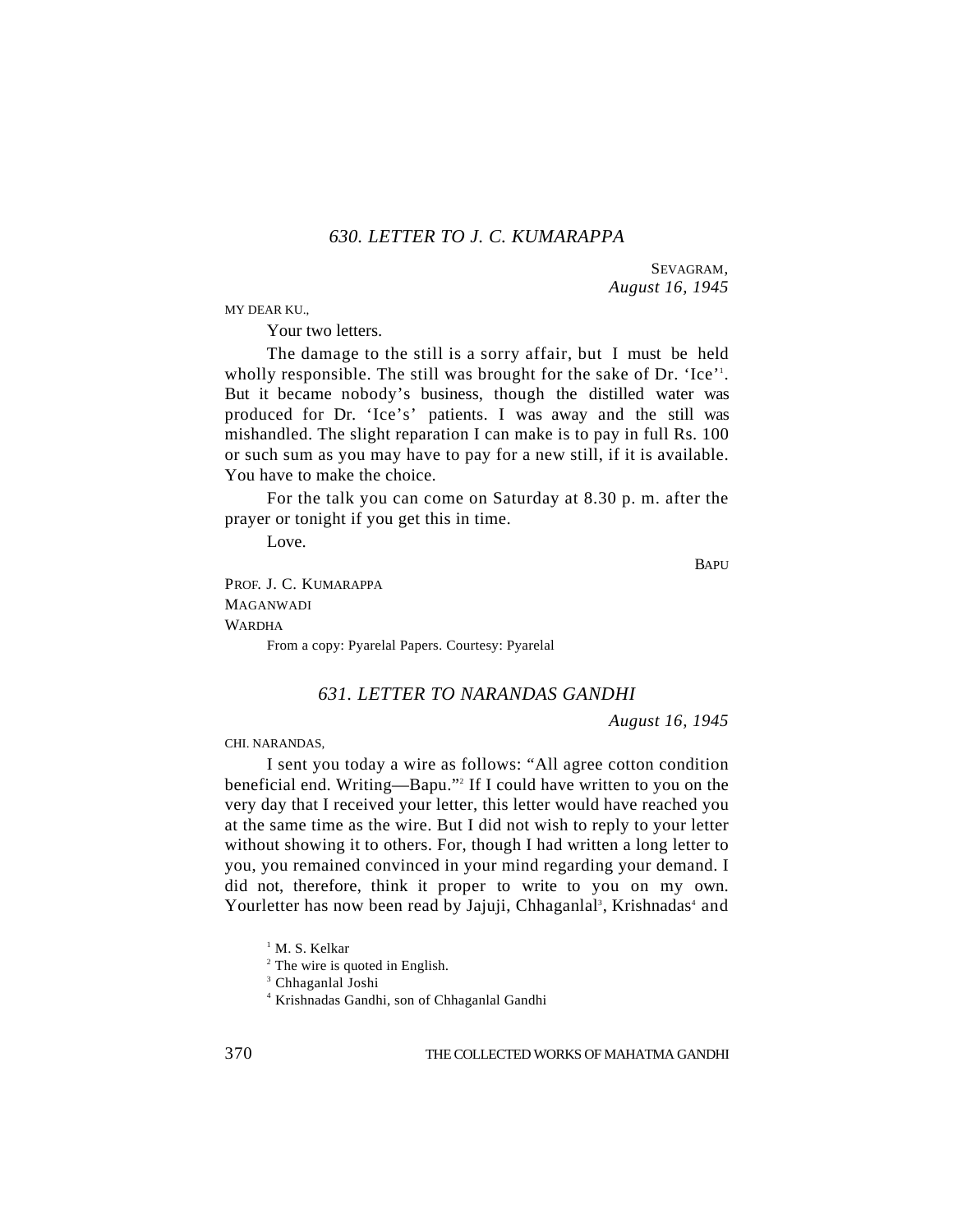SEVAGRAM, *August 16, 1945*

MY DEAR KU.,

Your two letters.

The damage to the still is a sorry affair, but I must be held wholly responsible. The still was brought for the sake of Dr. 'Ice'<sup>1</sup>. But it became nobody's business, though the distilled water was produced for Dr. 'Ice's' patients. I was away and the still was mishandled. The slight reparation I can make is to pay in full Rs. 100 or such sum as you may have to pay for a new still, if it is available. You have to make the choice.

For the talk you can come on Saturday at 8.30 p. m. after the prayer or tonight if you get this in time.

Love.

PROF. J. C. KUMARAPPA MAGANWADI WARDHA

From a copy: Pyarelal Papers. Courtesy: Pyarelal

## *631. LETTER TO NARANDAS GANDHI*

*August 16, 1945*

**BAPU** 

CHI. NARANDAS,

I sent you today a wire as follows: "All agree cotton condition beneficial end. Writing—Bapu."<sup>2</sup> If I could have written to you on the very day that I received your letter, this letter would have reached you at the same time as the wire. But I did not wish to reply to your letter without showing it to others. For, though I had written a long letter to you, you remained convinced in your mind regarding your demand. I did not, therefore, think it proper to write to you on my own. Yourletter has now been read by Jajuji, Chhaganlal<sup>3</sup>, Krishnadas<sup>4</sup> and

<sup>1</sup> M. S. Kelkar

<sup>2</sup> The wire is quoted in English.

3 Chhaganlal Joshi

4 Krishnadas Gandhi, son of Chhaganlal Gandhi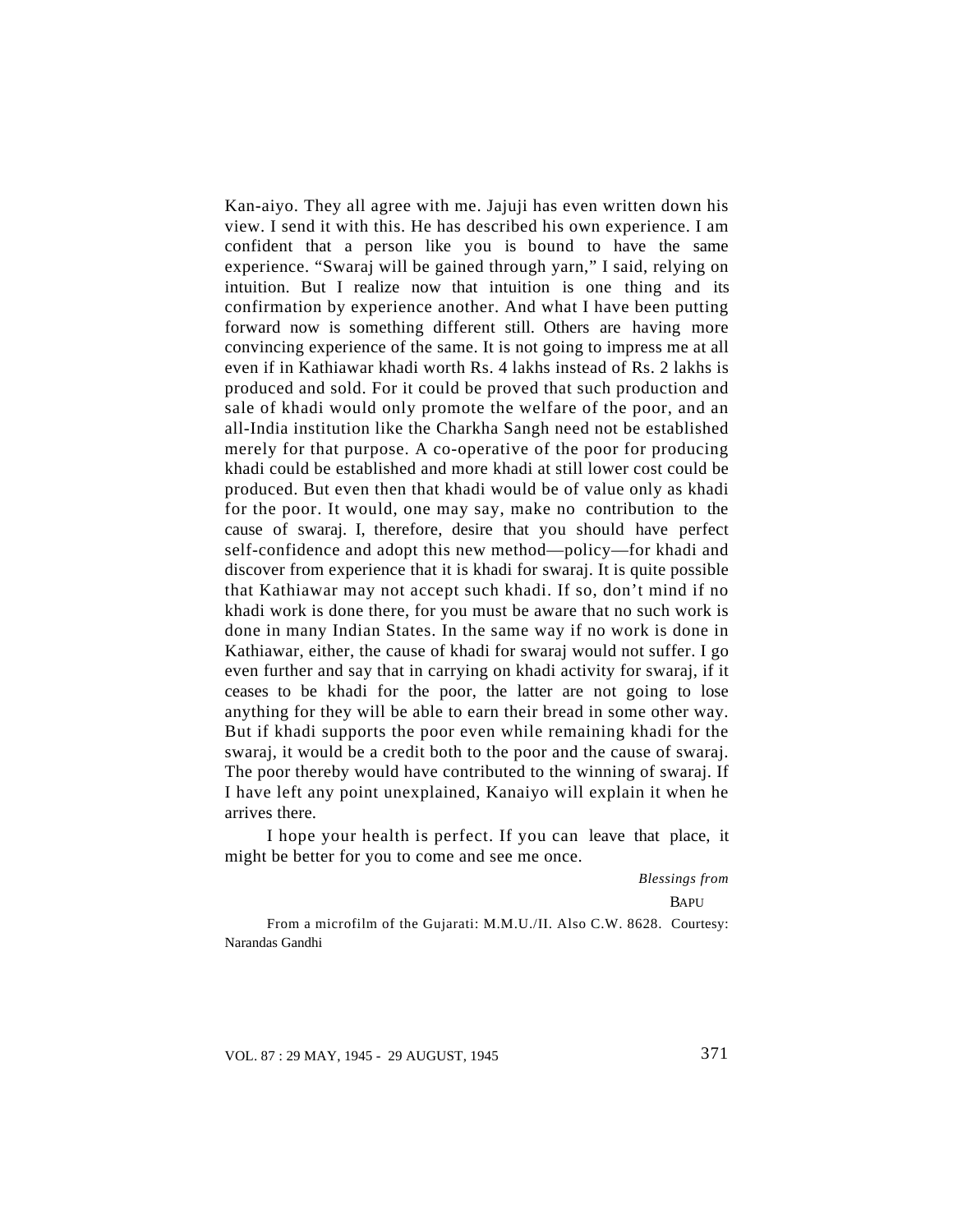Kan-aiyo. They all agree with me. Jajuji has even written down his view. I send it with this. He has described his own experience. I am confident that a person like you is bound to have the same experience. "Swaraj will be gained through yarn," I said, relying on intuition. But I realize now that intuition is one thing and its confirmation by experience another. And what I have been putting forward now is something different still. Others are having more convincing experience of the same. It is not going to impress me at all even if in Kathiawar khadi worth Rs. 4 lakhs instead of Rs. 2 lakhs is produced and sold. For it could be proved that such production and sale of khadi would only promote the welfare of the poor, and an all-India institution like the Charkha Sangh need not be established merely for that purpose. A co-operative of the poor for producing khadi could be established and more khadi at still lower cost could be produced. But even then that khadi would be of value only as khadi for the poor. It would, one may say, make no contribution to the cause of swaraj. I, therefore, desire that you should have perfect self-confidence and adopt this new method—policy—for khadi and discover from experience that it is khadi for swaraj. It is quite possible that Kathiawar may not accept such khadi. If so, don't mind if no khadi work is done there, for you must be aware that no such work is done in many Indian States. In the same way if no work is done in Kathiawar, either, the cause of khadi for swaraj would not suffer. I go even further and say that in carrying on khadi activity for swaraj, if it ceases to be khadi for the poor, the latter are not going to lose anything for they will be able to earn their bread in some other way. But if khadi supports the poor even while remaining khadi for the swaraj, it would be a credit both to the poor and the cause of swaraj. The poor thereby would have contributed to the winning of swaraj. If I have left any point unexplained, Kanaiyo will explain it when he arrives there.

I hope your health is perfect. If you can leave that place, it might be better for you to come and see me once.

*Blessings from*

**BAPU** 

From a microfilm of the Gujarati: M.M.U./II. Also C.W. 8628. Courtesy: Narandas Gandhi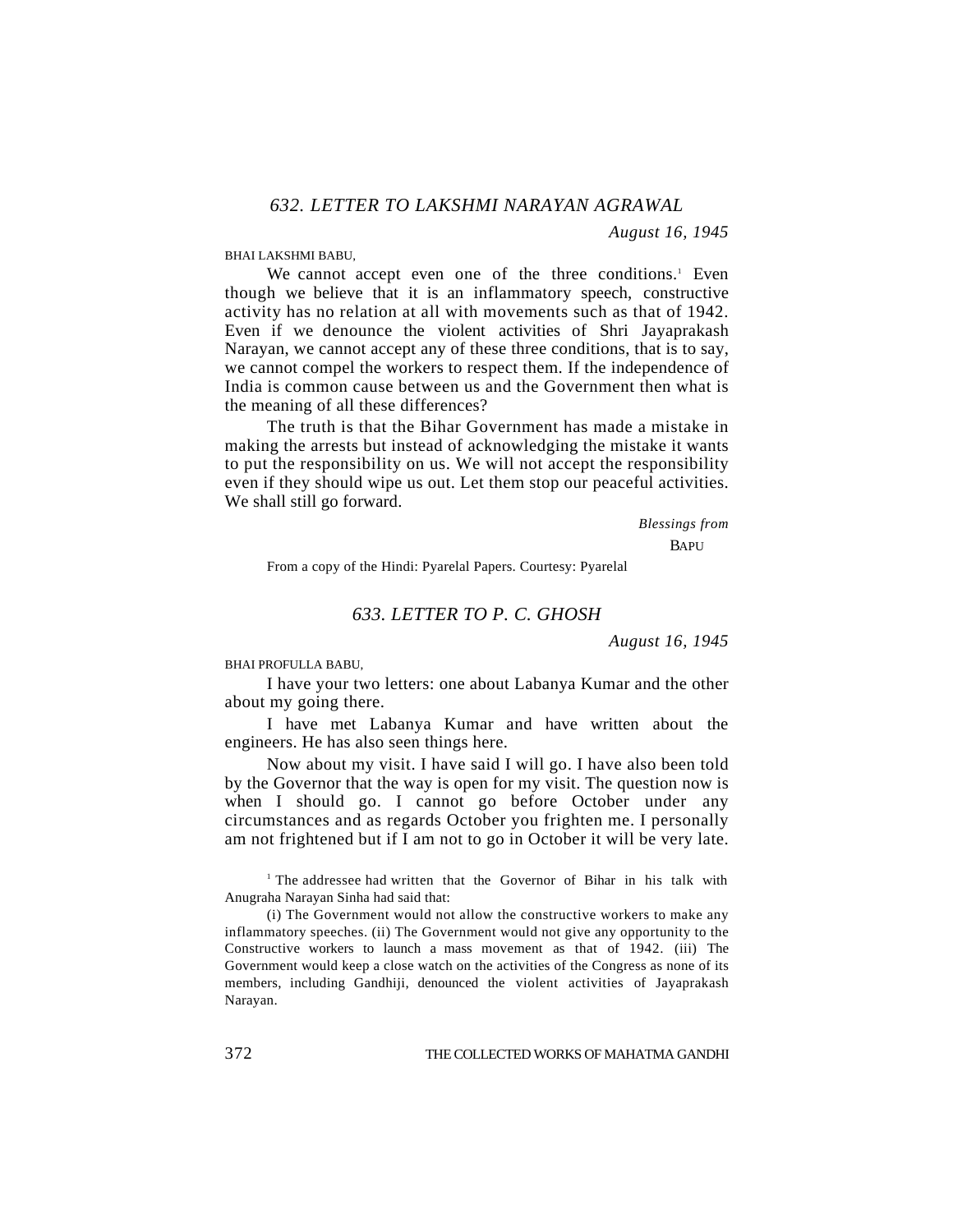*August 16, 1945*

BHAI LAKSHMI BABU,

We cannot accept even one of the three conditions. $<sup>1</sup>$  Even</sup> though we believe that it is an inflammatory speech, constructive activity has no relation at all with movements such as that of 1942. Even if we denounce the violent activities of Shri Jayaprakash Narayan, we cannot accept any of these three conditions, that is to say, we cannot compel the workers to respect them. If the independence of India is common cause between us and the Government then what is the meaning of all these differences?

The truth is that the Bihar Government has made a mistake in making the arrests but instead of acknowledging the mistake it wants to put the responsibility on us. We will not accept the responsibility even if they should wipe us out. Let them stop our peaceful activities. We shall still go forward.

*Blessings from*

**BAPU** 

From a copy of the Hindi: Pyarelal Papers. Courtesy: Pyarelal

#### *633. LETTER TO P. C. GHOSH*

*August 16, 1945*

BHAI PROFULLA BABU,

I have your two letters: one about Labanya Kumar and the other about my going there.

I have met Labanya Kumar and have written about the engineers. He has also seen things here.

Now about my visit. I have said I will go. I have also been told by the Governor that the way is open for my visit. The question now is when I should go. I cannot go before October under any circumstances and as regards October you frighten me. I personally am not frightened but if I am not to go in October it will be very late.

<sup>1</sup> The addressee had written that the Governor of Bihar in his talk with Anugraha Narayan Sinha had said that:

(i) The Government would not allow the constructive workers to make any inflammatory speeches. (ii) The Government would not give any opportunity to the Constructive workers to launch a mass movement as that of 1942. (iii) The Government would keep a close watch on the activities of the Congress as none of its members, including Gandhiji, denounced the violent activities of Jayaprakash Narayan.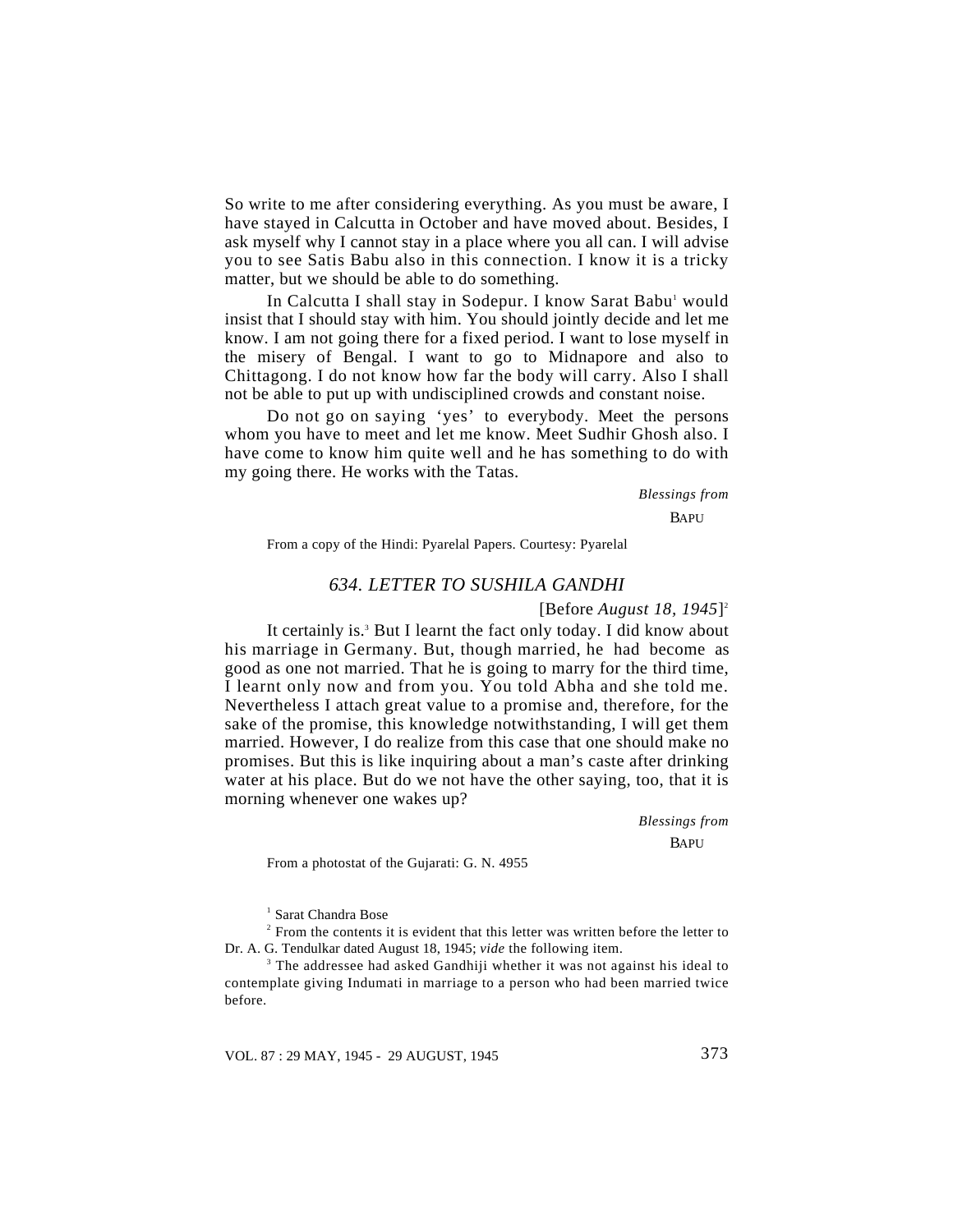So write to me after considering everything. As you must be aware, I have stayed in Calcutta in October and have moved about. Besides, I ask myself why I cannot stay in a place where you all can. I will advise you to see Satis Babu also in this connection. I know it is a tricky matter, but we should be able to do something.

In Calcutta I shall stay in Sodepur. I know Sarat Babu1 would insist that I should stay with him. You should jointly decide and let me know. I am not going there for a fixed period. I want to lose myself in the misery of Bengal. I want to go to Midnapore and also to Chittagong. I do not know how far the body will carry. Also I shall not be able to put up with undisciplined crowds and constant noise.

Do not go on saying 'yes' to everybody. Meet the persons whom you have to meet and let me know. Meet Sudhir Ghosh also. I have come to know him quite well and he has something to do with my going there. He works with the Tatas.

*Blessings from*

BAPU

From a copy of the Hindi: Pyarelal Papers. Courtesy: Pyarelal

#### *634. LETTER TO SUSHILA GANDHI*

[Before *August 18, 1945*] 2

It certainly is.<sup>3</sup> But I learnt the fact only today. I did know about his marriage in Germany. But, though married, he had become as good as one not married. That he is going to marry for the third time, I learnt only now and from you. You told Abha and she told me. Nevertheless I attach great value to a promise and, therefore, for the sake of the promise, this knowledge notwithstanding, I will get them married. However, I do realize from this case that one should make no promises. But this is like inquiring about a man's caste after drinking water at his place. But do we not have the other saying, too, that it is morning whenever one wakes up?

> *Blessings from* BAPU

From a photostat of the Gujarati: G. N. 4955

<sup>1</sup> Sarat Chandra Bose

<sup>2</sup> From the contents it is evident that this letter was written before the letter to Dr. A. G. Tendulkar dated August 18, 1945; *vide* the following item.

<sup>3</sup> The addressee had asked Gandhiji whether it was not against his ideal to contemplate giving Indumati in marriage to a person who had been married twice before.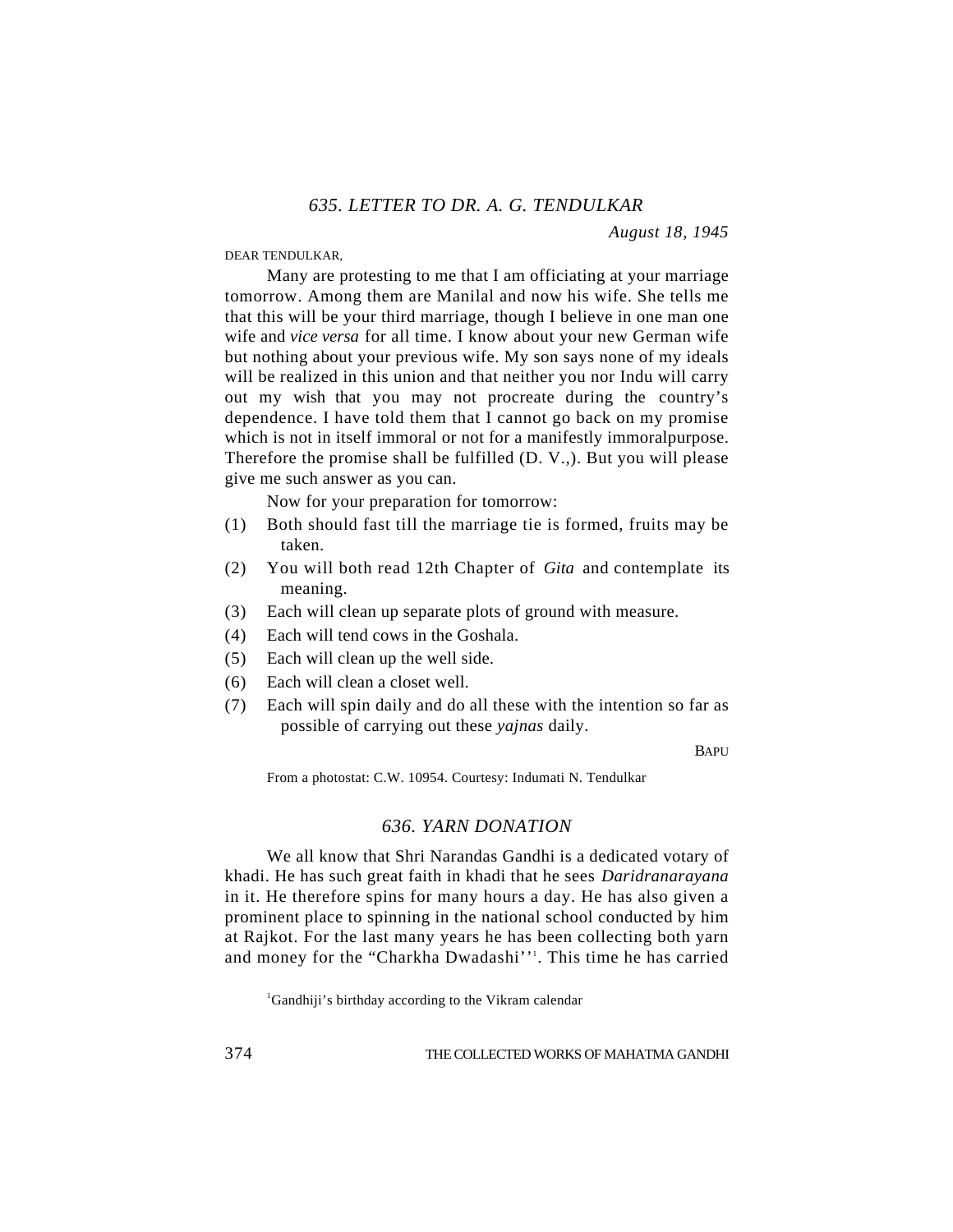*August 18, 1945*

DEAR TENDULKAR,

Many are protesting to me that I am officiating at your marriage tomorrow. Among them are Manilal and now his wife. She tells me that this will be your third marriage, though I believe in one man one wife and *vice versa* for all time. I know about your new German wife but nothing about your previous wife. My son says none of my ideals will be realized in this union and that neither you nor Indu will carry out my wish that you may not procreate during the country's dependence. I have told them that I cannot go back on my promise which is not in itself immoral or not for a manifestly immoralpurpose. Therefore the promise shall be fulfilled (D. V.,). But you will please give me such answer as you can.

Now for your preparation for tomorrow:

- (1) Both should fast till the marriage tie is formed, fruits may be taken.
- (2) You will both read 12th Chapter of *Gita* and contemplate its meaning.
- (3) Each will clean up separate plots of ground with measure.
- (4) Each will tend cows in the Goshala.
- (5) Each will clean up the well side.
- (6) Each will clean a closet well.
- (7) Each will spin daily and do all these with the intention so far as possible of carrying out these *yajnas* daily.

**BAPU** 

From a photostat: C.W. 10954. Courtesy: Indumati N. Tendulkar

## *636. YARN DONATION*

We all know that Shri Narandas Gandhi is a dedicated votary of khadi. He has such great faith in khadi that he sees *Daridranarayana* in it. He therefore spins for many hours a day. He has also given a prominent place to spinning in the national school conducted by him at Rajkot. For the last many years he has been collecting both yarn and money for the "Charkha Dwadashi"<sup>1</sup>. This time he has carried

 ${}^{1}$ Gandhiji's birthday according to the Vikram calendar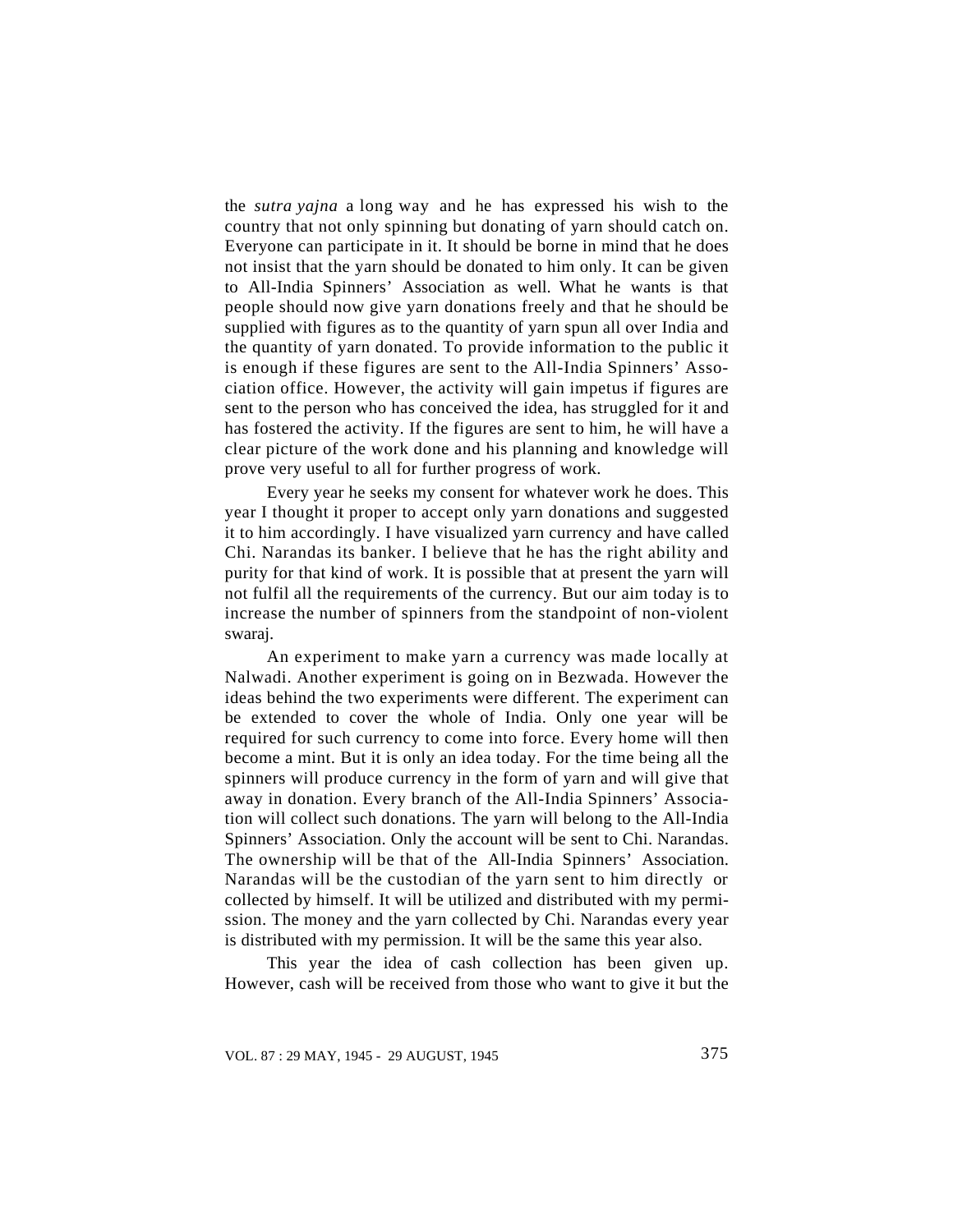the *sutra yajna* a long way and he has expressed his wish to the country that not only spinning but donating of yarn should catch on. Everyone can participate in it. It should be borne in mind that he does not insist that the yarn should be donated to him only. It can be given to All-India Spinners' Association as well. What he wants is that people should now give yarn donations freely and that he should be supplied with figures as to the quantity of yarn spun all over India and the quantity of yarn donated. To provide information to the public it is enough if these figures are sent to the All-India Spinners' Association office. However, the activity will gain impetus if figures are sent to the person who has conceived the idea, has struggled for it and has fostered the activity. If the figures are sent to him, he will have a clear picture of the work done and his planning and knowledge will prove very useful to all for further progress of work.

Every year he seeks my consent for whatever work he does. This year I thought it proper to accept only yarn donations and suggested it to him accordingly. I have visualized yarn currency and have called Chi. Narandas its banker. I believe that he has the right ability and purity for that kind of work. It is possible that at present the yarn will not fulfil all the requirements of the currency. But our aim today is to increase the number of spinners from the standpoint of non-violent swaraj.

An experiment to make yarn a currency was made locally at Nalwadi. Another experiment is going on in Bezwada. However the ideas behind the two experiments were different. The experiment can be extended to cover the whole of India. Only one year will be required for such currency to come into force. Every home will then become a mint. But it is only an idea today. For the time being all the spinners will produce currency in the form of yarn and will give that away in donation. Every branch of the All-India Spinners' Association will collect such donations. The yarn will belong to the All-India Spinners' Association. Only the account will be sent to Chi. Narandas. The ownership will be that of the All-India Spinners' Association. Narandas will be the custodian of the yarn sent to him directly or collected by himself. It will be utilized and distributed with my permission. The money and the yarn collected by Chi. Narandas every year is distributed with my permission. It will be the same this year also.

This year the idea of cash collection has been given up. However, cash will be received from those who want to give it but the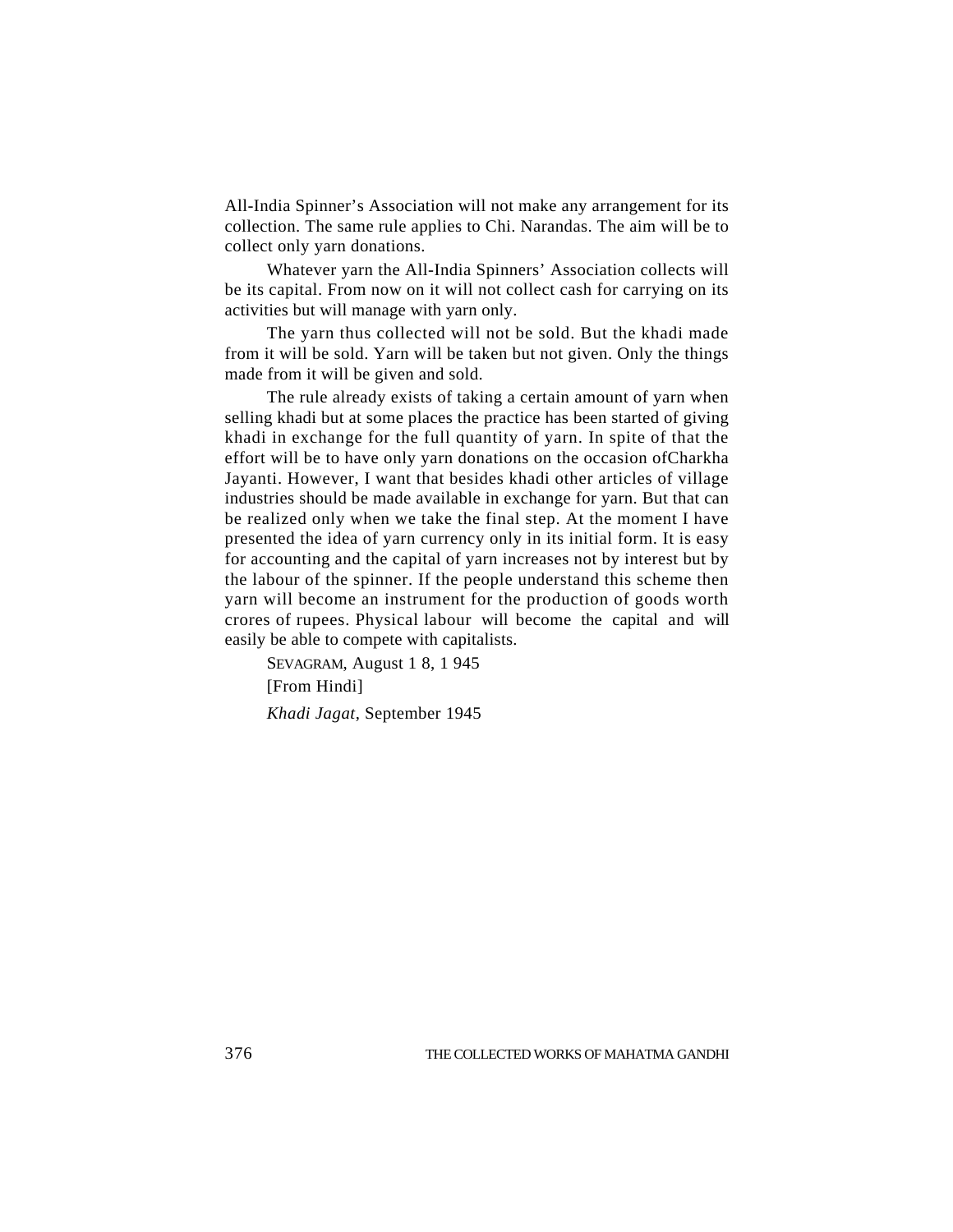All-India Spinner's Association will not make any arrangement for its collection. The same rule applies to Chi. Narandas. The aim will be to collect only yarn donations.

Whatever yarn the All-India Spinners' Association collects will be its capital. From now on it will not collect cash for carrying on its activities but will manage with yarn only.

The yarn thus collected will not be sold. But the khadi made from it will be sold. Yarn will be taken but not given. Only the things made from it will be given and sold.

The rule already exists of taking a certain amount of yarn when selling khadi but at some places the practice has been started of giving khadi in exchange for the full quantity of yarn. In spite of that the effort will be to have only yarn donations on the occasion ofCharkha Jayanti. However, I want that besides khadi other articles of village industries should be made available in exchange for yarn. But that can be realized only when we take the final step. At the moment I have presented the idea of yarn currency only in its initial form. It is easy for accounting and the capital of yarn increases not by interest but by the labour of the spinner. If the people understand this scheme then yarn will become an instrument for the production of goods worth crores of rupees. Physical labour will become the capital and will easily be able to compete with capitalists.

SEVAGRAM, August 1 8, 1 945 [From Hindi] *Khadi Jagat*, September 1945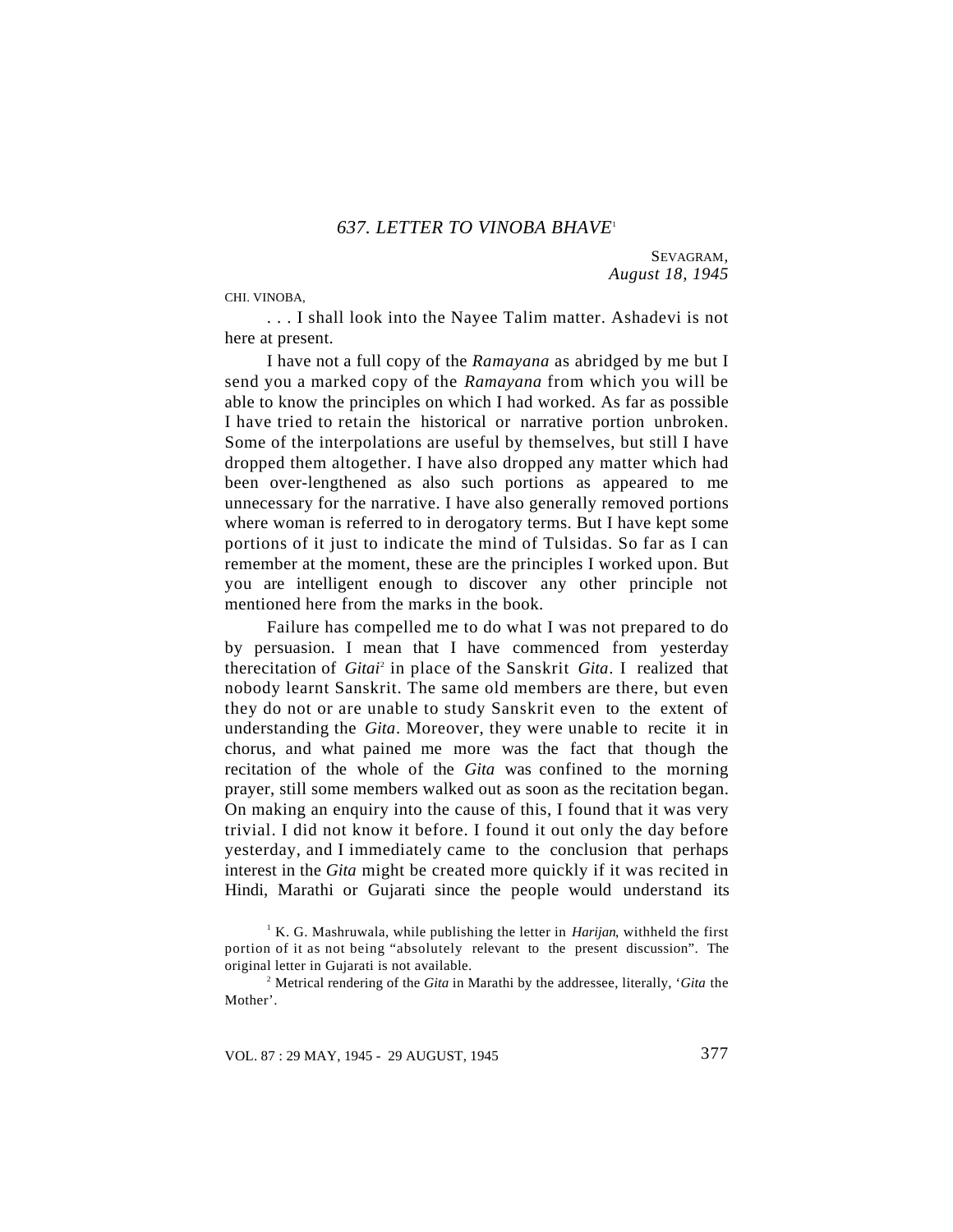## *637. LETTER TO VINOBA BHAVE*<sup>1</sup>

SEVAGRAM, *August 18, 1945*

CHI. VINOBA,

. . . I shall look into the Nayee Talim matter. Ashadevi is not here at present.

I have not a full copy of the *Ramayana* as abridged by me but I send you a marked copy of the *Ramayana* from which you will be able to know the principles on which I had worked. As far as possible I have tried to retain the historical or narrative portion unbroken. Some of the interpolations are useful by themselves, but still I have dropped them altogether. I have also dropped any matter which had been over-lengthened as also such portions as appeared to me unnecessary for the narrative. I have also generally removed portions where woman is referred to in derogatory terms. But I have kept some portions of it just to indicate the mind of Tulsidas. So far as I can remember at the moment, these are the principles I worked upon. But you are intelligent enough to discover any other principle not mentioned here from the marks in the book.

Failure has compelled me to do what I was not prepared to do by persuasion. I mean that I have commenced from yesterday therecitation of *Gitai*<sup>2</sup> in place of the Sanskrit *Gita*. I realized that nobody learnt Sanskrit. The same old members are there, but even they do not or are unable to study Sanskrit even to the extent of understanding the *Gita*. Moreover, they were unable to recite it in chorus, and what pained me more was the fact that though the recitation of the whole of the *Gita* was confined to the morning prayer, still some members walked out as soon as the recitation began. On making an enquiry into the cause of this, I found that it was very trivial. I did not know it before. I found it out only the day before yesterday, and I immediately came to the conclusion that perhaps interest in the *Gita* might be created more quickly if it was recited in Hindi, Marathi or Gujarati since the people would understand its

<sup>&</sup>lt;sup>1</sup> K. G. Mashruwala, while publishing the letter in *Harijan*, withheld the first portion of it as not being "absolutely relevant to the present discussion". The original letter in Gujarati is not available.

<sup>2</sup> Metrical rendering of the *Gita* in Marathi by the addressee, literally, '*Gita* the Mother'.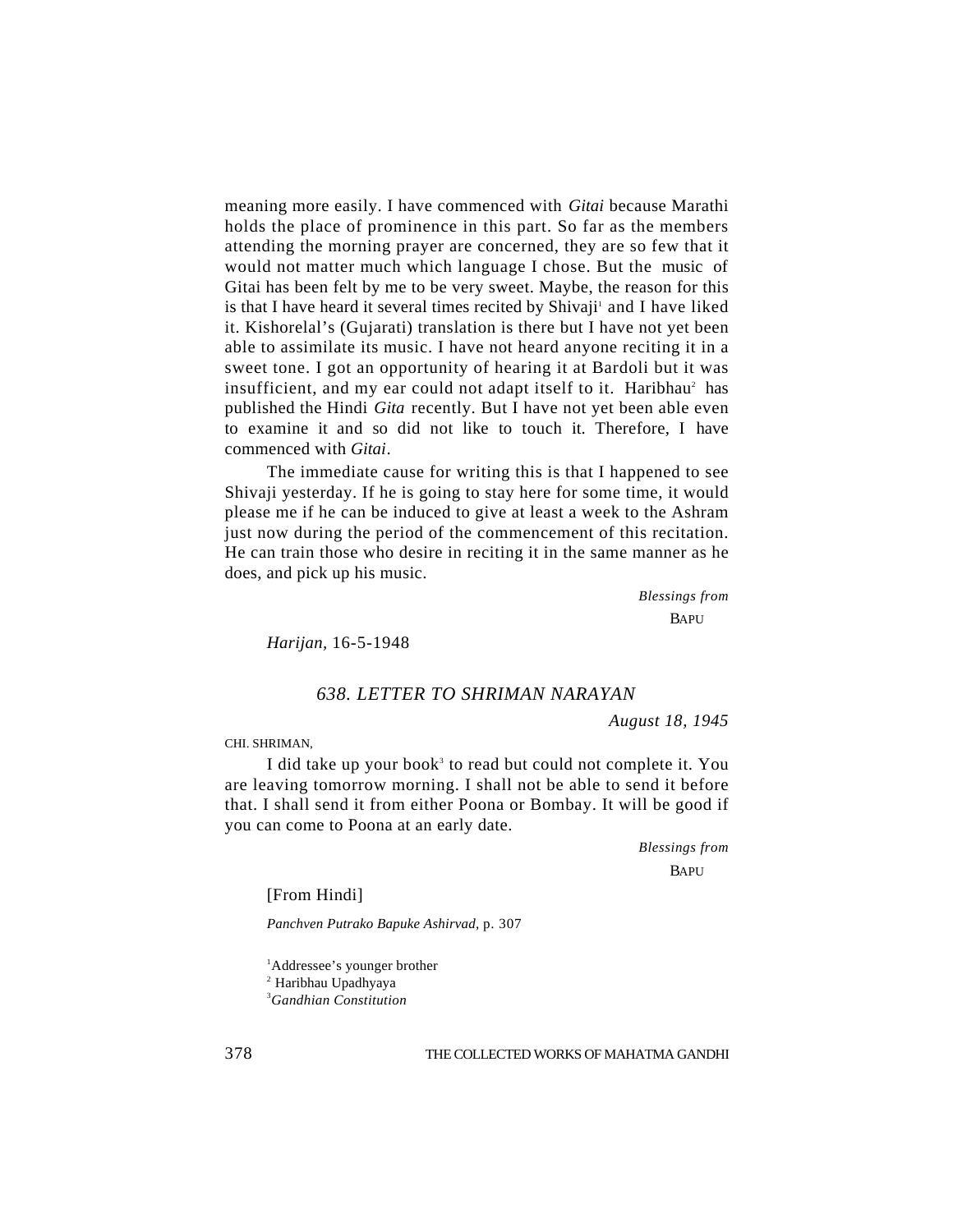meaning more easily. I have commenced with *Gitai* because Marathi holds the place of prominence in this part. So far as the members attending the morning prayer are concerned, they are so few that it would not matter much which language I chose. But the music of Gitai has been felt by me to be very sweet. Maybe, the reason for this is that I have heard it several times recited by Shivaji<sup>1</sup> and I have liked it. Kishorelal's (Gujarati) translation is there but I have not yet been able to assimilate its music. I have not heard anyone reciting it in a sweet tone. I got an opportunity of hearing it at Bardoli but it was insufficient, and my ear could not adapt itself to it. Haribhau<sup>2</sup> has published the Hindi *Gita* recently. But I have not yet been able even to examine it and so did not like to touch it. Therefore, I have commenced with *Gitai*.

The immediate cause for writing this is that I happened to see Shivaji yesterday. If he is going to stay here for some time, it would please me if he can be induced to give at least a week to the Ashram just now during the period of the commencement of this recitation. He can train those who desire in reciting it in the same manner as he does, and pick up his music.

> *Blessings from* **BAPU**

*Harijan,* 16-5-1948

## *638. LETTER TO SHRIMAN NARAYAN*

*August 18, 1945*

CHI. SHRIMAN,

I did take up your book<sup>3</sup> to read but could not complete it. You are leaving tomorrow morning. I shall not be able to send it before that. I shall send it from either Poona or Bombay. It will be good if you can come to Poona at an early date.

> *Blessings from* **BAPU**

[From Hindi]

*Panchven Putrako Bapuke Ashirvad,* p. 307

<sup>1</sup>Addressee's younger brother

2 Haribhau Upadhyaya

<sup>3</sup>*Gandhian Constitution*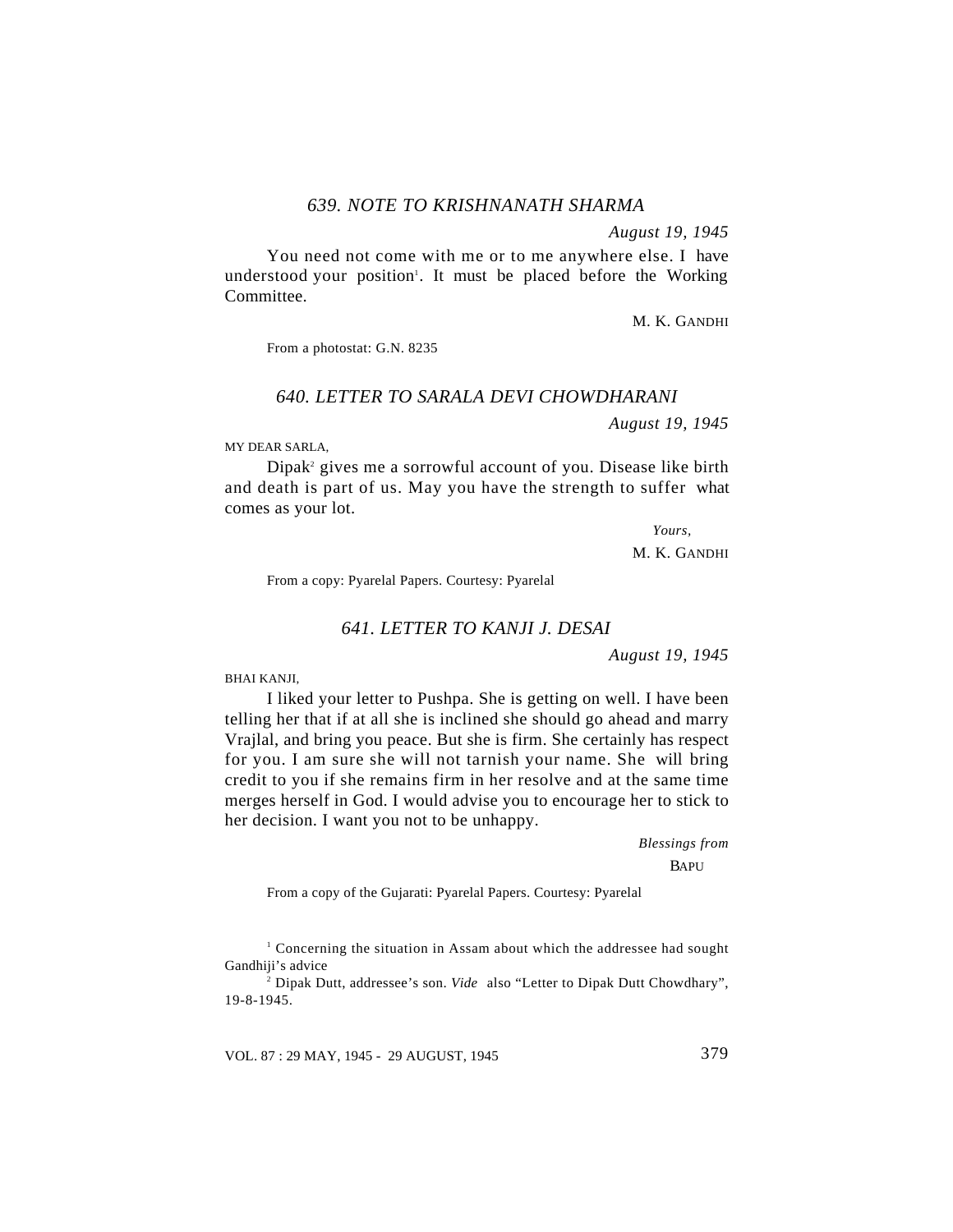## *639. NOTE TO KRISHNANATH SHARMA*

*August 19, 1945*

You need not come with me or to me anywhere else. I have understood your position<sup>1</sup>. It must be placed before the Working Committee.

M. K. GANDHI

From a photostat: G.N. 8235

#### *640. LETTER TO SARALA DEVI CHOWDHARANI*

*August 19, 1945*

MY DEAR SARLA,

Dipak<sup>2</sup> gives me a sorrowful account of you. Disease like birth and death is part of us. May you have the strength to suffer what comes as your lot.

> *Yours,* M. K. GANDHI

From a copy: Pyarelal Papers. Courtesy: Pyarelal

#### *641. LETTER TO KANJI J. DESAI*

*August 19, 1945*

BHAI KANJI,

I liked your letter to Pushpa. She is getting on well. I have been telling her that if at all she is inclined she should go ahead and marry Vrajlal, and bring you peace. But she is firm. She certainly has respect for you. I am sure she will not tarnish your name. She will bring credit to you if she remains firm in her resolve and at the same time merges herself in God. I would advise you to encourage her to stick to her decision. I want you not to be unhappy.

*Blessings from*

**BAPU** 

From a copy of the Gujarati: Pyarelal Papers. Courtesy: Pyarelal

<sup>1</sup> Concerning the situation in Assam about which the addressee had sought Gandhiji's advice

2 Dipak Dutt, addressee's son. *Vide* also "Letter to Dipak Dutt Chowdhary", 19-8-1945.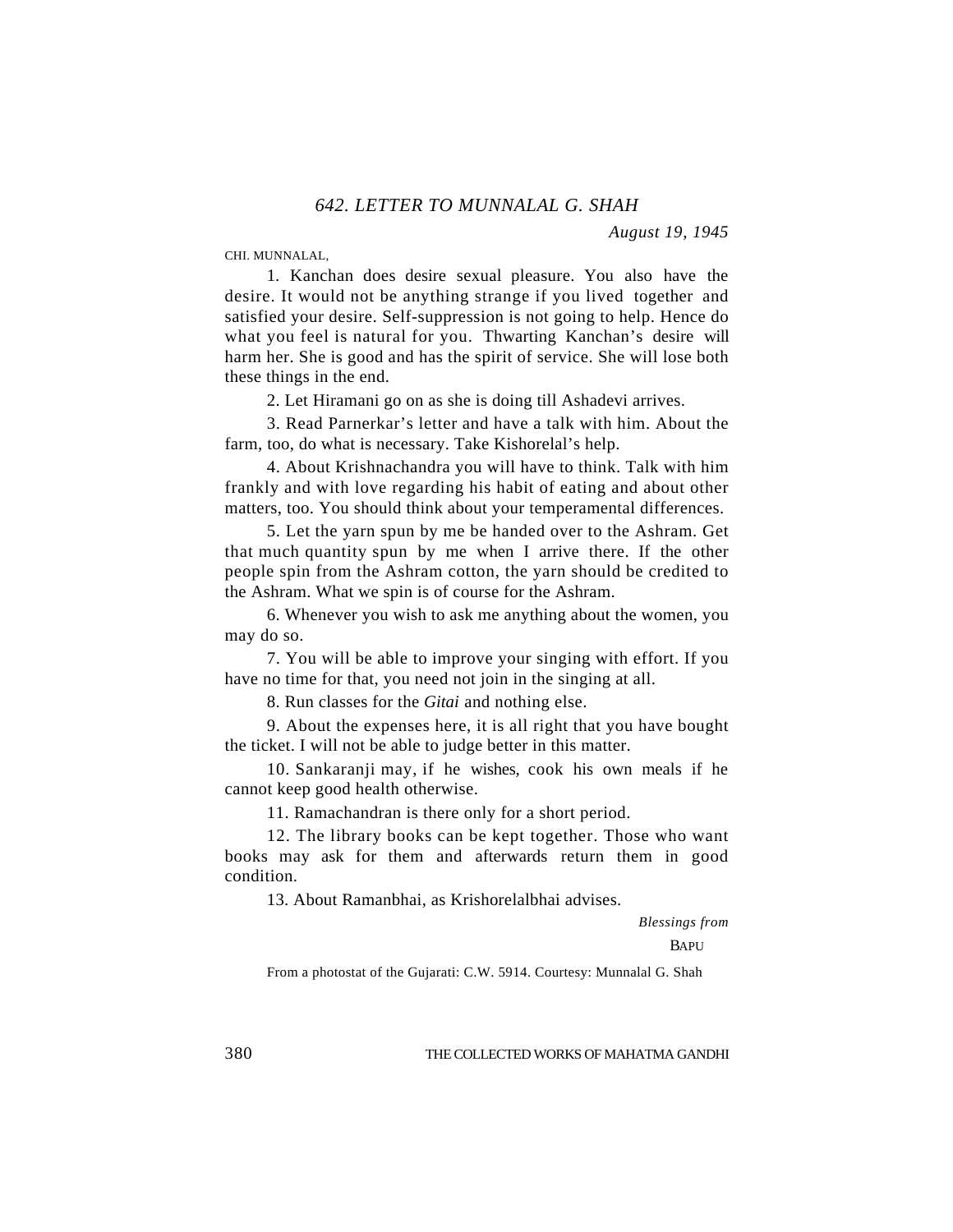*August 19, 1945*

CHI. MUNNALAL,

1. Kanchan does desire sexual pleasure. You also have the desire. It would not be anything strange if you lived together and satisfied your desire. Self-suppression is not going to help. Hence do what you feel is natural for you. Thwarting Kanchan's desire will harm her. She is good and has the spirit of service. She will lose both these things in the end.

2. Let Hiramani go on as she is doing till Ashadevi arrives.

3. Read Parnerkar's letter and have a talk with him. About the farm, too, do what is necessary. Take Kishorelal's help.

4. About Krishnachandra you will have to think. Talk with him frankly and with love regarding his habit of eating and about other matters, too. You should think about your temperamental differences.

5. Let the yarn spun by me be handed over to the Ashram. Get that much quantity spun by me when I arrive there. If the other people spin from the Ashram cotton, the yarn should be credited to the Ashram. What we spin is of course for the Ashram.

6. Whenever you wish to ask me anything about the women, you may do so.

7. You will be able to improve your singing with effort. If you have no time for that, you need not join in the singing at all.

8. Run classes for the *Gitai* and nothing else.

9. About the expenses here, it is all right that you have bought the ticket. I will not be able to judge better in this matter.

10. Sankaranji may, if he wishes, cook his own meals if he cannot keep good health otherwise.

11. Ramachandran is there only for a short period.

12. The library books can be kept together. Those who want books may ask for them and afterwards return them in good condition.

13. About Ramanbhai, as Krishorelalbhai advises.

*Blessings from*

**BAPU** 

From a photostat of the Gujarati: C.W. 5914. Courtesy: Munnalal G. Shah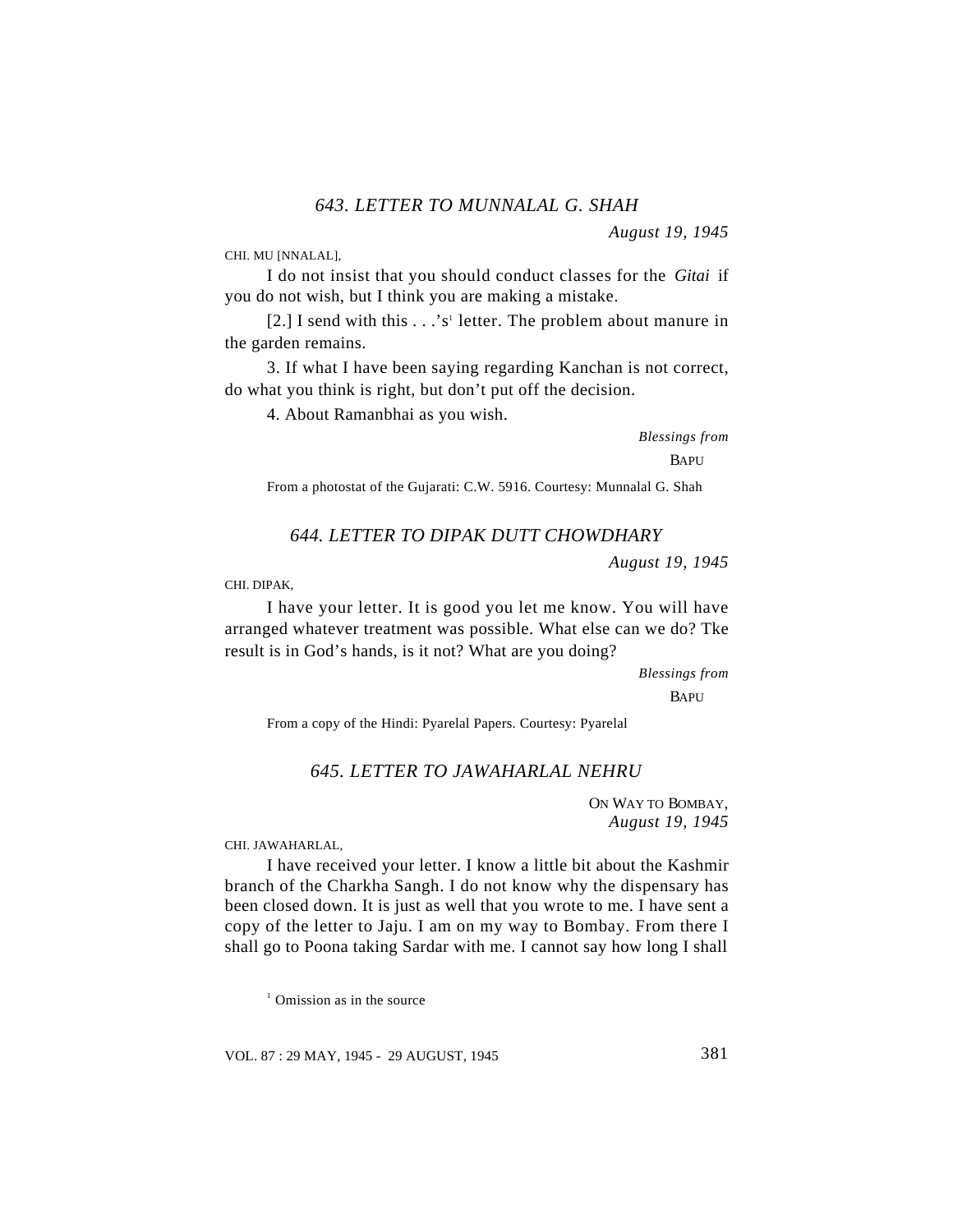*August 19, 1945*

CHI. MU [NNALAL],

I do not insist that you should conduct classes for the *Gitai* if you do not wish, but I think you are making a mistake.

[2.] I send with this  $\ldots$ 's<sup>1</sup> letter. The problem about manure in the garden remains.

3. If what I have been saying regarding Kanchan is not correct, do what you think is right, but don't put off the decision.

4. About Ramanbhai as you wish.

*Blessings from*

BAPU

From a photostat of the Gujarati: C.W. 5916. Courtesy: Munnalal G. Shah

#### *644. LETTER TO DIPAK DUTT CHOWDHARY*

*August 19, 1945*

CHI. DIPAK,

I have your letter. It is good you let me know. You will have arranged whatever treatment was possible. What else can we do? Tke result is in God's hands, is it not? What are you doing?

*Blessings from*

**BAPU** 

From a copy of the Hindi: Pyarelal Papers. Courtesy: Pyarelal

## *645. LETTER TO JAWAHARLAL NEHRU*

ON WAY TO BOMBAY, *August 19, 1945*

CHI. JAWAHARLAL,

I have received your letter. I know a little bit about the Kashmir branch of the Charkha Sangh. I do not know why the dispensary has been closed down. It is just as well that you wrote to me. I have sent a copy of the letter to Jaju. I am on my way to Bombay. From there I shall go to Poona taking Sardar with me. I cannot say how long I shall

<sup>1</sup> Omission as in the source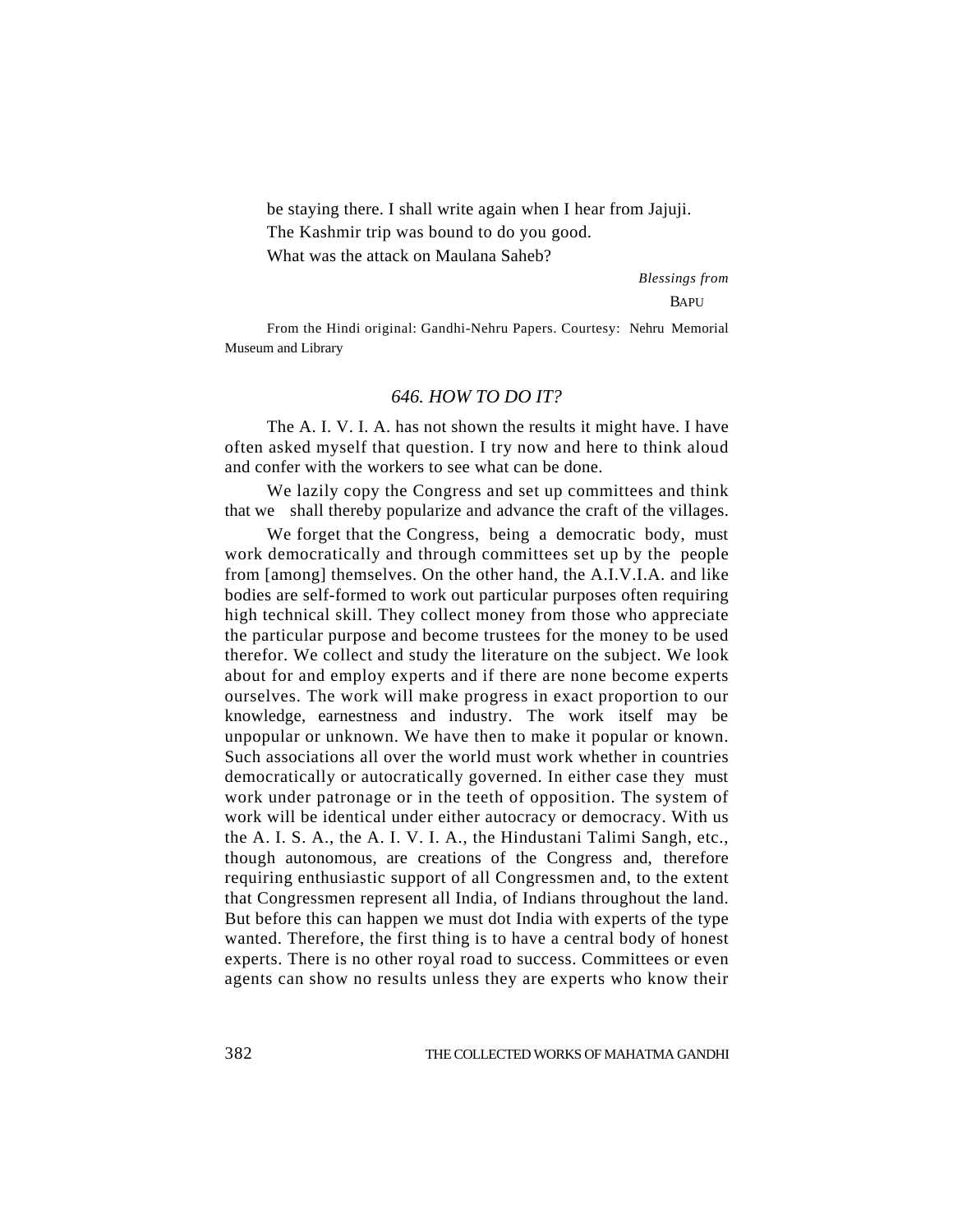be staying there. I shall write again when I hear from Jajuji. The Kashmir trip was bound to do you good. What was the attack on Maulana Saheb?

> *Blessings from* **BAPU**

From the Hindi original: Gandhi-Nehru Papers. Courtesy: Nehru Memorial Museum and Library

## *646. HOW TO DO IT?*

The A. I. V. I. A. has not shown the results it might have. I have often asked myself that question. I try now and here to think aloud and confer with the workers to see what can be done.

We lazily copy the Congress and set up committees and think that we shall thereby popularize and advance the craft of the villages.

We forget that the Congress, being a democratic body, must work democratically and through committees set up by the people from [among] themselves. On the other hand, the A.I.V.I.A. and like bodies are self-formed to work out particular purposes often requiring high technical skill. They collect money from those who appreciate the particular purpose and become trustees for the money to be used therefor. We collect and study the literature on the subject. We look about for and employ experts and if there are none become experts ourselves. The work will make progress in exact proportion to our knowledge, earnestness and industry. The work itself may be unpopular or unknown. We have then to make it popular or known. Such associations all over the world must work whether in countries democratically or autocratically governed. In either case they must work under patronage or in the teeth of opposition. The system of work will be identical under either autocracy or democracy. With us the A. I. S. A., the A. I. V. I. A., the Hindustani Talimi Sangh, etc., though autonomous, are creations of the Congress and, therefore requiring enthusiastic support of all Congressmen and, to the extent that Congressmen represent all India, of Indians throughout the land. But before this can happen we must dot India with experts of the type wanted. Therefore, the first thing is to have a central body of honest experts. There is no other royal road to success. Committees or even agents can show no results unless they are experts who know their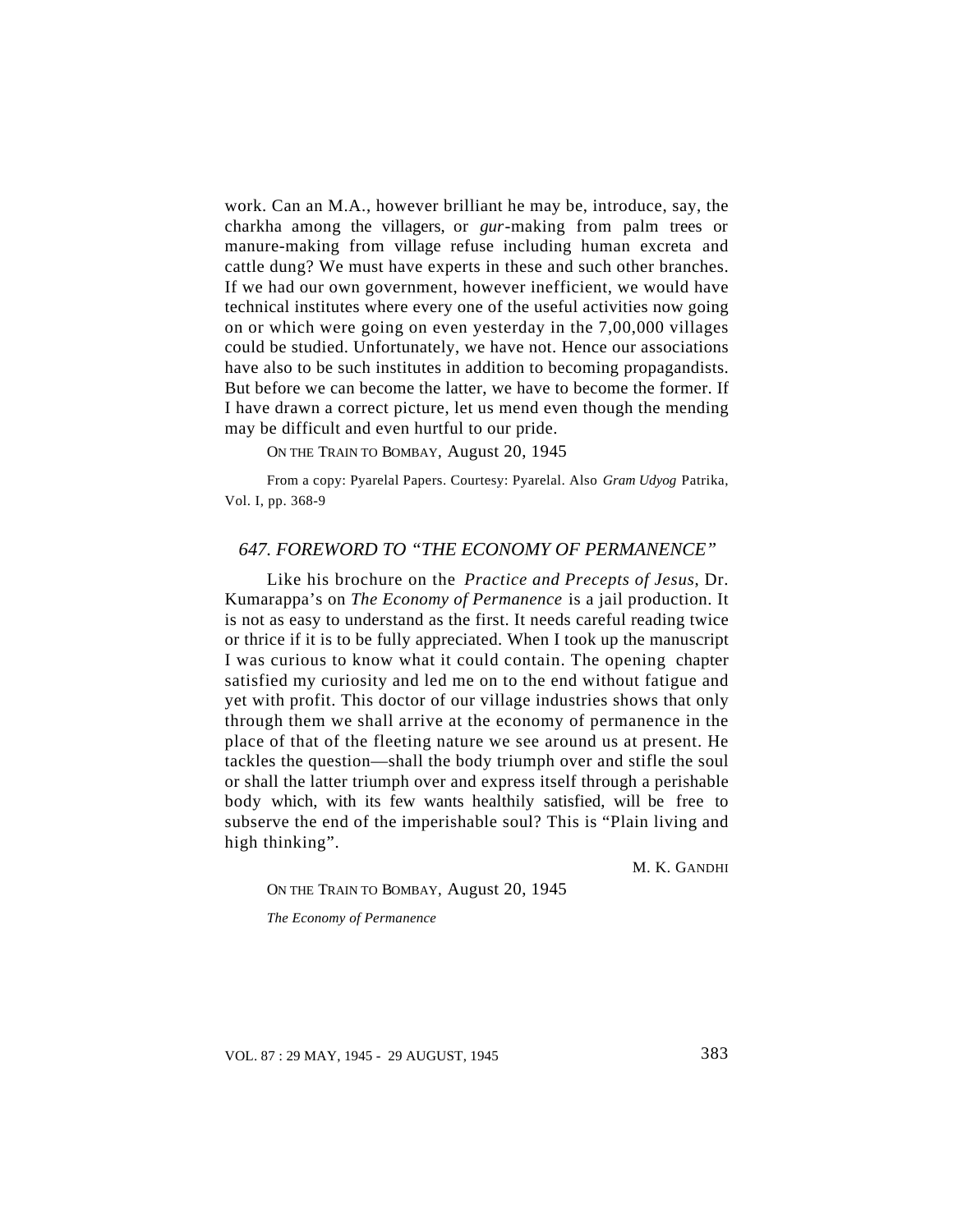work. Can an M.A., however brilliant he may be, introduce, say, the charkha among the villagers, or *gur*-making from palm trees or manure-making from village refuse including human excreta and cattle dung? We must have experts in these and such other branches. If we had our own government, however inefficient, we would have technical institutes where every one of the useful activities now going on or which were going on even yesterday in the 7,00,000 villages could be studied. Unfortunately, we have not. Hence our associations have also to be such institutes in addition to becoming propagandists. But before we can become the latter, we have to become the former. If I have drawn a correct picture, let us mend even though the mending may be difficult and even hurtful to our pride.

ON THE TRAIN TO BOMBAY, August 20, 1945

From a copy: Pyarelal Papers. Courtesy: Pyarelal. Also *Gram Udyog* Patrika, Vol. I, pp. 368-9

## *647. FOREWORD TO "THE ECONOMY OF PERMANENCE"*

Like his brochure on the *Practice and Precepts of Jesus*, Dr. Kumarappa's on *The Economy of Permanence* is a jail production. It is not as easy to understand as the first. It needs careful reading twice or thrice if it is to be fully appreciated. When I took up the manuscript I was curious to know what it could contain. The opening chapter satisfied my curiosity and led me on to the end without fatigue and yet with profit. This doctor of our village industries shows that only through them we shall arrive at the economy of permanence in the place of that of the fleeting nature we see around us at present. He tackles the question—shall the body triumph over and stifle the soul or shall the latter triumph over and express itself through a perishable body which, with its few wants healthily satisfied, will be free to subserve the end of the imperishable soul? This is "Plain living and high thinking".

M. K. GANDHI

ON THE TRAIN TO BOMBAY, August 20, 1945

*The Economy of Permanence*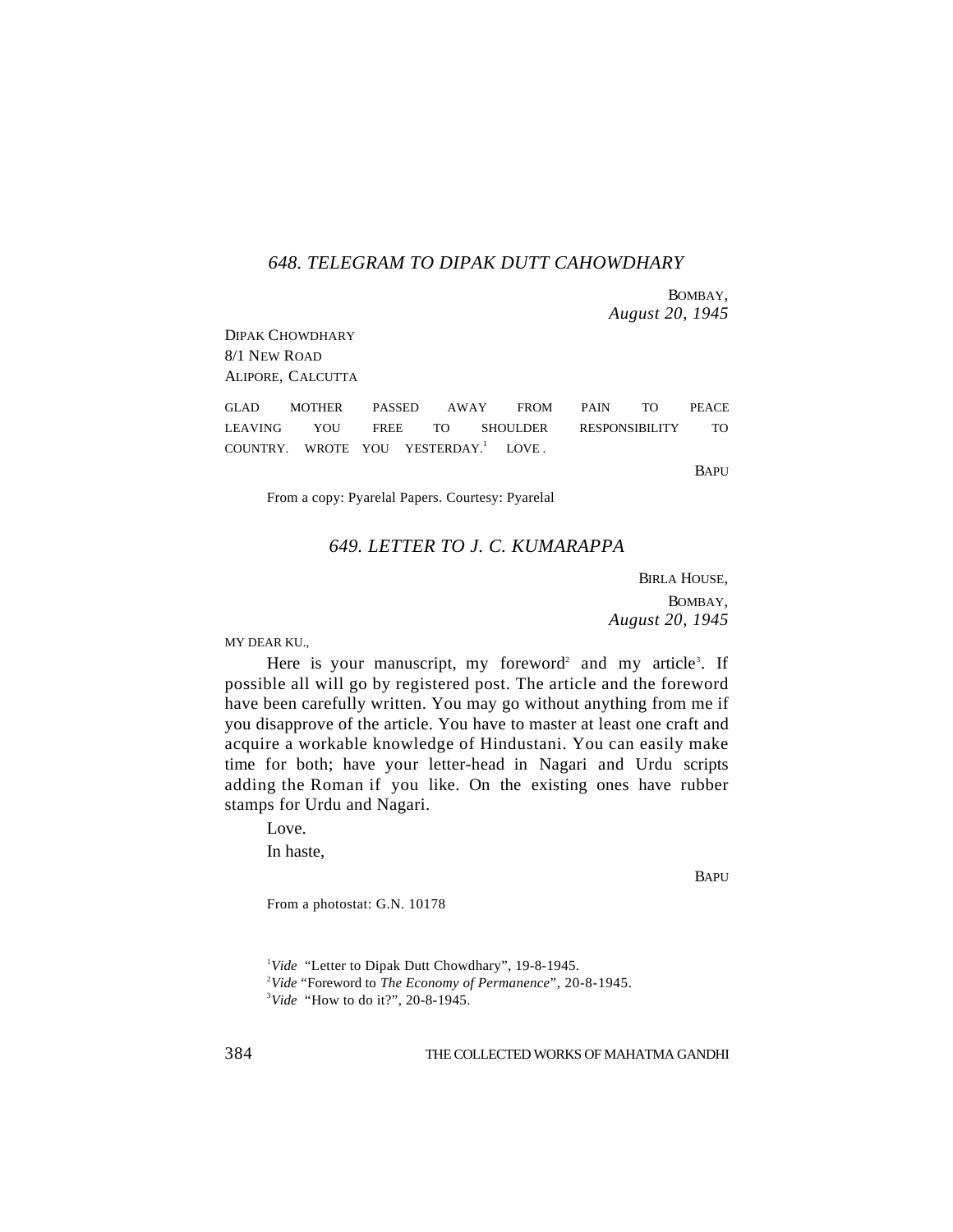## *648. TELEGRAM TO DIPAK DUTT CAHOWDHARY*

BOMBAY, *August 20, 1945*

DIPAK CHOWDHARY 8/1 NEW ROAD ALIPORE, CALCUTTA

GLAD MOTHER PASSED AWAY FROM PAIN TO PEACE LEAVING YOU FREE TO SHOULDER RESPONSIBILITY TO COUNTRY. WROTE YOU YESTERDAY.<sup>1</sup> LOVE .

**BAPU** 

From a copy: Pyarelal Papers. Courtesy: Pyarelal

## *649. LETTER TO J. C. KUMARAPPA*

BIRLA HOUSE, BOMBAY, *August 20, 1945*

MY DEAR KU.,

Here is your manuscript, my foreword<sup>2</sup> and my article<sup>3</sup>. If possible all will go by registered post. The article and the foreword have been carefully written. You may go without anything from me if you disapprove of the article. You have to master at least one craft and acquire a workable knowledge of Hindustani. You can easily make time for both; have your letter-head in Nagari and Urdu scripts adding the Roman if you like. On the existing ones have rubber stamps for Urdu and Nagari.

Love. In haste,

BAPU

From a photostat: G.N. 10178

<sup>1</sup>Vide "Letter to Dipak Dutt Chowdhary", 19-8-1945.

<sup>2</sup>*Vide* "Foreword to *The Economy of Permanence*", 20-8-1945.

<sup>3</sup>*Vide* "How to do it?", 20-8-1945.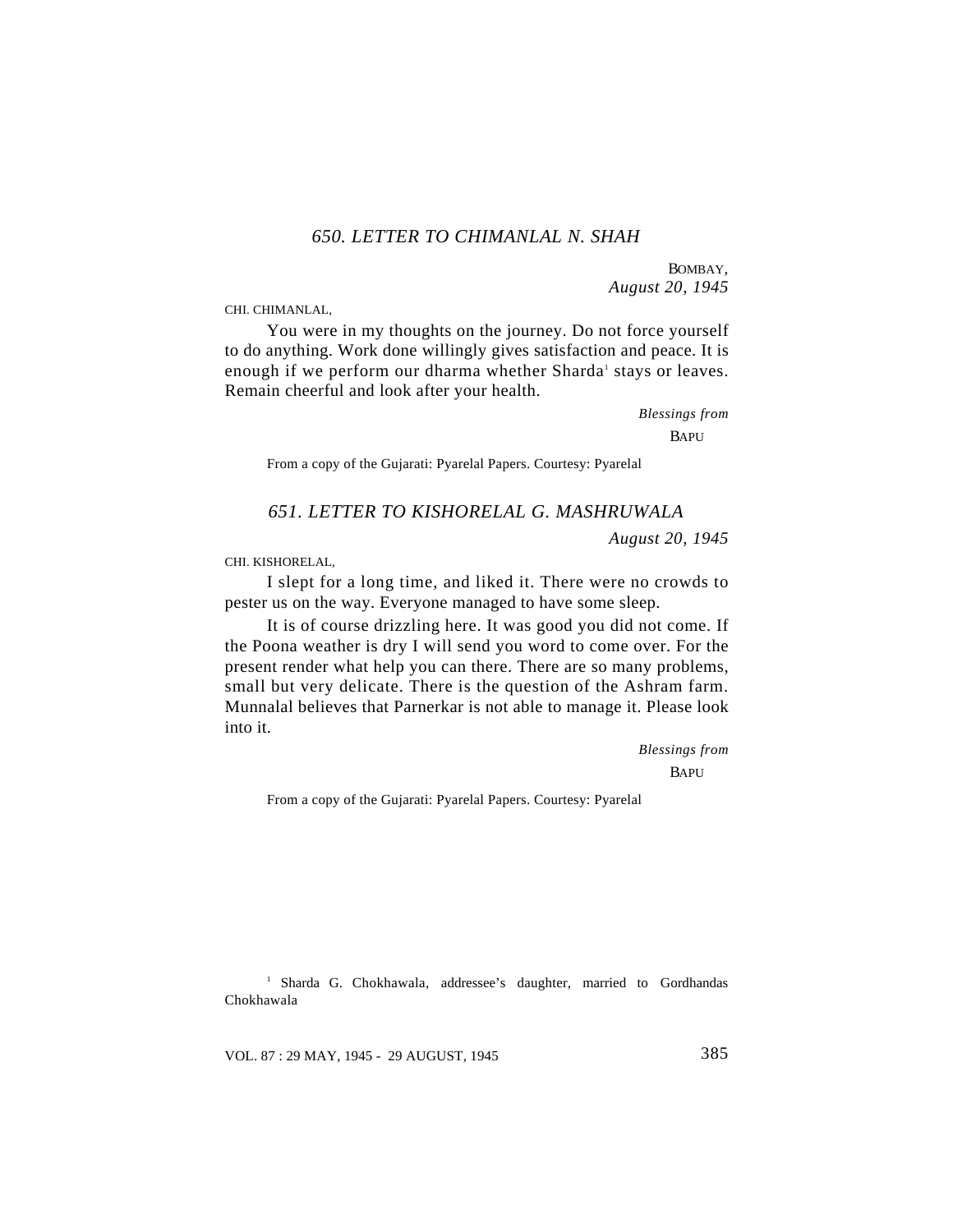## *650. LETTER TO CHIMANLAL N. SHAH*

BOMBAY, *August 20, 1945*

CHI. CHIMANLAL,

You were in my thoughts on the journey. Do not force yourself to do anything. Work done willingly gives satisfaction and peace. It is enough if we perform our dharma whether Sharda<sup>1</sup> stays or leaves. Remain cheerful and look after your health.

> *Blessings from* **BAPU**

From a copy of the Gujarati: Pyarelal Papers. Courtesy: Pyarelal

## *651. LETTER TO KISHORELAL G. MASHRUWALA*

*August 20, 1945*

CHI. KISHORELAL,

I slept for a long time, and liked it. There were no crowds to pester us on the way. Everyone managed to have some sleep.

It is of course drizzling here. It was good you did not come. If the Poona weather is dry I will send you word to come over. For the present render what help you can there. There are so many problems, small but very delicate. There is the question of the Ashram farm. Munnalal believes that Parnerkar is not able to manage it. Please look into it.

> *Blessings from* **BAPU**

From a copy of the Gujarati: Pyarelal Papers. Courtesy: Pyarelal

<sup>1</sup> Sharda G. Chokhawala, addressee's daughter, married to Gordhandas Chokhawala

VOL. 87 : 29 MAY, 1945 - 29 AUGUST, 1945 385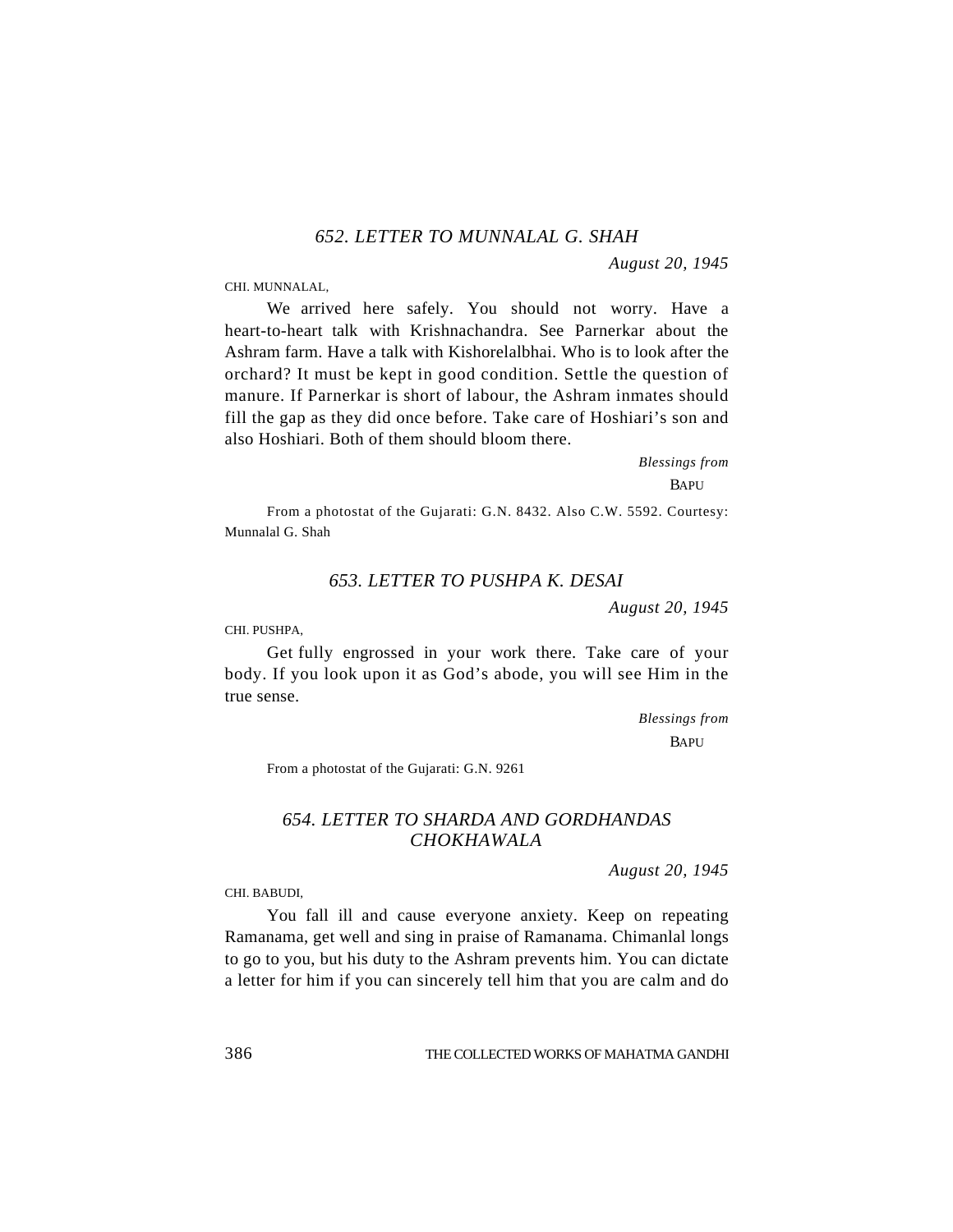CHI. BABUDI,

You fall ill and cause everyone anxiety. Keep on repeating Ramanama, get well and sing in praise of Ramanama. Chimanlal longs to go to you, but his duty to the Ashram prevents him. You can dictate a letter for him if you can sincerely tell him that you are calm and do

*654. LETTER TO SHARDA AND GORDHANDAS CHOKHAWALA*

*Blessings from* **BAPU** 

*August 20, 1945*

From a photostat of the Gujarati: G.N. 8432. Also C.W. 5592. Courtesy: Munnalal G. Shah

manure. If Parnerkar is short of labour, the Ashram inmates should fill the gap as they did once before. Take care of Hoshiari's son and

*August 20, 1945*

## *653. LETTER TO PUSHPA K. DESAI*

*Blessings from* BAPU

true sense.

CHI. PUSHPA, Get fully engrossed in your work there. Take care of your body. If you look upon it as God's abode, you will see Him in the

Ashram farm. Have a talk with Kishorelalbhai. Who is to look after the orchard? It must be kept in good condition. Settle the question of

also Hoshiari. Both of them should bloom there.

CHI. MUNNALAL,

# *652. LETTER TO MUNNALAL G. SHAH*

We arrived here safely. You should not worry. Have a heart-to-heart talk with Krishnachandra. See Parnerkar about the

*August 20, 1945*

From a photostat of the Gujarati: G.N. 9261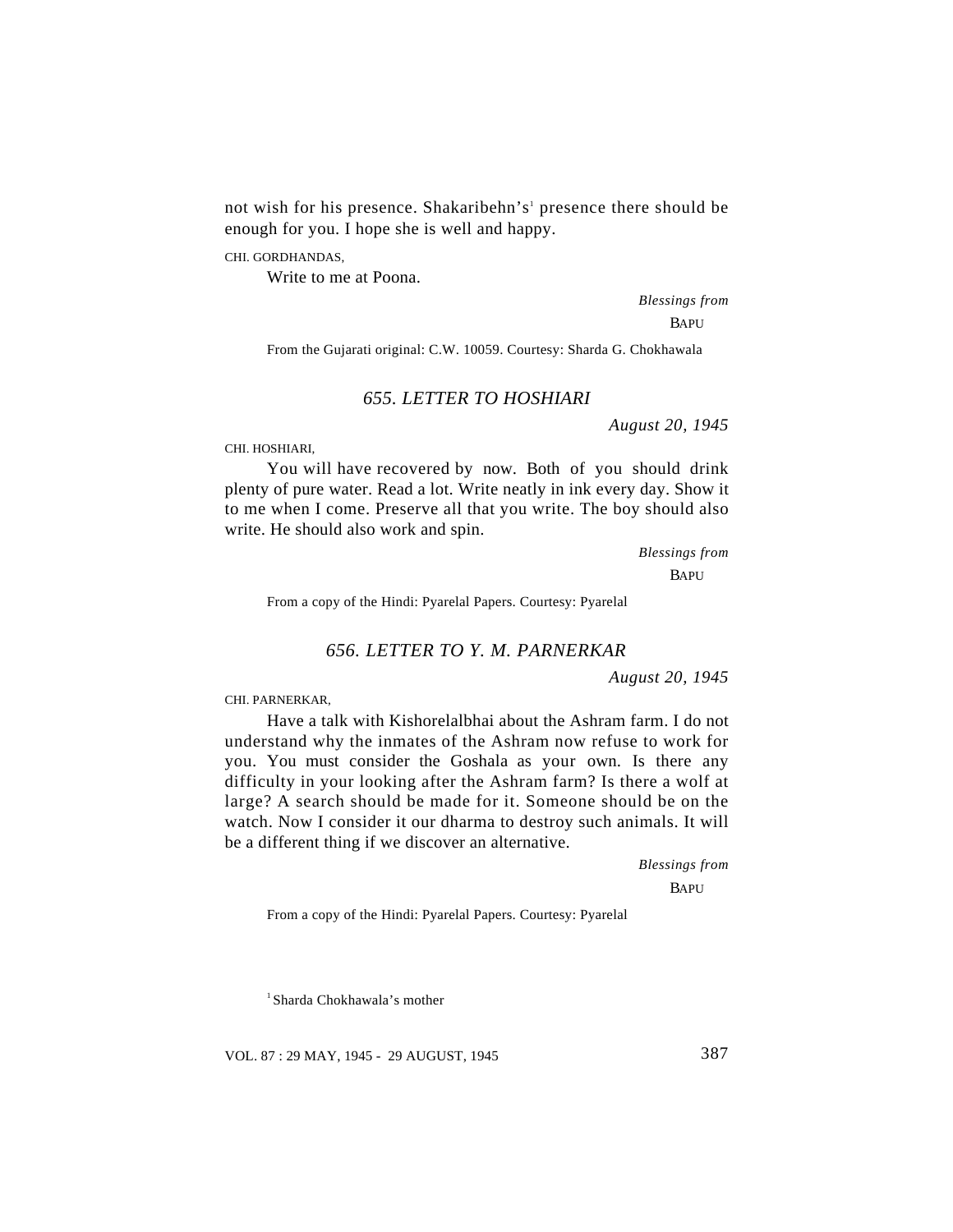not wish for his presence. Shakaribehn's<sup>1</sup> presence there should be enough for you. I hope she is well and happy.

CHI. GORDHANDAS,

Write to me at Poona.

*Blessings from*

**BAPU** 

From the Gujarati original: C.W. 10059. Courtesy: Sharda G. Chokhawala

## *655. LETTER TO HOSHIARI*

*August 20, 1945*

CHI. HOSHIARI,

You will have recovered by now. Both of you should drink plenty of pure water. Read a lot. Write neatly in ink every day. Show it to me when I come. Preserve all that you write. The boy should also write. He should also work and spin.

> *Blessings from* **BAPU**

From a copy of the Hindi: Pyarelal Papers. Courtesy: Pyarelal

## *656. LETTER TO Y. M. PARNERKAR*

*August 20, 1945*

CHI. PARNERKAR,

Have a talk with Kishorelalbhai about the Ashram farm. I do not understand why the inmates of the Ashram now refuse to work for you. You must consider the Goshala as your own. Is there any difficulty in your looking after the Ashram farm? Is there a wolf at large? A search should be made for it. Someone should be on the watch. Now I consider it our dharma to destroy such animals. It will be a different thing if we discover an alternative.

*Blessings from*

**BAPU** 

From a copy of the Hindi: Pyarelal Papers. Courtesy: Pyarelal

1 Sharda Chokhawala's mother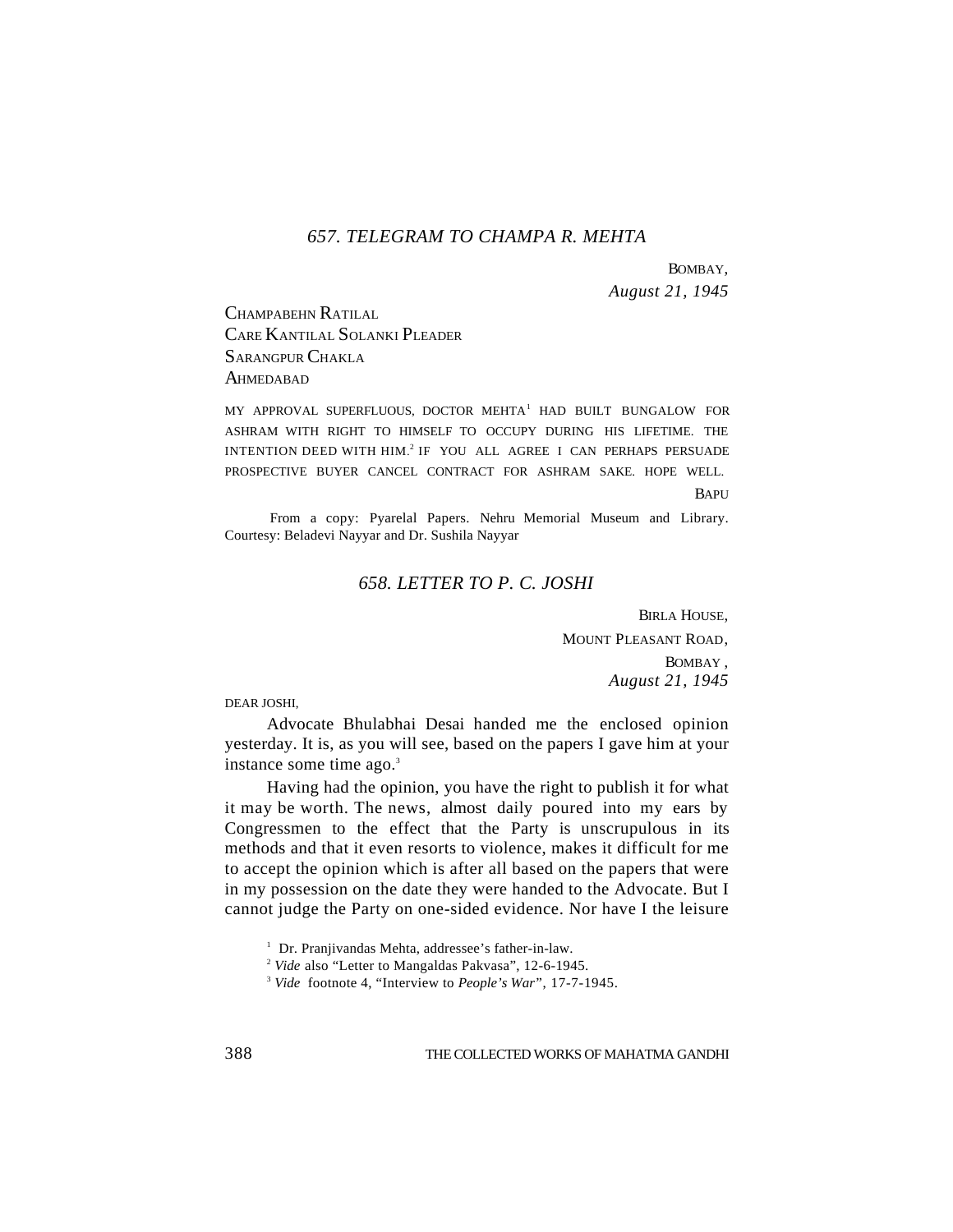## *657. TELEGRAM TO CHAMPA R. MEHTA*

BOMBAY, *August 21, 1945*

CHAMPAREHN RATILAL CARE KANTILAL SOLANKI PLEADER SARANGPUR CHAKLA **AHMEDARAD** 

MY APPROVAL SUPERFLUOUS, DOCTOR MEHTA<sup>1</sup> HAD BUILT BUNGALOW FOR ASHRAM WITH RIGHT TO HIMSELF TO OCCUPY DURING HIS LIFETIME. THE INTENTION DEED WITH HIM. $^2$  IF YOU ALL AGREE I CAN PERHAPS PERSUADE PROSPECTIVE BUYER CANCEL CONTRACT FOR ASHRAM SAKE. HOPE WELL. **BAPU** 

From a copy: Pyarelal Papers. Nehru Memorial Museum and Library. Courtesy: Beladevi Nayyar and Dr. Sushila Nayyar

## *658. LETTER TO P. C. JOSHI*

BIRLA HOUSE, MOUNT PLEASANT ROAD, BOMBAY , *August 21, 1945*

DEAR JOSHI,

Advocate Bhulabhai Desai handed me the enclosed opinion yesterday. It is, as you will see, based on the papers I gave him at your instance some time ago.<sup>3</sup>

Having had the opinion, you have the right to publish it for what it may be worth. The news, almost daily poured into my ears by Congressmen to the effect that the Party is unscrupulous in its methods and that it even resorts to violence, makes it difficult for me to accept the opinion which is after all based on the papers that were in my possession on the date they were handed to the Advocate. But I cannot judge the Party on one-sided evidence. Nor have I the leisure

<sup>1</sup> Dr. Pranjivandas Mehta, addressee's father-in-law.

<sup>2</sup> *Vide* also "Letter to Mangaldas Pakvasa", 12-6-1945.

<sup>3</sup> *Vide* footnote 4, "Interview to *People's War*", 17-7-1945.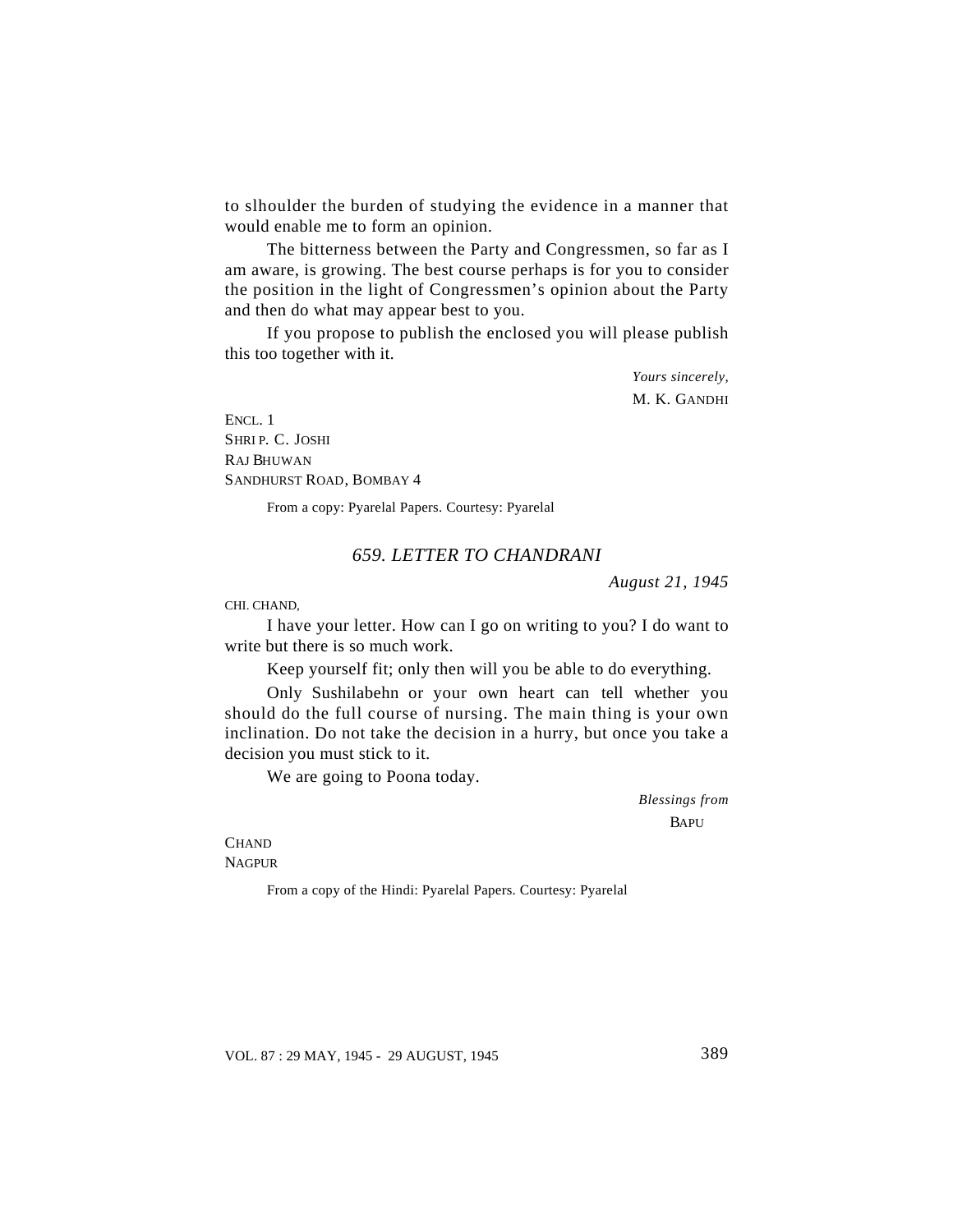to slhoulder the burden of studying the evidence in a manner that would enable me to form an opinion.

The bitterness between the Party and Congressmen, so far as I am aware, is growing. The best course perhaps is for you to consider the position in the light of Congressmen's opinion about the Party and then do what may appear best to you.

If you propose to publish the enclosed you will please publish this too together with it.

> *Yours sincerely,* M. K. GANDHI

ENCL. 1 SHRIP C. JOSHI RAJ BHUWAN SANDHURST ROAD, BOMBAY 4

From a copy: Pyarelal Papers. Courtesy: Pyarelal

## *659. LETTER TO CHANDRANI*

*August 21, 1945*

CHI. CHAND,

I have your letter. How can I go on writing to you? I do want to write but there is so much work.

Keep yourself fit; only then will you be able to do everything.

Only Sushilabehn or your own heart can tell whether you should do the full course of nursing. The main thing is your own inclination. Do not take the decision in a hurry, but once you take a decision you must stick to it.

We are going to Poona today.

*Blessings from* **BAPU** 

**CHAND NAGPUR** 

From a copy of the Hindi: Pyarelal Papers. Courtesy: Pyarelal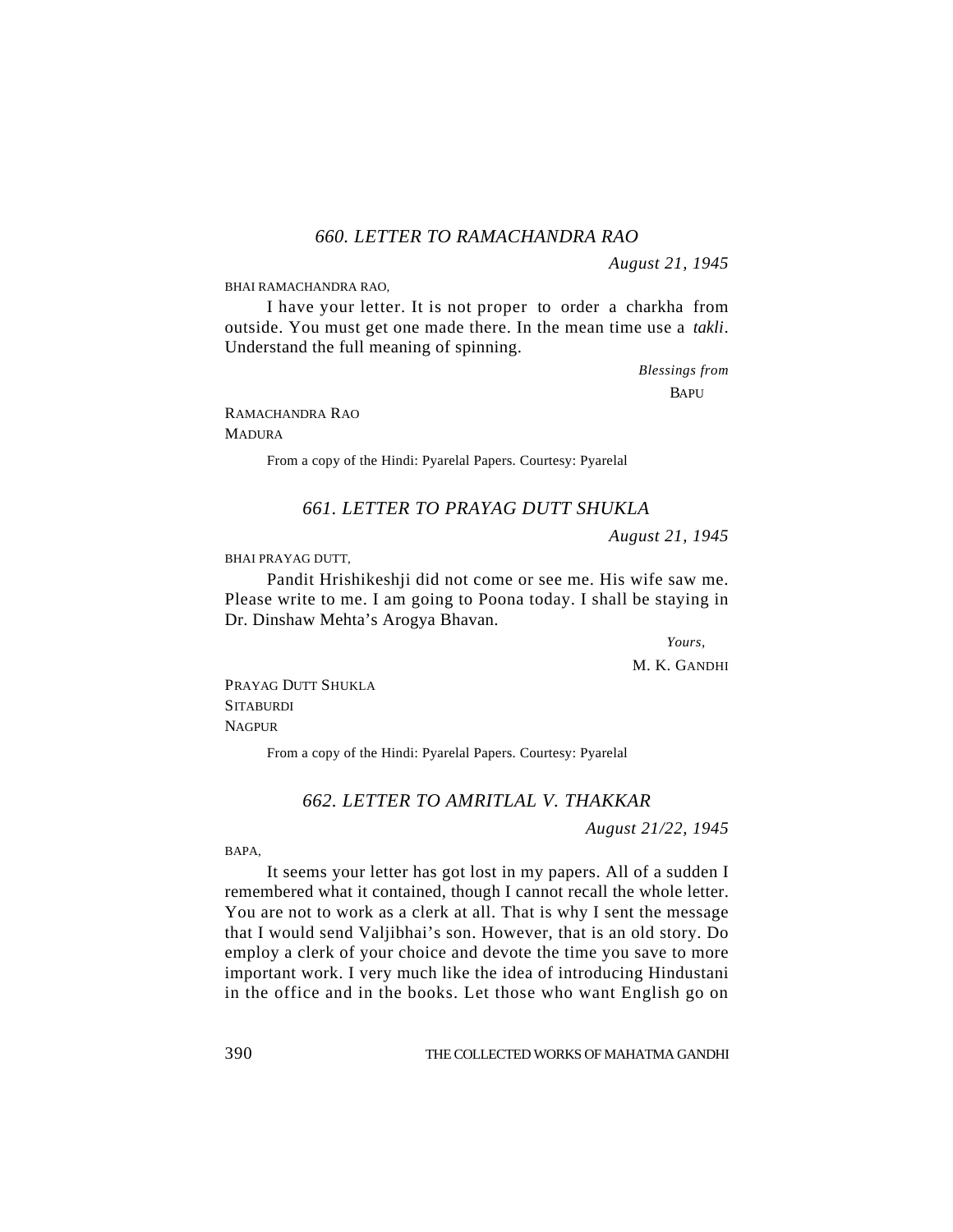*August 21, 1945*

BHAI RAMACHANDRA RAO,

I have your letter. It is not proper to order a charkha from outside. You must get one made there. In the mean time use a *takli*. Understand the full meaning of spinning.

> *Blessings from* **BAPU**

RAMACHANDRA RAO **MADURA** 

From a copy of the Hindi: Pyarelal Papers. Courtesy: Pyarelal

## *661. LETTER TO PRAYAG DUTT SHUKLA*

*August 21, 1945*

BHAI PRAYAG DUTT,

Pandit Hrishikeshji did not come or see me. His wife saw me. Please write to me. I am going to Poona today. I shall be staying in Dr. Dinshaw Mehta's Arogya Bhavan.

> *Yours,* M. K. GANDHI

PRAYAG DUTT SHUKLA **SITABURDI NAGPUR** 

From a copy of the Hindi: Pyarelal Papers. Courtesy: Pyarelal

## *662. LETTER TO AMRITLAL V. THAKKAR*

*August 21/22, 1945*

BAPA,

It seems your letter has got lost in my papers. All of a sudden I remembered what it contained, though I cannot recall the whole letter. You are not to work as a clerk at all. That is why I sent the message that I would send Valjibhai's son. However, that is an old story. Do employ a clerk of your choice and devote the time you save to more important work. I very much like the idea of introducing Hindustani in the office and in the books. Let those who want English go on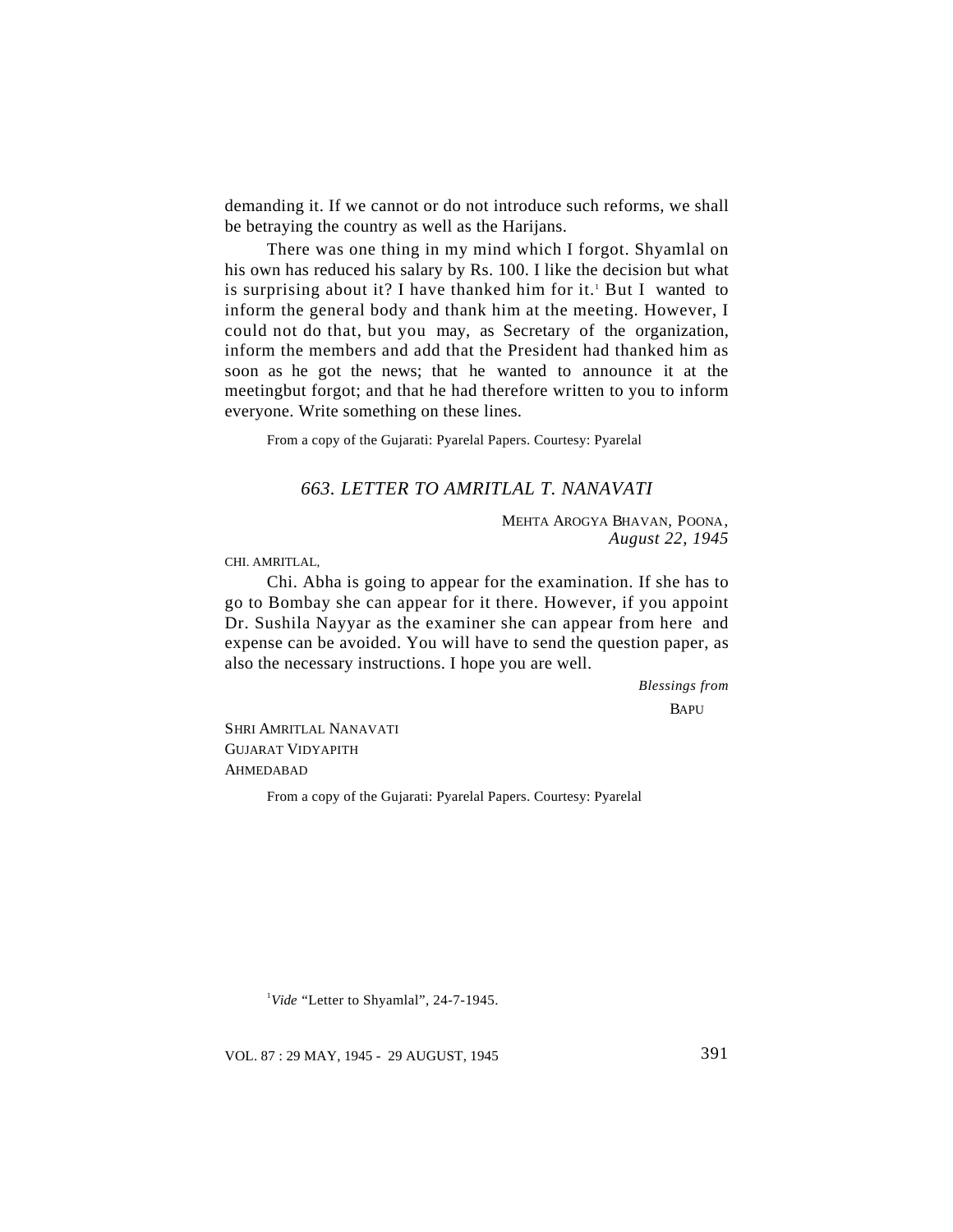demanding it. If we cannot or do not introduce such reforms, we shall be betraying the country as well as the Harijans.

There was one thing in my mind which I forgot. Shyamlal on his own has reduced his salary by Rs. 100. I like the decision but what is surprising about it? I have thanked him for it.<sup>1</sup> But I wanted to inform the general body and thank him at the meeting. However, I could not do that, but you may, as Secretary of the organization, inform the members and add that the President had thanked him as soon as he got the news; that he wanted to announce it at the meetingbut forgot; and that he had therefore written to you to inform everyone. Write something on these lines.

From a copy of the Gujarati: Pyarelal Papers. Courtesy: Pyarelal

## *663. LETTER TO AMRITLAL T. NANAVATI*

MEHTA AROGYA BHAVAN, POONA, *August 22, 1945*

CHI. AMRITLAL,

Chi. Abha is going to appear for the examination. If she has to go to Bombay she can appear for it there. However, if you appoint Dr. Sushila Nayyar as the examiner she can appear from here and expense can be avoided. You will have to send the question paper, as also the necessary instructions. I hope you are well.

> *Blessings from* **BAPU**

SHRI AMRITLAL NANAVATI GUJARAT VIDYAPITH AHMEDABAD

From a copy of the Gujarati: Pyarelal Papers. Courtesy: Pyarelal

<sup>1</sup>Vide "Letter to Shyamlal", 24-7-1945.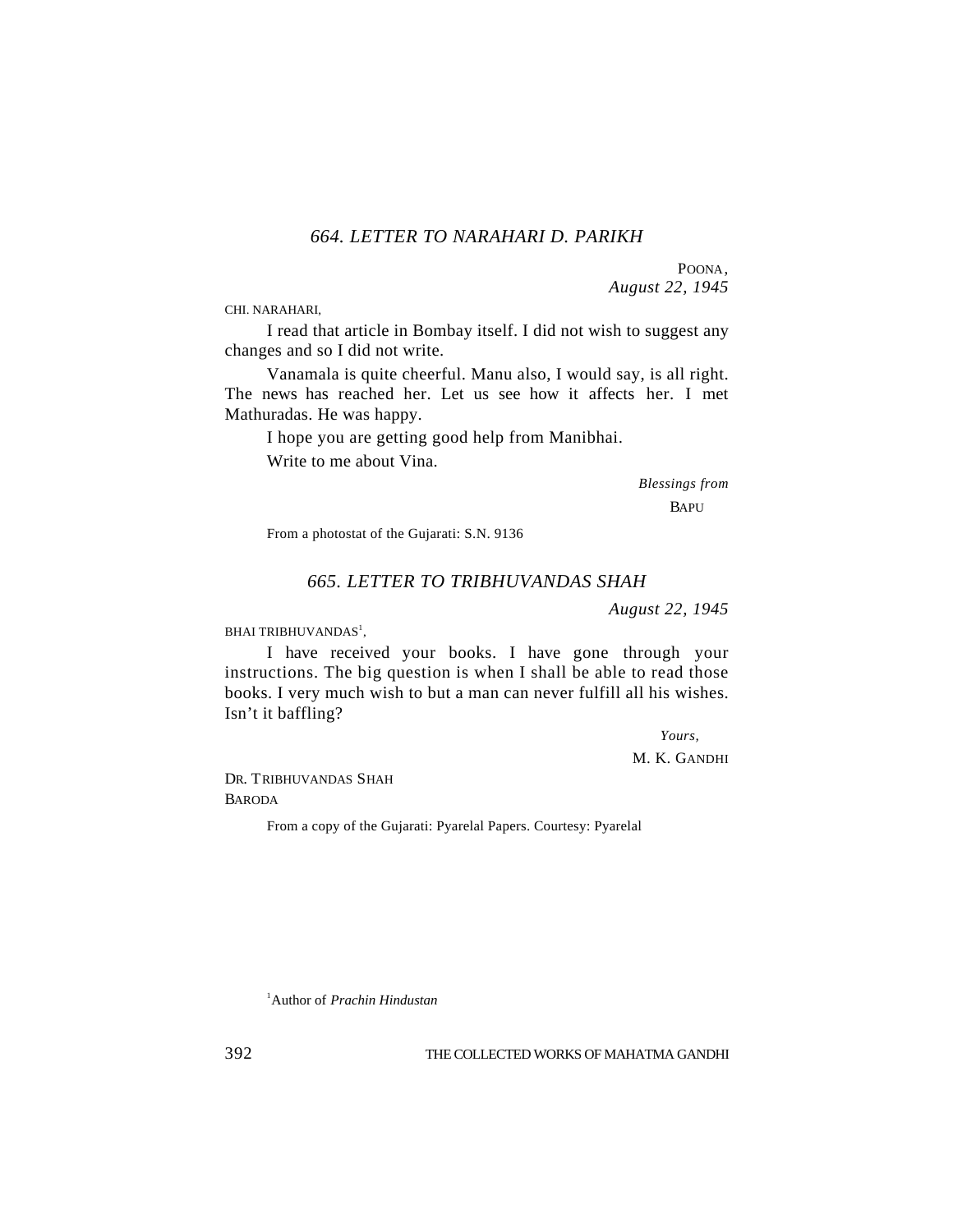## *664. LETTER TO NARAHARI D. PARIKH*

POONA, *August 22, 1945*

CHI. NARAHARI,

I read that article in Bombay itself. I did not wish to suggest any changes and so I did not write.

Vanamala is quite cheerful. Manu also, I would say, is all right. The news has reached her. Let us see how it affects her. I met Mathuradas. He was happy.

I hope you are getting good help from Manibhai. Write to me about Vina.

> *Blessings from* **BAPU**

From a photostat of the Gujarati: S.N. 9136

## *665. LETTER TO TRIBHUVANDAS SHAH*

*August 22, 1945*

 $\mathbf B$ HAI TRIBHUVANDAS $^1$ ,

I have received your books. I have gone through your instructions. The big question is when I shall be able to read those books. I very much wish to but a man can never fulfill all his wishes. Isn't it baffling?

> *Yours,* M. K. GANDHI

DR. TRIBHUVANDAS SHAH BARODA

From a copy of the Gujarati: Pyarelal Papers. Courtesy: Pyarelal

<sup>1</sup>Author of *Prachin Hindustan*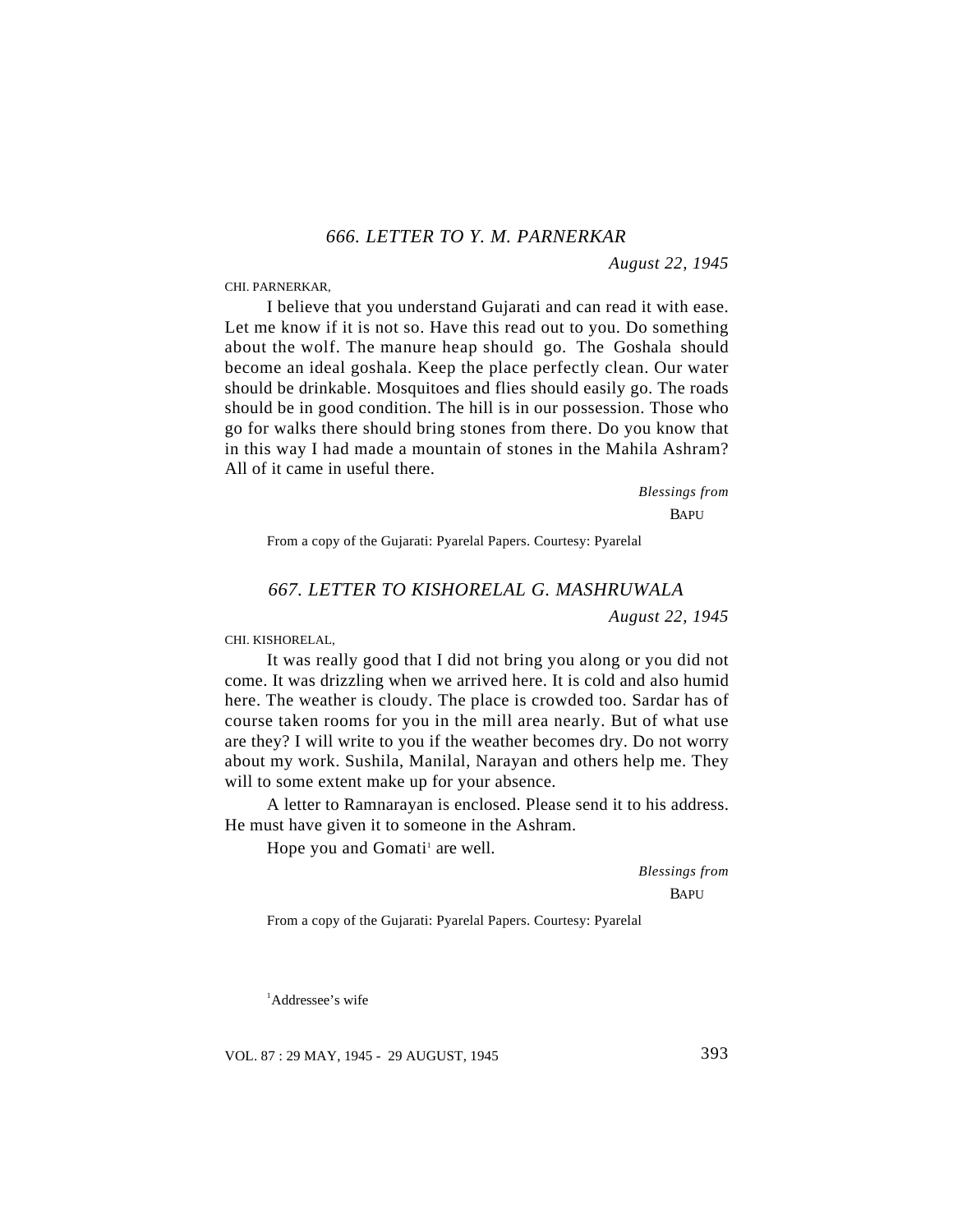*August 22, 1945*

CHI. PARNERKAR,

I believe that you understand Gujarati and can read it with ease. Let me know if it is not so. Have this read out to you. Do something about the wolf. The manure heap should go. The Goshala should become an ideal goshala. Keep the place perfectly clean. Our water should be drinkable. Mosquitoes and flies should easily go. The roads should be in good condition. The hill is in our possession. Those who go for walks there should bring stones from there. Do you know that in this way I had made a mountain of stones in the Mahila Ashram? All of it came in useful there.

*Blessings from*

**BAPU** 

From a copy of the Gujarati: Pyarelal Papers. Courtesy: Pyarelal

## *667. LETTER TO KISHORELAL G. MASHRUWALA*

*August 22, 1945*

CHI. KISHORELAL,

It was really good that I did not bring you along or you did not come. It was drizzling when we arrived here. It is cold and also humid here. The weather is cloudy. The place is crowded too. Sardar has of course taken rooms for you in the mill area nearly. But of what use are they? I will write to you if the weather becomes dry. Do not worry about my work. Sushila, Manilal, Narayan and others help me. They will to some extent make up for your absence.

A letter to Ramnarayan is enclosed. Please send it to his address. He must have given it to someone in the Ashram.

Hope you and Gomati<sup>1</sup> are well.

*Blessings from*

**BAPU** 

From a copy of the Gujarati: Pyarelal Papers. Courtesy: Pyarelal

<sup>1</sup>Addressee's wife

VOL. 87 : 29 MAY, 1945 - 29 AUGUST, 1945 393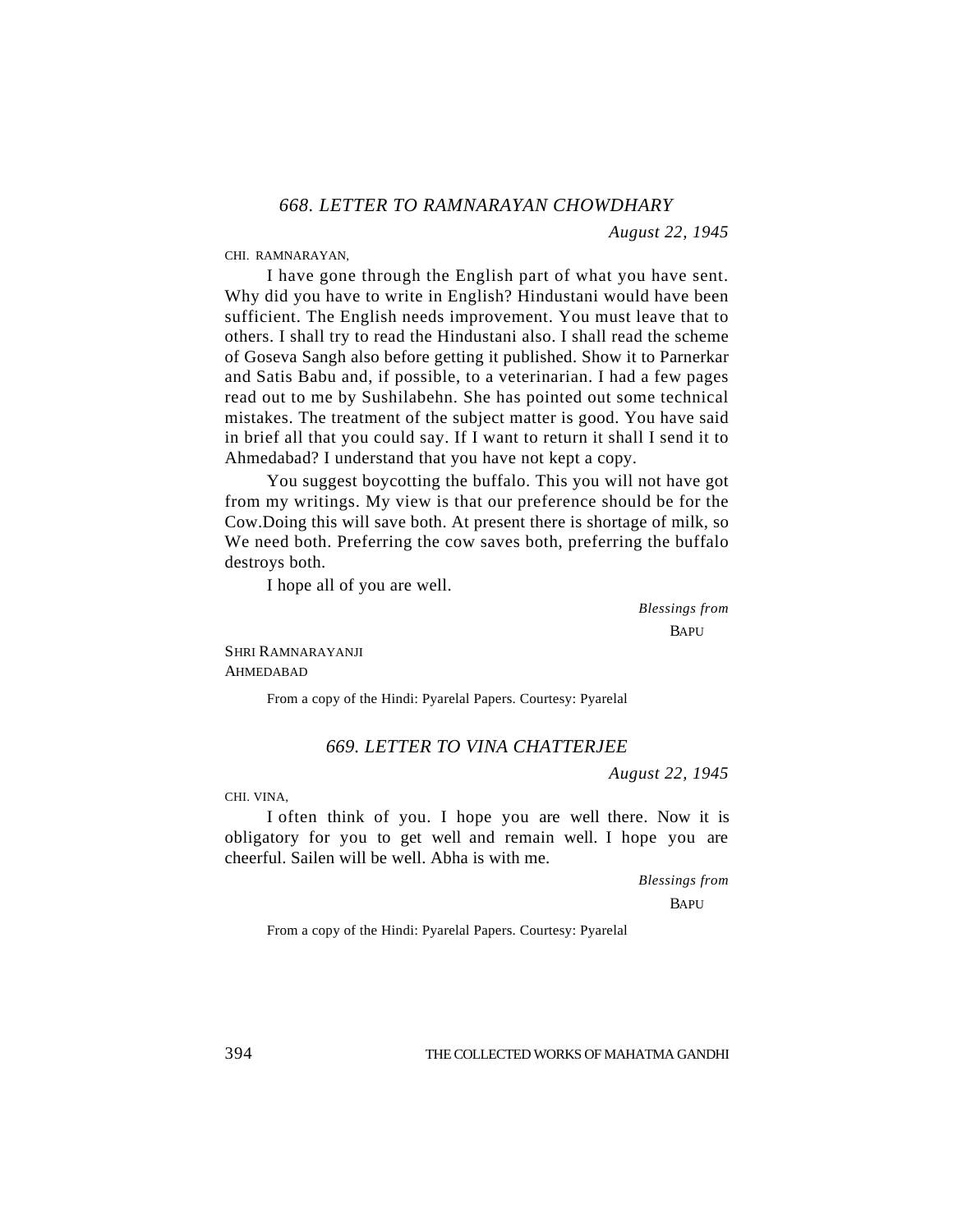*August 22, 1945*

CHI. RAMNARAYAN,

I have gone through the English part of what you have sent. Why did you have to write in English? Hindustani would have been sufficient. The English needs improvement. You must leave that to others. I shall try to read the Hindustani also. I shall read the scheme of Goseva Sangh also before getting it published. Show it to Parnerkar and Satis Babu and, if possible, to a veterinarian. I had a few pages read out to me by Sushilabehn. She has pointed out some technical mistakes. The treatment of the subject matter is good. You have said in brief all that you could say. If I want to return it shall I send it to Ahmedabad? I understand that you have not kept a copy.

You suggest boycotting the buffalo. This you will not have got from my writings. My view is that our preference should be for the Cow.Doing this will save both. At present there is shortage of milk, so We need both. Preferring the cow saves both, preferring the buffalo destroys both.

I hope all of you are well.

*Blessings from* **BAPU** 

SHRI RAMNARAYANJI AHMEDABAD

From a copy of the Hindi: Pyarelal Papers. Courtesy: Pyarelal

## *669. LETTER TO VINA CHATTERJEE*

*August 22, 1945*

CHI. VINA,

I often think of you. I hope you are well there. Now it is obligatory for you to get well and remain well. I hope you are cheerful. Sailen will be well. Abha is with me.

*Blessings from*

BAPU

From a copy of the Hindi: Pyarelal Papers. Courtesy: Pyarelal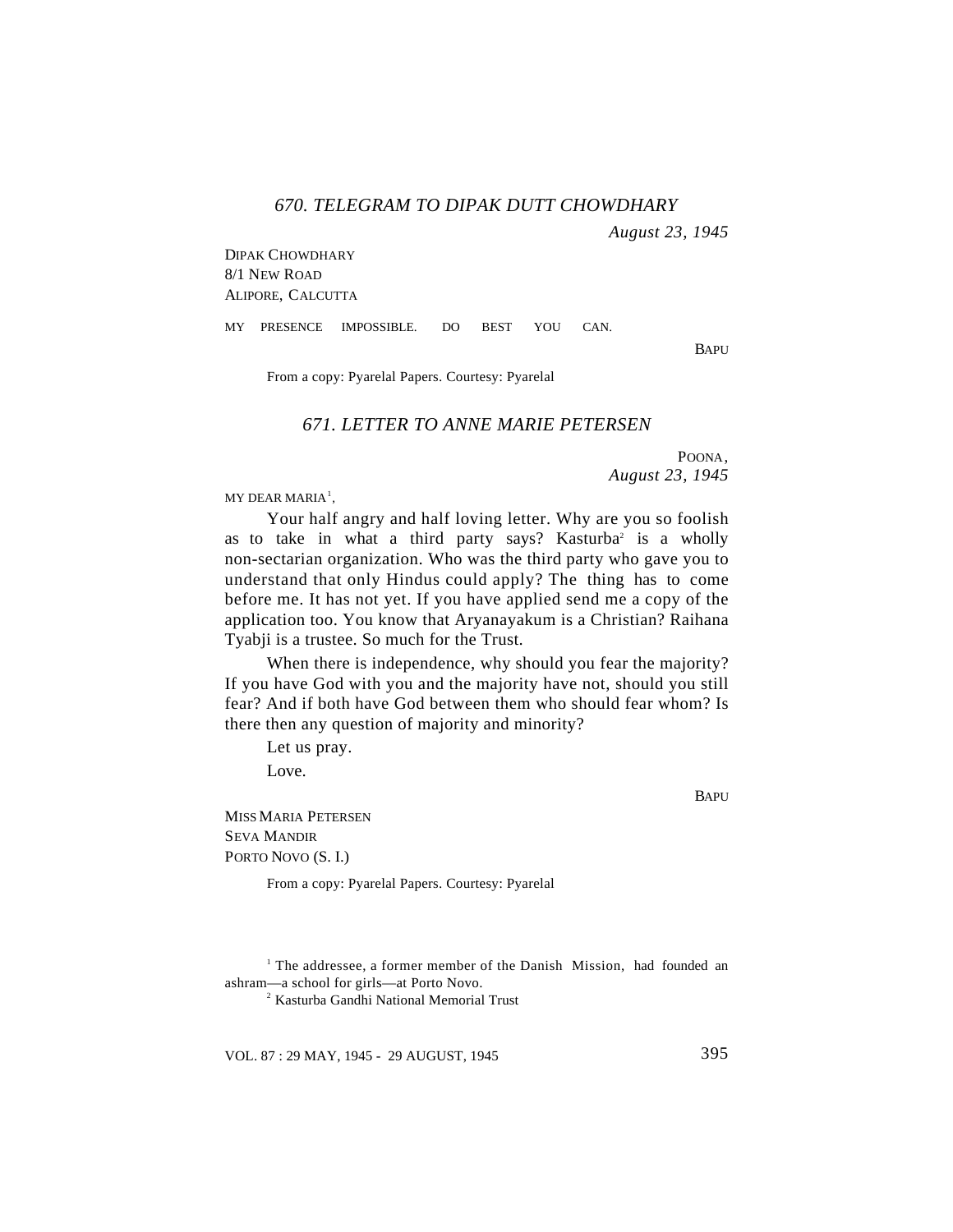*670. TELEGRAM TO DIPAK DUTT CHOWDHARY*

*August 23, 1945*

DIPAK CHOWDHARY 8/1 NEW ROAD ALIPORE, CALCUTTA

MY PRESENCE IMPOSSIBLE. DO BEST YOU CAN.

**BAPU** 

From a copy: Pyarelal Papers. Courtesy: Pyarelal

## *671. LETTER TO ANNE MARIE PETERSEN*

POONA, *August 23, 1945*

 $MY$  DEAR MARIA<sup>1</sup>,

Your half angry and half loving letter. Why are you so foolish as to take in what a third party says? Kasturba<sup>2</sup> is a wholly non-sectarian organization. Who was the third party who gave you to understand that only Hindus could apply? The thing has to come before me. It has not yet. If you have applied send me a copy of the application too. You know that Aryanayakum is a Christian? Raihana Tyabji is a trustee. So much for the Trust.

When there is independence, why should you fear the majority? If you have God with you and the majority have not, should you still fear? And if both have God between them who should fear whom? Is there then any question of majority and minority?

Let us pray. Love.

MISS MARIA PETERSEN SEVA MANDIR PORTO NOVO (S. I.)

From a copy: Pyarelal Papers. Courtesy: Pyarelal

<sup>2</sup> Kasturba Gandhi National Memorial Trust

<sup>&</sup>lt;sup>1</sup> The addressee, a former member of the Danish Mission, had founded an ashram—a school for girls—at Porto Novo.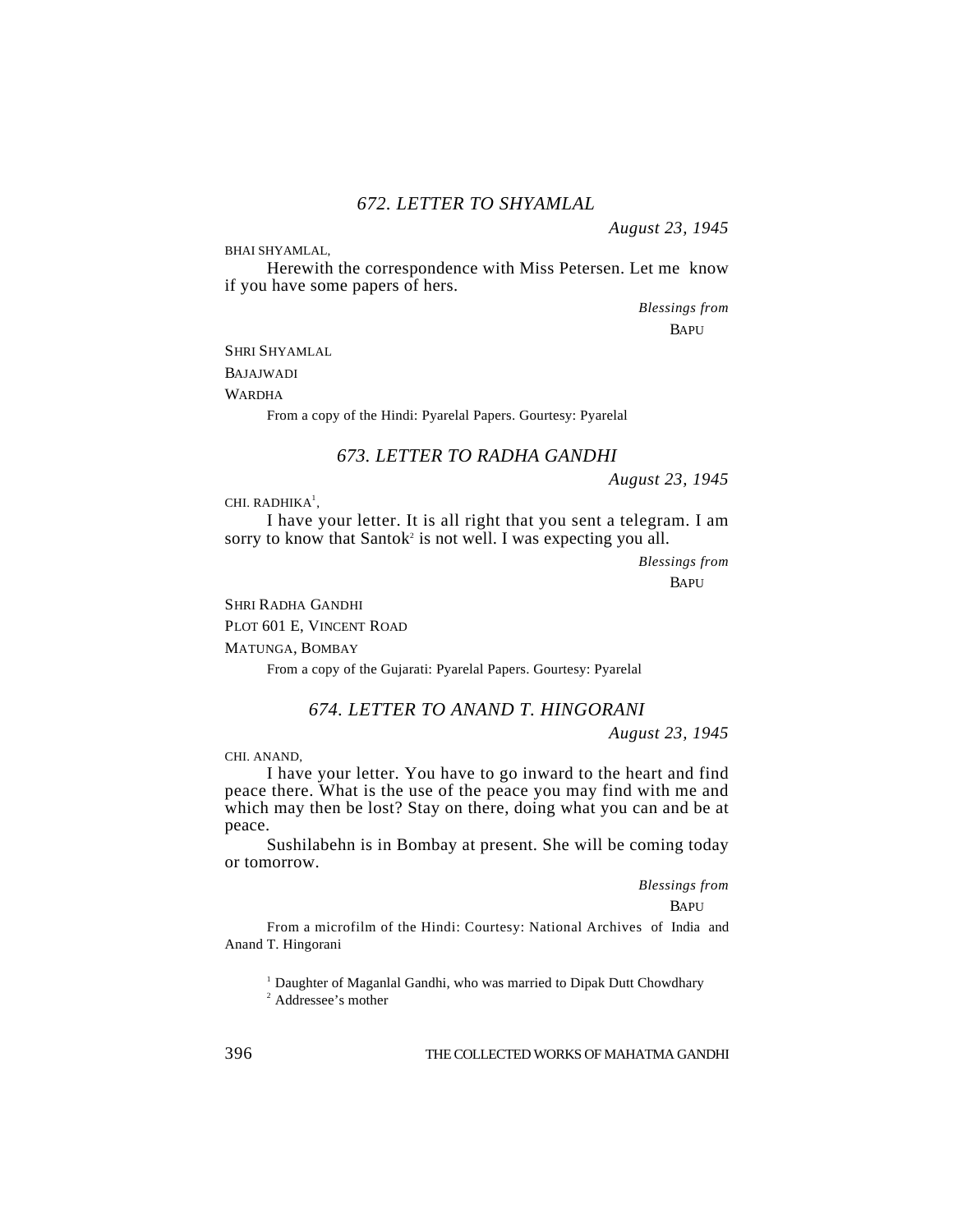*August 23, 1945*

#### BHAI SHYAMLAL,

Herewith the correspondence with Miss Petersen. Let me know if you have some papers of hers.

> *Blessings from* **BAPU**

SHRI SHYAMLAL

BAJAJWADI

WARDHA

From a copy of the Hindi: Pyarelal Papers. Gourtesy: Pyarelal

## *673. LETTER TO RADHA GANDHI*

*August 23, 1945*

CHI. RADHIKA $^1$ ,

I have your letter. It is all right that you sent a telegram. I am sorry to know that Santok<sup>2</sup> is not well. I was expecting you all.

*Blessings from*

**BAPU** 

SHRI RADHA GANDHI PLOT 601 E, VINCENT ROAD MATUNGA, BOMBAY

From a copy of the Gujarati: Pyarelal Papers. Gourtesy: Pyarelal

## *674. LETTER TO ANAND T. HINGORANI*

*August 23, 1945*

CHI. ANAND,

I have your letter. You have to go inward to the heart and find peace there. What is the use of the peace you may find with me and which may then be lost? Stay on there, doing what you can and be at peace.

Sushilabehn is in Bombay at present. She will be coming today or tomorrow.

*Blessings from*

**BAPU** 

From a microfilm of the Hindi: Courtesy: National Archives of India and Anand T. Hingorani

<sup>1</sup> Daughter of Maganlal Gandhi, who was married to Dipak Dutt Chowdhary 2 Addressee's mother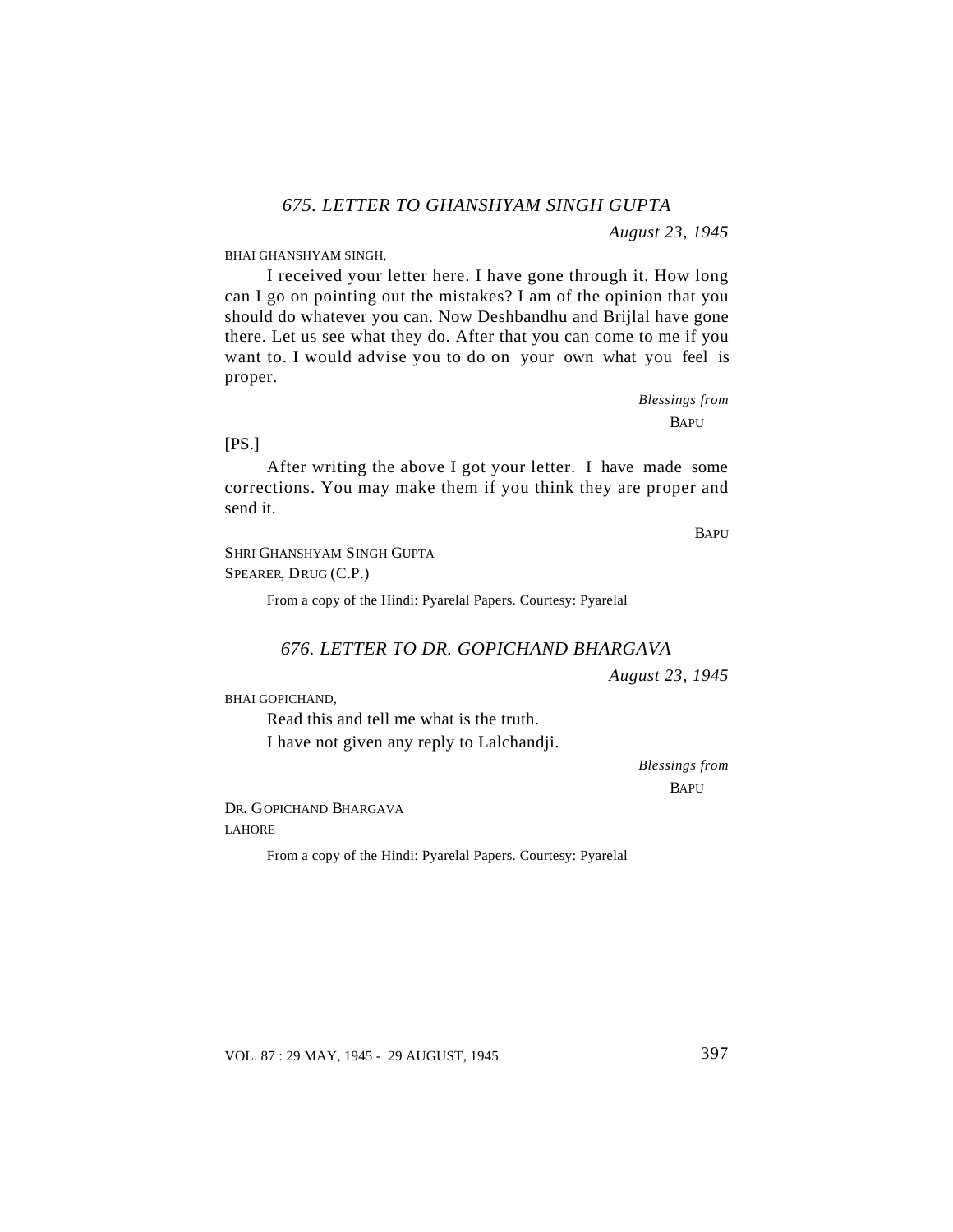## *675. LETTER TO GHANSHYAM SINGH GUPTA*

*August 23, 1945*

#### BHAI GHANSHYAM SINGH,

I received your letter here. I have gone through it. How long can I go on pointing out the mistakes? I am of the opinion that you should do whatever you can. Now Deshbandhu and Brijlal have gone there. Let us see what they do. After that you can come to me if you want to. I would advise you to do on your own what you feel is proper.

> *Blessings from* BAPU

### [PS.]

After writing the above I got your letter. I have made some corrections. You may make them if you think they are proper and send it.

**BAPU** 

SHRI GHANSHYAM SINGH GUPTA SPEARER, DRUG (C.P.)

From a copy of the Hindi: Pyarelal Papers. Courtesy: Pyarelal

### *676. LETTER TO DR. GOPICHAND BHARGAVA*

*August 23, 1945*

BHAI GOPICHAND,

Read this and tell me what is the truth. I have not given any reply to Lalchandji.

*Blessings from*

**BAPU** 

DR. GOPICHAND BHARGAVA LAHORE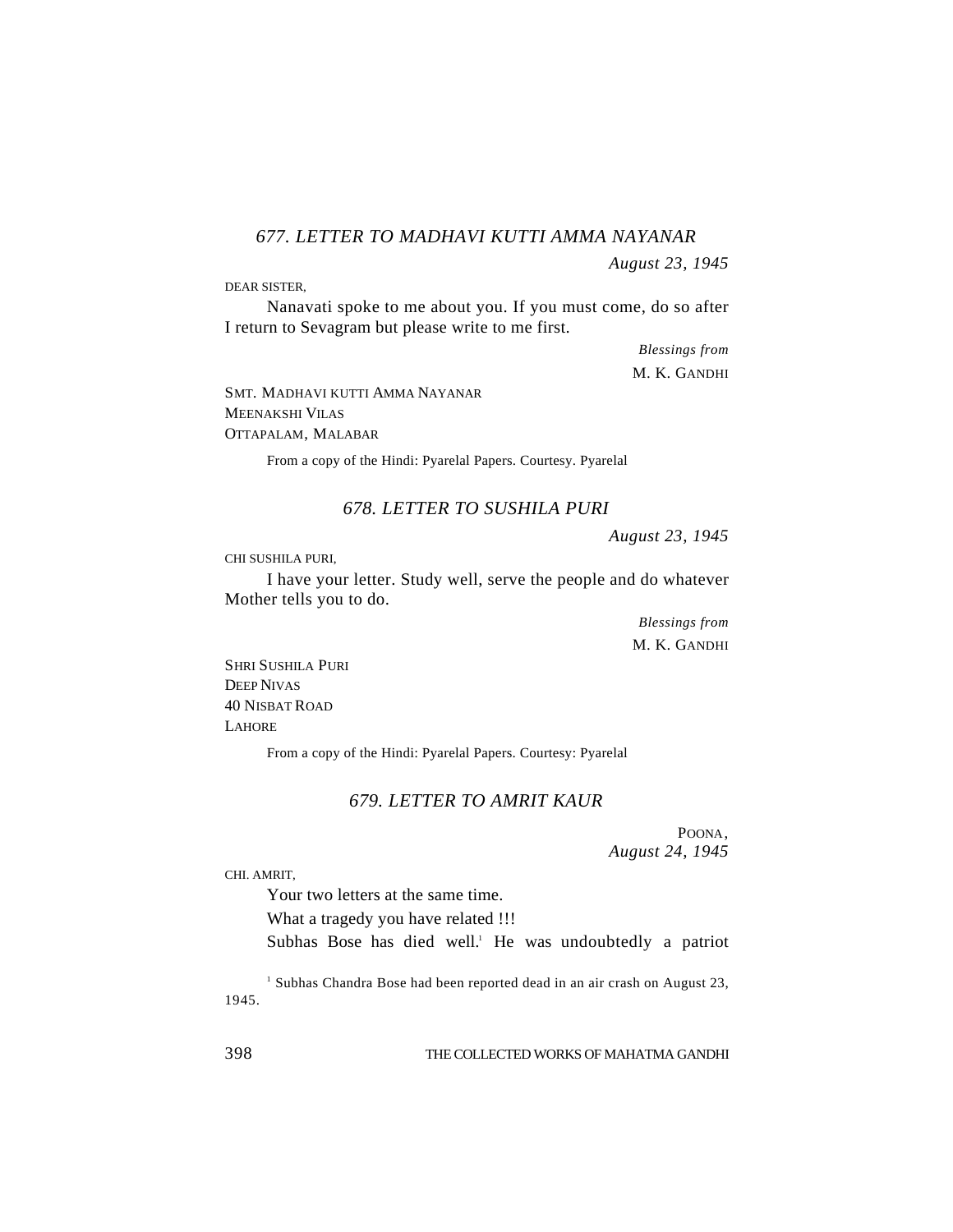### *677. LETTER TO MADHAVI KUTTI AMMA NAYANAR*

*August 23, 1945*

DEAR SISTER,

Nanavati spoke to me about you. If you must come, do so after I return to Sevagram but please write to me first.

> *Blessings from* M. K. GANDHI

SMT. MADHAVI KUTTI AMMA NAYANAR MEENAKSHI VILAS OTTAPALAM, MALABAR

From a copy of the Hindi: Pyarelal Papers. Courtesy. Pyarelal

### *678. LETTER TO SUSHILA PURI*

*August 23, 1945*

CHI SUSHILA PURI,

I have your letter. Study well, serve the people and do whatever Mother tells you to do.

> *Blessings from* M. K. GANDHI

SHRI SUSHILA PURI DEEP NIVAS 40 NISBAT ROAD LAHORE

From a copy of the Hindi: Pyarelal Papers. Courtesy: Pyarelal

## *679. LETTER TO AMRIT KAUR*

POONA, *August 24, 1945*

CHI. AMRIT,

Your two letters at the same time.

What a tragedy you have related !!!

Subhas Bose has died well.<sup>1</sup> He was undoubtedly a patriot

<sup>1</sup> Subhas Chandra Bose had been reported dead in an air crash on August 23, 1945.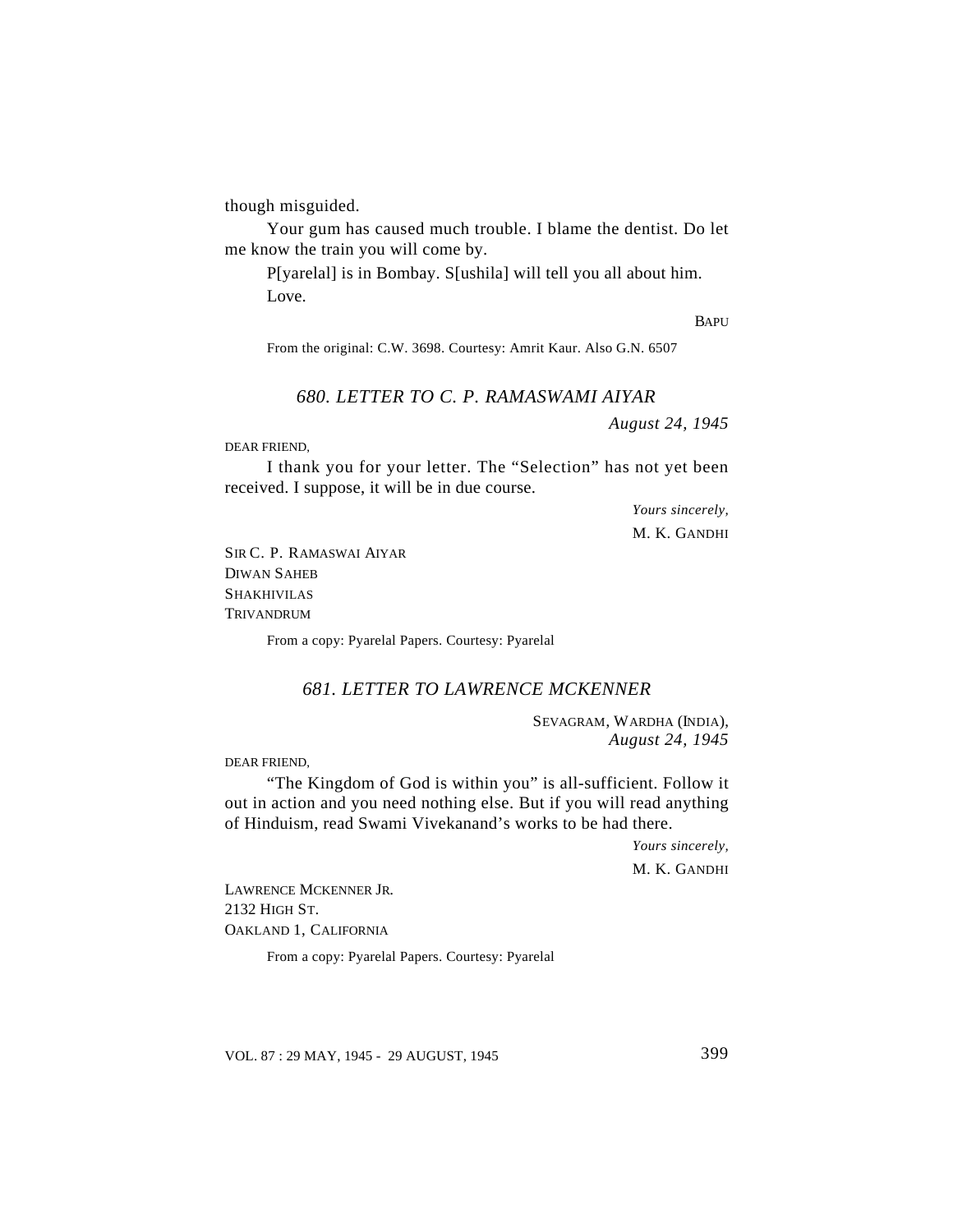though misguided.

Your gum has caused much trouble. I blame the dentist. Do let me know the train you will come by.

P[yarelal] is in Bombay. S[ushila] will tell you all about him. Love.

**BAPU** 

From the original: C.W. 3698. Courtesy: Amrit Kaur. Also G.N. 6507

## *680. LETTER TO C. P. RAMASWAMI AIYAR*

*August 24, 1945*

DEAR FRIEND,

I thank you for your letter. The "Selection" has not yet been received. I suppose, it will be in due course.

> *Yours sincerely,* M. K. GANDHI

SIR C. P. RAMASWAI AIYAR DIWAN SAHEB SHAKHIVILAS TRIVANDRUM

From a copy: Pyarelal Papers. Courtesy: Pyarelal

## *681. LETTER TO LAWRENCE MCKENNER*

SEVAGRAM, WARDHA (INDIA), *August 24, 1945*

DEAR FRIEND,

"The Kingdom of God is within you" is all-sufficient. Follow it out in action and you need nothing else. But if you will read anything of Hinduism, read Swami Vivekanand's works to be had there.

> *Yours sincerely,* M. K. GANDHI

LAWRENCE MCKENNER JR. 2132 HIGH ST. OAKLAND 1, CALIFORNIA

From a copy: Pyarelal Papers. Courtesy: Pyarelal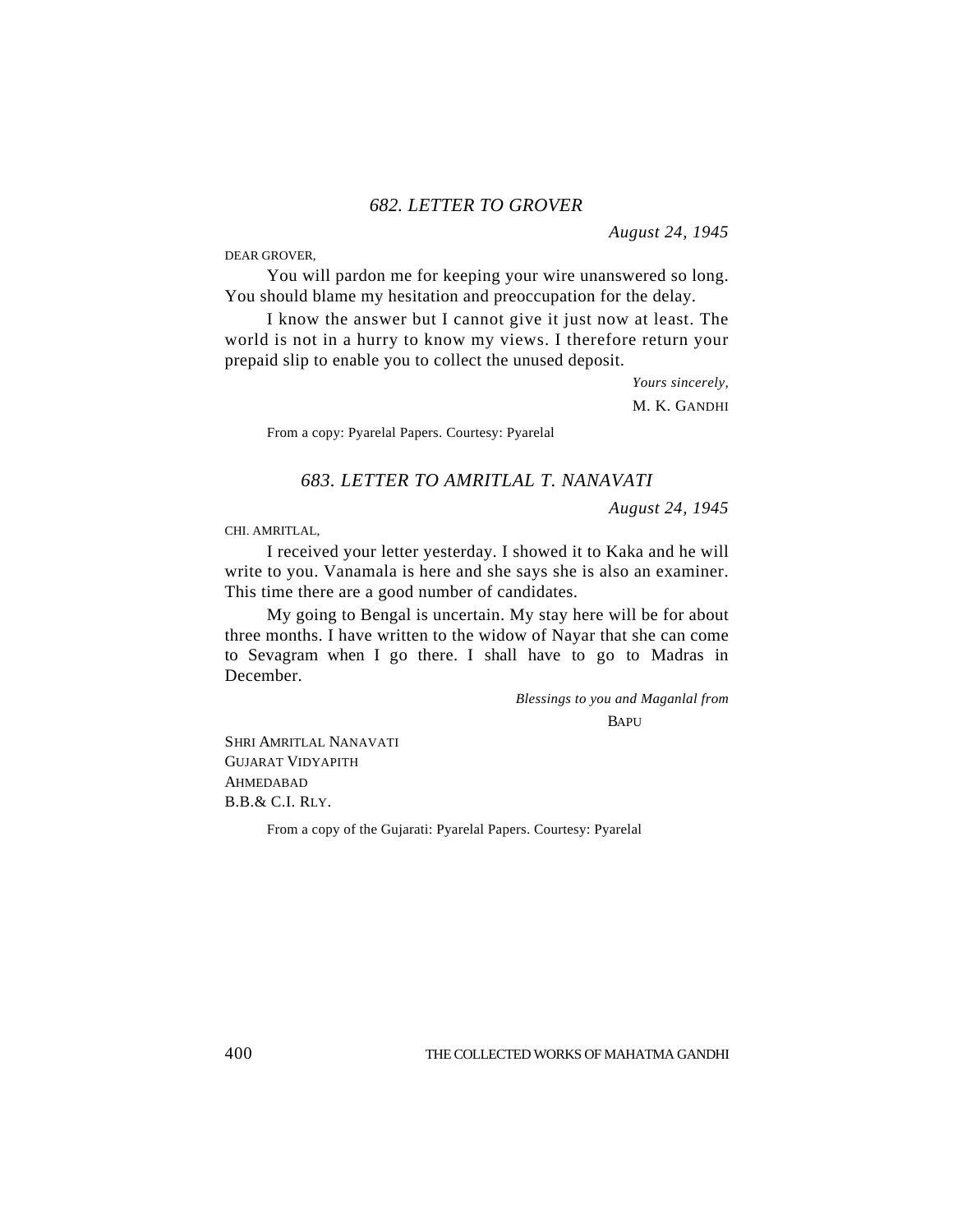*August 24, 1945*

DEAR GROVER,

You will pardon me for keeping your wire unanswered so long. You should blame my hesitation and preoccupation for the delay.

I know the answer but I cannot give it just now at least. The world is not in a hurry to know my views. I therefore return your prepaid slip to enable you to collect the unused deposit.

> *Yours sincerely,* M. K. GANDHI

From a copy: Pyarelal Papers. Courtesy: Pyarelal

### *683. LETTER TO AMRITLAL T. NANAVATI*

*August 24, 1945*

CHI. AMRITLAL,

I received your letter yesterday. I showed it to Kaka and he will write to you. Vanamala is here and she says she is also an examiner. This time there are a good number of candidates.

My going to Bengal is uncertain. My stay here will be for about three months. I have written to the widow of Nayar that she can come to Sevagram when I go there. I shall have to go to Madras in December.

> *Blessings to you and Maganlal from* **BAPU**

SHRI AMRITLAL NANAVATI GUJARAT VIDYAPITH AHMEDABAD B.B.& C.I. RLY.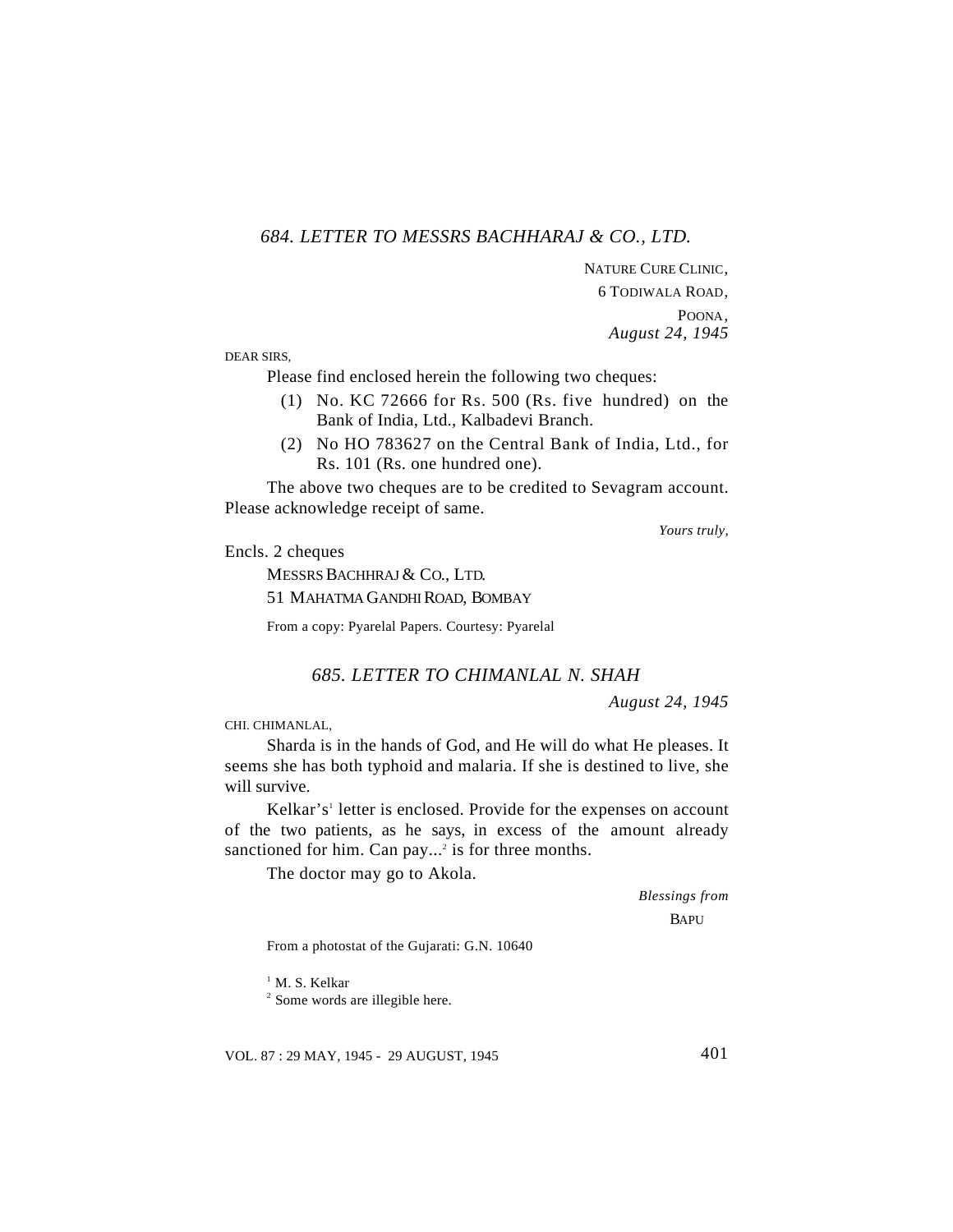## *684. LETTER TO MESSRS BACHHARAJ & CO., LTD.*

NATURE CURE CLINIC, 6 TODIWALA ROAD, POONA, *August 24, 1945*

DEAR SIRS,

Please find enclosed herein the following two cheques:

- (1) No. KC 72666 for Rs. 500 (Rs. five hundred) on the Bank of India, Ltd., Kalbadevi Branch.
- (2) No HO 783627 on the Central Bank of India, Ltd., for Rs. 101 (Rs. one hundred one).

The above two cheques are to be credited to Sevagram account. Please acknowledge receipt of same.

*Yours truly,*

Encls. 2 cheques

MESSRS BACHHRAJ & CO., LTD.

51 MAHATMA GANDHI ROAD, BOMBAY

From a copy: Pyarelal Papers. Courtesy: Pyarelal

### *685. LETTER TO CHIMANLAL N. SHAH*

*August 24, 1945*

CHI. CHIMANLAL,

Sharda is in the hands of God, and He will do what He pleases. It seems she has both typhoid and malaria. If she is destined to live, she will survive.

Kelkar's<sup>1</sup> letter is enclosed. Provide for the expenses on account of the two patients, as he says, in excess of the amount already sanctioned for him. Can pay... $2$  is for three months.

The doctor may go to Akola.

*Blessings from* **BAPU** 

From a photostat of the Gujarati: G.N. 10640

<sup>1</sup> M. S. Kelkar <sup>2</sup> Some words are illegible here.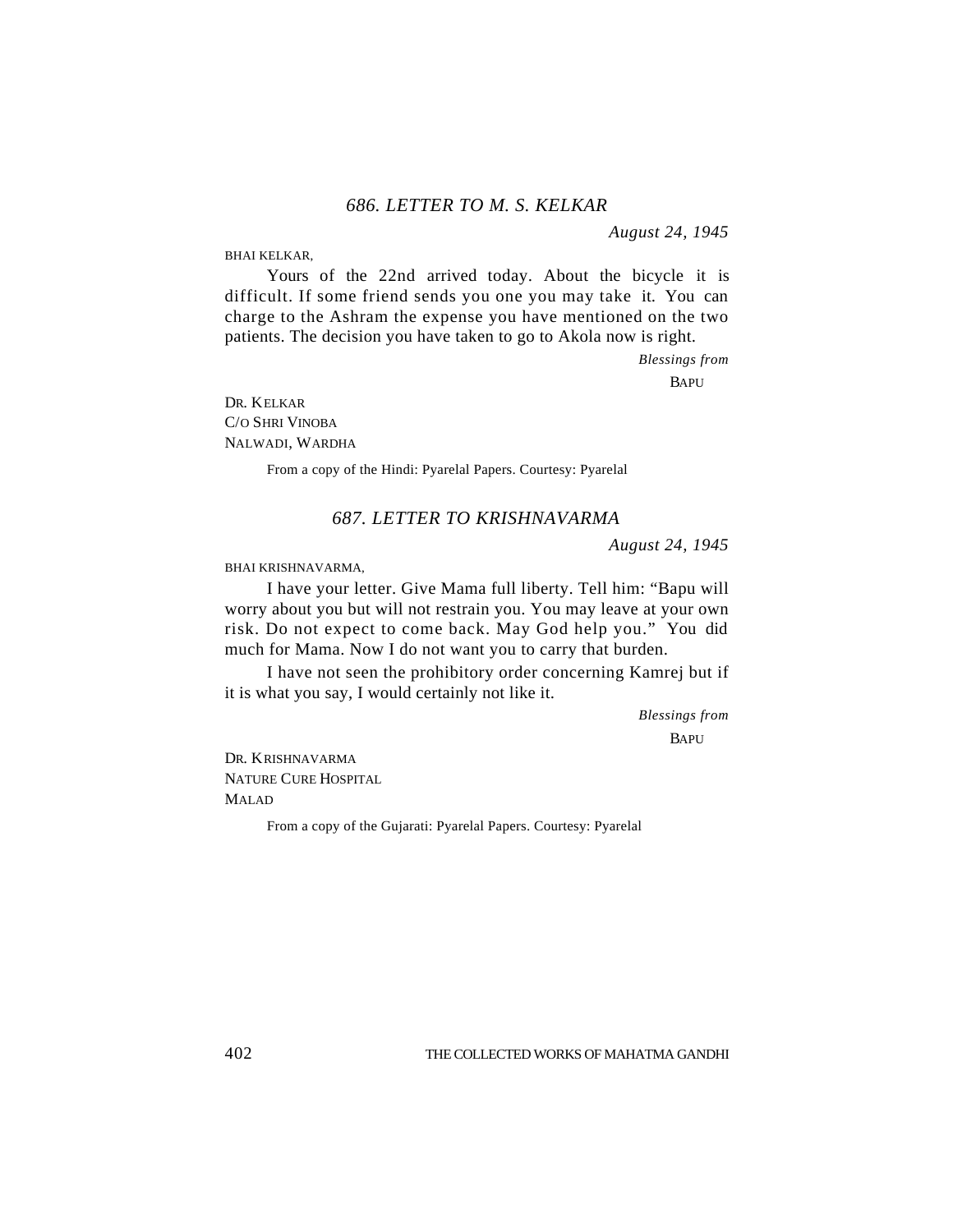*August 24, 1945*

#### BHAI KELKAR,

Yours of the 22nd arrived today. About the bicycle it is difficult. If some friend sends you one you may take it. You can charge to the Ashram the expense you have mentioned on the two patients. The decision you have taken to go to Akola now is right.

*Blessings from*

**BAPU** 

DR. KELKAR C/O SHRI VINOBA NALWADI, WARDHA

From a copy of the Hindi: Pyarelal Papers. Courtesy: Pyarelal

### *687. LETTER TO KRISHNAVARMA*

*August 24, 1945*

BHAI KRISHNAVARMA,

I have your letter. Give Mama full liberty. Tell him: "Bapu will worry about you but will not restrain you. You may leave at your own risk. Do not expect to come back. May God help you." You did much for Mama. Now I do not want you to carry that burden.

I have not seen the prohibitory order concerning Kamrej but if it is what you say, I would certainly not like it.

*Blessings from*

**BAPU** 

DR. KRISHNAVARMA NATURE CURE HOSPITAL M<sub>AL</sub>AD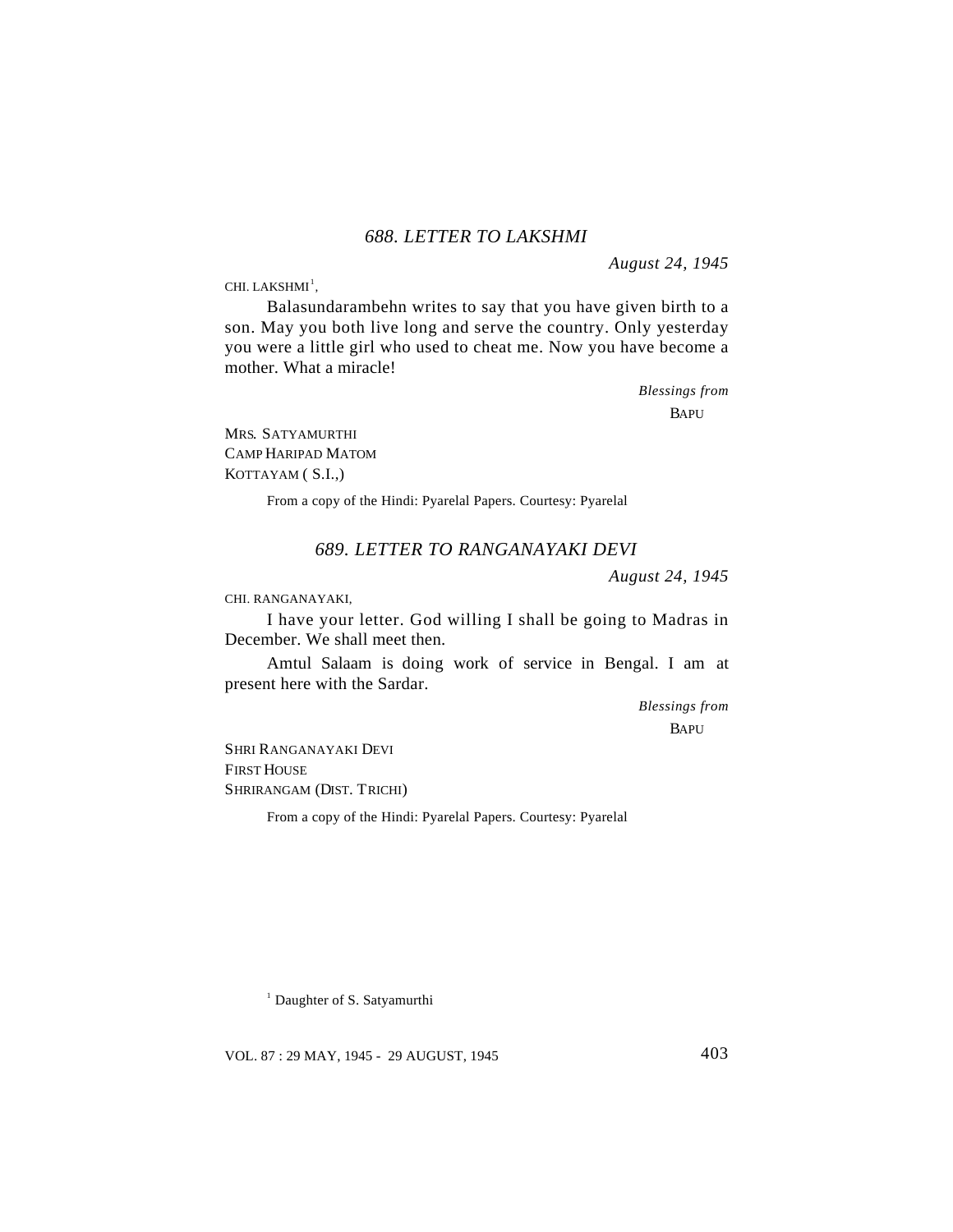### *688. LETTER TO LAKSHMI*

*August 24, 1945*

CHI. LAKSHMI $^1$ ,

Balasundarambehn writes to say that you have given birth to a son. May you both live long and serve the country. Only yesterday you were a little girl who used to cheat me. Now you have become a mother. What a miracle!

> *Blessings from* **BAPU**

MRS. SATYAMURTHI CAMP HARIPAD MATOM KOTTAYAM ( S.I.,)

From a copy of the Hindi: Pyarelal Papers. Courtesy: Pyarelal

# *689. LETTER TO RANGANAYAKI DEVI*

*August 24, 1945*

CHI. RANGANAYAKI,

I have your letter. God willing I shall be going to Madras in December. We shall meet then.

Amtul Salaam is doing work of service in Bengal. I am at present here with the Sardar.

> *Blessings from* **BAPU**

SHRI RANGANAYAKI DEVI FIRST HOUSE SHRIRANGAM (DIST. TRICHI)

From a copy of the Hindi: Pyarelal Papers. Courtesy: Pyarelal

<sup>1</sup> Daughter of S. Satyamurthi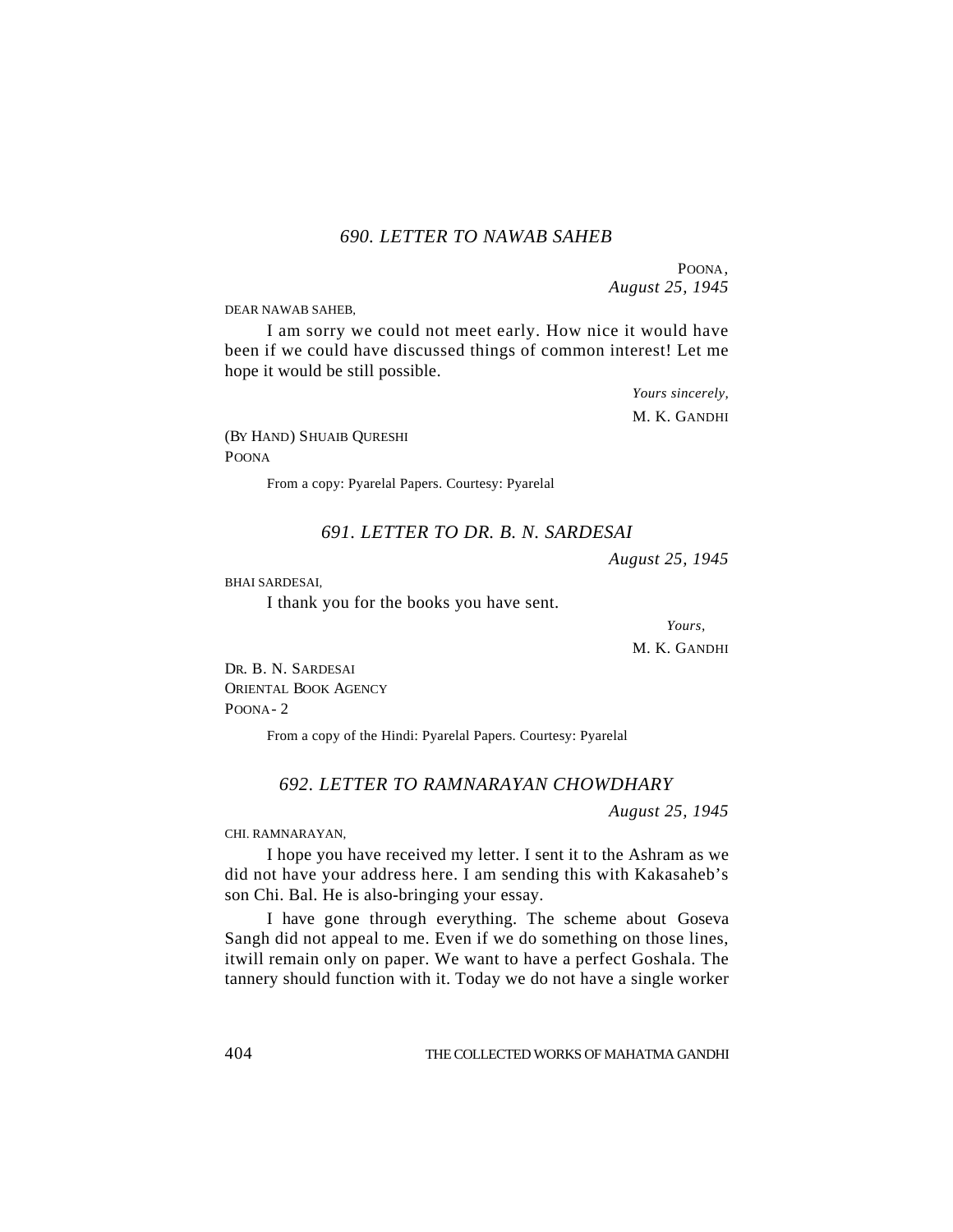#### 404 THE COLLECTED WORKS OF MAHATMA GANDHI

## *690. LETTER TO NAWAB SAHEB*

POONA, *August 25, 1945*

DEAR NAWAB SAHEB,

I am sorry we could not meet early. How nice it would have been if we could have discussed things of common interest! Let me hope it would be still possible.

> *Yours sincerely,* M. K. GANDHI

(BY HAND) SHUAIB QURESHI **POONA** 

From a copy: Pyarelal Papers. Courtesy: Pyarelal

### *691. LETTER TO DR. B. N. SARDESAI*

*August 25, 1945*

BHAI SARDESAI,

I thank you for the books you have sent.

*Yours,* M. K. GANDHI

DR. B. N. SARDESAI ORIENTAL BOOK AGENCY POONA- 2

From a copy of the Hindi: Pyarelal Papers. Courtesy: Pyarelal

### *692. LETTER TO RAMNARAYAN CHOWDHARY*

*August 25, 1945*

CHI. RAMNARAYAN,

I hope you have received my letter. I sent it to the Ashram as we did not have your address here. I am sending this with Kakasaheb's son Chi. Bal. He is also-bringing your essay.

I have gone through everything. The scheme about Goseva Sangh did not appeal to me. Even if we do something on those lines, itwill remain only on paper. We want to have a perfect Goshala. The tannery should function with it. Today we do not have a single worker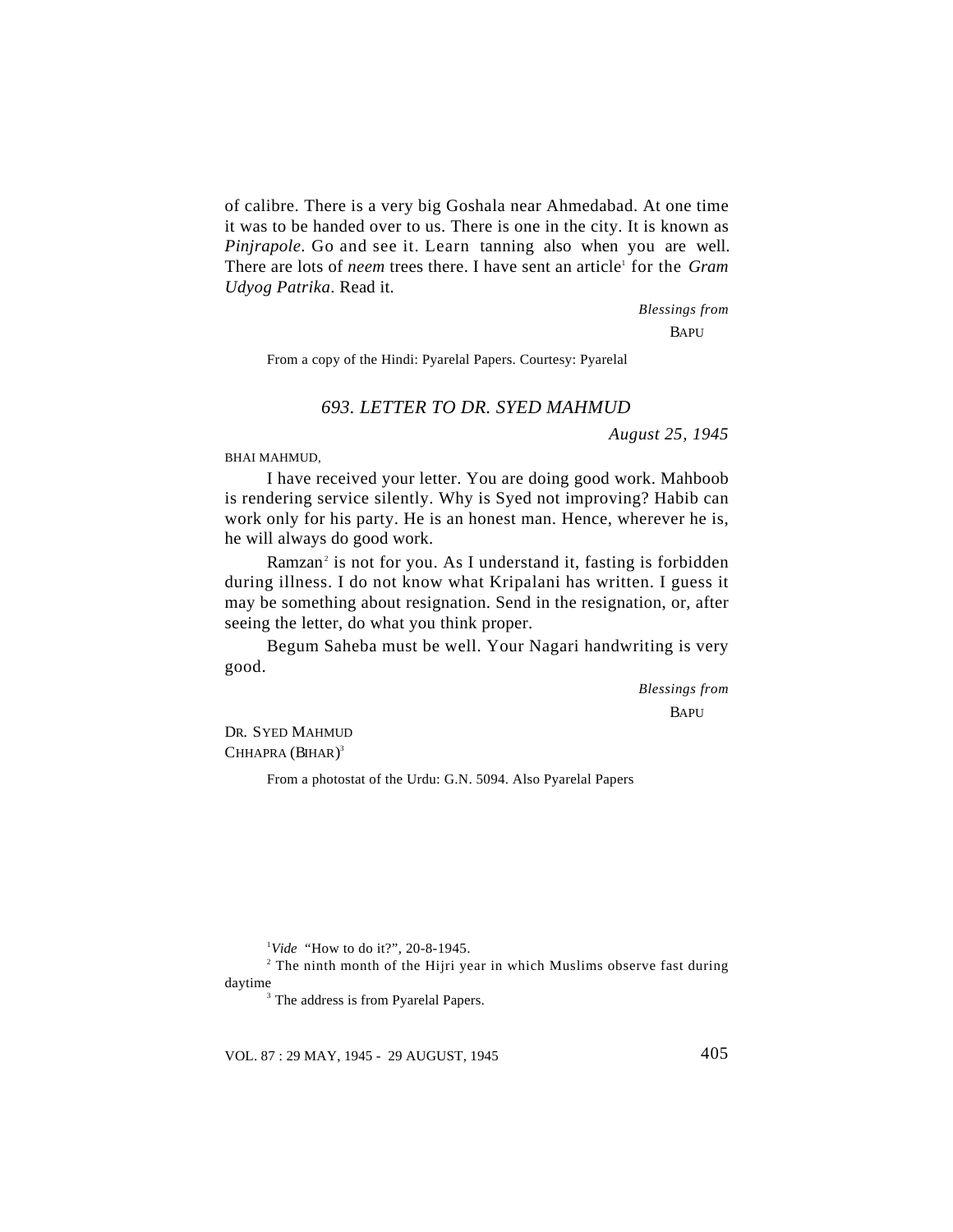of calibre. There is a very big Goshala near Ahmedabad. At one time it was to be handed over to us. There is one in the city. It is known as *Pinjrapole*. Go and see it. Learn tanning also when you are well. There are lots of *neem* trees there. I have sent an article<sup>1</sup> for the *Gram Udyog Patrika*. Read it.

> *Blessings from* **BAPU**

From a copy of the Hindi: Pyarelal Papers. Courtesy: Pyarelal

### *693. LETTER TO DR. SYED MAHMUD*

*August 25, 1945*

BHAI MAHMUD,

I have received your letter. You are doing good work. Mahboob is rendering service silently. Why is Syed not improving? Habib can work only for his party. He is an honest man. Hence, wherever he is, he will always do good work.

Ramzan<sup>2</sup> is not for you. As I understand it, fasting is forbidden during illness. I do not know what Kripalani has written. I guess it may be something about resignation. Send in the resignation, or, after seeing the letter, do what you think proper.

Begum Saheba must be well. Your Nagari handwriting is very good.

> *Blessings from* **BAPU**

DR. SYED MAHMUD CHHAPRA (BIHAR)<sup>3</sup>

From a photostat of the Urdu: G.N. 5094. Also Pyarelal Papers

<sup>1</sup>*Vide* "How to do it?", 20-8-1945.

 $2$  The ninth month of the Hijri year in which Muslims observe fast during daytime

<sup>3</sup> The address is from Pyarelal Papers.

VOL. 87 : 29 MAY, 1945 - 29 AUGUST, 1945 405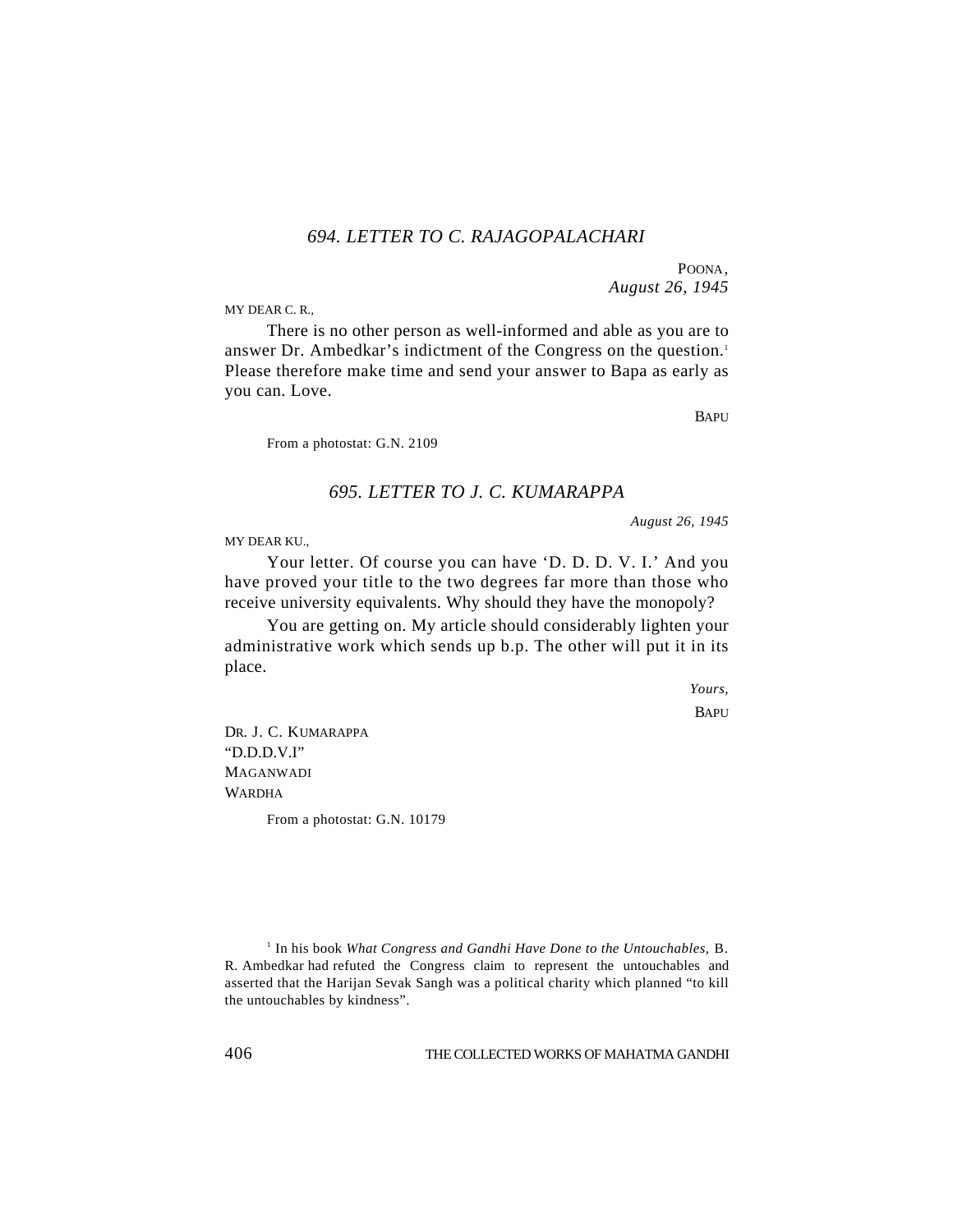## *694. LETTER TO C. RAJAGOPALACHARI*

POONA, *August 26, 1945*

MY DEAR C. R.,

There is no other person as well-informed and able as you are to answer Dr. Ambedkar's indictment of the Congress on the question.<sup>1</sup> Please therefore make time and send your answer to Bapa as early as you can. Love.

**BAPU** 

From a photostat: G.N. 2109

## *695. LETTER TO J. C. KUMARAPPA*

*August 26, 1945*

MY DEAR KU.,

Your letter. Of course you can have 'D. D. D. V. I.' And you have proved your title to the two degrees far more than those who receive university equivalents. Why should they have the monopoly?

You are getting on. My article should considerably lighten your administrative work which sends up b.p. The other will put it in its place.

> *Yours,* BAPU

DR. J. C. KUMARAPPA "D.D.D.V.I" MAGANWADI WARDHA

From a photostat: G.N. 10179

<sup>1</sup> In his book *What Congress and Gandhi Have Done to the Untouchables*, B. R. Ambedkar had refuted the Congress claim to represent the untouchables and asserted that the Harijan Sevak Sangh was a political charity which planned "to kill the untouchables by kindness".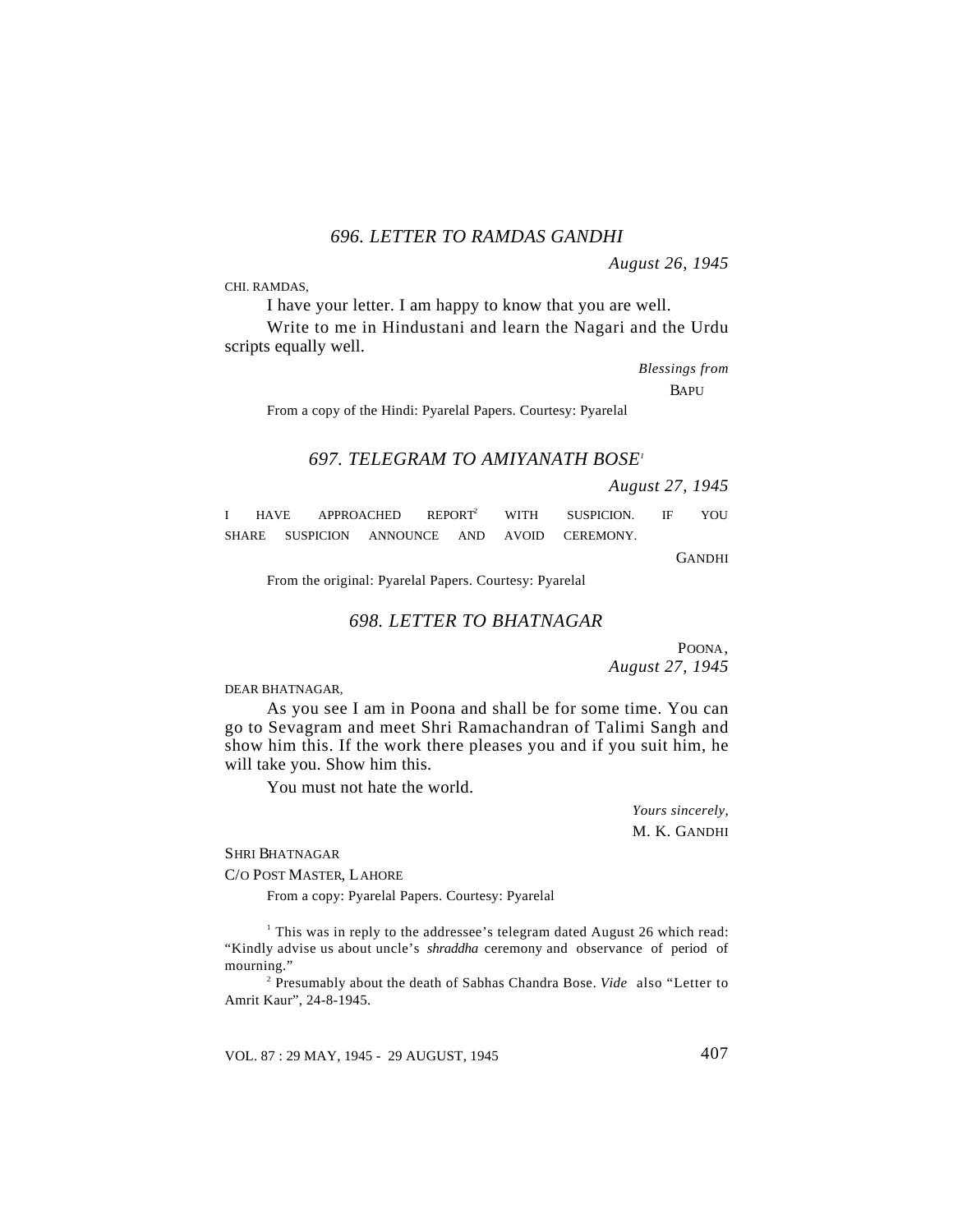### *696. LETTER TO RAMDAS GANDHI*

*August 26, 1945*

CHI. RAMDAS,

I have your letter. I am happy to know that you are well.

Write to me in Hindustani and learn the Nagari and the Urdu scripts equally well.

*Blessings from*

**BAPU** 

From a copy of the Hindi: Pyarelal Papers. Courtesy: Pyarelal

### *697. TELEGRAM TO AMIYANATH BOSE<sup>1</sup>*

*August 27, 1945*

I HAVE APPROACHED REPORT<sup>2</sup> WITH SUSPICION. IF YOU SHARE SUSPICION ANNOUNCE AND AVOID CEREMONY.

GANDHI

From the original: Pyarelal Papers. Courtesy: Pyarelal

### *698. LETTER TO BHATNAGAR*

POONA, *August 27, 1945*

DEAR BHATNAGAR,

As you see I am in Poona and shall be for some time. You can go to Sevagram and meet Shri Ramachandran of Talimi Sangh and show him this. If the work there pleases you and if you suit him, he will take you. Show him this.

You must not hate the world.

*Yours sincerely,* M. K. GANDHI

SHRI BHATNAGAR

C/O POST MASTER, LAHORE

From a copy: Pyarelal Papers. Courtesy: Pyarelal

<sup>1</sup> This was in reply to the addressee's telegram dated August 26 which read: "Kindly advise us about uncle's *shraddha* ceremony and observance of period of mourning."

2 Presumably about the death of Sabhas Chandra Bose. *Vide* also "Letter to Amrit Kaur", 24-8-1945.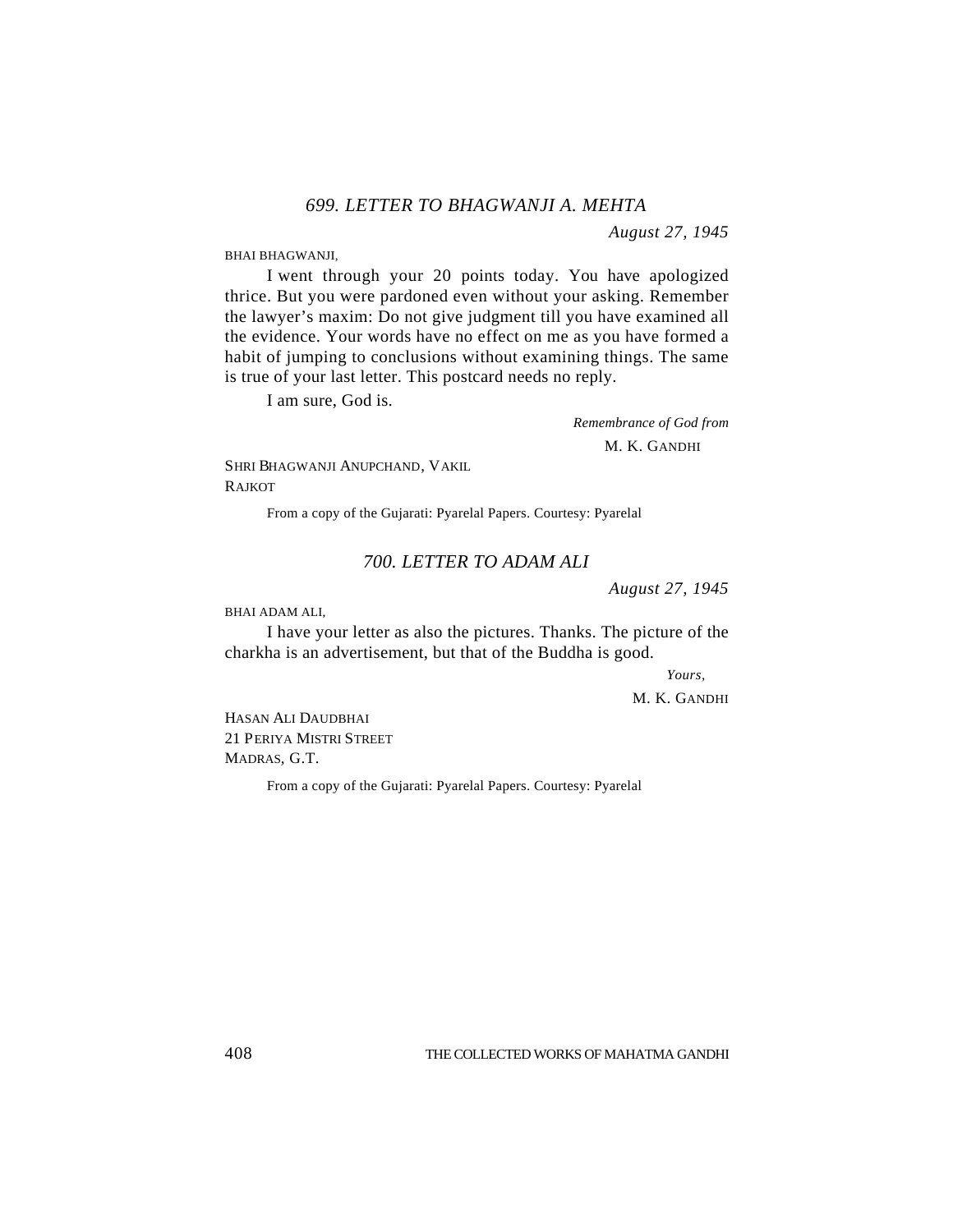*August 27, 1945*

BHAI BHAGWANJI,

I went through your 20 points today. You have apologized thrice. But you were pardoned even without your asking. Remember the lawyer's maxim: Do not give judgment till you have examined all the evidence. Your words have no effect on me as you have formed a habit of jumping to conclusions without examining things. The same is true of your last letter. This postcard needs no reply.

I am sure, God is.

*Remembrance of God from* M. K. GANDHI

SHRI BHAGWANJI ANUPCHAND, VAKIL **RAIKOT** 

From a copy of the Gujarati: Pyarelal Papers. Courtesy: Pyarelal

### *700. LETTER TO ADAM ALI*

*August 27, 1945*

BHAI ADAM ALI,

I have your letter as also the pictures. Thanks. The picture of the charkha is an advertisement, but that of the Buddha is good.

*Yours,*

M. K. GANDHI

HASAN ALI DAUDBHAI 21 PERIYA MISTRI STREET MADRAS, G.T.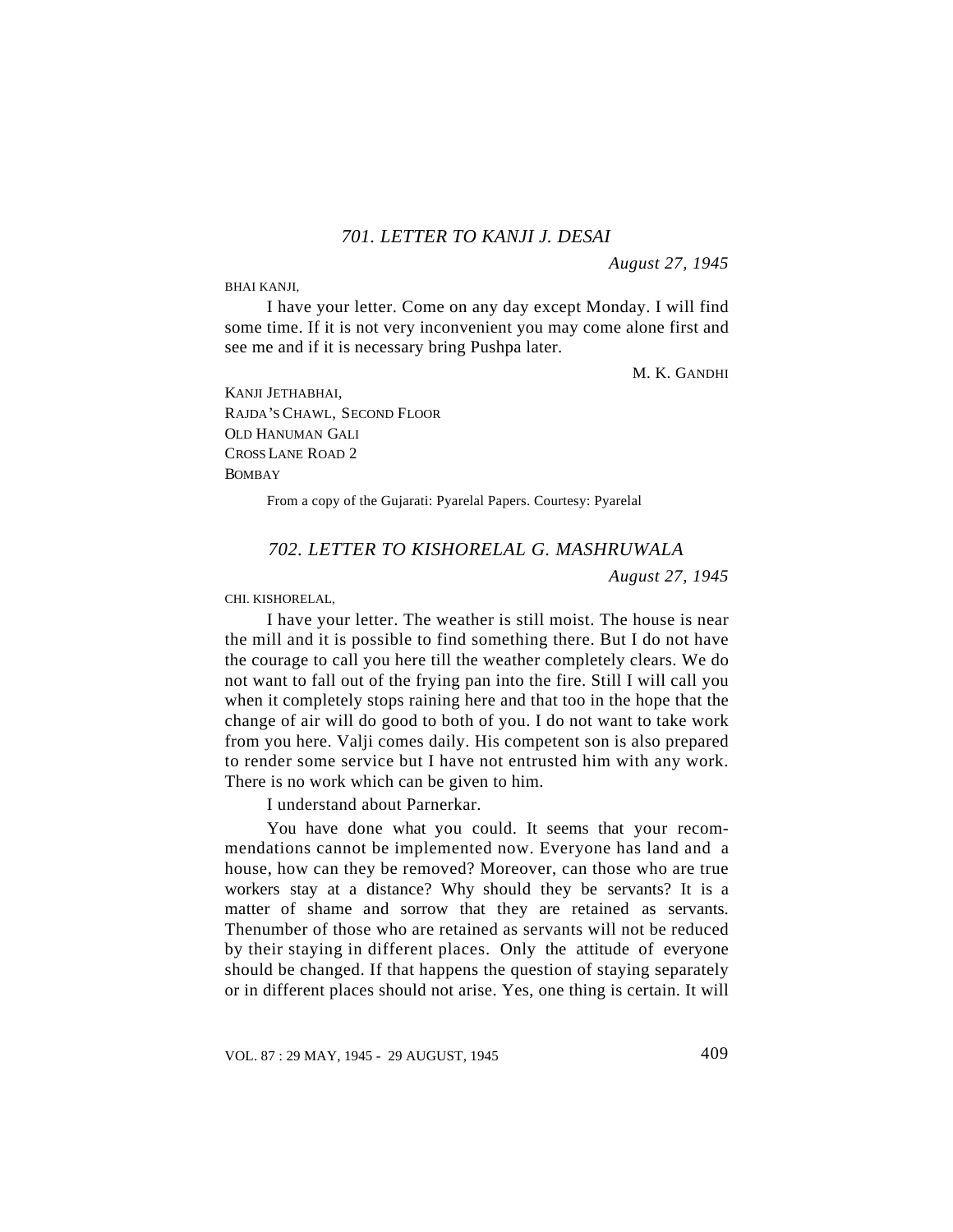*August 27, 1945*

BHAI KANJI,

I have your letter. Come on any day except Monday. I will find some time. If it is not very inconvenient you may come alone first and see me and if it is necessary bring Pushpa later.

M. K. GANDHI

KANJI JETHABHAI, RAJDA'S CHAWL, SECOND FLOOR OLD HANUMAN GALI CROSS LANE ROAD 2

BOMBAY

From a copy of the Gujarati: Pyarelal Papers. Courtesy: Pyarelal

# *702. LETTER TO KISHORELAL G. MASHRUWALA*

*August 27, 1945*

CHI. KISHORELAL,

I have your letter. The weather is still moist. The house is near the mill and it is possible to find something there. But I do not have the courage to call you here till the weather completely clears. We do not want to fall out of the frying pan into the fire. Still I will call you when it completely stops raining here and that too in the hope that the change of air will do good to both of you. I do not want to take work from you here. Valji comes daily. His competent son is also prepared to render some service but I have not entrusted him with any work. There is no work which can be given to him.

I understand about Parnerkar.

You have done what you could. It seems that your recommendations cannot be implemented now. Everyone has land and a house, how can they be removed? Moreover, can those who are true workers stay at a distance? Why should they be servants? It is a matter of shame and sorrow that they are retained as servants. Thenumber of those who are retained as servants will not be reduced by their staying in different places. Only the attitude of everyone should be changed. If that happens the question of staying separately or in different places should not arise. Yes, one thing is certain. It will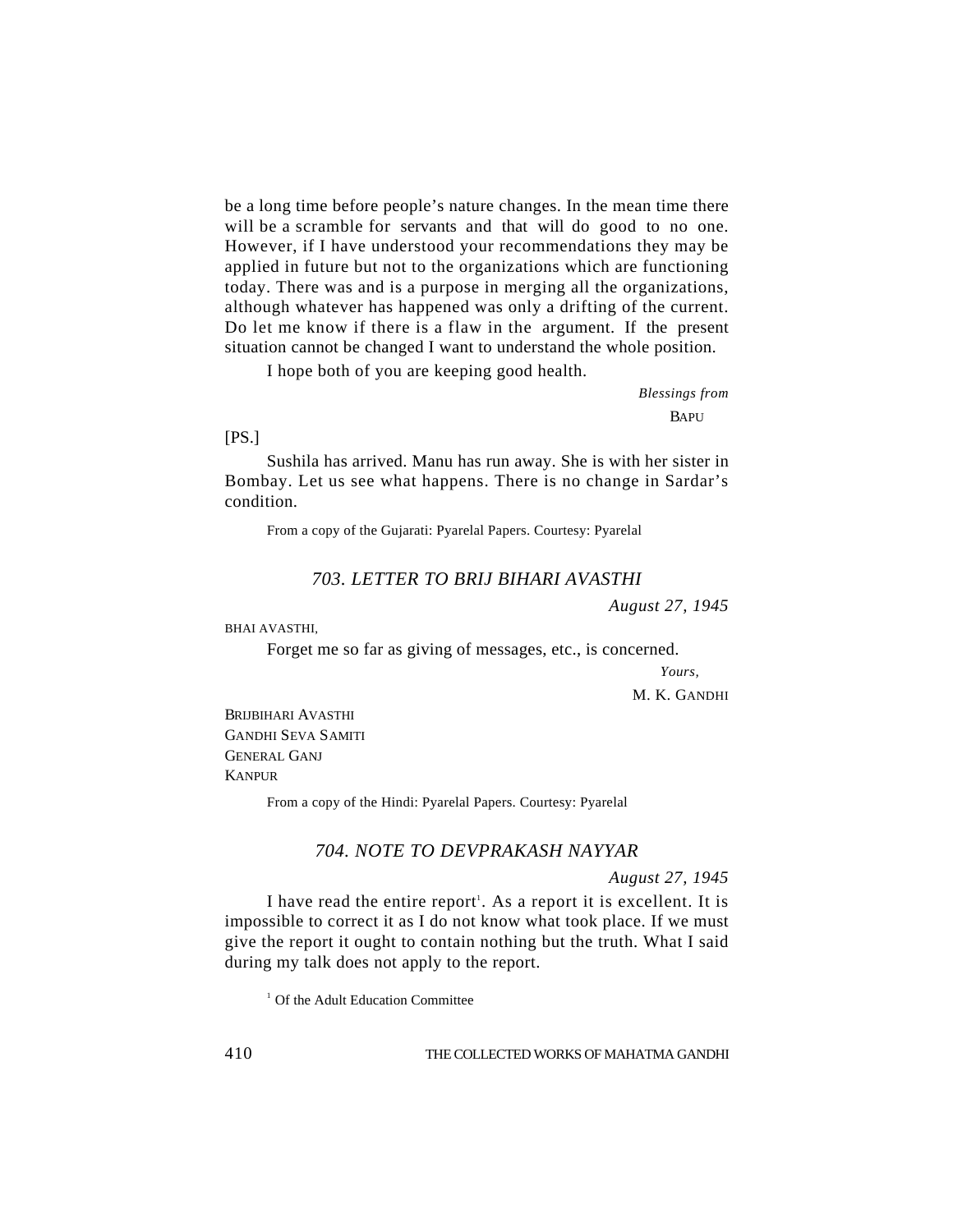be a long time before people's nature changes. In the mean time there will be a scramble for servants and that will do good to no one. However, if I have understood your recommendations they may be applied in future but not to the organizations which are functioning today. There was and is a purpose in merging all the organizations, although whatever has happened was only a drifting of the current. Do let me know if there is a flaw in the argument. If the present situation cannot be changed I want to understand the whole position.

I hope both of you are keeping good health.

*Blessings from* **BAPU** 

 $[PS.]$ 

Sushila has arrived. Manu has run away. She is with her sister in Bombay. Let us see what happens. There is no change in Sardar's condition.

From a copy of the Gujarati: Pyarelal Papers. Courtesy: Pyarelal

### *703. LETTER TO BRIJ BIHARI AVASTHI*

*August 27, 1945*

BHAI AVASTHI,

Forget me so far as giving of messages, etc., is concerned.

*Yours,*

M. K. GANDHI

BRIJBIHARI AVASTHI GANDHI SEVA SAMITI GENERAL GANJ **KANPUR** 

From a copy of the Hindi: Pyarelal Papers. Courtesy: Pyarelal

### *704. NOTE TO DEVPRAKASH NAYYAR*

*August 27, 1945*

I have read the entire report<sup>1</sup>. As a report it is excellent. It is impossible to correct it as I do not know what took place. If we must give the report it ought to contain nothing but the truth. What I said during my talk does not apply to the report.

<sup>1</sup> Of the Adult Education Committee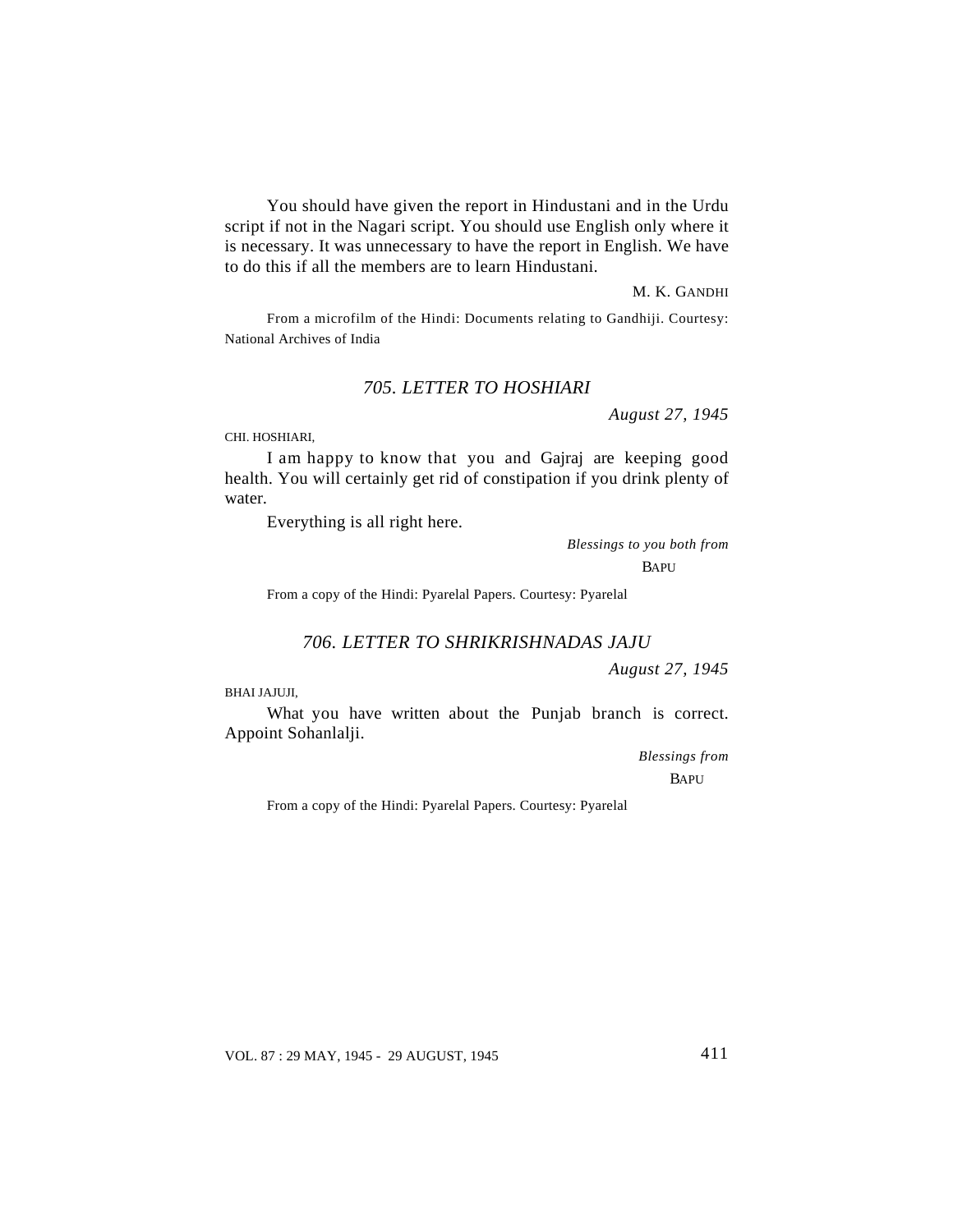You should have given the report in Hindustani and in the Urdu script if not in the Nagari script. You should use English only where it is necessary. It was unnecessary to have the report in English. We have to do this if all the members are to learn Hindustani.

M. K. GANDHI

From a microfilm of the Hindi: Documents relating to Gandhiji. Courtesy: National Archives of India

# *705. LETTER TO HOSHIARI*

*August 27, 1945*

CHI. HOSHIARI,

I am happy to know that you and Gajraj are keeping good health. You will certainly get rid of constipation if you drink plenty of water.

Everything is all right here.

*Blessings to you both from*

**BAPU** 

From a copy of the Hindi: Pyarelal Papers. Courtesy: Pyarelal

## *706. LETTER TO SHRIKRISHNADAS JAJU*

*August 27, 1945*

BHAI JAJUJI,

What you have written about the Punjab branch is correct. Appoint Sohanlalji.

*Blessings from*

**BAPU**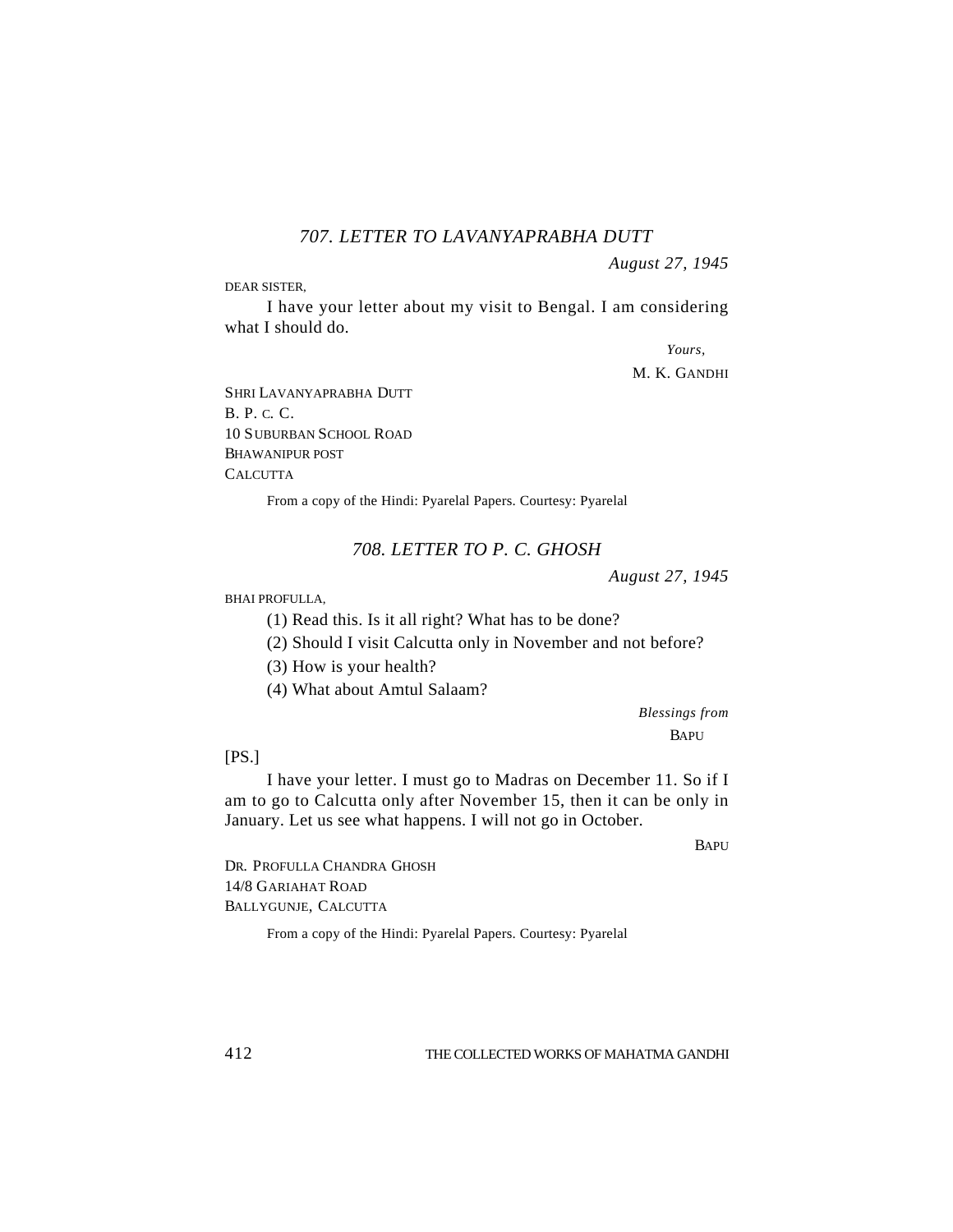*August 27, 1945*

DEAR SISTER,

I have your letter about my visit to Bengal. I am considering what I should do.

> *Yours,* M. K. GANDHI

SHRI LAVANYAPRABHA DUTT B. P. C. C. 10 SUBURBAN SCHOOL ROAD BHAWANIPUR POST **CALCUTTA** 

From a copy of the Hindi: Pyarelal Papers. Courtesy: Pyarelal

# *708. LETTER TO P. C. GHOSH*

*August 27, 1945*

BHAI PROFULLA,

(1) Read this. Is it all right? What has to be done?

(2) Should I visit Calcutta only in November and not before?

(3) How is your health?

(4) What about Amtul Salaam?

*Blessings from* BAPU

[PS.]

I have your letter. I must go to Madras on December 11. So if I am to go to Calcutta only after November 15, then it can be only in January. Let us see what happens. I will not go in October.

**BAPU** 

DR. PROFULLA CHANDRA GHOSH 14/8 GARIAHAT ROAD BALLYGUNJE, CALCUTTA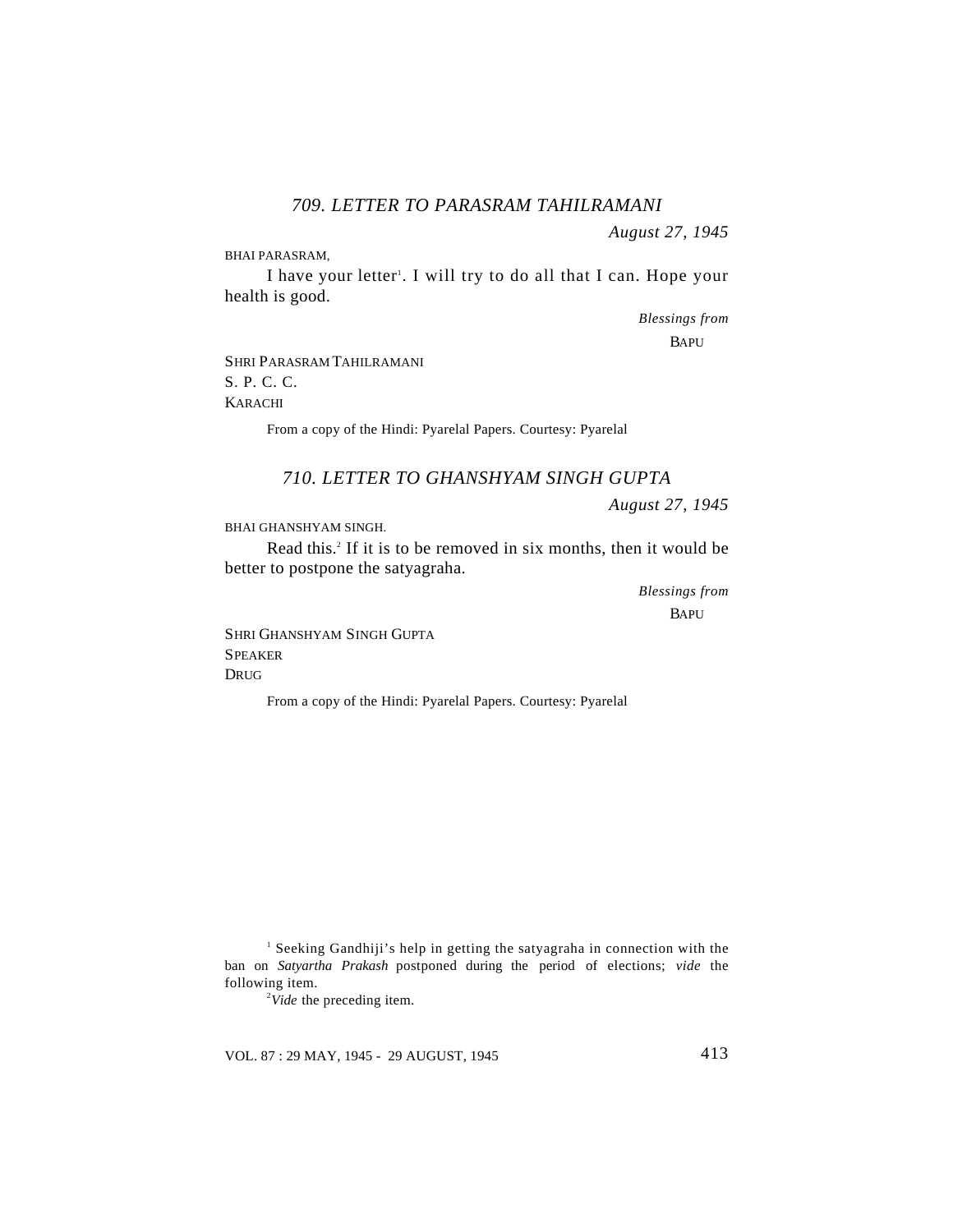### *709. LETTER TO PARASRAM TAHILRAMANI*

*August 27, 1945*

#### BHAI PARASRAM,

I have your letter<sup>1</sup>. I will try to do all that I can. Hope your health is good.

> *Blessings from* **BAPU**

SHRI PARASRAM TAHILRAMANI S. P. C. C. KARACHI

From a copy of the Hindi: Pyarelal Papers. Courtesy: Pyarelal

### *710. LETTER TO GHANSHYAM SINGH GUPTA*

*August 27, 1945*

BHAI GHANSHYAM SINGH.

Read this.<sup>2</sup> If it is to be removed in six months, then it would be better to postpone the satyagraha.

> *Blessings from* **BAPU**

SHRI GHANSHYAM SINGH GUPTA **SPEAKER DRUG** 

From a copy of the Hindi: Pyarelal Papers. Courtesy: Pyarelal

<sup>1</sup> Seeking Gandhiji's help in getting the satyagraha in connection with the ban on *Satyartha Prakash* postponed during the period of elections; *vide* the following item.

<sup>2</sup>*Vide* the preceding item.

VOL. 87 : 29 MAY, 1945 - 29 AUGUST, 1945 413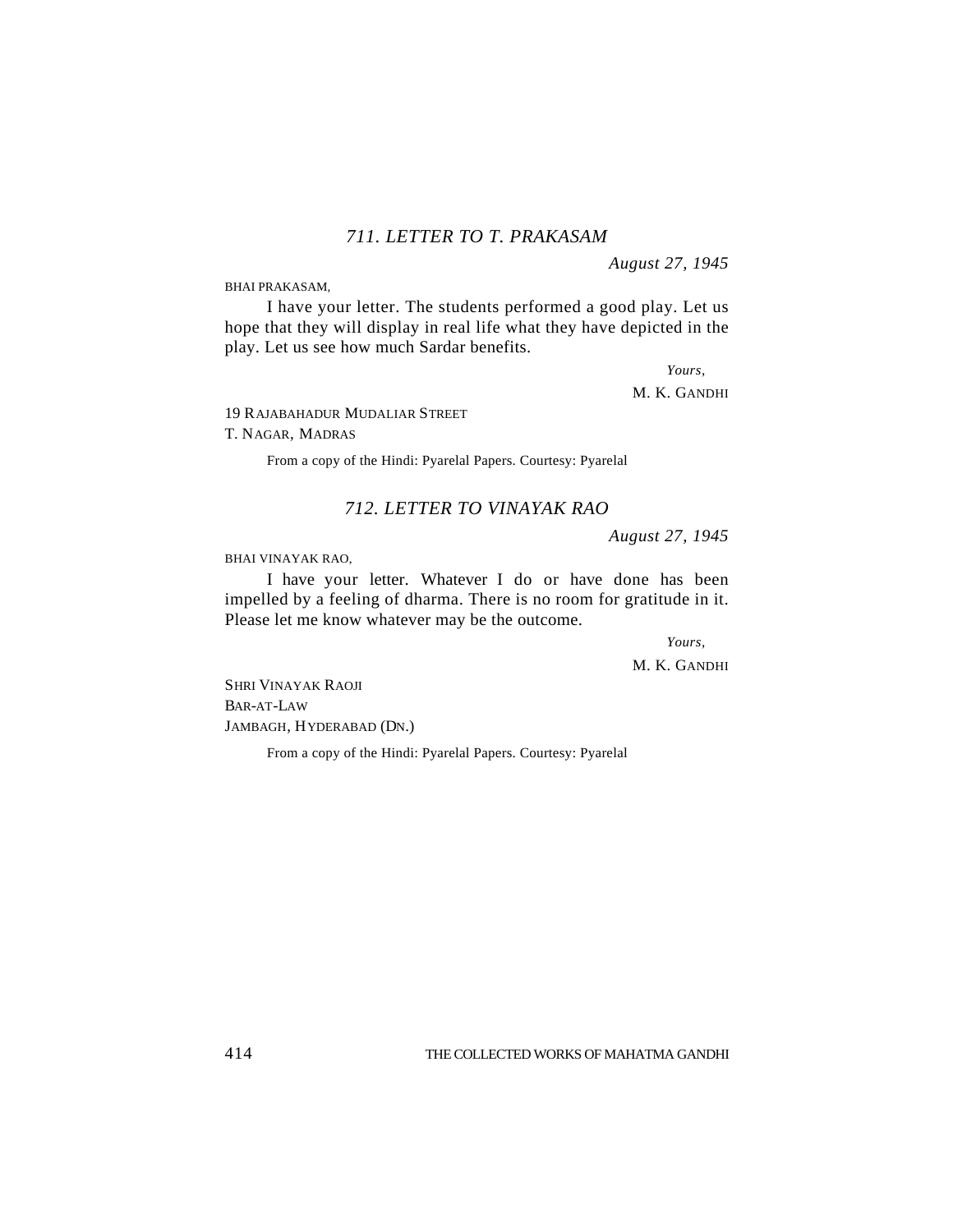*August 27, 1945*

BHAI PRAKASAM,

I have your letter. The students performed a good play. Let us hope that they will display in real life what they have depicted in the play. Let us see how much Sardar benefits.

> *Yours,* M. K. GANDHI

## 19 RAJABAHADUR MUDALIAR STREET T. NAGAR, MADRAS

From a copy of the Hindi: Pyarelal Papers. Courtesy: Pyarelal

# *712. LETTER TO VINAYAK RAO*

*August 27, 1945*

#### BHAI VINAYAK RAO,

I have your letter. Whatever I do or have done has been impelled by a feeling of dharma. There is no room for gratitude in it. Please let me know whatever may be the outcome.

> *Yours,* M. K. GANDHI

SHRI VINAYAK RAOJI BAR-AT-LAW JAMBAGH, HYDERABAD (DN.)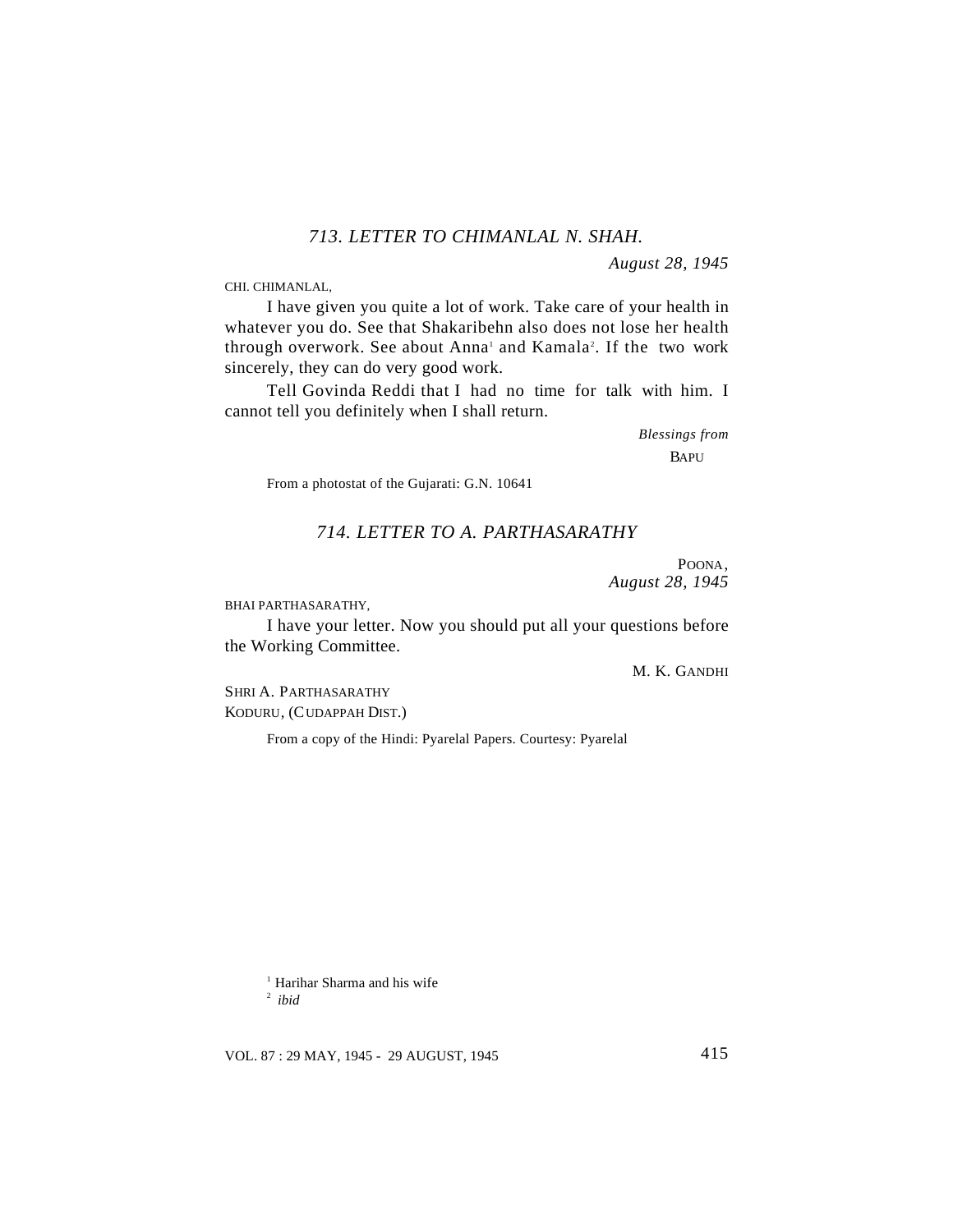*August 28, 1945*

CHI. CHIMANLAL,

I have given you quite a lot of work. Take care of your health in whatever you do. See that Shakaribehn also does not lose her health through overwork. See about Anna<sup>1</sup> and Kamala<sup>2</sup>. If the two work sincerely, they can do very good work.

Tell Govinda Reddi that I had no time for talk with him. I cannot tell you definitely when I shall return.

> *Blessings from* BAPU

From a photostat of the Gujarati: G.N. 10641

## *714. LETTER TO A. PARTHASARATHY*

POONA, *August 28, 1945*

BHAI PARTHASARATHY,

I have your letter. Now you should put all your questions before the Working Committee.

M. K. GANDHI

SHRI A. PARTHASARATHY KODURU, (CUDAPPAH DIST.)

From a copy of the Hindi: Pyarelal Papers. Courtesy: Pyarelal

<sup>1</sup> Harihar Sharma and his wife 2 *ibid*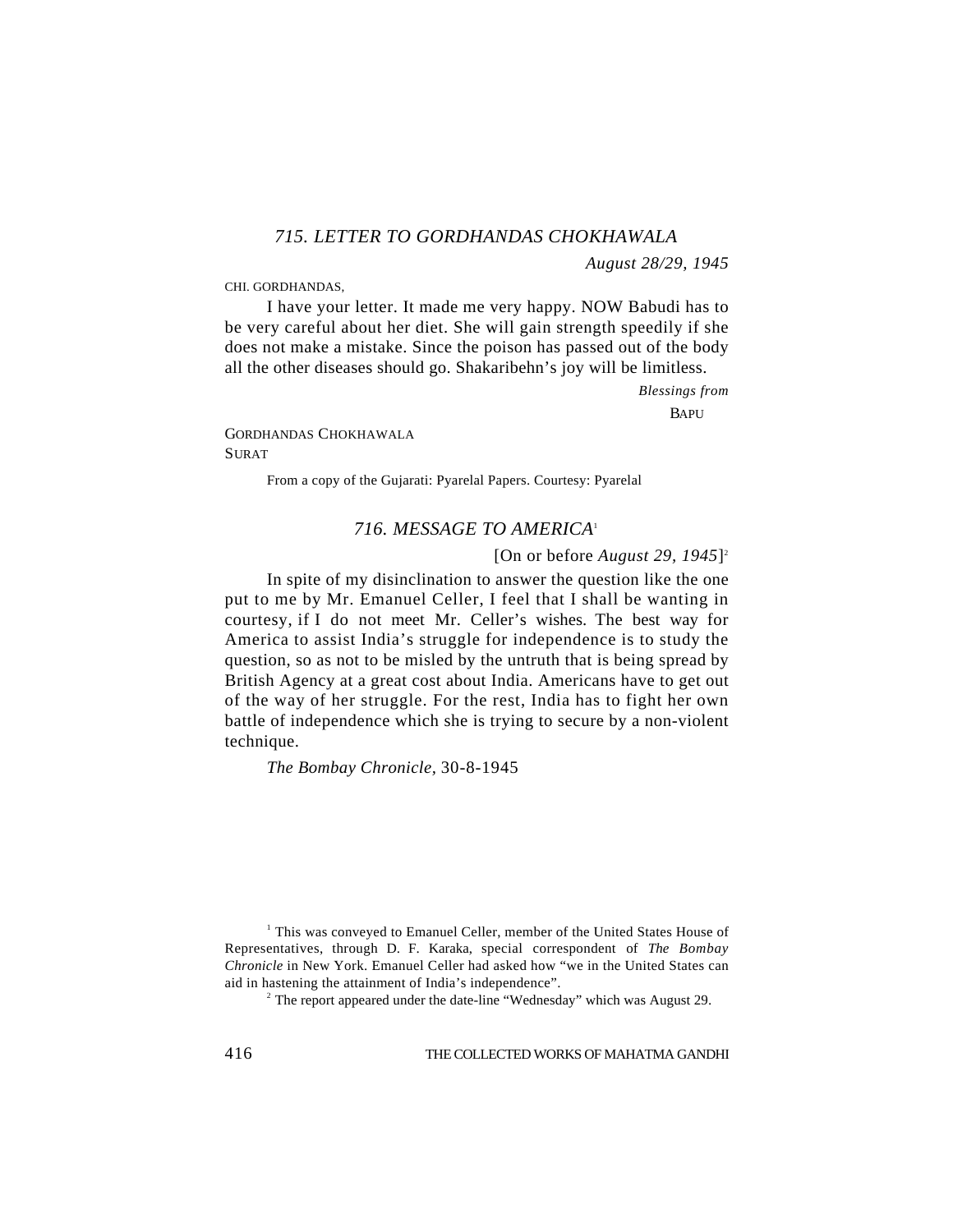## *715. LETTER TO GORDHANDAS CHOKHAWALA*

*August 28/29, 1945*

CHI. GORDHANDAS,

I have your letter. It made me very happy. NOW Babudi has to be very careful about her diet. She will gain strength speedily if she does not make a mistake. Since the poison has passed out of the body all the other diseases should go. Shakaribehn's joy will be limitless.

> *Blessings from* **BAPU**

### GORDHANDAS CHOKHAWALA **SURAT**

From a copy of the Gujarati: Pyarelal Papers. Courtesy: Pyarelal

## *716. MESSAGE TO AMERICA*<sup>1</sup>

[On or before *August 29, 1945*] 2

In spite of my disinclination to answer the question like the one put to me by Mr. Emanuel Celler, I feel that I shall be wanting in courtesy, if I do not meet Mr. Celler's wishes. The best way for America to assist India's struggle for independence is to study the question, so as not to be misled by the untruth that is being spread by British Agency at a great cost about India. Americans have to get out of the way of her struggle. For the rest, India has to fight her own battle of independence which she is trying to secure by a non-violent technique.

*The Bombay Chronicle,* 30-8-1945

<sup>1</sup> This was conveyed to Emanuel Celler, member of the United States House of Representatives, through D. F. Karaka, special correspondent of *The Bombay Chronicle* in New York. Emanuel Celler had asked how "we in the United States can aid in hastening the attainment of India's independence".

 $2^2$  The report appeared under the date-line "Wednesday" which was August 29.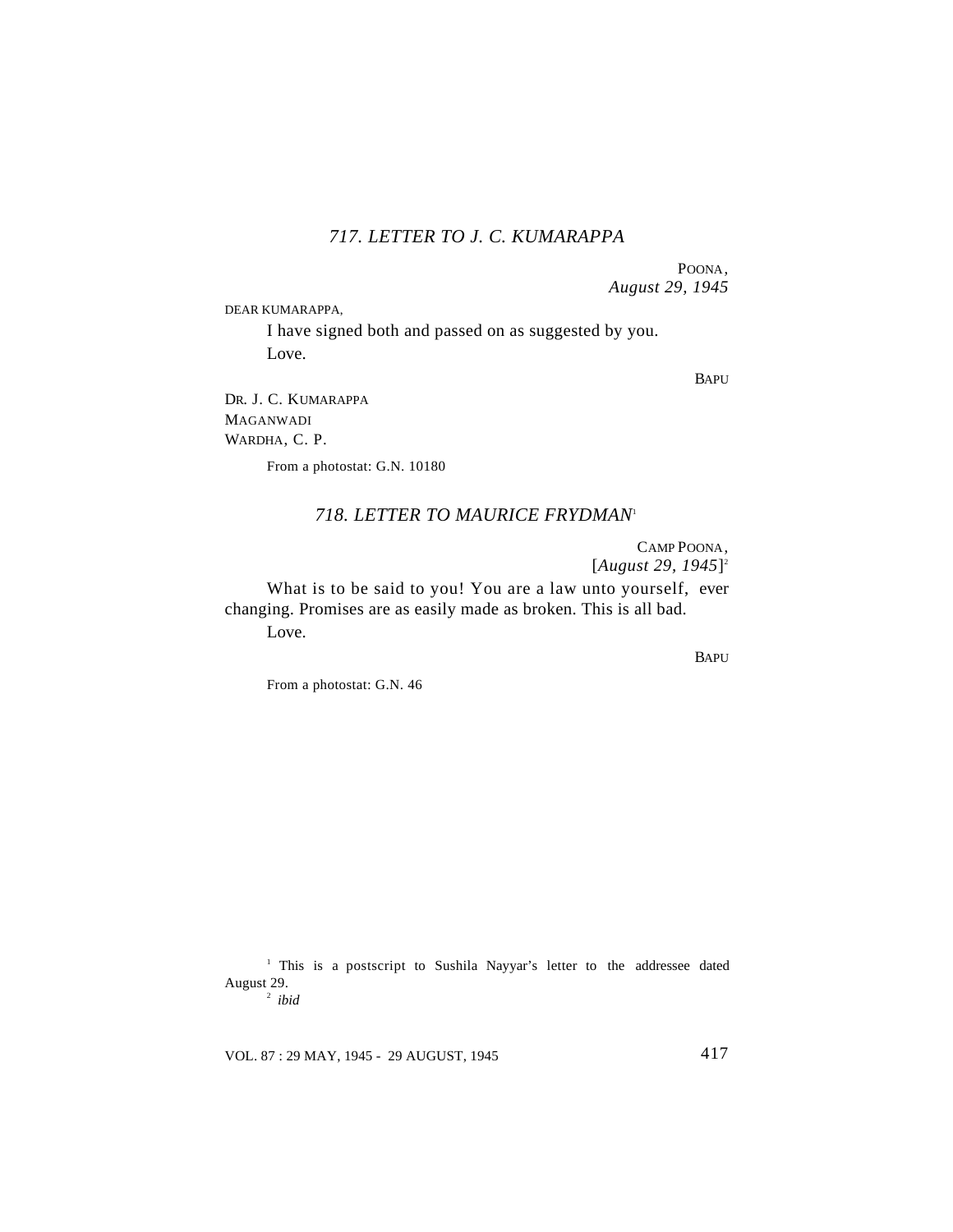### *717. LETTER TO J. C. KUMARAPPA*

POONA, *August 29, 1945*

DEAR KUMARAPPA,

I have signed both and passed on as suggested by you. Love.

**BAPU** 

DR. J. C. KUMARAPPA MAGANWADI WARDHA, C. P.

From a photostat: G.N. 10180

### *718. LETTER TO MAURICE FRYDMAN*<sup>1</sup>

CAMP POONA, [*August 29, 1945*] 2

What is to be said to you! You are a law unto yourself, ever changing. Promises are as easily made as broken. This is all bad.

Love.

**BAPU** 

From a photostat: G.N. 46

<sup>1</sup> This is a postscript to Sushila Nayyar's letter to the addressee dated August 29.

2 *ibid*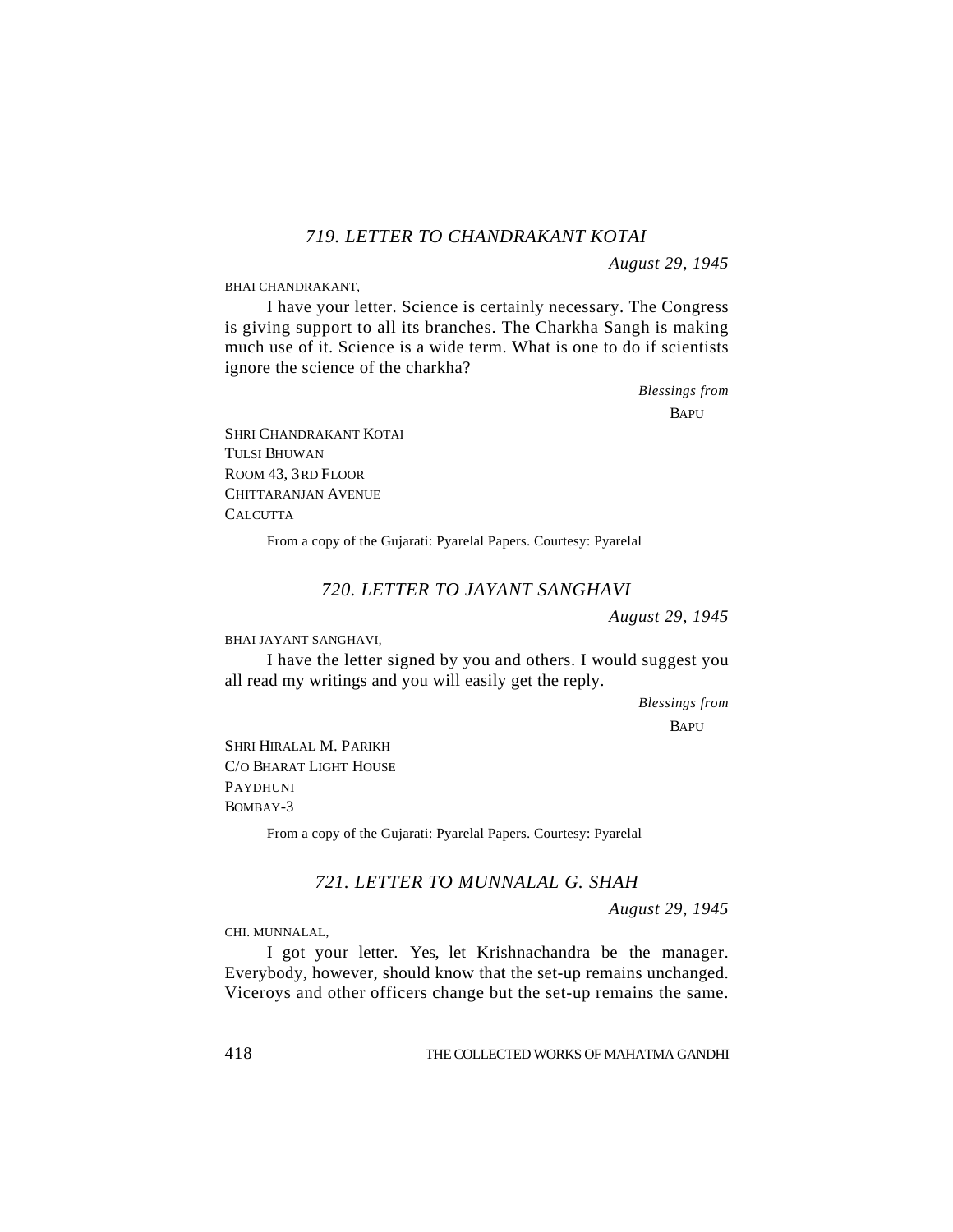## *719. LETTER TO CHANDRAKANT KOTAI*

*August 29, 1945*

#### BHAI CHANDRAKANT,

I have your letter. Science is certainly necessary. The Congress is giving support to all its branches. The Charkha Sangh is making much use of it. Science is a wide term. What is one to do if scientists ignore the science of the charkha?

> *Blessings from* **BAPU**

SHRI CHANDRAKANT KOTAI THESI BHUWAN ROOM 43, 3RD FLOOR CHITTARANJAN AVENUE CALCUTTA

From a copy of the Gujarati: Pyarelal Papers. Courtesy: Pyarelal

## *720. LETTER TO JAYANT SANGHAVI*

*August 29, 1945*

#### BHAI JAYANT SANGHAVI,

I have the letter signed by you and others. I would suggest you all read my writings and you will easily get the reply.

> *Blessings from* **BAPU**

SHRI HIRALAL M. PARIKH C/O BHARAT LIGHT HOUSE PAYDHUNI BOMBAY-3

From a copy of the Gujarati: Pyarelal Papers. Courtesy: Pyarelal

## *721. LETTER TO MUNNALAL G. SHAH*

*August 29, 1945*

CHI. MUNNALAL,

I got your letter. Yes, let Krishnachandra be the manager. Everybody, however, should know that the set-up remains unchanged. Viceroys and other officers change but the set-up remains the same.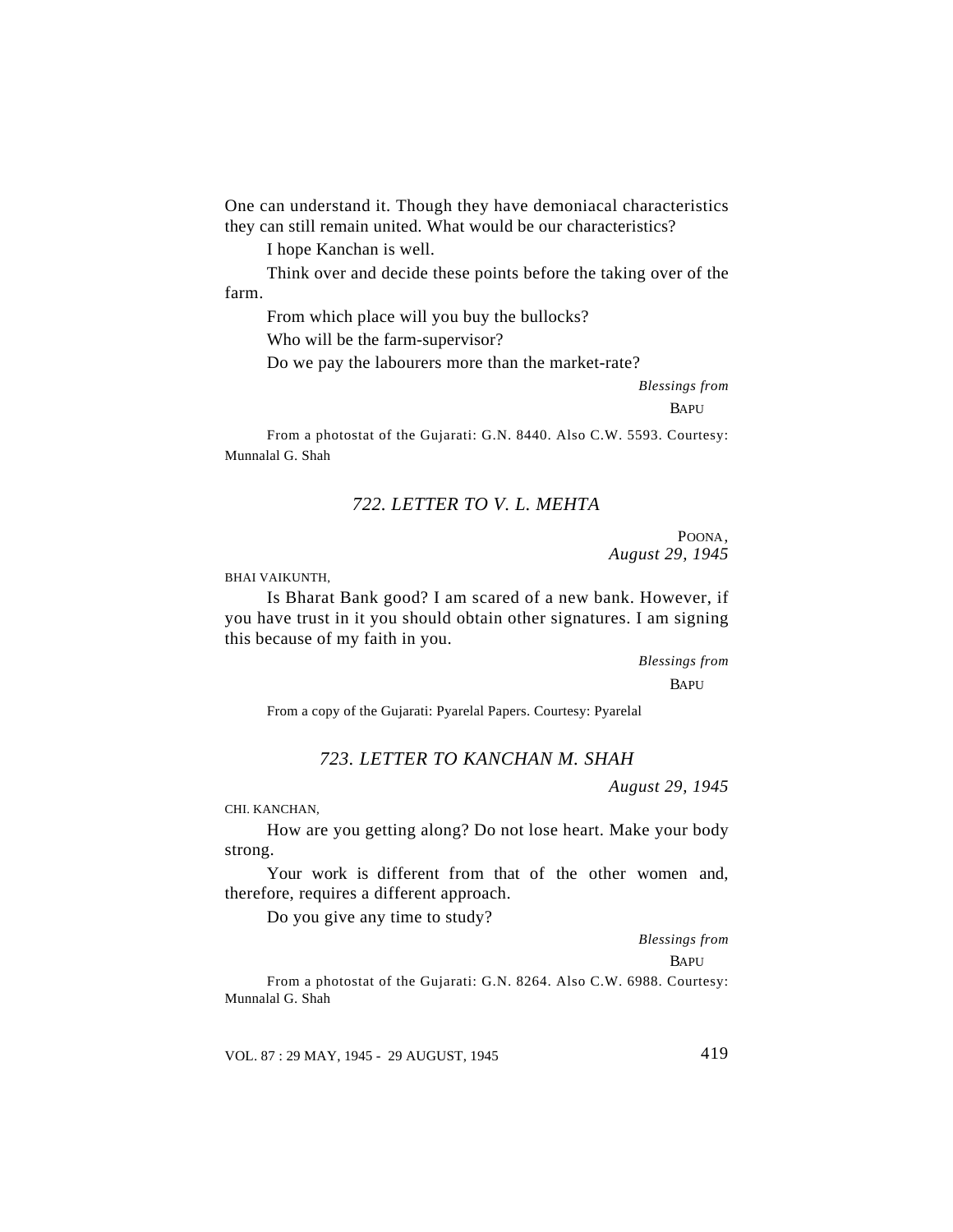One can understand it. Though they have demoniacal characteristics they can still remain united. What would be our characteristics?

I hope Kanchan is well.

Think over and decide these points before the taking over of the farm.

From which place will you buy the bullocks? Who will be the farm-supervisor? Do we pay the labourers more than the market-rate?

*Blessings from*

**BAPU** 

From a photostat of the Gujarati: G.N. 8440. Also C.W. 5593. Courtesy: Munnalal G. Shah

### *722. LETTER TO V. L. MEHTA*

POONA, *August 29, 1945*

BHAI VAIKUNTH,

Is Bharat Bank good? I am scared of a new bank. However, if you have trust in it you should obtain other signatures. I am signing this because of my faith in you.

*Blessings from*

**BAPU** 

From a copy of the Gujarati: Pyarelal Papers. Courtesy: Pyarelal

## *723. LETTER TO KANCHAN M. SHAH*

*August 29, 1945*

CHI. KANCHAN,

How are you getting along? Do not lose heart. Make your body strong.

Your work is different from that of the other women and, therefore, requires a different approach.

Do you give any time to study?

*Blessings from*

BAPU

From a photostat of the Gujarati: G.N. 8264. Also C.W. 6988. Courtesy: Munnalal G. Shah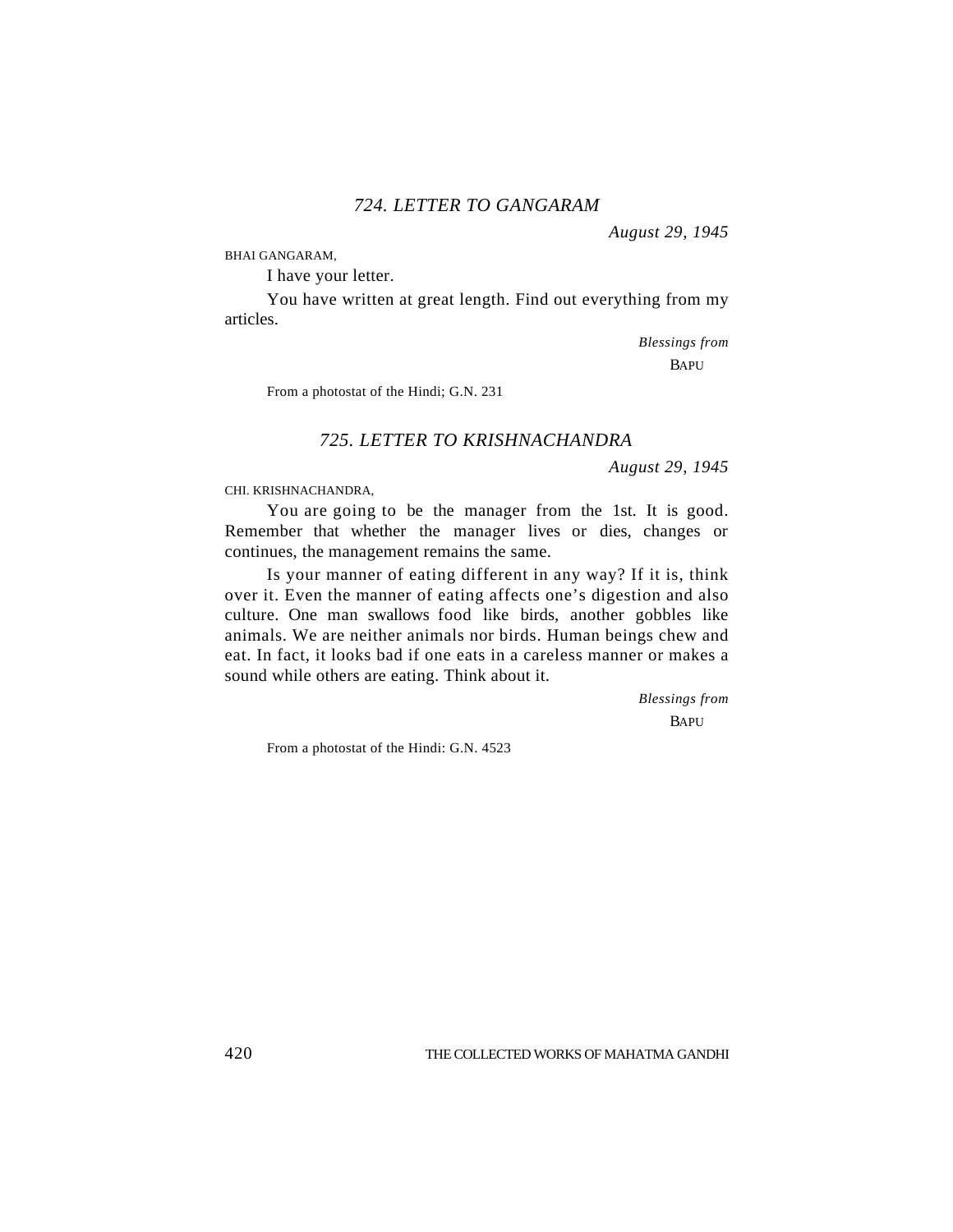*August 29, 1945*

BHAI GANGARAM,

I have your letter.

You have written at great length. Find out everything from my articles.

> *Blessings from* **BAPU**

From a photostat of the Hindi; G.N. 231

### *725. LETTER TO KRISHNACHANDRA*

*August 29, 1945*

CHI. KRISHNACHANDRA,

You are going to be the manager from the 1st. It is good. Remember that whether the manager lives or dies, changes or continues, the management remains the same.

Is your manner of eating different in any way? If it is, think over it. Even the manner of eating affects one's digestion and also culture. One man swallows food like birds, another gobbles like animals. We are neither animals nor birds. Human beings chew and eat. In fact, it looks bad if one eats in a careless manner or makes a sound while others are eating. Think about it.

> *Blessings from* BAPU

From a photostat of the Hindi: G.N. 4523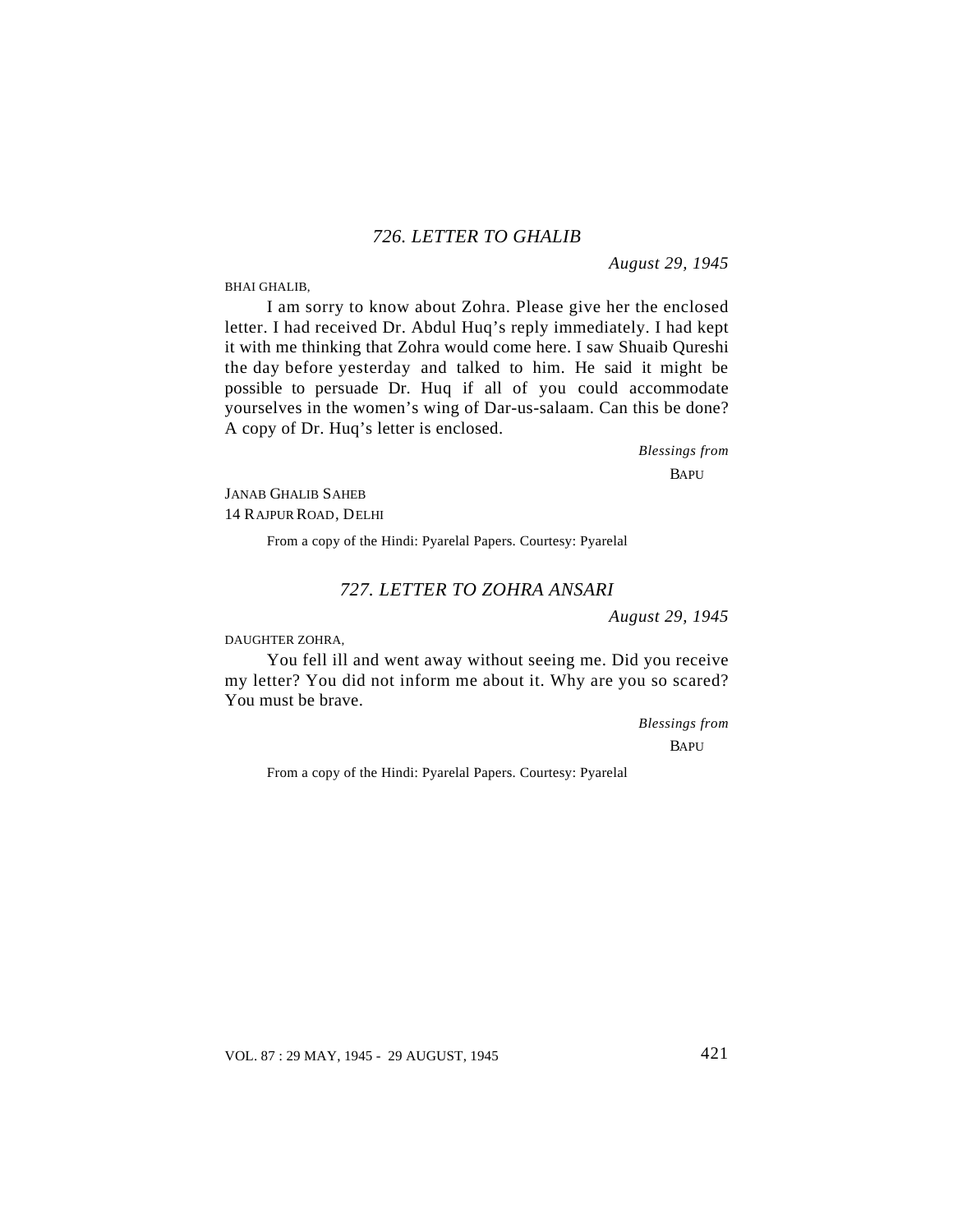*August 29, 1945*

BHAI GHALIB,

I am sorry to know about Zohra. Please give her the enclosed letter. I had received Dr. Abdul Huq's reply immediately. I had kept it with me thinking that Zohra would come here. I saw Shuaib Qureshi the day before yesterday and talked to him. He said it might be possible to persuade Dr. Huq if all of you could accommodate yourselves in the women's wing of Dar-us-salaam. Can this be done? A copy of Dr. Huq's letter is enclosed.

> *Blessings from* **BAPU**

JANAB GHALIB SAHEB 14 RAJPUR ROAD, DELHI

From a copy of the Hindi: Pyarelal Papers. Courtesy: Pyarelal

## *727. LETTER TO ZOHRA ANSARI*

*August 29, 1945*

DAUGHTER ZOHRA,

You fell ill and went away without seeing me. Did you receive my letter? You did not inform me about it. Why are you so scared? You must be brave.

> *Blessings from* **BAPU**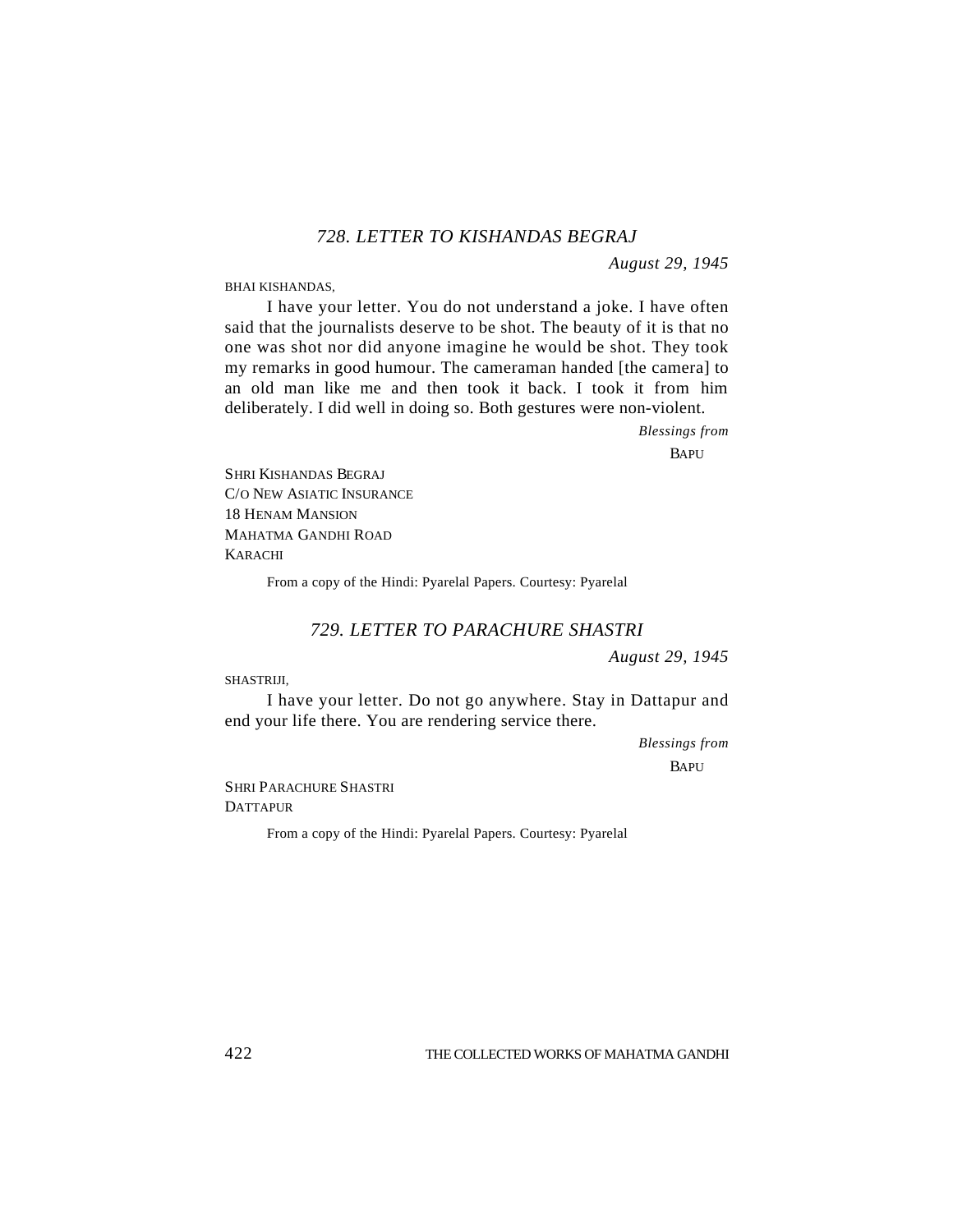## *728. LETTER TO KISHANDAS BEGRAJ*

*August 29, 1945*

BHAI KISHANDAS,

I have your letter. You do not understand a joke. I have often said that the journalists deserve to be shot. The beauty of it is that no one was shot nor did anyone imagine he would be shot. They took my remarks in good humour. The cameraman handed [the camera] to an old man like me and then took it back. I took it from him deliberately. I did well in doing so. Both gestures were non-violent.

*Blessings from*

**BAPU** 

SHRI KISHANDAS BEGRAJ C/O NEW ASIATIC INSURANCE 18 HENAM MANSION MAHATMA GANDHI ROAD KARACHI

From a copy of the Hindi: Pyarelal Papers. Courtesy: Pyarelal

## *729. LETTER TO PARACHURE SHASTRI*

*August 29, 1945*

SHASTRIJI,

I have your letter. Do not go anywhere. Stay in Dattapur and end your life there. You are rendering service there.

> *Blessings from* **BAPU**

SHRI PARACHURE SHASTRI **DATTAPUR**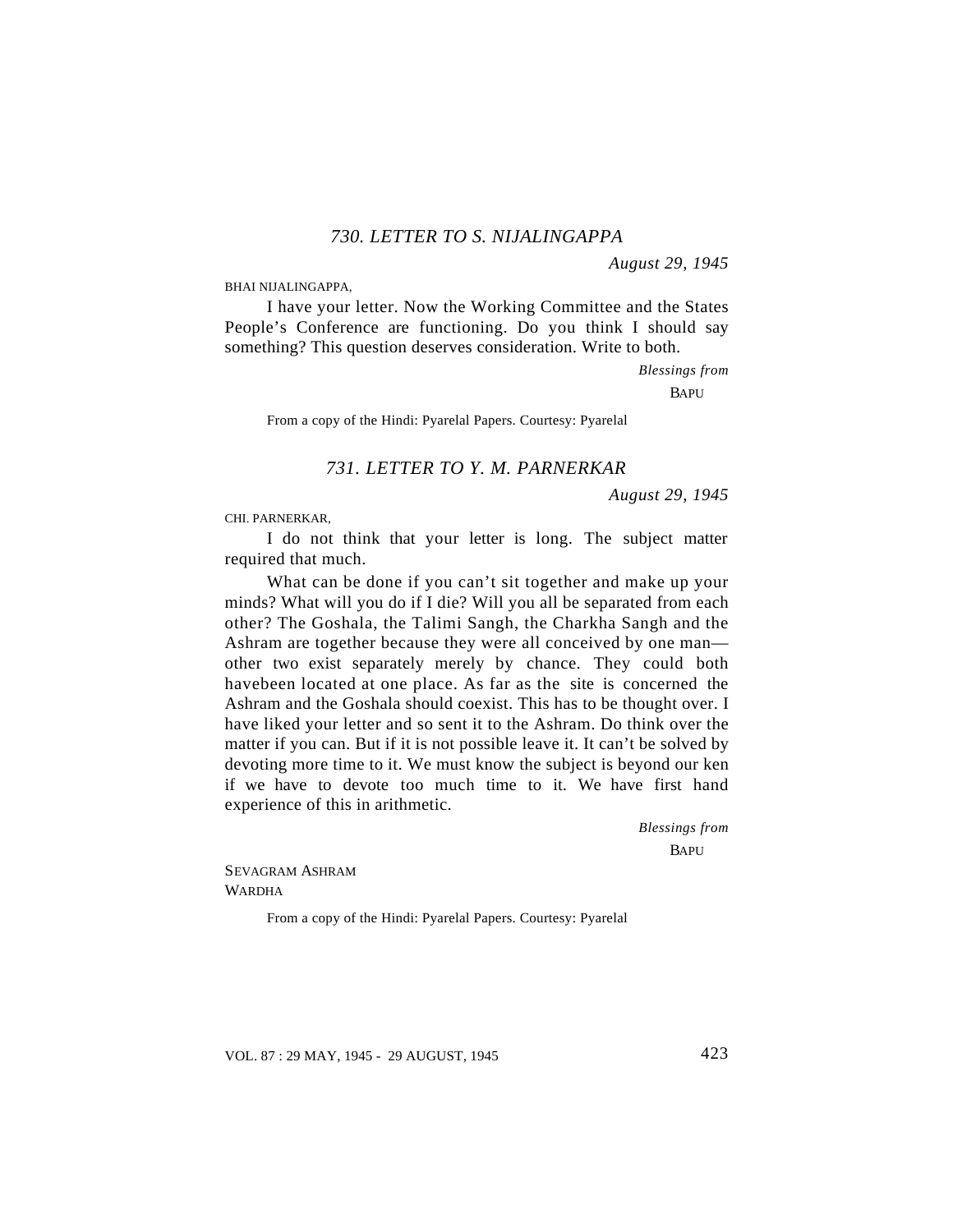*August 29, 1945*

BHAI NIJALINGAPPA,

I have your letter. Now the Working Committee and the States People's Conference are functioning. Do you think I should say something? This question deserves consideration. Write to both.

*Blessings from*

**BAPU** 

From a copy of the Hindi: Pyarelal Papers. Courtesy: Pyarelal

# *731. LETTER TO Y. M. PARNERKAR*

*August 29, 1945*

CHI. PARNERKAR,

I do not think that your letter is long. The subject matter required that much.

What can be done if you can't sit together and make up your minds? What will you do if I die? Will you all be separated from each other? The Goshala, the Talimi Sangh, the Charkha Sangh and the Ashram are together because they were all conceived by one man other two exist separately merely by chance. They could both havebeen located at one place. As far as the site is concerned the Ashram and the Goshala should coexist. This has to be thought over. I have liked your letter and so sent it to the Ashram. Do think over the matter if you can. But if it is not possible leave it. It can't be solved by devoting more time to it. We must know the subject is beyond our ken if we have to devote too much time to it. We have first hand experience of this in arithmetic.

> *Blessings from* **BAPU**

SEVAGRAM ASHRAM WARDHA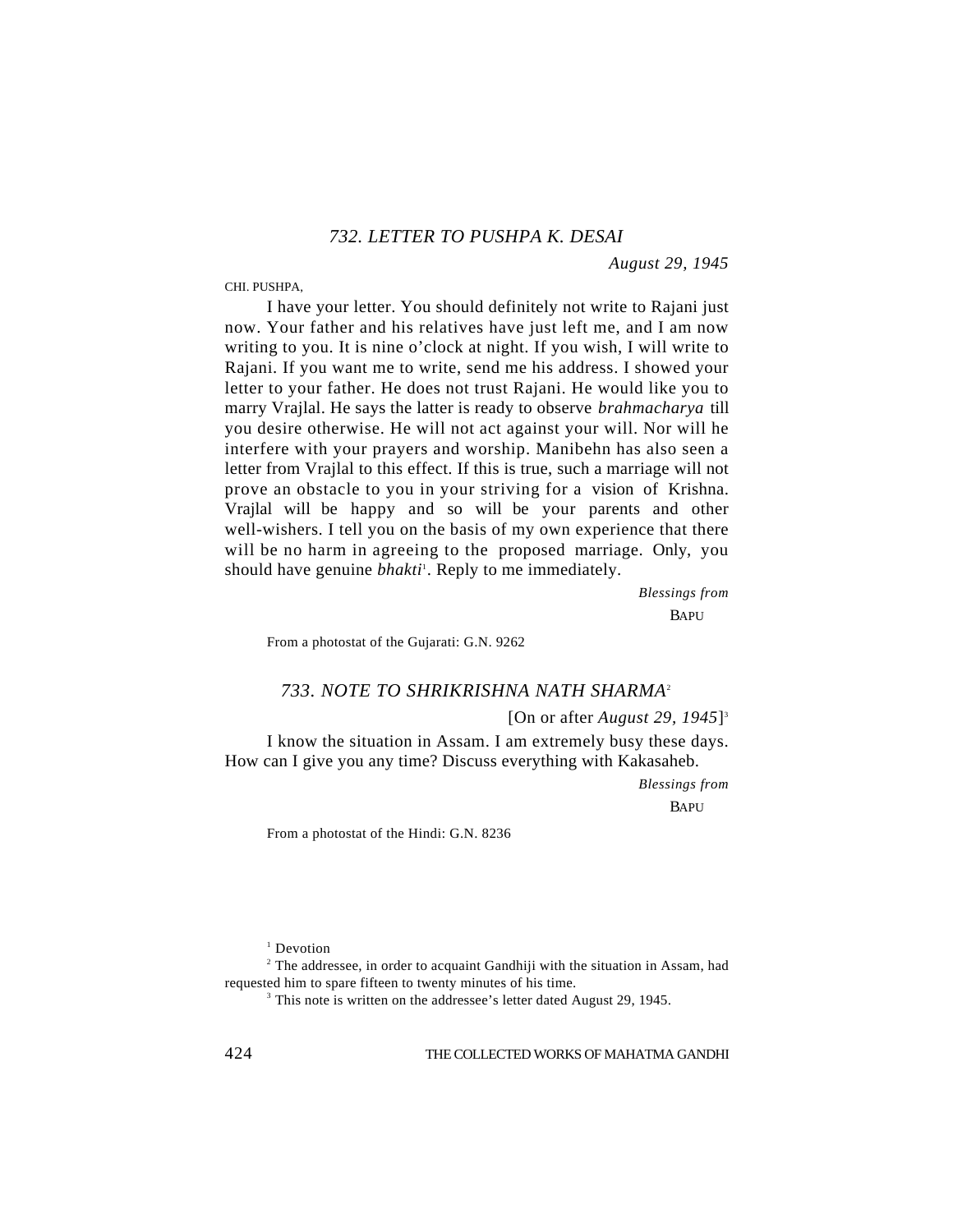## *732. LETTER TO PUSHPA K. DESAI*

*August 29, 1945*

CHI. PUSHPA,

I have your letter. You should definitely not write to Rajani just now. Your father and his relatives have just left me, and I am now writing to you. It is nine o'clock at night. If you wish, I will write to Rajani. If you want me to write, send me his address. I showed your letter to your father. He does not trust Rajani. He would like you to marry Vrajlal. He says the latter is ready to observe *brahmacharya* till you desire otherwise. He will not act against your will. Nor will he interfere with your prayers and worship. Manibehn has also seen a letter from Vrajlal to this effect. If this is true, such a marriage will not prove an obstacle to you in your striving for a vision of Krishna. Vrajlal will be happy and so will be your parents and other well-wishers. I tell you on the basis of my own experience that there will be no harm in agreeing to the proposed marriage. Only, you should have genuine *bhakti<sup>1</sup>*. Reply to me immediately.

> *Blessings from* **BAPU**

From a photostat of the Gujarati: G.N. 9262

### *733. NOTE TO SHRIKRISHNA NATH SHARMA*<sup>2</sup>

[On or after *August 29, 1945*] 3

I know the situation in Assam. I am extremely busy these days. How can I give you any time? Discuss everything with Kakasaheb.

*Blessings from*

**BAPU** 

From a photostat of the Hindi: G.N. 8236

<sup>1</sup> Devotion

 $2$  The addressee, in order to acquaint Gandhiji with the situation in Assam, had requested him to spare fifteen to twenty minutes of his time.

<sup>3</sup> This note is written on the addressee's letter dated August 29, 1945.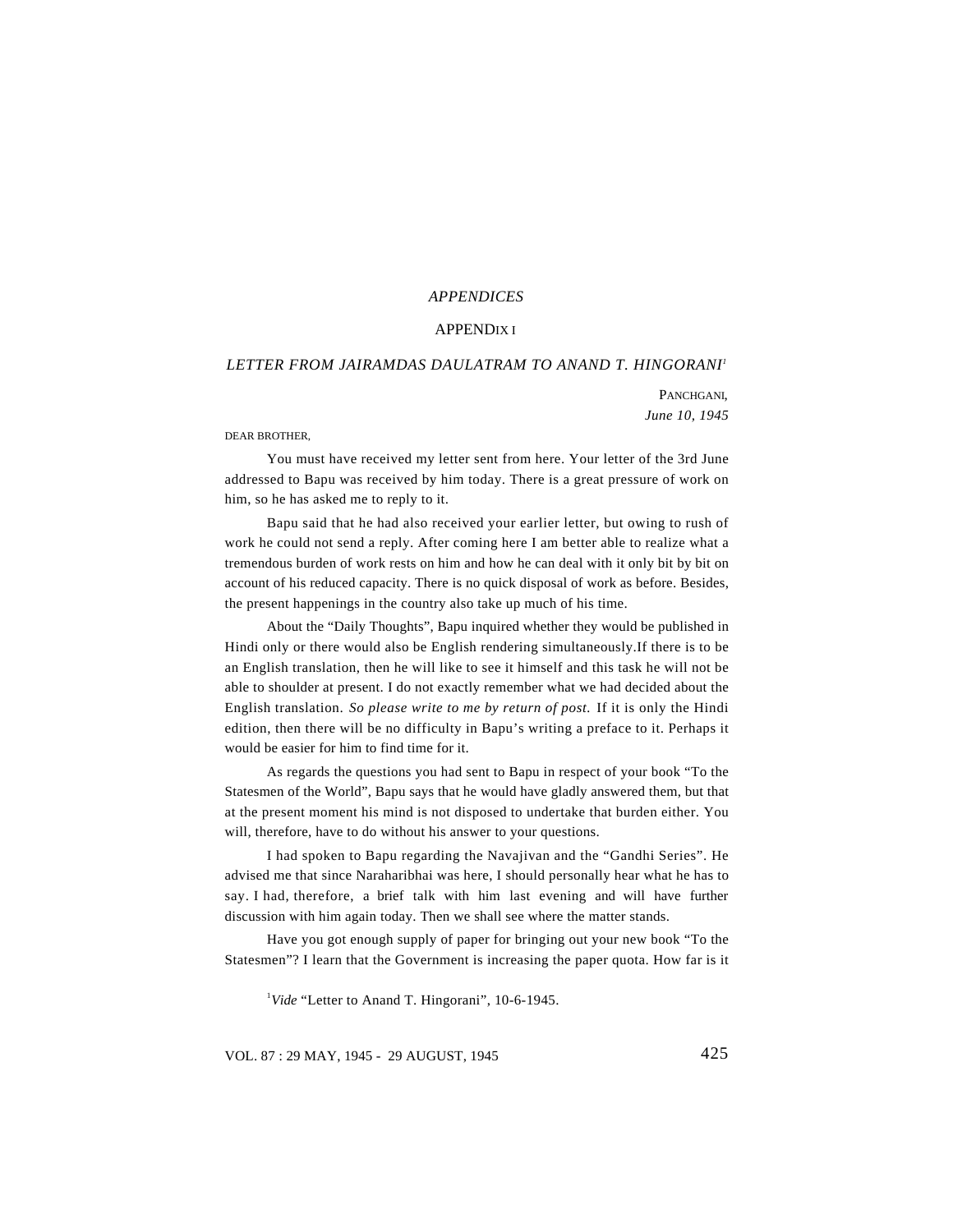#### *APPENDICES*

#### APPENDIX I

#### *LETTER FROM JAIRAMDAS DAULATRAM TO ANAND T. HINGORANI<sup>1</sup>*

PANCHGANI, *June 10, 1945*

#### DEAR BROTHER,

You must have received my letter sent from here. Your letter of the 3rd June addressed to Bapu was received by him today. There is a great pressure of work on him, so he has asked me to reply to it.

Bapu said that he had also received your earlier letter, but owing to rush of work he could not send a reply. After coming here I am better able to realize what a tremendous burden of work rests on him and how he can deal with it only bit by bit on account of his reduced capacity. There is no quick disposal of work as before. Besides, the present happenings in the country also take up much of his time.

About the "Daily Thoughts", Bapu inquired whether they would be published in Hindi only or there would also be English rendering simultaneously.If there is to be an English translation, then he will like to see it himself and this task he will not be able to shoulder at present. I do not exactly remember what we had decided about the English translation. *So please write to me by return of post.* If it is only the Hindi edition, then there will be no difficulty in Bapu's writing a preface to it. Perhaps it would be easier for him to find time for it.

As regards the questions you had sent to Bapu in respect of your book "To the Statesmen of the World", Bapu says that he would have gladly answered them, but that at the present moment his mind is not disposed to undertake that burden either. You will, therefore, have to do without his answer to your questions.

I had spoken to Bapu regarding the Navajivan and the "Gandhi Series". He advised me that since Naraharibhai was here, I should personally hear what he has to say. I had, therefore, a brief talk with him last evening and will have further discussion with him again today. Then we shall see where the matter stands.

Have you got enough supply of paper for bringing out your new book "To the Statesmen"? I learn that the Government is increasing the paper quota. How far is it

<sup>1</sup>Vide "Letter to Anand T. Hingorani", 10-6-1945.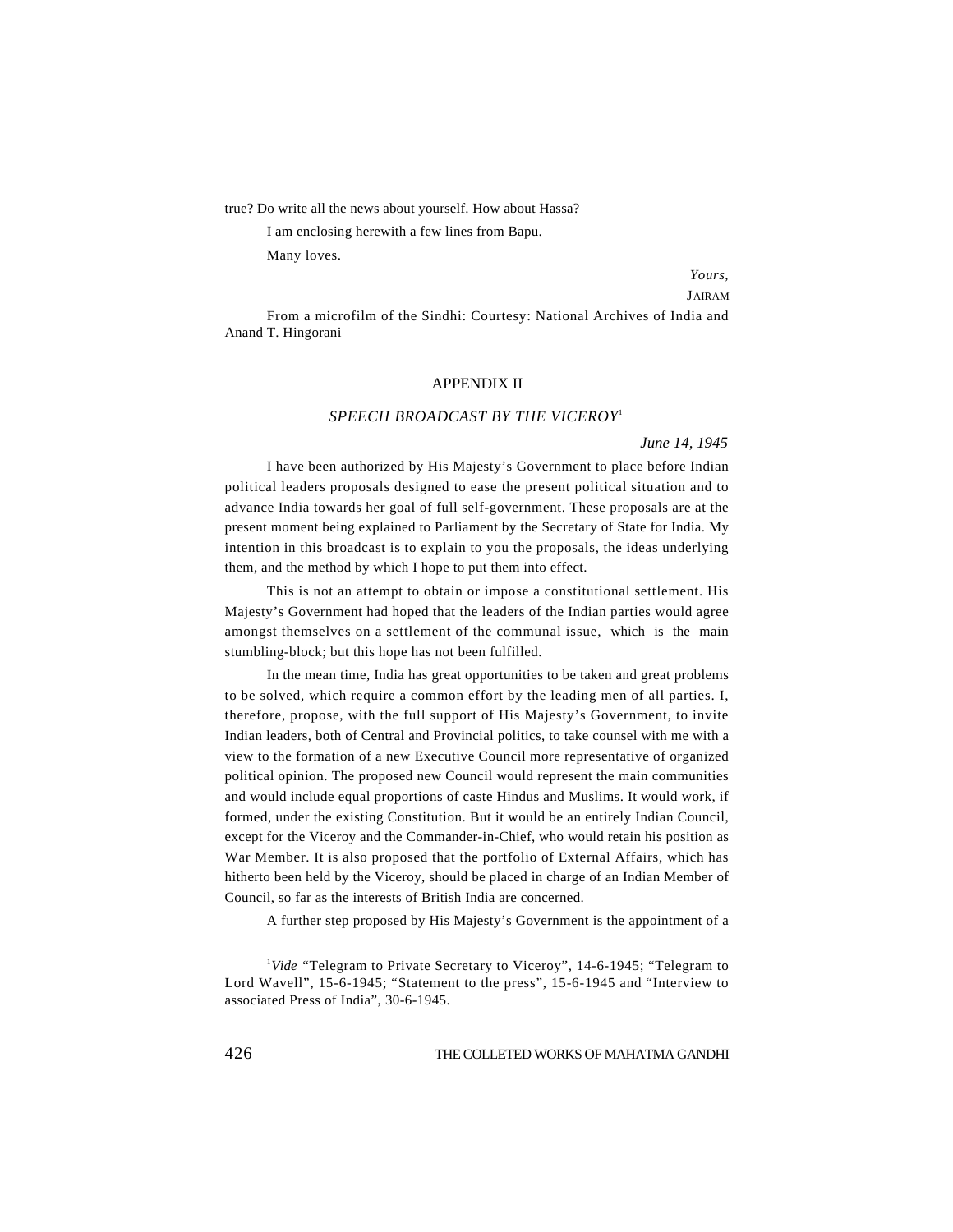true? Do write all the news about yourself. How about Hassa?

I am enclosing herewith a few lines from Bapu.

Many loves.

*Yours,*

JAIRAM

From a microfilm of the Sindhi: Courtesy: National Archives of India and Anand T. Hingorani

#### APPENDIX II

#### *SPEECH BROADCAST BY THE VICEROY*<sup>1</sup>

#### *June 14, 1945*

I have been authorized by His Majesty's Government to place before Indian political leaders proposals designed to ease the present political situation and to advance India towards her goal of full self-government. These proposals are at the present moment being explained to Parliament by the Secretary of State for India. My intention in this broadcast is to explain to you the proposals, the ideas underlying them, and the method by which I hope to put them into effect.

This is not an attempt to obtain or impose a constitutional settlement. His Majesty's Government had hoped that the leaders of the Indian parties would agree amongst themselves on a settlement of the communal issue, which is the main stumbling-block; but this hope has not been fulfilled.

In the mean time, India has great opportunities to be taken and great problems to be solved, which require a common effort by the leading men of all parties. I, therefore, propose, with the full support of His Majesty's Government, to invite Indian leaders, both of Central and Provincial politics, to take counsel with me with a view to the formation of a new Executive Council more representative of organized political opinion. The proposed new Council would represent the main communities and would include equal proportions of caste Hindus and Muslims. It would work, if formed, under the existing Constitution. But it would be an entirely Indian Council, except for the Viceroy and the Commander-in-Chief, who would retain his position as War Member. It is also proposed that the portfolio of External Affairs, which has hitherto been held by the Viceroy, should be placed in charge of an Indian Member of Council, so far as the interests of British India are concerned.

A further step proposed by His Majesty's Government is the appointment of a

<sup>1</sup>Vide "Telegram to Private Secretary to Viceroy", 14-6-1945; "Telegram to Lord Wavell", 15-6-1945; "Statement to the press", 15-6-1945 and "Interview to associated Press of India", 30-6-1945.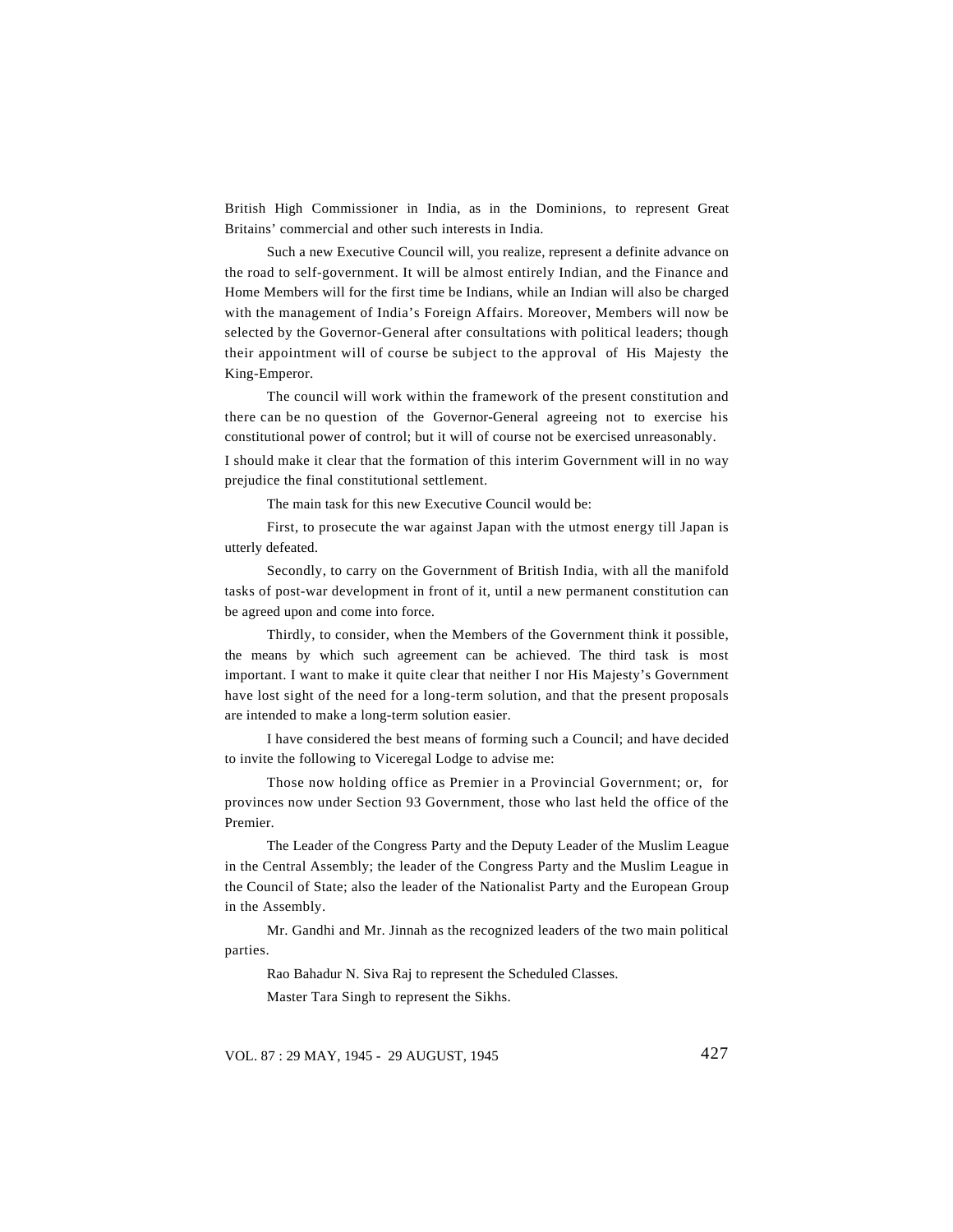British High Commissioner in India, as in the Dominions, to represent Great Britains' commercial and other such interests in India.

Such a new Executive Council will, you realize, represent a definite advance on the road to self-government. It will be almost entirely Indian, and the Finance and Home Members will for the first time be Indians, while an Indian will also be charged with the management of India's Foreign Affairs. Moreover, Members will now be selected by the Governor-General after consultations with political leaders; though their appointment will of course be subject to the approval of His Majesty the King-Emperor.

The council will work within the framework of the present constitution and there can be no question of the Governor-General agreeing not to exercise his constitutional power of control; but it will of course not be exercised unreasonably.

I should make it clear that the formation of this interim Government will in no way prejudice the final constitutional settlement.

The main task for this new Executive Council would be:

First, to prosecute the war against Japan with the utmost energy till Japan is utterly defeated.

Secondly, to carry on the Government of British India, with all the manifold tasks of post-war development in front of it, until a new permanent constitution can be agreed upon and come into force.

Thirdly, to consider, when the Members of the Government think it possible, the means by which such agreement can be achieved. The third task is most important. I want to make it quite clear that neither I nor His Majesty's Government have lost sight of the need for a long-term solution, and that the present proposals are intended to make a long-term solution easier.

I have considered the best means of forming such a Council; and have decided to invite the following to Viceregal Lodge to advise me:

Those now holding office as Premier in a Provincial Government; or, for provinces now under Section 93 Government, those who last held the office of the Premier.

The Leader of the Congress Party and the Deputy Leader of the Muslim League in the Central Assembly; the leader of the Congress Party and the Muslim League in the Council of State; also the leader of the Nationalist Party and the European Group in the Assembly.

Mr. Gandhi and Mr. Jinnah as the recognized leaders of the two main political parties.

Rao Bahadur N. Siva Raj to represent the Scheduled Classes.

Master Tara Singh to represent the Sikhs.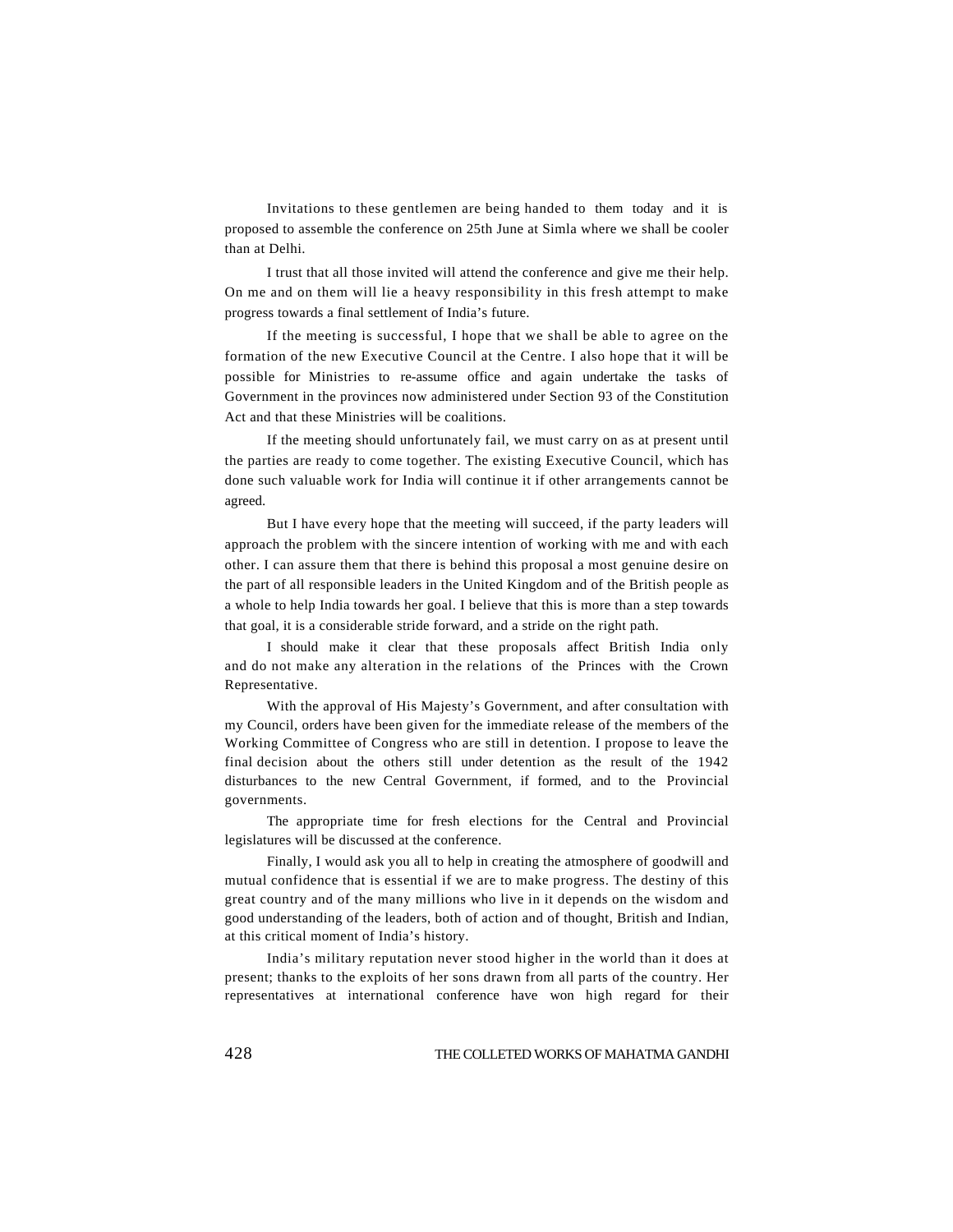Invitations to these gentlemen are being handed to them today and it is proposed to assemble the conference on 25th June at Simla where we shall be cooler than at Delhi.

I trust that all those invited will attend the conference and give me their help. On me and on them will lie a heavy responsibility in this fresh attempt to make progress towards a final settlement of India's future.

If the meeting is successful, I hope that we shall be able to agree on the formation of the new Executive Council at the Centre. I also hope that it will be possible for Ministries to re-assume office and again undertake the tasks of Government in the provinces now administered under Section 93 of the Constitution Act and that these Ministries will be coalitions.

If the meeting should unfortunately fail, we must carry on as at present until the parties are ready to come together. The existing Executive Council, which has done such valuable work for India will continue it if other arrangements cannot be agreed.

But I have every hope that the meeting will succeed, if the party leaders will approach the problem with the sincere intention of working with me and with each other. I can assure them that there is behind this proposal a most genuine desire on the part of all responsible leaders in the United Kingdom and of the British people as a whole to help India towards her goal. I believe that this is more than a step towards that goal, it is a considerable stride forward, and a stride on the right path.

I should make it clear that these proposals affect British India only and do not make any alteration in the relations of the Princes with the Crown Representative.

With the approval of His Majesty's Government, and after consultation with my Council, orders have been given for the immediate release of the members of the Working Committee of Congress who are still in detention. I propose to leave the final decision about the others still under detention as the result of the 1942 disturbances to the new Central Government, if formed, and to the Provincial governments.

The appropriate time for fresh elections for the Central and Provincial legislatures will be discussed at the conference.

Finally, I would ask you all to help in creating the atmosphere of goodwill and mutual confidence that is essential if we are to make progress. The destiny of this great country and of the many millions who live in it depends on the wisdom and good understanding of the leaders, both of action and of thought, British and Indian, at this critical moment of India's history.

India's military reputation never stood higher in the world than it does at present; thanks to the exploits of her sons drawn from all parts of the country. Her representatives at international conference have won high regard for their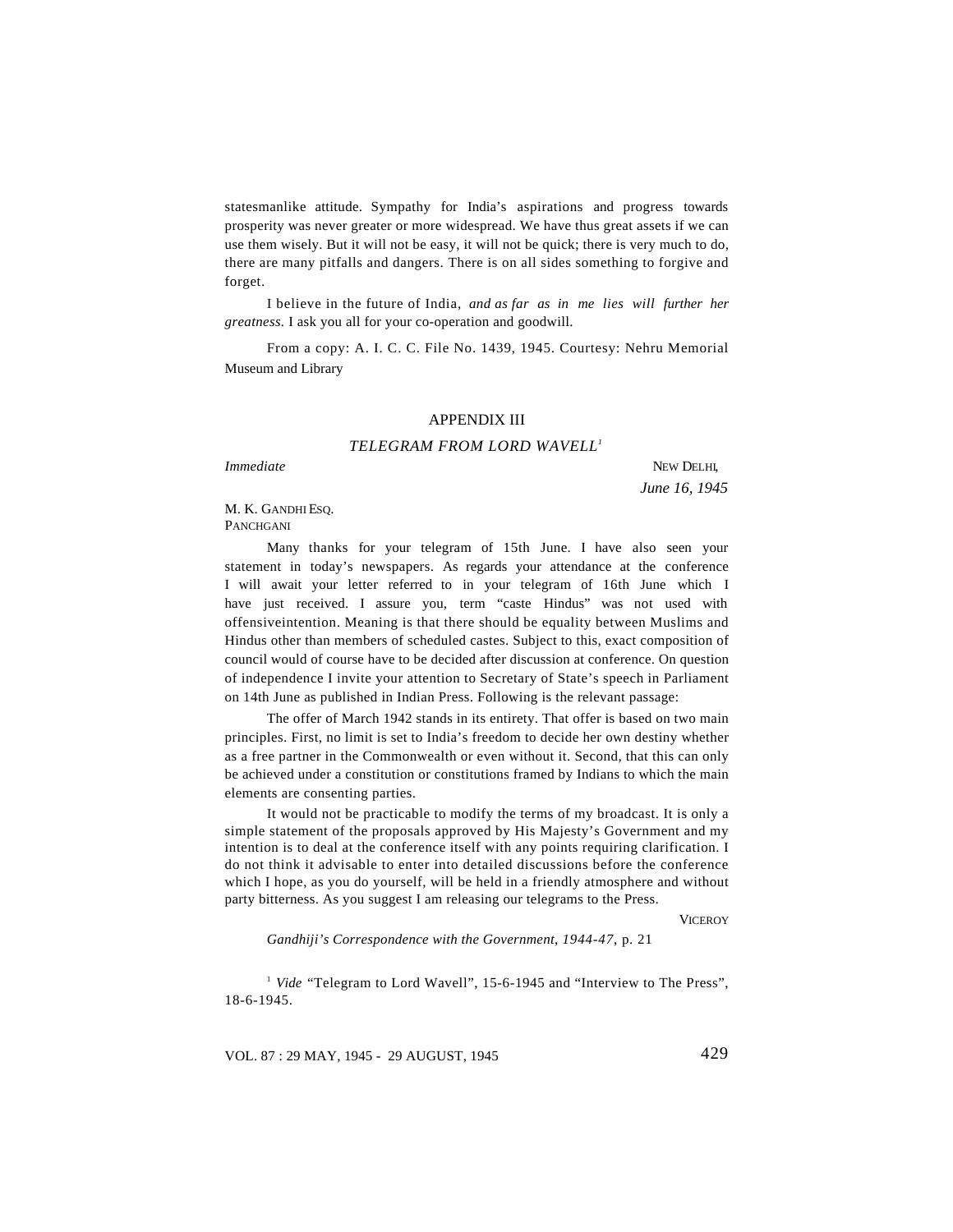statesmanlike attitude. Sympathy for India's aspirations and progress towards prosperity was never greater or more widespread. We have thus great assets if we can use them wisely. But it will not be easy, it will not be quick; there is very much to do, there are many pitfalls and dangers. There is on all sides something to forgive and forget.

I believe in the future of India, *and as far as in me lies will further her greatness.* I ask you all for your co-operation and goodwill.

From a copy: A. I. C. C. File No. 1439, 1945. Courtesy: Nehru Memorial Museum and Library

#### APPENDIX III

#### *TELEGRAM FROM LORD WAVELL<sup>1</sup>*

*Immediate* NEW DELHI, *June 16, 1945*

M. K. GANDHI ESO. **PANCHGANI** 

Many thanks for your telegram of 15th June. I have also seen your statement in today's newspapers. As regards your attendance at the conference I will await your letter referred to in your telegram of 16th June which I have just received. I assure you, term "caste Hindus" was not used with offensiveintention. Meaning is that there should be equality between Muslims and Hindus other than members of scheduled castes. Subject to this, exact composition of council would of course have to be decided after discussion at conference. On question of independence I invite your attention to Secretary of State's speech in Parliament on 14th June as published in Indian Press. Following is the relevant passage:

The offer of March 1942 stands in its entirety. That offer is based on two main principles. First, no limit is set to India's freedom to decide her own destiny whether as a free partner in the Commonwealth or even without it. Second, that this can only be achieved under a constitution or constitutions framed by Indians to which the main elements are consenting parties.

It would not be practicable to modify the terms of my broadcast. It is only a simple statement of the proposals approved by His Majesty's Government and my intention is to deal at the conference itself with any points requiring clarification. I do not think it advisable to enter into detailed discussions before the conference which I hope, as you do yourself, will be held in a friendly atmosphere and without party bitterness. As you suggest I am releasing our telegrams to the Press.

**VICEROY** 

*Gandhiji's Correspondence with the Government*, *1944-47*, p. 21

<sup>1</sup> Vide "Telegram to Lord Wavell", 15-6-1945 and "Interview to The Press", 18-6-1945.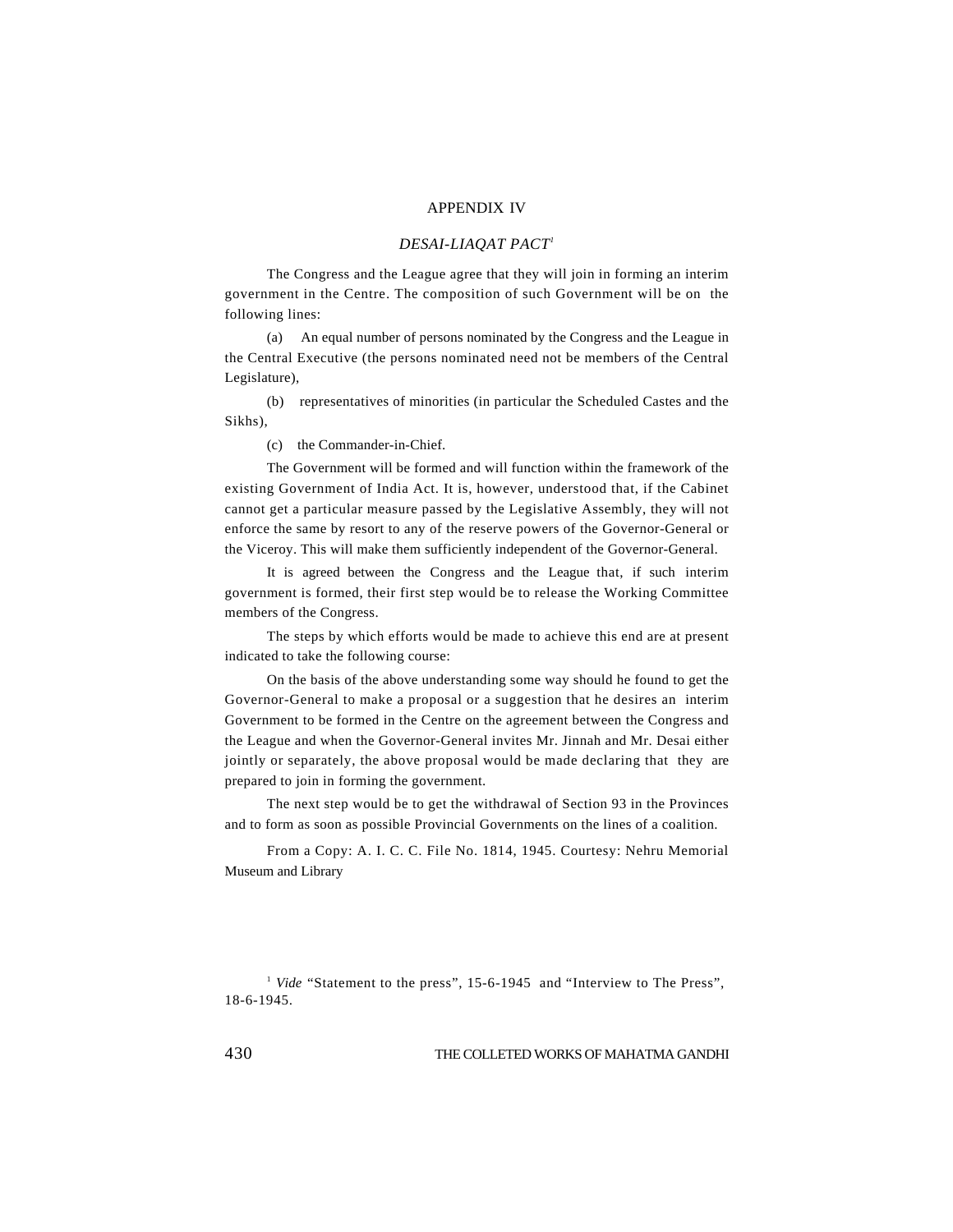#### APPENDIX IV

#### *DESAI-LIAQAT PACT<sup>1</sup>*

The Congress and the League agree that they will join in forming an interim government in the Centre. The composition of such Government will be on the following lines:

(a) An equal number of persons nominated by the Congress and the League in the Central Executive (the persons nominated need not be members of the Central Legislature),

(b) representatives of minorities (in particular the Scheduled Castes and the Sikhs),

(c) the Commander-in-Chief.

The Government will be formed and will function within the framework of the existing Government of India Act. It is, however, understood that, if the Cabinet cannot get a particular measure passed by the Legislative Assembly, they will not enforce the same by resort to any of the reserve powers of the Governor-General or the Viceroy. This will make them sufficiently independent of the Governor-General.

It is agreed between the Congress and the League that, if such interim government is formed, their first step would be to release the Working Committee members of the Congress.

The steps by which efforts would be made to achieve this end are at present indicated to take the following course:

On the basis of the above understanding some way should he found to get the Governor-General to make a proposal or a suggestion that he desires an interim Government to be formed in the Centre on the agreement between the Congress and the League and when the Governor-General invites Mr. Jinnah and Mr. Desai either jointly or separately, the above proposal would be made declaring that they are prepared to join in forming the government.

The next step would be to get the withdrawal of Section 93 in the Provinces and to form as soon as possible Provincial Governments on the lines of a coalition.

From a Copy: A. I. C. C. File No. 1814, 1945. Courtesy: Nehru Memorial Museum and Library

<sup>1</sup> *Vide* "Statement to the press", 15-6-1945 and "Interview to The Press", 18-6-1945.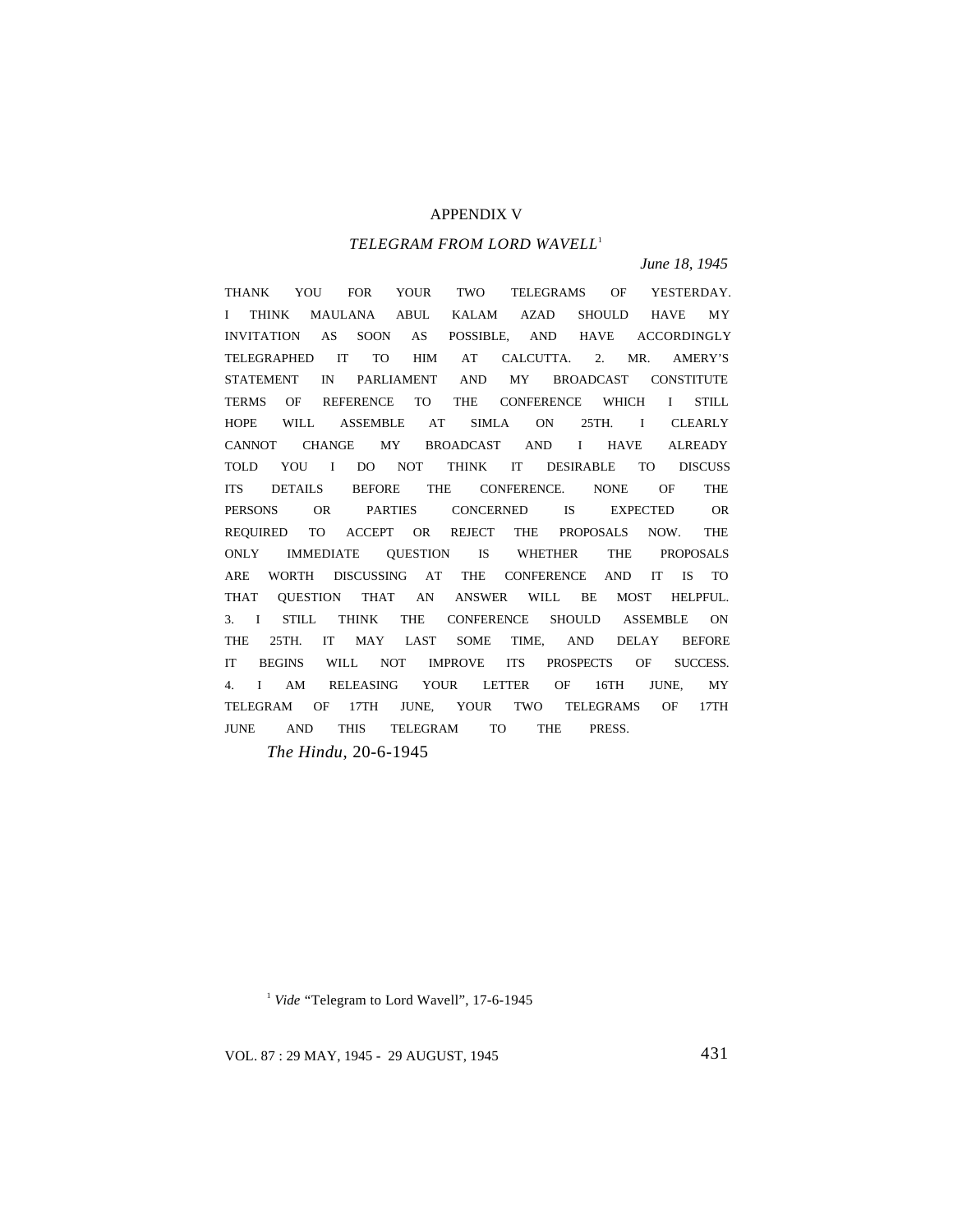#### APPENDIX V

#### *TELEGRAM FROM LORD WAVELL*<sup>1</sup>

#### *June 18, 1945*

THANK YOU FOR YOUR TWO TELEGRAMS OF YESTERDAY. I THINK MAULANA ABUL KALAM AZAD SHOULD HAVE MY INVITATION AS SOON AS POSSIBLE, AND HAVE ACCORDINGLY TELEGRAPHED IT TO HIM AT CALCUTTA. 2. MR. AMERY'S STATEMENT IN PARLIAMENT AND MY BROADCAST CONSTITUTE TERMS OF REFERENCE TO THE CONFERENCE WHICH I STILL HOPE WILL ASSEMBLE AT SIMLA ON 25TH. I CLEARLY CANNOT CHANGE MY BROADCAST AND I HAVE ALREADY TOLD YOU I DO NOT THINK IT DESIRABLE TO DISCUSS ITS DETAILS BEFORE THE CONFERENCE. NONE OF THE PERSONS OR PARTIES CONCERNED IS EXPECTED OR REQUIRED TO ACCEPT OR REJECT THE PROPOSALS NOW. THE ONLY IMMEDIATE QUESTION IS WHETHER THE PROPOSALS ARE WORTH DISCUSSING AT THE CONFERENCE AND IT IS TO THAT QUESTION THAT AN ANSWER WILL BE MOST HELPFUL. 3. I STILL THINK THE CONFERENCE SHOULD ASSEMBLE ON THE 25TH. IT MAY LAST SOME TIME, AND DELAY BEFORE IT BEGINS WILL NOT IMPROVE ITS PROSPECTS OF SUCCESS. 4. I AM RELEASING YOUR LETTER OF 16TH JUNE, MY TELEGRAM OF 17TH JUNE, YOUR TWO TELEGRAMS OF 17TH JUNE AND THIS TELEGRAM TO THE PRESS.

*The Hindu*, 20-6-1945

<sup>1</sup> *Vide* "Telegram to Lord Wavell", 17-6-1945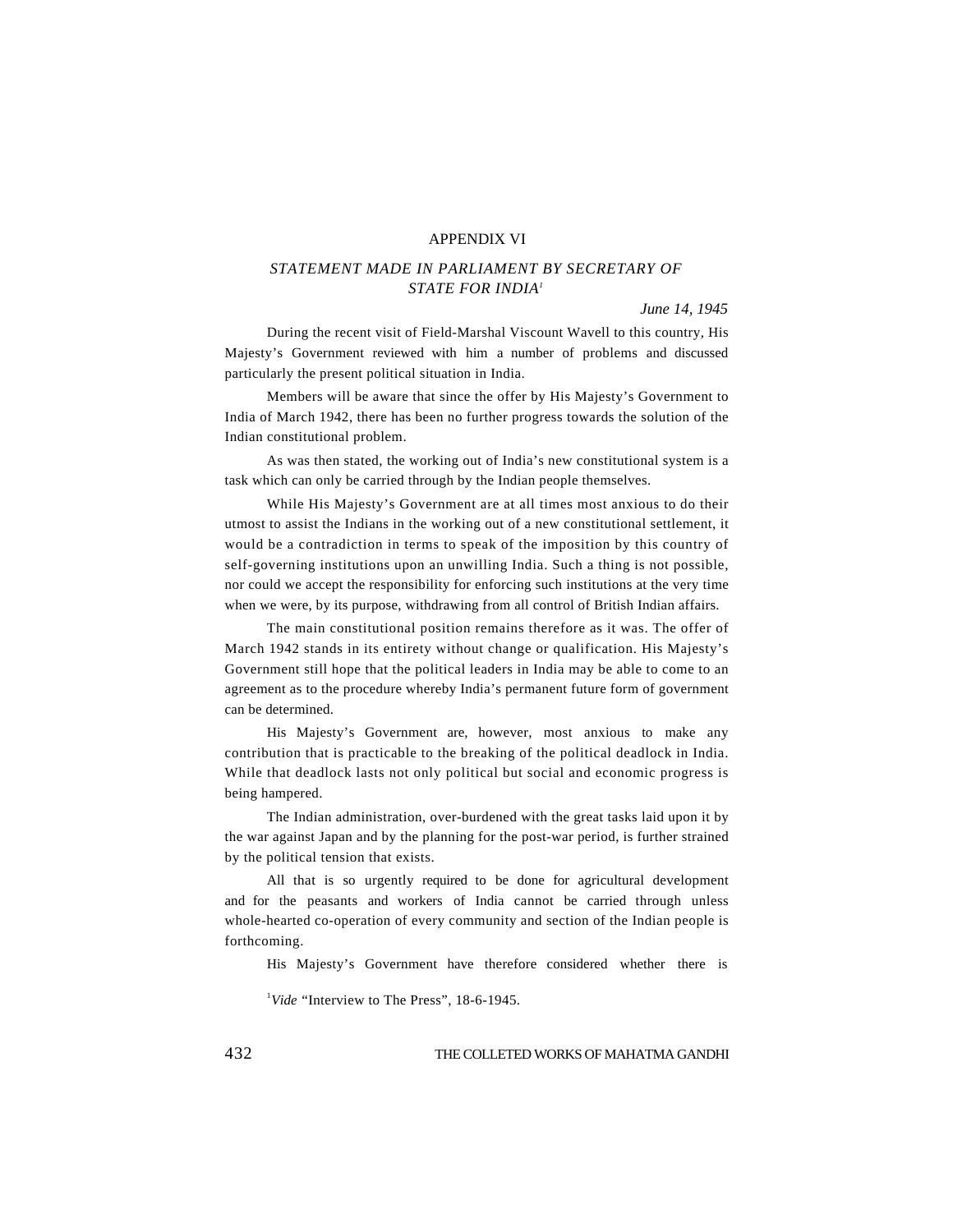#### APPENDIX VI

### *STATEMENT MADE IN PARLIAMENT BY SECRETARY OF STATE FOR INDIA<sup>1</sup>*

#### *June 14, 1945*

During the recent visit of Field-Marshal Viscount Wavell to this country, His Majesty's Government reviewed with him a number of problems and discussed particularly the present political situation in India.

Members will be aware that since the offer by His Majesty's Government to India of March 1942, there has been no further progress towards the solution of the Indian constitutional problem.

As was then stated, the working out of India's new constitutional system is a task which can only be carried through by the Indian people themselves.

While His Majesty's Government are at all times most anxious to do their utmost to assist the Indians in the working out of a new constitutional settlement, it would be a contradiction in terms to speak of the imposition by this country of self-governing institutions upon an unwilling India. Such a thing is not possible, nor could we accept the responsibility for enforcing such institutions at the very time when we were, by its purpose, withdrawing from all control of British Indian affairs.

The main constitutional position remains therefore as it was. The offer of March 1942 stands in its entirety without change or qualification. His Majesty's Government still hope that the political leaders in India may be able to come to an agreement as to the procedure whereby India's permanent future form of government can be determined.

His Majesty's Government are, however, most anxious to make any contribution that is practicable to the breaking of the political deadlock in India. While that deadlock lasts not only political but social and economic progress is being hampered.

The Indian administration, over-burdened with the great tasks laid upon it by the war against Japan and by the planning for the post-war period, is further strained by the political tension that exists.

All that is so urgently required to be done for agricultural development and for the peasants and workers of India cannot be carried through unless whole-hearted co-operation of every community and section of the Indian people is forthcoming.

His Majesty's Government have therefore considered whether there is

<sup>1</sup>Vide "Interview to The Press", 18-6-1945.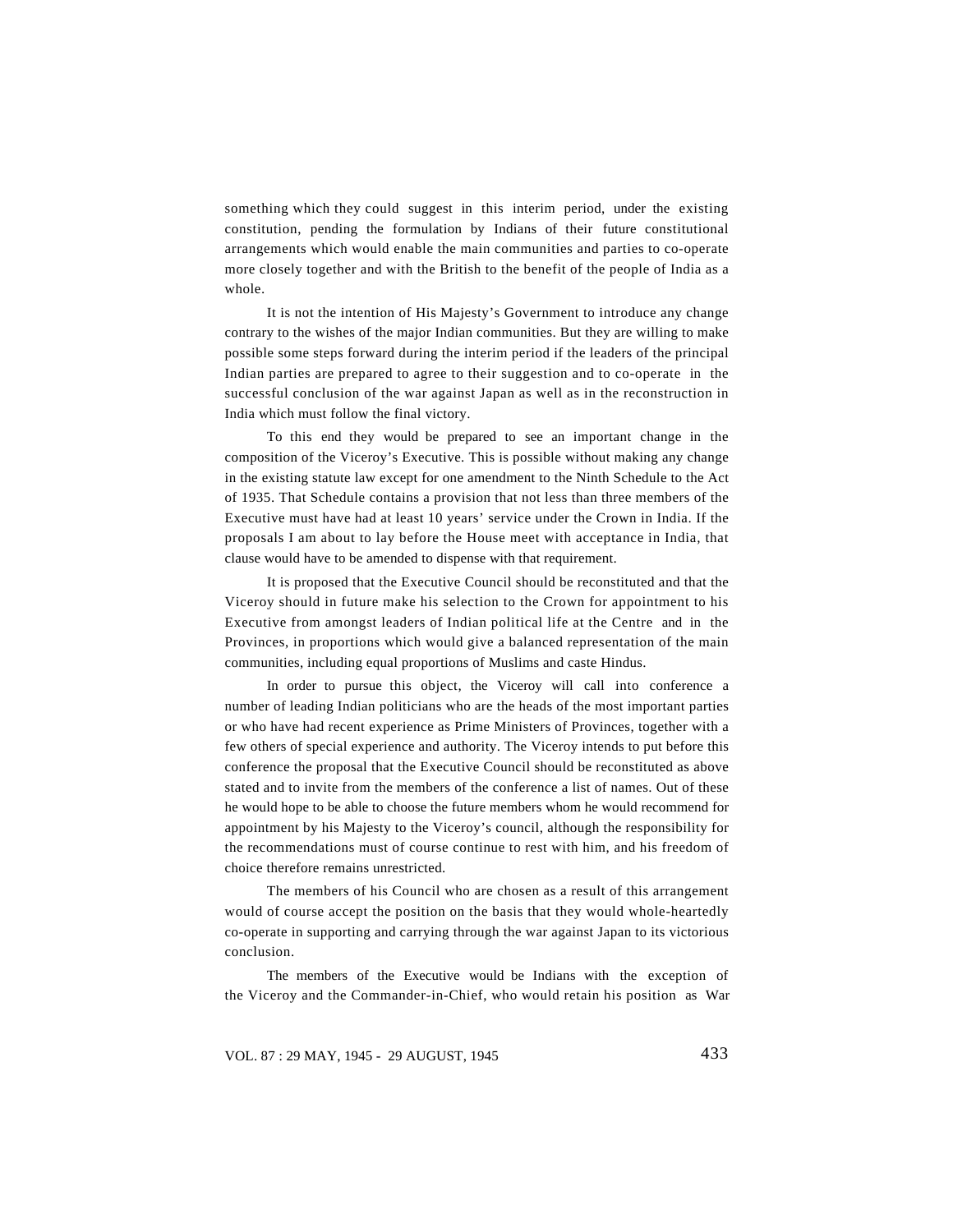something which they could suggest in this interim period, under the existing constitution, pending the formulation by Indians of their future constitutional arrangements which would enable the main communities and parties to co-operate more closely together and with the British to the benefit of the people of India as a whole.

It is not the intention of His Majesty's Government to introduce any change contrary to the wishes of the major Indian communities. But they are willing to make possible some steps forward during the interim period if the leaders of the principal Indian parties are prepared to agree to their suggestion and to co-operate in the successful conclusion of the war against Japan as well as in the reconstruction in India which must follow the final victory.

To this end they would be prepared to see an important change in the composition of the Viceroy's Executive. This is possible without making any change in the existing statute law except for one amendment to the Ninth Schedule to the Act of 1935. That Schedule contains a provision that not less than three members of the Executive must have had at least 10 years' service under the Crown in India. If the proposals I am about to lay before the House meet with acceptance in India, that clause would have to be amended to dispense with that requirement.

It is proposed that the Executive Council should be reconstituted and that the Viceroy should in future make his selection to the Crown for appointment to his Executive from amongst leaders of Indian political life at the Centre and in the Provinces, in proportions which would give a balanced representation of the main communities, including equal proportions of Muslims and caste Hindus.

In order to pursue this object, the Viceroy will call into conference a number of leading Indian politicians who are the heads of the most important parties or who have had recent experience as Prime Ministers of Provinces, together with a few others of special experience and authority. The Viceroy intends to put before this conference the proposal that the Executive Council should be reconstituted as above stated and to invite from the members of the conference a list of names. Out of these he would hope to be able to choose the future members whom he would recommend for appointment by his Majesty to the Viceroy's council, although the responsibility for the recommendations must of course continue to rest with him, and his freedom of choice therefore remains unrestricted.

The members of his Council who are chosen as a result of this arrangement would of course accept the position on the basis that they would whole-heartedly co-operate in supporting and carrying through the war against Japan to its victorious conclusion.

The members of the Executive would be Indians with the exception of the Viceroy and the Commander-in-Chief, who would retain his position as War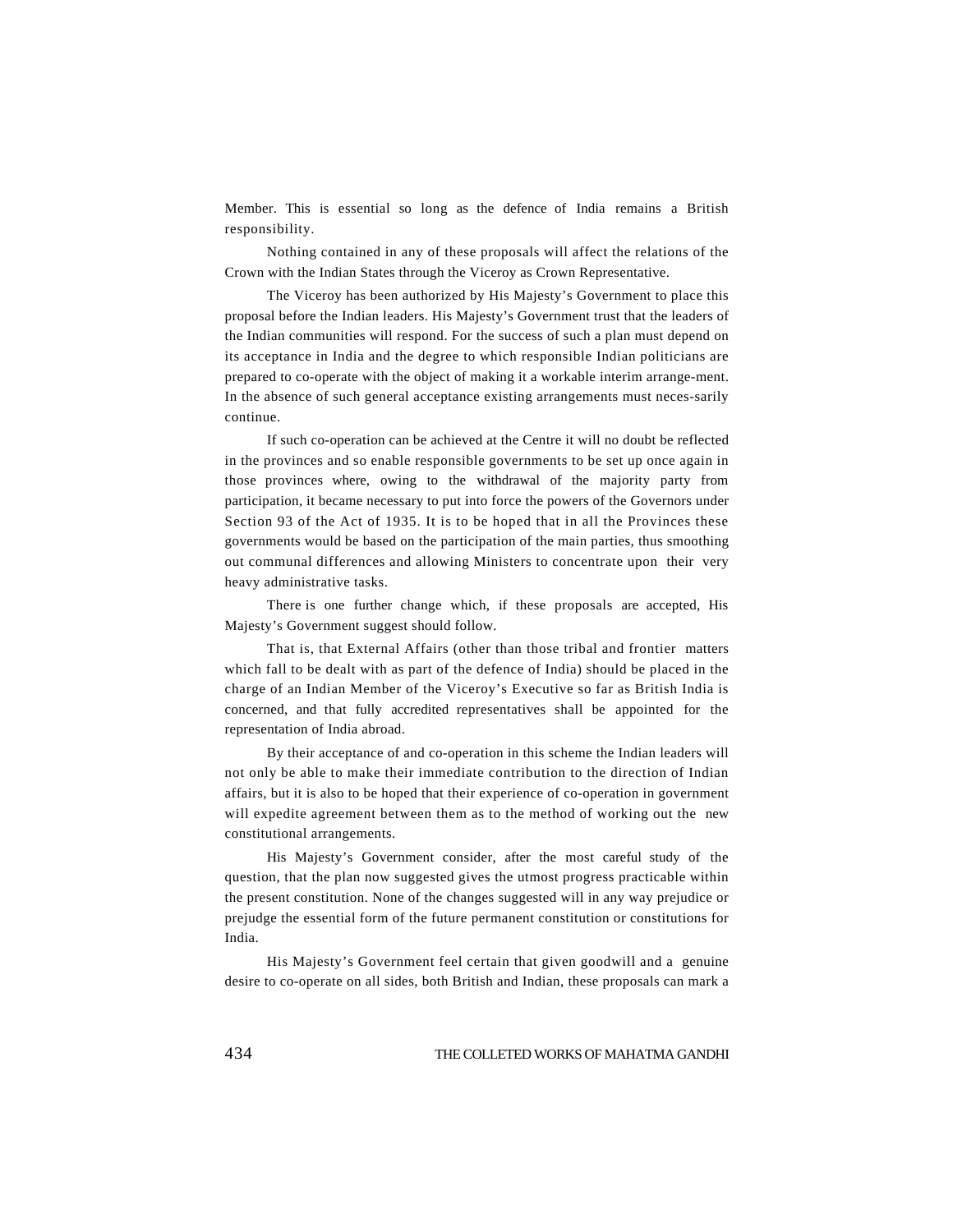Member. This is essential so long as the defence of India remains a British responsibility.

Nothing contained in any of these proposals will affect the relations of the Crown with the Indian States through the Viceroy as Crown Representative.

The Viceroy has been authorized by His Majesty's Government to place this proposal before the Indian leaders. His Majesty's Government trust that the leaders of the Indian communities will respond. For the success of such a plan must depend on its acceptance in India and the degree to which responsible Indian politicians are prepared to co-operate with the object of making it a workable interim arrange-ment. In the absence of such general acceptance existing arrangements must neces-sarily continue.

If such co-operation can be achieved at the Centre it will no doubt be reflected in the provinces and so enable responsible governments to be set up once again in those provinces where, owing to the withdrawal of the majority party from participation, it became necessary to put into force the powers of the Governors under Section 93 of the Act of 1935. It is to be hoped that in all the Provinces these governments would be based on the participation of the main parties, thus smoothing out communal differences and allowing Ministers to concentrate upon their very heavy administrative tasks.

There is one further change which, if these proposals are accepted, His Majesty's Government suggest should follow.

That is, that External Affairs (other than those tribal and frontier matters which fall to be dealt with as part of the defence of India) should be placed in the charge of an Indian Member of the Viceroy's Executive so far as British India is concerned, and that fully accredited representatives shall be appointed for the representation of India abroad.

By their acceptance of and co-operation in this scheme the Indian leaders will not only be able to make their immediate contribution to the direction of Indian affairs, but it is also to be hoped that their experience of co-operation in government will expedite agreement between them as to the method of working out the new constitutional arrangements.

His Majesty's Government consider, after the most careful study of the question, that the plan now suggested gives the utmost progress practicable within the present constitution. None of the changes suggested will in any way prejudice or prejudge the essential form of the future permanent constitution or constitutions for India.

His Majesty's Government feel certain that given goodwill and a genuine desire to co-operate on all sides, both British and Indian, these proposals can mark a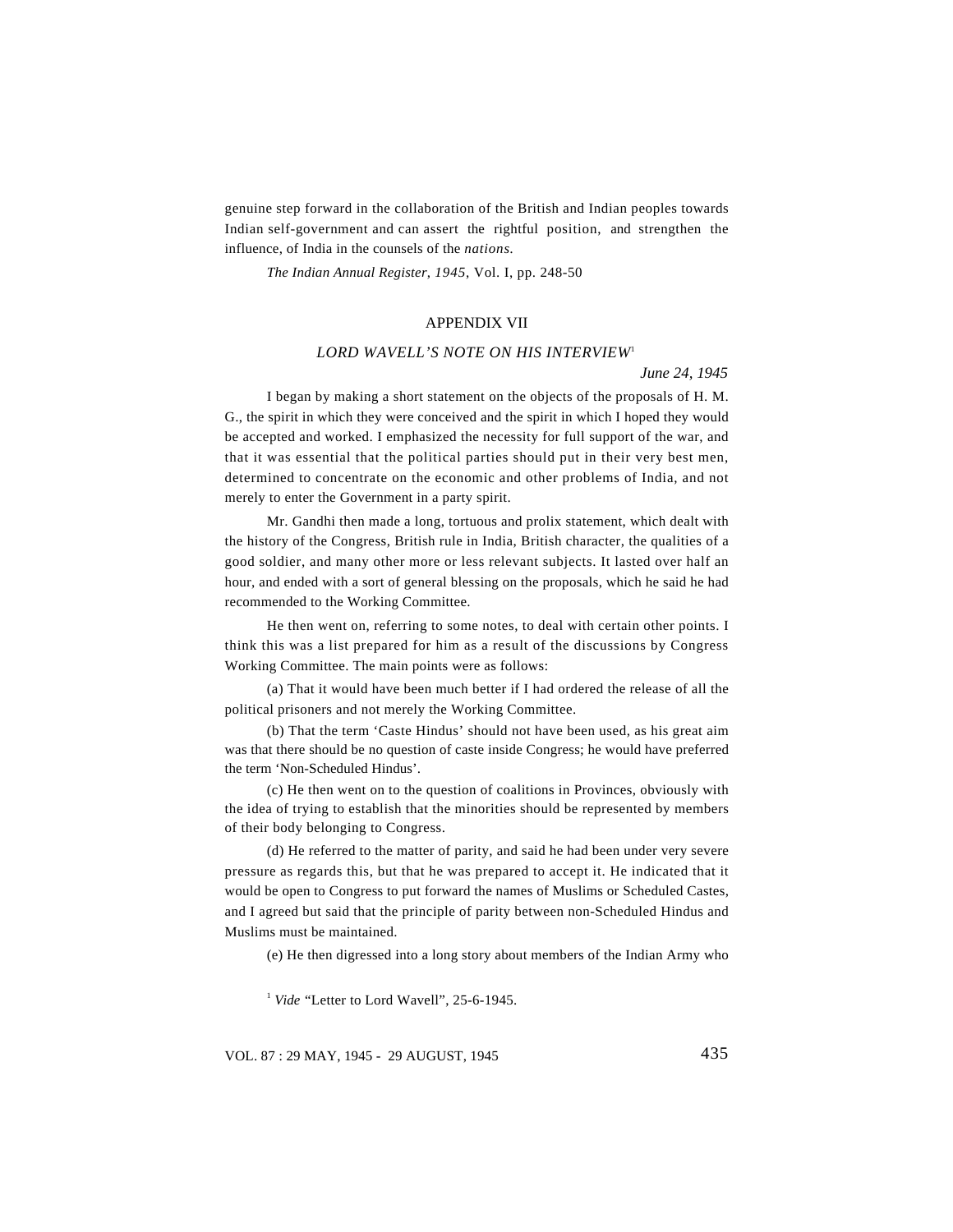genuine step forward in the collaboration of the British and Indian peoples towards Indian self-government and can assert the rightful position, and strengthen the influence, of India in the counsels of the *nations.*

*The Indian Annual Register*, *1945*, Vol. I, pp. 248-50

# APPENDIX VII

# *LORD WAVELL'S NOTE ON HIS INTERVIEW*<sup>1</sup>

### *June 24, 1945*

I began by making a short statement on the objects of the proposals of H. M. G., the spirit in which they were conceived and the spirit in which I hoped they would be accepted and worked. I emphasized the necessity for full support of the war, and that it was essential that the political parties should put in their very best men, determined to concentrate on the economic and other problems of India, and not merely to enter the Government in a party spirit.

Mr. Gandhi then made a long, tortuous and prolix statement, which dealt with the history of the Congress, British rule in India, British character, the qualities of a good soldier, and many other more or less relevant subjects. It lasted over half an hour, and ended with a sort of general blessing on the proposals, which he said he had recommended to the Working Committee.

He then went on, referring to some notes, to deal with certain other points. I think this was a list prepared for him as a result of the discussions by Congress Working Committee. The main points were as follows:

(a) That it would have been much better if I had ordered the release of all the political prisoners and not merely the Working Committee.

(b) That the term 'Caste Hindus' should not have been used, as his great aim was that there should be no question of caste inside Congress; he would have preferred the term 'Non-Scheduled Hindus'.

(c) He then went on to the question of coalitions in Provinces, obviously with the idea of trying to establish that the minorities should be represented by members of their body belonging to Congress.

(d) He referred to the matter of parity, and said he had been under very severe pressure as regards this, but that he was prepared to accept it. He indicated that it would be open to Congress to put forward the names of Muslims or Scheduled Castes, and I agreed but said that the principle of parity between non-Scheduled Hindus and Muslims must be maintained.

(e) He then digressed into a long story about members of the Indian Army who

<sup>1</sup> *Vide* "Letter to Lord Wavell", 25-6-1945.

VOL. 87 : 29 MAY, 1945 - 29 AUGUST, 1945 435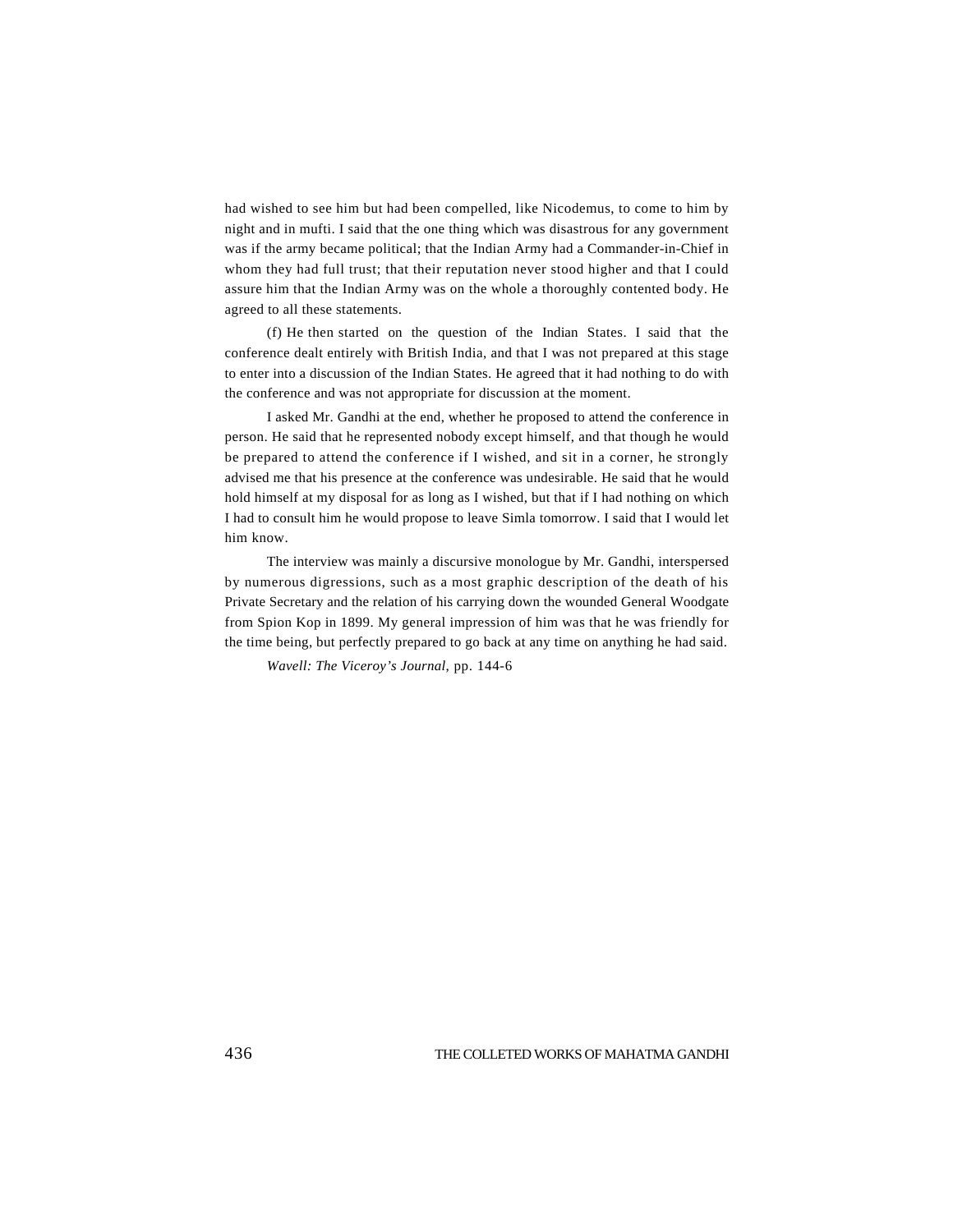had wished to see him but had been compelled, like Nicodemus, to come to him by night and in mufti. I said that the one thing which was disastrous for any government was if the army became political; that the Indian Army had a Commander-in-Chief in whom they had full trust; that their reputation never stood higher and that I could assure him that the Indian Army was on the whole a thoroughly contented body. He agreed to all these statements.

(f) He then started on the question of the Indian States. I said that the conference dealt entirely with British India, and that I was not prepared at this stage to enter into a discussion of the Indian States. He agreed that it had nothing to do with the conference and was not appropriate for discussion at the moment.

I asked Mr. Gandhi at the end, whether he proposed to attend the conference in person. He said that he represented nobody except himself, and that though he would be prepared to attend the conference if I wished, and sit in a corner, he strongly advised me that his presence at the conference was undesirable. He said that he would hold himself at my disposal for as long as I wished, but that if I had nothing on which I had to consult him he would propose to leave Simla tomorrow. I said that I would let him know.

The interview was mainly a discursive monologue by Mr. Gandhi, interspersed by numerous digressions, such as a most graphic description of the death of his Private Secretary and the relation of his carrying down the wounded General Woodgate from Spion Kop in 1899. My general impression of him was that he was friendly for the time being, but perfectly prepared to go back at any time on anything he had said.

*Wavell: The Viceroy's Journal*, pp. 144-6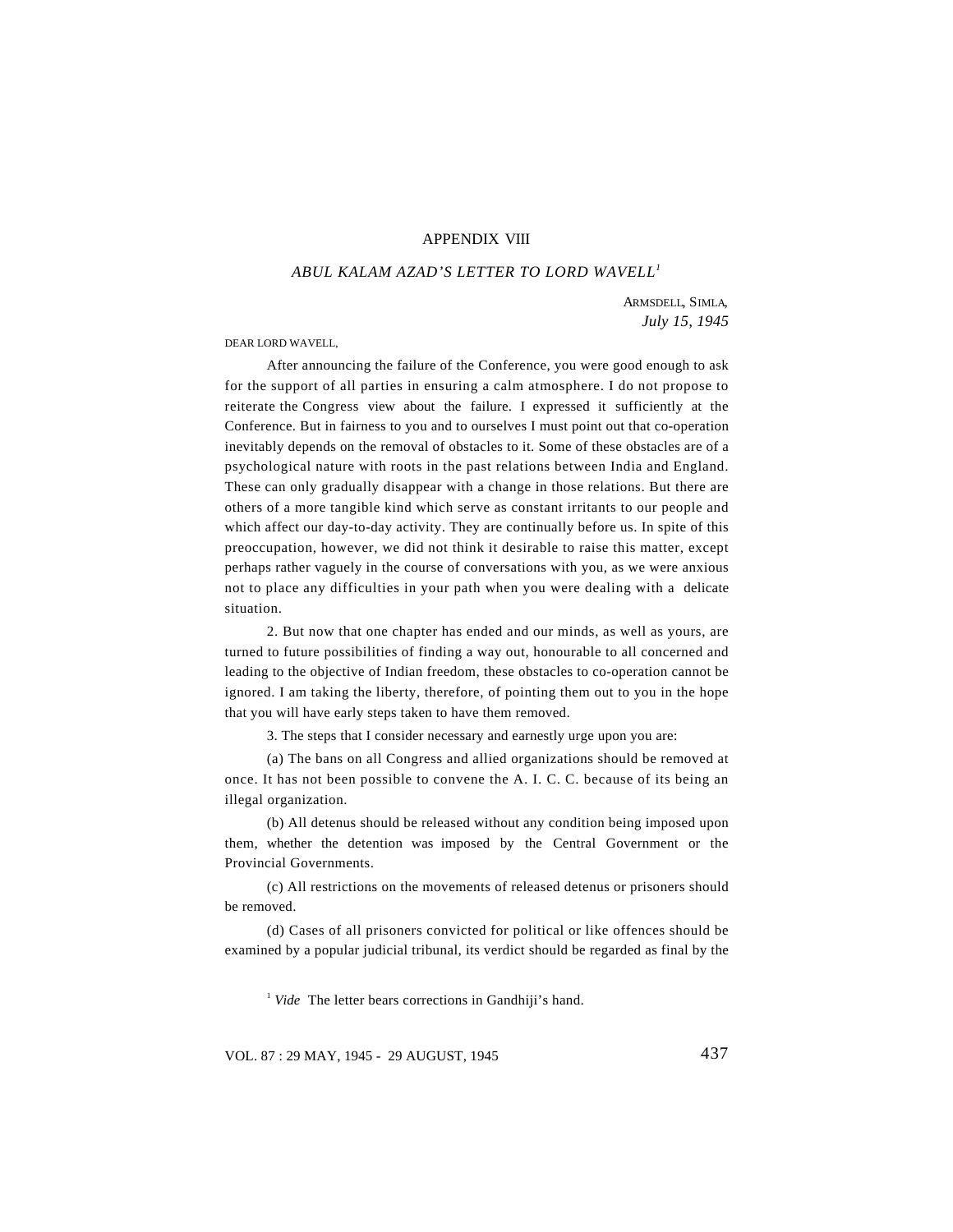## APPENDIX VIII

#### *ABUL KALAM AZAD'S LETTER TO LORD WAVELL<sup>1</sup>*

ARMSDELL, SIMLA, *July 15, 1945*

#### DEAR LORD WAVELL,

After announcing the failure of the Conference, you were good enough to ask for the support of all parties in ensuring a calm atmosphere. I do not propose to reiterate the Congress view about the failure. I expressed it sufficiently at the Conference. But in fairness to you and to ourselves I must point out that co-operation inevitably depends on the removal of obstacles to it. Some of these obstacles are of a psychological nature with roots in the past relations between India and England. These can only gradually disappear with a change in those relations. But there are others of a more tangible kind which serve as constant irritants to our people and which affect our day-to-day activity. They are continually before us. In spite of this preoccupation, however, we did not think it desirable to raise this matter, except perhaps rather vaguely in the course of conversations with you, as we were anxious not to place any difficulties in your path when you were dealing with a delicate situation.

2. But now that one chapter has ended and our minds, as well as yours, are turned to future possibilities of finding a way out, honourable to all concerned and leading to the objective of Indian freedom, these obstacles to co-operation cannot be ignored. I am taking the liberty, therefore, of pointing them out to you in the hope that you will have early steps taken to have them removed.

3. The steps that I consider necessary and earnestly urge upon you are:

(a) The bans on all Congress and allied organizations should be removed at once. It has not been possible to convene the A. I. C. C. because of its being an illegal organization.

(b) All detenus should be released without any condition being imposed upon them, whether the detention was imposed by the Central Government or the Provincial Governments.

(c) All restrictions on the movements of released detenus or prisoners should be removed.

(d) Cases of all prisoners convicted for political or like offences should be examined by a popular judicial tribunal, its verdict should be regarded as final by the

<sup>1</sup> *Vide* The letter bears corrections in Gandhiji's hand.

VOL. 87 : 29 MAY, 1945 - 29 AUGUST, 1945 437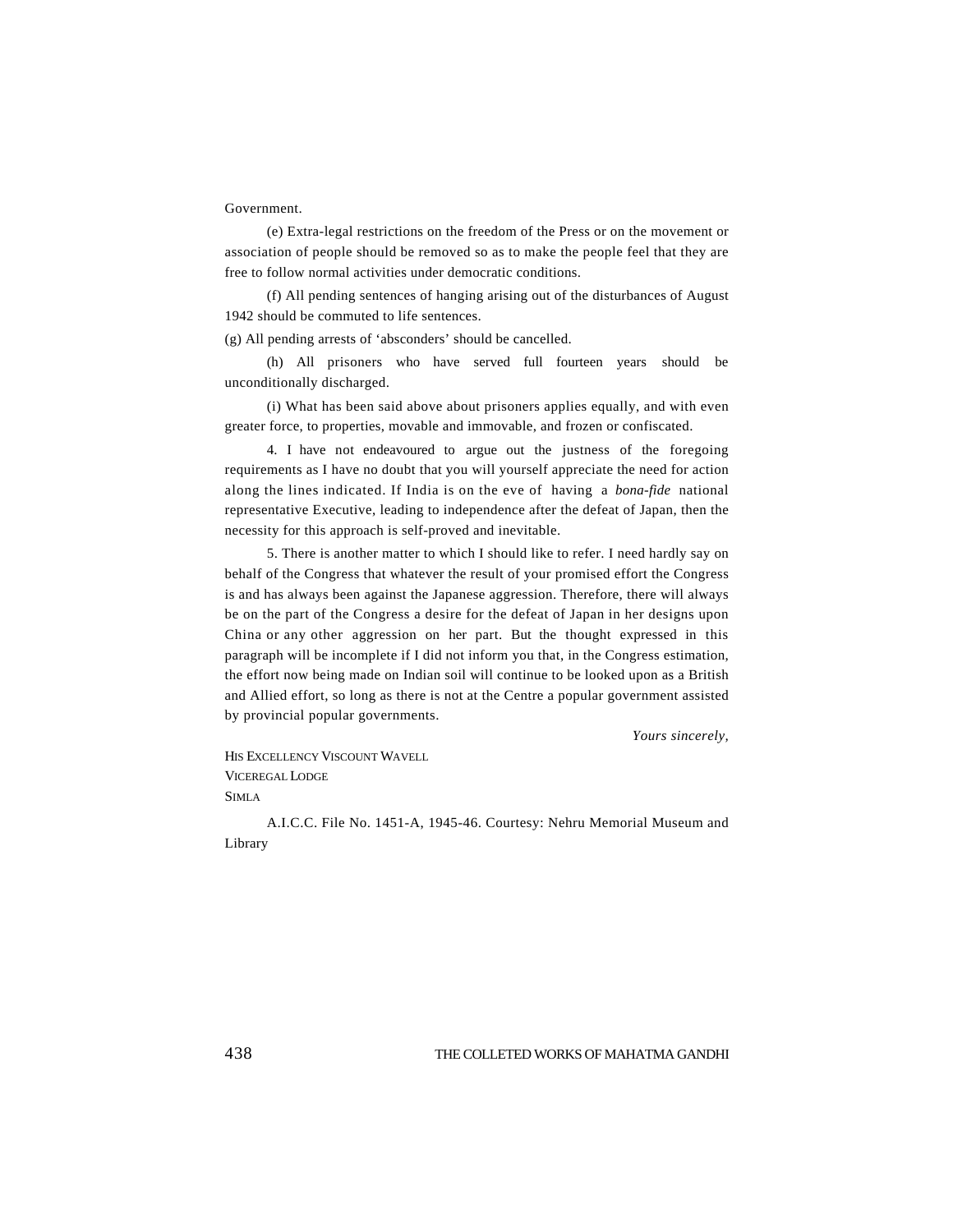Government.

(e) Extra-legal restrictions on the freedom of the Press or on the movement or association of people should be removed so as to make the people feel that they are free to follow normal activities under democratic conditions.

(f) All pending sentences of hanging arising out of the disturbances of August 1942 should be commuted to life sentences.

(g) All pending arrests of 'absconders' should be cancelled.

(h) All prisoners who have served full fourteen years should be unconditionally discharged.

(i) What has been said above about prisoners applies equally, and with even greater force, to properties, movable and immovable, and frozen or confiscated.

4. I have not endeavoured to argue out the justness of the foregoing requirements as I have no doubt that you will yourself appreciate the need for action along the lines indicated. If India is on the eve of having a *bona-fide* national representative Executive, leading to independence after the defeat of Japan, then the necessity for this approach is self-proved and inevitable.

5. There is another matter to which I should like to refer. I need hardly say on behalf of the Congress that whatever the result of your promised effort the Congress is and has always been against the Japanese aggression. Therefore, there will always be on the part of the Congress a desire for the defeat of Japan in her designs upon China or any other aggression on her part. But the thought expressed in this paragraph will be incomplete if I did not inform you that, in the Congress estimation, the effort now being made on Indian soil will continue to be looked upon as a British and Allied effort, so long as there is not at the Centre a popular government assisted by provincial popular governments.

*Yours sincerely,*

HIS EXCELLENCY VISCOUNT WAVELL VICEREGAL LODGE SIMLA

A.I.C.C. File No. 1451-A, 1945-46. Courtesy: Nehru Memorial Museum and Library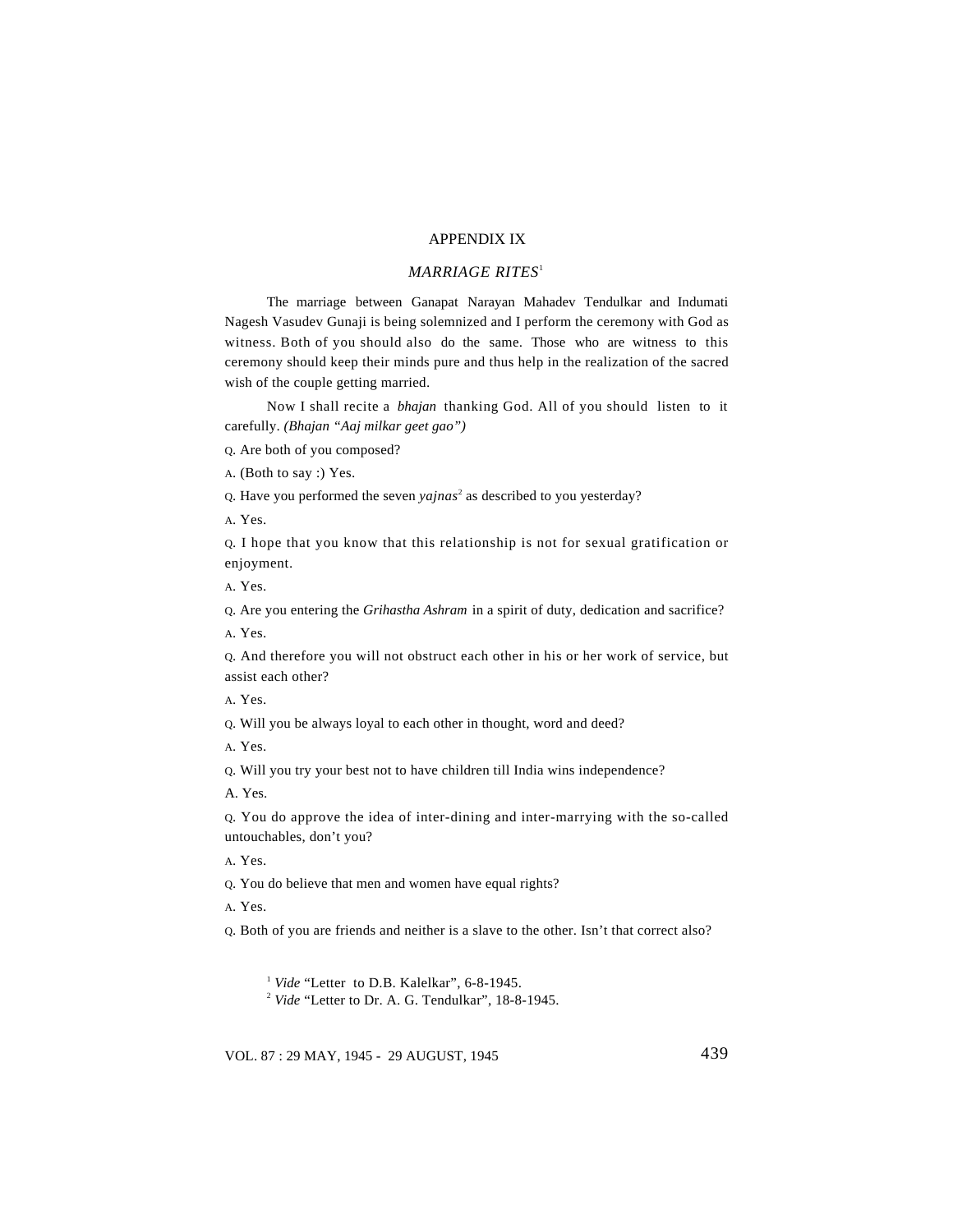### APPENDIX IX

### *MARRIAGE RITES*<sup>1</sup>

The marriage between Ganapat Narayan Mahadev Tendulkar and Indumati Nagesh Vasudev Gunaji is being solemnized and I perform the ceremony with God as witness. Both of you should also do the same. Those who are witness to this ceremony should keep their minds pure and thus help in the realization of the sacred wish of the couple getting married.

Now I shall recite a *bhajan* thanking God. All of you should listen to it carefully. *(Bhajan "Aaj milkar geet gao")*

Q. Are both of you composed?

A. (Both to say :) Yes.

Q. Have you performed the seven *yajnas*<sup>2</sup> as described to you yesterday?

A. Yes.

Q. I hope that you know that this relationship is not for sexual gratification or enjoyment.

A. Yes.

Q. Are you entering the *Grihastha Ashram* in a spirit of duty, dedication and sacrifice?

A. Yes.

Q. And therefore you will not obstruct each other in his or her work of service, but assist each other?

A. Yes.

Q. Will you be always loyal to each other in thought, word and deed?

A. Yes.

Q. Will you try your best not to have children till India wins independence?

A. Yes.

Q. You do approve the idea of inter-dining and inter-marrying with the so-called untouchables, don't you?

A. Yes.

Q. You do believe that men and women have equal rights?

A. Yes.

Q. Both of you are friends and neither is a slave to the other. Isn't that correct also?

<sup>1</sup> *Vide* "Letter to D.B. Kalelkar", 6-8-1945. <sup>2</sup> *Vide* "Letter to Dr. A. G. Tendulkar", 18-8-1945.